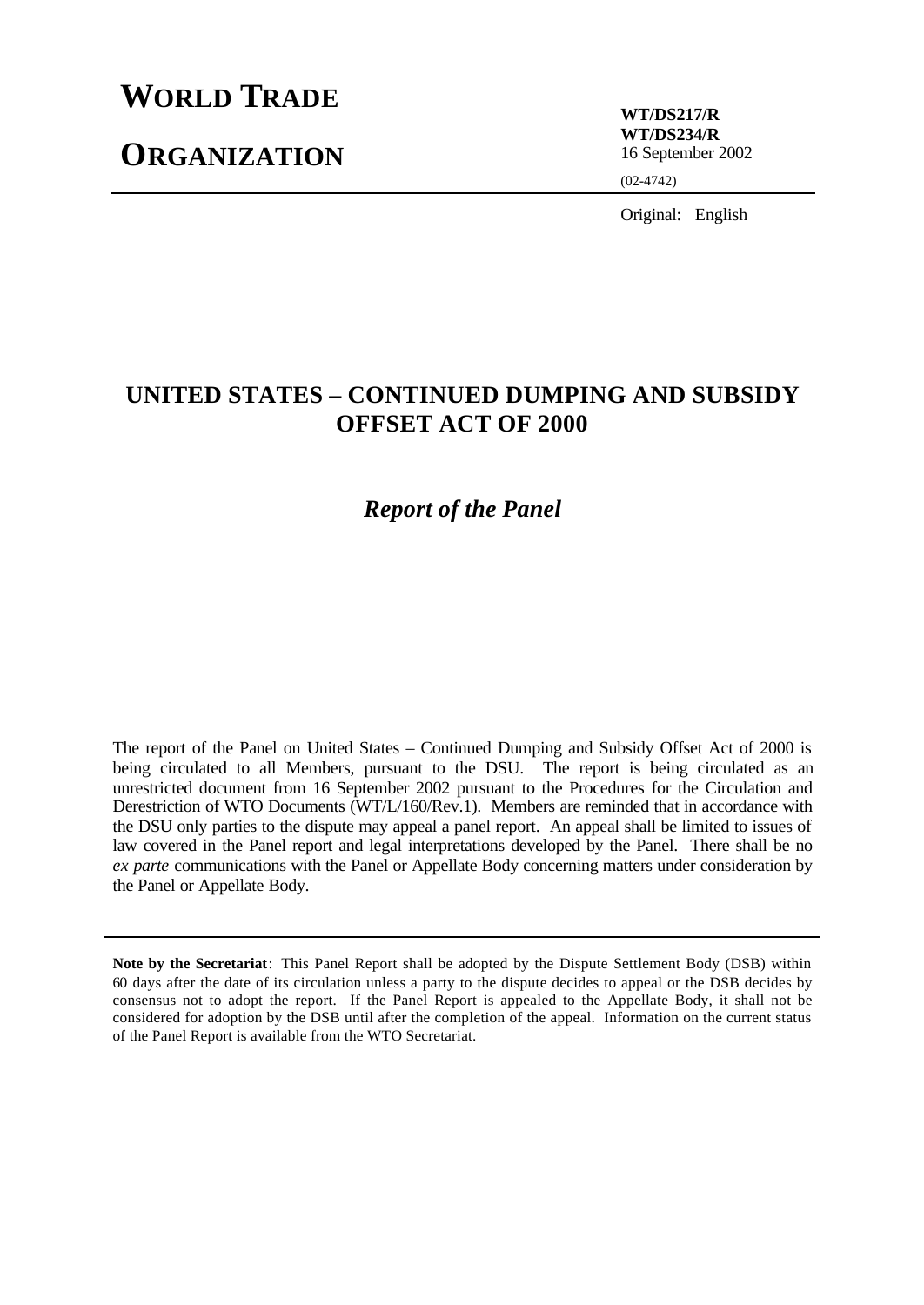# **WORLD TRADE**

# **ORGANIZATION**

**WT/DS217/R WT/DS234/R** 16 September 2002

(02-4742)

Original: English

# **UNITED STATES – CONTINUED DUMPING AND SUBSIDY OFFSET ACT OF 2000**

# *Report of the Panel*

The report of the Panel on United States – Continued Dumping and Subsidy Offset Act of 2000 is being circulated to all Members, pursuant to the DSU. The report is being circulated as an unrestricted document from 16 September 2002 pursuant to the Procedures for the Circulation and Derestriction of WTO Documents (WT/L/160/Rev.1). Members are reminded that in accordance with the DSU only parties to the dispute may appeal a panel report. An appeal shall be limited to issues of law covered in the Panel report and legal interpretations developed by the Panel. There shall be no *ex parte* communications with the Panel or Appellate Body concerning matters under consideration by the Panel or Appellate Body.

**Note by the Secretariat**: This Panel Report shall be adopted by the Dispute Settlement Body (DSB) within 60 days after the date of its circulation unless a party to the dispute decides to appeal or the DSB decides by consensus not to adopt the report. If the Panel Report is appealed to the Appellate Body, it shall not be considered for adoption by the DSB until after the completion of the appeal. Information on the current status of the Panel Report is available from the WTO Secretariat.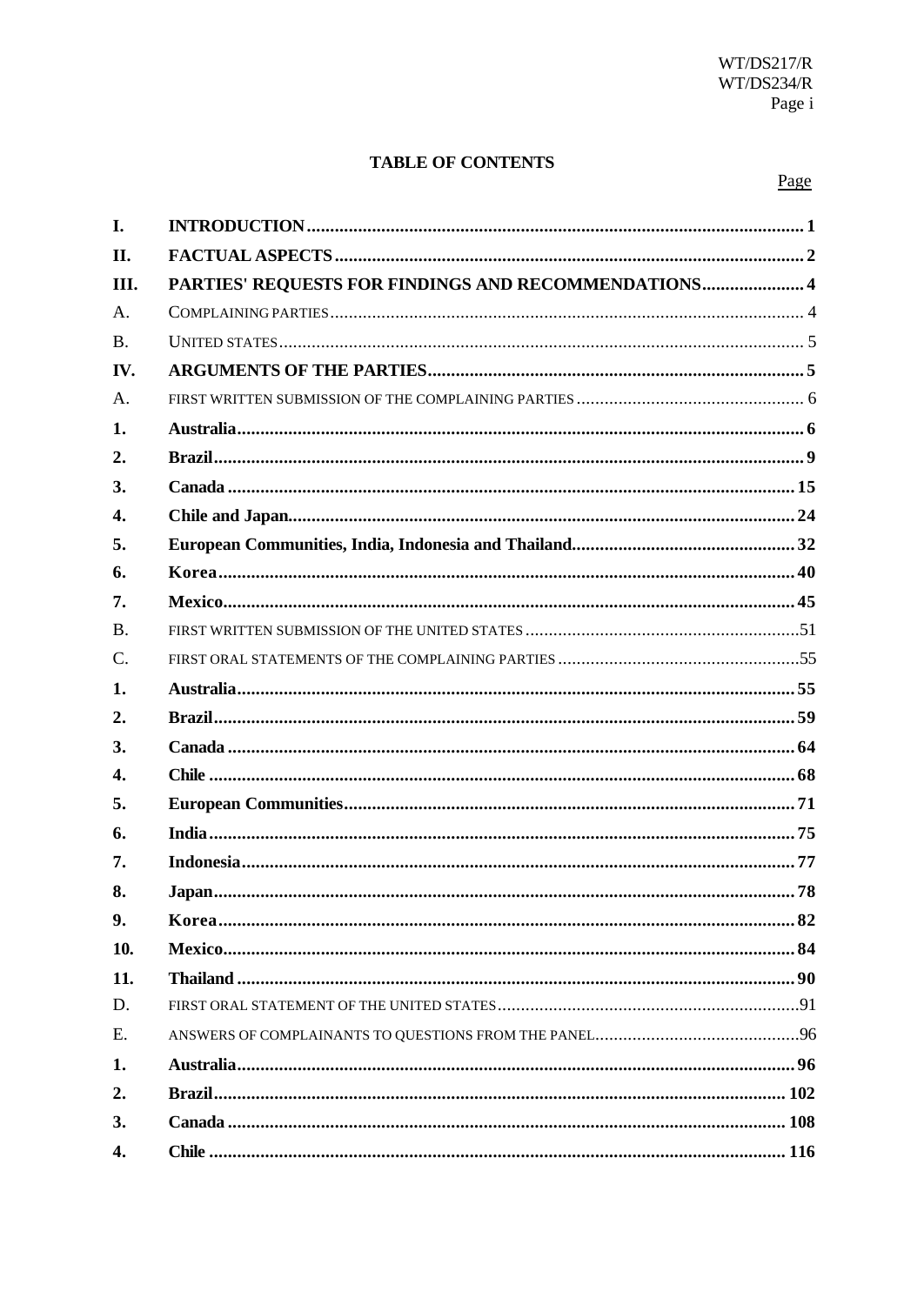### **TABLE OF CONTENTS**

| I.                 |                                                      |
|--------------------|------------------------------------------------------|
| II.                |                                                      |
| III.               | PARTIES' REQUESTS FOR FINDINGS AND RECOMMENDATIONS 4 |
| $\mathsf{A}$ .     |                                                      |
| <b>B.</b>          |                                                      |
| IV.                |                                                      |
| A.                 |                                                      |
| 1.                 |                                                      |
| 2.                 |                                                      |
| 3.                 |                                                      |
| 4.                 |                                                      |
| 5.                 |                                                      |
| 6.                 |                                                      |
| 7.                 |                                                      |
| <b>B.</b>          |                                                      |
| C.                 |                                                      |
| 1.                 |                                                      |
| 2.                 |                                                      |
| 3.                 |                                                      |
| $\boldsymbol{4}$ . |                                                      |
| 5.                 |                                                      |
| 6.                 |                                                      |
| 7.                 |                                                      |
| 8.                 |                                                      |
| 9.                 |                                                      |
| 10.                |                                                      |
| 11.                |                                                      |
| D.                 |                                                      |
| E.                 |                                                      |
| 1.                 |                                                      |
| 2.                 |                                                      |
| 3.                 |                                                      |
| 4.                 |                                                      |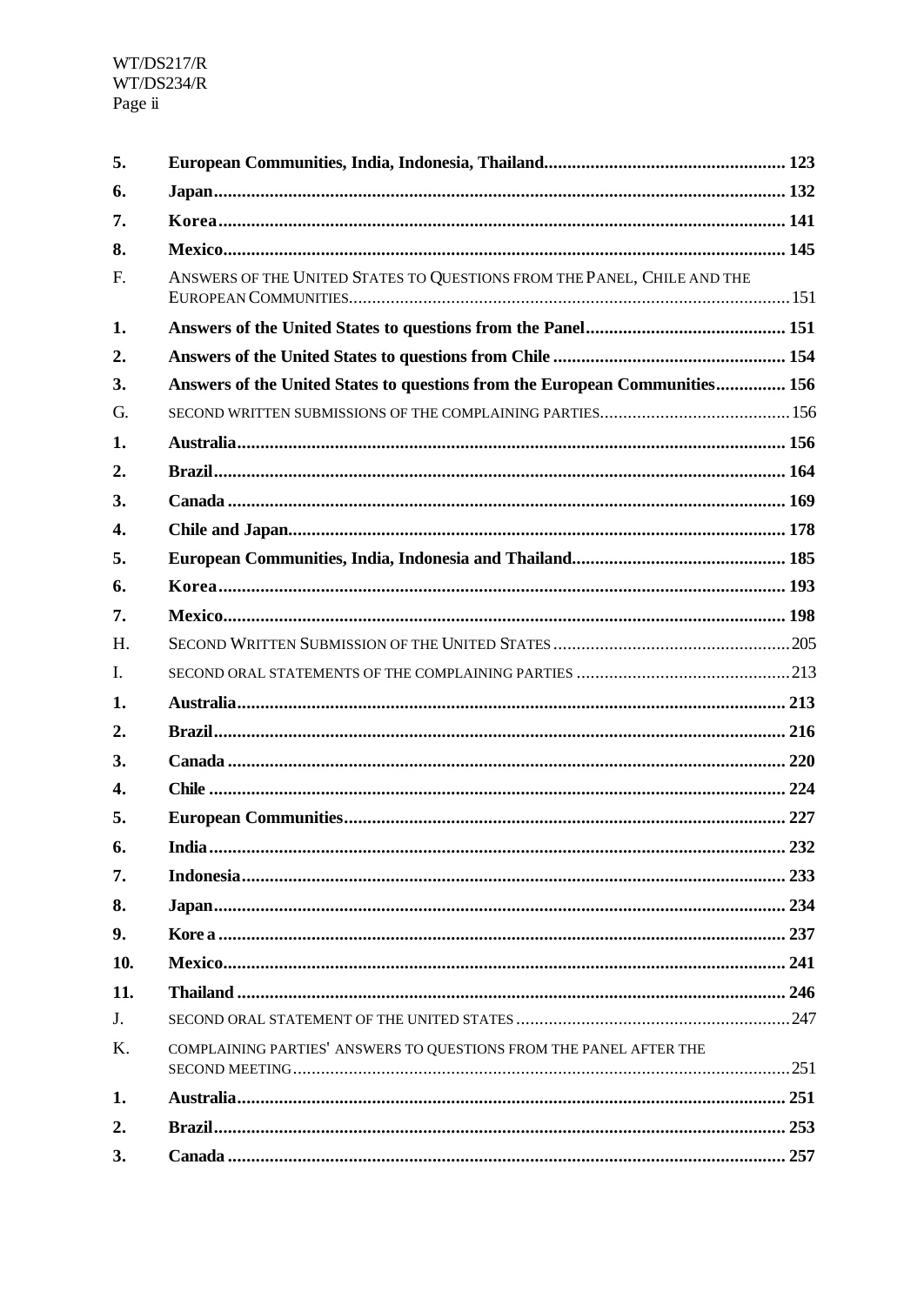| 5.               |                                                                             |      |
|------------------|-----------------------------------------------------------------------------|------|
| 6.               |                                                                             |      |
| 7.               |                                                                             |      |
| 8.               |                                                                             |      |
| F.               | ANSWERS OF THE UNITED STATES TO QUESTIONS FROM THE PANEL, CHILE AND THE     |      |
| 1.               |                                                                             |      |
| 2.               |                                                                             |      |
| 3.               | Answers of the United States to questions from the European Communities 156 |      |
| G.               |                                                                             |      |
| 1.               |                                                                             |      |
| 2.               |                                                                             |      |
| 3.               |                                                                             |      |
| 4.               |                                                                             |      |
| 5.               |                                                                             |      |
| 6.               |                                                                             |      |
| 7.               |                                                                             |      |
| H.               |                                                                             |      |
| I.               |                                                                             |      |
| 1.               |                                                                             |      |
| $\overline{2}$ . |                                                                             |      |
| 3.               |                                                                             |      |
| 4.               |                                                                             |      |
| 5.               |                                                                             |      |
| 6.               | .mdia                                                                       | .232 |
| 7.               |                                                                             |      |
| 8.               |                                                                             |      |
| 9.               |                                                                             |      |
| 10.              |                                                                             |      |
| 11.              |                                                                             |      |
| J.               |                                                                             |      |
| K.               | COMPLAINING PARTIES' ANSWERS TO QUESTIONS FROM THE PANEL AFTER THE          |      |
| 1.               |                                                                             |      |
| 2.               |                                                                             |      |
| 3.               |                                                                             |      |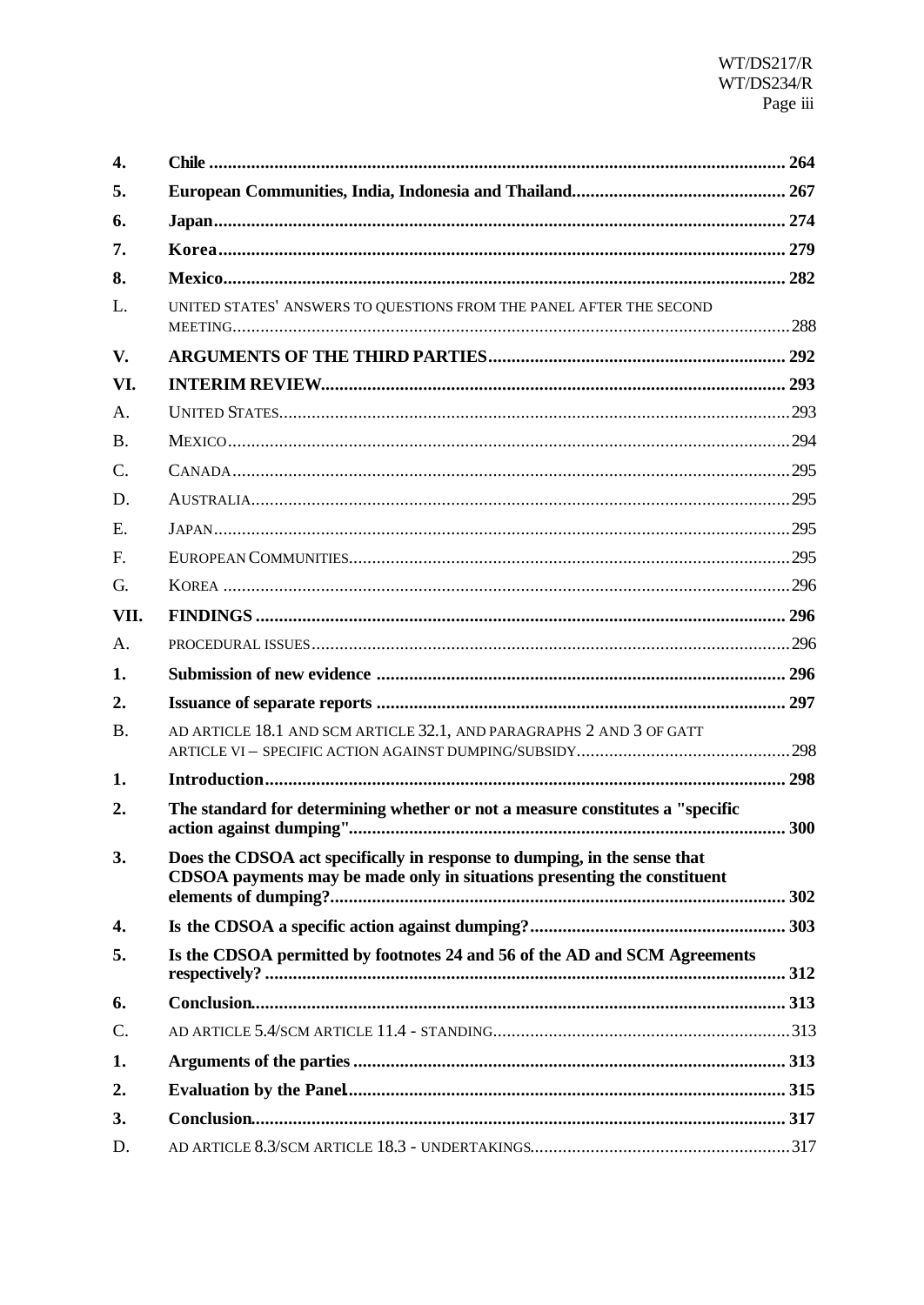| $\overline{4}$ . |                                                                                                                                                       |     |
|------------------|-------------------------------------------------------------------------------------------------------------------------------------------------------|-----|
| 5.               |                                                                                                                                                       |     |
| 6.               |                                                                                                                                                       |     |
| 7.               |                                                                                                                                                       |     |
| 8.               |                                                                                                                                                       |     |
| L.               | UNITED STATES' ANSWERS TO QUESTIONS FROM THE PANEL AFTER THE SECOND                                                                                   |     |
| V.               |                                                                                                                                                       |     |
| VI.              |                                                                                                                                                       |     |
| A.               |                                                                                                                                                       |     |
| <b>B.</b>        |                                                                                                                                                       |     |
| $C$ .            |                                                                                                                                                       |     |
| D.               |                                                                                                                                                       |     |
| E.               |                                                                                                                                                       |     |
| $F_{\cdot}$      |                                                                                                                                                       |     |
| G.               |                                                                                                                                                       |     |
| VII.             |                                                                                                                                                       |     |
| A.               |                                                                                                                                                       |     |
| 1.               |                                                                                                                                                       |     |
| 2.               |                                                                                                                                                       |     |
| <b>B.</b>        | AD ARTICLE 18.1 AND SCM ARTICLE 32.1, AND PARAGRAPHS 2 AND 3 OF GATT                                                                                  |     |
| 1.               |                                                                                                                                                       | 298 |
| 2.               | The standard for determining whether or not a measure constitutes a "specific                                                                         |     |
| 3.               | Does the CDSOA act specifically in response to dumping, in the sense that<br>CDSOA payments may be made only in situations presenting the constituent |     |
|                  |                                                                                                                                                       |     |
| $\overline{4}$ . |                                                                                                                                                       |     |
| 5.               | Is the CDSOA permitted by footnotes 24 and 56 of the AD and SCM Agreements                                                                            |     |
| 6.               |                                                                                                                                                       |     |
| $\mathbf{C}$ .   |                                                                                                                                                       |     |
| 1.               |                                                                                                                                                       |     |
| 2.               |                                                                                                                                                       |     |
| 3.               |                                                                                                                                                       |     |
| D.               |                                                                                                                                                       |     |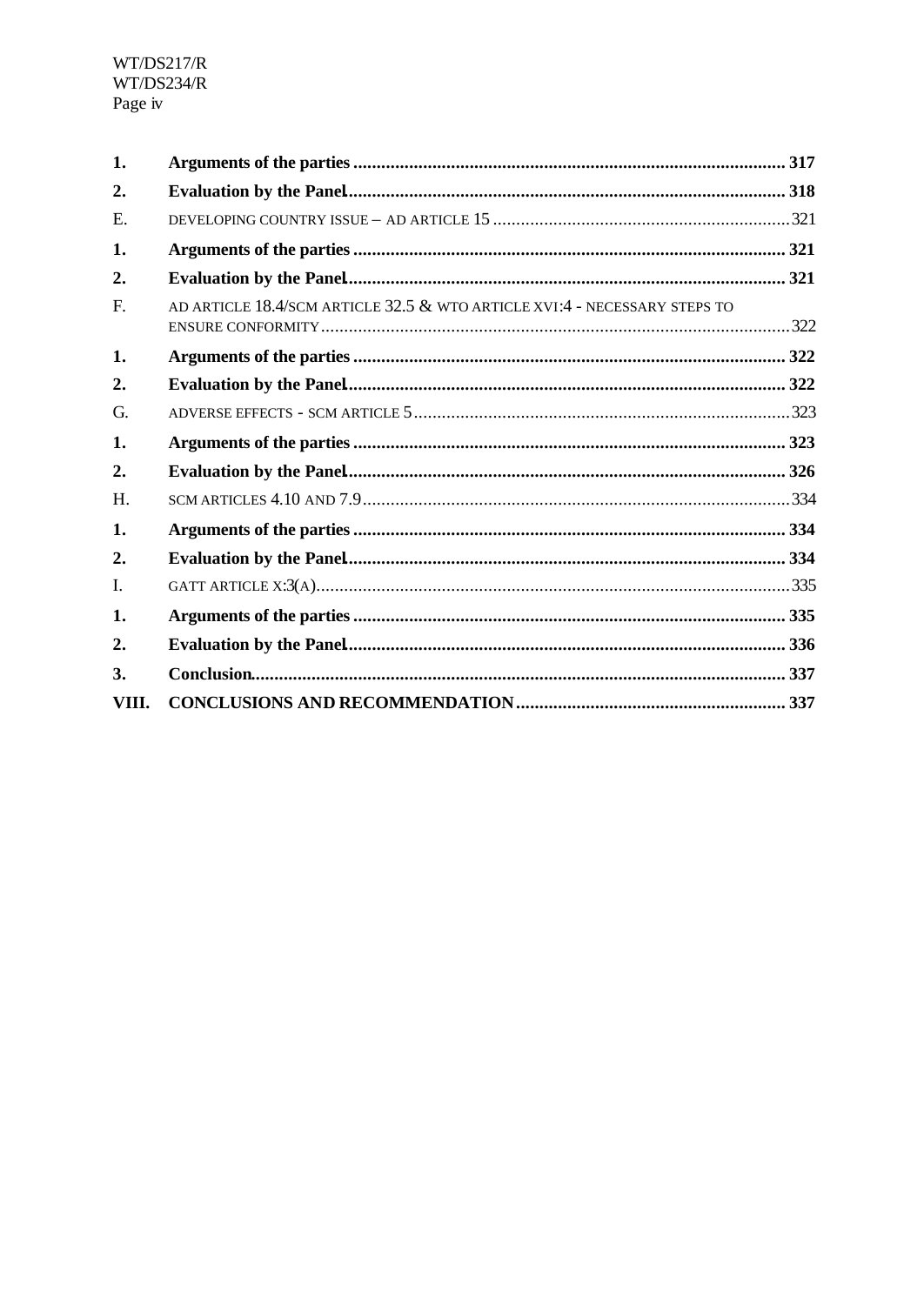| 1.             |                                                                           |  |
|----------------|---------------------------------------------------------------------------|--|
| 2.             |                                                                           |  |
| Е.             |                                                                           |  |
| 1.             |                                                                           |  |
| 2.             |                                                                           |  |
| F.             | AD ARTICLE 18.4/SCM ARTICLE 32.5 & WTO ARTICLE XVI:4 - NECESSARY STEPS TO |  |
| 1.             |                                                                           |  |
| 2.             |                                                                           |  |
| G.             |                                                                           |  |
| 1.             |                                                                           |  |
| 2.             |                                                                           |  |
| H.             |                                                                           |  |
| 1.             |                                                                           |  |
| 2.             |                                                                           |  |
| $\mathbf{I}$ . |                                                                           |  |
| 1.             |                                                                           |  |
| 2.             |                                                                           |  |
| 3.             |                                                                           |  |
| VIII.          |                                                                           |  |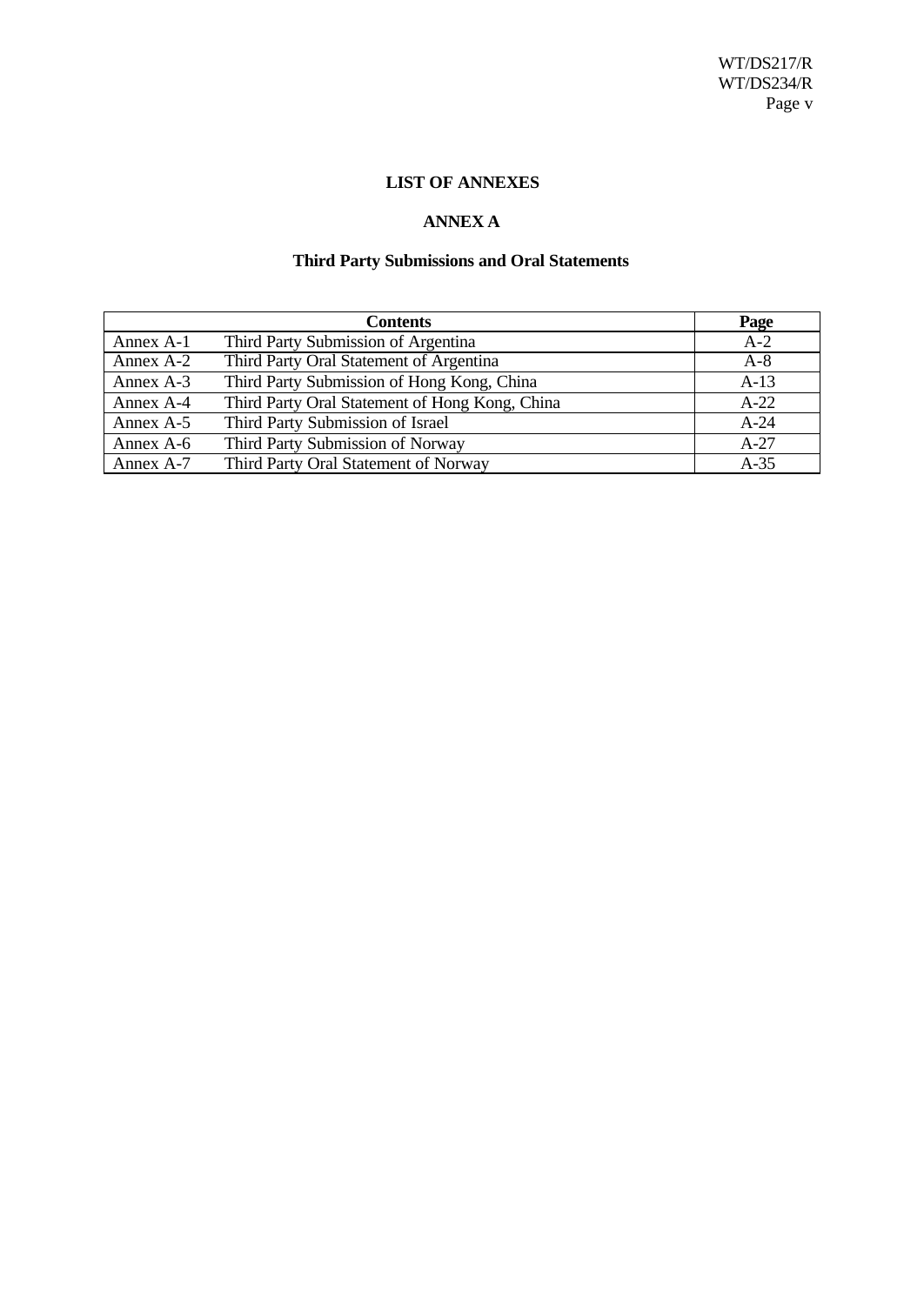## **LIST OF ANNEXES**

## **ANNEX A**

## **Third Party Submissions and Oral Statements**

|           | <b>Contents</b>                                | Page   |
|-----------|------------------------------------------------|--------|
| Annex A-1 | Third Party Submission of Argentina            | $A-2$  |
| Annex A-2 | Third Party Oral Statement of Argentina        | $A-8$  |
| Annex A-3 | Third Party Submission of Hong Kong, China     | $A-13$ |
| Annex A-4 | Third Party Oral Statement of Hong Kong, China | $A-22$ |
| Annex A-5 | Third Party Submission of Israel               | $A-24$ |
| Annex A-6 | Third Party Submission of Norway               | $A-27$ |
| Annex A-7 | Third Party Oral Statement of Norway           | $A-35$ |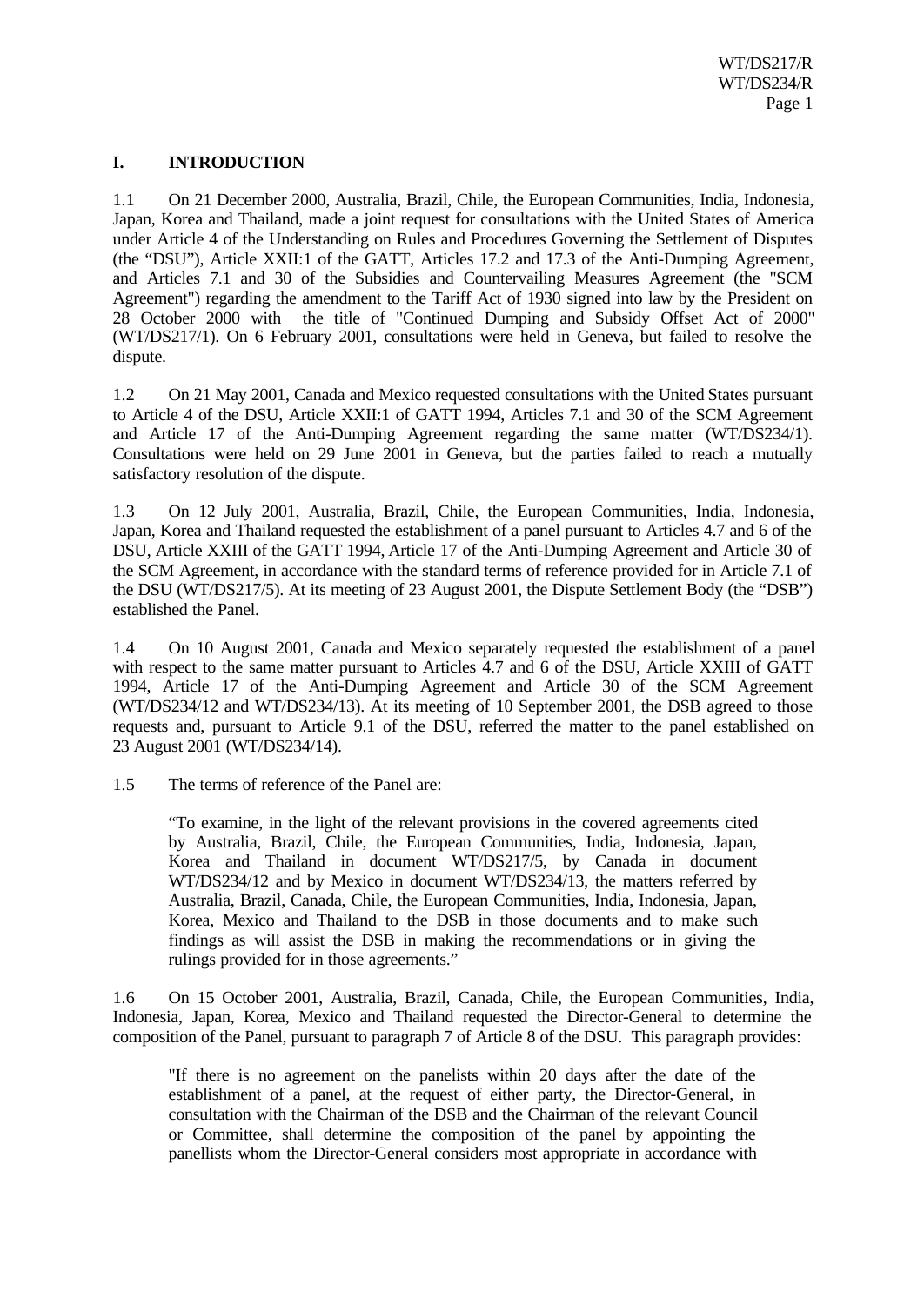#### **I. INTRODUCTION**

1.1 On 21 December 2000, Australia, Brazil, Chile, the European Communities, India, Indonesia, Japan, Korea and Thailand, made a joint request for consultations with the United States of America under Article 4 of the Understanding on Rules and Procedures Governing the Settlement of Disputes (the "DSU"), Article XXII:1 of the GATT, Articles 17.2 and 17.3 of the Anti-Dumping Agreement, and Articles 7.1 and 30 of the Subsidies and Countervailing Measures Agreement (the "SCM Agreement") regarding the amendment to the Tariff Act of 1930 signed into law by the President on 28 October 2000 with the title of "Continued Dumping and Subsidy Offset Act of 2000" (WT/DS217/1). On 6 February 2001, consultations were held in Geneva, but failed to resolve the dispute.

1.2 On 21 May 2001, Canada and Mexico requested consultations with the United States pursuant to Article 4 of the DSU, Article XXII:1 of GATT 1994, Articles 7.1 and 30 of the SCM Agreement and Article 17 of the Anti-Dumping Agreement regarding the same matter (WT/DS234/1). Consultations were held on 29 June 2001 in Geneva, but the parties failed to reach a mutually satisfactory resolution of the dispute.

1.3 On 12 July 2001, Australia, Brazil, Chile, the European Communities, India, Indonesia, Japan, Korea and Thailand requested the establishment of a panel pursuant to Articles 4.7 and 6 of the DSU, Article XXIII of the GATT 1994, Article 17 of the Anti-Dumping Agreement and Article 30 of the SCM Agreement, in accordance with the standard terms of reference provided for in Article 7.1 of the DSU (WT/DS217/5). At its meeting of 23 August 2001, the Dispute Settlement Body (the "DSB") established the Panel.

1.4 On 10 August 2001, Canada and Mexico separately requested the establishment of a panel with respect to the same matter pursuant to Articles 4.7 and 6 of the DSU, Article XXIII of GATT 1994, Article 17 of the Anti-Dumping Agreement and Article 30 of the SCM Agreement (WT/DS234/12 and WT/DS234/13). At its meeting of 10 September 2001, the DSB agreed to those requests and, pursuant to Article 9.1 of the DSU, referred the matter to the panel established on 23 August 2001 (WT/DS234/14).

1.5 The terms of reference of the Panel are:

"To examine, in the light of the relevant provisions in the covered agreements cited by Australia, Brazil, Chile, the European Communities, India, Indonesia, Japan, Korea and Thailand in document WT/DS217/5, by Canada in document WT/DS234/12 and by Mexico in document WT/DS234/13, the matters referred by Australia, Brazil, Canada, Chile, the European Communities, India, Indonesia, Japan, Korea, Mexico and Thailand to the DSB in those documents and to make such findings as will assist the DSB in making the recommendations or in giving the rulings provided for in those agreements."

1.6 On 15 October 2001, Australia, Brazil, Canada, Chile, the European Communities, India, Indonesia, Japan, Korea, Mexico and Thailand requested the Director-General to determine the composition of the Panel, pursuant to paragraph 7 of Article 8 of the DSU. This paragraph provides:

"If there is no agreement on the panelists within 20 days after the date of the establishment of a panel, at the request of either party, the Director-General, in consultation with the Chairman of the DSB and the Chairman of the relevant Council or Committee, shall determine the composition of the panel by appointing the panellists whom the Director-General considers most appropriate in accordance with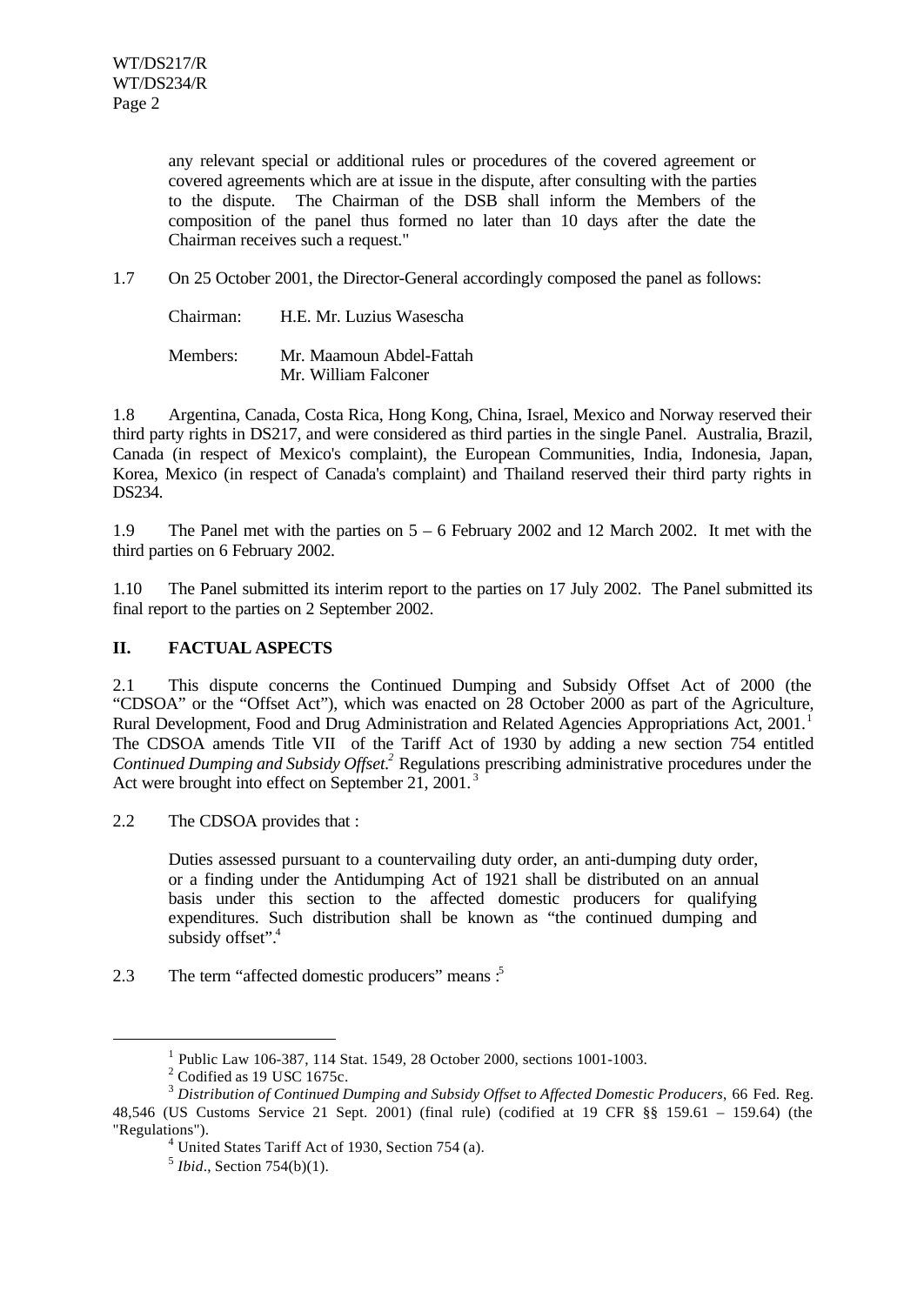any relevant special or additional rules or procedures of the covered agreement or covered agreements which are at issue in the dispute, after consulting with the parties to the dispute. The Chairman of the DSB shall inform the Members of the composition of the panel thus formed no later than 10 days after the date the Chairman receives such a request."

1.7 On 25 October 2001, the Director-General accordingly composed the panel as follows:

Chairman: H.E. Mr. Luzius Wasescha

Members: Mr. Maamoun Abdel-Fattah Mr. William Falconer

1.8 Argentina, Canada, Costa Rica, Hong Kong, China, Israel, Mexico and Norway reserved their third party rights in DS217, and were considered as third parties in the single Panel. Australia, Brazil, Canada (in respect of Mexico's complaint), the European Communities, India, Indonesia, Japan, Korea, Mexico (in respect of Canada's complaint) and Thailand reserved their third party rights in DS234.

1.9 The Panel met with the parties on 5 – 6 February 2002 and 12 March 2002. It met with the third parties on 6 February 2002.

1.10 The Panel submitted its interim report to the parties on 17 July 2002. The Panel submitted its final report to the parties on 2 September 2002.

#### **II. FACTUAL ASPECTS**

2.1 This dispute concerns the Continued Dumping and Subsidy Offset Act of 2000 (the "CDSOA" or the "Offset Act"), which was enacted on 28 October 2000 as part of the Agriculture, Rural Development, Food and Drug Administration and Related Agencies Appropriations Act, 2001.<sup>1</sup> The CDSOA amends Title VII of the Tariff Act of 1930 by adding a new section 754 entitled Continued Dumping and Subsidy Offset.<sup>2</sup> Regulations prescribing administrative procedures under the Act were brought into effect on September 21, 2001.<sup>3</sup>

2.2 The CDSOA provides that :

Duties assessed pursuant to a countervailing duty order, an anti-dumping duty order, or a finding under the Antidumping Act of 1921 shall be distributed on an annual basis under this section to the affected domestic producers for qualifying expenditures. Such distribution shall be known as "the continued dumping and subsidy offset".<sup>4</sup>

2.3 The term "affected domestic producers" means :<sup>5</sup>

<sup>&</sup>lt;sup>1</sup> Public Law 106-387, 114 Stat. 1549, 28 October 2000, sections 1001-1003.

 $2^2$  Codified as 19 USC 1675c.

<sup>3</sup> *Distribution of Continued Dumping and Subsidy Offset to Affected Domestic Producers*, 66 Fed. Reg. 48,546 (US Customs Service 21 Sept. 2001) (final rule) (codified at 19 CFR §§ 159.61 – 159.64) (the "Regulations").

<sup>&</sup>lt;sup>4</sup> United States Tariff Act of 1930, Section 754 (a).

<sup>5</sup> *Ibid*., Section 754(b)(1).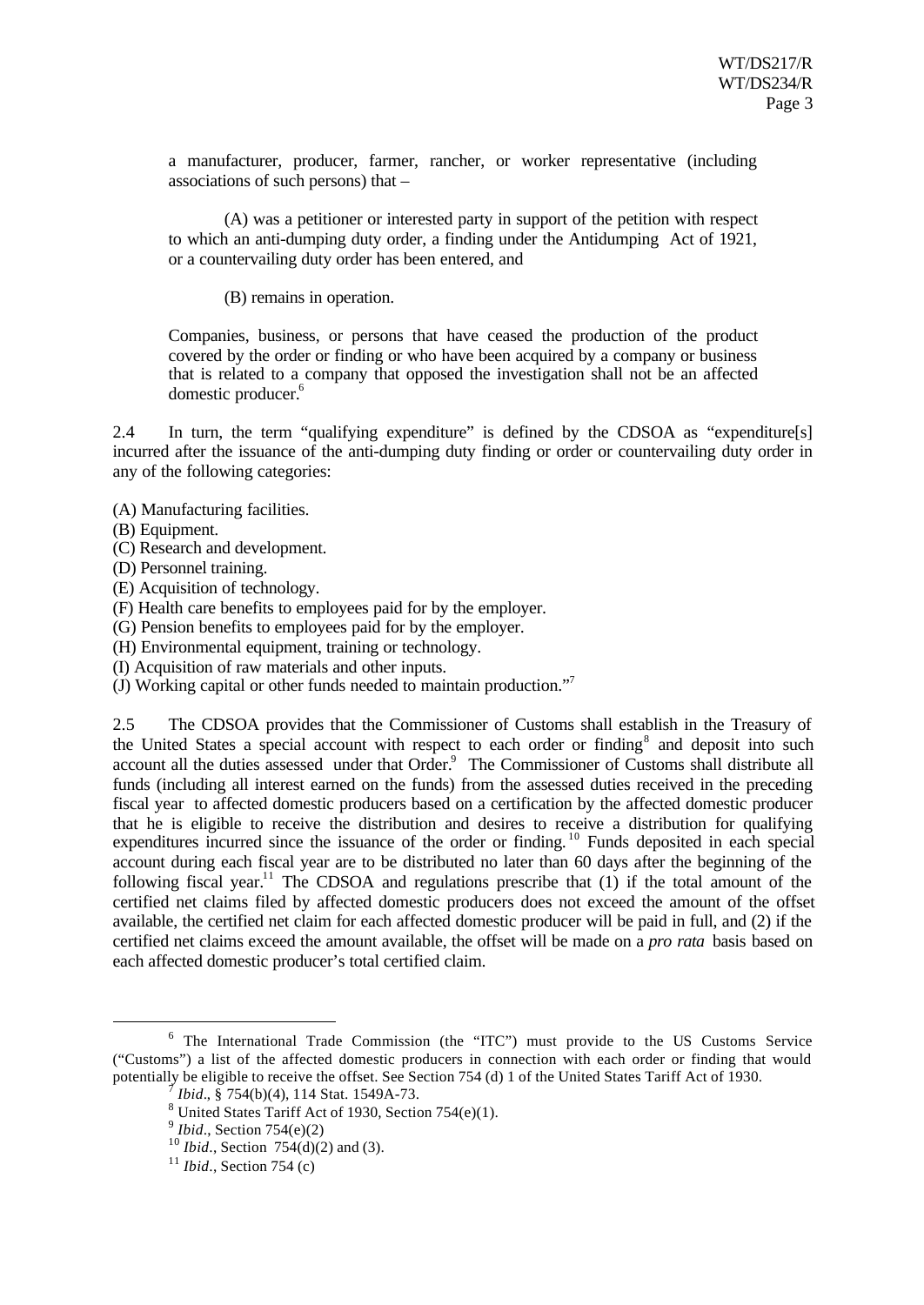a manufacturer, producer, farmer, rancher, or worker representative (including associations of such persons) that –

(A) was a petitioner or interested party in support of the petition with respect to which an anti-dumping duty order, a finding under the Antidumping Act of 1921, or a countervailing duty order has been entered, and

(B) remains in operation.

Companies, business, or persons that have ceased the production of the product covered by the order or finding or who have been acquired by a company or business that is related to a company that opposed the investigation shall not be an affected domestic producer.<sup>6</sup>

2.4 In turn, the term "qualifying expenditure" is defined by the CDSOA as "expenditure[s] incurred after the issuance of the anti-dumping duty finding or order or countervailing duty order in any of the following categories:

(A) Manufacturing facilities.

(B) Equipment.

l

(C) Research and development.

(D) Personnel training.

(E) Acquisition of technology.

(F) Health care benefits to employees paid for by the employer.

(G) Pension benefits to employees paid for by the employer.

(H) Environmental equipment, training or technology.

(I) Acquisition of raw materials and other inputs.

(J) Working capital or other funds needed to maintain production."<sup>7</sup>

2.5 The CDSOA provides that the Commissioner of Customs shall establish in the Treasury of the United States a special account with respect to each order or finding<sup>8</sup> and deposit into such account all the duties assessed under that Order.<sup>9</sup> The Commissioner of Customs shall distribute all funds (including all interest earned on the funds) from the assessed duties received in the preceding fiscal year to affected domestic producers based on a certification by the affected domestic producer that he is eligible to receive the distribution and desires to receive a distribution for qualifying expenditures incurred since the issuance of the order or finding.<sup>10</sup> Funds deposited in each special account during each fiscal year are to be distributed no later than 60 days after the beginning of the following fiscal year.<sup>11</sup> The CDSOA and regulations prescribe that  $(1)$  if the total amount of the certified net claims filed by affected domestic producers does not exceed the amount of the offset available, the certified net claim for each affected domestic producer will be paid in full, and (2) if the certified net claims exceed the amount available, the offset will be made on a *pro rata* basis based on each affected domestic producer's total certified claim.

<sup>&</sup>lt;sup>6</sup> The International Trade Commission (the "ITC") must provide to the US Customs Service ("Customs") a list of the affected domestic producers in connection with each order or finding that would potentially be eligible to receive the offset. See Section 754 (d) 1 of the United States Tariff Act of 1930.

<sup>7</sup> *Ibid*., § 754(b)(4), 114 Stat. 1549A-73.

 $8$  United States Tariff Act of 1930, Section 754(e)(1).

<sup>9</sup> *Ibid*., Section 754(e)(2)

 $10\mu$ ., Section  $754(d)(2)$  and (3).

<sup>11</sup> *Ibid*., Section 754 (c)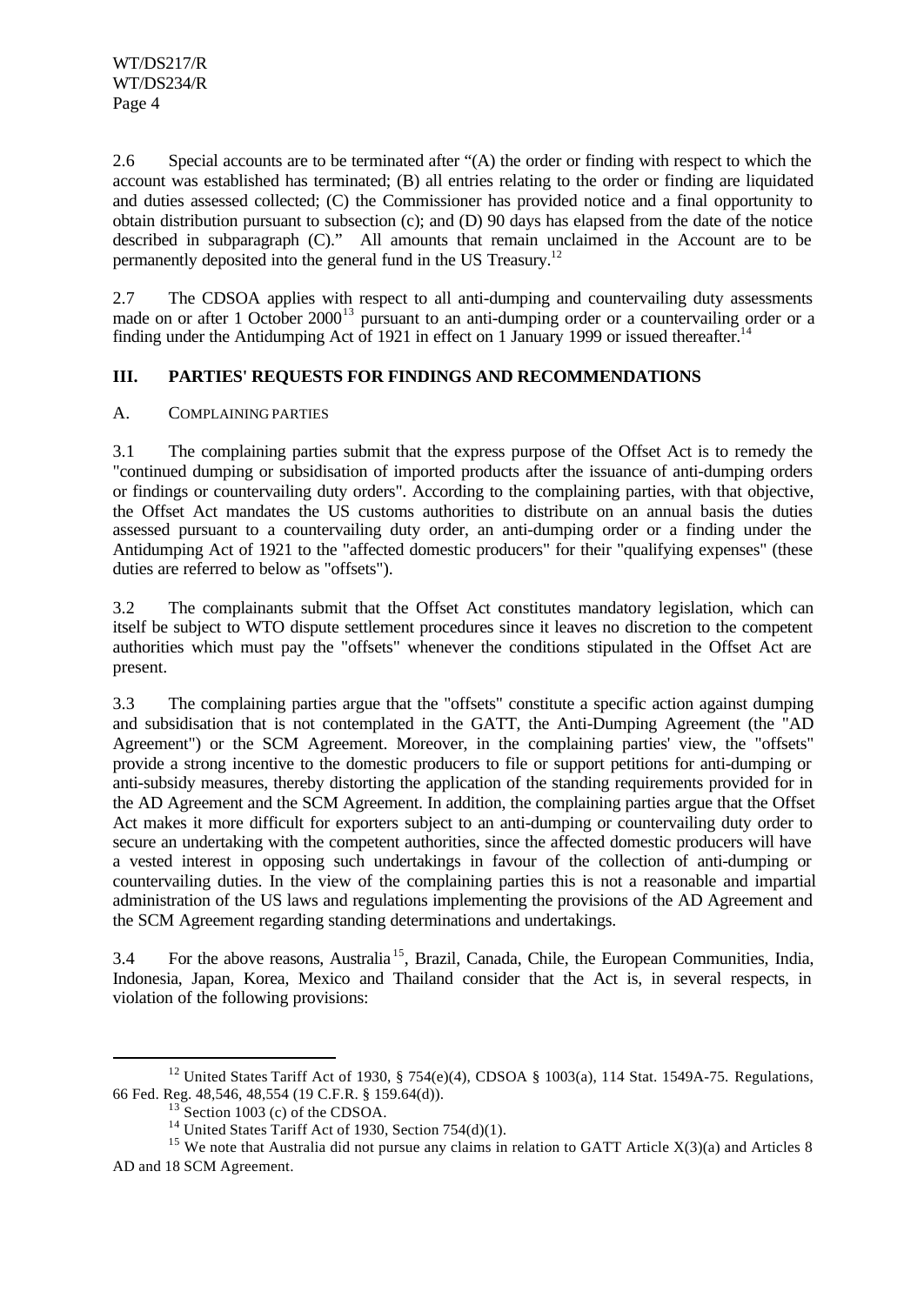2.6 Special accounts are to be terminated after "(A) the order or finding with respect to which the account was established has terminated; (B) all entries relating to the order or finding are liquidated and duties assessed collected; (C) the Commissioner has provided notice and a final opportunity to obtain distribution pursuant to subsection (c); and (D) 90 days has elapsed from the date of the notice described in subparagraph (C)." All amounts that remain unclaimed in the Account are to be permanently deposited into the general fund in the US Treasury.<sup>12</sup>

2.7 The CDSOA applies with respect to all anti-dumping and countervailing duty assessments made on or after 1 October 2000<sup>13</sup> pursuant to an anti-dumping order or a countervailing order or a finding under the Antidumping Act of 1921 in effect on 1 January 1999 or issued thereafter.<sup>1</sup>

#### **III. PARTIES' REQUESTS FOR FINDINGS AND RECOMMENDATIONS**

#### A. COMPLAINING PARTIES

3.1 The complaining parties submit that the express purpose of the Offset Act is to remedy the "continued dumping or subsidisation of imported products after the issuance of anti-dumping orders or findings or countervailing duty orders". According to the complaining parties, with that objective, the Offset Act mandates the US customs authorities to distribute on an annual basis the duties assessed pursuant to a countervailing duty order, an anti-dumping order or a finding under the Antidumping Act of 1921 to the "affected domestic producers" for their "qualifying expenses" (these duties are referred to below as "offsets").

3.2 The complainants submit that the Offset Act constitutes mandatory legislation, which can itself be subject to WTO dispute settlement procedures since it leaves no discretion to the competent authorities which must pay the "offsets" whenever the conditions stipulated in the Offset Act are present.

3.3 The complaining parties argue that the "offsets" constitute a specific action against dumping and subsidisation that is not contemplated in the GATT, the Anti-Dumping Agreement (the "AD Agreement") or the SCM Agreement. Moreover, in the complaining parties' view, the "offsets" provide a strong incentive to the domestic producers to file or support petitions for anti-dumping or anti-subsidy measures, thereby distorting the application of the standing requirements provided for in the AD Agreement and the SCM Agreement. In addition, the complaining parties argue that the Offset Act makes it more difficult for exporters subject to an anti-dumping or countervailing duty order to secure an undertaking with the competent authorities, since the affected domestic producers will have a vested interest in opposing such undertakings in favour of the collection of anti-dumping or countervailing duties. In the view of the complaining parties this is not a reasonable and impartial administration of the US laws and regulations implementing the provisions of the AD Agreement and the SCM Agreement regarding standing determinations and undertakings.

3.4 For the above reasons, Australia <sup>15</sup>, Brazil, Canada, Chile, the European Communities, India, Indonesia, Japan, Korea, Mexico and Thailand consider that the Act is, in several respects, in violation of the following provisions:

<sup>&</sup>lt;sup>12</sup> United States Tariff Act of 1930, § 754(e)(4), CDSOA § 1003(a), 114 Stat. 1549A-75. Regulations, 66 Fed. Reg. 48,546, 48,554 (19 C.F.R. § 159.64(d)).

 $^{13}$  Section 1003 (c) of the CDSOA.

<sup>&</sup>lt;sup>14</sup> United States Tariff Act of 1930, Section 754(d)(1).

<sup>&</sup>lt;sup>15</sup> We note that Australia did not pursue any claims in relation to GATT Article X(3)(a) and Articles 8 AD and 18 SCM Agreement.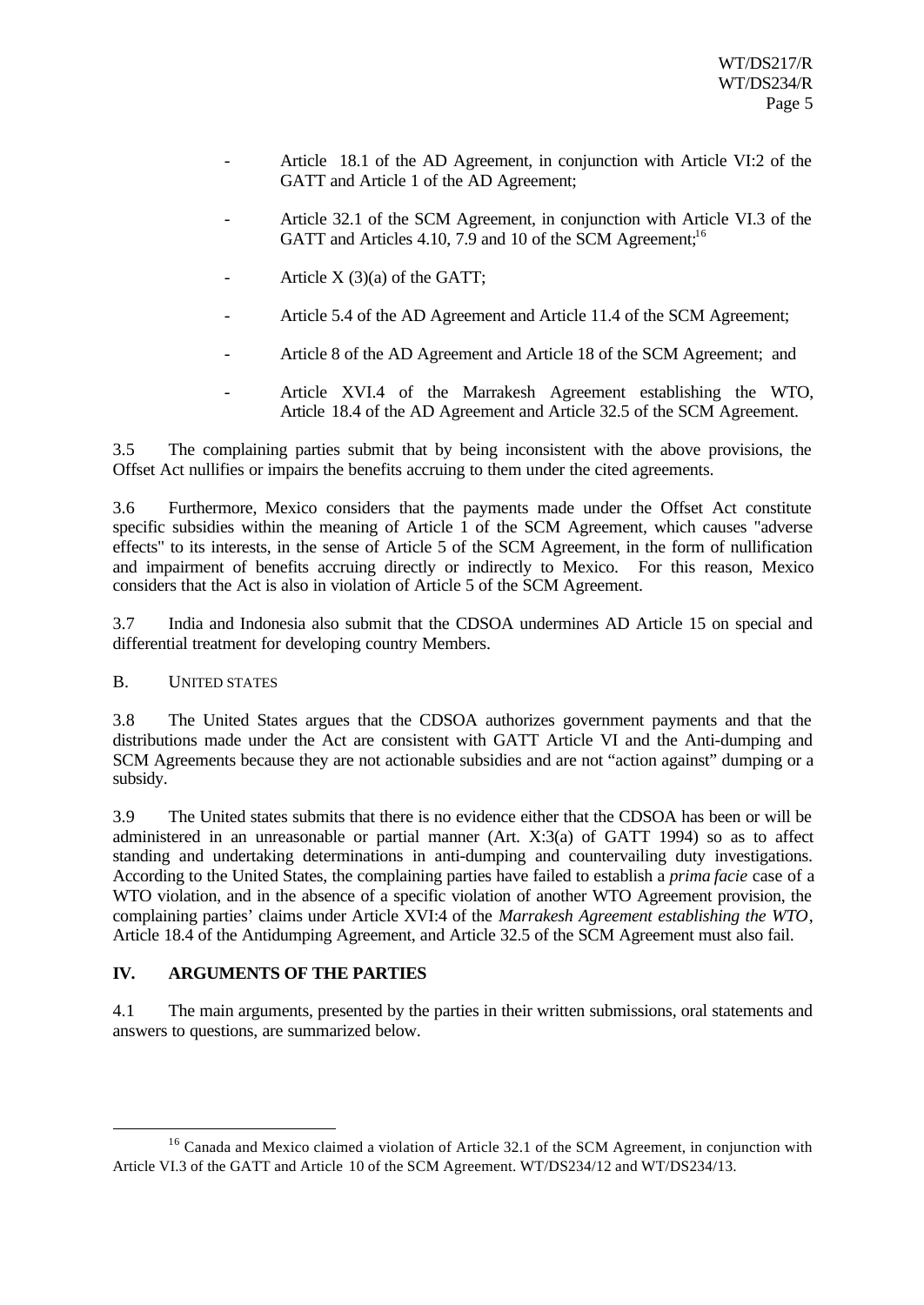- Article 18.1 of the AD Agreement, in conjunction with Article VI:2 of the GATT and Article 1 of the AD Agreement;
- Article 32.1 of the SCM Agreement, in conjunction with Article VI.3 of the GATT and Articles 4.10, 7.9 and 10 of the SCM Agreement;<sup>16</sup>
- Article  $X(3)(a)$  of the GATT;
- Article 5.4 of the AD Agreement and Article 11.4 of the SCM Agreement;
- Article 8 of the AD Agreement and Article 18 of the SCM Agreement; and
- Article XVI.4 of the Marrakesh Agreement establishing the WTO, Article 18.4 of the AD Agreement and Article 32.5 of the SCM Agreement.

3.5 The complaining parties submit that by being inconsistent with the above provisions, the Offset Act nullifies or impairs the benefits accruing to them under the cited agreements.

3.6 Furthermore, Mexico considers that the payments made under the Offset Act constitute specific subsidies within the meaning of Article 1 of the SCM Agreement, which causes "adverse effects" to its interests, in the sense of Article 5 of the SCM Agreement, in the form of nullification and impairment of benefits accruing directly or indirectly to Mexico. For this reason, Mexico considers that the Act is also in violation of Article 5 of the SCM Agreement.

3.7 India and Indonesia also submit that the CDSOA undermines AD Article 15 on special and differential treatment for developing country Members.

#### B. UNITED STATES

l

3.8 The United States argues that the CDSOA authorizes government payments and that the distributions made under the Act are consistent with GATT Article VI and the Anti-dumping and SCM Agreements because they are not actionable subsidies and are not "action against" dumping or a subsidy.

3.9 The United states submits that there is no evidence either that the CDSOA has been or will be administered in an unreasonable or partial manner (Art. X:3(a) of GATT 1994) so as to affect standing and undertaking determinations in anti-dumping and countervailing duty investigations. According to the United States, the complaining parties have failed to establish a *prima facie* case of a WTO violation, and in the absence of a specific violation of another WTO Agreement provision, the complaining parties' claims under Article XVI:4 of the *Marrakesh Agreement establishing the WTO*, Article 18.4 of the Antidumping Agreement, and Article 32.5 of the SCM Agreement must also fail.

#### **IV. ARGUMENTS OF THE PARTIES**

4.1 The main arguments, presented by the parties in their written submissions, oral statements and answers to questions, are summarized below.

<sup>&</sup>lt;sup>16</sup> Canada and Mexico claimed a violation of Article 32.1 of the SCM Agreement, in conjunction with Article VI.3 of the GATT and Article 10 of the SCM Agreement. WT/DS234/12 and WT/DS234/13.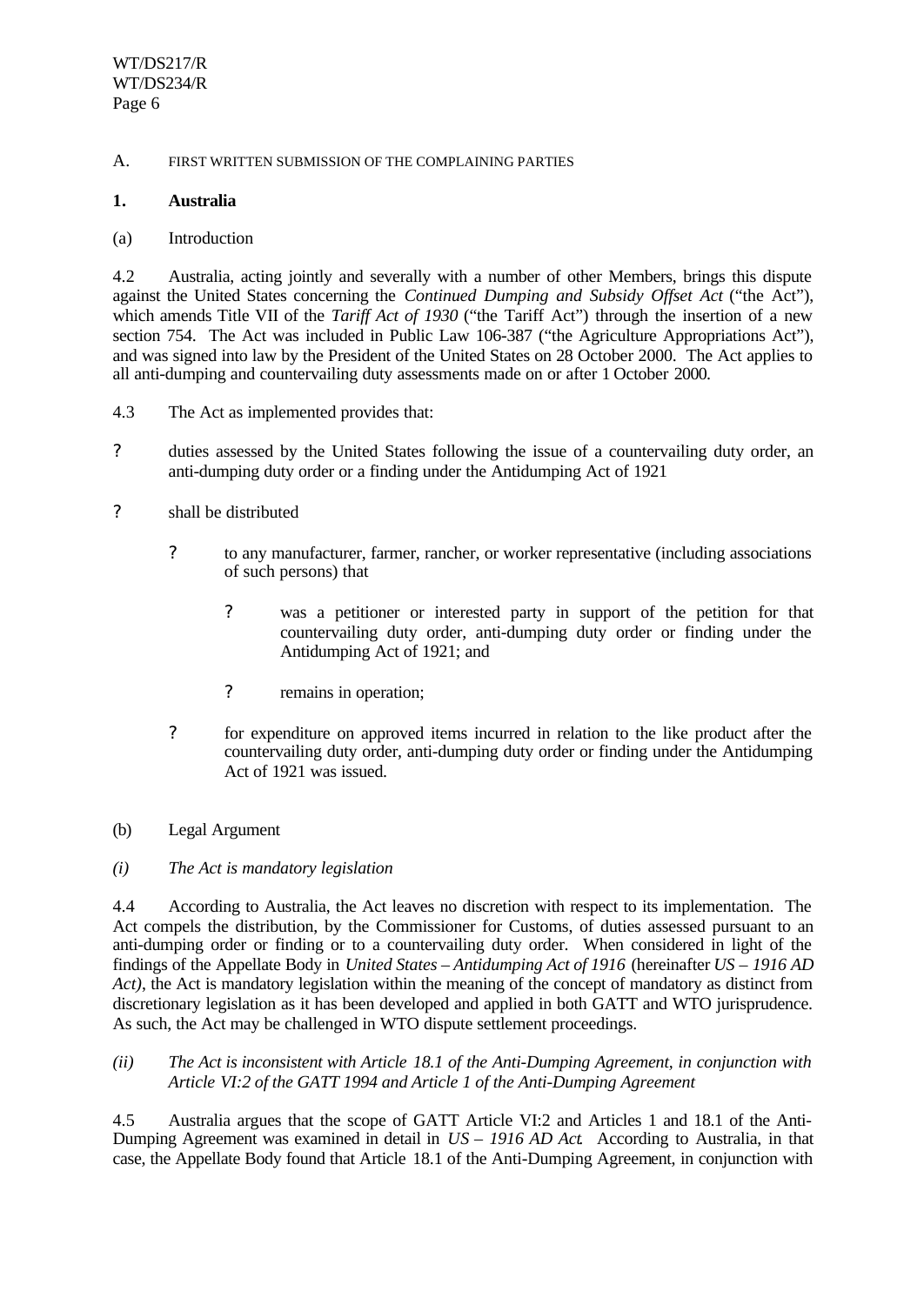#### A. FIRST WRITTEN SUBMISSION OF THE COMPLAINING PARTIES

#### **1. Australia**

#### (a) Introduction

4.2 Australia, acting jointly and severally with a number of other Members, brings this dispute against the United States concerning the *Continued Dumping and Subsidy Offset Act* ("the Act"), which amends Title VII of the *Tariff Act of 1930* ("the Tariff Act") through the insertion of a new section 754. The Act was included in Public Law 106-387 ("the Agriculture Appropriations Act"), and was signed into law by the President of the United States on 28 October 2000. The Act applies to all anti-dumping and countervailing duty assessments made on or after 1 October 2000.

- 4.3 The Act as implemented provides that:
- ? duties assessed by the United States following the issue of a countervailing duty order, an anti-dumping duty order or a finding under the Antidumping Act of 1921
- ? shall be distributed
	- ? to any manufacturer, farmer, rancher, or worker representative (including associations of such persons) that
		- ? was a petitioner or interested party in support of the petition for that countervailing duty order, anti-dumping duty order or finding under the Antidumping Act of 1921; and
		- ? remains in operation;
	- ? for expenditure on approved items incurred in relation to the like product after the countervailing duty order, anti-dumping duty order or finding under the Antidumping Act of 1921 was issued.
- (b) Legal Argument
- *(i) The Act is mandatory legislation*

4.4 According to Australia, the Act leaves no discretion with respect to its implementation. The Act compels the distribution, by the Commissioner for Customs, of duties assessed pursuant to an anti-dumping order or finding or to a countervailing duty order. When considered in light of the findings of the Appellate Body in *United States – Antidumping Act of 1916* (hereinafter *US – 1916 AD Act)*, the Act is mandatory legislation within the meaning of the concept of mandatory as distinct from discretionary legislation as it has been developed and applied in both GATT and WTO jurisprudence. As such, the Act may be challenged in WTO dispute settlement proceedings.

*(ii) The Act is inconsistent with Article 18.1 of the Anti-Dumping Agreement, in conjunction with Article VI:2 of the GATT 1994 and Article 1 of the Anti-Dumping Agreement*

4.5 Australia argues that the scope of GATT Article VI:2 and Articles 1 and 18.1 of the Anti-Dumping Agreement was examined in detail in *US – 1916 AD Act*. According to Australia, in that case, the Appellate Body found that Article 18.1 of the Anti-Dumping Agreement, in conjunction with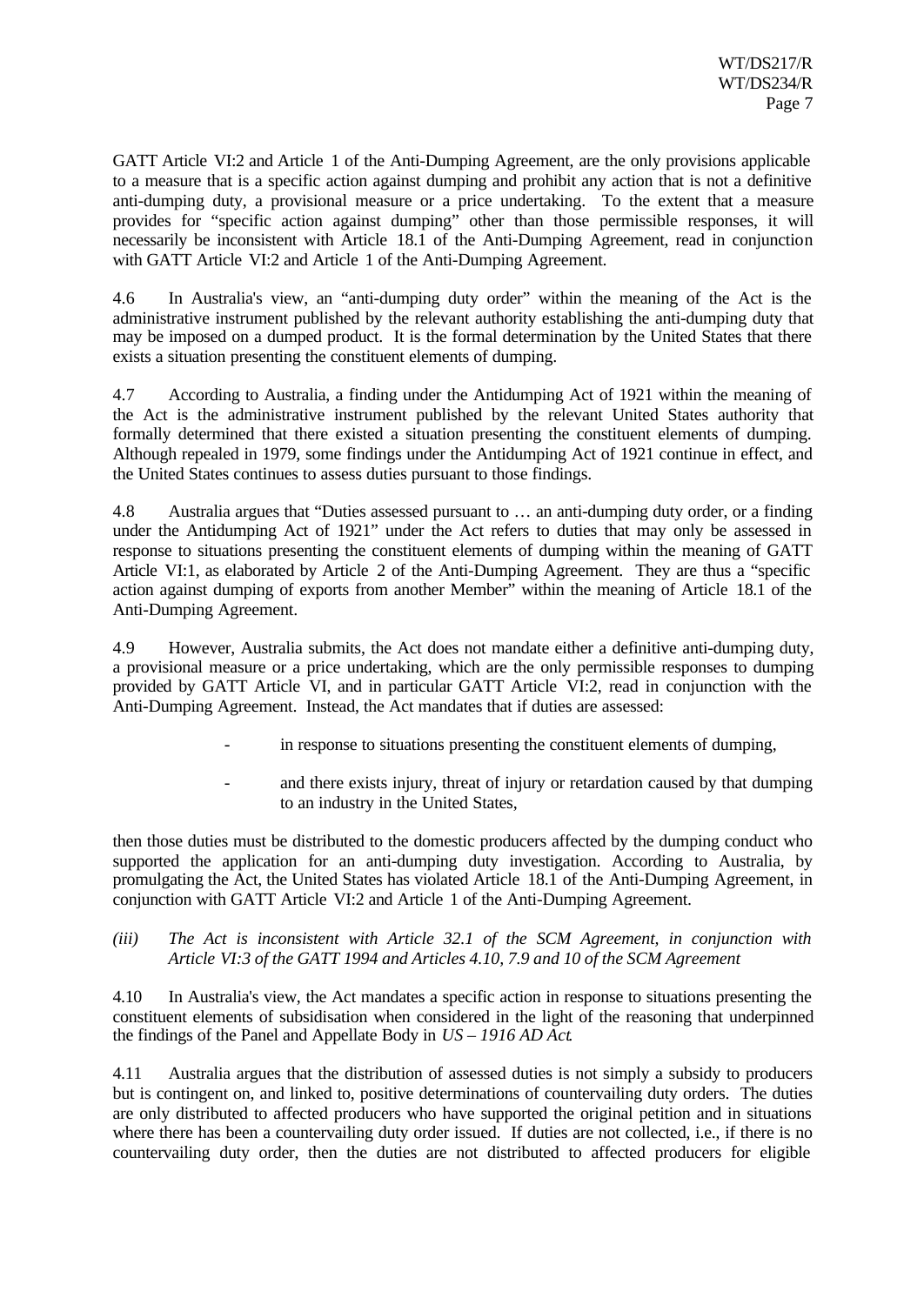GATT Article VI:2 and Article 1 of the Anti-Dumping Agreement, are the only provisions applicable to a measure that is a specific action against dumping and prohibit any action that is not a definitive anti-dumping duty, a provisional measure or a price undertaking. To the extent that a measure provides for "specific action against dumping" other than those permissible responses, it will necessarily be inconsistent with Article 18.1 of the Anti-Dumping Agreement, read in conjunction with GATT Article VI:2 and Article 1 of the Anti-Dumping Agreement.

4.6 In Australia's view, an "anti-dumping duty order" within the meaning of the Act is the administrative instrument published by the relevant authority establishing the anti-dumping duty that may be imposed on a dumped product. It is the formal determination by the United States that there exists a situation presenting the constituent elements of dumping.

4.7 According to Australia, a finding under the Antidumping Act of 1921 within the meaning of the Act is the administrative instrument published by the relevant United States authority that formally determined that there existed a situation presenting the constituent elements of dumping. Although repealed in 1979, some findings under the Antidumping Act of 1921 continue in effect, and the United States continues to assess duties pursuant to those findings.

4.8 Australia argues that "Duties assessed pursuant to … an anti-dumping duty order, or a finding under the Antidumping Act of 1921" under the Act refers to duties that may only be assessed in response to situations presenting the constituent elements of dumping within the meaning of GATT Article VI:1, as elaborated by Article 2 of the Anti-Dumping Agreement. They are thus a "specific action against dumping of exports from another Member" within the meaning of Article 18.1 of the Anti-Dumping Agreement.

4.9 However, Australia submits, the Act does not mandate either a definitive anti-dumping duty, a provisional measure or a price undertaking, which are the only permissible responses to dumping provided by GATT Article VI, and in particular GATT Article VI:2, read in conjunction with the Anti-Dumping Agreement. Instead, the Act mandates that if duties are assessed:

- in response to situations presenting the constituent elements of dumping,
- and there exists injury, threat of injury or retardation caused by that dumping to an industry in the United States,

then those duties must be distributed to the domestic producers affected by the dumping conduct who supported the application for an anti-dumping duty investigation. According to Australia, by promulgating the Act, the United States has violated Article 18.1 of the Anti-Dumping Agreement, in conjunction with GATT Article VI:2 and Article 1 of the Anti-Dumping Agreement.

*(iii) The Act is inconsistent with Article 32.1 of the SCM Agreement, in conjunction with Article VI:3 of the GATT 1994 and Articles 4.10, 7.9 and 10 of the SCM Agreement*

4.10 In Australia's view, the Act mandates a specific action in response to situations presenting the constituent elements of subsidisation when considered in the light of the reasoning that underpinned the findings of the Panel and Appellate Body in *US – 1916 AD Act*.

4.11 Australia argues that the distribution of assessed duties is not simply a subsidy to producers but is contingent on, and linked to, positive determinations of countervailing duty orders. The duties are only distributed to affected producers who have supported the original petition and in situations where there has been a countervailing duty order issued. If duties are not collected, i.e., if there is no countervailing duty order, then the duties are not distributed to affected producers for eligible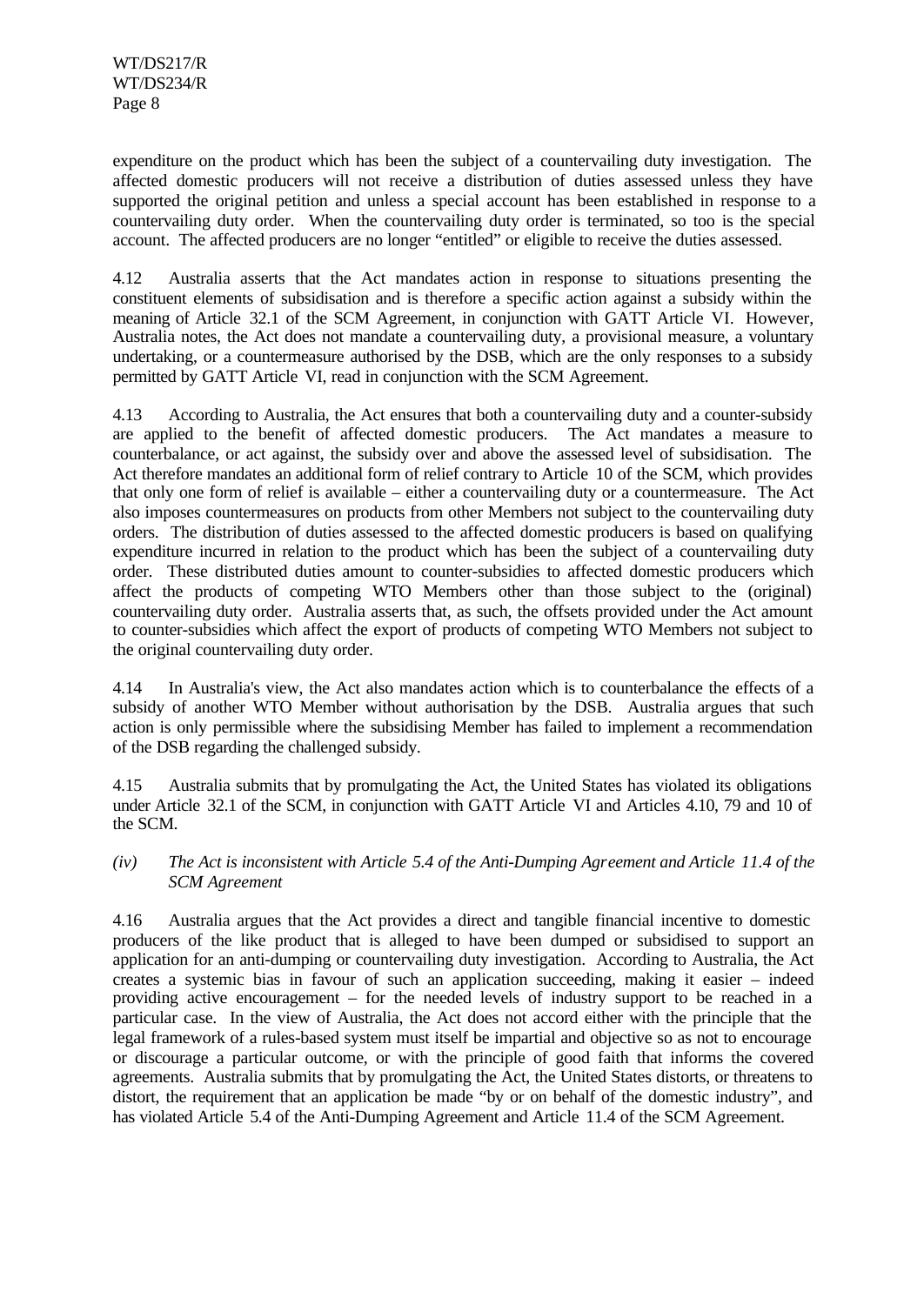expenditure on the product which has been the subject of a countervailing duty investigation. The affected domestic producers will not receive a distribution of duties assessed unless they have supported the original petition and unless a special account has been established in response to a countervailing duty order. When the countervailing duty order is terminated, so too is the special account. The affected producers are no longer "entitled" or eligible to receive the duties assessed.

4.12 Australia asserts that the Act mandates action in response to situations presenting the constituent elements of subsidisation and is therefore a specific action against a subsidy within the meaning of Article 32.1 of the SCM Agreement, in conjunction with GATT Article VI. However, Australia notes, the Act does not mandate a countervailing duty, a provisional measure, a voluntary undertaking, or a countermeasure authorised by the DSB, which are the only responses to a subsidy permitted by GATT Article VI, read in conjunction with the SCM Agreement.

4.13 According to Australia, the Act ensures that both a countervailing duty and a counter-subsidy are applied to the benefit of affected domestic producers. The Act mandates a measure to counterbalance, or act against, the subsidy over and above the assessed level of subsidisation. The Act therefore mandates an additional form of relief contrary to Article 10 of the SCM, which provides that only one form of relief is available – either a countervailing duty or a countermeasure. The Act also imposes countermeasures on products from other Members not subject to the countervailing duty orders. The distribution of duties assessed to the affected domestic producers is based on qualifying expenditure incurred in relation to the product which has been the subject of a countervailing duty order. These distributed duties amount to counter-subsidies to affected domestic producers which affect the products of competing WTO Members other than those subject to the (original) countervailing duty order. Australia asserts that, as such, the offsets provided under the Act amount to counter-subsidies which affect the export of products of competing WTO Members not subject to the original countervailing duty order.

4.14 In Australia's view, the Act also mandates action which is to counterbalance the effects of a subsidy of another WTO Member without authorisation by the DSB. Australia argues that such action is only permissible where the subsidising Member has failed to implement a recommendation of the DSB regarding the challenged subsidy.

4.15 Australia submits that by promulgating the Act, the United States has violated its obligations under Article 32.1 of the SCM, in conjunction with GATT Article VI and Articles 4.10, 79 and 10 of the SCM.

*(iv) The Act is inconsistent with Article 5.4 of the Anti-Dumping Agreement and Article 11.4 of the SCM Agreement*

4.16 Australia argues that the Act provides a direct and tangible financial incentive to domestic producers of the like product that is alleged to have been dumped or subsidised to support an application for an anti-dumping or countervailing duty investigation. According to Australia, the Act creates a systemic bias in favour of such an application succeeding, making it easier – indeed providing active encouragement – for the needed levels of industry support to be reached in a particular case. In the view of Australia, the Act does not accord either with the principle that the legal framework of a rules-based system must itself be impartial and objective so as not to encourage or discourage a particular outcome, or with the principle of good faith that informs the covered agreements. Australia submits that by promulgating the Act, the United States distorts, or threatens to distort, the requirement that an application be made "by or on behalf of the domestic industry", and has violated Article 5.4 of the Anti-Dumping Agreement and Article 11.4 of the SCM Agreement.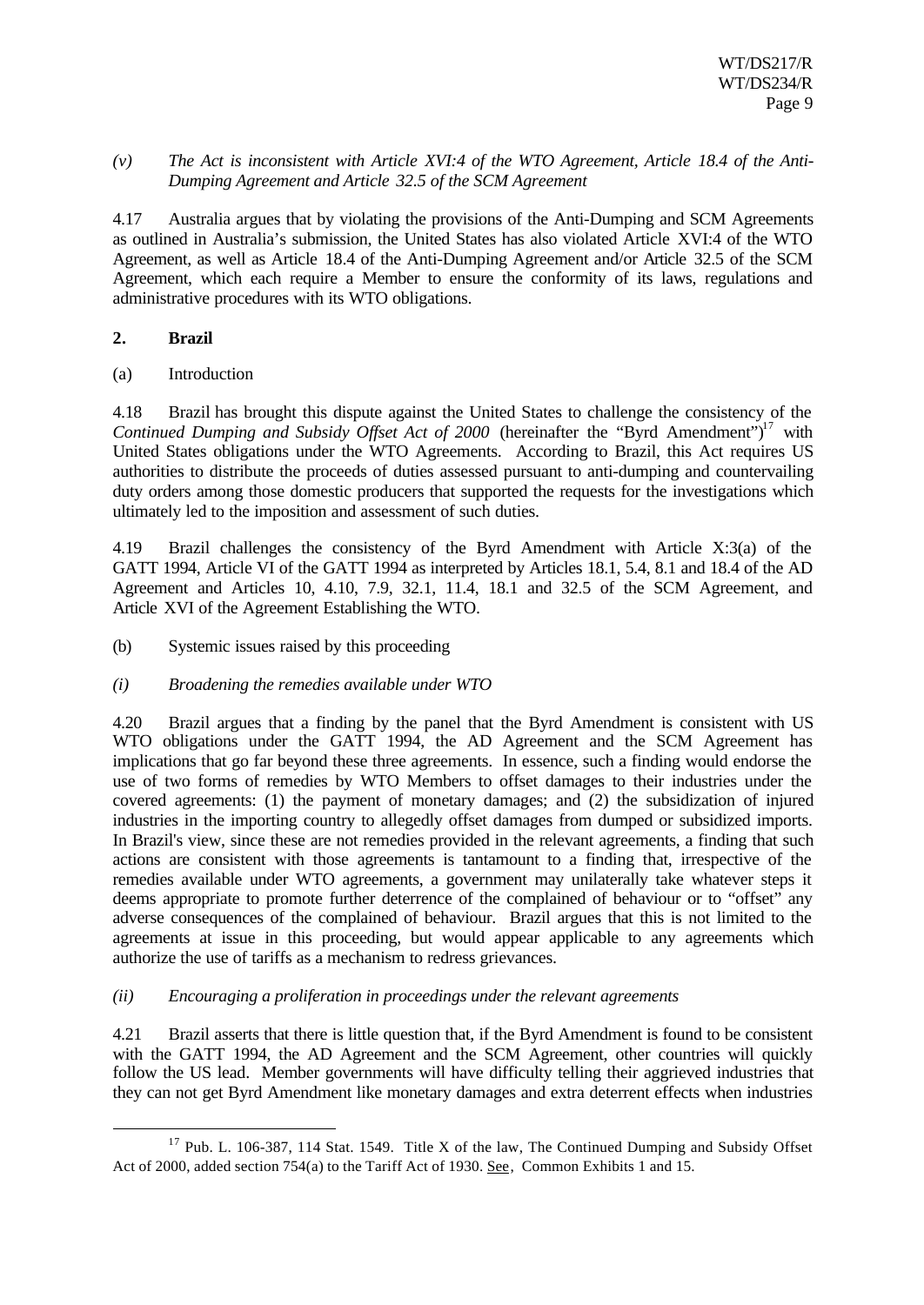#### *(v) The Act is inconsistent with Article XVI:4 of the WTO Agreement, Article 18.4 of the Anti-Dumping Agreement and Article 32.5 of the SCM Agreement*

4.17 Australia argues that by violating the provisions of the Anti-Dumping and SCM Agreements as outlined in Australia's submission, the United States has also violated Article XVI:4 of the WTO Agreement, as well as Article 18.4 of the Anti-Dumping Agreement and/or Article 32.5 of the SCM Agreement, which each require a Member to ensure the conformity of its laws, regulations and administrative procedures with its WTO obligations.

#### **2. Brazil**

l

#### (a) Introduction

4.18 Brazil has brought this dispute against the United States to challenge the consistency of the *Continued Dumping and Subsidy Offset Act of 2000* (hereinafter the "Byrd Amendment")<sup>17</sup> with United States obligations under the WTO Agreements. According to Brazil, this Act requires US authorities to distribute the proceeds of duties assessed pursuant to anti-dumping and countervailing duty orders among those domestic producers that supported the requests for the investigations which ultimately led to the imposition and assessment of such duties.

4.19 Brazil challenges the consistency of the Byrd Amendment with Article X:3(a) of the GATT 1994, Article VI of the GATT 1994 as interpreted by Articles 18.1, 5.4, 8.1 and 18.4 of the AD Agreement and Articles 10, 4.10, 7.9, 32.1, 11.4, 18.1 and 32.5 of the SCM Agreement, and Article XVI of the Agreement Establishing the WTO.

(b) Systemic issues raised by this proceeding

#### *(i) Broadening the remedies available under WTO*

4.20 Brazil argues that a finding by the panel that the Byrd Amendment is consistent with US WTO obligations under the GATT 1994, the AD Agreement and the SCM Agreement has implications that go far beyond these three agreements. In essence, such a finding would endorse the use of two forms of remedies by WTO Members to offset damages to their industries under the covered agreements: (1) the payment of monetary damages; and (2) the subsidization of injured industries in the importing country to allegedly offset damages from dumped or subsidized imports. In Brazil's view, since these are not remedies provided in the relevant agreements, a finding that such actions are consistent with those agreements is tantamount to a finding that, irrespective of the remedies available under WTO agreements, a government may unilaterally take whatever steps it deems appropriate to promote further deterrence of the complained of behaviour or to "offset" any adverse consequences of the complained of behaviour. Brazil argues that this is not limited to the agreements at issue in this proceeding, but would appear applicable to any agreements which authorize the use of tariffs as a mechanism to redress grievances.

#### *(ii) Encouraging a proliferation in proceedings under the relevant agreements*

4.21 Brazil asserts that there is little question that, if the Byrd Amendment is found to be consistent with the GATT 1994, the AD Agreement and the SCM Agreement, other countries will quickly follow the US lead. Member governments will have difficulty telling their aggrieved industries that they can not get Byrd Amendment like monetary damages and extra deterrent effects when industries

 $17$  Pub. L. 106-387, 114 Stat. 1549. Title X of the law, The Continued Dumping and Subsidy Offset Act of 2000, added section 754(a) to the Tariff Act of 1930. See, Common Exhibits 1 and 15.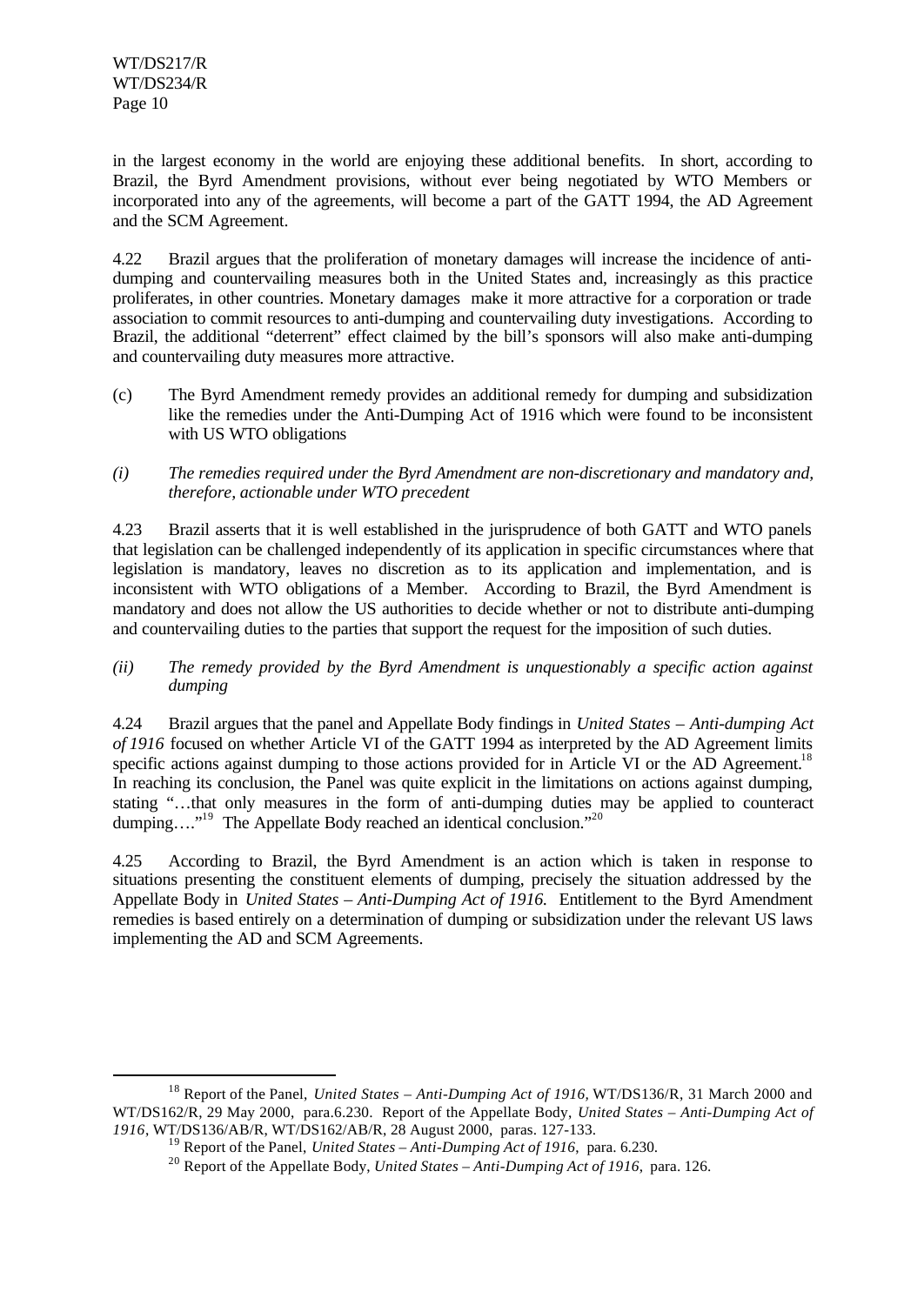l

in the largest economy in the world are enjoying these additional benefits. In short, according to Brazil, the Byrd Amendment provisions, without ever being negotiated by WTO Members or incorporated into any of the agreements, will become a part of the GATT 1994, the AD Agreement and the SCM Agreement.

4.22 Brazil argues that the proliferation of monetary damages will increase the incidence of antidumping and countervailing measures both in the United States and, increasingly as this practice proliferates, in other countries. Monetary damages make it more attractive for a corporation or trade association to commit resources to anti-dumping and countervailing duty investigations. According to Brazil, the additional "deterrent" effect claimed by the bill's sponsors will also make anti-dumping and countervailing duty measures more attractive.

- (c) The Byrd Amendment remedy provides an additional remedy for dumping and subsidization like the remedies under the Anti-Dumping Act of 1916 which were found to be inconsistent with US WTO obligations
- *(i) The remedies required under the Byrd Amendment are non-discretionary and mandatory and, therefore, actionable under WTO precedent*

4.23 Brazil asserts that it is well established in the jurisprudence of both GATT and WTO panels that legislation can be challenged independently of its application in specific circumstances where that legislation is mandatory, leaves no discretion as to its application and implementation, and is inconsistent with WTO obligations of a Member. According to Brazil, the Byrd Amendment is mandatory and does not allow the US authorities to decide whether or not to distribute anti-dumping and countervailing duties to the parties that support the request for the imposition of such duties.

*(ii) The remedy provided by the Byrd Amendment is unquestionably a specific action against dumping*

4.24 Brazil argues that the panel and Appellate Body findings in *United States – Anti-dumping Act of 1916* focused on whether Article VI of the GATT 1994 as interpreted by the AD Agreement limits specific actions against dumping to those actions provided for in Article VI or the AD Agreement.<sup>18</sup> In reaching its conclusion, the Panel was quite explicit in the limitations on actions against dumping, stating "…that only measures in the form of anti-dumping duties may be applied to counteract dumping...."<sup>19</sup> The Appellate Body reached an identical conclusion."<sup>20</sup>

4.25 According to Brazil, the Byrd Amendment is an action which is taken in response to situations presenting the constituent elements of dumping, precisely the situation addressed by the Appellate Body in *United States – Anti-Dumping Act of 1916.* Entitlement to the Byrd Amendment remedies is based entirely on a determination of dumping or subsidization under the relevant US laws implementing the AD and SCM Agreements.

<sup>18</sup> Report of the Panel, *United States – Anti-Dumping Act of 1916,* WT/DS136/R, 31 March 2000 and WT/DS162/R, 29 May 2000, para.6.230. Report of the Appellate Body, *United States – Anti-Dumping Act of 1916*, WT/DS136/AB/R, WT/DS162/AB/R, 28 August 2000, paras. 127-133.

<sup>19</sup> Report of the Panel, *United States – Anti-Dumping Act of 1916*, para. 6.230.

<sup>&</sup>lt;sup>20</sup> Report of the Appellate Body, *United States – Anti-Dumping Act of 1916*, para. 126.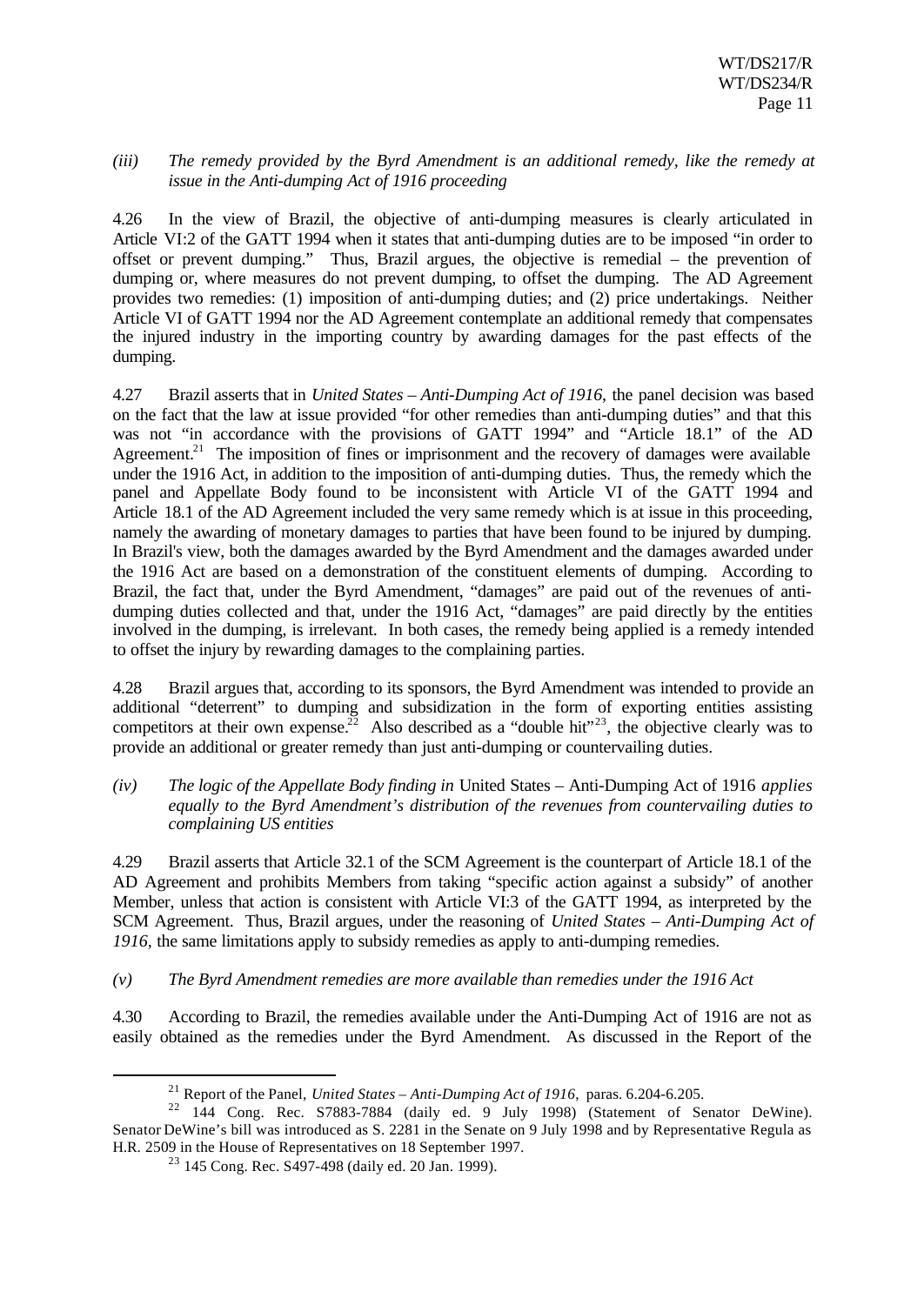#### *(iii) The remedy provided by the Byrd Amendment is an additional remedy, like the remedy at issue in the Anti-dumping Act of 1916 proceeding*

4.26 In the view of Brazil, the objective of anti-dumping measures is clearly articulated in Article VI:2 of the GATT 1994 when it states that anti-dumping duties are to be imposed "in order to offset or prevent dumping." Thus, Brazil argues, the objective is remedial – the prevention of dumping or, where measures do not prevent dumping, to offset the dumping. The AD Agreement provides two remedies: (1) imposition of anti-dumping duties; and (2) price undertakings. Neither Article VI of GATT 1994 nor the AD Agreement contemplate an additional remedy that compensates the injured industry in the importing country by awarding damages for the past effects of the dumping.

4.27 Brazil asserts that in *United States – Anti-Dumping Act of 1916*, the panel decision was based on the fact that the law at issue provided "for other remedies than anti-dumping duties" and that this was not "in accordance with the provisions of GATT 1994" and "Article 18.1" of the AD Agreement.<sup>21</sup> The imposition of fines or imprisonment and the recovery of damages were available under the 1916 Act, in addition to the imposition of anti-dumping duties. Thus, the remedy which the panel and Appellate Body found to be inconsistent with Article VI of the GATT 1994 and Article 18.1 of the AD Agreement included the very same remedy which is at issue in this proceeding, namely the awarding of monetary damages to parties that have been found to be injured by dumping. In Brazil's view, both the damages awarded by the Byrd Amendment and the damages awarded under the 1916 Act are based on a demonstration of the constituent elements of dumping. According to Brazil, the fact that, under the Byrd Amendment, "damages" are paid out of the revenues of antidumping duties collected and that, under the 1916 Act, "damages" are paid directly by the entities involved in the dumping, is irrelevant. In both cases, the remedy being applied is a remedy intended to offset the injury by rewarding damages to the complaining parties.

4.28 Brazil argues that, according to its sponsors, the Byrd Amendment was intended to provide an additional "deterrent" to dumping and subsidization in the form of exporting entities assisting competitors at their own expense.<sup>22</sup> Also described as a "double hit"<sup>23</sup>, the objective clearly was to provide an additional or greater remedy than just anti-dumping or countervailing duties.

*(iv) The logic of the Appellate Body finding in* United States – Anti-Dumping Act of 1916 *applies equally to the Byrd Amendment's distribution of the revenues from countervailing duties to complaining US entities*

4.29 Brazil asserts that Article 32.1 of the SCM Agreement is the counterpart of Article 18.1 of the AD Agreement and prohibits Members from taking "specific action against a subsidy" of another Member, unless that action is consistent with Article VI:3 of the GATT 1994, as interpreted by the SCM Agreement. Thus, Brazil argues, under the reasoning of *United States – Anti-Dumping Act of 1916,* the same limitations apply to subsidy remedies as apply to anti-dumping remedies.

#### *(v) The Byrd Amendment remedies are more available than remedies under the 1916 Act*

4.30 According to Brazil, the remedies available under the Anti-Dumping Act of 1916 are not as easily obtained as the remedies under the Byrd Amendment. As discussed in the Report of the

<sup>21</sup> Report of the Panel, *United States – Anti-Dumping Act of 1916*, paras. 6.204-6.205.

 $22$  144 Cong. Rec. S7883-7884 (daily ed. 9 July 1998) (Statement of Senator DeWine). Senator DeWine's bill was introduced as S. 2281 in the Senate on 9 July 1998 and by Representative Regula as H.R. 2509 in the House of Representatives on 18 September 1997.

<sup>23</sup> 145 Cong. Rec. S497-498 (daily ed. 20 Jan. 1999).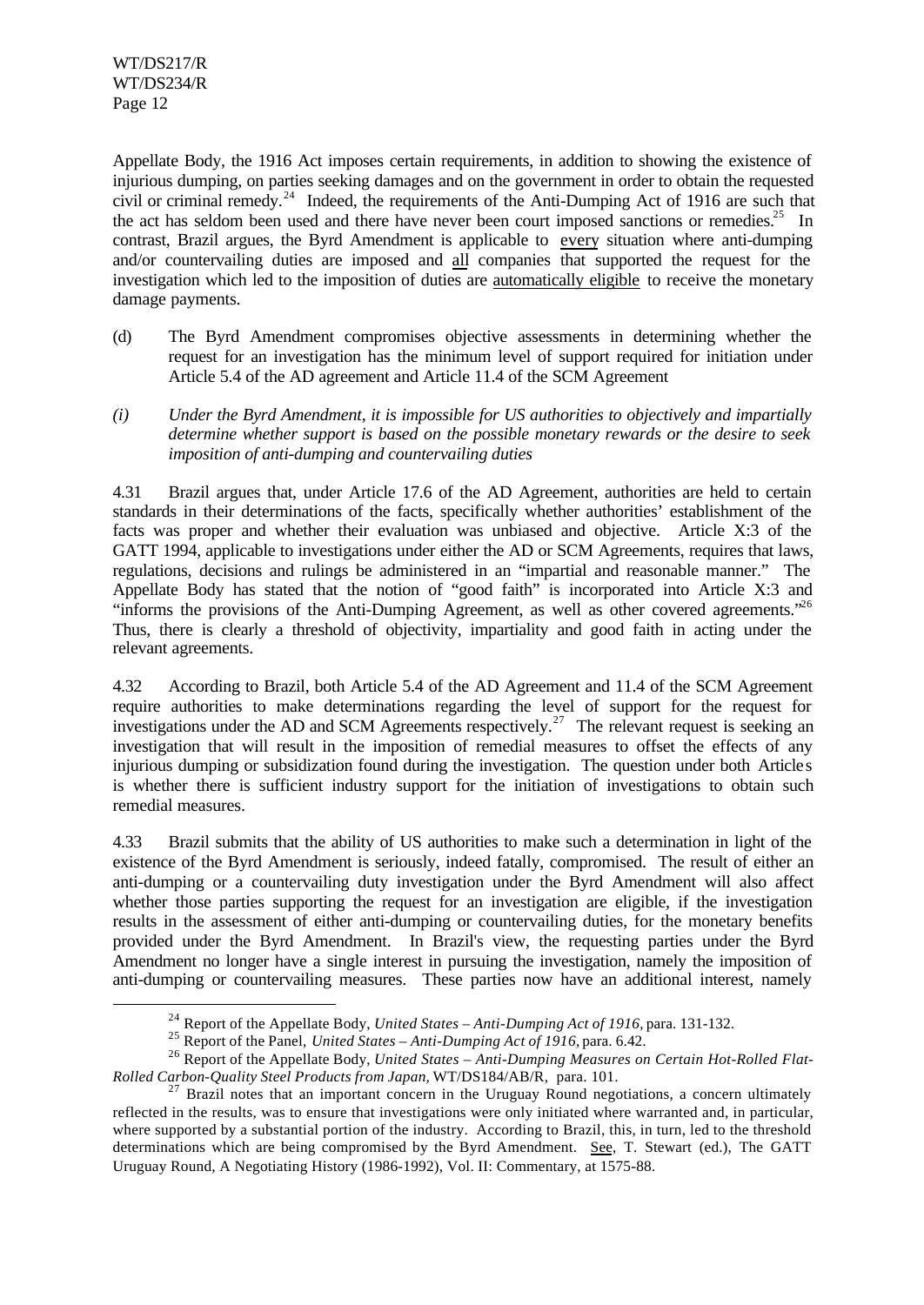WT/DS217/R WT/DS234/R Page 12

l

Appellate Body, the 1916 Act imposes certain requirements, in addition to showing the existence of injurious dumping, on parties seeking damages and on the government in order to obtain the requested civil or criminal remedy.<sup>24</sup> Indeed, the requirements of the Anti-Dumping Act of 1916 are such that the act has seldom been used and there have never been court imposed sanctions or remedies.<sup>25</sup> In contrast, Brazil argues, the Byrd Amendment is applicable to every situation where anti-dumping and/or countervailing duties are imposed and all companies that supported the request for the investigation which led to the imposition of duties are automatically eligible to receive the monetary damage payments.

- (d) The Byrd Amendment compromises objective assessments in determining whether the request for an investigation has the minimum level of support required for initiation under Article 5.4 of the AD agreement and Article 11.4 of the SCM Agreement
- *(i) Under the Byrd Amendment, it is impossible for US authorities to objectively and impartially determine whether support is based on the possible monetary rewards or the desire to seek imposition of anti-dumping and countervailing duties*

4.31 Brazil argues that, under Article 17.6 of the AD Agreement, authorities are held to certain standards in their determinations of the facts, specifically whether authorities' establishment of the facts was proper and whether their evaluation was unbiased and objective. Article X:3 of the GATT 1994, applicable to investigations under either the AD or SCM Agreements, requires that laws, regulations, decisions and rulings be administered in an "impartial and reasonable manner." The Appellate Body has stated that the notion of "good faith" is incorporated into Article X:3 and "informs the provisions of the Anti-Dumping Agreement, as well as other covered agreements."<sup>26</sup> Thus, there is clearly a threshold of objectivity, impartiality and good faith in acting under the relevant agreements.

4.32 According to Brazil, both Article 5.4 of the AD Agreement and 11.4 of the SCM Agreement require authorities to make determinations regarding the level of support for the request for investigations under the AD and SCM Agreements respectively.<sup>27</sup> The relevant request is seeking an investigation that will result in the imposition of remedial measures to offset the effects of any injurious dumping or subsidization found during the investigation. The question under both Articles is whether there is sufficient industry support for the initiation of investigations to obtain such remedial measures.

4.33 Brazil submits that the ability of US authorities to make such a determination in light of the existence of the Byrd Amendment is seriously, indeed fatally, compromised. The result of either an anti-dumping or a countervailing duty investigation under the Byrd Amendment will also affect whether those parties supporting the request for an investigation are eligible, if the investigation results in the assessment of either anti-dumping or countervailing duties, for the monetary benefits provided under the Byrd Amendment. In Brazil's view, the requesting parties under the Byrd Amendment no longer have a single interest in pursuing the investigation, namely the imposition of anti-dumping or countervailing measures. These parties now have an additional interest, namely

<sup>24</sup> Report of the Appellate Body, *United States – Anti-Dumping Act of 1916,* para. 131-132.

<sup>25</sup> Report of the Panel, *United States – Anti-Dumping Act of 1916,* para. 6.42.

<sup>26</sup> Report of the Appellate Body, *United States – Anti-Dumping Measures on Certain Hot-Rolled Flat-Rolled Carbon-Quality Steel Products from Japan,* WT/DS184/AB/R, para. 101.

 $27$  Brazil notes that an important concern in the Uruguay Round negotiations, a concern ultimately reflected in the results, was to ensure that investigations were only initiated where warranted and, in particular, where supported by a substantial portion of the industry. According to Brazil, this, in turn, led to the threshold determinations which are being compromised by the Byrd Amendment. See, T. Stewart (ed.), The GATT Uruguay Round, A Negotiating History (1986-1992), Vol. II: Commentary, at 1575-88.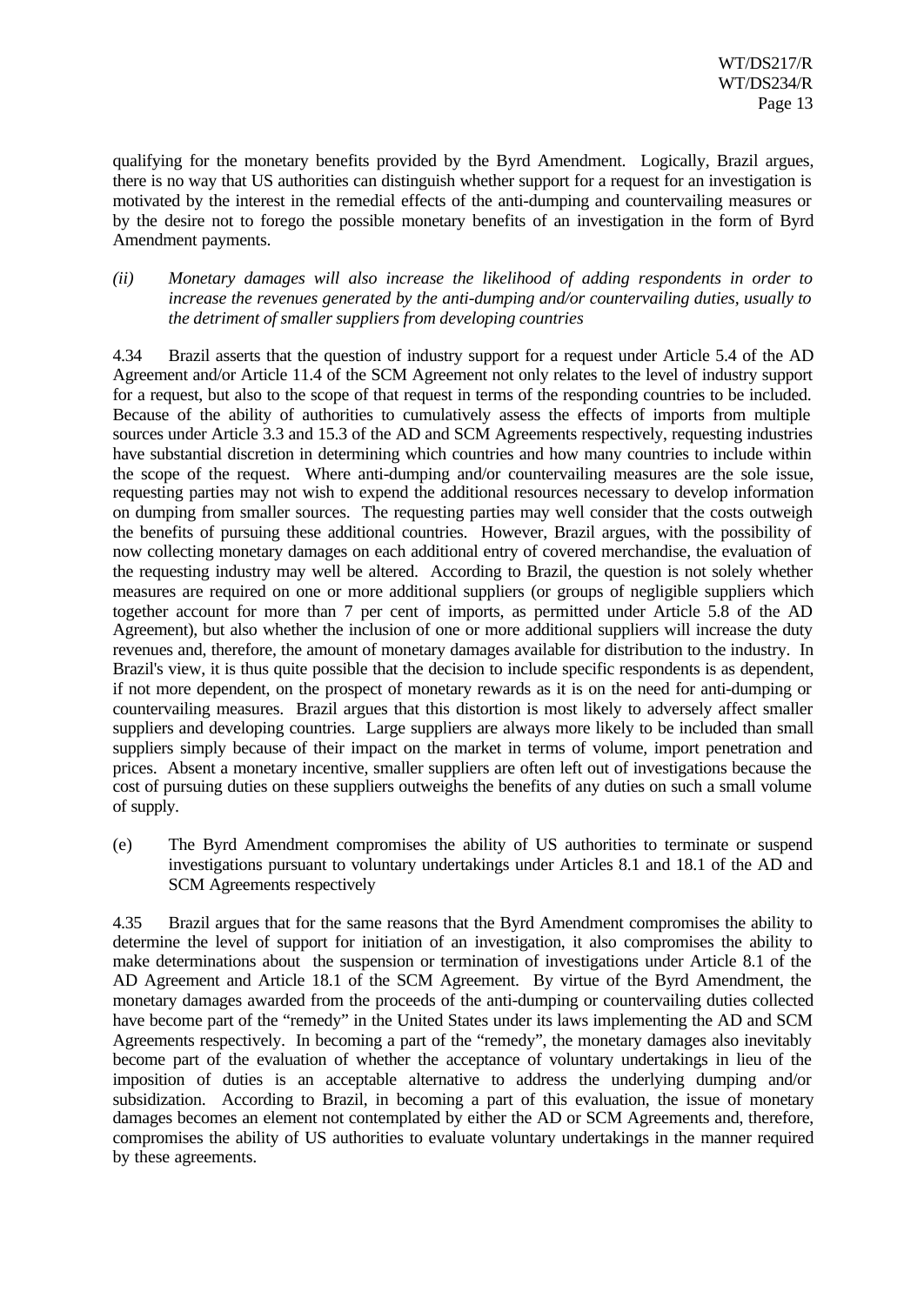qualifying for the monetary benefits provided by the Byrd Amendment. Logically, Brazil argues, there is no way that US authorities can distinguish whether support for a request for an investigation is motivated by the interest in the remedial effects of the anti-dumping and countervailing measures or by the desire not to forego the possible monetary benefits of an investigation in the form of Byrd Amendment payments.

*(ii) Monetary damages will also increase the likelihood of adding respondents in order to increase the revenues generated by the anti-dumping and/or countervailing duties, usually to the detriment of smaller suppliers from developing countries*

4.34 Brazil asserts that the question of industry support for a request under Article 5.4 of the AD Agreement and/or Article 11.4 of the SCM Agreement not only relates to the level of industry support for a request, but also to the scope of that request in terms of the responding countries to be included. Because of the ability of authorities to cumulatively assess the effects of imports from multiple sources under Article 3.3 and 15.3 of the AD and SCM Agreements respectively, requesting industries have substantial discretion in determining which countries and how many countries to include within the scope of the request. Where anti-dumping and/or countervailing measures are the sole issue, requesting parties may not wish to expend the additional resources necessary to develop information on dumping from smaller sources. The requesting parties may well consider that the costs outweigh the benefits of pursuing these additional countries. However, Brazil argues, with the possibility of now collecting monetary damages on each additional entry of covered merchandise, the evaluation of the requesting industry may well be altered. According to Brazil, the question is not solely whether measures are required on one or more additional suppliers (or groups of negligible suppliers which together account for more than 7 per cent of imports, as permitted under Article 5.8 of the AD Agreement), but also whether the inclusion of one or more additional suppliers will increase the duty revenues and, therefore, the amount of monetary damages available for distribution to the industry. In Brazil's view, it is thus quite possible that the decision to include specific respondents is as dependent, if not more dependent, on the prospect of monetary rewards as it is on the need for anti-dumping or countervailing measures. Brazil argues that this distortion is most likely to adversely affect smaller suppliers and developing countries. Large suppliers are always more likely to be included than small suppliers simply because of their impact on the market in terms of volume, import penetration and prices. Absent a monetary incentive, smaller suppliers are often left out of investigations because the cost of pursuing duties on these suppliers outweighs the benefits of any duties on such a small volume of supply.

(e) The Byrd Amendment compromises the ability of US authorities to terminate or suspend investigations pursuant to voluntary undertakings under Articles 8.1 and 18.1 of the AD and SCM Agreements respectively

4.35 Brazil argues that for the same reasons that the Byrd Amendment compromises the ability to determine the level of support for initiation of an investigation, it also compromises the ability to make determinations about the suspension or termination of investigations under Article 8.1 of the AD Agreement and Article 18.1 of the SCM Agreement. By virtue of the Byrd Amendment, the monetary damages awarded from the proceeds of the anti-dumping or countervailing duties collected have become part of the "remedy" in the United States under its laws implementing the AD and SCM Agreements respectively. In becoming a part of the "remedy", the monetary damages also inevitably become part of the evaluation of whether the acceptance of voluntary undertakings in lieu of the imposition of duties is an acceptable alternative to address the underlying dumping and/or subsidization. According to Brazil, in becoming a part of this evaluation, the issue of monetary damages becomes an element not contemplated by either the AD or SCM Agreements and, therefore, compromises the ability of US authorities to evaluate voluntary undertakings in the manner required by these agreements.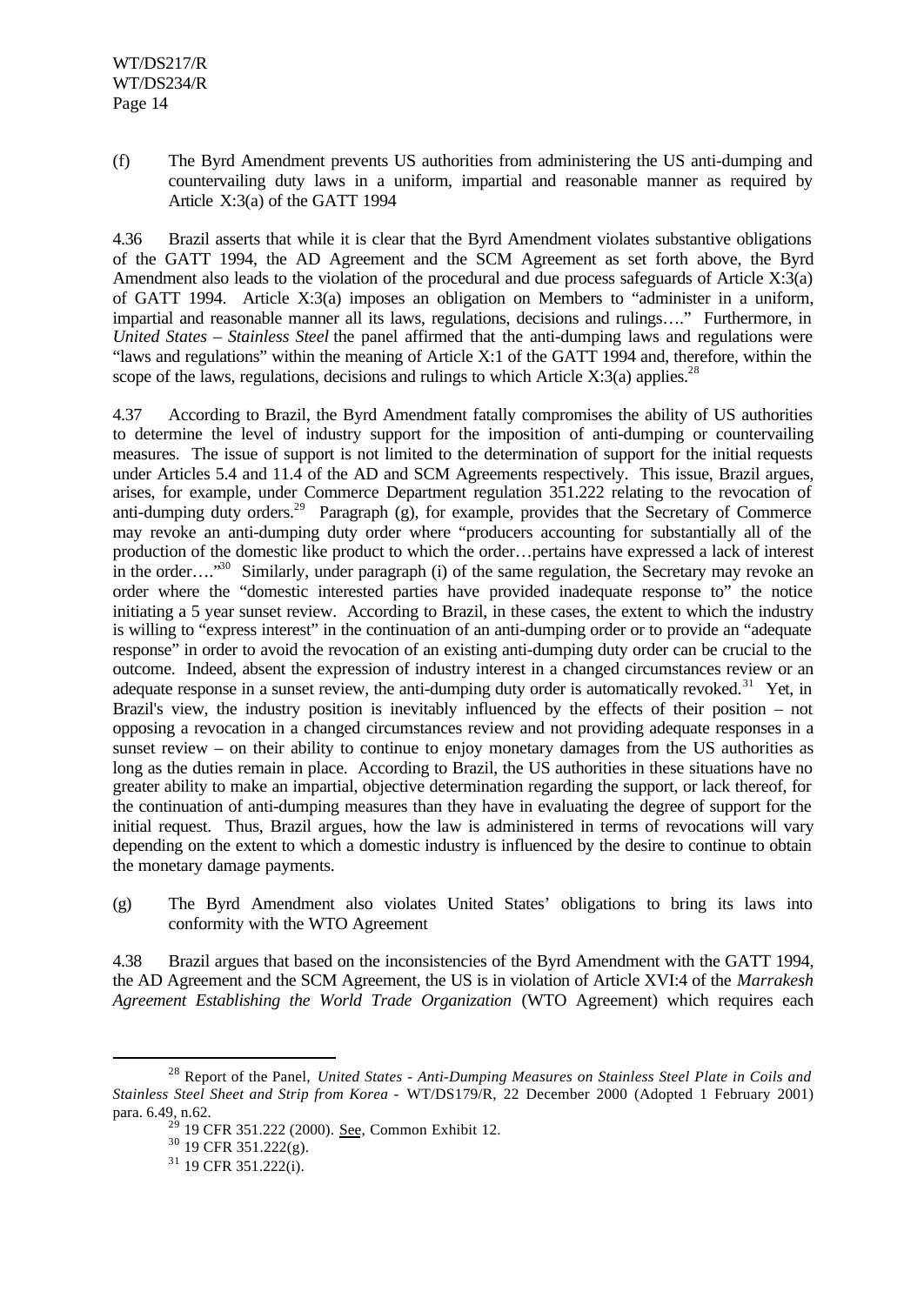(f) The Byrd Amendment prevents US authorities from administering the US anti-dumping and countervailing duty laws in a uniform, impartial and reasonable manner as required by Article X:3(a) of the GATT 1994

4.36 Brazil asserts that while it is clear that the Byrd Amendment violates substantive obligations of the GATT 1994, the AD Agreement and the SCM Agreement as set forth above, the Byrd Amendment also leads to the violation of the procedural and due process safeguards of Article X:3(a) of GATT 1994. Article X:3(a) imposes an obligation on Members to "administer in a uniform, impartial and reasonable manner all its laws, regulations, decisions and rulings…." Furthermore, in *United States – Stainless Steel* the panel affirmed that the anti-dumping laws and regulations were "laws and regulations" within the meaning of Article X:1 of the GATT 1994 and, therefore, within the scope of the laws, regulations, decisions and rulings to which Article X:3(a) applies.<sup>28</sup>

4.37 According to Brazil, the Byrd Amendment fatally compromises the ability of US authorities to determine the level of industry support for the imposition of anti-dumping or countervailing measures. The issue of support is not limited to the determination of support for the initial requests under Articles 5.4 and 11.4 of the AD and SCM Agreements respectively. This issue, Brazil argues, arises, for example, under Commerce Department regulation 351.222 relating to the revocation of anti-dumping duty orders.<sup>29</sup> Paragraph (g), for example, provides that the Secretary of Commerce may revoke an anti-dumping duty order where "producers accounting for substantially all of the production of the domestic like product to which the order…pertains have expressed a lack of interest in the order….<sup>30</sup> Similarly, under paragraph (i) of the same regulation, the Secretary may revoke an order where the "domestic interested parties have provided inadequate response to" the notice initiating a 5 year sunset review. According to Brazil, in these cases, the extent to which the industry is willing to "express interest" in the continuation of an anti-dumping order or to provide an "adequate response" in order to avoid the revocation of an existing anti-dumping duty order can be crucial to the outcome. Indeed, absent the expression of industry interest in a changed circumstances review or an adequate response in a sunset review, the anti-dumping duty order is automatically revoked.<sup>31</sup> Yet, in Brazil's view, the industry position is inevitably influenced by the effects of their position – not opposing a revocation in a changed circumstances review and not providing adequate responses in a sunset review – on their ability to continue to enjoy monetary damages from the US authorities as long as the duties remain in place. According to Brazil, the US authorities in these situations have no greater ability to make an impartial, objective determination regarding the support, or lack thereof, for the continuation of anti-dumping measures than they have in evaluating the degree of support for the initial request. Thus, Brazil argues, how the law is administered in terms of revocations will vary depending on the extent to which a domestic industry is influenced by the desire to continue to obtain the monetary damage payments.

(g) The Byrd Amendment also violates United States' obligations to bring its laws into conformity with the WTO Agreement

4.38 Brazil argues that based on the inconsistencies of the Byrd Amendment with the GATT 1994, the AD Agreement and the SCM Agreement, the US is in violation of Article XVI:4 of the *Marrakesh Agreement Establishing the World Trade Organization* (WTO Agreement) which requires each

<sup>28</sup> Report of the Panel, *United States - Anti-Dumping Measures on Stainless Steel Plate in Coils and Stainless Steel Sheet and Strip from Korea -* WT/DS179/R, 22 December 2000 (Adopted 1 February 2001) para. 6.49, n.62.

<sup>&</sup>lt;sup>29</sup> 19 CFR 351.222 (2000). <u>See</u>, Common Exhibit 12.

 $30$  19 CFR 351.222(g).

<sup>31</sup> 19 CFR 351.222(i).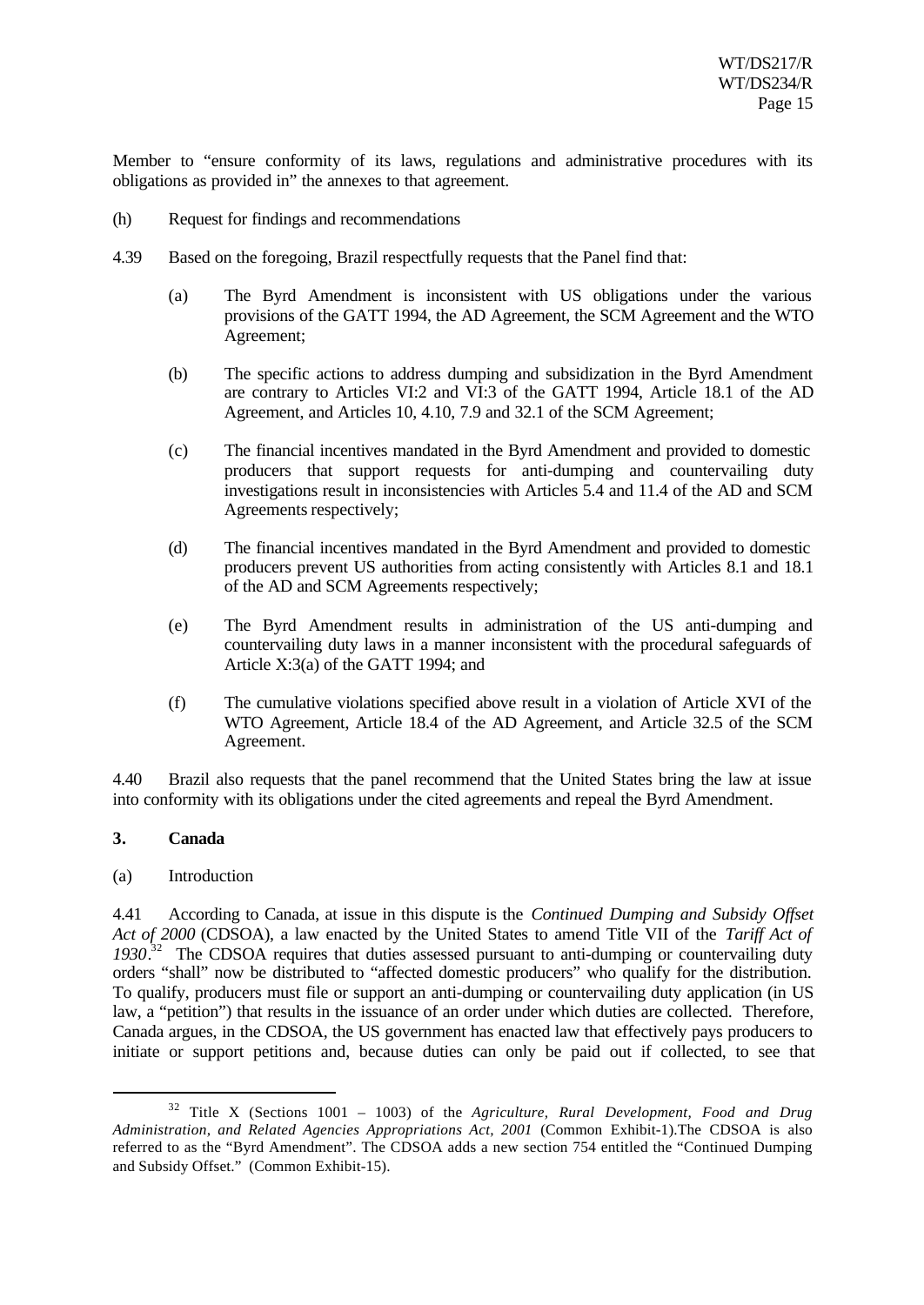Member to "ensure conformity of its laws, regulations and administrative procedures with its obligations as provided in" the annexes to that agreement.

- (h) Request for findings and recommendations
- 4.39 Based on the foregoing, Brazil respectfully requests that the Panel find that:
	- (a) The Byrd Amendment is inconsistent with US obligations under the various provisions of the GATT 1994, the AD Agreement, the SCM Agreement and the WTO Agreement;
	- (b) The specific actions to address dumping and subsidization in the Byrd Amendment are contrary to Articles VI:2 and VI:3 of the GATT 1994, Article 18.1 of the AD Agreement, and Articles 10, 4.10, 7.9 and 32.1 of the SCM Agreement;
	- (c) The financial incentives mandated in the Byrd Amendment and provided to domestic producers that support requests for anti-dumping and countervailing duty investigations result in inconsistencies with Articles 5.4 and 11.4 of the AD and SCM Agreements respectively;
	- (d) The financial incentives mandated in the Byrd Amendment and provided to domestic producers prevent US authorities from acting consistently with Articles 8.1 and 18.1 of the AD and SCM Agreements respectively;
	- (e) The Byrd Amendment results in administration of the US anti-dumping and countervailing duty laws in a manner inconsistent with the procedural safeguards of Article X:3(a) of the GATT 1994; and
	- (f) The cumulative violations specified above result in a violation of Article XVI of the WTO Agreement, Article 18.4 of the AD Agreement, and Article 32.5 of the SCM Agreement.

4.40 Brazil also requests that the panel recommend that the United States bring the law at issue into conformity with its obligations under the cited agreements and repeal the Byrd Amendment.

#### **3. Canada**

l

#### (a) Introduction

4.41 According to Canada, at issue in this dispute is the *Continued Dumping and Subsidy Offset Act of 2000* (CDSOA), a law enacted by the United States to amend Title VII of the *Tariff Act of* 1930<sup>32</sup> The CDSOA requires that duties assessed pursuant to anti-dumping or countervailing duty orders "shall" now be distributed to "affected domestic producers" who qualify for the distribution. To qualify, producers must file or support an anti-dumping or countervailing duty application (in US law, a "petition") that results in the issuance of an order under which duties are collected. Therefore, Canada argues, in the CDSOA, the US government has enacted law that effectively pays producers to initiate or support petitions and, because duties can only be paid out if collected, to see that

<sup>32</sup> Title X (Sections 1001 – 1003) of the *Agriculture, Rural Development, Food and Drug Administration, and Related Agencies Appropriations Act, 2001* (Common Exhibit-1).The CDSOA is also referred to as the "Byrd Amendment". The CDSOA adds a new section 754 entitled the "Continued Dumping and Subsidy Offset." (Common Exhibit-15).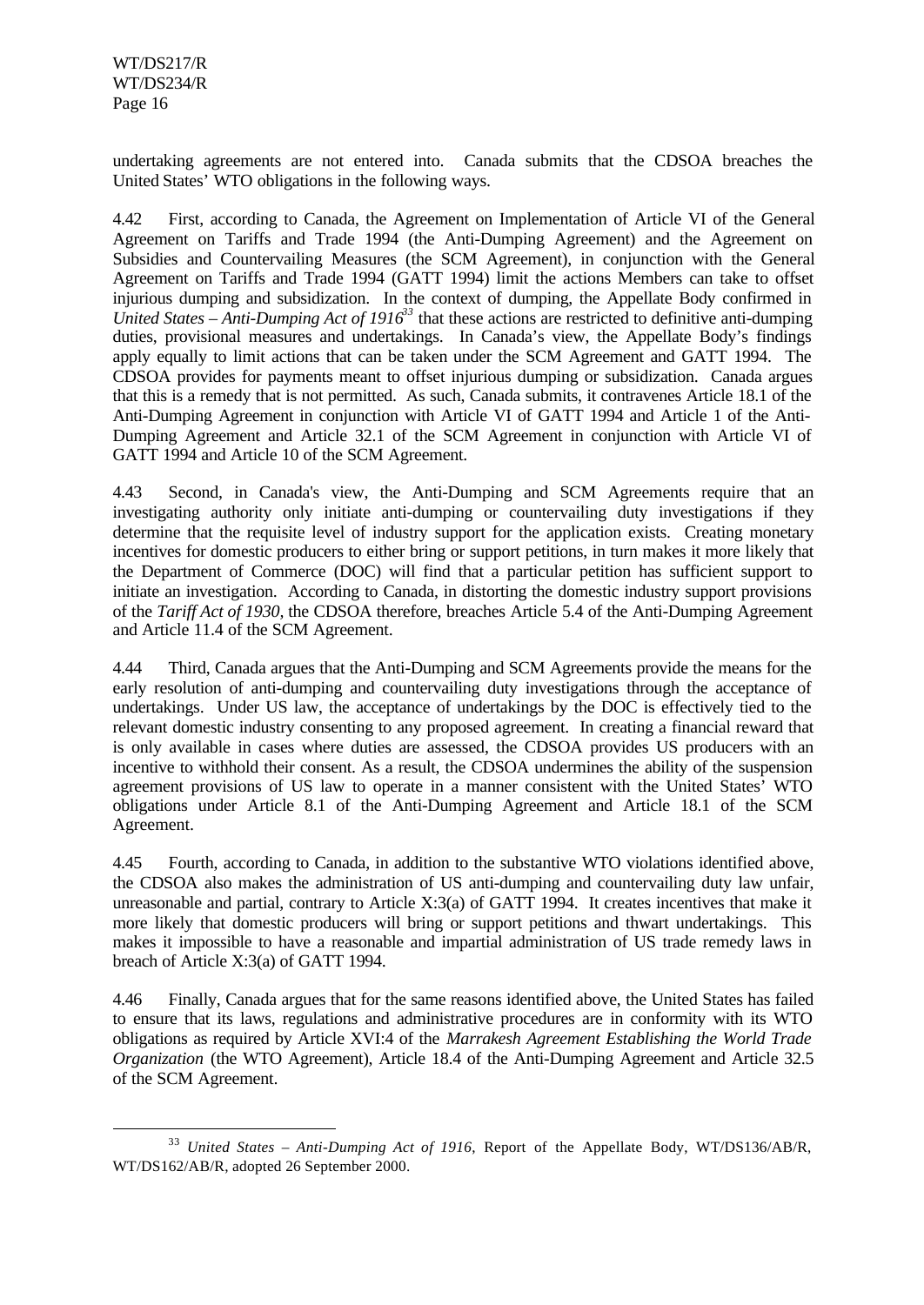l

undertaking agreements are not entered into. Canada submits that the CDSOA breaches the United States' WTO obligations in the following ways.

4.42 First, according to Canada, the Agreement on Implementation of Article VI of the General Agreement on Tariffs and Trade 1994 (the Anti-Dumping Agreement) and the Agreement on Subsidies and Countervailing Measures (the SCM Agreement), in conjunction with the General Agreement on Tariffs and Trade 1994 (GATT 1994) limit the actions Members can take to offset injurious dumping and subsidization. In the context of dumping, the Appellate Body confirmed in *United States – Anti-Dumping Act of 1916<sup>33</sup>* that these actions are restricted to definitive anti-dumping duties, provisional measures and undertakings. In Canada's view, the Appellate Body's findings apply equally to limit actions that can be taken under the SCM Agreement and GATT 1994. The CDSOA provides for payments meant to offset injurious dumping or subsidization. Canada argues that this is a remedy that is not permitted. As such, Canada submits, it contravenes Article 18.1 of the Anti-Dumping Agreement in conjunction with Article VI of GATT 1994 and Article 1 of the Anti-Dumping Agreement and Article 32.1 of the SCM Agreement in conjunction with Article VI of GATT 1994 and Article 10 of the SCM Agreement.

4.43 Second, in Canada's view, the Anti-Dumping and SCM Agreements require that an investigating authority only initiate anti-dumping or countervailing duty investigations if they determine that the requisite level of industry support for the application exists. Creating monetary incentives for domestic producers to either bring or support petitions, in turn makes it more likely that the Department of Commerce (DOC) will find that a particular petition has sufficient support to initiate an investigation. According to Canada, in distorting the domestic industry support provisions of the *Tariff Act of 1930,* the CDSOA therefore, breaches Article 5.4 of the Anti-Dumping Agreement and Article 11.4 of the SCM Agreement.

4.44 Third, Canada argues that the Anti-Dumping and SCM Agreements provide the means for the early resolution of anti-dumping and countervailing duty investigations through the acceptance of undertakings. Under US law, the acceptance of undertakings by the DOC is effectively tied to the relevant domestic industry consenting to any proposed agreement. In creating a financial reward that is only available in cases where duties are assessed, the CDSOA provides US producers with an incentive to withhold their consent. As a result, the CDSOA undermines the ability of the suspension agreement provisions of US law to operate in a manner consistent with the United States' WTO obligations under Article 8.1 of the Anti-Dumping Agreement and Article 18.1 of the SCM Agreement.

4.45 Fourth, according to Canada, in addition to the substantive WTO violations identified above, the CDSOA also makes the administration of US anti-dumping and countervailing duty law unfair, unreasonable and partial, contrary to Article X:3(a) of GATT 1994. It creates incentives that make it more likely that domestic producers will bring or support petitions and thwart undertakings. This makes it impossible to have a reasonable and impartial administration of US trade remedy laws in breach of Article X:3(a) of GATT 1994.

4.46 Finally, Canada argues that for the same reasons identified above, the United States has failed to ensure that its laws, regulations and administrative procedures are in conformity with its WTO obligations as required by Article XVI:4 of the *Marrakesh Agreement Establishing the World Trade Organization* (the WTO Agreement), Article 18.4 of the Anti-Dumping Agreement and Article 32.5 of the SCM Agreement.

<sup>33</sup> *United States – Anti-Dumping Act of 1916*, Report of the Appellate Body, WT/DS136/AB/R, WT/DS162/AB/R, adopted 26 September 2000.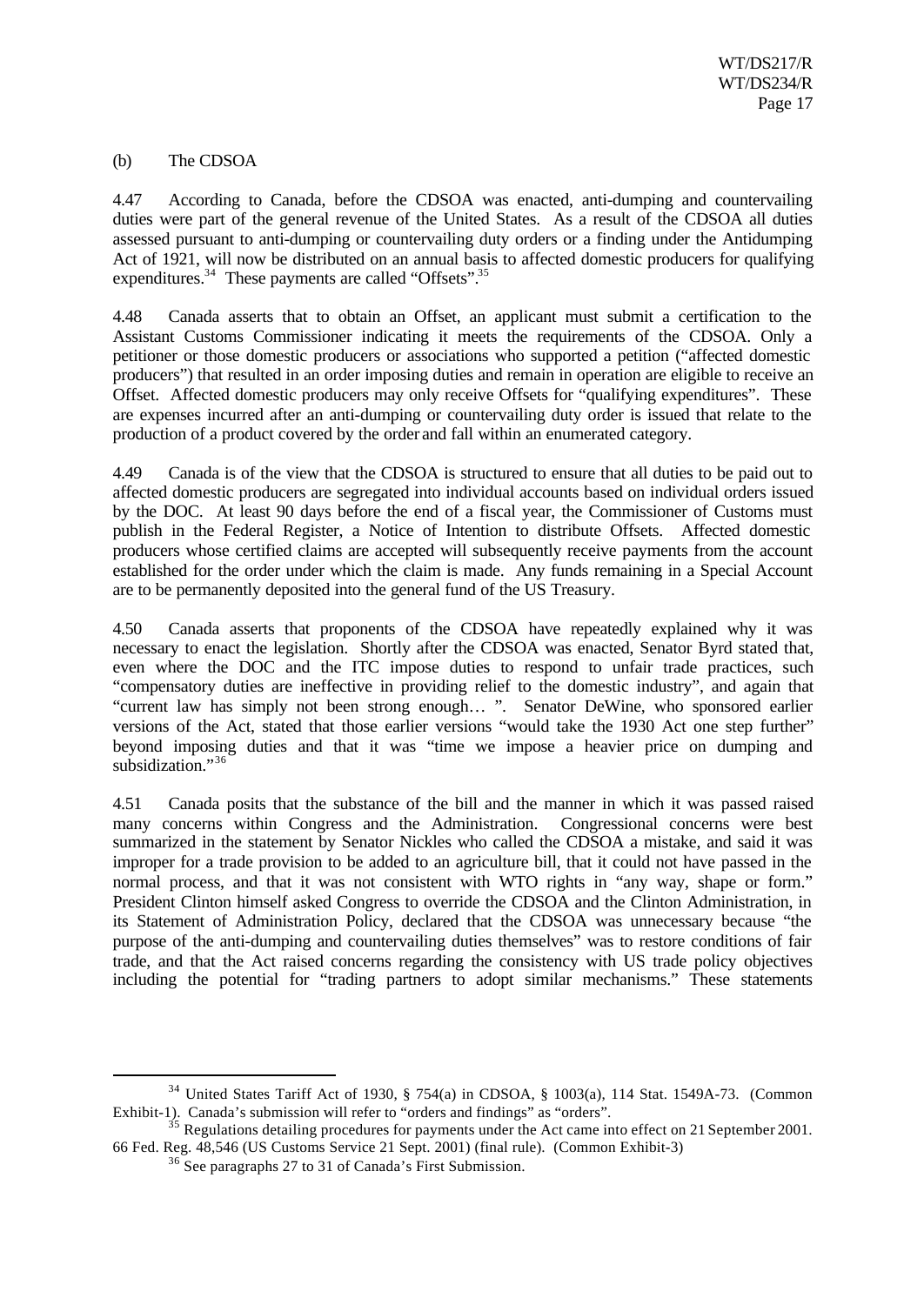#### (b) The CDSOA

l

4.47 According to Canada, before the CDSOA was enacted, anti-dumping and countervailing duties were part of the general revenue of the United States. As a result of the CDSOA all duties assessed pursuant to anti-dumping or countervailing duty orders or a finding under the Antidumping Act of 1921, will now be distributed on an annual basis to affected domestic producers for qualifying expenditures.<sup>34</sup> These payments are called "Offsets".<sup>35</sup>

4.48 Canada asserts that to obtain an Offset, an applicant must submit a certification to the Assistant Customs Commissioner indicating it meets the requirements of the CDSOA. Only a petitioner or those domestic producers or associations who supported a petition ("affected domestic producers") that resulted in an order imposing duties and remain in operation are eligible to receive an Offset. Affected domestic producers may only receive Offsets for "qualifying expenditures". These are expenses incurred after an anti-dumping or countervailing duty order is issued that relate to the production of a product covered by the order and fall within an enumerated category.

4.49 Canada is of the view that the CDSOA is structured to ensure that all duties to be paid out to affected domestic producers are segregated into individual accounts based on individual orders issued by the DOC. At least 90 days before the end of a fiscal year, the Commissioner of Customs must publish in the Federal Register, a Notice of Intention to distribute Offsets. Affected domestic producers whose certified claims are accepted will subsequently receive payments from the account established for the order under which the claim is made. Any funds remaining in a Special Account are to be permanently deposited into the general fund of the US Treasury.

4.50 Canada asserts that proponents of the CDSOA have repeatedly explained why it was necessary to enact the legislation. Shortly after the CDSOA was enacted, Senator Byrd stated that, even where the DOC and the ITC impose duties to respond to unfair trade practices, such "compensatory duties are ineffective in providing relief to the domestic industry", and again that "current law has simply not been strong enough… ". Senator DeWine, who sponsored earlier versions of the Act, stated that those earlier versions "would take the 1930 Act one step further" beyond imposing duties and that it was "time we impose a heavier price on dumping and subsidization."<sup>36</sup>

4.51 Canada posits that the substance of the bill and the manner in which it was passed raised many concerns within Congress and the Administration. Congressional concerns were best summarized in the statement by Senator Nickles who called the CDSOA a mistake, and said it was improper for a trade provision to be added to an agriculture bill, that it could not have passed in the normal process, and that it was not consistent with WTO rights in "any way, shape or form." President Clinton himself asked Congress to override the CDSOA and the Clinton Administration, in its Statement of Administration Policy, declared that the CDSOA was unnecessary because "the purpose of the anti-dumping and countervailing duties themselves" was to restore conditions of fair trade, and that the Act raised concerns regarding the consistency with US trade policy objectives including the potential for "trading partners to adopt similar mechanisms." These statements

<sup>34</sup> United States Tariff Act of 1930, § 754(a) in CDSOA, § 1003(a), 114 Stat. 1549A-73. (Common Exhibit-1). Canada's submission will refer to "orders and findings" as "orders".

 $\frac{35}{35}$  Regulations detailing procedures for payments under the Act came into effect on 21 September 2001. 66 Fed. Reg. 48,546 (US Customs Service 21 Sept. 2001) (final rule). (Common Exhibit-3)

 $36$  See paragraphs 27 to 31 of Canada's First Submission.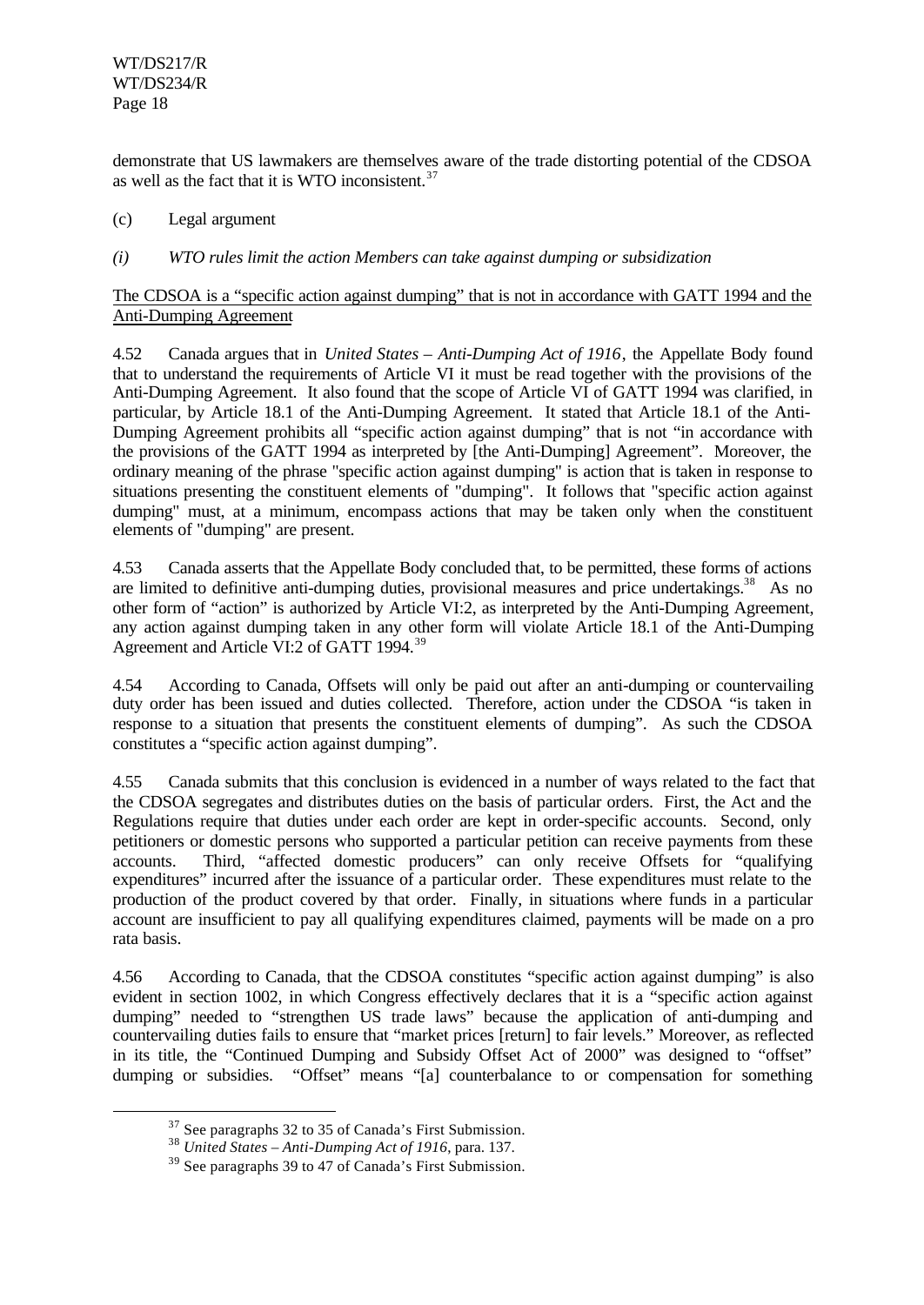demonstrate that US lawmakers are themselves aware of the trade distorting potential of the CDSOA as well as the fact that it is WTO inconsistent. $37$ 

#### (c) Legal argument

#### *(i) WTO rules limit the action Members can take against dumping or subsidization*

#### The CDSOA is a "specific action against dumping" that is not in accordance with GATT 1994 and the Anti-Dumping Agreement

4.52 Canada argues that in *United States – Anti-Dumping Act of 1916*, the Appellate Body found that to understand the requirements of Article VI it must be read together with the provisions of the Anti-Dumping Agreement. It also found that the scope of Article VI of GATT 1994 was clarified, in particular, by Article 18.1 of the Anti-Dumping Agreement. It stated that Article 18.1 of the Anti-Dumping Agreement prohibits all "specific action against dumping" that is not "in accordance with the provisions of the GATT 1994 as interpreted by [the Anti-Dumping] Agreement". Moreover, the ordinary meaning of the phrase "specific action against dumping" is action that is taken in response to situations presenting the constituent elements of "dumping". It follows that "specific action against dumping" must, at a minimum, encompass actions that may be taken only when the constituent elements of "dumping" are present.

4.53 Canada asserts that the Appellate Body concluded that, to be permitted, these forms of actions are limited to definitive anti-dumping duties, provisional measures and price undertakings.<sup>38</sup> As no other form of "action" is authorized by Article VI:2, as interpreted by the Anti-Dumping Agreement, any action against dumping taken in any other form will violate Article 18.1 of the Anti-Dumping Agreement and Article VI:2 of GATT 1994.<sup>39</sup>

4.54 According to Canada, Offsets will only be paid out after an anti-dumping or countervailing duty order has been issued and duties collected. Therefore, action under the CDSOA "is taken in response to a situation that presents the constituent elements of dumping". As such the CDSOA constitutes a "specific action against dumping".

4.55 Canada submits that this conclusion is evidenced in a number of ways related to the fact that the CDSOA segregates and distributes duties on the basis of particular orders. First, the Act and the Regulations require that duties under each order are kept in order-specific accounts. Second, only petitioners or domestic persons who supported a particular petition can receive payments from these accounts. Third, "affected domestic producers" can only receive Offsets for "qualifying expenditures" incurred after the issuance of a particular order. These expenditures must relate to the production of the product covered by that order. Finally, in situations where funds in a particular account are insufficient to pay all qualifying expenditures claimed, payments will be made on a pro rata basis.

4.56 According to Canada, that the CDSOA constitutes "specific action against dumping" is also evident in section 1002, in which Congress effectively declares that it is a "specific action against dumping" needed to "strengthen US trade laws" because the application of anti-dumping and countervailing duties fails to ensure that "market prices [return] to fair levels." Moreover, as reflected in its title, the "Continued Dumping and Subsidy Offset Act of 2000" was designed to "offset" dumping or subsidies. "Offset" means "[a] counterbalance to or compensation for something

 $37$  See paragraphs 32 to 35 of Canada's First Submission.

<sup>38</sup> *United States – Anti-Dumping Act of 1916*, para. 137.

<sup>39</sup> See paragraphs 39 to 47 of Canada's First Submission.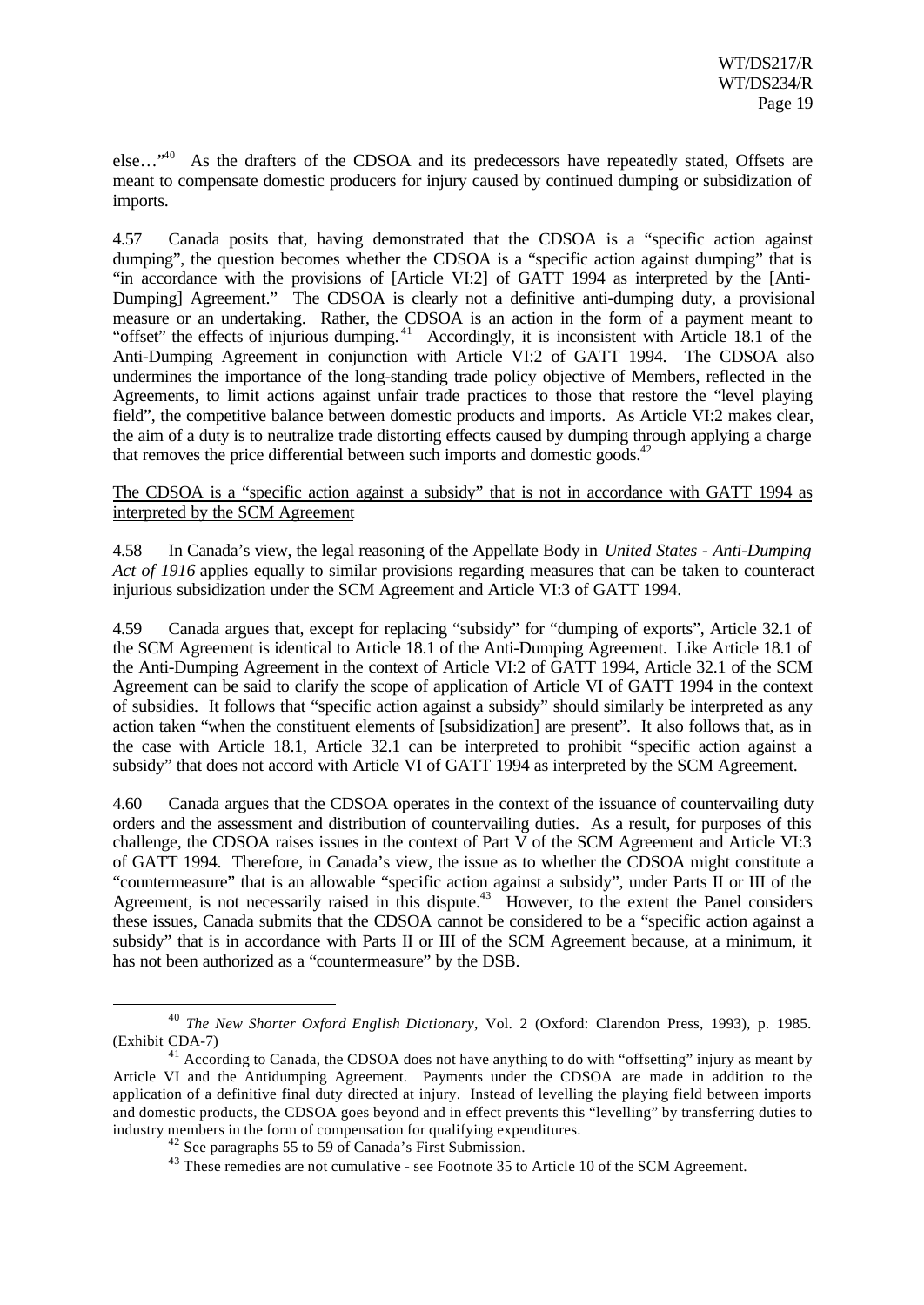else..."<sup>40</sup> As the drafters of the CDSOA and its predecessors have repeatedly stated, Offsets are meant to compensate domestic producers for injury caused by continued dumping or subsidization of imports.

4.57 Canada posits that, having demonstrated that the CDSOA is a "specific action against dumping", the question becomes whether the CDSOA is a "specific action against dumping" that is "in accordance with the provisions of [Article VI:2] of GATT 1994 as interpreted by the [Anti-Dumping] Agreement." The CDSOA is clearly not a definitive anti-dumping duty, a provisional measure or an undertaking. Rather, the CDSOA is an action in the form of a payment meant to "offset" the effects of injurious dumping.<sup>41</sup> Accordingly, it is inconsistent with Article 18.1 of the Anti-Dumping Agreement in conjunction with Article VI:2 of GATT 1994. The CDSOA also undermines the importance of the long-standing trade policy objective of Members, reflected in the Agreements, to limit actions against unfair trade practices to those that restore the "level playing field", the competitive balance between domestic products and imports. As Article VI:2 makes clear, the aim of a duty is to neutralize trade distorting effects caused by dumping through applying a charge that removes the price differential between such imports and domestic goods.<sup>42</sup>

#### The CDSOA is a "specific action against a subsidy" that is not in accordance with GATT 1994 as interpreted by the SCM Agreement

4.58 In Canada's view, the legal reasoning of the Appellate Body in *United States - Anti-Dumping Act of 1916* applies equally to similar provisions regarding measures that can be taken to counteract injurious subsidization under the SCM Agreement and Article VI:3 of GATT 1994.

4.59 Canada argues that, except for replacing "subsidy" for "dumping of exports", Article 32.1 of the SCM Agreement is identical to Article 18.1 of the Anti-Dumping Agreement. Like Article 18.1 of the Anti-Dumping Agreement in the context of Article VI:2 of GATT 1994, Article 32.1 of the SCM Agreement can be said to clarify the scope of application of Article VI of GATT 1994 in the context of subsidies. It follows that "specific action against a subsidy" should similarly be interpreted as any action taken "when the constituent elements of [subsidization] are present". It also follows that, as in the case with Article 18.1, Article 32.1 can be interpreted to prohibit "specific action against a subsidy" that does not accord with Article VI of GATT 1994 as interpreted by the SCM Agreement.

4.60 Canada argues that the CDSOA operates in the context of the issuance of countervailing duty orders and the assessment and distribution of countervailing duties. As a result, for purposes of this challenge, the CDSOA raises issues in the context of Part  $\overline{V}$  of the SCM Agreement and Article VI:3 of GATT 1994. Therefore, in Canada's view, the issue as to whether the CDSOA might constitute a "countermeasure" that is an allowable "specific action against a subsidy", under Parts II or III of the Agreement, is not necessarily raised in this dispute.<sup>43</sup> However, to the extent the Panel considers these issues, Canada submits that the CDSOA cannot be considered to be a "specific action against a subsidy" that is in accordance with Parts II or III of the SCM Agreement because, at a minimum, it has not been authorized as a "countermeasure" by the DSB.

<sup>40</sup> *The New Shorter Oxford English Dictionary*, Vol. 2 (Oxford: Clarendon Press, 1993), p. 1985. (Exhibit CDA-7)

 $41$  According to Canada, the CDSOA does not have anything to do with "offsetting" injury as meant by Article VI and the Antidumping Agreement. Payments under the CDSOA are made in addition to the application of a definitive final duty directed at injury. Instead of levelling the playing field between imports and domestic products, the CDSOA goes beyond and in effect prevents this "levelling" by transferring duties to industry members in the form of compensation for qualifying expenditures.

 $42$  See paragraphs 55 to 59 of Canada's First Submission.

<sup>&</sup>lt;sup>43</sup> These remedies are not cumulative - see Footnote 35 to Article 10 of the SCM Agreement.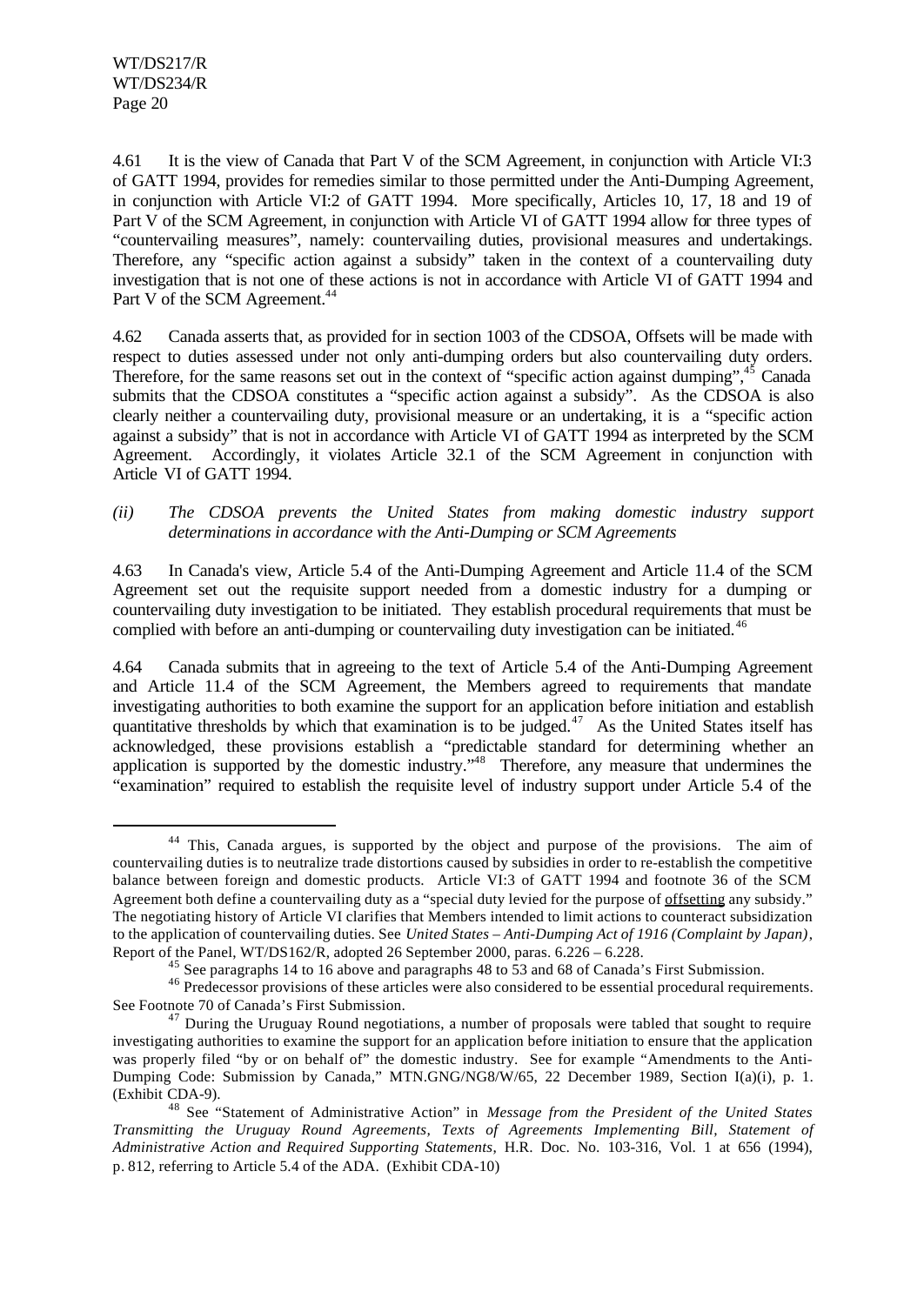l

4.61 It is the view of Canada that Part V of the SCM Agreement, in conjunction with Article VI:3 of GATT 1994, provides for remedies similar to those permitted under the Anti-Dumping Agreement, in conjunction with Article VI:2 of GATT 1994. More specifically, Articles 10, 17, 18 and 19 of Part V of the SCM Agreement, in conjunction with Article VI of GATT 1994 allow for three types of "countervailing measures", namely: countervailing duties, provisional measures and undertakings. Therefore, any "specific action against a subsidy" taken in the context of a countervailing duty investigation that is not one of these actions is not in accordance with Article VI of GATT 1994 and Part V of the SCM Agreement.<sup>44</sup>

4.62 Canada asserts that, as provided for in section 1003 of the CDSOA, Offsets will be made with respect to duties assessed under not only anti-dumping orders but also countervailing duty orders. Therefore, for the same reasons set out in the context of "specific action against dumping", $45$  Canada submits that the CDSOA constitutes a "specific action against a subsidy". As the CDSOA is also clearly neither a countervailing duty, provisional measure or an undertaking, it is a "specific action against a subsidy" that is not in accordance with Article VI of GATT 1994 as interpreted by the SCM Agreement. Accordingly, it violates Article 32.1 of the SCM Agreement in conjunction with Article VI of GATT 1994.

*(ii) The CDSOA prevents the United States from making domestic industry support determinations in accordance with the Anti-Dumping or SCM Agreements*

4.63 In Canada's view, Article 5.4 of the Anti-Dumping Agreement and Article 11.4 of the SCM Agreement set out the requisite support needed from a domestic industry for a dumping or countervailing duty investigation to be initiated. They establish procedural requirements that must be complied with before an anti-dumping or countervailing duty investigation can be initiated.<sup>46</sup>

4.64 Canada submits that in agreeing to the text of Article 5.4 of the Anti-Dumping Agreement and Article 11.4 of the SCM Agreement, the Members agreed to requirements that mandate investigating authorities to both examine the support for an application before initiation and establish quantitative thresholds by which that examination is to be judged.<sup>47</sup> As the United States itself has acknowledged, these provisions establish a "predictable standard for determining whether an application is supported by the domestic industry."<sup>48</sup> Therefore, any measure that undermines the "examination" required to establish the requisite level of industry support under Article 5.4 of the

<sup>44</sup> This, Canada argues, is supported by the object and purpose of the provisions. The aim of countervailing duties is to neutralize trade distortions caused by subsidies in order to re-establish the competitive balance between foreign and domestic products. Article VI:3 of GATT 1994 and footnote 36 of the SCM Agreement both define a countervailing duty as a "special duty levied for the purpose of offsetting any subsidy." The negotiating history of Article VI clarifies that Members intended to limit actions to counteract subsidization to the application of countervailing duties. See *United States – Anti-Dumping Act of 1916 (Complaint by Japan)*, Report of the Panel, WT/DS162/R, adopted 26 September 2000, paras. 6.226 – 6.228.

<sup>&</sup>lt;sup>45</sup> See paragraphs 14 to 16 above and paragraphs 48 to 53 and 68 of Canada's First Submission.

<sup>&</sup>lt;sup>46</sup> Predecessor provisions of these articles were also considered to be essential procedural requirements. See Footnote 70 of Canada's First Submission.

 $47$  During the Uruguay Round negotiations, a number of proposals were tabled that sought to require investigating authorities to examine the support for an application before initiation to ensure that the application was properly filed "by or on behalf of" the domestic industry. See for example "Amendments to the Anti-Dumping Code: Submission by Canada," MTN.GNG/NG8/W/65, 22 December 1989, Section I(a)(i), p. 1. (Exhibit CDA-9).

<sup>48</sup> See "Statement of Administrative Action" in *Message from the President of the United States Transmitting the Uruguay Round Agreements, Texts of Agreements Implementing Bill, Statement of Administrative Action and Required Supporting Statements*, H.R. Doc. No. 103-316, Vol. 1 at 656 (1994), p. 812, referring to Article 5.4 of the ADA. (Exhibit CDA-10)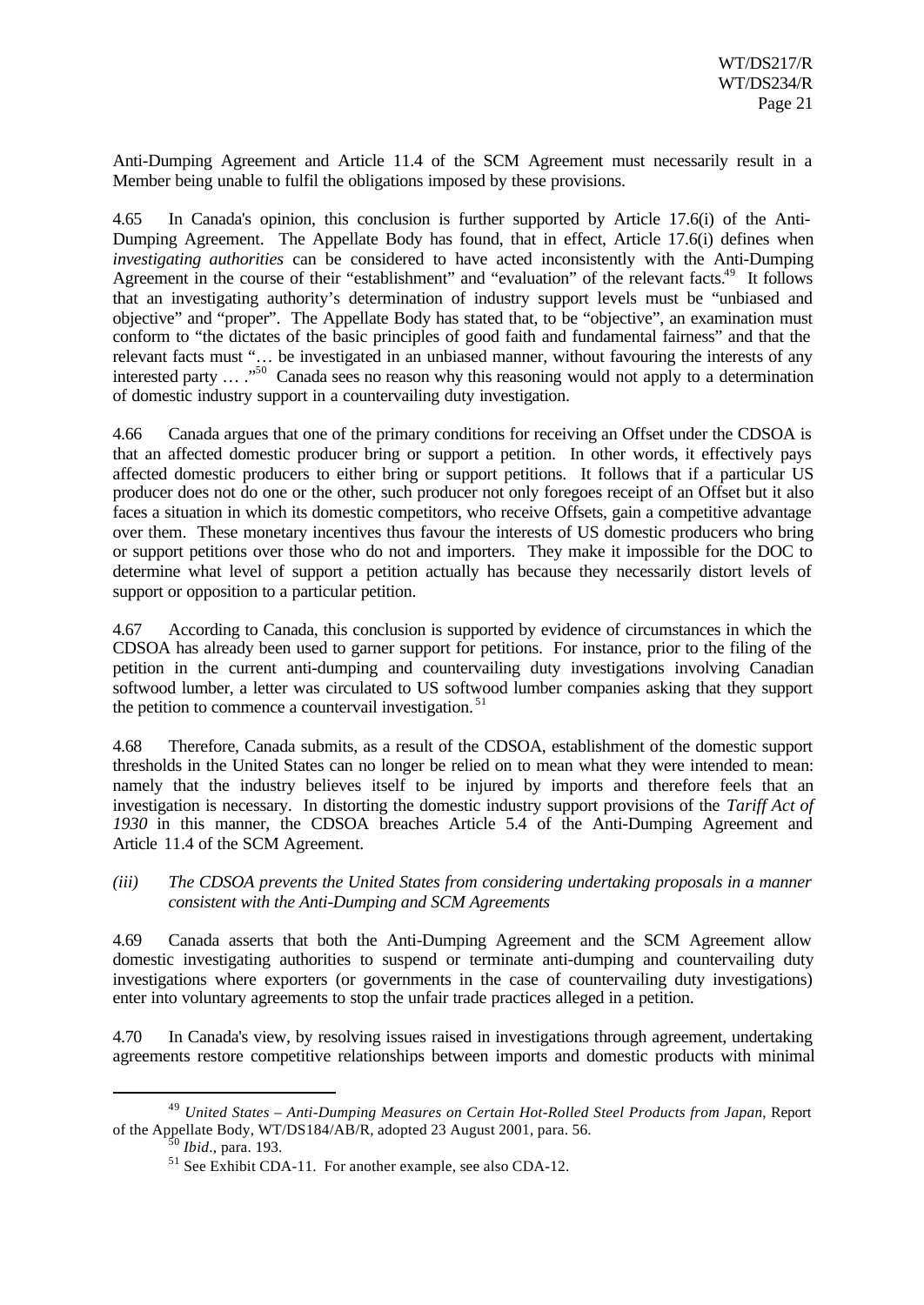Anti-Dumping Agreement and Article 11.4 of the SCM Agreement must necessarily result in a Member being unable to fulfil the obligations imposed by these provisions.

4.65 In Canada's opinion, this conclusion is further supported by Article 17.6(i) of the Anti-Dumping Agreement. The Appellate Body has found, that in effect, Article 17.6(i) defines when *investigating authorities* can be considered to have acted inconsistently with the Anti-Dumping Agreement in the course of their "establishment" and "evaluation" of the relevant facts.<sup>49</sup> It follows that an investigating authority's determination of industry support levels must be "unbiased and objective" and "proper". The Appellate Body has stated that, to be "objective", an examination must conform to "the dictates of the basic principles of good faith and fundamental fairness" and that the relevant facts must "… be investigated in an unbiased manner, without favouring the interests of any interested party ... ."<sup>50</sup> Canada sees no reason why this reasoning would not apply to a determination of domestic industry support in a countervailing duty investigation.

4.66 Canada argues that one of the primary conditions for receiving an Offset under the CDSOA is that an affected domestic producer bring or support a petition. In other words, it effectively pays affected domestic producers to either bring or support petitions. It follows that if a particular US producer does not do one or the other, such producer not only foregoes receipt of an Offset but it also faces a situation in which its domestic competitors, who receive Offsets, gain a competitive advantage over them. These monetary incentives thus favour the interests of US domestic producers who bring or support petitions over those who do not and importers. They make it impossible for the DOC to determine what level of support a petition actually has because they necessarily distort levels of support or opposition to a particular petition.

4.67 According to Canada, this conclusion is supported by evidence of circumstances in which the CDSOA has already been used to garner support for petitions. For instance, prior to the filing of the petition in the current anti-dumping and countervailing duty investigations involving Canadian softwood lumber, a letter was circulated to US softwood lumber companies asking that they support the petition to commence a countervail investigation.<sup>51</sup>

4.68 Therefore, Canada submits, as a result of the CDSOA, establishment of the domestic support thresholds in the United States can no longer be relied on to mean what they were intended to mean: namely that the industry believes itself to be injured by imports and therefore feels that an investigation is necessary. In distorting the domestic industry support provisions of the *Tariff Act of 1930* in this manner, the CDSOA breaches Article 5.4 of the Anti-Dumping Agreement and Article 11.4 of the SCM Agreement.

*(iii) The CDSOA prevents the United States from considering undertaking proposals in a manner consistent with the Anti-Dumping and SCM Agreements*

4.69 Canada asserts that both the Anti-Dumping Agreement and the SCM Agreement allow domestic investigating authorities to suspend or terminate anti-dumping and countervailing duty investigations where exporters (or governments in the case of countervailing duty investigations) enter into voluntary agreements to stop the unfair trade practices alleged in a petition.

4.70 In Canada's view, by resolving issues raised in investigations through agreement, undertaking agreements restore competitive relationships between imports and domestic products with minimal

<sup>49</sup> *United States – Anti-Dumping Measures on Certain Hot-Rolled Steel Products from Japan*, Report of the Appellate Body, WT/DS184/AB/R, adopted 23 August 2001, para. 56.

<sup>50</sup> *Ibid*., para. 193.

<sup>&</sup>lt;sup>51</sup> See Exhibit CDA-11. For another example, see also CDA-12.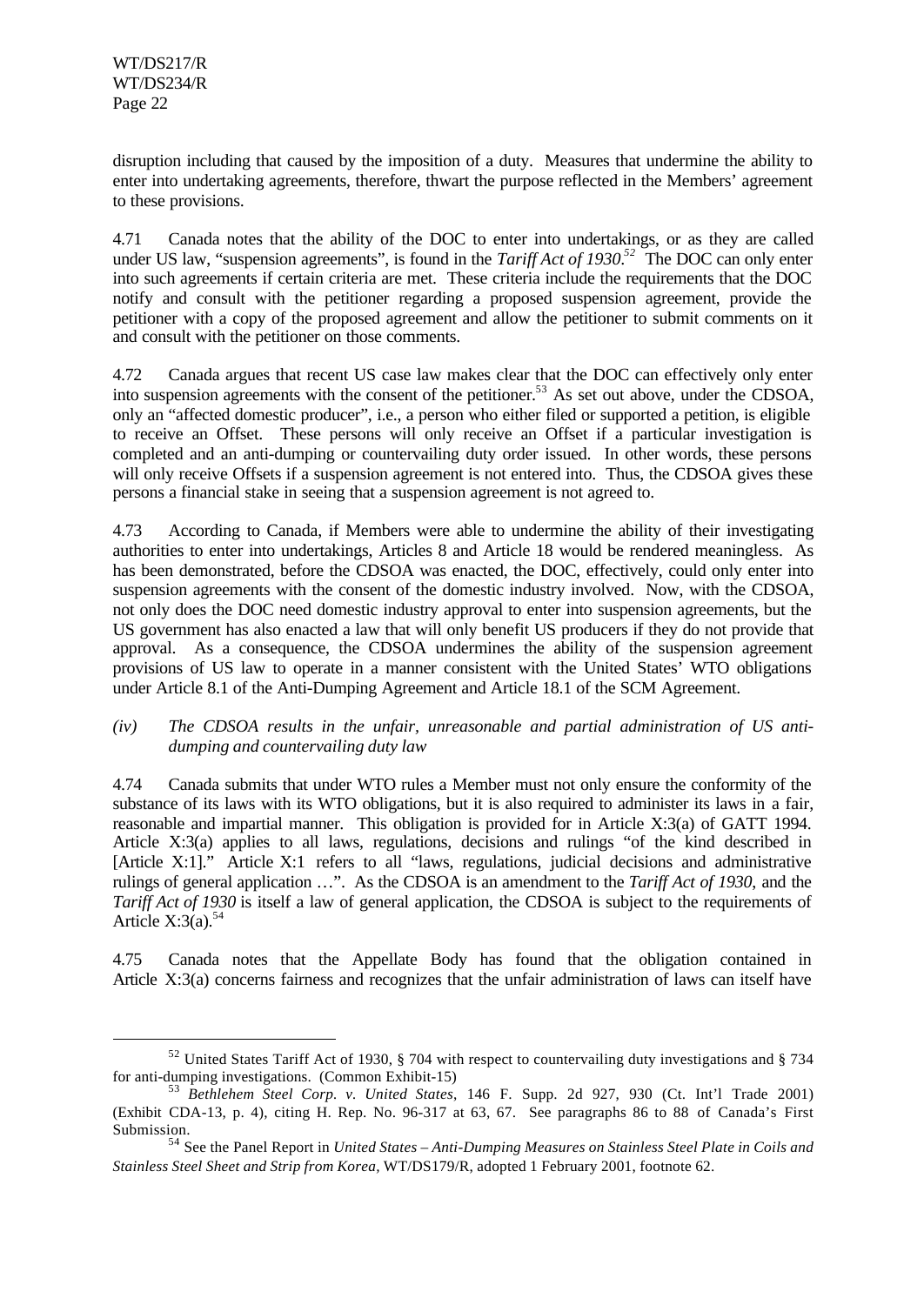l

disruption including that caused by the imposition of a duty. Measures that undermine the ability to enter into undertaking agreements, therefore, thwart the purpose reflected in the Members' agreement to these provisions.

4.71 Canada notes that the ability of the DOC to enter into undertakings, or as they are called under US law, "suspension agreements", is found in the *Tariff Act of 1930.<sup>52</sup>* The DOC can only enter into such agreements if certain criteria are met. These criteria include the requirements that the DOC notify and consult with the petitioner regarding a proposed suspension agreement, provide the petitioner with a copy of the proposed agreement and allow the petitioner to submit comments on it and consult with the petitioner on those comments.

4.72 Canada argues that recent US case law makes clear that the DOC can effectively only enter into suspension agreements with the consent of the petitioner.<sup>53</sup> As set out above, under the CDSOA, only an "affected domestic producer", i.e., a person who either filed or supported a petition, is eligible to receive an Offset. These persons will only receive an Offset if a particular investigation is completed and an anti-dumping or countervailing duty order issued. In other words, these persons will only receive Offsets if a suspension agreement is not entered into. Thus, the CDSOA gives these persons a financial stake in seeing that a suspension agreement is not agreed to.

4.73 According to Canada, if Members were able to undermine the ability of their investigating authorities to enter into undertakings, Articles 8 and Article 18 would be rendered meaningless. As has been demonstrated, before the CDSOA was enacted, the DOC, effectively, could only enter into suspension agreements with the consent of the domestic industry involved. Now, with the CDSOA, not only does the DOC need domestic industry approval to enter into suspension agreements, but the US government has also enacted a law that will only benefit US producers if they do not provide that approval. As a consequence, the CDSOA undermines the ability of the suspension agreement provisions of US law to operate in a manner consistent with the United States' WTO obligations under Article 8.1 of the Anti-Dumping Agreement and Article 18.1 of the SCM Agreement.

#### *(iv) The CDSOA results in the unfair, unreasonable and partial administration of US antidumping and countervailing duty law*

4.74 Canada submits that under WTO rules a Member must not only ensure the conformity of the substance of its laws with its WTO obligations, but it is also required to administer its laws in a fair, reasonable and impartial manner. This obligation is provided for in Article X:3(a) of GATT 1994. Article X:3(a) applies to all laws, regulations, decisions and rulings "of the kind described in [Article X:1]." Article X:1 refers to all "laws, regulations, judicial decisions and administrative rulings of general application …". As the CDSOA is an amendment to the *Tariff Act of 1930*, and the *Tariff Act of 1930* is itself a law of general application, the CDSOA is subject to the requirements of Article  $X:3(a)$ .<sup>54</sup>

4.75 Canada notes that the Appellate Body has found that the obligation contained in Article X:3(a) concerns fairness and recognizes that the unfair administration of laws can itself have

<sup>52</sup> United States Tariff Act of 1930, § 704 with respect to countervailing duty investigations and § 734 for anti-dumping investigations. (Common Exhibit-15)

<sup>53</sup> *Bethlehem Steel Corp. v. United States*, 146 F. Supp. 2d 927, 930 (Ct. Int'l Trade 2001) (Exhibit CDA-13, p. 4), citing H. Rep. No. 96-317 at 63, 67. See paragraphs 86 to 88 of Canada's First Submission.

<sup>54</sup> See the Panel Report in *United States – Anti-Dumping Measures on Stainless Steel Plate in Coils and Stainless Steel Sheet and Strip from Korea,* WT/DS179/R, adopted 1 February 2001, footnote 62.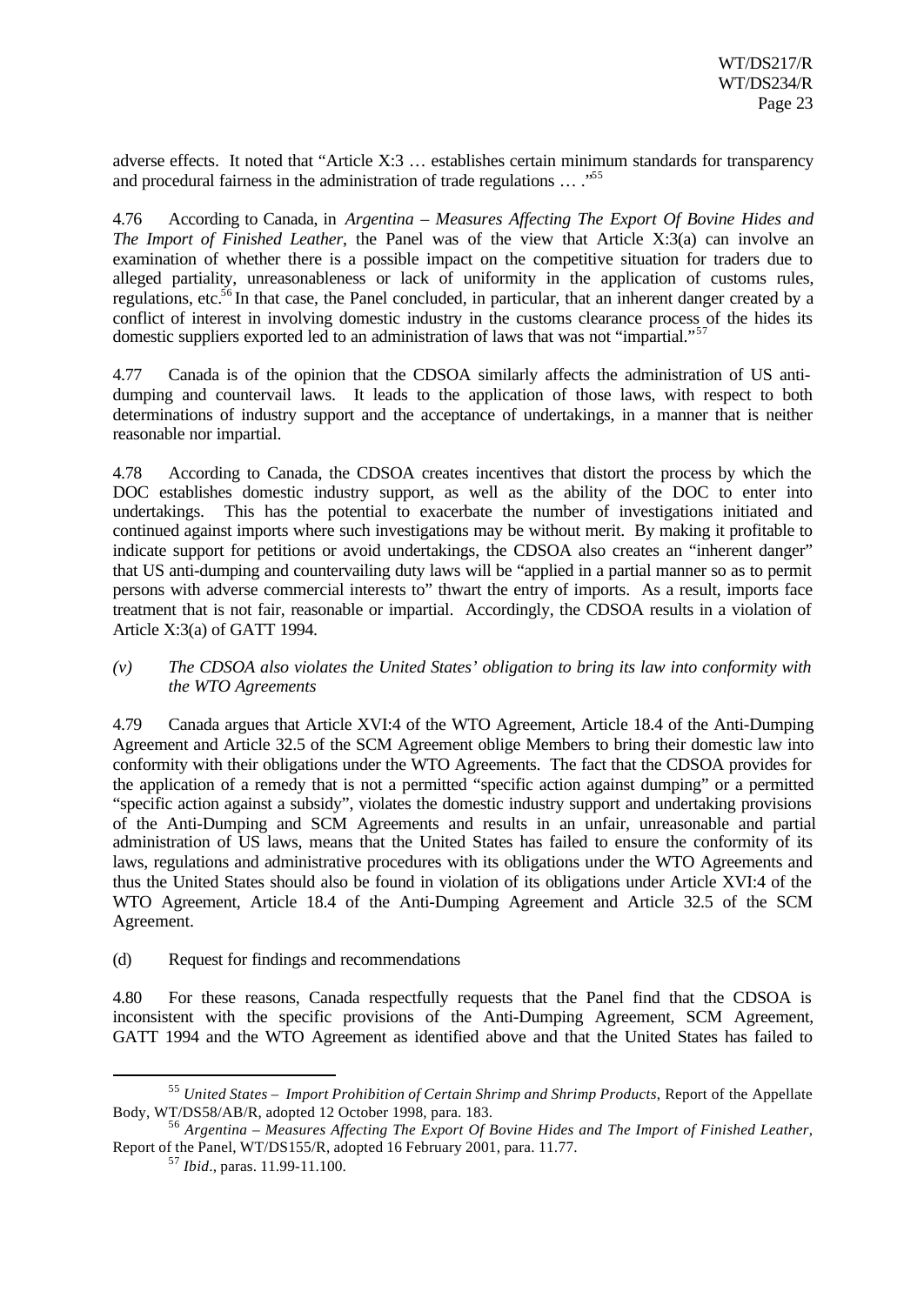adverse effects. It noted that "Article X:3 … establishes certain minimum standards for transparency and procedural fairness in the administration of trade regulations  $\ldots$ .

4.76 According to Canada, in *Argentina – Measures Affecting The Export Of Bovine Hides and The Import of Finished Leather*, the Panel was of the view that Article X:3(a) can involve an examination of whether there is a possible impact on the competitive situation for traders due to alleged partiality, unreasonableness or lack of uniformity in the application of customs rules, regulations, etc.<sup>56</sup> In that case, the Panel concluded, in particular, that an inherent danger created by a conflict of interest in involving domestic industry in the customs clearance process of the hides its domestic suppliers exported led to an administration of laws that was not "impartial."<sup>57</sup>

4.77 Canada is of the opinion that the CDSOA similarly affects the administration of US antidumping and countervail laws. It leads to the application of those laws, with respect to both determinations of industry support and the acceptance of undertakings, in a manner that is neither reasonable nor impartial.

4.78 According to Canada, the CDSOA creates incentives that distort the process by which the DOC establishes domestic industry support, as well as the ability of the DOC to enter into undertakings. This has the potential to exacerbate the number of investigations initiated and continued against imports where such investigations may be without merit. By making it profitable to indicate support for petitions or avoid undertakings, the CDSOA also creates an "inherent danger" that US anti-dumping and countervailing duty laws will be "applied in a partial manner so as to permit persons with adverse commercial interests to" thwart the entry of imports. As a result, imports face treatment that is not fair, reasonable or impartial. Accordingly, the CDSOA results in a violation of Article X:3(a) of GATT 1994.

#### *(v) The CDSOA also violates the United States' obligation to bring its law into conformity with the WTO Agreements*

4.79 Canada argues that Article XVI:4 of the WTO Agreement, Article 18.4 of the Anti-Dumping Agreement and Article 32.5 of the SCM Agreement oblige Members to bring their domestic law into conformity with their obligations under the WTO Agreements. The fact that the CDSOA provides for the application of a remedy that is not a permitted "specific action against dumping" or a permitted "specific action against a subsidy", violates the domestic industry support and undertaking provisions of the Anti-Dumping and SCM Agreements and results in an unfair, unreasonable and partial administration of US laws, means that the United States has failed to ensure the conformity of its laws, regulations and administrative procedures with its obligations under the WTO Agreements and thus the United States should also be found in violation of its obligations under Article XVI:4 of the WTO Agreement, Article 18.4 of the Anti-Dumping Agreement and Article 32.5 of the SCM Agreement.

(d) Request for findings and recommendations

4.80 For these reasons, Canada respectfully requests that the Panel find that the CDSOA is inconsistent with the specific provisions of the Anti-Dumping Agreement, SCM Agreement, GATT 1994 and the WTO Agreement as identified above and that the United States has failed to

<sup>55</sup> *United States – Import Prohibition of Certain Shrimp and Shrimp Products*, Report of the Appellate Body, WT/DS58/AB/R, adopted 12 October 1998, para. 183.

<sup>56</sup> *Argentina – Measures Affecting The Export Of Bovine Hides and The Import of Finished Leather*, Report of the Panel, WT/DS155/R, adopted 16 February 2001, para. 11.77.

<sup>57</sup> *Ibid*., paras. 11.99-11.100.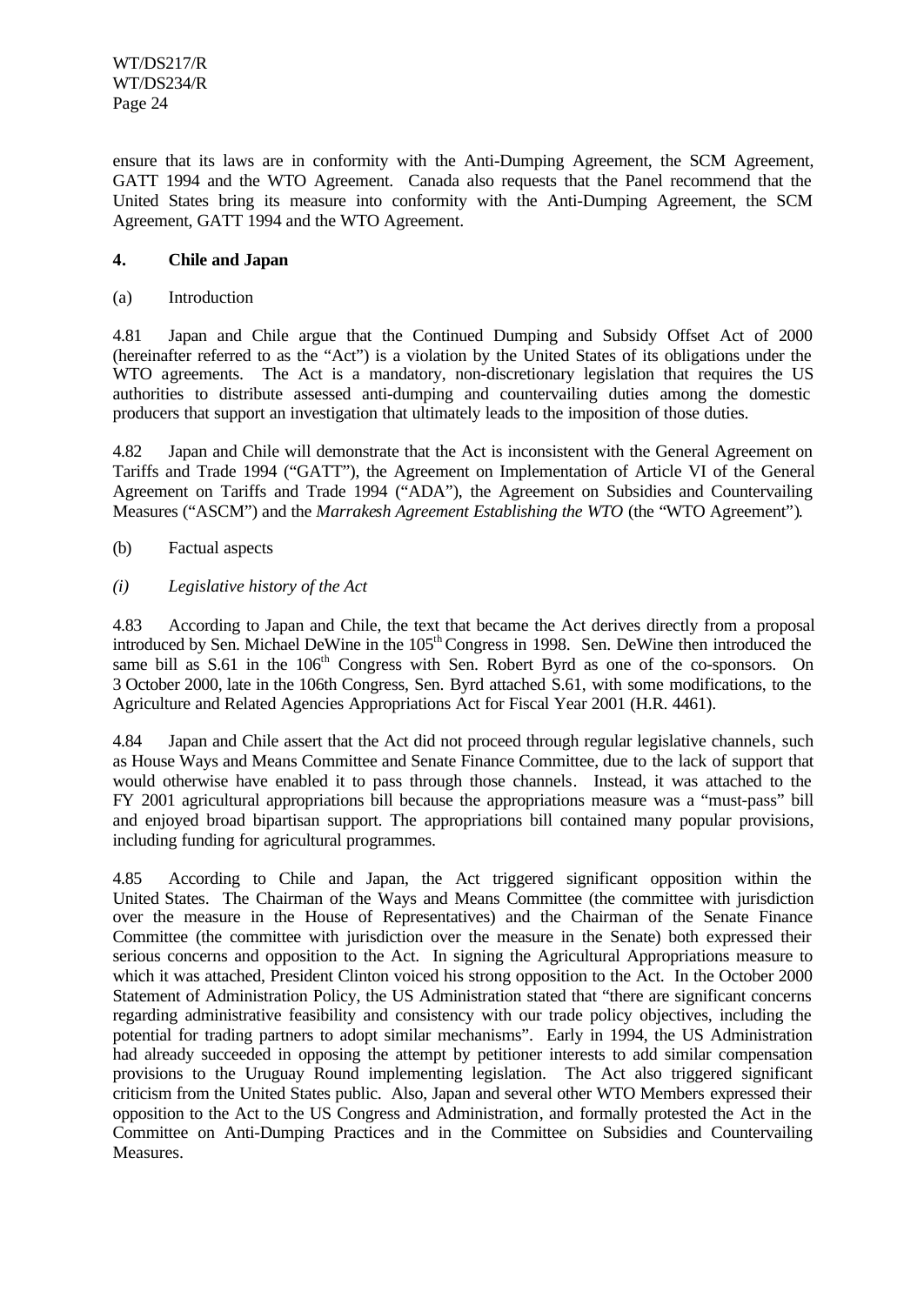WT/DS217/R WT/DS234/R Page 24

ensure that its laws are in conformity with the Anti-Dumping Agreement, the SCM Agreement, GATT 1994 and the WTO Agreement. Canada also requests that the Panel recommend that the United States bring its measure into conformity with the Anti-Dumping Agreement, the SCM Agreement, GATT 1994 and the WTO Agreement.

#### **4. Chile and Japan**

#### (a) Introduction

4.81 Japan and Chile argue that the Continued Dumping and Subsidy Offset Act of 2000 (hereinafter referred to as the "Act") is a violation by the United States of its obligations under the WTO agreements. The Act is a mandatory, non-discretionary legislation that requires the US authorities to distribute assessed anti-dumping and countervailing duties among the domestic producers that support an investigation that ultimately leads to the imposition of those duties.

4.82 Japan and Chile will demonstrate that the Act is inconsistent with the General Agreement on Tariffs and Trade 1994 ("GATT"), the Agreement on Implementation of Article VI of the General Agreement on Tariffs and Trade 1994 ("ADA"), the Agreement on Subsidies and Countervailing Measures ("ASCM") and the *Marrakesh Agreement Establishing the WTO* (the "WTO Agreement").

#### (b) Factual aspects

#### *(i) Legislative history of the Act*

4.83 According to Japan and Chile, the text that became the Act derives directly from a proposal introduced by Sen. Michael DeWine in the 105<sup>th</sup> Congress in 1998. Sen. DeWine then introduced the same bill as S.61 in the 106<sup>th</sup> Congress with Sen. Robert Byrd as one of the co-sponsors. On 3 October 2000, late in the 106th Congress, Sen. Byrd attached S.61, with some modifications, to the Agriculture and Related Agencies Appropriations Act for Fiscal Year 2001 (H.R. 4461).

4.84 Japan and Chile assert that the Act did not proceed through regular legislative channels, such as House Ways and Means Committee and Senate Finance Committee, due to the lack of support that would otherwise have enabled it to pass through those channels. Instead, it was attached to the FY 2001 agricultural appropriations bill because the appropriations measure was a "must-pass" bill and enjoyed broad bipartisan support. The appropriations bill contained many popular provisions, including funding for agricultural programmes.

4.85 According to Chile and Japan, the Act triggered significant opposition within the United States. The Chairman of the Ways and Means Committee (the committee with jurisdiction over the measure in the House of Representatives) and the Chairman of the Senate Finance Committee (the committee with jurisdiction over the measure in the Senate) both expressed their serious concerns and opposition to the Act. In signing the Agricultural Appropriations measure to which it was attached, President Clinton voiced his strong opposition to the Act. In the October 2000 Statement of Administration Policy, the US Administration stated that "there are significant concerns regarding administrative feasibility and consistency with our trade policy objectives, including the potential for trading partners to adopt similar mechanisms". Early in 1994, the US Administration had already succeeded in opposing the attempt by petitioner interests to add similar compensation provisions to the Uruguay Round implementing legislation. The Act also triggered significant criticism from the United States public. Also, Japan and several other WTO Members expressed their opposition to the Act to the US Congress and Administration, and formally protested the Act in the Committee on Anti-Dumping Practices and in the Committee on Subsidies and Countervailing Measures.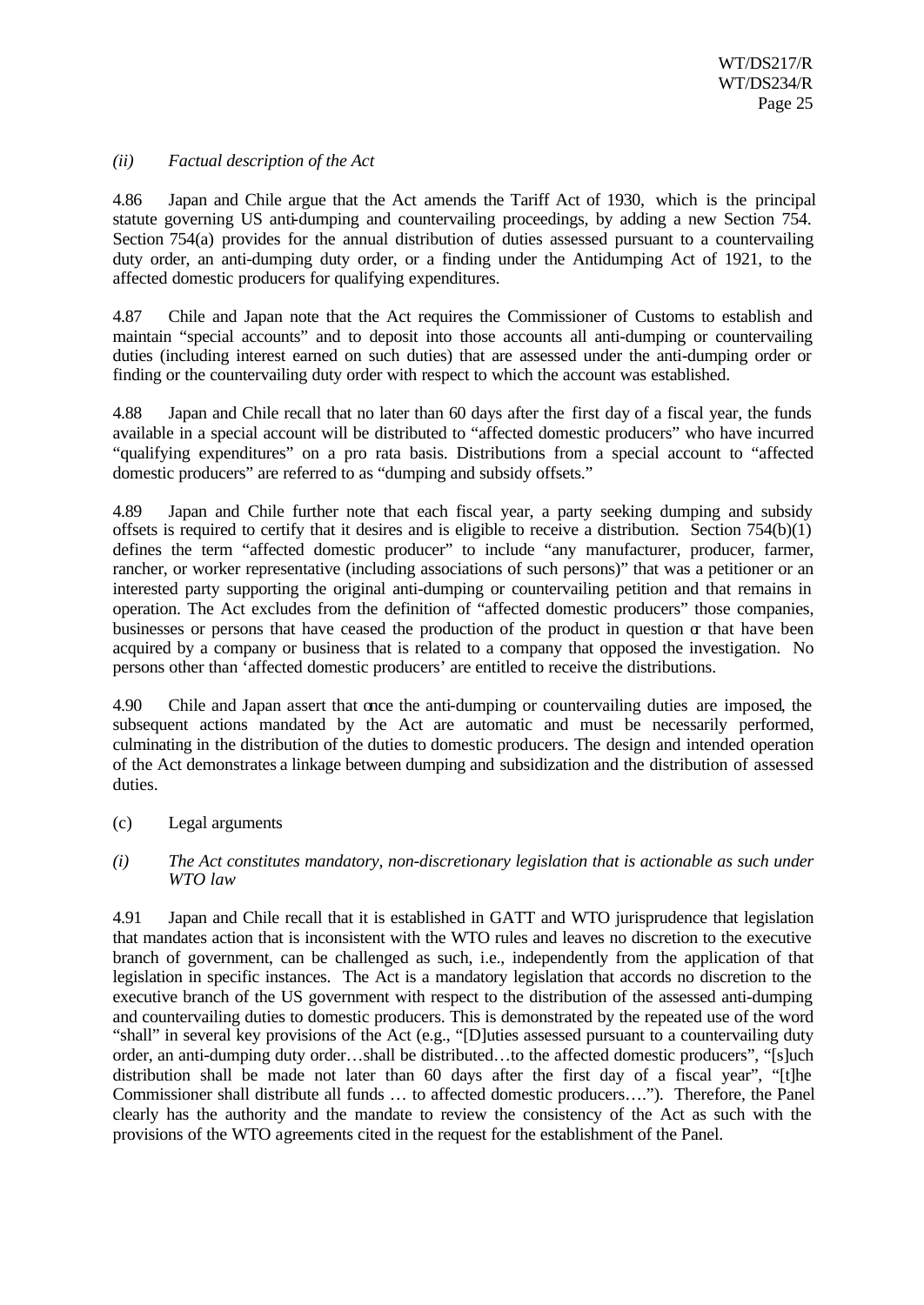#### *(ii) Factual description of the Act*

4.86 Japan and Chile argue that the Act amends the Tariff Act of 1930, which is the principal statute governing US anti-dumping and countervailing proceedings, by adding a new Section 754. Section 754(a) provides for the annual distribution of duties assessed pursuant to a countervailing duty order, an anti-dumping duty order, or a finding under the Antidumping Act of 1921, to the affected domestic producers for qualifying expenditures.

4.87 Chile and Japan note that the Act requires the Commissioner of Customs to establish and maintain "special accounts" and to deposit into those accounts all anti-dumping or countervailing duties (including interest earned on such duties) that are assessed under the anti-dumping order or finding or the countervailing duty order with respect to which the account was established.

4.88 Japan and Chile recall that no later than 60 days after the first day of a fiscal year, the funds available in a special account will be distributed to "affected domestic producers" who have incurred "qualifying expenditures" on a pro rata basis. Distributions from a special account to "affected domestic producers" are referred to as "dumping and subsidy offsets."

4.89 Japan and Chile further note that each fiscal year, a party seeking dumping and subsidy offsets is required to certify that it desires and is eligible to receive a distribution. Section 754(b)(1) defines the term "affected domestic producer" to include "any manufacturer, producer, farmer, rancher, or worker representative (including associations of such persons)" that was a petitioner or an interested party supporting the original anti-dumping or countervailing petition and that remains in operation. The Act excludes from the definition of "affected domestic producers" those companies, businesses or persons that have ceased the production of the product in question  $\alpha$  that have been acquired by a company or business that is related to a company that opposed the investigation. No persons other than 'affected domestic producers' are entitled to receive the distributions.

4.90 Chile and Japan assert that once the anti-dumping or countervailing duties are imposed, the subsequent actions mandated by the Act are automatic and must be necessarily performed, culminating in the distribution of the duties to domestic producers. The design and intended operation of the Act demonstrates a linkage between dumping and subsidization and the distribution of assessed duties.

- (c) Legal arguments
- *(i) The Act constitutes mandatory, non-discretionary legislation that is actionable as such under WTO law*

4.91 Japan and Chile recall that it is established in GATT and WTO jurisprudence that legislation that mandates action that is inconsistent with the WTO rules and leaves no discretion to the executive branch of government, can be challenged as such, i.e., independently from the application of that legislation in specific instances. The Act is a mandatory legislation that accords no discretion to the executive branch of the US government with respect to the distribution of the assessed anti-dumping and countervailing duties to domestic producers. This is demonstrated by the repeated use of the word "shall" in several key provisions of the Act (e.g., "[D]uties assessed pursuant to a countervailing duty order, an anti-dumping duty order…shall be distributed…to the affected domestic producers", "[s]uch distribution shall be made not later than 60 days after the first day of a fiscal year", "[t]he Commissioner shall distribute all funds … to affected domestic producers…."). Therefore, the Panel clearly has the authority and the mandate to review the consistency of the Act as such with the provisions of the WTO agreements cited in the request for the establishment of the Panel.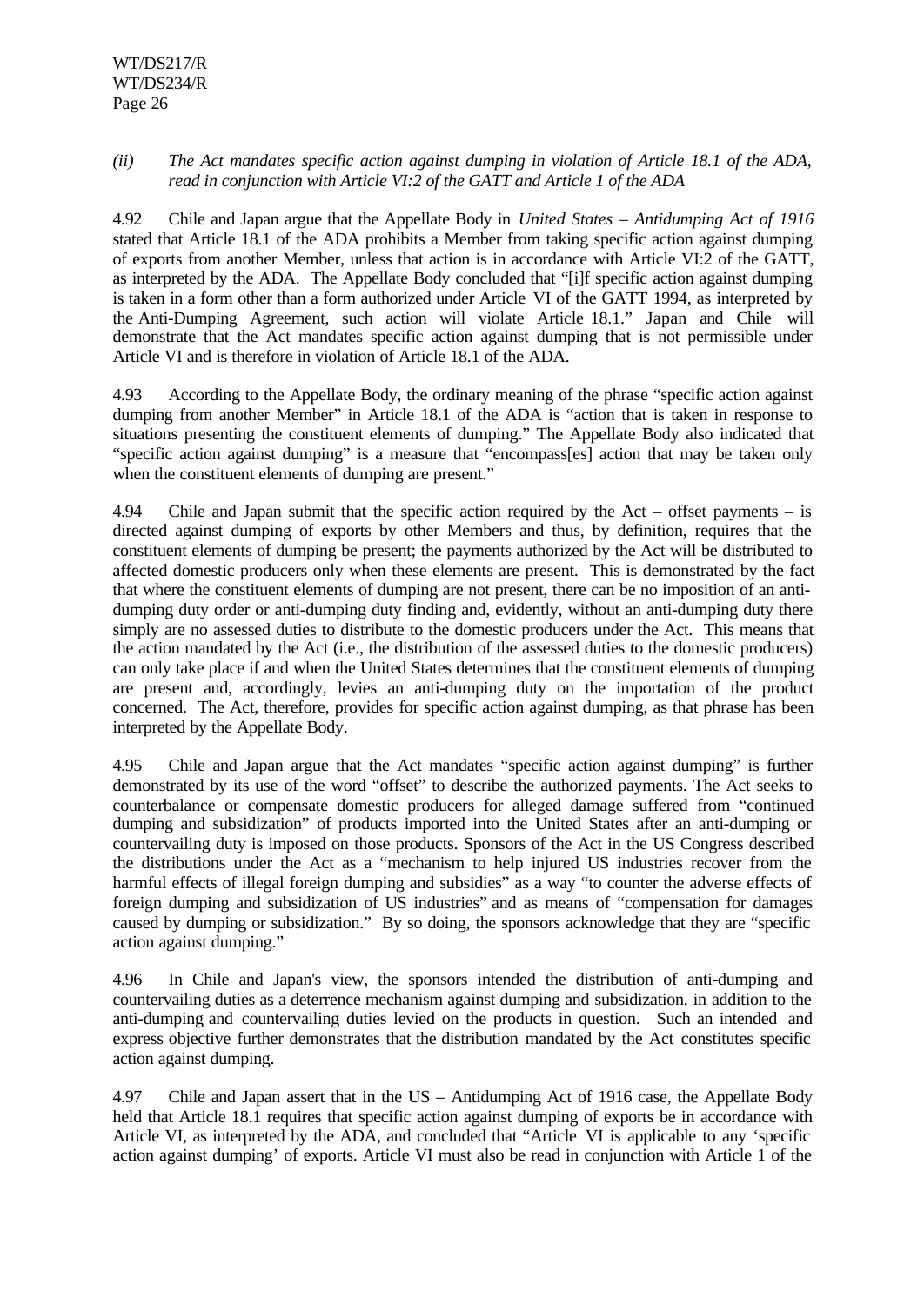#### *(ii) The Act mandates specific action against dumping in violation of Article 18.1 of the ADA, read in conjunction with Article VI:2 of the GATT and Article 1 of the ADA*

4.92 Chile and Japan argue that the Appellate Body in *United States – Antidumping Act of 1916* stated that Article 18.1 of the ADA prohibits a Member from taking specific action against dumping of exports from another Member, unless that action is in accordance with Article VI:2 of the GATT, as interpreted by the ADA. The Appellate Body concluded that "[i]f specific action against dumping is taken in a form other than a form authorized under Article VI of the GATT 1994, as interpreted by the Anti-Dumping Agreement, such action will violate Article 18.1." Japan and Chile will demonstrate that the Act mandates specific action against dumping that is not permissible under Article VI and is therefore in violation of Article 18.1 of the ADA.

4.93 According to the Appellate Body, the ordinary meaning of the phrase "specific action against dumping from another Member" in Article 18.1 of the ADA is "action that is taken in response to situations presenting the constituent elements of dumping." The Appellate Body also indicated that "specific action against dumping" is a measure that "encompass[es] action that may be taken only when the constituent elements of dumping are present."

4.94 Chile and Japan submit that the specific action required by the Act – offset payments – is directed against dumping of exports by other Members and thus, by definition, requires that the constituent elements of dumping be present; the payments authorized by the Act will be distributed to affected domestic producers only when these elements are present. This is demonstrated by the fact that where the constituent elements of dumping are not present, there can be no imposition of an antidumping duty order or anti-dumping duty finding and, evidently, without an anti-dumping duty there simply are no assessed duties to distribute to the domestic producers under the Act. This means that the action mandated by the Act (i.e., the distribution of the assessed duties to the domestic producers) can only take place if and when the United States determines that the constituent elements of dumping are present and, accordingly, levies an anti-dumping duty on the importation of the product concerned. The Act, therefore, provides for specific action against dumping, as that phrase has been interpreted by the Appellate Body.

4.95 Chile and Japan argue that the Act mandates "specific action against dumping" is further demonstrated by its use of the word "offset" to describe the authorized payments. The Act seeks to counterbalance or compensate domestic producers for alleged damage suffered from "continued dumping and subsidization" of products imported into the United States after an anti-dumping or countervailing duty is imposed on those products. Sponsors of the Act in the US Congress described the distributions under the Act as a "mechanism to help injured US industries recover from the harmful effects of illegal foreign dumping and subsidies" as a way "to counter the adverse effects of foreign dumping and subsidization of US industries" and as means of "compensation for damages caused by dumping or subsidization." By so doing, the sponsors acknowledge that they are "specific action against dumping."

4.96 In Chile and Japan's view, the sponsors intended the distribution of anti-dumping and countervailing duties as a deterrence mechanism against dumping and subsidization, in addition to the anti-dumping and countervailing duties levied on the products in question. Such an intended and express objective further demonstrates that the distribution mandated by the Act constitutes specific action against dumping.

4.97 Chile and Japan assert that in the US – Antidumping Act of 1916 case, the Appellate Body held that Article 18.1 requires that specific action against dumping of exports be in accordance with Article VI, as interpreted by the ADA, and concluded that "Article VI is applicable to any 'specific action against dumping' of exports. Article VI must also be read in conjunction with Article 1 of the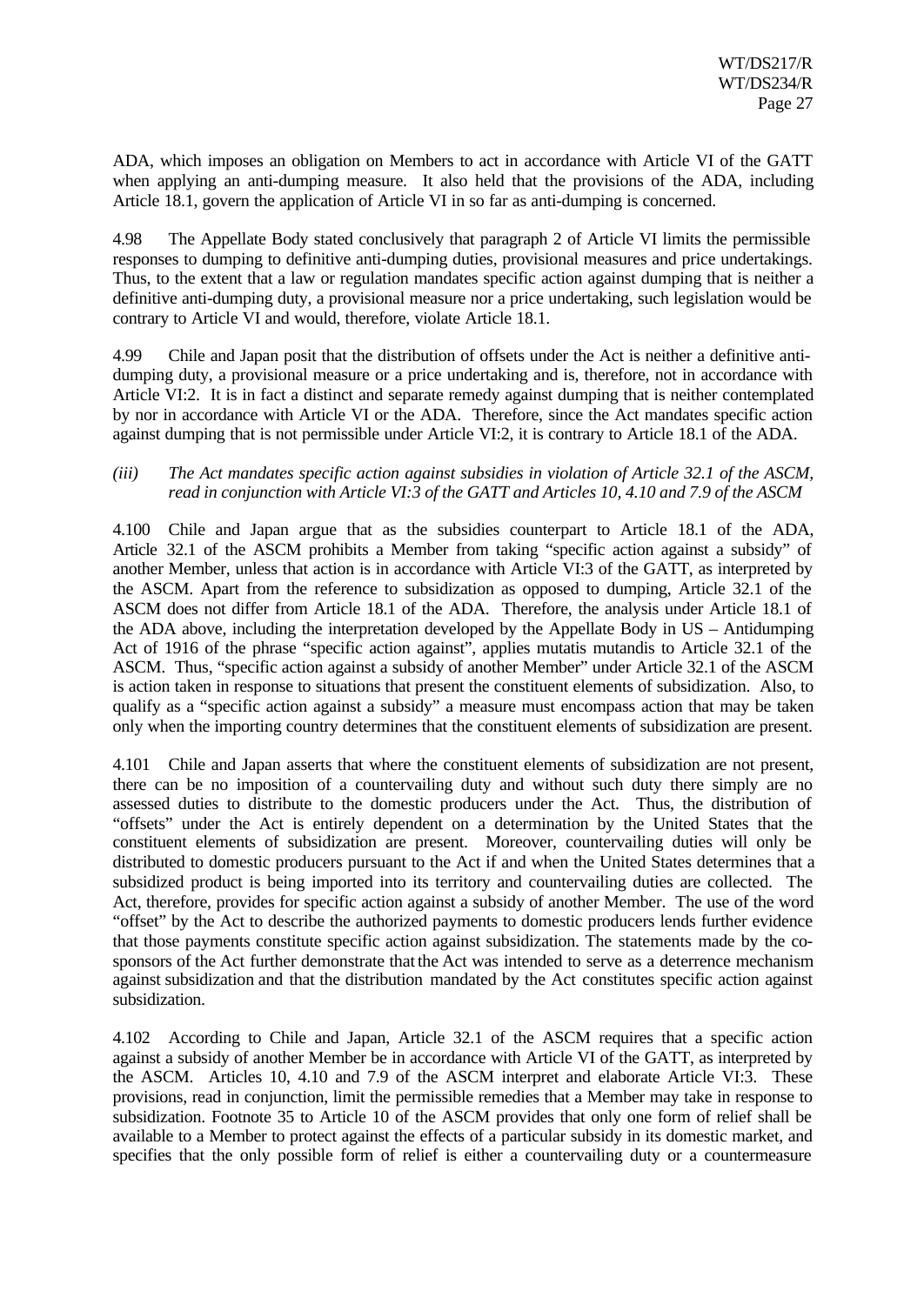ADA, which imposes an obligation on Members to act in accordance with Article VI of the GATT when applying an anti-dumping measure. It also held that the provisions of the ADA, including Article 18.1, govern the application of Article VI in so far as anti-dumping is concerned.

4.98 The Appellate Body stated conclusively that paragraph 2 of Article VI limits the permissible responses to dumping to definitive anti-dumping duties, provisional measures and price undertakings. Thus, to the extent that a law or regulation mandates specific action against dumping that is neither a definitive anti-dumping duty, a provisional measure nor a price undertaking, such legislation would be contrary to Article VI and would, therefore, violate Article 18.1.

4.99 Chile and Japan posit that the distribution of offsets under the Act is neither a definitive antidumping duty, a provisional measure or a price undertaking and is, therefore, not in accordance with Article VI:2. It is in fact a distinct and separate remedy against dumping that is neither contemplated by nor in accordance with Article VI or the ADA. Therefore, since the Act mandates specific action against dumping that is not permissible under Article VI:2, it is contrary to Article 18.1 of the ADA.

#### *(iii) The Act mandates specific action against subsidies in violation of Article 32.1 of the ASCM, read in conjunction with Article VI:3 of the GATT and Articles 10, 4.10 and 7.9 of the ASCM*

4.100 Chile and Japan argue that as the subsidies counterpart to Article 18.1 of the ADA, Article 32.1 of the ASCM prohibits a Member from taking "specific action against a subsidy" of another Member, unless that action is in accordance with Article VI:3 of the GATT, as interpreted by the ASCM. Apart from the reference to subsidization as opposed to dumping, Article 32.1 of the ASCM does not differ from Article 18.1 of the ADA. Therefore, the analysis under Article 18.1 of the ADA above, including the interpretation developed by the Appellate Body in US – Antidumping Act of 1916 of the phrase "specific action against", applies mutatis mutandis to Article 32.1 of the ASCM. Thus, "specific action against a subsidy of another Member" under Article 32.1 of the ASCM is action taken in response to situations that present the constituent elements of subsidization. Also, to qualify as a "specific action against a subsidy" a measure must encompass action that may be taken only when the importing country determines that the constituent elements of subsidization are present.

4.101 Chile and Japan asserts that where the constituent elements of subsidization are not present, there can be no imposition of a countervailing duty and without such duty there simply are no assessed duties to distribute to the domestic producers under the Act. Thus, the distribution of "offsets" under the Act is entirely dependent on a determination by the United States that the constituent elements of subsidization are present. Moreover, countervailing duties will only be distributed to domestic producers pursuant to the Act if and when the United States determines that a subsidized product is being imported into its territory and countervailing duties are collected. The Act, therefore, provides for specific action against a subsidy of another Member. The use of the word "offset" by the Act to describe the authorized payments to domestic producers lends further evidence that those payments constitute specific action against subsidization. The statements made by the cosponsors of the Act further demonstrate that the Act was intended to serve as a deterrence mechanism against subsidization and that the distribution mandated by the Act constitutes specific action against subsidization.

4.102 According to Chile and Japan, Article 32.1 of the ASCM requires that a specific action against a subsidy of another Member be in accordance with Article VI of the GATT, as interpreted by the ASCM. Articles 10, 4.10 and 7.9 of the ASCM interpret and elaborate Article VI:3. These provisions, read in conjunction, limit the permissible remedies that a Member may take in response to subsidization. Footnote 35 to Article 10 of the ASCM provides that only one form of relief shall be available to a Member to protect against the effects of a particular subsidy in its domestic market, and specifies that the only possible form of relief is either a countervailing duty or a countermeasure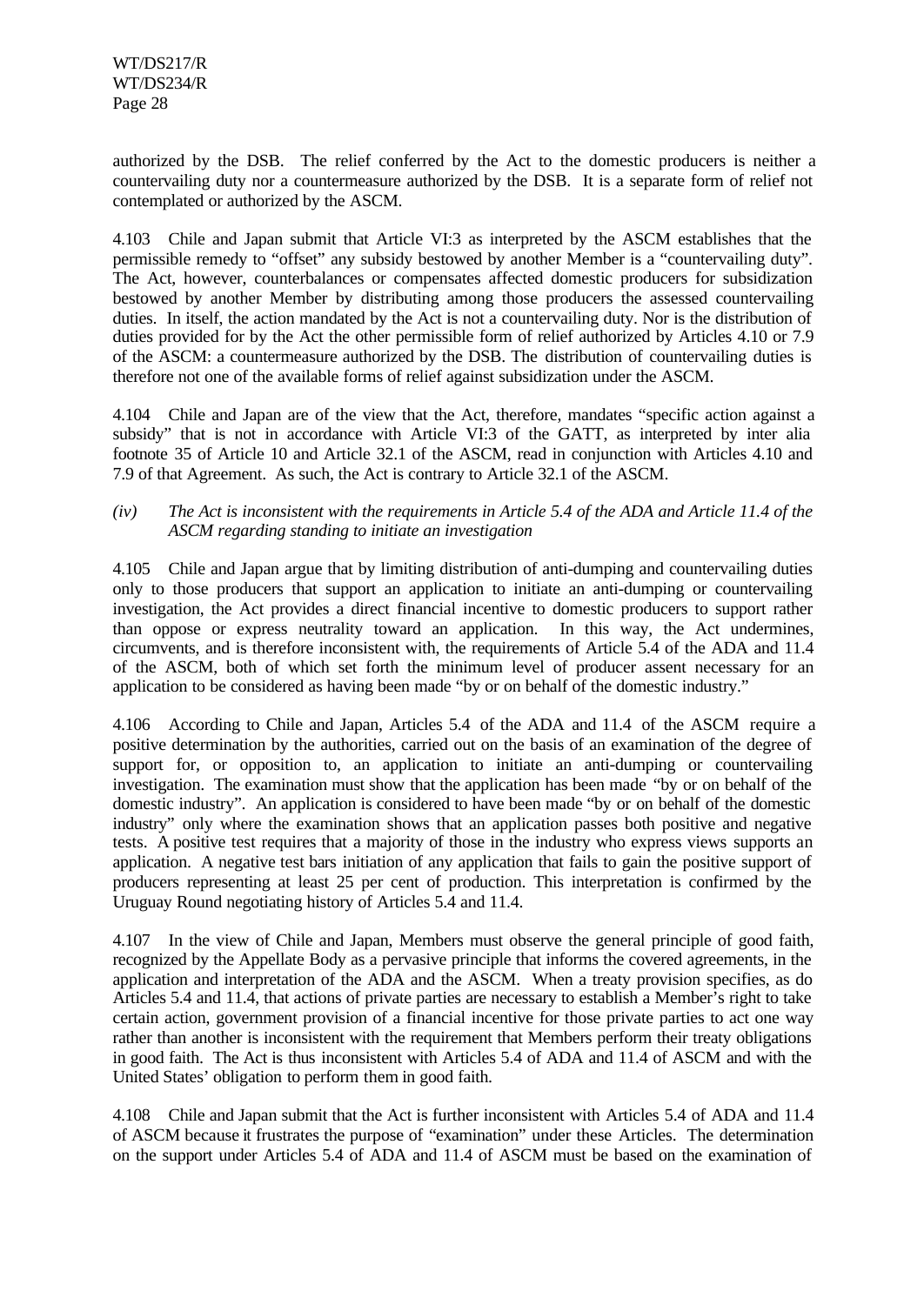WT/DS217/R WT/DS234/R Page 28

authorized by the DSB. The relief conferred by the Act to the domestic producers is neither a countervailing duty nor a countermeasure authorized by the DSB. It is a separate form of relief not contemplated or authorized by the ASCM.

4.103 Chile and Japan submit that Article VI:3 as interpreted by the ASCM establishes that the permissible remedy to "offset" any subsidy bestowed by another Member is a "countervailing duty". The Act, however, counterbalances or compensates affected domestic producers for subsidization bestowed by another Member by distributing among those producers the assessed countervailing duties. In itself, the action mandated by the Act is not a countervailing duty. Nor is the distribution of duties provided for by the Act the other permissible form of relief authorized by Articles 4.10 or 7.9 of the ASCM: a countermeasure authorized by the DSB. The distribution of countervailing duties is therefore not one of the available forms of relief against subsidization under the ASCM.

4.104 Chile and Japan are of the view that the Act, therefore, mandates "specific action against a subsidy" that is not in accordance with Article VI:3 of the GATT, as interpreted by inter alia footnote 35 of Article 10 and Article 32.1 of the ASCM, read in conjunction with Articles 4.10 and 7.9 of that Agreement. As such, the Act is contrary to Article 32.1 of the ASCM.

#### *(iv) The Act is inconsistent with the requirements in Article 5.4 of the ADA and Article 11.4 of the ASCM regarding standing to initiate an investigation*

4.105 Chile and Japan argue that by limiting distribution of anti-dumping and countervailing duties only to those producers that support an application to initiate an anti-dumping or countervailing investigation, the Act provides a direct financial incentive to domestic producers to support rather than oppose or express neutrality toward an application. In this way, the Act undermines, circumvents, and is therefore inconsistent with, the requirements of Article 5.4 of the ADA and 11.4 of the ASCM, both of which set forth the minimum level of producer assent necessary for an application to be considered as having been made "by or on behalf of the domestic industry."

4.106 According to Chile and Japan, Articles 5.4 of the ADA and 11.4 of the ASCM require a positive determination by the authorities, carried out on the basis of an examination of the degree of support for, or opposition to, an application to initiate an anti-dumping or countervailing investigation. The examination must show that the application has been made "by or on behalf of the domestic industry". An application is considered to have been made "by or on behalf of the domestic industry" only where the examination shows that an application passes both positive and negative tests. A positive test requires that a majority of those in the industry who express views supports an application. A negative test bars initiation of any application that fails to gain the positive support of producers representing at least 25 per cent of production. This interpretation is confirmed by the Uruguay Round negotiating history of Articles 5.4 and 11.4.

4.107 In the view of Chile and Japan, Members must observe the general principle of good faith, recognized by the Appellate Body as a pervasive principle that informs the covered agreements, in the application and interpretation of the ADA and the ASCM. When a treaty provision specifies, as do Articles 5.4 and 11.4, that actions of private parties are necessary to establish a Member's right to take certain action, government provision of a financial incentive for those private parties to act one way rather than another is inconsistent with the requirement that Members perform their treaty obligations in good faith. The Act is thus inconsistent with Articles 5.4 of ADA and 11.4 of ASCM and with the United States' obligation to perform them in good faith.

4.108 Chile and Japan submit that the Act is further inconsistent with Articles 5.4 of ADA and 11.4 of ASCM because it frustrates the purpose of "examination" under these Articles. The determination on the support under Articles 5.4 of ADA and 11.4 of ASCM must be based on the examination of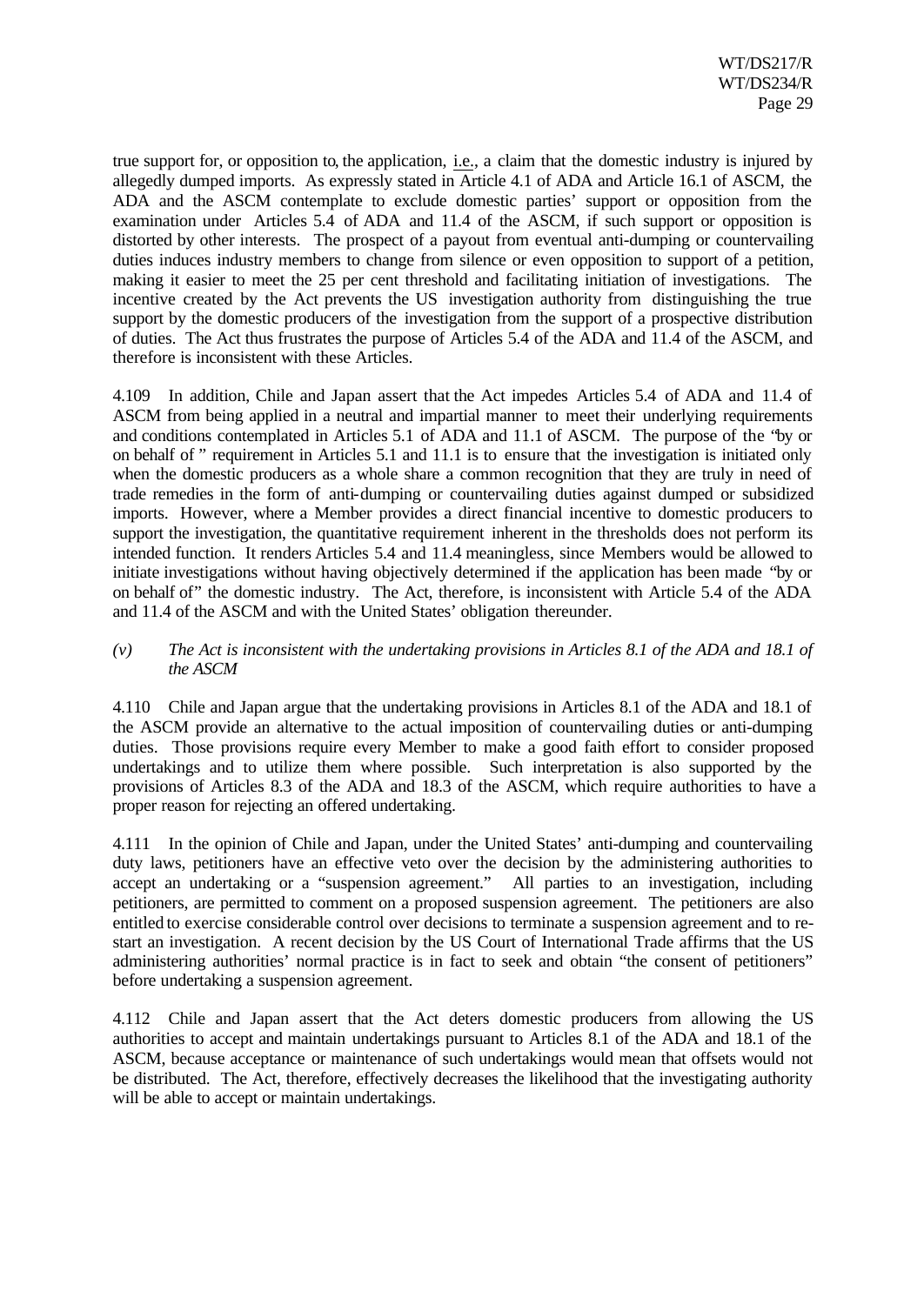true support for, or opposition to, the application, i.e., a claim that the domestic industry is injured by allegedly dumped imports. As expressly stated in Article 4.1 of ADA and Article 16.1 of ASCM, the ADA and the ASCM contemplate to exclude domestic parties' support or opposition from the examination under Articles 5.4 of ADA and 11.4 of the ASCM, if such support or opposition is distorted by other interests. The prospect of a payout from eventual anti-dumping or countervailing duties induces industry members to change from silence or even opposition to support of a petition, making it easier to meet the 25 per cent threshold and facilitating initiation of investigations. The incentive created by the Act prevents the US investigation authority from distinguishing the true support by the domestic producers of the investigation from the support of a prospective distribution of duties. The Act thus frustrates the purpose of Articles 5.4 of the ADA and 11.4 of the ASCM, and therefore is inconsistent with these Articles.

4.109 In addition, Chile and Japan assert that the Act impedes Articles 5.4 of ADA and 11.4 of ASCM from being applied in a neutral and impartial manner to meet their underlying requirements and conditions contemplated in Articles 5.1 of ADA and 11.1 of ASCM. The purpose of the "by or on behalf of " requirement in Articles 5.1 and 11.1 is to ensure that the investigation is initiated only when the domestic producers as a whole share a common recognition that they are truly in need of trade remedies in the form of anti-dumping or countervailing duties against dumped or subsidized imports. However, where a Member provides a direct financial incentive to domestic producers to support the investigation, the quantitative requirement inherent in the thresholds does not perform its intended function. It renders Articles 5.4 and 11.4 meaningless, since Members would be allowed to initiate investigations without having objectively determined if the application has been made "by or on behalf of" the domestic industry. The Act, therefore, is inconsistent with Article 5.4 of the ADA and 11.4 of the ASCM and with the United States' obligation thereunder.

### *(v) The Act is inconsistent with the undertaking provisions in Articles 8.1 of the ADA and 18.1 of the ASCM*

4.110 Chile and Japan argue that the undertaking provisions in Articles 8.1 of the ADA and 18.1 of the ASCM provide an alternative to the actual imposition of countervailing duties or anti-dumping duties. Those provisions require every Member to make a good faith effort to consider proposed undertakings and to utilize them where possible. Such interpretation is also supported by the provisions of Articles 8.3 of the ADA and 18.3 of the ASCM, which require authorities to have a proper reason for rejecting an offered undertaking.

4.111 In the opinion of Chile and Japan, under the United States' anti-dumping and countervailing duty laws, petitioners have an effective veto over the decision by the administering authorities to accept an undertaking or a "suspension agreement." All parties to an investigation, including petitioners, are permitted to comment on a proposed suspension agreement. The petitioners are also entitled to exercise considerable control over decisions to terminate a suspension agreement and to restart an investigation. A recent decision by the US Court of International Trade affirms that the US administering authorities' normal practice is in fact to seek and obtain "the consent of petitioners" before undertaking a suspension agreement.

4.112 Chile and Japan assert that the Act deters domestic producers from allowing the US authorities to accept and maintain undertakings pursuant to Articles 8.1 of the ADA and 18.1 of the ASCM, because acceptance or maintenance of such undertakings would mean that offsets would not be distributed. The Act, therefore, effectively decreases the likelihood that the investigating authority will be able to accept or maintain undertakings.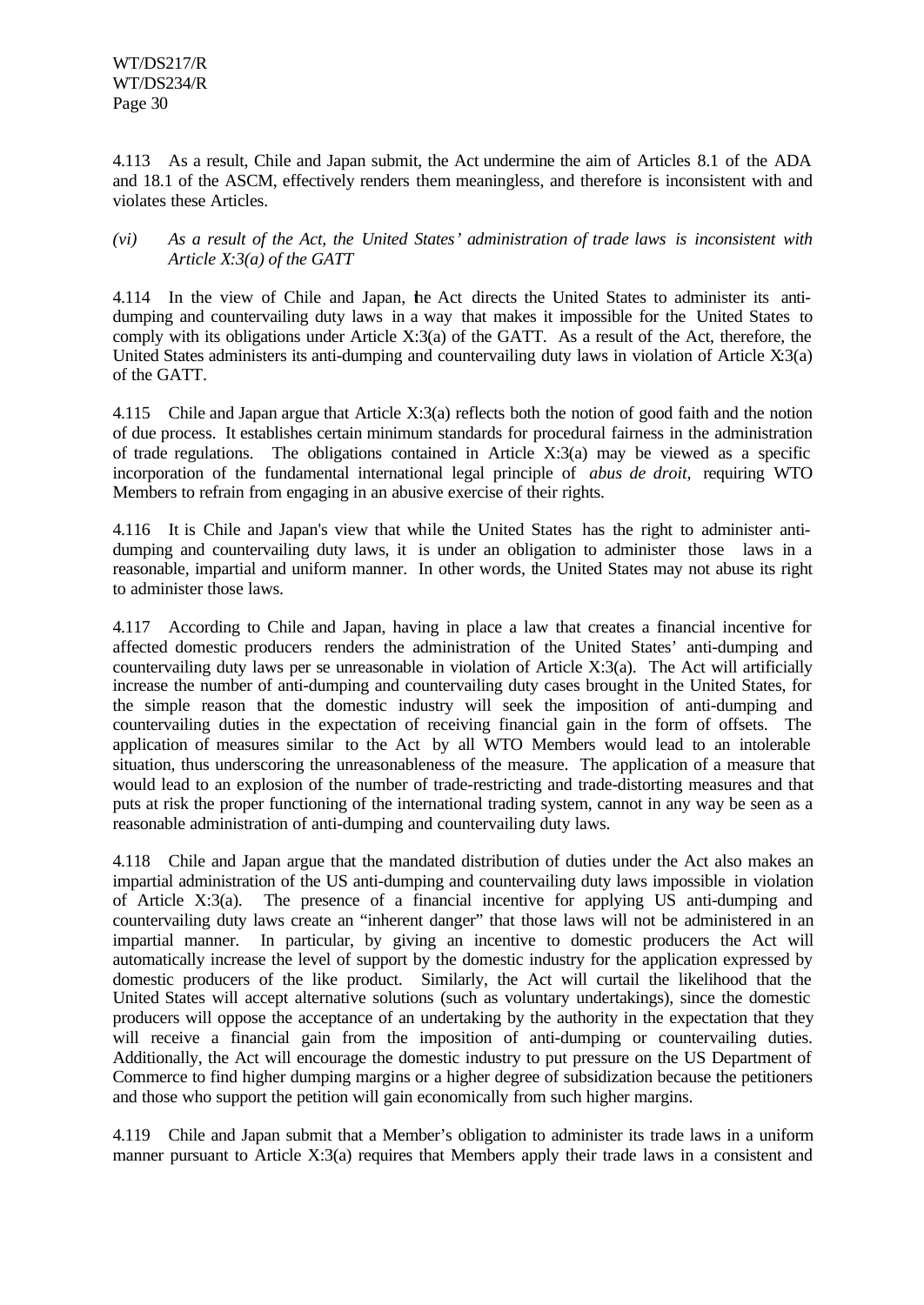4.113 As a result, Chile and Japan submit, the Act undermine the aim of Articles 8.1 of the ADA and 18.1 of the ASCM, effectively renders them meaningless, and therefore is inconsistent with and violates these Articles.

## *(vi) As a result of the Act, the United States' administration of trade laws is inconsistent with Article X:3(a) of the GATT*

4.114 In the view of Chile and Japan, the Act directs the United States to administer its antidumping and countervailing duty laws in a way that makes it impossible for the United States to comply with its obligations under Article X:3(a) of the GATT. As a result of the Act, therefore, the United States administers its anti-dumping and countervailing duty laws in violation of Article X:3(a) of the GATT.

4.115 Chile and Japan argue that Article X:3(a) reflects both the notion of good faith and the notion of due process. It establishes certain minimum standards for procedural fairness in the administration of trade regulations. The obligations contained in Article X:3(a) may be viewed as a specific incorporation of the fundamental international legal principle of *abus de droit,* requiring WTO Members to refrain from engaging in an abusive exercise of their rights.

4.116 It is Chile and Japan's view that while the United States has the right to administer antidumping and countervailing duty laws, it is under an obligation to administer those laws in a reasonable, impartial and uniform manner. In other words, the United States may not abuse its right to administer those laws.

4.117 According to Chile and Japan, having in place a law that creates a financial incentive for affected domestic producers renders the administration of the United States' anti-dumping and countervailing duty laws per se unreasonable in violation of Article X:3(a). The Act will artificially increase the number of anti-dumping and countervailing duty cases brought in the United States, for the simple reason that the domestic industry will seek the imposition of anti-dumping and countervailing duties in the expectation of receiving financial gain in the form of offsets. The application of measures similar to the Act by all WTO Members would lead to an intolerable situation, thus underscoring the unreasonableness of the measure. The application of a measure that would lead to an explosion of the number of trade-restricting and trade-distorting measures and that puts at risk the proper functioning of the international trading system, cannot in any way be seen as a reasonable administration of anti-dumping and countervailing duty laws.

4.118 Chile and Japan argue that the mandated distribution of duties under the Act also makes an impartial administration of the US anti-dumping and countervailing duty laws impossible in violation of Article X:3(a). The presence of a financial incentive for applying US anti-dumping and countervailing duty laws create an "inherent danger" that those laws will not be administered in an impartial manner. In particular, by giving an incentive to domestic producers the Act will automatically increase the level of support by the domestic industry for the application expressed by domestic producers of the like product. Similarly, the Act will curtail the likelihood that the United States will accept alternative solutions (such as voluntary undertakings), since the domestic producers will oppose the acceptance of an undertaking by the authority in the expectation that they will receive a financial gain from the imposition of anti-dumping or countervailing duties. Additionally, the Act will encourage the domestic industry to put pressure on the US Department of Commerce to find higher dumping margins or a higher degree of subsidization because the petitioners and those who support the petition will gain economically from such higher margins.

4.119 Chile and Japan submit that a Member's obligation to administer its trade laws in a uniform manner pursuant to Article X:3(a) requires that Members apply their trade laws in a consistent and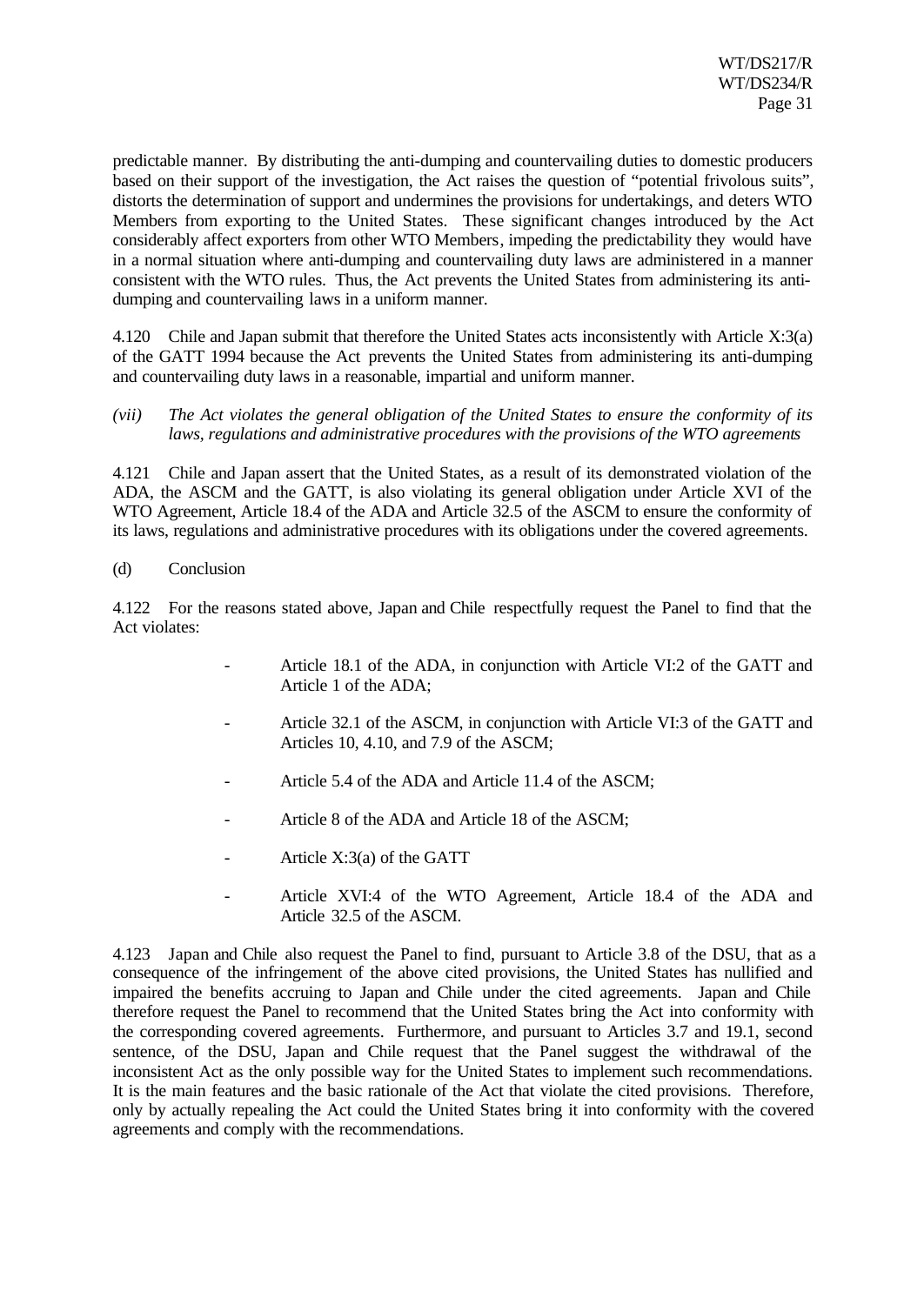predictable manner. By distributing the anti-dumping and countervailing duties to domestic producers based on their support of the investigation, the Act raises the question of "potential frivolous suits", distorts the determination of support and undermines the provisions for undertakings, and deters WTO Members from exporting to the United States. These significant changes introduced by the Act considerably affect exporters from other WTO Members, impeding the predictability they would have in a normal situation where anti-dumping and countervailing duty laws are administered in a manner consistent with the WTO rules. Thus, the Act prevents the United States from administering its antidumping and countervailing laws in a uniform manner.

4.120 Chile and Japan submit that therefore the United States acts inconsistently with Article X:3(a) of the GATT 1994 because the Act prevents the United States from administering its anti-dumping and countervailing duty laws in a reasonable, impartial and uniform manner.

*(vii) The Act violates the general obligation of the United States to ensure the conformity of its laws, regulations and administrative procedures with the provisions of the WTO agreements*

4.121 Chile and Japan assert that the United States, as a result of its demonstrated violation of the ADA, the ASCM and the GATT, is also violating its general obligation under Article XVI of the WTO Agreement, Article 18.4 of the ADA and Article 32.5 of the ASCM to ensure the conformity of its laws, regulations and administrative procedures with its obligations under the covered agreements.

## (d) Conclusion

4.122 For the reasons stated above, Japan and Chile respectfully request the Panel to find that the Act violates:

- Article 18.1 of the ADA, in conjunction with Article VI:2 of the GATT and Article 1 of the ADA;
- Article 32.1 of the ASCM, in conjunction with Article VI:3 of the GATT and Articles 10, 4.10, and 7.9 of the ASCM;
- Article 5.4 of the ADA and Article 11.4 of the ASCM;
- Article 8 of the ADA and Article 18 of the ASCM;
- Article  $X:3(a)$  of the GATT
- Article XVI:4 of the WTO Agreement, Article 18.4 of the ADA and Article 32.5 of the ASCM.

4.123 Japan and Chile also request the Panel to find, pursuant to Article 3.8 of the DSU, that as a consequence of the infringement of the above cited provisions, the United States has nullified and impaired the benefits accruing to Japan and Chile under the cited agreements. Japan and Chile therefore request the Panel to recommend that the United States bring the Act into conformity with the corresponding covered agreements. Furthermore, and pursuant to Articles 3.7 and 19.1, second sentence, of the DSU, Japan and Chile request that the Panel suggest the withdrawal of the inconsistent Act as the only possible way for the United States to implement such recommendations. It is the main features and the basic rationale of the Act that violate the cited provisions. Therefore, only by actually repealing the Act could the United States bring it into conformity with the covered agreements and comply with the recommendations.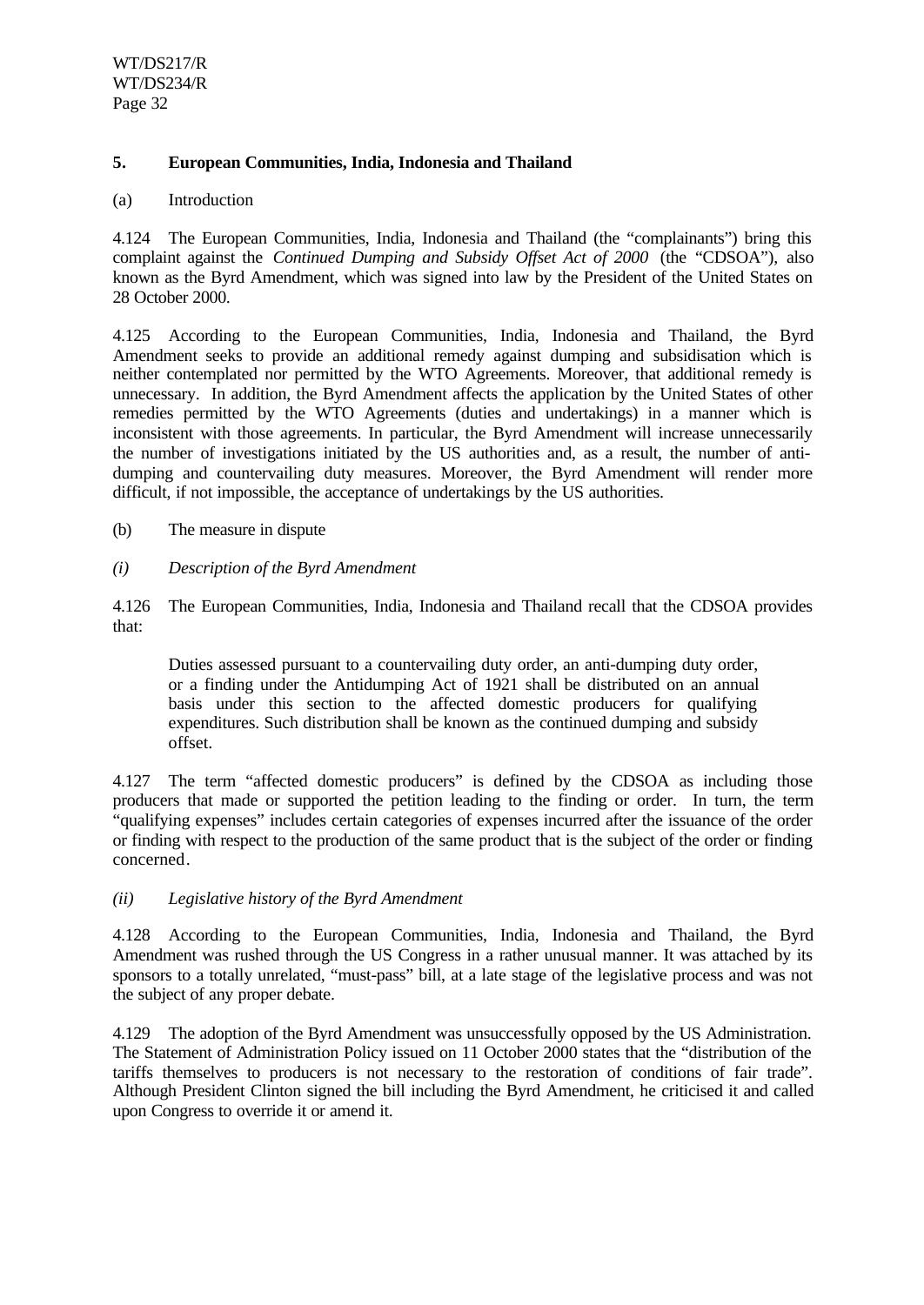## **5. European Communities, India, Indonesia and Thailand**

### (a) Introduction

4.124 The European Communities, India, Indonesia and Thailand (the "complainants") bring this complaint against the *Continued Dumping and Subsidy Offset Act of 2000* (the "CDSOA"), also known as the Byrd Amendment, which was signed into law by the President of the United States on 28 October 2000.

4.125 According to the European Communities, India, Indonesia and Thailand, the Byrd Amendment seeks to provide an additional remedy against dumping and subsidisation which is neither contemplated nor permitted by the WTO Agreements. Moreover, that additional remedy is unnecessary. In addition, the Byrd Amendment affects the application by the United States of other remedies permitted by the WTO Agreements (duties and undertakings) in a manner which is inconsistent with those agreements. In particular, the Byrd Amendment will increase unnecessarily the number of investigations initiated by the US authorities and, as a result, the number of antidumping and countervailing duty measures. Moreover, the Byrd Amendment will render more difficult, if not impossible, the acceptance of undertakings by the US authorities.

## (b) The measure in dispute

## *(i) Description of the Byrd Amendment*

4.126 The European Communities, India, Indonesia and Thailand recall that the CDSOA provides that:

Duties assessed pursuant to a countervailing duty order, an anti-dumping duty order, or a finding under the Antidumping Act of 1921 shall be distributed on an annual basis under this section to the affected domestic producers for qualifying expenditures. Such distribution shall be known as the continued dumping and subsidy offset.

4.127 The term "affected domestic producers" is defined by the CDSOA as including those producers that made or supported the petition leading to the finding or order. In turn, the term "qualifying expenses" includes certain categories of expenses incurred after the issuance of the order or finding with respect to the production of the same product that is the subject of the order or finding concerned.

### *(ii) Legislative history of the Byrd Amendment*

4.128 According to the European Communities, India, Indonesia and Thailand, the Byrd Amendment was rushed through the US Congress in a rather unusual manner. It was attached by its sponsors to a totally unrelated, "must-pass" bill, at a late stage of the legislative process and was not the subject of any proper debate.

4.129 The adoption of the Byrd Amendment was unsuccessfully opposed by the US Administration. The Statement of Administration Policy issued on 11 October 2000 states that the "distribution of the tariffs themselves to producers is not necessary to the restoration of conditions of fair trade". Although President Clinton signed the bill including the Byrd Amendment, he criticised it and called upon Congress to override it or amend it.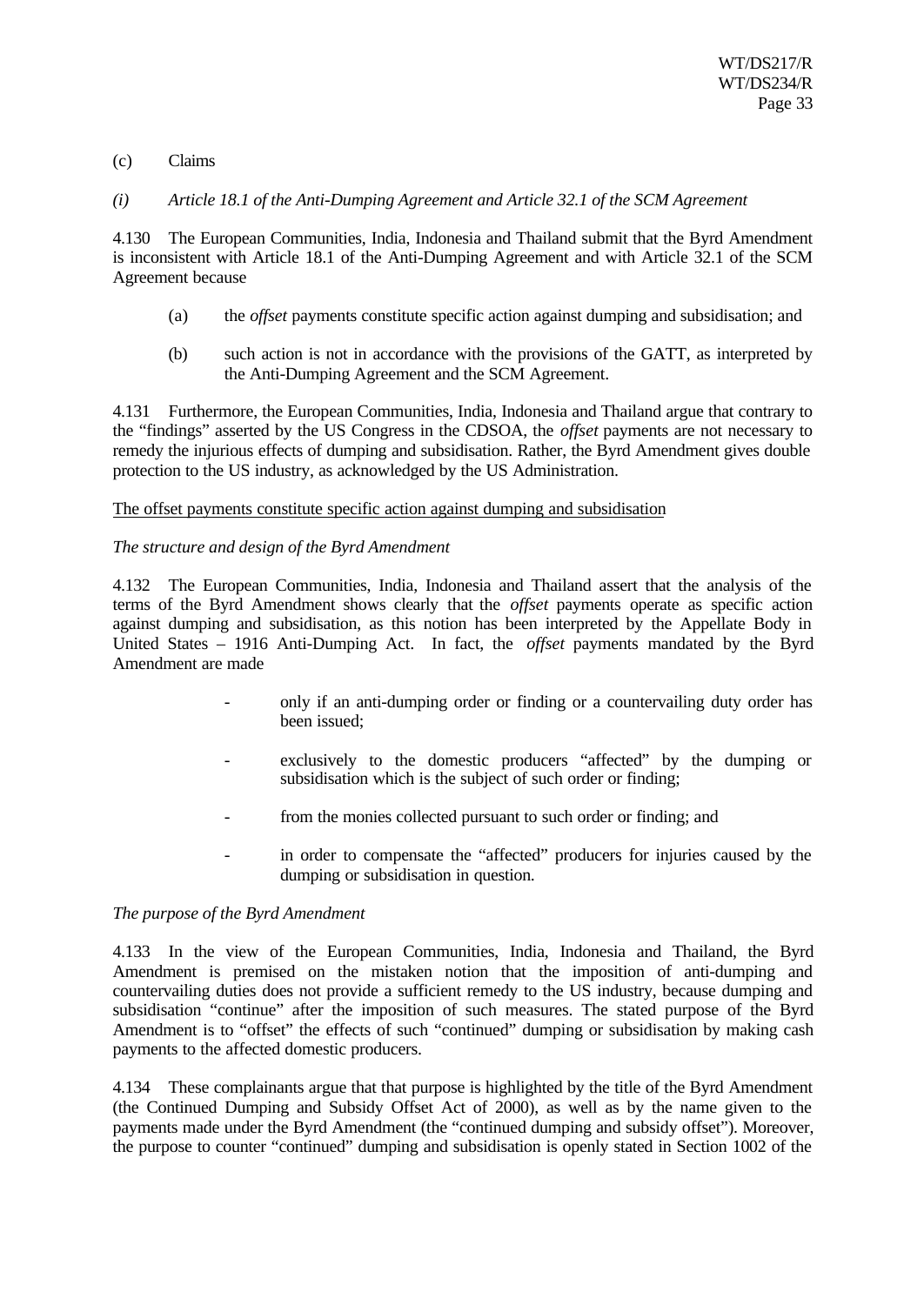(c) Claims

### *(i) Article 18.1 of the Anti-Dumping Agreement and Article 32.1 of the SCM Agreement*

4.130 The European Communities, India, Indonesia and Thailand submit that the Byrd Amendment is inconsistent with Article 18.1 of the Anti-Dumping Agreement and with Article 32.1 of the SCM Agreement because

- (a) the *offset* payments constitute specific action against dumping and subsidisation; and
- (b) such action is not in accordance with the provisions of the GATT, as interpreted by the Anti-Dumping Agreement and the SCM Agreement.

4.131 Furthermore, the European Communities, India, Indonesia and Thailand argue that contrary to the "findings" asserted by the US Congress in the CDSOA, the *offset* payments are not necessary to remedy the injurious effects of dumping and subsidisation. Rather, the Byrd Amendment gives double protection to the US industry, as acknowledged by the US Administration.

#### The offset payments constitute specific action against dumping and subsidisation

#### *The structure and design of the Byrd Amendment*

4.132 The European Communities, India, Indonesia and Thailand assert that the analysis of the terms of the Byrd Amendment shows clearly that the *offset* payments operate as specific action against dumping and subsidisation, as this notion has been interpreted by the Appellate Body in United States – 1916 Anti-Dumping Act. In fact, the *offset* payments mandated by the Byrd Amendment are made

- only if an anti-dumping order or finding or a countervailing duty order has been issued;
- exclusively to the domestic producers "affected" by the dumping or subsidisation which is the subject of such order or finding;
- from the monies collected pursuant to such order or finding; and
- in order to compensate the "affected" producers for injuries caused by the dumping or subsidisation in question.

#### *The purpose of the Byrd Amendment*

4.133 In the view of the European Communities, India, Indonesia and Thailand, the Byrd Amendment is premised on the mistaken notion that the imposition of anti-dumping and countervailing duties does not provide a sufficient remedy to the US industry, because dumping and subsidisation "continue" after the imposition of such measures. The stated purpose of the Byrd Amendment is to "offset" the effects of such "continued" dumping or subsidisation by making cash payments to the affected domestic producers.

4.134 These complainants argue that that purpose is highlighted by the title of the Byrd Amendment (the Continued Dumping and Subsidy Offset Act of 2000), as well as by the name given to the payments made under the Byrd Amendment (the "continued dumping and subsidy offset"). Moreover, the purpose to counter "continued" dumping and subsidisation is openly stated in Section 1002 of the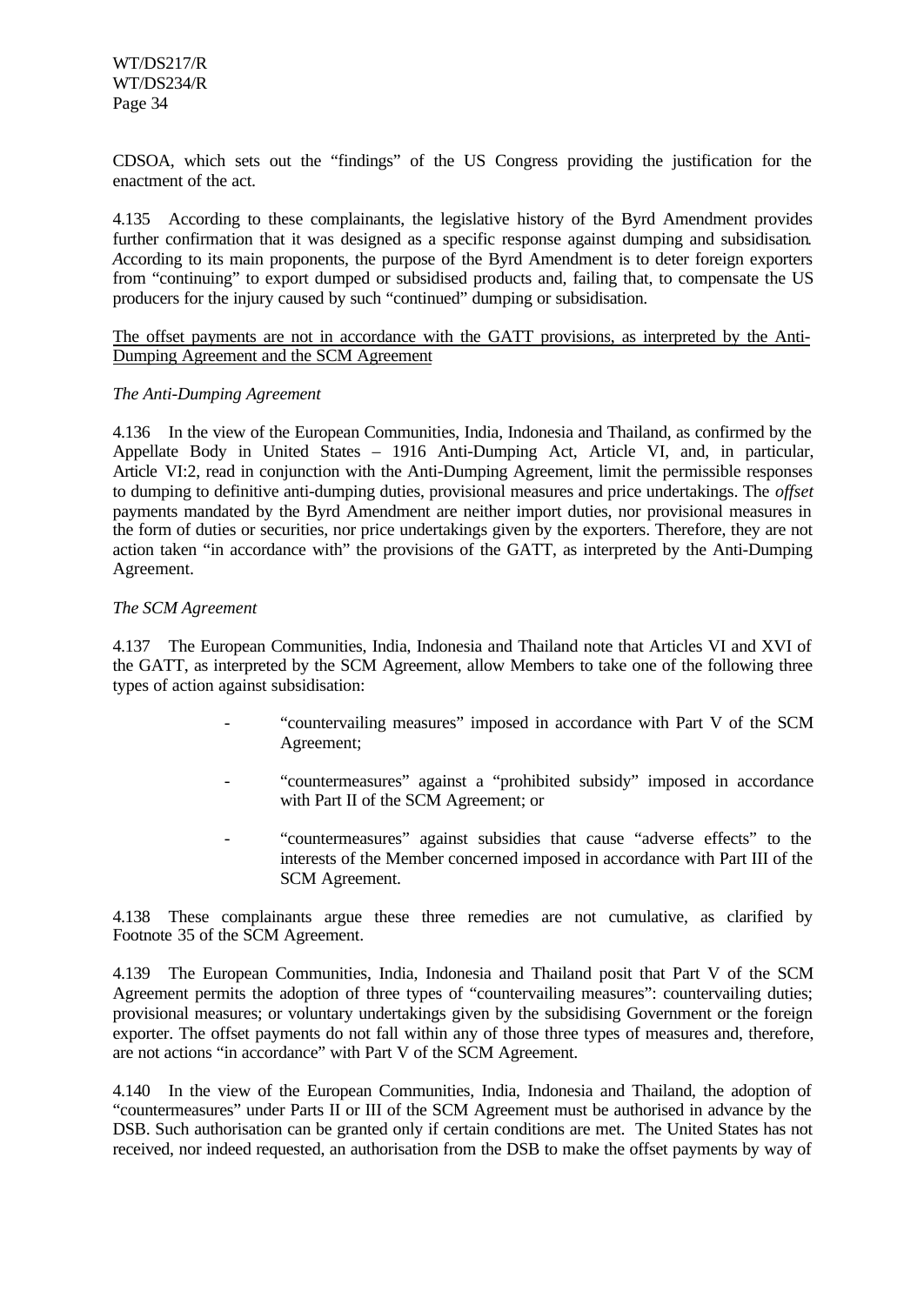WT/DS217/R WT/DS234/R Page 34

CDSOA, which sets out the "findings" of the US Congress providing the justification for the enactment of the act.

4.135 According to these complainants, the legislative history of the Byrd Amendment provides further confirmation that it was designed as a specific response against dumping and subsidisation*. A*ccording to its main proponents, the purpose of the Byrd Amendment is to deter foreign exporters from "continuing" to export dumped or subsidised products and, failing that, to compensate the US producers for the injury caused by such "continued" dumping or subsidisation.

### The offset payments are not in accordance with the GATT provisions, as interpreted by the Anti-Dumping Agreement and the SCM Agreement

### *The Anti-Dumping Agreement*

4.136 In the view of the European Communities, India, Indonesia and Thailand, as confirmed by the Appellate Body in United States – 1916 Anti-Dumping Act, Article VI, and, in particular, Article VI:2, read in conjunction with the Anti-Dumping Agreement, limit the permissible responses to dumping to definitive anti-dumping duties, provisional measures and price undertakings. The *offset* payments mandated by the Byrd Amendment are neither import duties, nor provisional measures in the form of duties or securities, nor price undertakings given by the exporters. Therefore, they are not action taken "in accordance with" the provisions of the GATT, as interpreted by the Anti-Dumping Agreement.

#### *The SCM Agreement*

4.137 The European Communities, India, Indonesia and Thailand note that Articles VI and XVI of the GATT, as interpreted by the SCM Agreement, allow Members to take one of the following three types of action against subsidisation:

- "countervailing measures" imposed in accordance with Part V of the SCM Agreement;
- "countermeasures" against a "prohibited subsidy" imposed in accordance with Part II of the SCM Agreement; or
- "countermeasures" against subsidies that cause "adverse effects" to the interests of the Member concerned imposed in accordance with Part III of the SCM Agreement.

4.138 These complainants argue these three remedies are not cumulative, as clarified by Footnote 35 of the SCM Agreement.

4.139 The European Communities, India, Indonesia and Thailand posit that Part V of the SCM Agreement permits the adoption of three types of "countervailing measures": countervailing duties; provisional measures; or voluntary undertakings given by the subsidising Government or the foreign exporter. The offset payments do not fall within any of those three types of measures and, therefore, are not actions "in accordance" with Part V of the SCM Agreement.

4.140 In the view of the European Communities, India, Indonesia and Thailand, the adoption of "countermeasures" under Parts II or III of the SCM Agreement must be authorised in advance by the DSB. Such authorisation can be granted only if certain conditions are met. The United States has not received, nor indeed requested, an authorisation from the DSB to make the offset payments by way of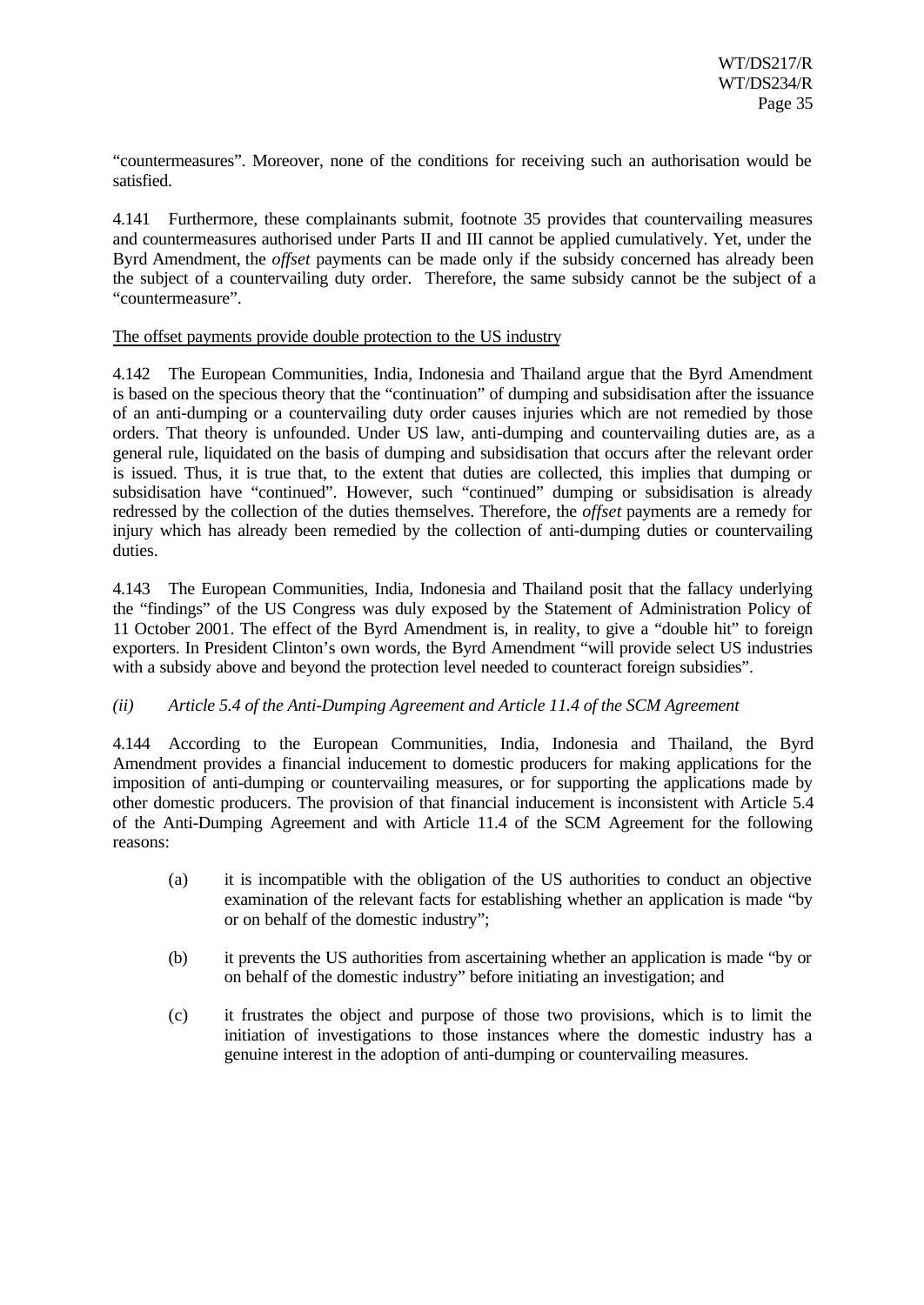"countermeasures". Moreover, none of the conditions for receiving such an authorisation would be satisfied.

4.141 Furthermore, these complainants submit, footnote 35 provides that countervailing measures and countermeasures authorised under Parts II and III cannot be applied cumulatively. Yet, under the Byrd Amendment, the *offset* payments can be made only if the subsidy concerned has already been the subject of a countervailing duty order. Therefore, the same subsidy cannot be the subject of a "countermeasure".

#### The offset payments provide double protection to the US industry

4.142 The European Communities, India, Indonesia and Thailand argue that the Byrd Amendment is based on the specious theory that the "continuation" of dumping and subsidisation after the issuance of an anti-dumping or a countervailing duty order causes injuries which are not remedied by those orders. That theory is unfounded. Under US law, anti-dumping and countervailing duties are, as a general rule, liquidated on the basis of dumping and subsidisation that occurs after the relevant order is issued. Thus, it is true that, to the extent that duties are collected, this implies that dumping or subsidisation have "continued". However, such "continued" dumping or subsidisation is already redressed by the collection of the duties themselves. Therefore, the *offset* payments are a remedy for injury which has already been remedied by the collection of anti-dumping duties or countervailing duties.

4.143 The European Communities, India, Indonesia and Thailand posit that the fallacy underlying the "findings" of the US Congress was duly exposed by the Statement of Administration Policy of 11 October 2001. The effect of the Byrd Amendment is, in reality, to give a "double hit" to foreign exporters. In President Clinton's own words, the Byrd Amendment "will provide select US industries with a subsidy above and beyond the protection level needed to counteract foreign subsidies".

### *(ii) Article 5.4 of the Anti-Dumping Agreement and Article 11.4 of the SCM Agreement*

4.144 According to the European Communities, India, Indonesia and Thailand, the Byrd Amendment provides a financial inducement to domestic producers for making applications for the imposition of anti-dumping or countervailing measures, or for supporting the applications made by other domestic producers. The provision of that financial inducement is inconsistent with Article 5.4 of the Anti-Dumping Agreement and with Article 11.4 of the SCM Agreement for the following reasons:

- (a) it is incompatible with the obligation of the US authorities to conduct an objective examination of the relevant facts for establishing whether an application is made "by or on behalf of the domestic industry";
- (b) it prevents the US authorities from ascertaining whether an application is made "by or on behalf of the domestic industry" before initiating an investigation; and
- (c) it frustrates the object and purpose of those two provisions, which is to limit the initiation of investigations to those instances where the domestic industry has a genuine interest in the adoption of anti-dumping or countervailing measures.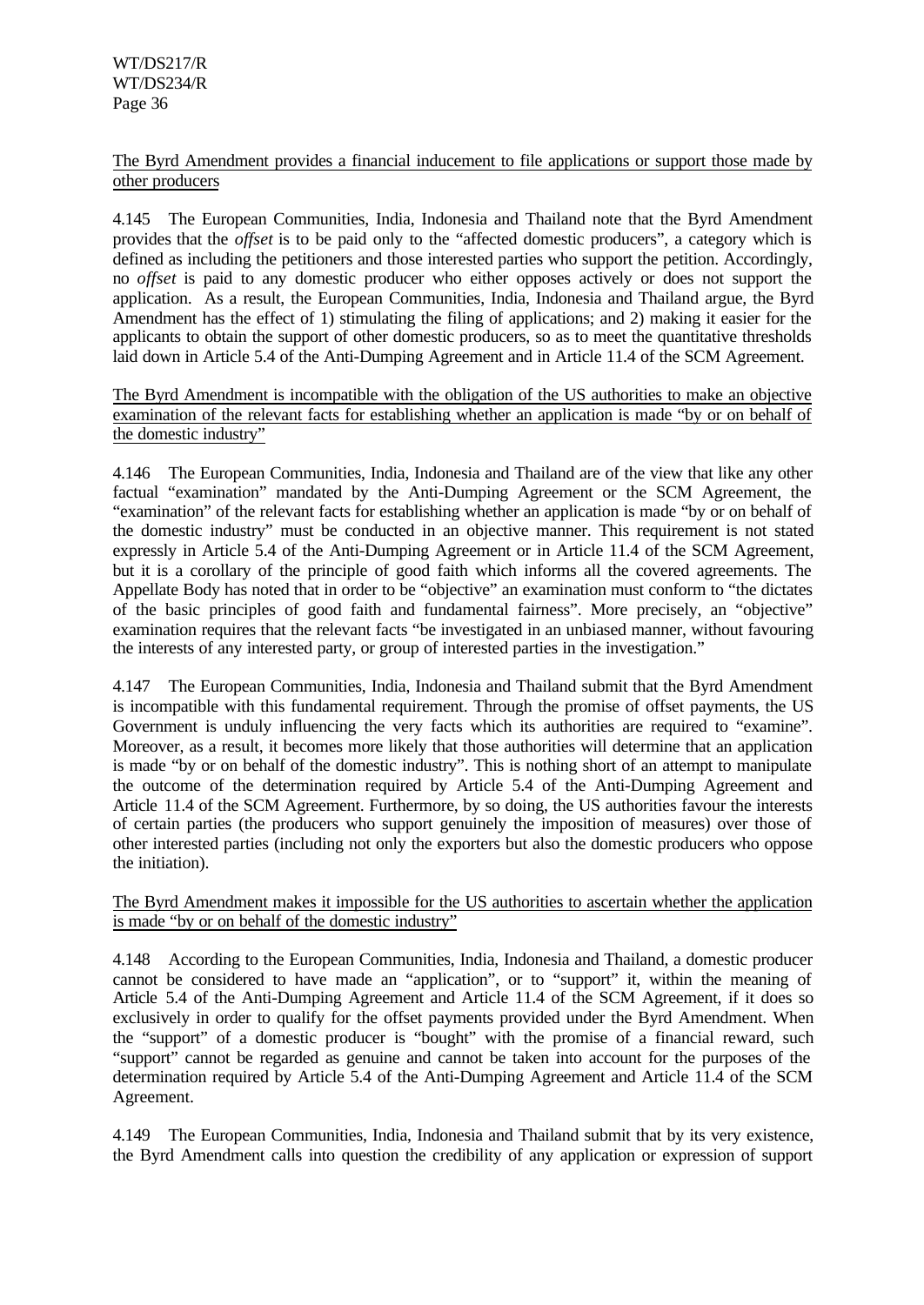### The Byrd Amendment provides a financial inducement to file applications or support those made by other producers

4.145 The European Communities, India, Indonesia and Thailand note that the Byrd Amendment provides that the *offset* is to be paid only to the "affected domestic producers", a category which is defined as including the petitioners and those interested parties who support the petition. Accordingly, no *offset* is paid to any domestic producer who either opposes actively or does not support the application. As a result, the European Communities, India, Indonesia and Thailand argue, the Byrd Amendment has the effect of 1) stimulating the filing of applications; and 2) making it easier for the applicants to obtain the support of other domestic producers, so as to meet the quantitative thresholds laid down in Article 5.4 of the Anti-Dumping Agreement and in Article 11.4 of the SCM Agreement.

## The Byrd Amendment is incompatible with the obligation of the US authorities to make an objective examination of the relevant facts for establishing whether an application is made "by or on behalf of the domestic industry"

4.146 The European Communities, India, Indonesia and Thailand are of the view that like any other factual "examination" mandated by the Anti-Dumping Agreement or the SCM Agreement, the "examination" of the relevant facts for establishing whether an application is made "by or on behalf of the domestic industry" must be conducted in an objective manner. This requirement is not stated expressly in Article 5.4 of the Anti-Dumping Agreement or in Article 11.4 of the SCM Agreement, but it is a corollary of the principle of good faith which informs all the covered agreements. The Appellate Body has noted that in order to be "objective" an examination must conform to "the dictates of the basic principles of good faith and fundamental fairness". More precisely, an "objective" examination requires that the relevant facts "be investigated in an unbiased manner, without favouring the interests of any interested party, or group of interested parties in the investigation."

4.147 The European Communities, India, Indonesia and Thailand submit that the Byrd Amendment is incompatible with this fundamental requirement. Through the promise of offset payments, the US Government is unduly influencing the very facts which its authorities are required to "examine". Moreover, as a result, it becomes more likely that those authorities will determine that an application is made "by or on behalf of the domestic industry". This is nothing short of an attempt to manipulate the outcome of the determination required by Article 5.4 of the Anti-Dumping Agreement and Article 11.4 of the SCM Agreement. Furthermore, by so doing, the US authorities favour the interests of certain parties (the producers who support genuinely the imposition of measures) over those of other interested parties (including not only the exporters but also the domestic producers who oppose the initiation).

# The Byrd Amendment makes it impossible for the US authorities to ascertain whether the application is made "by or on behalf of the domestic industry"

4.148 According to the European Communities, India, Indonesia and Thailand, a domestic producer cannot be considered to have made an "application", or to "support" it, within the meaning of Article 5.4 of the Anti-Dumping Agreement and Article 11.4 of the SCM Agreement, if it does so exclusively in order to qualify for the offset payments provided under the Byrd Amendment. When the "support" of a domestic producer is "bought" with the promise of a financial reward, such "support" cannot be regarded as genuine and cannot be taken into account for the purposes of the determination required by Article 5.4 of the Anti-Dumping Agreement and Article 11.4 of the SCM Agreement.

4.149 The European Communities, India, Indonesia and Thailand submit that by its very existence, the Byrd Amendment calls into question the credibility of any application or expression of support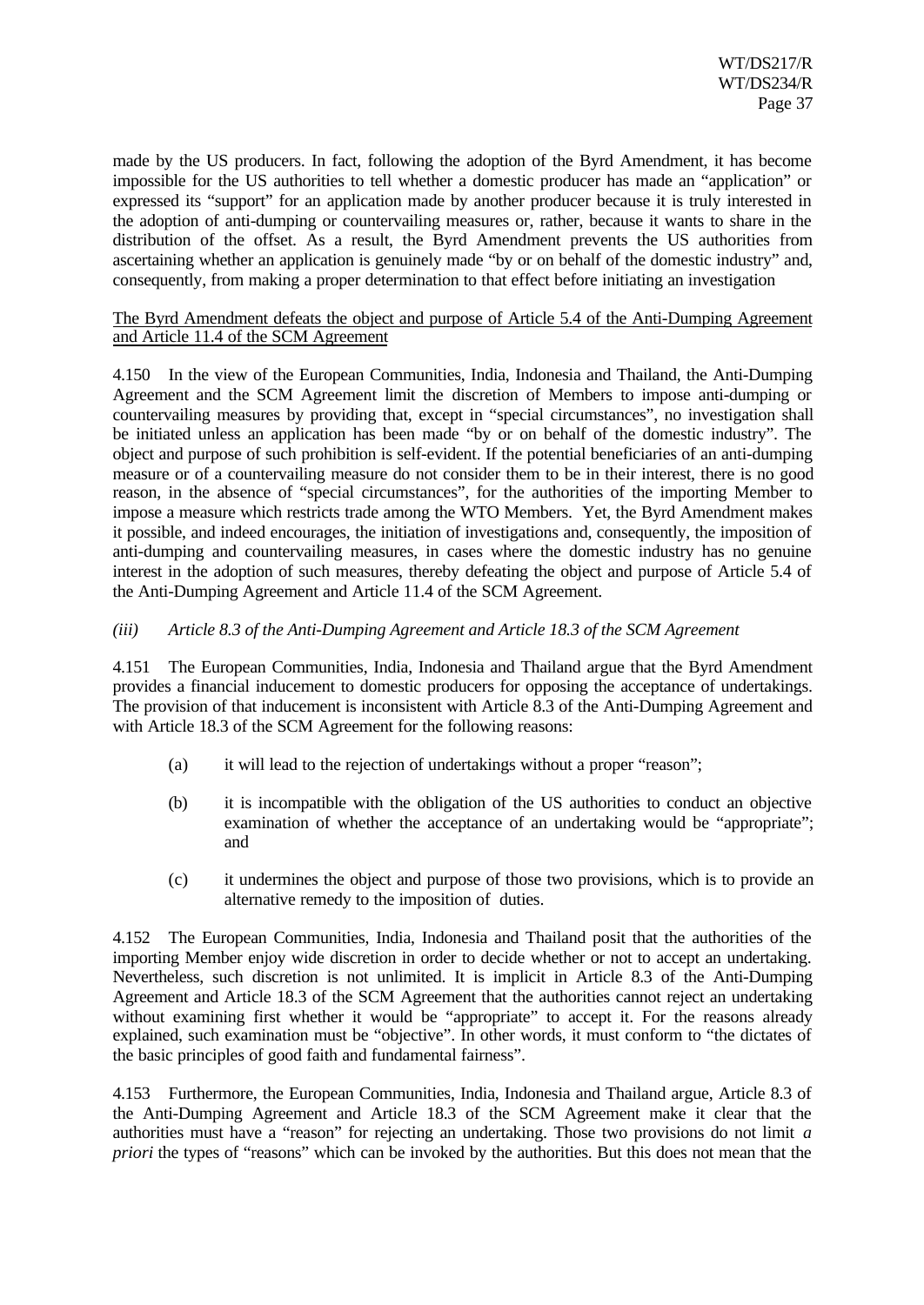made by the US producers. In fact, following the adoption of the Byrd Amendment, it has become impossible for the US authorities to tell whether a domestic producer has made an "application" or expressed its "support" for an application made by another producer because it is truly interested in the adoption of anti-dumping or countervailing measures or, rather, because it wants to share in the distribution of the offset. As a result, the Byrd Amendment prevents the US authorities from ascertaining whether an application is genuinely made "by or on behalf of the domestic industry" and, consequently, from making a proper determination to that effect before initiating an investigation

### The Byrd Amendment defeats the object and purpose of Article 5.4 of the Anti-Dumping Agreement and Article 11.4 of the SCM Agreement

4.150 In the view of the European Communities, India, Indonesia and Thailand, the Anti-Dumping Agreement and the SCM Agreement limit the discretion of Members to impose anti-dumping or countervailing measures by providing that, except in "special circumstances", no investigation shall be initiated unless an application has been made "by or on behalf of the domestic industry". The object and purpose of such prohibition is self-evident. If the potential beneficiaries of an anti-dumping measure or of a countervailing measure do not consider them to be in their interest, there is no good reason, in the absence of "special circumstances", for the authorities of the importing Member to impose a measure which restricts trade among the WTO Members. Yet, the Byrd Amendment makes it possible, and indeed encourages, the initiation of investigations and, consequently, the imposition of anti-dumping and countervailing measures, in cases where the domestic industry has no genuine interest in the adoption of such measures, thereby defeating the object and purpose of Article 5.4 of the Anti-Dumping Agreement and Article 11.4 of the SCM Agreement.

# *(iii) Article 8.3 of the Anti-Dumping Agreement and Article 18.3 of the SCM Agreement*

4.151 The European Communities, India, Indonesia and Thailand argue that the Byrd Amendment provides a financial inducement to domestic producers for opposing the acceptance of undertakings. The provision of that inducement is inconsistent with Article 8.3 of the Anti-Dumping Agreement and with Article 18.3 of the SCM Agreement for the following reasons:

- (a) it will lead to the rejection of undertakings without a proper "reason";
- (b) it is incompatible with the obligation of the US authorities to conduct an objective examination of whether the acceptance of an undertaking would be "appropriate"; and
- (c) it undermines the object and purpose of those two provisions, which is to provide an alternative remedy to the imposition of duties.

4.152 The European Communities, India, Indonesia and Thailand posit that the authorities of the importing Member enjoy wide discretion in order to decide whether or not to accept an undertaking. Nevertheless, such discretion is not unlimited. It is implicit in Article 8.3 of the Anti-Dumping Agreement and Article 18.3 of the SCM Agreement that the authorities cannot reject an undertaking without examining first whether it would be "appropriate" to accept it. For the reasons already explained, such examination must be "objective". In other words, it must conform to "the dictates of the basic principles of good faith and fundamental fairness".

4.153 Furthermore, the European Communities, India, Indonesia and Thailand argue, Article 8.3 of the Anti-Dumping Agreement and Article 18.3 of the SCM Agreement make it clear that the authorities must have a "reason" for rejecting an undertaking. Those two provisions do not limit *a priori* the types of "reasons" which can be invoked by the authorities. But this does not mean that the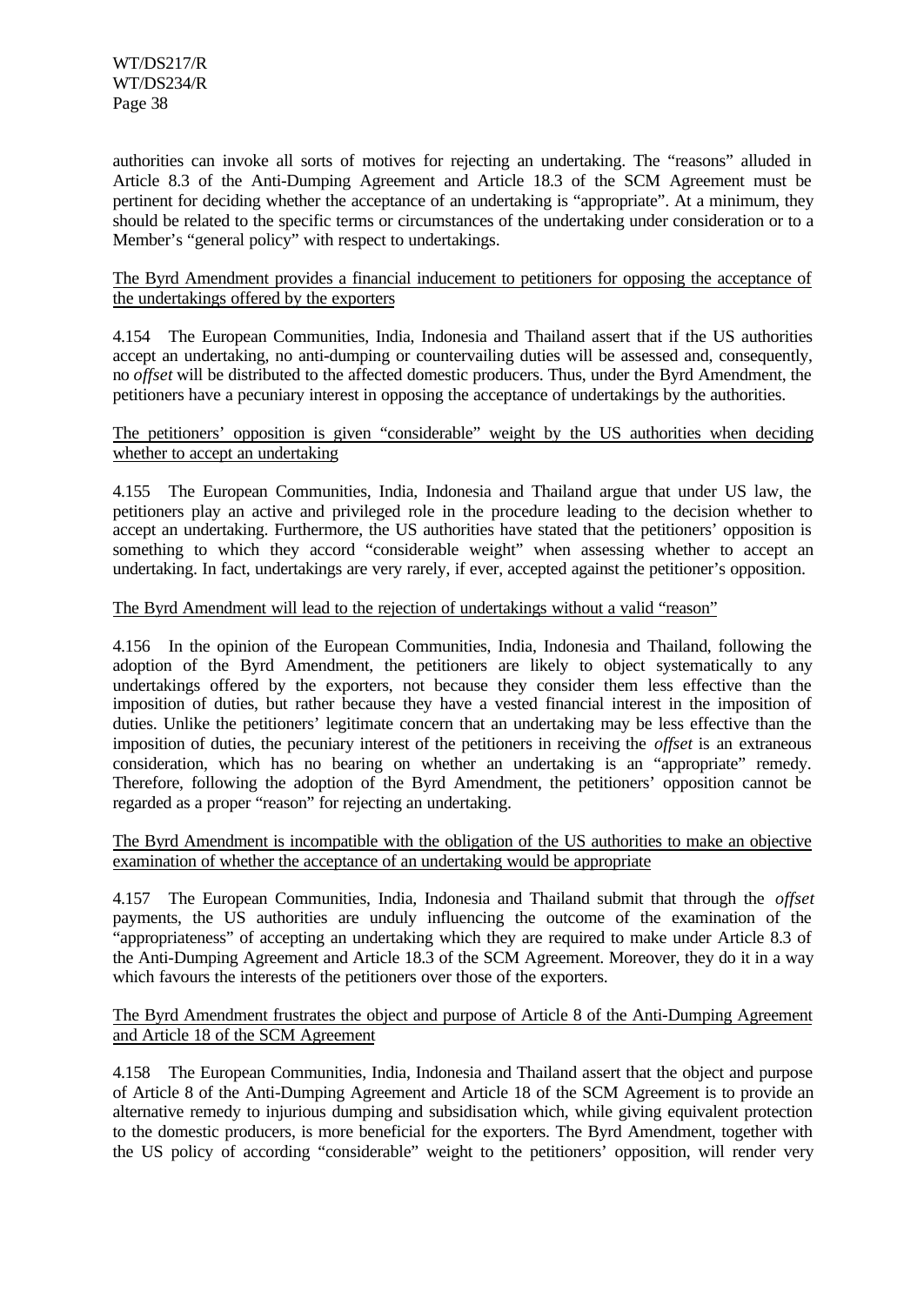authorities can invoke all sorts of motives for rejecting an undertaking. The "reasons" alluded in Article 8.3 of the Anti-Dumping Agreement and Article 18.3 of the SCM Agreement must be pertinent for deciding whether the acceptance of an undertaking is "appropriate". At a minimum, they should be related to the specific terms or circumstances of the undertaking under consideration or to a Member's "general policy" with respect to undertakings.

### The Byrd Amendment provides a financial inducement to petitioners for opposing the acceptance of the undertakings offered by the exporters

4.154 The European Communities, India, Indonesia and Thailand assert that if the US authorities accept an undertaking, no anti-dumping or countervailing duties will be assessed and, consequently, no *offset* will be distributed to the affected domestic producers. Thus, under the Byrd Amendment, the petitioners have a pecuniary interest in opposing the acceptance of undertakings by the authorities.

## The petitioners' opposition is given "considerable" weight by the US authorities when deciding whether to accept an undertaking

4.155 The European Communities, India, Indonesia and Thailand argue that under US law, the petitioners play an active and privileged role in the procedure leading to the decision whether to accept an undertaking. Furthermore, the US authorities have stated that the petitioners' opposition is something to which they accord "considerable weight" when assessing whether to accept an undertaking. In fact, undertakings are very rarely, if ever, accepted against the petitioner's opposition.

# The Byrd Amendment will lead to the rejection of undertakings without a valid "reason"

4.156 In the opinion of the European Communities, India, Indonesia and Thailand, following the adoption of the Byrd Amendment, the petitioners are likely to object systematically to any undertakings offered by the exporters, not because they consider them less effective than the imposition of duties, but rather because they have a vested financial interest in the imposition of duties. Unlike the petitioners' legitimate concern that an undertaking may be less effective than the imposition of duties, the pecuniary interest of the petitioners in receiving the *offset* is an extraneous consideration, which has no bearing on whether an undertaking is an "appropriate" remedy. Therefore, following the adoption of the Byrd Amendment, the petitioners' opposition cannot be regarded as a proper "reason" for rejecting an undertaking.

## The Byrd Amendment is incompatible with the obligation of the US authorities to make an objective examination of whether the acceptance of an undertaking would be appropriate

4.157 The European Communities, India, Indonesia and Thailand submit that through the *offset* payments, the US authorities are unduly influencing the outcome of the examination of the "appropriateness" of accepting an undertaking which they are required to make under Article 8.3 of the Anti-Dumping Agreement and Article 18.3 of the SCM Agreement. Moreover, they do it in a way which favours the interests of the petitioners over those of the exporters.

# The Byrd Amendment frustrates the object and purpose of Article 8 of the Anti-Dumping Agreement and Article 18 of the SCM Agreement

4.158 The European Communities, India, Indonesia and Thailand assert that the object and purpose of Article 8 of the Anti-Dumping Agreement and Article 18 of the SCM Agreement is to provide an alternative remedy to injurious dumping and subsidisation which, while giving equivalent protection to the domestic producers, is more beneficial for the exporters. The Byrd Amendment, together with the US policy of according "considerable" weight to the petitioners' opposition, will render very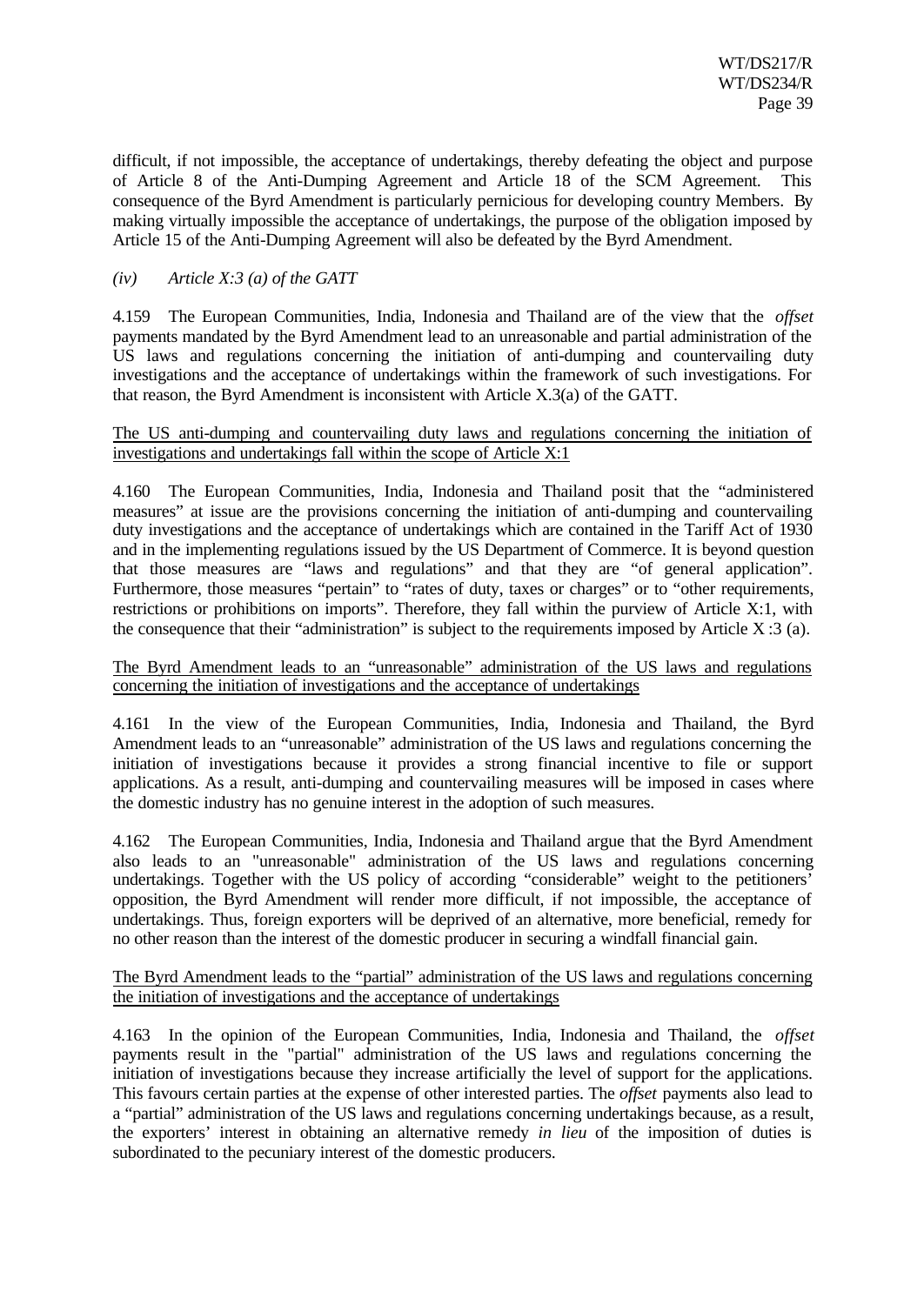difficult, if not impossible, the acceptance of undertakings, thereby defeating the object and purpose of Article 8 of the Anti-Dumping Agreement and Article 18 of the SCM Agreement. This consequence of the Byrd Amendment is particularly pernicious for developing country Members. By making virtually impossible the acceptance of undertakings, the purpose of the obligation imposed by Article 15 of the Anti-Dumping Agreement will also be defeated by the Byrd Amendment.

# *(iv) Article X:3 (a) of the GATT*

4.159 The European Communities, India, Indonesia and Thailand are of the view that the *offset* payments mandated by the Byrd Amendment lead to an unreasonable and partial administration of the US laws and regulations concerning the initiation of anti-dumping and countervailing duty investigations and the acceptance of undertakings within the framework of such investigations. For that reason, the Byrd Amendment is inconsistent with Article X.3(a) of the GATT.

### The US anti-dumping and countervailing duty laws and regulations concerning the initiation of investigations and undertakings fall within the scope of Article X:1

4.160 The European Communities, India, Indonesia and Thailand posit that the "administered measures" at issue are the provisions concerning the initiation of anti-dumping and countervailing duty investigations and the acceptance of undertakings which are contained in the Tariff Act of 1930 and in the implementing regulations issued by the US Department of Commerce. It is beyond question that those measures are "laws and regulations" and that they are "of general application". Furthermore, those measures "pertain" to "rates of duty, taxes or charges" or to "other requirements, restrictions or prohibitions on imports". Therefore, they fall within the purview of Article X:1, with the consequence that their "administration" is subject to the requirements imposed by Article  $X:3$  (a).

#### The Byrd Amendment leads to an "unreasonable" administration of the US laws and regulations concerning the initiation of investigations and the acceptance of undertakings

4.161 In the view of the European Communities, India, Indonesia and Thailand, the Byrd Amendment leads to an "unreasonable" administration of the US laws and regulations concerning the initiation of investigations because it provides a strong financial incentive to file or support applications. As a result, anti-dumping and countervailing measures will be imposed in cases where the domestic industry has no genuine interest in the adoption of such measures.

4.162 The European Communities, India, Indonesia and Thailand argue that the Byrd Amendment also leads to an "unreasonable" administration of the US laws and regulations concerning undertakings. Together with the US policy of according "considerable" weight to the petitioners' opposition, the Byrd Amendment will render more difficult, if not impossible, the acceptance of undertakings. Thus, foreign exporters will be deprived of an alternative, more beneficial, remedy for no other reason than the interest of the domestic producer in securing a windfall financial gain.

### The Byrd Amendment leads to the "partial" administration of the US laws and regulations concerning the initiation of investigations and the acceptance of undertakings

4.163 In the opinion of the European Communities, India, Indonesia and Thailand, the *offset* payments result in the "partial" administration of the US laws and regulations concerning the initiation of investigations because they increase artificially the level of support for the applications. This favours certain parties at the expense of other interested parties. The *offset* payments also lead to a "partial" administration of the US laws and regulations concerning undertakings because, as a result, the exporters' interest in obtaining an alternative remedy *in lieu* of the imposition of duties is subordinated to the pecuniary interest of the domestic producers.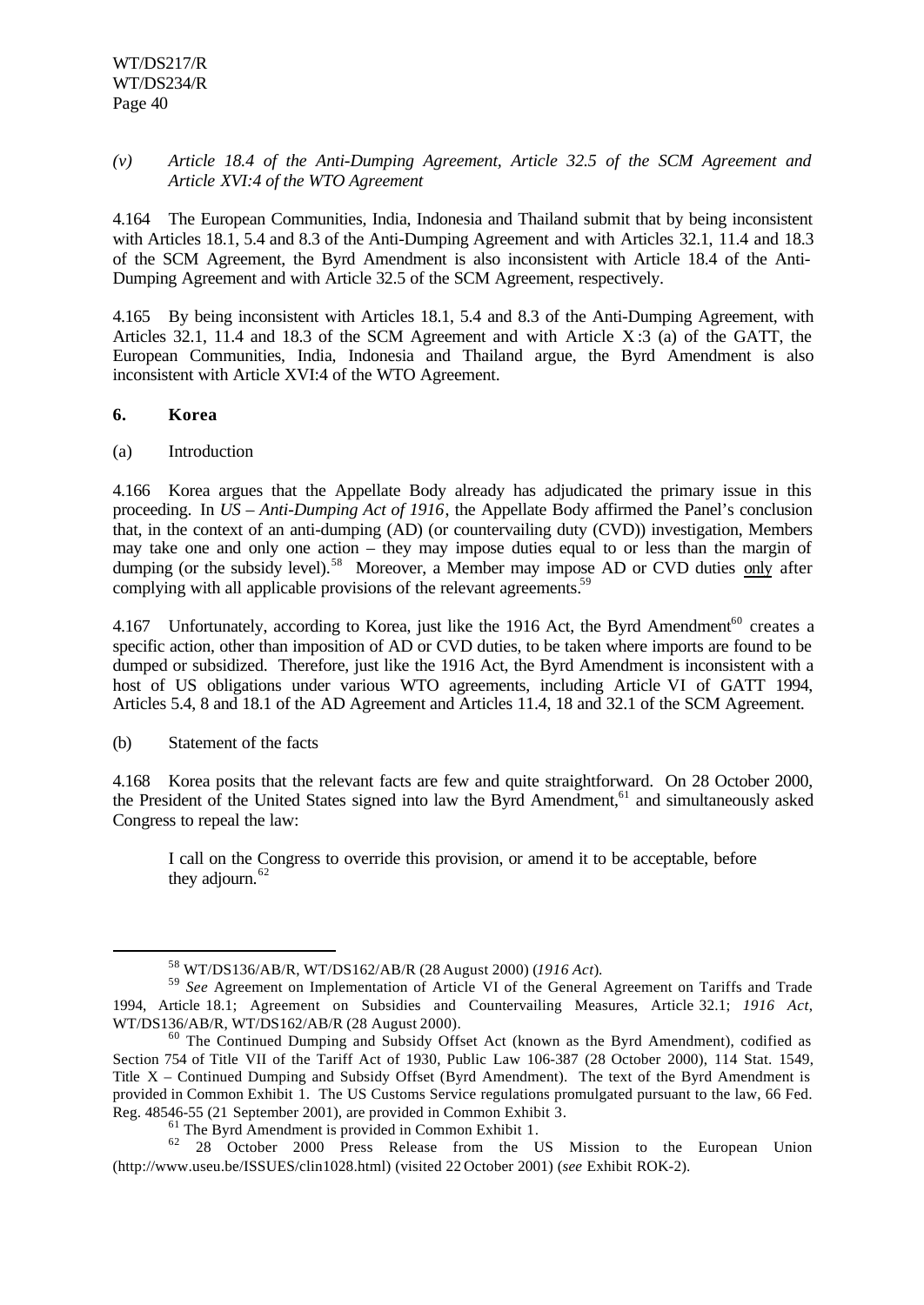### *(v) Article 18.4 of the Anti-Dumping Agreement, Article 32.5 of the SCM Agreement and Article XVI:4 of the WTO Agreement*

4.164 The European Communities, India, Indonesia and Thailand submit that by being inconsistent with Articles 18.1, 5.4 and 8.3 of the Anti-Dumping Agreement and with Articles 32.1, 11.4 and 18.3 of the SCM Agreement, the Byrd Amendment is also inconsistent with Article 18.4 of the Anti-Dumping Agreement and with Article 32.5 of the SCM Agreement, respectively.

4.165 By being inconsistent with Articles 18.1, 5.4 and 8.3 of the Anti-Dumping Agreement, with Articles 32.1, 11.4 and 18.3 of the SCM Agreement and with Article X :3 (a) of the GATT, the European Communities, India, Indonesia and Thailand argue, the Byrd Amendment is also inconsistent with Article XVI:4 of the WTO Agreement.

### **6. Korea**

## (a) Introduction

4.166 Korea argues that the Appellate Body already has adjudicated the primary issue in this proceeding. In *US – Anti-Dumping Act of 1916*, the Appellate Body affirmed the Panel's conclusion that, in the context of an anti-dumping (AD) (or countervailing duty (CVD)) investigation, Members may take one and only one action – they may impose duties equal to or less than the margin of dumping (or the subsidy level).<sup>58</sup> Moreover, a Member may impose AD or CVD duties only after complying with all applicable provisions of the relevant agreements.<sup>59</sup>

4.167 Unfortunately, according to Korea, just like the 1916 Act, the Byrd Amendment<sup>60</sup> creates a specific action, other than imposition of AD or CVD duties, to be taken where imports are found to be dumped or subsidized. Therefore, just like the 1916 Act, the Byrd Amendment is inconsistent with a host of US obligations under various WTO agreements, including Article VI of GATT 1994, Articles 5.4, 8 and 18.1 of the AD Agreement and Articles 11.4, 18 and 32.1 of the SCM Agreement.

(b) Statement of the facts

l

4.168 Korea posits that the relevant facts are few and quite straightforward. On 28 October 2000, the President of the United States signed into law the Byrd Amendment,<sup>61</sup> and simultaneously asked Congress to repeal the law:

I call on the Congress to override this provision, or amend it to be acceptable, before they adjourn. $62$ 

<sup>58</sup> WT/DS136/AB/R, WT/DS162/AB/R (28 August 2000) (*1916 Act*).

<sup>59</sup> *See* Agreement on Implementation of Article VI of the General Agreement on Tariffs and Trade 1994, Article 18.1; Agreement on Subsidies and Countervailing Measures, Article 32.1; *1916 Act*, WT/DS136/AB/R, WT/DS162/AB/R (28 August 2000).

 $60$  The Continued Dumping and Subsidy Offset Act (known as the Byrd Amendment), codified as Section 754 of Title VII of the Tariff Act of 1930, Public Law 106-387 (28 October 2000), 114 Stat. 1549, Title X – Continued Dumping and Subsidy Offset (Byrd Amendment). The text of the Byrd Amendment is provided in Common Exhibit 1. The US Customs Service regulations promulgated pursuant to the law, 66 Fed. Reg. 48546-55 (21 September 2001), are provided in Common Exhibit 3.

 $61$  The Byrd Amendment is provided in Common Exhibit 1.

 $62$  28 October 2000 Press Release from the US Mission to the European Union (http://www.useu.be/ISSUES/clin1028.html) (visited 22 October 2001) (*see* Exhibit ROK-2).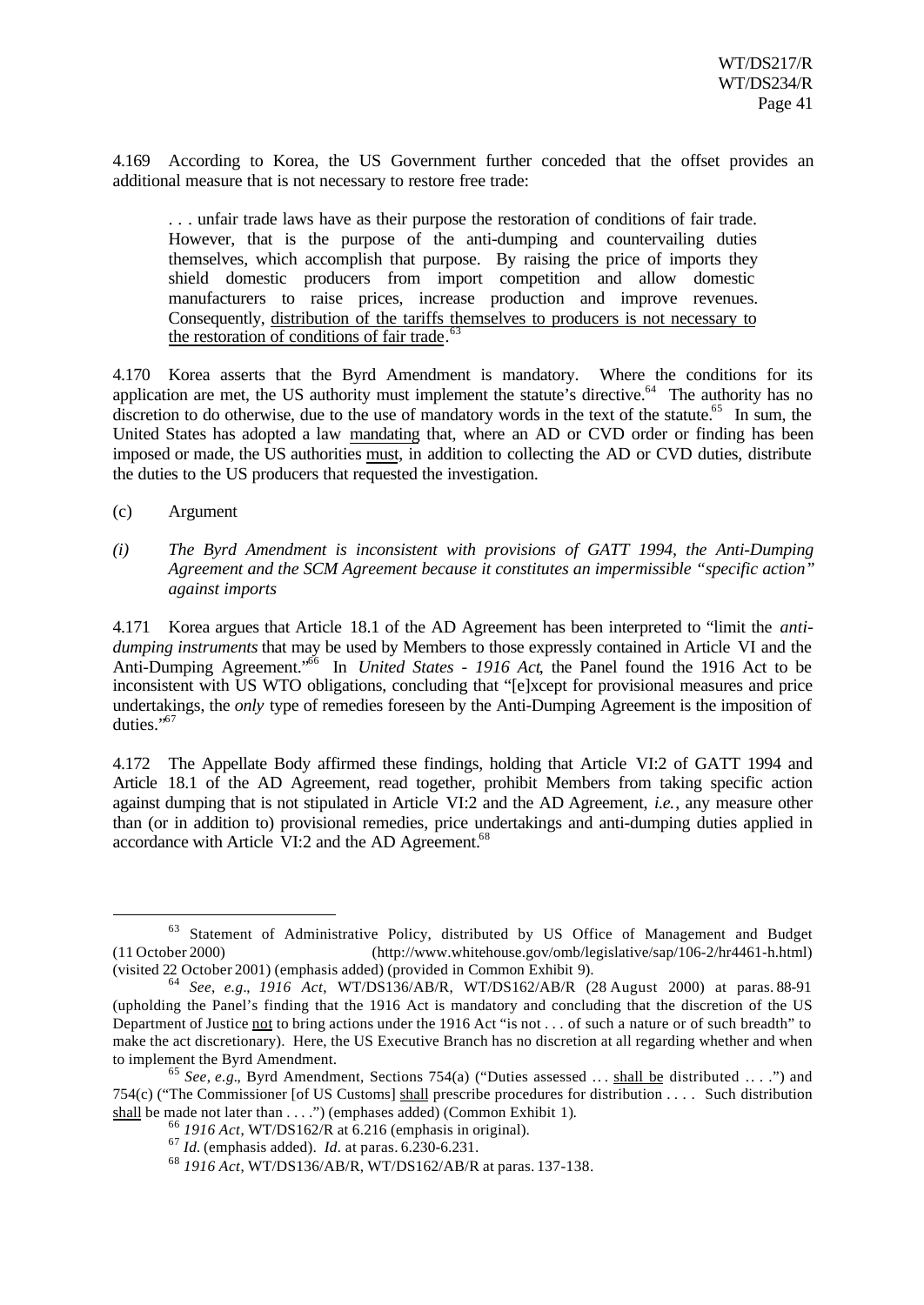4.169 According to Korea, the US Government further conceded that the offset provides an additional measure that is not necessary to restore free trade:

. . . unfair trade laws have as their purpose the restoration of conditions of fair trade. However, that is the purpose of the anti-dumping and countervailing duties themselves, which accomplish that purpose. By raising the price of imports they shield domestic producers from import competition and allow domestic manufacturers to raise prices, increase production and improve revenues. Consequently, distribution of the tariffs themselves to producers is not necessary to the restoration of conditions of fair trade.<sup>63</sup>

4.170 Korea asserts that the Byrd Amendment is mandatory. Where the conditions for its application are met, the US authority must implement the statute's directive.<sup>64</sup> The authority has no discretion to do otherwise, due to the use of mandatory words in the text of the statute.<sup>65</sup> In sum, the United States has adopted a law mandating that, where an AD or CVD order or finding has been imposed or made, the US authorities must, in addition to collecting the AD or CVD duties, distribute the duties to the US producers that requested the investigation.

(c) Argument

l

*(i) The Byrd Amendment is inconsistent with provisions of GATT 1994, the Anti-Dumping Agreement and the SCM Agreement because it constitutes an impermissible "specific action" against imports*

4.171 Korea argues that Article 18.1 of the AD Agreement has been interpreted to "limit the *antidumping instruments* that may be used by Members to those expressly contained in Article VI and the Anti-Dumping Agreement."<sup>66</sup> In *United States - 1916 Act*, the Panel found the 1916 Act to be inconsistent with US WTO obligations, concluding that "[e]xcept for provisional measures and price undertakings, the *only* type of remedies foreseen by the Anti-Dumping Agreement is the imposition of duties."<sup>67</sup>

4.172 The Appellate Body affirmed these findings, holding that Article VI:2 of GATT 1994 and Article 18.1 of the AD Agreement, read together, prohibit Members from taking specific action against dumping that is not stipulated in Article VI:2 and the AD Agreement, *i.e.*, any measure other than (or in addition to) provisional remedies, price undertakings and anti-dumping duties applied in accordance with Article VI:2 and the AD Agreement.<sup>68</sup>

<sup>63</sup> Statement of Administrative Policy, distributed by US Office of Management and Budget (11 October 2000) (http://www.whitehouse.gov/omb/legislative/sap/106-2/hr4461-h.html) (visited 22 October 2001) (emphasis added) (provided in Common Exhibit 9).

<sup>64</sup> *See*, *e.g.*, *1916 Act*, WT/DS136/AB/R, WT/DS162/AB/R (28 August 2000) at paras. 88-91 (upholding the Panel's finding that the 1916 Act is mandatory and concluding that the discretion of the US Department of Justice not to bring actions under the 1916 Act "is not . . . of such a nature or of such breadth" to make the act discretionary). Here, the US Executive Branch has no discretion at all regarding whether and when to implement the Byrd Amendment.

<sup>65</sup> *See*, *e.g.*, Byrd Amendment, Sections 754(a) ("Duties assessed . . . shall be distributed . . . .") and 754(c) ("The Commissioner [of US Customs] shall prescribe procedures for distribution . . . . Such distribution shall be made not later than  $\dots$ .") (emphases added) (Common Exhibit 1).

<sup>66</sup> *1916 Act*, WT/DS162/R at 6.216 (emphasis in original).

<sup>67</sup> *Id.* (emphasis added). *Id.* at paras. 6.230-6.231.

<sup>68</sup> *1916 Act*, WT/DS136/AB/R, WT/DS162/AB/R at paras. 137-138.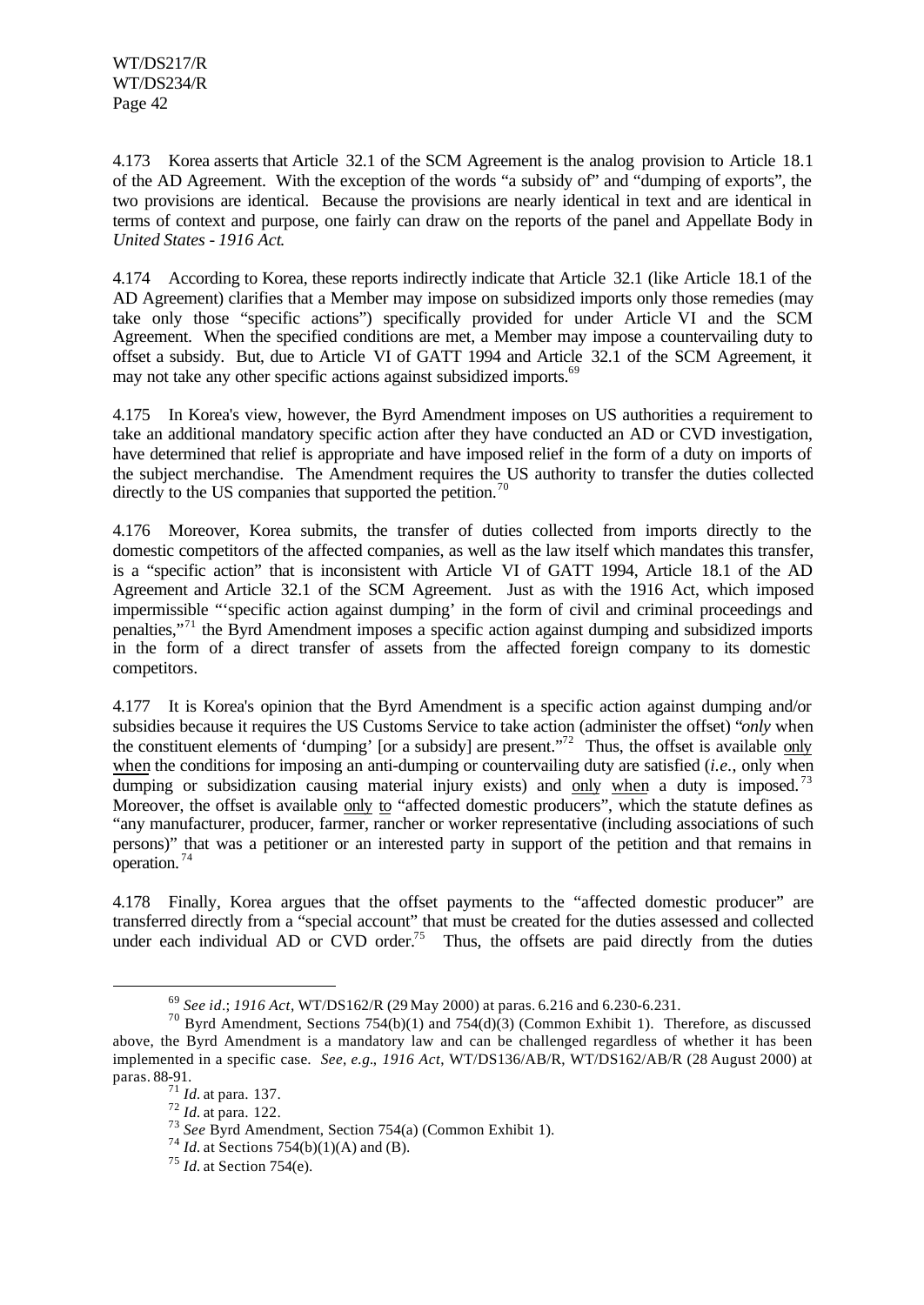4.173 Korea asserts that Article 32.1 of the SCM Agreement is the analog provision to Article 18.1 of the AD Agreement. With the exception of the words "a subsidy of" and "dumping of exports", the two provisions are identical. Because the provisions are nearly identical in text and are identical in terms of context and purpose, one fairly can draw on the reports of the panel and Appellate Body in *United States - 1916 Act*.

4.174 According to Korea, these reports indirectly indicate that Article 32.1 (like Article 18.1 of the AD Agreement) clarifies that a Member may impose on subsidized imports only those remedies (may take only those "specific actions") specifically provided for under Article VI and the SCM Agreement. When the specified conditions are met, a Member may impose a countervailing duty to offset a subsidy. But, due to Article VI of GATT 1994 and Article 32.1 of the SCM Agreement, it may not take any other specific actions against subsidized imports.<sup>69</sup>

4.175 In Korea's view, however, the Byrd Amendment imposes on US authorities a requirement to take an additional mandatory specific action after they have conducted an AD or CVD investigation, have determined that relief is appropriate and have imposed relief in the form of a duty on imports of the subject merchandise. The Amendment requires the US authority to transfer the duties collected directly to the US companies that supported the petition.<sup>70</sup>

4.176 Moreover, Korea submits, the transfer of duties collected from imports directly to the domestic competitors of the affected companies, as well as the law itself which mandates this transfer, is a "specific action" that is inconsistent with Article VI of GATT 1994, Article 18.1 of the AD Agreement and Article 32.1 of the SCM Agreement. Just as with the 1916 Act, which imposed impermissible "'specific action against dumping' in the form of civil and criminal proceedings and penalties,"<sup>71</sup> the Byrd Amendment imposes a specific action against dumping and subsidized imports in the form of a direct transfer of assets from the affected foreign company to its domestic competitors.

4.177 It is Korea's opinion that the Byrd Amendment is a specific action against dumping and/or subsidies because it requires the US Customs Service to take action (administer the offset) "*only* when the constituent elements of 'dumping' [or a subsidy] are present."<sup>72</sup> Thus, the offset is available only when the conditions for imposing an anti-dumping or countervailing duty are satisfied (*i.e.*, only when dumping or subsidization causing material injury exists) and only when a duty is imposed.<sup>7</sup> Moreover, the offset is available only to "affected domestic producers", which the statute defines as "any manufacturer, producer, farmer, rancher or worker representative (including associations of such persons)" that was a petitioner or an interested party in support of the petition and that remains in operation. <sup>74</sup>

4.178 Finally, Korea argues that the offset payments to the "affected domestic producer" are transferred directly from a "special account" that must be created for the duties assessed and collected under each individual AD or CVD order.<sup>75</sup> Thus, the offsets are paid directly from the duties

<sup>69</sup> *See id*.; *1916 Act*, WT/DS162/R (29 May 2000) at paras. 6.216 and 6.230-6.231.

 $70$  Byrd Amendment, Sections 754(b)(1) and 754(d)(3) (Common Exhibit 1). Therefore, as discussed above, the Byrd Amendment is a mandatory law and can be challenged regardless of whether it has been implemented in a specific case. *See*, *e.g.*, *1916 Act*, WT/DS136/AB/R, WT/DS162/AB/R (28 August 2000) at paras. 88-91.

<sup>71</sup> *Id.* at para. 137.

<sup>72</sup> *Id.* at para. 122.

<sup>73</sup> *See* Byrd Amendment, Section 754(a) (Common Exhibit 1).

<sup>&</sup>lt;sup>74</sup> *Id.* at Sections 754(b)(1)(A) and (B).

<sup>75</sup> *Id.* at Section 754(e).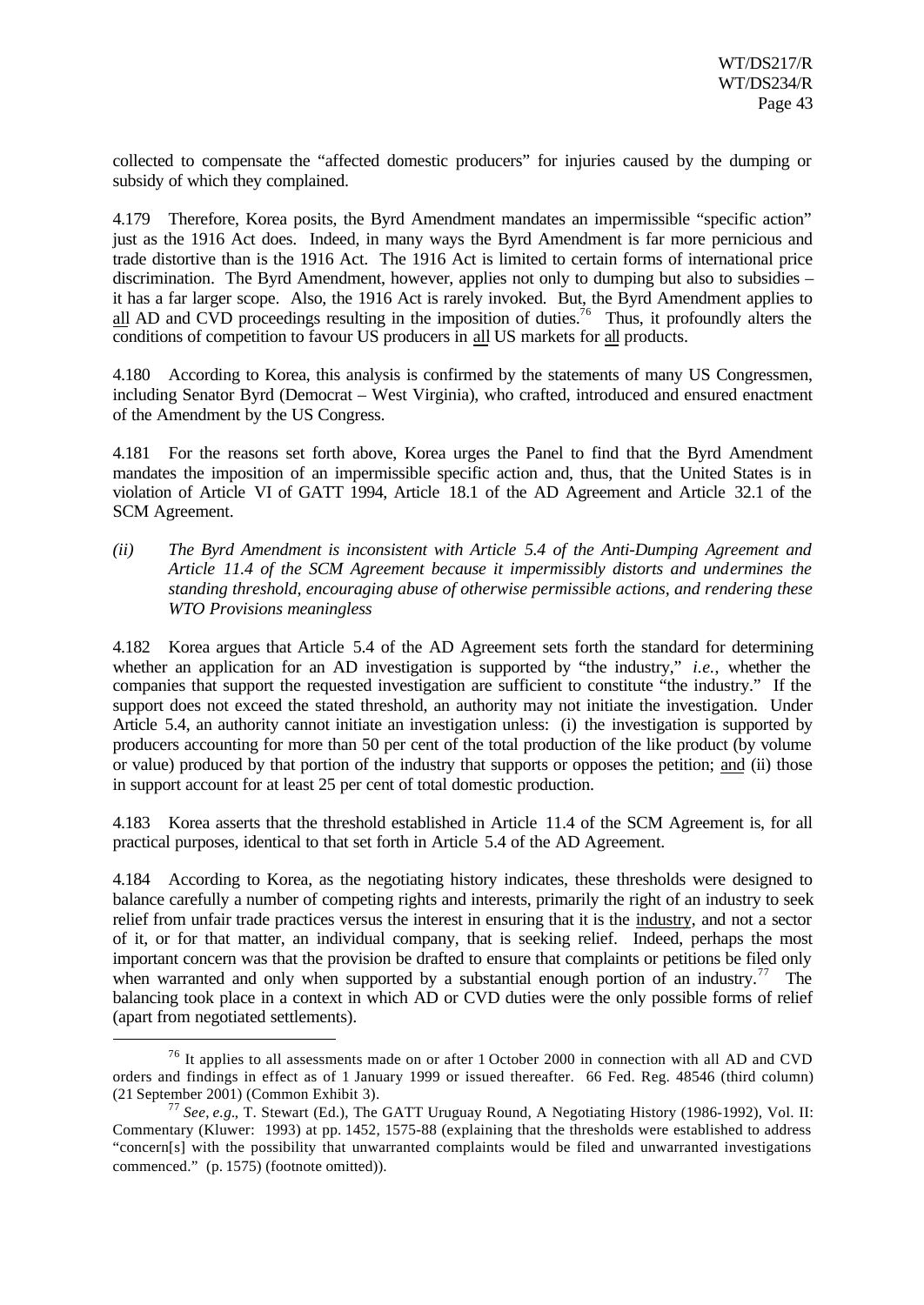collected to compensate the "affected domestic producers" for injuries caused by the dumping or subsidy of which they complained.

4.179 Therefore, Korea posits, the Byrd Amendment mandates an impermissible "specific action" just as the 1916 Act does. Indeed, in many ways the Byrd Amendment is far more pernicious and trade distortive than is the 1916 Act. The 1916 Act is limited to certain forms of international price discrimination. The Byrd Amendment, however, applies not only to dumping but also to subsidies – it has a far larger scope. Also, the 1916 Act is rarely invoked. But, the Byrd Amendment applies to all AD and CVD proceedings resulting in the imposition of duties.<sup>76</sup> Thus, it profoundly alters the conditions of competition to favour US producers in all US markets for all products.

4.180 According to Korea, this analysis is confirmed by the statements of many US Congressmen, including Senator Byrd (Democrat – West Virginia), who crafted, introduced and ensured enactment of the Amendment by the US Congress.

4.181 For the reasons set forth above, Korea urges the Panel to find that the Byrd Amendment mandates the imposition of an impermissible specific action and, thus, that the United States is in violation of Article VI of GATT 1994, Article 18.1 of the AD Agreement and Article 32.1 of the SCM Agreement.

*(ii) The Byrd Amendment is inconsistent with Article 5.4 of the Anti-Dumping Agreement and Article 11.4 of the SCM Agreement because it impermissibly distorts and undermines the standing threshold, encouraging abuse of otherwise permissible actions, and rendering these WTO Provisions meaningless*

4.182 Korea argues that Article 5.4 of the AD Agreement sets forth the standard for determining whether an application for an AD investigation is supported by "the industry," *i.e.*, whether the companies that support the requested investigation are sufficient to constitute "the industry." If the support does not exceed the stated threshold, an authority may not initiate the investigation. Under Article 5.4, an authority cannot initiate an investigation unless: (i) the investigation is supported by producers accounting for more than 50 per cent of the total production of the like product (by volume or value) produced by that portion of the industry that supports or opposes the petition; and (ii) those in support account for at least 25 per cent of total domestic production.

4.183 Korea asserts that the threshold established in Article 11.4 of the SCM Agreement is, for all practical purposes, identical to that set forth in Article 5.4 of the AD Agreement.

4.184 According to Korea, as the negotiating history indicates, these thresholds were designed to balance carefully a number of competing rights and interests, primarily the right of an industry to seek relief from unfair trade practices versus the interest in ensuring that it is the industry, and not a sector of it, or for that matter, an individual company, that is seeking relief. Indeed, perhaps the most important concern was that the provision be drafted to ensure that complaints or petitions be filed only when warranted and only when supported by a substantial enough portion of an industry.<sup>77</sup> The balancing took place in a context in which AD or CVD duties were the only possible forms of relief (apart from negotiated settlements).

<sup>&</sup>lt;sup>76</sup> It applies to all assessments made on or after 1 October 2000 in connection with all AD and CVD orders and findings in effect as of 1 January 1999 or issued thereafter. 66 Fed. Reg. 48546 (third column) (21 September 2001) (Common Exhibit 3).

<sup>77</sup> *See*, *e.g.*, T. Stewart (Ed.), The GATT Uruguay Round, A Negotiating History (1986-1992), Vol. II: Commentary (Kluwer: 1993) at pp. 1452, 1575-88 (explaining that the thresholds were established to address "concern[s] with the possibility that unwarranted complaints would be filed and unwarranted investigations commenced." (p. 1575) (footnote omitted)).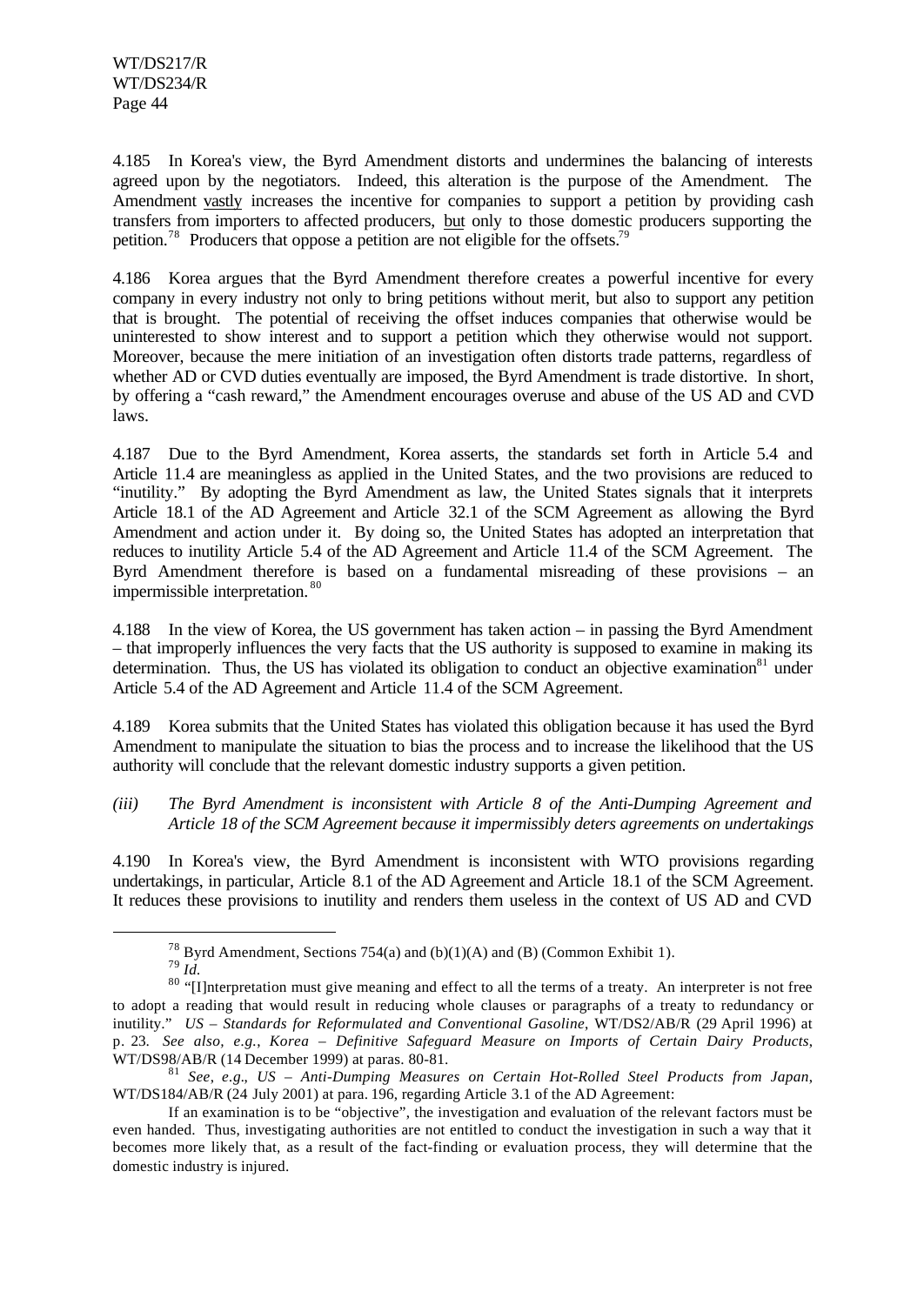4.185 In Korea's view, the Byrd Amendment distorts and undermines the balancing of interests agreed upon by the negotiators. Indeed, this alteration is the purpose of the Amendment. The Amendment vastly increases the incentive for companies to support a petition by providing cash transfers from importers to affected producers, but only to those domestic producers supporting the petition.<sup>78</sup> Producers that oppose a petition are not eligible for the offsets.<sup>79</sup>

4.186 Korea argues that the Byrd Amendment therefore creates a powerful incentive for every company in every industry not only to bring petitions without merit, but also to support any petition that is brought. The potential of receiving the offset induces companies that otherwise would be uninterested to show interest and to support a petition which they otherwise would not support. Moreover, because the mere initiation of an investigation often distorts trade patterns, regardless of whether AD or CVD duties eventually are imposed, the Byrd Amendment is trade distortive. In short, by offering a "cash reward," the Amendment encourages overuse and abuse of the US AD and CVD laws.

4.187 Due to the Byrd Amendment, Korea asserts, the standards set forth in Article 5.4 and Article 11.4 are meaningless as applied in the United States, and the two provisions are reduced to "inutility." By adopting the Byrd Amendment as law, the United States signals that it interprets Article 18.1 of the AD Agreement and Article 32.1 of the SCM Agreement as allowing the Byrd Amendment and action under it. By doing so, the United States has adopted an interpretation that reduces to inutility Article 5.4 of the AD Agreement and Article 11.4 of the SCM Agreement. The Byrd Amendment therefore is based on a fundamental misreading of these provisions – an impermissible interpretation. <sup>80</sup>

4.188 In the view of Korea, the US government has taken action – in passing the Byrd Amendment – that improperly influences the very facts that the US authority is supposed to examine in making its determination. Thus, the US has violated its obligation to conduct an objective examination $81$  under Article 5.4 of the AD Agreement and Article 11.4 of the SCM Agreement.

4.189 Korea submits that the United States has violated this obligation because it has used the Byrd Amendment to manipulate the situation to bias the process and to increase the likelihood that the US authority will conclude that the relevant domestic industry supports a given petition.

*(iii) The Byrd Amendment is inconsistent with Article 8 of the Anti-Dumping Agreement and Article 18 of the SCM Agreement because it impermissibly deters agreements on undertakings*

4.190 In Korea's view, the Byrd Amendment is inconsistent with WTO provisions regarding undertakings, in particular, Article 8.1 of the AD Agreement and Article 18.1 of the SCM Agreement. It reduces these provisions to inutility and renders them useless in the context of US AD and CVD

l

<sup>81</sup> *See*, *e.g.*, *US – Anti-Dumping Measures on Certain Hot-Rolled Steel Products from Japan*, WT/DS184/AB/R (24 July 2001) at para. 196, regarding Article 3.1 of the AD Agreement:

<sup>&</sup>lt;sup>78</sup> Byrd Amendment, Sections 754(a) and (b)(1)(A) and (B) (Common Exhibit 1).

<sup>79</sup> *Id.*

<sup>&</sup>lt;sup>80</sup> "[I]nterpretation must give meaning and effect to all the terms of a treaty. An interpreter is not free to adopt a reading that would result in reducing whole clauses or paragraphs of a treaty to redundancy or inutility." *US – Standards for Reformulated and Conventional Gasoline*, WT/DS2/AB/R (29 April 1996) at p. 23. *See also, e.g.*, *Korea – Definitive Safeguard Measure on Imports of Certain Dairy Products*, WT/DS98/AB/R (14 December 1999) at paras. 80-81.

If an examination is to be "objective", the investigation and evaluation of the relevant factors must be even handed. Thus, investigating authorities are not entitled to conduct the investigation in such a way that it becomes more likely that, as a result of the fact-finding or evaluation process, they will determine that the domestic industry is injured.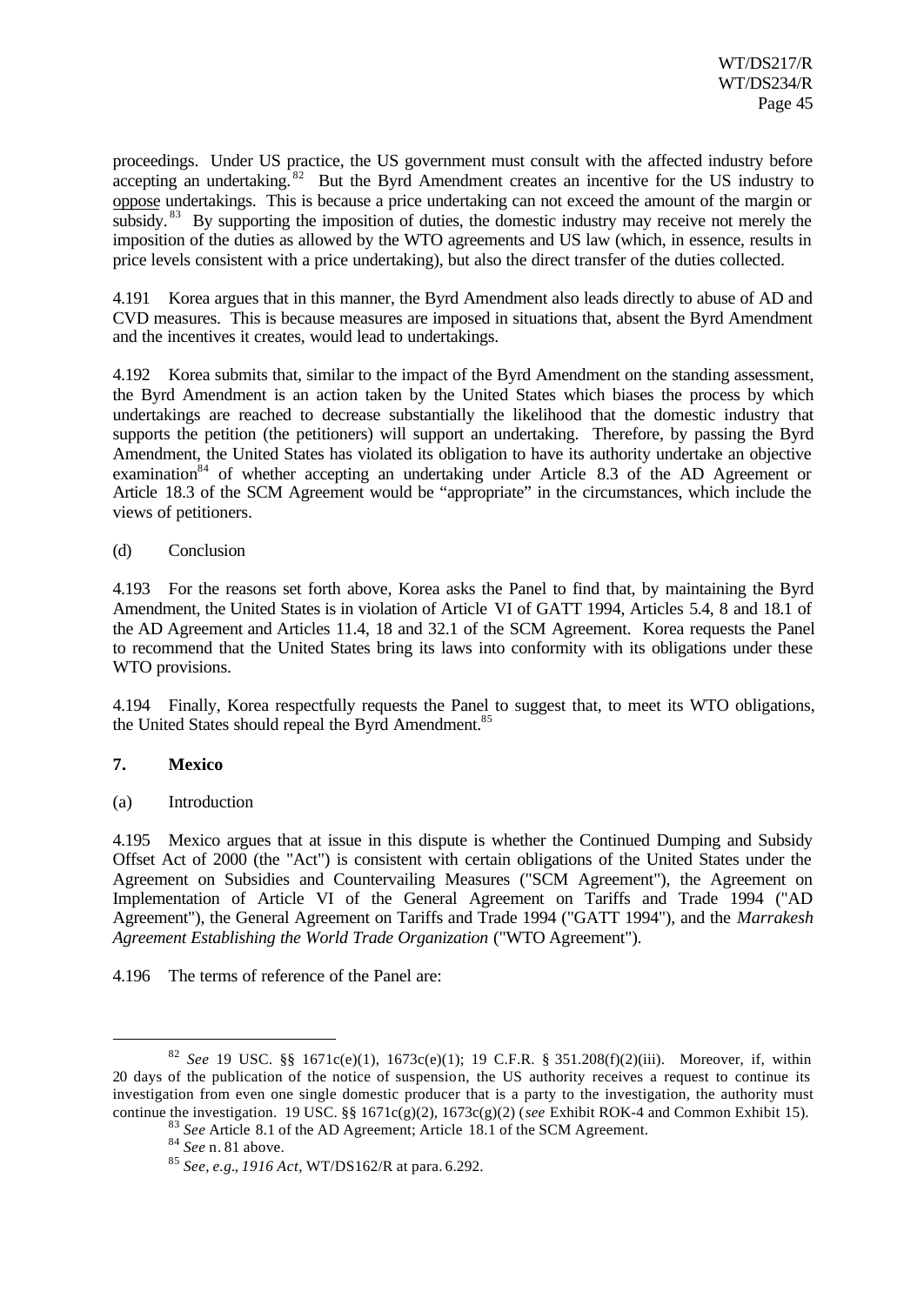proceedings. Under US practice, the US government must consult with the affected industry before accepting an undertaking.<sup>82</sup> But the Byrd Amendment creates an incentive for the US industry to oppose undertakings. This is because a price undertaking can not exceed the amount of the margin or subsidy.<sup>83</sup> By supporting the imposition of duties, the domestic industry may receive not merely the imposition of the duties as allowed by the WTO agreements and US law (which, in essence, results in price levels consistent with a price undertaking), but also the direct transfer of the duties collected.

4.191 Korea argues that in this manner, the Byrd Amendment also leads directly to abuse of AD and CVD measures. This is because measures are imposed in situations that, absent the Byrd Amendment and the incentives it creates, would lead to undertakings.

4.192 Korea submits that, similar to the impact of the Byrd Amendment on the standing assessment, the Byrd Amendment is an action taken by the United States which biases the process by which undertakings are reached to decrease substantially the likelihood that the domestic industry that supports the petition (the petitioners) will support an undertaking. Therefore, by passing the Byrd Amendment, the United States has violated its obligation to have its authority undertake an objective examination<sup>84</sup> of whether accepting an undertaking under Article 8.3 of the AD Agreement or Article 18.3 of the SCM Agreement would be "appropriate" in the circumstances, which include the views of petitioners.

(d) Conclusion

4.193 For the reasons set forth above, Korea asks the Panel to find that, by maintaining the Byrd Amendment, the United States is in violation of Article VI of GATT 1994, Articles 5.4, 8 and 18.1 of the AD Agreement and Articles 11.4, 18 and 32.1 of the SCM Agreement. Korea requests the Panel to recommend that the United States bring its laws into conformity with its obligations under these WTO provisions.

4.194 Finally, Korea respectfully requests the Panel to suggest that, to meet its WTO obligations, the United States should repeal the Byrd Amendment.<sup>85</sup>

# **7. Mexico**

l

(a) Introduction

4.195 Mexico argues that at issue in this dispute is whether the Continued Dumping and Subsidy Offset Act of 2000 (the "Act") is consistent with certain obligations of the United States under the Agreement on Subsidies and Countervailing Measures ("SCM Agreement"), the Agreement on Implementation of Article VI of the General Agreement on Tariffs and Trade 1994 ("AD Agreement"), the General Agreement on Tariffs and Trade 1994 ("GATT 1994"), and the *Marrakesh Agreement Establishing the World Trade Organization* ("WTO Agreement").

4.196 The terms of reference of the Panel are:

<sup>82</sup> *See* 19 USC. §§ 1671c(e)(1), 1673c(e)(1); 19 C.F.R. § 351.208(f)(2)(iii). Moreover, if, within 20 days of the publication of the notice of suspension, the US authority receives a request to continue its investigation from even one single domestic producer that is a party to the investigation, the authority must continue the investigation. 19 USC. §§ 1671c(g)(2), 1673c(g)(2) (*see* Exhibit ROK-4 and Common Exhibit 15).

<sup>83</sup> *See* Article 8.1 of the AD Agreement; Article 18.1 of the SCM Agreement.

<sup>84</sup> *See* n. 81 above.

<sup>85</sup> *See*, *e.g.*, *1916 Act*, WT/DS162/R at para. 6.292.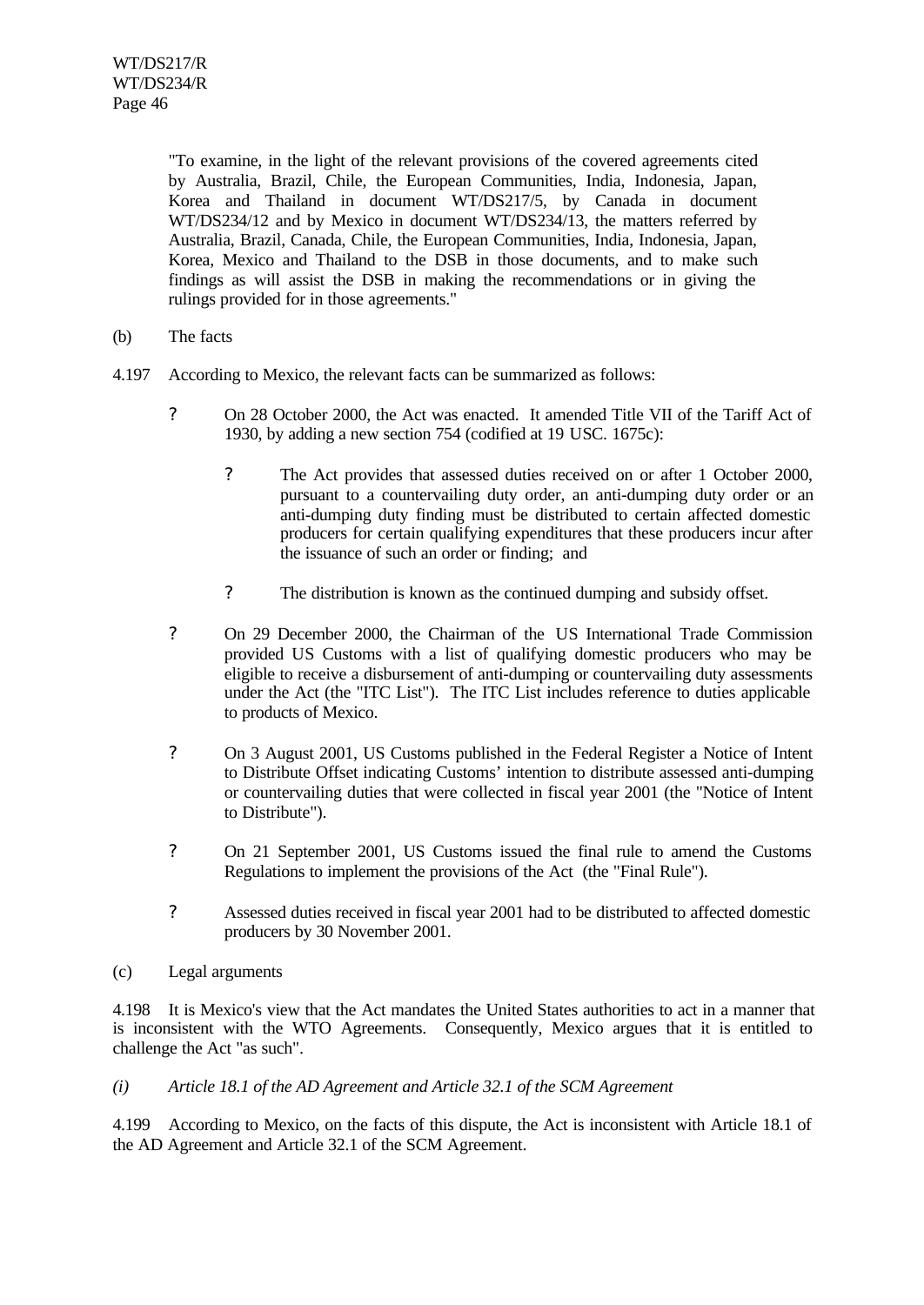"To examine, in the light of the relevant provisions of the covered agreements cited by Australia, Brazil, Chile, the European Communities, India, Indonesia, Japan, Korea and Thailand in document WT/DS217/5, by Canada in document WT/DS234/12 and by Mexico in document WT/DS234/13, the matters referred by Australia, Brazil, Canada, Chile, the European Communities, India, Indonesia, Japan, Korea, Mexico and Thailand to the DSB in those documents, and to make such findings as will assist the DSB in making the recommendations or in giving the rulings provided for in those agreements."

- (b) The facts
- 4.197 According to Mexico, the relevant facts can be summarized as follows:
	- ? On 28 October 2000, the Act was enacted. It amended Title VII of the Tariff Act of 1930, by adding a new section 754 (codified at 19 USC. 1675c):
		- ? The Act provides that assessed duties received on or after 1 October 2000, pursuant to a countervailing duty order, an anti-dumping duty order or an anti-dumping duty finding must be distributed to certain affected domestic producers for certain qualifying expenditures that these producers incur after the issuance of such an order or finding; and
		- ? The distribution is known as the continued dumping and subsidy offset.
	- ? On 29 December 2000, the Chairman of the US International Trade Commission provided US Customs with a list of qualifying domestic producers who may be eligible to receive a disbursement of anti-dumping or countervailing duty assessments under the Act (the "ITC List"). The ITC List includes reference to duties applicable to products of Mexico.
	- ? On 3 August 2001, US Customs published in the Federal Register a Notice of Intent to Distribute Offset indicating Customs' intention to distribute assessed anti-dumping or countervailing duties that were collected in fiscal year 2001 (the "Notice of Intent to Distribute").
	- ? On 21 September 2001, US Customs issued the final rule to amend the Customs Regulations to implement the provisions of the Act (the "Final Rule").
	- ? Assessed duties received in fiscal year 2001 had to be distributed to affected domestic producers by 30 November 2001.
- (c) Legal arguments

4.198 It is Mexico's view that the Act mandates the United States authorities to act in a manner that is inconsistent with the WTO Agreements. Consequently, Mexico argues that it is entitled to challenge the Act "as such".

*(i) Article 18.1 of the AD Agreement and Article 32.1 of the SCM Agreement*

4.199 According to Mexico, on the facts of this dispute, the Act is inconsistent with Article 18.1 of the AD Agreement and Article 32.1 of the SCM Agreement.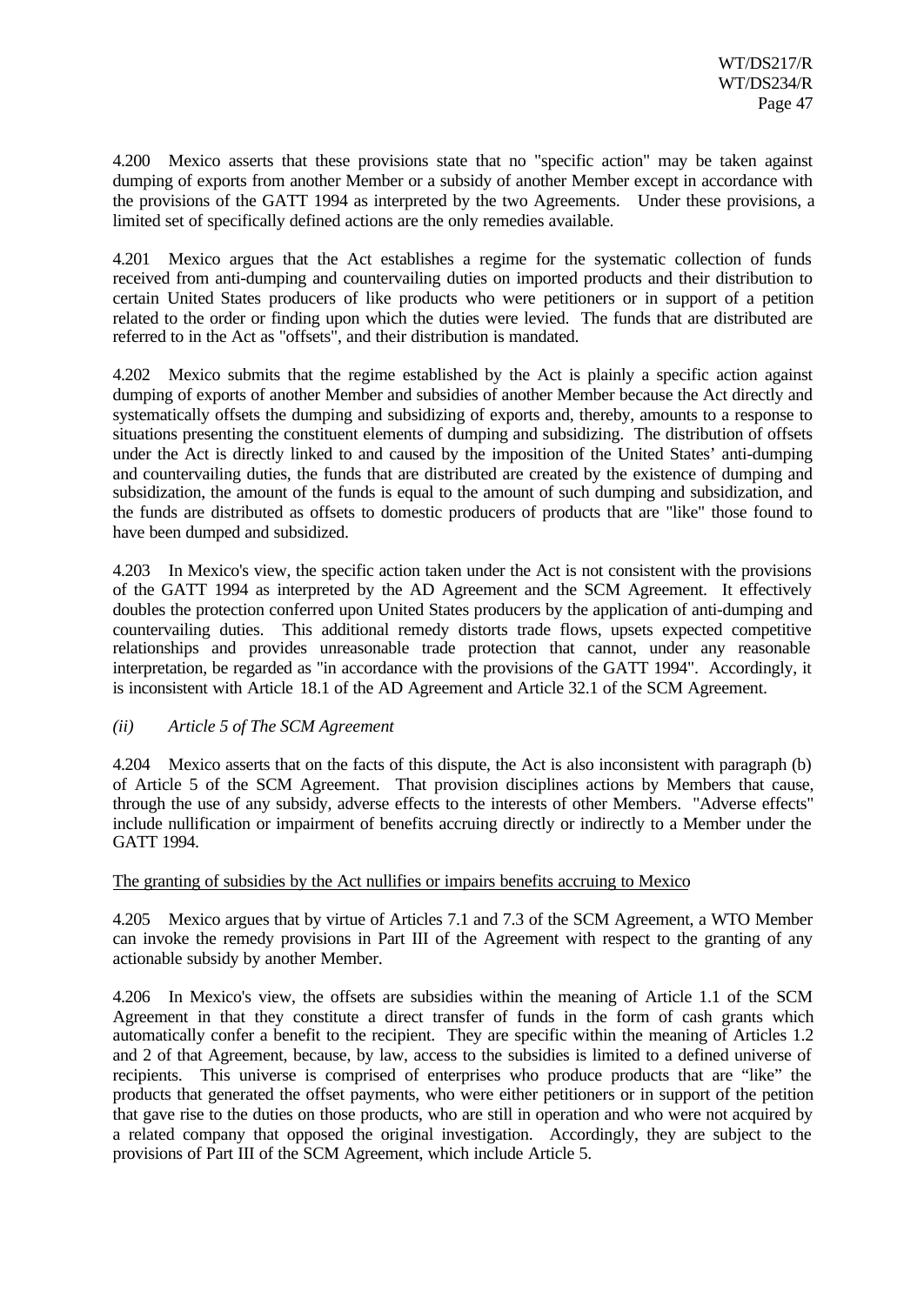4.200 Mexico asserts that these provisions state that no "specific action" may be taken against dumping of exports from another Member or a subsidy of another Member except in accordance with the provisions of the GATT 1994 as interpreted by the two Agreements. Under these provisions, a limited set of specifically defined actions are the only remedies available.

4.201 Mexico argues that the Act establishes a regime for the systematic collection of funds received from anti-dumping and countervailing duties on imported products and their distribution to certain United States producers of like products who were petitioners or in support of a petition related to the order or finding upon which the duties were levied. The funds that are distributed are referred to in the Act as "offsets", and their distribution is mandated.

4.202 Mexico submits that the regime established by the Act is plainly a specific action against dumping of exports of another Member and subsidies of another Member because the Act directly and systematically offsets the dumping and subsidizing of exports and, thereby, amounts to a response to situations presenting the constituent elements of dumping and subsidizing. The distribution of offsets under the Act is directly linked to and caused by the imposition of the United States' anti-dumping and countervailing duties, the funds that are distributed are created by the existence of dumping and subsidization, the amount of the funds is equal to the amount of such dumping and subsidization, and the funds are distributed as offsets to domestic producers of products that are "like" those found to have been dumped and subsidized.

4.203 In Mexico's view, the specific action taken under the Act is not consistent with the provisions of the GATT 1994 as interpreted by the AD Agreement and the SCM Agreement. It effectively doubles the protection conferred upon United States producers by the application of anti-dumping and countervailing duties. This additional remedy distorts trade flows, upsets expected competitive relationships and provides unreasonable trade protection that cannot, under any reasonable interpretation, be regarded as "in accordance with the provisions of the GATT 1994". Accordingly, it is inconsistent with Article 18.1 of the AD Agreement and Article 32.1 of the SCM Agreement.

### *(ii) Article 5 of The SCM Agreement*

4.204 Mexico asserts that on the facts of this dispute, the Act is also inconsistent with paragraph (b) of Article 5 of the SCM Agreement. That provision disciplines actions by Members that cause, through the use of any subsidy, adverse effects to the interests of other Members. "Adverse effects" include nullification or impairment of benefits accruing directly or indirectly to a Member under the GATT 1994.

### The granting of subsidies by the Act nullifies or impairs benefits accruing to Mexico

4.205 Mexico argues that by virtue of Articles 7.1 and 7.3 of the SCM Agreement, a WTO Member can invoke the remedy provisions in Part III of the Agreement with respect to the granting of any actionable subsidy by another Member.

4.206 In Mexico's view, the offsets are subsidies within the meaning of Article 1.1 of the SCM Agreement in that they constitute a direct transfer of funds in the form of cash grants which automatically confer a benefit to the recipient. They are specific within the meaning of Articles 1.2 and 2 of that Agreement, because, by law, access to the subsidies is limited to a defined universe of recipients. This universe is comprised of enterprises who produce products that are "like" the products that generated the offset payments, who were either petitioners or in support of the petition that gave rise to the duties on those products, who are still in operation and who were not acquired by a related company that opposed the original investigation. Accordingly, they are subject to the provisions of Part III of the SCM Agreement, which include Article 5.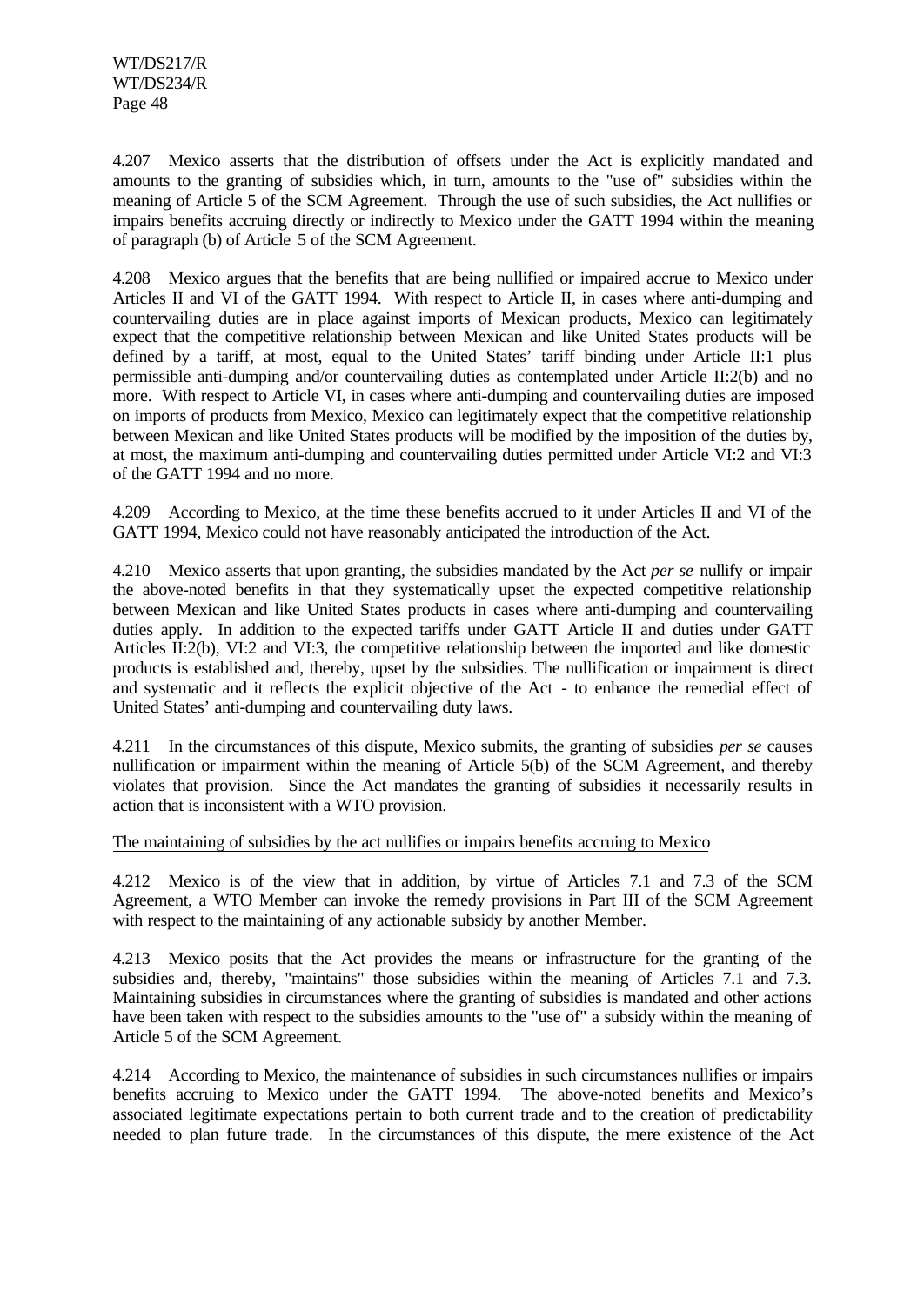WT/DS217/R WT/DS234/R Page 48

4.207 Mexico asserts that the distribution of offsets under the Act is explicitly mandated and amounts to the granting of subsidies which, in turn, amounts to the "use of" subsidies within the meaning of Article 5 of the SCM Agreement. Through the use of such subsidies, the Act nullifies or impairs benefits accruing directly or indirectly to Mexico under the GATT 1994 within the meaning of paragraph (b) of Article 5 of the SCM Agreement.

4.208 Mexico argues that the benefits that are being nullified or impaired accrue to Mexico under Articles II and VI of the GATT 1994. With respect to Article II, in cases where anti-dumping and countervailing duties are in place against imports of Mexican products, Mexico can legitimately expect that the competitive relationship between Mexican and like United States products will be defined by a tariff, at most, equal to the United States' tariff binding under Article II:1 plus permissible anti-dumping and/or countervailing duties as contemplated under Article II:2(b) and no more. With respect to Article VI, in cases where anti-dumping and countervailing duties are imposed on imports of products from Mexico, Mexico can legitimately expect that the competitive relationship between Mexican and like United States products will be modified by the imposition of the duties by, at most, the maximum anti-dumping and countervailing duties permitted under Article VI:2 and VI:3 of the GATT 1994 and no more.

4.209 According to Mexico, at the time these benefits accrued to it under Articles II and VI of the GATT 1994, Mexico could not have reasonably anticipated the introduction of the Act.

4.210 Mexico asserts that upon granting, the subsidies mandated by the Act *per se* nullify or impair the above-noted benefits in that they systematically upset the expected competitive relationship between Mexican and like United States products in cases where anti-dumping and countervailing duties apply. In addition to the expected tariffs under GATT Article II and duties under GATT Articles II:2(b), VI:2 and VI:3, the competitive relationship between the imported and like domestic products is established and, thereby, upset by the subsidies. The nullification or impairment is direct and systematic and it reflects the explicit objective of the Act - to enhance the remedial effect of United States' anti-dumping and countervailing duty laws.

4.211 In the circumstances of this dispute, Mexico submits, the granting of subsidies *per se* causes nullification or impairment within the meaning of Article 5(b) of the SCM Agreement, and thereby violates that provision. Since the Act mandates the granting of subsidies it necessarily results in action that is inconsistent with a WTO provision.

The maintaining of subsidies by the act nullifies or impairs benefits accruing to Mexico

4.212 Mexico is of the view that in addition, by virtue of Articles 7.1 and 7.3 of the SCM Agreement, a WTO Member can invoke the remedy provisions in Part III of the SCM Agreement with respect to the maintaining of any actionable subsidy by another Member.

4.213 Mexico posits that the Act provides the means or infrastructure for the granting of the subsidies and, thereby, "maintains" those subsidies within the meaning of Articles 7.1 and 7.3. Maintaining subsidies in circumstances where the granting of subsidies is mandated and other actions have been taken with respect to the subsidies amounts to the "use of" a subsidy within the meaning of Article 5 of the SCM Agreement.

4.214 According to Mexico, the maintenance of subsidies in such circumstances nullifies or impairs benefits accruing to Mexico under the GATT 1994. The above-noted benefits and Mexico's associated legitimate expectations pertain to both current trade and to the creation of predictability needed to plan future trade. In the circumstances of this dispute, the mere existence of the Act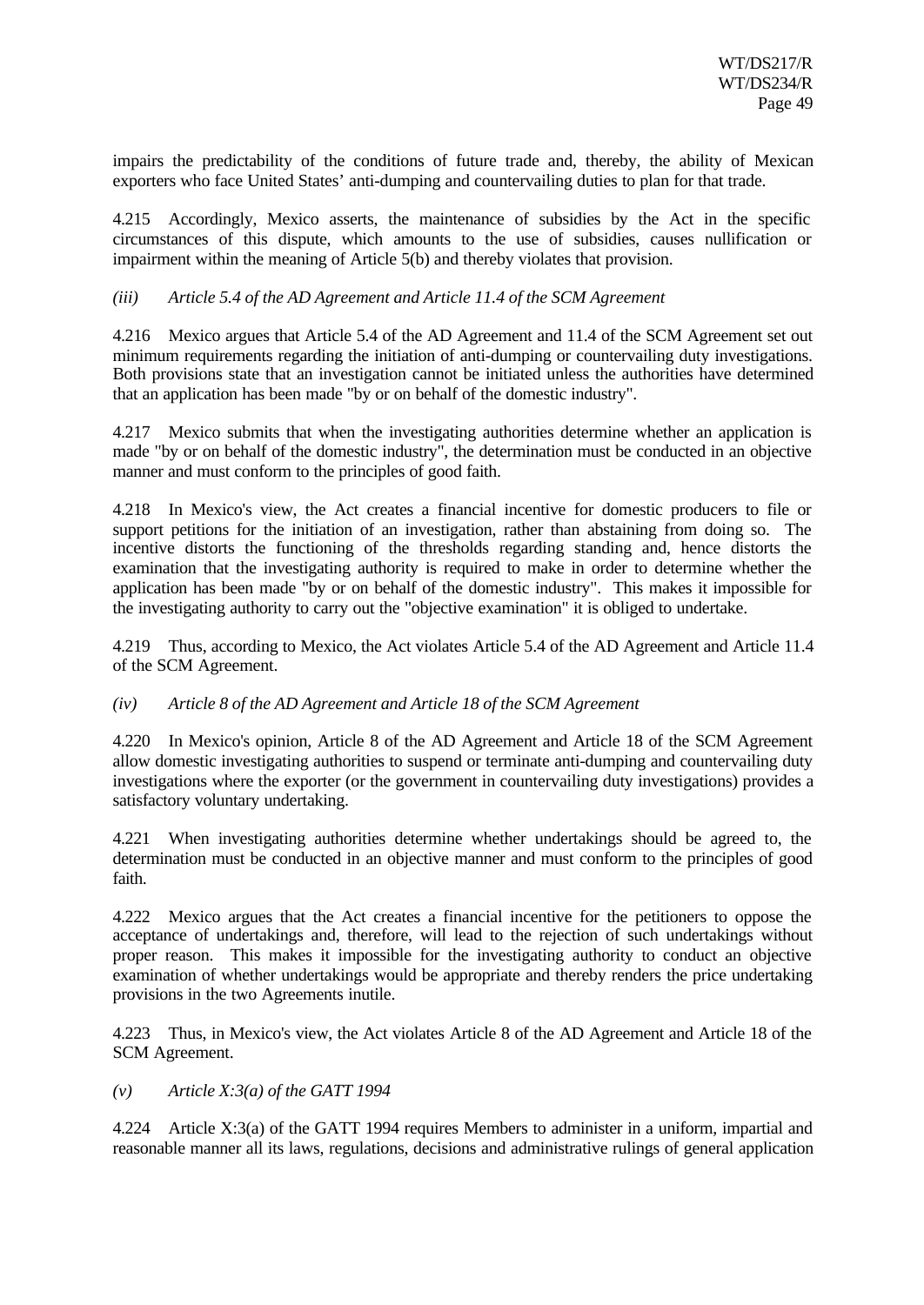impairs the predictability of the conditions of future trade and, thereby, the ability of Mexican exporters who face United States' anti-dumping and countervailing duties to plan for that trade.

4.215 Accordingly, Mexico asserts, the maintenance of subsidies by the Act in the specific circumstances of this dispute, which amounts to the use of subsidies, causes nullification or impairment within the meaning of Article 5(b) and thereby violates that provision.

## *(iii) Article 5.4 of the AD Agreement and Article 11.4 of the SCM Agreement*

4.216 Mexico argues that Article 5.4 of the AD Agreement and 11.4 of the SCM Agreement set out minimum requirements regarding the initiation of anti-dumping or countervailing duty investigations. Both provisions state that an investigation cannot be initiated unless the authorities have determined that an application has been made "by or on behalf of the domestic industry".

4.217 Mexico submits that when the investigating authorities determine whether an application is made "by or on behalf of the domestic industry", the determination must be conducted in an objective manner and must conform to the principles of good faith.

4.218 In Mexico's view, the Act creates a financial incentive for domestic producers to file or support petitions for the initiation of an investigation, rather than abstaining from doing so. The incentive distorts the functioning of the thresholds regarding standing and, hence distorts the examination that the investigating authority is required to make in order to determine whether the application has been made "by or on behalf of the domestic industry". This makes it impossible for the investigating authority to carry out the "objective examination" it is obliged to undertake.

4.219 Thus, according to Mexico, the Act violates Article 5.4 of the AD Agreement and Article 11.4 of the SCM Agreement.

### *(iv) Article 8 of the AD Agreement and Article 18 of the SCM Agreement*

4.220 In Mexico's opinion, Article 8 of the AD Agreement and Article 18 of the SCM Agreement allow domestic investigating authorities to suspend or terminate anti-dumping and countervailing duty investigations where the exporter (or the government in countervailing duty investigations) provides a satisfactory voluntary undertaking.

4.221 When investigating authorities determine whether undertakings should be agreed to, the determination must be conducted in an objective manner and must conform to the principles of good faith.

4.222 Mexico argues that the Act creates a financial incentive for the petitioners to oppose the acceptance of undertakings and, therefore, will lead to the rejection of such undertakings without proper reason. This makes it impossible for the investigating authority to conduct an objective examination of whether undertakings would be appropriate and thereby renders the price undertaking provisions in the two Agreements inutile.

4.223 Thus, in Mexico's view, the Act violates Article 8 of the AD Agreement and Article 18 of the SCM Agreement.

### *(v) Article X:3(a) of the GATT 1994*

4.224 Article X:3(a) of the GATT 1994 requires Members to administer in a uniform, impartial and reasonable manner all its laws, regulations, decisions and administrative rulings of general application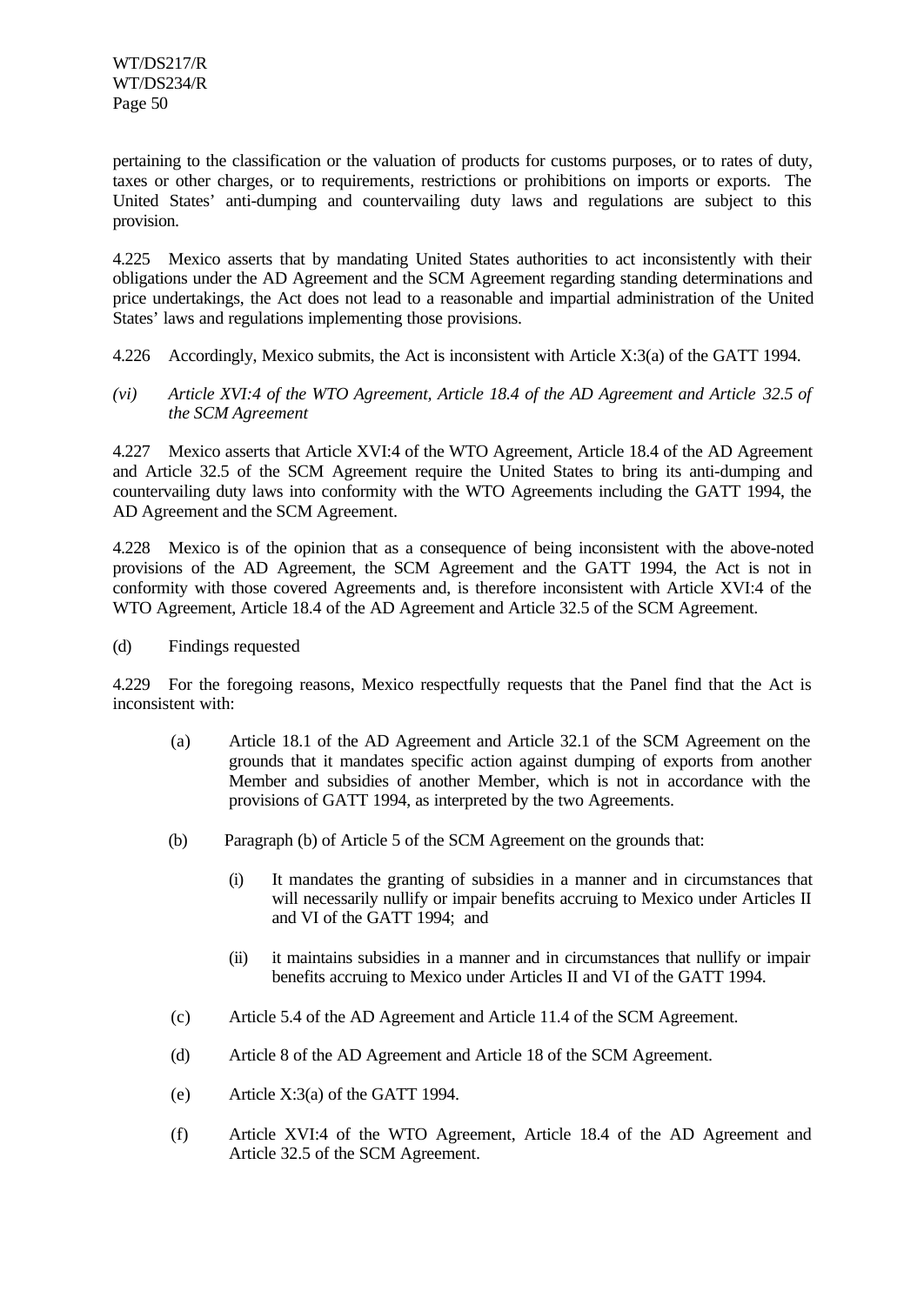pertaining to the classification or the valuation of products for customs purposes, or to rates of duty, taxes or other charges, or to requirements, restrictions or prohibitions on imports or exports. The United States' anti-dumping and countervailing duty laws and regulations are subject to this provision.

4.225 Mexico asserts that by mandating United States authorities to act inconsistently with their obligations under the AD Agreement and the SCM Agreement regarding standing determinations and price undertakings, the Act does not lead to a reasonable and impartial administration of the United States' laws and regulations implementing those provisions.

4.226 Accordingly, Mexico submits, the Act is inconsistent with Article X:3(a) of the GATT 1994.

*(vi) Article XVI:4 of the WTO Agreement, Article 18.4 of the AD Agreement and Article 32.5 of the SCM Agreement*

4.227 Mexico asserts that Article XVI:4 of the WTO Agreement, Article 18.4 of the AD Agreement and Article 32.5 of the SCM Agreement require the United States to bring its anti-dumping and countervailing duty laws into conformity with the WTO Agreements including the GATT 1994, the AD Agreement and the SCM Agreement.

4.228 Mexico is of the opinion that as a consequence of being inconsistent with the above-noted provisions of the AD Agreement, the SCM Agreement and the GATT 1994, the Act is not in conformity with those covered Agreements and, is therefore inconsistent with Article XVI:4 of the WTO Agreement, Article 18.4 of the AD Agreement and Article 32.5 of the SCM Agreement.

(d) Findings requested

4.229 For the foregoing reasons, Mexico respectfully requests that the Panel find that the Act is inconsistent with:

- (a) Article 18.1 of the AD Agreement and Article 32.1 of the SCM Agreement on the grounds that it mandates specific action against dumping of exports from another Member and subsidies of another Member, which is not in accordance with the provisions of GATT 1994, as interpreted by the two Agreements.
- (b) Paragraph (b) of Article 5 of the SCM Agreement on the grounds that:
	- (i) It mandates the granting of subsidies in a manner and in circumstances that will necessarily nullify or impair benefits accruing to Mexico under Articles II and VI of the GATT 1994; and
	- (ii) it maintains subsidies in a manner and in circumstances that nullify or impair benefits accruing to Mexico under Articles II and VI of the GATT 1994.
- (c) Article 5.4 of the AD Agreement and Article 11.4 of the SCM Agreement.
- (d) Article 8 of the AD Agreement and Article 18 of the SCM Agreement.
- (e) Article X:3(a) of the GATT 1994.
- (f) Article XVI:4 of the WTO Agreement, Article 18.4 of the AD Agreement and Article 32.5 of the SCM Agreement.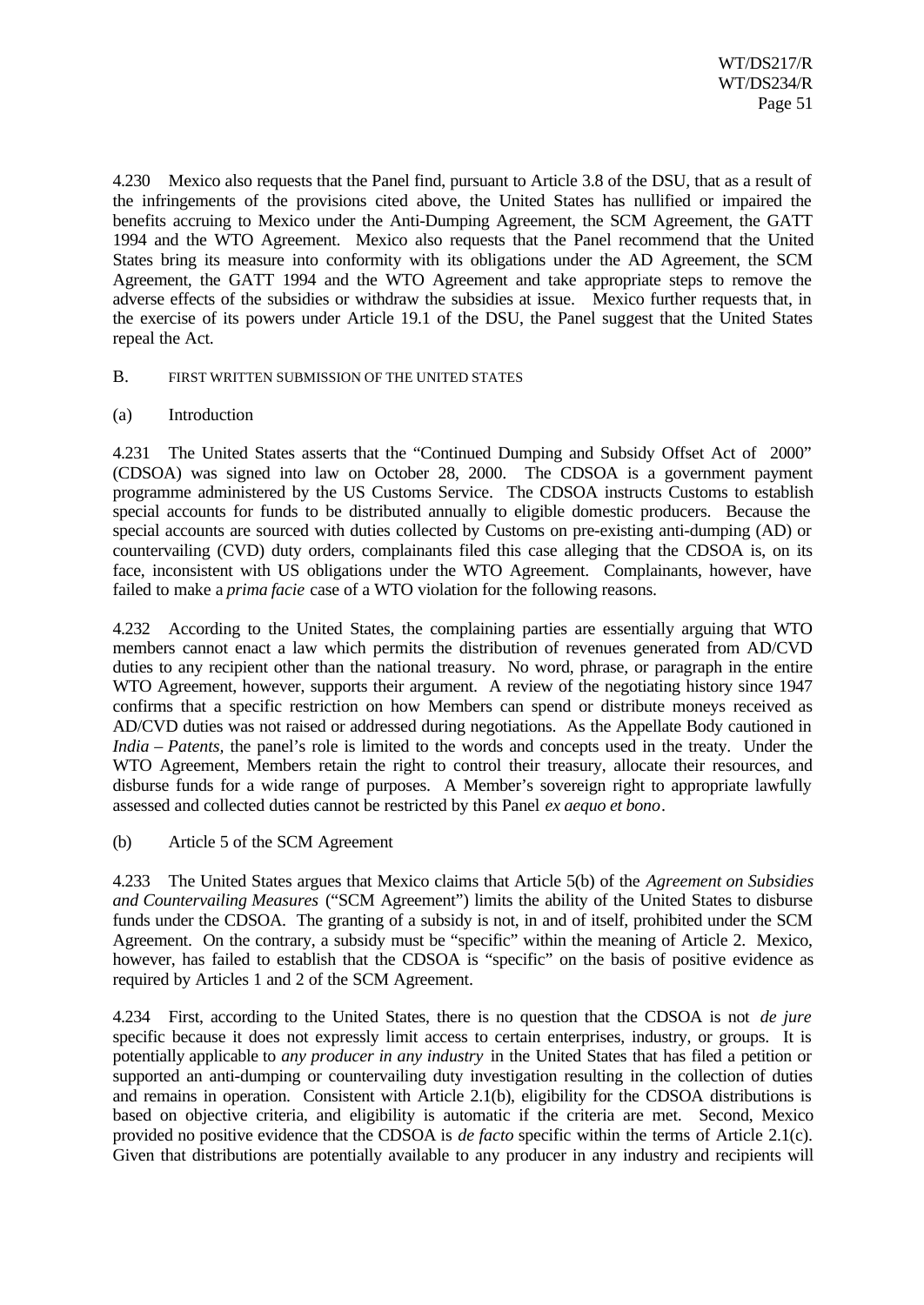4.230 Mexico also requests that the Panel find, pursuant to Article 3.8 of the DSU, that as a result of the infringements of the provisions cited above, the United States has nullified or impaired the benefits accruing to Mexico under the Anti-Dumping Agreement, the SCM Agreement, the GATT 1994 and the WTO Agreement. Mexico also requests that the Panel recommend that the United States bring its measure into conformity with its obligations under the AD Agreement, the SCM Agreement, the GATT 1994 and the WTO Agreement and take appropriate steps to remove the adverse effects of the subsidies or withdraw the subsidies at issue. Mexico further requests that, in the exercise of its powers under Article 19.1 of the DSU, the Panel suggest that the United States repeal the Act.

### B. FIRST WRITTEN SUBMISSION OF THE UNITED STATES

### (a) Introduction

4.231 The United States asserts that the "Continued Dumping and Subsidy Offset Act of 2000" (CDSOA) was signed into law on October 28, 2000. The CDSOA is a government payment programme administered by the US Customs Service. The CDSOA instructs Customs to establish special accounts for funds to be distributed annually to eligible domestic producers. Because the special accounts are sourced with duties collected by Customs on pre-existing anti-dumping (AD) or countervailing (CVD) duty orders, complainants filed this case alleging that the CDSOA is, on its face, inconsistent with US obligations under the WTO Agreement. Complainants, however, have failed to make a *prima facie* case of a WTO violation for the following reasons.

4.232 According to the United States, the complaining parties are essentially arguing that WTO members cannot enact a law which permits the distribution of revenues generated from AD/CVD duties to any recipient other than the national treasury. No word, phrase, or paragraph in the entire WTO Agreement, however, supports their argument. A review of the negotiating history since 1947 confirms that a specific restriction on how Members can spend or distribute moneys received as AD/CVD duties was not raised or addressed during negotiations. As the Appellate Body cautioned in *India – Patents,* the panel's role is limited to the words and concepts used in the treaty. Under the WTO Agreement, Members retain the right to control their treasury, allocate their resources, and disburse funds for a wide range of purposes. A Member's sovereign right to appropriate lawfully assessed and collected duties cannot be restricted by this Panel *ex aequo et bono*.

### (b) Article 5 of the SCM Agreement

4.233 The United States argues that Mexico claims that Article 5(b) of the *Agreement on Subsidies and Countervailing Measures* ("SCM Agreement") limits the ability of the United States to disburse funds under the CDSOA. The granting of a subsidy is not, in and of itself, prohibited under the SCM Agreement. On the contrary, a subsidy must be "specific" within the meaning of Article 2. Mexico, however, has failed to establish that the CDSOA is "specific" on the basis of positive evidence as required by Articles 1 and 2 of the SCM Agreement.

4.234 First, according to the United States, there is no question that the CDSOA is not *de jure* specific because it does not expressly limit access to certain enterprises, industry, or groups. It is potentially applicable to *any producer in any industry* in the United States that has filed a petition or supported an anti-dumping or countervailing duty investigation resulting in the collection of duties and remains in operation. Consistent with Article 2.1(b), eligibility for the CDSOA distributions is based on objective criteria, and eligibility is automatic if the criteria are met. Second, Mexico provided no positive evidence that the CDSOA is *de facto* specific within the terms of Article 2.1(c). Given that distributions are potentially available to any producer in any industry and recipients will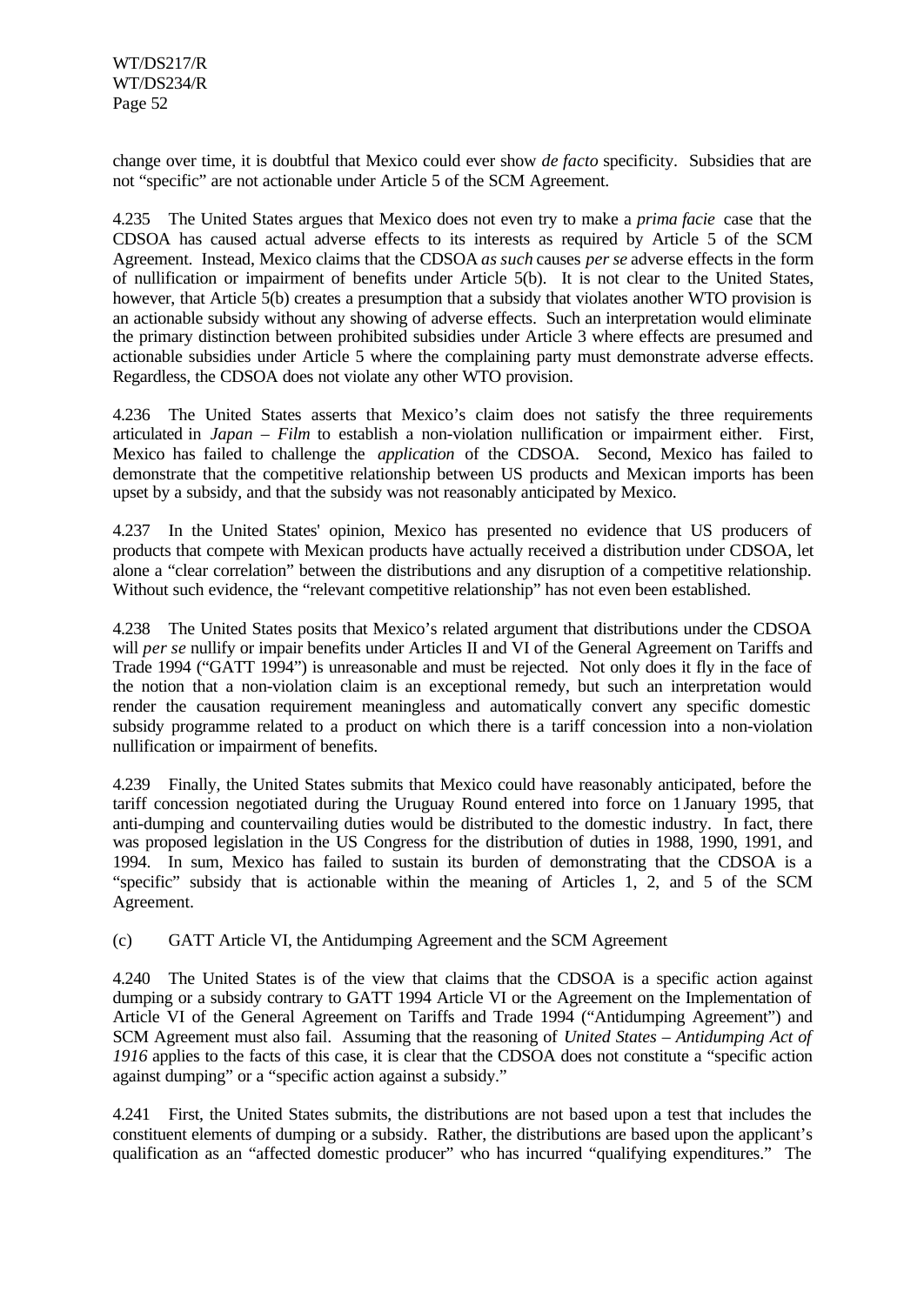change over time, it is doubtful that Mexico could ever show *de facto* specificity. Subsidies that are not "specific" are not actionable under Article 5 of the SCM Agreement.

4.235 The United States argues that Mexico does not even try to make a *prima facie* case that the CDSOA has caused actual adverse effects to its interests as required by Article 5 of the SCM Agreement. Instead, Mexico claims that the CDSOA *as such* causes *per se* adverse effects in the form of nullification or impairment of benefits under Article 5(b). It is not clear to the United States, however, that Article 5(b) creates a presumption that a subsidy that violates another WTO provision is an actionable subsidy without any showing of adverse effects. Such an interpretation would eliminate the primary distinction between prohibited subsidies under Article 3 where effects are presumed and actionable subsidies under Article 5 where the complaining party must demonstrate adverse effects. Regardless, the CDSOA does not violate any other WTO provision.

4.236 The United States asserts that Mexico's claim does not satisfy the three requirements articulated in *Japan – Film* to establish a non-violation nullification or impairment either. First, Mexico has failed to challenge the *application* of the CDSOA. Second, Mexico has failed to demonstrate that the competitive relationship between US products and Mexican imports has been upset by a subsidy, and that the subsidy was not reasonably anticipated by Mexico.

4.237 In the United States' opinion, Mexico has presented no evidence that US producers of products that compete with Mexican products have actually received a distribution under CDSOA, let alone a "clear correlation" between the distributions and any disruption of a competitive relationship. Without such evidence, the "relevant competitive relationship" has not even been established.

4.238 The United States posits that Mexico's related argument that distributions under the CDSOA will *per se* nullify or impair benefits under Articles II and VI of the General Agreement on Tariffs and Trade 1994 ("GATT 1994") is unreasonable and must be rejected. Not only does it fly in the face of the notion that a non-violation claim is an exceptional remedy, but such an interpretation would render the causation requirement meaningless and automatically convert any specific domestic subsidy programme related to a product on which there is a tariff concession into a non-violation nullification or impairment of benefits.

4.239 Finally, the United States submits that Mexico could have reasonably anticipated, before the tariff concession negotiated during the Uruguay Round entered into force on 1 January 1995, that anti-dumping and countervailing duties would be distributed to the domestic industry. In fact, there was proposed legislation in the US Congress for the distribution of duties in 1988, 1990, 1991, and 1994. In sum, Mexico has failed to sustain its burden of demonstrating that the CDSOA is a "specific" subsidy that is actionable within the meaning of Articles 1, 2, and 5 of the SCM Agreement.

(c) GATT Article VI, the Antidumping Agreement and the SCM Agreement

4.240 The United States is of the view that claims that the CDSOA is a specific action against dumping or a subsidy contrary to GATT 1994 Article VI or the Agreement on the Implementation of Article VI of the General Agreement on Tariffs and Trade 1994 ("Antidumping Agreement") and SCM Agreement must also fail. Assuming that the reasoning of *United States – Antidumping Act of* 1916 applies to the facts of this case, it is clear that the CDSOA does not constitute a "specific action" against dumping" or a "specific action against a subsidy."

4.241 First, the United States submits, the distributions are not based upon a test that includes the constituent elements of dumping or a subsidy. Rather, the distributions are based upon the applicant's qualification as an "affected domestic producer" who has incurred "qualifying expenditures." The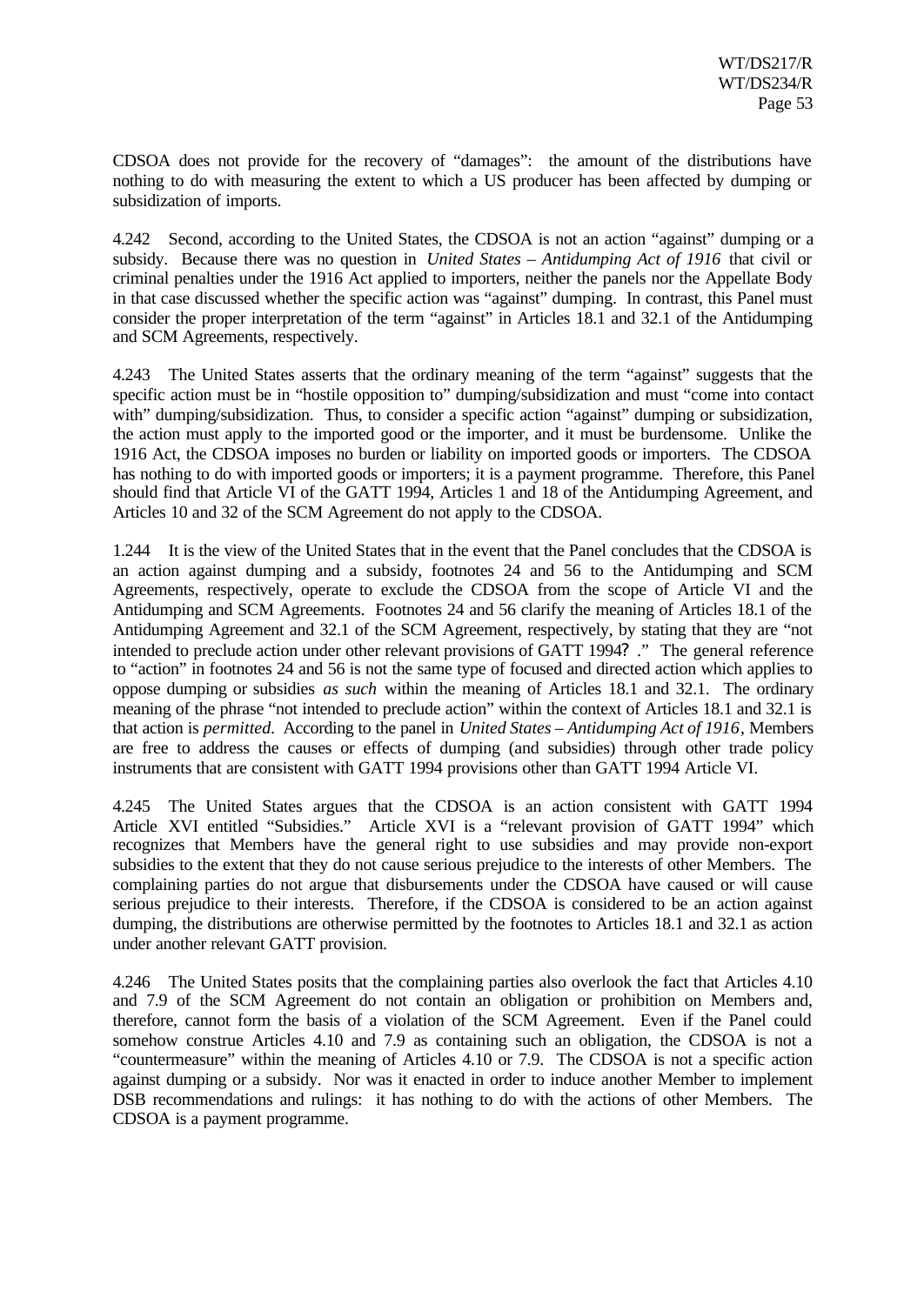CDSOA does not provide for the recovery of "damages": the amount of the distributions have nothing to do with measuring the extent to which a US producer has been affected by dumping or subsidization of imports.

4.242 Second, according to the United States, the CDSOA is not an action "against" dumping or a subsidy. Because there was no question in *United States – Antidumping Act of 1916* that civil or criminal penalties under the 1916 Act applied to importers, neither the panels nor the Appellate Body in that case discussed whether the specific action was "against" dumping. In contrast, this Panel must consider the proper interpretation of the term "against" in Articles 18.1 and 32.1 of the Antidumping and SCM Agreements, respectively.

4.243 The United States asserts that the ordinary meaning of the term "against" suggests that the specific action must be in "hostile opposition to" dumping/subsidization and must "come into contact with" dumping/subsidization. Thus, to consider a specific action "against" dumping or subsidization, the action must apply to the imported good or the importer, and it must be burdensome. Unlike the 1916 Act, the CDSOA imposes no burden or liability on imported goods or importers. The CDSOA has nothing to do with imported goods or importers; it is a payment programme. Therefore, this Panel should find that Article VI of the GATT 1994, Articles 1 and 18 of the Antidumping Agreement, and Articles 10 and 32 of the SCM Agreement do not apply to the CDSOA.

1.244 It is the view of the United States that in the event that the Panel concludes that the CDSOA is an action against dumping and a subsidy, footnotes 24 and 56 to the Antidumping and SCM Agreements, respectively, operate to exclude the CDSOA from the scope of Article VI and the Antidumping and SCM Agreements. Footnotes 24 and 56 clarify the meaning of Articles 18.1 of the Antidumping Agreement and 32.1 of the SCM Agreement, respectively, by stating that they are "not intended to preclude action under other relevant provisions of GATT 1994? ." The general reference to "action" in footnotes 24 and 56 is not the same type of focused and directed action which applies to oppose dumping or subsidies *as such* within the meaning of Articles 18.1 and 32.1. The ordinary meaning of the phrase "not intended to preclude action" within the context of Articles 18.1 and 32.1 is that action is *permitted.* According to the panel in *United States – Antidumping Act of 1916*, Members are free to address the causes or effects of dumping (and subsidies) through other trade policy instruments that are consistent with GATT 1994 provisions other than GATT 1994 Article VI.

4.245 The United States argues that the CDSOA is an action consistent with GATT 1994 Article XVI entitled "Subsidies." Article XVI is a "relevant provision of GATT 1994" which recognizes that Members have the general right to use subsidies and may provide non-export subsidies to the extent that they do not cause serious prejudice to the interests of other Members. The complaining parties do not argue that disbursements under the CDSOA have caused or will cause serious prejudice to their interests. Therefore, if the CDSOA is considered to be an action against dumping, the distributions are otherwise permitted by the footnotes to Articles 18.1 and 32.1 as action under another relevant GATT provision.

4.246 The United States posits that the complaining parties also overlook the fact that Articles 4.10 and 7.9 of the SCM Agreement do not contain an obligation or prohibition on Members and, therefore, cannot form the basis of a violation of the SCM Agreement. Even if the Panel could somehow construe Articles 4.10 and 7.9 as containing such an obligation, the CDSOA is not a "countermeasure" within the meaning of Articles 4.10 or 7.9. The CDSOA is not a specific action against dumping or a subsidy. Nor was it enacted in order to induce another Member to implement DSB recommendations and rulings: it has nothing to do with the actions of other Members. The CDSOA is a payment programme.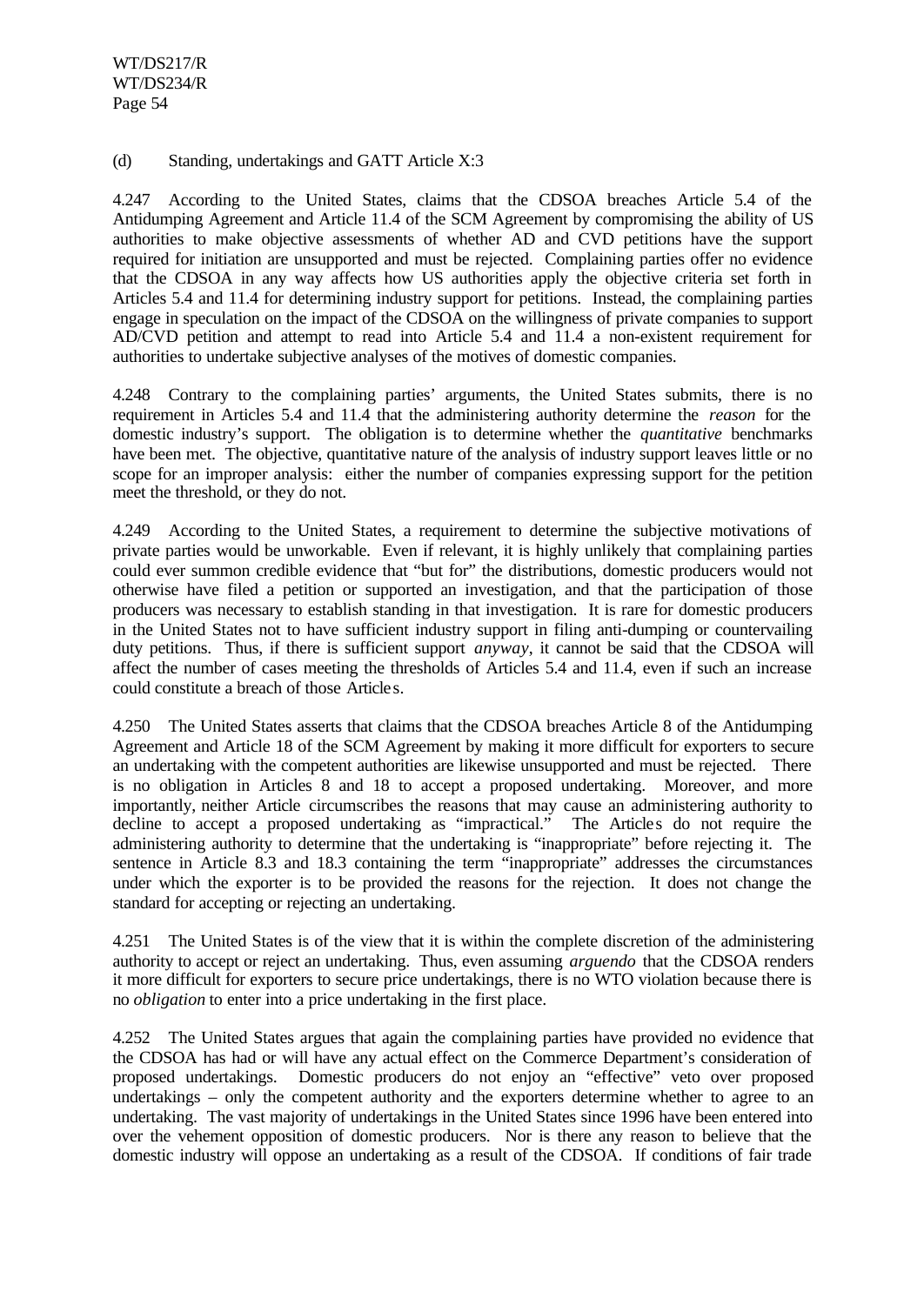(d) Standing, undertakings and GATT Article X:3

4.247 According to the United States, claims that the CDSOA breaches Article 5.4 of the Antidumping Agreement and Article 11.4 of the SCM Agreement by compromising the ability of US authorities to make objective assessments of whether AD and CVD petitions have the support required for initiation are unsupported and must be rejected. Complaining parties offer no evidence that the CDSOA in any way affects how US authorities apply the objective criteria set forth in Articles 5.4 and 11.4 for determining industry support for petitions. Instead, the complaining parties engage in speculation on the impact of the CDSOA on the willingness of private companies to support AD/CVD petition and attempt to read into Article 5.4 and 11.4 a non-existent requirement for authorities to undertake subjective analyses of the motives of domestic companies.

4.248 Contrary to the complaining parties' arguments, the United States submits, there is no requirement in Articles 5.4 and 11.4 that the administering authority determine the *reason* for the domestic industry's support. The obligation is to determine whether the *quantitative* benchmarks have been met. The objective, quantitative nature of the analysis of industry support leaves little or no scope for an improper analysis: either the number of companies expressing support for the petition meet the threshold, or they do not.

4.249 According to the United States, a requirement to determine the subjective motivations of private parties would be unworkable. Even if relevant, it is highly unlikely that complaining parties could ever summon credible evidence that "but for" the distributions, domestic producers would not otherwise have filed a petition or supported an investigation, and that the participation of those producers was necessary to establish standing in that investigation. It is rare for domestic producers in the United States not to have sufficient industry support in filing anti-dumping or countervailing duty petitions. Thus, if there is sufficient support *anyway*, it cannot be said that the CDSOA will affect the number of cases meeting the thresholds of Articles 5.4 and 11.4, even if such an increase could constitute a breach of those Articles.

The United States asserts that claims that the CDSOA breaches Article 8 of the Antidumping Agreement and Article 18 of the SCM Agreement by making it more difficult for exporters to secure an undertaking with the competent authorities are likewise unsupported and must be rejected. There is no obligation in Articles 8 and 18 to accept a proposed undertaking. Moreover, and more importantly, neither Article circumscribes the reasons that may cause an administering authority to decline to accept a proposed undertaking as "impractical." The Articles do not require the administering authority to determine that the undertaking is "inappropriate" before rejecting it. The sentence in Article 8.3 and 18.3 containing the term "inappropriate" addresses the circumstances under which the exporter is to be provided the reasons for the rejection. It does not change the standard for accepting or rejecting an undertaking.

4.251 The United States is of the view that it is within the complete discretion of the administering authority to accept or reject an undertaking. Thus, even assuming *arguendo* that the CDSOA renders it more difficult for exporters to secure price undertakings, there is no WTO violation because there is no *obligation* to enter into a price undertaking in the first place.

4.252 The United States argues that again the complaining parties have provided no evidence that the CDSOA has had or will have any actual effect on the Commerce Department's consideration of proposed undertakings. Domestic producers do not enjoy an "effective" veto over proposed undertakings – only the competent authority and the exporters determine whether to agree to an undertaking. The vast majority of undertakings in the United States since 1996 have been entered into over the vehement opposition of domestic producers. Nor is there any reason to believe that the domestic industry will oppose an undertaking as a result of the CDSOA. If conditions of fair trade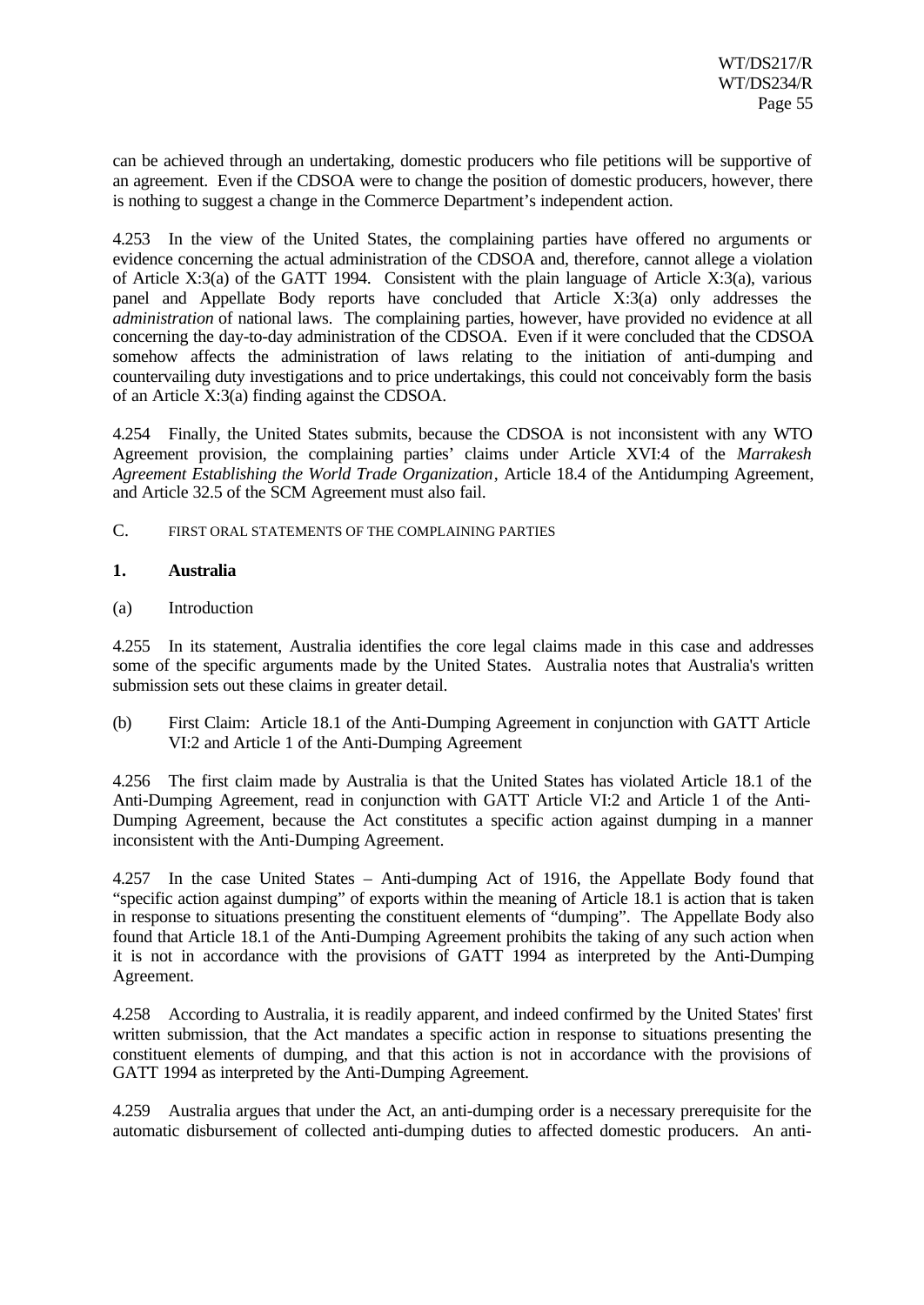can be achieved through an undertaking, domestic producers who file petitions will be supportive of an agreement. Even if the CDSOA were to change the position of domestic producers, however, there is nothing to suggest a change in the Commerce Department's independent action.

4.253 In the view of the United States, the complaining parties have offered no arguments or evidence concerning the actual administration of the CDSOA and, therefore, cannot allege a violation of Article X:3(a) of the GATT 1994. Consistent with the plain language of Article X:3(a), various panel and Appellate Body reports have concluded that Article X:3(a) only addresses the *administration* of national laws. The complaining parties, however, have provided no evidence at all concerning the day-to-day administration of the CDSOA. Even if it were concluded that the CDSOA somehow affects the administration of laws relating to the initiation of anti-dumping and countervailing duty investigations and to price undertakings, this could not conceivably form the basis of an Article X:3(a) finding against the CDSOA.

4.254 Finally, the United States submits, because the CDSOA is not inconsistent with any WTO Agreement provision, the complaining parties' claims under Article XVI:4 of the *Marrakesh Agreement Establishing the World Trade Organization*, Article 18.4 of the Antidumping Agreement, and Article 32.5 of the SCM Agreement must also fail.

C. FIRST ORAL STATEMENTS OF THE COMPLAINING PARTIES

### **1. Australia**

(a) Introduction

4.255 In its statement, Australia identifies the core legal claims made in this case and addresses some of the specific arguments made by the United States. Australia notes that Australia's written submission sets out these claims in greater detail.

(b) First Claim: Article 18.1 of the Anti-Dumping Agreement in conjunction with GATT Article VI:2 and Article 1 of the Anti-Dumping Agreement

4.256 The first claim made by Australia is that the United States has violated Article 18.1 of the Anti-Dumping Agreement, read in conjunction with GATT Article VI:2 and Article 1 of the Anti-Dumping Agreement, because the Act constitutes a specific action against dumping in a manner inconsistent with the Anti-Dumping Agreement.

4.257 In the case United States – Anti-dumping Act of 1916, the Appellate Body found that "specific action against dumping" of exports within the meaning of Article 18.1 is action that is taken in response to situations presenting the constituent elements of "dumping". The Appellate Body also found that Article 18.1 of the Anti-Dumping Agreement prohibits the taking of any such action when it is not in accordance with the provisions of GATT 1994 as interpreted by the Anti-Dumping Agreement.

4.258 According to Australia, it is readily apparent, and indeed confirmed by the United States' first written submission, that the Act mandates a specific action in response to situations presenting the constituent elements of dumping, and that this action is not in accordance with the provisions of GATT 1994 as interpreted by the Anti-Dumping Agreement.

4.259 Australia argues that under the Act, an anti-dumping order is a necessary prerequisite for the automatic disbursement of collected anti-dumping duties to affected domestic producers. An anti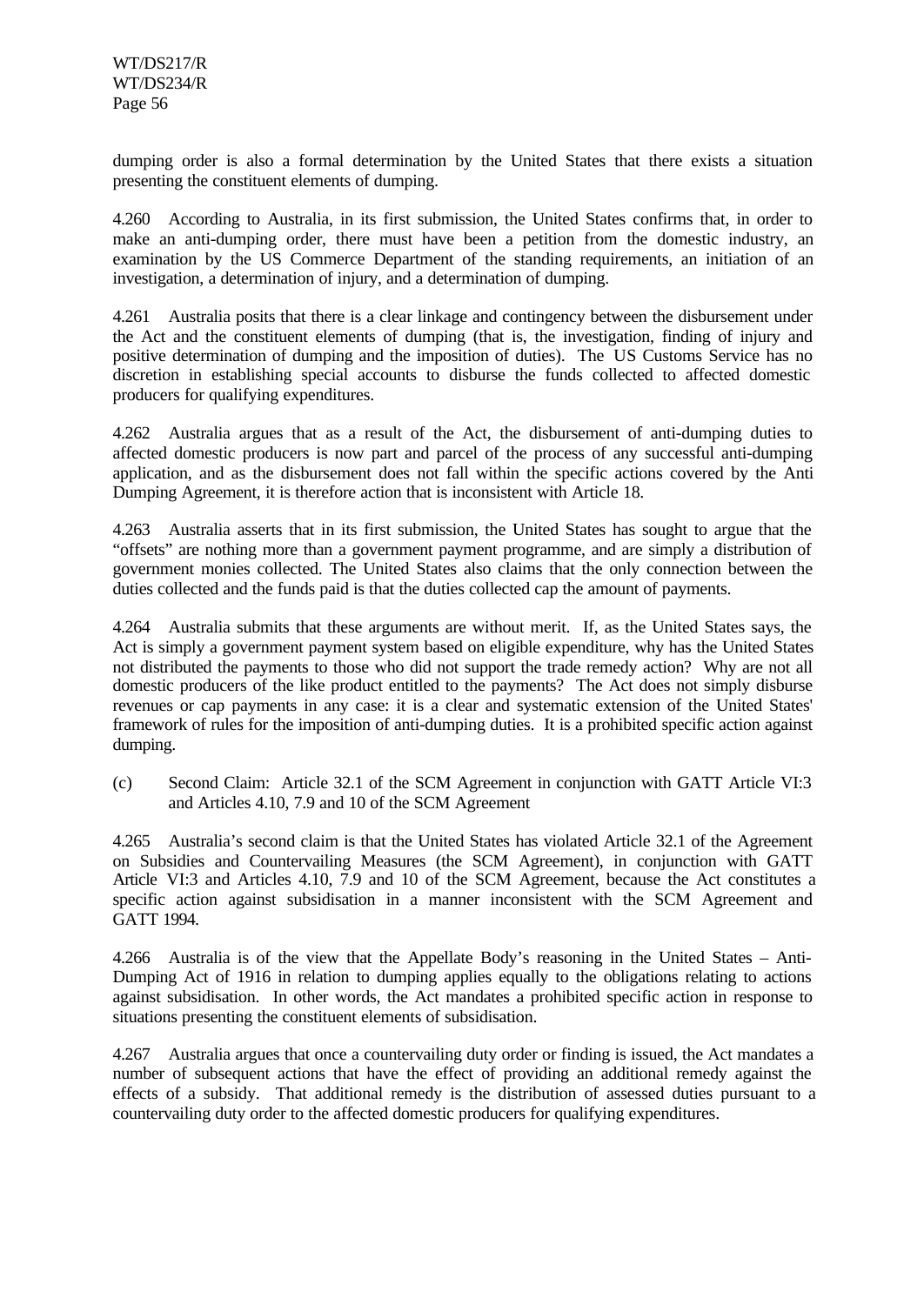dumping order is also a formal determination by the United States that there exists a situation presenting the constituent elements of dumping.

4.260 According to Australia, in its first submission, the United States confirms that, in order to make an anti-dumping order, there must have been a petition from the domestic industry, an examination by the US Commerce Department of the standing requirements, an initiation of an investigation, a determination of injury, and a determination of dumping.

4.261 Australia posits that there is a clear linkage and contingency between the disbursement under the Act and the constituent elements of dumping (that is, the investigation, finding of injury and positive determination of dumping and the imposition of duties). The US Customs Service has no discretion in establishing special accounts to disburse the funds collected to affected domestic producers for qualifying expenditures.

4.262 Australia argues that as a result of the Act, the disbursement of anti-dumping duties to affected domestic producers is now part and parcel of the process of any successful anti-dumping application, and as the disbursement does not fall within the specific actions covered by the Anti Dumping Agreement, it is therefore action that is inconsistent with Article 18.

4.263 Australia asserts that in its first submission, the United States has sought to argue that the "offsets" are nothing more than a government payment programme, and are simply a distribution of government monies collected. The United States also claims that the only connection between the duties collected and the funds paid is that the duties collected cap the amount of payments.

4.264 Australia submits that these arguments are without merit. If, as the United States says, the Act is simply a government payment system based on eligible expenditure, why has the United States not distributed the payments to those who did not support the trade remedy action? Why are not all domestic producers of the like product entitled to the payments? The Act does not simply disburse revenues or cap payments in any case: it is a clear and systematic extension of the United States' framework of rules for the imposition of anti-dumping duties. It is a prohibited specific action against dumping.

(c) Second Claim: Article 32.1 of the SCM Agreement in conjunction with GATT Article VI:3 and Articles 4.10, 7.9 and 10 of the SCM Agreement

4.265 Australia's second claim is that the United States has violated Article 32.1 of the Agreement on Subsidies and Countervailing Measures (the SCM Agreement), in conjunction with GATT Article VI:3 and Articles 4.10, 7.9 and 10 of the SCM Agreement, because the Act constitutes a specific action against subsidisation in a manner inconsistent with the SCM Agreement and GATT 1994.

4.266 Australia is of the view that the Appellate Body's reasoning in the United States – Anti-Dumping Act of 1916 in relation to dumping applies equally to the obligations relating to actions against subsidisation. In other words, the Act mandates a prohibited specific action in response to situations presenting the constituent elements of subsidisation.

4.267 Australia argues that once a countervailing duty order or finding is issued, the Act mandates a number of subsequent actions that have the effect of providing an additional remedy against the effects of a subsidy. That additional remedy is the distribution of assessed duties pursuant to a countervailing duty order to the affected domestic producers for qualifying expenditures.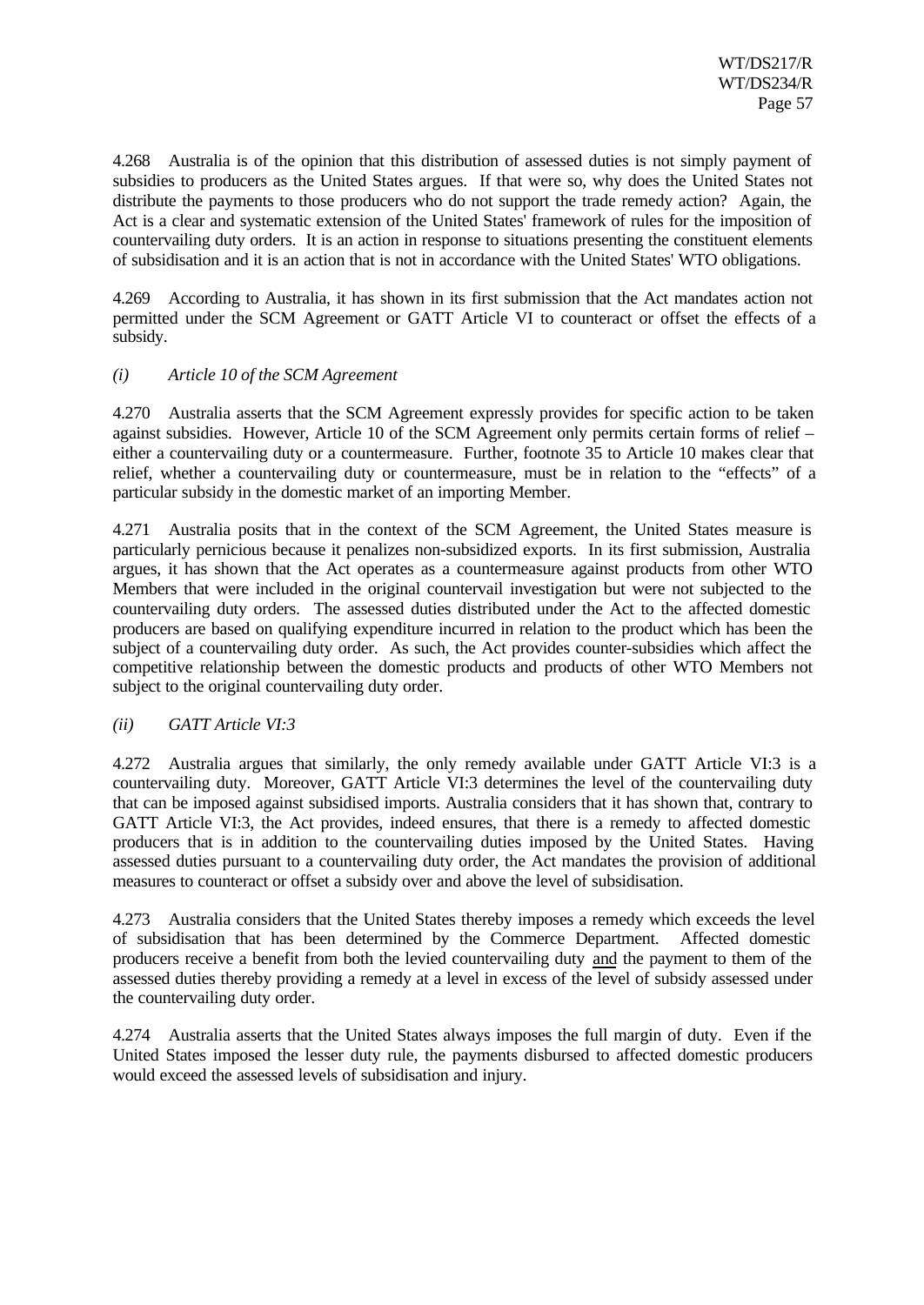4.268 Australia is of the opinion that this distribution of assessed duties is not simply payment of subsidies to producers as the United States argues. If that were so, why does the United States not distribute the payments to those producers who do not support the trade remedy action? Again, the Act is a clear and systematic extension of the United States' framework of rules for the imposition of countervailing duty orders. It is an action in response to situations presenting the constituent elements of subsidisation and it is an action that is not in accordance with the United States' WTO obligations.

4.269 According to Australia, it has shown in its first submission that the Act mandates action not permitted under the SCM Agreement or GATT Article VI to counteract or offset the effects of a subsidy.

## *(i) Article 10 of the SCM Agreement*

4.270 Australia asserts that the SCM Agreement expressly provides for specific action to be taken against subsidies. However, Article 10 of the SCM Agreement only permits certain forms of relief – either a countervailing duty or a countermeasure. Further, footnote 35 to Article 10 makes clear that relief, whether a countervailing duty or countermeasure, must be in relation to the "effects" of a particular subsidy in the domestic market of an importing Member.

4.271 Australia posits that in the context of the SCM Agreement, the United States measure is particularly pernicious because it penalizes non-subsidized exports. In its first submission, Australia argues, it has shown that the Act operates as a countermeasure against products from other WTO Members that were included in the original countervail investigation but were not subjected to the countervailing duty orders. The assessed duties distributed under the Act to the affected domestic producers are based on qualifying expenditure incurred in relation to the product which has been the subject of a countervailing duty order. As such, the Act provides counter-subsidies which affect the competitive relationship between the domestic products and products of other WTO Members not subject to the original countervailing duty order.

### *(ii) GATT Article VI:3*

4.272 Australia argues that similarly, the only remedy available under GATT Article VI:3 is a countervailing duty. Moreover, GATT Article VI:3 determines the level of the countervailing duty that can be imposed against subsidised imports. Australia considers that it has shown that, contrary to GATT Article VI:3, the Act provides, indeed ensures, that there is a remedy to affected domestic producers that is in addition to the countervailing duties imposed by the United States. Having assessed duties pursuant to a countervailing duty order, the Act mandates the provision of additional measures to counteract or offset a subsidy over and above the level of subsidisation.

4.273 Australia considers that the United States thereby imposes a remedy which exceeds the level of subsidisation that has been determined by the Commerce Department. Affected domestic producers receive a benefit from both the levied countervailing duty and the payment to them of the assessed duties thereby providing a remedy at a level in excess of the level of subsidy assessed under the countervailing duty order.

4.274 Australia asserts that the United States always imposes the full margin of duty. Even if the United States imposed the lesser duty rule, the payments disbursed to affected domestic producers would exceed the assessed levels of subsidisation and injury.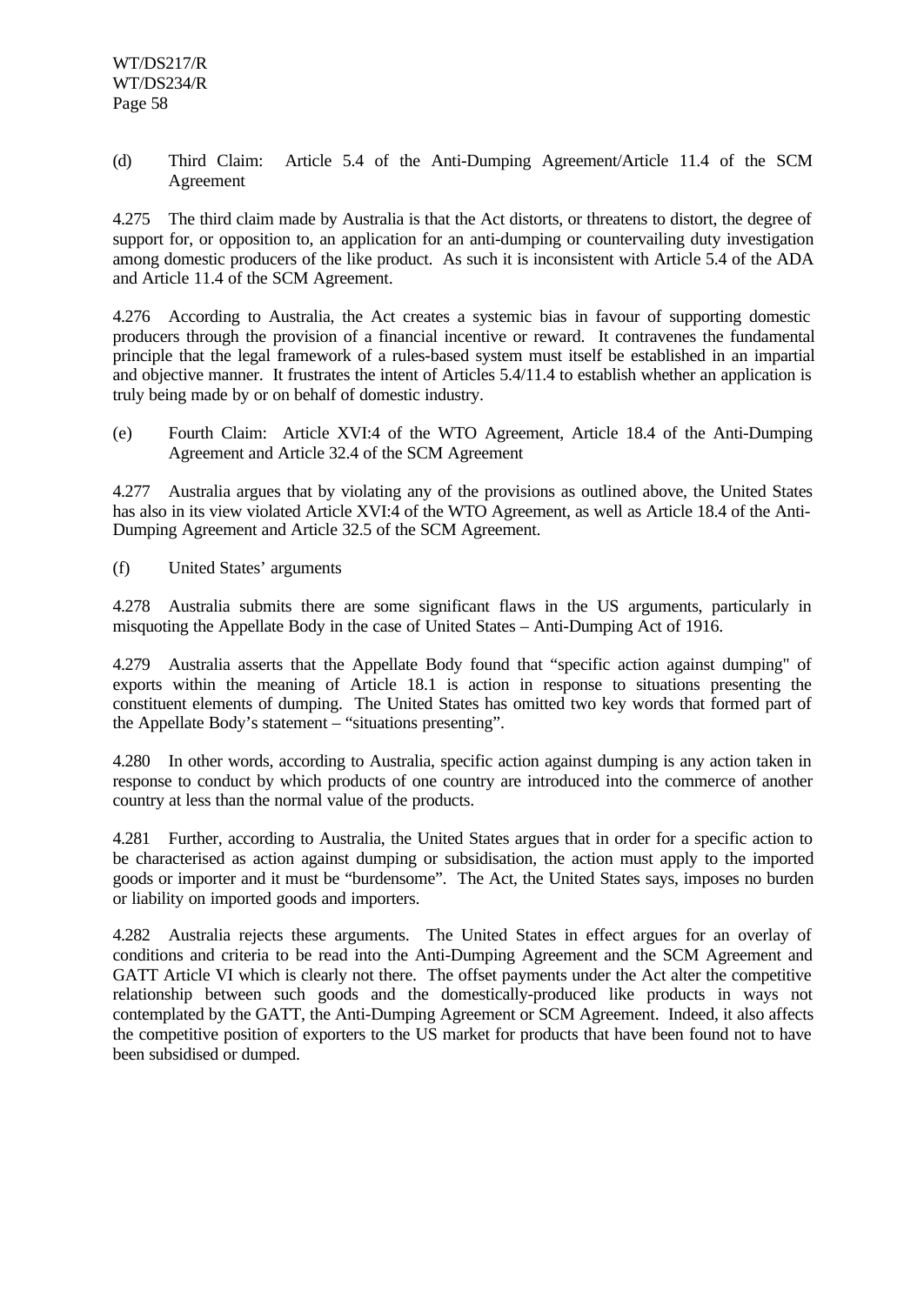(d) Third Claim: Article 5.4 of the Anti-Dumping Agreement/Article 11.4 of the SCM Agreement

4.275 The third claim made by Australia is that the Act distorts, or threatens to distort, the degree of support for, or opposition to, an application for an anti-dumping or countervailing duty investigation among domestic producers of the like product. As such it is inconsistent with Article 5.4 of the ADA and Article 11.4 of the SCM Agreement.

4.276 According to Australia, the Act creates a systemic bias in favour of supporting domestic producers through the provision of a financial incentive or reward. It contravenes the fundamental principle that the legal framework of a rules-based system must itself be established in an impartial and objective manner. It frustrates the intent of Articles 5.4/11.4 to establish whether an application is truly being made by or on behalf of domestic industry.

(e) Fourth Claim: Article XVI:4 of the WTO Agreement, Article 18.4 of the Anti-Dumping Agreement and Article 32.4 of the SCM Agreement

4.277 Australia argues that by violating any of the provisions as outlined above, the United States has also in its view violated Article XVI:4 of the WTO Agreement, as well as Article 18.4 of the Anti-Dumping Agreement and Article 32.5 of the SCM Agreement.

(f) United States' arguments

4.278 Australia submits there are some significant flaws in the US arguments, particularly in misquoting the Appellate Body in the case of United States – Anti-Dumping Act of 1916.

4.279 Australia asserts that the Appellate Body found that "specific action against dumping" of exports within the meaning of Article 18.1 is action in response to situations presenting the constituent elements of dumping. The United States has omitted two key words that formed part of the Appellate Body's statement – "situations presenting".

4.280 In other words, according to Australia, specific action against dumping is any action taken in response to conduct by which products of one country are introduced into the commerce of another country at less than the normal value of the products.

4.281 Further, according to Australia, the United States argues that in order for a specific action to be characterised as action against dumping or subsidisation, the action must apply to the imported goods or importer and it must be "burdensome". The Act, the United States says, imposes no burden or liability on imported goods and importers.

4.282 Australia rejects these arguments. The United States in effect argues for an overlay of conditions and criteria to be read into the Anti-Dumping Agreement and the SCM Agreement and GATT Article VI which is clearly not there. The offset payments under the Act alter the competitive relationship between such goods and the domestically-produced like products in ways not contemplated by the GATT, the Anti-Dumping Agreement or SCM Agreement. Indeed, it also affects the competitive position of exporters to the US market for products that have been found not to have been subsidised or dumped.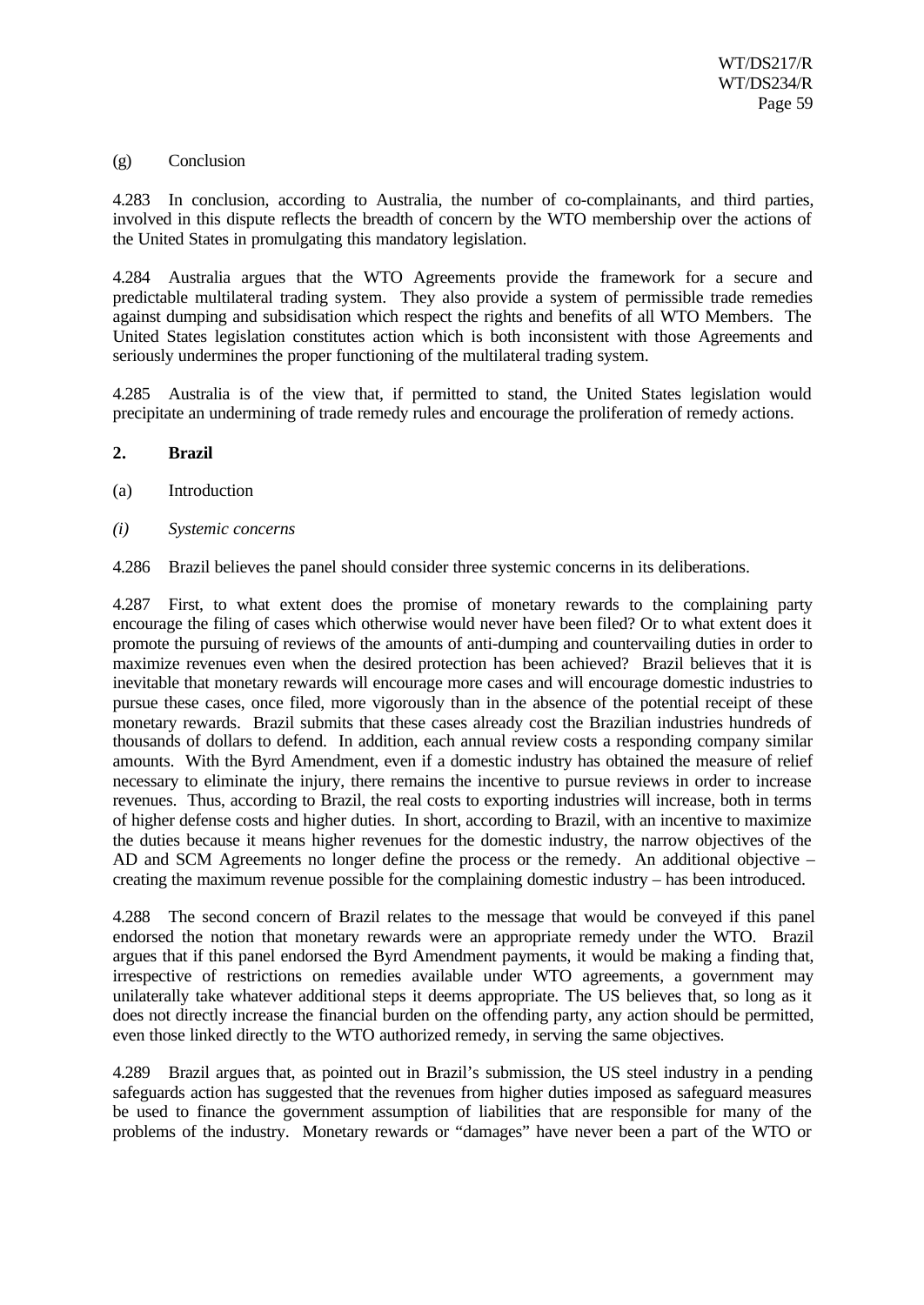### (g) Conclusion

4.283 In conclusion, according to Australia, the number of co-complainants, and third parties, involved in this dispute reflects the breadth of concern by the WTO membership over the actions of the United States in promulgating this mandatory legislation.

4.284 Australia argues that the WTO Agreements provide the framework for a secure and predictable multilateral trading system. They also provide a system of permissible trade remedies against dumping and subsidisation which respect the rights and benefits of all WTO Members. The United States legislation constitutes action which is both inconsistent with those Agreements and seriously undermines the proper functioning of the multilateral trading system.

4.285 Australia is of the view that, if permitted to stand, the United States legislation would precipitate an undermining of trade remedy rules and encourage the proliferation of remedy actions.

### **2. Brazil**

- (a) Introduction
- *(i) Systemic concerns*

4.286 Brazil believes the panel should consider three systemic concerns in its deliberations.

4.287 First, to what extent does the promise of monetary rewards to the complaining party encourage the filing of cases which otherwise would never have been filed? Or to what extent does it promote the pursuing of reviews of the amounts of anti-dumping and countervailing duties in order to maximize revenues even when the desired protection has been achieved? Brazil believes that it is inevitable that monetary rewards will encourage more cases and will encourage domestic industries to pursue these cases, once filed, more vigorously than in the absence of the potential receipt of these monetary rewards. Brazil submits that these cases already cost the Brazilian industries hundreds of thousands of dollars to defend. In addition, each annual review costs a responding company similar amounts. With the Byrd Amendment, even if a domestic industry has obtained the measure of relief necessary to eliminate the injury, there remains the incentive to pursue reviews in order to increase revenues. Thus, according to Brazil, the real costs to exporting industries will increase, both in terms of higher defense costs and higher duties. In short, according to Brazil, with an incentive to maximize the duties because it means higher revenues for the domestic industry, the narrow objectives of the AD and SCM Agreements no longer define the process or the remedy. An additional objective – creating the maximum revenue possible for the complaining domestic industry – has been introduced.

4.288 The second concern of Brazil relates to the message that would be conveyed if this panel endorsed the notion that monetary rewards were an appropriate remedy under the WTO. Brazil argues that if this panel endorsed the Byrd Amendment payments, it would be making a finding that, irrespective of restrictions on remedies available under WTO agreements, a government may unilaterally take whatever additional steps it deems appropriate. The US believes that, so long as it does not directly increase the financial burden on the offending party, any action should be permitted, even those linked directly to the WTO authorized remedy, in serving the same objectives.

4.289 Brazil argues that, as pointed out in Brazil's submission, the US steel industry in a pending safeguards action has suggested that the revenues from higher duties imposed as safeguard measures be used to finance the government assumption of liabilities that are responsible for many of the problems of the industry. Monetary rewards or "damages" have never been a part of the WTO or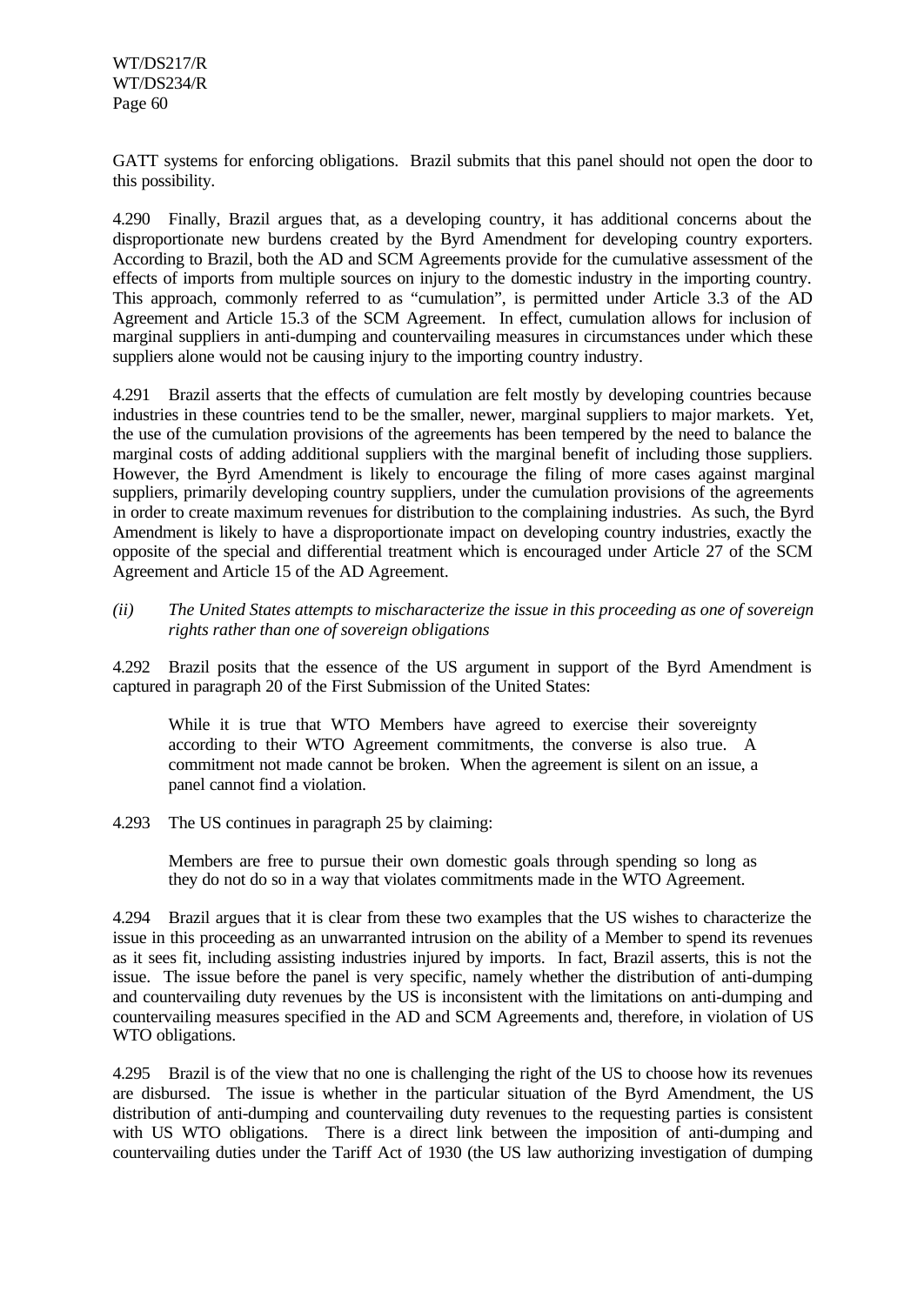GATT systems for enforcing obligations. Brazil submits that this panel should not open the door to this possibility.

4.290 Finally, Brazil argues that, as a developing country, it has additional concerns about the disproportionate new burdens created by the Byrd Amendment for developing country exporters. According to Brazil, both the AD and SCM Agreements provide for the cumulative assessment of the effects of imports from multiple sources on injury to the domestic industry in the importing country. This approach, commonly referred to as "cumulation", is permitted under Article 3.3 of the AD Agreement and Article 15.3 of the SCM Agreement. In effect, cumulation allows for inclusion of marginal suppliers in anti-dumping and countervailing measures in circumstances under which these suppliers alone would not be causing injury to the importing country industry.

4.291 Brazil asserts that the effects of cumulation are felt mostly by developing countries because industries in these countries tend to be the smaller, newer, marginal suppliers to major markets. Yet, the use of the cumulation provisions of the agreements has been tempered by the need to balance the marginal costs of adding additional suppliers with the marginal benefit of including those suppliers. However, the Byrd Amendment is likely to encourage the filing of more cases against marginal suppliers, primarily developing country suppliers, under the cumulation provisions of the agreements in order to create maximum revenues for distribution to the complaining industries. As such, the Byrd Amendment is likely to have a disproportionate impact on developing country industries, exactly the opposite of the special and differential treatment which is encouraged under Article 27 of the SCM Agreement and Article 15 of the AD Agreement.

*(ii) The United States attempts to mischaracterize the issue in this proceeding as one of sovereign rights rather than one of sovereign obligations*

4.292 Brazil posits that the essence of the US argument in support of the Byrd Amendment is captured in paragraph 20 of the First Submission of the United States:

While it is true that WTO Members have agreed to exercise their sovereignty according to their WTO Agreement commitments, the converse is also true. A commitment not made cannot be broken. When the agreement is silent on an issue, a panel cannot find a violation.

4.293 The US continues in paragraph 25 by claiming:

Members are free to pursue their own domestic goals through spending so long as they do not do so in a way that violates commitments made in the WTO Agreement.

4.294 Brazil argues that it is clear from these two examples that the US wishes to characterize the issue in this proceeding as an unwarranted intrusion on the ability of a Member to spend its revenues as it sees fit, including assisting industries injured by imports. In fact, Brazil asserts, this is not the issue. The issue before the panel is very specific, namely whether the distribution of anti-dumping and countervailing duty revenues by the US is inconsistent with the limitations on anti-dumping and countervailing measures specified in the AD and SCM Agreements and, therefore, in violation of US WTO obligations.

4.295 Brazil is of the view that no one is challenging the right of the US to choose how its revenues are disbursed. The issue is whether in the particular situation of the Byrd Amendment, the US distribution of anti-dumping and countervailing duty revenues to the requesting parties is consistent with US WTO obligations. There is a direct link between the imposition of anti-dumping and countervailing duties under the Tariff Act of 1930 (the US law authorizing investigation of dumping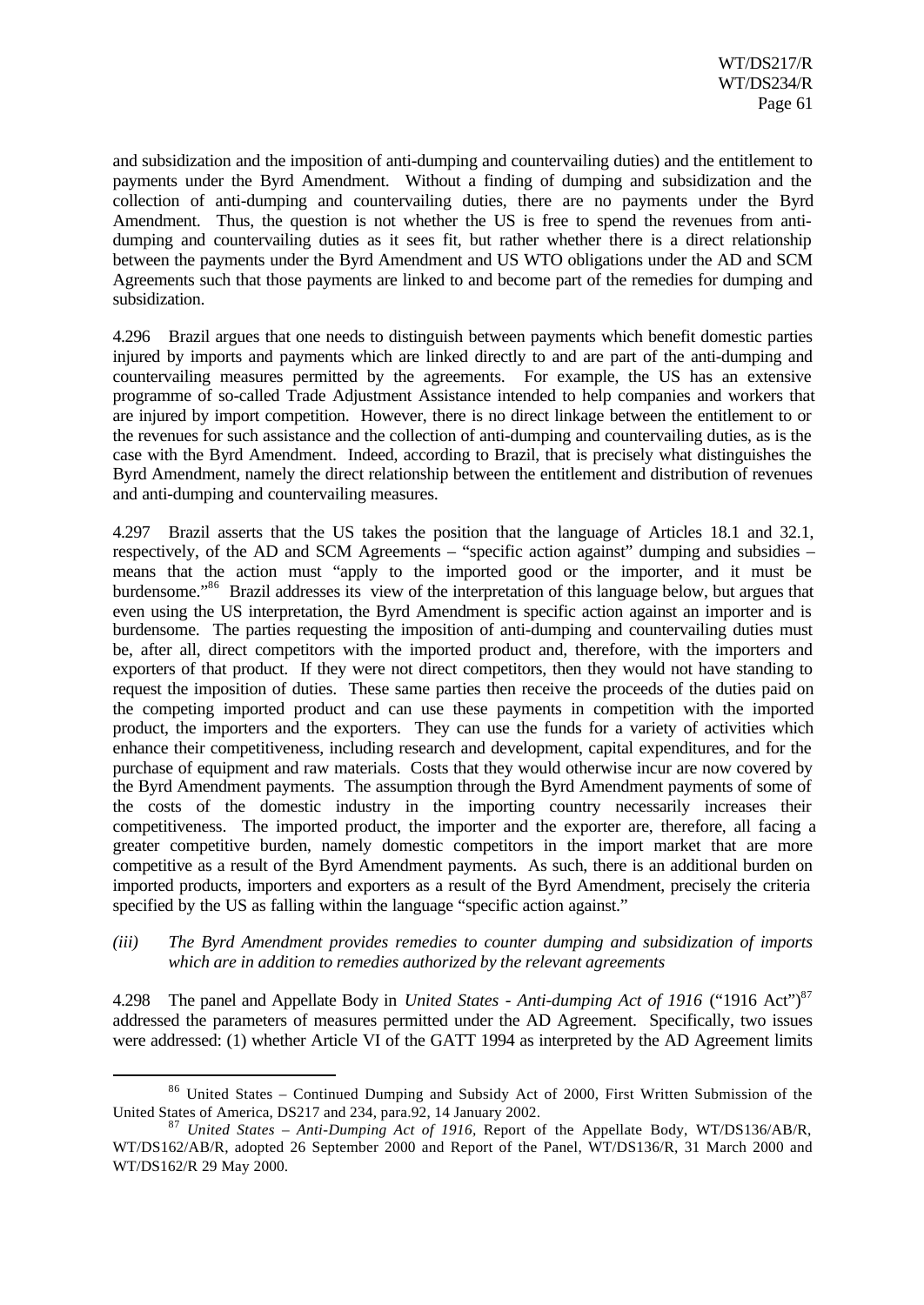and subsidization and the imposition of anti-dumping and countervailing duties) and the entitlement to payments under the Byrd Amendment. Without a finding of dumping and subsidization and the collection of anti-dumping and countervailing duties, there are no payments under the Byrd Amendment. Thus, the question is not whether the US is free to spend the revenues from antidumping and countervailing duties as it sees fit, but rather whether there is a direct relationship between the payments under the Byrd Amendment and US WTO obligations under the AD and SCM Agreements such that those payments are linked to and become part of the remedies for dumping and subsidization.

4.296 Brazil argues that one needs to distinguish between payments which benefit domestic parties injured by imports and payments which are linked directly to and are part of the anti-dumping and countervailing measures permitted by the agreements. For example, the US has an extensive programme of so-called Trade Adjustment Assistance intended to help companies and workers that are injured by import competition. However, there is no direct linkage between the entitlement to or the revenues for such assistance and the collection of anti-dumping and countervailing duties, as is the case with the Byrd Amendment. Indeed, according to Brazil, that is precisely what distinguishes the Byrd Amendment, namely the direct relationship between the entitlement and distribution of revenues and anti-dumping and countervailing measures.

4.297 Brazil asserts that the US takes the position that the language of Articles 18.1 and 32.1, respectively, of the AD and SCM Agreements – "specific action against" dumping and subsidies – means that the action must "apply to the imported good or the importer, and it must be burdensome."<sup>86</sup> Brazil addresses its view of the interpretation of this language below, but argues that even using the US interpretation, the Byrd Amendment is specific action against an importer and is burdensome. The parties requesting the imposition of anti-dumping and countervailing duties must be, after all, direct competitors with the imported product and, therefore, with the importers and exporters of that product. If they were not direct competitors, then they would not have standing to request the imposition of duties. These same parties then receive the proceeds of the duties paid on the competing imported product and can use these payments in competition with the imported product, the importers and the exporters. They can use the funds for a variety of activities which enhance their competitiveness, including research and development, capital expenditures, and for the purchase of equipment and raw materials. Costs that they would otherwise incur are now covered by the Byrd Amendment payments. The assumption through the Byrd Amendment payments of some of the costs of the domestic industry in the importing country necessarily increases their competitiveness. The imported product, the importer and the exporter are, therefore, all facing a greater competitive burden, namely domestic competitors in the import market that are more competitive as a result of the Byrd Amendment payments. As such, there is an additional burden on imported products, importers and exporters as a result of the Byrd Amendment, precisely the criteria specified by the US as falling within the language "specific action against."

*(iii) The Byrd Amendment provides remedies to counter dumping and subsidization of imports which are in addition to remedies authorized by the relevant agreements*

4.298 The panel and Appellate Body in *United States - Anti-dumping Act of 1916* ("1916 Act")<sup>87</sup> addressed the parameters of measures permitted under the AD Agreement. Specifically, two issues were addressed: (1) whether Article VI of the GATT 1994 as interpreted by the AD Agreement limits

<sup>86</sup> United States – Continued Dumping and Subsidy Act of 2000, First Written Submission of the United States of America, DS217 and 234, para.92, 14 January 2002.

<sup>87</sup> *United States – Anti-Dumping Act of 1916,* Report of the Appellate Body, WT/DS136/AB/R, WT/DS162/AB/R, adopted 26 September 2000 and Report of the Panel, WT/DS136/R, 31 March 2000 and WT/DS162/R 29 May 2000.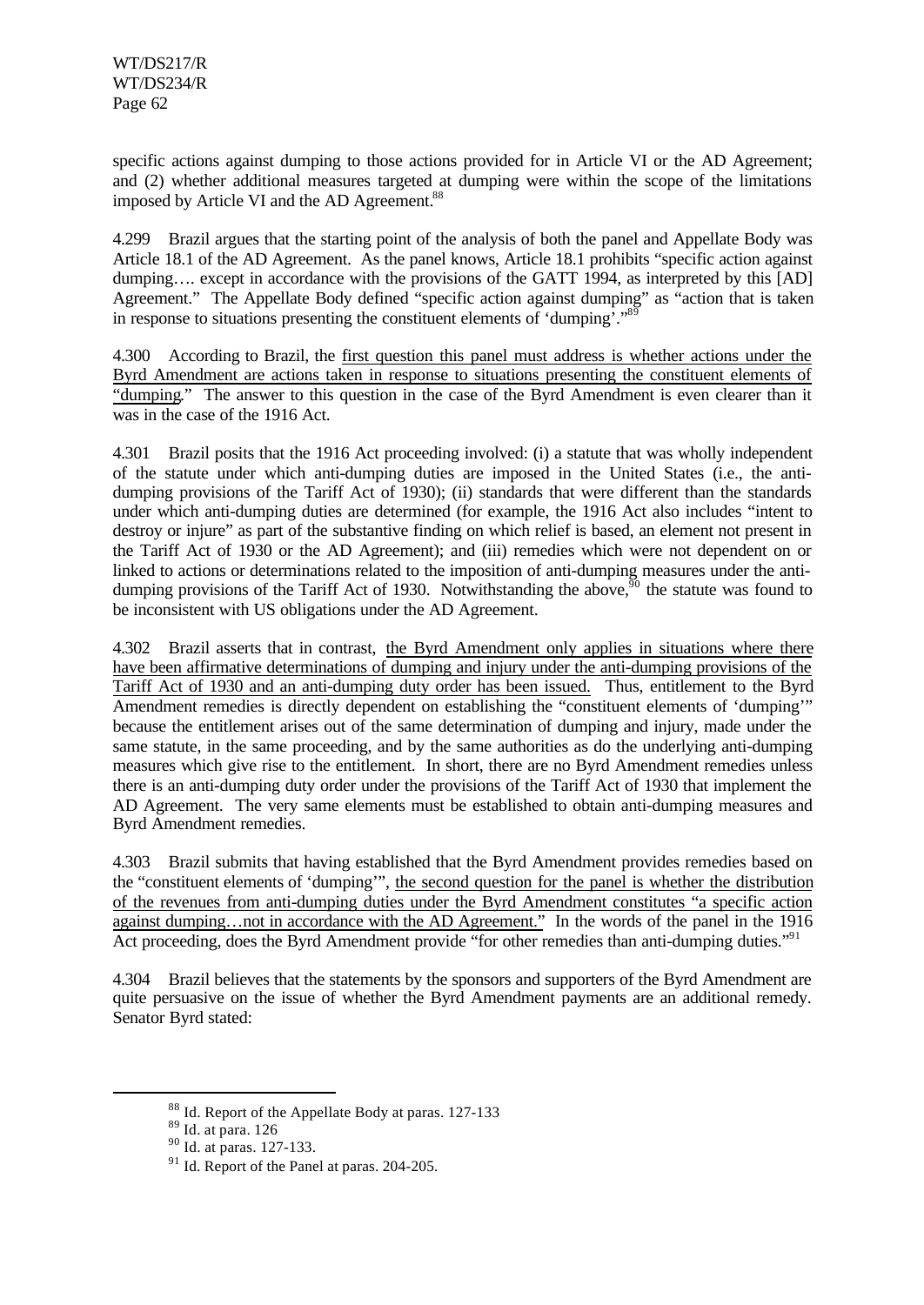specific actions against dumping to those actions provided for in Article VI or the AD Agreement; and (2) whether additional measures targeted at dumping were within the scope of the limitations imposed by Article VI and the AD Agreement.<sup>88</sup>

4.299 Brazil argues that the starting point of the analysis of both the panel and Appellate Body was Article 18.1 of the AD Agreement. As the panel knows, Article 18.1 prohibits "specific action against dumping…. except in accordance with the provisions of the GATT 1994, as interpreted by this [AD] Agreement." The Appellate Body defined "specific action against dumping" as "action that is taken in response to situations presenting the constituent elements of 'dumping'."<sup>89</sup>

4.300 According to Brazil, the first question this panel must address is whether actions under the Byrd Amendment are actions taken in response to situations presenting the constituent elements of "dumping." The answer to this question in the case of the Byrd Amendment is even clearer than it was in the case of the 1916 Act.

4.301 Brazil posits that the 1916 Act proceeding involved: (i) a statute that was wholly independent of the statute under which anti-dumping duties are imposed in the United States (i.e., the antidumping provisions of the Tariff Act of 1930); (ii) standards that were different than the standards under which anti-dumping duties are determined (for example, the 1916 Act also includes "intent to destroy or injure" as part of the substantive finding on which relief is based, an element not present in the Tariff Act of 1930 or the AD Agreement); and (iii) remedies which were not dependent on or linked to actions or determinations related to the imposition of anti-dumping measures under the antidumping provisions of the Tariff Act of 1930. Notwithstanding the above,  $\frac{90}{10}$  the statute was found to be inconsistent with US obligations under the AD Agreement.

4.302 Brazil asserts that in contrast, the Byrd Amendment only applies in situations where there have been affirmative determinations of dumping and injury under the anti-dumping provisions of the Tariff Act of 1930 and an anti-dumping duty order has been issued. Thus, entitlement to the Byrd Amendment remedies is directly dependent on establishing the "constituent elements of 'dumping'" because the entitlement arises out of the same determination of dumping and injury, made under the same statute, in the same proceeding, and by the same authorities as do the underlying anti-dumping measures which give rise to the entitlement. In short, there are no Byrd Amendment remedies unless there is an anti-dumping duty order under the provisions of the Tariff Act of 1930 that implement the AD Agreement. The very same elements must be established to obtain anti-dumping measures and Byrd Amendment remedies.

4.303 Brazil submits that having established that the Byrd Amendment provides remedies based on the "constituent elements of 'dumping'", the second question for the panel is whether the distribution of the revenues from anti-dumping duties under the Byrd Amendment constitutes "a specific action against dumping…not in accordance with the AD Agreement." In the words of the panel in the 1916 Act proceeding, does the Byrd Amendment provide "for other remedies than anti-dumping duties."<sup>91</sup>

4.304 Brazil believes that the statements by the sponsors and supporters of the Byrd Amendment are quite persuasive on the issue of whether the Byrd Amendment payments are an additional remedy. Senator Byrd stated:

<sup>88</sup> Id. Report of the Appellate Body at paras. 127-133

<sup>89</sup> Id. at para. 126

 $90$  Id. at paras. 127-133.

<sup>&</sup>lt;sup>91</sup> Id. Report of the Panel at paras. 204-205.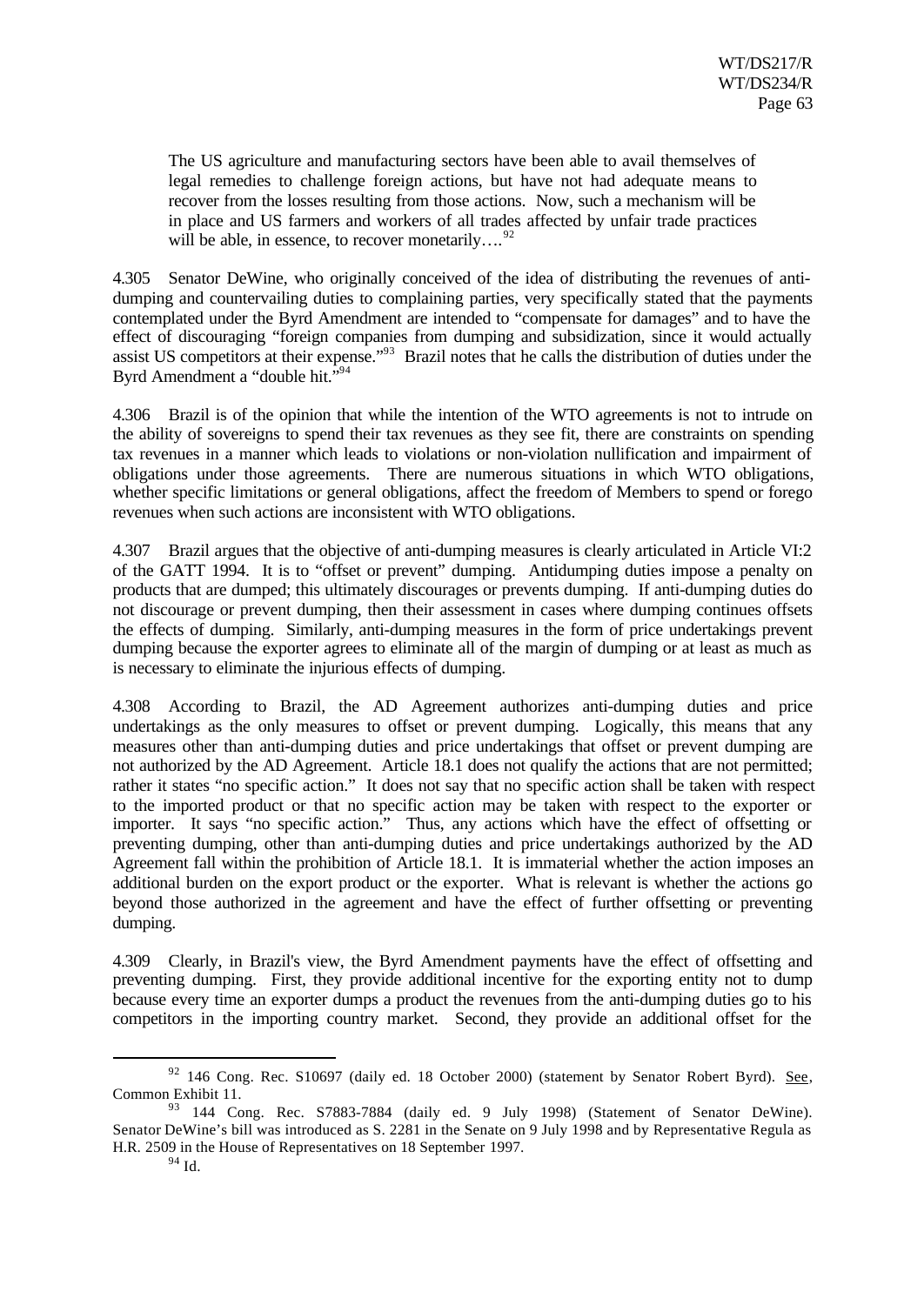The US agriculture and manufacturing sectors have been able to avail themselves of legal remedies to challenge foreign actions, but have not had adequate means to recover from the losses resulting from those actions. Now, such a mechanism will be in place and US farmers and workers of all trades affected by unfair trade practices will be able, in essence, to recover monetarily.... $^{92}$ 

4.305 Senator DeWine, who originally conceived of the idea of distributing the revenues of antidumping and countervailing duties to complaining parties, very specifically stated that the payments contemplated under the Byrd Amendment are intended to "compensate for damages" and to have the effect of discouraging "foreign companies from dumping and subsidization, since it would actually assist US competitors at their expense."<sup>93</sup> Brazil notes that he calls the distribution of duties under the Byrd Amendment a "double hit."<sup>94</sup>

4.306 Brazil is of the opinion that while the intention of the WTO agreements is not to intrude on the ability of sovereigns to spend their tax revenues as they see fit, there are constraints on spending tax revenues in a manner which leads to violations or non-violation nullification and impairment of obligations under those agreements. There are numerous situations in which WTO obligations, whether specific limitations or general obligations, affect the freedom of Members to spend or forego revenues when such actions are inconsistent with WTO obligations.

4.307 Brazil argues that the objective of anti-dumping measures is clearly articulated in Article VI:2 of the GATT 1994. It is to "offset or prevent" dumping. Antidumping duties impose a penalty on products that are dumped; this ultimately discourages or prevents dumping. If anti-dumping duties do not discourage or prevent dumping, then their assessment in cases where dumping continues offsets the effects of dumping. Similarly, anti-dumping measures in the form of price undertakings prevent dumping because the exporter agrees to eliminate all of the margin of dumping or at least as much as is necessary to eliminate the injurious effects of dumping.

4.308 According to Brazil, the AD Agreement authorizes anti-dumping duties and price undertakings as the only measures to offset or prevent dumping. Logically, this means that any measures other than anti-dumping duties and price undertakings that offset or prevent dumping are not authorized by the AD Agreement. Article 18.1 does not qualify the actions that are not permitted; rather it states "no specific action." It does not say that no specific action shall be taken with respect to the imported product or that no specific action may be taken with respect to the exporter or importer. It says "no specific action." Thus, any actions which have the effect of offsetting or preventing dumping, other than anti-dumping duties and price undertakings authorized by the AD Agreement fall within the prohibition of Article 18.1. It is immaterial whether the action imposes an additional burden on the export product or the exporter. What is relevant is whether the actions go beyond those authorized in the agreement and have the effect of further offsetting or preventing dumping.

4.309 Clearly, in Brazil's view, the Byrd Amendment payments have the effect of offsetting and preventing dumping. First, they provide additional incentive for the exporting entity not to dump because every time an exporter dumps a product the revenues from the anti-dumping duties go to his competitors in the importing country market. Second, they provide an additional offset for the

<sup>&</sup>lt;sup>92</sup> 146 Cong. Rec. S10697 (daily ed. 18 October 2000) (statement by Senator Robert Byrd). See, Common Exhibit 11.

<sup>93</sup> 144 Cong. Rec. S7883-7884 (daily ed. 9 July 1998) (Statement of Senator DeWine). Senator DeWine's bill was introduced as S. 2281 in the Senate on 9 July 1998 and by Representative Regula as H.R. 2509 in the House of Representatives on 18 September 1997.

 $\left( \frac{94}{94} \right)$  Id.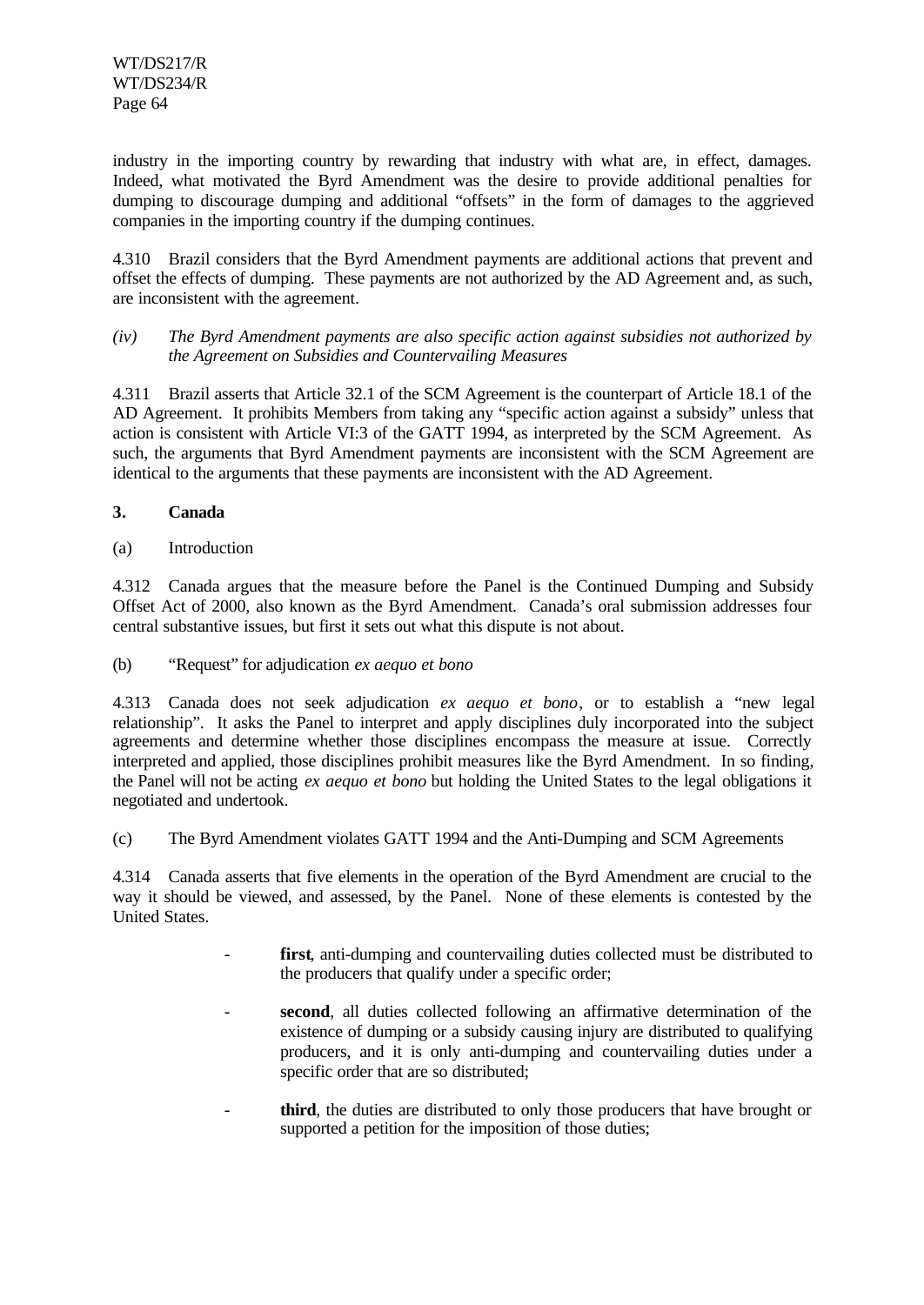industry in the importing country by rewarding that industry with what are, in effect, damages. Indeed, what motivated the Byrd Amendment was the desire to provide additional penalties for dumping to discourage dumping and additional "offsets" in the form of damages to the aggrieved companies in the importing country if the dumping continues.

4.310 Brazil considers that the Byrd Amendment payments are additional actions that prevent and offset the effects of dumping. These payments are not authorized by the AD Agreement and, as such, are inconsistent with the agreement.

## *(iv) The Byrd Amendment payments are also specific action against subsidies not authorized by the Agreement on Subsidies and Countervailing Measures*

4.311 Brazil asserts that Article 32.1 of the SCM Agreement is the counterpart of Article 18.1 of the AD Agreement. It prohibits Members from taking any "specific action against a subsidy" unless that action is consistent with Article VI:3 of the GATT 1994, as interpreted by the SCM Agreement. As such, the arguments that Byrd Amendment payments are inconsistent with the SCM Agreement are identical to the arguments that these payments are inconsistent with the AD Agreement.

# **3. Canada**

(a) Introduction

4.312 Canada argues that the measure before the Panel is the Continued Dumping and Subsidy Offset Act of 2000, also known as the Byrd Amendment. Canada's oral submission addresses four central substantive issues, but first it sets out what this dispute is not about.

(b) "Request" for adjudication *ex aequo et bono*

4.313 Canada does not seek adjudication *ex aequo et bono*, or to establish a "new legal relationship". It asks the Panel to interpret and apply disciplines duly incorporated into the subject agreements and determine whether those disciplines encompass the measure at issue. Correctly interpreted and applied, those disciplines prohibit measures like the Byrd Amendment. In so finding, the Panel will not be acting *ex aequo et bono* but holding the United States to the legal obligations it negotiated and undertook.

(c) The Byrd Amendment violates GATT 1994 and the Anti-Dumping and SCM Agreements

4.314 Canada asserts that five elements in the operation of the Byrd Amendment are crucial to the way it should be viewed, and assessed, by the Panel. None of these elements is contested by the United States.

- **first**, anti-dumping and countervailing duties collected must be distributed to the producers that qualify under a specific order;
- **second**, all duties collected following an affirmative determination of the existence of dumping or a subsidy causing injury are distributed to qualifying producers, and it is only anti-dumping and countervailing duties under a specific order that are so distributed;
- third, the duties are distributed to only those producers that have brought or supported a petition for the imposition of those duties;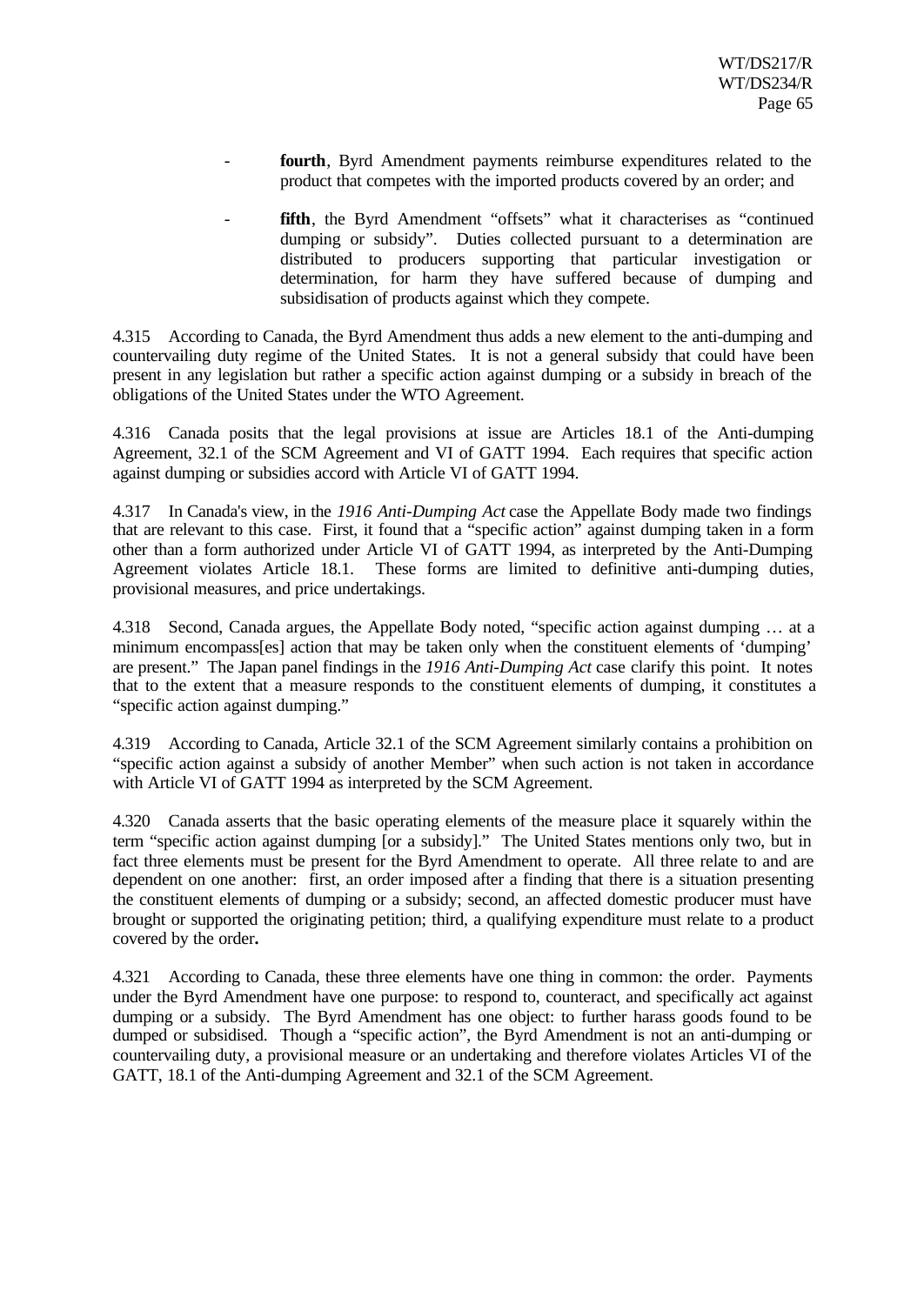- fourth, Byrd Amendment payments reimburse expenditures related to the product that competes with the imported products covered by an order; and
- fifth, the Byrd Amendment "offsets" what it characterises as "continued dumping or subsidy". Duties collected pursuant to a determination are distributed to producers supporting that particular investigation or determination, for harm they have suffered because of dumping and subsidisation of products against which they compete.

4.315 According to Canada, the Byrd Amendment thus adds a new element to the anti-dumping and countervailing duty regime of the United States. It is not a general subsidy that could have been present in any legislation but rather a specific action against dumping or a subsidy in breach of the obligations of the United States under the WTO Agreement.

4.316 Canada posits that the legal provisions at issue are Articles 18.1 of the Anti-dumping Agreement, 32.1 of the SCM Agreement and VI of GATT 1994. Each requires that specific action against dumping or subsidies accord with Article VI of GATT 1994.

4.317 In Canada's view, in the *1916 Anti-Dumping Act* case the Appellate Body made two findings that are relevant to this case. First, it found that a "specific action" against dumping taken in a form other than a form authorized under Article VI of GATT 1994, as interpreted by the Anti-Dumping Agreement violates Article 18.1. These forms are limited to definitive anti-dumping duties, provisional measures, and price undertakings.

4.318 Second, Canada argues, the Appellate Body noted, "specific action against dumping … at a minimum encompass[es] action that may be taken only when the constituent elements of 'dumping' are present." The Japan panel findings in the *1916 Anti-Dumping Act* case clarify this point. It notes that to the extent that a measure responds to the constituent elements of dumping, it constitutes a "specific action against dumping."

4.319 According to Canada, Article 32.1 of the SCM Agreement similarly contains a prohibition on "specific action against a subsidy of another Member" when such action is not taken in accordance with Article VI of GATT 1994 as interpreted by the SCM Agreement.

4.320 Canada asserts that the basic operating elements of the measure place it squarely within the term "specific action against dumping [or a subsidy]." The United States mentions only two, but in fact three elements must be present for the Byrd Amendment to operate. All three relate to and are dependent on one another: first, an order imposed after a finding that there is a situation presenting the constituent elements of dumping or a subsidy; second, an affected domestic producer must have brought or supported the originating petition; third, a qualifying expenditure must relate to a product covered by the order**.**

4.321 According to Canada, these three elements have one thing in common: the order. Payments under the Byrd Amendment have one purpose: to respond to, counteract, and specifically act against dumping or a subsidy. The Byrd Amendment has one object: to further harass goods found to be dumped or subsidised. Though a "specific action", the Byrd Amendment is not an anti-dumping or countervailing duty, a provisional measure or an undertaking and therefore violates Articles VI of the GATT, 18.1 of the Anti-dumping Agreement and 32.1 of the SCM Agreement.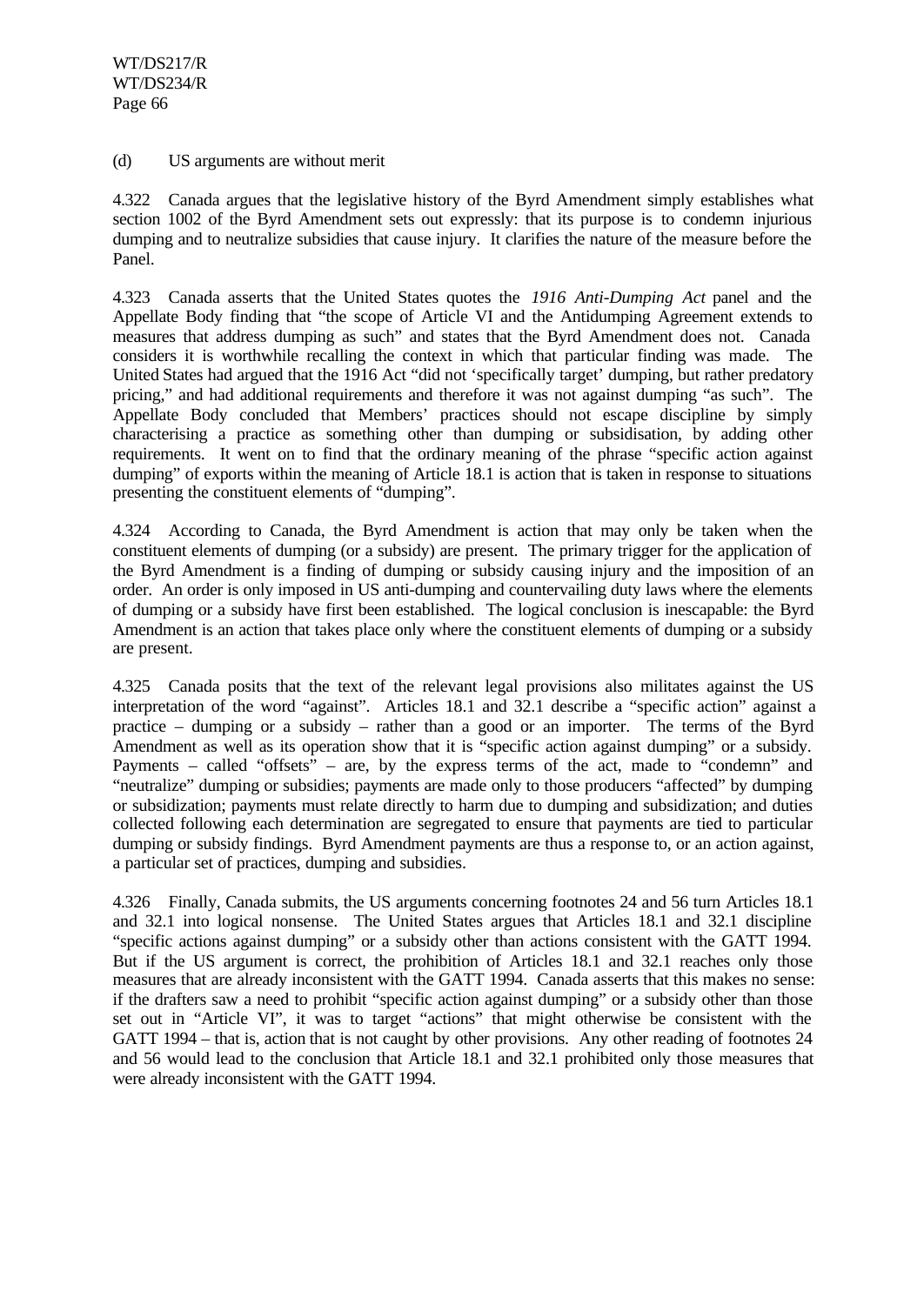#### (d) US arguments are without merit

4.322 Canada argues that the legislative history of the Byrd Amendment simply establishes what section 1002 of the Byrd Amendment sets out expressly: that its purpose is to condemn injurious dumping and to neutralize subsidies that cause injury. It clarifies the nature of the measure before the Panel.

4.323 Canada asserts that the United States quotes the *1916 Anti-Dumping Act* panel and the Appellate Body finding that "the scope of Article VI and the Antidumping Agreement extends to measures that address dumping as such" and states that the Byrd Amendment does not. Canada considers it is worthwhile recalling the context in which that particular finding was made. The United States had argued that the 1916 Act "did not 'specifically target' dumping, but rather predatory pricing," and had additional requirements and therefore it was not against dumping "as such". The Appellate Body concluded that Members' practices should not escape discipline by simply characterising a practice as something other than dumping or subsidisation, by adding other requirements. It went on to find that the ordinary meaning of the phrase "specific action against dumping" of exports within the meaning of Article 18.1 is action that is taken in response to situations presenting the constituent elements of "dumping".

4.324 According to Canada, the Byrd Amendment is action that may only be taken when the constituent elements of dumping (or a subsidy) are present. The primary trigger for the application of the Byrd Amendment is a finding of dumping or subsidy causing injury and the imposition of an order. An order is only imposed in US anti-dumping and countervailing duty laws where the elements of dumping or a subsidy have first been established. The logical conclusion is inescapable: the Byrd Amendment is an action that takes place only where the constituent elements of dumping or a subsidy are present.

4.325 Canada posits that the text of the relevant legal provisions also militates against the US interpretation of the word "against". Articles 18.1 and 32.1 describe a "specific action" against a practice – dumping or a subsidy – rather than a good or an importer. The terms of the Byrd Amendment as well as its operation show that it is "specific action against dumping" or a subsidy. Payments – called "offsets" – are, by the express terms of the act, made to "condemn" and "neutralize" dumping or subsidies; payments are made only to those producers "affected" by dumping or subsidization; payments must relate directly to harm due to dumping and subsidization; and duties collected following each determination are segregated to ensure that payments are tied to particular dumping or subsidy findings. Byrd Amendment payments are thus a response to, or an action against, a particular set of practices, dumping and subsidies.

4.326 Finally, Canada submits, the US arguments concerning footnotes 24 and 56 turn Articles 18.1 and 32.1 into logical nonsense. The United States argues that Articles 18.1 and 32.1 discipline "specific actions against dumping" or a subsidy other than actions consistent with the GATT 1994. But if the US argument is correct, the prohibition of Articles 18.1 and 32.1 reaches only those measures that are already inconsistent with the GATT 1994. Canada asserts that this makes no sense: if the drafters saw a need to prohibit "specific action against dumping" or a subsidy other than those set out in "Article VI", it was to target "actions" that might otherwise be consistent with the GATT 1994 – that is, action that is not caught by other provisions. Any other reading of footnotes 24 and 56 would lead to the conclusion that Article 18.1 and 32.1 prohibited only those measures that were already inconsistent with the GATT 1994.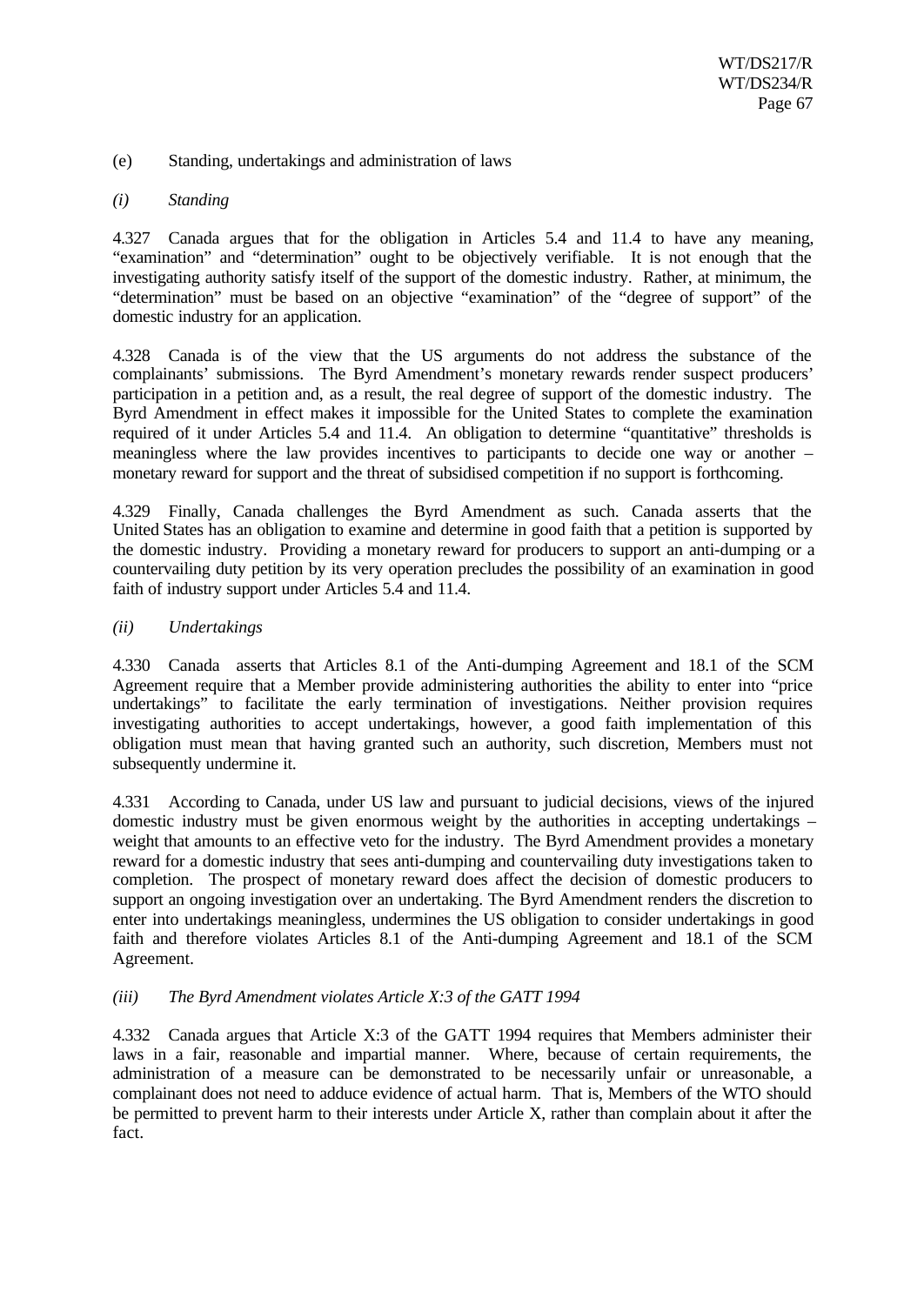(e) Standing, undertakings and administration of laws

## *(i) Standing*

4.327 Canada argues that for the obligation in Articles 5.4 and 11.4 to have any meaning, "examination" and "determination" ought to be objectively verifiable. It is not enough that the investigating authority satisfy itself of the support of the domestic industry. Rather, at minimum, the "determination" must be based on an objective "examination" of the "degree of support" of the domestic industry for an application.

4.328 Canada is of the view that the US arguments do not address the substance of the complainants' submissions. The Byrd Amendment's monetary rewards render suspect producers' participation in a petition and, as a result, the real degree of support of the domestic industry. The Byrd Amendment in effect makes it impossible for the United States to complete the examination required of it under Articles 5.4 and 11.4. An obligation to determine "quantitative" thresholds is meaningless where the law provides incentives to participants to decide one way or another – monetary reward for support and the threat of subsidised competition if no support is forthcoming.

4.329 Finally, Canada challenges the Byrd Amendment as such. Canada asserts that the United States has an obligation to examine and determine in good faith that a petition is supported by the domestic industry. Providing a monetary reward for producers to support an anti-dumping or a countervailing duty petition by its very operation precludes the possibility of an examination in good faith of industry support under Articles 5.4 and 11.4.

## *(ii) Undertakings*

4.330 Canada asserts that Articles 8.1 of the Anti-dumping Agreement and 18.1 of the SCM Agreement require that a Member provide administering authorities the ability to enter into "price undertakings" to facilitate the early termination of investigations. Neither provision requires investigating authorities to accept undertakings, however, a good faith implementation of this obligation must mean that having granted such an authority, such discretion, Members must not subsequently undermine it.

4.331 According to Canada, under US law and pursuant to judicial decisions, views of the injured domestic industry must be given enormous weight by the authorities in accepting undertakings – weight that amounts to an effective veto for the industry. The Byrd Amendment provides a monetary reward for a domestic industry that sees anti-dumping and countervailing duty investigations taken to completion. The prospect of monetary reward does affect the decision of domestic producers to support an ongoing investigation over an undertaking. The Byrd Amendment renders the discretion to enter into undertakings meaningless, undermines the US obligation to consider undertakings in good faith and therefore violates Articles 8.1 of the Anti-dumping Agreement and 18.1 of the SCM Agreement.

# *(iii) The Byrd Amendment violates Article X:3 of the GATT 1994*

4.332 Canada argues that Article X:3 of the GATT 1994 requires that Members administer their laws in a fair, reasonable and impartial manner. Where, because of certain requirements, the administration of a measure can be demonstrated to be necessarily unfair or unreasonable, a complainant does not need to adduce evidence of actual harm. That is, Members of the WTO should be permitted to prevent harm to their interests under Article X, rather than complain about it after the fact.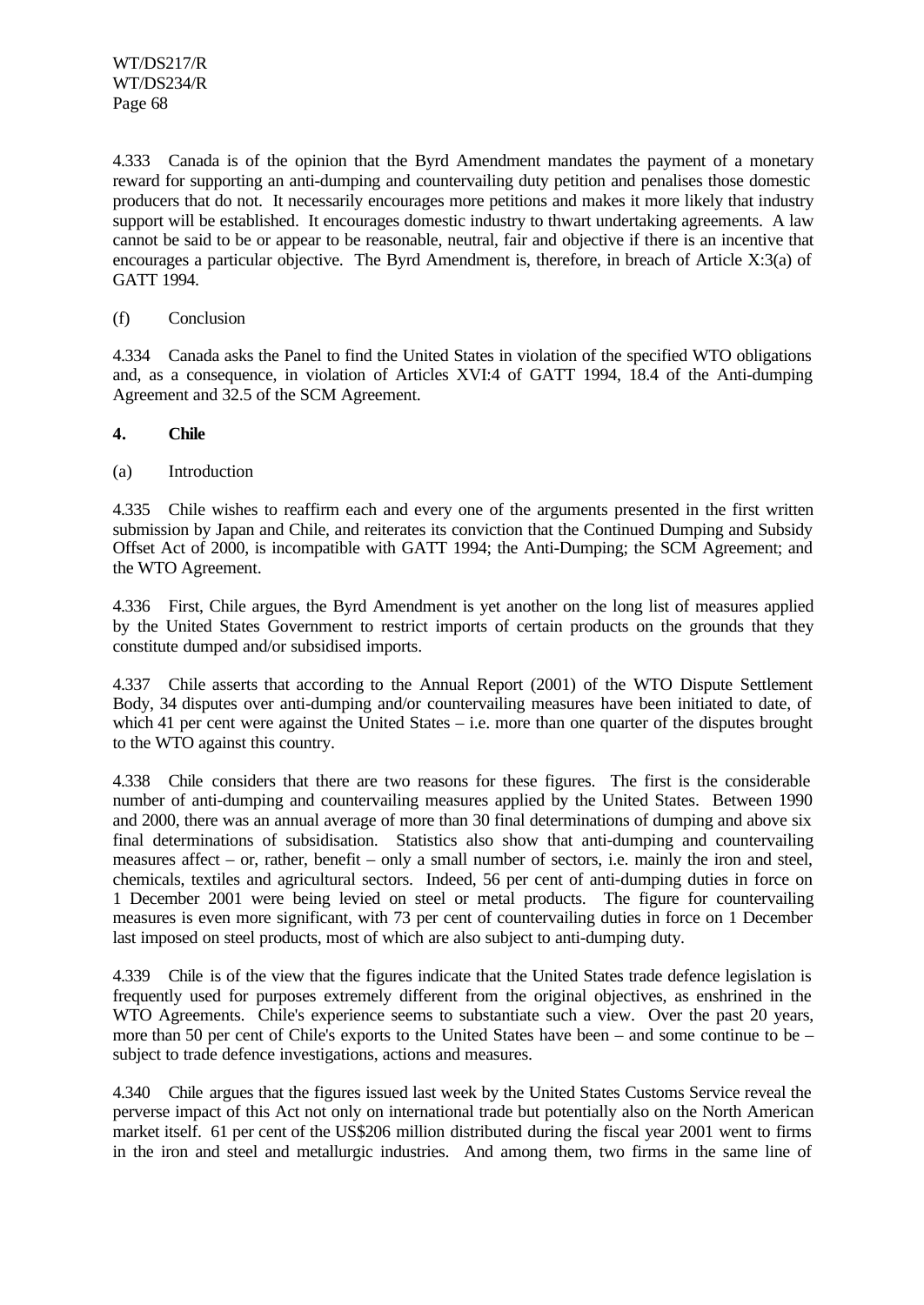WT/DS217/R WT/DS234/R Page 68

4.333 Canada is of the opinion that the Byrd Amendment mandates the payment of a monetary reward for supporting an anti-dumping and countervailing duty petition and penalises those domestic producers that do not. It necessarily encourages more petitions and makes it more likely that industry support will be established. It encourages domestic industry to thwart undertaking agreements. A law cannot be said to be or appear to be reasonable, neutral, fair and objective if there is an incentive that encourages a particular objective. The Byrd Amendment is, therefore, in breach of Article X:3(a) of GATT 1994.

## (f) Conclusion

4.334 Canada asks the Panel to find the United States in violation of the specified WTO obligations and, as a consequence, in violation of Articles XVI:4 of GATT 1994, 18.4 of the Anti-dumping Agreement and 32.5 of the SCM Agreement.

## **4. Chile**

## (a) Introduction

4.335 Chile wishes to reaffirm each and every one of the arguments presented in the first written submission by Japan and Chile, and reiterates its conviction that the Continued Dumping and Subsidy Offset Act of 2000, is incompatible with GATT 1994; the Anti-Dumping; the SCM Agreement; and the WTO Agreement.

4.336 First, Chile argues, the Byrd Amendment is yet another on the long list of measures applied by the United States Government to restrict imports of certain products on the grounds that they constitute dumped and/or subsidised imports.

4.337 Chile asserts that according to the Annual Report (2001) of the WTO Dispute Settlement Body, 34 disputes over anti-dumping and/or countervailing measures have been initiated to date, of which 41 per cent were against the United States – i.e. more than one quarter of the disputes brought to the WTO against this country.

4.338 Chile considers that there are two reasons for these figures. The first is the considerable number of anti-dumping and countervailing measures applied by the United States. Between 1990 and 2000, there was an annual average of more than 30 final determinations of dumping and above six final determinations of subsidisation. Statistics also show that anti-dumping and countervailing measures affect – or, rather, benefit – only a small number of sectors, i.e. mainly the iron and steel, chemicals, textiles and agricultural sectors. Indeed, 56 per cent of anti-dumping duties in force on 1 December 2001 were being levied on steel or metal products. The figure for countervailing measures is even more significant, with 73 per cent of countervailing duties in force on 1 December last imposed on steel products, most of which are also subject to anti-dumping duty.

4.339 Chile is of the view that the figures indicate that the United States trade defence legislation is frequently used for purposes extremely different from the original objectives, as enshrined in the WTO Agreements. Chile's experience seems to substantiate such a view. Over the past 20 years, more than 50 per cent of Chile's exports to the United States have been – and some continue to be – subject to trade defence investigations, actions and measures.

4.340 Chile argues that the figures issued last week by the United States Customs Service reveal the perverse impact of this Act not only on international trade but potentially also on the North American market itself. 61 per cent of the US\$206 million distributed during the fiscal year 2001 went to firms in the iron and steel and metallurgic industries. And among them, two firms in the same line of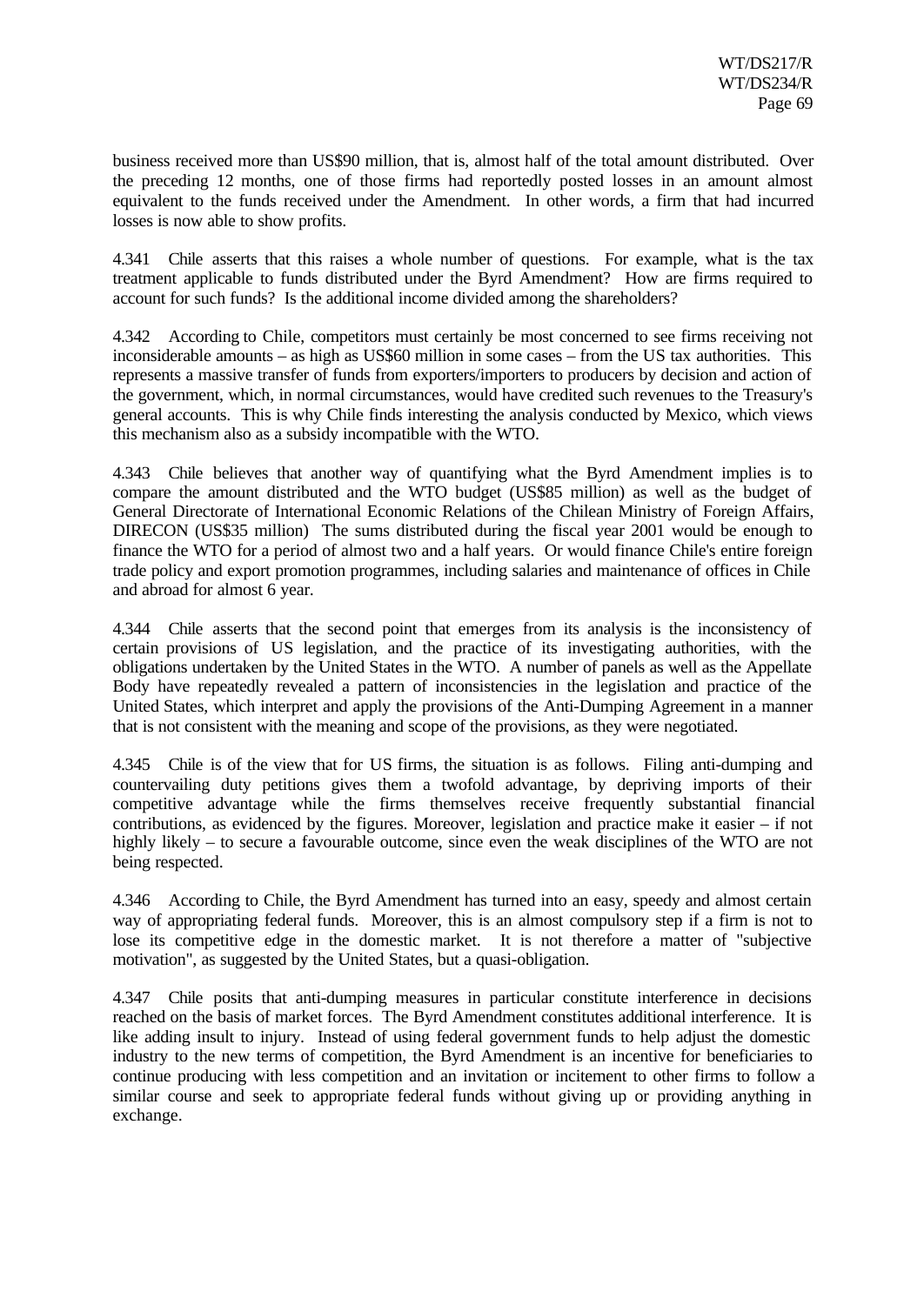business received more than US\$90 million, that is, almost half of the total amount distributed. Over the preceding 12 months, one of those firms had reportedly posted losses in an amount almost equivalent to the funds received under the Amendment. In other words, a firm that had incurred losses is now able to show profits.

4.341 Chile asserts that this raises a whole number of questions. For example, what is the tax treatment applicable to funds distributed under the Byrd Amendment? How are firms required to account for such funds? Is the additional income divided among the shareholders?

4.342 According to Chile, competitors must certainly be most concerned to see firms receiving not inconsiderable amounts – as high as US\$60 million in some cases – from the US tax authorities. This represents a massive transfer of funds from exporters/importers to producers by decision and action of the government, which, in normal circumstances, would have credited such revenues to the Treasury's general accounts. This is why Chile finds interesting the analysis conducted by Mexico, which views this mechanism also as a subsidy incompatible with the WTO.

4.343 Chile believes that another way of quantifying what the Byrd Amendment implies is to compare the amount distributed and the WTO budget (US\$85 million) as well as the budget of General Directorate of International Economic Relations of the Chilean Ministry of Foreign Affairs, DIRECON (US\$35 million) The sums distributed during the fiscal year 2001 would be enough to finance the WTO for a period of almost two and a half years. Or would finance Chile's entire foreign trade policy and export promotion programmes, including salaries and maintenance of offices in Chile and abroad for almost 6 year.

4.344 Chile asserts that the second point that emerges from its analysis is the inconsistency of certain provisions of US legislation, and the practice of its investigating authorities, with the obligations undertaken by the United States in the WTO. A number of panels as well as the Appellate Body have repeatedly revealed a pattern of inconsistencies in the legislation and practice of the United States, which interpret and apply the provisions of the Anti-Dumping Agreement in a manner that is not consistent with the meaning and scope of the provisions, as they were negotiated.

4.345 Chile is of the view that for US firms, the situation is as follows. Filing anti-dumping and countervailing duty petitions gives them a twofold advantage, by depriving imports of their competitive advantage while the firms themselves receive frequently substantial financial contributions, as evidenced by the figures. Moreover, legislation and practice make it easier – if not highly likely – to secure a favourable outcome, since even the weak disciplines of the WTO are not being respected.

4.346 According to Chile, the Byrd Amendment has turned into an easy, speedy and almost certain way of appropriating federal funds. Moreover, this is an almost compulsory step if a firm is not to lose its competitive edge in the domestic market. It is not therefore a matter of "subjective motivation", as suggested by the United States, but a quasi-obligation.

4.347 Chile posits that anti-dumping measures in particular constitute interference in decisions reached on the basis of market forces. The Byrd Amendment constitutes additional interference. It is like adding insult to injury. Instead of using federal government funds to help adjust the domestic industry to the new terms of competition, the Byrd Amendment is an incentive for beneficiaries to continue producing with less competition and an invitation or incitement to other firms to follow a similar course and seek to appropriate federal funds without giving up or providing anything in exchange.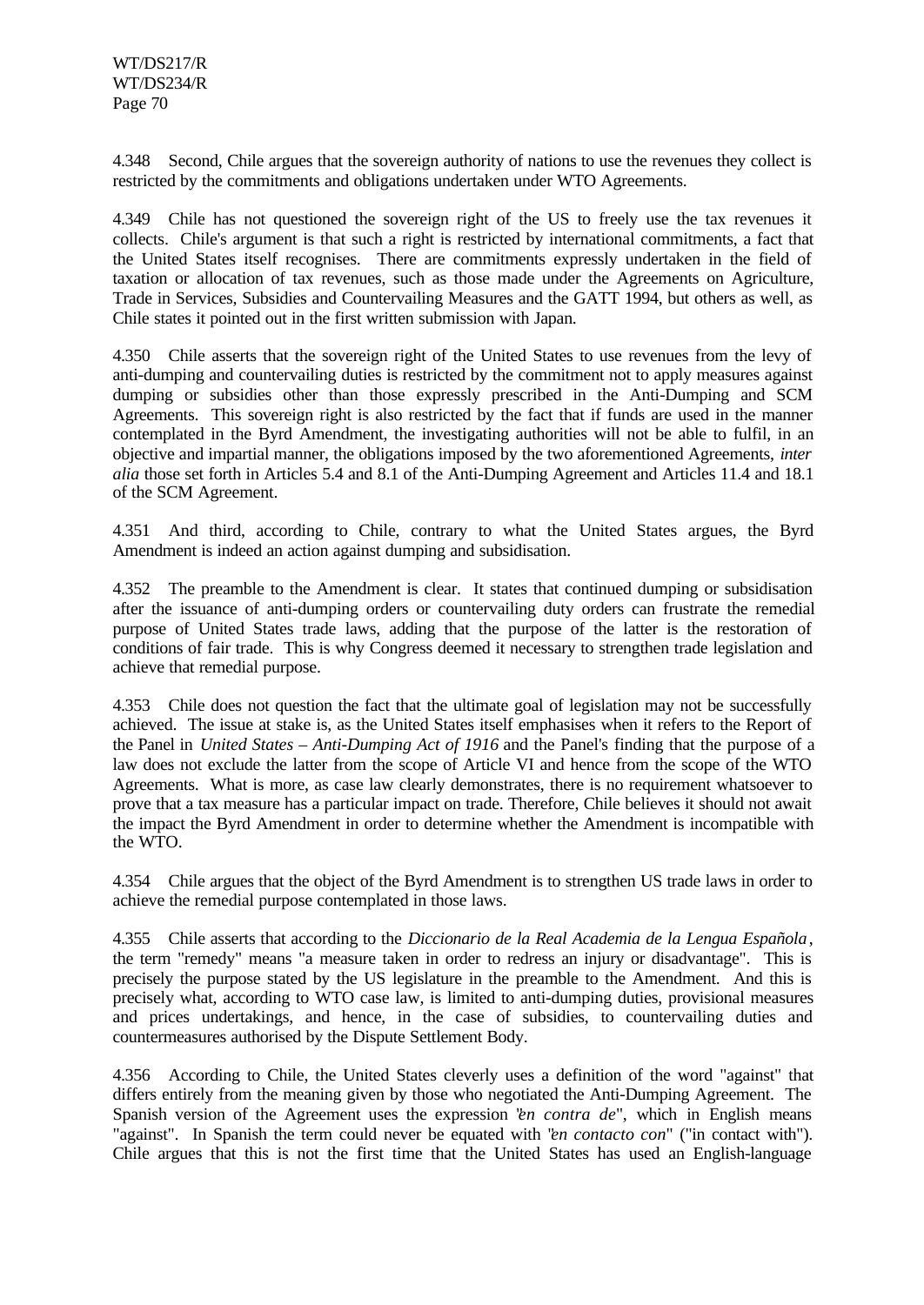4.348 Second, Chile argues that the sovereign authority of nations to use the revenues they collect is restricted by the commitments and obligations undertaken under WTO Agreements.

4.349 Chile has not questioned the sovereign right of the US to freely use the tax revenues it collects. Chile's argument is that such a right is restricted by international commitments, a fact that the United States itself recognises. There are commitments expressly undertaken in the field of taxation or allocation of tax revenues, such as those made under the Agreements on Agriculture, Trade in Services, Subsidies and Countervailing Measures and the GATT 1994, but others as well, as Chile states it pointed out in the first written submission with Japan.

4.350 Chile asserts that the sovereign right of the United States to use revenues from the levy of anti-dumping and countervailing duties is restricted by the commitment not to apply measures against dumping or subsidies other than those expressly prescribed in the Anti-Dumping and SCM Agreements. This sovereign right is also restricted by the fact that if funds are used in the manner contemplated in the Byrd Amendment, the investigating authorities will not be able to fulfil, in an objective and impartial manner, the obligations imposed by the two aforementioned Agreements, *inter alia* those set forth in Articles 5.4 and 8.1 of the Anti-Dumping Agreement and Articles 11.4 and 18.1 of the SCM Agreement.

4.351 And third, according to Chile, contrary to what the United States argues, the Byrd Amendment is indeed an action against dumping and subsidisation.

4.352 The preamble to the Amendment is clear. It states that continued dumping or subsidisation after the issuance of anti-dumping orders or countervailing duty orders can frustrate the remedial purpose of United States trade laws, adding that the purpose of the latter is the restoration of conditions of fair trade. This is why Congress deemed it necessary to strengthen trade legislation and achieve that remedial purpose.

4.353 Chile does not question the fact that the ultimate goal of legislation may not be successfully achieved. The issue at stake is, as the United States itself emphasises when it refers to the Report of the Panel in *United States – Anti-Dumping Act of 1916* and the Panel's finding that the purpose of a law does not exclude the latter from the scope of Article VI and hence from the scope of the WTO Agreements. What is more, as case law clearly demonstrates, there is no requirement whatsoever to prove that a tax measure has a particular impact on trade. Therefore, Chile believes it should not await the impact the Byrd Amendment in order to determine whether the Amendment is incompatible with the WTO.

4.354 Chile argues that the object of the Byrd Amendment is to strengthen US trade laws in order to achieve the remedial purpose contemplated in those laws.

4.355 Chile asserts that according to the *Diccionario de la Real Academia de la Lengua Española*, the term "remedy" means "a measure taken in order to redress an injury or disadvantage". This is precisely the purpose stated by the US legislature in the preamble to the Amendment. And this is precisely what, according to WTO case law, is limited to anti-dumping duties, provisional measures and prices undertakings, and hence, in the case of subsidies, to countervailing duties and countermeasures authorised by the Dispute Settlement Body.

4.356 According to Chile, the United States cleverly uses a definition of the word "against" that differs entirely from the meaning given by those who negotiated the Anti-Dumping Agreement. The Spanish version of the Agreement uses the expression "*en contra de*", which in English means "against". In Spanish the term could never be equated with "*en contacto con*" ("in contact with"). Chile argues that this is not the first time that the United States has used an English-language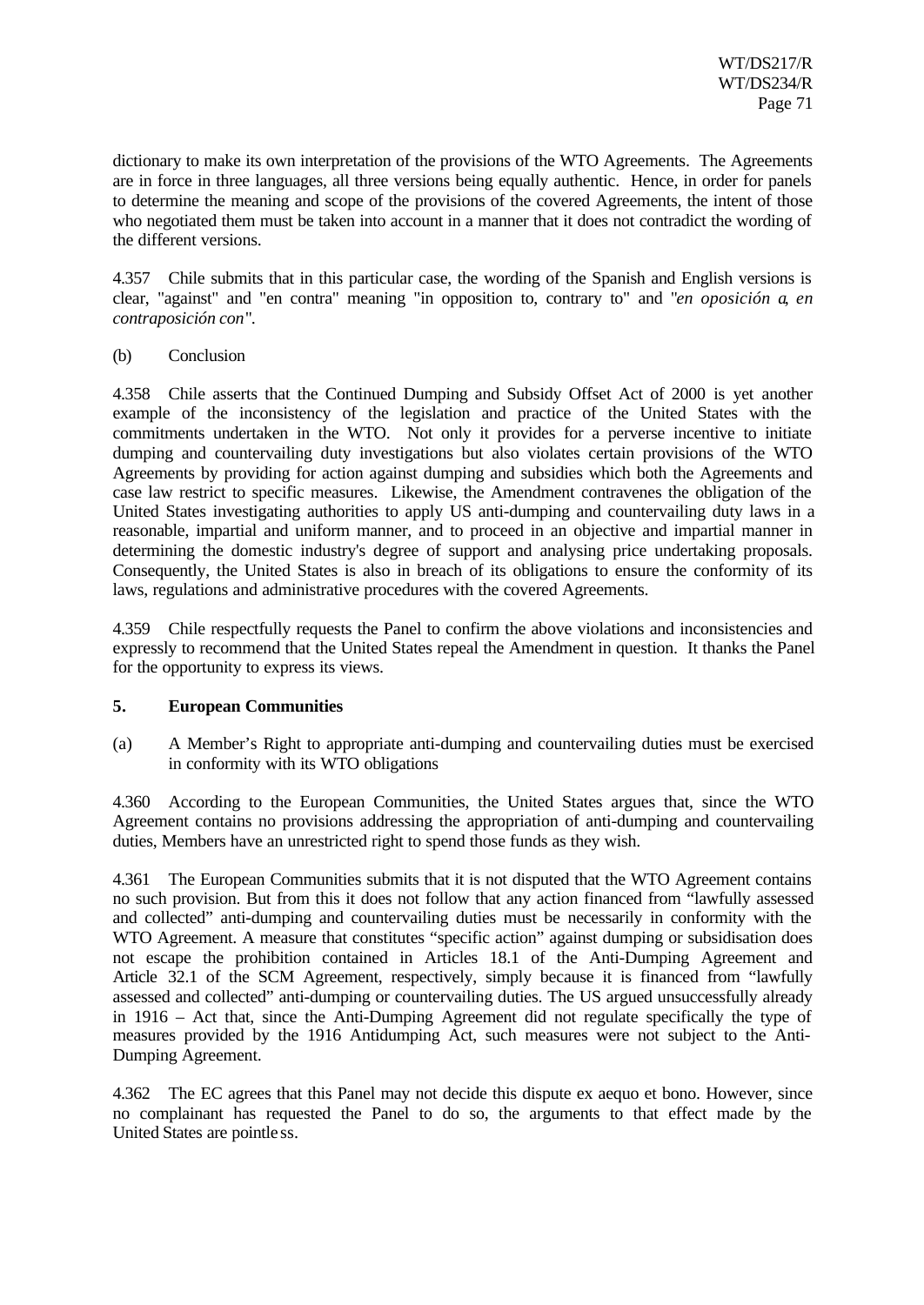dictionary to make its own interpretation of the provisions of the WTO Agreements. The Agreements are in force in three languages, all three versions being equally authentic. Hence, in order for panels to determine the meaning and scope of the provisions of the covered Agreements, the intent of those who negotiated them must be taken into account in a manner that it does not contradict the wording of the different versions.

4.357 Chile submits that in this particular case, the wording of the Spanish and English versions is clear, "against" and "en contra" meaning "in opposition to, contrary to" and "*en oposición a*, *en contraposición con*".

(b) Conclusion

4.358 Chile asserts that the Continued Dumping and Subsidy Offset Act of 2000 is yet another example of the inconsistency of the legislation and practice of the United States with the commitments undertaken in the WTO. Not only it provides for a perverse incentive to initiate dumping and countervailing duty investigations but also violates certain provisions of the WTO Agreements by providing for action against dumping and subsidies which both the Agreements and case law restrict to specific measures. Likewise, the Amendment contravenes the obligation of the United States investigating authorities to apply US anti-dumping and countervailing duty laws in a reasonable, impartial and uniform manner, and to proceed in an objective and impartial manner in determining the domestic industry's degree of support and analysing price undertaking proposals. Consequently, the United States is also in breach of its obligations to ensure the conformity of its laws, regulations and administrative procedures with the covered Agreements.

4.359 Chile respectfully requests the Panel to confirm the above violations and inconsistencies and expressly to recommend that the United States repeal the Amendment in question. It thanks the Panel for the opportunity to express its views.

# **5. European Communities**

(a) A Member's Right to appropriate anti-dumping and countervailing duties must be exercised in conformity with its WTO obligations

4.360 According to the European Communities, the United States argues that, since the WTO Agreement contains no provisions addressing the appropriation of anti-dumping and countervailing duties, Members have an unrestricted right to spend those funds as they wish.

4.361 The European Communities submits that it is not disputed that the WTO Agreement contains no such provision. But from this it does not follow that any action financed from "lawfully assessed and collected" anti-dumping and countervailing duties must be necessarily in conformity with the WTO Agreement. A measure that constitutes "specific action" against dumping or subsidisation does not escape the prohibition contained in Articles 18.1 of the Anti-Dumping Agreement and Article 32.1 of the SCM Agreement, respectively, simply because it is financed from "lawfully assessed and collected" anti-dumping or countervailing duties. The US argued unsuccessfully already in 1916 – Act that, since the Anti-Dumping Agreement did not regulate specifically the type of measures provided by the 1916 Antidumping Act, such measures were not subject to the Anti-Dumping Agreement.

4.362 The EC agrees that this Panel may not decide this dispute ex aequo et bono. However, since no complainant has requested the Panel to do so, the arguments to that effect made by the United States are pointle ss.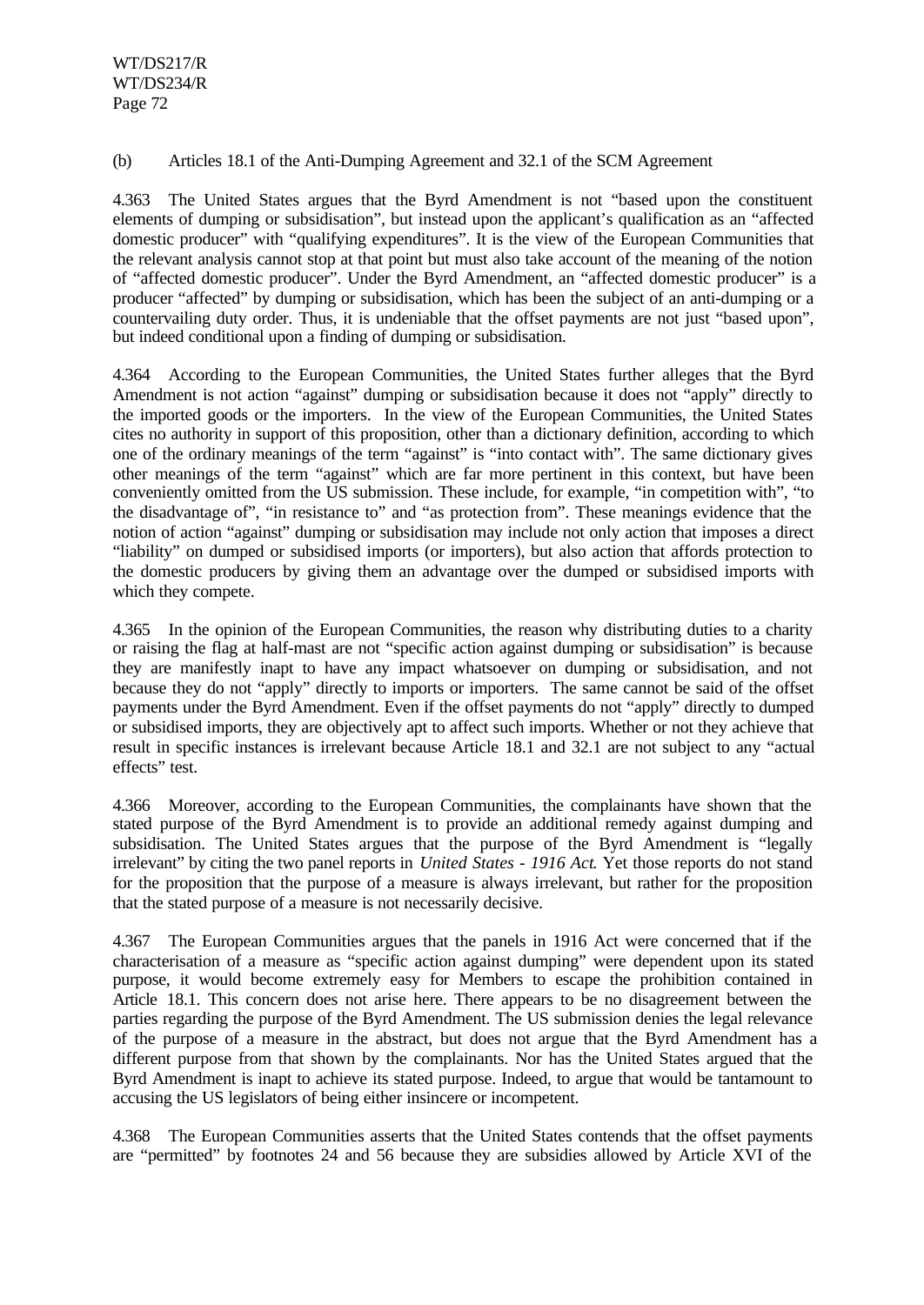(b) Articles 18.1 of the Anti-Dumping Agreement and 32.1 of the SCM Agreement

4.363 The United States argues that the Byrd Amendment is not "based upon the constituent elements of dumping or subsidisation", but instead upon the applicant's qualification as an "affected domestic producer" with "qualifying expenditures". It is the view of the European Communities that the relevant analysis cannot stop at that point but must also take account of the meaning of the notion of "affected domestic producer". Under the Byrd Amendment, an "affected domestic producer" is a producer "affected" by dumping or subsidisation, which has been the subject of an anti-dumping or a countervailing duty order. Thus, it is undeniable that the offset payments are not just "based upon", but indeed conditional upon a finding of dumping or subsidisation.

4.364 According to the European Communities, the United States further alleges that the Byrd Amendment is not action "against" dumping or subsidisation because it does not "apply" directly to the imported goods or the importers. In the view of the European Communities, the United States cites no authority in support of this proposition, other than a dictionary definition, according to which one of the ordinary meanings of the term "against" is "into contact with". The same dictionary gives other meanings of the term "against" which are far more pertinent in this context, but have been conveniently omitted from the US submission. These include, for example, "in competition with", "to the disadvantage of", "in resistance to" and "as protection from". These meanings evidence that the notion of action "against" dumping or subsidisation may include not only action that imposes a direct "liability" on dumped or subsidised imports (or importers), but also action that affords protection to the domestic producers by giving them an advantage over the dumped or subsidised imports with which they compete.

4.365 In the opinion of the European Communities, the reason why distributing duties to a charity or raising the flag at half-mast are not "specific action against dumping or subsidisation" is because they are manifestly inapt to have any impact whatsoever on dumping or subsidisation, and not because they do not "apply" directly to imports or importers. The same cannot be said of the offset payments under the Byrd Amendment. Even if the offset payments do not "apply" directly to dumped or subsidised imports, they are objectively apt to affect such imports. Whether or not they achieve that result in specific instances is irrelevant because Article 18.1 and 32.1 are not subject to any "actual effects" test.

4.366 Moreover, according to the European Communities, the complainants have shown that the stated purpose of the Byrd Amendment is to provide an additional remedy against dumping and subsidisation. The United States argues that the purpose of the Byrd Amendment is "legally irrelevant" by citing the two panel reports in *United States - 1916 Act*. Yet those reports do not stand for the proposition that the purpose of a measure is always irrelevant, but rather for the proposition that the stated purpose of a measure is not necessarily decisive.

4.367 The European Communities argues that the panels in 1916 Act were concerned that if the characterisation of a measure as "specific action against dumping" were dependent upon its stated purpose, it would become extremely easy for Members to escape the prohibition contained in Article 18.1. This concern does not arise here. There appears to be no disagreement between the parties regarding the purpose of the Byrd Amendment. The US submission denies the legal relevance of the purpose of a measure in the abstract, but does not argue that the Byrd Amendment has a different purpose from that shown by the complainants. Nor has the United States argued that the Byrd Amendment is inapt to achieve its stated purpose. Indeed, to argue that would be tantamount to accusing the US legislators of being either insincere or incompetent.

The European Communities asserts that the United States contends that the offset payments are "permitted" by footnotes 24 and 56 because they are subsidies allowed by Article XVI of the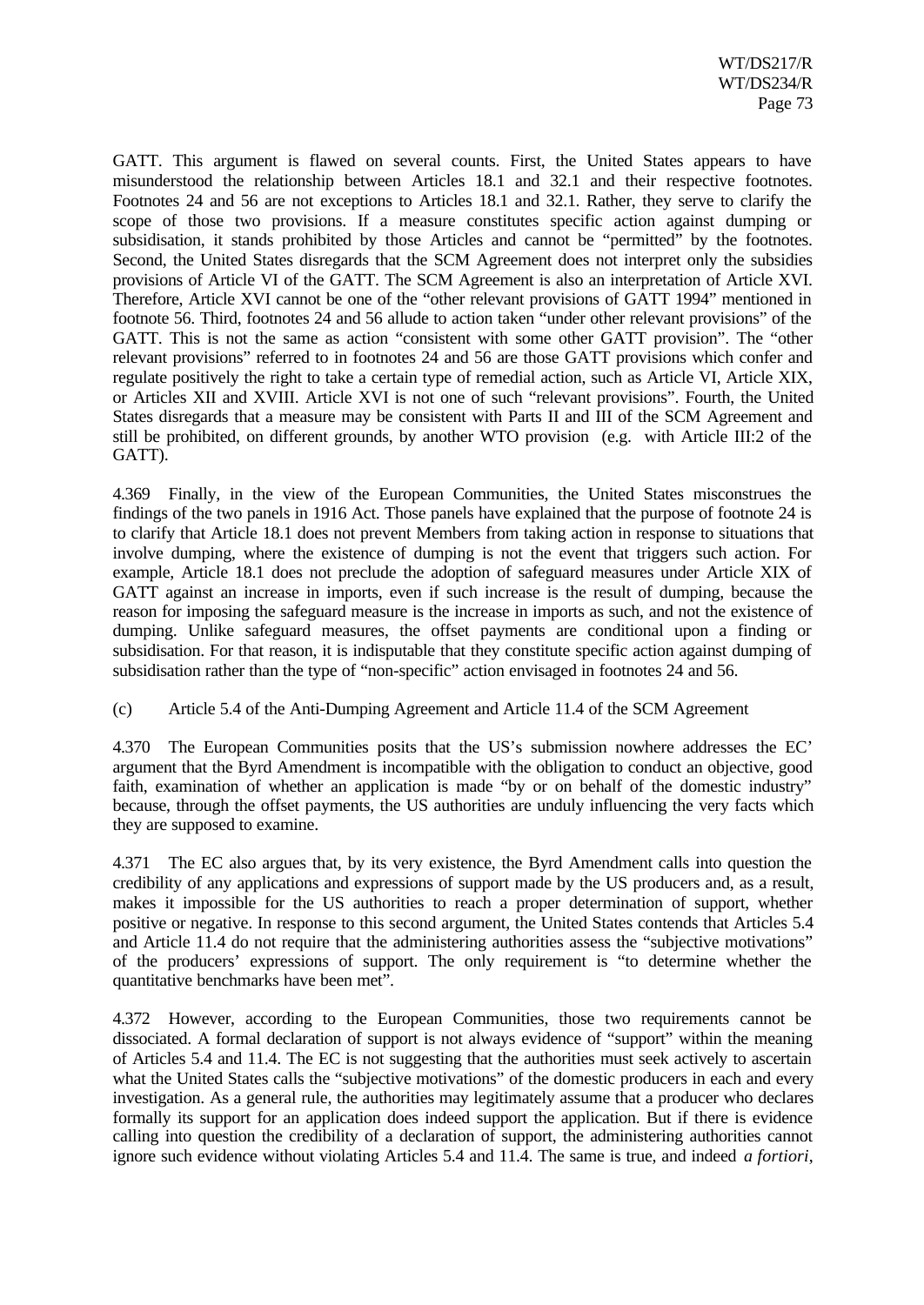GATT. This argument is flawed on several counts. First, the United States appears to have misunderstood the relationship between Articles 18.1 and 32.1 and their respective footnotes. Footnotes 24 and 56 are not exceptions to Articles 18.1 and 32.1. Rather, they serve to clarify the scope of those two provisions. If a measure constitutes specific action against dumping or subsidisation, it stands prohibited by those Articles and cannot be "permitted" by the footnotes. Second, the United States disregards that the SCM Agreement does not interpret only the subsidies provisions of Article VI of the GATT. The SCM Agreement is also an interpretation of Article XVI. Therefore, Article XVI cannot be one of the "other relevant provisions of GATT 1994" mentioned in footnote 56. Third, footnotes 24 and 56 allude to action taken "under other relevant provisions" of the GATT. This is not the same as action "consistent with some other GATT provision". The "other relevant provisions" referred to in footnotes 24 and 56 are those GATT provisions which confer and regulate positively the right to take a certain type of remedial action, such as Article VI, Article XIX, or Articles XII and XVIII. Article XVI is not one of such "relevant provisions". Fourth, the United States disregards that a measure may be consistent with Parts II and III of the SCM Agreement and still be prohibited, on different grounds, by another WTO provision (e.g. with Article III:2 of the GATT).

4.369 Finally, in the view of the European Communities, the United States misconstrues the findings of the two panels in 1916 Act. Those panels have explained that the purpose of footnote 24 is to clarify that Article 18.1 does not prevent Members from taking action in response to situations that involve dumping, where the existence of dumping is not the event that triggers such action. For example, Article 18.1 does not preclude the adoption of safeguard measures under Article XIX of GATT against an increase in imports, even if such increase is the result of dumping, because the reason for imposing the safeguard measure is the increase in imports as such, and not the existence of dumping. Unlike safeguard measures, the offset payments are conditional upon a finding or subsidisation. For that reason, it is indisputable that they constitute specific action against dumping of subsidisation rather than the type of "non-specific" action envisaged in footnotes 24 and 56.

# (c) Article 5.4 of the Anti-Dumping Agreement and Article 11.4 of the SCM Agreement

4.370 The European Communities posits that the US's submission nowhere addresses the EC' argument that the Byrd Amendment is incompatible with the obligation to conduct an objective, good faith, examination of whether an application is made "by or on behalf of the domestic industry" because, through the offset payments, the US authorities are unduly influencing the very facts which they are supposed to examine.

4.371 The EC also argues that, by its very existence, the Byrd Amendment calls into question the credibility of any applications and expressions of support made by the US producers and, as a result, makes it impossible for the US authorities to reach a proper determination of support, whether positive or negative. In response to this second argument, the United States contends that Articles 5.4 and Article 11.4 do not require that the administering authorities assess the "subjective motivations" of the producers' expressions of support. The only requirement is "to determine whether the quantitative benchmarks have been met".

4.372 However, according to the European Communities, those two requirements cannot be dissociated. A formal declaration of support is not always evidence of "support" within the meaning of Articles 5.4 and 11.4. The EC is not suggesting that the authorities must seek actively to ascertain what the United States calls the "subjective motivations" of the domestic producers in each and every investigation. As a general rule, the authorities may legitimately assume that a producer who declares formally its support for an application does indeed support the application. But if there is evidence calling into question the credibility of a declaration of support, the administering authorities cannot ignore such evidence without violating Articles 5.4 and 11.4. The same is true, and indeed *a fortiori*,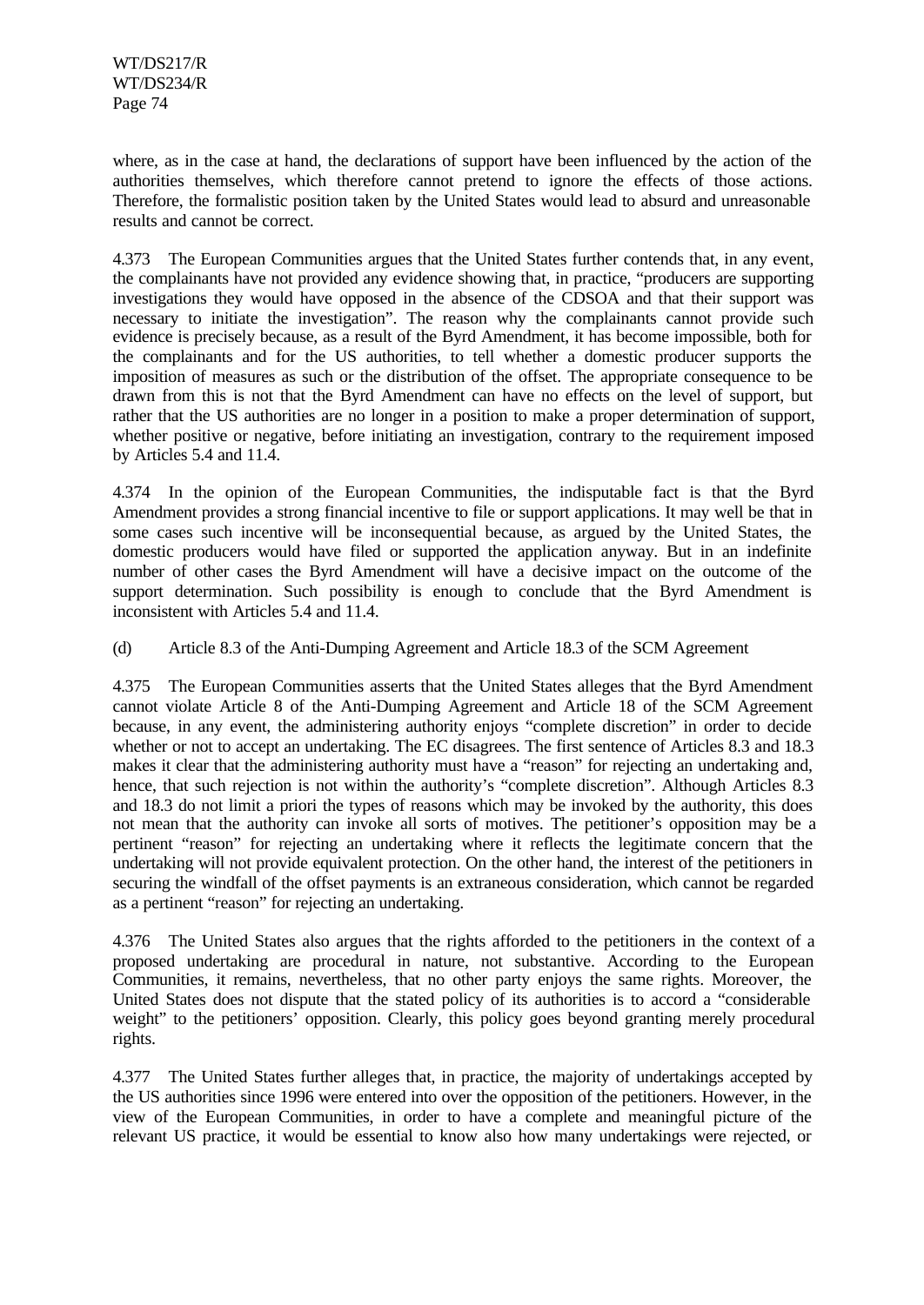where, as in the case at hand, the declarations of support have been influenced by the action of the authorities themselves, which therefore cannot pretend to ignore the effects of those actions. Therefore, the formalistic position taken by the United States would lead to absurd and unreasonable results and cannot be correct.

4.373 The European Communities argues that the United States further contends that, in any event, the complainants have not provided any evidence showing that, in practice, "producers are supporting investigations they would have opposed in the absence of the CDSOA and that their support was necessary to initiate the investigation". The reason why the complainants cannot provide such evidence is precisely because, as a result of the Byrd Amendment, it has become impossible, both for the complainants and for the US authorities, to tell whether a domestic producer supports the imposition of measures as such or the distribution of the offset. The appropriate consequence to be drawn from this is not that the Byrd Amendment can have no effects on the level of support, but rather that the US authorities are no longer in a position to make a proper determination of support, whether positive or negative, before initiating an investigation, contrary to the requirement imposed by Articles 5.4 and 11.4.

4.374 In the opinion of the European Communities, the indisputable fact is that the Byrd Amendment provides a strong financial incentive to file or support applications. It may well be that in some cases such incentive will be inconsequential because, as argued by the United States, the domestic producers would have filed or supported the application anyway. But in an indefinite number of other cases the Byrd Amendment will have a decisive impact on the outcome of the support determination. Such possibility is enough to conclude that the Byrd Amendment is inconsistent with Articles 5.4 and 11.4.

(d) Article 8.3 of the Anti-Dumping Agreement and Article 18.3 of the SCM Agreement

4.375 The European Communities asserts that the United States alleges that the Byrd Amendment cannot violate Article 8 of the Anti-Dumping Agreement and Article 18 of the SCM Agreement because, in any event, the administering authority enjoys "complete discretion" in order to decide whether or not to accept an undertaking. The EC disagrees. The first sentence of Articles 8.3 and 18.3 makes it clear that the administering authority must have a "reason" for rejecting an undertaking and, hence, that such rejection is not within the authority's "complete discretion". Although Articles 8.3 and 18.3 do not limit a priori the types of reasons which may be invoked by the authority, this does not mean that the authority can invoke all sorts of motives. The petitioner's opposition may be a pertinent "reason" for rejecting an undertaking where it reflects the legitimate concern that the undertaking will not provide equivalent protection. On the other hand, the interest of the petitioners in securing the windfall of the offset payments is an extraneous consideration, which cannot be regarded as a pertinent "reason" for rejecting an undertaking.

4.376 The United States also argues that the rights afforded to the petitioners in the context of a proposed undertaking are procedural in nature, not substantive. According to the European Communities, it remains, nevertheless, that no other party enjoys the same rights. Moreover, the United States does not dispute that the stated policy of its authorities is to accord a "considerable weight" to the petitioners' opposition. Clearly, this policy goes beyond granting merely procedural rights.

4.377 The United States further alleges that, in practice, the majority of undertakings accepted by the US authorities since 1996 were entered into over the opposition of the petitioners. However, in the view of the European Communities, in order to have a complete and meaningful picture of the relevant US practice, it would be essential to know also how many undertakings were rejected, or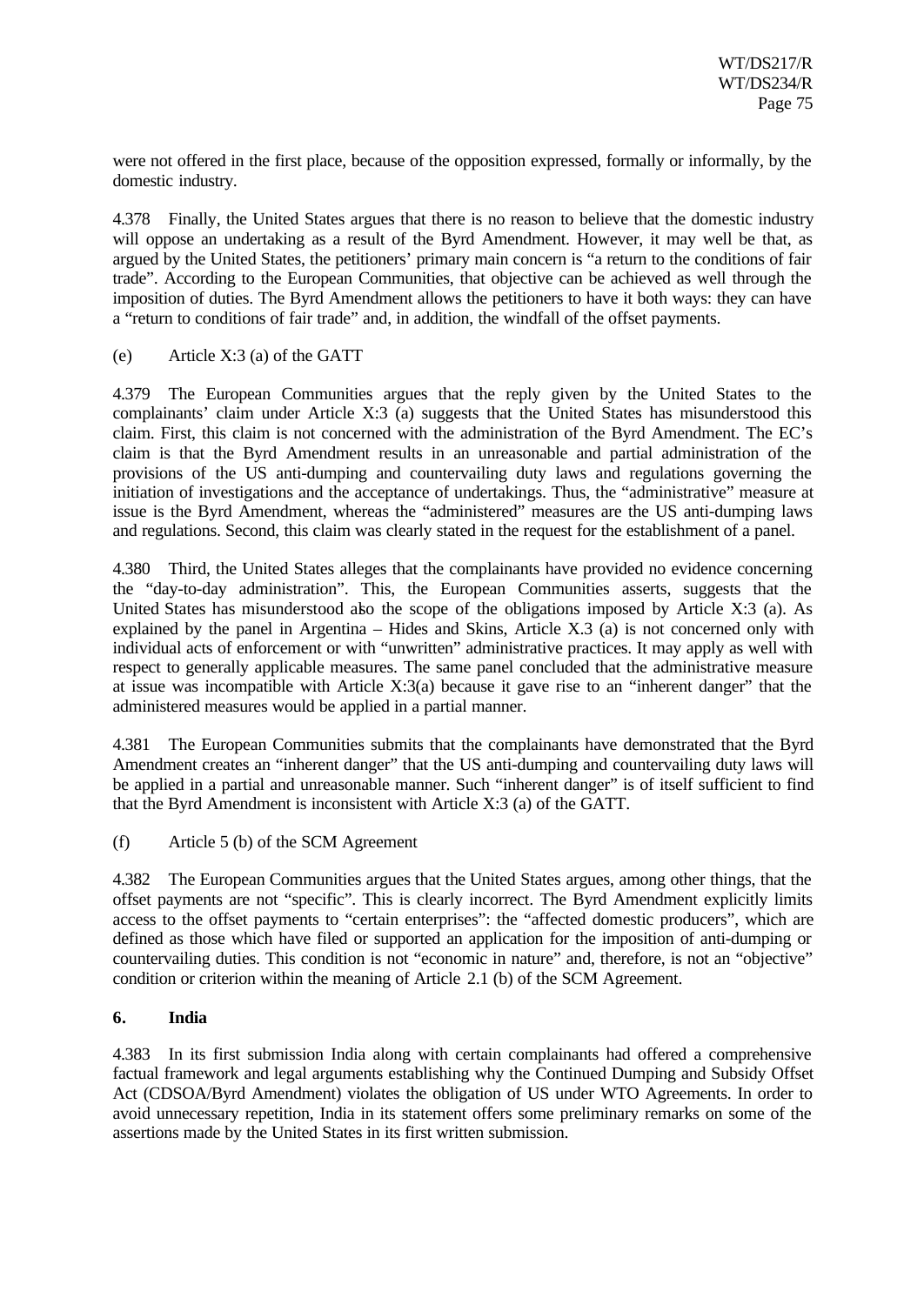were not offered in the first place, because of the opposition expressed, formally or informally, by the domestic industry.

4.378 Finally, the United States argues that there is no reason to believe that the domestic industry will oppose an undertaking as a result of the Byrd Amendment. However, it may well be that, as argued by the United States, the petitioners' primary main concern is "a return to the conditions of fair trade". According to the European Communities, that objective can be achieved as well through the imposition of duties. The Byrd Amendment allows the petitioners to have it both ways: they can have a "return to conditions of fair trade" and, in addition, the windfall of the offset payments.

(e) Article X:3 (a) of the GATT

4.379 The European Communities argues that the reply given by the United States to the complainants' claim under Article X:3 (a) suggests that the United States has misunderstood this claim. First, this claim is not concerned with the administration of the Byrd Amendment. The EC's claim is that the Byrd Amendment results in an unreasonable and partial administration of the provisions of the US anti-dumping and countervailing duty laws and regulations governing the initiation of investigations and the acceptance of undertakings. Thus, the "administrative" measure at issue is the Byrd Amendment, whereas the "administered" measures are the US anti-dumping laws and regulations. Second, this claim was clearly stated in the request for the establishment of a panel.

4.380 Third, the United States alleges that the complainants have provided no evidence concerning the "day-to-day administration". This, the European Communities asserts, suggests that the United States has misunderstood also the scope of the obligations imposed by Article X:3 (a). As explained by the panel in Argentina – Hides and Skins, Article X.3 (a) is not concerned only with individual acts of enforcement or with "unwritten" administrative practices. It may apply as well with respect to generally applicable measures. The same panel concluded that the administrative measure at issue was incompatible with Article X:3(a) because it gave rise to an "inherent danger" that the administered measures would be applied in a partial manner.

4.381 The European Communities submits that the complainants have demonstrated that the Byrd Amendment creates an "inherent danger" that the US anti-dumping and countervailing duty laws will be applied in a partial and unreasonable manner. Such "inherent danger" is of itself sufficient to find that the Byrd Amendment is inconsistent with Article X:3 (a) of the GATT.

(f) Article 5 (b) of the SCM Agreement

4.382 The European Communities argues that the United States argues, among other things, that the offset payments are not "specific". This is clearly incorrect. The Byrd Amendment explicitly limits access to the offset payments to "certain enterprises": the "affected domestic producers", which are defined as those which have filed or supported an application for the imposition of anti-dumping or countervailing duties. This condition is not "economic in nature" and, therefore, is not an "objective" condition or criterion within the meaning of Article 2.1 (b) of the SCM Agreement.

# **6. India**

4.383 In its first submission India along with certain complainants had offered a comprehensive factual framework and legal arguments establishing why the Continued Dumping and Subsidy Offset Act (CDSOA/Byrd Amendment) violates the obligation of US under WTO Agreements. In order to avoid unnecessary repetition, India in its statement offers some preliminary remarks on some of the assertions made by the United States in its first written submission.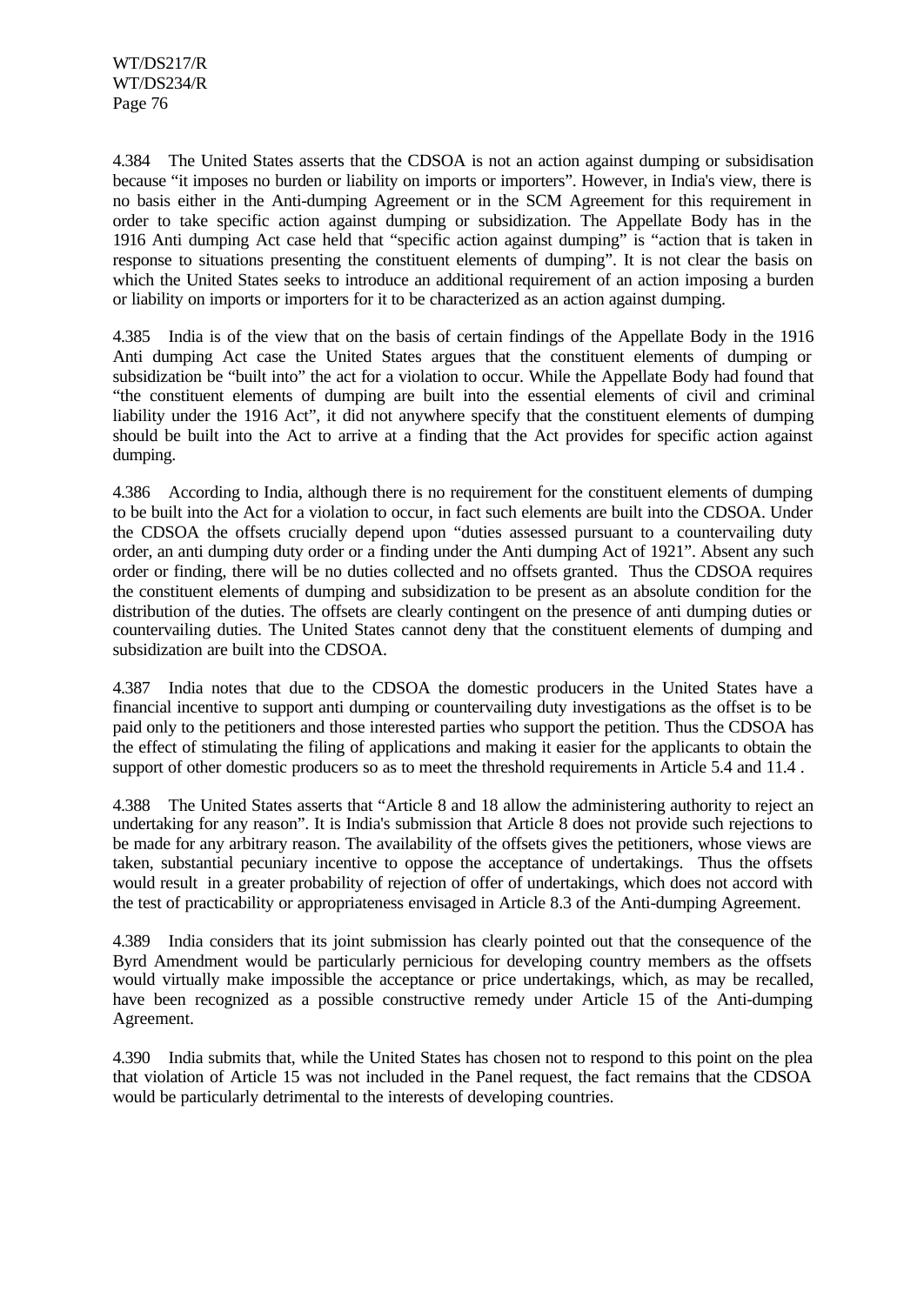4.384 The United States asserts that the CDSOA is not an action against dumping or subsidisation because "it imposes no burden or liability on imports or importers". However, in India's view, there is no basis either in the Anti-dumping Agreement or in the SCM Agreement for this requirement in order to take specific action against dumping or subsidization. The Appellate Body has in the 1916 Anti dumping Act case held that "specific action against dumping" is "action that is taken in response to situations presenting the constituent elements of dumping". It is not clear the basis on which the United States seeks to introduce an additional requirement of an action imposing a burden or liability on imports or importers for it to be characterized as an action against dumping.

4.385 India is of the view that on the basis of certain findings of the Appellate Body in the 1916 Anti dumping Act case the United States argues that the constituent elements of dumping or subsidization be "built into" the act for a violation to occur. While the Appellate Body had found that "the constituent elements of dumping are built into the essential elements of civil and criminal liability under the 1916 Act", it did not anywhere specify that the constituent elements of dumping should be built into the Act to arrive at a finding that the Act provides for specific action against dumping.

4.386 According to India, although there is no requirement for the constituent elements of dumping to be built into the Act for a violation to occur, in fact such elements are built into the CDSOA. Under the CDSOA the offsets crucially depend upon "duties assessed pursuant to a countervailing duty order, an anti dumping duty order or a finding under the Anti dumping Act of 1921". Absent any such order or finding, there will be no duties collected and no offsets granted. Thus the CDSOA requires the constituent elements of dumping and subsidization to be present as an absolute condition for the distribution of the duties. The offsets are clearly contingent on the presence of anti dumping duties or countervailing duties. The United States cannot deny that the constituent elements of dumping and subsidization are built into the CDSOA.

4.387 India notes that due to the CDSOA the domestic producers in the United States have a financial incentive to support anti dumping or countervailing duty investigations as the offset is to be paid only to the petitioners and those interested parties who support the petition. Thus the CDSOA has the effect of stimulating the filing of applications and making it easier for the applicants to obtain the support of other domestic producers so as to meet the threshold requirements in Article 5.4 and 11.4 .

4.388 The United States asserts that "Article 8 and 18 allow the administering authority to reject an undertaking for any reason". It is India's submission that Article 8 does not provide such rejections to be made for any arbitrary reason. The availability of the offsets gives the petitioners, whose views are taken, substantial pecuniary incentive to oppose the acceptance of undertakings. Thus the offsets would result in a greater probability of rejection of offer of undertakings, which does not accord with the test of practicability or appropriateness envisaged in Article 8.3 of the Anti-dumping Agreement.

4.389 India considers that its joint submission has clearly pointed out that the consequence of the Byrd Amendment would be particularly pernicious for developing country members as the offsets would virtually make impossible the acceptance or price undertakings, which, as may be recalled, have been recognized as a possible constructive remedy under Article 15 of the Anti-dumping Agreement.

4.390 India submits that, while the United States has chosen not to respond to this point on the plea that violation of Article 15 was not included in the Panel request, the fact remains that the CDSOA would be particularly detrimental to the interests of developing countries.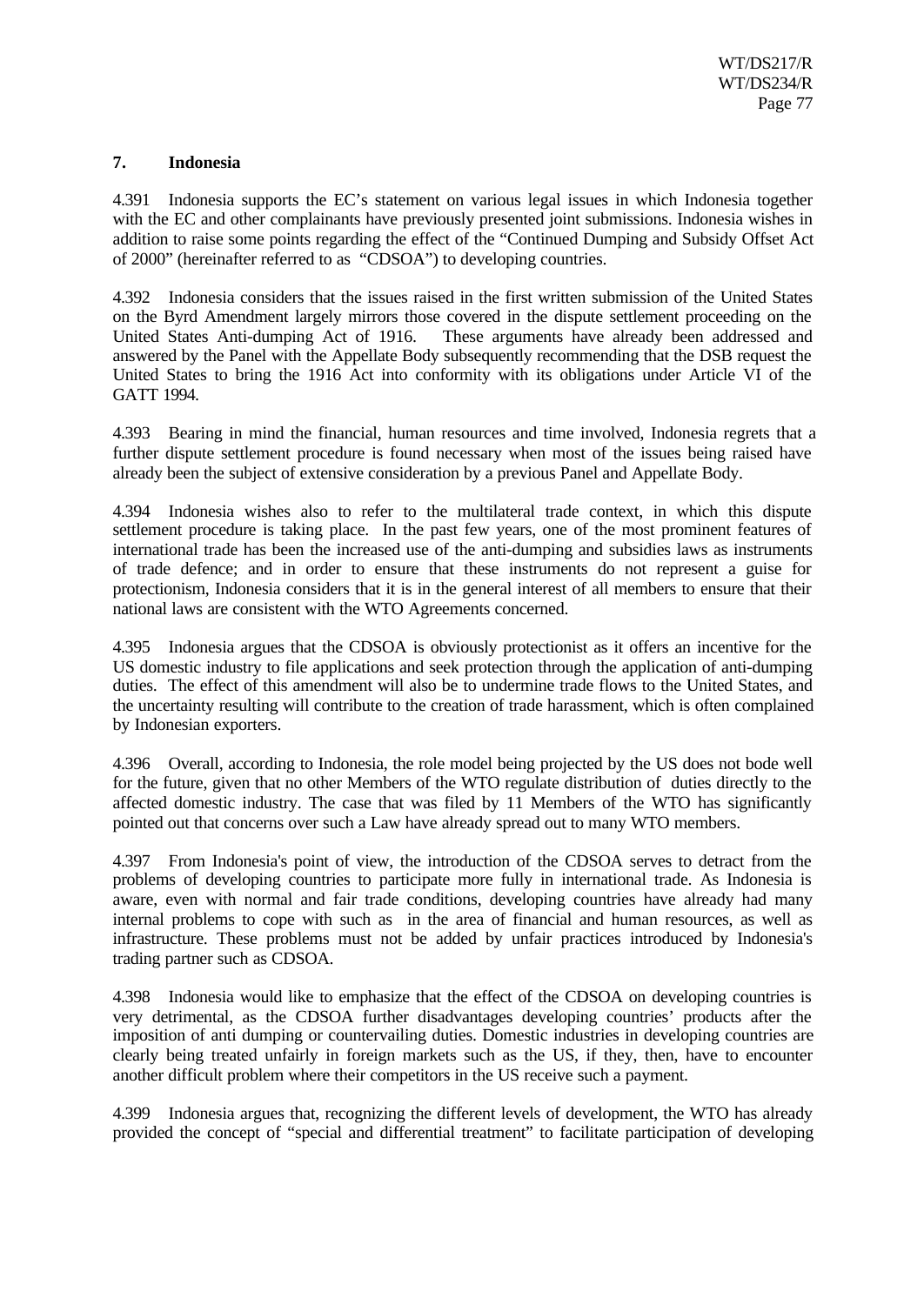## **7. Indonesia**

4.391 Indonesia supports the EC's statement on various legal issues in which Indonesia together with the EC and other complainants have previously presented joint submissions. Indonesia wishes in addition to raise some points regarding the effect of the "Continued Dumping and Subsidy Offset Act of 2000" (hereinafter referred to as "CDSOA") to developing countries.

4.392 Indonesia considers that the issues raised in the first written submission of the United States on the Byrd Amendment largely mirrors those covered in the dispute settlement proceeding on the United States Anti-dumping Act of 1916. These arguments have already been addressed and answered by the Panel with the Appellate Body subsequently recommending that the DSB request the United States to bring the 1916 Act into conformity with its obligations under Article VI of the GATT 1994.

4.393 Bearing in mind the financial, human resources and time involved, Indonesia regrets that a further dispute settlement procedure is found necessary when most of the issues being raised have already been the subject of extensive consideration by a previous Panel and Appellate Body.

4.394 Indonesia wishes also to refer to the multilateral trade context, in which this dispute settlement procedure is taking place. In the past few years, one of the most prominent features of international trade has been the increased use of the anti-dumping and subsidies laws as instruments of trade defence; and in order to ensure that these instruments do not represent a guise for protectionism, Indonesia considers that it is in the general interest of all members to ensure that their national laws are consistent with the WTO Agreements concerned.

4.395 Indonesia argues that the CDSOA is obviously protectionist as it offers an incentive for the US domestic industry to file applications and seek protection through the application of anti-dumping duties. The effect of this amendment will also be to undermine trade flows to the United States, and the uncertainty resulting will contribute to the creation of trade harassment, which is often complained by Indonesian exporters.

4.396 Overall, according to Indonesia, the role model being projected by the US does not bode well for the future, given that no other Members of the WTO regulate distribution of duties directly to the affected domestic industry. The case that was filed by 11 Members of the WTO has significantly pointed out that concerns over such a Law have already spread out to many WTO members.

4.397 From Indonesia's point of view, the introduction of the CDSOA serves to detract from the problems of developing countries to participate more fully in international trade. As Indonesia is aware, even with normal and fair trade conditions, developing countries have already had many internal problems to cope with such as in the area of financial and human resources, as well as infrastructure. These problems must not be added by unfair practices introduced by Indonesia's trading partner such as CDSOA.

4.398 Indonesia would like to emphasize that the effect of the CDSOA on developing countries is very detrimental, as the CDSOA further disadvantages developing countries' products after the imposition of anti dumping or countervailing duties. Domestic industries in developing countries are clearly being treated unfairly in foreign markets such as the US, if they, then, have to encounter another difficult problem where their competitors in the US receive such a payment.

4.399 Indonesia argues that, recognizing the different levels of development, the WTO has already provided the concept of "special and differential treatment" to facilitate participation of developing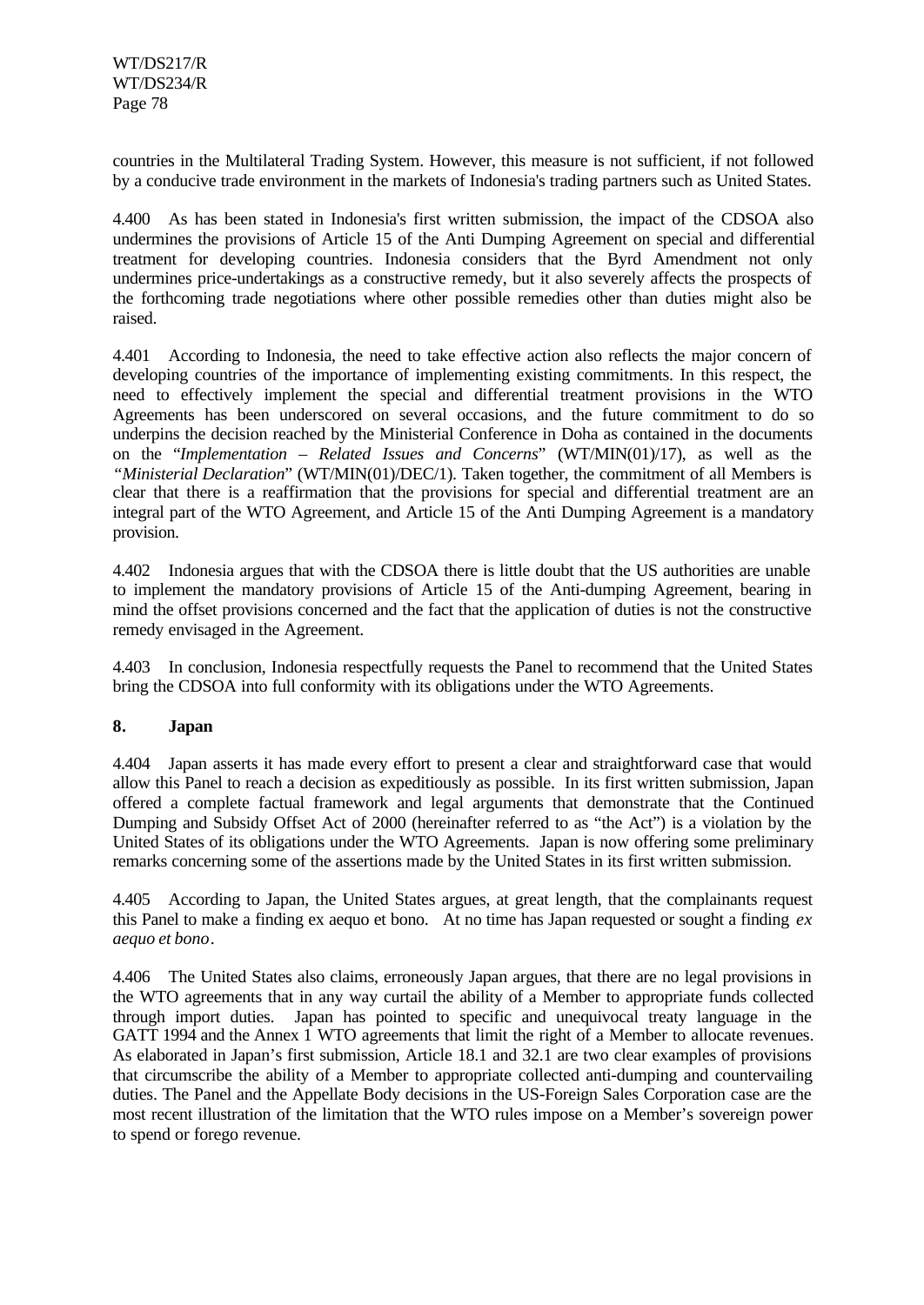countries in the Multilateral Trading System. However, this measure is not sufficient, if not followed by a conducive trade environment in the markets of Indonesia's trading partners such as United States.

4.400 As has been stated in Indonesia's first written submission, the impact of the CDSOA also undermines the provisions of Article 15 of the Anti Dumping Agreement on special and differential treatment for developing countries. Indonesia considers that the Byrd Amendment not only undermines price-undertakings as a constructive remedy, but it also severely affects the prospects of the forthcoming trade negotiations where other possible remedies other than duties might also be raised.

4.401 According to Indonesia, the need to take effective action also reflects the major concern of developing countries of the importance of implementing existing commitments. In this respect, the need to effectively implement the special and differential treatment provisions in the WTO Agreements has been underscored on several occasions, and the future commitment to do so underpins the decision reached by the Ministerial Conference in Doha as contained in the documents on the "*Implementation – Related Issues and Concerns*" (WT/MIN(01)/17), as well as the *"Ministerial Declaration*" (WT/MIN(01)/DEC/1). Taken together, the commitment of all Members is clear that there is a reaffirmation that the provisions for special and differential treatment are an integral part of the WTO Agreement, and Article 15 of the Anti Dumping Agreement is a mandatory provision.

4.402 Indonesia argues that with the CDSOA there is little doubt that the US authorities are unable to implement the mandatory provisions of Article 15 of the Anti-dumping Agreement, bearing in mind the offset provisions concerned and the fact that the application of duties is not the constructive remedy envisaged in the Agreement.

4.403 In conclusion, Indonesia respectfully requests the Panel to recommend that the United States bring the CDSOA into full conformity with its obligations under the WTO Agreements.

# **8. Japan**

4.404 Japan asserts it has made every effort to present a clear and straightforward case that would allow this Panel to reach a decision as expeditiously as possible. In its first written submission, Japan offered a complete factual framework and legal arguments that demonstrate that the Continued Dumping and Subsidy Offset Act of 2000 (hereinafter referred to as "the Act") is a violation by the United States of its obligations under the WTO Agreements. Japan is now offering some preliminary remarks concerning some of the assertions made by the United States in its first written submission.

4.405 According to Japan, the United States argues, at great length, that the complainants request this Panel to make a finding ex aequo et bono. At no time has Japan requested or sought a finding *ex aequo et bono*.

4.406 The United States also claims, erroneously Japan argues, that there are no legal provisions in the WTO agreements that in any way curtail the ability of a Member to appropriate funds collected through import duties. Japan has pointed to specific and unequivocal treaty language in the GATT 1994 and the Annex 1 WTO agreements that limit the right of a Member to allocate revenues. As elaborated in Japan's first submission, Article 18.1 and 32.1 are two clear examples of provisions that circumscribe the ability of a Member to appropriate collected anti-dumping and countervailing duties. The Panel and the Appellate Body decisions in the US-Foreign Sales Corporation case are the most recent illustration of the limitation that the WTO rules impose on a Member's sovereign power to spend or forego revenue.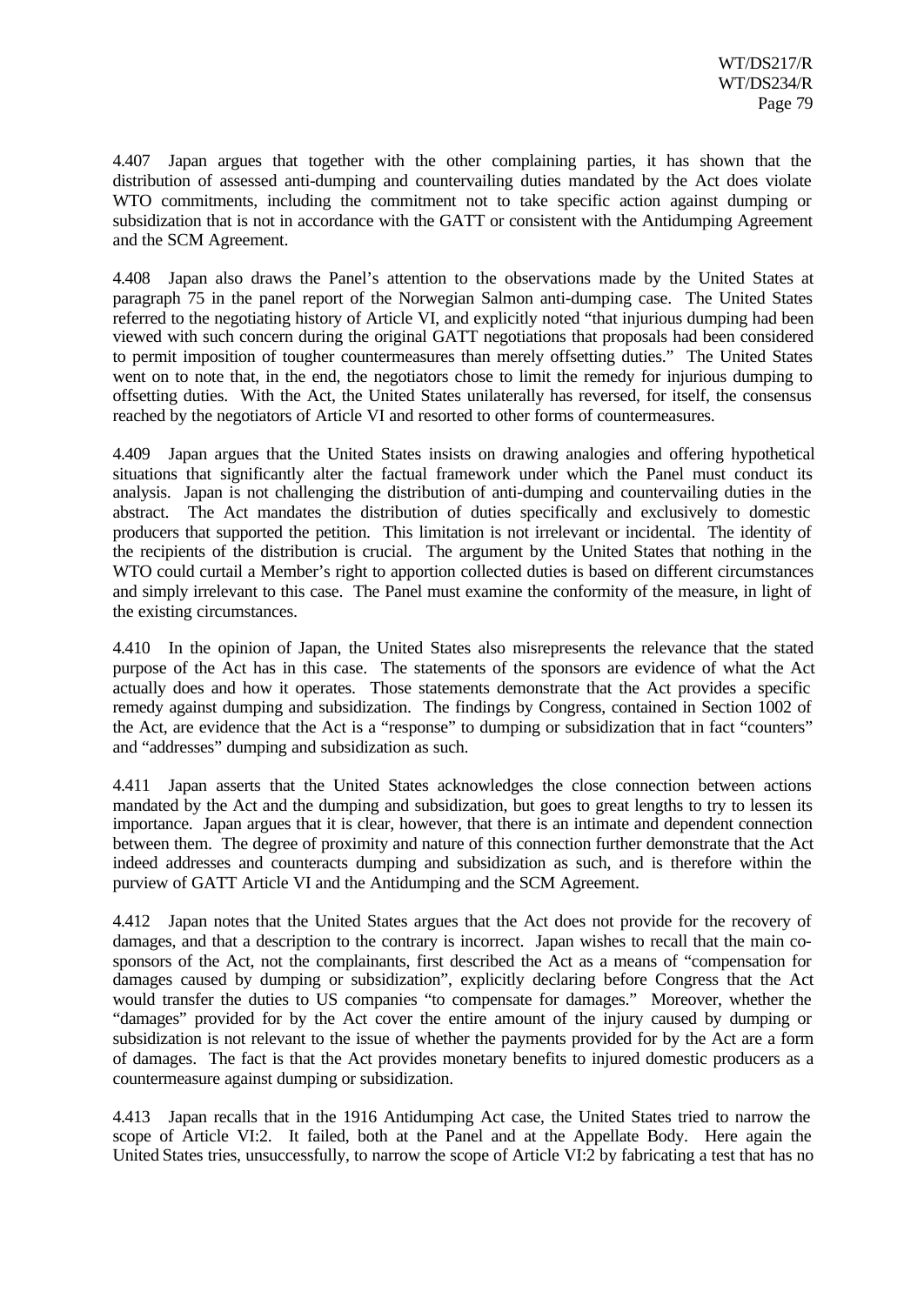4.407 Japan argues that together with the other complaining parties, it has shown that the distribution of assessed anti-dumping and countervailing duties mandated by the Act does violate WTO commitments, including the commitment not to take specific action against dumping or subsidization that is not in accordance with the GATT or consistent with the Antidumping Agreement and the SCM Agreement.

4.408 Japan also draws the Panel's attention to the observations made by the United States at paragraph 75 in the panel report of the Norwegian Salmon anti-dumping case. The United States referred to the negotiating history of Article VI, and explicitly noted "that injurious dumping had been viewed with such concern during the original GATT negotiations that proposals had been considered to permit imposition of tougher countermeasures than merely offsetting duties." The United States went on to note that, in the end, the negotiators chose to limit the remedy for injurious dumping to offsetting duties. With the Act, the United States unilaterally has reversed, for itself, the consensus reached by the negotiators of Article VI and resorted to other forms of countermeasures.

4.409 Japan argues that the United States insists on drawing analogies and offering hypothetical situations that significantly alter the factual framework under which the Panel must conduct its analysis. Japan is not challenging the distribution of anti-dumping and countervailing duties in the abstract. The Act mandates the distribution of duties specifically and exclusively to domestic producers that supported the petition. This limitation is not irrelevant or incidental. The identity of the recipients of the distribution is crucial. The argument by the United States that nothing in the WTO could curtail a Member's right to apportion collected duties is based on different circumstances and simply irrelevant to this case. The Panel must examine the conformity of the measure, in light of the existing circumstances.

4.410 In the opinion of Japan, the United States also misrepresents the relevance that the stated purpose of the Act has in this case. The statements of the sponsors are evidence of what the Act actually does and how it operates. Those statements demonstrate that the Act provides a specific remedy against dumping and subsidization. The findings by Congress, contained in Section 1002 of the Act, are evidence that the Act is a "response" to dumping or subsidization that in fact "counters" and "addresses" dumping and subsidization as such.

4.411 Japan asserts that the United States acknowledges the close connection between actions mandated by the Act and the dumping and subsidization, but goes to great lengths to try to lessen its importance. Japan argues that it is clear, however, that there is an intimate and dependent connection between them. The degree of proximity and nature of this connection further demonstrate that the Act indeed addresses and counteracts dumping and subsidization as such, and is therefore within the purview of GATT Article VI and the Antidumping and the SCM Agreement.

4.412 Japan notes that the United States argues that the Act does not provide for the recovery of damages, and that a description to the contrary is incorrect. Japan wishes to recall that the main cosponsors of the Act, not the complainants, first described the Act as a means of "compensation for damages caused by dumping or subsidization", explicitly declaring before Congress that the Act would transfer the duties to US companies "to compensate for damages." Moreover, whether the "damages" provided for by the Act cover the entire amount of the injury caused by dumping or subsidization is not relevant to the issue of whether the payments provided for by the Act are a form of damages. The fact is that the Act provides monetary benefits to injured domestic producers as a countermeasure against dumping or subsidization.

4.413 Japan recalls that in the 1916 Antidumping Act case, the United States tried to narrow the scope of Article VI:2. It failed, both at the Panel and at the Appellate Body. Here again the United States tries, unsuccessfully, to narrow the scope of Article VI:2 by fabricating a test that has no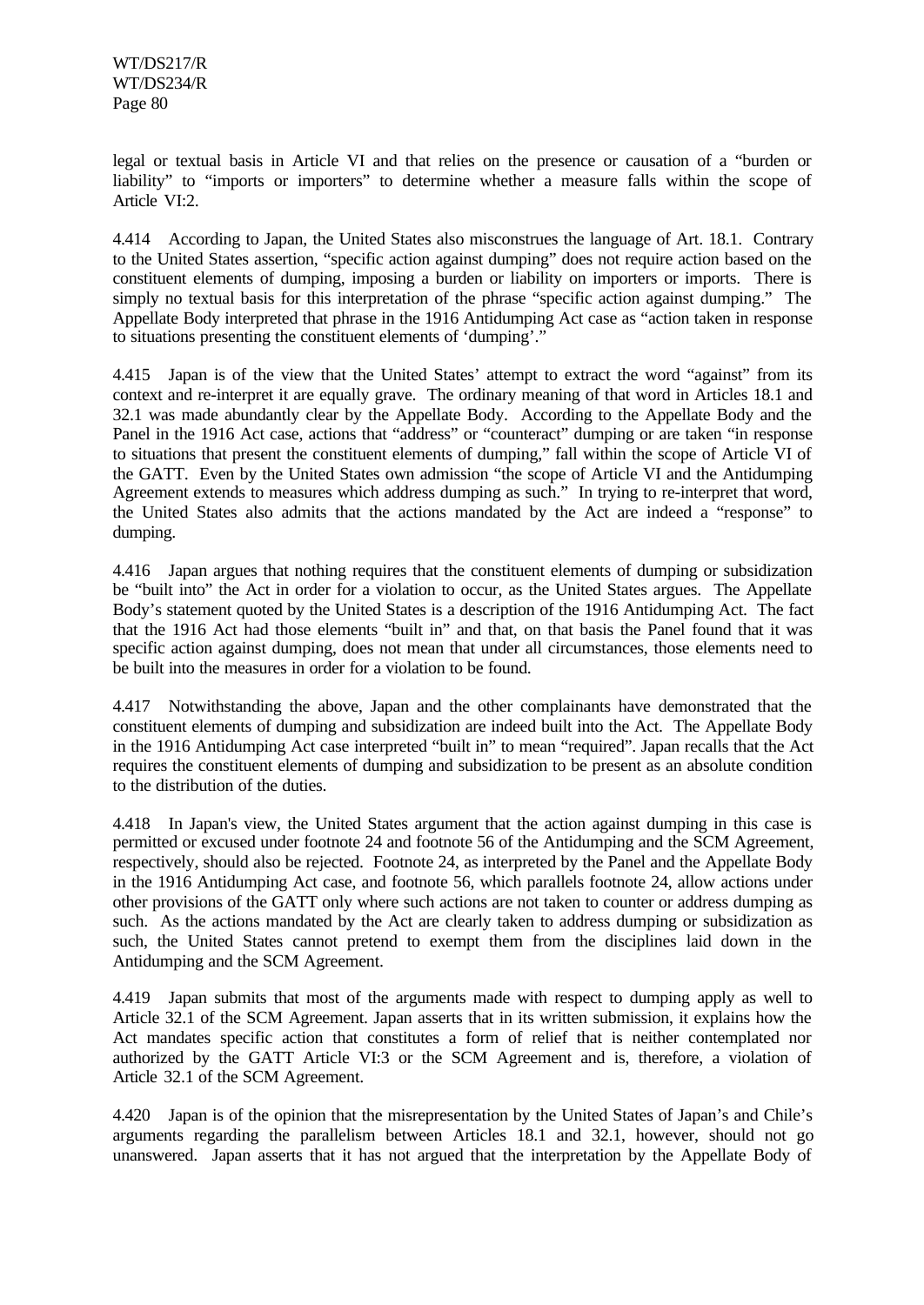legal or textual basis in Article VI and that relies on the presence or causation of a "burden or liability" to "imports or importers" to determine whether a measure falls within the scope of Article VI:2.

4.414 According to Japan, the United States also misconstrues the language of Art. 18.1. Contrary to the United States assertion, "specific action against dumping" does not require action based on the constituent elements of dumping, imposing a burden or liability on importers or imports. There is simply no textual basis for this interpretation of the phrase "specific action against dumping." The Appellate Body interpreted that phrase in the 1916 Antidumping Act case as "action taken in response to situations presenting the constituent elements of 'dumping'."

4.415 Japan is of the view that the United States' attempt to extract the word "against" from its context and re-interpret it are equally grave. The ordinary meaning of that word in Articles 18.1 and 32.1 was made abundantly clear by the Appellate Body. According to the Appellate Body and the Panel in the 1916 Act case, actions that "address" or "counteract" dumping or are taken "in response to situations that present the constituent elements of dumping," fall within the scope of Article VI of the GATT. Even by the United States own admission "the scope of Article VI and the Antidumping Agreement extends to measures which address dumping as such." In trying to re-interpret that word, the United States also admits that the actions mandated by the Act are indeed a "response" to dumping.

4.416 Japan argues that nothing requires that the constituent elements of dumping or subsidization be "built into" the Act in order for a violation to occur, as the United States argues. The Appellate Body's statement quoted by the United States is a description of the 1916 Antidumping Act. The fact that the 1916 Act had those elements "built in" and that, on that basis the Panel found that it was specific action against dumping, does not mean that under all circumstances, those elements need to be built into the measures in order for a violation to be found.

4.417 Notwithstanding the above, Japan and the other complainants have demonstrated that the constituent elements of dumping and subsidization are indeed built into the Act. The Appellate Body in the 1916 Antidumping Act case interpreted "built in" to mean "required". Japan recalls that the Act requires the constituent elements of dumping and subsidization to be present as an absolute condition to the distribution of the duties.

4.418 In Japan's view, the United States argument that the action against dumping in this case is permitted or excused under footnote 24 and footnote 56 of the Antidumping and the SCM Agreement, respectively, should also be rejected. Footnote 24, as interpreted by the Panel and the Appellate Body in the 1916 Antidumping Act case, and footnote 56, which parallels footnote 24, allow actions under other provisions of the GATT only where such actions are not taken to counter or address dumping as such. As the actions mandated by the Act are clearly taken to address dumping or subsidization as such, the United States cannot pretend to exempt them from the disciplines laid down in the Antidumping and the SCM Agreement.

4.419 Japan submits that most of the arguments made with respect to dumping apply as well to Article 32.1 of the SCM Agreement. Japan asserts that in its written submission, it explains how the Act mandates specific action that constitutes a form of relief that is neither contemplated nor authorized by the GATT Article VI:3 or the SCM Agreement and is, therefore, a violation of Article 32.1 of the SCM Agreement.

4.420 Japan is of the opinion that the misrepresentation by the United States of Japan's and Chile's arguments regarding the parallelism between Articles 18.1 and 32.1, however, should not go unanswered. Japan asserts that it has not argued that the interpretation by the Appellate Body of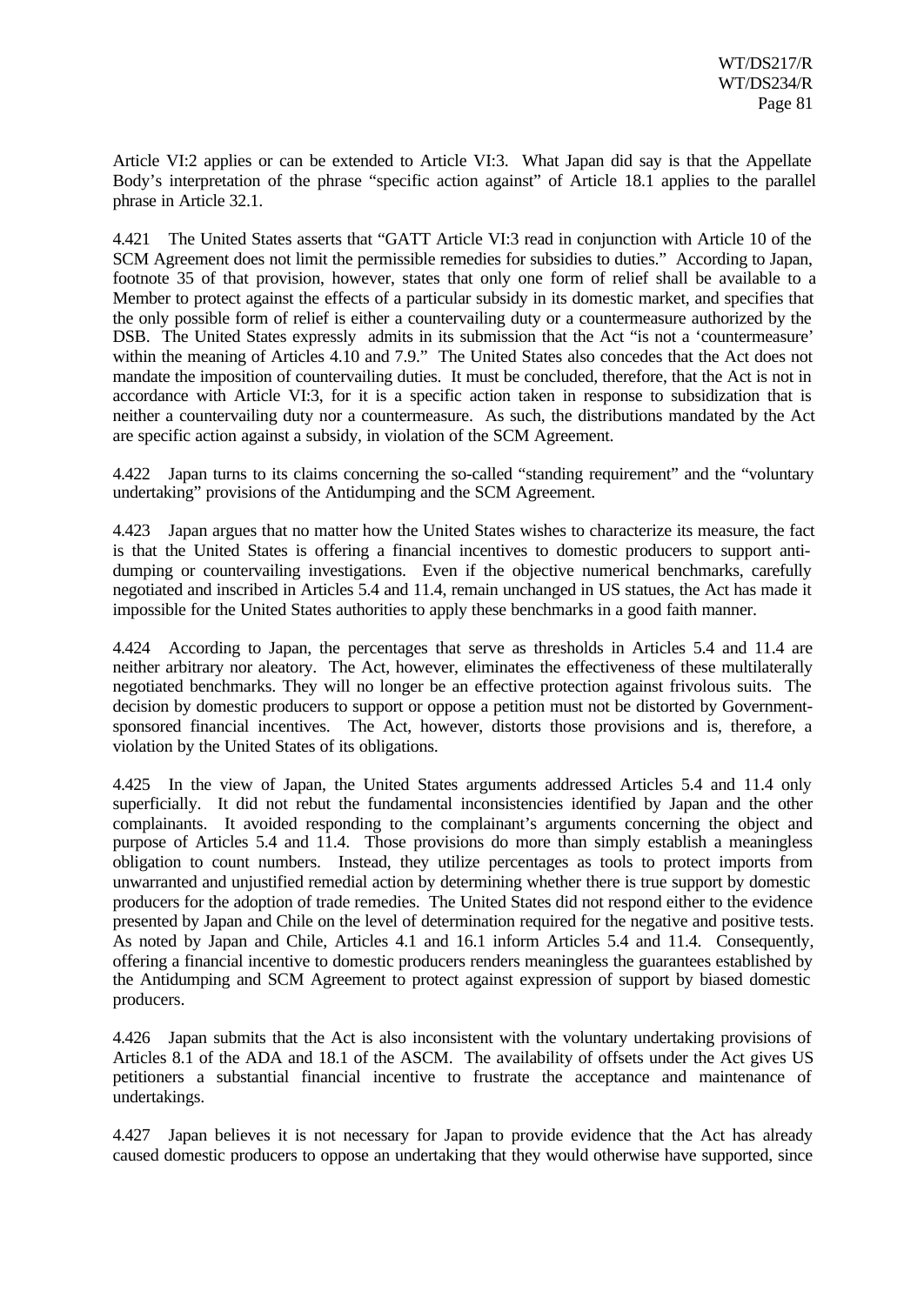Article VI:2 applies or can be extended to Article VI:3. What Japan did say is that the Appellate Body's interpretation of the phrase "specific action against" of Article 18.1 applies to the parallel phrase in Article 32.1.

4.421 The United States asserts that "GATT Article VI:3 read in conjunction with Article 10 of the SCM Agreement does not limit the permissible remedies for subsidies to duties." According to Japan, footnote 35 of that provision, however, states that only one form of relief shall be available to a Member to protect against the effects of a particular subsidy in its domestic market, and specifies that the only possible form of relief is either a countervailing duty or a countermeasure authorized by the DSB. The United States expressly admits in its submission that the Act "is not a 'countermeasure' within the meaning of Articles 4.10 and 7.9." The United States also concedes that the Act does not mandate the imposition of countervailing duties. It must be concluded, therefore, that the Act is not in accordance with Article VI:3, for it is a specific action taken in response to subsidization that is neither a countervailing duty nor a countermeasure. As such, the distributions mandated by the Act are specific action against a subsidy, in violation of the SCM Agreement.

4.422 Japan turns to its claims concerning the so-called "standing requirement" and the "voluntary undertaking" provisions of the Antidumping and the SCM Agreement.

4.423 Japan argues that no matter how the United States wishes to characterize its measure, the fact is that the United States is offering a financial incentives to domestic producers to support antidumping or countervailing investigations. Even if the objective numerical benchmarks, carefully negotiated and inscribed in Articles 5.4 and 11.4, remain unchanged in US statues, the Act has made it impossible for the United States authorities to apply these benchmarks in a good faith manner.

4.424 According to Japan, the percentages that serve as thresholds in Articles 5.4 and 11.4 are neither arbitrary nor aleatory. The Act, however, eliminates the effectiveness of these multilaterally negotiated benchmarks. They will no longer be an effective protection against frivolous suits. The decision by domestic producers to support or oppose a petition must not be distorted by Governmentsponsored financial incentives. The Act, however, distorts those provisions and is, therefore, a violation by the United States of its obligations.

4.425 In the view of Japan, the United States arguments addressed Articles 5.4 and 11.4 only superficially. It did not rebut the fundamental inconsistencies identified by Japan and the other complainants. It avoided responding to the complainant's arguments concerning the object and purpose of Articles 5.4 and 11.4. Those provisions do more than simply establish a meaningless obligation to count numbers. Instead, they utilize percentages as tools to protect imports from unwarranted and unjustified remedial action by determining whether there is true support by domestic producers for the adoption of trade remedies. The United States did not respond either to the evidence presented by Japan and Chile on the level of determination required for the negative and positive tests. As noted by Japan and Chile, Articles 4.1 and 16.1 inform Articles 5.4 and 11.4. Consequently, offering a financial incentive to domestic producers renders meaningless the guarantees established by the Antidumping and SCM Agreement to protect against expression of support by biased domestic producers.

4.426 Japan submits that the Act is also inconsistent with the voluntary undertaking provisions of Articles 8.1 of the ADA and 18.1 of the ASCM. The availability of offsets under the Act gives US petitioners a substantial financial incentive to frustrate the acceptance and maintenance of undertakings.

4.427 Japan believes it is not necessary for Japan to provide evidence that the Act has already caused domestic producers to oppose an undertaking that they would otherwise have supported, since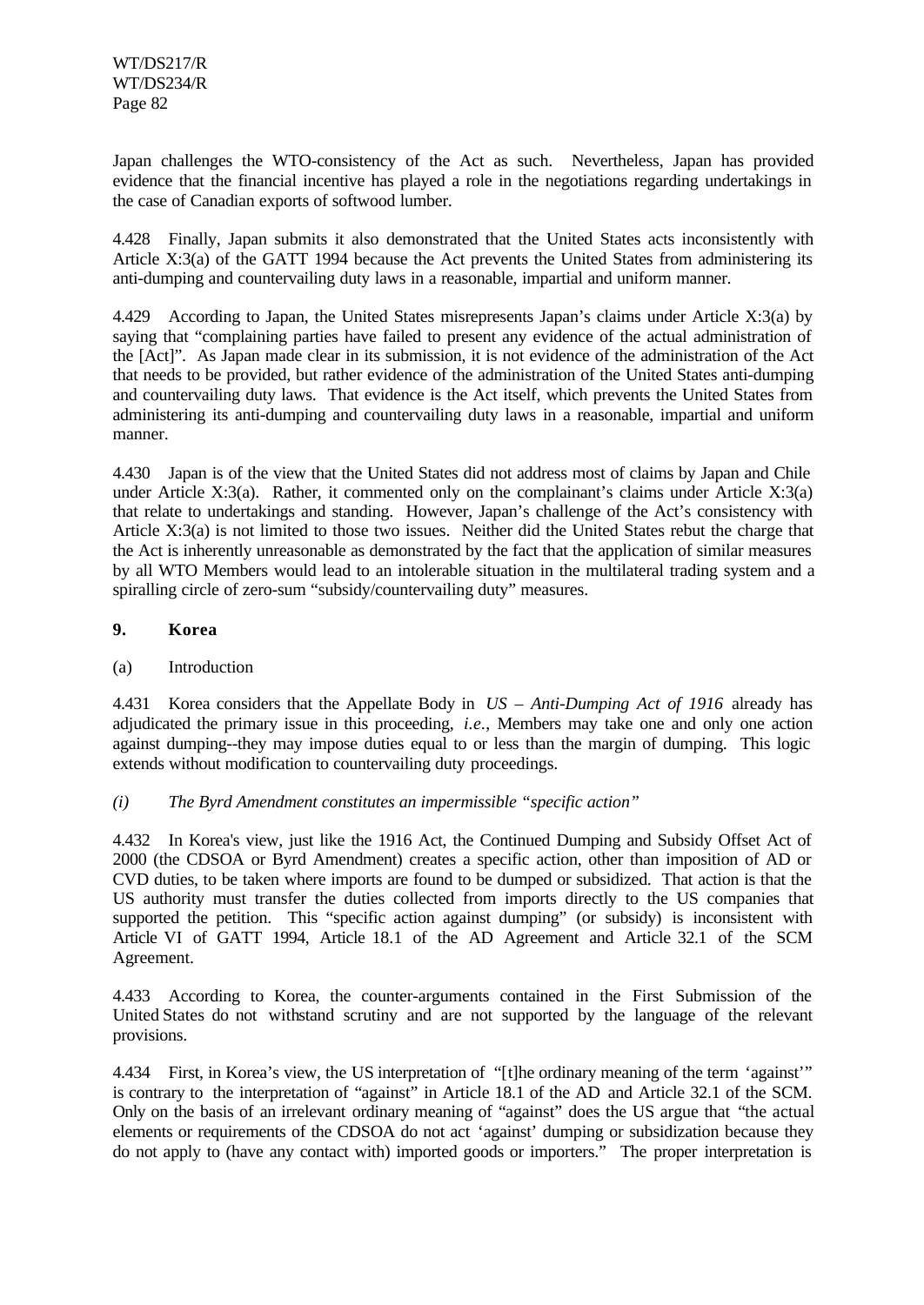Japan challenges the WTO-consistency of the Act as such. Nevertheless, Japan has provided evidence that the financial incentive has played a role in the negotiations regarding undertakings in the case of Canadian exports of softwood lumber.

4.428 Finally, Japan submits it also demonstrated that the United States acts inconsistently with Article X:3(a) of the GATT 1994 because the Act prevents the United States from administering its anti-dumping and countervailing duty laws in a reasonable, impartial and uniform manner.

4.429 According to Japan, the United States misrepresents Japan's claims under Article X:3(a) by saying that "complaining parties have failed to present any evidence of the actual administration of the [Act]". As Japan made clear in its submission, it is not evidence of the administration of the Act that needs to be provided, but rather evidence of the administration of the United States anti-dumping and countervailing duty laws. That evidence is the Act itself, which prevents the United States from administering its anti-dumping and countervailing duty laws in a reasonable, impartial and uniform manner.

4.430 Japan is of the view that the United States did not address most of claims by Japan and Chile under Article  $X:3(a)$ . Rather, it commented only on the complainant's claims under Article  $X:3(a)$ that relate to undertakings and standing. However, Japan's challenge of the Act's consistency with Article X:3(a) is not limited to those two issues. Neither did the United States rebut the charge that the Act is inherently unreasonable as demonstrated by the fact that the application of similar measures by all WTO Members would lead to an intolerable situation in the multilateral trading system and a spiralling circle of zero-sum "subsidy/countervailing duty" measures.

## **9. Korea**

# (a) Introduction

4.431 Korea considers that the Appellate Body in *US – Anti-Dumping Act of 1916* already has adjudicated the primary issue in this proceeding, *i.e.*, Members may take one and only one action against dumping--they may impose duties equal to or less than the margin of dumping. This logic extends without modification to countervailing duty proceedings.

### *(i) The Byrd Amendment constitutes an impermissible "specific action"*

4.432 In Korea's view, just like the 1916 Act, the Continued Dumping and Subsidy Offset Act of 2000 (the CDSOA or Byrd Amendment) creates a specific action, other than imposition of AD or CVD duties, to be taken where imports are found to be dumped or subsidized. That action is that the US authority must transfer the duties collected from imports directly to the US companies that supported the petition. This "specific action against dumping" (or subsidy) is inconsistent with Article VI of GATT 1994, Article 18.1 of the AD Agreement and Article 32.1 of the SCM Agreement.

4.433 According to Korea, the counter-arguments contained in the First Submission of the United States do not withstand scrutiny and are not supported by the language of the relevant provisions.

4.434 First, in Korea's view, the US interpretation of "[t]he ordinary meaning of the term 'against'" is contrary to the interpretation of "against" in Article 18.1 of the AD and Article 32.1 of the SCM. Only on the basis of an irrelevant ordinary meaning of "against" does the US argue that "the actual elements or requirements of the CDSOA do not act 'against' dumping or subsidization because they do not apply to (have any contact with) imported goods or importers." The proper interpretation is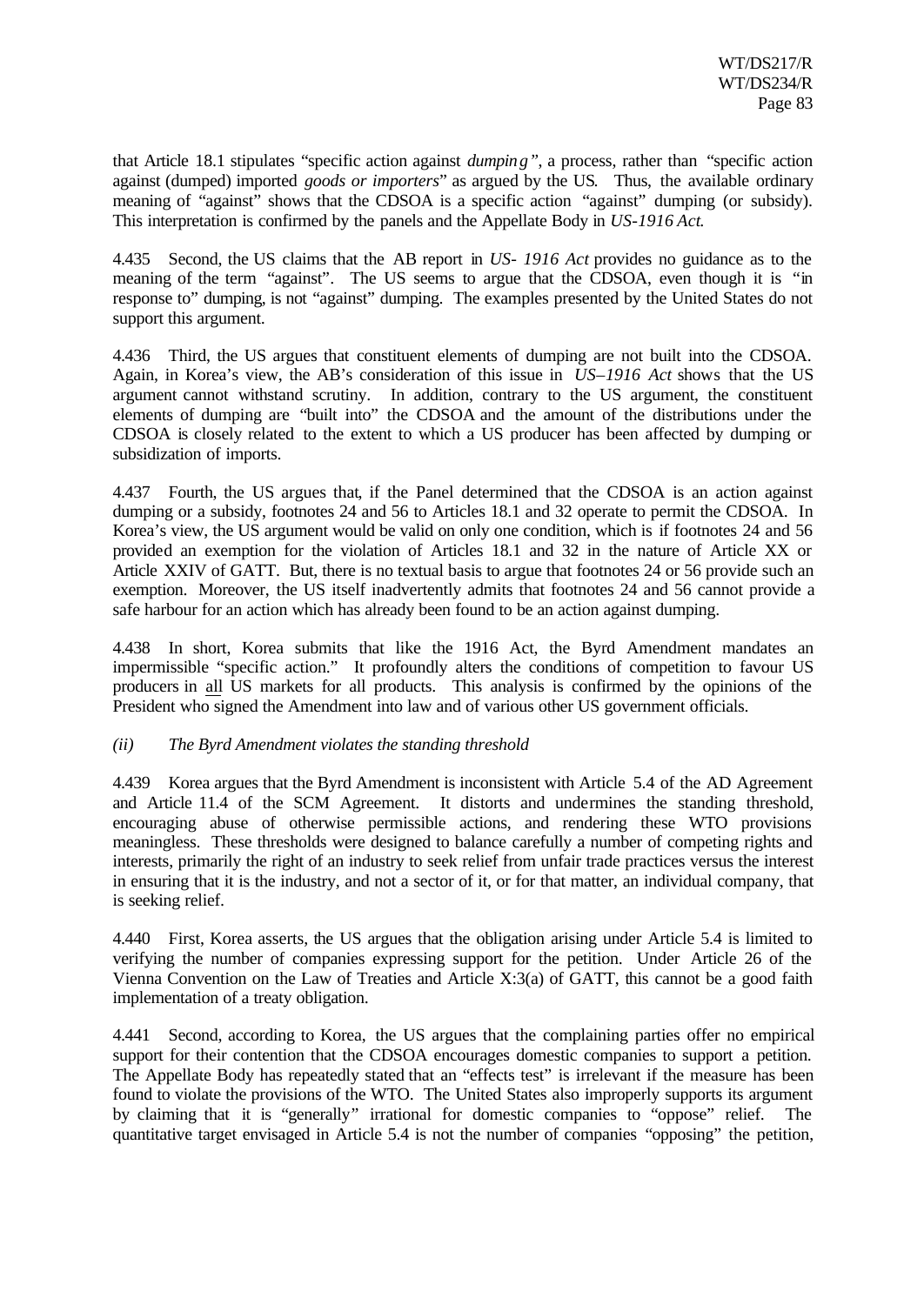that Article 18.1 stipulates "specific action against *dumping"*, a process, rather than "specific action against (dumped) imported *goods or importers*" as argued by the US. Thus, the available ordinary meaning of "against" shows that the CDSOA is a specific action "against" dumping (or subsidy). This interpretation is confirmed by the panels and the Appellate Body in *US-1916 Act*.

4.435 Second, the US claims that the AB report in *US- 1916 Act* provides no guidance as to the meaning of the term "against". The US seems to argue that the CDSOA, even though it is "in response to" dumping, is not "against" dumping. The examples presented by the United States do not support this argument.

4.436 Third, the US argues that constituent elements of dumping are not built into the CDSOA. Again, in Korea's view, the AB's consideration of this issue in *US–1916 Act* shows that the US argument cannot withstand scrutiny. In addition, contrary to the US argument, the constituent elements of dumping are "built into" the CDSOA and the amount of the distributions under the CDSOA is closely related to the extent to which a US producer has been affected by dumping or subsidization of imports.

4.437 Fourth, the US argues that, if the Panel determined that the CDSOA is an action against dumping or a subsidy, footnotes 24 and 56 to Articles 18.1 and 32 operate to permit the CDSOA. In Korea's view, the US argument would be valid on only one condition, which is if footnotes 24 and 56 provided an exemption for the violation of Articles 18.1 and 32 in the nature of Article XX or Article XXIV of GATT. But, there is no textual basis to argue that footnotes 24 or 56 provide such an exemption. Moreover, the US itself inadvertently admits that footnotes 24 and 56 cannot provide a safe harbour for an action which has already been found to be an action against dumping.

4.438 In short, Korea submits that like the 1916 Act, the Byrd Amendment mandates an impermissible "specific action." It profoundly alters the conditions of competition to favour US producers in all US markets for all products. This analysis is confirmed by the opinions of the President who signed the Amendment into law and of various other US government officials.

### *(ii) The Byrd Amendment violates the standing threshold*

4.439 Korea argues that the Byrd Amendment is inconsistent with Article 5.4 of the AD Agreement and Article 11.4 of the SCM Agreement. It distorts and undermines the standing threshold, encouraging abuse of otherwise permissible actions, and rendering these WTO provisions meaningless. These thresholds were designed to balance carefully a number of competing rights and interests, primarily the right of an industry to seek relief from unfair trade practices versus the interest in ensuring that it is the industry, and not a sector of it, or for that matter, an individual company, that is seeking relief.

4.440 First, Korea asserts, the US argues that the obligation arising under Article 5.4 is limited to verifying the number of companies expressing support for the petition. Under Article 26 of the Vienna Convention on the Law of Treaties and Article X:3(a) of GATT, this cannot be a good faith implementation of a treaty obligation.

4.441 Second, according to Korea, the US argues that the complaining parties offer no empirical support for their contention that the CDSOA encourages domestic companies to support a petition. The Appellate Body has repeatedly stated that an "effects test" is irrelevant if the measure has been found to violate the provisions of the WTO. The United States also improperly supports its argument by claiming that it is "generally" irrational for domestic companies to "oppose" relief. The quantitative target envisaged in Article 5.4 is not the number of companies "opposing" the petition,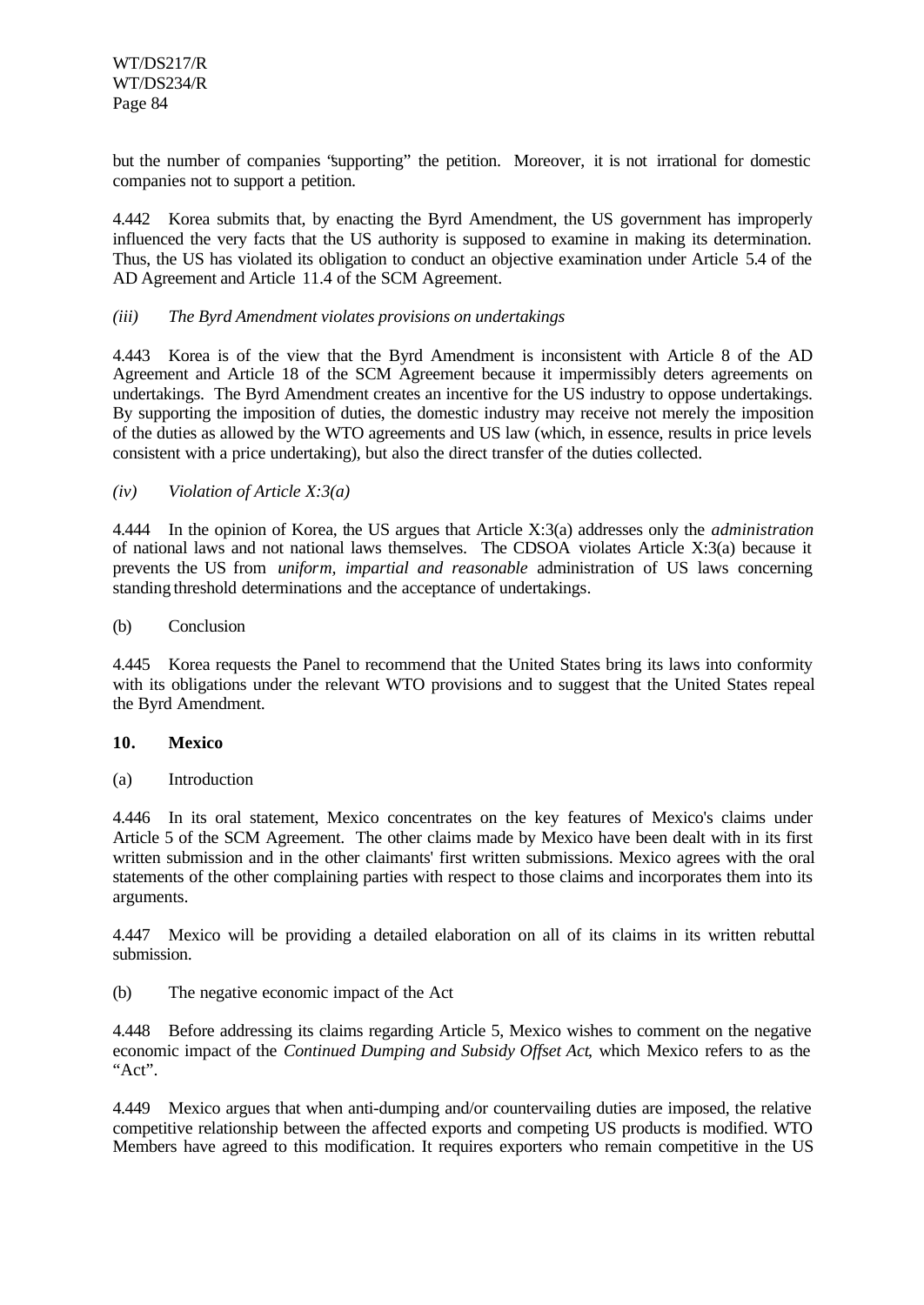but the number of companies "supporting" the petition. Moreover, it is not irrational for domestic companies not to support a petition.

4.442 Korea submits that, by enacting the Byrd Amendment, the US government has improperly influenced the very facts that the US authority is supposed to examine in making its determination. Thus, the US has violated its obligation to conduct an objective examination under Article 5.4 of the AD Agreement and Article 11.4 of the SCM Agreement.

### *(iii) The Byrd Amendment violates provisions on undertakings*

4.443 Korea is of the view that the Byrd Amendment is inconsistent with Article 8 of the AD Agreement and Article 18 of the SCM Agreement because it impermissibly deters agreements on undertakings. The Byrd Amendment creates an incentive for the US industry to oppose undertakings. By supporting the imposition of duties, the domestic industry may receive not merely the imposition of the duties as allowed by the WTO agreements and US law (which, in essence, results in price levels consistent with a price undertaking), but also the direct transfer of the duties collected.

## *(iv) Violation of Article X:3(a)*

4.444 In the opinion of Korea, the US argues that Article X:3(a) addresses only the *administration* of national laws and not national laws themselves. The CDSOA violates Article X:3(a) because it prevents the US from *uniform, impartial and reasonable* administration of US laws concerning standing threshold determinations and the acceptance of undertakings.

### (b) Conclusion

4.445 Korea requests the Panel to recommend that the United States bring its laws into conformity with its obligations under the relevant WTO provisions and to suggest that the United States repeal the Byrd Amendment.

### **10. Mexico**

### (a) Introduction

4.446 In its oral statement, Mexico concentrates on the key features of Mexico's claims under Article 5 of the SCM Agreement. The other claims made by Mexico have been dealt with in its first written submission and in the other claimants' first written submissions. Mexico agrees with the oral statements of the other complaining parties with respect to those claims and incorporates them into its arguments.

4.447 Mexico will be providing a detailed elaboration on all of its claims in its written rebuttal submission.

(b) The negative economic impact of the Act

4.448 Before addressing its claims regarding Article 5, Mexico wishes to comment on the negative economic impact of the *Continued Dumping and Subsidy Offset Act*, which Mexico refers to as the "Act".

4.449 Mexico argues that when anti-dumping and/or countervailing duties are imposed, the relative competitive relationship between the affected exports and competing US products is modified. WTO Members have agreed to this modification. It requires exporters who remain competitive in the US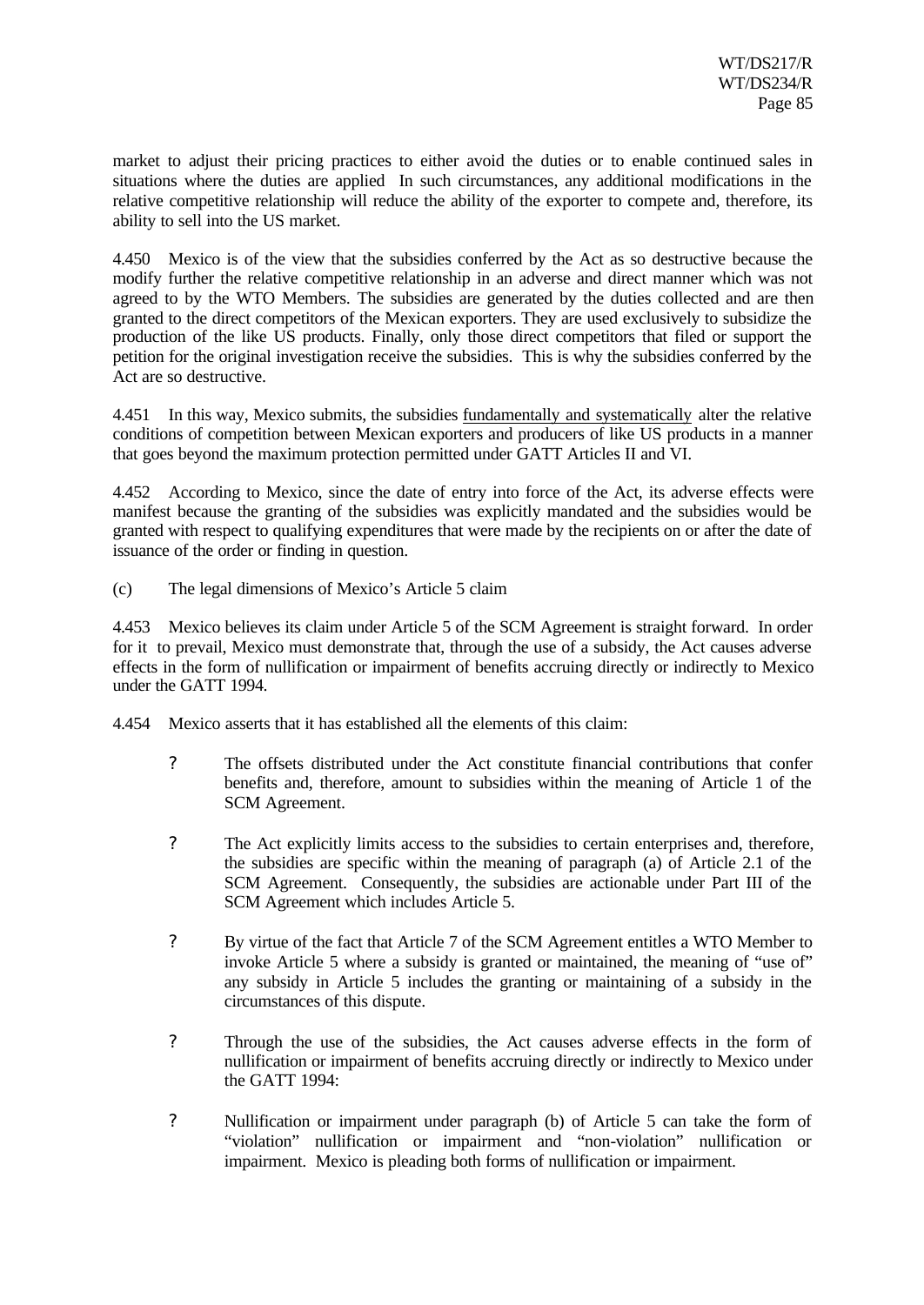market to adjust their pricing practices to either avoid the duties or to enable continued sales in situations where the duties are applied In such circumstances, any additional modifications in the relative competitive relationship will reduce the ability of the exporter to compete and, therefore, its ability to sell into the US market.

4.450 Mexico is of the view that the subsidies conferred by the Act as so destructive because the modify further the relative competitive relationship in an adverse and direct manner which was not agreed to by the WTO Members. The subsidies are generated by the duties collected and are then granted to the direct competitors of the Mexican exporters. They are used exclusively to subsidize the production of the like US products. Finally, only those direct competitors that filed or support the petition for the original investigation receive the subsidies. This is why the subsidies conferred by the Act are so destructive.

4.451 In this way, Mexico submits, the subsidies fundamentally and systematically alter the relative conditions of competition between Mexican exporters and producers of like US products in a manner that goes beyond the maximum protection permitted under GATT Articles II and VI.

4.452 According to Mexico, since the date of entry into force of the Act, its adverse effects were manifest because the granting of the subsidies was explicitly mandated and the subsidies would be granted with respect to qualifying expenditures that were made by the recipients on or after the date of issuance of the order or finding in question.

(c) The legal dimensions of Mexico's Article 5 claim

4.453 Mexico believes its claim under Article 5 of the SCM Agreement is straight forward. In order for it to prevail, Mexico must demonstrate that, through the use of a subsidy, the Act causes adverse effects in the form of nullification or impairment of benefits accruing directly or indirectly to Mexico under the GATT 1994.

4.454 Mexico asserts that it has established all the elements of this claim:

- ? The offsets distributed under the Act constitute financial contributions that confer benefits and, therefore, amount to subsidies within the meaning of Article 1 of the SCM Agreement.
- ? The Act explicitly limits access to the subsidies to certain enterprises and, therefore, the subsidies are specific within the meaning of paragraph (a) of Article 2.1 of the SCM Agreement. Consequently, the subsidies are actionable under Part III of the SCM Agreement which includes Article 5.
- ? By virtue of the fact that Article 7 of the SCM Agreement entitles a WTO Member to invoke Article 5 where a subsidy is granted or maintained, the meaning of "use of" any subsidy in Article 5 includes the granting or maintaining of a subsidy in the circumstances of this dispute.
- ? Through the use of the subsidies, the Act causes adverse effects in the form of nullification or impairment of benefits accruing directly or indirectly to Mexico under the GATT 1994:
- ? Nullification or impairment under paragraph (b) of Article 5 can take the form of "violation" nullification or impairment and "non-violation" nullification or impairment. Mexico is pleading both forms of nullification or impairment.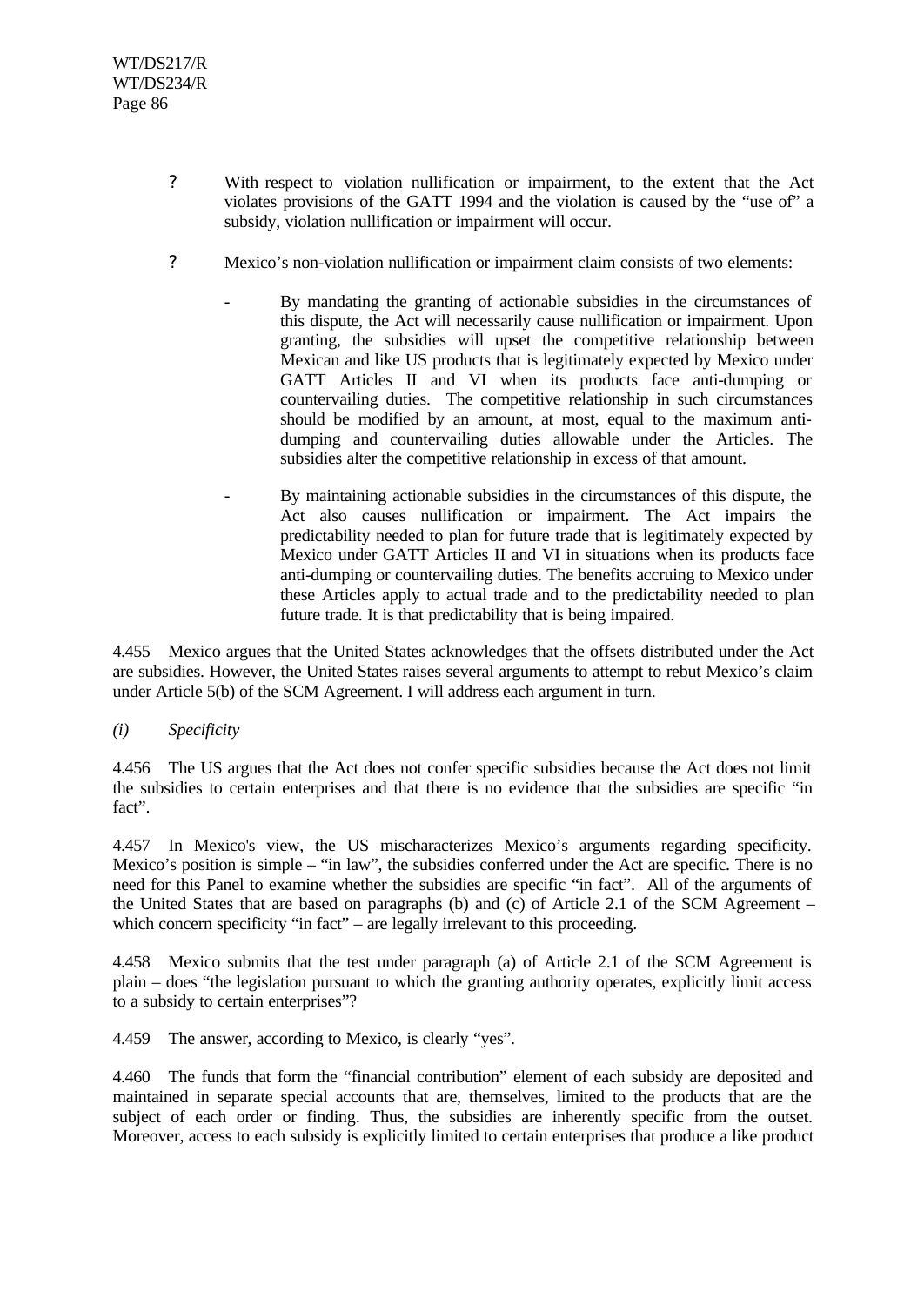- ? With respect to violation nullification or impairment, to the extent that the Act violates provisions of the GATT 1994 and the violation is caused by the "use of" a subsidy, violation nullification or impairment will occur.
- ? Mexico's non-violation nullification or impairment claim consists of two elements:
	- By mandating the granting of actionable subsidies in the circumstances of this dispute, the Act will necessarily cause nullification or impairment. Upon granting, the subsidies will upset the competitive relationship between Mexican and like US products that is legitimately expected by Mexico under GATT Articles II and VI when its products face anti-dumping or countervailing duties. The competitive relationship in such circumstances should be modified by an amount, at most, equal to the maximum antidumping and countervailing duties allowable under the Articles. The subsidies alter the competitive relationship in excess of that amount.
	- By maintaining actionable subsidies in the circumstances of this dispute, the Act also causes nullification or impairment. The Act impairs the predictability needed to plan for future trade that is legitimately expected by Mexico under GATT Articles II and VI in situations when its products face anti-dumping or countervailing duties. The benefits accruing to Mexico under these Articles apply to actual trade and to the predictability needed to plan future trade. It is that predictability that is being impaired.

4.455 Mexico argues that the United States acknowledges that the offsets distributed under the Act are subsidies. However, the United States raises several arguments to attempt to rebut Mexico's claim under Article 5(b) of the SCM Agreement. I will address each argument in turn.

*(i) Specificity*

4.456 The US argues that the Act does not confer specific subsidies because the Act does not limit the subsidies to certain enterprises and that there is no evidence that the subsidies are specific "in fact".

4.457 In Mexico's view, the US mischaracterizes Mexico's arguments regarding specificity. Mexico's position is simple – "in law", the subsidies conferred under the Act are specific. There is no need for this Panel to examine whether the subsidies are specific "in fact". All of the arguments of the United States that are based on paragraphs (b) and (c) of Article 2.1 of the SCM Agreement – which concern specificity "in fact" – are legally irrelevant to this proceeding.

4.458 Mexico submits that the test under paragraph (a) of Article 2.1 of the SCM Agreement is plain – does "the legislation pursuant to which the granting authority operates, explicitly limit access to a subsidy to certain enterprises"?

4.459 The answer, according to Mexico, is clearly "yes".

4.460 The funds that form the "financial contribution" element of each subsidy are deposited and maintained in separate special accounts that are, themselves, limited to the products that are the subject of each order or finding. Thus, the subsidies are inherently specific from the outset. Moreover, access to each subsidy is explicitly limited to certain enterprises that produce a like product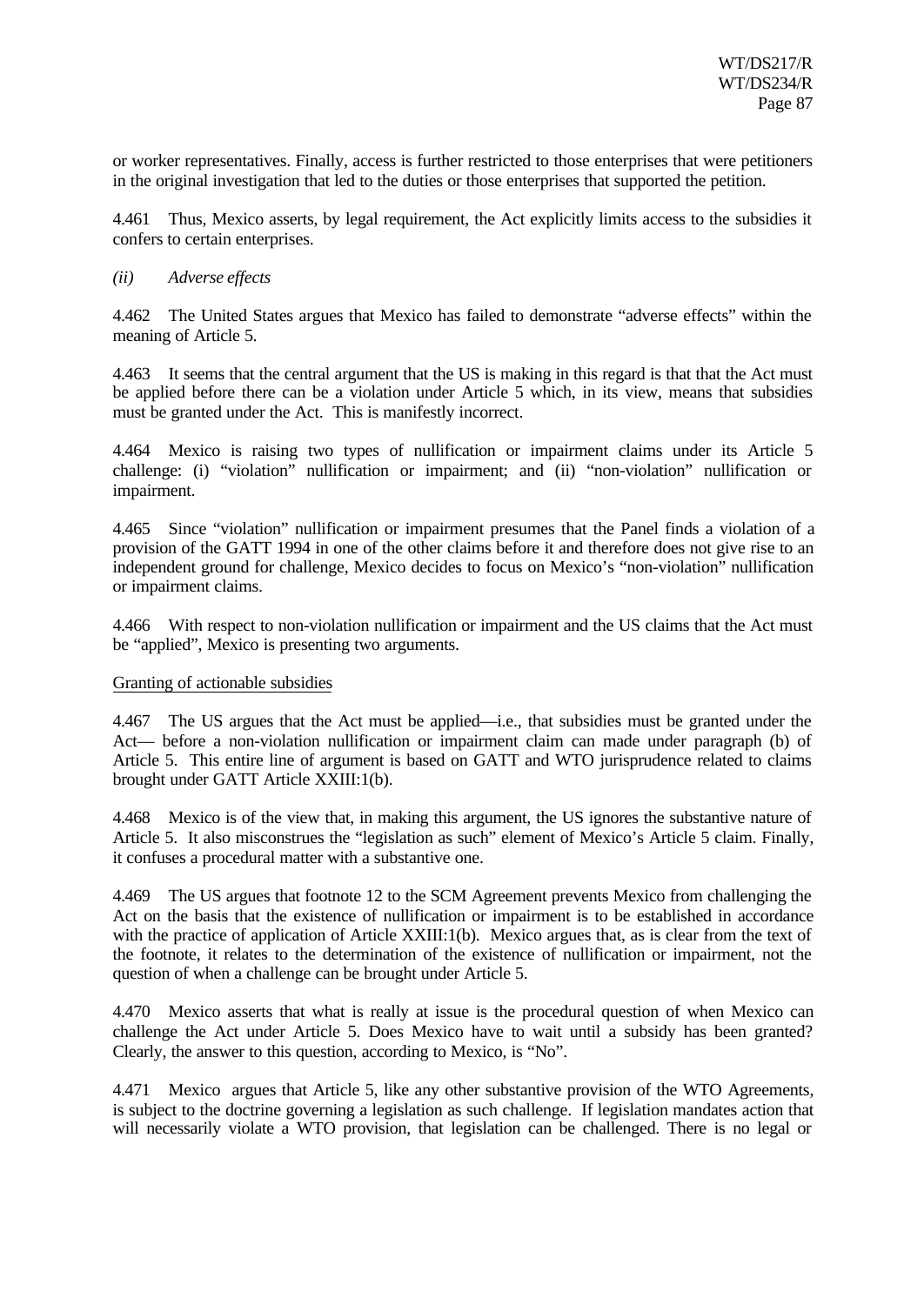or worker representatives. Finally, access is further restricted to those enterprises that were petitioners in the original investigation that led to the duties or those enterprises that supported the petition.

4.461 Thus, Mexico asserts, by legal requirement, the Act explicitly limits access to the subsidies it confers to certain enterprises.

#### *(ii) Adverse effects*

4.462 The United States argues that Mexico has failed to demonstrate "adverse effects" within the meaning of Article 5.

4.463 It seems that the central argument that the US is making in this regard is that that the Act must be applied before there can be a violation under Article 5 which, in its view, means that subsidies must be granted under the Act. This is manifestly incorrect.

4.464 Mexico is raising two types of nullification or impairment claims under its Article 5 challenge: (i) "violation" nullification or impairment; and (ii) "non-violation" nullification or impairment.

4.465 Since "violation" nullification or impairment presumes that the Panel finds a violation of a provision of the GATT 1994 in one of the other claims before it and therefore does not give rise to an independent ground for challenge, Mexico decides to focus on Mexico's "non-violation" nullification or impairment claims.

4.466 With respect to non-violation nullification or impairment and the US claims that the Act must be "applied", Mexico is presenting two arguments.

#### Granting of actionable subsidies

4.467 The US argues that the Act must be applied—i.e., that subsidies must be granted under the Act— before a non-violation nullification or impairment claim can made under paragraph (b) of Article 5. This entire line of argument is based on GATT and WTO jurisprudence related to claims brought under GATT Article XXIII:1(b).

4.468 Mexico is of the view that, in making this argument, the US ignores the substantive nature of Article 5. It also misconstrues the "legislation as such" element of Mexico's Article 5 claim. Finally, it confuses a procedural matter with a substantive one.

4.469 The US argues that footnote 12 to the SCM Agreement prevents Mexico from challenging the Act on the basis that the existence of nullification or impairment is to be established in accordance with the practice of application of Article XXIII:1(b). Mexico argues that, as is clear from the text of the footnote, it relates to the determination of the existence of nullification or impairment, not the question of when a challenge can be brought under Article 5.

4.470 Mexico asserts that what is really at issue is the procedural question of when Mexico can challenge the Act under Article 5. Does Mexico have to wait until a subsidy has been granted? Clearly, the answer to this question, according to Mexico, is "No".

4.471 Mexico argues that Article 5, like any other substantive provision of the WTO Agreements, is subject to the doctrine governing a legislation as such challenge. If legislation mandates action that will necessarily violate a WTO provision, that legislation can be challenged. There is no legal or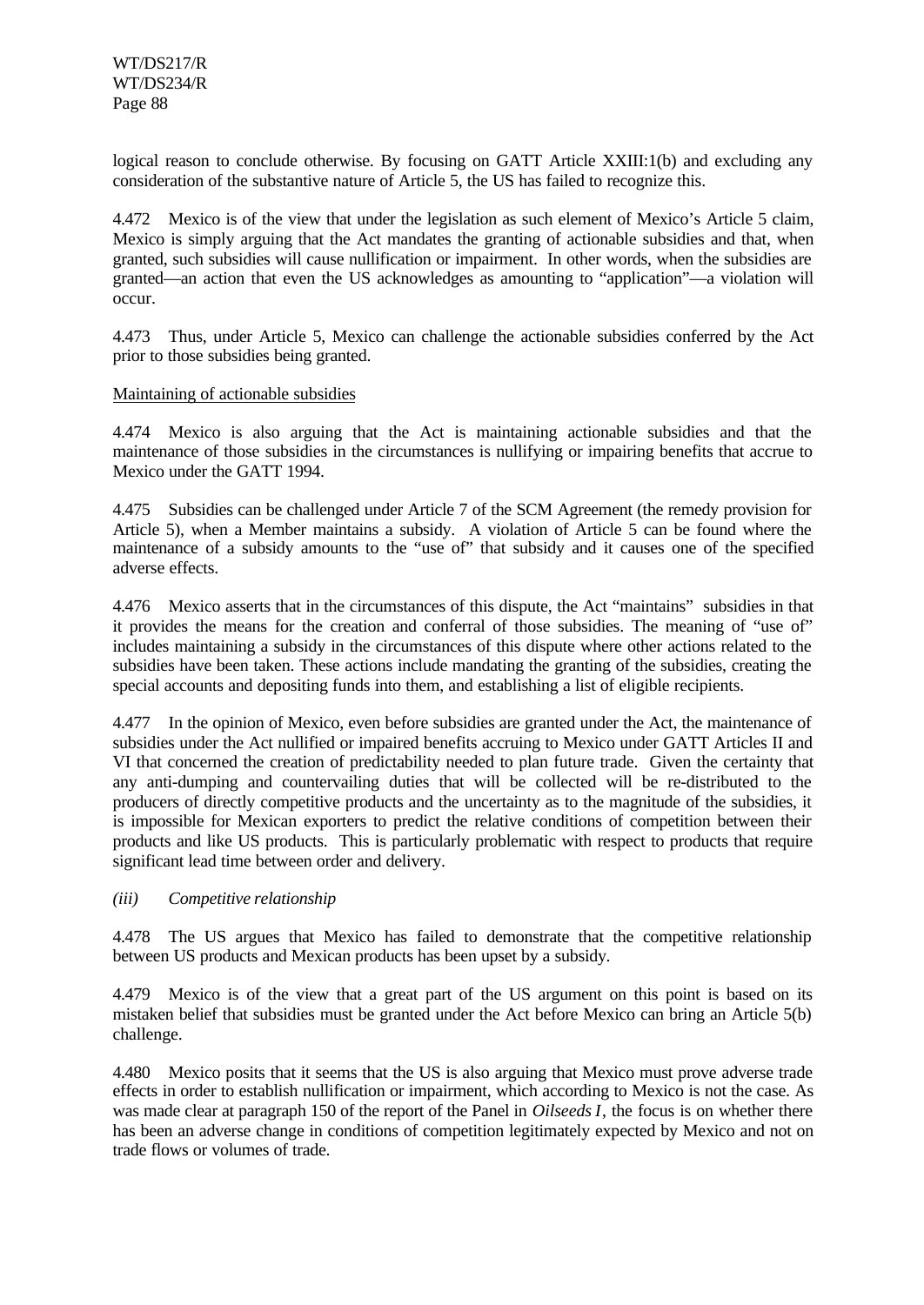logical reason to conclude otherwise. By focusing on GATT Article XXIII:1(b) and excluding any consideration of the substantive nature of Article 5, the US has failed to recognize this.

4.472 Mexico is of the view that under the legislation as such element of Mexico's Article 5 claim, Mexico is simply arguing that the Act mandates the granting of actionable subsidies and that, when granted, such subsidies will cause nullification or impairment. In other words, when the subsidies are granted—an action that even the US acknowledges as amounting to "application"—a violation will occur.

4.473 Thus, under Article 5, Mexico can challenge the actionable subsidies conferred by the Act prior to those subsidies being granted.

#### Maintaining of actionable subsidies

4.474 Mexico is also arguing that the Act is maintaining actionable subsidies and that the maintenance of those subsidies in the circumstances is nullifying or impairing benefits that accrue to Mexico under the GATT 1994.

4.475 Subsidies can be challenged under Article 7 of the SCM Agreement (the remedy provision for Article 5), when a Member maintains a subsidy. A violation of Article 5 can be found where the maintenance of a subsidy amounts to the "use of" that subsidy and it causes one of the specified adverse effects.

4.476 Mexico asserts that in the circumstances of this dispute, the Act "maintains" subsidies in that it provides the means for the creation and conferral of those subsidies. The meaning of "use of" includes maintaining a subsidy in the circumstances of this dispute where other actions related to the subsidies have been taken. These actions include mandating the granting of the subsidies, creating the special accounts and depositing funds into them, and establishing a list of eligible recipients.

4.477 In the opinion of Mexico, even before subsidies are granted under the Act, the maintenance of subsidies under the Act nullified or impaired benefits accruing to Mexico under GATT Articles II and VI that concerned the creation of predictability needed to plan future trade. Given the certainty that any anti-dumping and countervailing duties that will be collected will be re-distributed to the producers of directly competitive products and the uncertainty as to the magnitude of the subsidies, it is impossible for Mexican exporters to predict the relative conditions of competition between their products and like US products. This is particularly problematic with respect to products that require significant lead time between order and delivery.

### *(iii) Competitive relationship*

4.478 The US argues that Mexico has failed to demonstrate that the competitive relationship between US products and Mexican products has been upset by a subsidy.

4.479 Mexico is of the view that a great part of the US argument on this point is based on its mistaken belief that subsidies must be granted under the Act before Mexico can bring an Article 5(b) challenge.

4.480 Mexico posits that it seems that the US is also arguing that Mexico must prove adverse trade effects in order to establish nullification or impairment, which according to Mexico is not the case. As was made clear at paragraph 150 of the report of the Panel in *Oilseeds I*, the focus is on whether there has been an adverse change in conditions of competition legitimately expected by Mexico and not on trade flows or volumes of trade.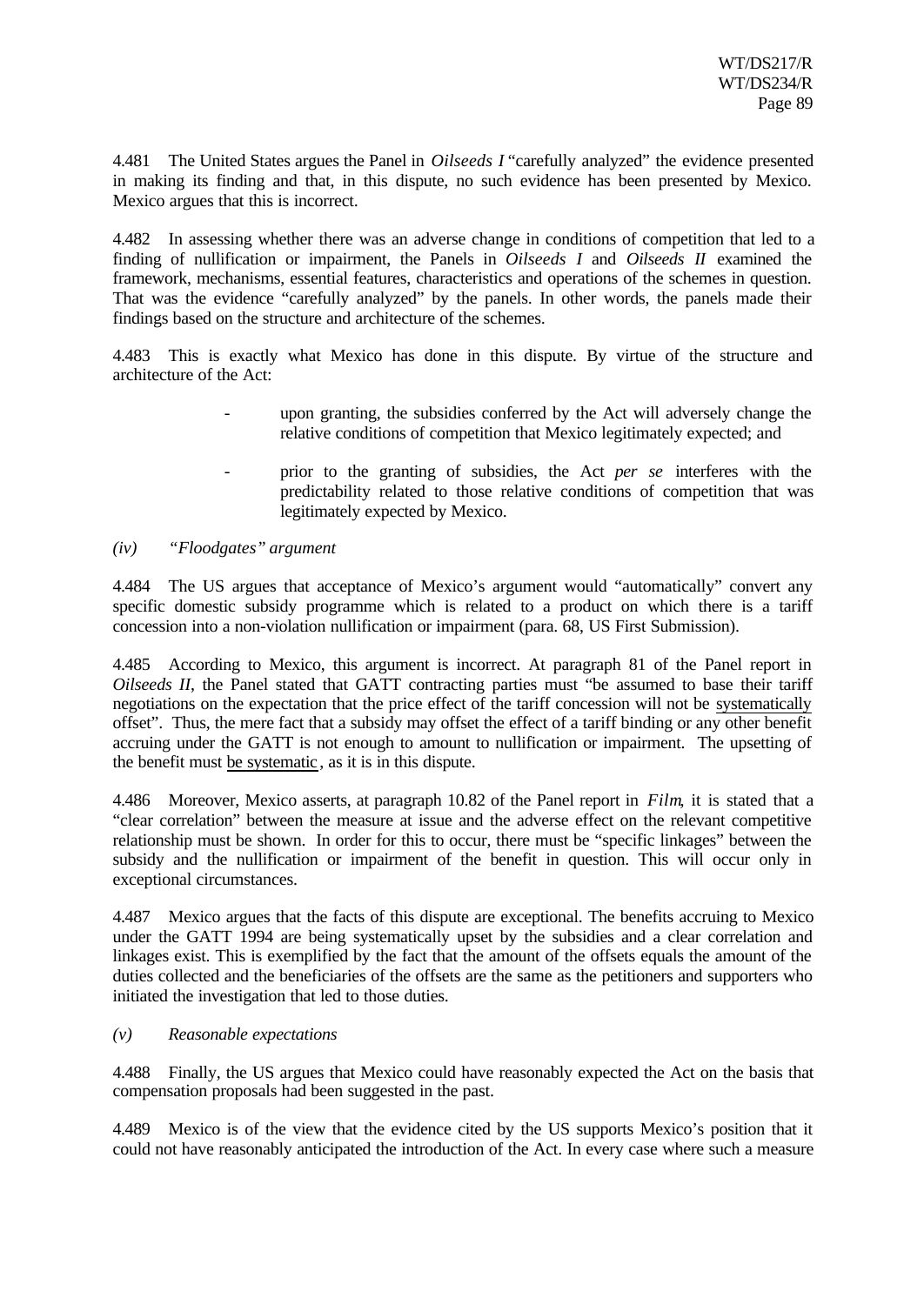4.481 The United States argues the Panel in *Oilseeds I* "carefully analyzed" the evidence presented in making its finding and that, in this dispute, no such evidence has been presented by Mexico. Mexico argues that this is incorrect.

4.482 In assessing whether there was an adverse change in conditions of competition that led to a finding of nullification or impairment, the Panels in *Oilseeds I* and *Oilseeds II* examined the framework, mechanisms, essential features, characteristics and operations of the schemes in question. That was the evidence "carefully analyzed" by the panels. In other words, the panels made their findings based on the structure and architecture of the schemes.

4.483 This is exactly what Mexico has done in this dispute. By virtue of the structure and architecture of the Act:

- upon granting, the subsidies conferred by the Act will adversely change the relative conditions of competition that Mexico legitimately expected; and
- prior to the granting of subsidies, the Act *per se* interferes with the predictability related to those relative conditions of competition that was legitimately expected by Mexico.

## *(iv) "Floodgates" argument*

4.484 The US argues that acceptance of Mexico's argument would "automatically" convert any specific domestic subsidy programme which is related to a product on which there is a tariff concession into a non-violation nullification or impairment (para. 68, US First Submission).

4.485 According to Mexico, this argument is incorrect. At paragraph 81 of the Panel report in *Oilseeds II*, the Panel stated that GATT contracting parties must "be assumed to base their tariff negotiations on the expectation that the price effect of the tariff concession will not be systematically offset". Thus, the mere fact that a subsidy may offset the effect of a tariff binding or any other benefit accruing under the GATT is not enough to amount to nullification or impairment. The upsetting of the benefit must be systematic , as it is in this dispute.

4.486 Moreover, Mexico asserts, at paragraph 10.82 of the Panel report in *Film*, it is stated that a "clear correlation" between the measure at issue and the adverse effect on the relevant competitive relationship must be shown. In order for this to occur, there must be "specific linkages" between the subsidy and the nullification or impairment of the benefit in question. This will occur only in exceptional circumstances.

4.487 Mexico argues that the facts of this dispute are exceptional. The benefits accruing to Mexico under the GATT 1994 are being systematically upset by the subsidies and a clear correlation and linkages exist. This is exemplified by the fact that the amount of the offsets equals the amount of the duties collected and the beneficiaries of the offsets are the same as the petitioners and supporters who initiated the investigation that led to those duties.

### *(v) Reasonable expectations*

4.488 Finally, the US argues that Mexico could have reasonably expected the Act on the basis that compensation proposals had been suggested in the past.

4.489 Mexico is of the view that the evidence cited by the US supports Mexico's position that it could not have reasonably anticipated the introduction of the Act. In every case where such a measure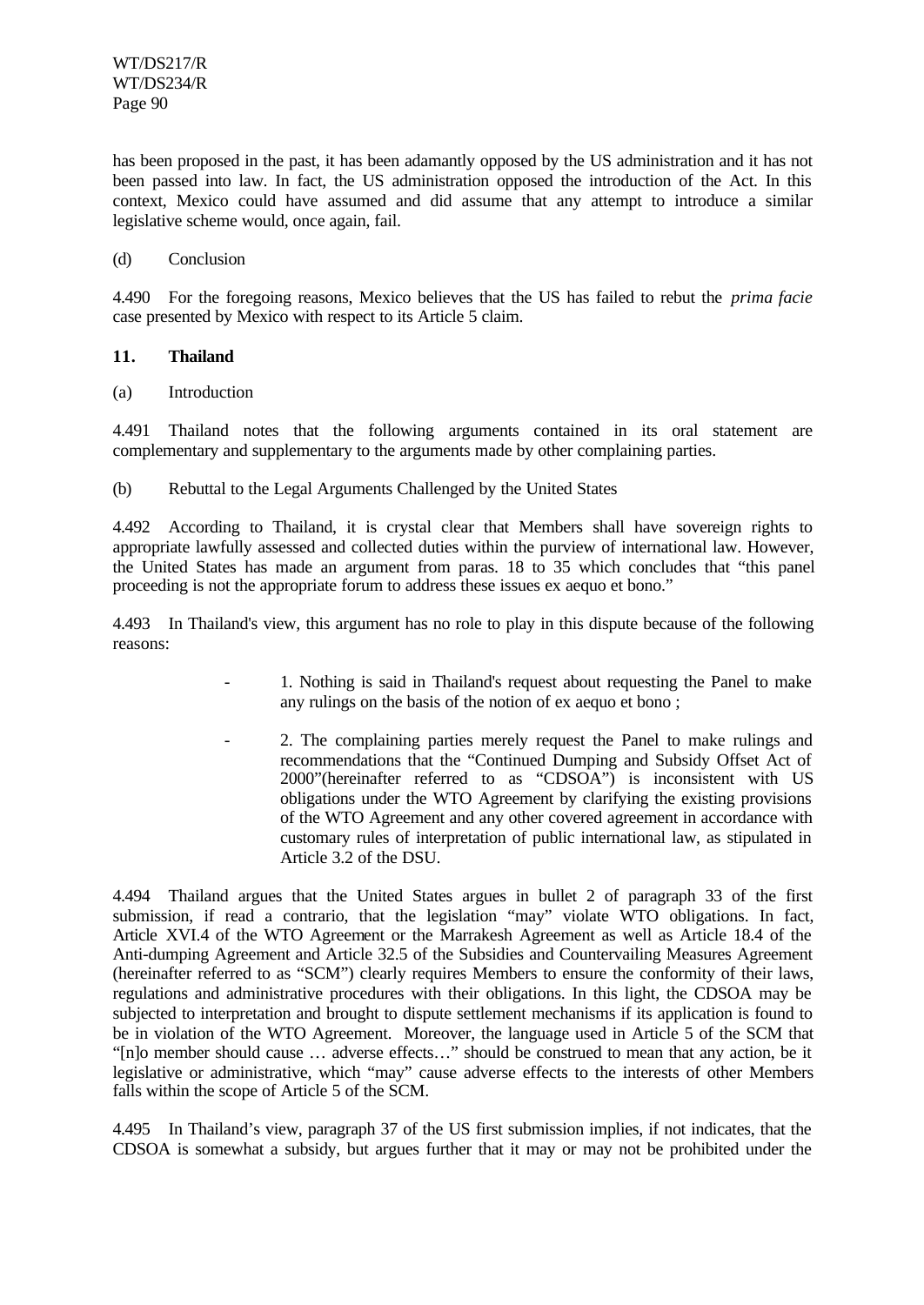has been proposed in the past, it has been adamantly opposed by the US administration and it has not been passed into law. In fact, the US administration opposed the introduction of the Act. In this context, Mexico could have assumed and did assume that any attempt to introduce a similar legislative scheme would, once again, fail.

## (d) Conclusion

4.490 For the foregoing reasons, Mexico believes that the US has failed to rebut the *prima facie* case presented by Mexico with respect to its Article 5 claim.

## **11. Thailand**

(a) Introduction

4.491 Thailand notes that the following arguments contained in its oral statement are complementary and supplementary to the arguments made by other complaining parties.

(b) Rebuttal to the Legal Arguments Challenged by the United States

4.492 According to Thailand, it is crystal clear that Members shall have sovereign rights to appropriate lawfully assessed and collected duties within the purview of international law. However, the United States has made an argument from paras. 18 to 35 which concludes that "this panel proceeding is not the appropriate forum to address these issues ex aequo et bono."

4.493 In Thailand's view, this argument has no role to play in this dispute because of the following reasons:

- 1. Nothing is said in Thailand's request about requesting the Panel to make any rulings on the basis of the notion of ex aequo et bono ;
- 2. The complaining parties merely request the Panel to make rulings and recommendations that the "Continued Dumping and Subsidy Offset Act of 2000"(hereinafter referred to as "CDSOA") is inconsistent with US obligations under the WTO Agreement by clarifying the existing provisions of the WTO Agreement and any other covered agreement in accordance with customary rules of interpretation of public international law, as stipulated in Article 3.2 of the DSU.

4.494 Thailand argues that the United States argues in bullet 2 of paragraph 33 of the first submission, if read a contrario, that the legislation "may" violate WTO obligations. In fact, Article XVI.4 of the WTO Agreement or the Marrakesh Agreement as well as Article 18.4 of the Anti-dumping Agreement and Article 32.5 of the Subsidies and Countervailing Measures Agreement (hereinafter referred to as "SCM") clearly requires Members to ensure the conformity of their laws, regulations and administrative procedures with their obligations. In this light, the CDSOA may be subjected to interpretation and brought to dispute settlement mechanisms if its application is found to be in violation of the WTO Agreement. Moreover, the language used in Article 5 of the SCM that "[n]o member should cause … adverse effects…" should be construed to mean that any action, be it legislative or administrative, which "may" cause adverse effects to the interests of other Members falls within the scope of Article 5 of the SCM.

4.495 In Thailand's view, paragraph 37 of the US first submission implies, if not indicates, that the CDSOA is somewhat a subsidy, but argues further that it may or may not be prohibited under the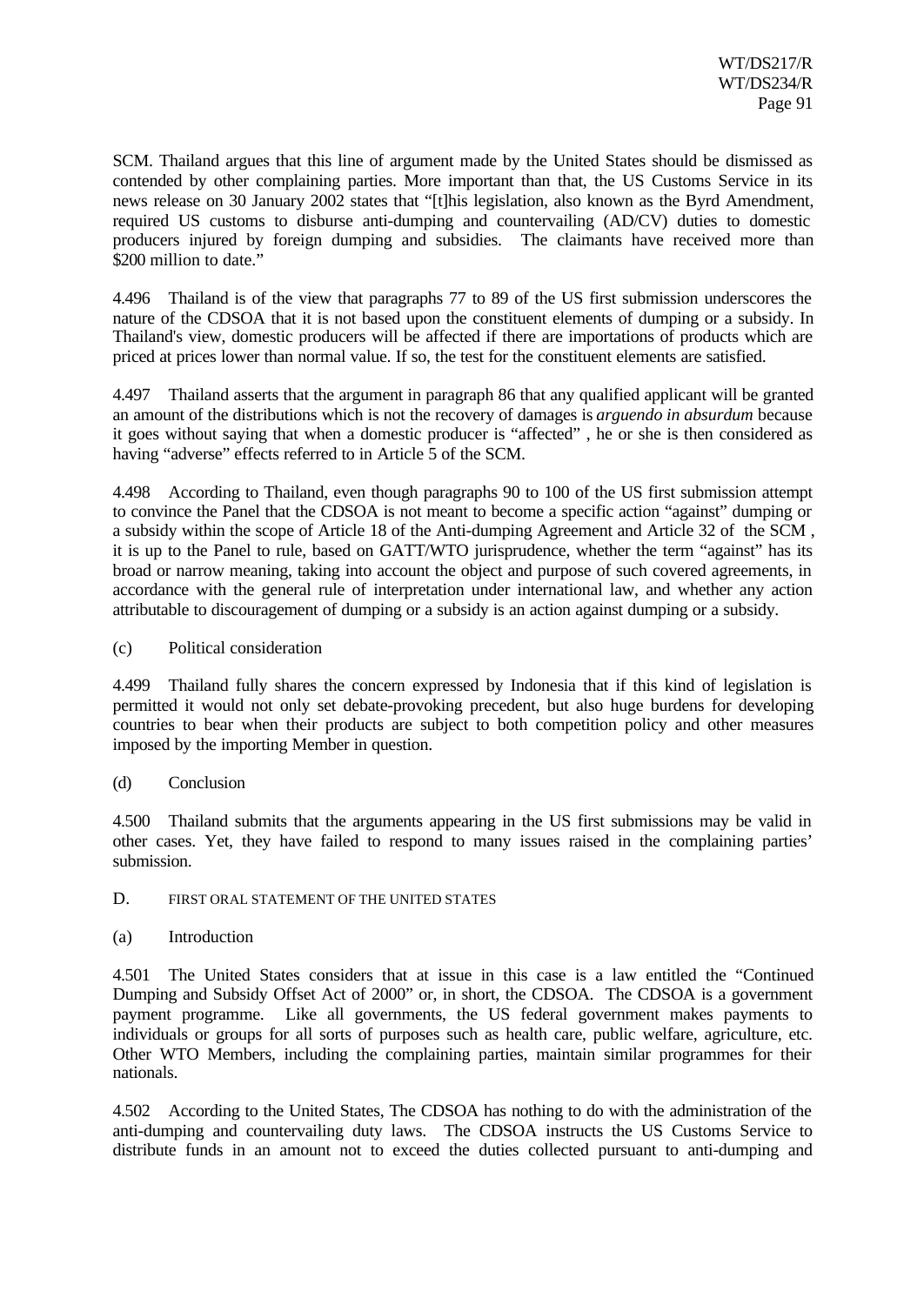SCM. Thailand argues that this line of argument made by the United States should be dismissed as contended by other complaining parties. More important than that, the US Customs Service in its news release on 30 January 2002 states that "[t]his legislation, also known as the Byrd Amendment, required US customs to disburse anti-dumping and countervailing (AD/CV) duties to domestic producers injured by foreign dumping and subsidies. The claimants have received more than \$200 million to date."

4.496 Thailand is of the view that paragraphs 77 to 89 of the US first submission underscores the nature of the CDSOA that it is not based upon the constituent elements of dumping or a subsidy. In Thailand's view, domestic producers will be affected if there are importations of products which are priced at prices lower than normal value. If so, the test for the constituent elements are satisfied.

4.497 Thailand asserts that the argument in paragraph 86 that any qualified applicant will be granted an amount of the distributions which is not the recovery of damages is *arguendo in absurdum* because it goes without saying that when a domestic producer is "affected" , he or she is then considered as having "adverse" effects referred to in Article 5 of the SCM.

4.498 According to Thailand, even though paragraphs 90 to 100 of the US first submission attempt to convince the Panel that the CDSOA is not meant to become a specific action "against" dumping or a subsidy within the scope of Article 18 of the Anti-dumping Agreement and Article 32 of the SCM , it is up to the Panel to rule, based on GATT/WTO jurisprudence, whether the term "against" has its broad or narrow meaning, taking into account the object and purpose of such covered agreements, in accordance with the general rule of interpretation under international law, and whether any action attributable to discouragement of dumping or a subsidy is an action against dumping or a subsidy.

(c) Political consideration

4.499 Thailand fully shares the concern expressed by Indonesia that if this kind of legislation is permitted it would not only set debate-provoking precedent, but also huge burdens for developing countries to bear when their products are subject to both competition policy and other measures imposed by the importing Member in question.

(d) Conclusion

4.500 Thailand submits that the arguments appearing in the US first submissions may be valid in other cases. Yet, they have failed to respond to many issues raised in the complaining parties' submission.

- D. FIRST ORAL STATEMENT OF THE UNITED STATES
- (a) Introduction

4.501 The United States considers that at issue in this case is a law entitled the "Continued Dumping and Subsidy Offset Act of 2000" or, in short, the CDSOA. The CDSOA is a government payment programme. Like all governments, the US federal government makes payments to individuals or groups for all sorts of purposes such as health care, public welfare, agriculture, etc. Other WTO Members, including the complaining parties, maintain similar programmes for their nationals.

4.502 According to the United States, The CDSOA has nothing to do with the administration of the anti-dumping and countervailing duty laws. The CDSOA instructs the US Customs Service to distribute funds in an amount not to exceed the duties collected pursuant to anti-dumping and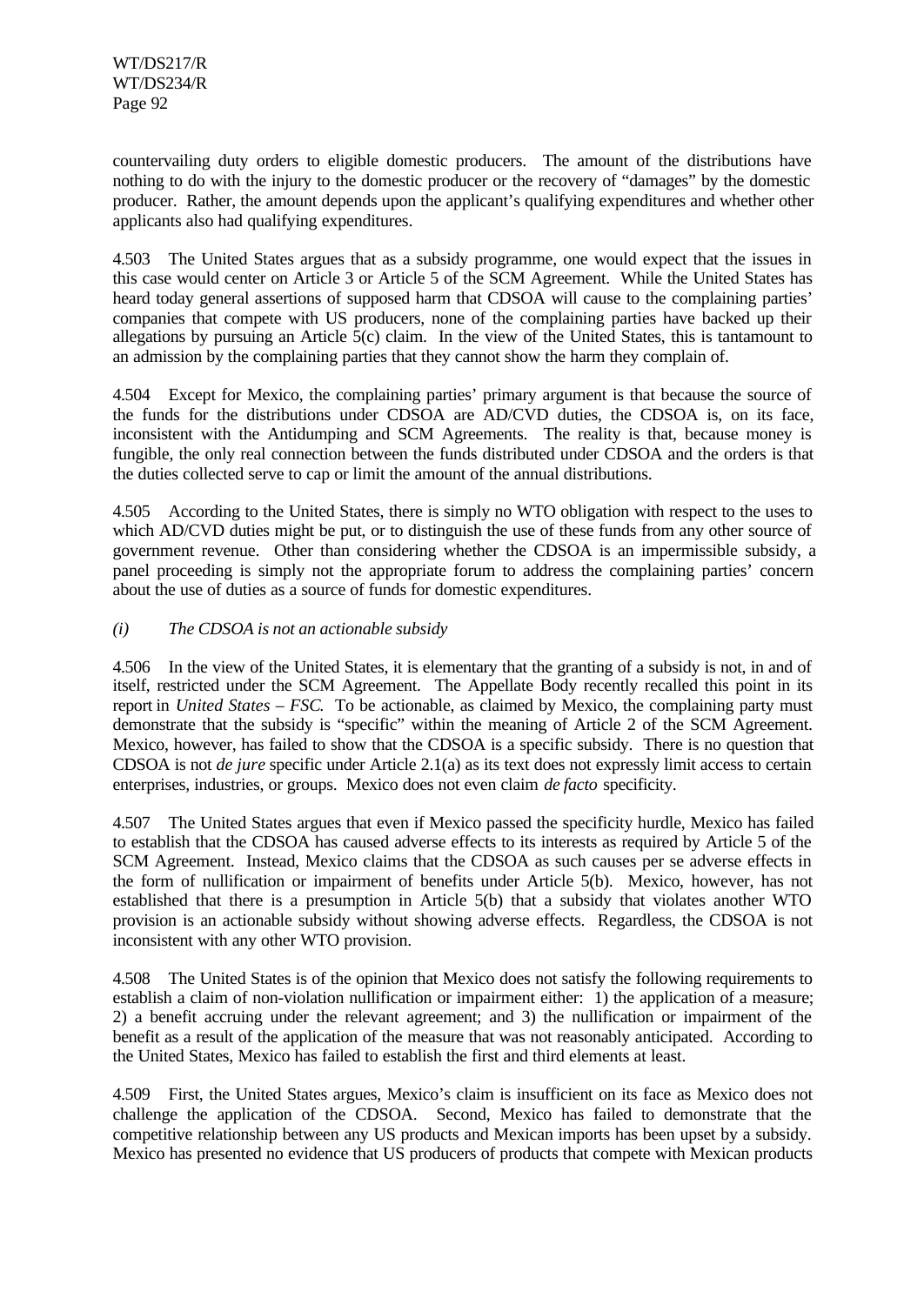countervailing duty orders to eligible domestic producers. The amount of the distributions have nothing to do with the injury to the domestic producer or the recovery of "damages" by the domestic producer. Rather, the amount depends upon the applicant's qualifying expenditures and whether other applicants also had qualifying expenditures.

4.503 The United States argues that as a subsidy programme, one would expect that the issues in this case would center on Article 3 or Article 5 of the SCM Agreement. While the United States has heard today general assertions of supposed harm that CDSOA will cause to the complaining parties' companies that compete with US producers, none of the complaining parties have backed up their allegations by pursuing an Article 5(c) claim. In the view of the United States, this is tantamount to an admission by the complaining parties that they cannot show the harm they complain of.

4.504 Except for Mexico, the complaining parties' primary argument is that because the source of the funds for the distributions under CDSOA are AD/CVD duties, the CDSOA is, on its face, inconsistent with the Antidumping and SCM Agreements. The reality is that, because money is fungible, the only real connection between the funds distributed under CDSOA and the orders is that the duties collected serve to cap or limit the amount of the annual distributions.

4.505 According to the United States, there is simply no WTO obligation with respect to the uses to which AD/CVD duties might be put, or to distinguish the use of these funds from any other source of government revenue. Other than considering whether the CDSOA is an impermissible subsidy, a panel proceeding is simply not the appropriate forum to address the complaining parties' concern about the use of duties as a source of funds for domestic expenditures.

# *(i) The CDSOA is not an actionable subsidy*

4.506 In the view of the United States, it is elementary that the granting of a subsidy is not, in and of itself, restricted under the SCM Agreement. The Appellate Body recently recalled this point in its report in *United States – FSC*. To be actionable, as claimed by Mexico, the complaining party must demonstrate that the subsidy is "specific" within the meaning of Article 2 of the SCM Agreement. Mexico, however, has failed to show that the CDSOA is a specific subsidy. There is no question that CDSOA is not *de jure* specific under Article 2.1(a) as its text does not expressly limit access to certain enterprises, industries, or groups. Mexico does not even claim *de facto* specificity.

4.507 The United States argues that even if Mexico passed the specificity hurdle, Mexico has failed to establish that the CDSOA has caused adverse effects to its interests as required by Article 5 of the SCM Agreement. Instead, Mexico claims that the CDSOA as such causes per se adverse effects in the form of nullification or impairment of benefits under Article 5(b). Mexico, however, has not established that there is a presumption in Article 5(b) that a subsidy that violates another WTO provision is an actionable subsidy without showing adverse effects. Regardless, the CDSOA is not inconsistent with any other WTO provision.

4.508 The United States is of the opinion that Mexico does not satisfy the following requirements to establish a claim of non-violation nullification or impairment either: 1) the application of a measure; 2) a benefit accruing under the relevant agreement; and 3) the nullification or impairment of the benefit as a result of the application of the measure that was not reasonably anticipated. According to the United States, Mexico has failed to establish the first and third elements at least.

4.509 First, the United States argues, Mexico's claim is insufficient on its face as Mexico does not challenge the application of the CDSOA. Second, Mexico has failed to demonstrate that the competitive relationship between any US products and Mexican imports has been upset by a subsidy. Mexico has presented no evidence that US producers of products that compete with Mexican products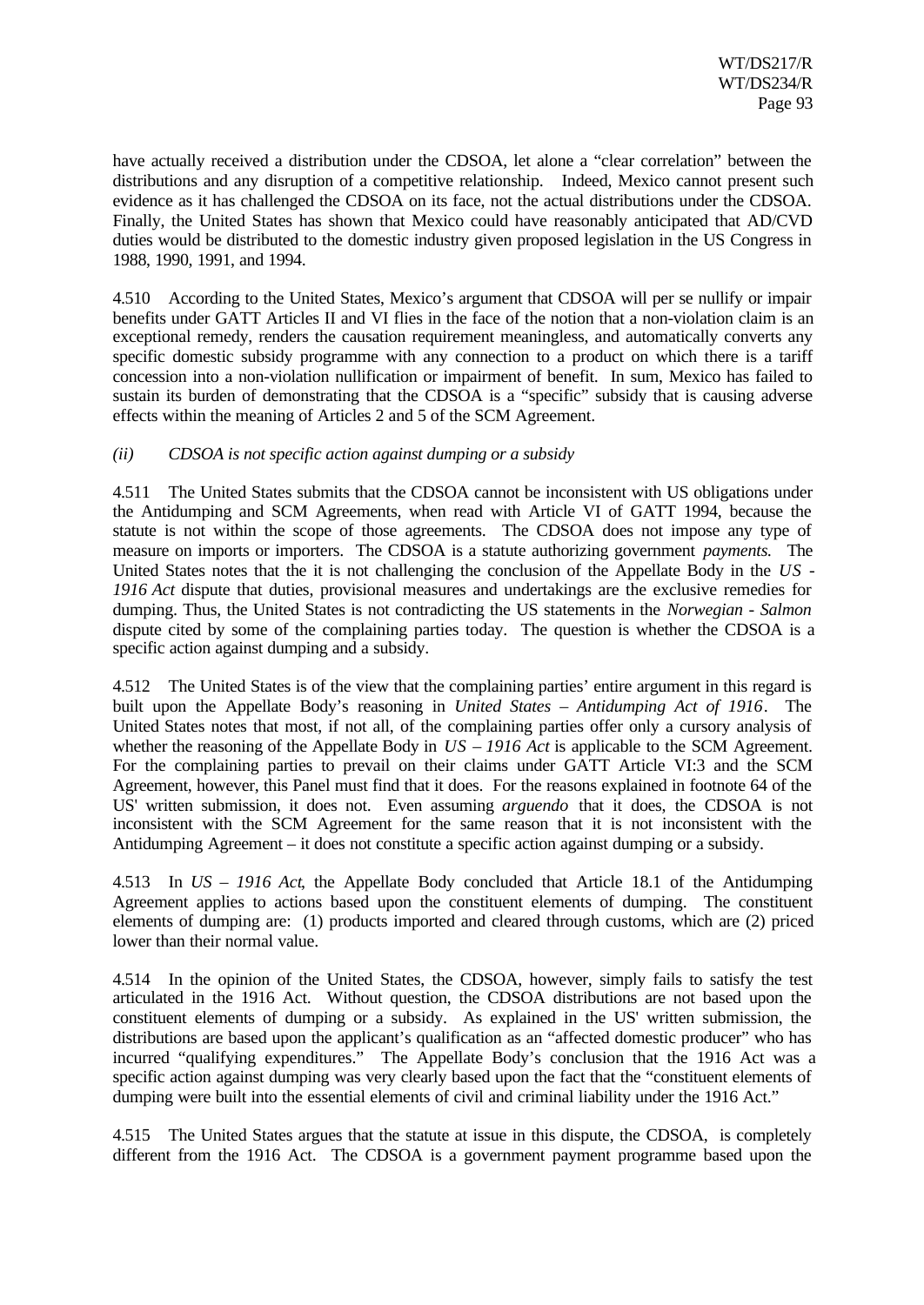have actually received a distribution under the CDSOA, let alone a "clear correlation" between the distributions and any disruption of a competitive relationship. Indeed, Mexico cannot present such evidence as it has challenged the CDSOA on its face, not the actual distributions under the CDSOA. Finally, the United States has shown that Mexico could have reasonably anticipated that AD/CVD duties would be distributed to the domestic industry given proposed legislation in the US Congress in 1988, 1990, 1991, and 1994.

4.510 According to the United States, Mexico's argument that CDSOA will per se nullify or impair benefits under GATT Articles II and VI flies in the face of the notion that a non-violation claim is an exceptional remedy, renders the causation requirement meaningless, and automatically converts any specific domestic subsidy programme with any connection to a product on which there is a tariff concession into a non-violation nullification or impairment of benefit. In sum, Mexico has failed to sustain its burden of demonstrating that the CDSOA is a "specific" subsidy that is causing adverse effects within the meaning of Articles 2 and 5 of the SCM Agreement.

## *(ii) CDSOA is not specific action against dumping or a subsidy*

4.511 The United States submits that the CDSOA cannot be inconsistent with US obligations under the Antidumping and SCM Agreements, when read with Article VI of GATT 1994, because the statute is not within the scope of those agreements. The CDSOA does not impose any type of measure on imports or importers. The CDSOA is a statute authorizing government *payments.* The United States notes that the it is not challenging the conclusion of the Appellate Body in the *US - 1916 Act* dispute that duties, provisional measures and undertakings are the exclusive remedies for dumping. Thus, the United States is not contradicting the US statements in the *Norwegian - Salmon* dispute cited by some of the complaining parties today. The question is whether the CDSOA is a specific action against dumping and a subsidy.

4.512 The United States is of the view that the complaining parties' entire argument in this regard is built upon the Appellate Body's reasoning in *United States – Antidumping Act of 1916*. The United States notes that most, if not all, of the complaining parties offer only a cursory analysis of whether the reasoning of the Appellate Body in *US – 1916 Act* is applicable to the SCM Agreement. For the complaining parties to prevail on their claims under GATT Article VI:3 and the SCM Agreement, however, this Panel must find that it does. For the reasons explained in footnote 64 of the US' written submission, it does not. Even assuming *arguendo* that it does, the CDSOA is not inconsistent with the SCM Agreement for the same reason that it is not inconsistent with the Antidumping Agreement – it does not constitute a specific action against dumping or a subsidy.

4.513 In *US – 1916 Act*, the Appellate Body concluded that Article 18.1 of the Antidumping Agreement applies to actions based upon the constituent elements of dumping. The constituent elements of dumping are: (1) products imported and cleared through customs, which are (2) priced lower than their normal value.

4.514 In the opinion of the United States, the CDSOA, however, simply fails to satisfy the test articulated in the 1916 Act. Without question, the CDSOA distributions are not based upon the constituent elements of dumping or a subsidy. As explained in the US' written submission, the distributions are based upon the applicant's qualification as an "affected domestic producer" who has incurred "qualifying expenditures." The Appellate Body's conclusion that the 1916 Act was a specific action against dumping was very clearly based upon the fact that the "constituent elements of dumping were built into the essential elements of civil and criminal liability under the 1916 Act."

4.515 The United States argues that the statute at issue in this dispute, the CDSOA, is completely different from the 1916 Act. The CDSOA is a government payment programme based upon the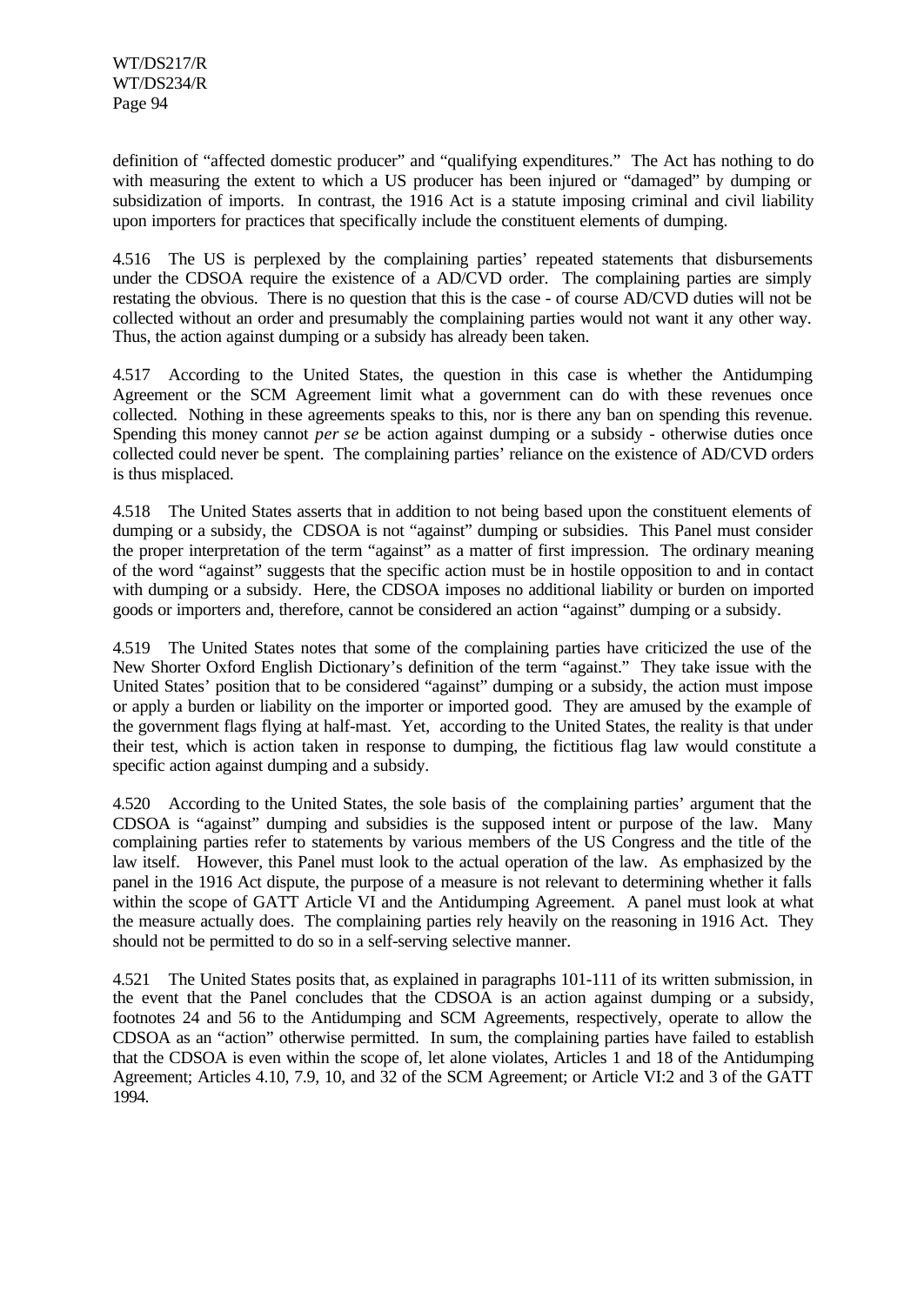definition of "affected domestic producer" and "qualifying expenditures." The Act has nothing to do with measuring the extent to which a US producer has been injured or "damaged" by dumping or subsidization of imports. In contrast, the 1916 Act is a statute imposing criminal and civil liability upon importers for practices that specifically include the constituent elements of dumping.

4.516 The US is perplexed by the complaining parties' repeated statements that disbursements under the CDSOA require the existence of a AD/CVD order. The complaining parties are simply restating the obvious. There is no question that this is the case - of course AD/CVD duties will not be collected without an order and presumably the complaining parties would not want it any other way. Thus, the action against dumping or a subsidy has already been taken.

4.517 According to the United States, the question in this case is whether the Antidumping Agreement or the SCM Agreement limit what a government can do with these revenues once collected. Nothing in these agreements speaks to this, nor is there any ban on spending this revenue. Spending this money cannot *per se* be action against dumping or a subsidy - otherwise duties once collected could never be spent. The complaining parties' reliance on the existence of AD/CVD orders is thus misplaced.

4.518 The United States asserts that in addition to not being based upon the constituent elements of dumping or a subsidy, the CDSOA is not "against" dumping or subsidies. This Panel must consider the proper interpretation of the term "against" as a matter of first impression. The ordinary meaning of the word "against" suggests that the specific action must be in hostile opposition to and in contact with dumping or a subsidy. Here, the CDSOA imposes no additional liability or burden on imported goods or importers and, therefore, cannot be considered an action "against" dumping or a subsidy.

4.519 The United States notes that some of the complaining parties have criticized the use of the New Shorter Oxford English Dictionary's definition of the term "against." They take issue with the United States' position that to be considered "against" dumping or a subsidy, the action must impose or apply a burden or liability on the importer or imported good. They are amused by the example of the government flags flying at half-mast. Yet, according to the United States, the reality is that under their test, which is action taken in response to dumping, the fictitious flag law would constitute a specific action against dumping and a subsidy.

4.520 According to the United States, the sole basis of the complaining parties' argument that the CDSOA is "against" dumping and subsidies is the supposed intent or purpose of the law. Many complaining parties refer to statements by various members of the US Congress and the title of the law itself. However, this Panel must look to the actual operation of the law. As emphasized by the panel in the 1916 Act dispute, the purpose of a measure is not relevant to determining whether it falls within the scope of GATT Article VI and the Antidumping Agreement. A panel must look at what the measure actually does. The complaining parties rely heavily on the reasoning in 1916 Act. They should not be permitted to do so in a self-serving selective manner.

4.521 The United States posits that, as explained in paragraphs 101-111 of its written submission, in the event that the Panel concludes that the CDSOA is an action against dumping or a subsidy, footnotes 24 and 56 to the Antidumping and SCM Agreements, respectively, operate to allow the CDSOA as an "action" otherwise permitted. In sum, the complaining parties have failed to establish that the CDSOA is even within the scope of, let alone violates, Articles 1 and 18 of the Antidumping Agreement; Articles 4.10, 7.9, 10, and 32 of the SCM Agreement; or Article VI:2 and 3 of the GATT 1994.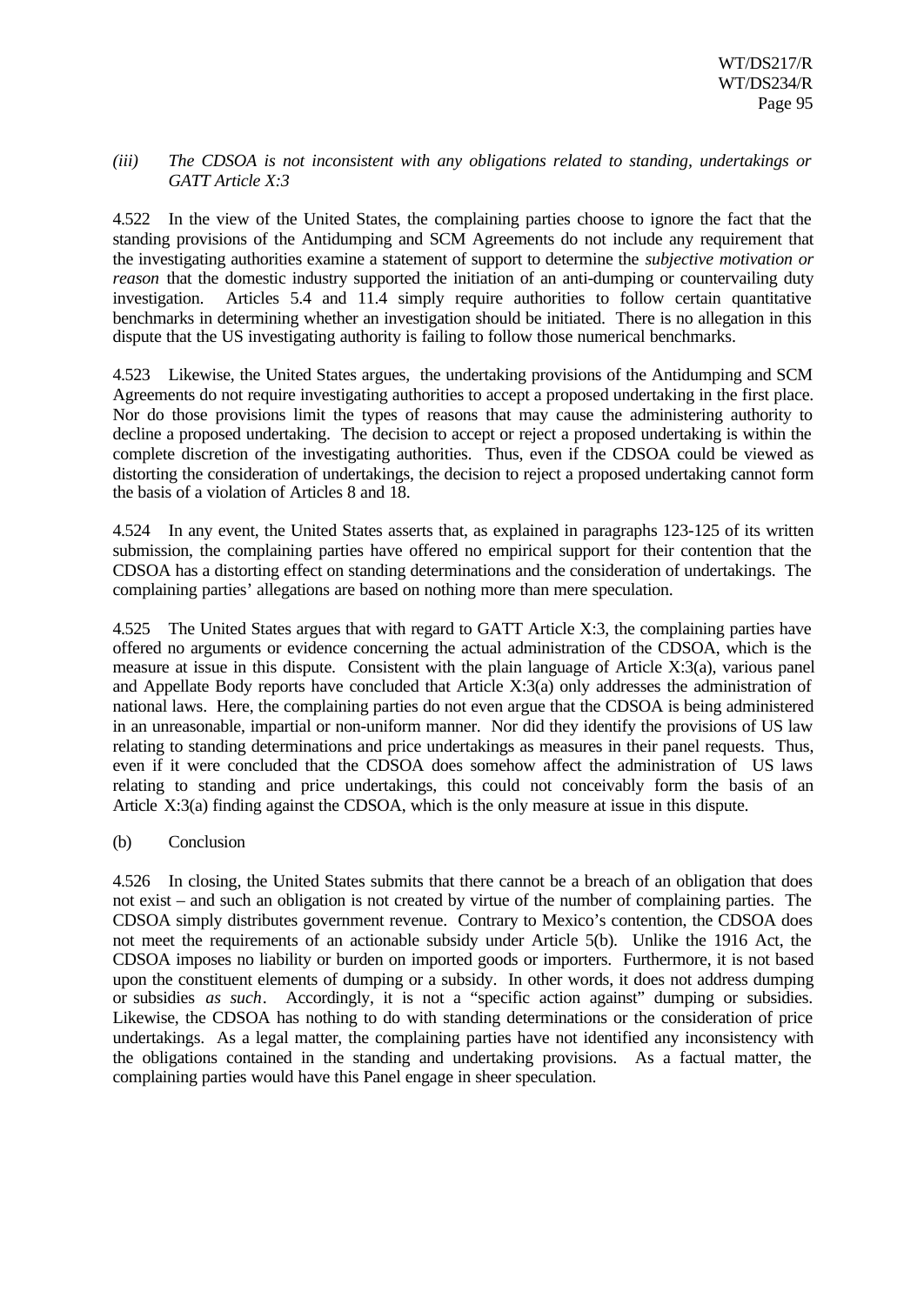### *(iii) The CDSOA is not inconsistent with any obligations related to standing, undertakings or GATT Article X:3*

4.522 In the view of the United States, the complaining parties choose to ignore the fact that the standing provisions of the Antidumping and SCM Agreements do not include any requirement that the investigating authorities examine a statement of support to determine the *subjective motivation or reason* that the domestic industry supported the initiation of an anti-dumping or countervailing duty investigation. Articles 5.4 and 11.4 simply require authorities to follow certain quantitative benchmarks in determining whether an investigation should be initiated. There is no allegation in this dispute that the US investigating authority is failing to follow those numerical benchmarks.

4.523 Likewise, the United States argues, the undertaking provisions of the Antidumping and SCM Agreements do not require investigating authorities to accept a proposed undertaking in the first place. Nor do those provisions limit the types of reasons that may cause the administering authority to decline a proposed undertaking. The decision to accept or reject a proposed undertaking is within the complete discretion of the investigating authorities. Thus, even if the CDSOA could be viewed as distorting the consideration of undertakings, the decision to reject a proposed undertaking cannot form the basis of a violation of Articles 8 and 18.

4.524 In any event, the United States asserts that, as explained in paragraphs 123-125 of its written submission, the complaining parties have offered no empirical support for their contention that the CDSOA has a distorting effect on standing determinations and the consideration of undertakings. The complaining parties' allegations are based on nothing more than mere speculation.

4.525 The United States argues that with regard to GATT Article X:3, the complaining parties have offered no arguments or evidence concerning the actual administration of the CDSOA, which is the measure at issue in this dispute. Consistent with the plain language of Article X:3(a), various panel and Appellate Body reports have concluded that Article X:3(a) only addresses the administration of national laws. Here, the complaining parties do not even argue that the CDSOA is being administered in an unreasonable, impartial or non-uniform manner. Nor did they identify the provisions of US law relating to standing determinations and price undertakings as measures in their panel requests. Thus, even if it were concluded that the CDSOA does somehow affect the administration of US laws relating to standing and price undertakings, this could not conceivably form the basis of an Article X:3(a) finding against the CDSOA, which is the only measure at issue in this dispute.

(b) Conclusion

4.526 In closing, the United States submits that there cannot be a breach of an obligation that does not exist – and such an obligation is not created by virtue of the number of complaining parties. The CDSOA simply distributes government revenue. Contrary to Mexico's contention, the CDSOA does not meet the requirements of an actionable subsidy under Article 5(b). Unlike the 1916 Act, the CDSOA imposes no liability or burden on imported goods or importers. Furthermore, it is not based upon the constituent elements of dumping or a subsidy. In other words, it does not address dumping or subsidies *as such*. Accordingly, it is not a "specific action against" dumping or subsidies. Likewise, the CDSOA has nothing to do with standing determinations or the consideration of price undertakings. As a legal matter, the complaining parties have not identified any inconsistency with the obligations contained in the standing and undertaking provisions. As a factual matter, the complaining parties would have this Panel engage in sheer speculation.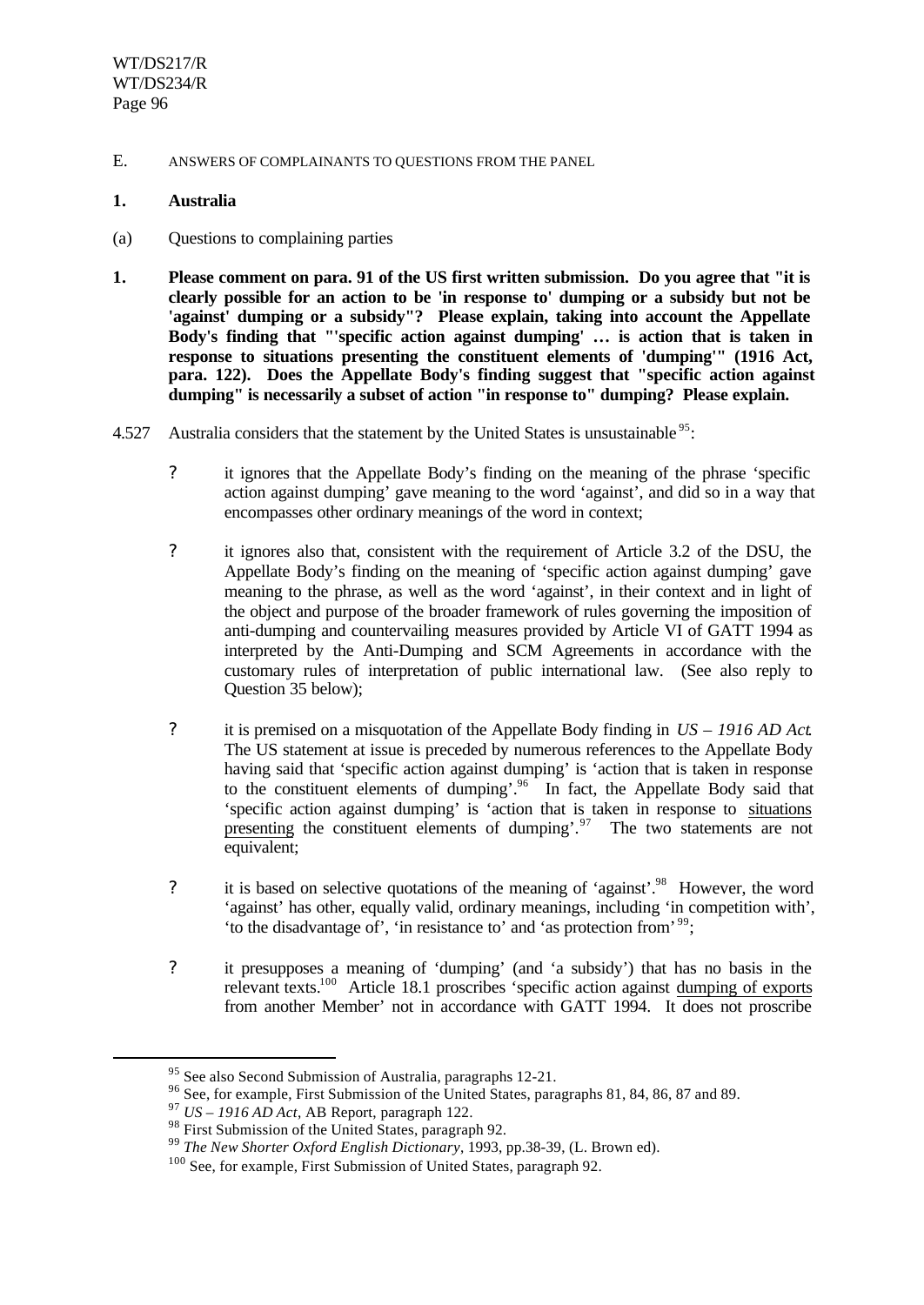### E. ANSWERS OF COMPLAINANTS TO QUESTIONS FROM THE PANEL

### **1. Australia**

- (a) Questions to complaining parties
- **1. Please comment on para. 91 of the US first written submission. Do you agree that "it is clearly possible for an action to be 'in response to' dumping or a subsidy but not be 'against' dumping or a subsidy"? Please explain, taking into account the Appellate Body's finding that "'specific action against dumping' … is action that is taken in response to situations presenting the constituent elements of 'dumping'" (1916 Act, para. 122). Does the Appellate Body's finding suggest that "specific action against dumping" is necessarily a subset of action "in response to" dumping? Please explain.**
- 4.527 Australia considers that the statement by the United States is unsustainable  $95$ :
	- ? it ignores that the Appellate Body's finding on the meaning of the phrase 'specific action against dumping' gave meaning to the word 'against', and did so in a way that encompasses other ordinary meanings of the word in context;
	- ? it ignores also that, consistent with the requirement of Article 3.2 of the DSU, the Appellate Body's finding on the meaning of 'specific action against dumping' gave meaning to the phrase, as well as the word 'against', in their context and in light of the object and purpose of the broader framework of rules governing the imposition of anti-dumping and countervailing measures provided by Article VI of GATT 1994 as interpreted by the Anti-Dumping and SCM Agreements in accordance with the customary rules of interpretation of public international law. (See also reply to Question 35 below);
	- ? it is premised on a misquotation of the Appellate Body finding in *US 1916 AD Act*. The US statement at issue is preceded by numerous references to the Appellate Body having said that 'specific action against dumping' is 'action that is taken in response to the constituent elements of dumping'.<sup>96</sup> In fact, the Appellate Body said that 'specific action against dumping' is 'action that is taken in response to situations presenting the constituent elements of dumping'.<sup>97</sup> The two statements are not equivalent;
	- ? it is based on selective quotations of the meaning of 'against'.<sup>98</sup> However, the word 'against' has other, equally valid, ordinary meanings, including 'in competition with', 'to the disadvantage of', 'in resistance to' and 'as protection from' <sup>99</sup>;
	- ? it presupposes a meaning of 'dumping' (and 'a subsidy') that has no basis in the relevant texts.<sup>100</sup> Article 18.1 proscribes 'specific action against dumping of exports from another Member' not in accordance with GATT 1994. It does not proscribe

l

<sup>&</sup>lt;sup>95</sup> See also Second Submission of Australia, paragraphs 12-21.

<sup>96</sup> See, for example, First Submission of the United States, paragraphs 81, 84, 86, 87 and 89.

<sup>97</sup> *US – 1916 AD Act*, AB Report, paragraph 122.

 $98$  First Submission of the United States, paragraph 92.

<sup>99</sup> *The New Shorter Oxford English Dictionary*, 1993, pp.38-39, (L. Brown ed).

<sup>100</sup> See, for example, First Submission of United States, paragraph 92.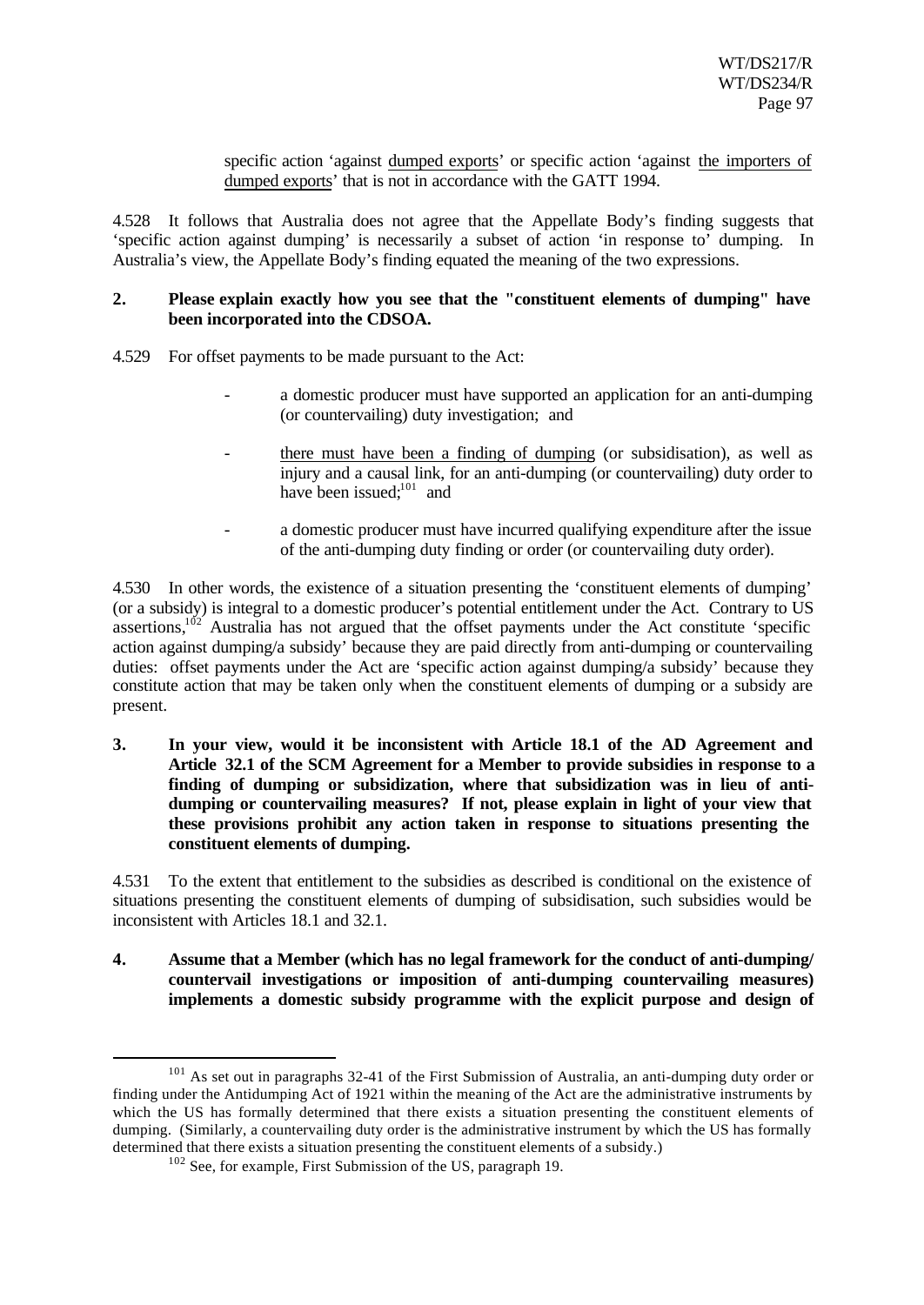specific action 'against dumped exports' or specific action 'against the importers of dumped exports' that is not in accordance with the GATT 1994.

4.528 It follows that Australia does not agree that the Appellate Body's finding suggests that 'specific action against dumping' is necessarily a subset of action 'in response to' dumping. In Australia's view, the Appellate Body's finding equated the meaning of the two expressions.

## **2. Please explain exactly how you see that the "constituent elements of dumping" have been incorporated into the CDSOA.**

- 4.529 For offset payments to be made pursuant to the Act:
	- a domestic producer must have supported an application for an anti-dumping (or countervailing) duty investigation; and
	- there must have been a finding of dumping (or subsidisation), as well as injury and a causal link, for an anti-dumping (or countervailing) duty order to have been issued; $^{101}$  and
	- a domestic producer must have incurred qualifying expenditure after the issue of the anti-dumping duty finding or order (or countervailing duty order).

4.530 In other words, the existence of a situation presenting the 'constituent elements of dumping' (or a subsidy) is integral to a domestic producer's potential entitlement under the Act. Contrary to US assertions,<sup>102</sup> Australia has not argued that the offset payments under the Act constitute 'specific action against dumping/a subsidy' because they are paid directly from anti-dumping or countervailing duties: offset payments under the Act are 'specific action against dumping/a subsidy' because they constitute action that may be taken only when the constituent elements of dumping or a subsidy are present.

**3. In your view, would it be inconsistent with Article 18.1 of the AD Agreement and Article 32.1 of the SCM Agreement for a Member to provide subsidies in response to a finding of dumping or subsidization, where that subsidization was in lieu of antidumping or countervailing measures? If not, please explain in light of your view that these provisions prohibit any action taken in response to situations presenting the constituent elements of dumping.**

4.531 To the extent that entitlement to the subsidies as described is conditional on the existence of situations presenting the constituent elements of dumping of subsidisation, such subsidies would be inconsistent with Articles 18.1 and 32.1.

**4. Assume that a Member (which has no legal framework for the conduct of anti-dumping/ countervail investigations or imposition of anti-dumping countervailing measures) implements a domestic subsidy programme with the explicit purpose and design of**

l

<sup>&</sup>lt;sup>101</sup> As set out in paragraphs 32-41 of the First Submission of Australia, an anti-dumping duty order or finding under the Antidumping Act of 1921 within the meaning of the Act are the administrative instruments by which the US has formally determined that there exists a situation presenting the constituent elements of dumping. (Similarly, a countervailing duty order is the administrative instrument by which the US has formally determined that there exists a situation presenting the constituent elements of a subsidy.)

<sup>102</sup> See, for example, First Submission of the US, paragraph 19.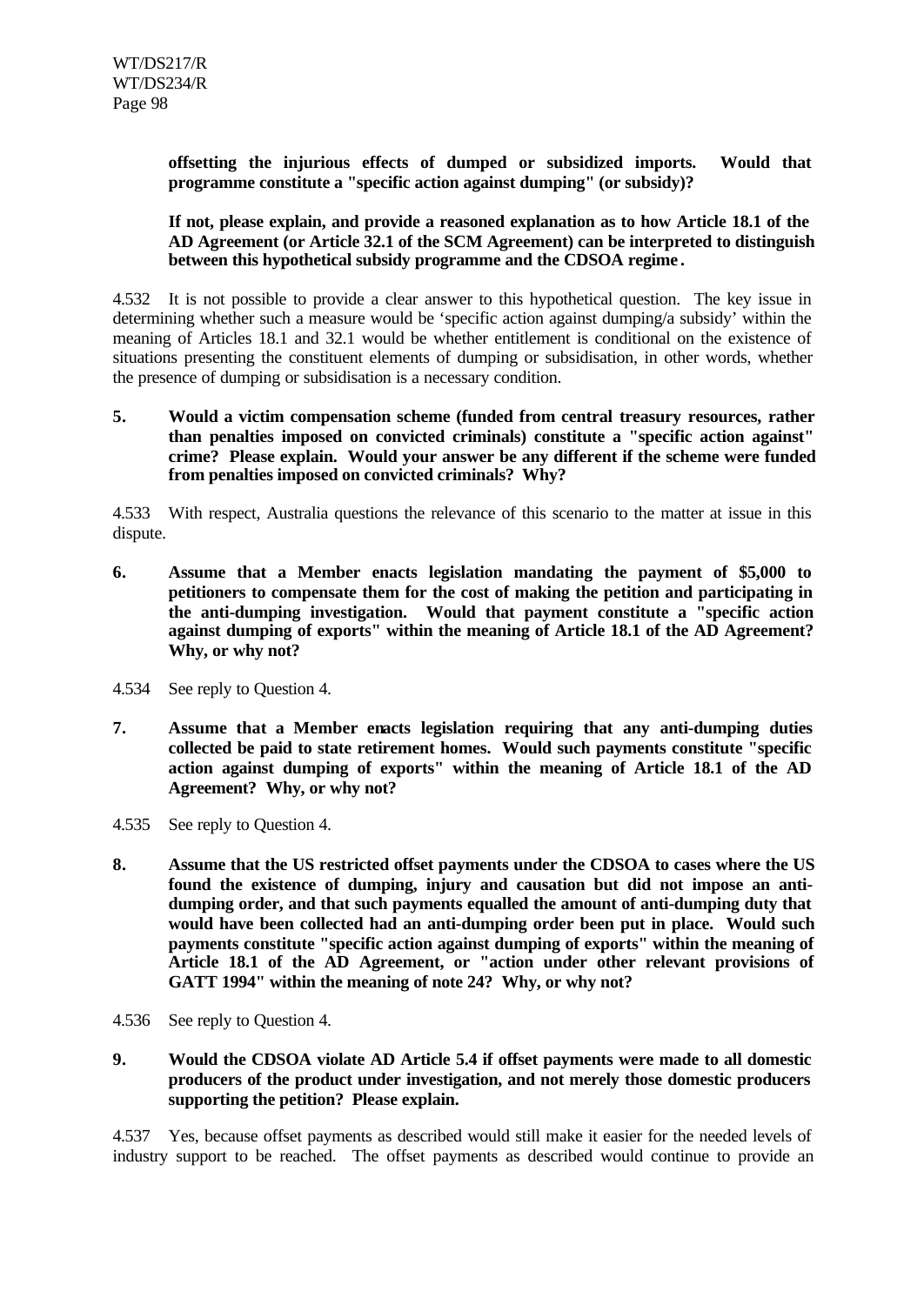**offsetting the injurious effects of dumped or subsidized imports. Would that programme constitute a "specific action against dumping" (or subsidy)?**

### **If not, please explain, and provide a reasoned explanation as to how Article 18.1 of the AD Agreement (or Article 32.1 of the SCM Agreement) can be interpreted to distinguish between this hypothetical subsidy programme and the CDSOA regime** *.*

4.532 It is not possible to provide a clear answer to this hypothetical question. The key issue in determining whether such a measure would be 'specific action against dumping/a subsidy' within the meaning of Articles 18.1 and 32.1 would be whether entitlement is conditional on the existence of situations presenting the constituent elements of dumping or subsidisation, in other words, whether the presence of dumping or subsidisation is a necessary condition.

**5. Would a victim compensation scheme (funded from central treasury resources, rather than penalties imposed on convicted criminals) constitute a "specific action against" crime? Please explain. Would your answer be any different if the scheme were funded from penalties imposed on convicted criminals? Why?**

4.533 With respect, Australia questions the relevance of this scenario to the matter at issue in this dispute.

- **6. Assume that a Member enacts legislation mandating the payment of \$5,000 to petitioners to compensate them for the cost of making the petition and participating in the anti-dumping investigation. Would that payment constitute a "specific action against dumping of exports" within the meaning of Article 18.1 of the AD Agreement? Why, or why not?**
- 4.534 See reply to Question 4.
- **7. Assume that a Member enacts legislation requiring that any anti-dumping duties collected be paid to state retirement homes. Would such payments constitute "specific action against dumping of exports" within the meaning of Article 18.1 of the AD Agreement? Why, or why not?**
- 4.535 See reply to Question 4.
- **8. Assume that the US restricted offset payments under the CDSOA to cases where the US found the existence of dumping, injury and causation but did not impose an antidumping order, and that such payments equalled the amount of anti-dumping duty that would have been collected had an anti-dumping order been put in place. Would such payments constitute "specific action against dumping of exports" within the meaning of Article 18.1 of the AD Agreement, or "action under other relevant provisions of GATT 1994" within the meaning of note 24? Why, or why not?**
- 4.536 See reply to Question 4.
- **9. Would the CDSOA violate AD Article 5.4 if offset payments were made to all domestic producers of the product under investigation, and not merely those domestic producers supporting the petition? Please explain.**

4.537 Yes, because offset payments as described would still make it easier for the needed levels of industry support to be reached. The offset payments as described would continue to provide an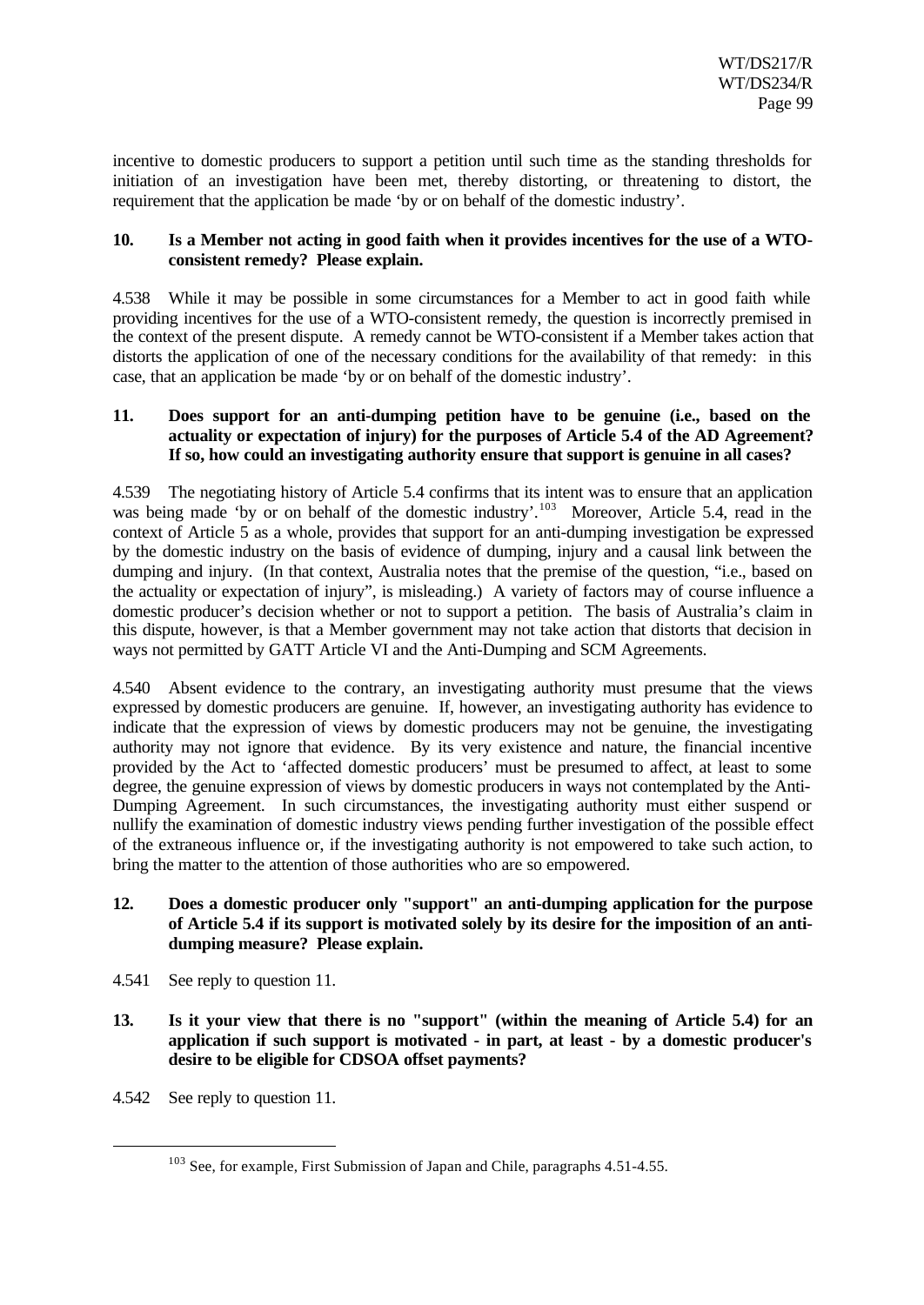incentive to domestic producers to support a petition until such time as the standing thresholds for initiation of an investigation have been met, thereby distorting, or threatening to distort, the requirement that the application be made 'by or on behalf of the domestic industry'.

## **10. Is a Member not acting in good faith when it provides incentives for the use of a WTOconsistent remedy? Please explain.**

4.538 While it may be possible in some circumstances for a Member to act in good faith while providing incentives for the use of a WTO-consistent remedy, the question is incorrectly premised in the context of the present dispute. A remedy cannot be WTO-consistent if a Member takes action that distorts the application of one of the necessary conditions for the availability of that remedy: in this case, that an application be made 'by or on behalf of the domestic industry'.

## **11. Does support for an anti-dumping petition have to be genuine (i.e., based on the actuality or expectation of injury) for the purposes of Article 5.4 of the AD Agreement? If so, how could an investigating authority ensure that support is genuine in all cases?**

4.539 The negotiating history of Article 5.4 confirms that its intent was to ensure that an application was being made 'by or on behalf of the domestic industry'.<sup>103</sup> Moreover, Article 5.4, read in the context of Article 5 as a whole, provides that support for an anti-dumping investigation be expressed by the domestic industry on the basis of evidence of dumping, injury and a causal link between the dumping and injury. (In that context, Australia notes that the premise of the question, "i.e., based on the actuality or expectation of injury", is misleading.) A variety of factors may of course influence a domestic producer's decision whether or not to support a petition. The basis of Australia's claim in this dispute, however, is that a Member government may not take action that distorts that decision in ways not permitted by GATT Article VI and the Anti-Dumping and SCM Agreements.

4.540 Absent evidence to the contrary, an investigating authority must presume that the views expressed by domestic producers are genuine. If, however, an investigating authority has evidence to indicate that the expression of views by domestic producers may not be genuine, the investigating authority may not ignore that evidence. By its very existence and nature, the financial incentive provided by the Act to 'affected domestic producers' must be presumed to affect, at least to some degree, the genuine expression of views by domestic producers in ways not contemplated by the Anti-Dumping Agreement. In such circumstances, the investigating authority must either suspend or nullify the examination of domestic industry views pending further investigation of the possible effect of the extraneous influence or, if the investigating authority is not empowered to take such action, to bring the matter to the attention of those authorities who are so empowered.

## **12. Does a domestic producer only "support" an anti-dumping application for the purpose of Article 5.4 if its support is motivated solely by its desire for the imposition of an antidumping measure? Please explain.**

- 4.541 See reply to question 11.
- **13. Is it your view that there is no "support" (within the meaning of Article 5.4) for an application if such support is motivated - in part, at least - by a domestic producer's desire to be eligible for CDSOA offset payments?**
- 4.542 See reply to question 11.

l

<sup>103</sup> See, for example, First Submission of Japan and Chile, paragraphs 4.51-4.55.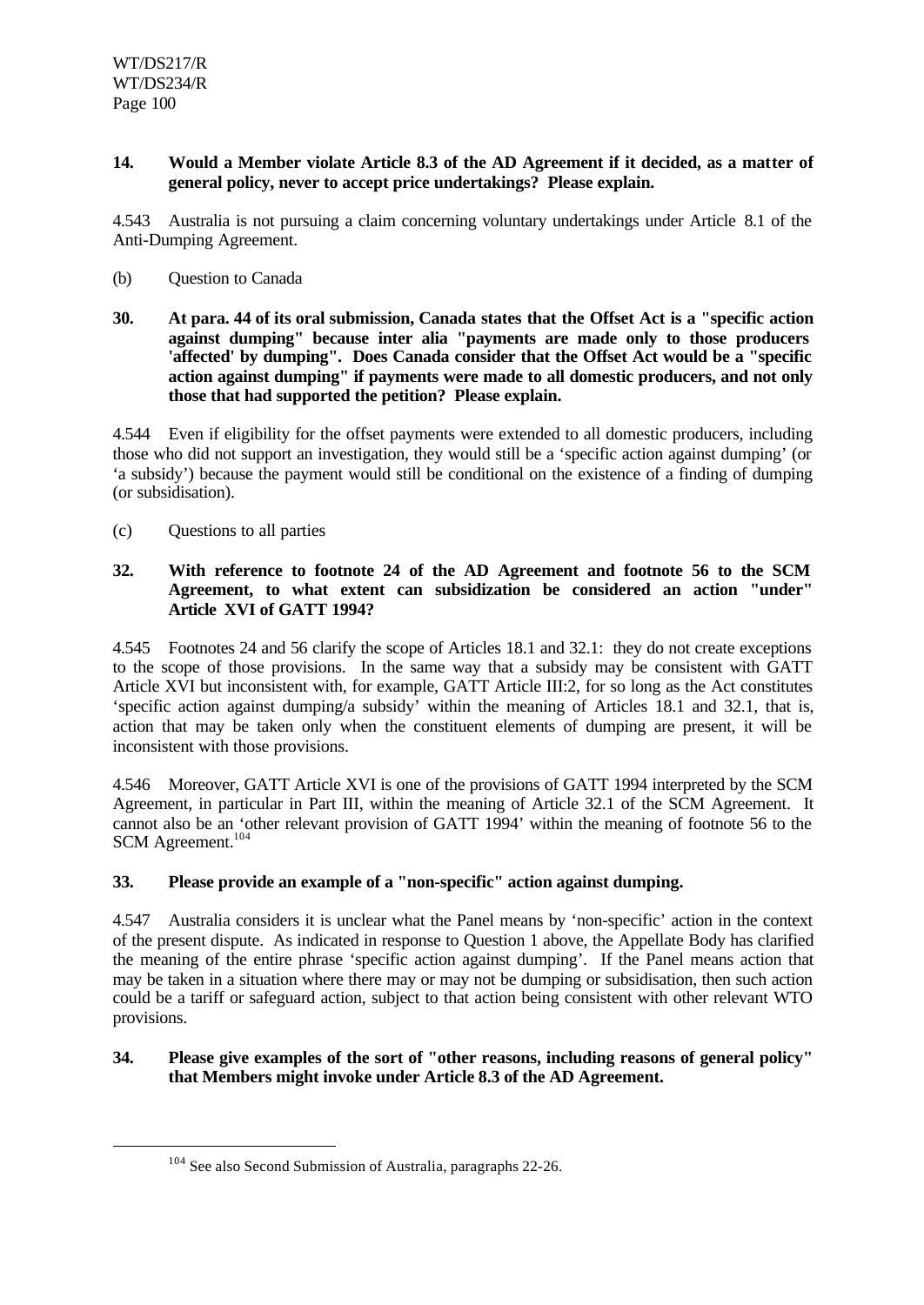## **14. Would a Member violate Article 8.3 of the AD Agreement if it decided, as a matter of general policy, never to accept price undertakings? Please explain.**

4.543 Australia is not pursuing a claim concerning voluntary undertakings under Article 8.1 of the Anti-Dumping Agreement.

- (b) Question to Canada
- **30. At para. 44 of its oral submission, Canada states that the Offset Act is a "specific action against dumping" because inter alia "payments are made only to those producers 'affected' by dumping". Does Canada consider that the Offset Act would be a "specific action against dumping" if payments were made to all domestic producers, and not only those that had supported the petition? Please explain.**

4.544 Even if eligibility for the offset payments were extended to all domestic producers, including those who did not support an investigation, they would still be a 'specific action against dumping' (or 'a subsidy') because the payment would still be conditional on the existence of a finding of dumping (or subsidisation).

(c) Questions to all parties

l

## **32. With reference to footnote 24 of the AD Agreement and footnote 56 to the SCM Agreement, to what extent can subsidization be considered an action "under" Article XVI of GATT 1994?**

4.545 Footnotes 24 and 56 clarify the scope of Articles 18.1 and 32.1: they do not create exceptions to the scope of those provisions. In the same way that a subsidy may be consistent with GATT Article XVI but inconsistent with, for example, GATT Article III:2, for so long as the Act constitutes 'specific action against dumping/a subsidy' within the meaning of Articles 18.1 and 32.1, that is, action that may be taken only when the constituent elements of dumping are present, it will be inconsistent with those provisions.

4.546 Moreover, GATT Article XVI is one of the provisions of GATT 1994 interpreted by the SCM Agreement, in particular in Part III, within the meaning of Article 32.1 of the SCM Agreement. It cannot also be an 'other relevant provision of GATT 1994' within the meaning of footnote 56 to the SCM Agreement.<sup>104</sup>

# **33. Please provide an example of a "non-specific" action against dumping.**

4.547 Australia considers it is unclear what the Panel means by 'non-specific' action in the context of the present dispute. As indicated in response to Question 1 above, the Appellate Body has clarified the meaning of the entire phrase 'specific action against dumping'. If the Panel means action that may be taken in a situation where there may or may not be dumping or subsidisation, then such action could be a tariff or safeguard action, subject to that action being consistent with other relevant WTO provisions.

## **34. Please give examples of the sort of "other reasons, including reasons of general policy" that Members might invoke under Article 8.3 of the AD Agreement.**

<sup>104</sup> See also Second Submission of Australia, paragraphs 22-26.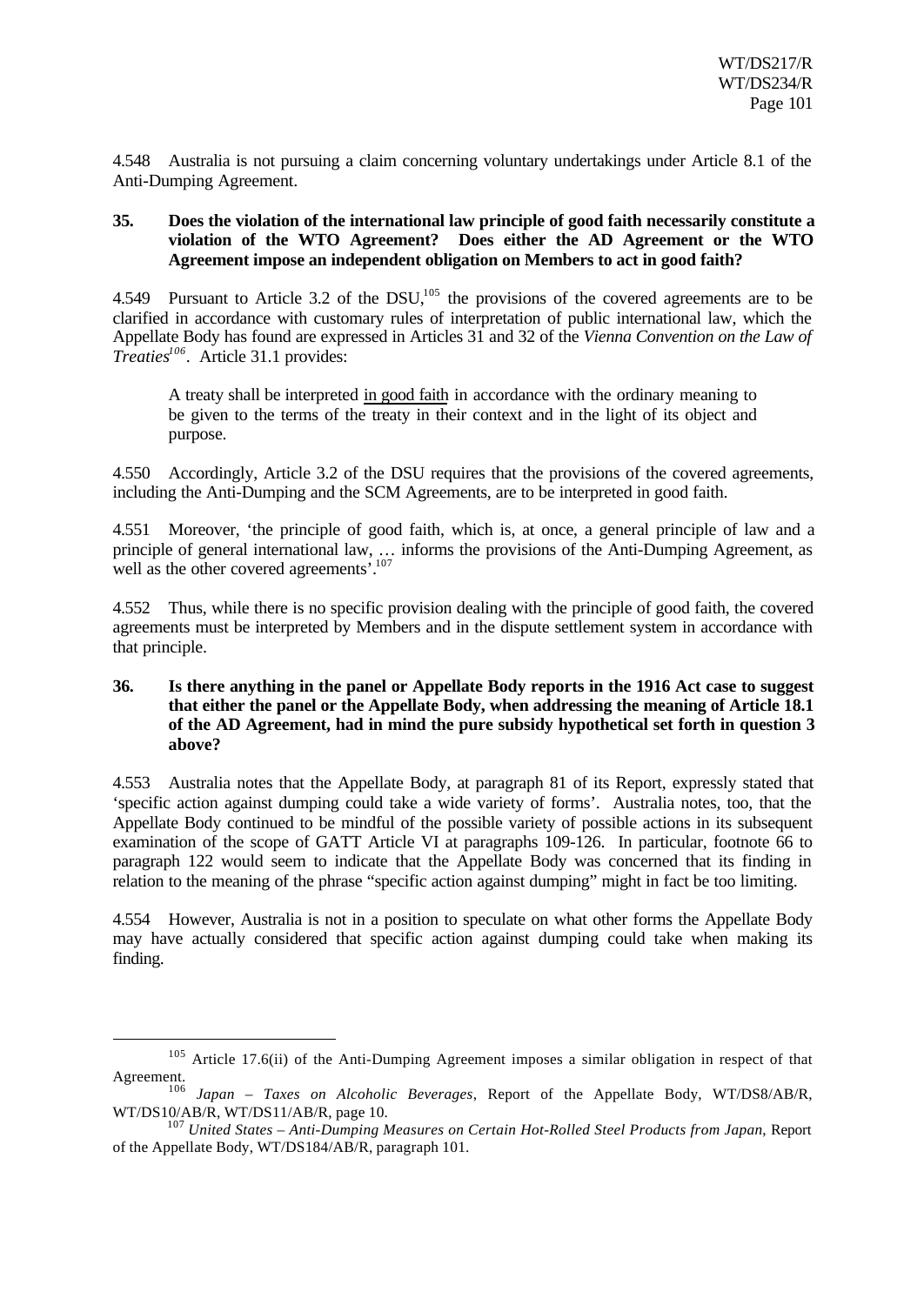4.548 Australia is not pursuing a claim concerning voluntary undertakings under Article 8.1 of the Anti-Dumping Agreement.

## **35. Does the violation of the international law principle of good faith necessarily constitute a violation of the WTO Agreement? Does either the AD Agreement or the WTO Agreement impose an independent obligation on Members to act in good faith?**

4.549 Pursuant to Article 3.2 of the DSU,<sup>105</sup> the provisions of the covered agreements are to be clarified in accordance with customary rules of interpretation of public international law, which the Appellate Body has found are expressed in Articles 31 and 32 of the *Vienna Convention on the Law of Treaties<sup>106</sup>*. Article 31.1 provides:

A treaty shall be interpreted in good faith in accordance with the ordinary meaning to be given to the terms of the treaty in their context and in the light of its object and purpose.

4.550 Accordingly, Article 3.2 of the DSU requires that the provisions of the covered agreements, including the Anti-Dumping and the SCM Agreements, are to be interpreted in good faith.

4.551 Moreover, 'the principle of good faith, which is, at once, a general principle of law and a principle of general international law, … informs the provisions of the Anti-Dumping Agreement, as well as the other covered agreements'.<sup>107</sup>

4.552 Thus, while there is no specific provision dealing with the principle of good faith, the covered agreements must be interpreted by Members and in the dispute settlement system in accordance with that principle.

### **36. Is there anything in the panel or Appellate Body reports in the 1916 Act case to suggest that either the panel or the Appellate Body, when addressing the meaning of Article 18.1 of the AD Agreement, had in mind the pure subsidy hypothetical set forth in question 3 above?**

4.553 Australia notes that the Appellate Body, at paragraph 81 of its Report, expressly stated that 'specific action against dumping could take a wide variety of forms'. Australia notes, too, that the Appellate Body continued to be mindful of the possible variety of possible actions in its subsequent examination of the scope of GATT Article VI at paragraphs 109-126. In particular, footnote 66 to paragraph 122 would seem to indicate that the Appellate Body was concerned that its finding in relation to the meaning of the phrase "specific action against dumping" might in fact be too limiting.

4.554 However, Australia is not in a position to speculate on what other forms the Appellate Body may have actually considered that specific action against dumping could take when making its finding.

l

 $105$  Article 17.6(ii) of the Anti-Dumping Agreement imposes a similar obligation in respect of that Agreement.

<sup>106</sup> *Japan – Taxes on Alcoholic Beverages*, Report of the Appellate Body, WT/DS8/AB/R, WT/DS10/AB/R, WT/DS11/AB/R, page 10.

<sup>107</sup> *United States – Anti-Dumping Measures on Certain Hot-Rolled Steel Products from Japan*, Report of the Appellate Body, WT/DS184/AB/R, paragraph 101.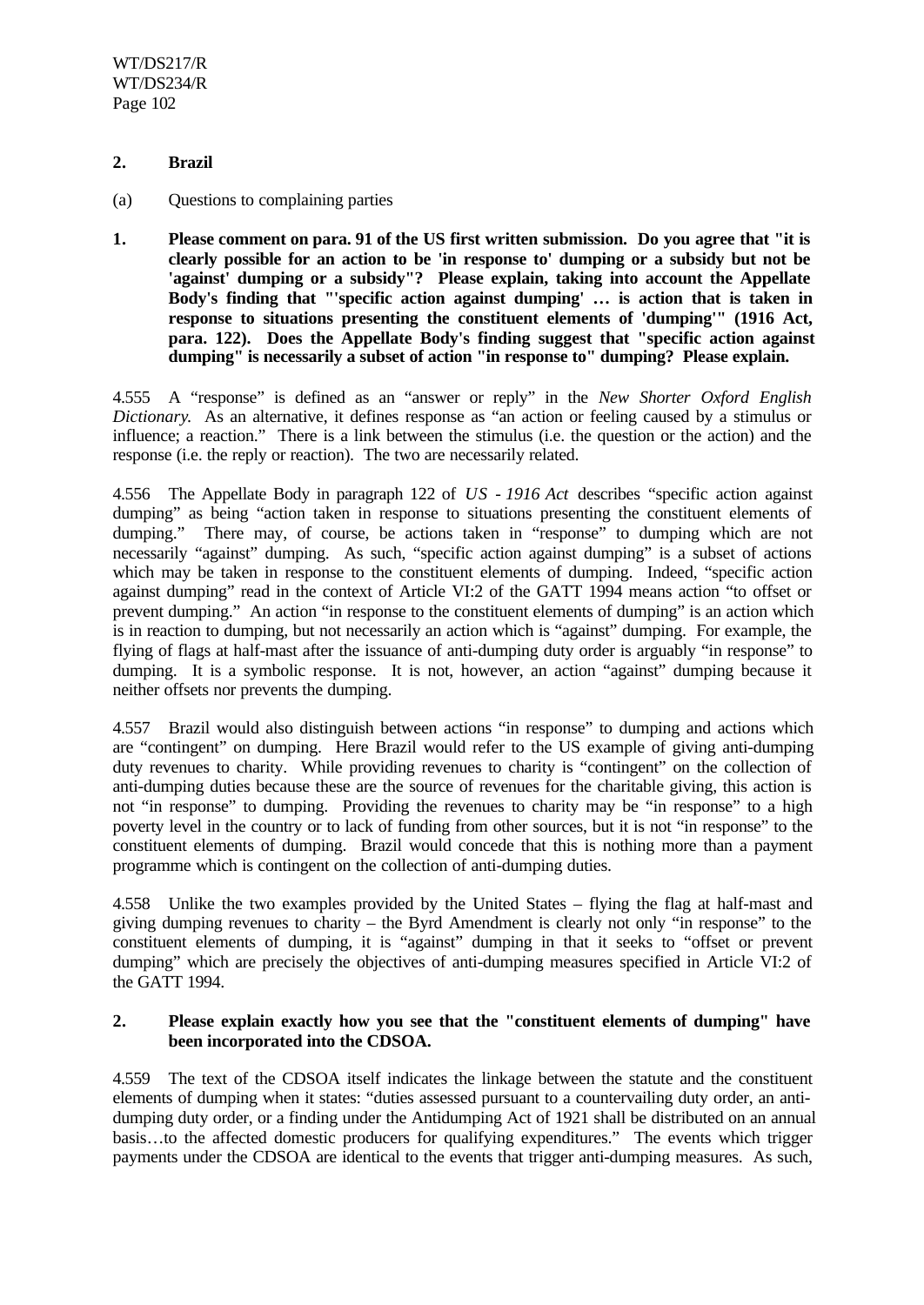### **2. Brazil**

- (a) Questions to complaining parties
- **1. Please comment on para. 91 of the US first written submission. Do you agree that "it is clearly possible for an action to be 'in response to' dumping or a subsidy but not be 'against' dumping or a subsidy"? Please explain, taking into account the Appellate Body's finding that "'specific action against dumping' … is action that is taken in response to situations presenting the constituent elements of 'dumping'" (1916 Act, para. 122). Does the Appellate Body's finding suggest that "specific action against dumping" is necessarily a subset of action "in response to" dumping? Please explain.**

4.555 A "response" is defined as an "answer or reply" in the *New Shorter Oxford English Dictionary*. As an alternative, it defines response as "an action or feeling caused by a stimulus or influence; a reaction." There is a link between the stimulus (i.e. the question or the action) and the response (i.e. the reply or reaction). The two are necessarily related.

4.556 The Appellate Body in paragraph 122 of *US - 1916 Act* describes "specific action against dumping" as being "action taken in response to situations presenting the constituent elements of dumping." There may, of course, be actions taken in "response" to dumping which are not necessarily "against" dumping. As such, "specific action against dumping" is a subset of actions which may be taken in response to the constituent elements of dumping. Indeed, "specific action against dumping" read in the context of Article VI:2 of the GATT 1994 means action "to offset or prevent dumping." An action "in response to the constituent elements of dumping" is an action which is in reaction to dumping, but not necessarily an action which is "against" dumping. For example, the flying of flags at half-mast after the issuance of anti-dumping duty order is arguably "in response" to dumping. It is a symbolic response. It is not, however, an action "against" dumping because it neither offsets nor prevents the dumping.

4.557 Brazil would also distinguish between actions "in response" to dumping and actions which are "contingent" on dumping. Here Brazil would refer to the US example of giving anti-dumping duty revenues to charity. While providing revenues to charity is "contingent" on the collection of anti-dumping duties because these are the source of revenues for the charitable giving, this action is not "in response" to dumping. Providing the revenues to charity may be "in response" to a high poverty level in the country or to lack of funding from other sources, but it is not "in response" to the constituent elements of dumping. Brazil would concede that this is nothing more than a payment programme which is contingent on the collection of anti-dumping duties.

4.558 Unlike the two examples provided by the United States – flying the flag at half-mast and giving dumping revenues to charity – the Byrd Amendment is clearly not only "in response" to the constituent elements of dumping, it is "against" dumping in that it seeks to "offset or prevent dumping" which are precisely the objectives of anti-dumping measures specified in Article VI:2 of the GATT 1994.

#### **2. Please explain exactly how you see that the "constituent elements of dumping" have been incorporated into the CDSOA.**

4.559 The text of the CDSOA itself indicates the linkage between the statute and the constituent elements of dumping when it states: "duties assessed pursuant to a countervailing duty order, an antidumping duty order, or a finding under the Antidumping Act of 1921 shall be distributed on an annual basis…to the affected domestic producers for qualifying expenditures." The events which trigger payments under the CDSOA are identical to the events that trigger anti-dumping measures. As such,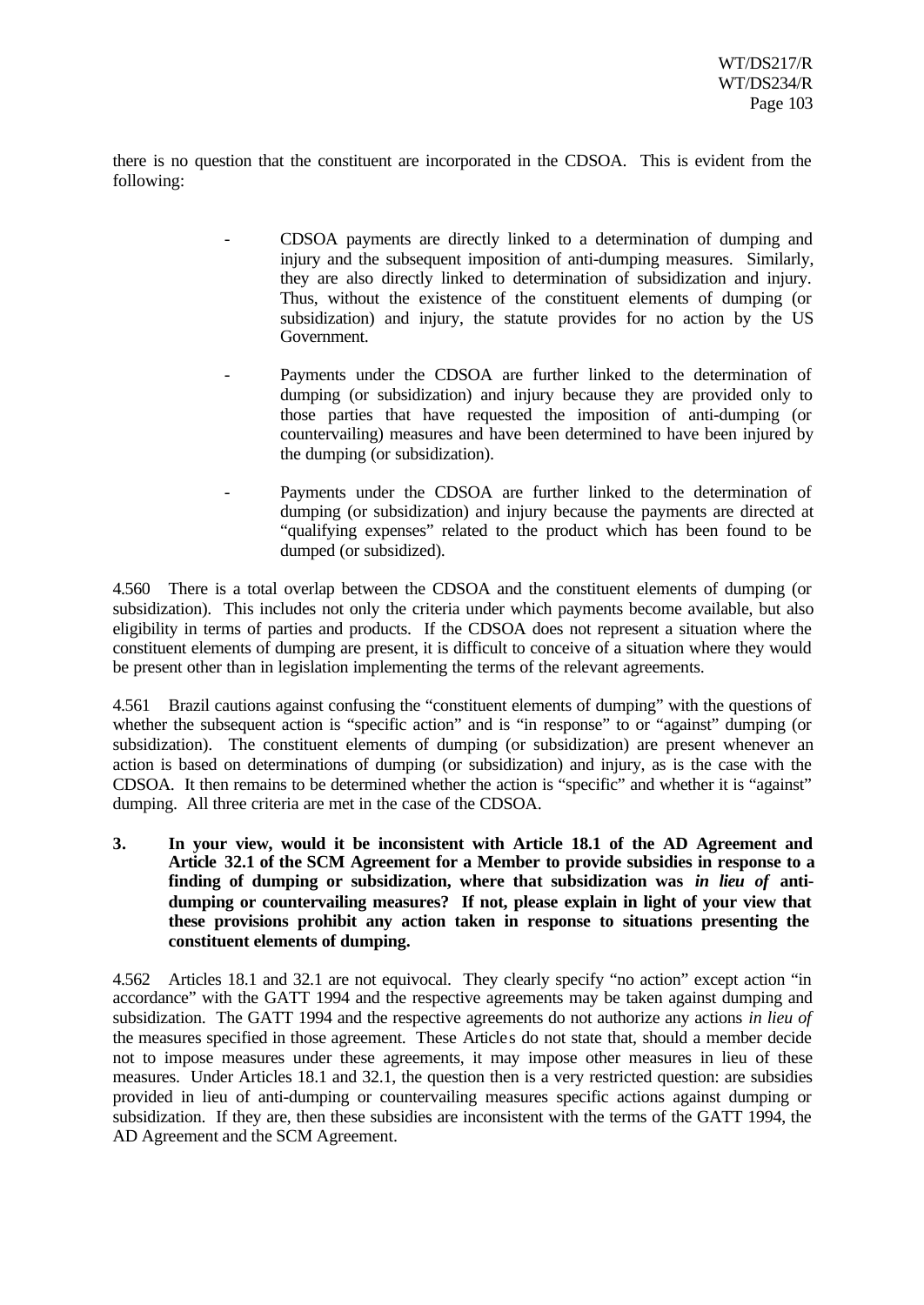there is no question that the constituent are incorporated in the CDSOA. This is evident from the following:

- CDSOA payments are directly linked to a determination of dumping and injury and the subsequent imposition of anti-dumping measures. Similarly, they are also directly linked to determination of subsidization and injury. Thus, without the existence of the constituent elements of dumping (or subsidization) and injury, the statute provides for no action by the US Government.
- Payments under the CDSOA are further linked to the determination of dumping (or subsidization) and injury because they are provided only to those parties that have requested the imposition of anti-dumping (or countervailing) measures and have been determined to have been injured by the dumping (or subsidization).
- Payments under the CDSOA are further linked to the determination of dumping (or subsidization) and injury because the payments are directed at "qualifying expenses" related to the product which has been found to be dumped (or subsidized).

4.560 There is a total overlap between the CDSOA and the constituent elements of dumping (or subsidization). This includes not only the criteria under which payments become available, but also eligibility in terms of parties and products. If the CDSOA does not represent a situation where the constituent elements of dumping are present, it is difficult to conceive of a situation where they would be present other than in legislation implementing the terms of the relevant agreements.

4.561 Brazil cautions against confusing the "constituent elements of dumping" with the questions of whether the subsequent action is "specific action" and is "in response" to or "against" dumping (or subsidization). The constituent elements of dumping (or subsidization) are present whenever an action is based on determinations of dumping (or subsidization) and injury, as is the case with the CDSOA. It then remains to be determined whether the action is "specific" and whether it is "against" dumping. All three criteria are met in the case of the CDSOA.

**3. In your view, would it be inconsistent with Article 18.1 of the AD Agreement and Article 32.1 of the SCM Agreement for a Member to provide subsidies in response to a finding of dumping or subsidization, where that subsidization was** *in lieu of* **antidumping or countervailing measures? If not, please explain in light of your view that these provisions prohibit any action taken in response to situations presenting the constituent elements of dumping.**

4.562 Articles 18.1 and 32.1 are not equivocal. They clearly specify "no action" except action "in accordance" with the GATT 1994 and the respective agreements may be taken against dumping and subsidization. The GATT 1994 and the respective agreements do not authorize any actions *in lieu of* the measures specified in those agreement. These Articles do not state that, should a member decide not to impose measures under these agreements, it may impose other measures in lieu of these measures. Under Articles 18.1 and 32.1, the question then is a very restricted question: are subsidies provided in lieu of anti-dumping or countervailing measures specific actions against dumping or subsidization. If they are, then these subsidies are inconsistent with the terms of the GATT 1994, the AD Agreement and the SCM Agreement.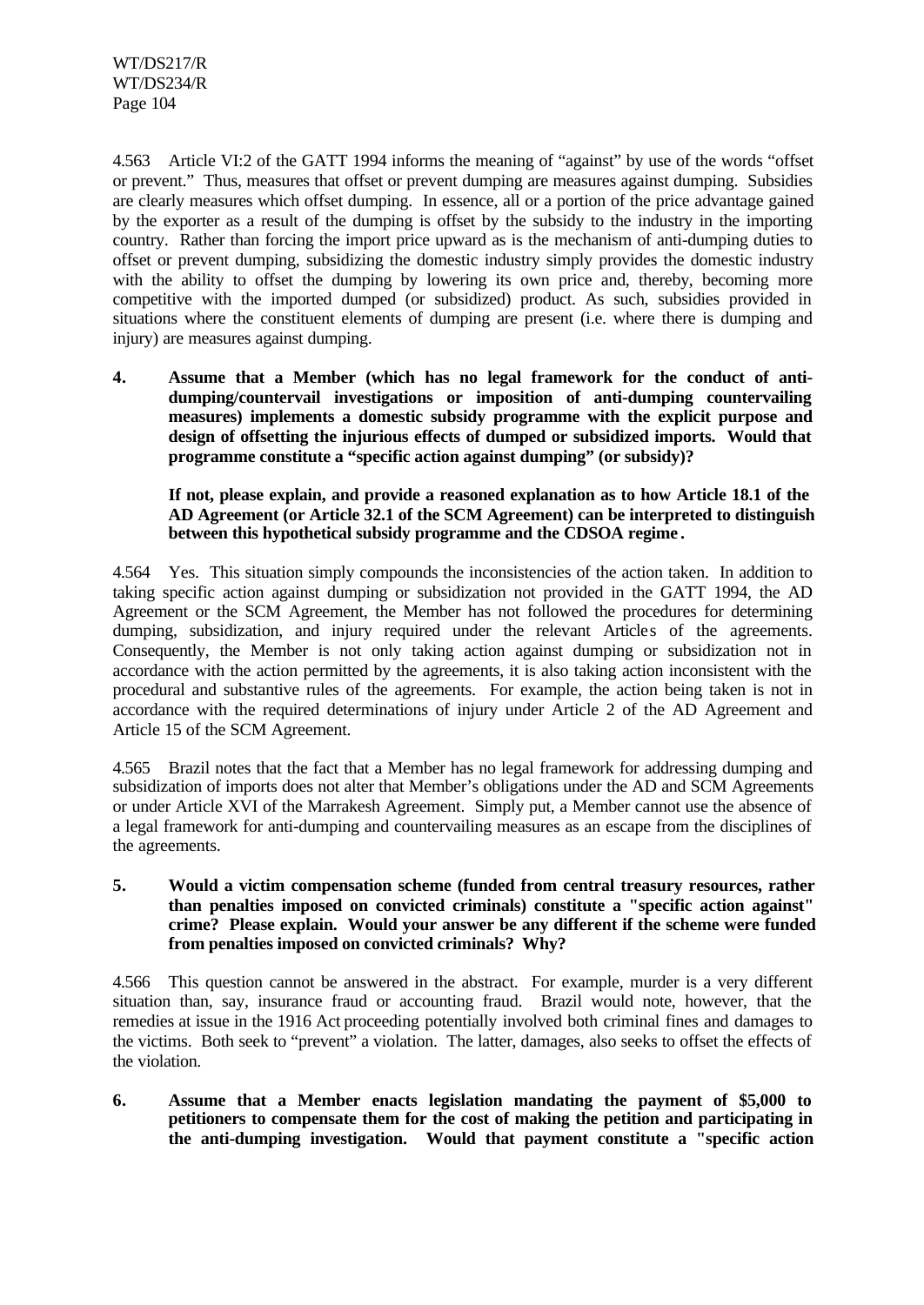4.563 Article VI:2 of the GATT 1994 informs the meaning of "against" by use of the words "offset or prevent." Thus, measures that offset or prevent dumping are measures against dumping. Subsidies are clearly measures which offset dumping. In essence, all or a portion of the price advantage gained by the exporter as a result of the dumping is offset by the subsidy to the industry in the importing country. Rather than forcing the import price upward as is the mechanism of anti-dumping duties to offset or prevent dumping, subsidizing the domestic industry simply provides the domestic industry with the ability to offset the dumping by lowering its own price and, thereby, becoming more competitive with the imported dumped (or subsidized) product. As such, subsidies provided in situations where the constituent elements of dumping are present (i.e. where there is dumping and injury) are measures against dumping.

**4. Assume that a Member (which has no legal framework for the conduct of antidumping/countervail investigations or imposition of anti-dumping countervailing measures) implements a domestic subsidy programme with the explicit purpose and design of offsetting the injurious effects of dumped or subsidized imports. Would that programme constitute a "specific action against dumping" (or subsidy)?**

### **If not, please explain, and provide a reasoned explanation as to how Article 18.1 of the AD Agreement (or Article 32.1 of the SCM Agreement) can be interpreted to distinguish between this hypothetical subsidy programme and the CDSOA regime** *.*

4.564 Yes. This situation simply compounds the inconsistencies of the action taken. In addition to taking specific action against dumping or subsidization not provided in the GATT 1994, the AD Agreement or the SCM Agreement, the Member has not followed the procedures for determining dumping, subsidization, and injury required under the relevant Articles of the agreements. Consequently, the Member is not only taking action against dumping or subsidization not in accordance with the action permitted by the agreements, it is also taking action inconsistent with the procedural and substantive rules of the agreements. For example, the action being taken is not in accordance with the required determinations of injury under Article 2 of the AD Agreement and Article 15 of the SCM Agreement.

4.565 Brazil notes that the fact that a Member has no legal framework for addressing dumping and subsidization of imports does not alter that Member's obligations under the AD and SCM Agreements or under Article XVI of the Marrakesh Agreement. Simply put, a Member cannot use the absence of a legal framework for anti-dumping and countervailing measures as an escape from the disciplines of the agreements.

**5. Would a victim compensation scheme (funded from central treasury resources, rather than penalties imposed on convicted criminals) constitute a "specific action against" crime? Please explain. Would your answer be any different if the scheme were funded from penalties imposed on convicted criminals? Why?**

4.566 This question cannot be answered in the abstract. For example, murder is a very different situation than, say, insurance fraud or accounting fraud. Brazil would note, however, that the remedies at issue in the 1916 Act proceeding potentially involved both criminal fines and damages to the victims. Both seek to "prevent" a violation. The latter, damages, also seeks to offset the effects of the violation.

**6. Assume that a Member enacts legislation mandating the payment of \$5,000 to petitioners to compensate them for the cost of making the petition and participating in the anti-dumping investigation. Would that payment constitute a "specific action**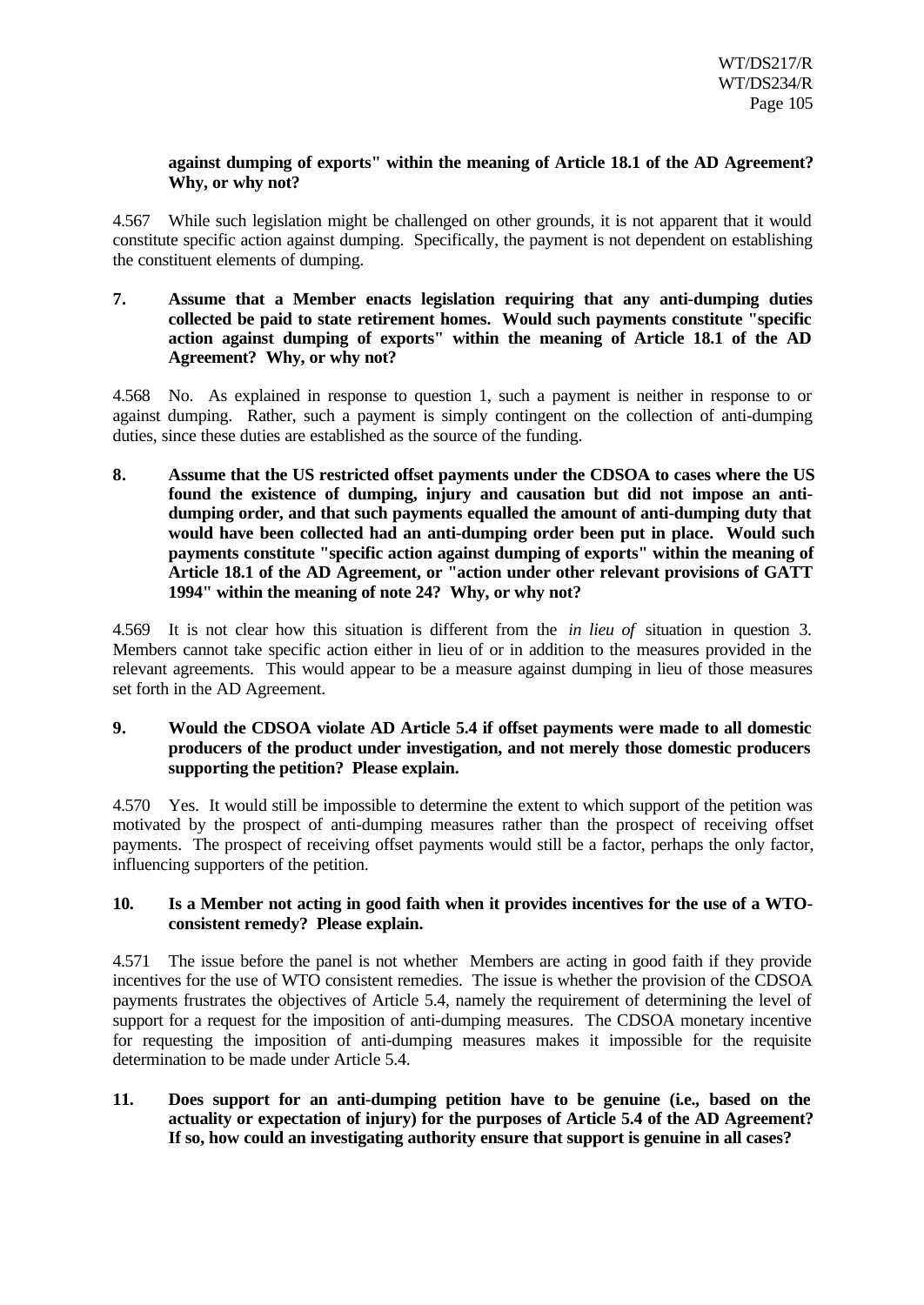# **against dumping of exports" within the meaning of Article 18.1 of the AD Agreement? Why, or why not?**

4.567 While such legislation might be challenged on other grounds, it is not apparent that it would constitute specific action against dumping. Specifically, the payment is not dependent on establishing the constituent elements of dumping.

#### **7. Assume that a Member enacts legislation requiring that any anti-dumping duties collected be paid to state retirement homes. Would such payments constitute "specific action against dumping of exports" within the meaning of Article 18.1 of the AD Agreement? Why, or why not?**

4.568 No. As explained in response to question 1, such a payment is neither in response to or against dumping. Rather, such a payment is simply contingent on the collection of anti-dumping duties, since these duties are established as the source of the funding.

**8. Assume that the US restricted offset payments under the CDSOA to cases where the US found the existence of dumping, injury and causation but did not impose an antidumping order, and that such payments equalled the amount of anti-dumping duty that would have been collected had an anti-dumping order been put in place. Would such payments constitute "specific action against dumping of exports" within the meaning of Article 18.1 of the AD Agreement, or "action under other relevant provisions of GATT 1994" within the meaning of note 24? Why, or why not?**

4.569 It is not clear how this situation is different from the *in lieu of* situation in question 3. Members cannot take specific action either in lieu of or in addition to the measures provided in the relevant agreements. This would appear to be a measure against dumping in lieu of those measures set forth in the AD Agreement.

### **9. Would the CDSOA violate AD Article 5.4 if offset payments were made to all domestic producers of the product under investigation, and not merely those domestic producers supporting the petition? Please explain.**

4.570 Yes. It would still be impossible to determine the extent to which support of the petition was motivated by the prospect of anti-dumping measures rather than the prospect of receiving offset payments. The prospect of receiving offset payments would still be a factor, perhaps the only factor, influencing supporters of the petition.

## **10. Is a Member not acting in good faith when it provides incentives for the use of a WTOconsistent remedy? Please explain.**

4.571 The issue before the panel is not whether Members are acting in good faith if they provide incentives for the use of WTO consistent remedies. The issue is whether the provision of the CDSOA payments frustrates the objectives of Article 5.4, namely the requirement of determining the level of support for a request for the imposition of anti-dumping measures. The CDSOA monetary incentive for requesting the imposition of anti-dumping measures makes it impossible for the requisite determination to be made under Article 5.4.

**11. Does support for an anti-dumping petition have to be genuine (i.e., based on the actuality or expectation of injury) for the purposes of Article 5.4 of the AD Agreement? If so, how could an investigating authority ensure that support is genuine in all cases?**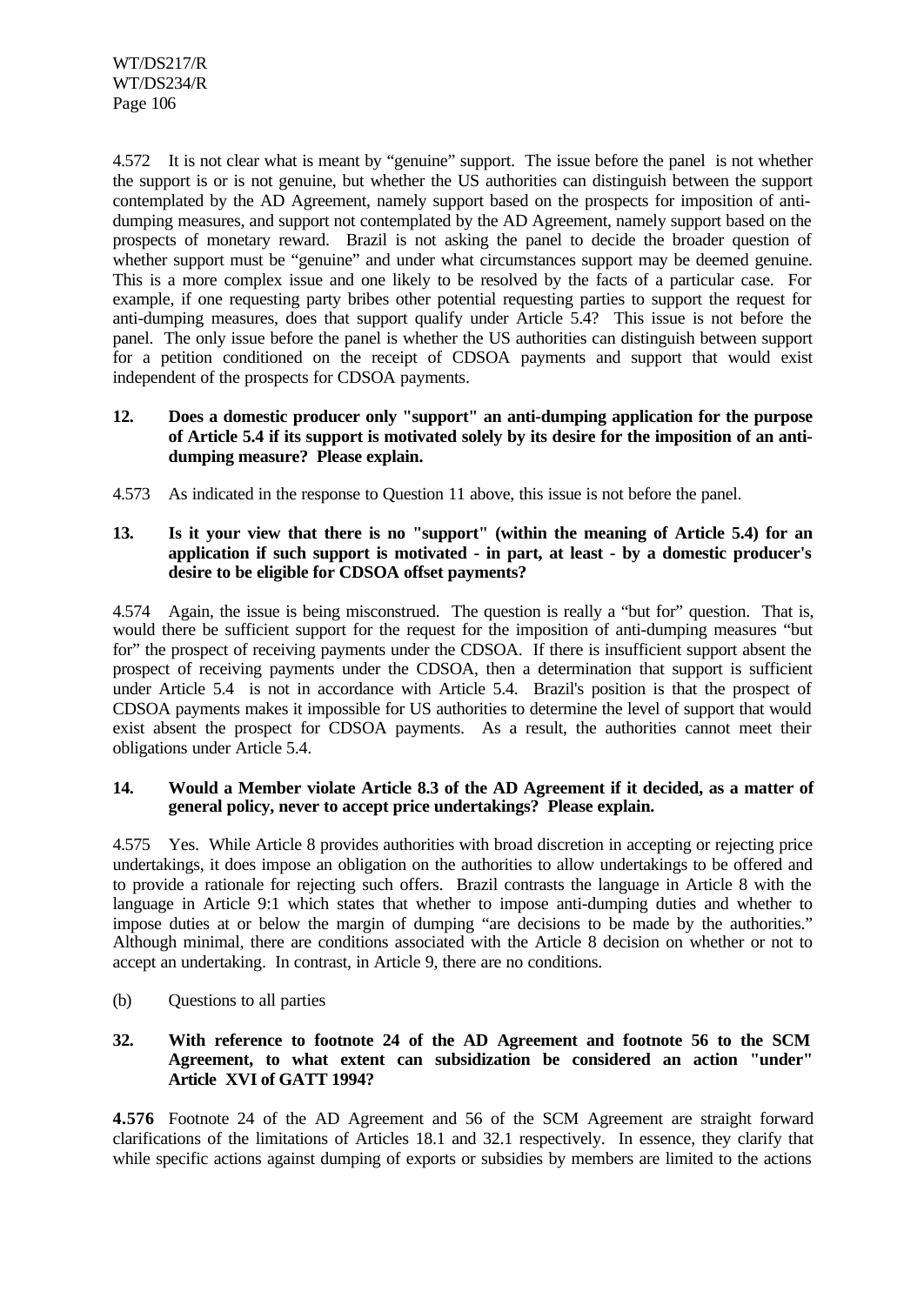4.572 It is not clear what is meant by "genuine" support. The issue before the panel is not whether the support is or is not genuine, but whether the US authorities can distinguish between the support contemplated by the AD Agreement, namely support based on the prospects for imposition of antidumping measures, and support not contemplated by the AD Agreement, namely support based on the prospects of monetary reward. Brazil is not asking the panel to decide the broader question of whether support must be "genuine" and under what circumstances support may be deemed genuine. This is a more complex issue and one likely to be resolved by the facts of a particular case. For example, if one requesting party bribes other potential requesting parties to support the request for anti-dumping measures, does that support qualify under Article 5.4? This issue is not before the panel. The only issue before the panel is whether the US authorities can distinguish between support for a petition conditioned on the receipt of CDSOA payments and support that would exist independent of the prospects for CDSOA payments.

# **12. Does a domestic producer only "support" an anti-dumping application for the purpose of Article 5.4 if its support is motivated solely by its desire for the imposition of an antidumping measure? Please explain.**

4.573 As indicated in the response to Question 11 above, this issue is not before the panel.

## **13. Is it your view that there is no "support" (within the meaning of Article 5.4) for an application if such support is motivated - in part, at least - by a domestic producer's desire to be eligible for CDSOA offset payments?**

4.574 Again, the issue is being misconstrued. The question is really a "but for" question. That is, would there be sufficient support for the request for the imposition of anti-dumping measures "but for" the prospect of receiving payments under the CDSOA. If there is insufficient support absent the prospect of receiving payments under the CDSOA, then a determination that support is sufficient under Article 5.4 is not in accordance with Article 5.4. Brazil's position is that the prospect of CDSOA payments makes it impossible for US authorities to determine the level of support that would exist absent the prospect for CDSOA payments. As a result, the authorities cannot meet their obligations under Article 5.4.

#### **14. Would a Member violate Article 8.3 of the AD Agreement if it decided, as a matter of general policy, never to accept price undertakings? Please explain.**

4.575 Yes. While Article 8 provides authorities with broad discretion in accepting or rejecting price undertakings, it does impose an obligation on the authorities to allow undertakings to be offered and to provide a rationale for rejecting such offers. Brazil contrasts the language in Article 8 with the language in Article 9:1 which states that whether to impose anti-dumping duties and whether to impose duties at or below the margin of dumping "are decisions to be made by the authorities." Although minimal, there are conditions associated with the Article 8 decision on whether or not to accept an undertaking. In contrast, in Article 9, there are no conditions.

(b) Questions to all parties

# **32. With reference to footnote 24 of the AD Agreement and footnote 56 to the SCM Agreement, to what extent can subsidization be considered an action "under" Article XVI of GATT 1994?**

**4.576** Footnote 24 of the AD Agreement and 56 of the SCM Agreement are straight forward clarifications of the limitations of Articles 18.1 and 32.1 respectively. In essence, they clarify that while specific actions against dumping of exports or subsidies by members are limited to the actions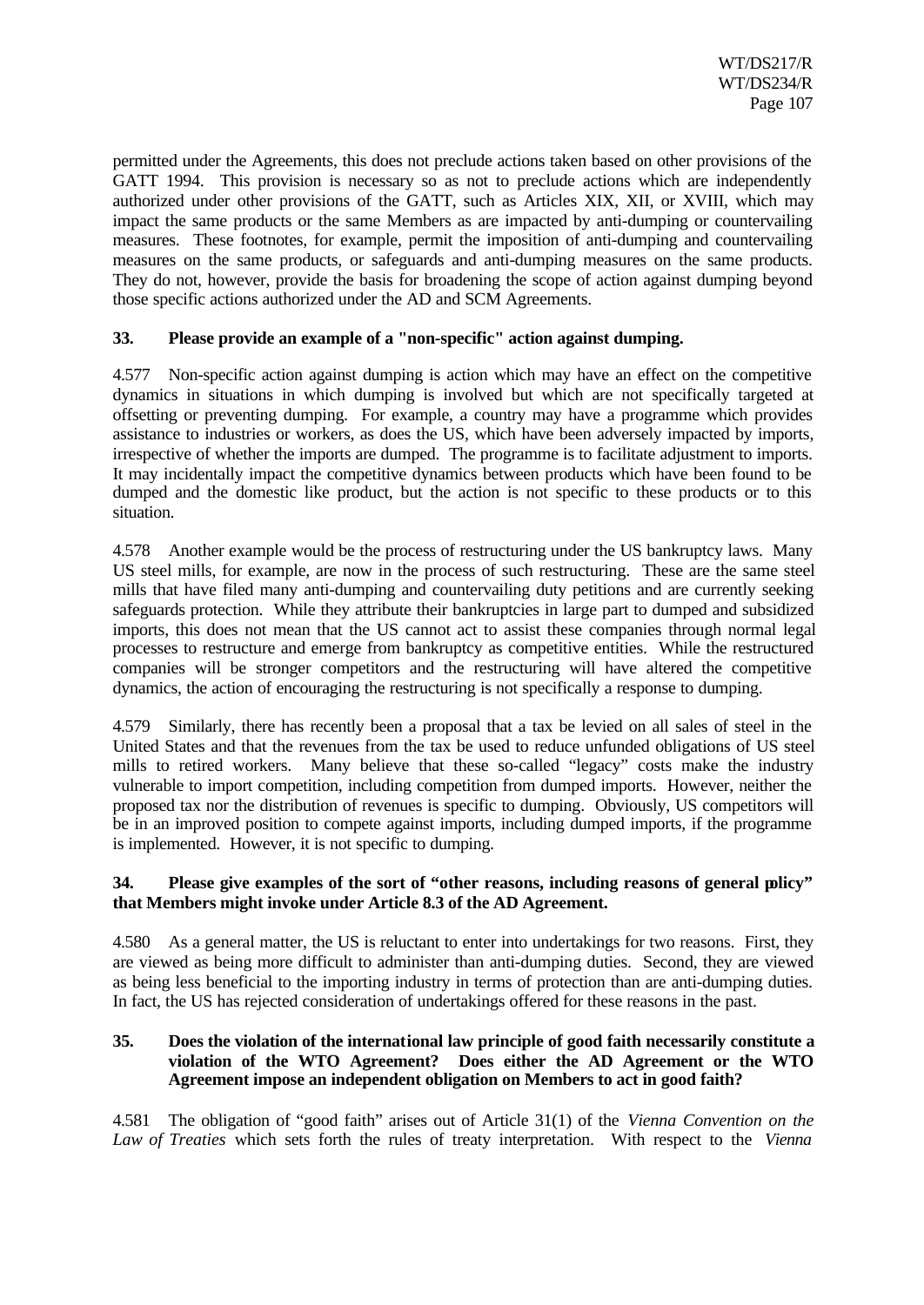permitted under the Agreements, this does not preclude actions taken based on other provisions of the GATT 1994. This provision is necessary so as not to preclude actions which are independently authorized under other provisions of the GATT, such as Articles XIX, XII, or XVIII, which may impact the same products or the same Members as are impacted by anti-dumping or countervailing measures. These footnotes, for example, permit the imposition of anti-dumping and countervailing measures on the same products, or safeguards and anti-dumping measures on the same products. They do not, however, provide the basis for broadening the scope of action against dumping beyond those specific actions authorized under the AD and SCM Agreements.

## **33. Please provide an example of a "non-specific" action against dumping.**

4.577 Non-specific action against dumping is action which may have an effect on the competitive dynamics in situations in which dumping is involved but which are not specifically targeted at offsetting or preventing dumping. For example, a country may have a programme which provides assistance to industries or workers, as does the US, which have been adversely impacted by imports, irrespective of whether the imports are dumped. The programme is to facilitate adjustment to imports. It may incidentally impact the competitive dynamics between products which have been found to be dumped and the domestic like product, but the action is not specific to these products or to this situation.

4.578 Another example would be the process of restructuring under the US bankruptcy laws. Many US steel mills, for example, are now in the process of such restructuring. These are the same steel mills that have filed many anti-dumping and countervailing duty petitions and are currently seeking safeguards protection. While they attribute their bankruptcies in large part to dumped and subsidized imports, this does not mean that the US cannot act to assist these companies through normal legal processes to restructure and emerge from bankruptcy as competitive entities. While the restructured companies will be stronger competitors and the restructuring will have altered the competitive dynamics, the action of encouraging the restructuring is not specifically a response to dumping.

4.579 Similarly, there has recently been a proposal that a tax be levied on all sales of steel in the United States and that the revenues from the tax be used to reduce unfunded obligations of US steel mills to retired workers. Many believe that these so-called "legacy" costs make the industry vulnerable to import competition, including competition from dumped imports. However, neither the proposed tax nor the distribution of revenues is specific to dumping. Obviously, US competitors will be in an improved position to compete against imports, including dumped imports, if the programme is implemented. However, it is not specific to dumping.

## **34. Please give examples of the sort of "other reasons, including reasons of general policy" that Members might invoke under Article 8.3 of the AD Agreement.**

4.580 As a general matter, the US is reluctant to enter into undertakings for two reasons. First, they are viewed as being more difficult to administer than anti-dumping duties. Second, they are viewed as being less beneficial to the importing industry in terms of protection than are anti-dumping duties. In fact, the US has rejected consideration of undertakings offered for these reasons in the past.

### **35. Does the violation of the international law principle of good faith necessarily constitute a violation of the WTO Agreement? Does either the AD Agreement or the WTO Agreement impose an independent obligation on Members to act in good faith?**

4.581 The obligation of "good faith" arises out of Article 31(1) of the *Vienna Convention on the Law of Treaties* which sets forth the rules of treaty interpretation. With respect to the *Vienna*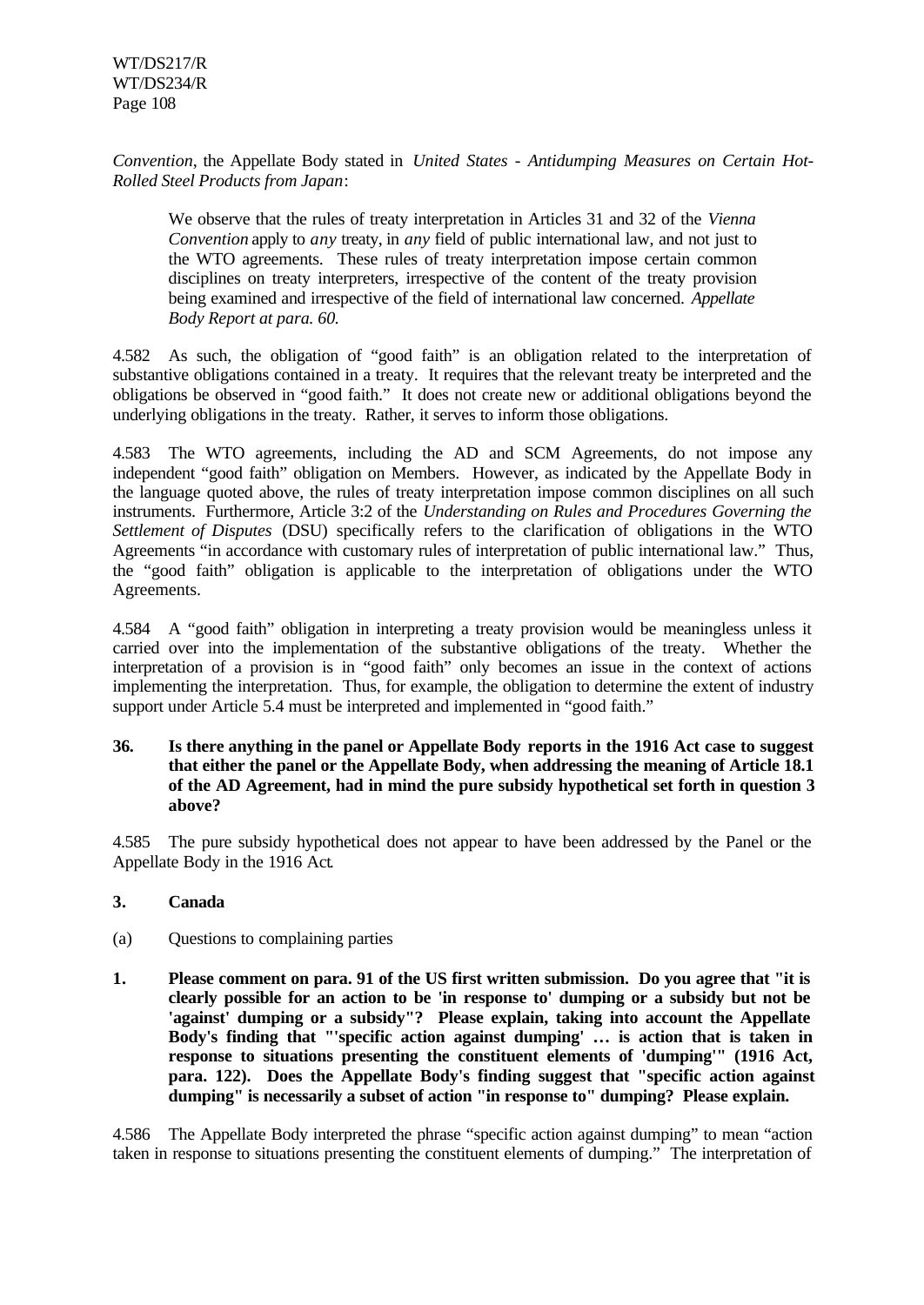*Convention*, the Appellate Body stated in *United States - Antidumping Measures on Certain Hot-Rolled Steel Products from Japan*:

We observe that the rules of treaty interpretation in Articles 31 and 32 of the *Vienna Convention* apply to *any* treaty, in *any* field of public international law, and not just to the WTO agreements. These rules of treaty interpretation impose certain common disciplines on treaty interpreters, irrespective of the content of the treaty provision being examined and irrespective of the field of international law concerned. *Appellate Body Report at para. 60.*

4.582 As such, the obligation of "good faith" is an obligation related to the interpretation of substantive obligations contained in a treaty. It requires that the relevant treaty be interpreted and the obligations be observed in "good faith." It does not create new or additional obligations beyond the underlying obligations in the treaty. Rather, it serves to inform those obligations.

4.583 The WTO agreements, including the AD and SCM Agreements, do not impose any independent "good faith" obligation on Members. However, as indicated by the Appellate Body in the language quoted above, the rules of treaty interpretation impose common disciplines on all such instruments. Furthermore, Article 3:2 of the *Understanding on Rules and Procedures Governing the Settlement of Disputes* (DSU) specifically refers to the clarification of obligations in the WTO Agreements "in accordance with customary rules of interpretation of public international law." Thus, the "good faith" obligation is applicable to the interpretation of obligations under the WTO Agreements.

4.584 A "good faith" obligation in interpreting a treaty provision would be meaningless unless it carried over into the implementation of the substantive obligations of the treaty. Whether the interpretation of a provision is in "good faith" only becomes an issue in the context of actions implementing the interpretation. Thus, for example, the obligation to determine the extent of industry support under Article 5.4 must be interpreted and implemented in "good faith."

**36. Is there anything in the panel or Appellate Body reports in the 1916 Act case to suggest that either the panel or the Appellate Body, when addressing the meaning of Article 18.1 of the AD Agreement, had in mind the pure subsidy hypothetical set forth in question 3 above?**

4.585 The pure subsidy hypothetical does not appear to have been addressed by the Panel or the Appellate Body in the 1916 Act*.*

# **3. Canada**

- (a) Questions to complaining parties
- **1. Please comment on para. 91 of the US first written submission. Do you agree that "it is clearly possible for an action to be 'in response to' dumping or a subsidy but not be 'against' dumping or a subsidy"? Please explain, taking into account the Appellate Body's finding that "'specific action against dumping' … is action that is taken in response to situations presenting the constituent elements of 'dumping'" (1916 Act, para. 122). Does the Appellate Body's finding suggest that "specific action against dumping" is necessarily a subset of action "in response to" dumping? Please explain.**

4.586 The Appellate Body interpreted the phrase "specific action against dumping" to mean "action taken in response to situations presenting the constituent elements of dumping." The interpretation of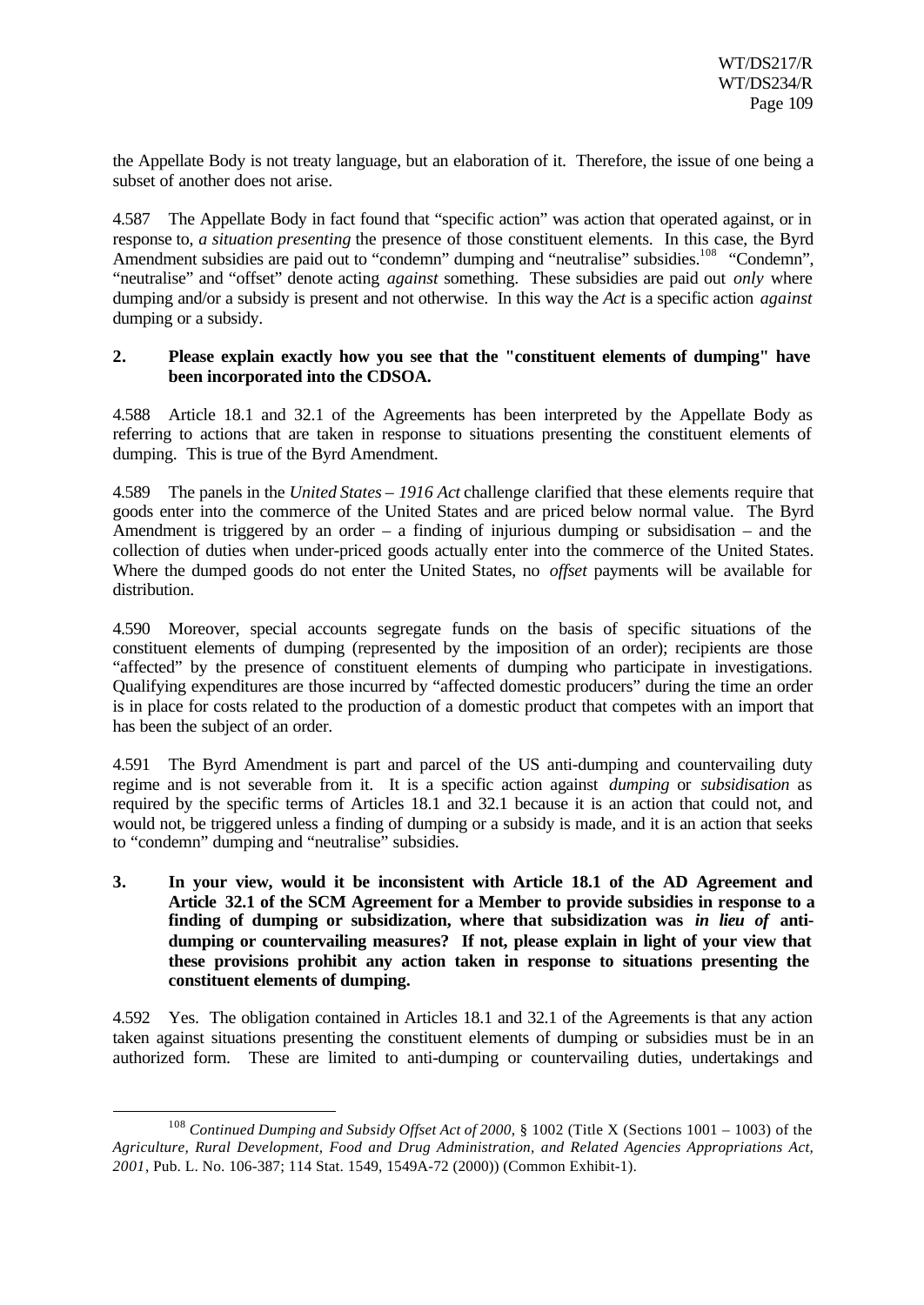the Appellate Body is not treaty language, but an elaboration of it. Therefore, the issue of one being a subset of another does not arise.

4.587 The Appellate Body in fact found that "specific action" was action that operated against, or in response to, *a situation presenting* the presence of those constituent elements. In this case, the Byrd Amendment subsidies are paid out to "condemn" dumping and "neutralise" subsidies.<sup>108</sup> "Condemn", "neutralise" and "offset" denote acting *against* something. These subsidies are paid out *only* where dumping and/or a subsidy is present and not otherwise. In this way the *Act* is a specific action *against* dumping or a subsidy.

#### **2. Please explain exactly how you see that the "constituent elements of dumping" have been incorporated into the CDSOA.**

4.588 Article 18.1 and 32.1 of the Agreements has been interpreted by the Appellate Body as referring to actions that are taken in response to situations presenting the constituent elements of dumping. This is true of the Byrd Amendment.

4.589 The panels in the *United States – 1916 Act* challenge clarified that these elements require that goods enter into the commerce of the United States and are priced below normal value. The Byrd Amendment is triggered by an order – a finding of injurious dumping or subsidisation – and the collection of duties when under-priced goods actually enter into the commerce of the United States. Where the dumped goods do not enter the United States, no *offset* payments will be available for distribution.

4.590 Moreover, special accounts segregate funds on the basis of specific situations of the constituent elements of dumping (represented by the imposition of an order); recipients are those "affected" by the presence of constituent elements of dumping who participate in investigations. Qualifying expenditures are those incurred by "affected domestic producers" during the time an order is in place for costs related to the production of a domestic product that competes with an import that has been the subject of an order.

4.591 The Byrd Amendment is part and parcel of the US anti-dumping and countervailing duty regime and is not severable from it. It is a specific action against *dumping* or *subsidisation* as required by the specific terms of Articles 18.1 and 32.1 because it is an action that could not, and would not, be triggered unless a finding of dumping or a subsidy is made, and it is an action that seeks to "condemn" dumping and "neutralise" subsidies.

**3. In your view, would it be inconsistent with Article 18.1 of the AD Agreement and Article 32.1 of the SCM Agreement for a Member to provide subsidies in response to a finding of dumping or subsidization, where that subsidization was** *in lieu of* **antidumping or countervailing measures? If not, please explain in light of your view that these provisions prohibit any action taken in response to situations presenting the constituent elements of dumping.**

4.592 Yes. The obligation contained in Articles 18.1 and 32.1 of the Agreements is that any action taken against situations presenting the constituent elements of dumping or subsidies must be in an authorized form. These are limited to anti-dumping or countervailing duties, undertakings and

l

<sup>108</sup> *Continued Dumping and Subsidy Offset Act of 2000*, § 1002 (Title X (Sections 1001 – 1003) of the *Agriculture, Rural Development, Food and Drug Administration, and Related Agencies Appropriations Act, 2001*, Pub. L. No. 106-387; 114 Stat. 1549, 1549A-72 (2000)) (Common Exhibit-1).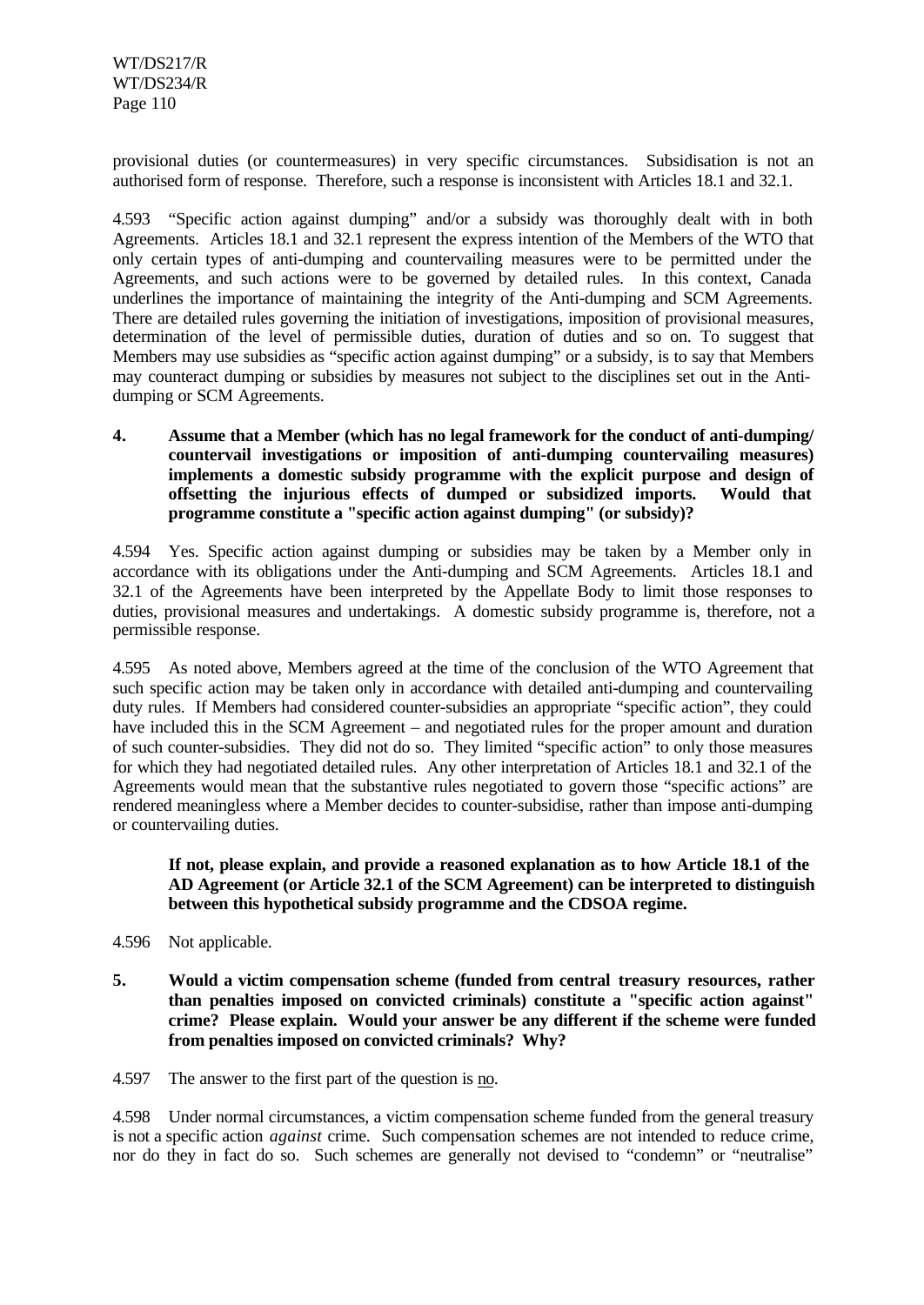provisional duties (or countermeasures) in very specific circumstances. Subsidisation is not an authorised form of response. Therefore, such a response is inconsistent with Articles 18.1 and 32.1.

4.593 "Specific action against dumping" and/or a subsidy was thoroughly dealt with in both Agreements. Articles 18.1 and 32.1 represent the express intention of the Members of the WTO that only certain types of anti-dumping and countervailing measures were to be permitted under the Agreements, and such actions were to be governed by detailed rules. In this context, Canada underlines the importance of maintaining the integrity of the Anti-dumping and SCM Agreements. There are detailed rules governing the initiation of investigations, imposition of provisional measures, determination of the level of permissible duties, duration of duties and so on. To suggest that Members may use subsidies as "specific action against dumping" or a subsidy, is to say that Members may counteract dumping or subsidies by measures not subject to the disciplines set out in the Antidumping or SCM Agreements.

**4. Assume that a Member (which has no legal framework for the conduct of anti-dumping/ countervail investigations or imposition of anti-dumping countervailing measures) implements a domestic subsidy programme with the explicit purpose and design of offsetting the injurious effects of dumped or subsidized imports. Would that programme constitute a "specific action against dumping" (or subsidy)?**

4.594 Yes. Specific action against dumping or subsidies may be taken by a Member only in accordance with its obligations under the Anti-dumping and SCM Agreements. Articles 18.1 and 32.1 of the Agreements have been interpreted by the Appellate Body to limit those responses to duties, provisional measures and undertakings. A domestic subsidy programme is, therefore, not a permissible response.

4.595 As noted above, Members agreed at the time of the conclusion of the WTO Agreement that such specific action may be taken only in accordance with detailed anti-dumping and countervailing duty rules. If Members had considered counter-subsidies an appropriate "specific action", they could have included this in the SCM Agreement – and negotiated rules for the proper amount and duration of such counter-subsidies. They did not do so. They limited "specific action" to only those measures for which they had negotiated detailed rules. Any other interpretation of Articles 18.1 and 32.1 of the Agreements would mean that the substantive rules negotiated to govern those "specific actions" are rendered meaningless where a Member decides to counter-subsidise, rather than impose anti-dumping or countervailing duties.

# **If not, please explain, and provide a reasoned explanation as to how Article 18.1 of the AD Agreement (or Article 32.1 of the SCM Agreement) can be interpreted to distinguish between this hypothetical subsidy programme and the CDSOA regime.**

- 4.596 Not applicable.
- **5. Would a victim compensation scheme (funded from central treasury resources, rather than penalties imposed on convicted criminals) constitute a "specific action against" crime? Please explain. Would your answer be any different if the scheme were funded from penalties imposed on convicted criminals? Why?**
- 4.597 The answer to the first part of the question is no.

4.598 Under normal circumstances, a victim compensation scheme funded from the general treasury is not a specific action *against* crime. Such compensation schemes are not intended to reduce crime, nor do they in fact do so. Such schemes are generally not devised to "condemn" or "neutralise"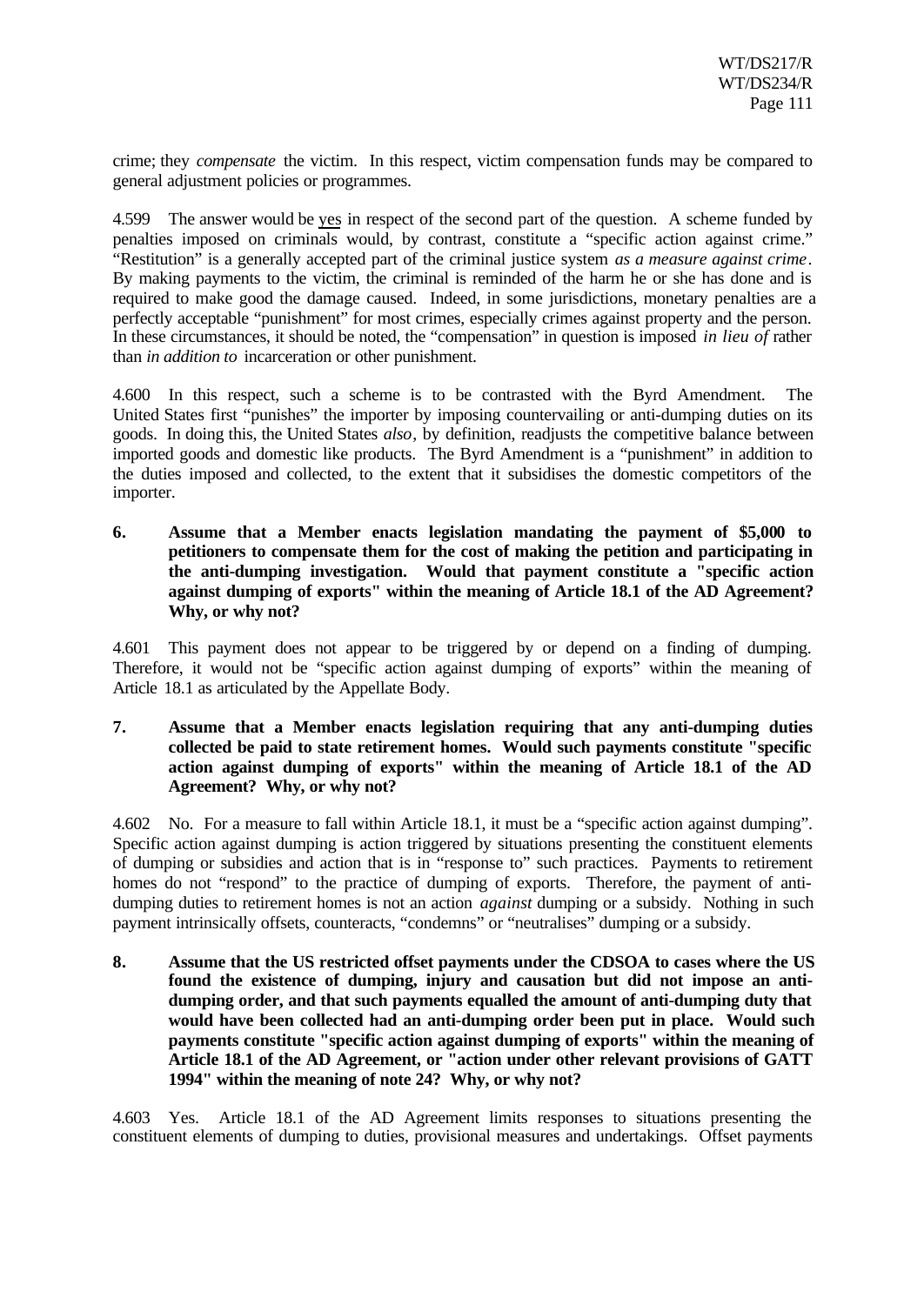crime; they *compensate* the victim. In this respect, victim compensation funds may be compared to general adjustment policies or programmes.

4.599 The answer would be yes in respect of the second part of the question. A scheme funded by penalties imposed on criminals would, by contrast, constitute a "specific action against crime." "Restitution" is a generally accepted part of the criminal justice system *as a measure against crime*. By making payments to the victim, the criminal is reminded of the harm he or she has done and is required to make good the damage caused. Indeed, in some jurisdictions, monetary penalties are a perfectly acceptable "punishment" for most crimes, especially crimes against property and the person. In these circumstances, it should be noted, the "compensation" in question is imposed *in lieu of* rather than *in addition to* incarceration or other punishment.

4.600 In this respect, such a scheme is to be contrasted with the Byrd Amendment. The United States first "punishes" the importer by imposing countervailing or anti-dumping duties on its goods. In doing this, the United States *also*, by definition, readjusts the competitive balance between imported goods and domestic like products. The Byrd Amendment is a "punishment" in addition to the duties imposed and collected, to the extent that it subsidises the domestic competitors of the importer.

**6. Assume that a Member enacts legislation mandating the payment of \$5,000 to petitioners to compensate them for the cost of making the petition and participating in the anti-dumping investigation. Would that payment constitute a "specific action against dumping of exports" within the meaning of Article 18.1 of the AD Agreement? Why, or why not?**

4.601 This payment does not appear to be triggered by or depend on a finding of dumping. Therefore, it would not be "specific action against dumping of exports" within the meaning of Article 18.1 as articulated by the Appellate Body.

### **7. Assume that a Member enacts legislation requiring that any anti-dumping duties collected be paid to state retirement homes. Would such payments constitute "specific action against dumping of exports" within the meaning of Article 18.1 of the AD Agreement? Why, or why not?**

4.602 No. For a measure to fall within Article 18.1, it must be a "specific action against dumping". Specific action against dumping is action triggered by situations presenting the constituent elements of dumping or subsidies and action that is in "response to" such practices. Payments to retirement homes do not "respond" to the practice of dumping of exports. Therefore, the payment of antidumping duties to retirement homes is not an action *against* dumping or a subsidy. Nothing in such payment intrinsically offsets, counteracts, "condemns" or "neutralises" dumping or a subsidy.

**8. Assume that the US restricted offset payments under the CDSOA to cases where the US found the existence of dumping, injury and causation but did not impose an antidumping order, and that such payments equalled the amount of anti-dumping duty that would have been collected had an anti-dumping order been put in place. Would such payments constitute "specific action against dumping of exports" within the meaning of Article 18.1 of the AD Agreement, or "action under other relevant provisions of GATT 1994" within the meaning of note 24? Why, or why not?**

4.603 Yes. Article 18.1 of the AD Agreement limits responses to situations presenting the constituent elements of dumping to duties, provisional measures and undertakings. Offset payments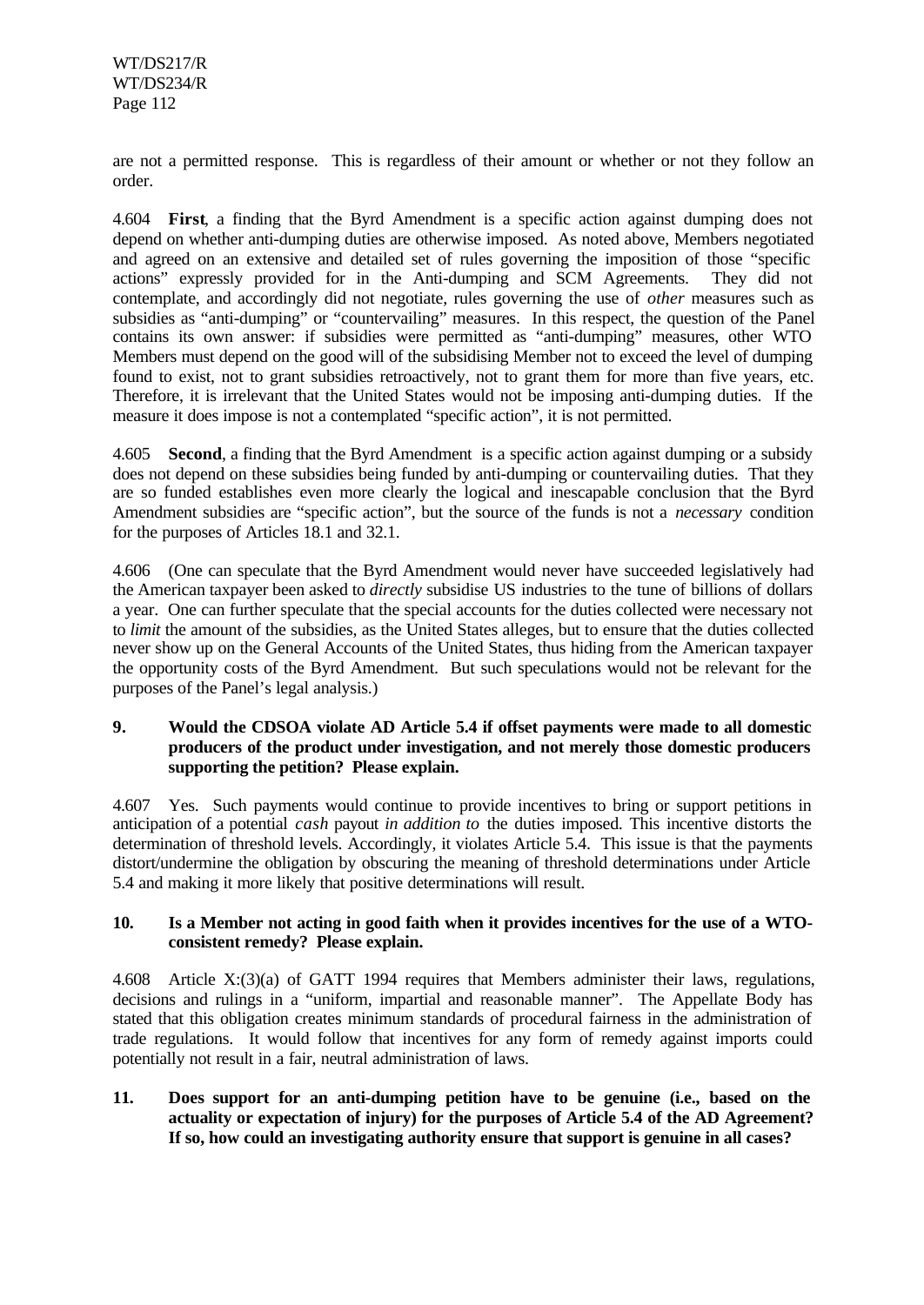WT/DS217/R WT/DS234/R Page 112

are not a permitted response. This is regardless of their amount or whether or not they follow an order.

4.604 **First**, a finding that the Byrd Amendment is a specific action against dumping does not depend on whether anti-dumping duties are otherwise imposed. As noted above, Members negotiated and agreed on an extensive and detailed set of rules governing the imposition of those "specific actions" expressly provided for in the Anti-dumping and SCM Agreements. They did not contemplate, and accordingly did not negotiate, rules governing the use of *other* measures such as subsidies as "anti-dumping" or "countervailing" measures. In this respect, the question of the Panel contains its own answer: if subsidies were permitted as "anti-dumping" measures, other WTO Members must depend on the good will of the subsidising Member not to exceed the level of dumping found to exist, not to grant subsidies retroactively, not to grant them for more than five years, etc. Therefore, it is irrelevant that the United States would not be imposing anti-dumping duties. If the measure it does impose is not a contemplated "specific action", it is not permitted.

4.605 **Second**, a finding that the Byrd Amendment is a specific action against dumping or a subsidy does not depend on these subsidies being funded by anti-dumping or countervailing duties. That they are so funded establishes even more clearly the logical and inescapable conclusion that the Byrd Amendment subsidies are "specific action", but the source of the funds is not a *necessary* condition for the purposes of Articles 18.1 and 32.1.

4.606 (One can speculate that the Byrd Amendment would never have succeeded legislatively had the American taxpayer been asked to *directly* subsidise US industries to the tune of billions of dollars a year. One can further speculate that the special accounts for the duties collected were necessary not to *limit* the amount of the subsidies, as the United States alleges, but to ensure that the duties collected never show up on the General Accounts of the United States, thus hiding from the American taxpayer the opportunity costs of the Byrd Amendment. But such speculations would not be relevant for the purposes of the Panel's legal analysis.)

### **9. Would the CDSOA violate AD Article 5.4 if offset payments were made to all domestic producers of the product under investigation, and not merely those domestic producers supporting the petition? Please explain.**

4.607 Yes. Such payments would continue to provide incentives to bring or support petitions in anticipation of a potential *cash* payout *in addition to* the duties imposed. This incentive distorts the determination of threshold levels. Accordingly, it violates Article 5.4. This issue is that the payments distort/undermine the obligation by obscuring the meaning of threshold determinations under Article 5.4 and making it more likely that positive determinations will result.

#### **10. Is a Member not acting in good faith when it provides incentives for the use of a WTOconsistent remedy? Please explain.**

4.608 Article X:(3)(a) of GATT 1994 requires that Members administer their laws, regulations, decisions and rulings in a "uniform, impartial and reasonable manner". The Appellate Body has stated that this obligation creates minimum standards of procedural fairness in the administration of trade regulations. It would follow that incentives for any form of remedy against imports could potentially not result in a fair, neutral administration of laws.

**11. Does support for an anti-dumping petition have to be genuine (i.e., based on the actuality or expectation of injury) for the purposes of Article 5.4 of the AD Agreement? If so, how could an investigating authority ensure that support is genuine in all cases?**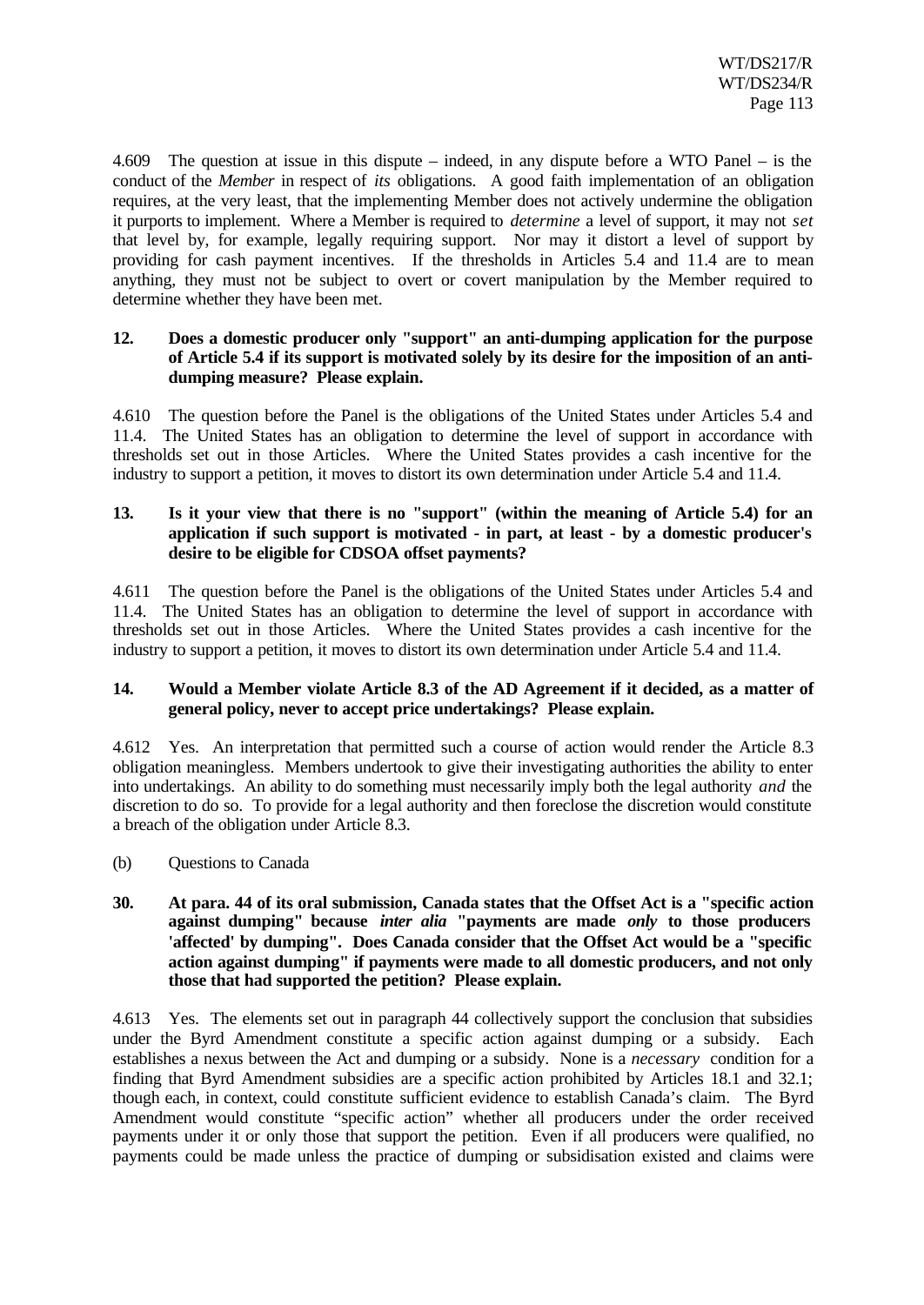4.609 The question at issue in this dispute – indeed, in any dispute before a WTO Panel – is the conduct of the *Member* in respect of *its* obligations. A good faith implementation of an obligation requires, at the very least, that the implementing Member does not actively undermine the obligation it purports to implement. Where a Member is required to *determine* a level of support, it may not *set* that level by, for example, legally requiring support. Nor may it distort a level of support by providing for cash payment incentives. If the thresholds in Articles 5.4 and 11.4 are to mean anything, they must not be subject to overt or covert manipulation by the Member required to determine whether they have been met.

## **12. Does a domestic producer only "support" an anti-dumping application for the purpose of Article 5.4 if its support is motivated solely by its desire for the imposition of an antidumping measure? Please explain.**

4.610 The question before the Panel is the obligations of the United States under Articles 5.4 and 11.4. The United States has an obligation to determine the level of support in accordance with thresholds set out in those Articles. Where the United States provides a cash incentive for the industry to support a petition, it moves to distort its own determination under Article 5.4 and 11.4.

#### **13. Is it your view that there is no "support" (within the meaning of Article 5.4) for an application if such support is motivated - in part, at least - by a domestic producer's desire to be eligible for CDSOA offset payments?**

4.611 The question before the Panel is the obligations of the United States under Articles 5.4 and 11.4. The United States has an obligation to determine the level of support in accordance with thresholds set out in those Articles. Where the United States provides a cash incentive for the industry to support a petition, it moves to distort its own determination under Article 5.4 and 11.4.

## **14. Would a Member violate Article 8.3 of the AD Agreement if it decided, as a matter of general policy, never to accept price undertakings? Please explain.**

4.612 Yes. An interpretation that permitted such a course of action would render the Article 8.3 obligation meaningless. Members undertook to give their investigating authorities the ability to enter into undertakings. An ability to do something must necessarily imply both the legal authority *and* the discretion to do so. To provide for a legal authority and then foreclose the discretion would constitute a breach of the obligation under Article 8.3.

- (b) Questions to Canada
- **30. At para. 44 of its oral submission, Canada states that the Offset Act is a "specific action against dumping" because** *inter alia* **"payments are made** *only* **to those producers 'affected' by dumping". Does Canada consider that the Offset Act would be a "specific action against dumping" if payments were made to all domestic producers, and not only those that had supported the petition? Please explain.**

4.613 Yes. The elements set out in paragraph 44 collectively support the conclusion that subsidies under the Byrd Amendment constitute a specific action against dumping or a subsidy. Each establishes a nexus between the Act and dumping or a subsidy. None is a *necessary* condition for a finding that Byrd Amendment subsidies are a specific action prohibited by Articles 18.1 and 32.1; though each, in context, could constitute sufficient evidence to establish Canada's claim. The Byrd Amendment would constitute "specific action" whether all producers under the order received payments under it or only those that support the petition. Even if all producers were qualified, no payments could be made unless the practice of dumping or subsidisation existed and claims were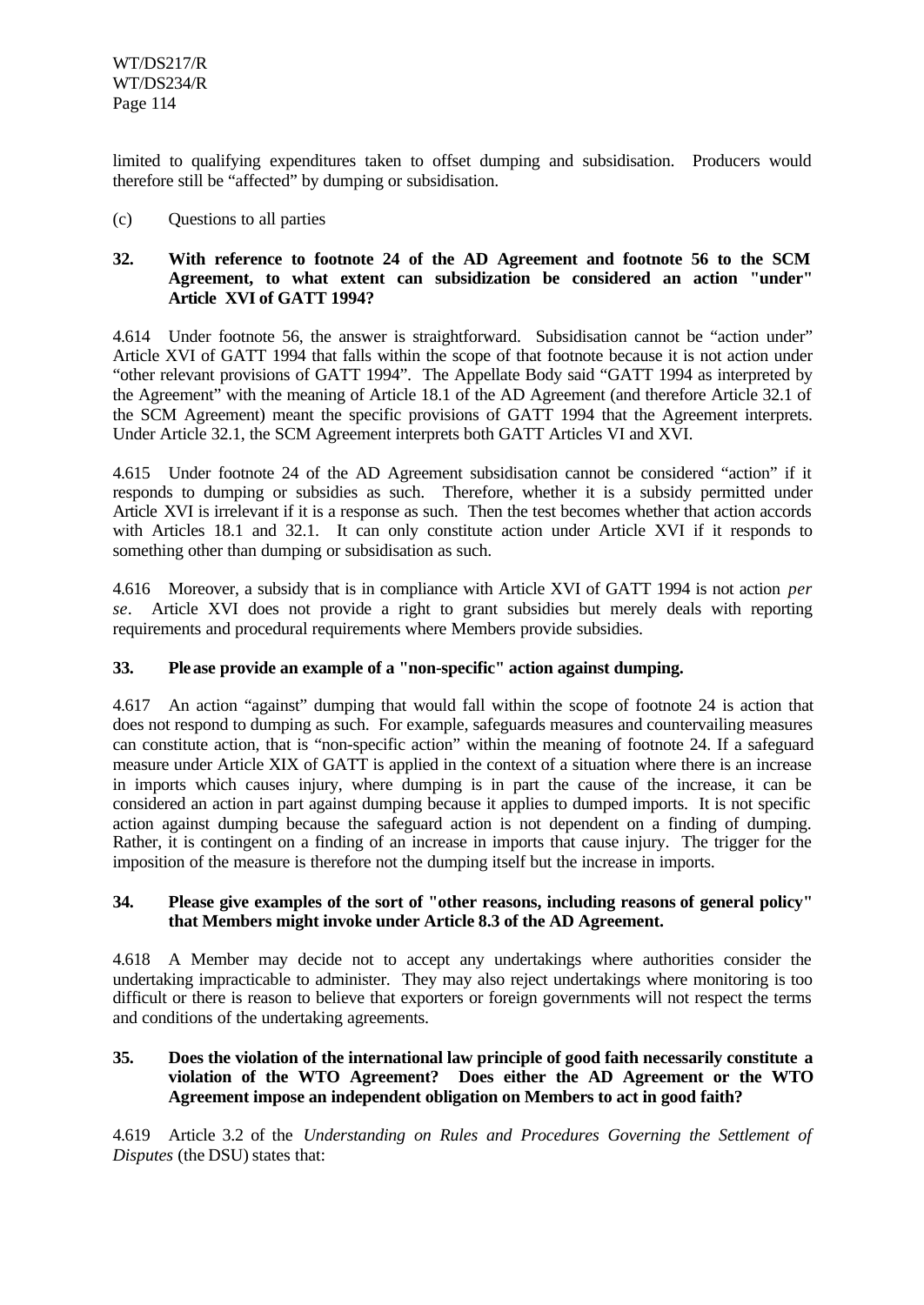limited to qualifying expenditures taken to offset dumping and subsidisation. Producers would therefore still be "affected" by dumping or subsidisation.

### (c) Questions to all parties

# **32. With reference to footnote 24 of the AD Agreement and footnote 56 to the SCM Agreement, to what extent can subsidization be considered an action "under" Article XVI of GATT 1994?**

4.614 Under footnote 56, the answer is straightforward. Subsidisation cannot be "action under" Article XVI of GATT 1994 that falls within the scope of that footnote because it is not action under "other relevant provisions of GATT 1994". The Appellate Body said "GATT 1994 as interpreted by the Agreement" with the meaning of Article 18.1 of the AD Agreement (and therefore Article 32.1 of the SCM Agreement) meant the specific provisions of GATT 1994 that the Agreement interprets. Under Article 32.1, the SCM Agreement interprets both GATT Articles VI and XVI.

4.615 Under footnote 24 of the AD Agreement subsidisation cannot be considered "action" if it responds to dumping or subsidies as such. Therefore, whether it is a subsidy permitted under Article XVI is irrelevant if it is a response as such. Then the test becomes whether that action accords with Articles 18.1 and 32.1. It can only constitute action under Article XVI if it responds to something other than dumping or subsidisation as such.

4.616 Moreover, a subsidy that is in compliance with Article XVI of GATT 1994 is not action *per se*. Article XVI does not provide a right to grant subsidies but merely deals with reporting requirements and procedural requirements where Members provide subsidies.

# **33. Please provide an example of a "non-specific" action against dumping.**

4.617 An action "against" dumping that would fall within the scope of footnote 24 is action that does not respond to dumping as such. For example, safeguards measures and countervailing measures can constitute action, that is "non-specific action" within the meaning of footnote 24. If a safeguard measure under Article XIX of GATT is applied in the context of a situation where there is an increase in imports which causes injury, where dumping is in part the cause of the increase, it can be considered an action in part against dumping because it applies to dumped imports. It is not specific action against dumping because the safeguard action is not dependent on a finding of dumping. Rather, it is contingent on a finding of an increase in imports that cause injury. The trigger for the imposition of the measure is therefore not the dumping itself but the increase in imports.

## **34. Please give examples of the sort of "other reasons, including reasons of general policy" that Members might invoke under Article 8.3 of the AD Agreement.**

4.618 A Member may decide not to accept any undertakings where authorities consider the undertaking impracticable to administer. They may also reject undertakings where monitoring is too difficult or there is reason to believe that exporters or foreign governments will not respect the terms and conditions of the undertaking agreements.

### **35. Does the violation of the international law principle of good faith necessarily constitute a violation of the WTO Agreement? Does either the AD Agreement or the WTO Agreement impose an independent obligation on Members to act in good faith?**

4.619 Article 3.2 of the *Understanding on Rules and Procedures Governing the Settlement of Disputes* (the DSU) states that: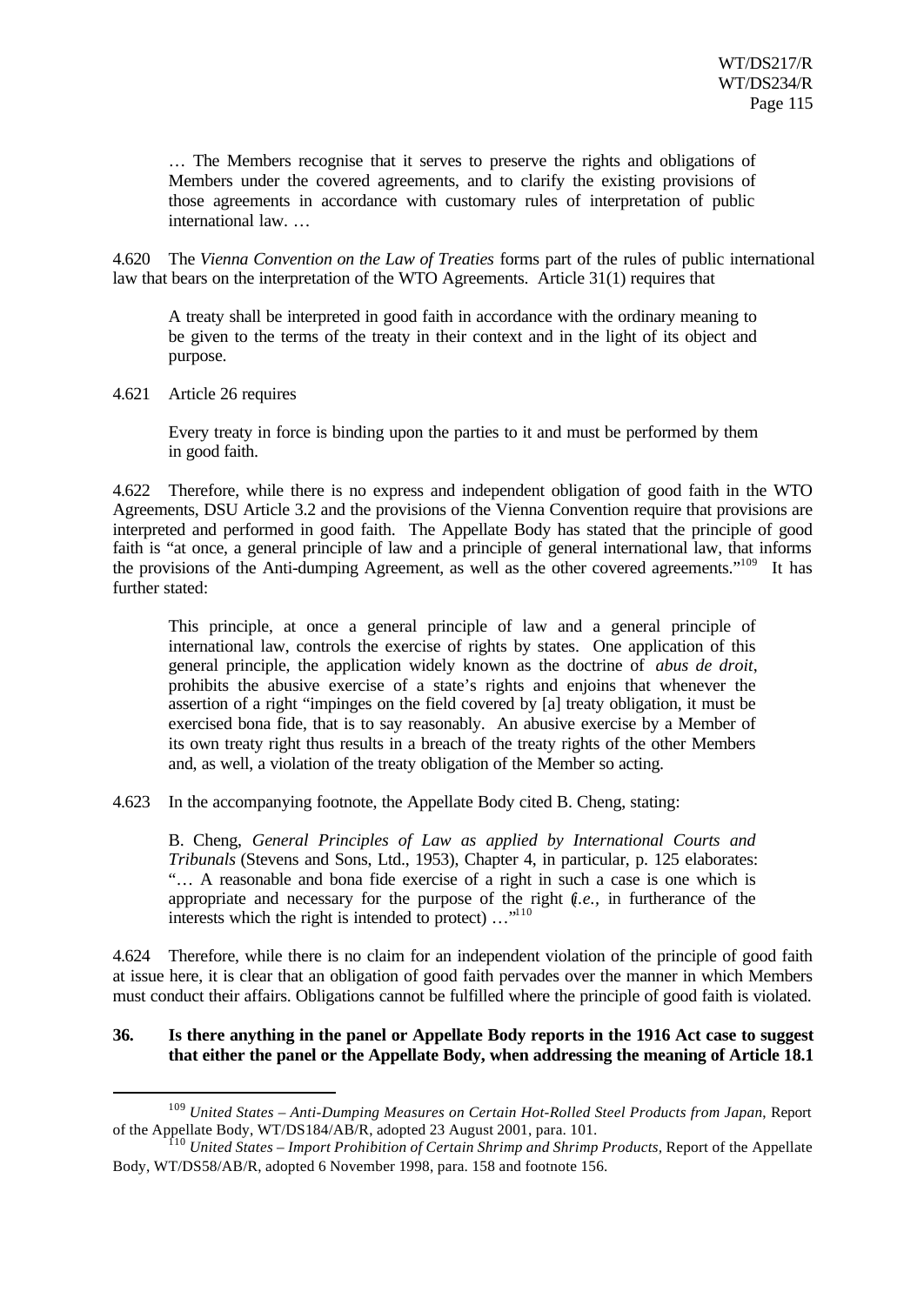… The Members recognise that it serves to preserve the rights and obligations of Members under the covered agreements, and to clarify the existing provisions of those agreements in accordance with customary rules of interpretation of public international law. …

4.620 The *Vienna Convention on the Law of Treaties* forms part of the rules of public international law that bears on the interpretation of the WTO Agreements. Article 31(1) requires that

A treaty shall be interpreted in good faith in accordance with the ordinary meaning to be given to the terms of the treaty in their context and in the light of its object and purpose.

4.621 Article 26 requires

l

Every treaty in force is binding upon the parties to it and must be performed by them in good faith.

4.622 Therefore, while there is no express and independent obligation of good faith in the WTO Agreements, DSU Article 3.2 and the provisions of the Vienna Convention require that provisions are interpreted and performed in good faith. The Appellate Body has stated that the principle of good faith is "at once, a general principle of law and a principle of general international law, that informs the provisions of the Anti-dumping Agreement, as well as the other covered agreements."<sup>109</sup> It has further stated:

This principle, at once a general principle of law and a general principle of international law, controls the exercise of rights by states. One application of this general principle, the application widely known as the doctrine of *abus de droit*, prohibits the abusive exercise of a state's rights and enjoins that whenever the assertion of a right "impinges on the field covered by [a] treaty obligation, it must be exercised bona fide, that is to say reasonably. An abusive exercise by a Member of its own treaty right thus results in a breach of the treaty rights of the other Members and, as well, a violation of the treaty obligation of the Member so acting.

4.623 In the accompanying footnote, the Appellate Body cited B. Cheng, stating:

B. Cheng, *General Principles of Law as applied by International Courts and Tribunals* (Stevens and Sons, Ltd., 1953), Chapter 4, in particular, p. 125 elaborates: "… A reasonable and bona fide exercise of a right in such a case is one which is appropriate and necessary for the purpose of the right (*i.e.,* in furtherance of the interests which the right is intended to protect)  $\dots$ <sup>110</sup>

4.624 Therefore, while there is no claim for an independent violation of the principle of good faith at issue here, it is clear that an obligation of good faith pervades over the manner in which Members must conduct their affairs. Obligations cannot be fulfilled where the principle of good faith is violated.

## **36. Is there anything in the panel or Appellate Body reports in the 1916 Act case to suggest that either the panel or the Appellate Body, when addressing the meaning of Article 18.1**

<sup>109</sup> *United States – Anti-Dumping Measures on Certain Hot-Rolled Steel Products from Japan*, Report of the Appellate Body, WT/DS184/AB/R, adopted 23 August 2001, para. 101.

<sup>110</sup> *United States – Import Prohibition of Certain Shrimp and Shrimp Products,* Report of the Appellate Body, WT/DS58/AB/R, adopted 6 November 1998, para. 158 and footnote 156.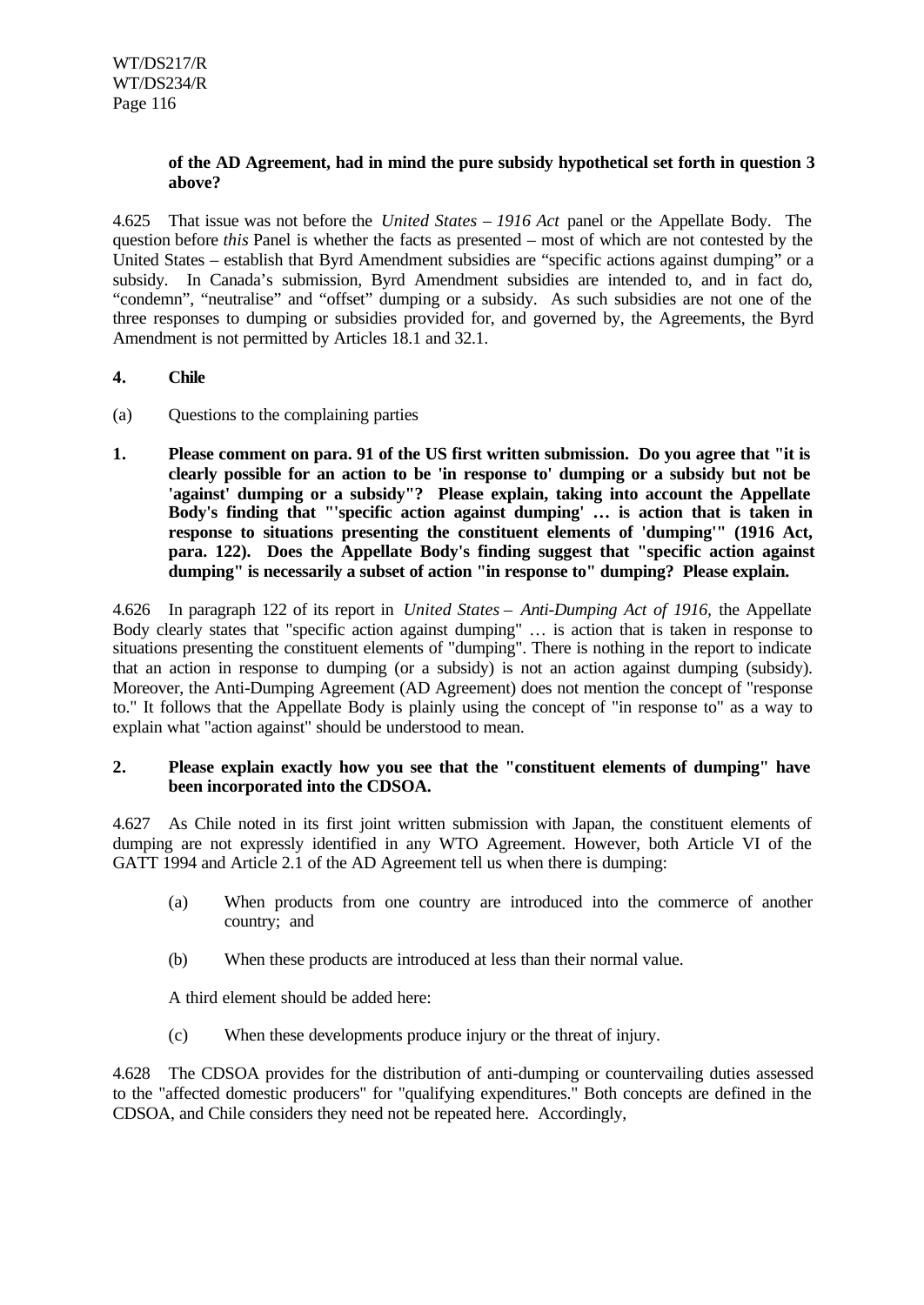## **of the AD Agreement, had in mind the pure subsidy hypothetical set forth in question 3 above?**

4.625 That issue was not before the *United States – 1916 Act* panel or the Appellate Body. The question before *this* Panel is whether the facts as presented – most of which are not contested by the United States – establish that Byrd Amendment subsidies are "specific actions against dumping" or a subsidy. In Canada's submission, Byrd Amendment subsidies are intended to, and in fact do, "condemn", "neutralise" and "offset" dumping or a subsidy. As such subsidies are not one of the three responses to dumping or subsidies provided for, and governed by, the Agreements, the Byrd Amendment is not permitted by Articles 18.1 and 32.1.

# **4. Chile**

- (a) Questions to the complaining parties
- **1. Please comment on para. 91 of the US first written submission. Do you agree that "it is clearly possible for an action to be 'in response to' dumping or a subsidy but not be 'against' dumping or a subsidy"? Please explain, taking into account the Appellate Body's finding that "'specific action against dumping' … is action that is taken in response to situations presenting the constituent elements of 'dumping'" (1916 Act, para. 122). Does the Appellate Body's finding suggest that "specific action against dumping" is necessarily a subset of action "in response to" dumping? Please explain.**

4.626 In paragraph 122 of its report in *United States* – *Anti-Dumping Act of 1916,* the Appellate Body clearly states that "specific action against dumping" … is action that is taken in response to situations presenting the constituent elements of "dumping". There is nothing in the report to indicate that an action in response to dumping (or a subsidy) is not an action against dumping (subsidy). Moreover, the Anti-Dumping Agreement (AD Agreement) does not mention the concept of "response to." It follows that the Appellate Body is plainly using the concept of "in response to" as a way to explain what "action against" should be understood to mean.

## **2. Please explain exactly how you see that the "constituent elements of dumping" have been incorporated into the CDSOA.**

4.627 As Chile noted in its first joint written submission with Japan, the constituent elements of dumping are not expressly identified in any WTO Agreement. However, both Article VI of the GATT 1994 and Article 2.1 of the AD Agreement tell us when there is dumping:

- (a) When products from one country are introduced into the commerce of another country; and
- (b) When these products are introduced at less than their normal value.

A third element should be added here:

(c) When these developments produce injury or the threat of injury.

4.628 The CDSOA provides for the distribution of anti-dumping or countervailing duties assessed to the "affected domestic producers" for "qualifying expenditures." Both concepts are defined in the CDSOA, and Chile considers they need not be repeated here. Accordingly,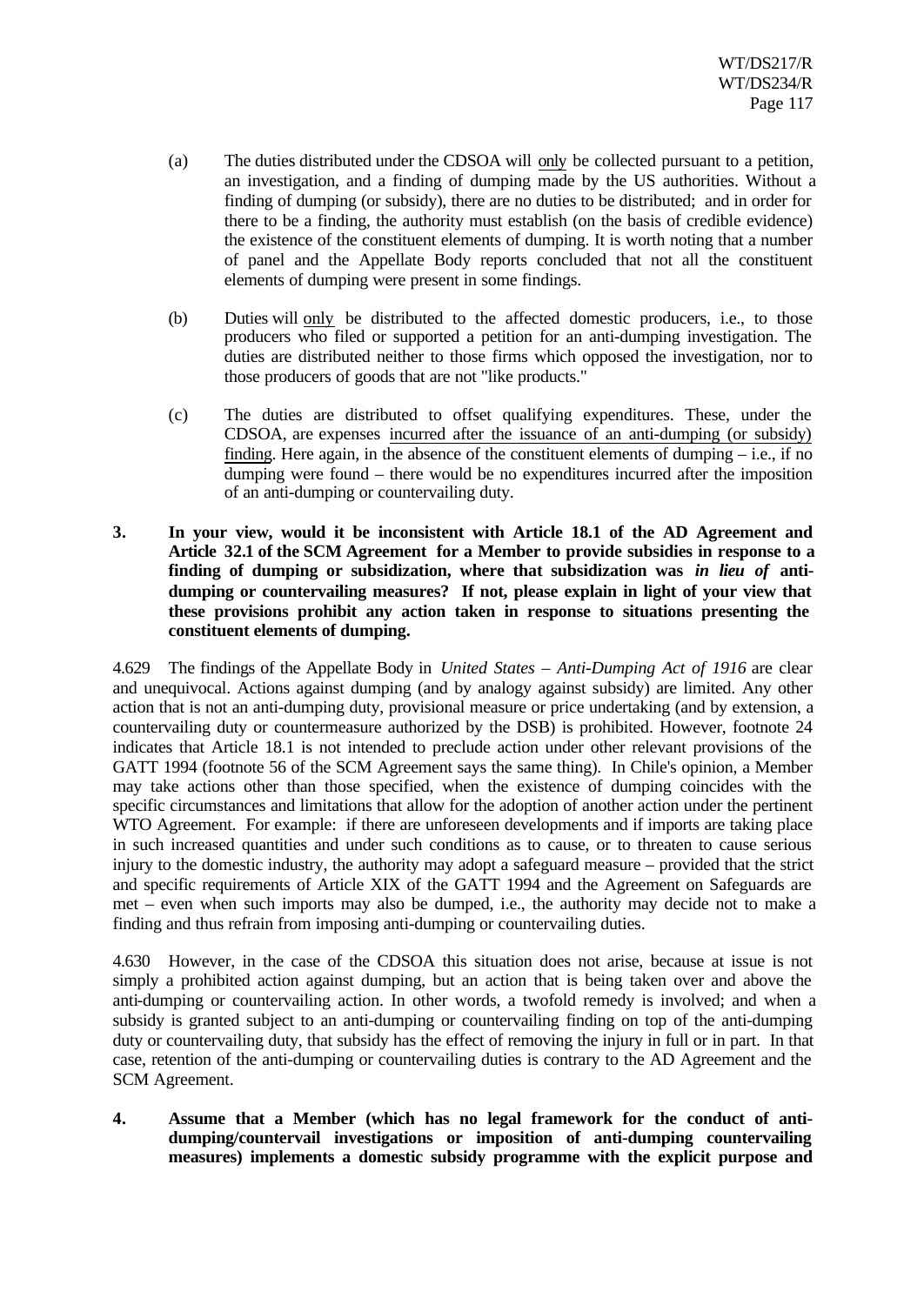- (a) The duties distributed under the CDSOA will only be collected pursuant to a petition, an investigation, and a finding of dumping made by the US authorities. Without a finding of dumping (or subsidy), there are no duties to be distributed; and in order for there to be a finding, the authority must establish (on the basis of credible evidence) the existence of the constituent elements of dumping. It is worth noting that a number of panel and the Appellate Body reports concluded that not all the constituent elements of dumping were present in some findings.
- (b) Duties will only be distributed to the affected domestic producers, i.e., to those producers who filed or supported a petition for an anti-dumping investigation. The duties are distributed neither to those firms which opposed the investigation, nor to those producers of goods that are not "like products."
- (c) The duties are distributed to offset qualifying expenditures. These, under the CDSOA, are expenses incurred after the issuance of an anti-dumping (or subsidy) finding. Here again, in the absence of the constituent elements of dumping  $-$  i.e., if no dumping were found – there would be no expenditures incurred after the imposition of an anti-dumping or countervailing duty.
- **3. In your view, would it be inconsistent with Article 18.1 of the AD Agreement and Article 32.1 of the SCM Agreement for a Member to provide subsidies in response to a finding of dumping or subsidization, where that subsidization was** *in lieu of* **antidumping or countervailing measures? If not, please explain in light of your view that these provisions prohibit any action taken in response to situations presenting the constituent elements of dumping.**

4.629 The findings of the Appellate Body in *United States – Anti-Dumping Act of 1916* are clear and unequivocal. Actions against dumping (and by analogy against subsidy) are limited. Any other action that is not an anti-dumping duty, provisional measure or price undertaking (and by extension, a countervailing duty or countermeasure authorized by the DSB) is prohibited. However, footnote 24 indicates that Article 18.1 is not intended to preclude action under other relevant provisions of the GATT 1994 (footnote 56 of the SCM Agreement says the same thing). In Chile's opinion, a Member may take actions other than those specified, when the existence of dumping coincides with the specific circumstances and limitations that allow for the adoption of another action under the pertinent WTO Agreement. For example: if there are unforeseen developments and if imports are taking place in such increased quantities and under such conditions as to cause, or to threaten to cause serious injury to the domestic industry, the authority may adopt a safeguard measure – provided that the strict and specific requirements of Article XIX of the GATT 1994 and the Agreement on Safeguards are met – even when such imports may also be dumped, i.e., the authority may decide not to make a finding and thus refrain from imposing anti-dumping or countervailing duties.

4.630 However, in the case of the CDSOA this situation does not arise, because at issue is not simply a prohibited action against dumping, but an action that is being taken over and above the anti-dumping or countervailing action. In other words, a twofold remedy is involved; and when a subsidy is granted subject to an anti-dumping or countervailing finding on top of the anti-dumping duty or countervailing duty, that subsidy has the effect of removing the injury in full or in part. In that case, retention of the anti-dumping or countervailing duties is contrary to the AD Agreement and the SCM Agreement.

**4. Assume that a Member (which has no legal framework for the conduct of antidumping/countervail investigations or imposition of anti-dumping countervailing measures) implements a domestic subsidy programme with the explicit purpose and**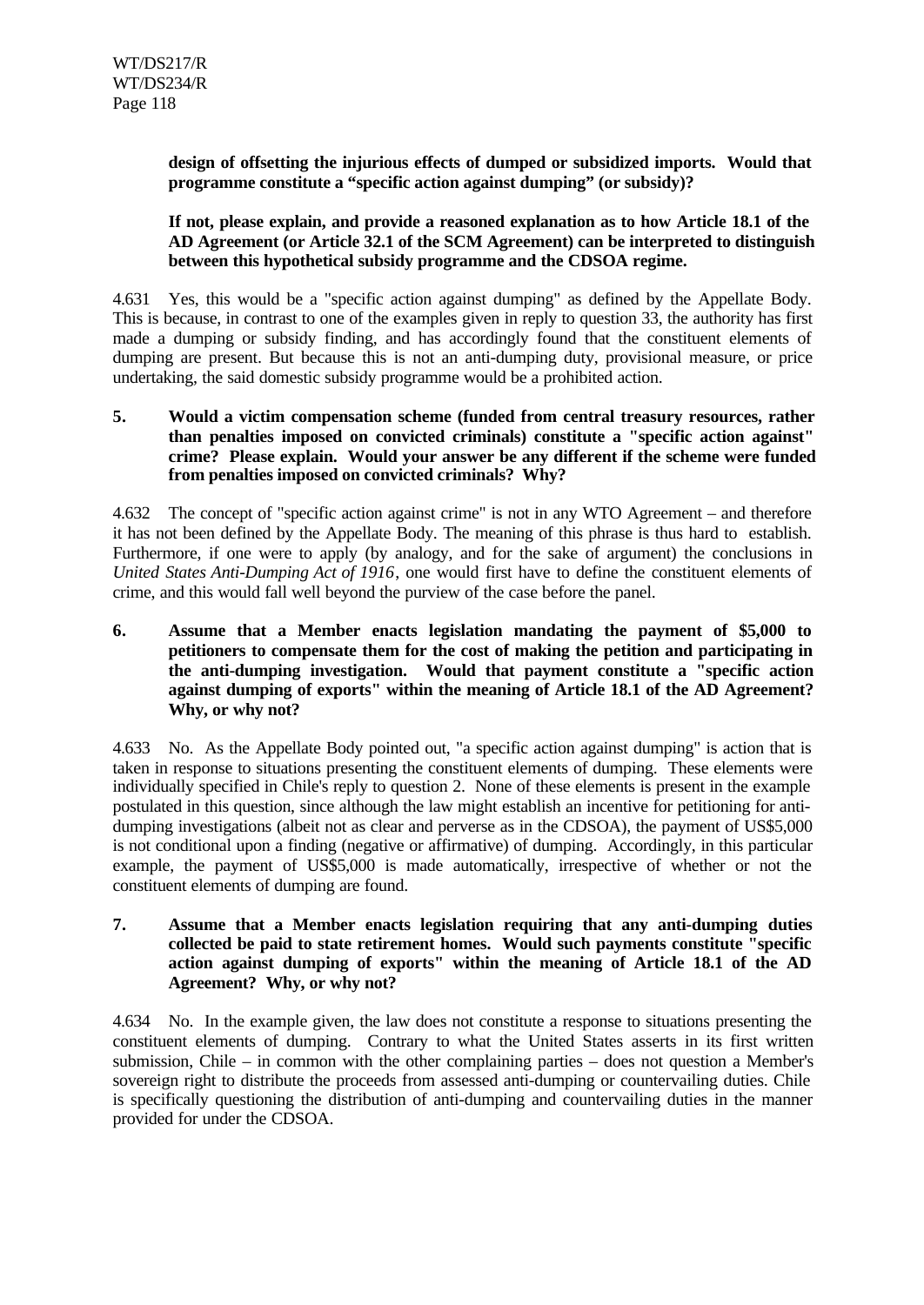**design of offsetting the injurious effects of dumped or subsidized imports. Would that programme constitute a "specific action against dumping" (or subsidy)?**

### **If not, please explain, and provide a reasoned explanation as to how Article 18.1 of the AD Agreement (or Article 32.1 of the SCM Agreement) can be interpreted to distinguish between this hypothetical subsidy programme and the CDSOA regime.**

4.631 Yes, this would be a "specific action against dumping" as defined by the Appellate Body. This is because, in contrast to one of the examples given in reply to question 33, the authority has first made a dumping or subsidy finding, and has accordingly found that the constituent elements of dumping are present. But because this is not an anti-dumping duty, provisional measure, or price undertaking, the said domestic subsidy programme would be a prohibited action.

### **5. Would a victim compensation scheme (funded from central treasury resources, rather than penalties imposed on convicted criminals) constitute a "specific action against" crime? Please explain. Would your answer be any different if the scheme were funded from penalties imposed on convicted criminals? Why?**

4.632 The concept of "specific action against crime" is not in any WTO Agreement – and therefore it has not been defined by the Appellate Body. The meaning of this phrase is thus hard to establish. Furthermore, if one were to apply (by analogy, and for the sake of argument) the conclusions in *United States Anti-Dumping Act of 1916*, one would first have to define the constituent elements of crime, and this would fall well beyond the purview of the case before the panel.

# **6. Assume that a Member enacts legislation mandating the payment of \$5,000 to petitioners to compensate them for the cost of making the petition and participating in the anti-dumping investigation. Would that payment constitute a "specific action against dumping of exports" within the meaning of Article 18.1 of the AD Agreement? Why, or why not?**

4.633 No. As the Appellate Body pointed out, "a specific action against dumping" is action that is taken in response to situations presenting the constituent elements of dumping. These elements were individually specified in Chile's reply to question 2. None of these elements is present in the example postulated in this question, since although the law might establish an incentive for petitioning for antidumping investigations (albeit not as clear and perverse as in the CDSOA), the payment of US\$5,000 is not conditional upon a finding (negative or affirmative) of dumping. Accordingly, in this particular example, the payment of US\$5,000 is made automatically, irrespective of whether or not the constituent elements of dumping are found.

### **7. Assume that a Member enacts legislation requiring that any anti-dumping duties collected be paid to state retirement homes. Would such payments constitute "specific action against dumping of exports" within the meaning of Article 18.1 of the AD Agreement? Why, or why not?**

4.634 No. In the example given, the law does not constitute a response to situations presenting the constituent elements of dumping. Contrary to what the United States asserts in its first written submission, Chile – in common with the other complaining parties – does not question a Member's sovereign right to distribute the proceeds from assessed anti-dumping or countervailing duties. Chile is specifically questioning the distribution of anti-dumping and countervailing duties in the manner provided for under the CDSOA.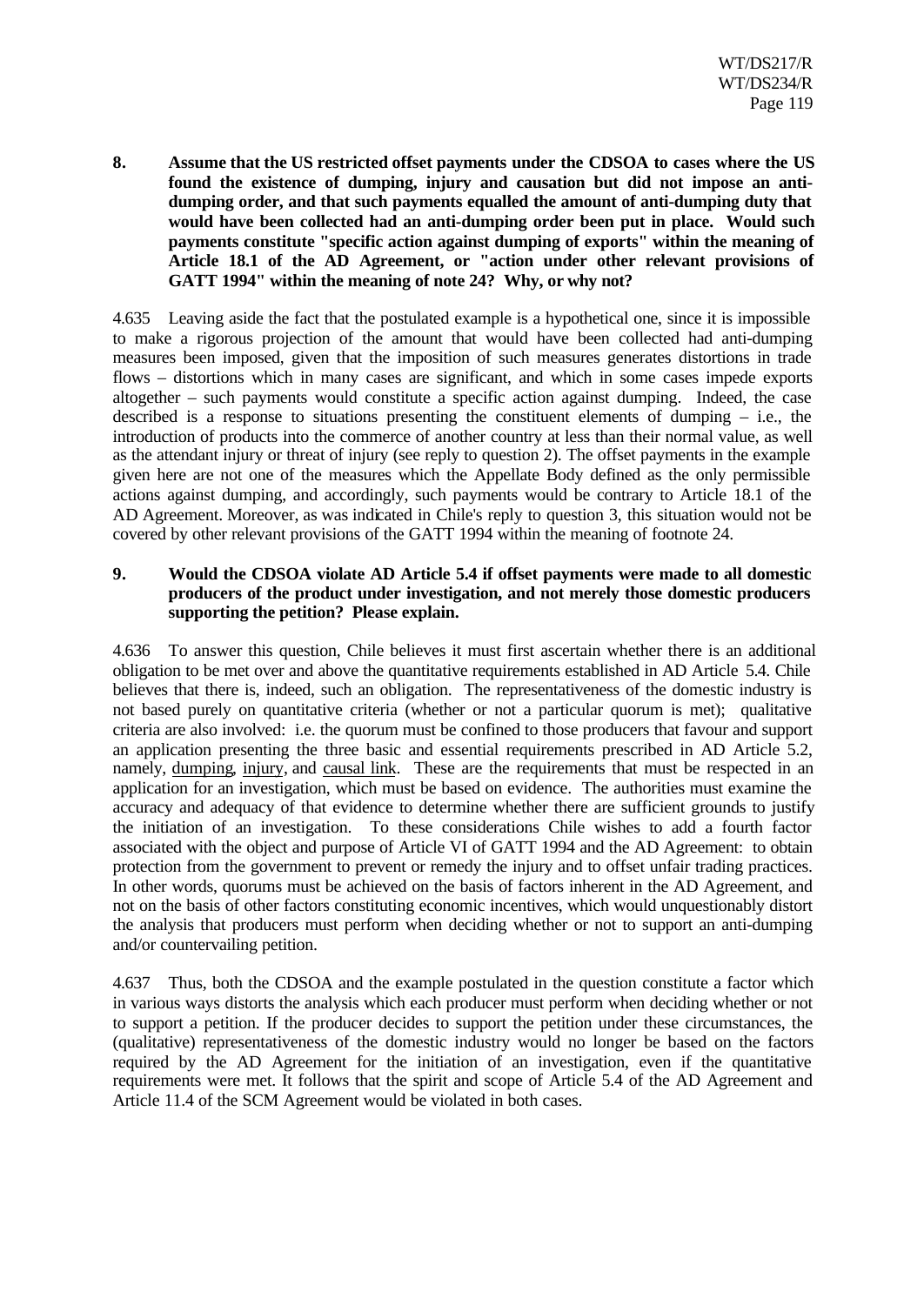**8. Assume that the US restricted offset payments under the CDSOA to cases where the US found the existence of dumping, injury and causation but did not impose an antidumping order, and that such payments equalled the amount of anti-dumping duty that would have been collected had an anti-dumping order been put in place. Would such payments constitute "specific action against dumping of exports" within the meaning of Article 18.1 of the AD Agreement, or "action under other relevant provisions of GATT 1994" within the meaning of note 24? Why, or why not?**

4.635 Leaving aside the fact that the postulated example is a hypothetical one, since it is impossible to make a rigorous projection of the amount that would have been collected had anti-dumping measures been imposed, given that the imposition of such measures generates distortions in trade flows – distortions which in many cases are significant, and which in some cases impede exports altogether – such payments would constitute a specific action against dumping. Indeed, the case described is a response to situations presenting the constituent elements of dumping  $-$  i.e., the introduction of products into the commerce of another country at less than their normal value, as well as the attendant injury or threat of injury (see reply to question 2). The offset payments in the example given here are not one of the measures which the Appellate Body defined as the only permissible actions against dumping, and accordingly, such payments would be contrary to Article 18.1 of the AD Agreement. Moreover, as was indicated in Chile's reply to question 3, this situation would not be covered by other relevant provisions of the GATT 1994 within the meaning of footnote 24.

### **9. Would the CDSOA violate AD Article 5.4 if offset payments were made to all domestic producers of the product under investigation, and not merely those domestic producers supporting the petition? Please explain.**

4.636 To answer this question, Chile believes it must first ascertain whether there is an additional obligation to be met over and above the quantitative requirements established in AD Article 5.4. Chile believes that there is, indeed, such an obligation. The representativeness of the domestic industry is not based purely on quantitative criteria (whether or not a particular quorum is met); qualitative criteria are also involved: i.e. the quorum must be confined to those producers that favour and support an application presenting the three basic and essential requirements prescribed in AD Article 5.2, namely, dumping, injury, and causal link. These are the requirements that must be respected in an application for an investigation, which must be based on evidence. The authorities must examine the accuracy and adequacy of that evidence to determine whether there are sufficient grounds to justify the initiation of an investigation. To these considerations Chile wishes to add a fourth factor associated with the object and purpose of Article VI of GATT 1994 and the AD Agreement: to obtain protection from the government to prevent or remedy the injury and to offset unfair trading practices. In other words, quorums must be achieved on the basis of factors inherent in the AD Agreement, and not on the basis of other factors constituting economic incentives, which would unquestionably distort the analysis that producers must perform when deciding whether or not to support an anti-dumping and/or countervailing petition.

4.637 Thus, both the CDSOA and the example postulated in the question constitute a factor which in various ways distorts the analysis which each producer must perform when deciding whether or not to support a petition. If the producer decides to support the petition under these circumstances, the (qualitative) representativeness of the domestic industry would no longer be based on the factors required by the AD Agreement for the initiation of an investigation, even if the quantitative requirements were met. It follows that the spirit and scope of Article 5.4 of the AD Agreement and Article 11.4 of the SCM Agreement would be violated in both cases.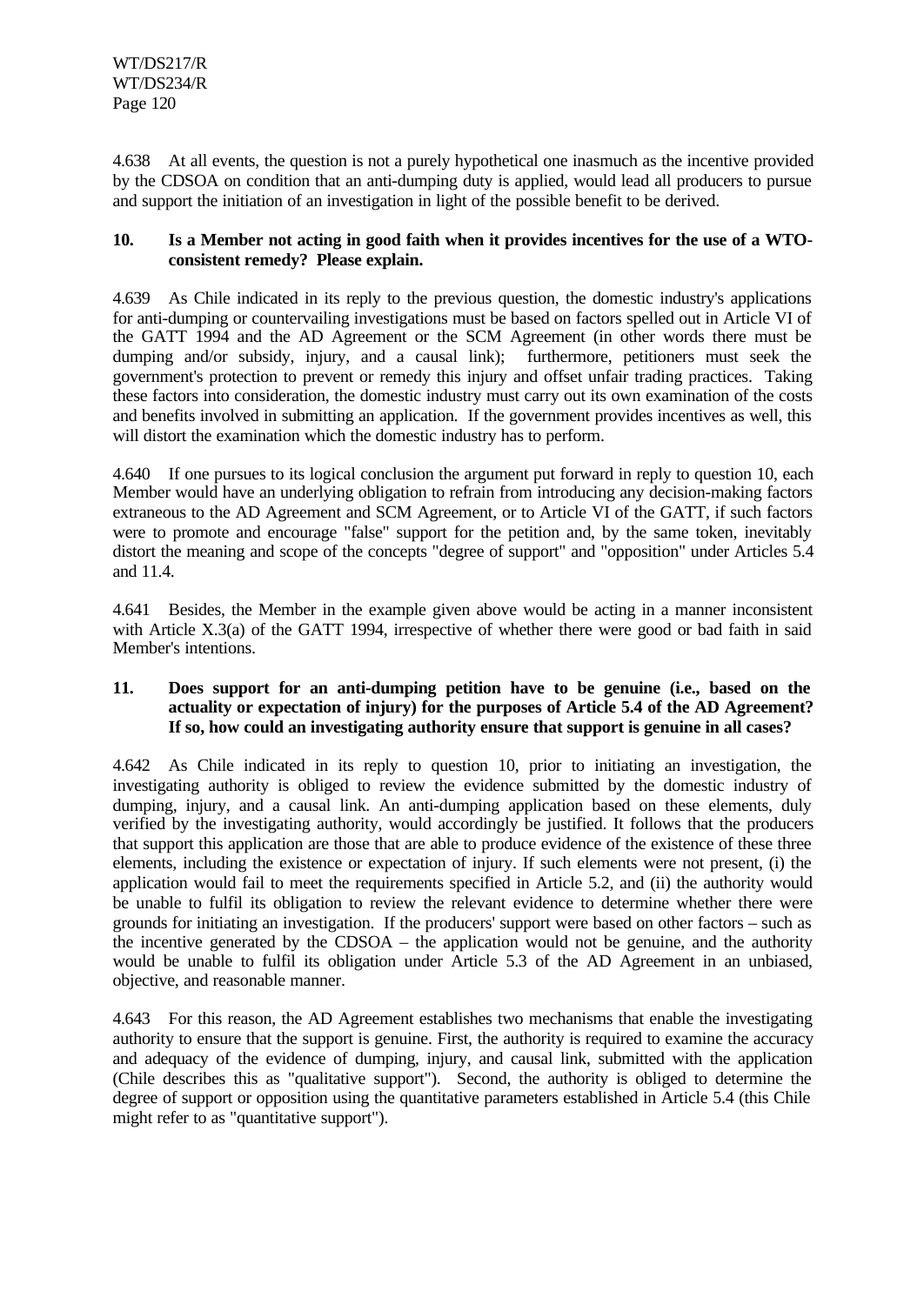4.638 At all events, the question is not a purely hypothetical one inasmuch as the incentive provided by the CDSOA on condition that an anti-dumping duty is applied, would lead all producers to pursue and support the initiation of an investigation in light of the possible benefit to be derived.

# **10. Is a Member not acting in good faith when it provides incentives for the use of a WTOconsistent remedy? Please explain.**

4.639 As Chile indicated in its reply to the previous question, the domestic industry's applications for anti-dumping or countervailing investigations must be based on factors spelled out in Article VI of the GATT 1994 and the AD Agreement or the SCM Agreement (in other words there must be dumping and/or subsidy, injury, and a causal link); furthermore, petitioners must seek the government's protection to prevent or remedy this injury and offset unfair trading practices. Taking these factors into consideration, the domestic industry must carry out its own examination of the costs and benefits involved in submitting an application. If the government provides incentives as well, this will distort the examination which the domestic industry has to perform.

4.640 If one pursues to its logical conclusion the argument put forward in reply to question 10, each Member would have an underlying obligation to refrain from introducing any decision-making factors extraneous to the AD Agreement and SCM Agreement, or to Article VI of the GATT, if such factors were to promote and encourage "false" support for the petition and, by the same token, inevitably distort the meaning and scope of the concepts "degree of support" and "opposition" under Articles 5.4 and 11.4.

4.641 Besides, the Member in the example given above would be acting in a manner inconsistent with Article X.3(a) of the GATT 1994, irrespective of whether there were good or bad faith in said Member's intentions.

# **11. Does support for an anti-dumping petition have to be genuine (i.e., based on the actuality or expectation of injury) for the purposes of Article 5.4 of the AD Agreement? If so, how could an investigating authority ensure that support is genuine in all cases?**

4.642 As Chile indicated in its reply to question 10, prior to initiating an investigation, the investigating authority is obliged to review the evidence submitted by the domestic industry of dumping, injury, and a causal link. An anti-dumping application based on these elements, duly verified by the investigating authority, would accordingly be justified. It follows that the producers that support this application are those that are able to produce evidence of the existence of these three elements, including the existence or expectation of injury. If such elements were not present, (i) the application would fail to meet the requirements specified in Article 5.2, and (ii) the authority would be unable to fulfil its obligation to review the relevant evidence to determine whether there were grounds for initiating an investigation. If the producers' support were based on other factors – such as the incentive generated by the CDSOA – the application would not be genuine, and the authority would be unable to fulfil its obligation under Article 5.3 of the AD Agreement in an unbiased, objective, and reasonable manner.

4.643 For this reason, the AD Agreement establishes two mechanisms that enable the investigating authority to ensure that the support is genuine. First, the authority is required to examine the accuracy and adequacy of the evidence of dumping, injury, and causal link, submitted with the application (Chile describes this as "qualitative support"). Second, the authority is obliged to determine the degree of support or opposition using the quantitative parameters established in Article 5.4 (this Chile might refer to as "quantitative support").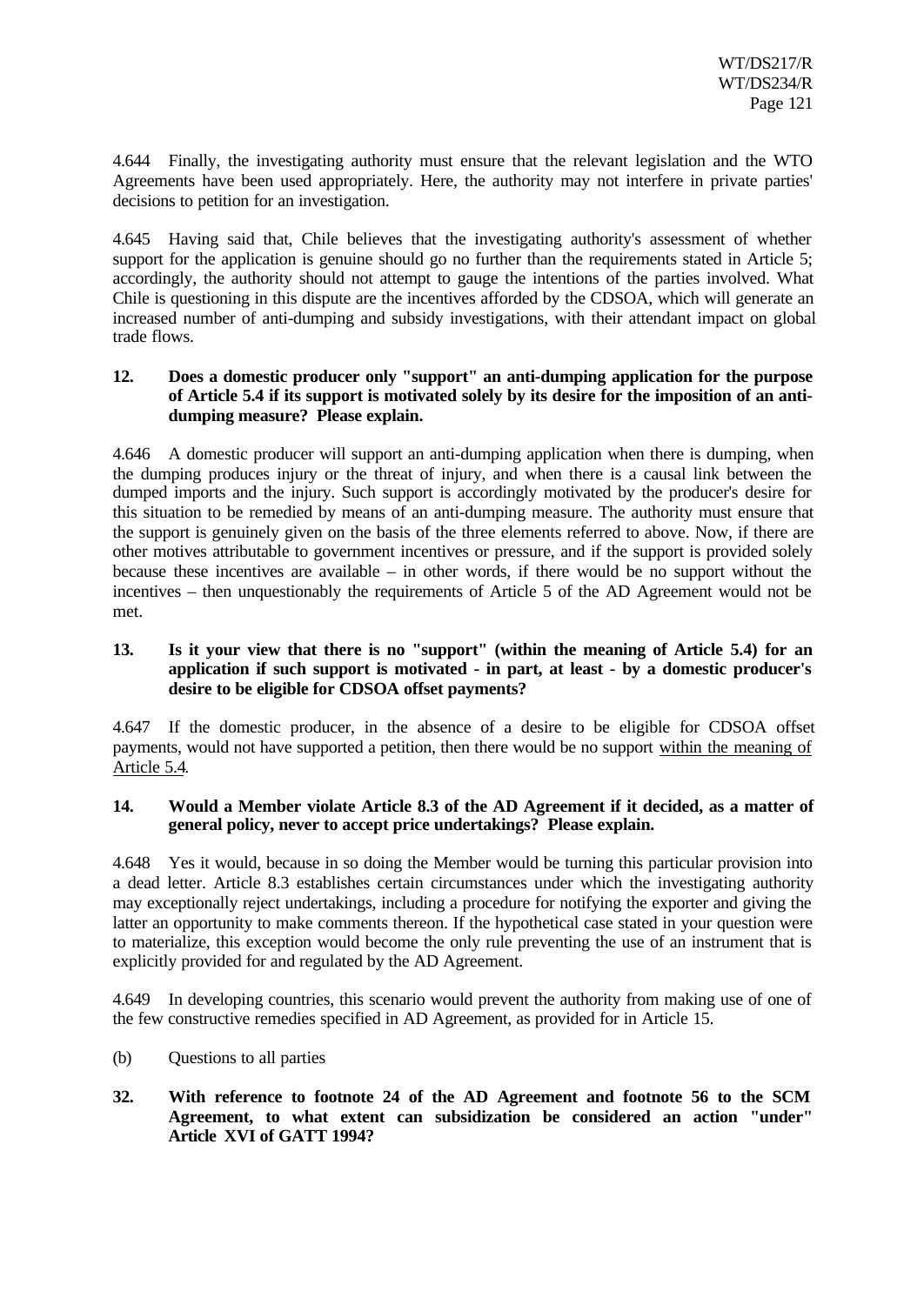4.644 Finally, the investigating authority must ensure that the relevant legislation and the WTO Agreements have been used appropriately. Here, the authority may not interfere in private parties' decisions to petition for an investigation.

4.645 Having said that, Chile believes that the investigating authority's assessment of whether support for the application is genuine should go no further than the requirements stated in Article 5; accordingly, the authority should not attempt to gauge the intentions of the parties involved. What Chile is questioning in this dispute are the incentives afforded by the CDSOA, which will generate an increased number of anti-dumping and subsidy investigations, with their attendant impact on global trade flows.

### **12. Does a domestic producer only "support" an anti-dumping application for the purpose of Article 5.4 if its support is motivated solely by its desire for the imposition of an antidumping measure? Please explain.**

4.646 A domestic producer will support an anti-dumping application when there is dumping, when the dumping produces injury or the threat of injury, and when there is a causal link between the dumped imports and the injury. Such support is accordingly motivated by the producer's desire for this situation to be remedied by means of an anti-dumping measure. The authority must ensure that the support is genuinely given on the basis of the three elements referred to above. Now, if there are other motives attributable to government incentives or pressure, and if the support is provided solely because these incentives are available – in other words, if there would be no support without the incentives – then unquestionably the requirements of Article 5 of the AD Agreement would not be met.

# **13. Is it your view that there is no "support" (within the meaning of Article 5.4) for an application if such support is motivated - in part, at least - by a domestic producer's desire to be eligible for CDSOA offset payments?**

4.647 If the domestic producer, in the absence of a desire to be eligible for CDSOA offset payments, would not have supported a petition, then there would be no support within the meaning of Article 5.4.

### **14. Would a Member violate Article 8.3 of the AD Agreement if it decided, as a matter of general policy, never to accept price undertakings? Please explain.**

4.648 Yes it would, because in so doing the Member would be turning this particular provision into a dead letter. Article 8.3 establishes certain circumstances under which the investigating authority may exceptionally reject undertakings, including a procedure for notifying the exporter and giving the latter an opportunity to make comments thereon. If the hypothetical case stated in your question were to materialize, this exception would become the only rule preventing the use of an instrument that is explicitly provided for and regulated by the AD Agreement.

4.649 In developing countries, this scenario would prevent the authority from making use of one of the few constructive remedies specified in AD Agreement, as provided for in Article 15.

- (b) Questions to all parties
- **32. With reference to footnote 24 of the AD Agreement and footnote 56 to the SCM Agreement, to what extent can subsidization be considered an action "under" Article XVI of GATT 1994?**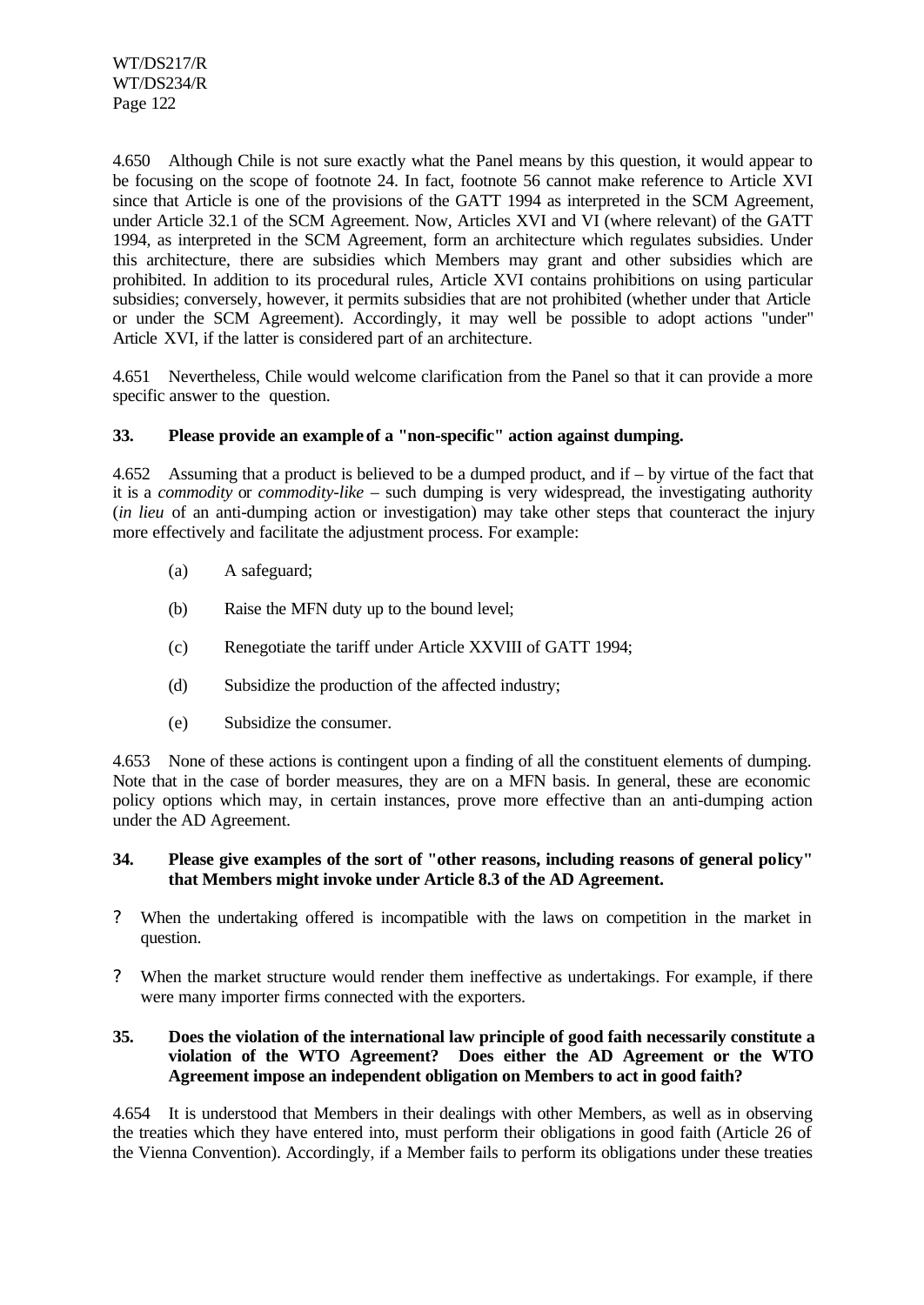4.650 Although Chile is not sure exactly what the Panel means by this question, it would appear to be focusing on the scope of footnote 24. In fact, footnote 56 cannot make reference to Article XVI since that Article is one of the provisions of the GATT 1994 as interpreted in the SCM Agreement, under Article 32.1 of the SCM Agreement. Now, Articles XVI and VI (where relevant) of the GATT 1994, as interpreted in the SCM Agreement, form an architecture which regulates subsidies. Under this architecture, there are subsidies which Members may grant and other subsidies which are prohibited. In addition to its procedural rules, Article XVI contains prohibitions on using particular subsidies; conversely, however, it permits subsidies that are not prohibited (whether under that Article or under the SCM Agreement). Accordingly, it may well be possible to adopt actions "under" Article XVI, if the latter is considered part of an architecture.

4.651 Nevertheless, Chile would welcome clarification from the Panel so that it can provide a more specific answer to the question.

## **33. Please provide an example of a "non-specific" action against dumping.**

4.652 Assuming that a product is believed to be a dumped product, and if – by virtue of the fact that it is a *commodity* or *commodity-like* – such dumping is very widespread, the investigating authority (*in lieu* of an anti-dumping action or investigation) may take other steps that counteract the injury more effectively and facilitate the adjustment process. For example:

- (a) A safeguard;
- (b) Raise the MFN duty up to the bound level;
- (c) Renegotiate the tariff under Article XXVIII of GATT 1994;
- (d) Subsidize the production of the affected industry;
- (e) Subsidize the consumer.

4.653 None of these actions is contingent upon a finding of all the constituent elements of dumping. Note that in the case of border measures, they are on a MFN basis. In general, these are economic policy options which may, in certain instances, prove more effective than an anti-dumping action under the AD Agreement.

#### **34. Please give examples of the sort of "other reasons, including reasons of general policy" that Members might invoke under Article 8.3 of the AD Agreement.**

- ? When the undertaking offered is incompatible with the laws on competition in the market in question.
- ? When the market structure would render them ineffective as undertakings. For example, if there were many importer firms connected with the exporters.

# **35. Does the violation of the international law principle of good faith necessarily constitute a violation of the WTO Agreement? Does either the AD Agreement or the WTO Agreement impose an independent obligation on Members to act in good faith?**

4.654 It is understood that Members in their dealings with other Members, as well as in observing the treaties which they have entered into, must perform their obligations in good faith (Article 26 of the Vienna Convention). Accordingly, if a Member fails to perform its obligations under these treaties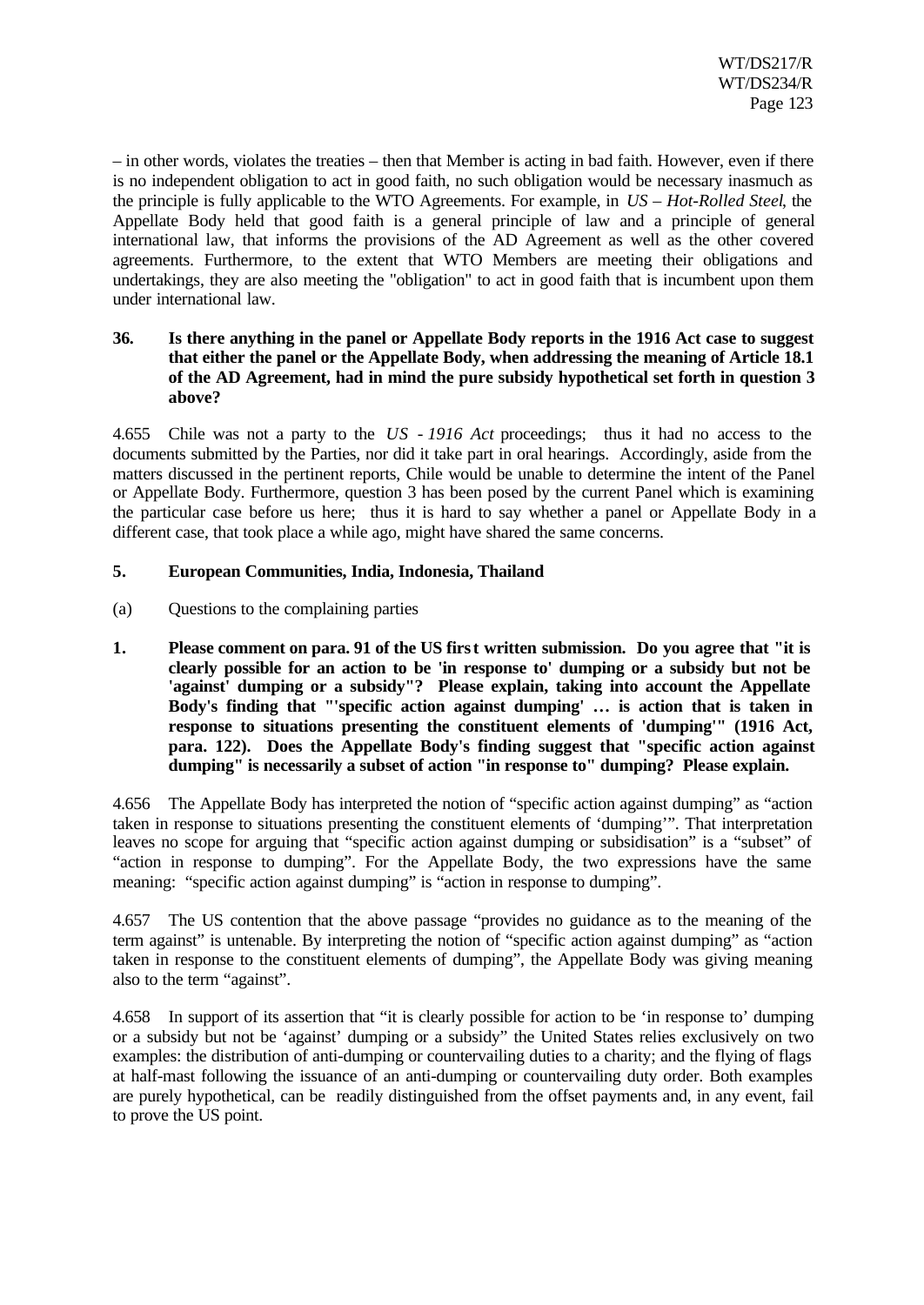– in other words, violates the treaties – then that Member is acting in bad faith. However, even if there is no independent obligation to act in good faith, no such obligation would be necessary inasmuch as the principle is fully applicable to the WTO Agreements. For example, in *US – Hot-Rolled Steel*, the Appellate Body held that good faith is a general principle of law and a principle of general international law, that informs the provisions of the AD Agreement as well as the other covered agreements. Furthermore, to the extent that WTO Members are meeting their obligations and undertakings, they are also meeting the "obligation" to act in good faith that is incumbent upon them under international law.

## **36. Is there anything in the panel or Appellate Body reports in the 1916 Act case to suggest that either the panel or the Appellate Body, when addressing the meaning of Article 18.1 of the AD Agreement, had in mind the pure subsidy hypothetical set forth in question 3 above?**

4.655 Chile was not a party to the *US - 1916 Act* proceedings; thus it had no access to the documents submitted by the Parties, nor did it take part in oral hearings. Accordingly, aside from the matters discussed in the pertinent reports, Chile would be unable to determine the intent of the Panel or Appellate Body. Furthermore, question 3 has been posed by the current Panel which is examining the particular case before us here; thus it is hard to say whether a panel or Appellate Body in a different case, that took place a while ago, might have shared the same concerns.

# **5. European Communities, India, Indonesia, Thailand**

- (a) Questions to the complaining parties
- **1. Please comment on para. 91 of the US first written submission. Do you agree that "it is clearly possible for an action to be 'in response to' dumping or a subsidy but not be 'against' dumping or a subsidy"? Please explain, taking into account the Appellate Body's finding that "'specific action against dumping' … is action that is taken in response to situations presenting the constituent elements of 'dumping'" (1916 Act, para. 122). Does the Appellate Body's finding suggest that "specific action against dumping" is necessarily a subset of action "in response to" dumping? Please explain.**

4.656 The Appellate Body has interpreted the notion of "specific action against dumping" as "action taken in response to situations presenting the constituent elements of 'dumping'". That interpretation leaves no scope for arguing that "specific action against dumping or subsidisation" is a "subset" of "action in response to dumping". For the Appellate Body, the two expressions have the same meaning: "specific action against dumping" is "action in response to dumping".

4.657 The US contention that the above passage "provides no guidance as to the meaning of the term against" is untenable. By interpreting the notion of "specific action against dumping" as "action taken in response to the constituent elements of dumping", the Appellate Body was giving meaning also to the term "against".

4.658 In support of its assertion that "it is clearly possible for action to be 'in response to' dumping or a subsidy but not be 'against' dumping or a subsidy" the United States relies exclusively on two examples: the distribution of anti-dumping or countervailing duties to a charity; and the flying of flags at half-mast following the issuance of an anti-dumping or countervailing duty order. Both examples are purely hypothetical, can be readily distinguished from the offset payments and, in any event, fail to prove the US point.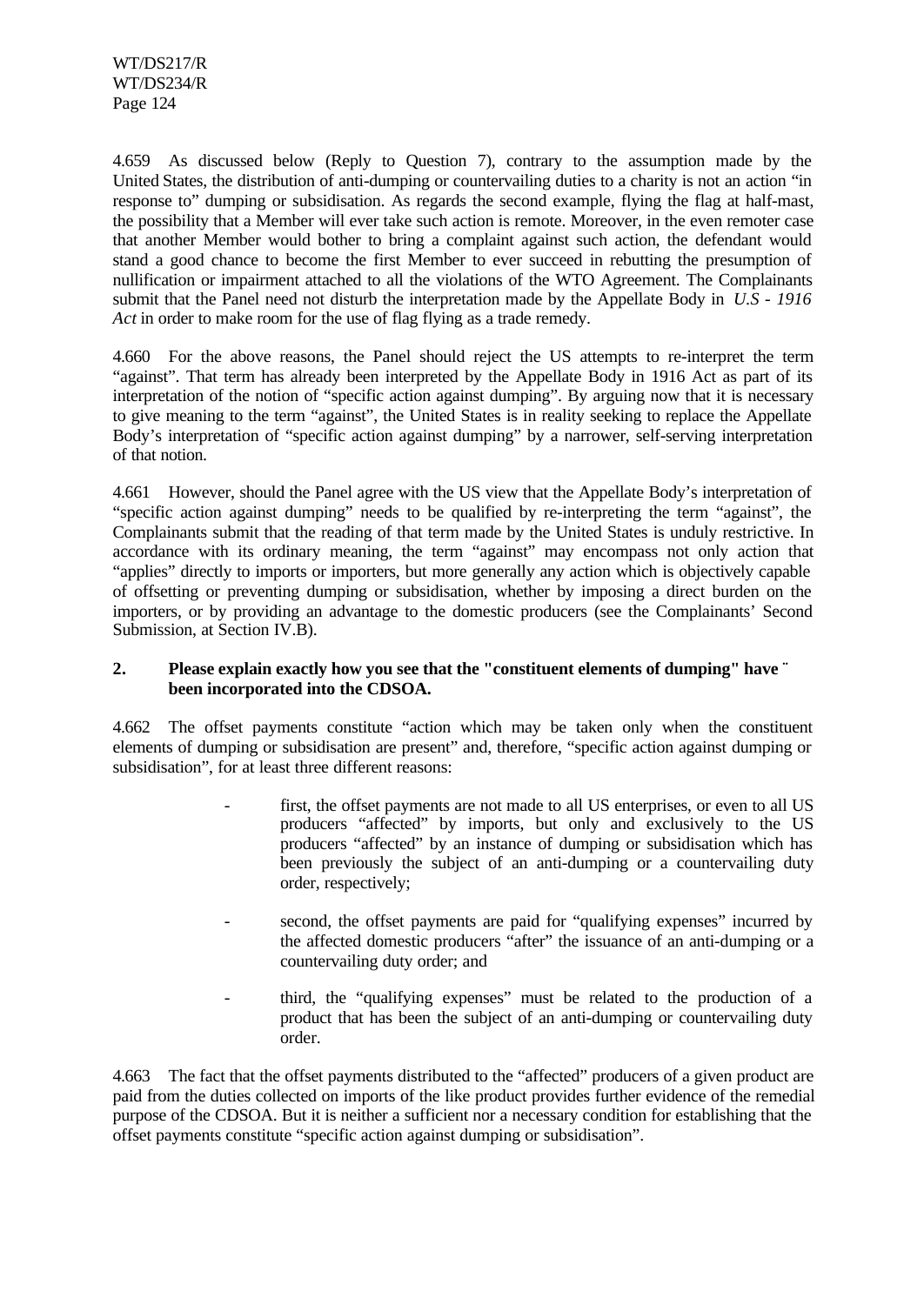4.659 As discussed below (Reply to Question 7), contrary to the assumption made by the United States, the distribution of anti-dumping or countervailing duties to a charity is not an action "in response to" dumping or subsidisation. As regards the second example, flying the flag at half-mast, the possibility that a Member will ever take such action is remote. Moreover, in the even remoter case that another Member would bother to bring a complaint against such action, the defendant would stand a good chance to become the first Member to ever succeed in rebutting the presumption of nullification or impairment attached to all the violations of the WTO Agreement. The Complainants submit that the Panel need not disturb the interpretation made by the Appellate Body in *U.S - 1916 Act* in order to make room for the use of flag flying as a trade remedy.

4.660 For the above reasons, the Panel should reject the US attempts to re-interpret the term "against". That term has already been interpreted by the Appellate Body in 1916 Act as part of its interpretation of the notion of "specific action against dumping". By arguing now that it is necessary to give meaning to the term "against", the United States is in reality seeking to replace the Appellate Body's interpretation of "specific action against dumping" by a narrower, self-serving interpretation of that notion.

4.661 However, should the Panel agree with the US view that the Appellate Body's interpretation of "specific action against dumping" needs to be qualified by re-interpreting the term "against", the Complainants submit that the reading of that term made by the United States is unduly restrictive. In accordance with its ordinary meaning, the term "against" may encompass not only action that "applies" directly to imports or importers, but more generally any action which is objectively capable of offsetting or preventing dumping or subsidisation, whether by imposing a direct burden on the importers, or by providing an advantage to the domestic producers (see the Complainants' Second Submission, at Section IV.B).

## **2. Please explain exactly how you see that the "constituent elements of dumping" have ¨ been incorporated into the CDSOA.**

4.662 The offset payments constitute "action which may be taken only when the constituent elements of dumping or subsidisation are present" and, therefore, "specific action against dumping or subsidisation", for at least three different reasons:

- first, the offset payments are not made to all US enterprises, or even to all US producers "affected" by imports, but only and exclusively to the US producers "affected" by an instance of dumping or subsidisation which has been previously the subject of an anti-dumping or a countervailing duty order, respectively;
- second, the offset payments are paid for "qualifying expenses" incurred by the affected domestic producers "after" the issuance of an anti-dumping or a countervailing duty order; and
- third, the "qualifying expenses" must be related to the production of a product that has been the subject of an anti-dumping or countervailing duty order.

4.663 The fact that the offset payments distributed to the "affected" producers of a given product are paid from the duties collected on imports of the like product provides further evidence of the remedial purpose of the CDSOA. But it is neither a sufficient nor a necessary condition for establishing that the offset payments constitute "specific action against dumping or subsidisation".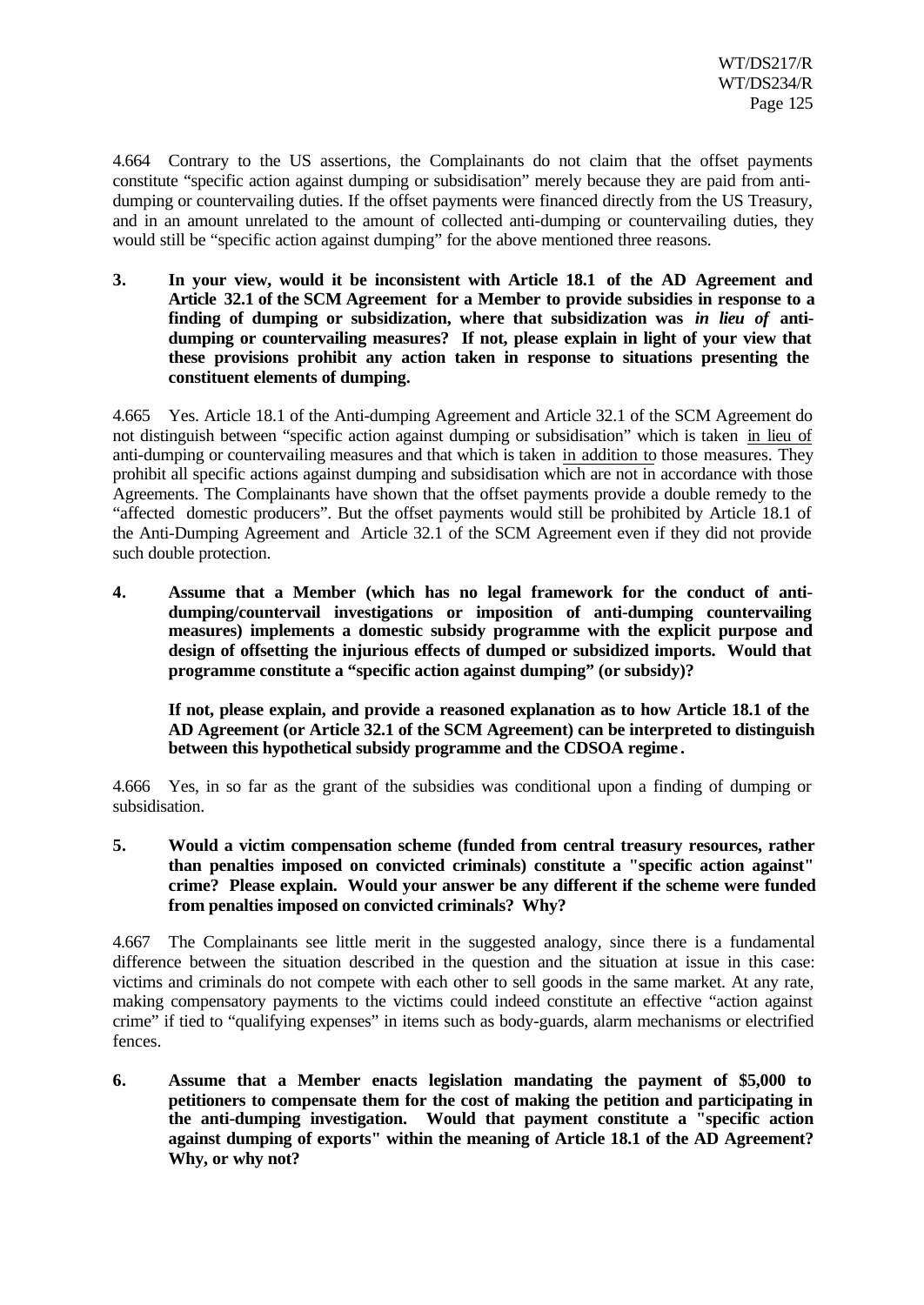4.664 Contrary to the US assertions, the Complainants do not claim that the offset payments constitute "specific action against dumping or subsidisation" merely because they are paid from antidumping or countervailing duties. If the offset payments were financed directly from the US Treasury, and in an amount unrelated to the amount of collected anti-dumping or countervailing duties, they would still be "specific action against dumping" for the above mentioned three reasons.

**3. In your view, would it be inconsistent with Article 18.1 of the AD Agreement and Article 32.1 of the SCM Agreement for a Member to provide subsidies in response to a finding of dumping or subsidization, where that subsidization was** *in lieu of* **antidumping or countervailing measures? If not, please explain in light of your view that these provisions prohibit any action taken in response to situations presenting the constituent elements of dumping.**

4.665 Yes. Article 18.1 of the Anti-dumping Agreement and Article 32.1 of the SCM Agreement do not distinguish between "specific action against dumping or subsidisation" which is taken in lieu of anti-dumping or countervailing measures and that which is taken in addition to those measures. They prohibit all specific actions against dumping and subsidisation which are not in accordance with those Agreements. The Complainants have shown that the offset payments provide a double remedy to the "affected domestic producers". But the offset payments would still be prohibited by Article 18.1 of the Anti-Dumping Agreement and Article 32.1 of the SCM Agreement even if they did not provide such double protection.

**4. Assume that a Member (which has no legal framework for the conduct of antidumping/countervail investigations or imposition of anti-dumping countervailing measures) implements a domestic subsidy programme with the explicit purpose and design of offsetting the injurious effects of dumped or subsidized imports. Would that programme constitute a "specific action against dumping" (or subsidy)?**

**If not, please explain, and provide a reasoned explanation as to how Article 18.1 of the AD Agreement (or Article 32.1 of the SCM Agreement) can be interpreted to distinguish between this hypothetical subsidy programme and the CDSOA regime** *.*

4.666 Yes, in so far as the grant of the subsidies was conditional upon a finding of dumping or subsidisation.

**5. Would a victim compensation scheme (funded from central treasury resources, rather than penalties imposed on convicted criminals) constitute a "specific action against" crime? Please explain. Would your answer be any different if the scheme were funded from penalties imposed on convicted criminals? Why?**

4.667 The Complainants see little merit in the suggested analogy, since there is a fundamental difference between the situation described in the question and the situation at issue in this case: victims and criminals do not compete with each other to sell goods in the same market. At any rate, making compensatory payments to the victims could indeed constitute an effective "action against crime" if tied to "qualifying expenses" in items such as body-guards, alarm mechanisms or electrified fences.

**6. Assume that a Member enacts legislation mandating the payment of \$5,000 to petitioners to compensate them for the cost of making the petition and participating in the anti-dumping investigation. Would that payment constitute a "specific action against dumping of exports" within the meaning of Article 18.1 of the AD Agreement? Why, or why not?**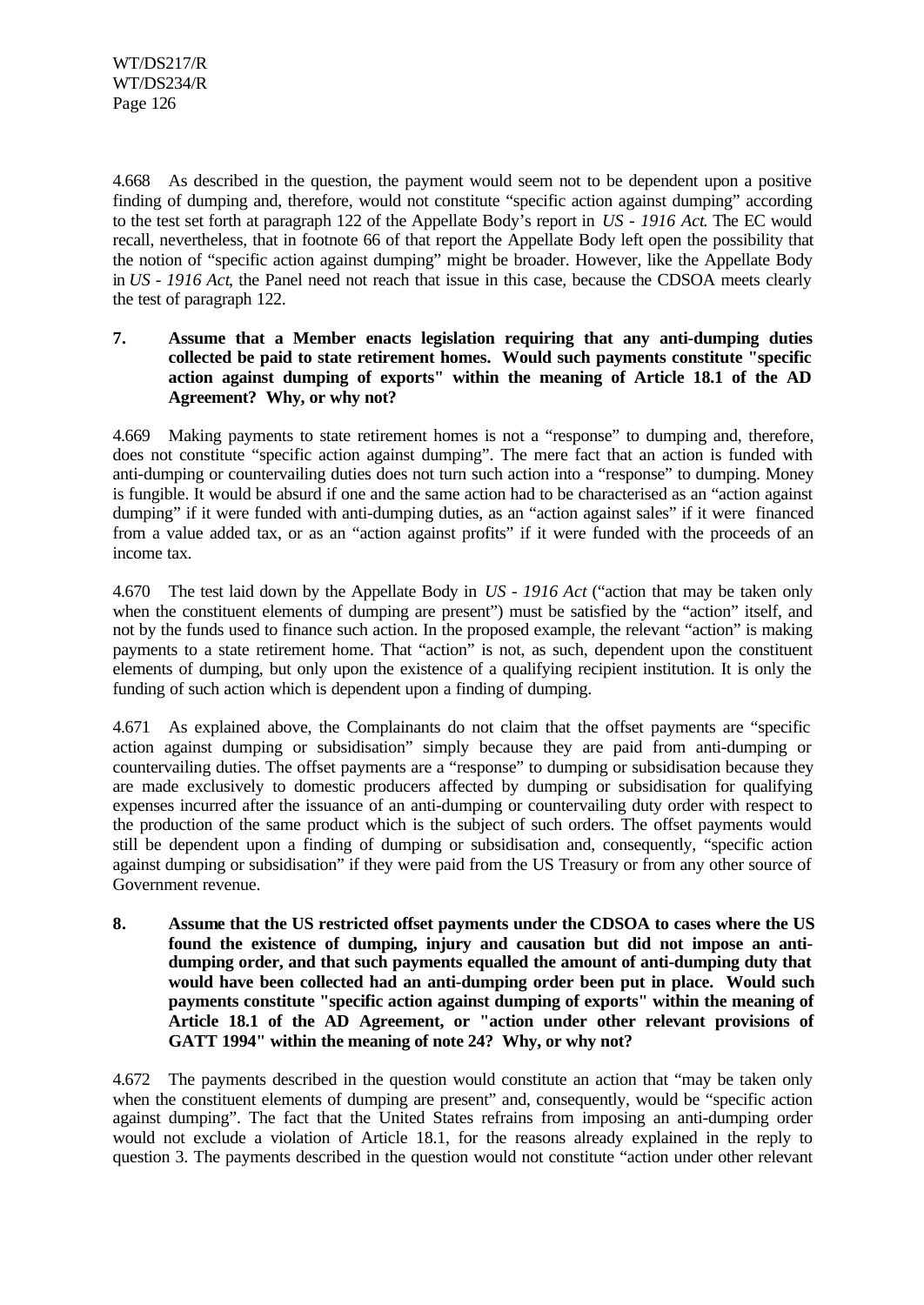4.668 As described in the question, the payment would seem not to be dependent upon a positive finding of dumping and, therefore, would not constitute "specific action against dumping" according to the test set forth at paragraph 122 of the Appellate Body's report in *US - 1916 Act*. The EC would recall, nevertheless, that in footnote 66 of that report the Appellate Body left open the possibility that the notion of "specific action against dumping" might be broader. However, like the Appellate Body in *US - 1916 Act*, the Panel need not reach that issue in this case, because the CDSOA meets clearly the test of paragraph 122.

### **7. Assume that a Member enacts legislation requiring that any anti-dumping duties collected be paid to state retirement homes. Would such payments constitute "specific action against dumping of exports" within the meaning of Article 18.1 of the AD Agreement? Why, or why not?**

4.669 Making payments to state retirement homes is not a "response" to dumping and, therefore, does not constitute "specific action against dumping". The mere fact that an action is funded with anti-dumping or countervailing duties does not turn such action into a "response" to dumping. Money is fungible. It would be absurd if one and the same action had to be characterised as an "action against dumping" if it were funded with anti-dumping duties, as an "action against sales" if it were financed from a value added tax, or as an "action against profits" if it were funded with the proceeds of an income tax.

4.670 The test laid down by the Appellate Body in *US - 1916 Act* ("action that may be taken only when the constituent elements of dumping are present") must be satisfied by the "action" itself, and not by the funds used to finance such action. In the proposed example, the relevant "action" is making payments to a state retirement home. That "action" is not, as such, dependent upon the constituent elements of dumping, but only upon the existence of a qualifying recipient institution. It is only the funding of such action which is dependent upon a finding of dumping.

4.671 As explained above, the Complainants do not claim that the offset payments are "specific action against dumping or subsidisation" simply because they are paid from anti-dumping or countervailing duties. The offset payments are a "response" to dumping or subsidisation because they are made exclusively to domestic producers affected by dumping or subsidisation for qualifying expenses incurred after the issuance of an anti-dumping or countervailing duty order with respect to the production of the same product which is the subject of such orders. The offset payments would still be dependent upon a finding of dumping or subsidisation and, consequently, "specific action against dumping or subsidisation" if they were paid from the US Treasury or from any other source of Government revenue.

**8. Assume that the US restricted offset payments under the CDSOA to cases where the US found the existence of dumping, injury and causation but did not impose an antidumping order, and that such payments equalled the amount of anti-dumping duty that would have been collected had an anti-dumping order been put in place. Would such payments constitute "specific action against dumping of exports" within the meaning of Article 18.1 of the AD Agreement, or "action under other relevant provisions of GATT 1994" within the meaning of note 24? Why, or why not?**

4.672 The payments described in the question would constitute an action that "may be taken only when the constituent elements of dumping are present" and, consequently, would be "specific action" against dumping". The fact that the United States refrains from imposing an anti-dumping order would not exclude a violation of Article 18.1, for the reasons already explained in the reply to question 3. The payments described in the question would not constitute "action under other relevant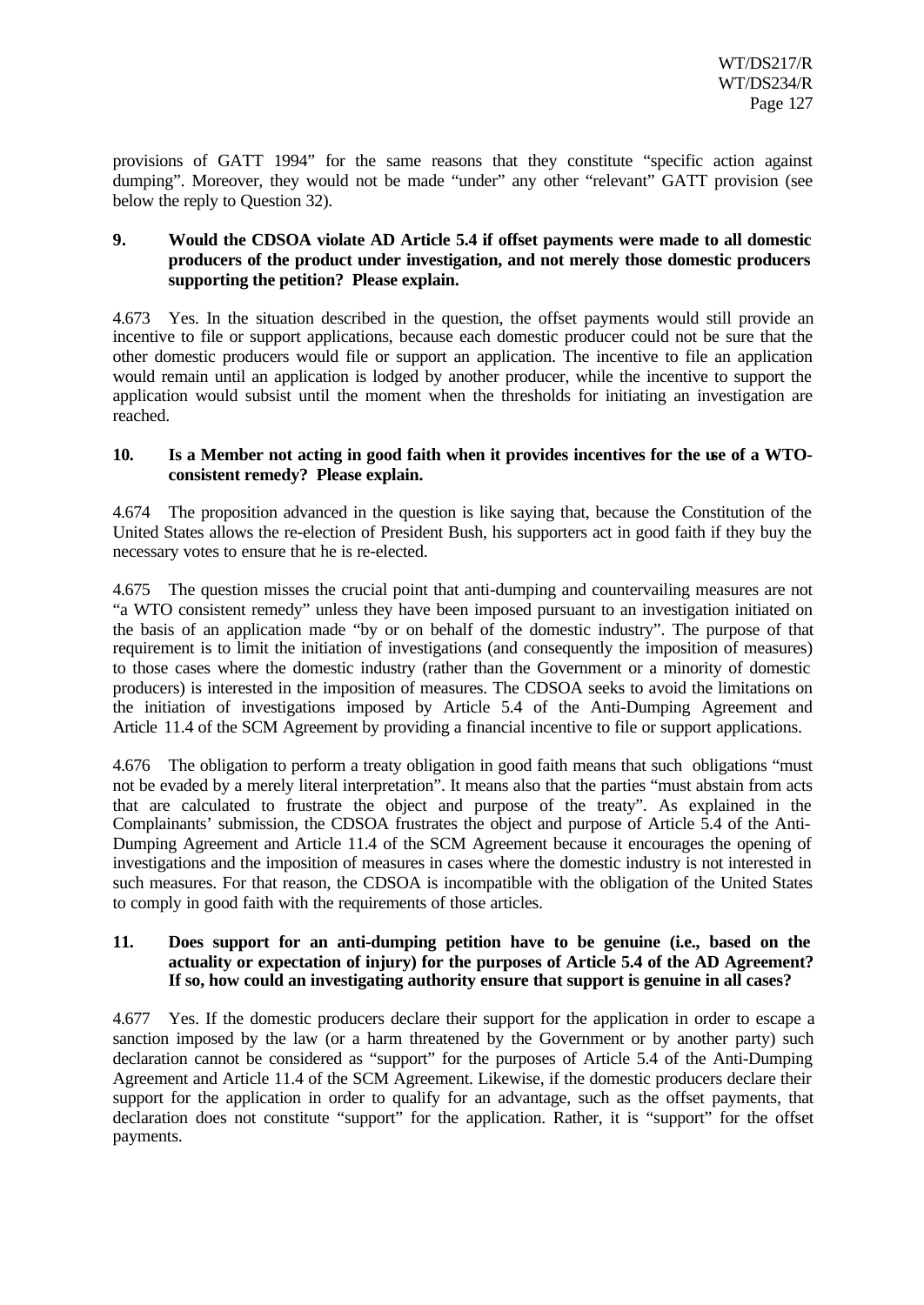provisions of GATT 1994" for the same reasons that they constitute "specific action against dumping". Moreover, they would not be made "under" any other "relevant" GATT provision (see below the reply to Question 32).

## **9. Would the CDSOA violate AD Article 5.4 if offset payments were made to all domestic producers of the product under investigation, and not merely those domestic producers supporting the petition? Please explain.**

4.673 Yes. In the situation described in the question, the offset payments would still provide an incentive to file or support applications, because each domestic producer could not be sure that the other domestic producers would file or support an application. The incentive to file an application would remain until an application is lodged by another producer, while the incentive to support the application would subsist until the moment when the thresholds for initiating an investigation are reached.

### **10. Is a Member not acting in good faith when it provides incentives for the use of a WTOconsistent remedy? Please explain.**

4.674 The proposition advanced in the question is like saying that, because the Constitution of the United States allows the re-election of President Bush, his supporters act in good faith if they buy the necessary votes to ensure that he is re-elected.

4.675 The question misses the crucial point that anti-dumping and countervailing measures are not "a WTO consistent remedy" unless they have been imposed pursuant to an investigation initiated on the basis of an application made "by or on behalf of the domestic industry". The purpose of that requirement is to limit the initiation of investigations (and consequently the imposition of measures) to those cases where the domestic industry (rather than the Government or a minority of domestic producers) is interested in the imposition of measures. The CDSOA seeks to avoid the limitations on the initiation of investigations imposed by Article 5.4 of the Anti-Dumping Agreement and Article 11.4 of the SCM Agreement by providing a financial incentive to file or support applications.

4.676 The obligation to perform a treaty obligation in good faith means that such obligations "must not be evaded by a merely literal interpretation". It means also that the parties "must abstain from acts that are calculated to frustrate the object and purpose of the treaty". As explained in the Complainants' submission, the CDSOA frustrates the object and purpose of Article 5.4 of the Anti-Dumping Agreement and Article 11.4 of the SCM Agreement because it encourages the opening of investigations and the imposition of measures in cases where the domestic industry is not interested in such measures. For that reason, the CDSOA is incompatible with the obligation of the United States to comply in good faith with the requirements of those articles.

#### **11. Does support for an anti-dumping petition have to be genuine (i.e., based on the actuality or expectation of injury) for the purposes of Article 5.4 of the AD Agreement? If so, how could an investigating authority ensure that support is genuine in all cases?**

4.677 Yes. If the domestic producers declare their support for the application in order to escape a sanction imposed by the law (or a harm threatened by the Government or by another party) such declaration cannot be considered as "support" for the purposes of Article 5.4 of the Anti-Dumping Agreement and Article 11.4 of the SCM Agreement. Likewise, if the domestic producers declare their support for the application in order to qualify for an advantage, such as the offset payments, that declaration does not constitute "support" for the application. Rather, it is "support" for the offset payments.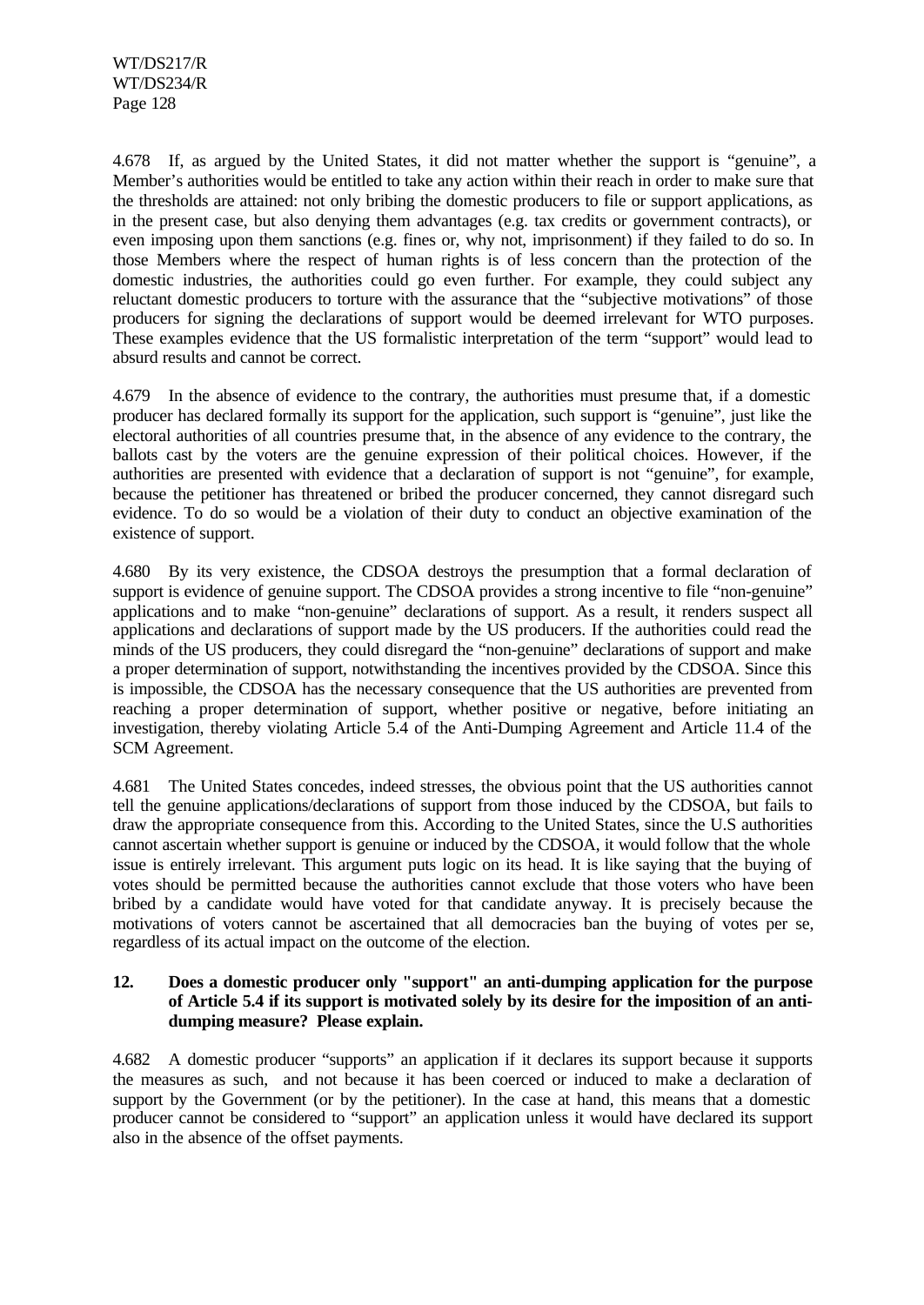4.678 If, as argued by the United States, it did not matter whether the support is "genuine", a Member's authorities would be entitled to take any action within their reach in order to make sure that the thresholds are attained: not only bribing the domestic producers to file or support applications, as in the present case, but also denying them advantages (e.g. tax credits or government contracts), or even imposing upon them sanctions (e.g. fines or, why not, imprisonment) if they failed to do so. In those Members where the respect of human rights is of less concern than the protection of the domestic industries, the authorities could go even further. For example, they could subject any reluctant domestic producers to torture with the assurance that the "subjective motivations" of those producers for signing the declarations of support would be deemed irrelevant for WTO purposes. These examples evidence that the US formalistic interpretation of the term "support" would lead to absurd results and cannot be correct.

4.679 In the absence of evidence to the contrary, the authorities must presume that, if a domestic producer has declared formally its support for the application, such support is "genuine", just like the electoral authorities of all countries presume that, in the absence of any evidence to the contrary, the ballots cast by the voters are the genuine expression of their political choices. However, if the authorities are presented with evidence that a declaration of support is not "genuine", for example, because the petitioner has threatened or bribed the producer concerned, they cannot disregard such evidence. To do so would be a violation of their duty to conduct an objective examination of the existence of support.

4.680 By its very existence, the CDSOA destroys the presumption that a formal declaration of support is evidence of genuine support. The CDSOA provides a strong incentive to file "non-genuine" applications and to make "non-genuine" declarations of support. As a result, it renders suspect all applications and declarations of support made by the US producers. If the authorities could read the minds of the US producers, they could disregard the "non-genuine" declarations of support and make a proper determination of support, notwithstanding the incentives provided by the CDSOA. Since this is impossible, the CDSOA has the necessary consequence that the US authorities are prevented from reaching a proper determination of support, whether positive or negative, before initiating an investigation, thereby violating Article 5.4 of the Anti-Dumping Agreement and Article 11.4 of the SCM Agreement.

4.681 The United States concedes, indeed stresses, the obvious point that the US authorities cannot tell the genuine applications/declarations of support from those induced by the CDSOA, but fails to draw the appropriate consequence from this. According to the United States, since the U.S authorities cannot ascertain whether support is genuine or induced by the CDSOA, it would follow that the whole issue is entirely irrelevant. This argument puts logic on its head. It is like saying that the buying of votes should be permitted because the authorities cannot exclude that those voters who have been bribed by a candidate would have voted for that candidate anyway. It is precisely because the motivations of voters cannot be ascertained that all democracies ban the buying of votes per se, regardless of its actual impact on the outcome of the election.

## **12. Does a domestic producer only "support" an anti-dumping application for the purpose of Article 5.4 if its support is motivated solely by its desire for the imposition of an antidumping measure? Please explain.**

4.682 A domestic producer "supports" an application if it declares its support because it supports the measures as such, and not because it has been coerced or induced to make a declaration of support by the Government (or by the petitioner). In the case at hand, this means that a domestic producer cannot be considered to "support" an application unless it would have declared its support also in the absence of the offset payments.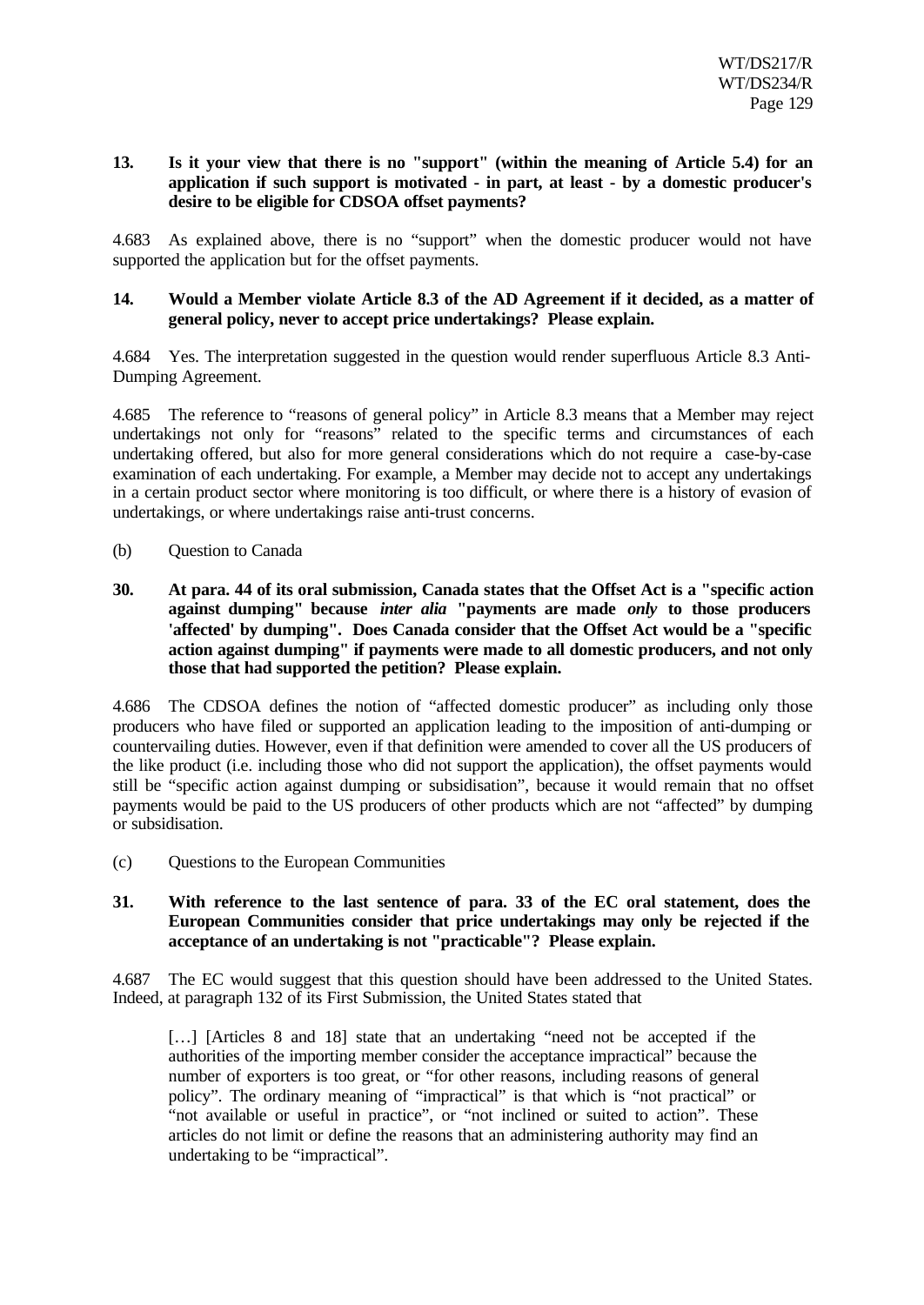### **13. Is it your view that there is no "support" (within the meaning of Article 5.4) for an application if such support is motivated - in part, at least - by a domestic producer's desire to be eligible for CDSOA offset payments?**

4.683 As explained above, there is no "support" when the domestic producer would not have supported the application but for the offset payments.

#### **14. Would a Member violate Article 8.3 of the AD Agreement if it decided, as a matter of general policy, never to accept price undertakings? Please explain.**

4.684 Yes. The interpretation suggested in the question would render superfluous Article 8.3 Anti-Dumping Agreement.

4.685 The reference to "reasons of general policy" in Article 8.3 means that a Member may reject undertakings not only for "reasons" related to the specific terms and circumstances of each undertaking offered, but also for more general considerations which do not require a case-by-case examination of each undertaking. For example, a Member may decide not to accept any undertakings in a certain product sector where monitoring is too difficult, or where there is a history of evasion of undertakings, or where undertakings raise anti-trust concerns.

- (b) Question to Canada
- **30. At para. 44 of its oral submission, Canada states that the Offset Act is a "specific action against dumping" because** *inter alia* **"payments are made** *only* **to those producers 'affected' by dumping". Does Canada consider that the Offset Act would be a "specific action against dumping" if payments were made to all domestic producers, and not only those that had supported the petition? Please explain.**

4.686 The CDSOA defines the notion of "affected domestic producer" as including only those producers who have filed or supported an application leading to the imposition of anti-dumping or countervailing duties. However, even if that definition were amended to cover all the US producers of the like product (i.e. including those who did not support the application), the offset payments would still be "specific action against dumping or subsidisation", because it would remain that no offset payments would be paid to the US producers of other products which are not "affected" by dumping or subsidisation.

(c) Questions to the European Communities

### **31. With reference to the last sentence of para. 33 of the EC oral statement, does the European Communities consider that price undertakings may only be rejected if the acceptance of an undertaking is not "practicable"? Please explain.**

4.687 The EC would suggest that this question should have been addressed to the United States. Indeed, at paragraph 132 of its First Submission, the United States stated that

[...] [Articles 8 and 18] state that an undertaking "need not be accepted if the authorities of the importing member consider the acceptance impractical" because the number of exporters is too great, or "for other reasons, including reasons of general policy". The ordinary meaning of "impractical" is that which is "not practical" or "not available or useful in practice", or "not inclined or suited to action". These articles do not limit or define the reasons that an administering authority may find an undertaking to be "impractical".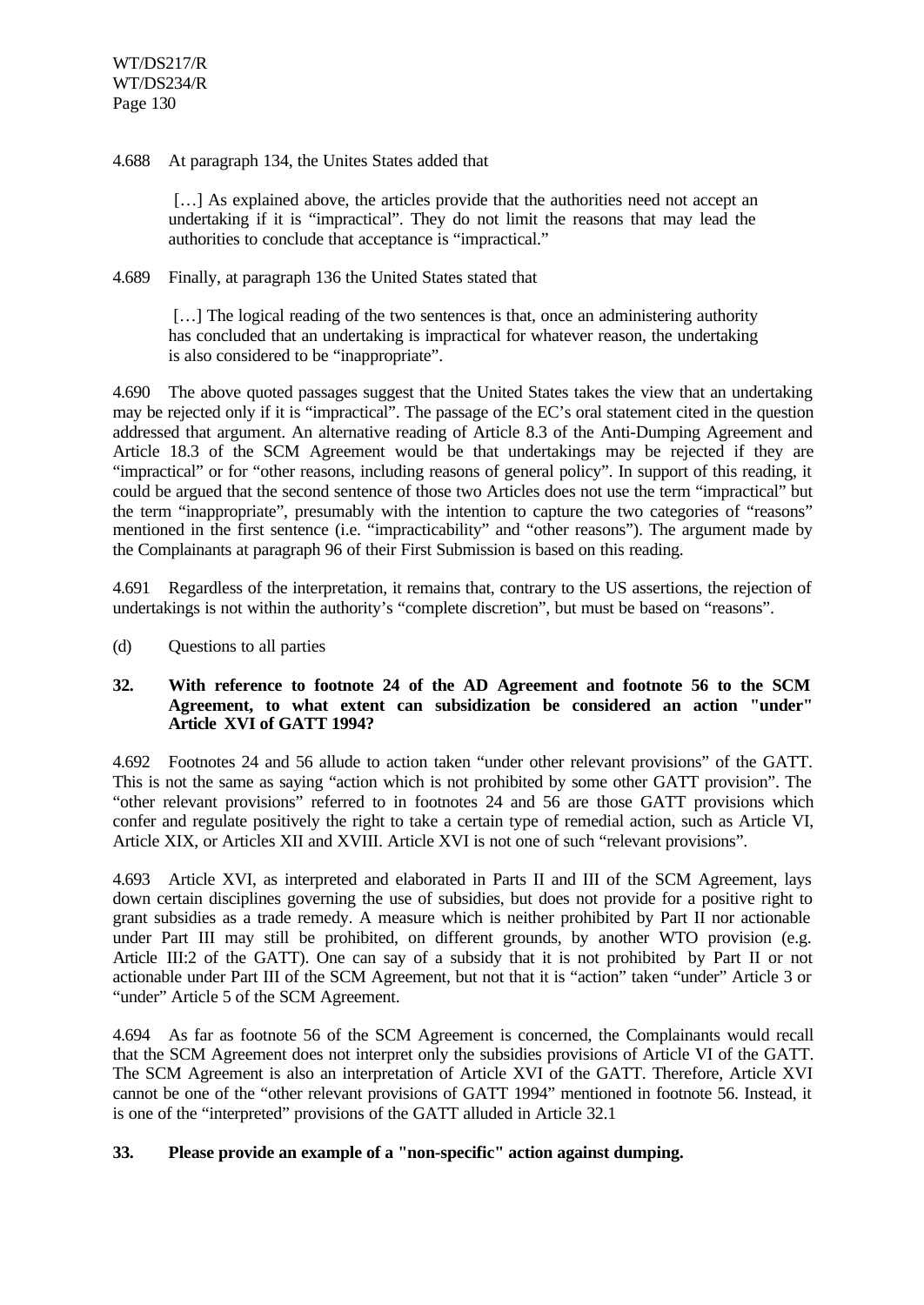4.688 At paragraph 134, the Unites States added that

[...] As explained above, the articles provide that the authorities need not accept an undertaking if it is "impractical". They do not limit the reasons that may lead the authorities to conclude that acceptance is "impractical."

## 4.689 Finally, at paragraph 136 the United States stated that

[...] The logical reading of the two sentences is that, once an administering authority has concluded that an undertaking is impractical for whatever reason, the undertaking is also considered to be "inappropriate".

4.690 The above quoted passages suggest that the United States takes the view that an undertaking may be rejected only if it is "impractical". The passage of the EC's oral statement cited in the question addressed that argument. An alternative reading of Article 8.3 of the Anti-Dumping Agreement and Article 18.3 of the SCM Agreement would be that undertakings may be rejected if they are "impractical" or for "other reasons, including reasons of general policy". In support of this reading, it could be argued that the second sentence of those two Articles does not use the term "impractical" but the term "inappropriate", presumably with the intention to capture the two categories of "reasons" mentioned in the first sentence (i.e. "impracticability" and "other reasons"). The argument made by the Complainants at paragraph 96 of their First Submission is based on this reading.

4.691 Regardless of the interpretation, it remains that, contrary to the US assertions, the rejection of undertakings is not within the authority's "complete discretion", but must be based on "reasons".

(d) Questions to all parties

### **32. With reference to footnote 24 of the AD Agreement and footnote 56 to the SCM Agreement, to what extent can subsidization be considered an action "under" Article XVI of GATT 1994?**

4.692 Footnotes 24 and 56 allude to action taken "under other relevant provisions" of the GATT. This is not the same as saying "action which is not prohibited by some other GATT provision". The "other relevant provisions" referred to in footnotes 24 and 56 are those GATT provisions which confer and regulate positively the right to take a certain type of remedial action, such as Article VI, Article XIX, or Articles XII and XVIII. Article XVI is not one of such "relevant provisions".

4.693 Article XVI, as interpreted and elaborated in Parts II and III of the SCM Agreement, lays down certain disciplines governing the use of subsidies, but does not provide for a positive right to grant subsidies as a trade remedy. A measure which is neither prohibited by Part II nor actionable under Part III may still be prohibited, on different grounds, by another WTO provision (e.g. Article III:2 of the GATT). One can say of a subsidy that it is not prohibited by Part II or not actionable under Part III of the SCM Agreement, but not that it is "action" taken "under" Article 3 or "under" Article 5 of the SCM Agreement.

4.694 As far as footnote 56 of the SCM Agreement is concerned, the Complainants would recall that the SCM Agreement does not interpret only the subsidies provisions of Article VI of the GATT. The SCM Agreement is also an interpretation of Article XVI of the GATT. Therefore, Article XVI cannot be one of the "other relevant provisions of GATT 1994" mentioned in footnote 56. Instead, it is one of the "interpreted" provisions of the GATT alluded in Article 32.1

# **33. Please provide an example of a "non-specific" action against dumping.**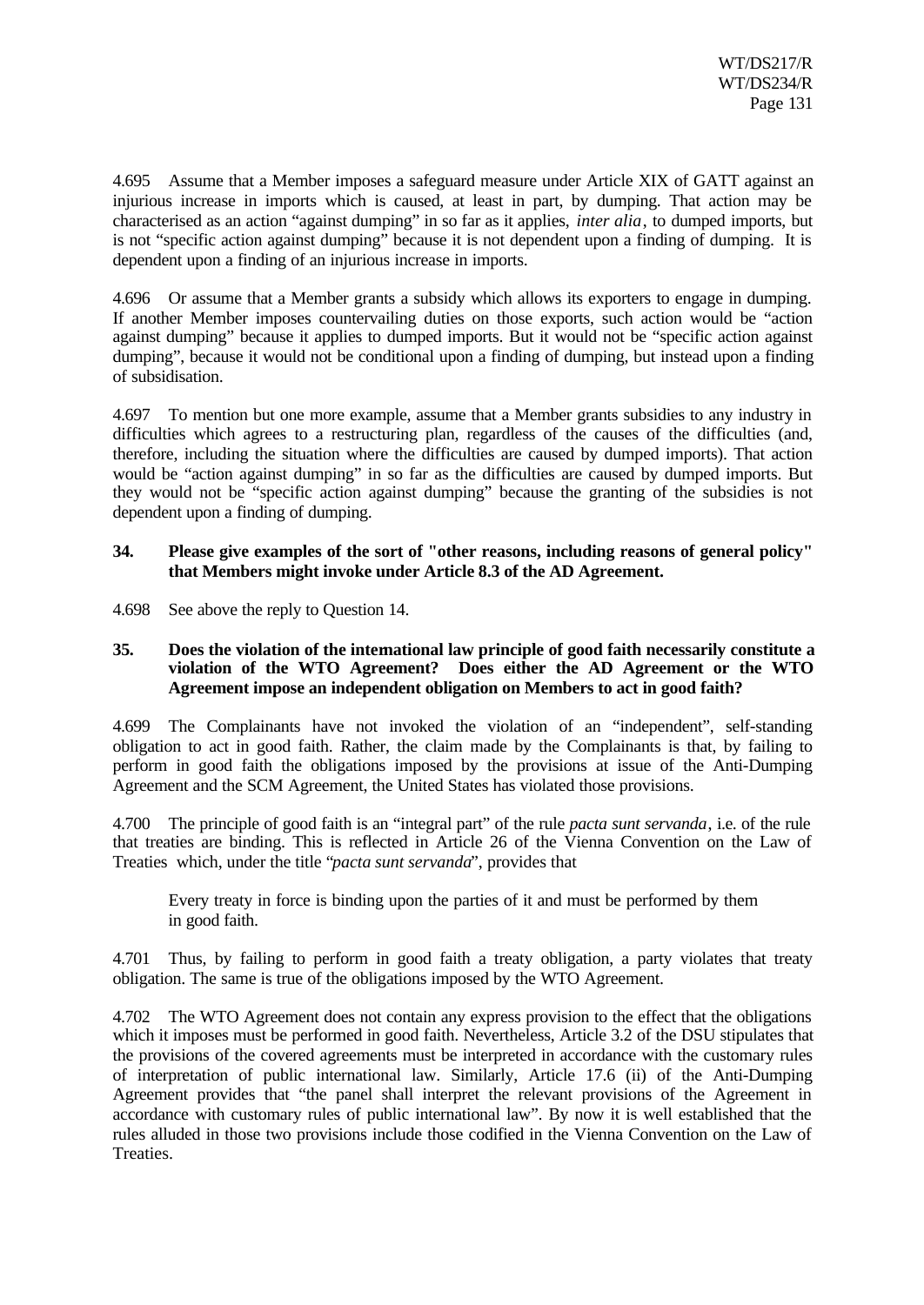4.695 Assume that a Member imposes a safeguard measure under Article XIX of GATT against an injurious increase in imports which is caused, at least in part, by dumping. That action may be characterised as an action "against dumping" in so far as it applies, *inter alia*, to dumped imports, but is not "specific action against dumping" because it is not dependent upon a finding of dumping. It is dependent upon a finding of an injurious increase in imports.

4.696 Or assume that a Member grants a subsidy which allows its exporters to engage in dumping. If another Member imposes countervailing duties on those exports, such action would be "action against dumping" because it applies to dumped imports. But it would not be "specific action against dumping", because it would not be conditional upon a finding of dumping, but instead upon a finding of subsidisation.

4.697 To mention but one more example, assume that a Member grants subsidies to any industry in difficulties which agrees to a restructuring plan, regardless of the causes of the difficulties (and, therefore, including the situation where the difficulties are caused by dumped imports). That action would be "action against dumping" in so far as the difficulties are caused by dumped imports. But they would not be "specific action against dumping" because the granting of the subsidies is not dependent upon a finding of dumping.

## **34. Please give examples of the sort of "other reasons, including reasons of general policy" that Members might invoke under Article 8.3 of the AD Agreement.**

4.698 See above the reply to Question 14.

### **35. Does the violation of the international law principle of good faith necessarily constitute a violation of the WTO Agreement? Does either the AD Agreement or the WTO Agreement impose an independent obligation on Members to act in good faith?**

4.699 The Complainants have not invoked the violation of an "independent", self-standing obligation to act in good faith. Rather, the claim made by the Complainants is that, by failing to perform in good faith the obligations imposed by the provisions at issue of the Anti-Dumping Agreement and the SCM Agreement, the United States has violated those provisions.

4.700 The principle of good faith is an "integral part" of the rule *pacta sunt servanda*, i.e. of the rule that treaties are binding. This is reflected in Article 26 of the Vienna Convention on the Law of Treaties which, under the title "*pacta sunt servanda*", provides that

Every treaty in force is binding upon the parties of it and must be performed by them in good faith.

4.701 Thus, by failing to perform in good faith a treaty obligation, a party violates that treaty obligation. The same is true of the obligations imposed by the WTO Agreement.

4.702 The WTO Agreement does not contain any express provision to the effect that the obligations which it imposes must be performed in good faith. Nevertheless, Article 3.2 of the DSU stipulates that the provisions of the covered agreements must be interpreted in accordance with the customary rules of interpretation of public international law. Similarly, Article 17.6 (ii) of the Anti-Dumping Agreement provides that "the panel shall interpret the relevant provisions of the Agreement in accordance with customary rules of public international law". By now it is well established that the rules alluded in those two provisions include those codified in the Vienna Convention on the Law of Treaties.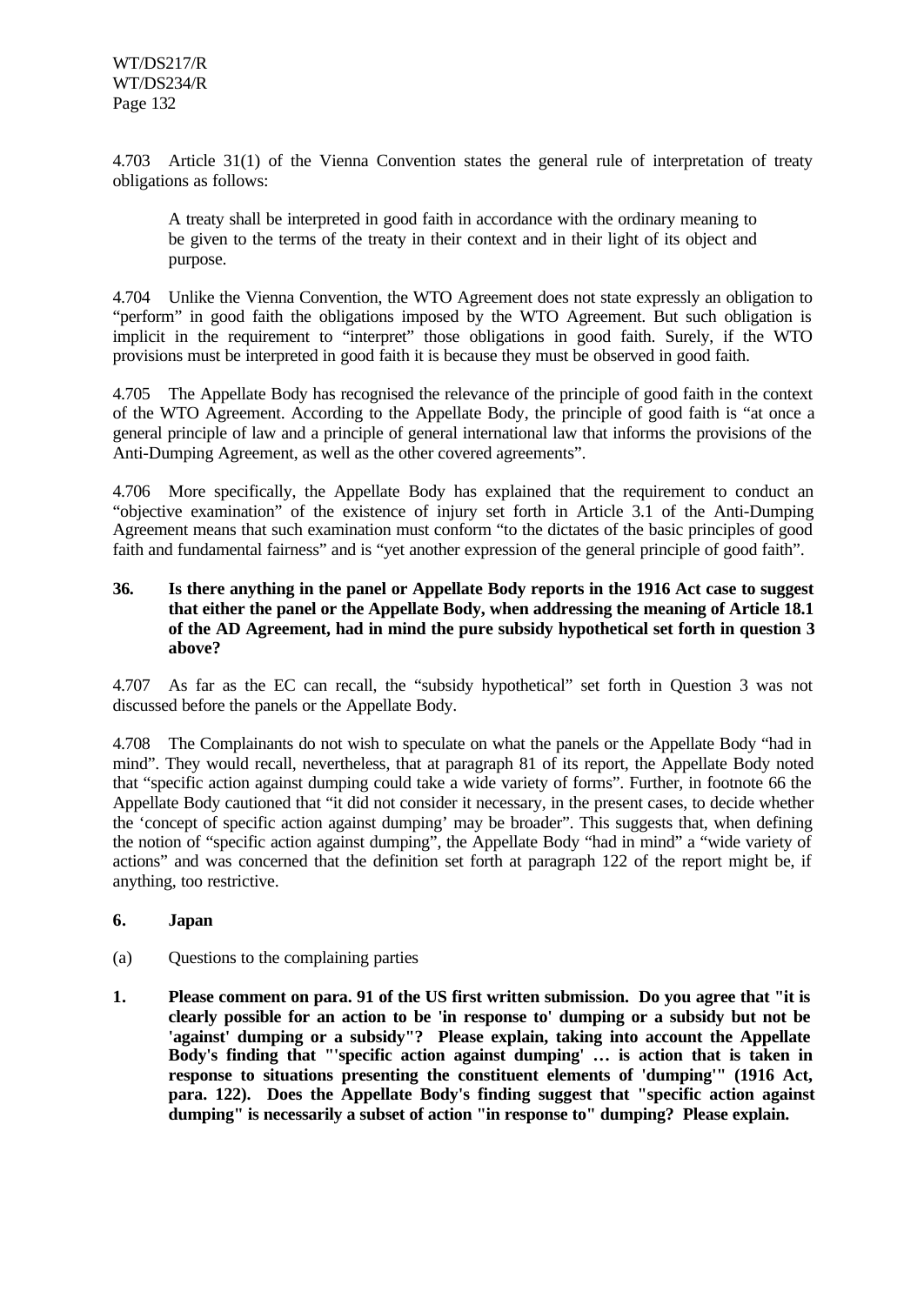4.703 Article 31(1) of the Vienna Convention states the general rule of interpretation of treaty obligations as follows:

A treaty shall be interpreted in good faith in accordance with the ordinary meaning to be given to the terms of the treaty in their context and in their light of its object and purpose.

4.704 Unlike the Vienna Convention, the WTO Agreement does not state expressly an obligation to "perform" in good faith the obligations imposed by the WTO Agreement. But such obligation is implicit in the requirement to "interpret" those obligations in good faith. Surely, if the WTO provisions must be interpreted in good faith it is because they must be observed in good faith.

4.705 The Appellate Body has recognised the relevance of the principle of good faith in the context of the WTO Agreement. According to the Appellate Body, the principle of good faith is "at once a general principle of law and a principle of general international law that informs the provisions of the Anti-Dumping Agreement, as well as the other covered agreements".

4.706 More specifically, the Appellate Body has explained that the requirement to conduct an "objective examination" of the existence of injury set forth in Article 3.1 of the Anti-Dumping Agreement means that such examination must conform "to the dictates of the basic principles of good faith and fundamental fairness" and is "yet another expression of the general principle of good faith".

### **36. Is there anything in the panel or Appellate Body reports in the 1916 Act case to suggest that either the panel or the Appellate Body, when addressing the meaning of Article 18.1 of the AD Agreement, had in mind the pure subsidy hypothetical set forth in question 3 above?**

4.707 As far as the EC can recall, the "subsidy hypothetical" set forth in Question 3 was not discussed before the panels or the Appellate Body.

4.708 The Complainants do not wish to speculate on what the panels or the Appellate Body "had in mind". They would recall, nevertheless, that at paragraph 81 of its report, the Appellate Body noted that "specific action against dumping could take a wide variety of forms". Further, in footnote 66 the Appellate Body cautioned that "it did not consider it necessary, in the present cases, to decide whether the 'concept of specific action against dumping' may be broader". This suggests that, when defining the notion of "specific action against dumping", the Appellate Body "had in mind" a "wide variety of actions" and was concerned that the definition set forth at paragraph 122 of the report might be, if anything, too restrictive.

# **6. Japan**

- (a) Questions to the complaining parties
- **1. Please comment on para. 91 of the US first written submission. Do you agree that "it is clearly possible for an action to be 'in response to' dumping or a subsidy but not be 'against' dumping or a subsidy"? Please explain, taking into account the Appellate Body's finding that "'specific action against dumping' … is action that is taken in response to situations presenting the constituent elements of 'dumping'" (1916 Act, para. 122). Does the Appellate Body's finding suggest that "specific action against dumping" is necessarily a subset of action "in response to" dumping? Please explain.**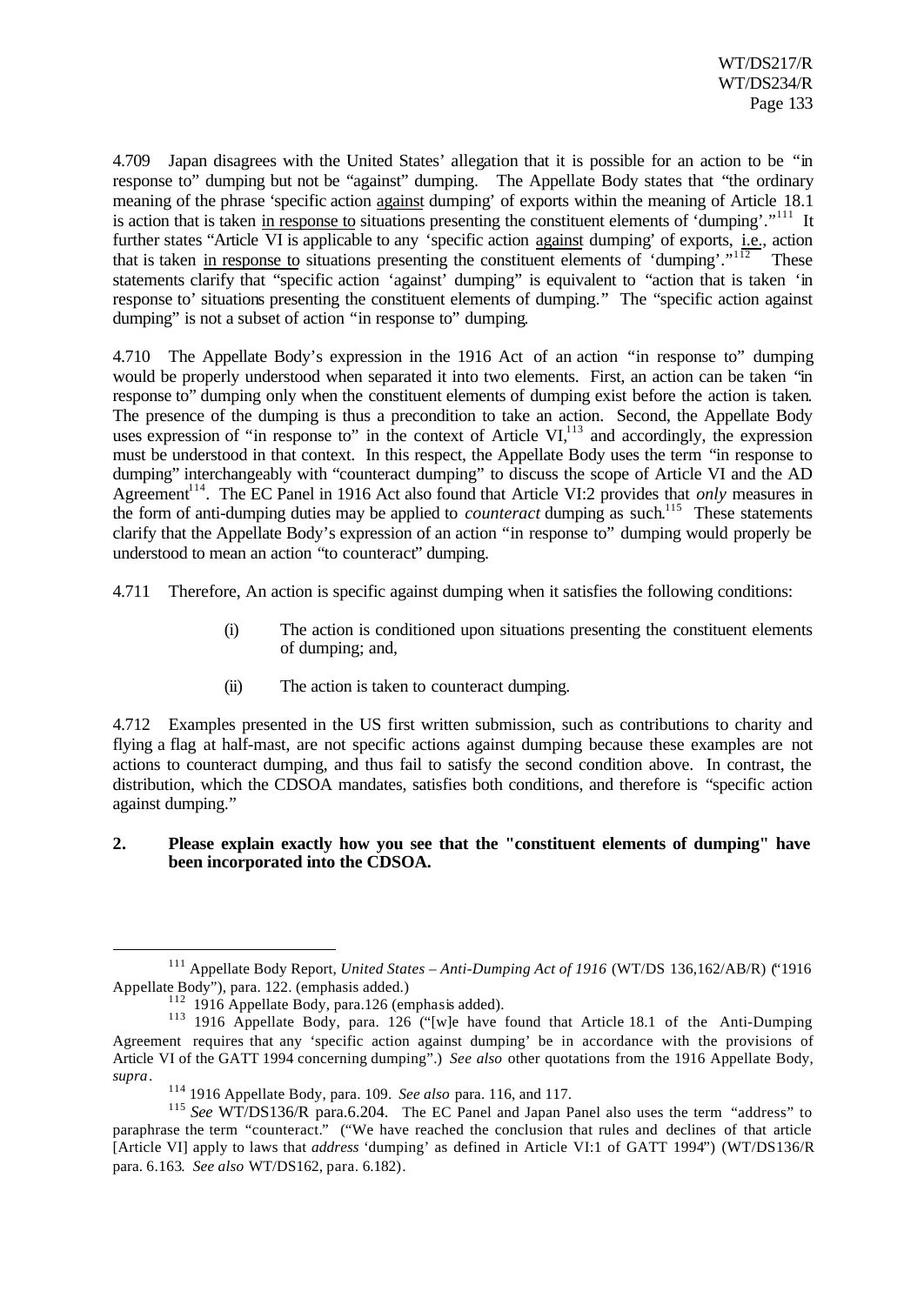4.709 Japan disagrees with the United States' allegation that it is possible for an action to be "in response to" dumping but not be "against" dumping. The Appellate Body states that "the ordinary meaning of the phrase 'specific action against dumping' of exports within the meaning of Article 18.1 is action that is taken in response to situations presenting the constituent elements of 'dumping'."<sup>111</sup> It further states "Article VI is applicable to any 'specific action against dumping' of exports, i.e., action that is taken in response to situations presenting the constituent elements of 'dumping'." $1\overline{12}$  $\frac{2}{\pi}$  These statements clarify that "specific action 'against' dumping" is equivalent to "action that is taken 'in response to' situations presenting the constituent elements of dumping." The "specific action against dumping" is not a subset of action "in response to" dumping.

4.710 The Appellate Body's expression in the 1916 Act of an action "in response to" dumping would be properly understood when separated it into two elements. First, an action can be taken "in response to" dumping only when the constituent elements of dumping exist before the action is taken. The presence of the dumping is thus a precondition to take an action. Second, the Appellate Body uses expression of "in response to" in the context of Article VI,<sup>113</sup> and accordingly, the expression must be understood in that context. In this respect, the Appellate Body uses the term "in response to dumping" interchangeably with "counteract dumping" to discuss the scope of Article VI and the AD Agreement<sup>114</sup>. The EC Panel in 1916 Act also found that Article VI:2 provides that *only* measures in the form of anti-dumping duties may be applied to *counteract* dumping as such. 115 These statements clarify that the Appellate Body's expression of an action "in response to" dumping would properly be understood to mean an action "to counteract" dumping.

4.711 Therefore, An action is specific against dumping when it satisfies the following conditions:

- (i) The action is conditioned upon situations presenting the constituent elements of dumping; and,
- (ii) The action is taken to counteract dumping.

4.712 Examples presented in the US first written submission, such as contributions to charity and flying a flag at half-mast, are not specific actions against dumping because these examples are not actions to counteract dumping, and thus fail to satisfy the second condition above. In contrast, the distribution, which the CDSOA mandates, satisfies both conditions, and therefore is "specific action against dumping."

#### **2. Please explain exactly how you see that the "constituent elements of dumping" have been incorporated into the CDSOA.**

l

<sup>111</sup> Appellate Body Report, *United States – Anti-Dumping Act of 1916* (WT/DS 136,162/AB/R) ("1916 Appellate Body"), para. 122. (emphasis added.)

<sup>&</sup>lt;sup>112</sup> 1916 Appellate Body, para.126 (emphasis added).

<sup>&</sup>lt;sup>113</sup> 1916 Appellate Body, para. 126 ("[w]e have found that Article 18.1 of the Anti-Dumping Agreement requires that any 'specific action against dumping' be in accordance with the provisions of Article VI of the GATT 1994 concerning dumping".) *See also* other quotations from the 1916 Appellate Body, *supra*.

<sup>114</sup> 1916 Appellate Body, para. 109. *See also* para. 116, and 117.

<sup>&</sup>lt;sup>115</sup> See WT/DS136/R para.6.204. The EC Panel and Japan Panel also uses the term "address" to paraphrase the term "counteract." ("We have reached the conclusion that rules and declines of that article [Article VI] apply to laws that *address* 'dumping' as defined in Article VI:1 of GATT 1994") (WT/DS136/R para. 6.163. *See also* WT/DS162, para. 6.182).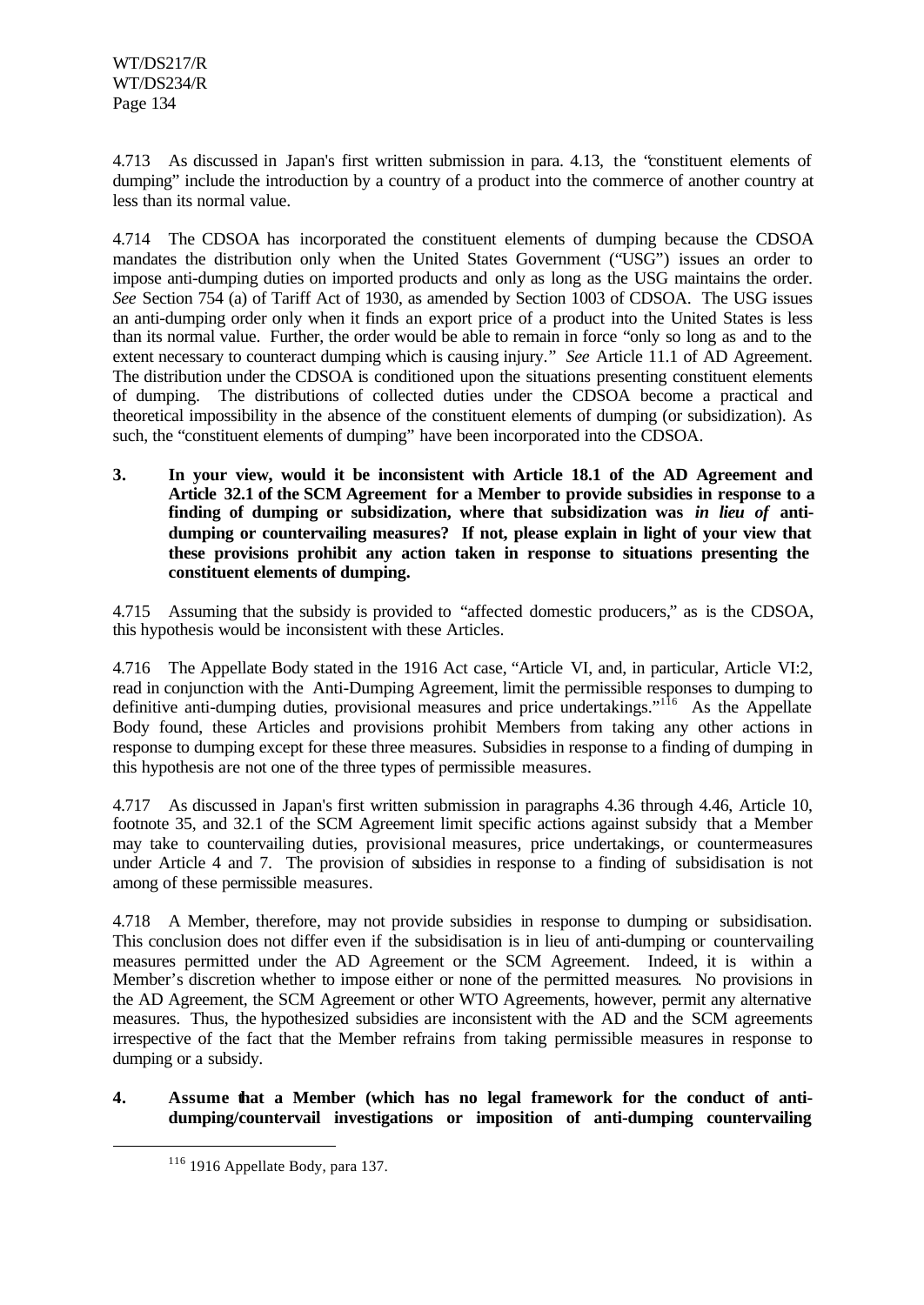4.713 As discussed in Japan's first written submission in para. 4.13, the "constituent elements of dumping" include the introduction by a country of a product into the commerce of another country at less than its normal value.

4.714 The CDSOA has incorporated the constituent elements of dumping because the CDSOA mandates the distribution only when the United States Government ("USG") issues an order to impose anti-dumping duties on imported products and only as long as the USG maintains the order. *See* Section 754 (a) of Tariff Act of 1930, as amended by Section 1003 of CDSOA. The USG issues an anti-dumping order only when it finds an export price of a product into the United States is less than its normal value. Further, the order would be able to remain in force "only so long as and to the extent necessary to counteract dumping which is causing injury." *See* Article 11.1 of AD Agreement. The distribution under the CDSOA is conditioned upon the situations presenting constituent elements of dumping. The distributions of collected duties under the CDSOA become a practical and theoretical impossibility in the absence of the constituent elements of dumping (or subsidization). As such, the "constituent elements of dumping" have been incorporated into the CDSOA.

**3. In your view, would it be inconsistent with Article 18.1 of the AD Agreement and Article 32.1 of the SCM Agreement for a Member to provide subsidies in response to a finding of dumping or subsidization, where that subsidization was** *in lieu of* **antidumping or countervailing measures? If not, please explain in light of your view that these provisions prohibit any action taken in response to situations presenting the constituent elements of dumping.**

4.715 Assuming that the subsidy is provided to "affected domestic producers," as is the CDSOA, this hypothesis would be inconsistent with these Articles.

4.716 The Appellate Body stated in the 1916 Act case, "Article VI, and, in particular, Article VI:2, read in conjunction with the Anti-Dumping Agreement, limit the permissible responses to dumping to definitive anti-dumping duties, provisional measures and price undertakings."<sup>116</sup> As the Appellate Body found, these Articles and provisions prohibit Members from taking any other actions in response to dumping except for these three measures. Subsidies in response to a finding of dumping in this hypothesis are not one of the three types of permissible measures.

4.717 As discussed in Japan's first written submission in paragraphs 4.36 through 4.46, Article 10, footnote 35, and 32.1 of the SCM Agreement limit specific actions against subsidy that a Member may take to countervailing duties, provisional measures, price undertakings, or countermeasures under Article 4 and 7. The provision of subsidies in response to a finding of subsidisation is not among of these permissible measures.

4.718 A Member, therefore, may not provide subsidies in response to dumping or subsidisation. This conclusion does not differ even if the subsidisation is in lieu of anti-dumping or countervailing measures permitted under the AD Agreement or the SCM Agreement. Indeed, it is within a Member's discretion whether to impose either or none of the permitted measures. No provisions in the AD Agreement, the SCM Agreement or other WTO Agreements, however, permit any alternative measures. Thus, the hypothesized subsidies are inconsistent with the AD and the SCM agreements irrespective of the fact that the Member refrains from taking permissible measures in response to dumping or a subsidy.

**4. Assume that a Member (which has no legal framework for the conduct of antidumping/countervail investigations or imposition of anti-dumping countervailing**

l

<sup>116</sup> 1916 Appellate Body, para 137.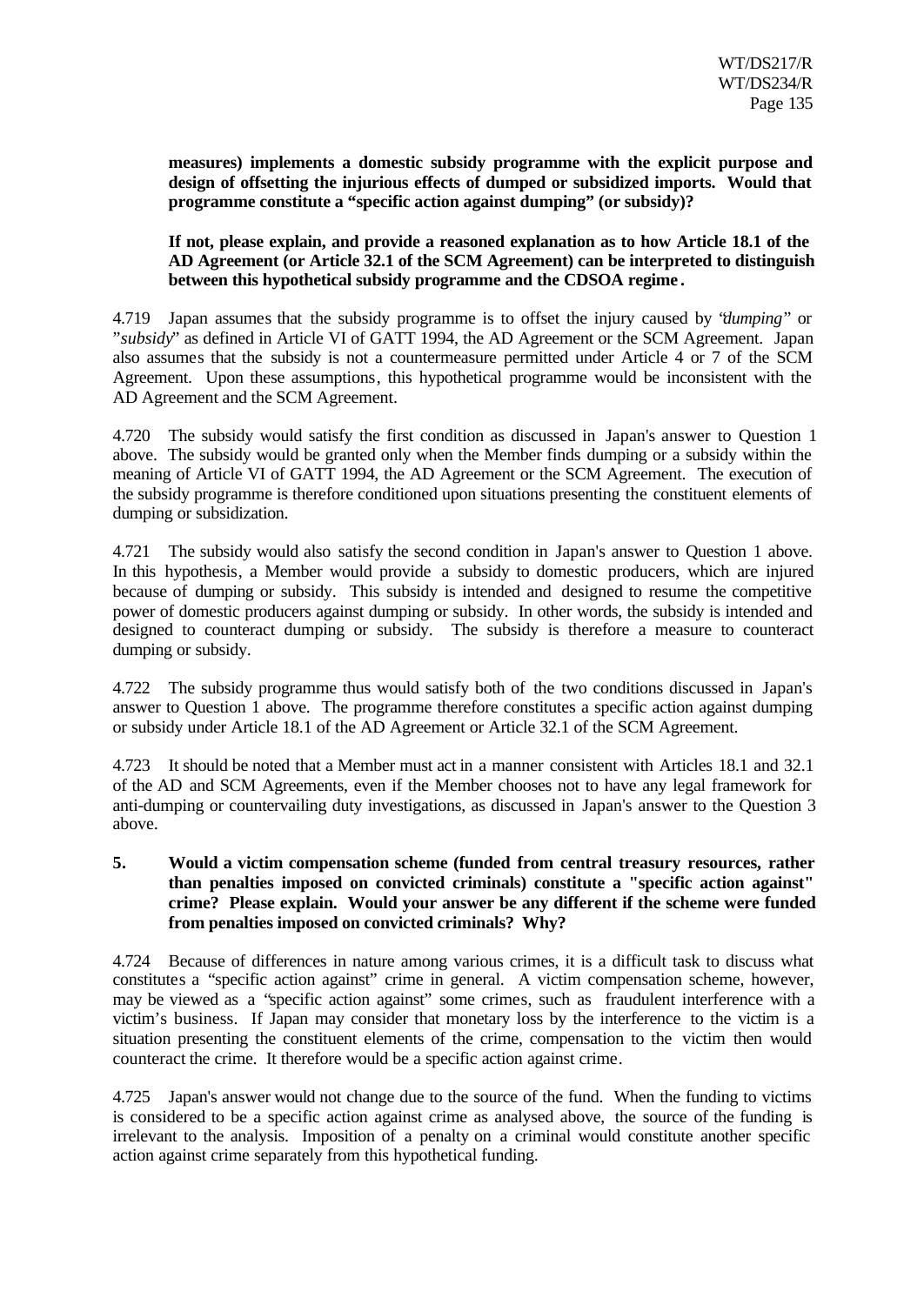**measures) implements a domestic subsidy programme with the explicit purpose and design of offsetting the injurious effects of dumped or subsidized imports. Would that programme constitute a "specific action against dumping" (or subsidy)?**

#### **If not, please explain, and provide a reasoned explanation as to how Article 18.1 of the AD Agreement (or Article 32.1 of the SCM Agreement) can be interpreted to distinguish between this hypothetical subsidy programme and the CDSOA regime** *.*

4.719 Japan assumes that the subsidy programme is to offset the injury caused by "*dumping*" or "*subsidy*" as defined in Article VI of GATT 1994, the AD Agreement or the SCM Agreement. Japan also assumes that the subsidy is not a countermeasure permitted under Article 4 or 7 of the SCM Agreement. Upon these assumptions, this hypothetical programme would be inconsistent with the AD Agreement and the SCM Agreement.

4.720 The subsidy would satisfy the first condition as discussed in Japan's answer to Question 1 above. The subsidy would be granted only when the Member finds dumping or a subsidy within the meaning of Article VI of GATT 1994, the AD Agreement or the SCM Agreement. The execution of the subsidy programme is therefore conditioned upon situations presenting the constituent elements of dumping or subsidization.

4.721 The subsidy would also satisfy the second condition in Japan's answer to Question 1 above. In this hypothesis, a Member would provide a subsidy to domestic producers, which are injured because of dumping or subsidy. This subsidy is intended and designed to resume the competitive power of domestic producers against dumping or subsidy. In other words, the subsidy is intended and designed to counteract dumping or subsidy. The subsidy is therefore a measure to counteract dumping or subsidy.

4.722 The subsidy programme thus would satisfy both of the two conditions discussed in Japan's answer to Question 1 above. The programme therefore constitutes a specific action against dumping or subsidy under Article 18.1 of the AD Agreement or Article 32.1 of the SCM Agreement.

4.723 It should be noted that a Member must act in a manner consistent with Articles 18.1 and 32.1 of the AD and SCM Agreements, even if the Member chooses not to have any legal framework for anti-dumping or countervailing duty investigations, as discussed in Japan's answer to the Question 3 above.

## **5. Would a victim compensation scheme (funded from central treasury resources, rather than penalties imposed on convicted criminals) constitute a "specific action against" crime? Please explain. Would your answer be any different if the scheme were funded from penalties imposed on convicted criminals? Why?**

4.724 Because of differences in nature among various crimes, it is a difficult task to discuss what constitutes a "specific action against" crime in general. A victim compensation scheme, however, may be viewed as a "specific action against" some crimes, such as fraudulent interference with a victim's business. If Japan may consider that monetary loss by the interference to the victim is a situation presenting the constituent elements of the crime, compensation to the victim then would counteract the crime. It therefore would be a specific action against crime.

4.725 Japan's answer would not change due to the source of the fund. When the funding to victims is considered to be a specific action against crime as analysed above, the source of the funding is irrelevant to the analysis. Imposition of a penalty on a criminal would constitute another specific action against crime separately from this hypothetical funding.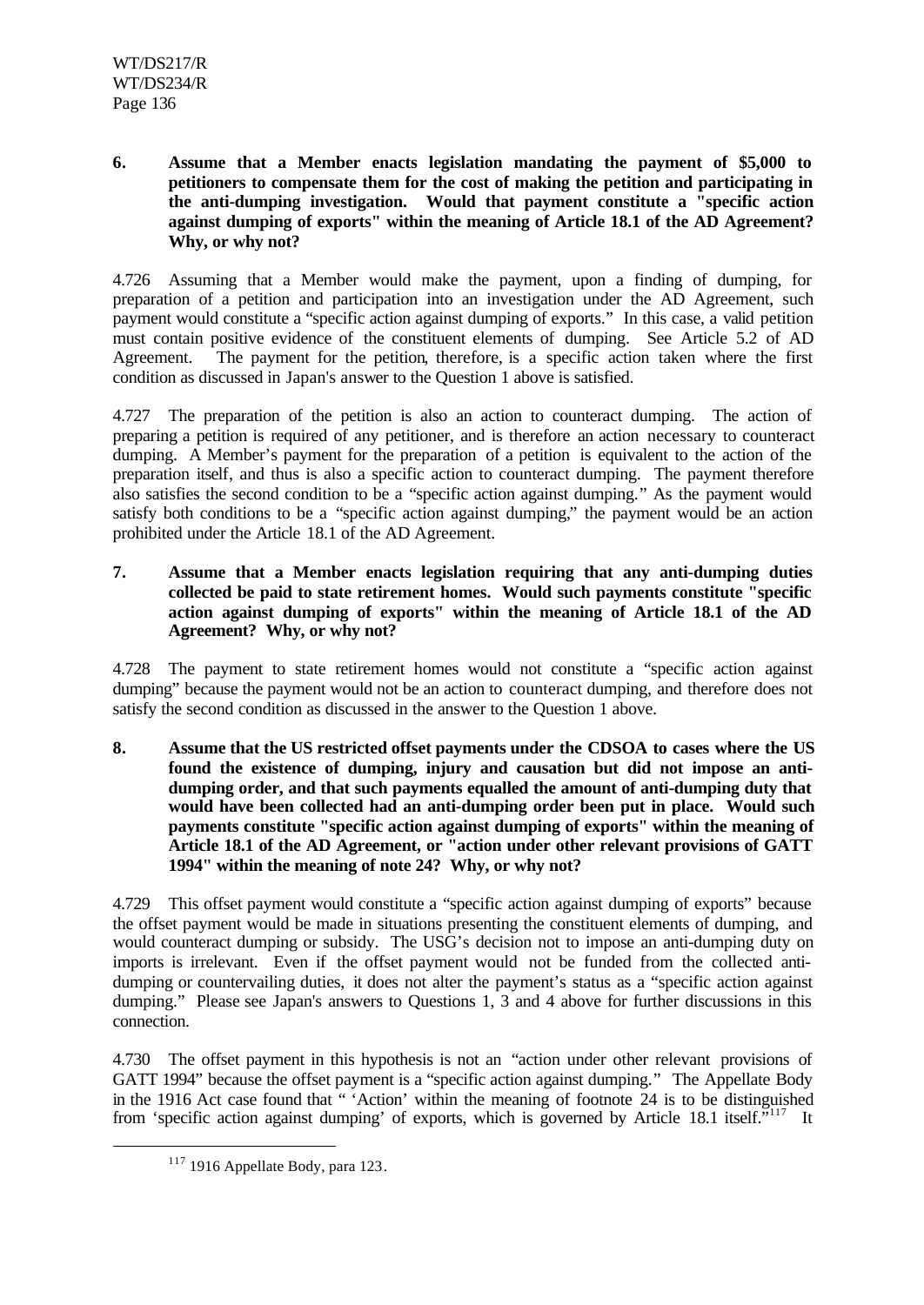# **6. Assume that a Member enacts legislation mandating the payment of \$5,000 to petitioners to compensate them for the cost of making the petition and participating in the anti-dumping investigation. Would that payment constitute a "specific action against dumping of exports" within the meaning of Article 18.1 of the AD Agreement? Why, or why not?**

4.726 Assuming that a Member would make the payment, upon a finding of dumping, for preparation of a petition and participation into an investigation under the AD Agreement, such payment would constitute a "specific action against dumping of exports." In this case, a valid petition must contain positive evidence of the constituent elements of dumping. See Article 5.2 of AD Agreement. The payment for the petition, therefore, is a specific action taken where the first condition as discussed in Japan's answer to the Question 1 above is satisfied.

4.727 The preparation of the petition is also an action to counteract dumping. The action of preparing a petition is required of any petitioner, and is therefore an action necessary to counteract dumping. A Member's payment for the preparation of a petition is equivalent to the action of the preparation itself, and thus is also a specific action to counteract dumping. The payment therefore also satisfies the second condition to be a "specific action against dumping." As the payment would satisfy both conditions to be a "specific action against dumping," the payment would be an action prohibited under the Article 18.1 of the AD Agreement.

## **7. Assume that a Member enacts legislation requiring that any anti-dumping duties collected be paid to state retirement homes. Would such payments constitute "specific action against dumping of exports" within the meaning of Article 18.1 of the AD Agreement? Why, or why not?**

4.728 The payment to state retirement homes would not constitute a "specific action against dumping" because the payment would not be an action to counteract dumping, and therefore does not satisfy the second condition as discussed in the answer to the Question 1 above.

**8. Assume that the US restricted offset payments under the CDSOA to cases where the US found the existence of dumping, injury and causation but did not impose an antidumping order, and that such payments equalled the amount of anti-dumping duty that would have been collected had an anti-dumping order been put in place. Would such payments constitute "specific action against dumping of exports" within the meaning of Article 18.1 of the AD Agreement, or "action under other relevant provisions of GATT 1994" within the meaning of note 24? Why, or why not?**

4.729 This offset payment would constitute a "specific action against dumping of exports" because the offset payment would be made in situations presenting the constituent elements of dumping, and would counteract dumping or subsidy. The USG's decision not to impose an anti-dumping duty on imports is irrelevant. Even if the offset payment would not be funded from the collected antidumping or countervailing duties, it does not alter the payment's status as a "specific action against dumping." Please see Japan's answers to Questions 1, 3 and 4 above for further discussions in this connection.

4.730 The offset payment in this hypothesis is not an "action under other relevant provisions of GATT 1994" because the offset payment is a "specific action against dumping." The Appellate Body in the 1916 Act case found that " 'Action' within the meaning of footnote 24 is to be distinguished from 'specific action against dumping' of exports, which is governed by Article 18.1 itself."<sup>117</sup> It

l

 $117$  1916 Appellate Body, para 123.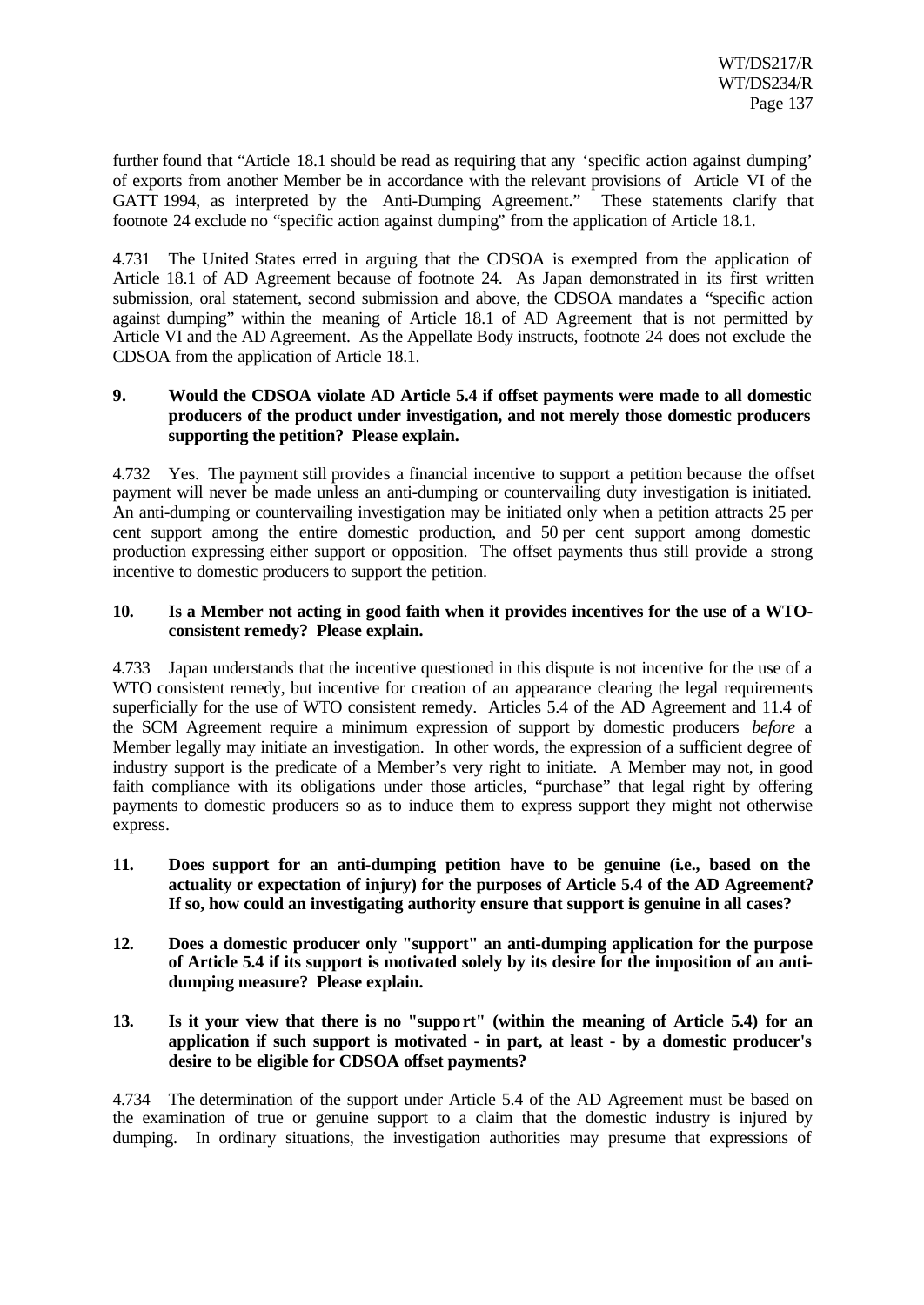further found that "Article 18.1 should be read as requiring that any 'specific action against dumping' of exports from another Member be in accordance with the relevant provisions of Article VI of the GATT 1994, as interpreted by the Anti-Dumping Agreement." These statements clarify that footnote 24 exclude no "specific action against dumping" from the application of Article 18.1.

4.731 The United States erred in arguing that the CDSOA is exempted from the application of Article 18.1 of AD Agreement because of footnote 24. As Japan demonstrated in its first written submission, oral statement, second submission and above, the CDSOA mandates a "specific action against dumping" within the meaning of Article 18.1 of AD Agreement that is not permitted by Article VI and the AD Agreement. As the Appellate Body instructs, footnote 24 does not exclude the CDSOA from the application of Article 18.1.

### **9. Would the CDSOA violate AD Article 5.4 if offset payments were made to all domestic producers of the product under investigation, and not merely those domestic producers supporting the petition? Please explain.**

4.732 Yes. The payment still provides a financial incentive to support a petition because the offset payment will never be made unless an anti-dumping or countervailing duty investigation is initiated. An anti-dumping or countervailing investigation may be initiated only when a petition attracts 25 per cent support among the entire domestic production, and 50 per cent support among domestic production expressing either support or opposition. The offset payments thus still provide a strong incentive to domestic producers to support the petition.

## **10. Is a Member not acting in good faith when it provides incentives for the use of a WTOconsistent remedy? Please explain.**

4.733 Japan understands that the incentive questioned in this dispute is not incentive for the use of a WTO consistent remedy, but incentive for creation of an appearance clearing the legal requirements superficially for the use of WTO consistent remedy. Articles 5.4 of the AD Agreement and 11.4 of the SCM Agreement require a minimum expression of support by domestic producers *before* a Member legally may initiate an investigation. In other words, the expression of a sufficient degree of industry support is the predicate of a Member's very right to initiate. A Member may not, in good faith compliance with its obligations under those articles, "purchase" that legal right by offering payments to domestic producers so as to induce them to express support they might not otherwise express.

- **11. Does support for an anti-dumping petition have to be genuine (i.e., based on the actuality or expectation of injury) for the purposes of Article 5.4 of the AD Agreement? If so, how could an investigating authority ensure that support is genuine in all cases?**
- **12. Does a domestic producer only "support" an anti-dumping application for the purpose of Article 5.4 if its support is motivated solely by its desire for the imposition of an antidumping measure? Please explain.**
- **13. Is it your view that there is no "support" (within the meaning of Article 5.4) for an application if such support is motivated - in part, at least - by a domestic producer's desire to be eligible for CDSOA offset payments?**

4.734 The determination of the support under Article 5.4 of the AD Agreement must be based on the examination of true or genuine support to a claim that the domestic industry is injured by dumping. In ordinary situations, the investigation authorities may presume that expressions of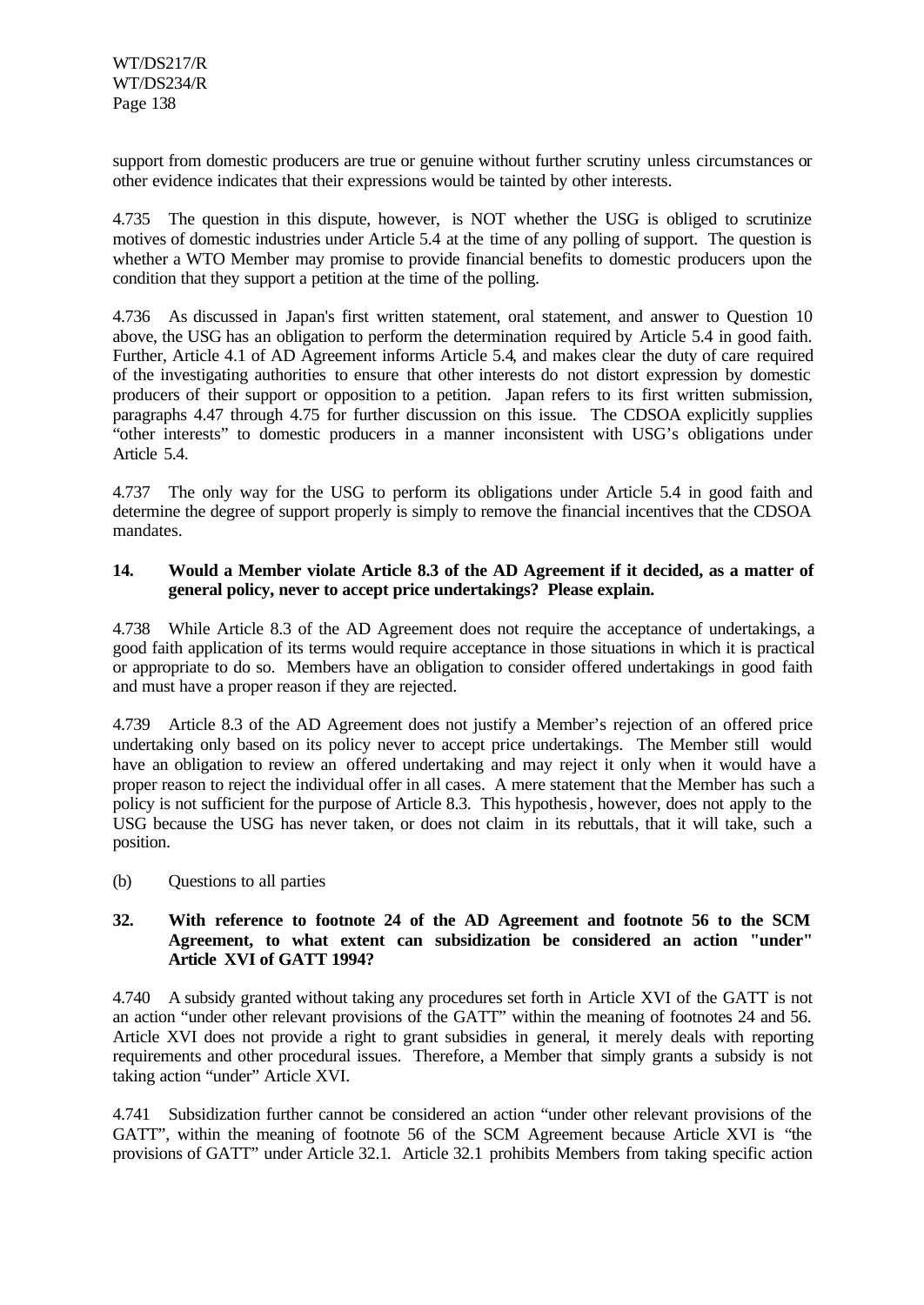support from domestic producers are true or genuine without further scrutiny unless circumstances or other evidence indicates that their expressions would be tainted by other interests.

4.735 The question in this dispute, however, is NOT whether the USG is obliged to scrutinize motives of domestic industries under Article 5.4 at the time of any polling of support. The question is whether a WTO Member may promise to provide financial benefits to domestic producers upon the condition that they support a petition at the time of the polling.

4.736 As discussed in Japan's first written statement, oral statement, and answer to Question 10 above, the USG has an obligation to perform the determination required by Article 5.4 in good faith. Further, Article 4.1 of AD Agreement informs Article 5.4, and makes clear the duty of care required of the investigating authorities to ensure that other interests do not distort expression by domestic producers of their support or opposition to a petition. Japan refers to its first written submission, paragraphs 4.47 through 4.75 for further discussion on this issue. The CDSOA explicitly supplies "other interests" to domestic producers in a manner inconsistent with USG's obligations under Article 5.4.

4.737 The only way for the USG to perform its obligations under Article 5.4 in good faith and determine the degree of support properly is simply to remove the financial incentives that the CDSOA mandates.

### **14. Would a Member violate Article 8.3 of the AD Agreement if it decided, as a matter of general policy, never to accept price undertakings? Please explain.**

4.738 While Article 8.3 of the AD Agreement does not require the acceptance of undertakings, a good faith application of its terms would require acceptance in those situations in which it is practical or appropriate to do so. Members have an obligation to consider offered undertakings in good faith and must have a proper reason if they are rejected.

4.739 Article 8.3 of the AD Agreement does not justify a Member's rejection of an offered price undertaking only based on its policy never to accept price undertakings. The Member still would have an obligation to review an offered undertaking and may reject it only when it would have a proper reason to reject the individual offer in all cases. A mere statement that the Member has such a policy is not sufficient for the purpose of Article 8.3. This hypothesis, however, does not apply to the USG because the USG has never taken, or does not claim in its rebuttals, that it will take, such a position.

(b) Questions to all parties

## **32. With reference to footnote 24 of the AD Agreement and footnote 56 to the SCM Agreement, to what extent can subsidization be considered an action "under" Article XVI of GATT 1994?**

4.740 A subsidy granted without taking any procedures set forth in Article XVI of the GATT is not an action "under other relevant provisions of the GATT" within the meaning of footnotes 24 and 56. Article XVI does not provide a right to grant subsidies in general, it merely deals with reporting requirements and other procedural issues. Therefore, a Member that simply grants a subsidy is not taking action "under" Article XVI.

4.741 Subsidization further cannot be considered an action "under other relevant provisions of the GATT", within the meaning of footnote 56 of the SCM Agreement because Article XVI is "the provisions of GATT" under Article 32.1. Article 32.1 prohibits Members from taking specific action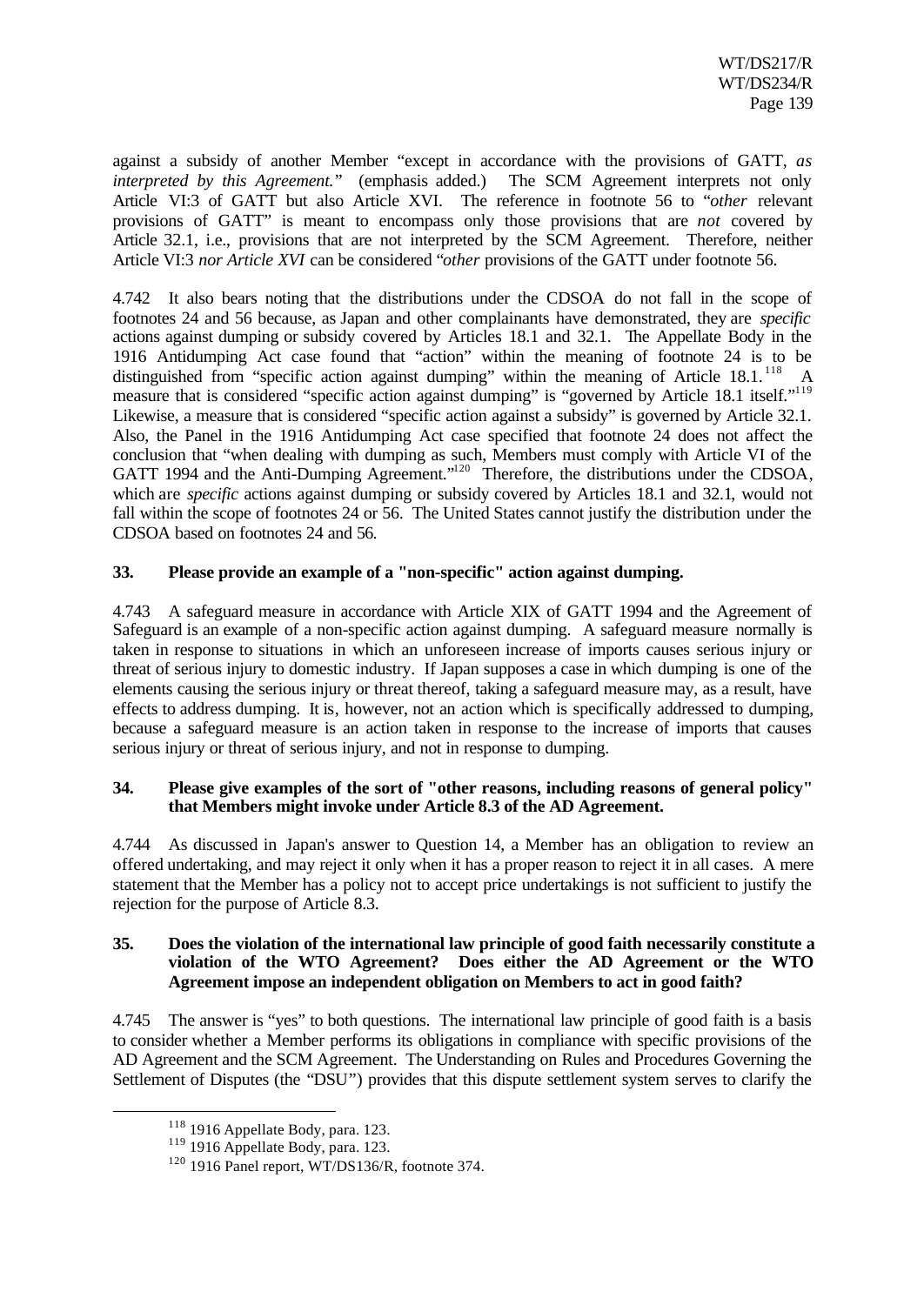against a subsidy of another Member "except in accordance with the provisions of GATT, *as interpreted by this Agreement.*" (emphasis added.) The SCM Agreement interprets not only Article VI:3 of GATT but also Article XVI. The reference in footnote 56 to "*other* relevant provisions of GATT" is meant to encompass only those provisions that are *not* covered by Article 32.1, i.e., provisions that are not interpreted by the SCM Agreement. Therefore, neither Article VI:3 *nor Article XVI* can be considered "*other* provisions of the GATT under footnote 56.

4.742 It also bears noting that the distributions under the CDSOA do not fall in the scope of footnotes 24 and 56 because, as Japan and other complainants have demonstrated, they are *specific* actions against dumping or subsidy covered by Articles 18.1 and 32.1. The Appellate Body in the 1916 Antidumping Act case found that "action" within the meaning of footnote 24 is to be distinguished from "specific action against dumping" within the meaning of Article  $18.1$ .<sup>118</sup> A measure that is considered "specific action against dumping" is "governed by Article 18.1 itself."<sup>119</sup> Likewise, a measure that is considered "specific action against a subsidy" is governed by Article 32.1. Also, the Panel in the 1916 Antidumping Act case specified that footnote 24 does not affect the conclusion that "when dealing with dumping as such, Members must comply with Article VI of the GATT 1994 and the Anti-Dumping Agreement."<sup>120</sup> Therefore, the distributions under the CDSOA, which are *specific* actions against dumping or subsidy covered by Articles 18.1 and 32.1, would not fall within the scope of footnotes 24 or 56. The United States cannot justify the distribution under the CDSOA based on footnotes 24 and 56.

# **33. Please provide an example of a "non-specific" action against dumping.**

4.743 A safeguard measure in accordance with Article XIX of GATT 1994 and the Agreement of Safeguard is an example of a non-specific action against dumping. A safeguard measure normally is taken in response to situations in which an unforeseen increase of imports causes serious injury or threat of serious injury to domestic industry. If Japan supposes a case in which dumping is one of the elements causing the serious injury or threat thereof, taking a safeguard measure may, as a result, have effects to address dumping. It is, however, not an action which is specifically addressed to dumping, because a safeguard measure is an action taken in response to the increase of imports that causes serious injury or threat of serious injury, and not in response to dumping.

#### **34. Please give examples of the sort of "other reasons, including reasons of general policy" that Members might invoke under Article 8.3 of the AD Agreement.**

4.744 As discussed in Japan's answer to Question 14, a Member has an obligation to review an offered undertaking, and may reject it only when it has a proper reason to reject it in all cases. A mere statement that the Member has a policy not to accept price undertakings is not sufficient to justify the rejection for the purpose of Article 8.3.

## **35. Does the violation of the international law principle of good faith necessarily constitute a violation of the WTO Agreement? Does either the AD Agreement or the WTO Agreement impose an independent obligation on Members to act in good faith?**

4.745 The answer is "yes" to both questions. The international law principle of good faith is a basis to consider whether a Member performs its obligations in compliance with specific provisions of the AD Agreement and the SCM Agreement. The Understanding on Rules and Procedures Governing the Settlement of Disputes (the "DSU") provides that this dispute settlement system serves to clarify the

<sup>118</sup> 1916 Appellate Body, para. 123.

<sup>&</sup>lt;sup>119</sup> 1916 Appellate Body, para. 123.

<sup>120</sup> 1916 Panel report, WT/DS136/R, footnote 374.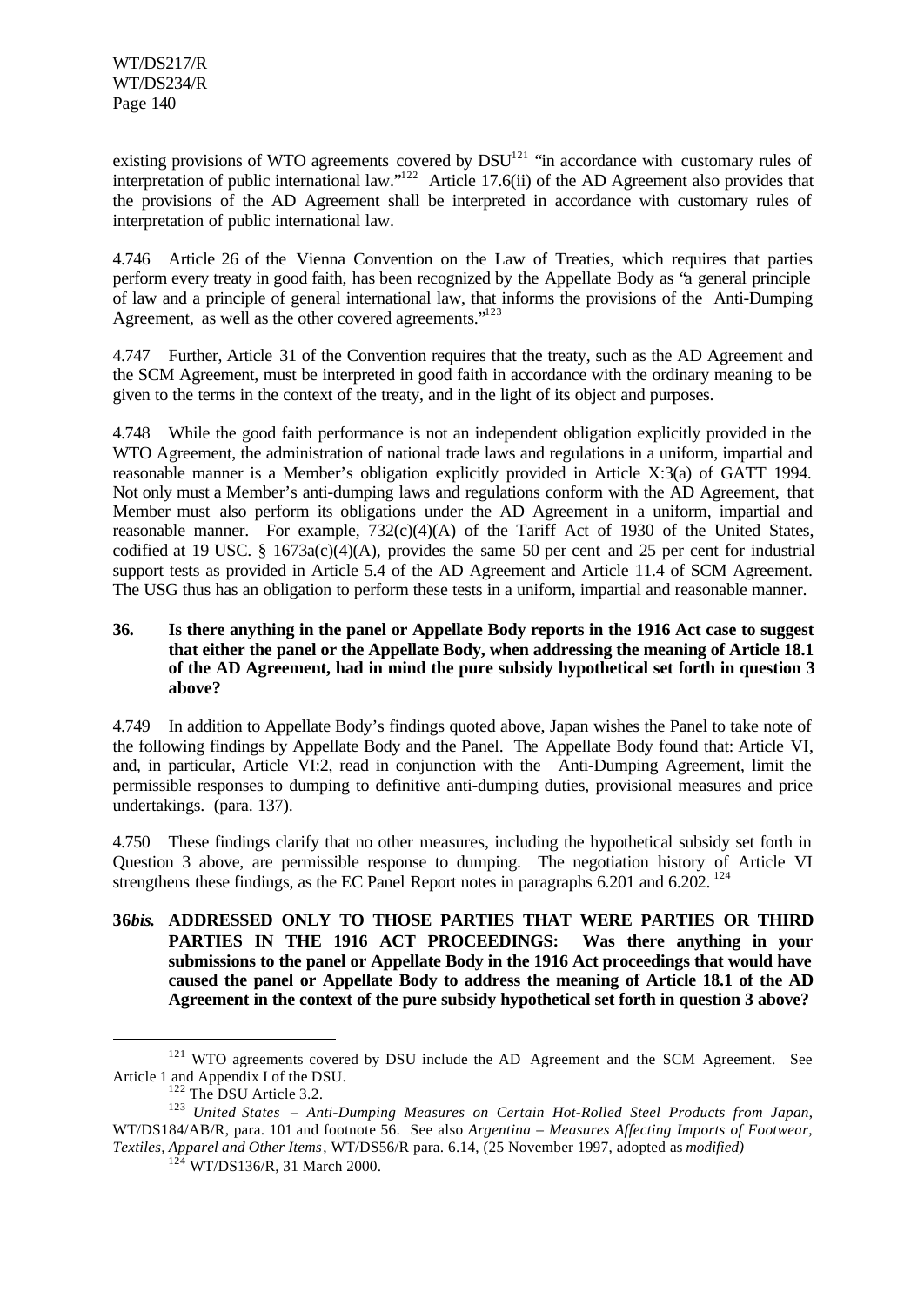existing provisions of WTO agreements covered by  $DSU<sup>121</sup>$  "in accordance with customary rules of interpretation of public international law."<sup>122</sup> Article 17.6(ii) of the AD Agreement also provides that the provisions of the AD Agreement shall be interpreted in accordance with customary rules of interpretation of public international law.

4.746 Article 26 of the Vienna Convention on the Law of Treaties, which requires that parties perform every treaty in good faith, has been recognized by the Appellate Body as "a general principle of law and a principle of general international law, that informs the provisions of the Anti-Dumping Agreement, as well as the other covered agreements."<sup>123</sup>

4.747 Further, Article 31 of the Convention requires that the treaty, such as the AD Agreement and the SCM Agreement, must be interpreted in good faith in accordance with the ordinary meaning to be given to the terms in the context of the treaty, and in the light of its object and purposes.

4.748 While the good faith performance is not an independent obligation explicitly provided in the WTO Agreement, the administration of national trade laws and regulations in a uniform, impartial and reasonable manner is a Member's obligation explicitly provided in Article X:3(a) of GATT 1994. Not only must a Member's anti-dumping laws and regulations conform with the AD Agreement, that Member must also perform its obligations under the AD Agreement in a uniform, impartial and reasonable manner. For example, 732(c)(4)(A) of the Tariff Act of 1930 of the United States, codified at 19 USC. § 1673a(c)(4)(A), provides the same 50 per cent and 25 per cent for industrial support tests as provided in Article 5.4 of the AD Agreement and Article 11.4 of SCM Agreement. The USG thus has an obligation to perform these tests in a uniform, impartial and reasonable manner.

## **36. Is there anything in the panel or Appellate Body reports in the 1916 Act case to suggest that either the panel or the Appellate Body, when addressing the meaning of Article 18.1 of the AD Agreement, had in mind the pure subsidy hypothetical set forth in question 3 above?**

4.749 In addition to Appellate Body's findings quoted above, Japan wishes the Panel to take note of the following findings by Appellate Body and the Panel. The Appellate Body found that: Article VI, and, in particular, Article VI:2, read in conjunction with the Anti-Dumping Agreement, limit the permissible responses to dumping to definitive anti-dumping duties, provisional measures and price undertakings. (para. 137).

4.750 These findings clarify that no other measures, including the hypothetical subsidy set forth in Question 3 above, are permissible response to dumping. The negotiation history of Article VI strengthens these findings, as the EC Panel Report notes in paragraphs  $6.201$  and  $6.202$ . <sup>124</sup>

**36***bis***. ADDRESSED ONLY TO THOSE PARTIES THAT WERE PARTIES OR THIRD PARTIES IN THE 1916 ACT PROCEEDINGS: Was there anything in your submissions to the panel or Appellate Body in the 1916 Act proceedings that would have caused the panel or Appellate Body to address the meaning of Article 18.1 of the AD Agreement in the context of the pure subsidy hypothetical set forth in question 3 above?**

<sup>&</sup>lt;sup>121</sup> WTO agreements covered by DSU include the AD Agreement and the SCM Agreement. See Article 1 and Appendix I of the DSU.

<sup>&</sup>lt;sup>122</sup> The DSU Article 3.2.

<sup>123</sup> *United States – Anti-Dumping Measures on Certain Hot-Rolled Steel Products from Japan*, WT/DS184/AB/R, para. 101 and footnote 56. See also *Argentina – Measures Affecting Imports of Footwear, Textiles, Apparel and Other Items*, WT/DS56/R para. 6.14, (25 November 1997, adopted as *modified)*

 $124$  WT/DS136/R, 31 March 2000.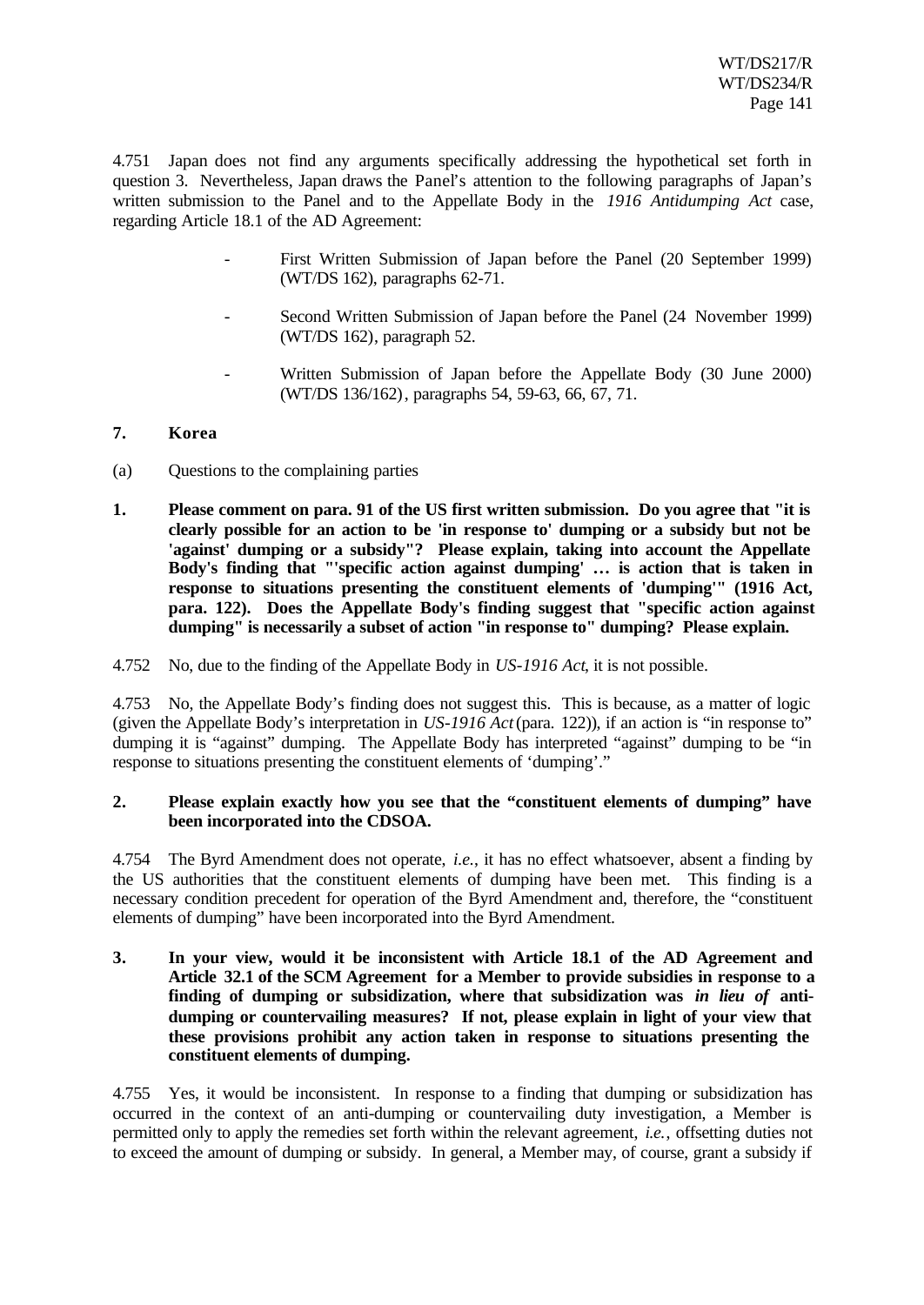4.751 Japan does not find any arguments specifically addressing the hypothetical set forth in question 3. Nevertheless, Japan draws the Panel's attention to the following paragraphs of Japan's written submission to the Panel and to the Appellate Body in the *1916 Antidumping Act* case, regarding Article 18.1 of the AD Agreement:

- First Written Submission of Japan before the Panel (20 September 1999) (WT/DS 162), paragraphs 62-71.
- Second Written Submission of Japan before the Panel (24 November 1999) (WT/DS 162), paragraph 52.
- Written Submission of Japan before the Appellate Body (30 June 2000) (WT/DS 136/162), paragraphs 54, 59-63, 66, 67, 71.

# **7. Korea**

- (a) Questions to the complaining parties
- **1. Please comment on para. 91 of the US first written submission. Do you agree that "it is clearly possible for an action to be 'in response to' dumping or a subsidy but not be 'against' dumping or a subsidy"? Please explain, taking into account the Appellate Body's finding that "'specific action against dumping' … is action that is taken in response to situations presenting the constituent elements of 'dumping'" (1916 Act, para. 122). Does the Appellate Body's finding suggest that "specific action against dumping" is necessarily a subset of action "in response to" dumping? Please explain.**
- 4.752 No, due to the finding of the Appellate Body in *US-1916 Act*, it is not possible.

4.753 No, the Appellate Body's finding does not suggest this. This is because, as a matter of logic (given the Appellate Body's interpretation in *US-1916 Act* (para. 122)), if an action is "in response to" dumping it is "against" dumping. The Appellate Body has interpreted "against" dumping to be "in response to situations presenting the constituent elements of 'dumping'."

## **2. Please explain exactly how you see that the "constituent elements of dumping" have been incorporated into the CDSOA.**

4.754 The Byrd Amendment does not operate, *i.e.*, it has no effect whatsoever, absent a finding by the US authorities that the constituent elements of dumping have been met. This finding is a necessary condition precedent for operation of the Byrd Amendment and, therefore, the "constituent elements of dumping" have been incorporated into the Byrd Amendment.

**3. In your view, would it be inconsistent with Article 18.1 of the AD Agreement and Article 32.1 of the SCM Agreement for a Member to provide subsidies in response to a finding of dumping or subsidization, where that subsidization was** *in lieu of* **antidumping or countervailing measures? If not, please explain in light of your view that these provisions prohibit any action taken in response to situations presenting the constituent elements of dumping.**

4.755 Yes, it would be inconsistent. In response to a finding that dumping or subsidization has occurred in the context of an anti-dumping or countervailing duty investigation, a Member is permitted only to apply the remedies set forth within the relevant agreement, *i.e.*, offsetting duties not to exceed the amount of dumping or subsidy. In general, a Member may, of course, grant a subsidy if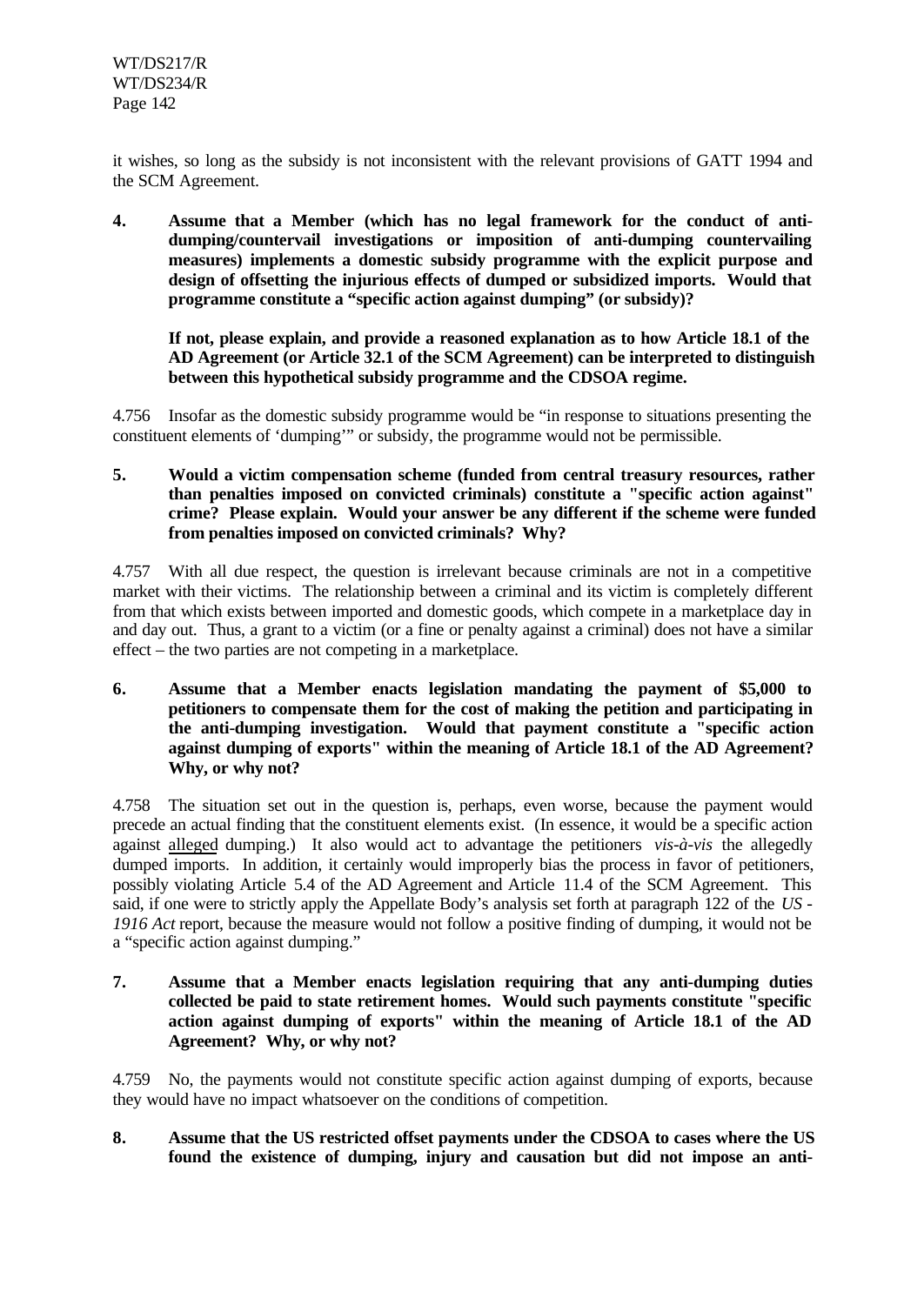it wishes, so long as the subsidy is not inconsistent with the relevant provisions of GATT 1994 and the SCM Agreement.

**4. Assume that a Member (which has no legal framework for the conduct of antidumping/countervail investigations or imposition of anti-dumping countervailing measures) implements a domestic subsidy programme with the explicit purpose and design of offsetting the injurious effects of dumped or subsidized imports. Would that programme constitute a "specific action against dumping" (or subsidy)?**

**If not, please explain, and provide a reasoned explanation as to how Article 18.1 of the AD Agreement (or Article 32.1 of the SCM Agreement) can be interpreted to distinguish between this hypothetical subsidy programme and the CDSOA regime.**

4.756 Insofar as the domestic subsidy programme would be "in response to situations presenting the constituent elements of 'dumping'" or subsidy, the programme would not be permissible.

**5. Would a victim compensation scheme (funded from central treasury resources, rather than penalties imposed on convicted criminals) constitute a "specific action against" crime? Please explain. Would your answer be any different if the scheme were funded from penalties imposed on convicted criminals? Why?**

4.757 With all due respect, the question is irrelevant because criminals are not in a competitive market with their victims. The relationship between a criminal and its victim is completely different from that which exists between imported and domestic goods, which compete in a marketplace day in and day out. Thus, a grant to a victim (or a fine or penalty against a criminal) does not have a similar effect – the two parties are not competing in a marketplace.

**6. Assume that a Member enacts legislation mandating the payment of \$5,000 to petitioners to compensate them for the cost of making the petition and participating in the anti-dumping investigation. Would that payment constitute a "specific action against dumping of exports" within the meaning of Article 18.1 of the AD Agreement? Why, or why not?**

4.758 The situation set out in the question is, perhaps, even worse, because the payment would precede an actual finding that the constituent elements exist. (In essence, it would be a specific action against alleged dumping.) It also would act to advantage the petitioners *vis-à-vis* the allegedly dumped imports. In addition, it certainly would improperly bias the process in favor of petitioners, possibly violating Article 5.4 of the AD Agreement and Article 11.4 of the SCM Agreement. This said, if one were to strictly apply the Appellate Body's analysis set forth at paragraph 122 of the *US - 1916 Act* report, because the measure would not follow a positive finding of dumping, it would not be a "specific action against dumping."

**7. Assume that a Member enacts legislation requiring that any anti-dumping duties collected be paid to state retirement homes. Would such payments constitute "specific action against dumping of exports" within the meaning of Article 18.1 of the AD Agreement? Why, or why not?**

4.759 No, the payments would not constitute specific action against dumping of exports, because they would have no impact whatsoever on the conditions of competition.

**8. Assume that the US restricted offset payments under the CDSOA to cases where the US found the existence of dumping, injury and causation but did not impose an anti-**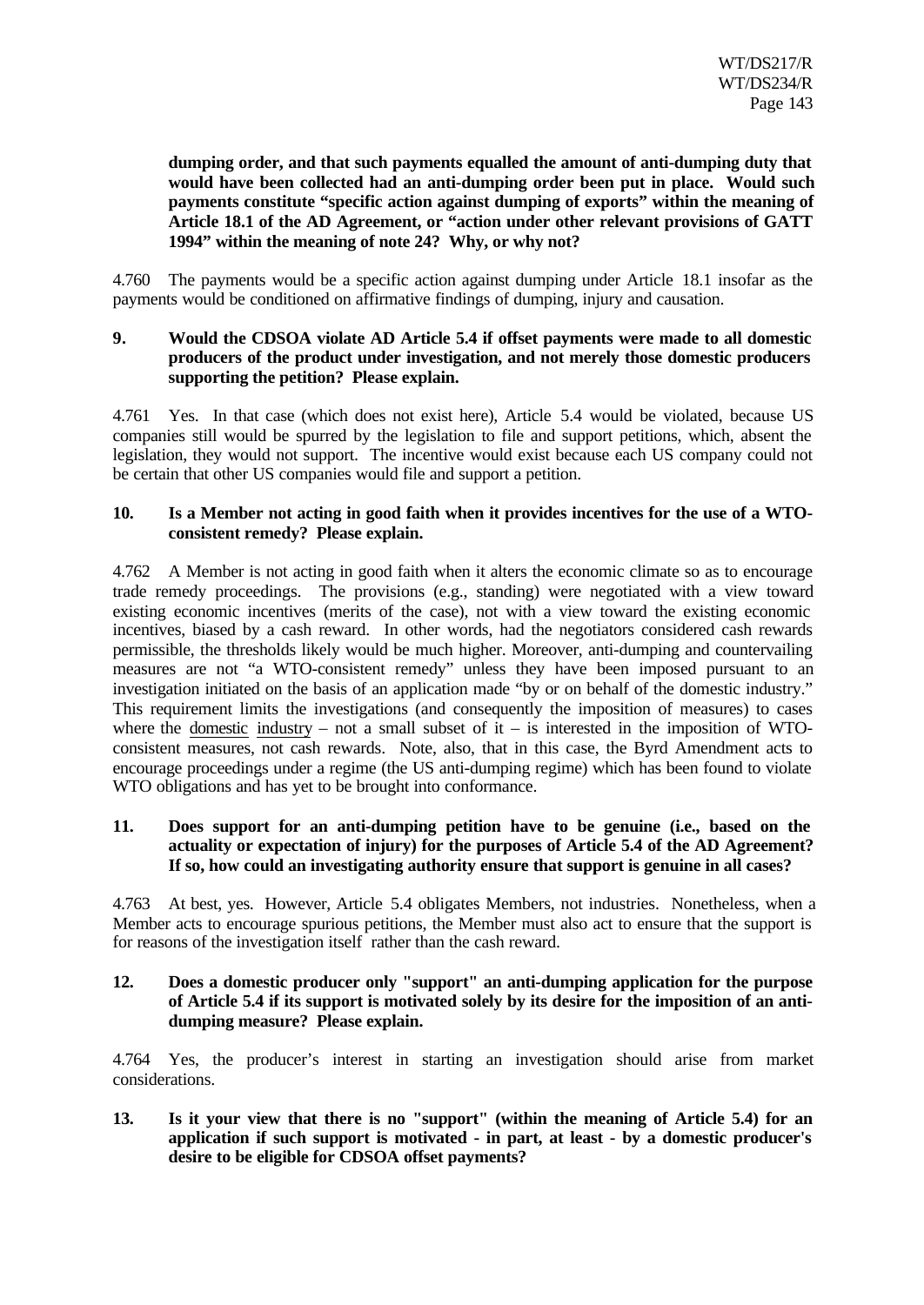## **dumping order, and that such payments equalled the amount of anti-dumping duty that would have been collected had an anti-dumping order been put in place. Would such payments constitute "specific action against dumping of exports" within the meaning of Article 18.1 of the AD Agreement, or "action under other relevant provisions of GATT 1994" within the meaning of note 24? Why, or why not?**

4.760 The payments would be a specific action against dumping under Article 18.1 insofar as the payments would be conditioned on affirmative findings of dumping, injury and causation.

## **9. Would the CDSOA violate AD Article 5.4 if offset payments were made to all domestic producers of the product under investigation, and not merely those domestic producers supporting the petition? Please explain.**

4.761 Yes. In that case (which does not exist here), Article 5.4 would be violated, because US companies still would be spurred by the legislation to file and support petitions, which, absent the legislation, they would not support. The incentive would exist because each US company could not be certain that other US companies would file and support a petition.

## **10. Is a Member not acting in good faith when it provides incentives for the use of a WTOconsistent remedy? Please explain.**

4.762 A Member is not acting in good faith when it alters the economic climate so as to encourage trade remedy proceedings. The provisions (e.g., standing) were negotiated with a view toward existing economic incentives (merits of the case), not with a view toward the existing economic incentives, biased by a cash reward. In other words, had the negotiators considered cash rewards permissible, the thresholds likely would be much higher. Moreover, anti-dumping and countervailing measures are not "a WTO-consistent remedy" unless they have been imposed pursuant to an investigation initiated on the basis of an application made "by or on behalf of the domestic industry." This requirement limits the investigations (and consequently the imposition of measures) to cases where the domestic industry – not a small subset of  $it - is$  interested in the imposition of WTOconsistent measures, not cash rewards. Note, also, that in this case, the Byrd Amendment acts to encourage proceedings under a regime (the US anti-dumping regime) which has been found to violate WTO obligations and has yet to be brought into conformance.

## **11. Does support for an anti-dumping petition have to be genuine (i.e., based on the actuality or expectation of injury) for the purposes of Article 5.4 of the AD Agreement? If so, how could an investigating authority ensure that support is genuine in all cases?**

4.763 At best, yes. However, Article 5.4 obligates Members, not industries. Nonetheless, when a Member acts to encourage spurious petitions, the Member must also act to ensure that the support is for reasons of the investigation itself rather than the cash reward.

## **12. Does a domestic producer only "support" an anti-dumping application for the purpose of Article 5.4 if its support is motivated solely by its desire for the imposition of an antidumping measure? Please explain.**

4.764 Yes, the producer's interest in starting an investigation should arise from market considerations.

**13. Is it your view that there is no "support" (within the meaning of Article 5.4) for an application if such support is motivated - in part, at least - by a domestic producer's desire to be eligible for CDSOA offset payments?**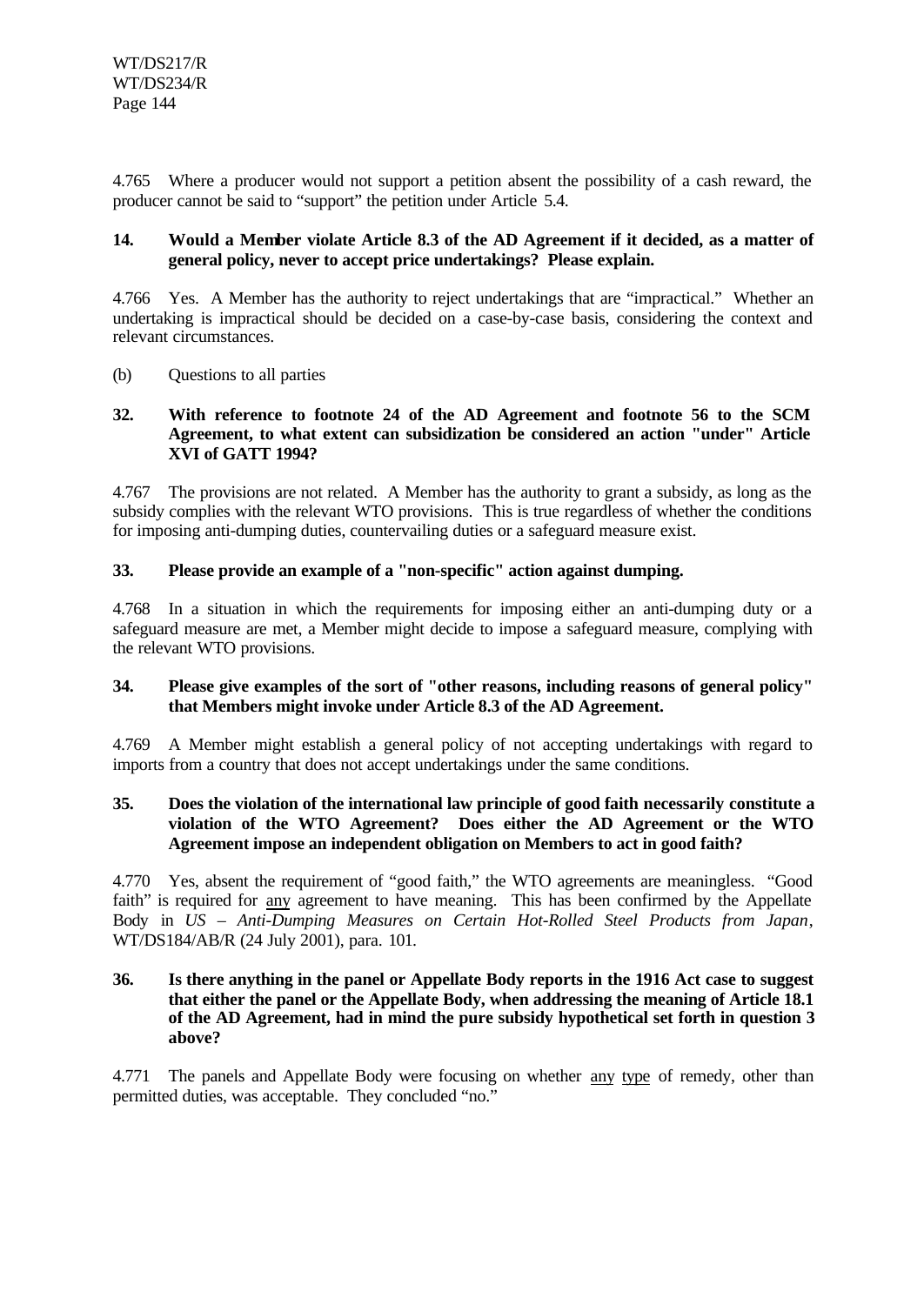4.765 Where a producer would not support a petition absent the possibility of a cash reward, the producer cannot be said to "support" the petition under Article 5.4.

## **14. Would a Member violate Article 8.3 of the AD Agreement if it decided, as a matter of general policy, never to accept price undertakings? Please explain.**

4.766 Yes. A Member has the authority to reject undertakings that are "impractical." Whether an undertaking is impractical should be decided on a case-by-case basis, considering the context and relevant circumstances.

#### (b) Questions to all parties

### **32. With reference to footnote 24 of the AD Agreement and footnote 56 to the SCM Agreement, to what extent can subsidization be considered an action "under" Article XVI of GATT 1994?**

4.767 The provisions are not related. A Member has the authority to grant a subsidy, as long as the subsidy complies with the relevant WTO provisions. This is true regardless of whether the conditions for imposing anti-dumping duties, countervailing duties or a safeguard measure exist.

## **33. Please provide an example of a "non-specific" action against dumping.**

4.768 In a situation in which the requirements for imposing either an anti-dumping duty or a safeguard measure are met, a Member might decide to impose a safeguard measure, complying with the relevant WTO provisions.

## **34. Please give examples of the sort of "other reasons, including reasons of general policy" that Members might invoke under Article 8.3 of the AD Agreement.**

4.769 A Member might establish a general policy of not accepting undertakings with regard to imports from a country that does not accept undertakings under the same conditions.

## **35. Does the violation of the international law principle of good faith necessarily constitute a violation of the WTO Agreement? Does either the AD Agreement or the WTO Agreement impose an independent obligation on Members to act in good faith?**

4.770 Yes, absent the requirement of "good faith," the WTO agreements are meaningless. "Good faith" is required for any agreement to have meaning. This has been confirmed by the Appellate Body in *US – Anti-Dumping Measures on Certain Hot-Rolled Steel Products from Japan*, WT/DS184/AB/R (24 July 2001), para. 101.

### **36. Is there anything in the panel or Appellate Body reports in the 1916 Act case to suggest that either the panel or the Appellate Body, when addressing the meaning of Article 18.1 of the AD Agreement, had in mind the pure subsidy hypothetical set forth in question 3 above?**

4.771 The panels and Appellate Body were focusing on whether any type of remedy, other than permitted duties, was acceptable. They concluded "no."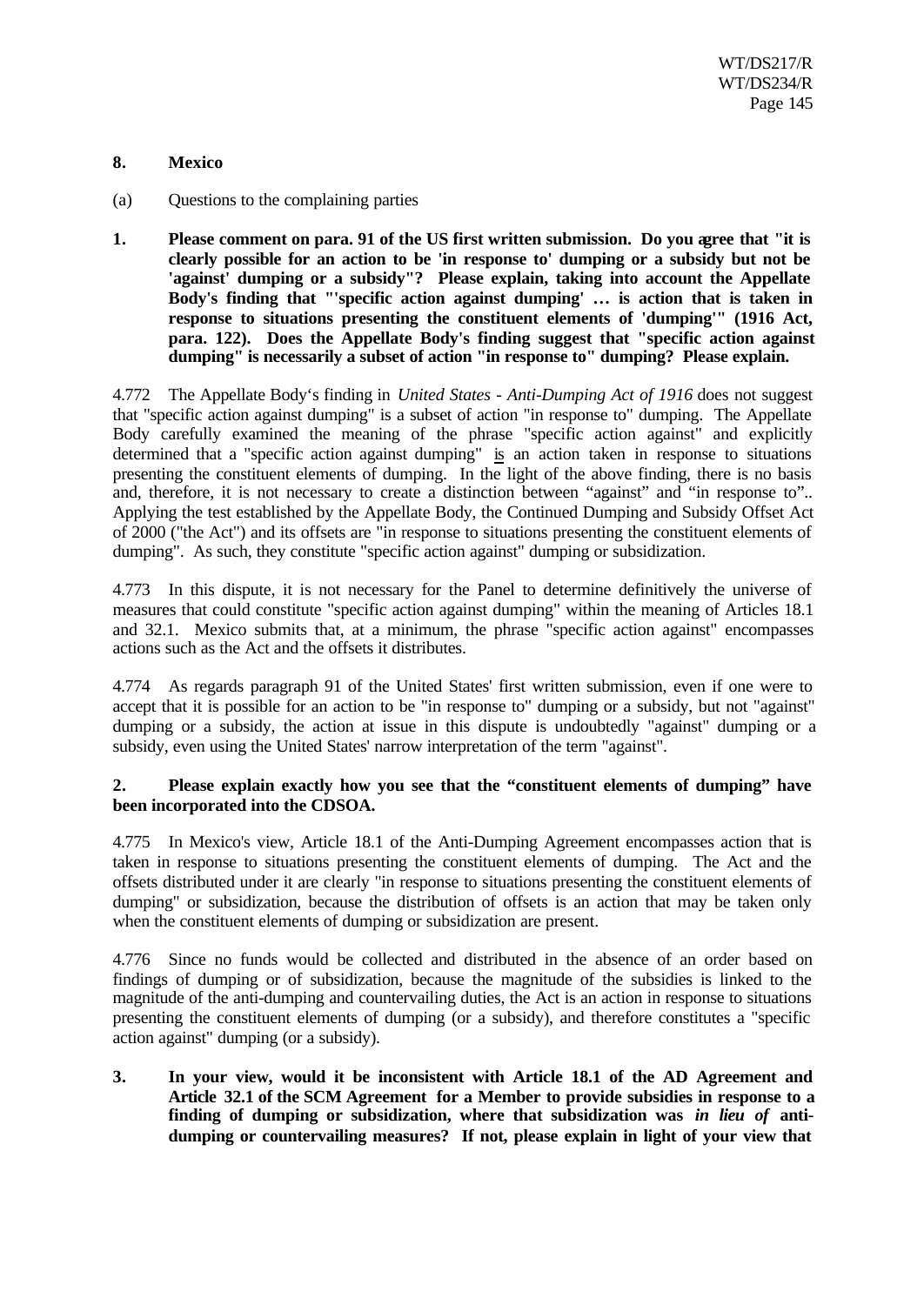## **8. Mexico**

- (a) Questions to the complaining parties
- **1. Please comment on para. 91 of the US first written submission. Do you agree that "it is clearly possible for an action to be 'in response to' dumping or a subsidy but not be 'against' dumping or a subsidy"? Please explain, taking into account the Appellate Body's finding that "'specific action against dumping' … is action that is taken in response to situations presenting the constituent elements of 'dumping'" (1916 Act, para. 122). Does the Appellate Body's finding suggest that "specific action against dumping" is necessarily a subset of action "in response to" dumping? Please explain.**

4.772 The Appellate Body's finding in *United States - Anti-Dumping Act of 1916* does not suggest that "specific action against dumping" is a subset of action "in response to" dumping. The Appellate Body carefully examined the meaning of the phrase "specific action against" and explicitly determined that a "specific action against dumping" is an action taken in response to situations presenting the constituent elements of dumping. In the light of the above finding, there is no basis and, therefore, it is not necessary to create a distinction between "against" and "in response to".. Applying the test established by the Appellate Body, the Continued Dumping and Subsidy Offset Act of 2000 ("the Act") and its offsets are "in response to situations presenting the constituent elements of dumping". As such, they constitute "specific action against" dumping or subsidization.

4.773 In this dispute, it is not necessary for the Panel to determine definitively the universe of measures that could constitute "specific action against dumping" within the meaning of Articles 18.1 and 32.1. Mexico submits that, at a minimum, the phrase "specific action against" encompasses actions such as the Act and the offsets it distributes.

4.774 As regards paragraph 91 of the United States' first written submission, even if one were to accept that it is possible for an action to be "in response to" dumping or a subsidy, but not "against" dumping or a subsidy, the action at issue in this dispute is undoubtedly "against" dumping or a subsidy, even using the United States' narrow interpretation of the term "against".

#### **2. Please explain exactly how you see that the "constituent elements of dumping" have been incorporated into the CDSOA.**

4.775 In Mexico's view, Article 18.1 of the Anti-Dumping Agreement encompasses action that is taken in response to situations presenting the constituent elements of dumping. The Act and the offsets distributed under it are clearly "in response to situations presenting the constituent elements of dumping" or subsidization, because the distribution of offsets is an action that may be taken only when the constituent elements of dumping or subsidization are present.

4.776 Since no funds would be collected and distributed in the absence of an order based on findings of dumping or of subsidization, because the magnitude of the subsidies is linked to the magnitude of the anti-dumping and countervailing duties, the Act is an action in response to situations presenting the constituent elements of dumping (or a subsidy), and therefore constitutes a "specific action against" dumping (or a subsidy).

**3. In your view, would it be inconsistent with Article 18.1 of the AD Agreement and Article 32.1 of the SCM Agreement for a Member to provide subsidies in response to a finding of dumping or subsidization, where that subsidization was** *in lieu of* **antidumping or countervailing measures? If not, please explain in light of your view that**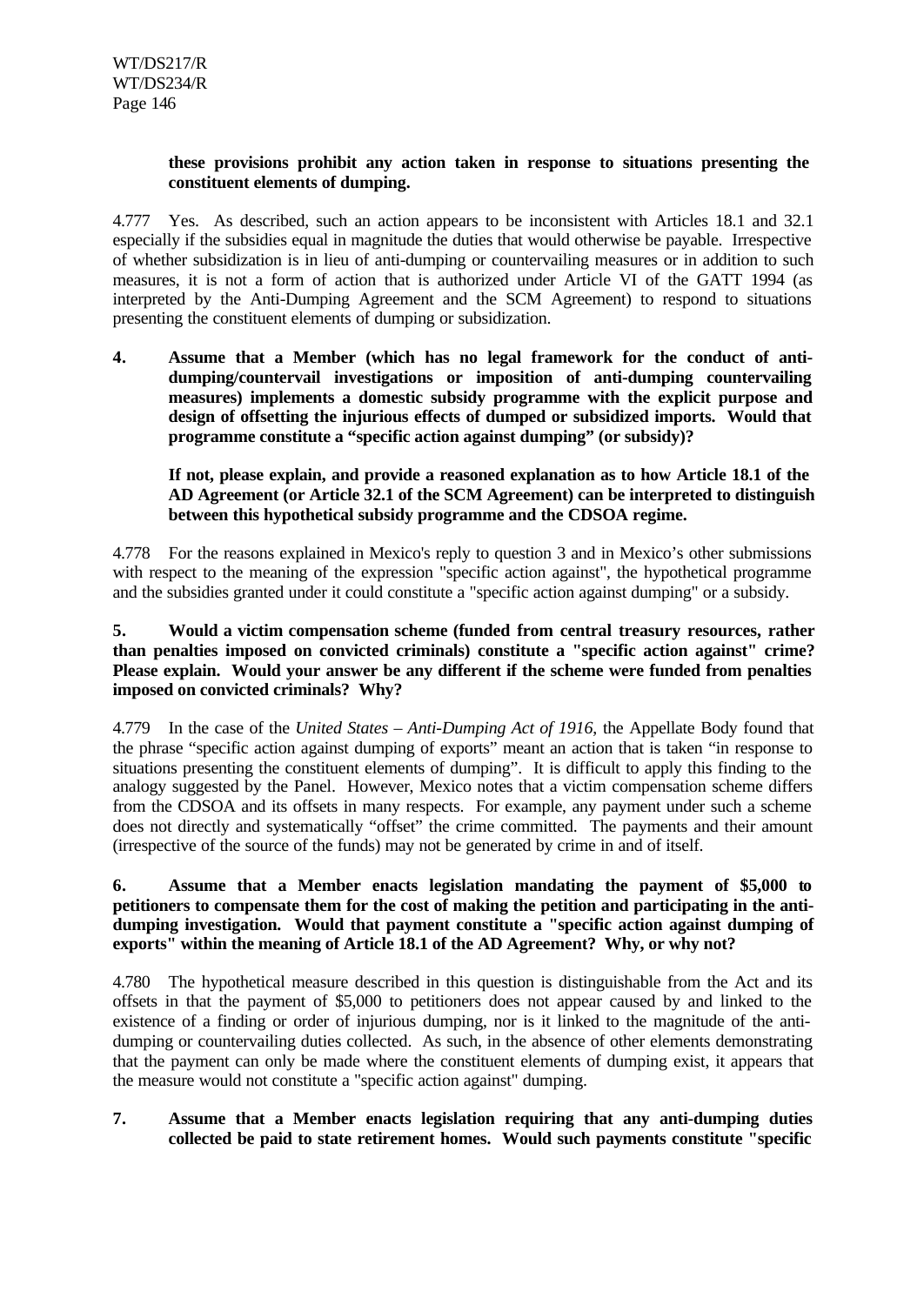## **these provisions prohibit any action taken in response to situations presenting the constituent elements of dumping.**

4.777 Yes. As described, such an action appears to be inconsistent with Articles 18.1 and 32.1 especially if the subsidies equal in magnitude the duties that would otherwise be payable. Irrespective of whether subsidization is in lieu of anti-dumping or countervailing measures or in addition to such measures, it is not a form of action that is authorized under Article VI of the GATT 1994 (as interpreted by the Anti-Dumping Agreement and the SCM Agreement) to respond to situations presenting the constituent elements of dumping or subsidization.

**4. Assume that a Member (which has no legal framework for the conduct of antidumping/countervail investigations or imposition of anti-dumping countervailing measures) implements a domestic subsidy programme with the explicit purpose and design of offsetting the injurious effects of dumped or subsidized imports. Would that programme constitute a "specific action against dumping" (or subsidy)?**

## **If not, please explain, and provide a reasoned explanation as to how Article 18.1 of the AD Agreement (or Article 32.1 of the SCM Agreement) can be interpreted to distinguish between this hypothetical subsidy programme and the CDSOA regime.**

4.778 For the reasons explained in Mexico's reply to question 3 and in Mexico's other submissions with respect to the meaning of the expression "specific action against", the hypothetical programme and the subsidies granted under it could constitute a "specific action against dumping" or a subsidy.

## **5. Would a victim compensation scheme (funded from central treasury resources, rather than penalties imposed on convicted criminals) constitute a "specific action against" crime? Please explain. Would your answer be any different if the scheme were funded from penalties imposed on convicted criminals? Why?**

4.779 In the case of the *United States – Anti-Dumping Act of 1916*, the Appellate Body found that the phrase "specific action against dumping of exports" meant an action that is taken "in response to situations presenting the constituent elements of dumping". It is difficult to apply this finding to the analogy suggested by the Panel. However, Mexico notes that a victim compensation scheme differs from the CDSOA and its offsets in many respects. For example, any payment under such a scheme does not directly and systematically "offset" the crime committed. The payments and their amount (irrespective of the source of the funds) may not be generated by crime in and of itself.

### **6. Assume that a Member enacts legislation mandating the payment of \$5,000 to petitioners to compensate them for the cost of making the petition and participating in the antidumping investigation. Would that payment constitute a "specific action against dumping of exports" within the meaning of Article 18.1 of the AD Agreement? Why, or why not?**

4.780 The hypothetical measure described in this question is distinguishable from the Act and its offsets in that the payment of \$5,000 to petitioners does not appear caused by and linked to the existence of a finding or order of injurious dumping, nor is it linked to the magnitude of the antidumping or countervailing duties collected. As such, in the absence of other elements demonstrating that the payment can only be made where the constituent elements of dumping exist, it appears that the measure would not constitute a "specific action against" dumping.

# **7. Assume that a Member enacts legislation requiring that any anti-dumping duties collected be paid to state retirement homes. Would such payments constitute "specific**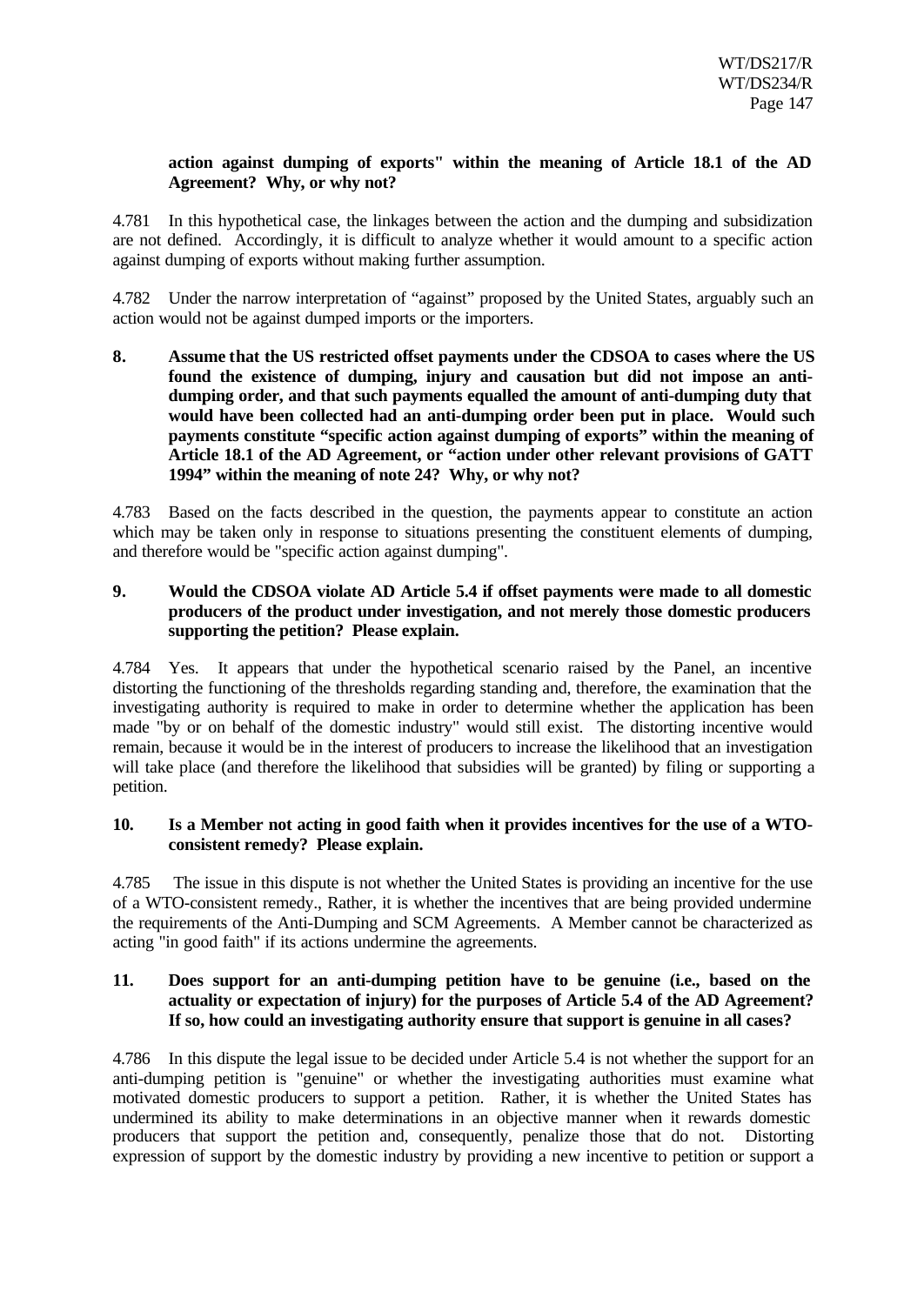# **action against dumping of exports" within the meaning of Article 18.1 of the AD Agreement? Why, or why not?**

4.781 In this hypothetical case, the linkages between the action and the dumping and subsidization are not defined. Accordingly, it is difficult to analyze whether it would amount to a specific action against dumping of exports without making further assumption.

4.782 Under the narrow interpretation of "against" proposed by the United States, arguably such an action would not be against dumped imports or the importers.

**8. Assume that the US restricted offset payments under the CDSOA to cases where the US found the existence of dumping, injury and causation but did not impose an antidumping order, and that such payments equalled the amount of anti-dumping duty that would have been collected had an anti-dumping order been put in place. Would such payments constitute "specific action against dumping of exports" within the meaning of Article 18.1 of the AD Agreement, or "action under other relevant provisions of GATT 1994" within the meaning of note 24? Why, or why not?**

4.783 Based on the facts described in the question, the payments appear to constitute an action which may be taken only in response to situations presenting the constituent elements of dumping, and therefore would be "specific action against dumping".

## **9. Would the CDSOA violate AD Article 5.4 if offset payments were made to all domestic producers of the product under investigation, and not merely those domestic producers supporting the petition? Please explain.**

4.784 Yes. It appears that under the hypothetical scenario raised by the Panel, an incentive distorting the functioning of the thresholds regarding standing and, therefore, the examination that the investigating authority is required to make in order to determine whether the application has been made "by or on behalf of the domestic industry" would still exist. The distorting incentive would remain, because it would be in the interest of producers to increase the likelihood that an investigation will take place (and therefore the likelihood that subsidies will be granted) by filing or supporting a petition.

## **10. Is a Member not acting in good faith when it provides incentives for the use of a WTOconsistent remedy? Please explain.**

4.785 The issue in this dispute is not whether the United States is providing an incentive for the use of a WTO-consistent remedy., Rather, it is whether the incentives that are being provided undermine the requirements of the Anti-Dumping and SCM Agreements. A Member cannot be characterized as acting "in good faith" if its actions undermine the agreements.

## **11. Does support for an anti-dumping petition have to be genuine (i.e., based on the actuality or expectation of injury) for the purposes of Article 5.4 of the AD Agreement? If so, how could an investigating authority ensure that support is genuine in all cases?**

4.786 In this dispute the legal issue to be decided under Article 5.4 is not whether the support for an anti-dumping petition is "genuine" or whether the investigating authorities must examine what motivated domestic producers to support a petition. Rather, it is whether the United States has undermined its ability to make determinations in an objective manner when it rewards domestic producers that support the petition and, consequently, penalize those that do not. Distorting expression of support by the domestic industry by providing a new incentive to petition or support a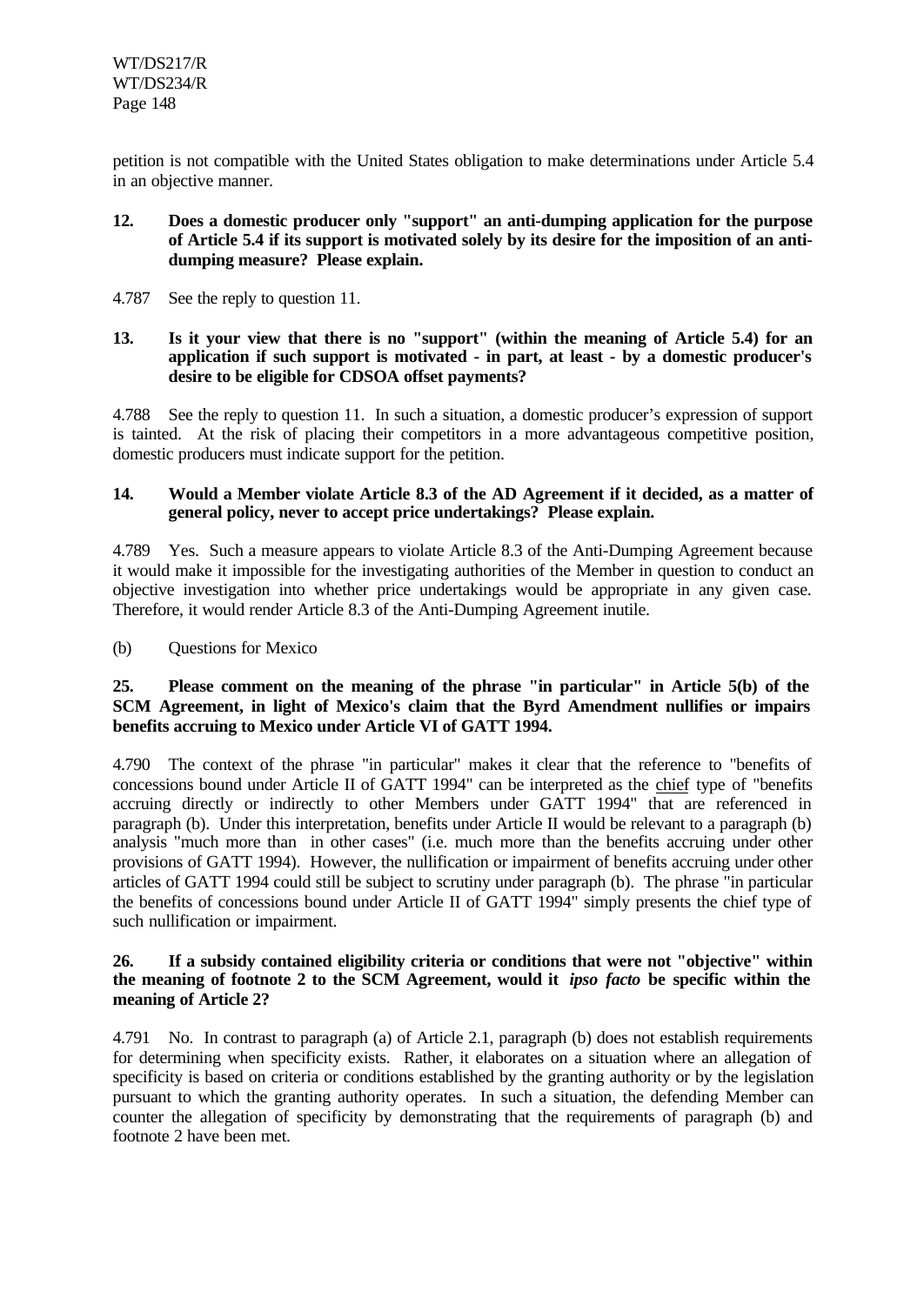petition is not compatible with the United States obligation to make determinations under Article 5.4 in an objective manner.

### **12. Does a domestic producer only "support" an anti-dumping application for the purpose of Article 5.4 if its support is motivated solely by its desire for the imposition of an antidumping measure? Please explain.**

- 4.787 See the reply to question 11.
- **13. Is it your view that there is no "support" (within the meaning of Article 5.4) for an application if such support is motivated - in part, at least - by a domestic producer's desire to be eligible for CDSOA offset payments?**

4.788 See the reply to question 11. In such a situation, a domestic producer's expression of support is tainted. At the risk of placing their competitors in a more advantageous competitive position, domestic producers must indicate support for the petition.

#### **14. Would a Member violate Article 8.3 of the AD Agreement if it decided, as a matter of general policy, never to accept price undertakings? Please explain.**

4.789 Yes. Such a measure appears to violate Article 8.3 of the Anti-Dumping Agreement because it would make it impossible for the investigating authorities of the Member in question to conduct an objective investigation into whether price undertakings would be appropriate in any given case. Therefore, it would render Article 8.3 of the Anti-Dumping Agreement inutile.

(b) Questions for Mexico

## **25. Please comment on the meaning of the phrase "in particular" in Article 5(b) of the SCM Agreement, in light of Mexico's claim that the Byrd Amendment nullifies or impairs benefits accruing to Mexico under Article VI of GATT 1994.**

4.790 The context of the phrase "in particular" makes it clear that the reference to "benefits of concessions bound under Article II of GATT 1994" can be interpreted as the chief type of "benefits accruing directly or indirectly to other Members under GATT 1994" that are referenced in paragraph (b). Under this interpretation, benefits under Article II would be relevant to a paragraph (b) analysis "much more than in other cases" (i.e. much more than the benefits accruing under other provisions of GATT 1994). However, the nullification or impairment of benefits accruing under other articles of GATT 1994 could still be subject to scrutiny under paragraph (b). The phrase "in particular the benefits of concessions bound under Article II of GATT 1994" simply presents the chief type of such nullification or impairment.

#### **26. If a subsidy contained eligibility criteria or conditions that were not "objective" within the meaning of footnote 2 to the SCM Agreement, would it** *ipso facto* **be specific within the meaning of Article 2?**

4.791 No. In contrast to paragraph (a) of Article 2.1, paragraph (b) does not establish requirements for determining when specificity exists. Rather, it elaborates on a situation where an allegation of specificity is based on criteria or conditions established by the granting authority or by the legislation pursuant to which the granting authority operates. In such a situation, the defending Member can counter the allegation of specificity by demonstrating that the requirements of paragraph (b) and footnote 2 have been met.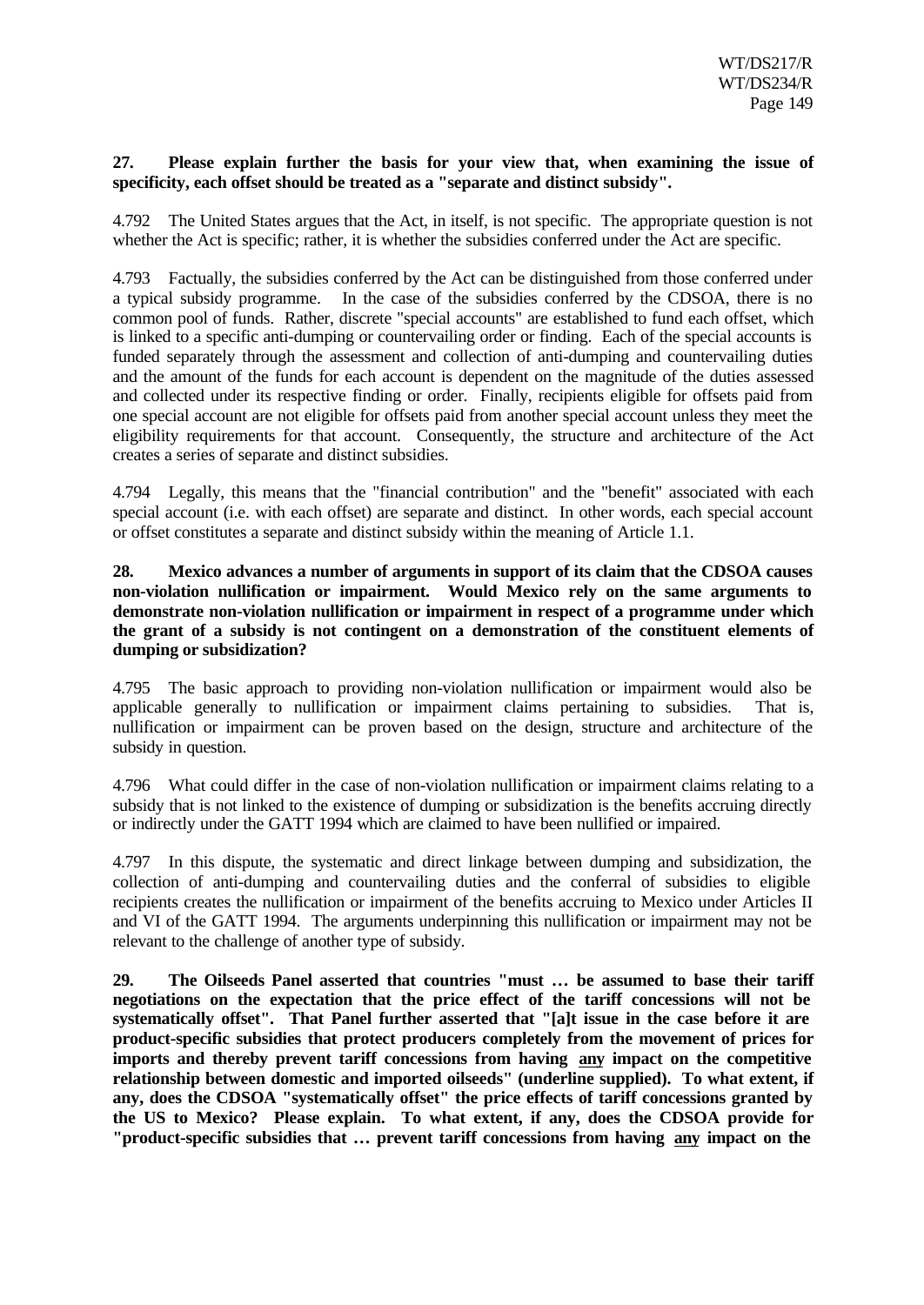### **27. Please explain further the basis for your view that, when examining the issue of specificity, each offset should be treated as a "separate and distinct subsidy".**

4.792 The United States argues that the Act, in itself, is not specific. The appropriate question is not whether the Act is specific; rather, it is whether the subsidies conferred under the Act are specific.

Factually, the subsidies conferred by the Act can be distinguished from those conferred under a typical subsidy programme. In the case of the subsidies conferred by the CDSOA, there is no common pool of funds. Rather, discrete "special accounts" are established to fund each offset, which is linked to a specific anti-dumping or countervailing order or finding. Each of the special accounts is funded separately through the assessment and collection of anti-dumping and countervailing duties and the amount of the funds for each account is dependent on the magnitude of the duties assessed and collected under its respective finding or order. Finally, recipients eligible for offsets paid from one special account are not eligible for offsets paid from another special account unless they meet the eligibility requirements for that account. Consequently, the structure and architecture of the Act creates a series of separate and distinct subsidies.

4.794 Legally, this means that the "financial contribution" and the "benefit" associated with each special account (i.e. with each offset) are separate and distinct. In other words, each special account or offset constitutes a separate and distinct subsidy within the meaning of Article 1.1.

### **28. Mexico advances a number of arguments in support of its claim that the CDSOA causes non-violation nullification or impairment. Would Mexico rely on the same arguments to demonstrate non-violation nullification or impairment in respect of a programme under which the grant of a subsidy is not contingent on a demonstration of the constituent elements of dumping or subsidization?**

4.795 The basic approach to providing non-violation nullification or impairment would also be applicable generally to nullification or impairment claims pertaining to subsidies. That is, nullification or impairment can be proven based on the design, structure and architecture of the subsidy in question.

4.796 What could differ in the case of non-violation nullification or impairment claims relating to a subsidy that is not linked to the existence of dumping or subsidization is the benefits accruing directly or indirectly under the GATT 1994 which are claimed to have been nullified or impaired.

4.797 In this dispute, the systematic and direct linkage between dumping and subsidization, the collection of anti-dumping and countervailing duties and the conferral of subsidies to eligible recipients creates the nullification or impairment of the benefits accruing to Mexico under Articles II and VI of the GATT 1994. The arguments underpinning this nullification or impairment may not be relevant to the challenge of another type of subsidy.

**29. The Oilseeds Panel asserted that countries "must … be assumed to base their tariff negotiations on the expectation that the price effect of the tariff concessions will not be systematically offset". That Panel further asserted that "[a]t issue in the case before it are product-specific subsidies that protect producers completely from the movement of prices for imports and thereby prevent tariff concessions from having any impact on the competitive relationship between domestic and imported oilseeds" (underline supplied). To what extent, if any, does the CDSOA "systematically offset" the price effects of tariff concessions granted by the US to Mexico? Please explain. To what extent, if any, does the CDSOA provide for "product-specific subsidies that … prevent tariff concessions from having any impact on the**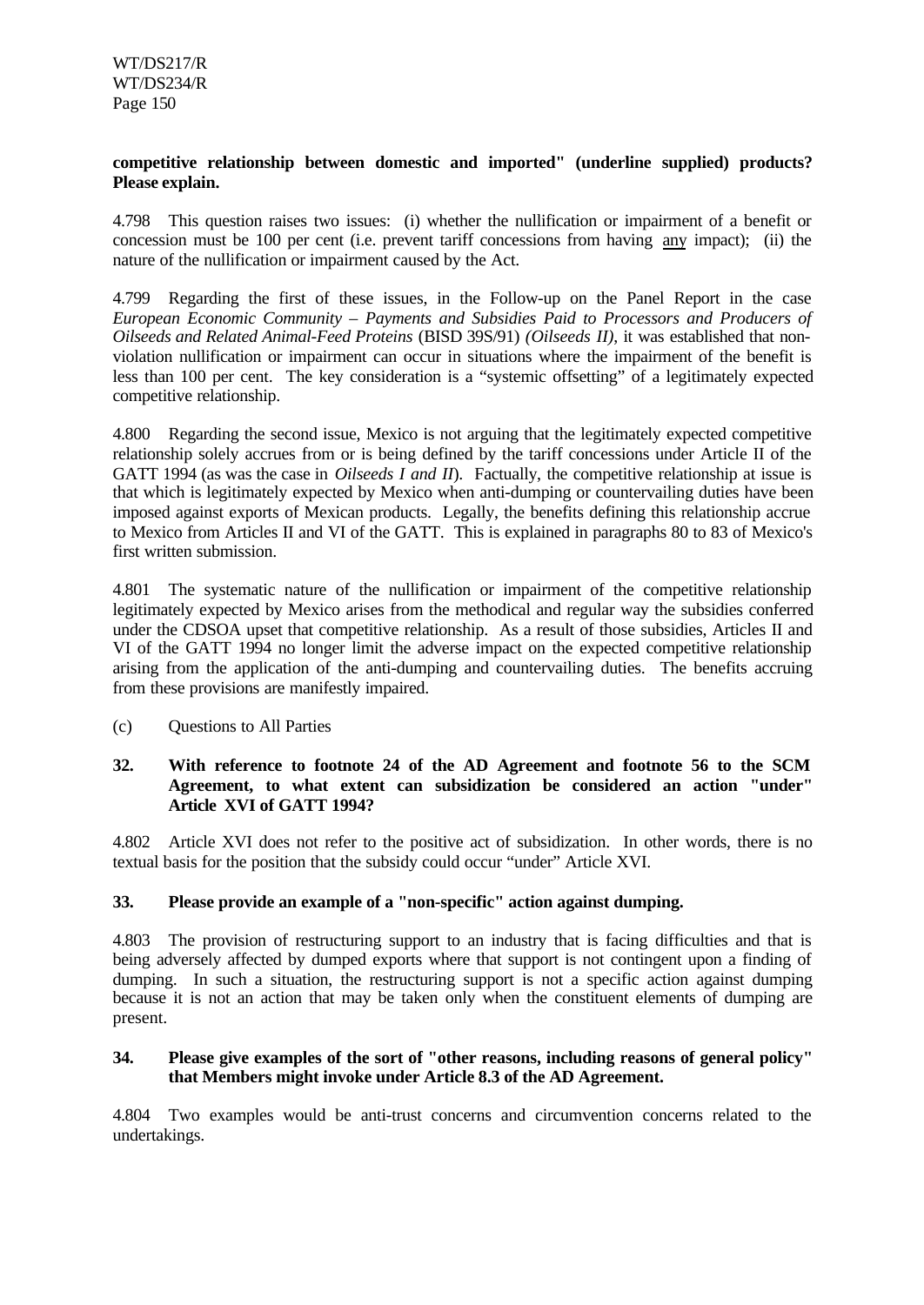## **competitive relationship between domestic and imported" (underline supplied) products? Please explain.**

4.798 This question raises two issues: (i) whether the nullification or impairment of a benefit or concession must be 100 per cent (i.e. prevent tariff concessions from having any impact); (ii) the nature of the nullification or impairment caused by the Act.

4.799 Regarding the first of these issues, in the Follow-up on the Panel Report in the case *European Economic Community – Payments and Subsidies Paid to Processors and Producers of Oilseeds and Related Animal-Feed Proteins* (BISD 39S/91) *(Oilseeds II)*, it was established that nonviolation nullification or impairment can occur in situations where the impairment of the benefit is less than 100 per cent. The key consideration is a "systemic offsetting" of a legitimately expected competitive relationship.

4.800 Regarding the second issue, Mexico is not arguing that the legitimately expected competitive relationship solely accrues from or is being defined by the tariff concessions under Article II of the GATT 1994 (as was the case in *Oilseeds I and II*). Factually, the competitive relationship at issue is that which is legitimately expected by Mexico when anti-dumping or countervailing duties have been imposed against exports of Mexican products. Legally, the benefits defining this relationship accrue to Mexico from Articles II and VI of the GATT. This is explained in paragraphs 80 to 83 of Mexico's first written submission.

4.801 The systematic nature of the nullification or impairment of the competitive relationship legitimately expected by Mexico arises from the methodical and regular way the subsidies conferred under the CDSOA upset that competitive relationship. As a result of those subsidies, Articles II and VI of the GATT 1994 no longer limit the adverse impact on the expected competitive relationship arising from the application of the anti-dumping and countervailing duties. The benefits accruing from these provisions are manifestly impaired.

(c) Questions to All Parties

## **32. With reference to footnote 24 of the AD Agreement and footnote 56 to the SCM Agreement, to what extent can subsidization be considered an action "under" Article XVI of GATT 1994?**

4.802 Article XVI does not refer to the positive act of subsidization. In other words, there is no textual basis for the position that the subsidy could occur "under" Article XVI.

# **33. Please provide an example of a "non-specific" action against dumping.**

4.803 The provision of restructuring support to an industry that is facing difficulties and that is being adversely affected by dumped exports where that support is not contingent upon a finding of dumping. In such a situation, the restructuring support is not a specific action against dumping because it is not an action that may be taken only when the constituent elements of dumping are present.

#### **34. Please give examples of the sort of "other reasons, including reasons of general policy" that Members might invoke under Article 8.3 of the AD Agreement.**

4.804 Two examples would be anti-trust concerns and circumvention concerns related to the undertakings.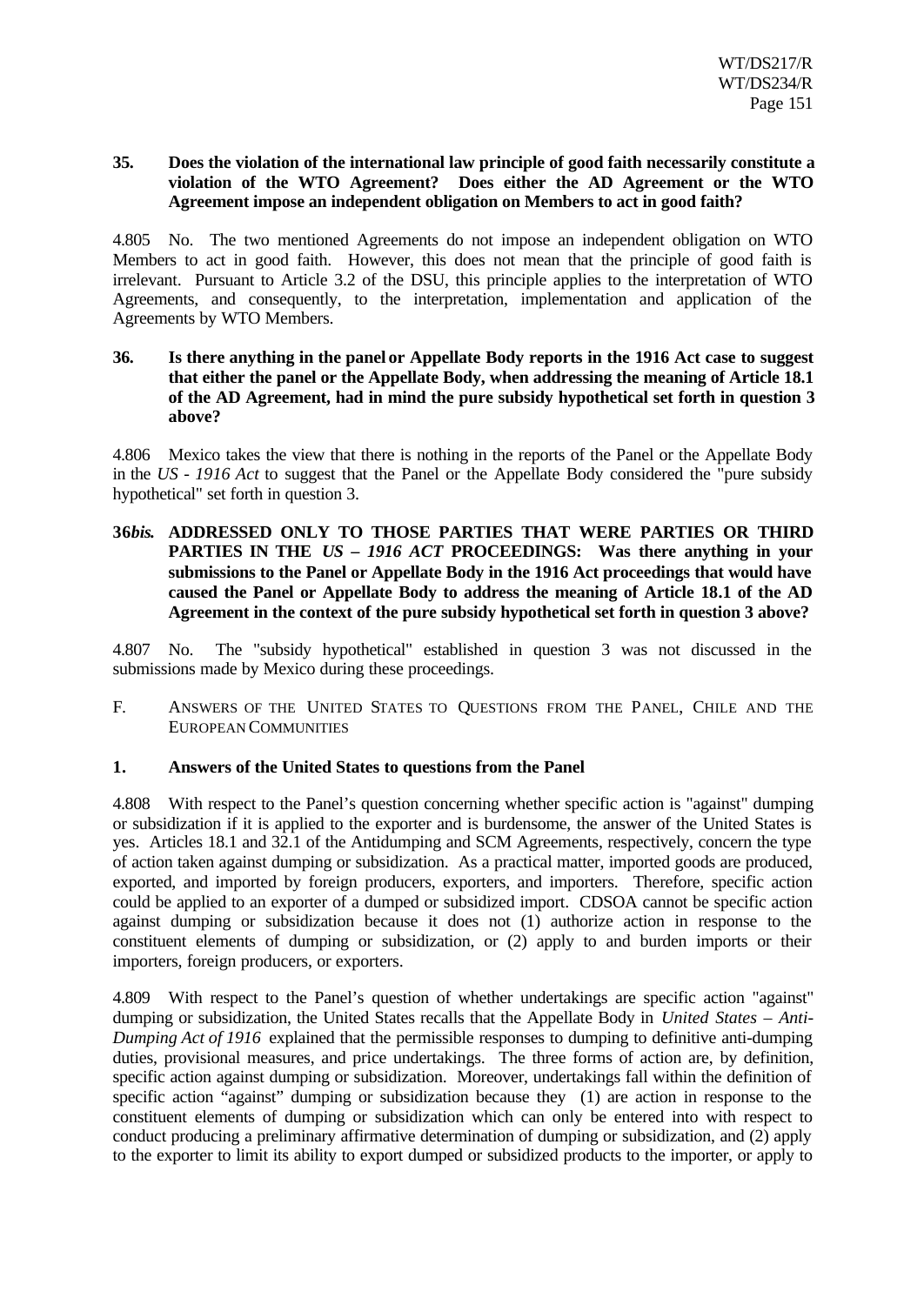## **35. Does the violation of the international law principle of good faith necessarily constitute a violation of the WTO Agreement? Does either the AD Agreement or the WTO Agreement impose an independent obligation on Members to act in good faith?**

4.805 No. The two mentioned Agreements do not impose an independent obligation on WTO Members to act in good faith. However, this does not mean that the principle of good faith is irrelevant. Pursuant to Article 3.2 of the DSU, this principle applies to the interpretation of WTO Agreements, and consequently, to the interpretation, implementation and application of the Agreements by WTO Members.

### **36. Is there anything in the panel or Appellate Body reports in the 1916 Act case to suggest that either the panel or the Appellate Body, when addressing the meaning of Article 18.1 of the AD Agreement, had in mind the pure subsidy hypothetical set forth in question 3 above?**

4.806 Mexico takes the view that there is nothing in the reports of the Panel or the Appellate Body in the *US - 1916 Act* to suggest that the Panel or the Appellate Body considered the "pure subsidy hypothetical" set forth in question 3.

**36***bis***. ADDRESSED ONLY TO THOSE PARTIES THAT WERE PARTIES OR THIRD PARTIES IN THE** *US – 1916 ACT* **PROCEEDINGS: Was there anything in your submissions to the Panel or Appellate Body in the 1916 Act proceedings that would have caused the Panel or Appellate Body to address the meaning of Article 18.1 of the AD Agreement in the context of the pure subsidy hypothetical set forth in question 3 above?**

4.807 No. The "subsidy hypothetical" established in question 3 was not discussed in the submissions made by Mexico during these proceedings.

F. ANSWERS OF THE UNITED STATES TO QUESTIONS FROM THE PANEL, CHILE AND THE EUROPEAN COMMUNITIES

#### **1. Answers of the United States to questions from the Panel**

4.808 With respect to the Panel's question concerning whether specific action is "against" dumping or subsidization if it is applied to the exporter and is burdensome, the answer of the United States is yes. Articles 18.1 and 32.1 of the Antidumping and SCM Agreements, respectively, concern the type of action taken against dumping or subsidization. As a practical matter, imported goods are produced, exported, and imported by foreign producers, exporters, and importers. Therefore, specific action could be applied to an exporter of a dumped or subsidized import. CDSOA cannot be specific action against dumping or subsidization because it does not (1) authorize action in response to the constituent elements of dumping or subsidization, or (2) apply to and burden imports or their importers, foreign producers, or exporters.

4.809 With respect to the Panel's question of whether undertakings are specific action "against" dumping or subsidization, the United States recalls that the Appellate Body in *United States – Anti-Dumping Act of 1916* explained that the permissible responses to dumping to definitive anti-dumping duties, provisional measures, and price undertakings. The three forms of action are, by definition, specific action against dumping or subsidization. Moreover, undertakings fall within the definition of specific action "against" dumping or subsidization because they (1) are action in response to the constituent elements of dumping or subsidization which can only be entered into with respect to conduct producing a preliminary affirmative determination of dumping or subsidization, and (2) apply to the exporter to limit its ability to export dumped or subsidized products to the importer, or apply to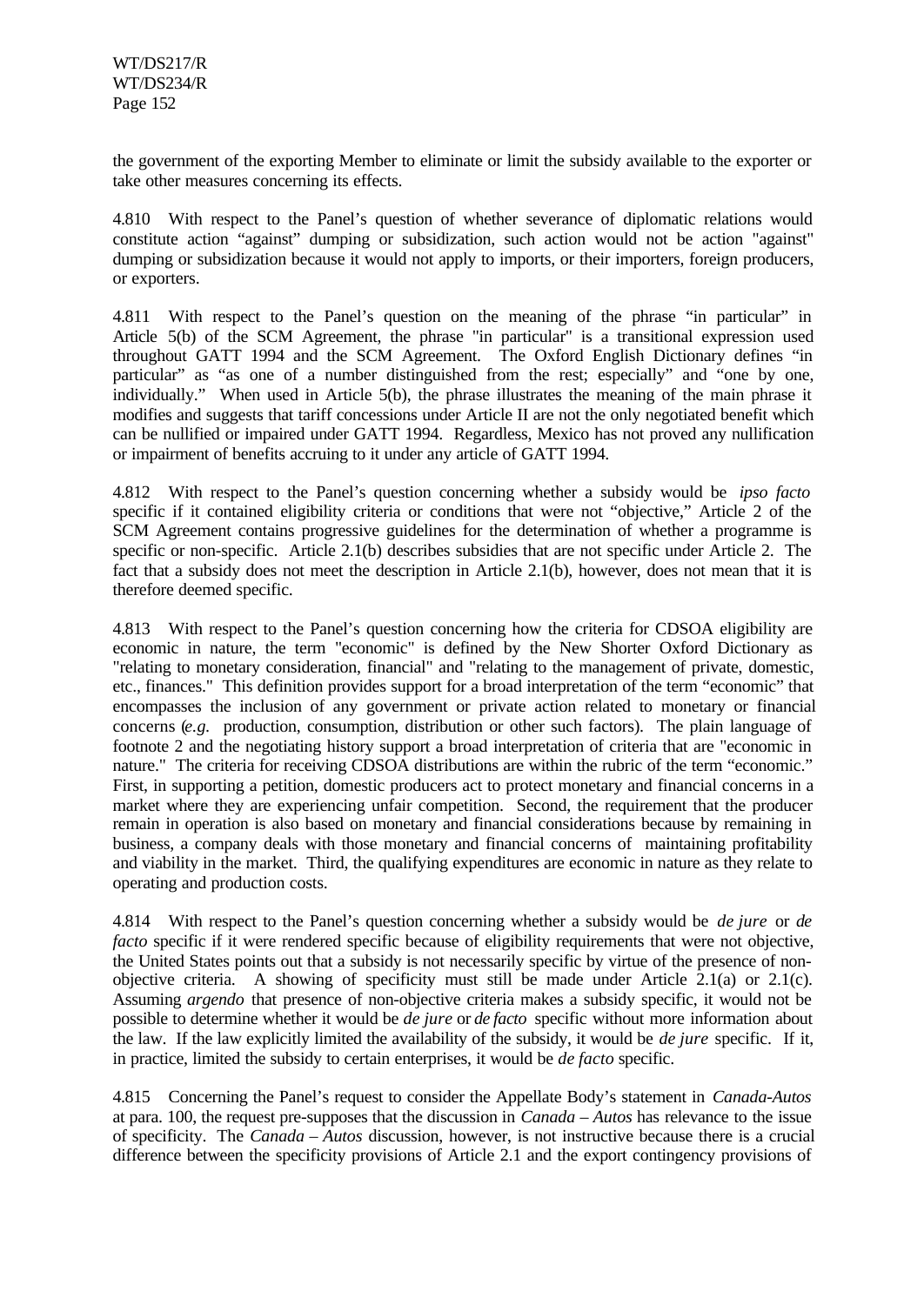the government of the exporting Member to eliminate or limit the subsidy available to the exporter or take other measures concerning its effects.

4.810 With respect to the Panel's question of whether severance of diplomatic relations would constitute action "against" dumping or subsidization, such action would not be action "against" dumping or subsidization because it would not apply to imports, or their importers, foreign producers, or exporters.

4.811 With respect to the Panel's question on the meaning of the phrase "in particular" in Article 5(b) of the SCM Agreement, the phrase "in particular" is a transitional expression used throughout GATT 1994 and the SCM Agreement. The Oxford English Dictionary defines "in particular" as "as one of a number distinguished from the rest; especially" and "one by one, individually." When used in Article 5(b), the phrase illustrates the meaning of the main phrase it modifies and suggests that tariff concessions under Article II are not the only negotiated benefit which can be nullified or impaired under GATT 1994. Regardless, Mexico has not proved any nullification or impairment of benefits accruing to it under any article of GATT 1994.

4.812 With respect to the Panel's question concerning whether a subsidy would be *ipso facto* specific if it contained eligibility criteria or conditions that were not "objective," Article 2 of the SCM Agreement contains progressive guidelines for the determination of whether a programme is specific or non-specific. Article 2.1(b) describes subsidies that are not specific under Article 2. The fact that a subsidy does not meet the description in Article 2.1(b), however, does not mean that it is therefore deemed specific.

4.813 With respect to the Panel's question concerning how the criteria for CDSOA eligibility are economic in nature, the term "economic" is defined by the New Shorter Oxford Dictionary as "relating to monetary consideration, financial" and "relating to the management of private, domestic, etc., finances." This definition provides support for a broad interpretation of the term "economic" that encompasses the inclusion of any government or private action related to monetary or financial concerns (*e.g.* production, consumption, distribution or other such factors). The plain language of footnote 2 and the negotiating history support a broad interpretation of criteria that are "economic in nature." The criteria for receiving CDSOA distributions are within the rubric of the term "economic." First, in supporting a petition, domestic producers act to protect monetary and financial concerns in a market where they are experiencing unfair competition. Second, the requirement that the producer remain in operation is also based on monetary and financial considerations because by remaining in business, a company deals with those monetary and financial concerns of maintaining profitability and viability in the market. Third, the qualifying expenditures are economic in nature as they relate to operating and production costs.

4.814 With respect to the Panel's question concerning whether a subsidy would be *de jure* or *de facto* specific if it were rendered specific because of eligibility requirements that were not objective, the United States points out that a subsidy is not necessarily specific by virtue of the presence of nonobjective criteria. A showing of specificity must still be made under Article 2.1(a) or 2.1(c). Assuming *argendo* that presence of non-objective criteria makes a subsidy specific, it would not be possible to determine whether it would be *de jure* or *de facto* specific without more information about the law. If the law explicitly limited the availability of the subsidy, it would be *de jure* specific. If it, in practice, limited the subsidy to certain enterprises, it would be *de facto* specific.

4.815 Concerning the Panel's request to consider the Appellate Body's statement in *Canada-Autos* at para. 100, the request pre-supposes that the discussion in *Canada – Autos* has relevance to the issue of specificity. The *Canada – Autos* discussion, however, is not instructive because there is a crucial difference between the specificity provisions of Article 2.1 and the export contingency provisions of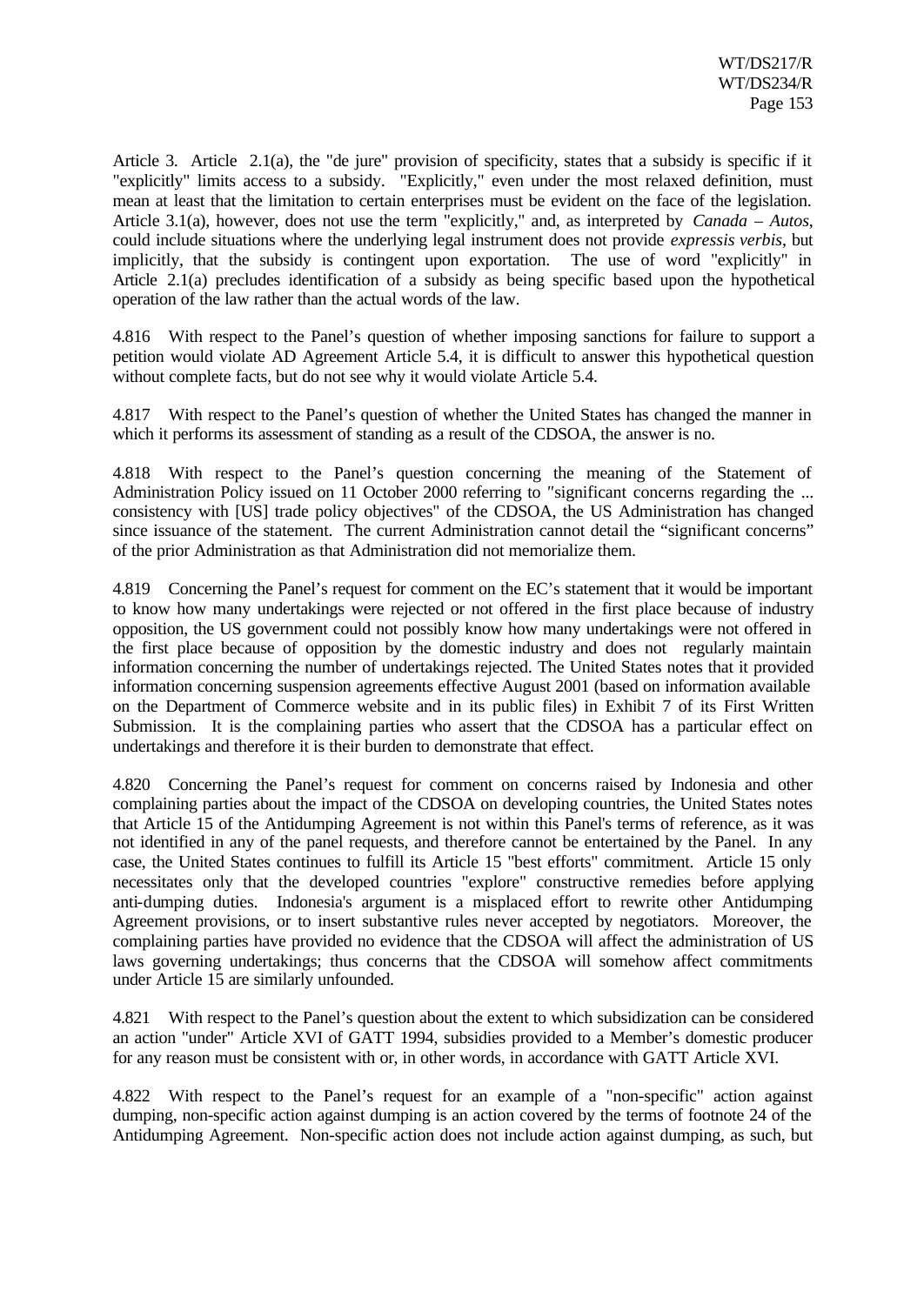Article 3. Article 2.1(a), the "de jure" provision of specificity, states that a subsidy is specific if it "explicitly" limits access to a subsidy. "Explicitly," even under the most relaxed definition, must mean at least that the limitation to certain enterprises must be evident on the face of the legislation. Article 3.1(a), however, does not use the term "explicitly," and, as interpreted by *Canada – Autos*, could include situations where the underlying legal instrument does not provide *expressis verbis*, but implicitly, that the subsidy is contingent upon exportation. The use of word "explicitly" in Article 2.1(a) precludes identification of a subsidy as being specific based upon the hypothetical operation of the law rather than the actual words of the law.

4.816 With respect to the Panel's question of whether imposing sanctions for failure to support a petition would violate AD Agreement Article 5.4, it is difficult to answer this hypothetical question without complete facts, but do not see why it would violate Article 5.4.

4.817 With respect to the Panel's question of whether the United States has changed the manner in which it performs its assessment of standing as a result of the CDSOA, the answer is no.

4.818 With respect to the Panel's question concerning the meaning of the Statement of Administration Policy issued on 11 October 2000 referring to *"*significant concerns regarding the ... consistency with [US] trade policy objectives" of the CDSOA, the US Administration has changed since issuance of the statement. The current Administration cannot detail the "significant concerns" of the prior Administration as that Administration did not memorialize them.

4.819 Concerning the Panel's request for comment on the EC's statement that it would be important to know how many undertakings were rejected or not offered in the first place because of industry opposition, the US government could not possibly know how many undertakings were not offered in the first place because of opposition by the domestic industry and does not regularly maintain information concerning the number of undertakings rejected. The United States notes that it provided information concerning suspension agreements effective August 2001 (based on information available on the Department of Commerce website and in its public files) in Exhibit 7 of its First Written Submission. It is the complaining parties who assert that the CDSOA has a particular effect on undertakings and therefore it is their burden to demonstrate that effect.

4.820 Concerning the Panel's request for comment on concerns raised by Indonesia and other complaining parties about the impact of the CDSOA on developing countries, the United States notes that Article 15 of the Antidumping Agreement is not within this Panel's terms of reference, as it was not identified in any of the panel requests, and therefore cannot be entertained by the Panel. In any case, the United States continues to fulfill its Article 15 "best efforts" commitment. Article 15 only necessitates only that the developed countries "explore" constructive remedies before applying anti-dumping duties. Indonesia's argument is a misplaced effort to rewrite other Antidumping Agreement provisions, or to insert substantive rules never accepted by negotiators. Moreover, the complaining parties have provided no evidence that the CDSOA will affect the administration of US laws governing undertakings; thus concerns that the CDSOA will somehow affect commitments under Article 15 are similarly unfounded.

4.821 With respect to the Panel's question about the extent to which subsidization can be considered an action "under" Article XVI of GATT 1994, subsidies provided to a Member's domestic producer for any reason must be consistent with or, in other words, in accordance with GATT Article XVI.

4.822 With respect to the Panel's request for an example of a "non-specific" action against dumping, non-specific action against dumping is an action covered by the terms of footnote 24 of the Antidumping Agreement. Non-specific action does not include action against dumping, as such, but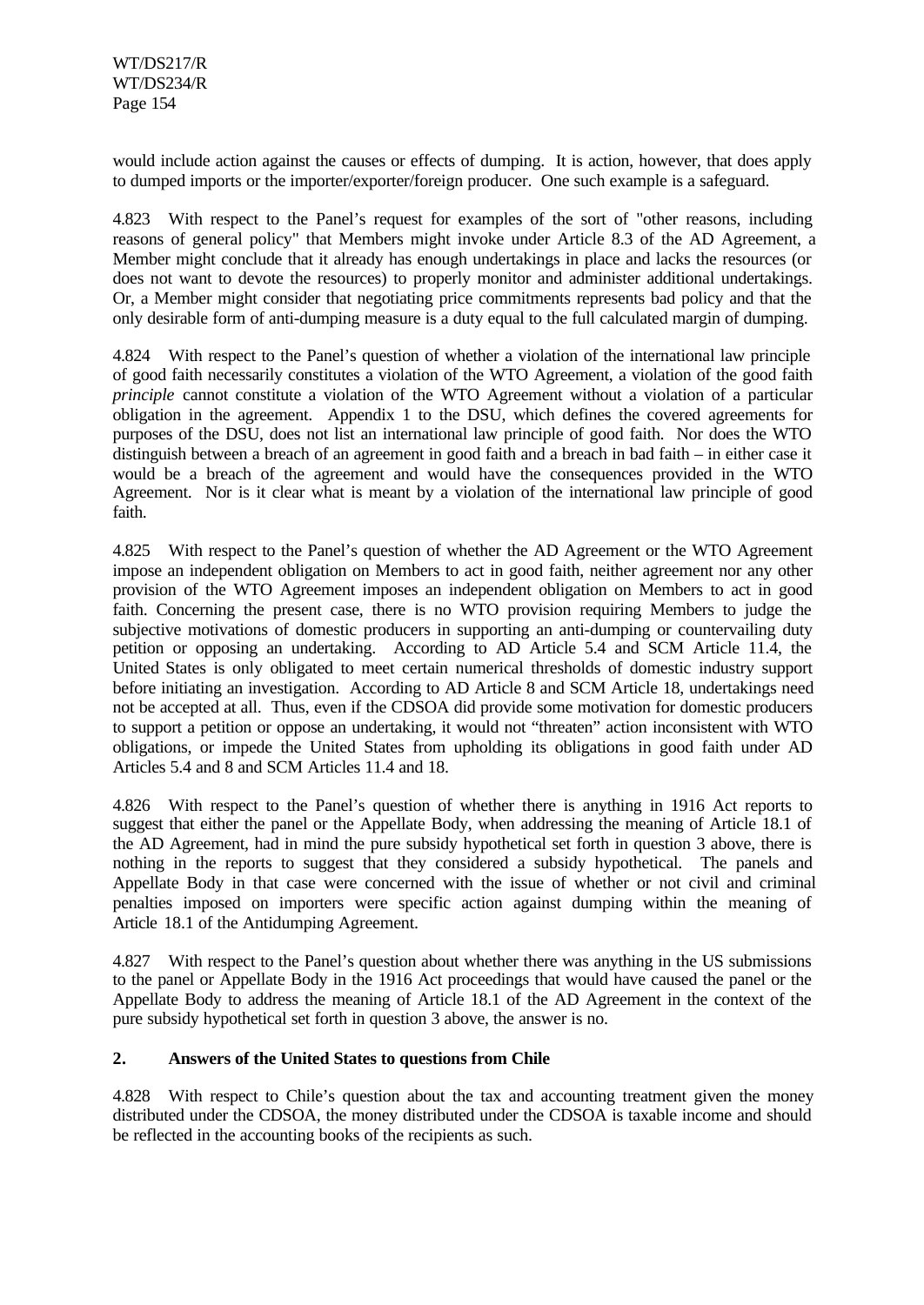would include action against the causes or effects of dumping. It is action, however, that does apply to dumped imports or the importer/exporter/foreign producer. One such example is a safeguard.

4.823 With respect to the Panel's request for examples of the sort of "other reasons, including reasons of general policy" that Members might invoke under Article 8.3 of the AD Agreement, a Member might conclude that it already has enough undertakings in place and lacks the resources (or does not want to devote the resources) to properly monitor and administer additional undertakings. Or, a Member might consider that negotiating price commitments represents bad policy and that the only desirable form of anti-dumping measure is a duty equal to the full calculated margin of dumping.

4.824 With respect to the Panel's question of whether a violation of the international law principle of good faith necessarily constitutes a violation of the WTO Agreement, a violation of the good faith *principle* cannot constitute a violation of the WTO Agreement without a violation of a particular obligation in the agreement. Appendix 1 to the DSU, which defines the covered agreements for purposes of the DSU, does not list an international law principle of good faith. Nor does the WTO distinguish between a breach of an agreement in good faith and a breach in bad faith – in either case it would be a breach of the agreement and would have the consequences provided in the WTO Agreement. Nor is it clear what is meant by a violation of the international law principle of good faith.

4.825 With respect to the Panel's question of whether the AD Agreement or the WTO Agreement impose an independent obligation on Members to act in good faith, neither agreement nor any other provision of the WTO Agreement imposes an independent obligation on Members to act in good faith. Concerning the present case, there is no WTO provision requiring Members to judge the subjective motivations of domestic producers in supporting an anti-dumping or countervailing duty petition or opposing an undertaking. According to AD Article 5.4 and SCM Article 11.4, the United States is only obligated to meet certain numerical thresholds of domestic industry support before initiating an investigation. According to AD Article 8 and SCM Article 18, undertakings need not be accepted at all. Thus, even if the CDSOA did provide some motivation for domestic producers to support a petition or oppose an undertaking, it would not "threaten" action inconsistent with WTO obligations, or impede the United States from upholding its obligations in good faith under AD Articles 5.4 and 8 and SCM Articles 11.4 and 18.

4.826 With respect to the Panel's question of whether there is anything in 1916 Act reports to suggest that either the panel or the Appellate Body, when addressing the meaning of Article 18.1 of the AD Agreement, had in mind the pure subsidy hypothetical set forth in question 3 above, there is nothing in the reports to suggest that they considered a subsidy hypothetical. The panels and Appellate Body in that case were concerned with the issue of whether or not civil and criminal penalties imposed on importers were specific action against dumping within the meaning of Article 18.1 of the Antidumping Agreement.

4.827 With respect to the Panel's question about whether there was anything in the US submissions to the panel or Appellate Body in the 1916 Act proceedings that would have caused the panel or the Appellate Body to address the meaning of Article 18.1 of the AD Agreement in the context of the pure subsidy hypothetical set forth in question 3 above, the answer is no.

# **2. Answers of the United States to questions from Chile**

4.828 With respect to Chile's question about the tax and accounting treatment given the money distributed under the CDSOA, the money distributed under the CDSOA is taxable income and should be reflected in the accounting books of the recipients as such.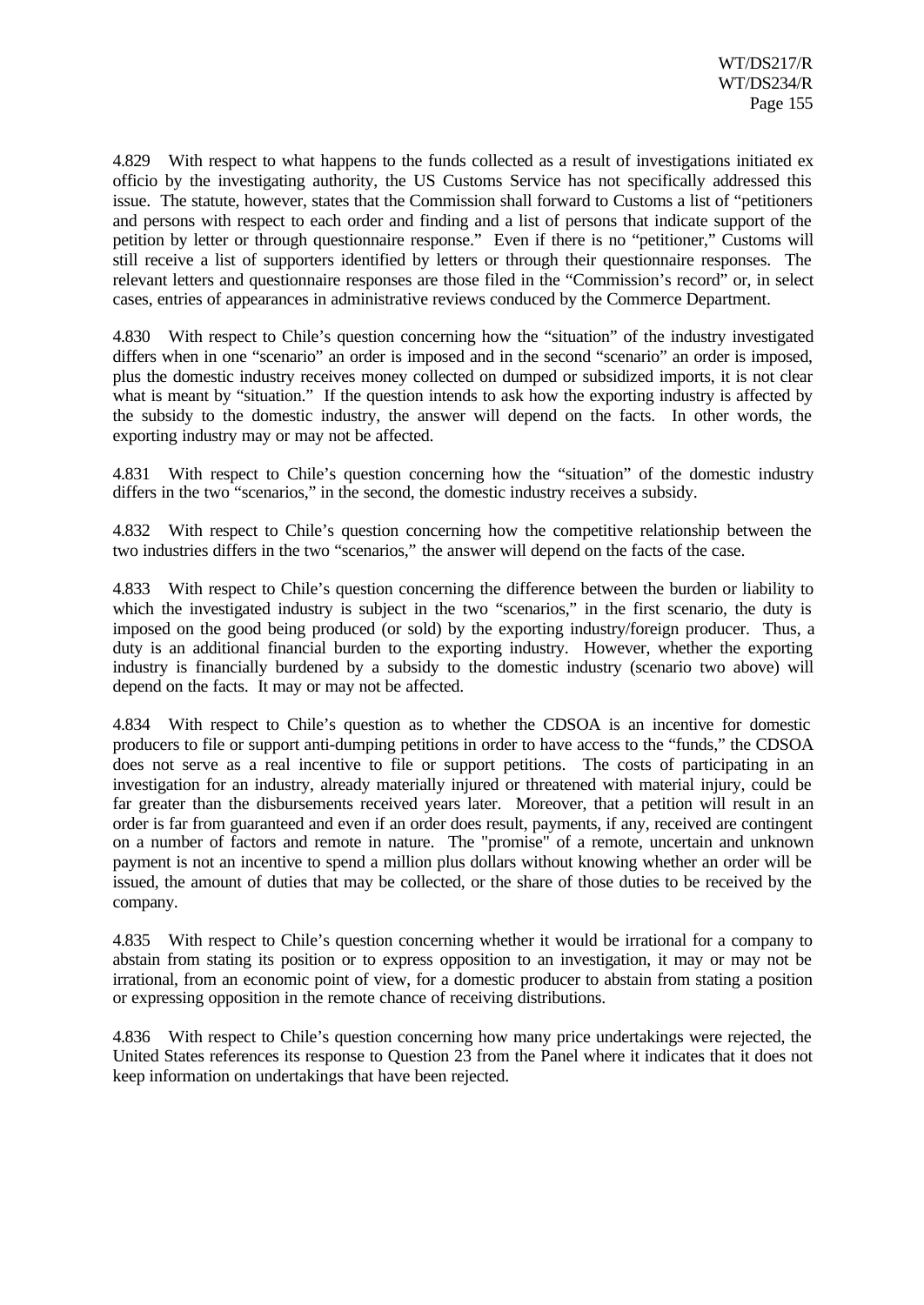4.829 With respect to what happens to the funds collected as a result of investigations initiated ex officio by the investigating authority, the US Customs Service has not specifically addressed this issue. The statute, however, states that the Commission shall forward to Customs a list of "petitioners and persons with respect to each order and finding and a list of persons that indicate support of the petition by letter or through questionnaire response." Even if there is no "petitioner," Customs will still receive a list of supporters identified by letters or through their questionnaire responses. The relevant letters and questionnaire responses are those filed in the "Commission's record" or, in select cases, entries of appearances in administrative reviews conduced by the Commerce Department.

4.830 With respect to Chile's question concerning how the "situation" of the industry investigated differs when in one "scenario" an order is imposed and in the second "scenario" an order is imposed, plus the domestic industry receives money collected on dumped or subsidized imports, it is not clear what is meant by "situation." If the question intends to ask how the exporting industry is affected by the subsidy to the domestic industry, the answer will depend on the facts. In other words, the exporting industry may or may not be affected.

4.831 With respect to Chile's question concerning how the "situation" of the domestic industry differs in the two "scenarios," in the second, the domestic industry receives a subsidy.

4.832 With respect to Chile's question concerning how the competitive relationship between the two industries differs in the two "scenarios," the answer will depend on the facts of the case.

4.833 With respect to Chile's question concerning the difference between the burden or liability to which the investigated industry is subject in the two "scenarios," in the first scenario, the duty is imposed on the good being produced (or sold) by the exporting industry/foreign producer. Thus, a duty is an additional financial burden to the exporting industry. However, whether the exporting industry is financially burdened by a subsidy to the domestic industry (scenario two above) will depend on the facts. It may or may not be affected.

4.834 With respect to Chile's question as to whether the CDSOA is an incentive for domestic producers to file or support anti-dumping petitions in order to have access to the "funds," the CDSOA does not serve as a real incentive to file or support petitions. The costs of participating in an investigation for an industry, already materially injured or threatened with material injury, could be far greater than the disbursements received years later. Moreover, that a petition will result in an order is far from guaranteed and even if an order does result, payments, if any, received are contingent on a number of factors and remote in nature. The "promise" of a remote, uncertain and unknown payment is not an incentive to spend a million plus dollars without knowing whether an order will be issued, the amount of duties that may be collected, or the share of those duties to be received by the company.

4.835 With respect to Chile's question concerning whether it would be irrational for a company to abstain from stating its position or to express opposition to an investigation, it may or may not be irrational, from an economic point of view, for a domestic producer to abstain from stating a position or expressing opposition in the remote chance of receiving distributions.

4.836 With respect to Chile's question concerning how many price undertakings were rejected, the United States references its response to Question 23 from the Panel where it indicates that it does not keep information on undertakings that have been rejected.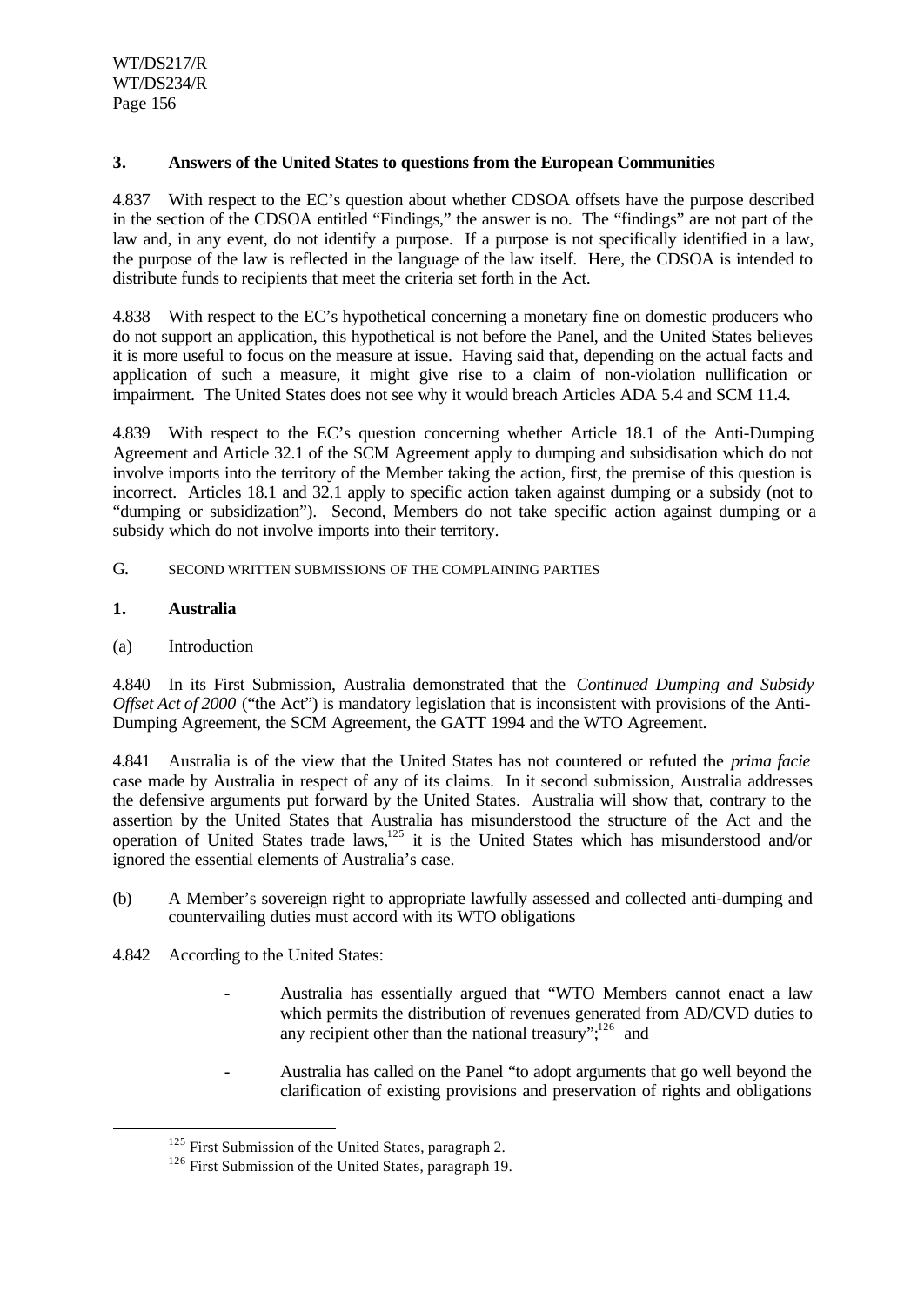### **3. Answers of the United States to questions from the European Communities**

4.837 With respect to the EC's question about whether CDSOA offsets have the purpose described in the section of the CDSOA entitled "Findings," the answer is no. The "findings" are not part of the law and, in any event, do not identify a purpose. If a purpose is not specifically identified in a law, the purpose of the law is reflected in the language of the law itself. Here, the CDSOA is intended to distribute funds to recipients that meet the criteria set forth in the Act.

4.838 With respect to the EC's hypothetical concerning a monetary fine on domestic producers who do not support an application, this hypothetical is not before the Panel, and the United States believes it is more useful to focus on the measure at issue. Having said that, depending on the actual facts and application of such a measure, it might give rise to a claim of non-violation nullification or impairment. The United States does not see why it would breach Articles ADA 5.4 and SCM 11.4.

4.839 With respect to the EC's question concerning whether Article 18.1 of the Anti-Dumping Agreement and Article 32.1 of the SCM Agreement apply to dumping and subsidisation which do not involve imports into the territory of the Member taking the action, first, the premise of this question is incorrect. Articles 18.1 and 32.1 apply to specific action taken against dumping or a subsidy (not to "dumping or subsidization"). Second, Members do not take specific action against dumping or a subsidy which do not involve imports into their territory.

## G. SECOND WRITTEN SUBMISSIONS OF THE COMPLAINING PARTIES

## **1. Australia**

l

(a) Introduction

4.840 In its First Submission, Australia demonstrated that the *Continued Dumping and Subsidy Offset Act of 2000* ("the Act") is mandatory legislation that is inconsistent with provisions of the Anti-Dumping Agreement, the SCM Agreement, the GATT 1994 and the WTO Agreement.

4.841 Australia is of the view that the United States has not countered or refuted the *prima facie* case made by Australia in respect of any of its claims. In it second submission, Australia addresses the defensive arguments put forward by the United States. Australia will show that, contrary to the assertion by the United States that Australia has misunderstood the structure of the Act and the operation of United States trade laws, $125$  it is the United States which has misunderstood and/or ignored the essential elements of Australia's case.

- (b) A Member's sovereign right to appropriate lawfully assessed and collected anti-dumping and countervailing duties must accord with its WTO obligations
- 4.842 According to the United States:
	- Australia has essentially argued that "WTO Members cannot enact a law which permits the distribution of revenues generated from AD/CVD duties to any recipient other than the national treasury"; $^{126}$  and
	- Australia has called on the Panel "to adopt arguments that go well beyond the clarification of existing provisions and preservation of rights and obligations

<sup>&</sup>lt;sup>125</sup> First Submission of the United States, paragraph 2.

<sup>&</sup>lt;sup>126</sup> First Submission of the United States, paragraph 19.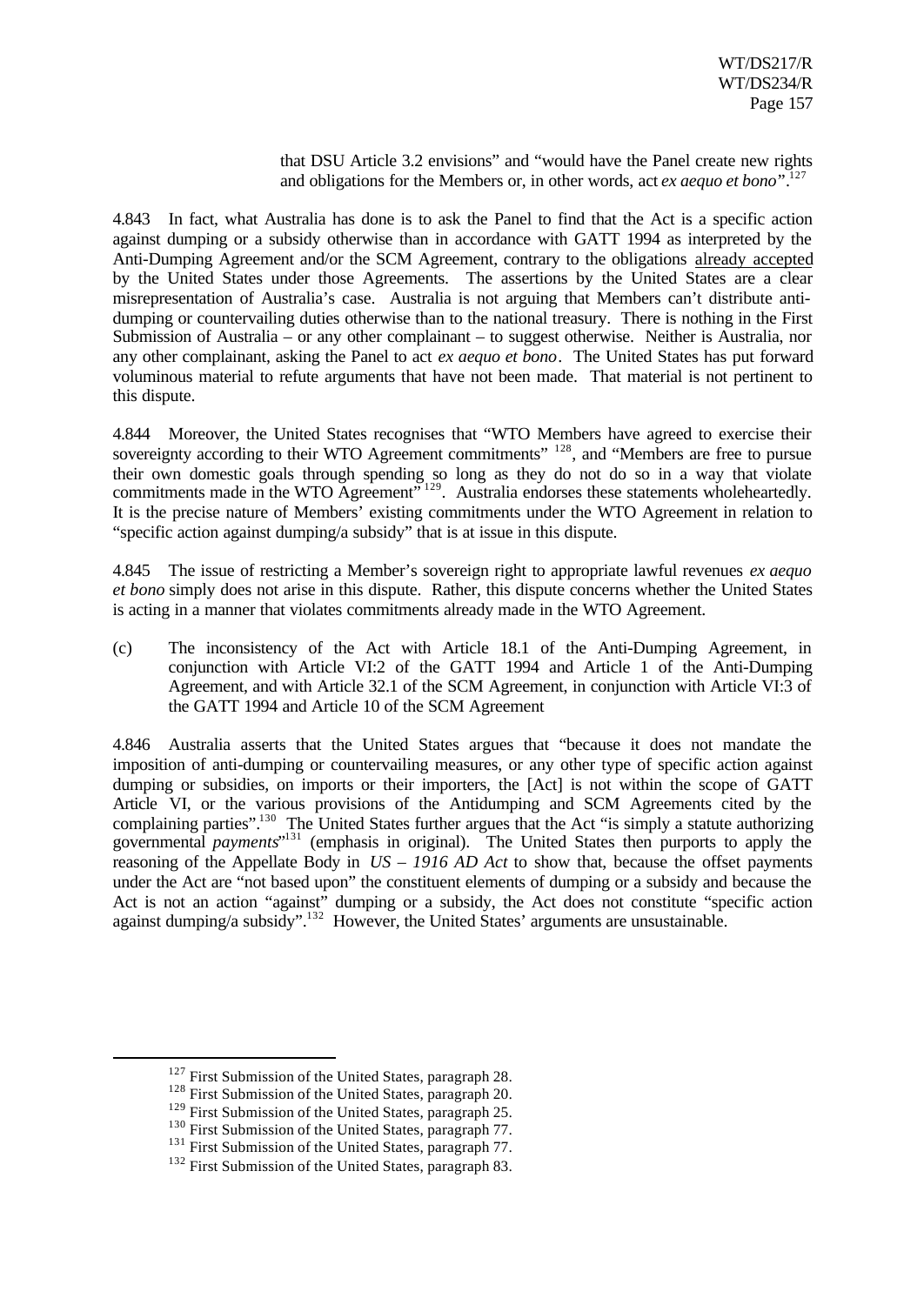that DSU Article 3.2 envisions" and "would have the Panel create new rights and obligations for the Members or, in other words, act *ex aequo et bono*".<sup>127</sup>

4.843 In fact, what Australia has done is to ask the Panel to find that the Act is a specific action against dumping or a subsidy otherwise than in accordance with GATT 1994 as interpreted by the Anti-Dumping Agreement and/or the SCM Agreement, contrary to the obligations already accepted by the United States under those Agreements. The assertions by the United States are a clear misrepresentation of Australia's case. Australia is not arguing that Members can't distribute antidumping or countervailing duties otherwise than to the national treasury. There is nothing in the First Submission of Australia – or any other complainant – to suggest otherwise. Neither is Australia, nor any other complainant, asking the Panel to act *ex aequo et bono*. The United States has put forward voluminous material to refute arguments that have not been made. That material is not pertinent to this dispute.

4.844 Moreover, the United States recognises that "WTO Members have agreed to exercise their sovereignty according to their WTO Agreement commitments" <sup>128</sup>, and "Members are free to pursue their own domestic goals through spending so long as they do not do so in a way that violate commitments made in the WTO Agreement" <sup>129</sup>. Australia endorses these statements wholeheartedly. It is the precise nature of Members' existing commitments under the WTO Agreement in relation to "specific action against dumping/a subsidy" that is at issue in this dispute.

4.845 The issue of restricting a Member's sovereign right to appropriate lawful revenues *ex aequo et bono* simply does not arise in this dispute. Rather, this dispute concerns whether the United States is acting in a manner that violates commitments already made in the WTO Agreement.

(c) The inconsistency of the Act with Article 18.1 of the Anti-Dumping Agreement, in conjunction with Article VI:2 of the GATT 1994 and Article 1 of the Anti-Dumping Agreement, and with Article 32.1 of the SCM Agreement, in conjunction with Article VI:3 of the GATT 1994 and Article 10 of the SCM Agreement

4.846 Australia asserts that the United States argues that "because it does not mandate the imposition of anti-dumping or countervailing measures, or any other type of specific action against dumping or subsidies, on imports or their importers, the [Act] is not within the scope of GATT Article VI, or the various provisions of the Antidumping and SCM Agreements cited by the complaining parties".<sup>130</sup> The United States further argues that the Act "is simply a statute authorizing governmental *payments*" <sup>131</sup> (emphasis in original). The United States then purports to apply the reasoning of the Appellate Body in *US – 1916 AD Act* to show that, because the offset payments under the Act are "not based upon" the constituent elements of dumping or a subsidy and because the Act is not an action "against" dumping or a subsidy, the Act does not constitute "specific action against dumping/a subsidy".<sup>132</sup> However, the United States' arguments are unsustainable.

<sup>&</sup>lt;sup>127</sup> First Submission of the United States, paragraph 28.

<sup>&</sup>lt;sup>128</sup> First Submission of the United States, paragraph 20.

<sup>&</sup>lt;sup>129</sup> First Submission of the United States, paragraph 25.

<sup>&</sup>lt;sup>130</sup> First Submission of the United States, paragraph 77.

<sup>&</sup>lt;sup>131</sup> First Submission of the United States, paragraph 77.

<sup>&</sup>lt;sup>132</sup> First Submission of the United States, paragraph 83.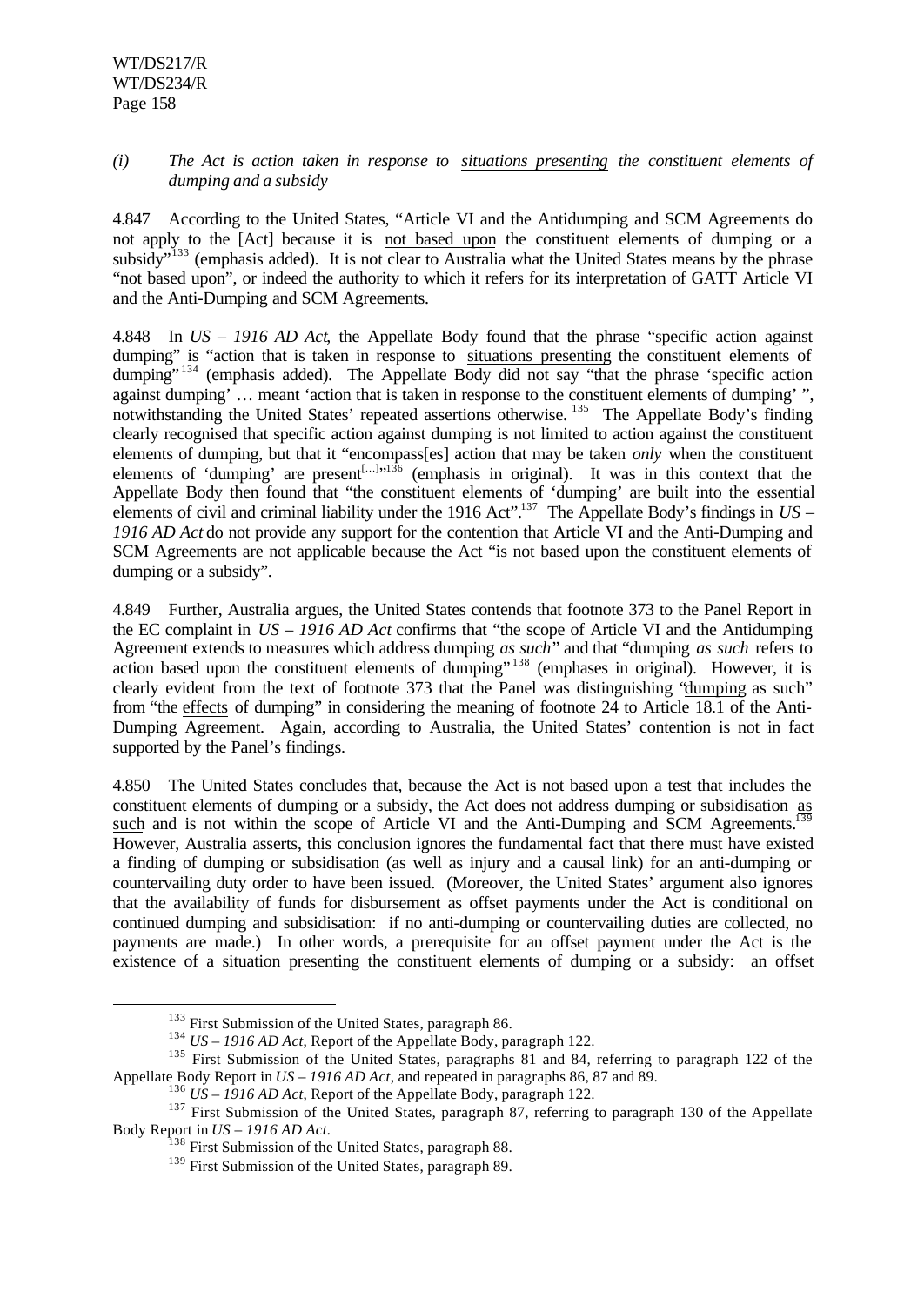l

#### *(i) The Act is action taken in response to situations presenting the constituent elements of dumping and a subsidy*

4.847 According to the United States, "Article VI and the Antidumping and SCM Agreements do not apply to the [Act] because it is not based upon the constituent elements of dumping or a subsidy $v^{133}$  (emphasis added). It is not clear to Australia what the United States means by the phrase "not based upon", or indeed the authority to which it refers for its interpretation of GATT Article VI and the Anti-Dumping and SCM Agreements.

4.848 In *US – 1916 AD Act*, the Appellate Body found that the phrase "specific action against dumping" is "action that is taken in response to situations presenting the constituent elements of dumping"<sup>134</sup> (emphasis added). The Appellate Body did not say "that the phrase 'specific action against dumping' … meant 'action that is taken in response to the constituent elements of dumping' ", notwithstanding the United States' repeated assertions otherwise. <sup>135</sup> The Appellate Body's finding clearly recognised that specific action against dumping is not limited to action against the constituent elements of dumping, but that it "encompass[es] action that may be taken *only* when the constituent elements of 'dumping' are present  $[...]$ <sup>56</sup> (emphasis in original). It was in this context that the Appellate Body then found that "the constituent elements of 'dumping' are built into the essential elements of civil and criminal liability under the 1916 Act<sup>".137</sup> The Appellate Body's findings in *US – 1916 AD Act* do not provide any support for the contention that Article VI and the Anti-Dumping and SCM Agreements are not applicable because the Act "is not based upon the constituent elements of dumping or a subsidy".

4.849 Further, Australia argues, the United States contends that footnote 373 to the Panel Report in the EC complaint in *US – 1916 AD Act* confirms that "the scope of Article VI and the Antidumping Agreement extends to measures which address dumping *as such*" and that "dumping *as such* refers to action based upon the constituent elements of dumping" 138 (emphases in original). However, it is clearly evident from the text of footnote 373 that the Panel was distinguishing "dumping as such" from "the effects of dumping" in considering the meaning of footnote 24 to Article 18.1 of the Anti-Dumping Agreement. Again, according to Australia, the United States' contention is not in fact supported by the Panel's findings.

4.850 The United States concludes that, because the Act is not based upon a test that includes the constituent elements of dumping or a subsidy, the Act does not address dumping or subsidisation as such and is not within the scope of Article VI and the Anti-Dumping and SCM Agreements.<sup>139</sup> However, Australia asserts, this conclusion ignores the fundamental fact that there must have existed a finding of dumping or subsidisation (as well as injury and a causal link) for an anti-dumping or countervailing duty order to have been issued. (Moreover, the United States' argument also ignores that the availability of funds for disbursement as offset payments under the Act is conditional on continued dumping and subsidisation: if no anti-dumping or countervailing duties are collected, no payments are made.) In other words, a prerequisite for an offset payment under the Act is the existence of a situation presenting the constituent elements of dumping or a subsidy: an offset

<sup>&</sup>lt;sup>133</sup> First Submission of the United States, paragraph 86.

<sup>134</sup> *US – 1916 AD Act*, Report of the Appellate Body, paragraph 122.

<sup>&</sup>lt;sup>135</sup> First Submission of the United States, paragraphs 81 and 84, referring to paragraph 122 of the Appellate Body Report in *US – 1916 AD Act*, and repeated in paragraphs 86, 87 and 89.

<sup>136</sup> *US – 1916 AD Act*, Report of the Appellate Body, paragraph 122.

<sup>&</sup>lt;sup>137</sup> First Submission of the United States, paragraph 87, referring to paragraph 130 of the Appellate Body Report in *US – 1916 AD Act.*

<sup>&</sup>lt;sup>138</sup> First Submission of the United States, paragraph 88.

<sup>&</sup>lt;sup>139</sup> First Submission of the United States, paragraph 89.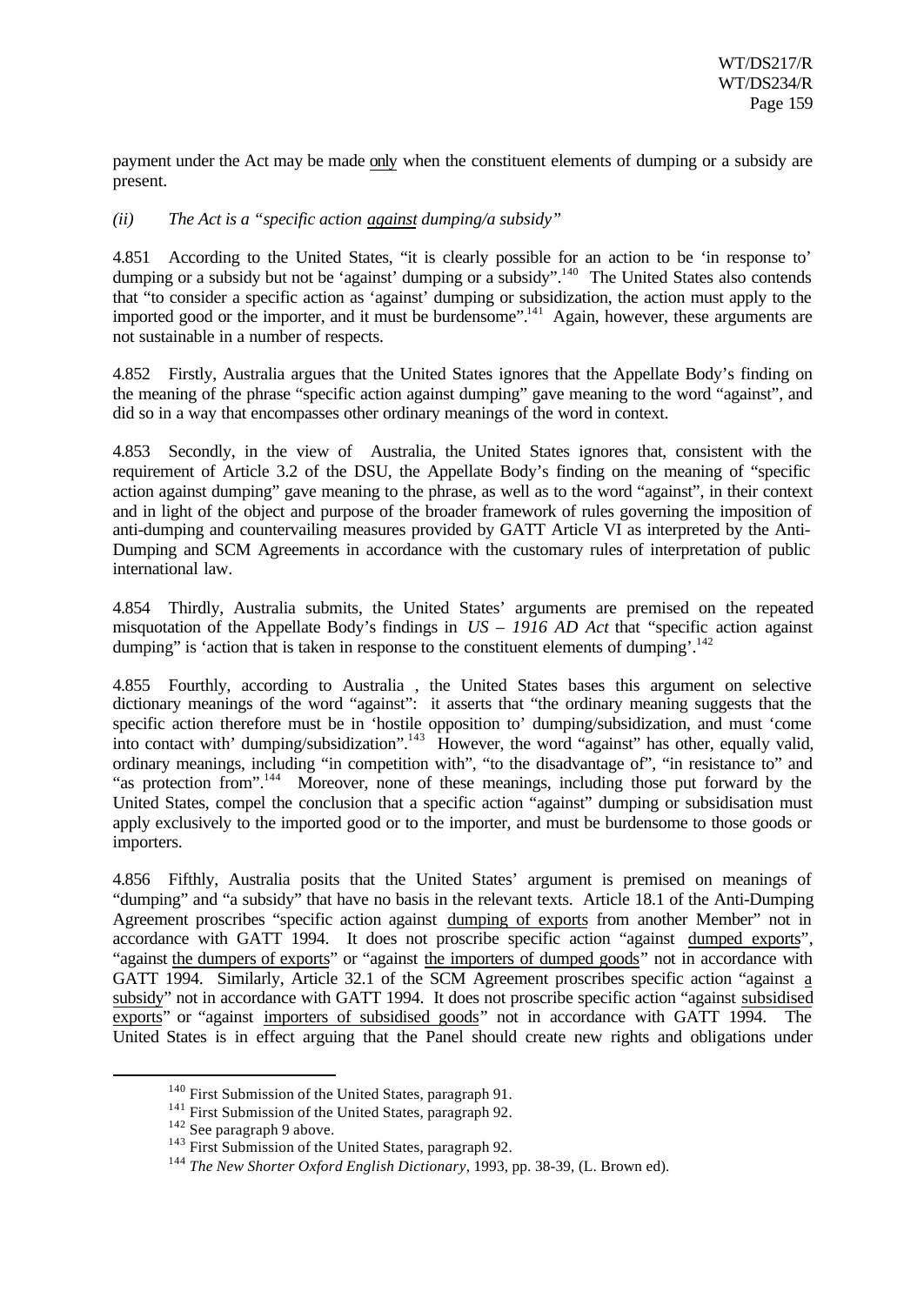payment under the Act may be made only when the constituent elements of dumping or a subsidy are present.

## *(ii) The Act is a "specific action against dumping/a subsidy"*

4.851 According to the United States, "it is clearly possible for an action to be 'in response to' dumping or a subsidy but not be 'against' dumping or a subsidy".<sup>140</sup> The United States also contends that "to consider a specific action as 'against' dumping or subsidization, the action must apply to the imported good or the importer, and it must be burdensome".<sup>141</sup> Again, however, these arguments are not sustainable in a number of respects.

4.852 Firstly, Australia argues that the United States ignores that the Appellate Body's finding on the meaning of the phrase "specific action against dumping" gave meaning to the word "against", and did so in a way that encompasses other ordinary meanings of the word in context.

4.853 Secondly, in the view of Australia, the United States ignores that, consistent with the requirement of Article 3.2 of the DSU, the Appellate Body's finding on the meaning of "specific action against dumping" gave meaning to the phrase, as well as to the word "against", in their context and in light of the object and purpose of the broader framework of rules governing the imposition of anti-dumping and countervailing measures provided by GATT Article VI as interpreted by the Anti-Dumping and SCM Agreements in accordance with the customary rules of interpretation of public international law.

4.854 Thirdly, Australia submits, the United States' arguments are premised on the repeated misquotation of the Appellate Body's findings in *US – 1916 AD Act* that "specific action against dumping" is 'action that is taken in response to the constituent elements of dumping'.<sup>142</sup>

4.855 Fourthly, according to Australia , the United States bases this argument on selective dictionary meanings of the word "against": it asserts that "the ordinary meaning suggests that the specific action therefore must be in 'hostile opposition to' dumping/subsidization, and must 'come into contact with' dumping/subsidization".<sup>143</sup> However, the word "against" has other, equally valid, ordinary meanings, including "in competition with", "to the disadvantage of", "in resistance to" and "as protection from".<sup>144</sup> Moreover, none of these meanings, including those put forward by the United States, compel the conclusion that a specific action "against" dumping or subsidisation must apply exclusively to the imported good or to the importer, and must be burdensome to those goods or importers.

4.856 Fifthly, Australia posits that the United States' argument is premised on meanings of "dumping" and "a subsidy" that have no basis in the relevant texts. Article 18.1 of the Anti-Dumping Agreement proscribes "specific action against dumping of exports from another Member" not in accordance with GATT 1994. It does not proscribe specific action "against dumped exports", "against the dumpers of exports" or "against the importers of dumped goods" not in accordance with GATT 1994. Similarly, Article 32.1 of the SCM Agreement proscribes specific action "against a subsidy" not in accordance with GATT 1994. It does not proscribe specific action "against subsidised exports" or "against importers of subsidised goods" not in accordance with GATT 1994. The United States is in effect arguing that the Panel should create new rights and obligations under

<sup>&</sup>lt;sup>140</sup> First Submission of the United States, paragraph 91.

<sup>&</sup>lt;sup>141</sup> First Submission of the United States, paragraph 92.

<sup>&</sup>lt;sup>142</sup> See paragraph 9 above.

 $143$  First Submission of the United States, paragraph 92.

<sup>144</sup> *The New Shorter Oxford English Dictionary*, 1993, pp. 38-39, (L. Brown ed).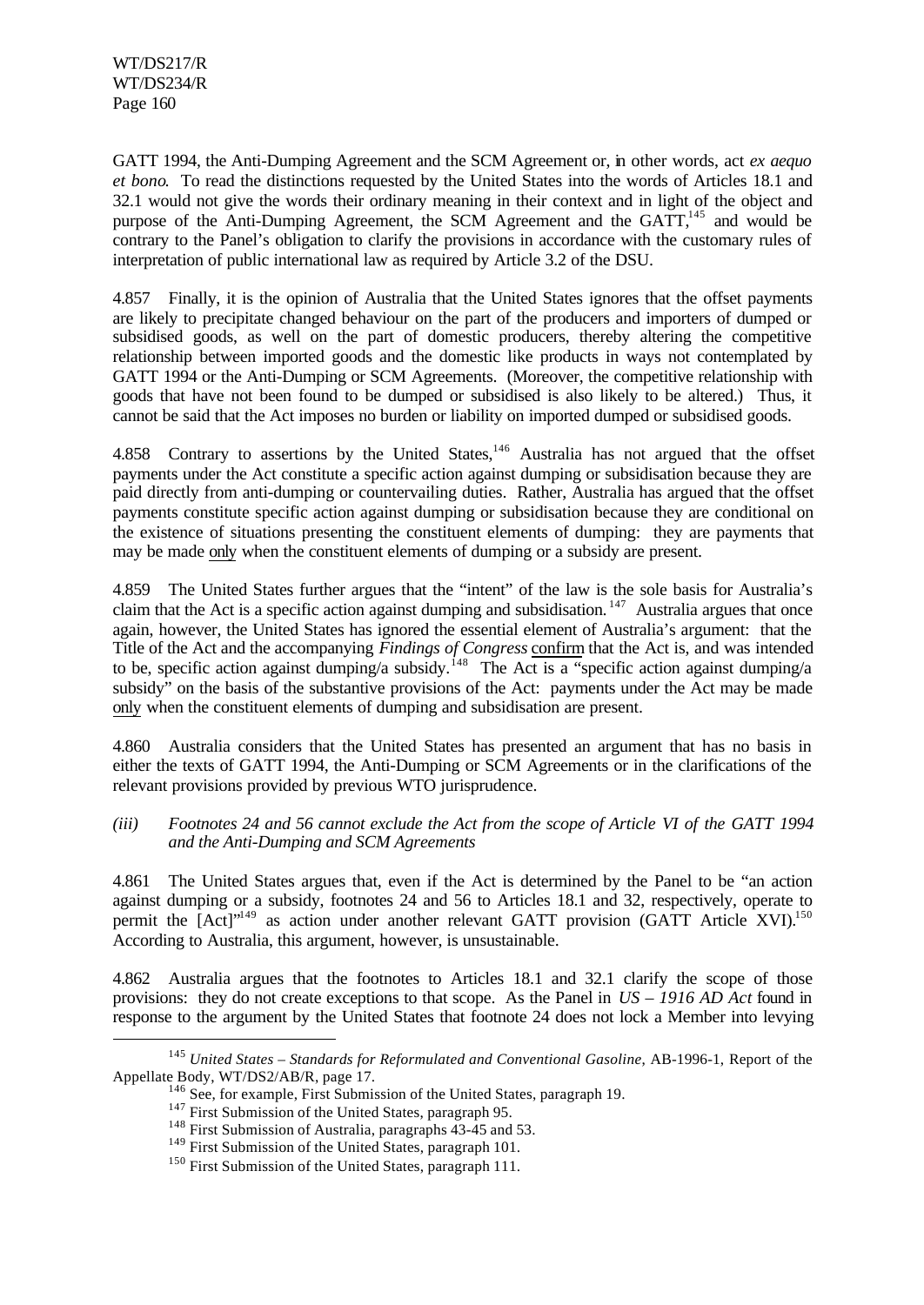l

GATT 1994, the Anti-Dumping Agreement and the SCM Agreement or, in other words, act *ex aequo et bono*. To read the distinctions requested by the United States into the words of Articles 18.1 and 32.1 would not give the words their ordinary meaning in their context and in light of the object and purpose of the Anti-Dumping Agreement, the SCM Agreement and the GATT,<sup>145</sup> and would be contrary to the Panel's obligation to clarify the provisions in accordance with the customary rules of interpretation of public international law as required by Article 3.2 of the DSU.

4.857 Finally, it is the opinion of Australia that the United States ignores that the offset payments are likely to precipitate changed behaviour on the part of the producers and importers of dumped or subsidised goods, as well on the part of domestic producers, thereby altering the competitive relationship between imported goods and the domestic like products in ways not contemplated by GATT 1994 or the Anti-Dumping or SCM Agreements. (Moreover, the competitive relationship with goods that have not been found to be dumped or subsidised is also likely to be altered.) Thus, it cannot be said that the Act imposes no burden or liability on imported dumped or subsidised goods.

4.858 Contrary to assertions by the United States,<sup>146</sup> Australia has not argued that the offset payments under the Act constitute a specific action against dumping or subsidisation because they are paid directly from anti-dumping or countervailing duties. Rather, Australia has argued that the offset payments constitute specific action against dumping or subsidisation because they are conditional on the existence of situations presenting the constituent elements of dumping: they are payments that may be made only when the constituent elements of dumping or a subsidy are present.

4.859 The United States further argues that the "intent" of the law is the sole basis for Australia's claim that the Act is a specific action against dumping and subsidisation.<sup>147</sup> Australia argues that once again, however, the United States has ignored the essential element of Australia's argument: that the Title of the Act and the accompanying *Findings of Congress* confirm that the Act is, and was intended to be, specific action against dumping/a subsidy.<sup>148</sup> The Act is a "specific action against dumping/a subsidy" on the basis of the substantive provisions of the Act: payments under the Act may be made only when the constituent elements of dumping and subsidisation are present.

4.860 Australia considers that the United States has presented an argument that has no basis in either the texts of GATT 1994, the Anti-Dumping or SCM Agreements or in the clarifications of the relevant provisions provided by previous WTO jurisprudence.

*(iii) Footnotes 24 and 56 cannot exclude the Act from the scope of Article VI of the GATT 1994 and the Anti-Dumping and SCM Agreements*

4.861 The United States argues that, even if the Act is determined by the Panel to be "an action against dumping or a subsidy, footnotes 24 and 56 to Articles 18.1 and 32, respectively, operate to permit the  $[Act]^{y149}$  as action under another relevant GATT provision (GATT Article XVI).<sup>150</sup> According to Australia, this argument, however, is unsustainable.

4.862 Australia argues that the footnotes to Articles 18.1 and 32.1 clarify the scope of those provisions: they do not create exceptions to that scope. As the Panel in *US – 1916 AD Act* found in response to the argument by the United States that footnote 24 does not lock a Member into levying

<sup>145</sup> *United States – Standards for Reformulated and Conventional Gasoline*, AB-1996-1, Report of the Appellate Body, WT/DS2/AB/R, page 17.

<sup>&</sup>lt;sup>146</sup> See, for example, First Submission of the United States, paragraph 19.

<sup>&</sup>lt;sup>147</sup> First Submission of the United States, paragraph 95.

<sup>&</sup>lt;sup>148</sup> First Submission of Australia, paragraphs 43-45 and 53.

<sup>&</sup>lt;sup>149</sup> First Submission of the United States, paragraph 101.

<sup>&</sup>lt;sup>150</sup> First Submission of the United States, paragraph 111.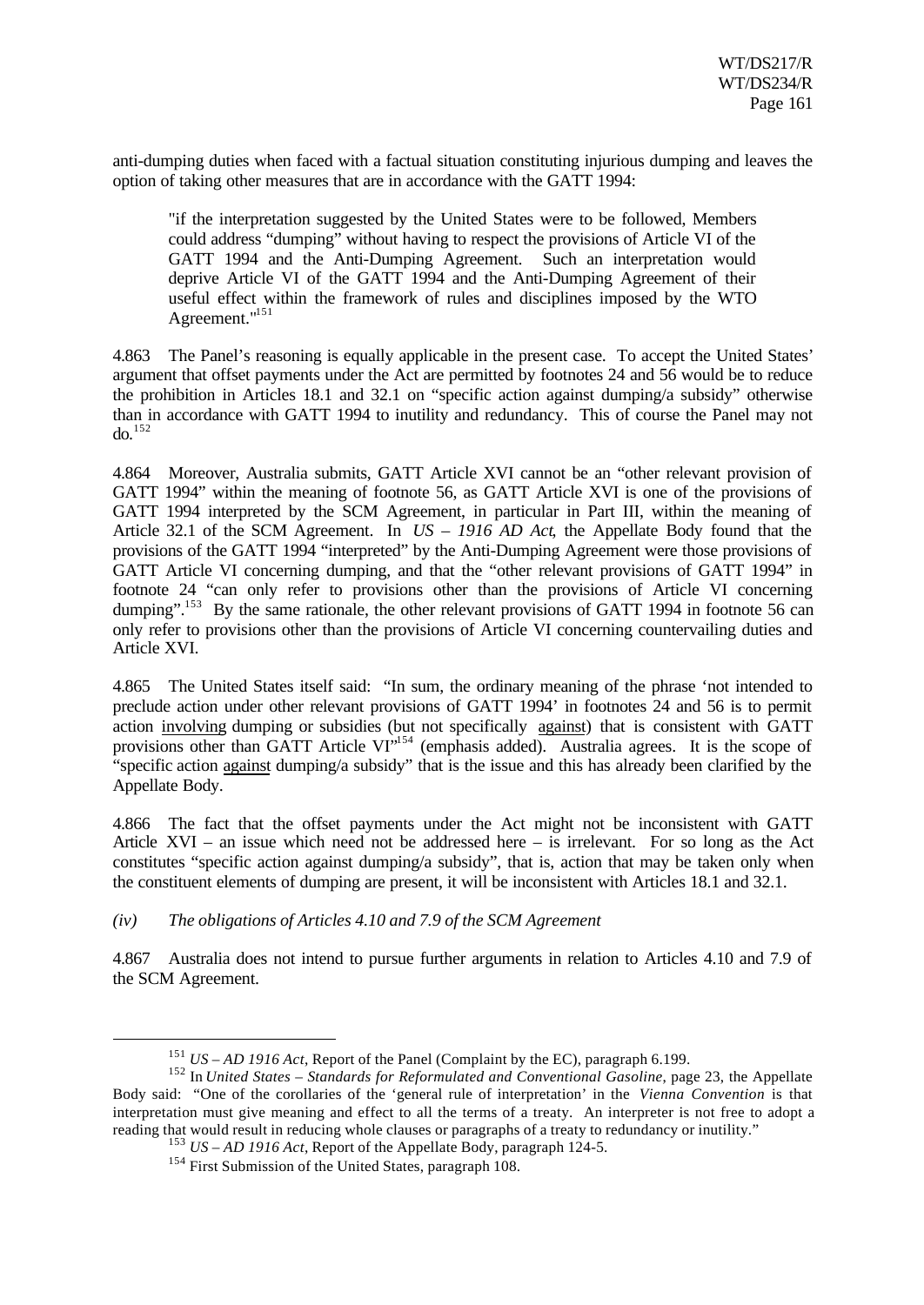anti-dumping duties when faced with a factual situation constituting injurious dumping and leaves the option of taking other measures that are in accordance with the GATT 1994:

"if the interpretation suggested by the United States were to be followed, Members could address "dumping" without having to respect the provisions of Article VI of the GATT 1994 and the Anti-Dumping Agreement. Such an interpretation would deprive Article VI of the GATT 1994 and the Anti-Dumping Agreement of their useful effect within the framework of rules and disciplines imposed by the WTO Agreement."<sup>151</sup>

4.863 The Panel's reasoning is equally applicable in the present case. To accept the United States' argument that offset payments under the Act are permitted by footnotes 24 and 56 would be to reduce the prohibition in Articles 18.1 and 32.1 on "specific action against dumping/a subsidy" otherwise than in accordance with GATT 1994 to inutility and redundancy. This of course the Panel may not  $d$ o.<sup>152</sup>

4.864 Moreover, Australia submits, GATT Article XVI cannot be an "other relevant provision of GATT 1994" within the meaning of footnote 56, as GATT Article XVI is one of the provisions of GATT 1994 interpreted by the SCM Agreement, in particular in Part III, within the meaning of Article 32.1 of the SCM Agreement. In *US – 1916 AD Act*, the Appellate Body found that the provisions of the GATT 1994 "interpreted" by the Anti-Dumping Agreement were those provisions of GATT Article VI concerning dumping, and that the "other relevant provisions of GATT 1994" in footnote 24 "can only refer to provisions other than the provisions of Article VI concerning dumping".<sup>153</sup> By the same rationale, the other relevant provisions of GATT 1994 in footnote 56 can only refer to provisions other than the provisions of Article VI concerning countervailing duties and Article XVI.

4.865 The United States itself said: "In sum, the ordinary meaning of the phrase 'not intended to preclude action under other relevant provisions of GATT 1994' in footnotes 24 and 56 is to permit action involving dumping or subsidies (but not specifically against) that is consistent with GATT provisions other than GATT Article VI<sup>"154</sup> (emphasis added). Australia agrees. It is the scope of "specific action against dumping/a subsidy" that is the issue and this has already been clarified by the Appellate Body.

4.866 The fact that the offset payments under the Act might not be inconsistent with GATT Article XVI – an issue which need not be addressed here – is irrelevant. For so long as the Act constitutes "specific action against dumping/a subsidy", that is, action that may be taken only when the constituent elements of dumping are present, it will be inconsistent with Articles 18.1 and 32.1.

#### *(iv) The obligations of Articles 4.10 and 7.9 of the SCM Agreement*

4.867 Australia does not intend to pursue further arguments in relation to Articles 4.10 and 7.9 of the SCM Agreement.

<sup>151</sup> *US – AD 1916 Act*, Report of the Panel (Complaint by the EC), paragraph 6.199.

<sup>152</sup> In *United States – Standards for Reformulated and Conventional Gasoline*, page 23, the Appellate Body said: "One of the corollaries of the 'general rule of interpretation' in the *Vienna Convention* is that interpretation must give meaning and effect to all the terms of a treaty. An interpreter is not free to adopt a reading that would result in reducing whole clauses or paragraphs of a treaty to redundancy or inutility."

<sup>153</sup> *US – AD 1916 Act*, Report of the Appellate Body, paragraph 124-5.

<sup>&</sup>lt;sup>154</sup> First Submission of the United States, paragraph 108.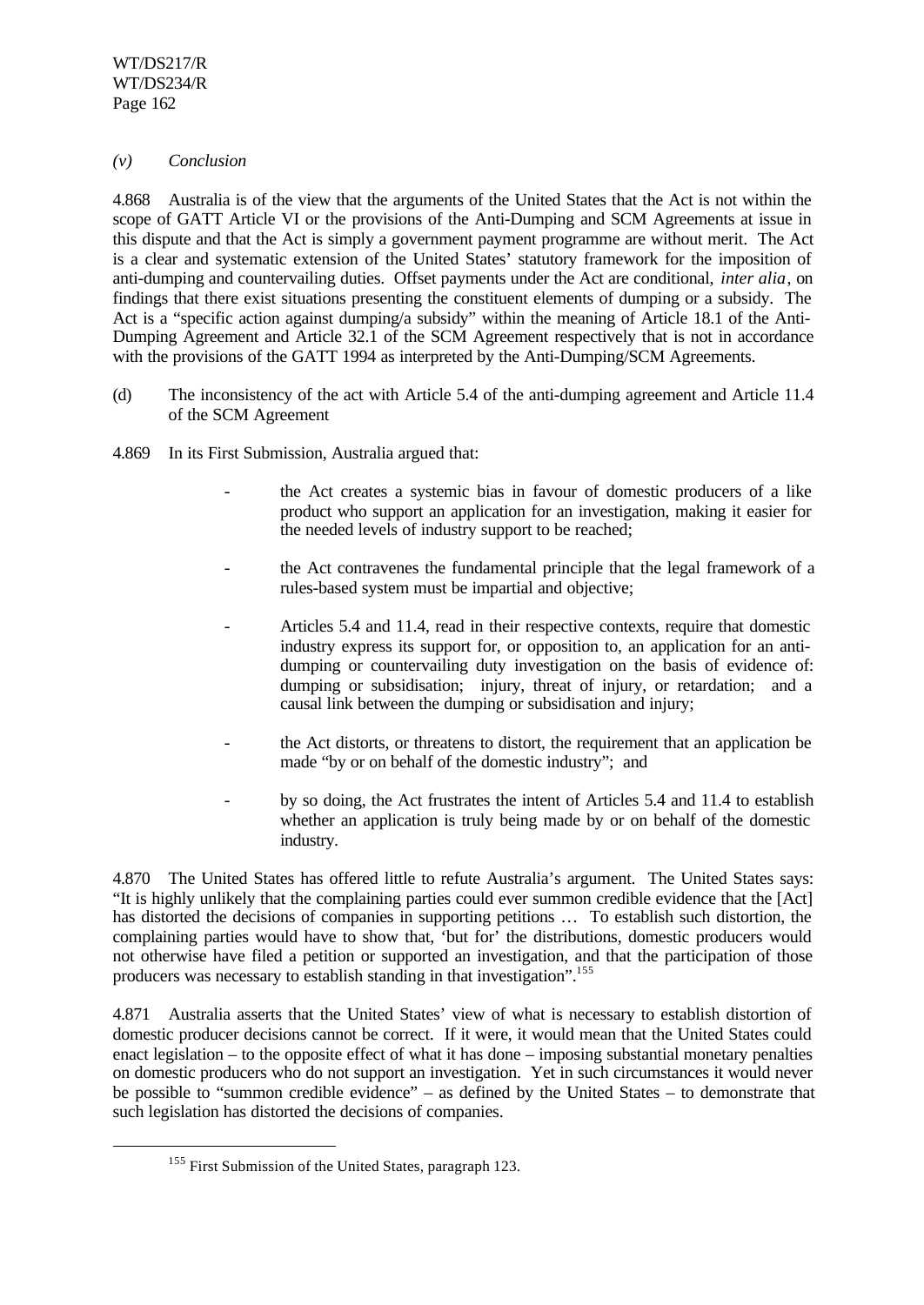WT/DS217/R WT/DS234/R Page 162

#### *(v) Conclusion*

4.868 Australia is of the view that the arguments of the United States that the Act is not within the scope of GATT Article VI or the provisions of the Anti-Dumping and SCM Agreements at issue in this dispute and that the Act is simply a government payment programme are without merit. The Act is a clear and systematic extension of the United States' statutory framework for the imposition of anti-dumping and countervailing duties. Offset payments under the Act are conditional, *inter alia*, on findings that there exist situations presenting the constituent elements of dumping or a subsidy. The Act is a "specific action against dumping/a subsidy" within the meaning of Article 18.1 of the Anti-Dumping Agreement and Article 32.1 of the SCM Agreement respectively that is not in accordance with the provisions of the GATT 1994 as interpreted by the Anti-Dumping/SCM Agreements.

- (d) The inconsistency of the act with Article 5.4 of the anti-dumping agreement and Article 11.4 of the SCM Agreement
- 4.869 In its First Submission, Australia argued that:
	- the Act creates a systemic bias in favour of domestic producers of a like product who support an application for an investigation, making it easier for the needed levels of industry support to be reached;
	- the Act contravenes the fundamental principle that the legal framework of a rules-based system must be impartial and objective;
	- Articles 5.4 and 11.4, read in their respective contexts, require that domestic industry express its support for, or opposition to, an application for an antidumping or countervailing duty investigation on the basis of evidence of: dumping or subsidisation; injury, threat of injury, or retardation; and a causal link between the dumping or subsidisation and injury;
	- the Act distorts, or threatens to distort, the requirement that an application be made "by or on behalf of the domestic industry"; and
	- by so doing, the Act frustrates the intent of Articles 5.4 and 11.4 to establish whether an application is truly being made by or on behalf of the domestic industry.

4.870 The United States has offered little to refute Australia's argument. The United States says: "It is highly unlikely that the complaining parties could ever summon credible evidence that the [Act] has distorted the decisions of companies in supporting petitions … To establish such distortion, the complaining parties would have to show that, 'but for' the distributions, domestic producers would not otherwise have filed a petition or supported an investigation, and that the participation of those producers was necessary to establish standing in that investigation".<sup>155</sup>

4.871 Australia asserts that the United States' view of what is necessary to establish distortion of domestic producer decisions cannot be correct. If it were, it would mean that the United States could enact legislation – to the opposite effect of what it has done – imposing substantial monetary penalties on domestic producers who do not support an investigation. Yet in such circumstances it would never be possible to "summon credible evidence" – as defined by the United States – to demonstrate that such legislation has distorted the decisions of companies.

<sup>&</sup>lt;sup>155</sup> First Submission of the United States, paragraph 123.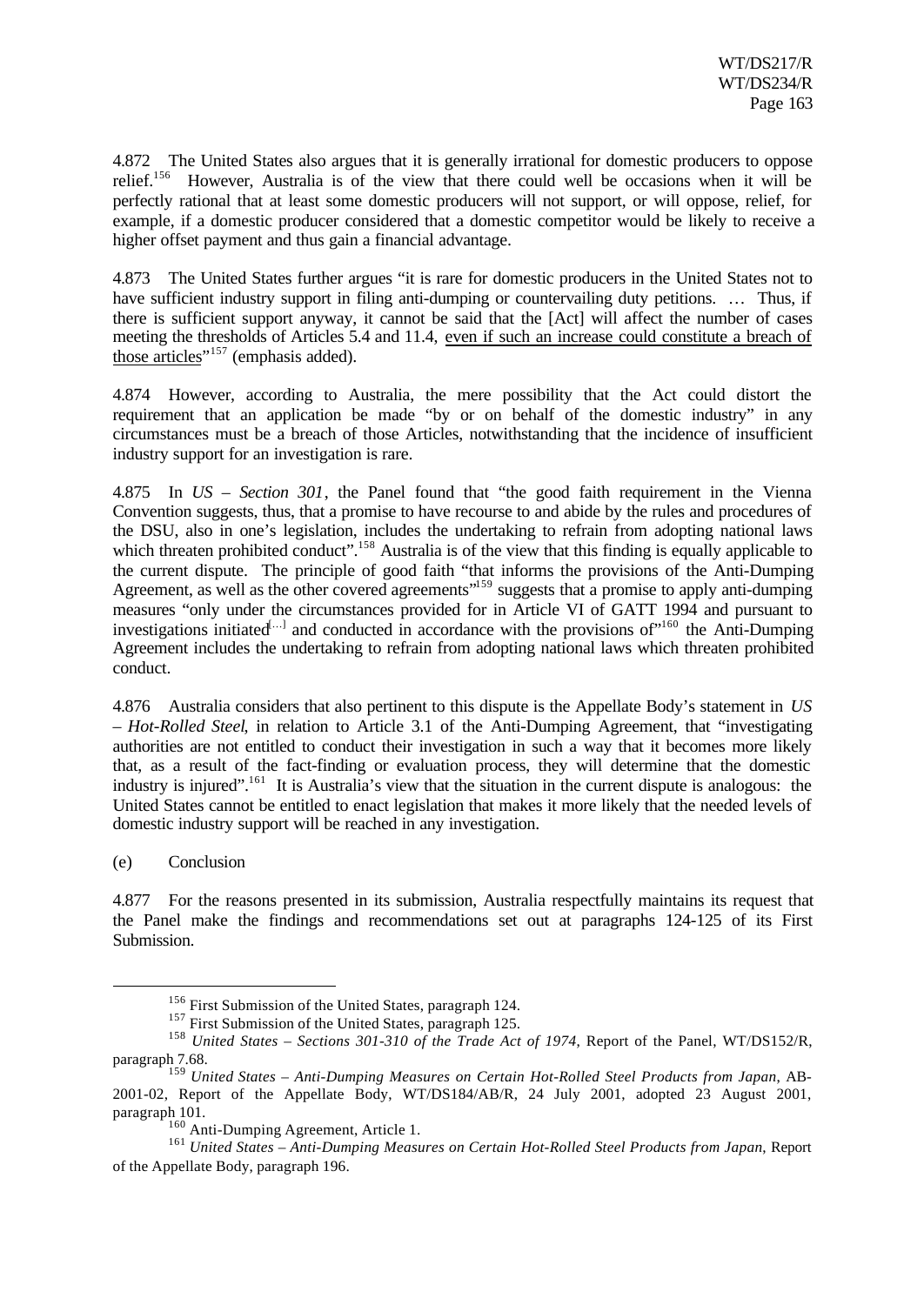4.872 The United States also argues that it is generally irrational for domestic producers to oppose relief.<sup>156</sup> However, Australia is of the view that there could well be occasions when it will be perfectly rational that at least some domestic producers will not support, or will oppose, relief, for example, if a domestic producer considered that a domestic competitor would be likely to receive a higher offset payment and thus gain a financial advantage.

4.873 The United States further argues "it is rare for domestic producers in the United States not to have sufficient industry support in filing anti-dumping or countervailing duty petitions. ... Thus, if there is sufficient support anyway, it cannot be said that the [Act] will affect the number of cases meeting the thresholds of Articles 5.4 and 11.4, even if such an increase could constitute a breach of those articles"<sup>157</sup> (emphasis added).

4.874 However, according to Australia, the mere possibility that the Act could distort the requirement that an application be made "by or on behalf of the domestic industry" in any circumstances must be a breach of those Articles, notwithstanding that the incidence of insufficient industry support for an investigation is rare.

4.875 In *US – Section 301*, the Panel found that "the good faith requirement in the Vienna Convention suggests, thus, that a promise to have recourse to and abide by the rules and procedures of the DSU, also in one's legislation, includes the undertaking to refrain from adopting national laws which threaten prohibited conduct".<sup>158</sup> Australia is of the view that this finding is equally applicable to the current dispute. The principle of good faith "that informs the provisions of the Anti-Dumping Agreement, as well as the other covered agreements<sup>"159</sup> suggests that a promise to apply anti-dumping measures "only under the circumstances provided for in Article VI of GATT 1994 and pursuant to investigations initiated. and conducted in accordance with the provisions of $160$  the Anti-Dumping Agreement includes the undertaking to refrain from adopting national laws which threaten prohibited conduct.

4.876 Australia considers that also pertinent to this dispute is the Appellate Body's statement in *US – Hot-Rolled Steel*, in relation to Article 3.1 of the Anti-Dumping Agreement, that "investigating authorities are not entitled to conduct their investigation in such a way that it becomes more likely that, as a result of the fact-finding or evaluation process, they will determine that the domestic industry is injured".<sup>161</sup> It is Australia's view that the situation in the current dispute is analogous: the United States cannot be entitled to enact legislation that makes it more likely that the needed levels of domestic industry support will be reached in any investigation.

(e) Conclusion

l

4.877 For the reasons presented in its submission, Australia respectfully maintains its request that the Panel make the findings and recommendations set out at paragraphs 124-125 of its First Submission.

<sup>&</sup>lt;sup>156</sup> First Submission of the United States, paragraph 124.

<sup>&</sup>lt;sup>157</sup> First Submission of the United States, paragraph 125.

<sup>158</sup> *United States – Sections 301-310 of the Trade Act of 1974*, Report of the Panel, WT/DS152/R, paragraph 7.68.

<sup>159</sup> *United States – Anti-Dumping Measures on Certain Hot-Rolled Steel Products from Japan*, AB-2001-02, Report of the Appellate Body, WT/DS184/AB/R, 24 July 2001, adopted 23 August 2001, paragraph 101.

<sup>&</sup>lt;sup>160</sup> Anti-Dumping Agreement, Article 1.

<sup>161</sup> *United States – Anti-Dumping Measures on Certain Hot-Rolled Steel Products from Japan*, Report of the Appellate Body, paragraph 196.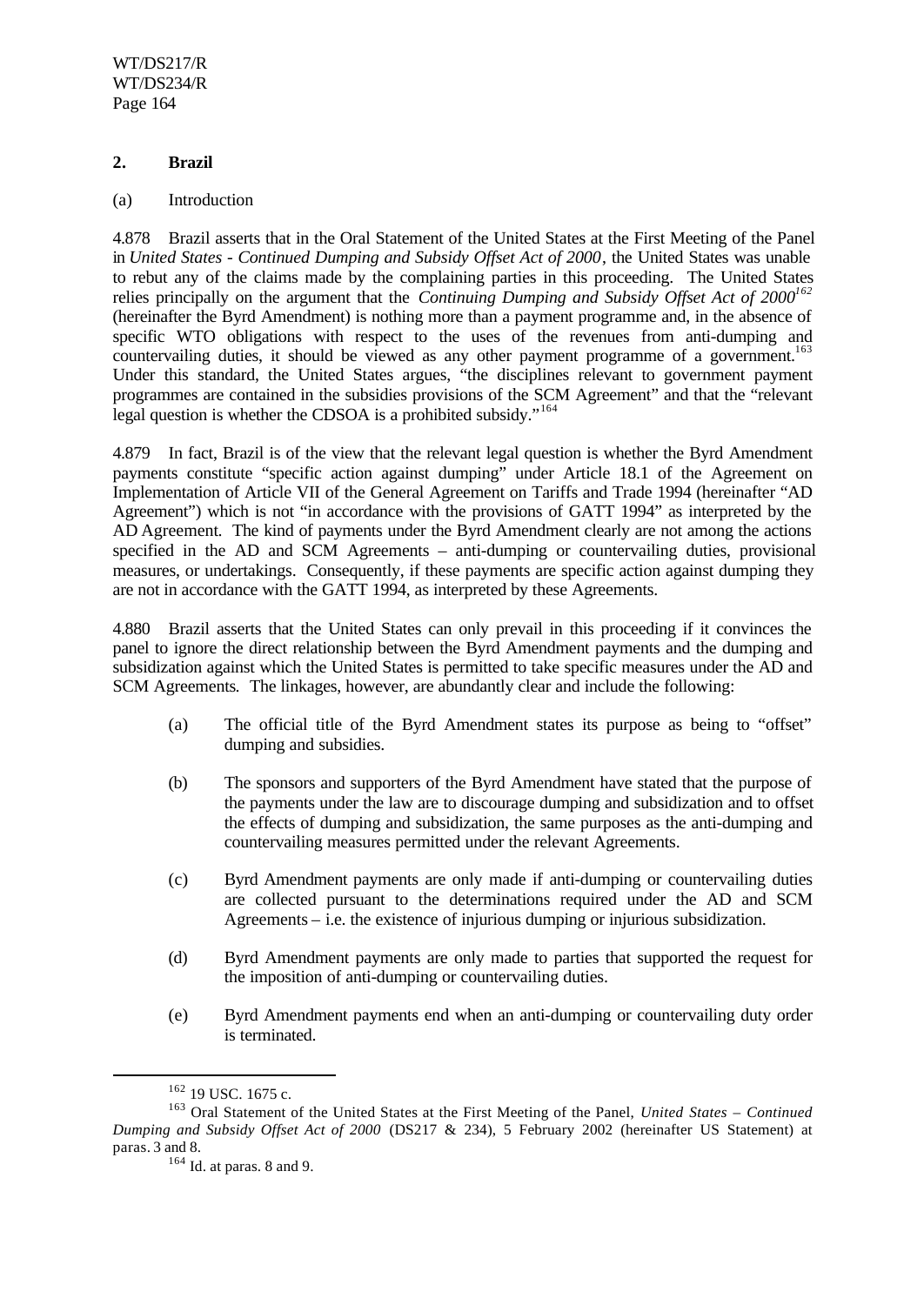## **2. Brazil**

#### (a) Introduction

4.878 Brazil asserts that in the Oral Statement of the United States at the First Meeting of the Panel in *United States - Continued Dumping and Subsidy Offset Act of 2000*, the United States was unable to rebut any of the claims made by the complaining parties in this proceeding. The United States relies principally on the argument that the *Continuing Dumping and Subsidy Offset Act of 2000<sup>162</sup>* (hereinafter the Byrd Amendment) is nothing more than a payment programme and, in the absence of specific WTO obligations with respect to the uses of the revenues from anti-dumping and countervailing duties, it should be viewed as any other payment programme of a government.<sup>163</sup> Under this standard, the United States argues, "the disciplines relevant to government payment programmes are contained in the subsidies provisions of the SCM Agreement" and that the "relevant legal question is whether the CDSOA is a prohibited subsidy."<sup>164</sup>

4.879 In fact, Brazil is of the view that the relevant legal question is whether the Byrd Amendment payments constitute "specific action against dumping" under Article 18.1 of the Agreement on Implementation of Article VII of the General Agreement on Tariffs and Trade 1994 (hereinafter "AD Agreement") which is not "in accordance with the provisions of GATT 1994" as interpreted by the AD Agreement*.* The kind of payments under the Byrd Amendment clearly are not among the actions specified in the AD and SCM Agreements – anti-dumping or countervailing duties, provisional measures, or undertakings. Consequently, if these payments are specific action against dumping they are not in accordance with the GATT 1994, as interpreted by these Agreements.

4.880 Brazil asserts that the United States can only prevail in this proceeding if it convinces the panel to ignore the direct relationship between the Byrd Amendment payments and the dumping and subsidization against which the United States is permitted to take specific measures under the AD and SCM Agreements*.* The linkages, however, are abundantly clear and include the following:

- (a) The official title of the Byrd Amendment states its purpose as being to "offset" dumping and subsidies.
- (b) The sponsors and supporters of the Byrd Amendment have stated that the purpose of the payments under the law are to discourage dumping and subsidization and to offset the effects of dumping and subsidization, the same purposes as the anti-dumping and countervailing measures permitted under the relevant Agreements.
- (c) Byrd Amendment payments are only made if anti-dumping or countervailing duties are collected pursuant to the determinations required under the AD and SCM Agreements – i.e. the existence of injurious dumping or injurious subsidization.
- (d) Byrd Amendment payments are only made to parties that supported the request for the imposition of anti-dumping or countervailing duties.
- (e) Byrd Amendment payments end when an anti-dumping or countervailing duty order is terminated.

<sup>162</sup> 19 USC. 1675 c.

<sup>163</sup> Oral Statement of the United States at the First Meeting of the Panel, *United States – Continued Dumping and Subsidy Offset Act of 2000* (DS217 & 234), 5 February 2002 (hereinafter US Statement) at paras. 3 and 8.

 $164$  Id. at paras. 8 and 9.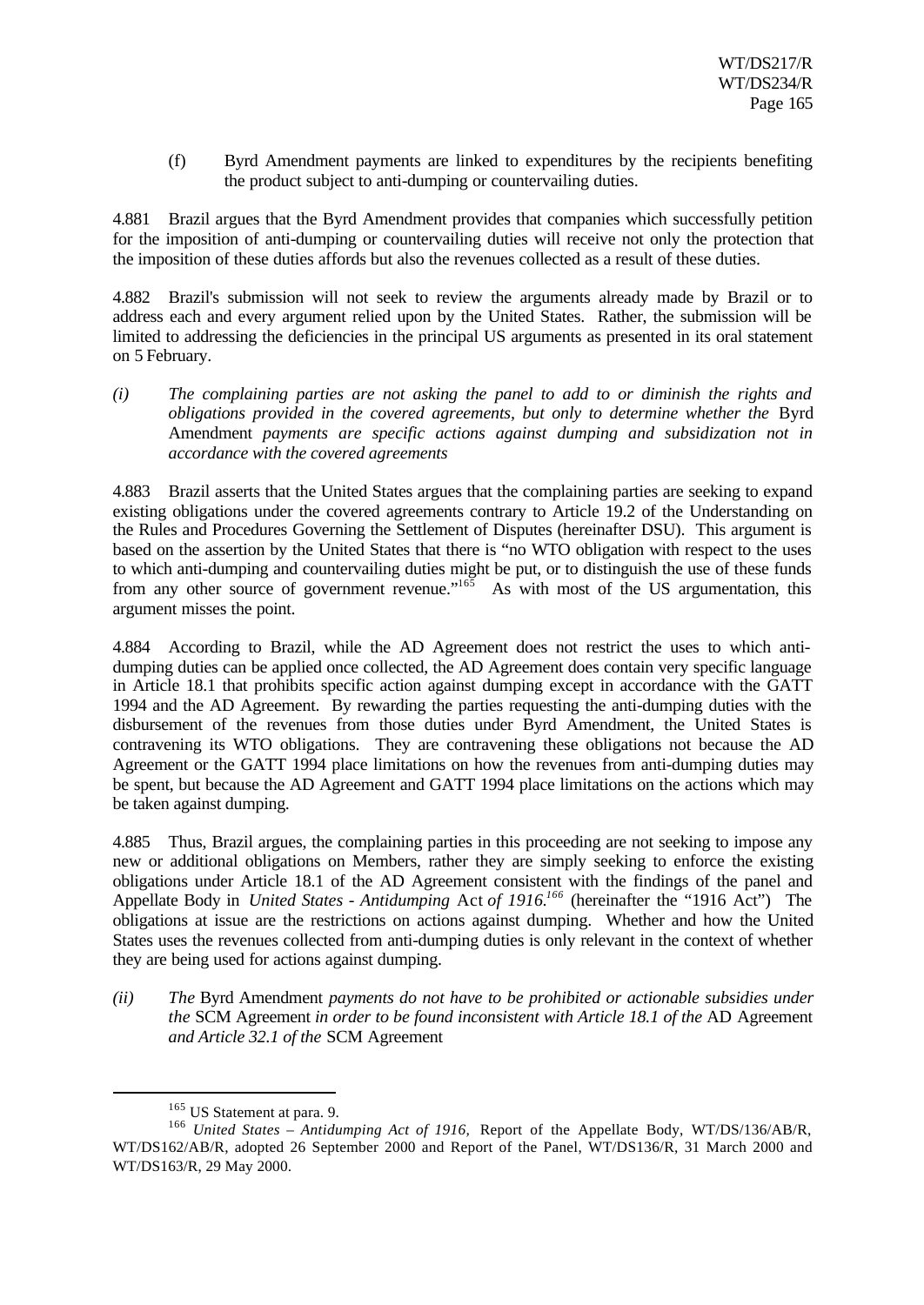(f) Byrd Amendment payments are linked to expenditures by the recipients benefiting the product subject to anti-dumping or countervailing duties.

4.881 Brazil argues that the Byrd Amendment provides that companies which successfully petition for the imposition of anti-dumping or countervailing duties will receive not only the protection that the imposition of these duties affords but also the revenues collected as a result of these duties.

4.882 Brazil's submission will not seek to review the arguments already made by Brazil or to address each and every argument relied upon by the United States. Rather, the submission will be limited to addressing the deficiencies in the principal US arguments as presented in its oral statement on 5 February.

*(i) The complaining parties are not asking the panel to add to or diminish the rights and obligations provided in the covered agreements, but only to determine whether the Byrd* Amendment *payments are specific actions against dumping and subsidization not in accordance with the covered agreements*

4.883 Brazil asserts that the United States argues that the complaining parties are seeking to expand existing obligations under the covered agreements contrary to Article 19.2 of the Understanding on the Rules and Procedures Governing the Settlement of Disputes (hereinafter DSU). This argument is based on the assertion by the United States that there is "no WTO obligation with respect to the uses to which anti-dumping and countervailing duties might be put, or to distinguish the use of these funds from any other source of government revenue."<sup>165</sup> As with most of the US argumentation, this argument misses the point.

4.884 According to Brazil, while the AD Agreement does not restrict the uses to which antidumping duties can be applied once collected, the AD Agreement does contain very specific language in Article 18.1 that prohibits specific action against dumping except in accordance with the GATT 1994 and the AD Agreement. By rewarding the parties requesting the anti-dumping duties with the disbursement of the revenues from those duties under Byrd Amendment, the United States is contravening its WTO obligations. They are contravening these obligations not because the AD Agreement or the GATT 1994 place limitations on how the revenues from anti-dumping duties may be spent, but because the AD Agreement and GATT 1994 place limitations on the actions which may be taken against dumping.

4.885 Thus, Brazil argues, the complaining parties in this proceeding are not seeking to impose any new or additional obligations on Members, rather they are simply seeking to enforce the existing obligations under Article 18.1 of the AD Agreement consistent with the findings of the panel and Appellate Body in *United States - Antidumping* Act *of 1916.<sup>166</sup>* (hereinafter the "1916 Act")The obligations at issue are the restrictions on actions against dumping. Whether and how the United States uses the revenues collected from anti-dumping duties is only relevant in the context of whether they are being used for actions against dumping.

*(ii) The* Byrd Amendment *payments do not have to be prohibited or actionable subsidies under the* SCM Agreement *in order to be found inconsistent with Article 18.1 of the* AD Agreement *and Article 32.1 of the* SCM Agreement

<sup>&</sup>lt;sup>165</sup> US Statement at para. 9.

<sup>166</sup> *United States – Antidumping Act of 1916,* Report of the Appellate Body, WT/DS/136/AB/R, WT/DS162/AB/R, adopted 26 September 2000 and Report of the Panel, WT/DS136/R, 31 March 2000 and WT/DS163/R, 29 May 2000.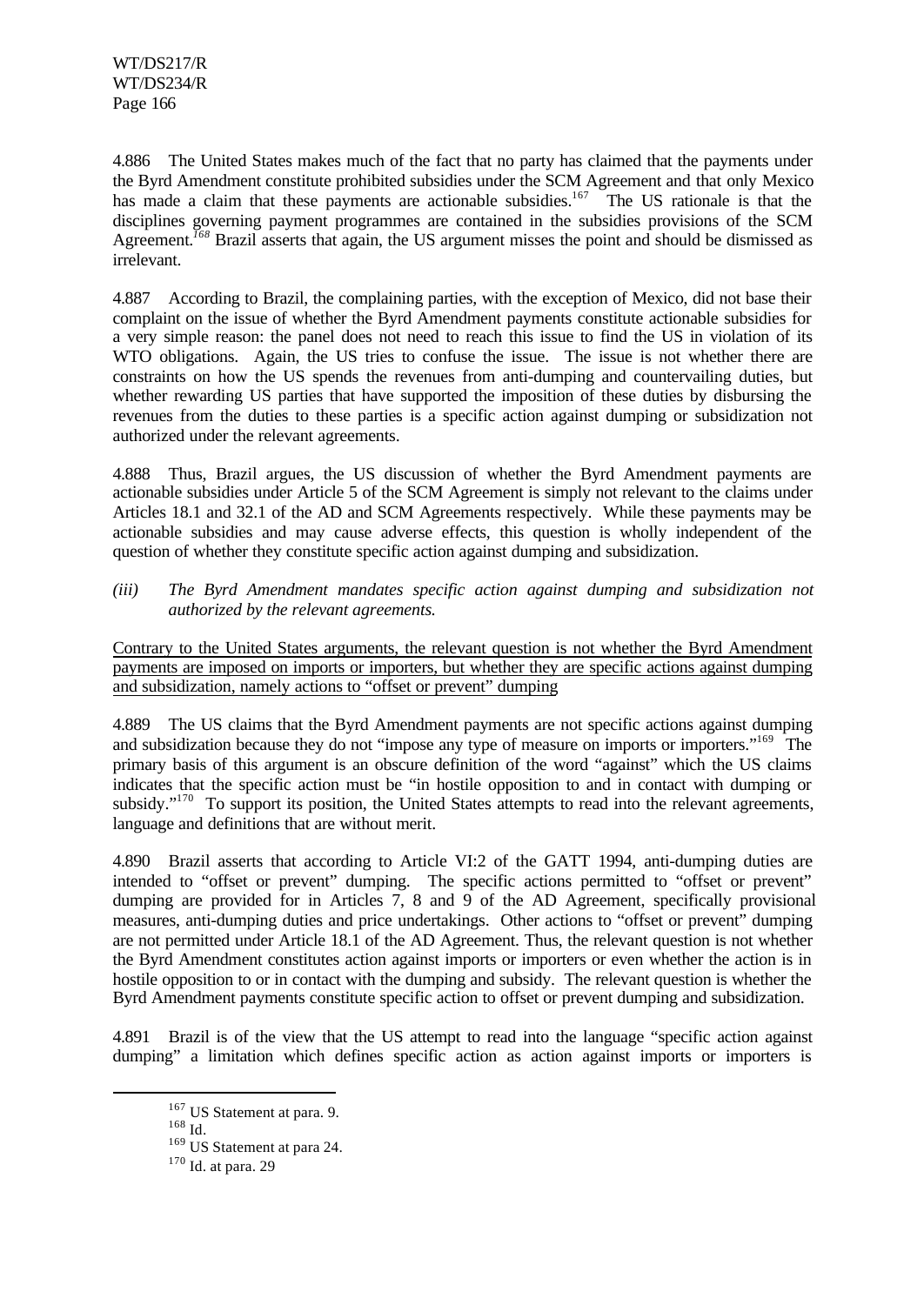4.886 The United States makes much of the fact that no party has claimed that the payments under the Byrd Amendment constitute prohibited subsidies under the SCM Agreement and that only Mexico has made a claim that these payments are actionable subsidies.<sup>167</sup> The US rationale is that the disciplines governing payment programmes are contained in the subsidies provisions of the SCM Agreement.<sup>768</sup> Brazil asserts that again, the US argument misses the point and should be dismissed as irrelevant.

4.887 According to Brazil, the complaining parties, with the exception of Mexico, did not base their complaint on the issue of whether the Byrd Amendment payments constitute actionable subsidies for a very simple reason: the panel does not need to reach this issue to find the US in violation of its WTO obligations. Again, the US tries to confuse the issue. The issue is not whether there are constraints on how the US spends the revenues from anti-dumping and countervailing duties, but whether rewarding US parties that have supported the imposition of these duties by disbursing the revenues from the duties to these parties is a specific action against dumping or subsidization not authorized under the relevant agreements.

4.888 Thus, Brazil argues, the US discussion of whether the Byrd Amendment payments are actionable subsidies under Article 5 of the SCM Agreement is simply not relevant to the claims under Articles 18.1 and 32.1 of the AD and SCM Agreements respectively. While these payments may be actionable subsidies and may cause adverse effects, this question is wholly independent of the question of whether they constitute specific action against dumping and subsidization.

*(iii) The Byrd Amendment mandates specific action against dumping and subsidization not authorized by the relevant agreements.*

Contrary to the United States arguments, the relevant question is not whether the Byrd Amendment payments are imposed on imports or importers, but whether they are specific actions against dumping and subsidization, namely actions to "offset or prevent" dumping

4.889 The US claims that the Byrd Amendment payments are not specific actions against dumping and subsidization because they do not "impose any type of measure on imports or importers."<sup>169</sup> The primary basis of this argument is an obscure definition of the word "against" which the US claims indicates that the specific action must be "in hostile opposition to and in contact with dumping or subsidy."<sup>170</sup> To support its position, the United States attempts to read into the relevant agreements, language and definitions that are without merit.

4.890 Brazil asserts that according to Article VI:2 of the GATT 1994, anti-dumping duties are intended to "offset or prevent" dumping. The specific actions permitted to "offset or prevent" dumping are provided for in Articles 7, 8 and 9 of the AD Agreement, specifically provisional measures, anti-dumping duties and price undertakings. Other actions to "offset or prevent" dumping are not permitted under Article 18.1 of the AD Agreement. Thus, the relevant question is not whether the Byrd Amendment constitutes action against imports or importers or even whether the action is in hostile opposition to or in contact with the dumping and subsidy. The relevant question is whether the Byrd Amendment payments constitute specific action to offset or prevent dumping and subsidization.

4.891 Brazil is of the view that the US attempt to read into the language "specific action against dumping" a limitation which defines specific action as action against imports or importers is

<sup>&</sup>lt;sup>167</sup> US Statement at para. 9.

 $168$  Id.

<sup>&</sup>lt;sup>169</sup> US Statement at para 24.

 $170$  Id. at para. 29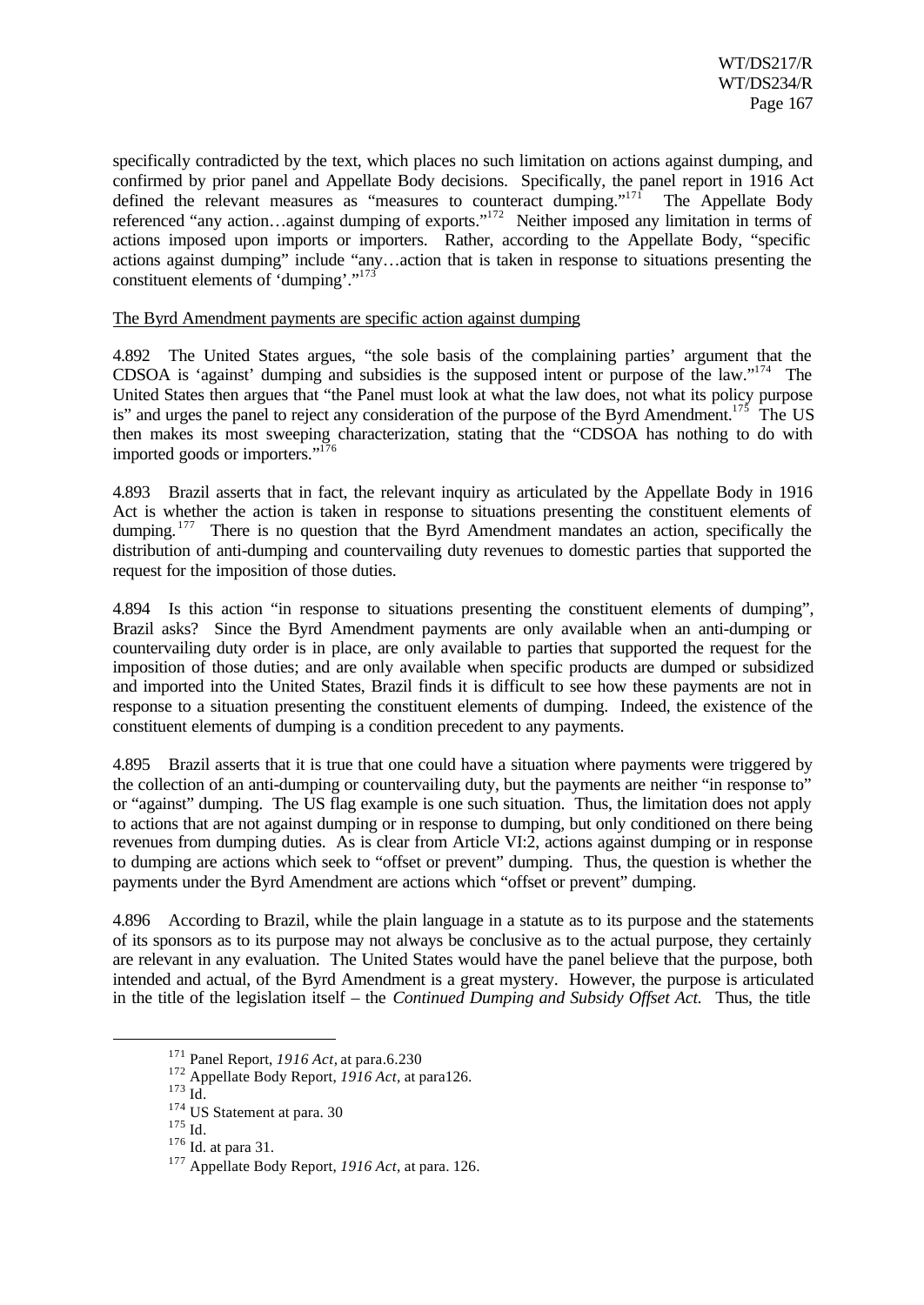specifically contradicted by the text, which places no such limitation on actions against dumping, and confirmed by prior panel and Appellate Body decisions. Specifically, the panel report in 1916 Act defined the relevant measures as "measures to counteract dumping."<sup>171</sup> The Appellate Body referenced "any action...against dumping of exports."<sup>172</sup> Neither imposed any limitation in terms of actions imposed upon imports or importers. Rather, according to the Appellate Body, "specific actions against dumping" include "any…action that is taken in response to situations presenting the constituent elements of 'dumping'."<sup>173</sup>

### The Byrd Amendment payments are specific action against dumping

4.892 The United States argues, "the sole basis of the complaining parties' argument that the CDSOA is 'against' dumping and subsidies is the supposed intent or purpose of the law."<sup>174</sup> The United States then argues that "the Panel must look at what the law does, not what its policy purpose is" and urges the panel to reject any consideration of the purpose of the Byrd Amendment.<sup>175</sup> The US then makes its most sweeping characterization, stating that the "CDSOA has nothing to do with imported goods or importers."<sup>176</sup>

4.893 Brazil asserts that in fact, the relevant inquiry as articulated by the Appellate Body in 1916 Act is whether the action is taken in response to situations presenting the constituent elements of dumping.<sup>177</sup> There is no question that the Byrd Amendment mandates an action, specifically the distribution of anti-dumping and countervailing duty revenues to domestic parties that supported the request for the imposition of those duties.

4.894 Is this action "in response to situations presenting the constituent elements of dumping", Brazil asks? Since the Byrd Amendment payments are only available when an anti-dumping or countervailing duty order is in place, are only available to parties that supported the request for the imposition of those duties; and are only available when specific products are dumped or subsidized and imported into the United States, Brazil finds it is difficult to see how these payments are not in response to a situation presenting the constituent elements of dumping. Indeed, the existence of the constituent elements of dumping is a condition precedent to any payments.

4.895 Brazil asserts that it is true that one could have a situation where payments were triggered by the collection of an anti-dumping or countervailing duty, but the payments are neither "in response to" or "against" dumping. The US flag example is one such situation. Thus, the limitation does not apply to actions that are not against dumping or in response to dumping, but only conditioned on there being revenues from dumping duties. As is clear from Article VI:2, actions against dumping or in response to dumping are actions which seek to "offset or prevent" dumping. Thus, the question is whether the payments under the Byrd Amendment are actions which "offset or prevent" dumping.

4.896 According to Brazil, while the plain language in a statute as to its purpose and the statements of its sponsors as to its purpose may not always be conclusive as to the actual purpose, they certainly are relevant in any evaluation. The United States would have the panel believe that the purpose, both intended and actual, of the Byrd Amendment is a great mystery. However, the purpose is articulated in the title of the legislation itself – the *Continued Dumping and Subsidy Offset Act.* Thus, the title

<sup>171</sup> Panel Report, *1916 Act,* at para.6.230

<sup>172</sup> Appellate Body Report, *1916 Act,* at para126.

<sup>173</sup> Id.

<sup>174</sup> US Statement at para. 30

 $^{175}$  Id.

 $176$  Id. at para 31.

<sup>177</sup> Appellate Body Report, *1916 Act,* at para. 126.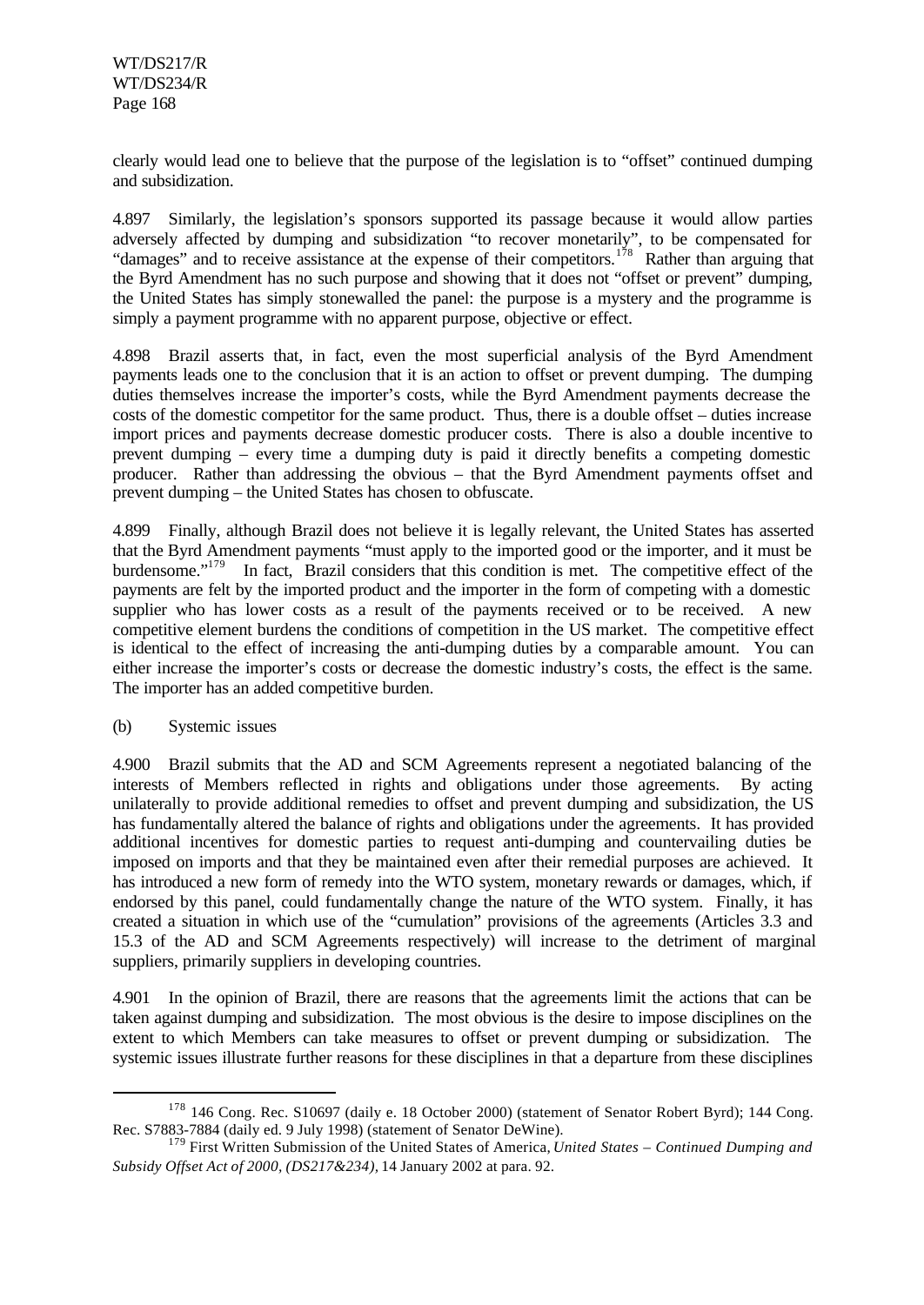clearly would lead one to believe that the purpose of the legislation is to "offset" continued dumping and subsidization.

4.897 Similarly, the legislation's sponsors supported its passage because it would allow parties adversely affected by dumping and subsidization "to recover monetarily", to be compensated for "damages" and to receive assistance at the expense of their competitors.<sup>178</sup> Rather than arguing that the Byrd Amendment has no such purpose and showing that it does not "offset or prevent" dumping, the United States has simply stonewalled the panel: the purpose is a mystery and the programme is simply a payment programme with no apparent purpose, objective or effect.

4.898 Brazil asserts that, in fact, even the most superficial analysis of the Byrd Amendment payments leads one to the conclusion that it is an action to offset or prevent dumping. The dumping duties themselves increase the importer's costs, while the Byrd Amendment payments decrease the costs of the domestic competitor for the same product. Thus, there is a double offset – duties increase import prices and payments decrease domestic producer costs. There is also a double incentive to prevent dumping – every time a dumping duty is paid it directly benefits a competing domestic producer. Rather than addressing the obvious – that the Byrd Amendment payments offset and prevent dumping – the United States has chosen to obfuscate.

4.899 Finally, although Brazil does not believe it is legally relevant, the United States has asserted that the Byrd Amendment payments "must apply to the imported good or the importer, and it must be burdensome."<sup>179</sup> In fact, Brazil considers that this condition is met. The competitive effect of the payments are felt by the imported product and the importer in the form of competing with a domestic supplier who has lower costs as a result of the payments received or to be received. A new competitive element burdens the conditions of competition in the US market. The competitive effect is identical to the effect of increasing the anti-dumping duties by a comparable amount. You can either increase the importer's costs or decrease the domestic industry's costs, the effect is the same. The importer has an added competitive burden.

#### (b) Systemic issues

l

4.900 Brazil submits that the AD and SCM Agreements represent a negotiated balancing of the interests of Members reflected in rights and obligations under those agreements. By acting unilaterally to provide additional remedies to offset and prevent dumping and subsidization, the US has fundamentally altered the balance of rights and obligations under the agreements. It has provided additional incentives for domestic parties to request anti-dumping and countervailing duties be imposed on imports and that they be maintained even after their remedial purposes are achieved. It has introduced a new form of remedy into the WTO system, monetary rewards or damages, which, if endorsed by this panel, could fundamentally change the nature of the WTO system. Finally, it has created a situation in which use of the "cumulation" provisions of the agreements (Articles 3.3 and 15.3 of the AD and SCM Agreements respectively) will increase to the detriment of marginal suppliers, primarily suppliers in developing countries.

4.901 In the opinion of Brazil, there are reasons that the agreements limit the actions that can be taken against dumping and subsidization. The most obvious is the desire to impose disciplines on the extent to which Members can take measures to offset or prevent dumping or subsidization. The systemic issues illustrate further reasons for these disciplines in that a departure from these disciplines

<sup>&</sup>lt;sup>178</sup> 146 Cong. Rec. S10697 (daily e. 18 October 2000) (statement of Senator Robert Byrd); 144 Cong. Rec. S7883-7884 (daily ed. 9 July 1998) (statement of Senator DeWine).

<sup>179</sup> First Written Submission of the United States of America, *United States – Continued Dumping and Subsidy Offset Act of 2000, (DS217&234),* 14 January 2002 at para. 92.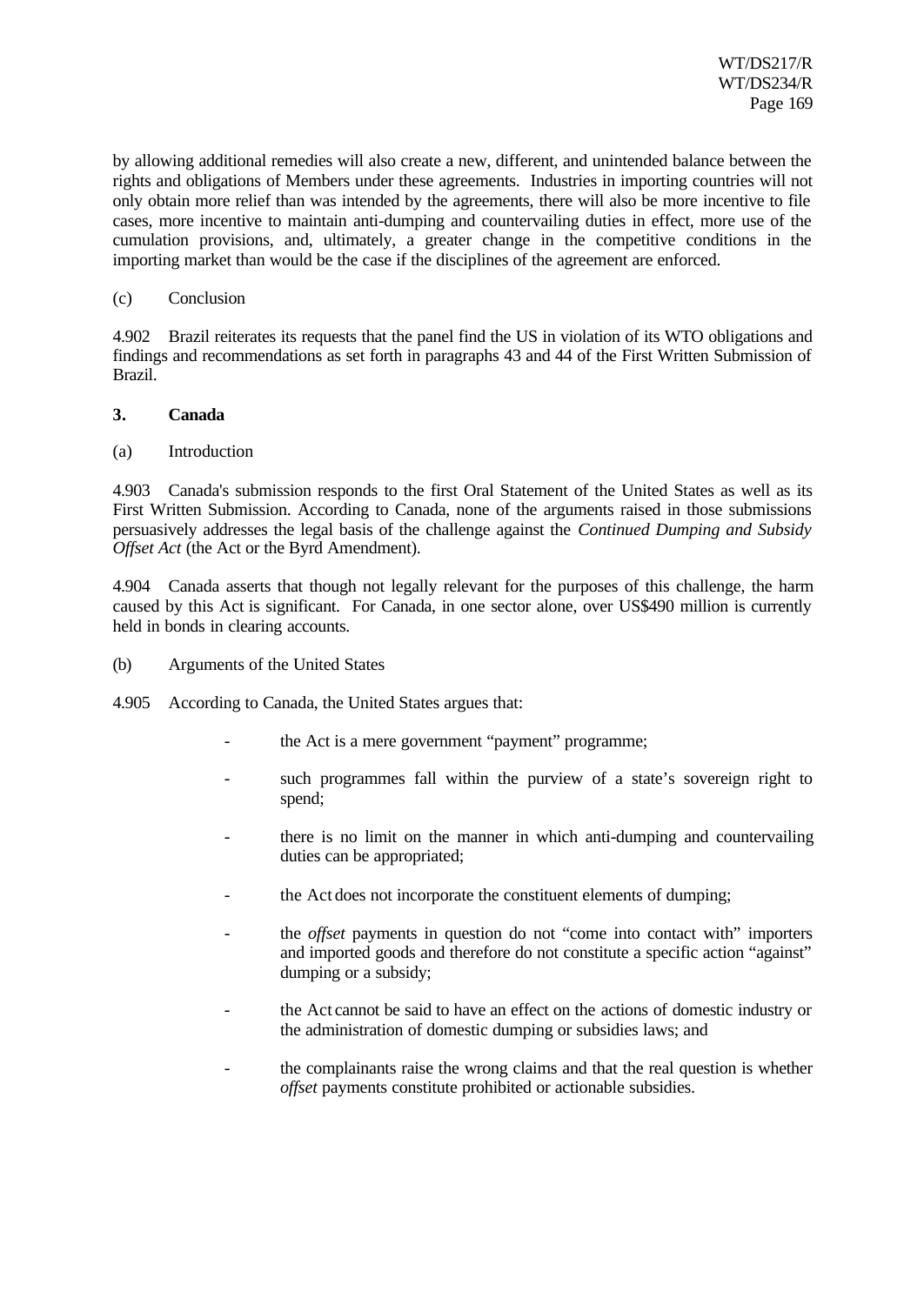by allowing additional remedies will also create a new, different, and unintended balance between the rights and obligations of Members under these agreements. Industries in importing countries will not only obtain more relief than was intended by the agreements, there will also be more incentive to file cases, more incentive to maintain anti-dumping and countervailing duties in effect, more use of the cumulation provisions, and, ultimately, a greater change in the competitive conditions in the importing market than would be the case if the disciplines of the agreement are enforced.

### (c) Conclusion

4.902 Brazil reiterates its requests that the panel find the US in violation of its WTO obligations and findings and recommendations as set forth in paragraphs 43 and 44 of the First Written Submission of Brazil.

## **3. Canada**

## (a) Introduction

4.903 Canada's submission responds to the first Oral Statement of the United States as well as its First Written Submission. According to Canada, none of the arguments raised in those submissions persuasively addresses the legal basis of the challenge against the *Continued Dumping and Subsidy Offset Act* (the Act or the Byrd Amendment).

4.904 Canada asserts that though not legally relevant for the purposes of this challenge, the harm caused by this Act is significant. For Canada, in one sector alone, over US\$490 million is currently held in bonds in clearing accounts.

- (b) Arguments of the United States
- 4.905 According to Canada, the United States argues that:
	- the Act is a mere government "payment" programme;
	- such programmes fall within the purview of a state's sovereign right to spend;
	- there is no limit on the manner in which anti-dumping and countervailing duties can be appropriated;
	- the Act does not incorporate the constituent elements of dumping;
	- the *offset* payments in question do not "come into contact with" importers and imported goods and therefore do not constitute a specific action "against" dumping or a subsidy;
	- the Act cannot be said to have an effect on the actions of domestic industry or the administration of domestic dumping or subsidies laws; and
	- the complainants raise the wrong claims and that the real question is whether *offset* payments constitute prohibited or actionable subsidies.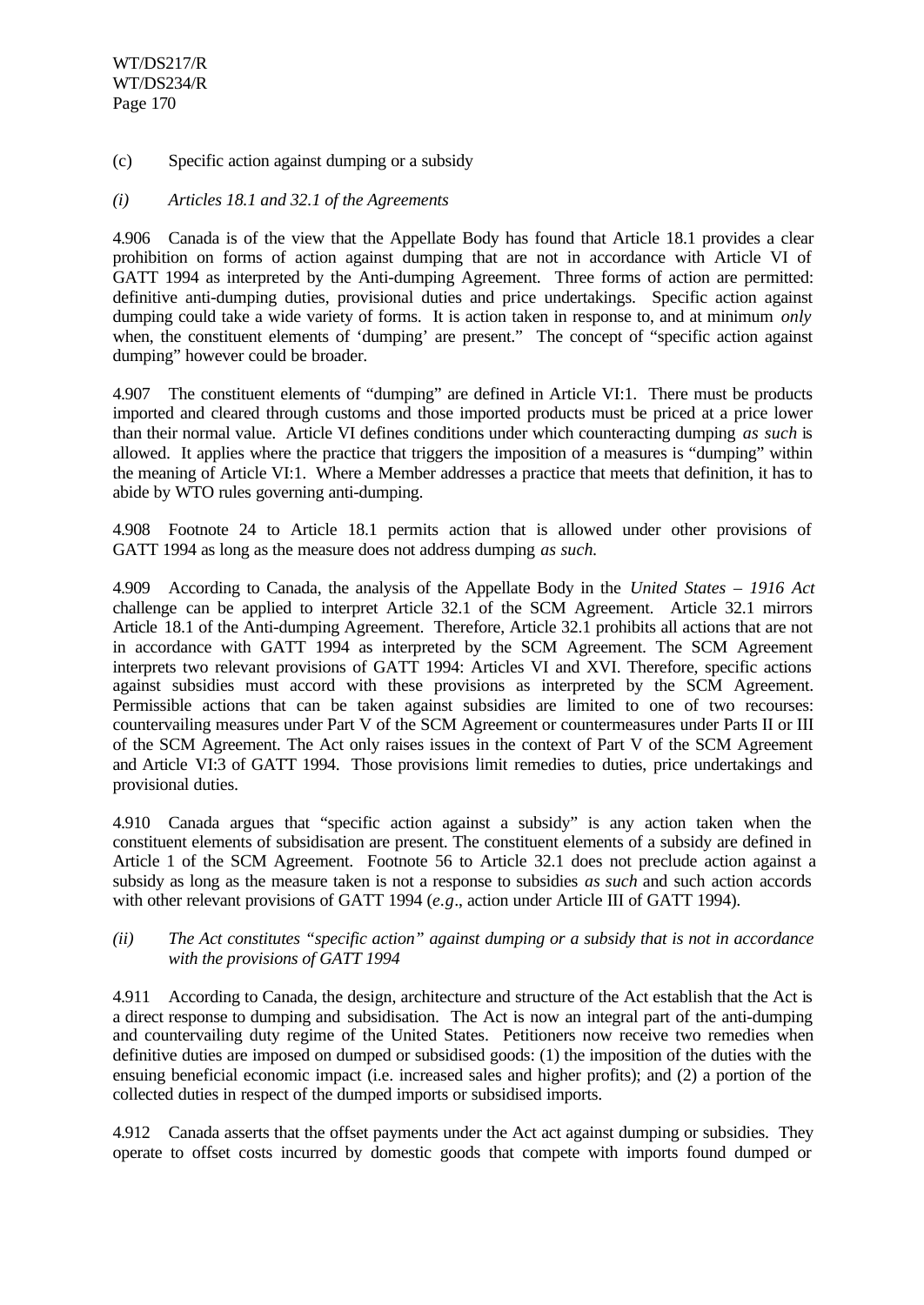(c) Specific action against dumping or a subsidy

### *(i) Articles 18.1 and 32.1 of the Agreements*

4.906 Canada is of the view that the Appellate Body has found that Article 18.1 provides a clear prohibition on forms of action against dumping that are not in accordance with Article VI of GATT 1994 as interpreted by the Anti-dumping Agreement. Three forms of action are permitted: definitive anti-dumping duties, provisional duties and price undertakings. Specific action against dumping could take a wide variety of forms. It is action taken in response to, and at minimum *only* when, the constituent elements of 'dumping' are present." The concept of "specific action against dumping" however could be broader.

4.907 The constituent elements of "dumping" are defined in Article VI:1. There must be products imported and cleared through customs and those imported products must be priced at a price lower than their normal value. Article VI defines conditions under which counteracting dumping *as such* is allowed. It applies where the practice that triggers the imposition of a measures is "dumping" within the meaning of Article VI:1. Where a Member addresses a practice that meets that definition, it has to abide by WTO rules governing anti-dumping.

4.908 Footnote 24 to Article 18.1 permits action that is allowed under other provisions of GATT 1994 as long as the measure does not address dumping *as such.*

4.909 According to Canada, the analysis of the Appellate Body in the *United States – 1916 Act* challenge can be applied to interpret Article 32.1 of the SCM Agreement. Article 32.1 mirrors Article 18.1 of the Anti-dumping Agreement. Therefore, Article 32.1 prohibits all actions that are not in accordance with GATT 1994 as interpreted by the SCM Agreement. The SCM Agreement interprets two relevant provisions of GATT 1994: Articles VI and XVI. Therefore, specific actions against subsidies must accord with these provisions as interpreted by the SCM Agreement. Permissible actions that can be taken against subsidies are limited to one of two recourses: countervailing measures under Part V of the SCM Agreement or countermeasures under Parts II or III of the SCM Agreement. The Act only raises issues in the context of Part V of the SCM Agreement and Article VI:3 of GATT 1994. Those provisions limit remedies to duties, price undertakings and provisional duties.

4.910 Canada argues that "specific action against a subsidy" is any action taken when the constituent elements of subsidisation are present. The constituent elements of a subsidy are defined in Article 1 of the SCM Agreement.Footnote 56 to Article 32.1 does not preclude action against a subsidy as long as the measure taken is not a response to subsidies *as such* and such action accords with other relevant provisions of GATT 1994 (*e.g*., action under Article III of GATT 1994).

## *(ii) The Act constitutes "specific action" against dumping or a subsidy that is not in accordance with the provisions of GATT 1994*

4.911 According to Canada, the design, architecture and structure of the Act establish that the Act is a direct response to dumping and subsidisation. The Act is now an integral part of the anti-dumping and countervailing duty regime of the United States. Petitioners now receive two remedies when definitive duties are imposed on dumped or subsidised goods: (1) the imposition of the duties with the ensuing beneficial economic impact (i.e. increased sales and higher profits); and (2) a portion of the collected duties in respect of the dumped imports or subsidised imports.

4.912 Canada asserts that the offset payments under the Act act against dumping or subsidies. They operate to offset costs incurred by domestic goods that compete with imports found dumped or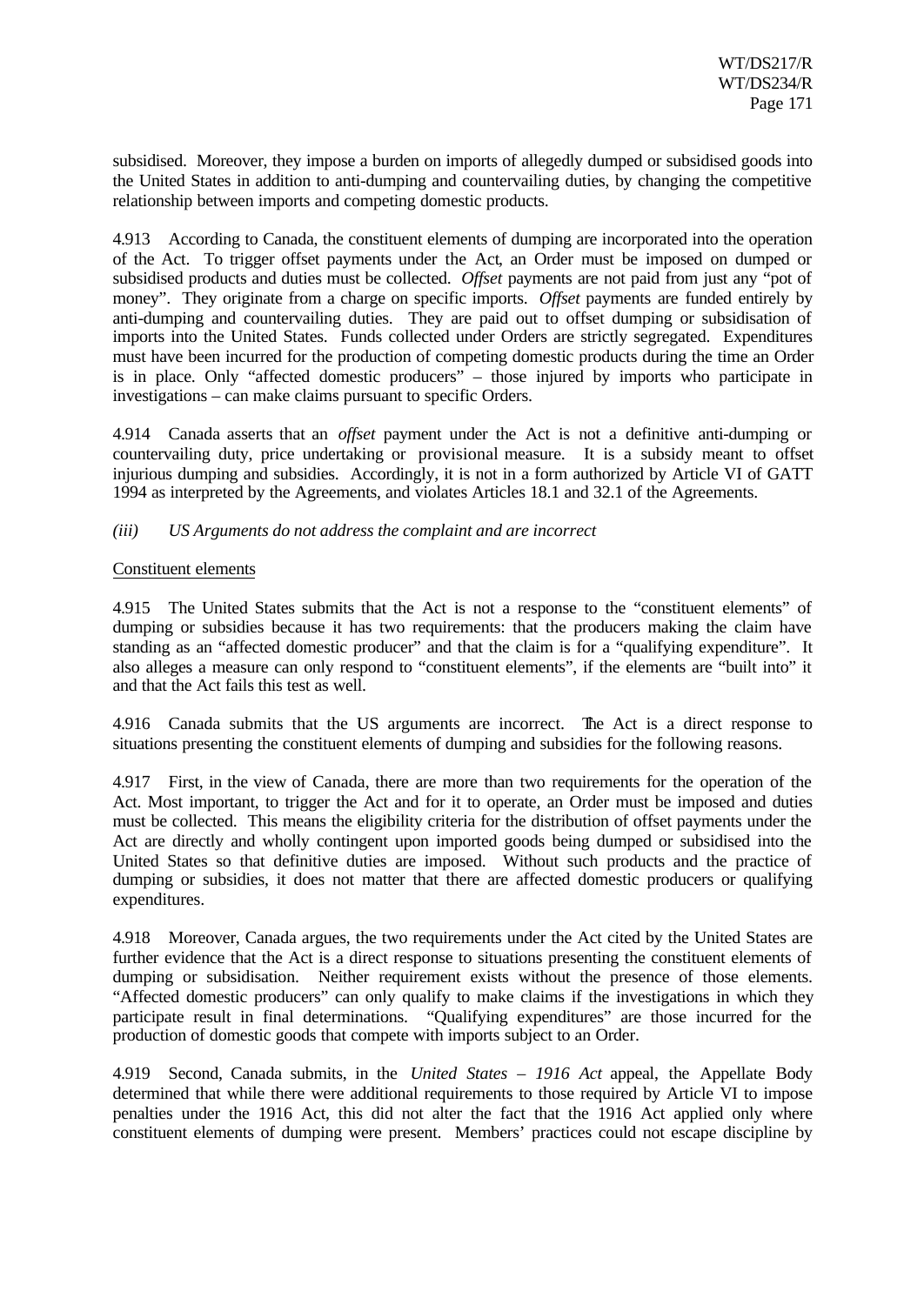subsidised. Moreover, they impose a burden on imports of allegedly dumped or subsidised goods into the United States in addition to anti-dumping and countervailing duties, by changing the competitive relationship between imports and competing domestic products.

4.913 According to Canada, the constituent elements of dumping are incorporated into the operation of the Act. To trigger offset payments under the Act*,* an Order must be imposed on dumped or subsidised products and duties must be collected. *Offset* payments are not paid from just any "pot of money". They originate from a charge on specific imports. *Offset* payments are funded entirely by anti-dumping and countervailing duties. They are paid out to offset dumping or subsidisation of imports into the United States. Funds collected under Orders are strictly segregated. Expenditures must have been incurred for the production of competing domestic products during the time an Order is in place. Only "affected domestic producers" – those injured by imports who participate in investigations – can make claims pursuant to specific Orders.

4.914 Canada asserts that an *offset* payment under the Act is not a definitive anti-dumping or countervailing duty, price undertaking or provisional measure. It is a subsidy meant to offset injurious dumping and subsidies. Accordingly, it is not in a form authorized by Article VI of GATT 1994 as interpreted by the Agreements, and violates Articles 18.1 and 32.1 of the Agreements.

## *(iii) US Arguments do not address the complaint and are incorrect*

#### Constituent elements

4.915 The United States submits that the Act is not a response to the "constituent elements" of dumping or subsidies because it has two requirements: that the producers making the claim have standing as an "affected domestic producer" and that the claim is for a "qualifying expenditure". It also alleges a measure can only respond to "constituent elements", if the elements are "built into" it and that the Act fails this test as well.

4.916 Canada submits that the US arguments are incorrect. The Act is a direct response to situations presenting the constituent elements of dumping and subsidies for the following reasons.

4.917 First, in the view of Canada, there are more than two requirements for the operation of the Act. Most important, to trigger the Act and for it to operate, an Order must be imposed and duties must be collected. This means the eligibility criteria for the distribution of offset payments under the Act are directly and wholly contingent upon imported goods being dumped or subsidised into the United States so that definitive duties are imposed. Without such products and the practice of dumping or subsidies, it does not matter that there are affected domestic producers or qualifying expenditures.

4.918 Moreover, Canada argues, the two requirements under the Act cited by the United States are further evidence that the Act is a direct response to situations presenting the constituent elements of dumping or subsidisation. Neither requirement exists without the presence of those elements. "Affected domestic producers" can only qualify to make claims if the investigations in which they participate result in final determinations. "Qualifying expenditures" are those incurred for the production of domestic goods that compete with imports subject to an Order.

4.919 Second, Canada submits, in the *United States – 1916 Act* appeal, the Appellate Body determined that while there were additional requirements to those required by Article VI to impose penalties under the 1916 Act, this did not alter the fact that the 1916 Act applied only where constituent elements of dumping were present. Members' practices could not escape discipline by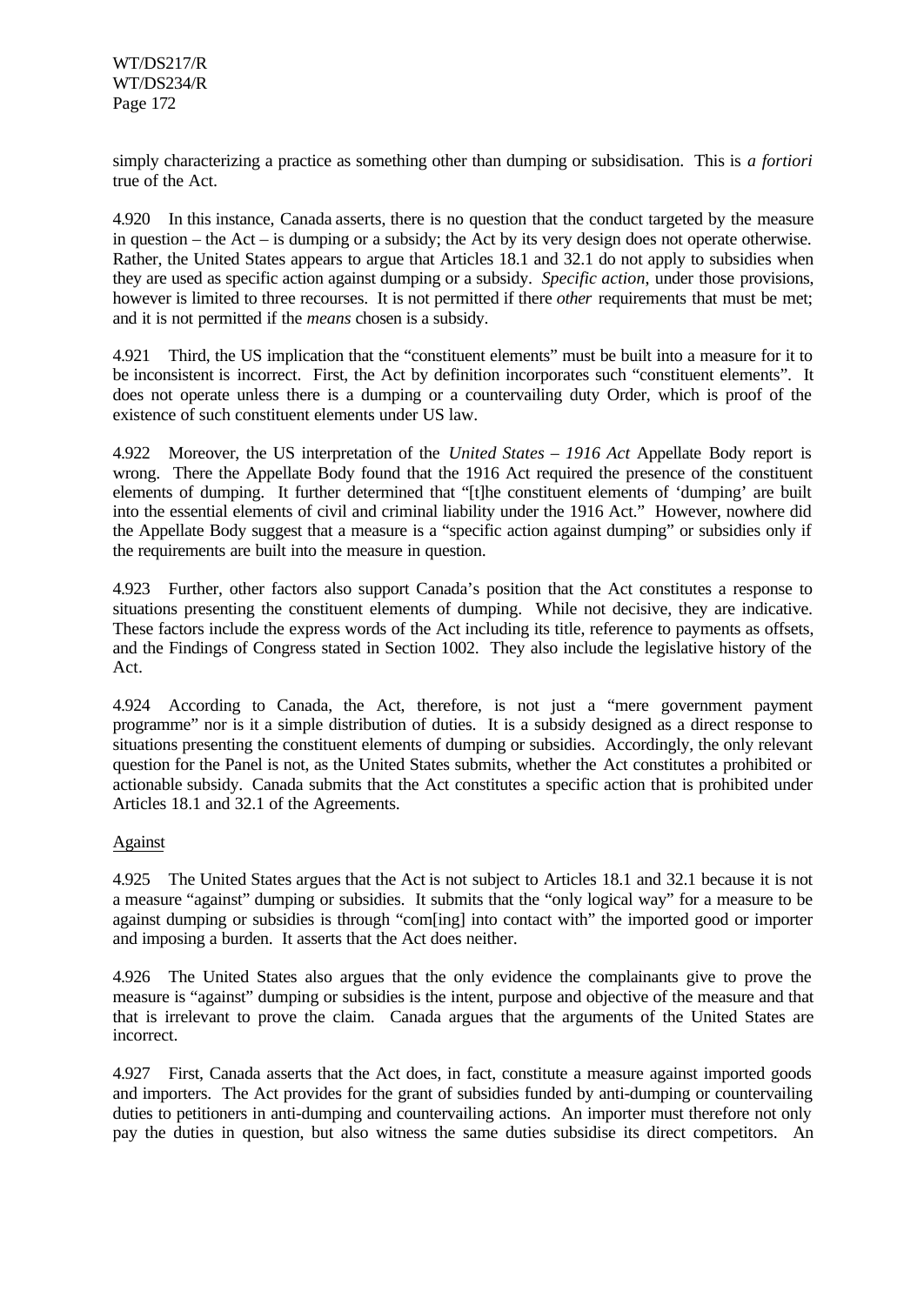simply characterizing a practice as something other than dumping or subsidisation. This is *a fortiori* true of the Act.

4.920 In this instance, Canada asserts, there is no question that the conduct targeted by the measure in question – the Act – is dumping or a subsidy; the Act by its very design does not operate otherwise. Rather, the United States appears to argue that Articles 18.1 and 32.1 do not apply to subsidies when they are used as specific action against dumping or a subsidy. *Specific action*, under those provisions, however is limited to three recourses. It is not permitted if there *other* requirements that must be met; and it is not permitted if the *means* chosen is a subsidy.

4.921 Third, the US implication that the "constituent elements" must be built into a measure for it to be inconsistent is incorrect. First, the Act by definition incorporates such "constituent elements". It does not operate unless there is a dumping or a countervailing duty Order, which is proof of the existence of such constituent elements under US law.

4.922 Moreover, the US interpretation of the *United States – 1916 Act* Appellate Body report is wrong. There the Appellate Body found that the 1916 Act required the presence of the constituent elements of dumping. It further determined that "[t]he constituent elements of 'dumping' are built into the essential elements of civil and criminal liability under the 1916 Act." However, nowhere did the Appellate Body suggest that a measure is a "specific action against dumping" or subsidies only if the requirements are built into the measure in question.

4.923 Further, other factors also support Canada's position that the Act constitutes a response to situations presenting the constituent elements of dumping. While not decisive, they are indicative. These factors include the express words of the Act including its title, reference to payments as offsets, and the Findings of Congress stated in Section 1002. They also include the legislative history of the Act.

4.924 According to Canada, the Act, therefore, is not just a "mere government payment programme" nor is it a simple distribution of duties. It is a subsidy designed as a direct response to situations presenting the constituent elements of dumping or subsidies. Accordingly, the only relevant question for the Panel is not, as the United States submits, whether the Act constitutes a prohibited or actionable subsidy. Canada submits that the Act constitutes a specific action that is prohibited under Articles 18.1 and 32.1 of the Agreements.

# Against

4.925 The United States argues that the Act is not subject to Articles 18.1 and 32.1 because it is not a measure "against" dumping or subsidies. It submits that the "only logical way" for a measure to be against dumping or subsidies is through "com[ing] into contact with" the imported good or importer and imposing a burden. It asserts that the Act does neither.

4.926 The United States also argues that the only evidence the complainants give to prove the measure is "against" dumping or subsidies is the intent, purpose and objective of the measure and that that is irrelevant to prove the claim. Canada argues that the arguments of the United States are incorrect.

4.927 First, Canada asserts that the Act does, in fact, constitute a measure against imported goods and importers. The Act provides for the grant of subsidies funded by anti-dumping or countervailing duties to petitioners in anti-dumping and countervailing actions. An importer must therefore not only pay the duties in question, but also witness the same duties subsidise its direct competitors. An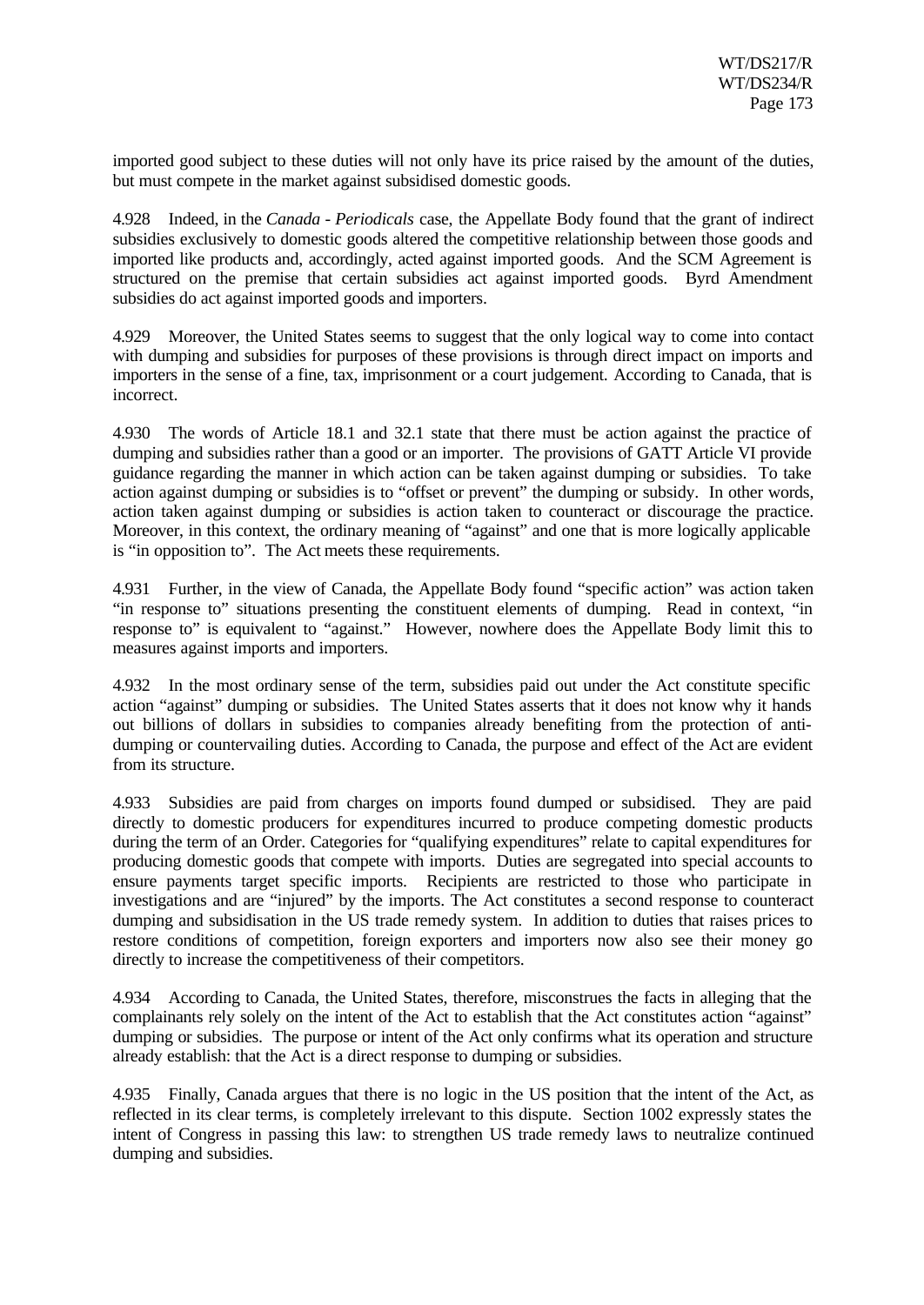imported good subject to these duties will not only have its price raised by the amount of the duties, but must compete in the market against subsidised domestic goods.

4.928 Indeed, in the *Canada - Periodicals* case, the Appellate Body found that the grant of indirect subsidies exclusively to domestic goods altered the competitive relationship between those goods and imported like products and, accordingly, acted against imported goods. And the SCM Agreement is structured on the premise that certain subsidies act against imported goods. Byrd Amendment subsidies do act against imported goods and importers.

4.929 Moreover, the United States seems to suggest that the only logical way to come into contact with dumping and subsidies for purposes of these provisions is through direct impact on imports and importers in the sense of a fine, tax, imprisonment or a court judgement. According to Canada, that is incorrect.

4.930 The words of Article 18.1 and 32.1 state that there must be action against the practice of dumping and subsidies rather than a good or an importer. The provisions of GATT Article VI provide guidance regarding the manner in which action can be taken against dumping or subsidies. To take action against dumping or subsidies is to "offset or prevent" the dumping or subsidy. In other words, action taken against dumping or subsidies is action taken to counteract or discourage the practice. Moreover, in this context, the ordinary meaning of "against" and one that is more logically applicable is "in opposition to". The Act meets these requirements.

4.931 Further, in the view of Canada, the Appellate Body found "specific action" was action taken "in response to" situations presenting the constituent elements of dumping. Read in context, "in response to" is equivalent to "against." However, nowhere does the Appellate Body limit this to measures against imports and importers.

4.932 In the most ordinary sense of the term, subsidies paid out under the Act constitute specific action "against" dumping or subsidies. The United States asserts that it does not know why it hands out billions of dollars in subsidies to companies already benefiting from the protection of antidumping or countervailing duties. According to Canada, the purpose and effect of the Act are evident from its structure.

4.933 Subsidies are paid from charges on imports found dumped or subsidised. They are paid directly to domestic producers for expenditures incurred to produce competing domestic products during the term of an Order. Categories for "qualifying expenditures" relate to capital expenditures for producing domestic goods that compete with imports. Duties are segregated into special accounts to ensure payments target specific imports. Recipients are restricted to those who participate in investigations and are "injured" by the imports. The Act constitutes a second response to counteract dumping and subsidisation in the US trade remedy system. In addition to duties that raises prices to restore conditions of competition, foreign exporters and importers now also see their money go directly to increase the competitiveness of their competitors.

4.934 According to Canada, the United States, therefore, misconstrues the facts in alleging that the complainants rely solely on the intent of the Act to establish that the Act constitutes action "against" dumping or subsidies. The purpose or intent of the Act only confirms what its operation and structure already establish: that the Act is a direct response to dumping or subsidies.

4.935 Finally, Canada argues that there is no logic in the US position that the intent of the Act, as reflected in its clear terms, is completely irrelevant to this dispute. Section 1002 expressly states the intent of Congress in passing this law: to strengthen US trade remedy laws to neutralize continued dumping and subsidies.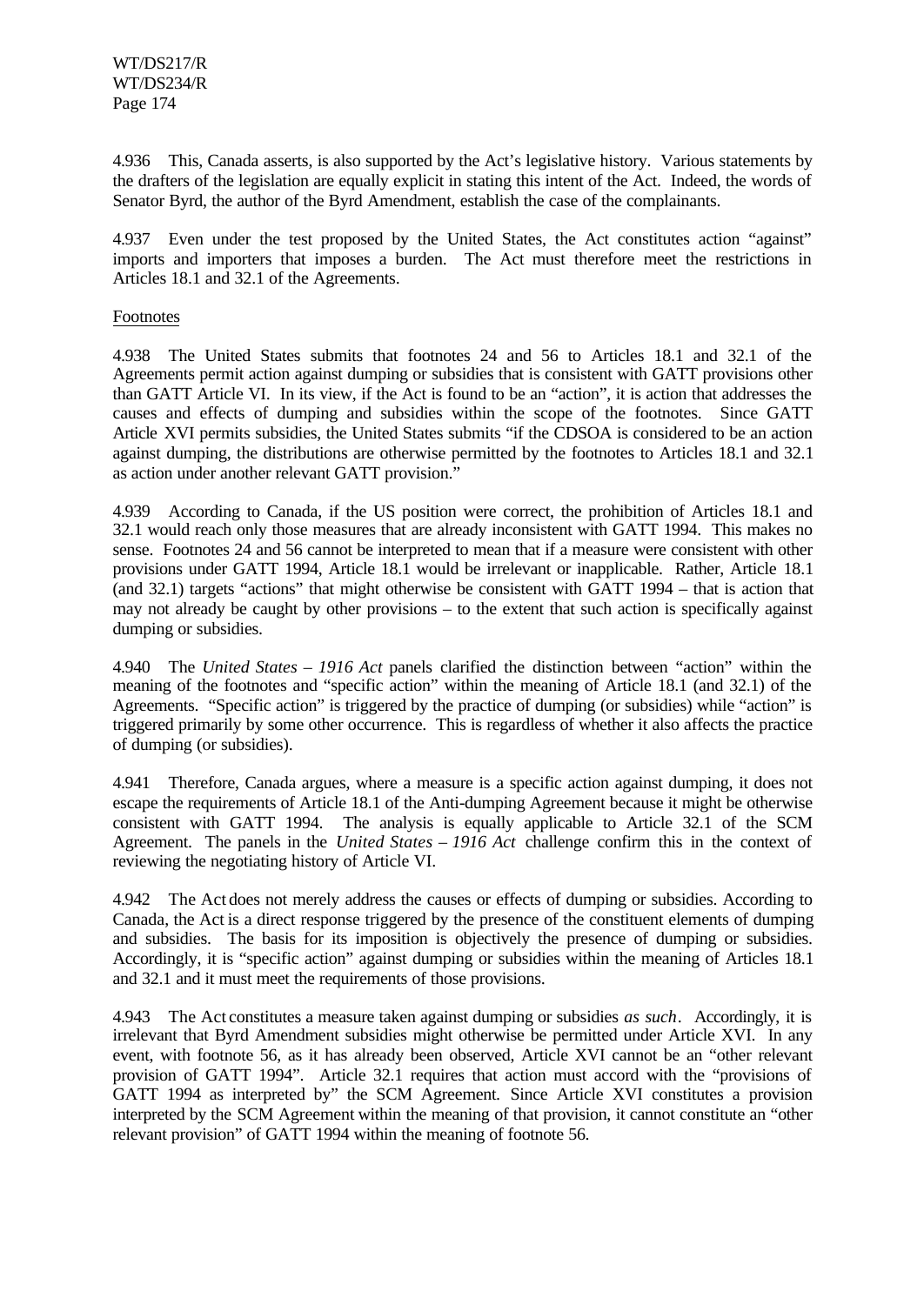4.936 This, Canada asserts, is also supported by the Act's legislative history. Various statements by the drafters of the legislation are equally explicit in stating this intent of the Act. Indeed, the words of Senator Byrd, the author of the Byrd Amendment, establish the case of the complainants.

4.937 Even under the test proposed by the United States, the Act constitutes action "against" imports and importers that imposes a burden. The Act must therefore meet the restrictions in Articles 18.1 and 32.1 of the Agreements.

# Footnotes

4.938 The United States submits that footnotes 24 and 56 to Articles 18.1 and 32.1 of the Agreements permit action against dumping or subsidies that is consistent with GATT provisions other than GATT Article VI. In its view, if the Act is found to be an "action", it is action that addresses the causes and effects of dumping and subsidies within the scope of the footnotes. Since GATT Article XVI permits subsidies, the United States submits "if the CDSOA is considered to be an action against dumping, the distributions are otherwise permitted by the footnotes to Articles 18.1 and 32.1 as action under another relevant GATT provision."

4.939 According to Canada, if the US position were correct, the prohibition of Articles 18.1 and 32.1 would reach only those measures that are already inconsistent with GATT 1994. This makes no sense. Footnotes 24 and 56 cannot be interpreted to mean that if a measure were consistent with other provisions under GATT 1994, Article 18.1 would be irrelevant or inapplicable. Rather, Article 18.1 (and 32.1) targets "actions" that might otherwise be consistent with GATT 1994 – that is action that may not already be caught by other provisions – to the extent that such action is specifically against dumping or subsidies.

4.940 The *United States – 1916 Act* panels clarified the distinction between "action" within the meaning of the footnotes and "specific action" within the meaning of Article 18.1 (and 32.1) of the Agreements. "Specific action" is triggered by the practice of dumping (or subsidies) while "action" is triggered primarily by some other occurrence. This is regardless of whether it also affects the practice of dumping (or subsidies).

4.941 Therefore, Canada argues, where a measure is a specific action against dumping, it does not escape the requirements of Article 18.1 of the Anti-dumping Agreement because it might be otherwise consistent with GATT 1994. The analysis is equally applicable to Article 32.1 of the SCM Agreement. The panels in the *United States – 1916 Act* challenge confirm this in the context of reviewing the negotiating history of Article VI.

4.942 The Act does not merely address the causes or effects of dumping or subsidies. According to Canada, the Act is a direct response triggered by the presence of the constituent elements of dumping and subsidies. The basis for its imposition is objectively the presence of dumping or subsidies. Accordingly, it is "specific action" against dumping or subsidies within the meaning of Articles 18.1 and 32.1 and it must meet the requirements of those provisions.

4.943 The Act constitutes a measure taken against dumping or subsidies *as such*. Accordingly, it is irrelevant that Byrd Amendment subsidies might otherwise be permitted under Article XVI. In any event, with footnote 56, as it has already been observed, Article XVI cannot be an "other relevant provision of GATT 1994". Article 32.1 requires that action must accord with the "provisions of GATT 1994 as interpreted by" the SCM Agreement*.* Since Article XVI constitutes a provision interpreted by the SCM Agreement within the meaning of that provision, it cannot constitute an "other relevant provision" of GATT 1994 within the meaning of footnote 56.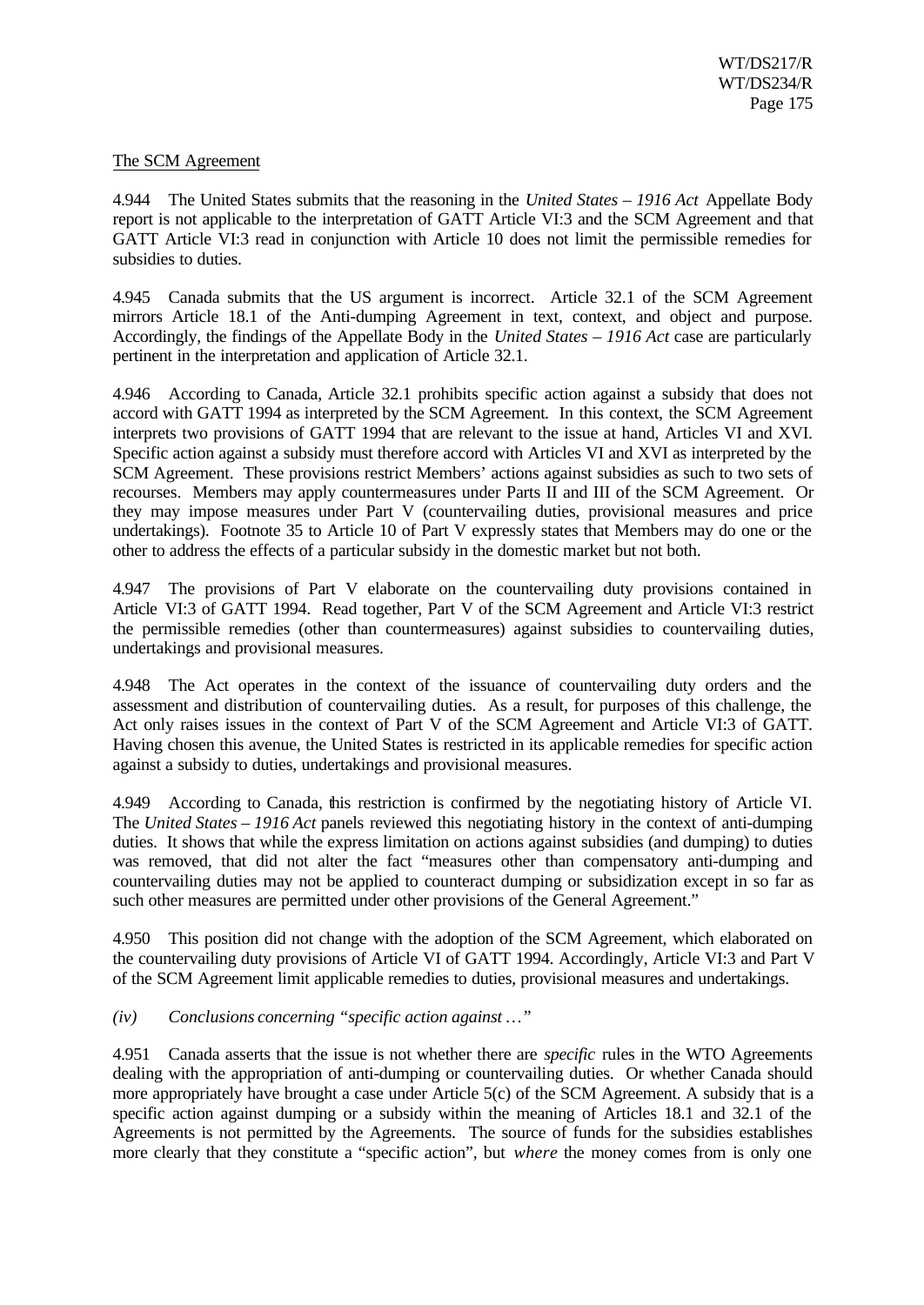# The SCM Agreement

4.944 The United States submits that the reasoning in the *United States – 1916 Act* Appellate Body report is not applicable to the interpretation of GATT Article VI:3 and the SCM Agreement and that GATT Article VI:3 read in conjunction with Article 10 does not limit the permissible remedies for subsidies to duties.

4.945 Canada submits that the US argument is incorrect. Article 32.1 of the SCM Agreement mirrors Article 18.1 of the Anti-dumping Agreement in text, context, and object and purpose. Accordingly, the findings of the Appellate Body in the *United States – 1916 Act* case are particularly pertinent in the interpretation and application of Article 32.1.

4.946 According to Canada, Article 32.1 prohibits specific action against a subsidy that does not accord with GATT 1994 as interpreted by the SCM Agreement*.* In this context, the SCM Agreement interprets two provisions of GATT 1994 that are relevant to the issue at hand, Articles VI and XVI. Specific action against a subsidy must therefore accord with Articles VI and XVI as interpreted by the SCM Agreement. These provisions restrict Members' actions against subsidies as such to two sets of recourses. Members may apply countermeasures under Parts II and III of the SCM Agreement. Or they may impose measures under Part V (countervailing duties, provisional measures and price undertakings). Footnote 35 to Article 10 of Part V expressly states that Members may do one or the other to address the effects of a particular subsidy in the domestic market but not both.

4.947 The provisions of Part V elaborate on the countervailing duty provisions contained in Article VI:3 of GATT 1994. Read together, Part V of the SCM Agreement and Article VI:3 restrict the permissible remedies (other than countermeasures) against subsidies to countervailing duties, undertakings and provisional measures.

4.948 The Act operates in the context of the issuance of countervailing duty orders and the assessment and distribution of countervailing duties. As a result, for purposes of this challenge, the Act only raises issues in the context of Part V of the SCM Agreement and Article VI:3 of GATT. Having chosen this avenue, the United States is restricted in its applicable remedies for specific action against a subsidy to duties, undertakings and provisional measures.

4.949 According to Canada, this restriction is confirmed by the negotiating history of Article VI. The *United States – 1916 Act* panels reviewed this negotiating history in the context of anti-dumping duties. It shows that while the express limitation on actions against subsidies (and dumping) to duties was removed, that did not alter the fact "measures other than compensatory anti-dumping and countervailing duties may not be applied to counteract dumping or subsidization except in so far as such other measures are permitted under other provisions of the General Agreement."

4.950 This position did not change with the adoption of the SCM Agreement, which elaborated on the countervailing duty provisions of Article VI of GATT 1994. Accordingly, Article VI:3 and Part V of the SCM Agreement limit applicable remedies to duties, provisional measures and undertakings.

# *(iv) Conclusions concerning "specific action against …"*

4.951 Canada asserts that the issue is not whether there are *specific* rules in the WTO Agreements dealing with the appropriation of anti-dumping or countervailing duties. Or whether Canada should more appropriately have brought a case under Article 5(c) of the SCM Agreement. A subsidy that is a specific action against dumping or a subsidy within the meaning of Articles 18.1 and 32.1 of the Agreements is not permitted by the Agreements. The source of funds for the subsidies establishes more clearly that they constitute a "specific action", but *where* the money comes from is only one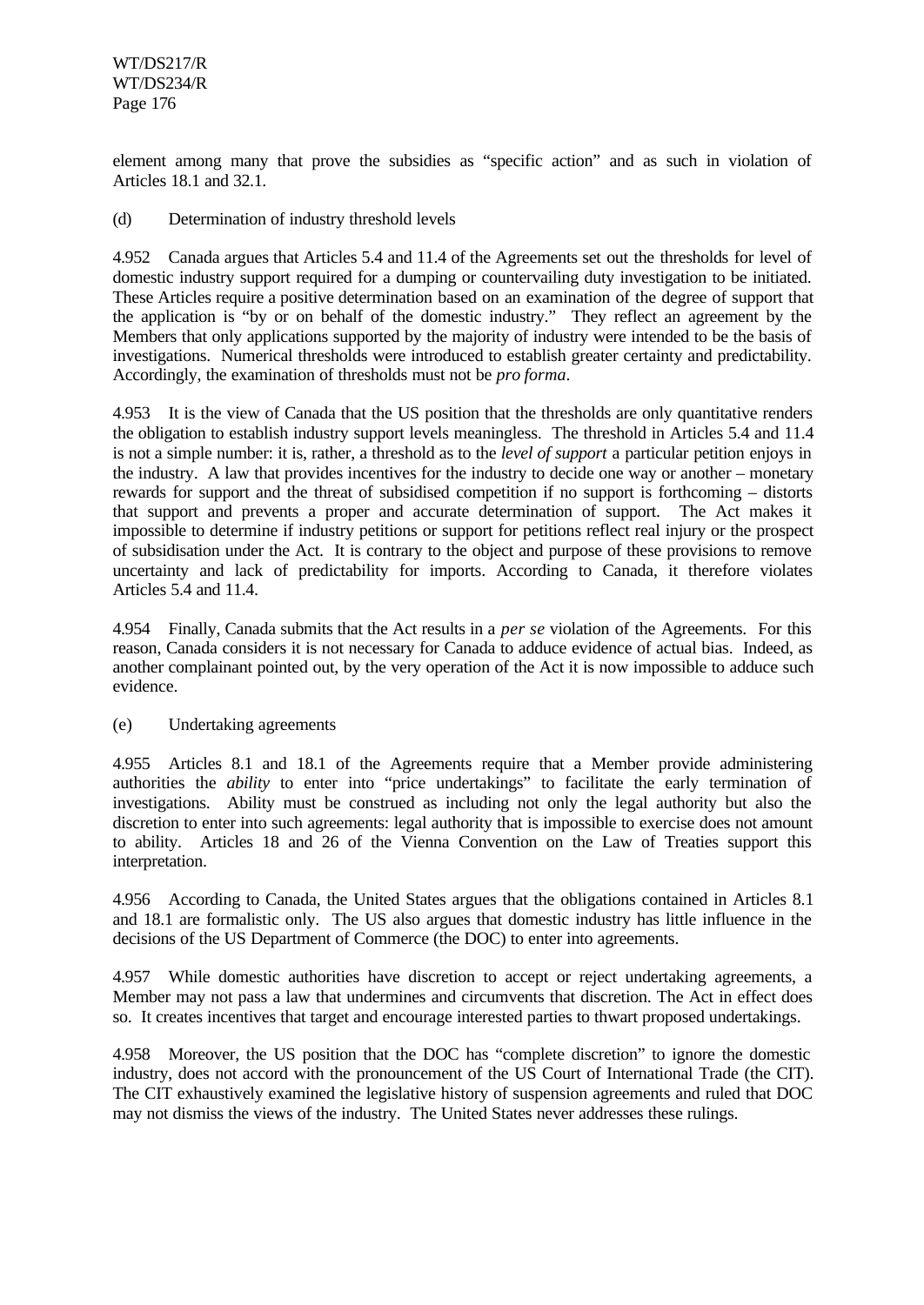element among many that prove the subsidies as "specific action" and as such in violation of Articles 18.1 and 32.1.

(d) Determination of industry threshold levels

4.952 Canada argues that Articles 5.4 and 11.4 of the Agreements set out the thresholds for level of domestic industry support required for a dumping or countervailing duty investigation to be initiated. These Articles require a positive determination based on an examination of the degree of support that the application is "by or on behalf of the domestic industry." They reflect an agreement by the Members that only applications supported by the majority of industry were intended to be the basis of investigations. Numerical thresholds were introduced to establish greater certainty and predictability. Accordingly, the examination of thresholds must not be *pro forma*.

4.953 It is the view of Canada that the US position that the thresholds are only quantitative renders the obligation to establish industry support levels meaningless. The threshold in Articles 5.4 and 11.4 is not a simple number: it is, rather, a threshold as to the *level of support* a particular petition enjoys in the industry. A law that provides incentives for the industry to decide one way or another – monetary rewards for support and the threat of subsidised competition if no support is forthcoming – distorts that support and prevents a proper and accurate determination of support. The Act makes it impossible to determine if industry petitions or support for petitions reflect real injury or the prospect of subsidisation under the Act. It is contrary to the object and purpose of these provisions to remove uncertainty and lack of predictability for imports. According to Canada, it therefore violates Articles 5.4 and 11.4.

4.954 Finally, Canada submits that the Act results in a *per se* violation of the Agreements. For this reason, Canada considers it is not necessary for Canada to adduce evidence of actual bias. Indeed, as another complainant pointed out, by the very operation of the Act it is now impossible to adduce such evidence.

# (e) Undertaking agreements

4.955 Articles 8.1 and 18.1 of the Agreements require that a Member provide administering authorities the *ability* to enter into "price undertakings" to facilitate the early termination of investigations. Ability must be construed as including not only the legal authority but also the discretion to enter into such agreements: legal authority that is impossible to exercise does not amount to ability. Articles 18 and 26 of the Vienna Convention on the Law of Treaties support this interpretation.

4.956 According to Canada, the United States argues that the obligations contained in Articles 8.1 and 18.1 are formalistic only. The US also argues that domestic industry has little influence in the decisions of the US Department of Commerce (the DOC) to enter into agreements.

4.957 While domestic authorities have discretion to accept or reject undertaking agreements, a Member may not pass a law that undermines and circumvents that discretion. The Act in effect does so. It creates incentives that target and encourage interested parties to thwart proposed undertakings.

4.958 Moreover, the US position that the DOC has "complete discretion" to ignore the domestic industry, does not accord with the pronouncement of the US Court of International Trade (the CIT). The CIT exhaustively examined the legislative history of suspension agreements and ruled that DOC may not dismiss the views of the industry. The United States never addresses these rulings.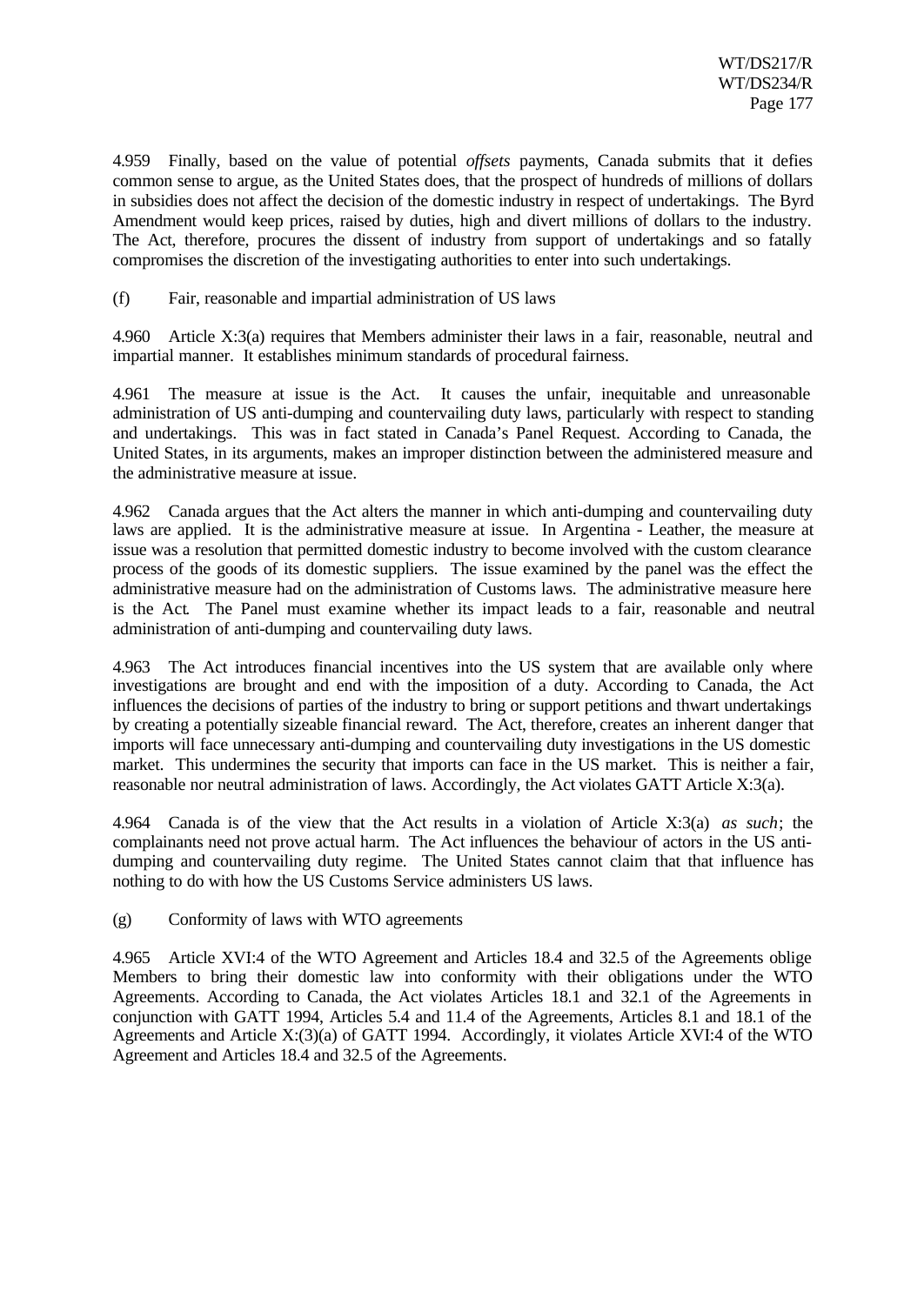4.959 Finally, based on the value of potential *offsets* payments, Canada submits that it defies common sense to argue, as the United States does, that the prospect of hundreds of millions of dollars in subsidies does not affect the decision of the domestic industry in respect of undertakings. The Byrd Amendment would keep prices, raised by duties, high and divert millions of dollars to the industry. The Act, therefore, procures the dissent of industry from support of undertakings and so fatally compromises the discretion of the investigating authorities to enter into such undertakings.

(f) Fair, reasonable and impartial administration of US laws

4.960 Article X:3(a) requires that Members administer their laws in a fair, reasonable, neutral and impartial manner. It establishes minimum standards of procedural fairness.

4.961 The measure at issue is the Act. It causes the unfair, inequitable and unreasonable administration of US anti-dumping and countervailing duty laws, particularly with respect to standing and undertakings. This was in fact stated in Canada's Panel Request. According to Canada, the United States, in its arguments, makes an improper distinction between the administered measure and the administrative measure at issue.

4.962 Canada argues that the Act alters the manner in which anti-dumping and countervailing duty laws are applied. It is the administrative measure at issue. In Argentina - Leather, the measure at issue was a resolution that permitted domestic industry to become involved with the custom clearance process of the goods of its domestic suppliers. The issue examined by the panel was the effect the administrative measure had on the administration of Customs laws. The administrative measure here is the Act*.* The Panel must examine whether its impact leads to a fair, reasonable and neutral administration of anti-dumping and countervailing duty laws.

4.963 The Act introduces financial incentives into the US system that are available only where investigations are brought and end with the imposition of a duty. According to Canada, the Act influences the decisions of parties of the industry to bring or support petitions and thwart undertakings by creating a potentially sizeable financial reward. The Act, therefore, creates an inherent danger that imports will face unnecessary anti-dumping and countervailing duty investigations in the US domestic market. This undermines the security that imports can face in the US market. This is neither a fair, reasonable nor neutral administration of laws. Accordingly, the Act violates GATT Article X:3(a).

4.964 Canada is of the view that the Act results in a violation of Article X:3(a) *as such*; the complainants need not prove actual harm. The Act influences the behaviour of actors in the US antidumping and countervailing duty regime. The United States cannot claim that that influence has nothing to do with how the US Customs Service administers US laws.

(g) Conformity of laws with WTO agreements

4.965 Article XVI:4 of the WTO Agreement and Articles 18.4 and 32.5 of the Agreements oblige Members to bring their domestic law into conformity with their obligations under the WTO Agreements. According to Canada, the Act violates Articles 18.1 and 32.1 of the Agreements in conjunction with GATT 1994, Articles 5.4 and 11.4 of the Agreements, Articles 8.1 and 18.1 of the Agreements and Article X:(3)(a) of GATT 1994. Accordingly, it violates Article XVI:4 of the WTO Agreement and Articles 18.4 and 32.5 of the Agreements.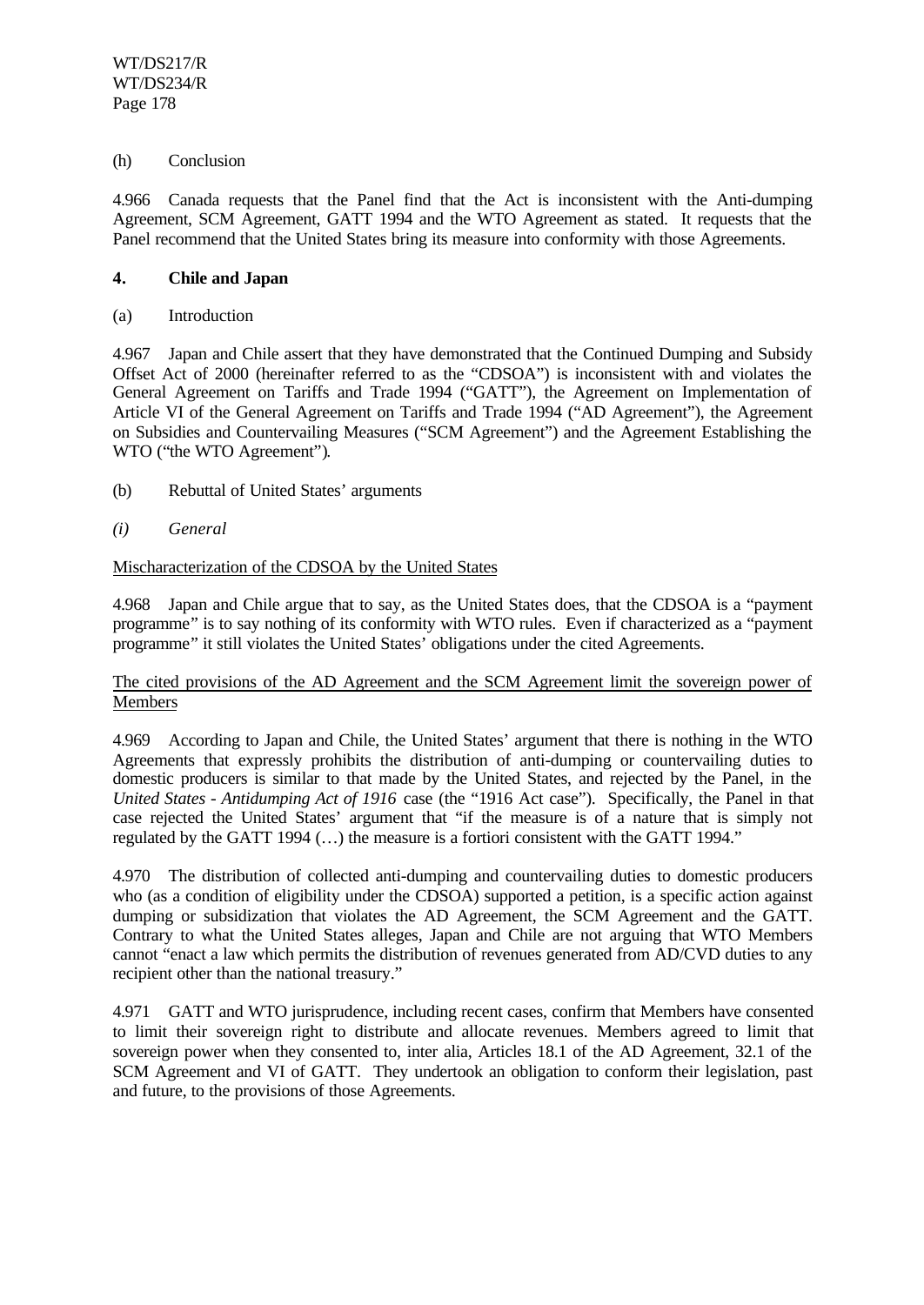# (h) Conclusion

4.966 Canada requests that the Panel find that the Act is inconsistent with the Anti-dumping Agreement, SCM Agreement, GATT 1994 and the WTO Agreement as stated. It requests that the Panel recommend that the United States bring its measure into conformity with those Agreements.

#### **4. Chile and Japan**

(a) Introduction

4.967 Japan and Chile assert that they have demonstrated that the Continued Dumping and Subsidy Offset Act of 2000 (hereinafter referred to as the "CDSOA") is inconsistent with and violates the General Agreement on Tariffs and Trade 1994 ("GATT"), the Agreement on Implementation of Article VI of the General Agreement on Tariffs and Trade 1994 ("AD Agreement"), the Agreement on Subsidies and Countervailing Measures ("SCM Agreement") and the Agreement Establishing the WTO ("the WTO Agreement").

- (b) Rebuttal of United States' arguments
- *(i) General*

# Mischaracterization of the CDSOA by the United States

4.968 Japan and Chile argue that to say, as the United States does, that the CDSOA is a "payment programme" is to say nothing of its conformity with WTO rules. Even if characterized as a "payment programme" it still violates the United States' obligations under the cited Agreements.

# The cited provisions of the AD Agreement and the SCM Agreement limit the sovereign power of Members

4.969 According to Japan and Chile, the United States' argument that there is nothing in the WTO Agreements that expressly prohibits the distribution of anti-dumping or countervailing duties to domestic producers is similar to that made by the United States, and rejected by the Panel, in the *United States - Antidumping Act of 1916* case (the "1916 Act case"). Specifically, the Panel in that case rejected the United States' argument that "if the measure is of a nature that is simply not regulated by the GATT 1994 (…) the measure is a fortiori consistent with the GATT 1994."

4.970 The distribution of collected anti-dumping and countervailing duties to domestic producers who (as a condition of eligibility under the CDSOA) supported a petition, is a specific action against dumping or subsidization that violates the AD Agreement, the SCM Agreement and the GATT. Contrary to what the United States alleges, Japan and Chile are not arguing that WTO Members cannot "enact a law which permits the distribution of revenues generated from AD/CVD duties to any recipient other than the national treasury."

4.971 GATT and WTO jurisprudence, including recent cases, confirm that Members have consented to limit their sovereign right to distribute and allocate revenues. Members agreed to limit that sovereign power when they consented to, inter alia, Articles 18.1 of the AD Agreement, 32.1 of the SCM Agreement and VI of GATT. They undertook an obligation to conform their legislation, past and future, to the provisions of those Agreements.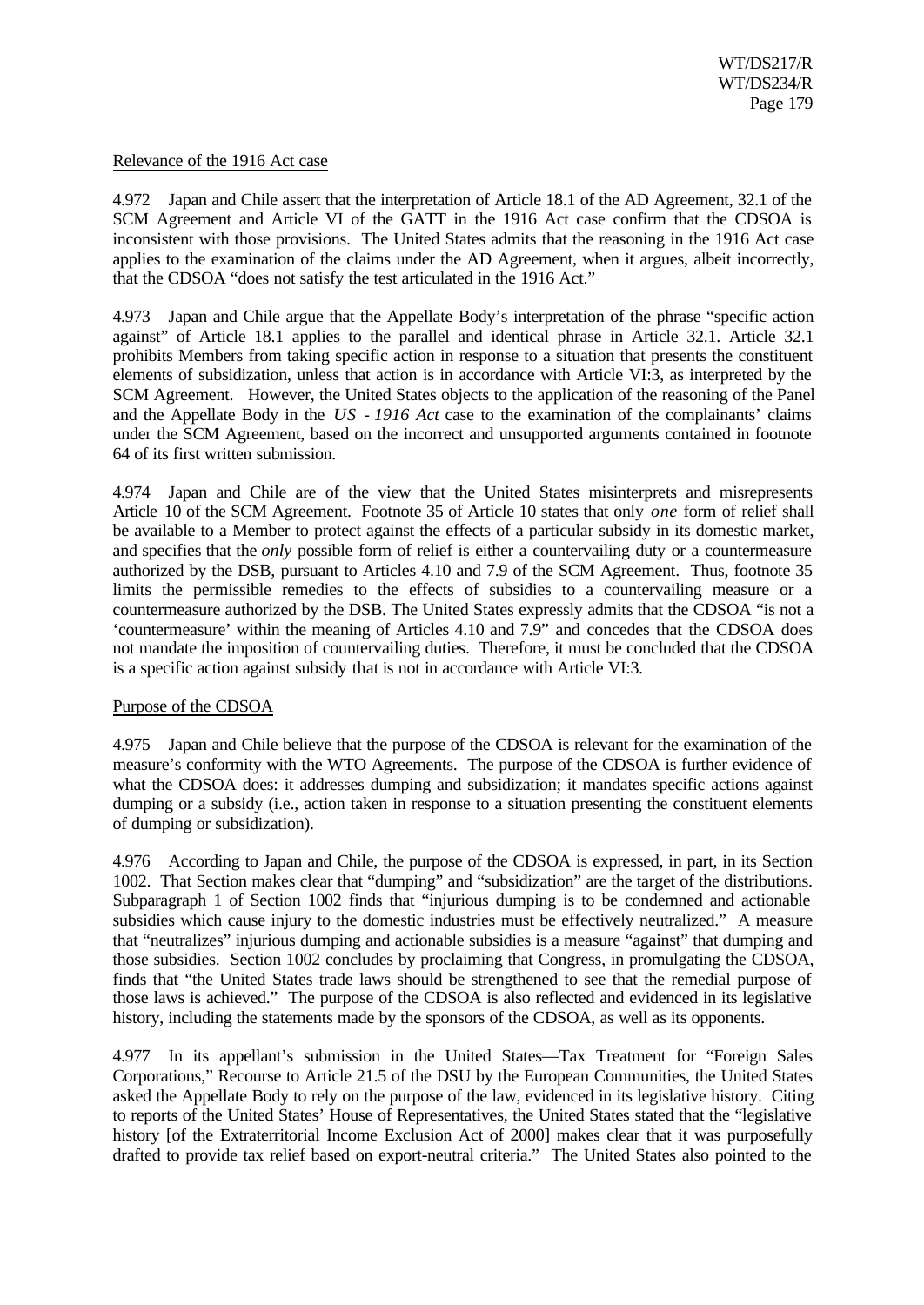#### Relevance of the 1916 Act case

4.972 Japan and Chile assert that the interpretation of Article 18.1 of the AD Agreement, 32.1 of the SCM Agreement and Article VI of the GATT in the 1916 Act case confirm that the CDSOA is inconsistent with those provisions. The United States admits that the reasoning in the 1916 Act case applies to the examination of the claims under the AD Agreement, when it argues, albeit incorrectly, that the CDSOA "does not satisfy the test articulated in the 1916 Act."

4.973 Japan and Chile argue that the Appellate Body's interpretation of the phrase "specific action against" of Article 18.1 applies to the parallel and identical phrase in Article 32.1. Article 32.1 prohibits Members from taking specific action in response to a situation that presents the constituent elements of subsidization, unless that action is in accordance with Article VI:3, as interpreted by the SCM Agreement. However, the United States objects to the application of the reasoning of the Panel and the Appellate Body in the *US - 1916 Act* case to the examination of the complainants' claims under the SCM Agreement, based on the incorrect and unsupported arguments contained in footnote 64 of its first written submission.

4.974 Japan and Chile are of the view that the United States misinterprets and misrepresents Article 10 of the SCM Agreement. Footnote 35 of Article 10 states that only *one* form of relief shall be available to a Member to protect against the effects of a particular subsidy in its domestic market, and specifies that the *only* possible form of relief is either a countervailing duty or a countermeasure authorized by the DSB, pursuant to Articles 4.10 and 7.9 of the SCM Agreement. Thus, footnote 35 limits the permissible remedies to the effects of subsidies to a countervailing measure or a countermeasure authorized by the DSB. The United States expressly admits that the CDSOA "is not a 'countermeasure' within the meaning of Articles 4.10 and 7.9" and concedes that the CDSOA does not mandate the imposition of countervailing duties. Therefore, it must be concluded that the CDSOA is a specific action against subsidy that is not in accordance with Article VI:3.

# Purpose of the CDSOA

4.975 Japan and Chile believe that the purpose of the CDSOA is relevant for the examination of the measure's conformity with the WTO Agreements. The purpose of the CDSOA is further evidence of what the CDSOA does: it addresses dumping and subsidization; it mandates specific actions against dumping or a subsidy (i.e., action taken in response to a situation presenting the constituent elements of dumping or subsidization).

4.976 According to Japan and Chile, the purpose of the CDSOA is expressed, in part, in its Section 1002. That Section makes clear that "dumping" and "subsidization" are the target of the distributions. Subparagraph 1 of Section 1002 finds that "injurious dumping is to be condemned and actionable subsidies which cause injury to the domestic industries must be effectively neutralized." A measure that "neutralizes" injurious dumping and actionable subsidies is a measure "against" that dumping and those subsidies. Section 1002 concludes by proclaiming that Congress, in promulgating the CDSOA, finds that "the United States trade laws should be strengthened to see that the remedial purpose of those laws is achieved." The purpose of the CDSOA is also reflected and evidenced in its legislative history, including the statements made by the sponsors of the CDSOA, as well as its opponents.

4.977 In its appellant's submission in the United States—Tax Treatment for "Foreign Sales Corporations," Recourse to Article 21.5 of the DSU by the European Communities, the United States asked the Appellate Body to rely on the purpose of the law, evidenced in its legislative history. Citing to reports of the United States' House of Representatives, the United States stated that the "legislative history [of the Extraterritorial Income Exclusion Act of 2000] makes clear that it was purposefully drafted to provide tax relief based on export-neutral criteria." The United States also pointed to the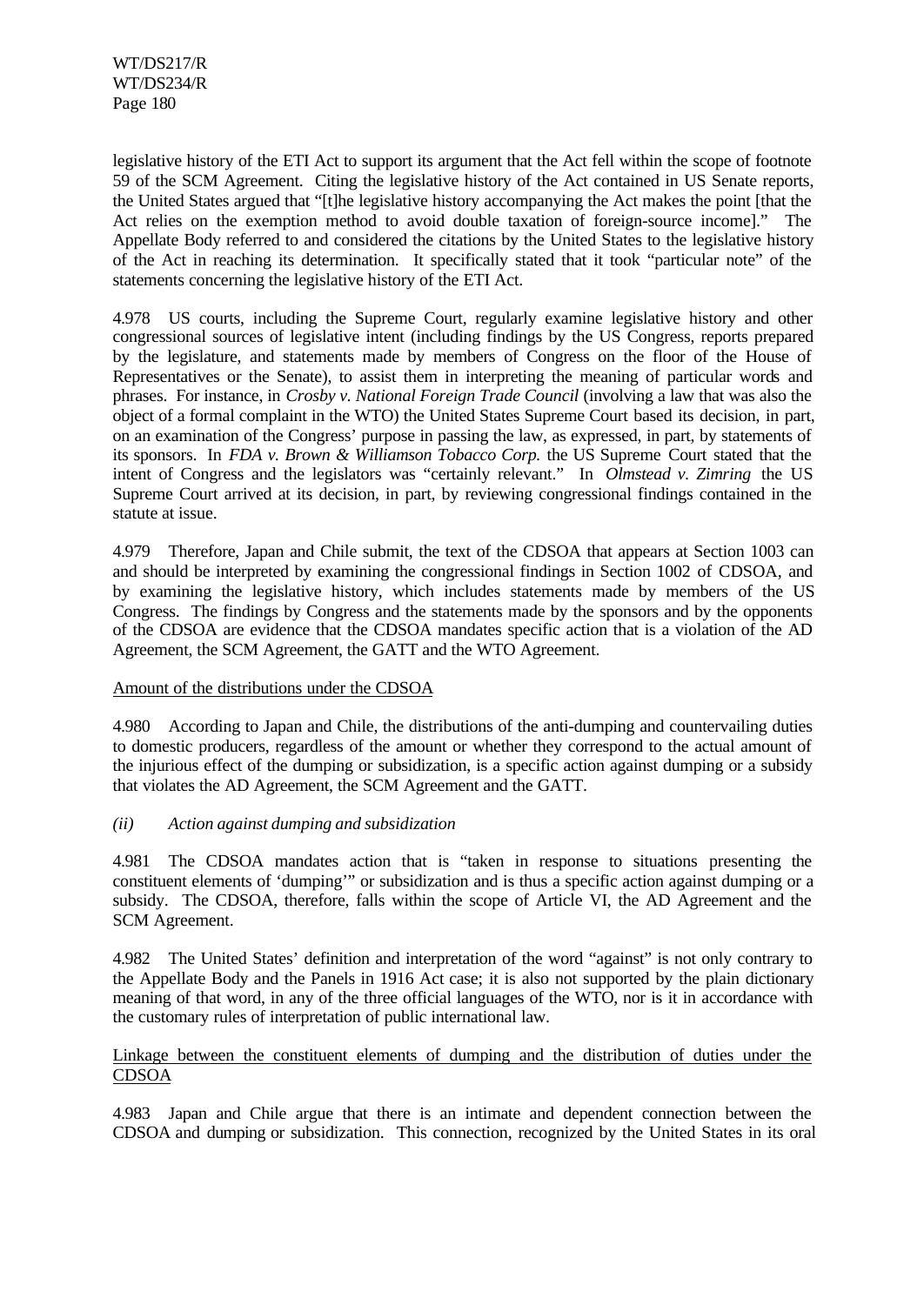legislative history of the ETI Act to support its argument that the Act fell within the scope of footnote 59 of the SCM Agreement. Citing the legislative history of the Act contained in US Senate reports, the United States argued that "[t]he legislative history accompanying the Act makes the point [that the Act relies on the exemption method to avoid double taxation of foreign-source income]." The Appellate Body referred to and considered the citations by the United States to the legislative history of the Act in reaching its determination. It specifically stated that it took "particular note" of the statements concerning the legislative history of the ETI Act.

4.978 US courts, including the Supreme Court, regularly examine legislative history and other congressional sources of legislative intent (including findings by the US Congress, reports prepared by the legislature, and statements made by members of Congress on the floor of the House of Representatives or the Senate), to assist them in interpreting the meaning of particular words and phrases. For instance, in *Crosby v. National Foreign Trade Council* (involving a law that was also the object of a formal complaint in the WTO) the United States Supreme Court based its decision, in part, on an examination of the Congress' purpose in passing the law, as expressed, in part, by statements of its sponsors. In *FDA v. Brown & Williamson Tobacco Corp.* the US Supreme Court stated that the intent of Congress and the legislators was "certainly relevant." In *Olmstead v. Zimring* the US Supreme Court arrived at its decision, in part, by reviewing congressional findings contained in the statute at issue.

4.979 Therefore, Japan and Chile submit, the text of the CDSOA that appears at Section 1003 can and should be interpreted by examining the congressional findings in Section 1002 of CDSOA, and by examining the legislative history, which includes statements made by members of the US Congress. The findings by Congress and the statements made by the sponsors and by the opponents of the CDSOA are evidence that the CDSOA mandates specific action that is a violation of the AD Agreement, the SCM Agreement, the GATT and the WTO Agreement.

# Amount of the distributions under the CDSOA

4.980 According to Japan and Chile, the distributions of the anti-dumping and countervailing duties to domestic producers, regardless of the amount or whether they correspond to the actual amount of the injurious effect of the dumping or subsidization, is a specific action against dumping or a subsidy that violates the AD Agreement, the SCM Agreement and the GATT.

# *(ii) Action against dumping and subsidization*

4.981 The CDSOA mandates action that is "taken in response to situations presenting the constituent elements of 'dumping'" or subsidization and is thus a specific action against dumping or a subsidy. The CDSOA, therefore, falls within the scope of Article VI, the AD Agreement and the SCM Agreement.

4.982 The United States' definition and interpretation of the word "against" is not only contrary to the Appellate Body and the Panels in 1916 Act case; it is also not supported by the plain dictionary meaning of that word, in any of the three official languages of the WTO, nor is it in accordance with the customary rules of interpretation of public international law.

# Linkage between the constituent elements of dumping and the distribution of duties under the CDSOA

4.983 Japan and Chile argue that there is an intimate and dependent connection between the CDSOA and dumping or subsidization. This connection, recognized by the United States in its oral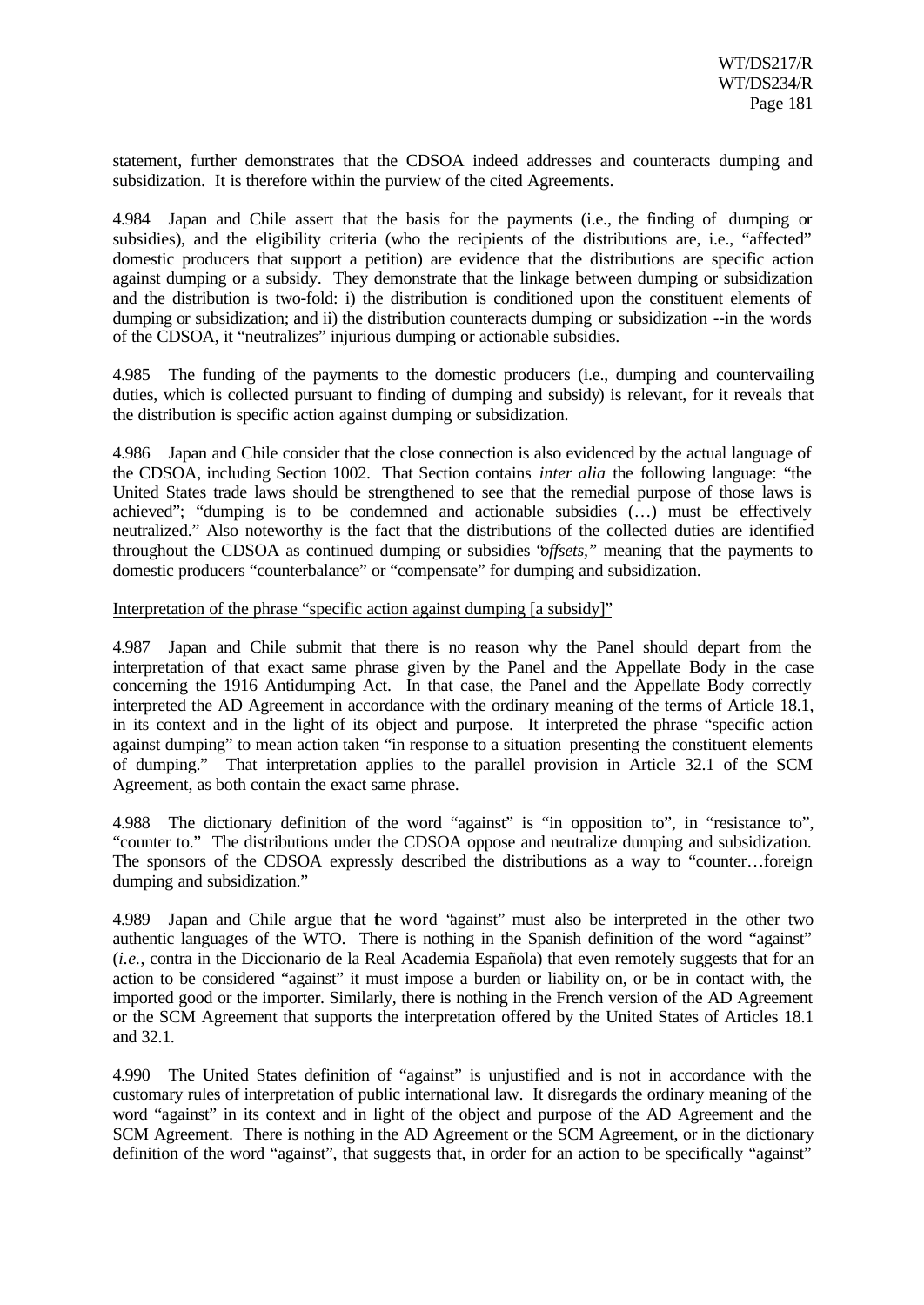statement, further demonstrates that the CDSOA indeed addresses and counteracts dumping and subsidization. It is therefore within the purview of the cited Agreements.

4.984 Japan and Chile assert that the basis for the payments (i.e., the finding of dumping or subsidies), and the eligibility criteria (who the recipients of the distributions are, i.e., "affected" domestic producers that support a petition) are evidence that the distributions are specific action against dumping or a subsidy. They demonstrate that the linkage between dumping or subsidization and the distribution is two-fold: i) the distribution is conditioned upon the constituent elements of dumping or subsidization; and ii) the distribution counteracts dumping or subsidization --in the words of the CDSOA, it "neutralizes" injurious dumping or actionable subsidies.

4.985 The funding of the payments to the domestic producers (i.e., dumping and countervailing duties, which is collected pursuant to finding of dumping and subsidy) is relevant, for it reveals that the distribution is specific action against dumping or subsidization.

4.986 Japan and Chile consider that the close connection is also evidenced by the actual language of the CDSOA, including Section 1002. That Section contains *inter alia* the following language: "the United States trade laws should be strengthened to see that the remedial purpose of those laws is achieved"; "dumping is to be condemned and actionable subsidies (…) must be effectively neutralized." Also noteworthy is the fact that the distributions of the collected duties are identified throughout the CDSOA as continued dumping or subsidies "*offsets,*" meaning that the payments to domestic producers "counterbalance" or "compensate" for dumping and subsidization.

Interpretation of the phrase "specific action against dumping [a subsidy]"

4.987 Japan and Chile submit that there is no reason why the Panel should depart from the interpretation of that exact same phrase given by the Panel and the Appellate Body in the case concerning the 1916 Antidumping Act. In that case, the Panel and the Appellate Body correctly interpreted the AD Agreement in accordance with the ordinary meaning of the terms of Article 18.1, in its context and in the light of its object and purpose. It interpreted the phrase "specific action against dumping" to mean action taken "in response to a situation presenting the constituent elements of dumping." That interpretation applies to the parallel provision in Article 32.1 of the SCM Agreement, as both contain the exact same phrase.

4.988 The dictionary definition of the word "against" is "in opposition to", in "resistance to", "counter to." The distributions under the CDSOA oppose and neutralize dumping and subsidization. The sponsors of the CDSOA expressly described the distributions as a way to "counter…foreign dumping and subsidization."

4.989 Japan and Chile argue that the word "against" must also be interpreted in the other two authentic languages of the WTO. There is nothing in the Spanish definition of the word "against" (*i.e.*, contra in the Diccionario de la Real Academia Española) that even remotely suggests that for an action to be considered "against" it must impose a burden or liability on, or be in contact with, the imported good or the importer. Similarly, there is nothing in the French version of the AD Agreement or the SCM Agreement that supports the interpretation offered by the United States of Articles 18.1 and 32.1.

4.990 The United States definition of "against" is unjustified and is not in accordance with the customary rules of interpretation of public international law. It disregards the ordinary meaning of the word "against" in its context and in light of the object and purpose of the AD Agreement and the SCM Agreement. There is nothing in the AD Agreement or the SCM Agreement, or in the dictionary definition of the word "against", that suggests that, in order for an action to be specifically "against"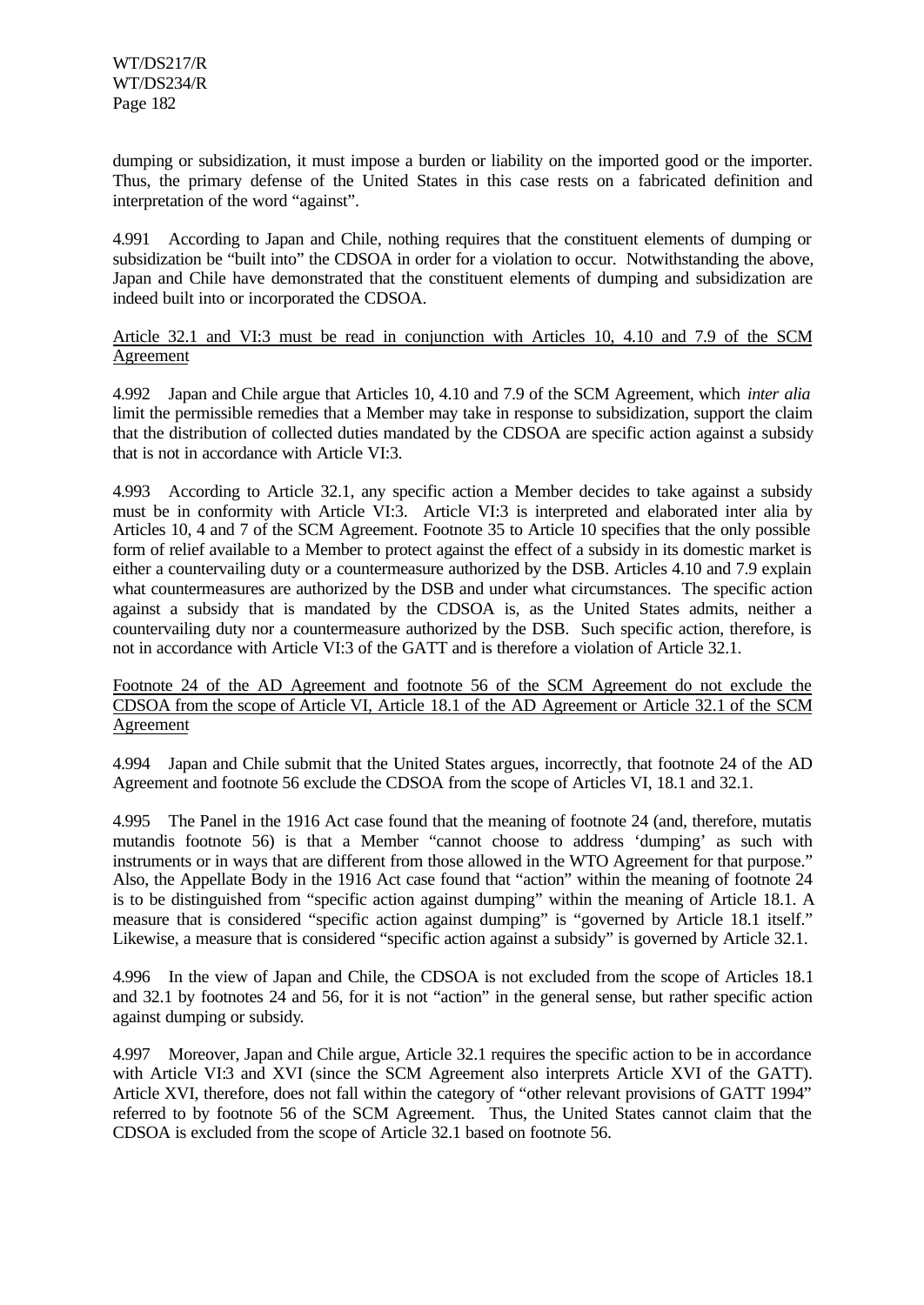dumping or subsidization, it must impose a burden or liability on the imported good or the importer. Thus, the primary defense of the United States in this case rests on a fabricated definition and interpretation of the word "against".

4.991 According to Japan and Chile, nothing requires that the constituent elements of dumping or subsidization be "built into" the CDSOA in order for a violation to occur. Notwithstanding the above, Japan and Chile have demonstrated that the constituent elements of dumping and subsidization are indeed built into or incorporated the CDSOA.

# Article 32.1 and VI:3 must be read in conjunction with Articles 10, 4.10 and 7.9 of the SCM Agreement

4.992 Japan and Chile argue that Articles 10, 4.10 and 7.9 of the SCM Agreement, which *inter alia* limit the permissible remedies that a Member may take in response to subsidization, support the claim that the distribution of collected duties mandated by the CDSOA are specific action against a subsidy that is not in accordance with Article VI:3.

4.993 According to Article 32.1, any specific action a Member decides to take against a subsidy must be in conformity with Article VI:3. Article VI:3 is interpreted and elaborated inter alia by Articles 10, 4 and 7 of the SCM Agreement. Footnote 35 to Article 10 specifies that the only possible form of relief available to a Member to protect against the effect of a subsidy in its domestic market is either a countervailing duty or a countermeasure authorized by the DSB. Articles 4.10 and 7.9 explain what countermeasures are authorized by the DSB and under what circumstances. The specific action against a subsidy that is mandated by the CDSOA is, as the United States admits, neither a countervailing duty nor a countermeasure authorized by the DSB. Such specific action, therefore, is not in accordance with Article VI:3 of the GATT and is therefore a violation of Article 32.1.

# Footnote 24 of the AD Agreement and footnote 56 of the SCM Agreement do not exclude the CDSOA from the scope of Article VI, Article 18.1 of the AD Agreement or Article 32.1 of the SCM Agreement

4.994 Japan and Chile submit that the United States argues, incorrectly, that footnote 24 of the AD Agreement and footnote 56 exclude the CDSOA from the scope of Articles VI, 18.1 and 32.1.

4.995 The Panel in the 1916 Act case found that the meaning of footnote 24 (and, therefore, mutatis mutandis footnote 56) is that a Member "cannot choose to address 'dumping' as such with instruments or in ways that are different from those allowed in the WTO Agreement for that purpose." Also, the Appellate Body in the 1916 Act case found that "action" within the meaning of footnote 24 is to be distinguished from "specific action against dumping" within the meaning of Article 18.1. A measure that is considered "specific action against dumping" is "governed by Article 18.1 itself." Likewise, a measure that is considered "specific action against a subsidy" is governed by Article 32.1.

4.996 In the view of Japan and Chile, the CDSOA is not excluded from the scope of Articles 18.1 and 32.1 by footnotes 24 and 56, for it is not "action" in the general sense, but rather specific action against dumping or subsidy.

4.997 Moreover, Japan and Chile argue, Article 32.1 requires the specific action to be in accordance with Article VI:3 and XVI (since the SCM Agreement also interprets Article XVI of the GATT). Article XVI, therefore, does not fall within the category of "other relevant provisions of GATT 1994" referred to by footnote 56 of the SCM Agreement. Thus, the United States cannot claim that the CDSOA is excluded from the scope of Article 32.1 based on footnote 56.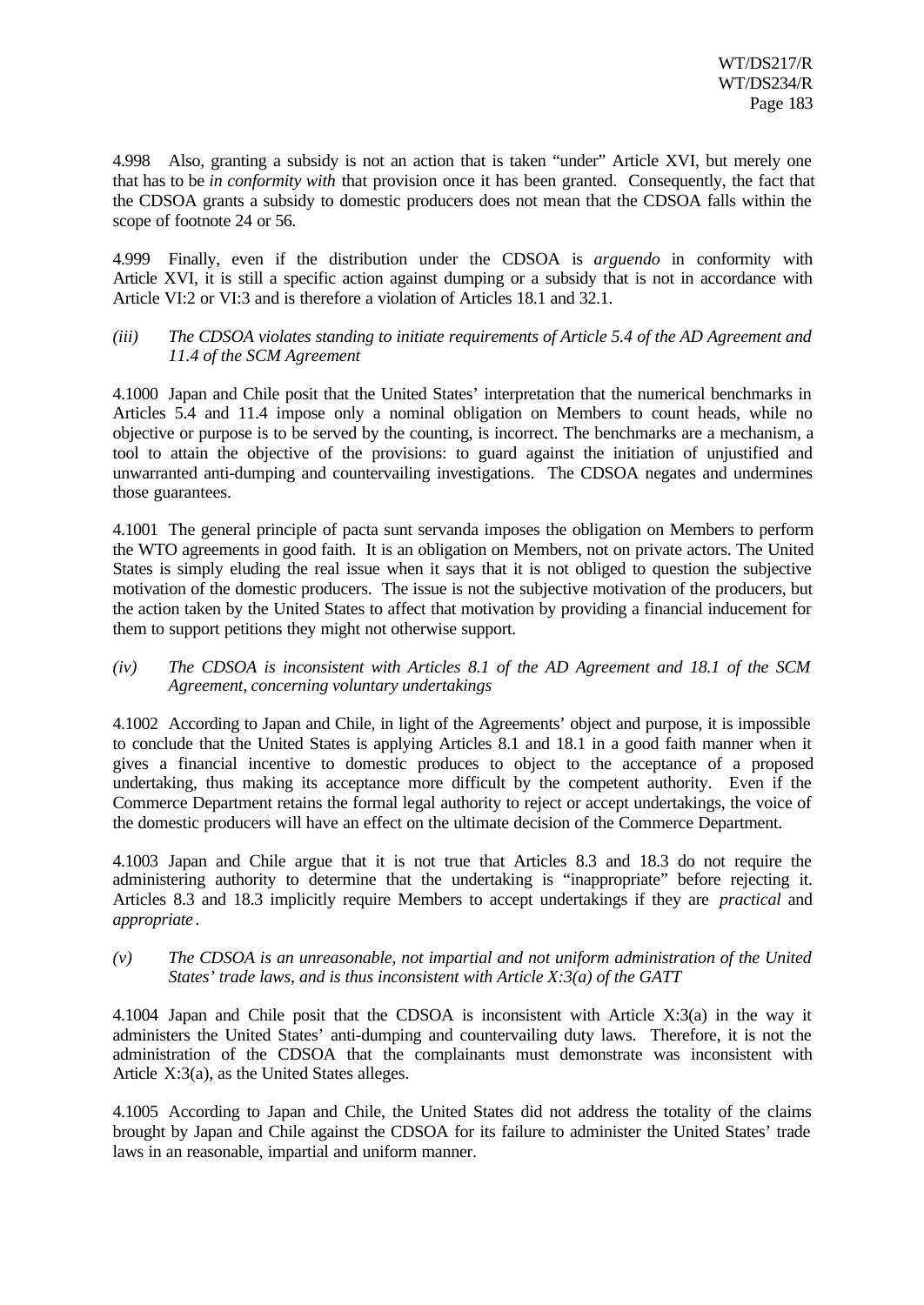4.998 Also, granting a subsidy is not an action that is taken "under" Article XVI, but merely one that has to be *in conformity with* that provision once it has been granted. Consequently, the fact that the CDSOA grants a subsidy to domestic producers does not mean that the CDSOA falls within the scope of footnote 24 or 56.

4.999 Finally, even if the distribution under the CDSOA is *arguendo* in conformity with Article XVI, it is still a specific action against dumping or a subsidy that is not in accordance with Article VI:2 or VI:3 and is therefore a violation of Articles 18.1 and 32.1.

# *(iii) The CDSOA violates standing to initiate requirements of Article 5.4 of the AD Agreement and 11.4 of the SCM Agreement*

4.1000 Japan and Chile posit that the United States' interpretation that the numerical benchmarks in Articles 5.4 and 11.4 impose only a nominal obligation on Members to count heads, while no objective or purpose is to be served by the counting, is incorrect. The benchmarks are a mechanism, a tool to attain the objective of the provisions: to guard against the initiation of unjustified and unwarranted anti-dumping and countervailing investigations. The CDSOA negates and undermines those guarantees.

4.1001 The general principle of pacta sunt servanda imposes the obligation on Members to perform the WTO agreements in good faith. It is an obligation on Members, not on private actors. The United States is simply eluding the real issue when it says that it is not obliged to question the subjective motivation of the domestic producers. The issue is not the subjective motivation of the producers, but the action taken by the United States to affect that motivation by providing a financial inducement for them to support petitions they might not otherwise support.

# *(iv) The CDSOA is inconsistent with Articles 8.1 of the AD Agreement and 18.1 of the SCM Agreement, concerning voluntary undertakings*

4.1002 According to Japan and Chile, in light of the Agreements' object and purpose, it is impossible to conclude that the United States is applying Articles 8.1 and 18.1 in a good faith manner when it gives a financial incentive to domestic produces to object to the acceptance of a proposed undertaking, thus making its acceptance more difficult by the competent authority. Even if the Commerce Department retains the formal legal authority to reject or accept undertakings, the voice of the domestic producers will have an effect on the ultimate decision of the Commerce Department.

4.1003 Japan and Chile argue that it is not true that Articles 8.3 and 18.3 do not require the administering authority to determine that the undertaking is "inappropriate" before rejecting it. Articles 8.3 and 18.3 implicitly require Members to accept undertakings if they are *practical* and *appropriate* .

# *(v) The CDSOA is an unreasonable, not impartial and not uniform administration of the United States' trade laws, and is thus inconsistent with Article X:3(a) of the GATT*

4.1004 Japan and Chile posit that the CDSOA is inconsistent with Article X:3(a) in the way it administers the United States' anti-dumping and countervailing duty laws. Therefore, it is not the administration of the CDSOA that the complainants must demonstrate was inconsistent with Article X:3(a), as the United States alleges.

4.1005 According to Japan and Chile, the United States did not address the totality of the claims brought by Japan and Chile against the CDSOA for its failure to administer the United States' trade laws in an reasonable, impartial and uniform manner.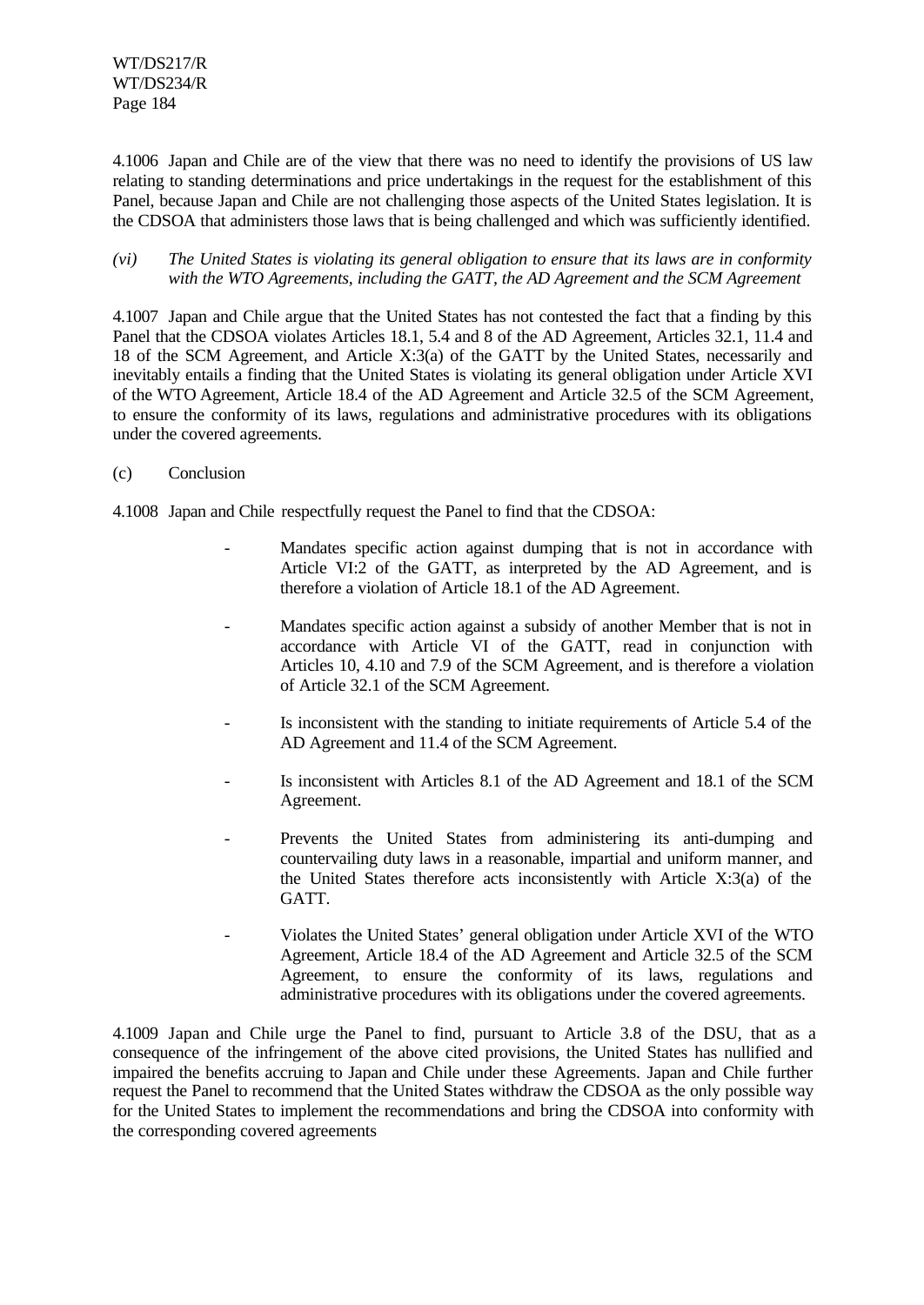4.1006 Japan and Chile are of the view that there was no need to identify the provisions of US law relating to standing determinations and price undertakings in the request for the establishment of this Panel, because Japan and Chile are not challenging those aspects of the United States legislation. It is the CDSOA that administers those laws that is being challenged and which was sufficiently identified.

*(vi) The United States is violating its general obligation to ensure that its laws are in conformity with the WTO Agreements, including the GATT, the AD Agreement and the SCM Agreement*

4.1007 Japan and Chile argue that the United States has not contested the fact that a finding by this Panel that the CDSOA violates Articles 18.1, 5.4 and 8 of the AD Agreement, Articles 32.1, 11.4 and 18 of the SCM Agreement, and Article X:3(a) of the GATT by the United States, necessarily and inevitably entails a finding that the United States is violating its general obligation under Article XVI of the WTO Agreement, Article 18.4 of the AD Agreement and Article 32.5 of the SCM Agreement, to ensure the conformity of its laws, regulations and administrative procedures with its obligations under the covered agreements.

(c) Conclusion

4.1008 Japan and Chile respectfully request the Panel to find that the CDSOA:

- Mandates specific action against dumping that is not in accordance with Article VI:2 of the GATT, as interpreted by the AD Agreement, and is therefore a violation of Article 18.1 of the AD Agreement.
- Mandates specific action against a subsidy of another Member that is not in accordance with Article VI of the GATT, read in conjunction with Articles 10, 4.10 and 7.9 of the SCM Agreement, and is therefore a violation of Article 32.1 of the SCM Agreement.
- Is inconsistent with the standing to initiate requirements of Article 5.4 of the AD Agreement and 11.4 of the SCM Agreement.
- Is inconsistent with Articles 8.1 of the AD Agreement and 18.1 of the SCM Agreement.
- Prevents the United States from administering its anti-dumping and countervailing duty laws in a reasonable, impartial and uniform manner, and the United States therefore acts inconsistently with Article X:3(a) of the GATT.
- Violates the United States' general obligation under Article XVI of the WTO Agreement, Article 18.4 of the AD Agreement and Article 32.5 of the SCM Agreement, to ensure the conformity of its laws, regulations and administrative procedures with its obligations under the covered agreements.

4.1009 Japan and Chile urge the Panel to find, pursuant to Article 3.8 of the DSU, that as a consequence of the infringement of the above cited provisions, the United States has nullified and impaired the benefits accruing to Japan and Chile under these Agreements. Japan and Chile further request the Panel to recommend that the United States withdraw the CDSOA as the only possible way for the United States to implement the recommendations and bring the CDSOA into conformity with the corresponding covered agreements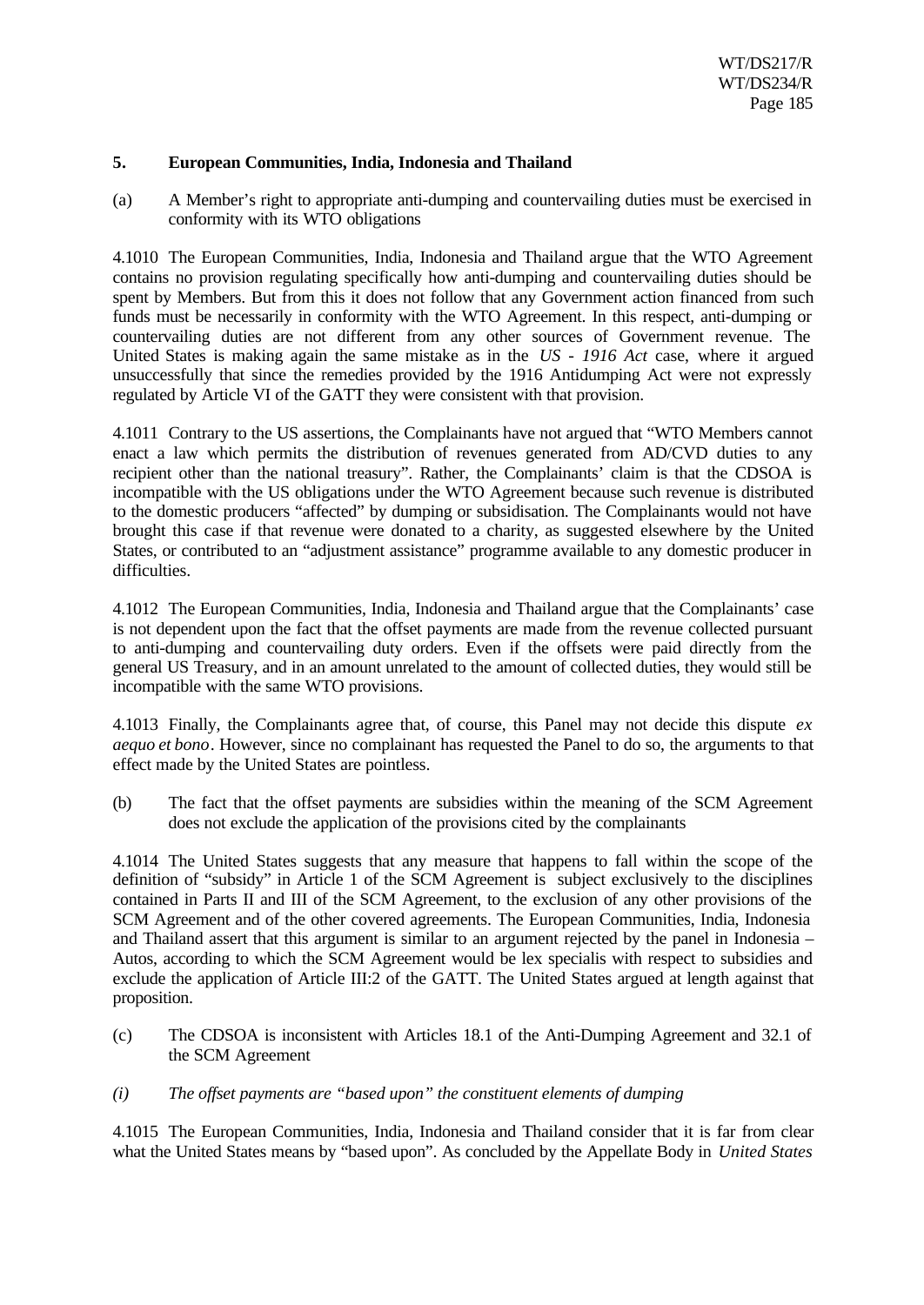# **5. European Communities, India, Indonesia and Thailand**

(a) A Member's right to appropriate anti-dumping and countervailing duties must be exercised in conformity with its WTO obligations

4.1010 The European Communities, India, Indonesia and Thailand argue that the WTO Agreement contains no provision regulating specifically how anti-dumping and countervailing duties should be spent by Members. But from this it does not follow that any Government action financed from such funds must be necessarily in conformity with the WTO Agreement. In this respect, anti-dumping or countervailing duties are not different from any other sources of Government revenue. The United States is making again the same mistake as in the *US - 1916 Act* case, where it argued unsuccessfully that since the remedies provided by the 1916 Antidumping Act were not expressly regulated by Article VI of the GATT they were consistent with that provision.

4.1011 Contrary to the US assertions, the Complainants have not argued that "WTO Members cannot enact a law which permits the distribution of revenues generated from AD/CVD duties to any recipient other than the national treasury". Rather, the Complainants' claim is that the CDSOA is incompatible with the US obligations under the WTO Agreement because such revenue is distributed to the domestic producers "affected" by dumping or subsidisation. The Complainants would not have brought this case if that revenue were donated to a charity, as suggested elsewhere by the United States, or contributed to an "adjustment assistance" programme available to any domestic producer in difficulties.

4.1012 The European Communities, India, Indonesia and Thailand argue that the Complainants' case is not dependent upon the fact that the offset payments are made from the revenue collected pursuant to anti-dumping and countervailing duty orders. Even if the offsets were paid directly from the general US Treasury, and in an amount unrelated to the amount of collected duties, they would still be incompatible with the same WTO provisions.

4.1013 Finally, the Complainants agree that, of course, this Panel may not decide this dispute *ex aequo et bono*. However, since no complainant has requested the Panel to do so, the arguments to that effect made by the United States are pointless.

(b) The fact that the offset payments are subsidies within the meaning of the SCM Agreement does not exclude the application of the provisions cited by the complainants

4.1014 The United States suggests that any measure that happens to fall within the scope of the definition of "subsidy" in Article 1 of the SCM Agreement is subject exclusively to the disciplines contained in Parts II and III of the SCM Agreement, to the exclusion of any other provisions of the SCM Agreement and of the other covered agreements. The European Communities, India, Indonesia and Thailand assert that this argument is similar to an argument rejected by the panel in Indonesia – Autos, according to which the SCM Agreement would be lex specialis with respect to subsidies and exclude the application of Article III:2 of the GATT. The United States argued at length against that proposition.

- (c) The CDSOA is inconsistent with Articles 18.1 of the Anti-Dumping Agreement and 32.1 of the SCM Agreement
- *(i) The offset payments are "based upon" the constituent elements of dumping*

4.1015 The European Communities, India, Indonesia and Thailand consider that it is far from clear what the United States means by "based upon". As concluded by the Appellate Body in *United States*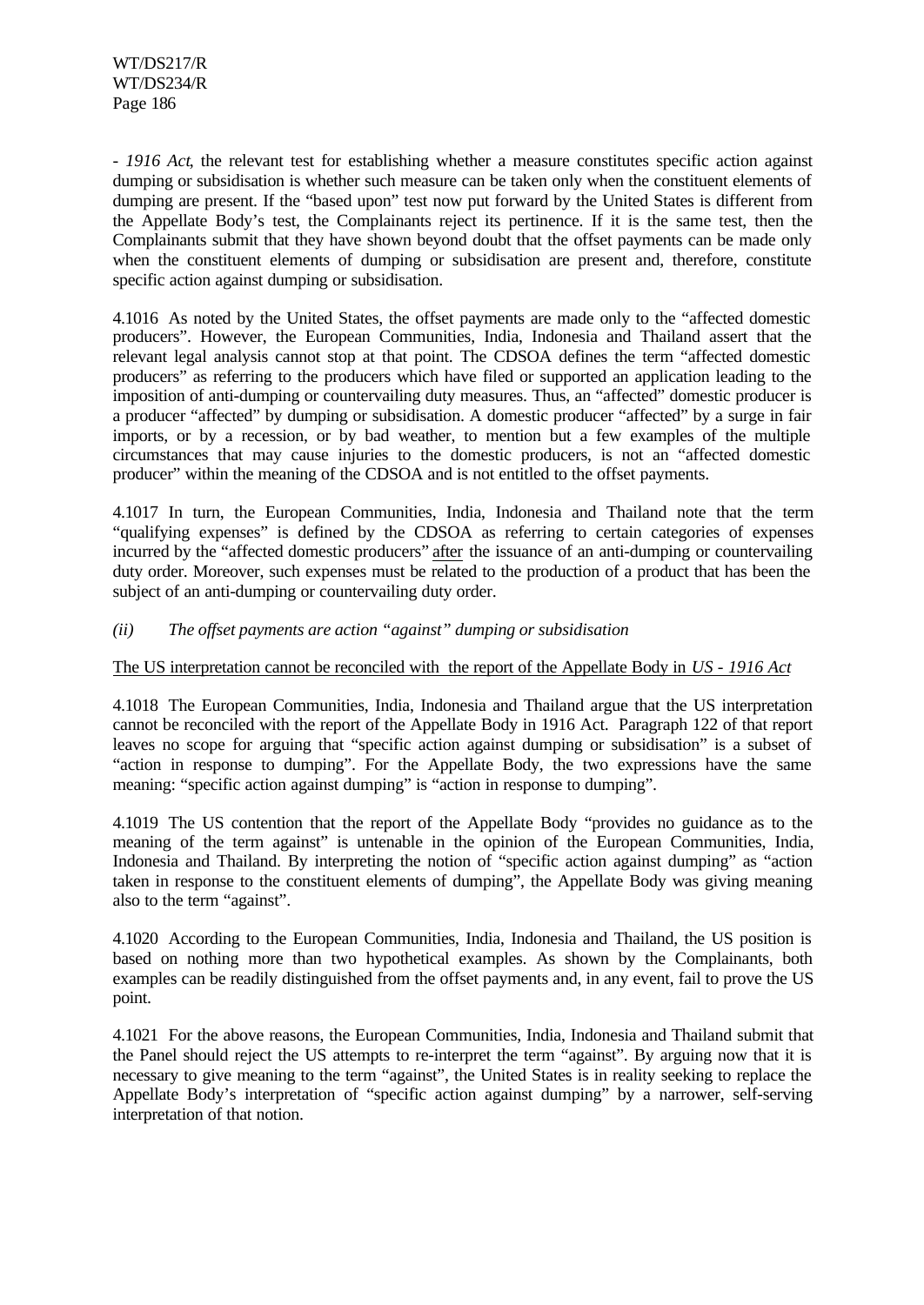*- 1916 Act*, the relevant test for establishing whether a measure constitutes specific action against dumping or subsidisation is whether such measure can be taken only when the constituent elements of dumping are present. If the "based upon" test now put forward by the United States is different from the Appellate Body's test, the Complainants reject its pertinence. If it is the same test, then the Complainants submit that they have shown beyond doubt that the offset payments can be made only when the constituent elements of dumping or subsidisation are present and, therefore, constitute specific action against dumping or subsidisation.

4.1016 As noted by the United States, the offset payments are made only to the "affected domestic producers". However, the European Communities, India, Indonesia and Thailand assert that the relevant legal analysis cannot stop at that point. The CDSOA defines the term "affected domestic producers" as referring to the producers which have filed or supported an application leading to the imposition of anti-dumping or countervailing duty measures. Thus, an "affected" domestic producer is a producer "affected" by dumping or subsidisation. A domestic producer "affected" by a surge in fair imports, or by a recession, or by bad weather, to mention but a few examples of the multiple circumstances that may cause injuries to the domestic producers, is not an "affected domestic producer" within the meaning of the CDSOA and is not entitled to the offset payments.

4.1017 In turn, the European Communities, India, Indonesia and Thailand note that the term "qualifying expenses" is defined by the CDSOA as referring to certain categories of expenses incurred by the "affected domestic producers" after the issuance of an anti-dumping or countervailing duty order. Moreover, such expenses must be related to the production of a product that has been the subject of an anti-dumping or countervailing duty order.

# *(ii) The offset payments are action "against" dumping or subsidisation*

# The US interpretation cannot be reconciled with the report of the Appellate Body in *US - 1916 Act*

4.1018 The European Communities, India, Indonesia and Thailand argue that the US interpretation cannot be reconciled with the report of the Appellate Body in 1916 Act. Paragraph 122 of that report leaves no scope for arguing that "specific action against dumping or subsidisation" is a subset of "action in response to dumping". For the Appellate Body, the two expressions have the same meaning: "specific action against dumping" is "action in response to dumping".

4.1019 The US contention that the report of the Appellate Body "provides no guidance as to the meaning of the term against" is untenable in the opinion of the European Communities, India, Indonesia and Thailand. By interpreting the notion of "specific action against dumping" as "action taken in response to the constituent elements of dumping", the Appellate Body was giving meaning also to the term "against".

4.1020 According to the European Communities, India, Indonesia and Thailand, the US position is based on nothing more than two hypothetical examples. As shown by the Complainants, both examples can be readily distinguished from the offset payments and, in any event, fail to prove the US point.

4.1021 For the above reasons, the European Communities, India, Indonesia and Thailand submit that the Panel should reject the US attempts to re-interpret the term "against". By arguing now that it is necessary to give meaning to the term "against", the United States is in reality seeking to replace the Appellate Body's interpretation of "specific action against dumping" by a narrower, self-serving interpretation of that notion.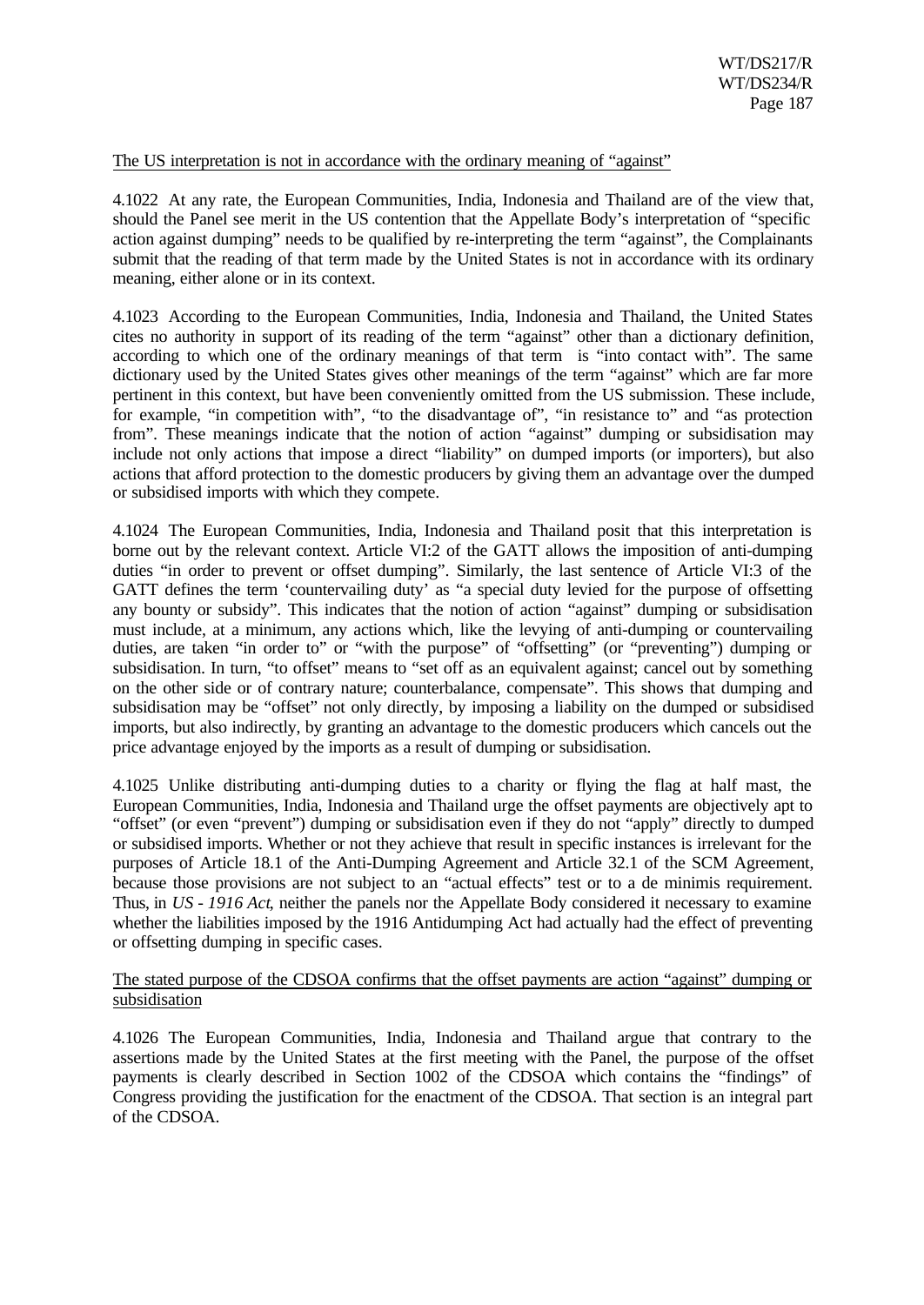The US interpretation is not in accordance with the ordinary meaning of "against"

4.1022 At any rate, the European Communities, India, Indonesia and Thailand are of the view that, should the Panel see merit in the US contention that the Appellate Body's interpretation of "specific action against dumping" needs to be qualified by re-interpreting the term "against", the Complainants submit that the reading of that term made by the United States is not in accordance with its ordinary meaning, either alone or in its context.

4.1023 According to the European Communities, India, Indonesia and Thailand, the United States cites no authority in support of its reading of the term "against" other than a dictionary definition, according to which one of the ordinary meanings of that term is "into contact with". The same dictionary used by the United States gives other meanings of the term "against" which are far more pertinent in this context, but have been conveniently omitted from the US submission. These include, for example, "in competition with", "to the disadvantage of", "in resistance to" and "as protection from". These meanings indicate that the notion of action "against" dumping or subsidisation may include not only actions that impose a direct "liability" on dumped imports (or importers), but also actions that afford protection to the domestic producers by giving them an advantage over the dumped or subsidised imports with which they compete.

4.1024 The European Communities, India, Indonesia and Thailand posit that this interpretation is borne out by the relevant context. Article VI:2 of the GATT allows the imposition of anti-dumping duties "in order to prevent or offset dumping". Similarly, the last sentence of Article VI:3 of the GATT defines the term 'countervailing duty' as "a special duty levied for the purpose of offsetting any bounty or subsidy". This indicates that the notion of action "against" dumping or subsidisation must include, at a minimum, any actions which, like the levying of anti-dumping or countervailing duties, are taken "in order to" or "with the purpose" of "offsetting" (or "preventing") dumping or subsidisation. In turn, "to offset" means to "set off as an equivalent against; cancel out by something on the other side or of contrary nature; counterbalance, compensate". This shows that dumping and subsidisation may be "offset" not only directly, by imposing a liability on the dumped or subsidised imports, but also indirectly, by granting an advantage to the domestic producers which cancels out the price advantage enjoyed by the imports as a result of dumping or subsidisation.

4.1025 Unlike distributing anti-dumping duties to a charity or flying the flag at half mast, the European Communities, India, Indonesia and Thailand urge the offset payments are objectively apt to "offset" (or even "prevent") dumping or subsidisation even if they do not "apply" directly to dumped or subsidised imports. Whether or not they achieve that result in specific instances is irrelevant for the purposes of Article 18.1 of the Anti-Dumping Agreement and Article 32.1 of the SCM Agreement, because those provisions are not subject to an "actual effects" test or to a de minimis requirement. Thus, in *US - 1916 Act*, neither the panels nor the Appellate Body considered it necessary to examine whether the liabilities imposed by the 1916 Antidumping Act had actually had the effect of preventing or offsetting dumping in specific cases.

# The stated purpose of the CDSOA confirms that the offset payments are action "against" dumping or subsidisation

4.1026 The European Communities, India, Indonesia and Thailand argue that contrary to the assertions made by the United States at the first meeting with the Panel, the purpose of the offset payments is clearly described in Section 1002 of the CDSOA which contains the "findings" of Congress providing the justification for the enactment of the CDSOA. That section is an integral part of the CDSOA.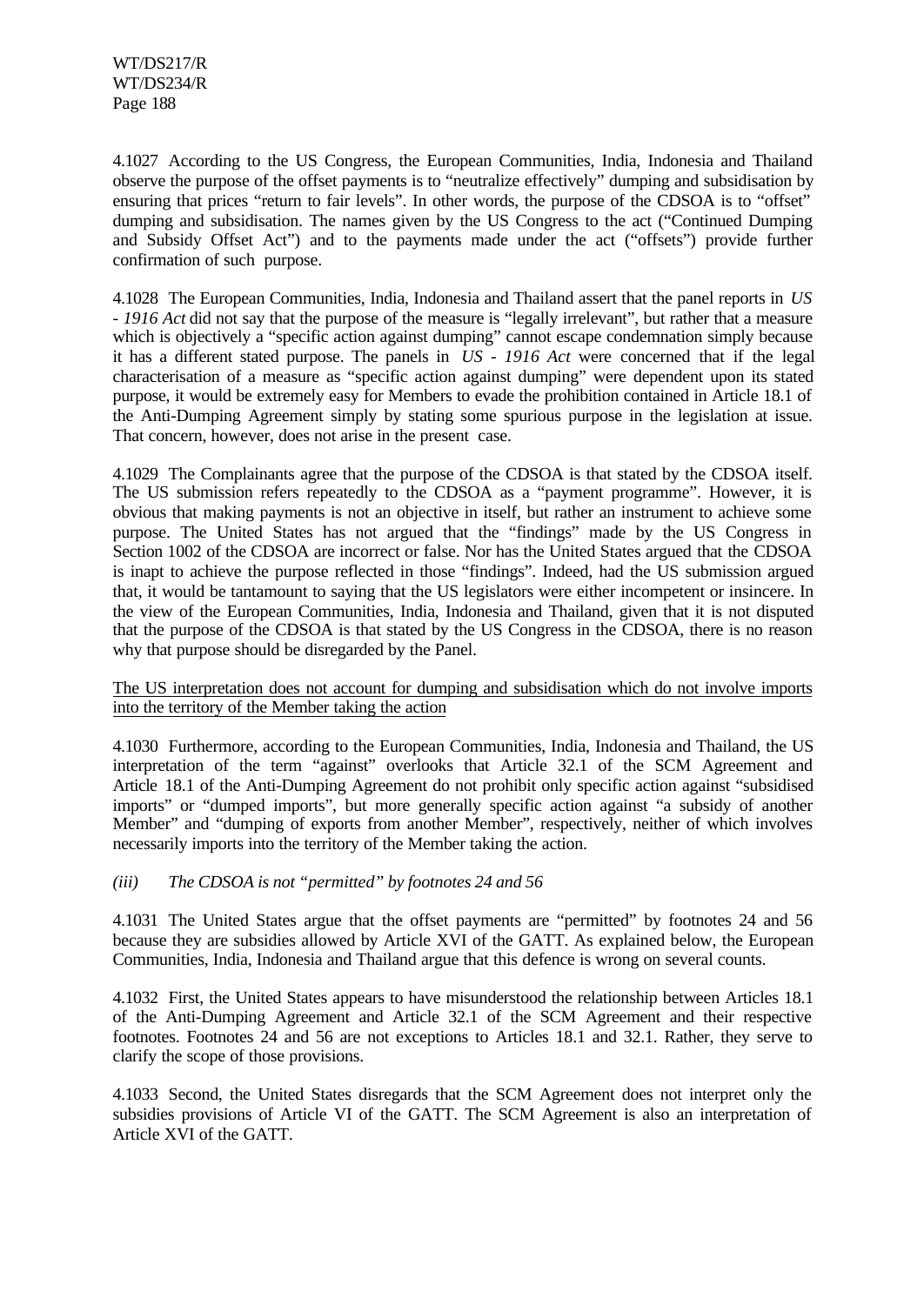4.1027 According to the US Congress, the European Communities, India, Indonesia and Thailand observe the purpose of the offset payments is to "neutralize effectively" dumping and subsidisation by ensuring that prices "return to fair levels". In other words, the purpose of the CDSOA is to "offset" dumping and subsidisation. The names given by the US Congress to the act ("Continued Dumping and Subsidy Offset Act") and to the payments made under the act ("offsets") provide further confirmation of such purpose.

4.1028 The European Communities, India, Indonesia and Thailand assert that the panel reports in *US - 1916 Act* did not say that the purpose of the measure is "legally irrelevant", but rather that a measure which is objectively a "specific action against dumping" cannot escape condemnation simply because it has a different stated purpose. The panels in *US - 1916 Act* were concerned that if the legal characterisation of a measure as "specific action against dumping" were dependent upon its stated purpose, it would be extremely easy for Members to evade the prohibition contained in Article 18.1 of the Anti-Dumping Agreement simply by stating some spurious purpose in the legislation at issue. That concern, however, does not arise in the present case.

4.1029 The Complainants agree that the purpose of the CDSOA is that stated by the CDSOA itself. The US submission refers repeatedly to the CDSOA as a "payment programme". However, it is obvious that making payments is not an objective in itself, but rather an instrument to achieve some purpose. The United States has not argued that the "findings" made by the US Congress in Section 1002 of the CDSOA are incorrect or false. Nor has the United States argued that the CDSOA is inapt to achieve the purpose reflected in those "findings". Indeed, had the US submission argued that, it would be tantamount to saying that the US legislators were either incompetent or insincere. In the view of the European Communities, India, Indonesia and Thailand, given that it is not disputed that the purpose of the CDSOA is that stated by the US Congress in the CDSOA, there is no reason why that purpose should be disregarded by the Panel.

# The US interpretation does not account for dumping and subsidisation which do not involve imports into the territory of the Member taking the action

4.1030 Furthermore, according to the European Communities, India, Indonesia and Thailand, the US interpretation of the term "against" overlooks that Article 32.1 of the SCM Agreement and Article 18.1 of the Anti-Dumping Agreement do not prohibit only specific action against "subsidised imports" or "dumped imports", but more generally specific action against "a subsidy of another Member" and "dumping of exports from another Member", respectively, neither of which involves necessarily imports into the territory of the Member taking the action.

# *(iii) The CDSOA is not "permitted" by footnotes 24 and 56*

4.1031 The United States argue that the offset payments are "permitted" by footnotes 24 and 56 because they are subsidies allowed by Article XVI of the GATT. As explained below, the European Communities, India, Indonesia and Thailand argue that this defence is wrong on several counts.

4.1032 First, the United States appears to have misunderstood the relationship between Articles 18.1 of the Anti-Dumping Agreement and Article 32.1 of the SCM Agreement and their respective footnotes. Footnotes 24 and 56 are not exceptions to Articles 18.1 and 32.1. Rather, they serve to clarify the scope of those provisions.

4.1033 Second, the United States disregards that the SCM Agreement does not interpret only the subsidies provisions of Article VI of the GATT. The SCM Agreement is also an interpretation of Article XVI of the GATT.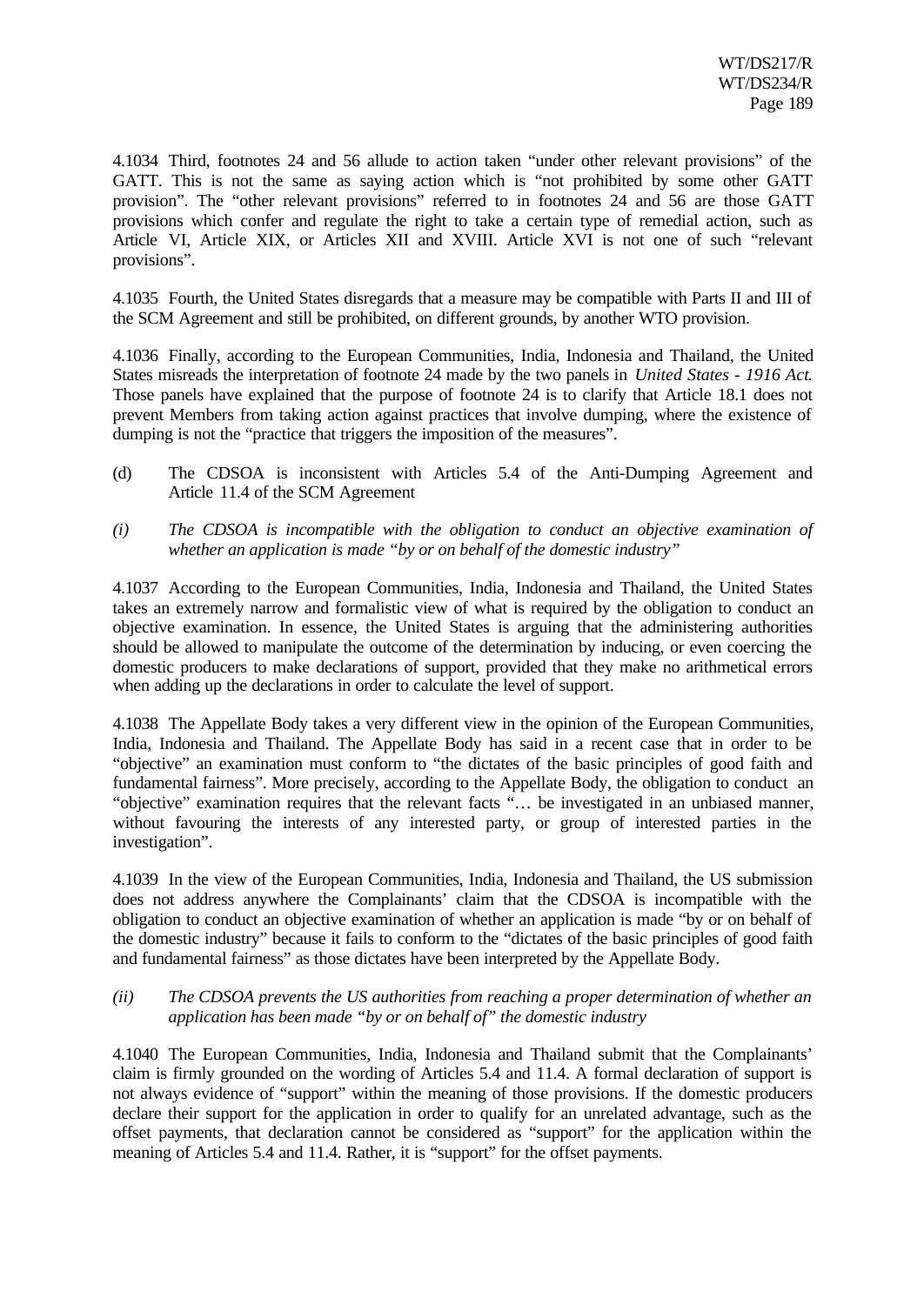4.1034 Third, footnotes 24 and 56 allude to action taken "under other relevant provisions" of the GATT. This is not the same as saying action which is "not prohibited by some other GATT provision". The "other relevant provisions" referred to in footnotes 24 and 56 are those GATT provisions which confer and regulate the right to take a certain type of remedial action, such as Article VI, Article XIX, or Articles XII and XVIII. Article XVI is not one of such "relevant provisions".

4.1035 Fourth, the United States disregards that a measure may be compatible with Parts II and III of the SCM Agreement and still be prohibited, on different grounds, by another WTO provision.

4.1036 Finally, according to the European Communities, India, Indonesia and Thailand, the United States misreads the interpretation of footnote 24 made by the two panels in *United States - 1916 Act*. Those panels have explained that the purpose of footnote 24 is to clarify that Article 18.1 does not prevent Members from taking action against practices that involve dumping, where the existence of dumping is not the "practice that triggers the imposition of the measures".

- (d) The CDSOA is inconsistent with Articles 5.4 of the Anti-Dumping Agreement and Article 11.4 of the SCM Agreement
- *(i) The CDSOA is incompatible with the obligation to conduct an objective examination of whether an application is made "by or on behalf of the domestic industry"*

4.1037 According to the European Communities, India, Indonesia and Thailand, the United States takes an extremely narrow and formalistic view of what is required by the obligation to conduct an objective examination. In essence, the United States is arguing that the administering authorities should be allowed to manipulate the outcome of the determination by inducing, or even coercing the domestic producers to make declarations of support, provided that they make no arithmetical errors when adding up the declarations in order to calculate the level of support.

4.1038 The Appellate Body takes a very different view in the opinion of the European Communities, India, Indonesia and Thailand. The Appellate Body has said in a recent case that in order to be "objective" an examination must conform to "the dictates of the basic principles of good faith and fundamental fairness". More precisely, according to the Appellate Body, the obligation to conduct an "objective" examination requires that the relevant facts "… be investigated in an unbiased manner, without favouring the interests of any interested party, or group of interested parties in the investigation".

4.1039 In the view of the European Communities, India, Indonesia and Thailand, the US submission does not address anywhere the Complainants' claim that the CDSOA is incompatible with the obligation to conduct an objective examination of whether an application is made "by or on behalf of the domestic industry" because it fails to conform to the "dictates of the basic principles of good faith and fundamental fairness" as those dictates have been interpreted by the Appellate Body.

# *(ii) The CDSOA prevents the US authorities from reaching a proper determination of whether an application has been made "by or on behalf of" the domestic industry*

4.1040 The European Communities, India, Indonesia and Thailand submit that the Complainants' claim is firmly grounded on the wording of Articles 5.4 and 11.4. A formal declaration of support is not always evidence of "support" within the meaning of those provisions. If the domestic producers declare their support for the application in order to qualify for an unrelated advantage, such as the offset payments, that declaration cannot be considered as "support" for the application within the meaning of Articles 5.4 and 11.4. Rather, it is "support" for the offset payments.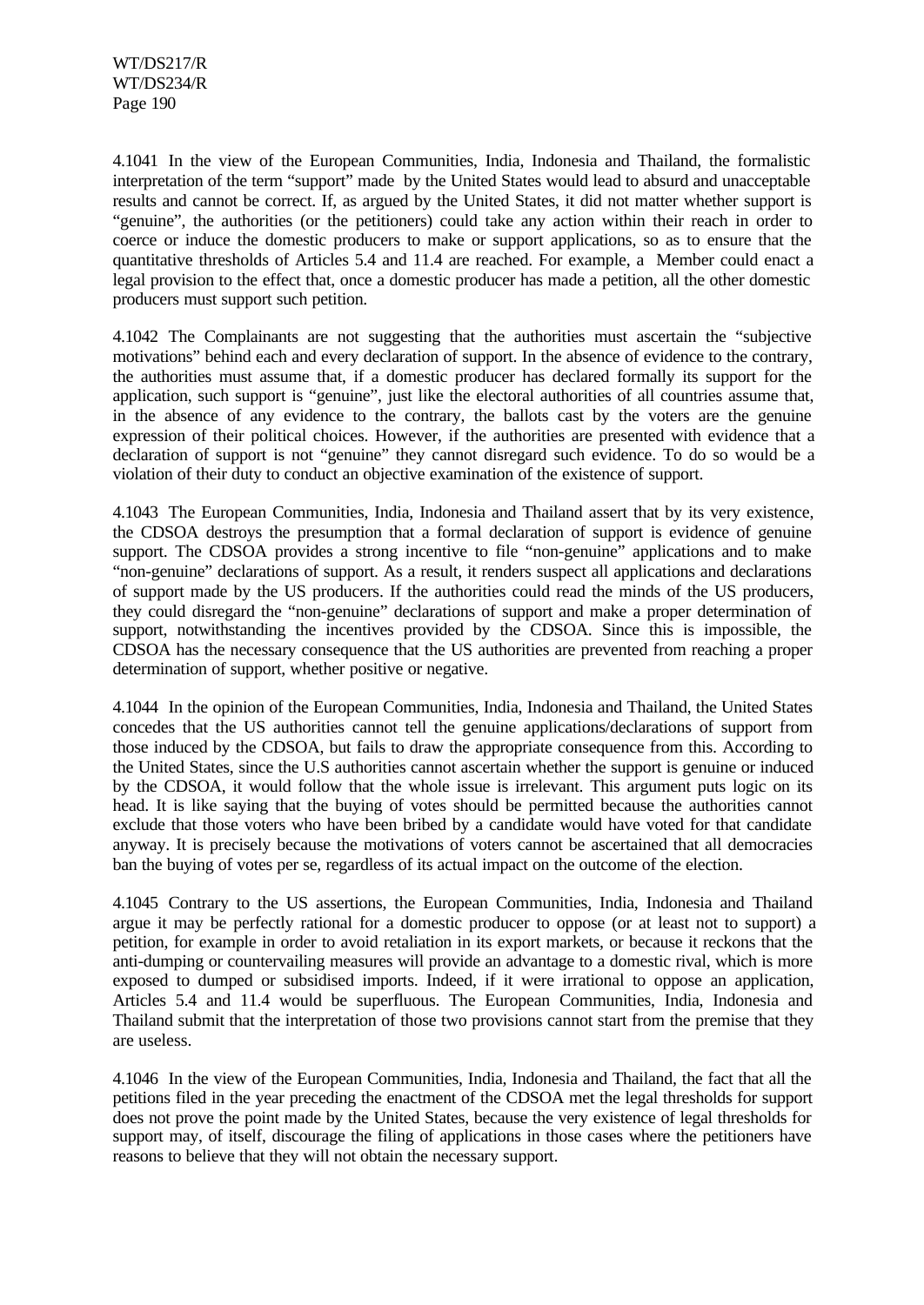WT/DS217/R WT/DS234/R Page 190

4.1041 In the view of the European Communities, India, Indonesia and Thailand, the formalistic interpretation of the term "support" made by the United States would lead to absurd and unacceptable results and cannot be correct. If, as argued by the United States, it did not matter whether support is "genuine", the authorities (or the petitioners) could take any action within their reach in order to coerce or induce the domestic producers to make or support applications, so as to ensure that the quantitative thresholds of Articles 5.4 and 11.4 are reached. For example, a Member could enact a legal provision to the effect that, once a domestic producer has made a petition, all the other domestic producers must support such petition.

4.1042 The Complainants are not suggesting that the authorities must ascertain the "subjective motivations" behind each and every declaration of support. In the absence of evidence to the contrary, the authorities must assume that, if a domestic producer has declared formally its support for the application, such support is "genuine", just like the electoral authorities of all countries assume that, in the absence of any evidence to the contrary, the ballots cast by the voters are the genuine expression of their political choices. However, if the authorities are presented with evidence that a declaration of support is not "genuine" they cannot disregard such evidence. To do so would be a violation of their duty to conduct an objective examination of the existence of support.

4.1043 The European Communities, India, Indonesia and Thailand assert that by its very existence, the CDSOA destroys the presumption that a formal declaration of support is evidence of genuine support. The CDSOA provides a strong incentive to file "non-genuine" applications and to make "non-genuine" declarations of support. As a result, it renders suspect all applications and declarations of support made by the US producers. If the authorities could read the minds of the US producers, they could disregard the "non-genuine" declarations of support and make a proper determination of support, notwithstanding the incentives provided by the CDSOA. Since this is impossible, the CDSOA has the necessary consequence that the US authorities are prevented from reaching a proper determination of support, whether positive or negative.

4.1044 In the opinion of the European Communities, India, Indonesia and Thailand, the United States concedes that the US authorities cannot tell the genuine applications/declarations of support from those induced by the CDSOA, but fails to draw the appropriate consequence from this. According to the United States, since the U.S authorities cannot ascertain whether the support is genuine or induced by the CDSOA, it would follow that the whole issue is irrelevant. This argument puts logic on its head. It is like saying that the buying of votes should be permitted because the authorities cannot exclude that those voters who have been bribed by a candidate would have voted for that candidate anyway. It is precisely because the motivations of voters cannot be ascertained that all democracies ban the buying of votes per se, regardless of its actual impact on the outcome of the election.

4.1045 Contrary to the US assertions, the European Communities, India, Indonesia and Thailand argue it may be perfectly rational for a domestic producer to oppose (or at least not to support) a petition, for example in order to avoid retaliation in its export markets, or because it reckons that the anti-dumping or countervailing measures will provide an advantage to a domestic rival, which is more exposed to dumped or subsidised imports. Indeed, if it were irrational to oppose an application, Articles 5.4 and 11.4 would be superfluous. The European Communities, India, Indonesia and Thailand submit that the interpretation of those two provisions cannot start from the premise that they are useless.

4.1046 In the view of the European Communities, India, Indonesia and Thailand, the fact that all the petitions filed in the year preceding the enactment of the CDSOA met the legal thresholds for support does not prove the point made by the United States, because the very existence of legal thresholds for support may, of itself, discourage the filing of applications in those cases where the petitioners have reasons to believe that they will not obtain the necessary support.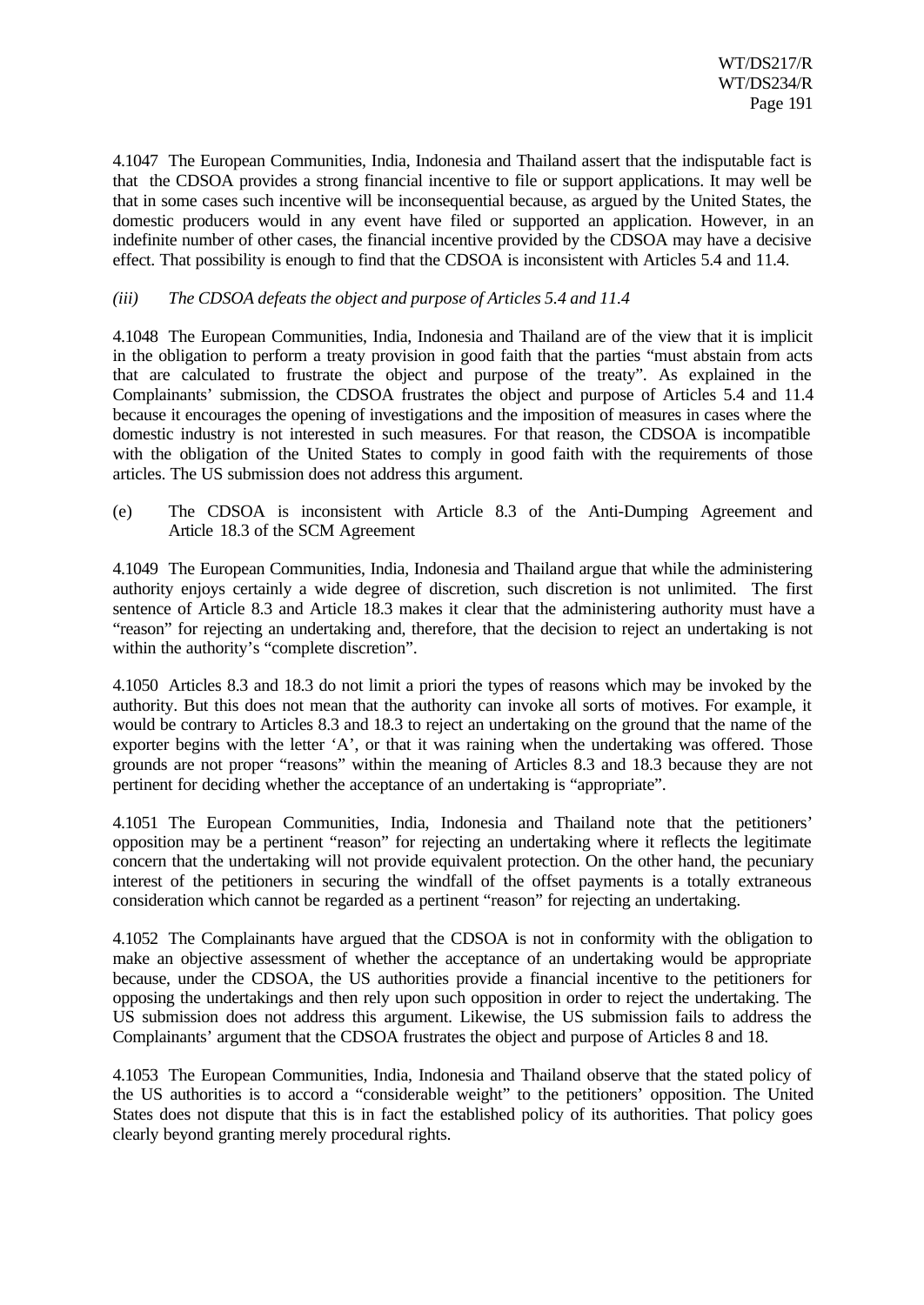4.1047 The European Communities, India, Indonesia and Thailand assert that the indisputable fact is that the CDSOA provides a strong financial incentive to file or support applications. It may well be that in some cases such incentive will be inconsequential because, as argued by the United States, the domestic producers would in any event have filed or supported an application. However, in an indefinite number of other cases, the financial incentive provided by the CDSOA may have a decisive effect. That possibility is enough to find that the CDSOA is inconsistent with Articles 5.4 and 11.4.

# *(iii) The CDSOA defeats the object and purpose of Articles 5.4 and 11.4*

4.1048 The European Communities, India, Indonesia and Thailand are of the view that it is implicit in the obligation to perform a treaty provision in good faith that the parties "must abstain from acts that are calculated to frustrate the object and purpose of the treaty". As explained in the Complainants' submission, the CDSOA frustrates the object and purpose of Articles 5.4 and 11.4 because it encourages the opening of investigations and the imposition of measures in cases where the domestic industry is not interested in such measures. For that reason, the CDSOA is incompatible with the obligation of the United States to comply in good faith with the requirements of those articles. The US submission does not address this argument.

(e) The CDSOA is inconsistent with Article 8.3 of the Anti-Dumping Agreement and Article 18.3 of the SCM Agreement

4.1049 The European Communities, India, Indonesia and Thailand argue that while the administering authority enjoys certainly a wide degree of discretion, such discretion is not unlimited. The first sentence of Article 8.3 and Article 18.3 makes it clear that the administering authority must have a "reason" for rejecting an undertaking and, therefore, that the decision to reject an undertaking is not within the authority's "complete discretion".

4.1050 Articles 8.3 and 18.3 do not limit a priori the types of reasons which may be invoked by the authority. But this does not mean that the authority can invoke all sorts of motives. For example, it would be contrary to Articles 8.3 and 18.3 to reject an undertaking on the ground that the name of the exporter begins with the letter 'A', or that it was raining when the undertaking was offered. Those grounds are not proper "reasons" within the meaning of Articles 8.3 and 18.3 because they are not pertinent for deciding whether the acceptance of an undertaking is "appropriate".

4.1051 The European Communities, India, Indonesia and Thailand note that the petitioners' opposition may be a pertinent "reason" for rejecting an undertaking where it reflects the legitimate concern that the undertaking will not provide equivalent protection. On the other hand, the pecuniary interest of the petitioners in securing the windfall of the offset payments is a totally extraneous consideration which cannot be regarded as a pertinent "reason" for rejecting an undertaking.

4.1052 The Complainants have argued that the CDSOA is not in conformity with the obligation to make an objective assessment of whether the acceptance of an undertaking would be appropriate because, under the CDSOA, the US authorities provide a financial incentive to the petitioners for opposing the undertakings and then rely upon such opposition in order to reject the undertaking. The US submission does not address this argument. Likewise, the US submission fails to address the Complainants' argument that the CDSOA frustrates the object and purpose of Articles 8 and 18.

4.1053 The European Communities, India, Indonesia and Thailand observe that the stated policy of the US authorities is to accord a "considerable weight" to the petitioners' opposition. The United States does not dispute that this is in fact the established policy of its authorities. That policy goes clearly beyond granting merely procedural rights.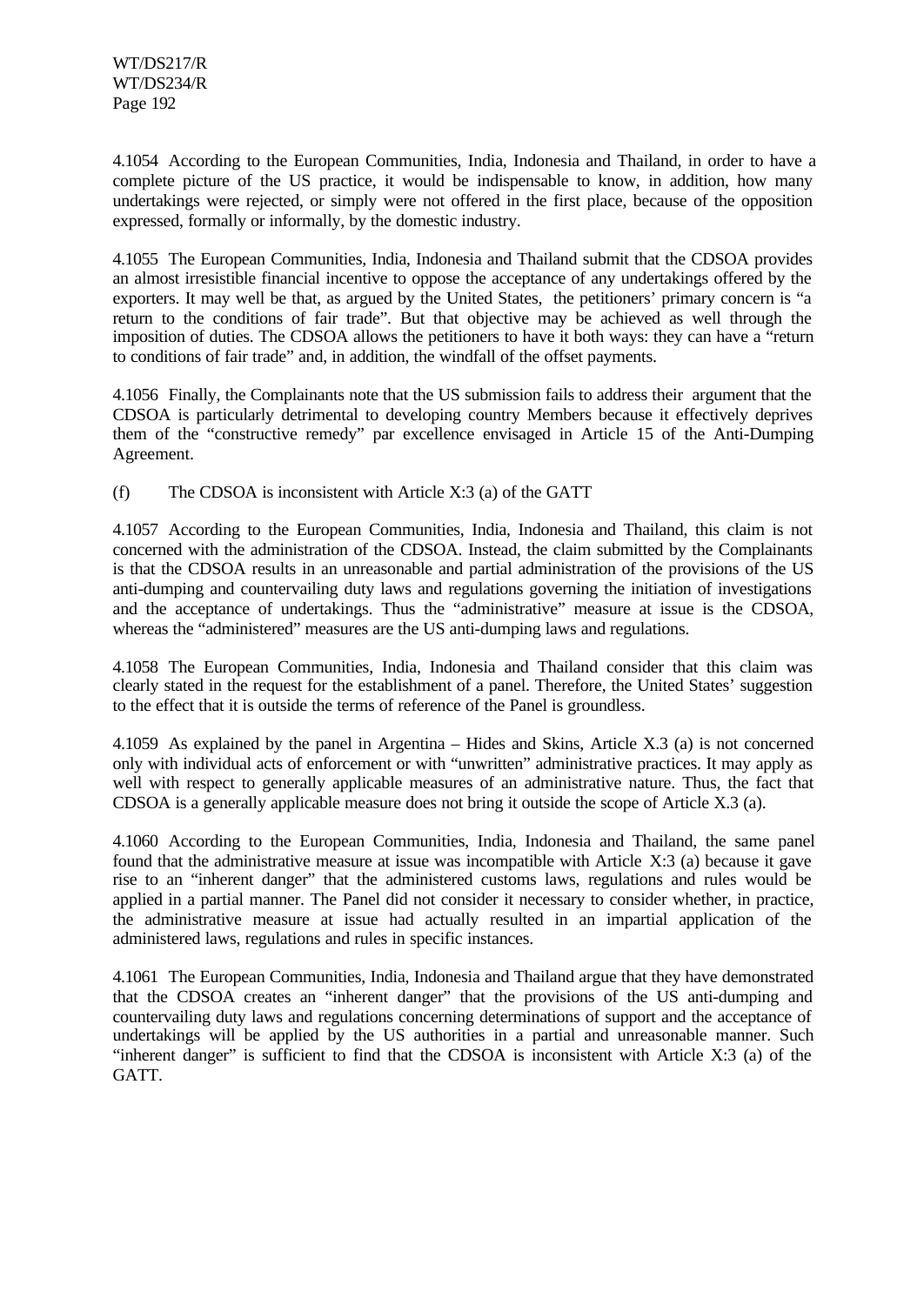4.1054 According to the European Communities, India, Indonesia and Thailand, in order to have a complete picture of the US practice, it would be indispensable to know, in addition, how many undertakings were rejected, or simply were not offered in the first place, because of the opposition expressed, formally or informally, by the domestic industry.

4.1055 The European Communities, India, Indonesia and Thailand submit that the CDSOA provides an almost irresistible financial incentive to oppose the acceptance of any undertakings offered by the exporters. It may well be that, as argued by the United States, the petitioners' primary concern is "a return to the conditions of fair trade". But that objective may be achieved as well through the imposition of duties. The CDSOA allows the petitioners to have it both ways: they can have a "return to conditions of fair trade" and, in addition, the windfall of the offset payments.

4.1056 Finally, the Complainants note that the US submission fails to address their argument that the CDSOA is particularly detrimental to developing country Members because it effectively deprives them of the "constructive remedy" par excellence envisaged in Article 15 of the Anti-Dumping Agreement.

(f) The CDSOA is inconsistent with Article X:3 (a) of the GATT

4.1057 According to the European Communities, India, Indonesia and Thailand, this claim is not concerned with the administration of the CDSOA. Instead, the claim submitted by the Complainants is that the CDSOA results in an unreasonable and partial administration of the provisions of the US anti-dumping and countervailing duty laws and regulations governing the initiation of investigations and the acceptance of undertakings. Thus the "administrative" measure at issue is the CDSOA, whereas the "administered" measures are the US anti-dumping laws and regulations.

4.1058 The European Communities, India, Indonesia and Thailand consider that this claim was clearly stated in the request for the establishment of a panel. Therefore, the United States' suggestion to the effect that it is outside the terms of reference of the Panel is groundless.

4.1059 As explained by the panel in Argentina – Hides and Skins, Article X.3 (a) is not concerned only with individual acts of enforcement or with "unwritten" administrative practices. It may apply as well with respect to generally applicable measures of an administrative nature. Thus, the fact that CDSOA is a generally applicable measure does not bring it outside the scope of Article X.3 (a).

4.1060 According to the European Communities, India, Indonesia and Thailand, the same panel found that the administrative measure at issue was incompatible with Article X:3 (a) because it gave rise to an "inherent danger" that the administered customs laws, regulations and rules would be applied in a partial manner. The Panel did not consider it necessary to consider whether, in practice, the administrative measure at issue had actually resulted in an impartial application of the administered laws, regulations and rules in specific instances.

4.1061 The European Communities, India, Indonesia and Thailand argue that they have demonstrated that the CDSOA creates an "inherent danger" that the provisions of the US anti-dumping and countervailing duty laws and regulations concerning determinations of support and the acceptance of undertakings will be applied by the US authorities in a partial and unreasonable manner. Such "inherent danger" is sufficient to find that the CDSOA is inconsistent with Article X:3 (a) of the GATT.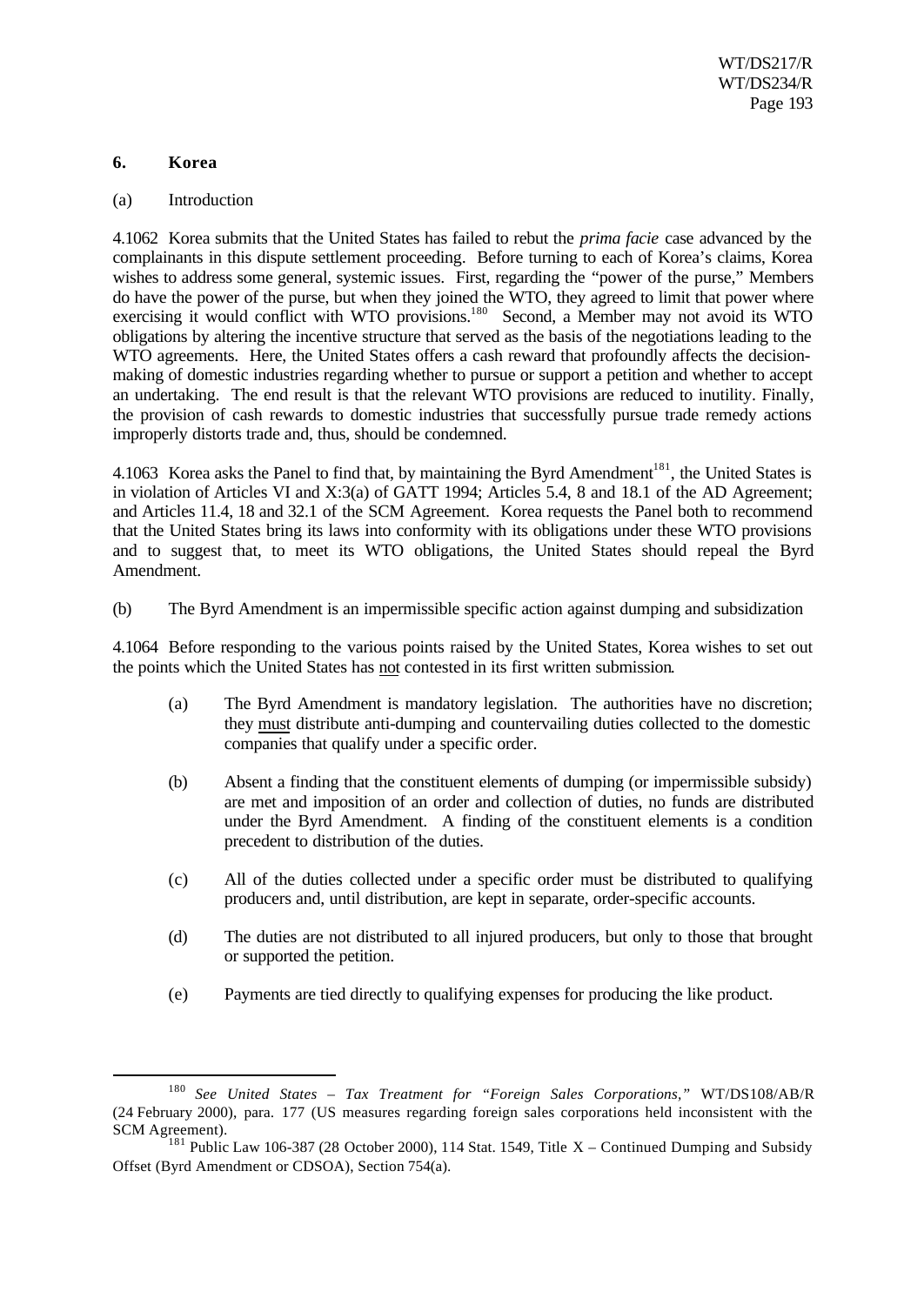# **6. Korea**

l

# (a) Introduction

4.1062 Korea submits that the United States has failed to rebut the *prima facie* case advanced by the complainants in this dispute settlement proceeding. Before turning to each of Korea's claims, Korea wishes to address some general, systemic issues. First, regarding the "power of the purse," Members do have the power of the purse, but when they joined the WTO, they agreed to limit that power where exercising it would conflict with WTO provisions.<sup>180</sup> Second, a Member may not avoid its WTO obligations by altering the incentive structure that served as the basis of the negotiations leading to the WTO agreements. Here, the United States offers a cash reward that profoundly affects the decisionmaking of domestic industries regarding whether to pursue or support a petition and whether to accept an undertaking. The end result is that the relevant WTO provisions are reduced to inutility. Finally, the provision of cash rewards to domestic industries that successfully pursue trade remedy actions improperly distorts trade and, thus, should be condemned.

4.1063 Korea asks the Panel to find that, by maintaining the Byrd Amendment<sup>181</sup>, the United States is in violation of Articles VI and X:3(a) of GATT 1994; Articles 5.4, 8 and 18.1 of the AD Agreement; and Articles 11.4, 18 and 32.1 of the SCM Agreement. Korea requests the Panel both to recommend that the United States bring its laws into conformity with its obligations under these WTO provisions and to suggest that, to meet its WTO obligations, the United States should repeal the Byrd Amendment.

(b) The Byrd Amendment is an impermissible specific action against dumping and subsidization

4.1064 Before responding to the various points raised by the United States, Korea wishes to set out the points which the United States has not contested in its first written submission.

- (a) The Byrd Amendment is mandatory legislation. The authorities have no discretion; they must distribute anti-dumping and countervailing duties collected to the domestic companies that qualify under a specific order.
- (b) Absent a finding that the constituent elements of dumping (or impermissible subsidy) are met and imposition of an order and collection of duties, no funds are distributed under the Byrd Amendment. A finding of the constituent elements is a condition precedent to distribution of the duties.
- (c) All of the duties collected under a specific order must be distributed to qualifying producers and, until distribution, are kept in separate, order-specific accounts.
- (d) The duties are not distributed to all injured producers, but only to those that brought or supported the petition.
- (e) Payments are tied directly to qualifying expenses for producing the like product.

<sup>180</sup> *See United States – Tax Treatment for "Foreign Sales Corporations,"* WT/DS108/AB/R (24 February 2000), para. 177 (US measures regarding foreign sales corporations held inconsistent with the SCM Agreement).

<sup>&</sup>lt;sup>181</sup> Public Law 106-387 (28 October 2000), 114 Stat. 1549, Title X – Continued Dumping and Subsidy Offset (Byrd Amendment or CDSOA), Section 754(a).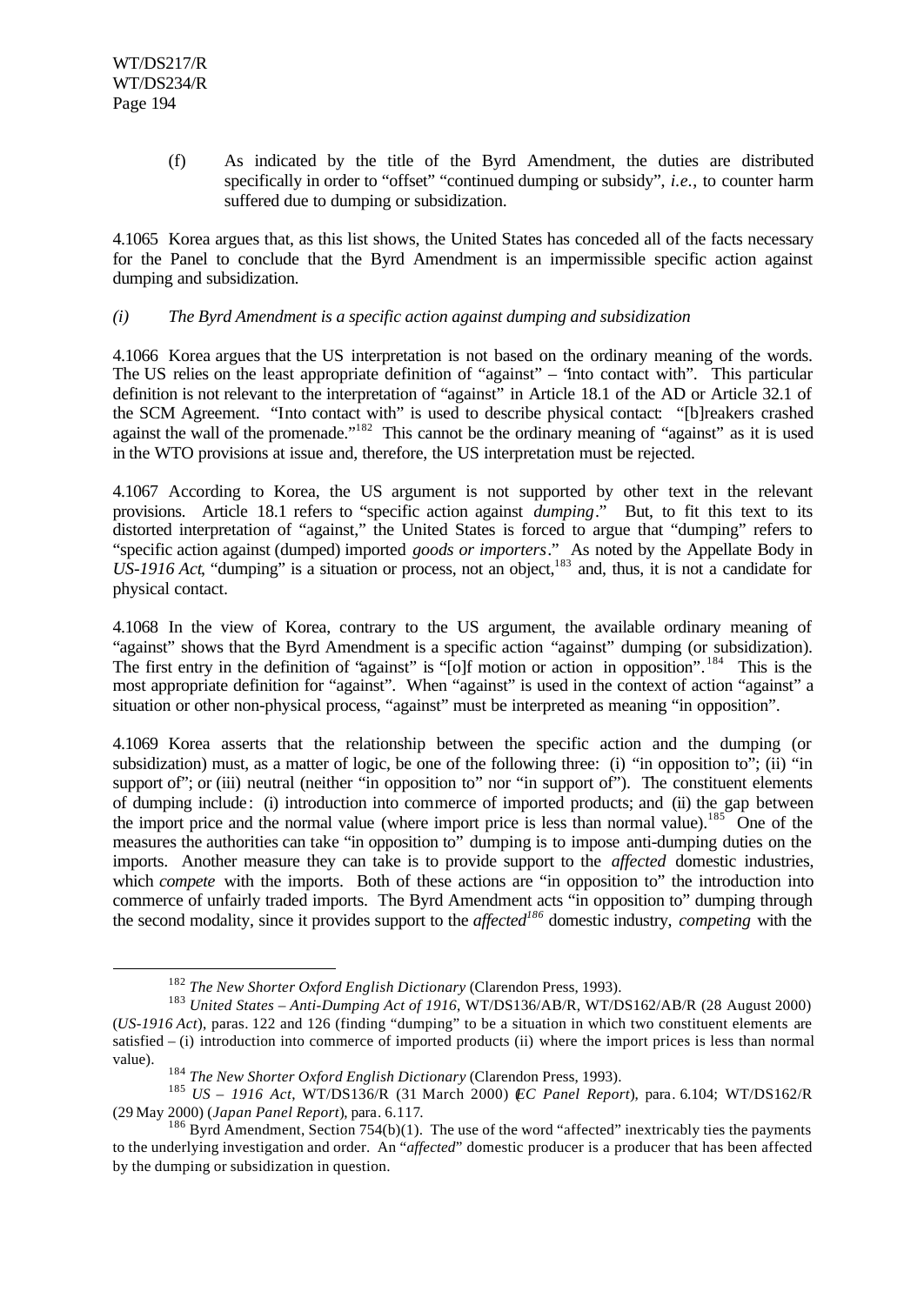l

(f) As indicated by the title of the Byrd Amendment, the duties are distributed specifically in order to "offset" "continued dumping or subsidy", *i.e.*, to counter harm suffered due to dumping or subsidization.

4.1065 Korea argues that, as this list shows, the United States has conceded all of the facts necessary for the Panel to conclude that the Byrd Amendment is an impermissible specific action against dumping and subsidization.

# *(i) The Byrd Amendment is a specific action against dumping and subsidization*

4.1066 Korea argues that the US interpretation is not based on the ordinary meaning of the words. The US relies on the least appropriate definition of "against" – "into contact with". This particular definition is not relevant to the interpretation of "against" in Article 18.1 of the AD or Article 32.1 of the SCM Agreement. "Into contact with" is used to describe physical contact: "[b]reakers crashed against the wall of the promenade."<sup>182</sup> This cannot be the ordinary meaning of "against" as it is used in the WTO provisions at issue and, therefore, the US interpretation must be rejected.

4.1067 According to Korea, the US argument is not supported by other text in the relevant provisions. Article 18.1 refers to "specific action against *dumping*." But, to fit this text to its distorted interpretation of "against," the United States is forced to argue that "dumping" refers to "specific action against (dumped) imported *goods or importers*." As noted by the Appellate Body in *US-1916 Act*, "dumping" is a situation or process, not an object,<sup>183</sup> and, thus, it is not a candidate for physical contact.

4.1068 In the view of Korea, contrary to the US argument, the available ordinary meaning of "against" shows that the Byrd Amendment is a specific action "against" dumping (or subsidization). The first entry in the definition of "against" is "[o]f motion or action in opposition".<sup>184</sup> This is the most appropriate definition for "against". When "against" is used in the context of action "against" a situation or other non-physical process, "against" must be interpreted as meaning "in opposition".

4.1069 Korea asserts that the relationship between the specific action and the dumping (or subsidization) must, as a matter of logic, be one of the following three: (i) "in opposition to"; (ii) "in support of"; or (iii) neutral (neither "in opposition to" nor "in support of"). The constituent elements of dumping include: (i) introduction into commerce of imported products; and (ii) the gap between the import price and the normal value (where import price is less than normal value).<sup>185</sup> One of the measures the authorities can take "in opposition to" dumping is to impose anti-dumping duties on the imports. Another measure they can take is to provide support to the *affected* domestic industries, which *compete* with the imports. Both of these actions are "in opposition to" the introduction into commerce of unfairly traded imports. The Byrd Amendment acts "in opposition to" dumping through the second modality, since it provides support to the *affected<sup>186</sup>* domestic industry, *competing* with the

<sup>182</sup> *The New Shorter Oxford English Dictionary* (Clarendon Press, 1993).

<sup>183</sup> *United States – Anti-Dumping Act of 1916*, WT/DS136/AB/R, WT/DS162/AB/R (28 August 2000) (*US-1916 Act*), paras. 122 and 126 (finding "dumping" to be a situation in which two constituent elements are satisfied – (i) introduction into commerce of imported products (ii) where the import prices is less than normal value).

<sup>184</sup> *The New Shorter Oxford English Dictionary* (Clarendon Press, 1993).

<sup>185</sup> *US – 1916 Act*, WT/DS136/R (31 March 2000) (*EC Panel Report*), para. 6.104; WT/DS162/R (29 May 2000) (*Japan Panel Report*), para. 6.117.

 $^{186}$  Byrd Amendment, Section 754(b)(1). The use of the word "affected" inextricably ties the payments to the underlying investigation and order. An "*affected*" domestic producer is a producer that has been affected by the dumping or subsidization in question.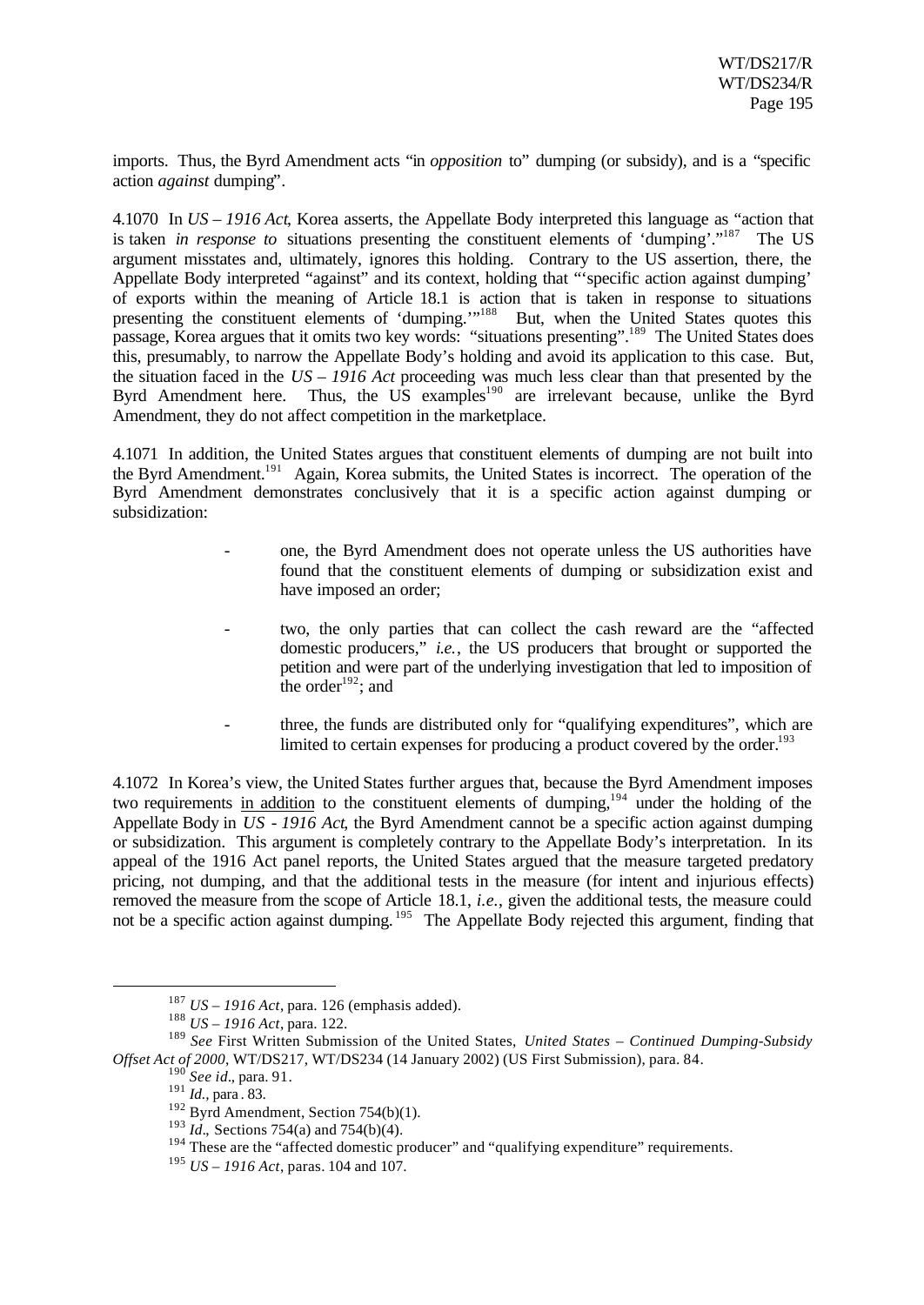imports. Thus, the Byrd Amendment acts "in *opposition* to" dumping (or subsidy), and is a "specific action *against* dumping".

4.1070 In *US – 1916 Act*, Korea asserts, the Appellate Body interpreted this language as "action that is taken *in response to* situations presenting the constituent elements of 'dumping'."<sup>187</sup> The US argument misstates and, ultimately, ignores this holding. Contrary to the US assertion, there, the Appellate Body interpreted "against" and its context, holding that "'specific action against dumping' of exports within the meaning of Article 18.1 is action that is taken in response to situations presenting the constituent elements of 'dumping.'"<sup>188</sup> But, when the United States quotes this passage, Korea argues that it omits two key words: "situations presenting".<sup>189</sup> The United States does this, presumably, to narrow the Appellate Body's holding and avoid its application to this case. But, the situation faced in the *US – 1916 Act* proceeding was much less clear than that presented by the Byrd Amendment here. Thus, the US examples<sup>190</sup> are irrelevant because, unlike the Byrd Amendment, they do not affect competition in the marketplace.

4.1071 In addition, the United States argues that constituent elements of dumping are not built into the Byrd Amendment.<sup>191</sup> Again, Korea submits, the United States is incorrect. The operation of the Byrd Amendment demonstrates conclusively that it is a specific action against dumping or subsidization:

- one, the Byrd Amendment does not operate unless the US authorities have found that the constituent elements of dumping or subsidization exist and have imposed an order;
- two, the only parties that can collect the cash reward are the "affected domestic producers," *i.e.*, the US producers that brought or supported the petition and were part of the underlying investigation that led to imposition of the order<sup>192</sup>; and
- three, the funds are distributed only for "qualifying expenditures", which are limited to certain expenses for producing a product covered by the order.<sup>193</sup>

4.1072 In Korea's view, the United States further argues that, because the Byrd Amendment imposes two requirements in addition to the constituent elements of dumping,<sup>194</sup> under the holding of the Appellate Body in *US - 1916 Act*, the Byrd Amendment cannot be a specific action against dumping or subsidization. This argument is completely contrary to the Appellate Body's interpretation. In its appeal of the 1916 Act panel reports, the United States argued that the measure targeted predatory pricing, not dumping, and that the additional tests in the measure (for intent and injurious effects) removed the measure from the scope of Article 18.1, *i.e.*, given the additional tests, the measure could not be a specific action against dumping.<sup>195</sup> The Appellate Body rejected this argument, finding that

<sup>187</sup> *US – 1916 Act*, para. 126 (emphasis added).

<sup>188</sup> *US – 1916 Act*, para. 122.

<sup>189</sup> *See* First Written Submission of the United States, *United States – Continued Dumping-Subsidy Offset Act of 2000*, WT/DS217, WT/DS234 (14 January 2002) (US First Submission), para. 84.

<sup>190</sup> *See id.*, para. 91.

<sup>191</sup> *Id.,* para . 83.

 $192$  Byrd Amendment, Section 754(b)(1).

<sup>193</sup> *Id.*, Sections 754(a) and 754(b)(4).

 $194$  These are the "affected domestic producer" and "qualifying expenditure" requirements.

<sup>195</sup> *US – 1916 Act*, paras. 104 and 107.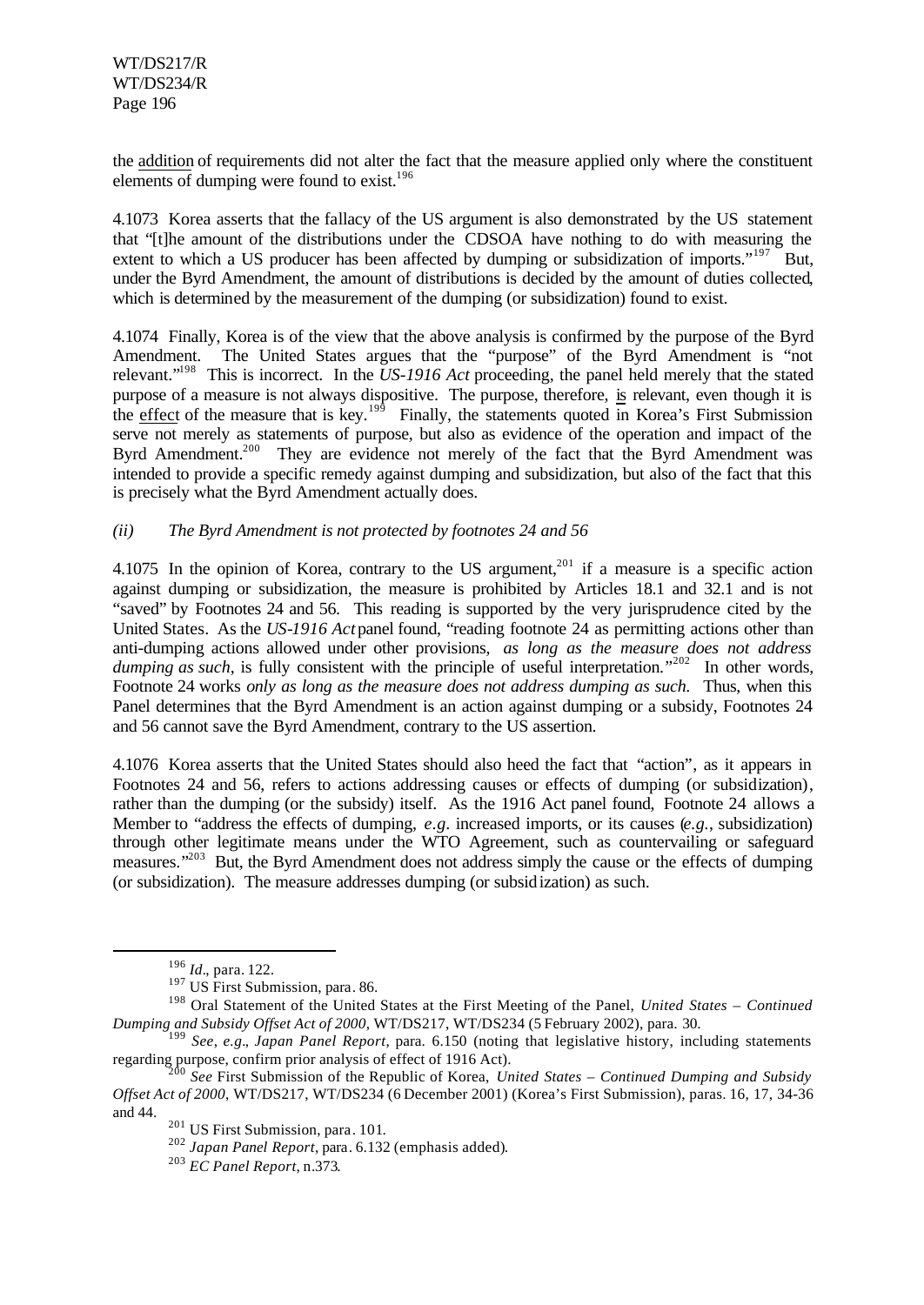the addition of requirements did not alter the fact that the measure applied only where the constituent elements of dumping were found to exist.<sup>196</sup>

4.1073 Korea asserts that the fallacy of the US argument is also demonstrated by the US statement that "[t]he amount of the distributions under the CDSOA have nothing to do with measuring the extent to which a US producer has been affected by dumping or subsidization of imports."<sup>197</sup> But, under the Byrd Amendment, the amount of distributions is decided by the amount of duties collected, which is determined by the measurement of the dumping (or subsidization) found to exist.

4.1074 Finally, Korea is of the view that the above analysis is confirmed by the purpose of the Byrd Amendment. The United States argues that the "purpose" of the Byrd Amendment is "not relevant."<sup>198</sup> This is incorrect. In the *US-1916 Act* proceeding, the panel held merely that the stated purpose of a measure is not always dispositive. The purpose, therefore, is relevant, even though it is the effect of the measure that is key.<sup>199</sup> Finally, the statements quoted in Korea's First Submission serve not merely as statements of purpose, but also as evidence of the operation and impact of the Byrd Amendment.<sup>200</sup> They are evidence not merely of the fact that the Byrd Amendment was intended to provide a specific remedy against dumping and subsidization, but also of the fact that this is precisely what the Byrd Amendment actually does.

# *(ii) The Byrd Amendment is not protected by footnotes 24 and 56*

4.1075 In the opinion of Korea, contrary to the US argument,<sup>201</sup> if a measure is a specific action against dumping or subsidization, the measure is prohibited by Articles 18.1 and 32.1 and is not "saved" by Footnotes 24 and 56. This reading is supported by the very jurisprudence cited by the United States. As the *US-1916 Act* panel found, "reading footnote 24 as permitting actions other than anti-dumping actions allowed under other provisions, *as long as the measure does not address* dumping as such, is fully consistent with the principle of useful interpretation."<sup>202</sup> In other words, Footnote 24 works *only as long as the measure does not address dumping as such.* Thus, when this Panel determines that the Byrd Amendment is an action against dumping or a subsidy, Footnotes 24 and 56 cannot save the Byrd Amendment, contrary to the US assertion.

4.1076 Korea asserts that the United States should also heed the fact that "action", as it appears in Footnotes 24 and 56, refers to actions addressing causes or effects of dumping (or subsidization), rather than the dumping (or the subsidy) itself. As the 1916 Act panel found, Footnote 24 allows a Member to "address the effects of dumping, *e.g.* increased imports, or its causes (*e.g.*, subsidization) through other legitimate means under the WTO Agreement, such as countervailing or safeguard measures."<sup>203</sup> But, the Byrd Amendment does not address simply the cause or the effects of dumping (or subsidization). The measure addresses dumping (or subsidization) as such.

<sup>196</sup> *Id.*, para. 122.

 $197$  US First Submission, para. 86.

<sup>198</sup> Oral Statement of the United States at the First Meeting of the Panel, *United States – Continued Dumping and Subsidy Offset Act of 2000*, WT/DS217, WT/DS234 (5 February 2002), para. 30.

<sup>199</sup> *See*, *e.g.*, *Japan Panel Report*, para. 6.150 (noting that legislative history, including statements regarding purpose, confirm prior analysis of effect of 1916 Act).

<sup>200</sup> *See* First Submission of the Republic of Korea, *United States – Continued Dumping and Subsidy Offset Act of 2000*, WT/DS217, WT/DS234 (6 December 2001) (Korea's First Submission), paras. 16, 17, 34-36 and 44.

<sup>201</sup> US First Submission, para. 101.

<sup>202</sup> *Japan Panel Report*, para. 6.132 (emphasis added).

<sup>203</sup> *EC Panel Report*, n.373.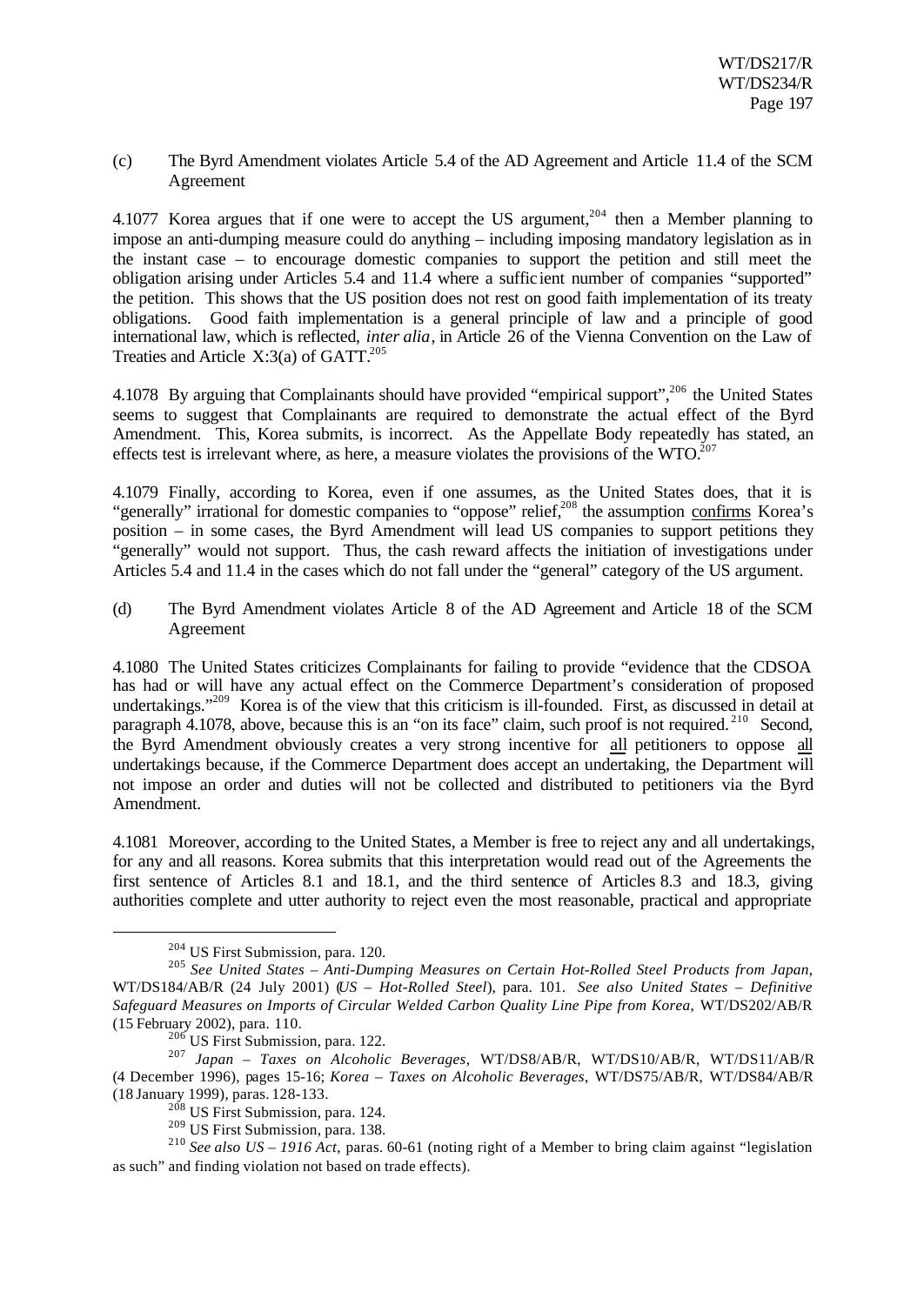(c) The Byrd Amendment violates Article 5.4 of the AD Agreement and Article 11.4 of the SCM Agreement

4.1077 Korea argues that if one were to accept the US argument,<sup>204</sup> then a Member planning to impose an anti-dumping measure could do anything – including imposing mandatory legislation as in the instant case – to encourage domestic companies to support the petition and still meet the obligation arising under Articles 5.4 and 11.4 where a suffic ient number of companies "supported" the petition. This shows that the US position does not rest on good faith implementation of its treaty obligations. Good faith implementation is a general principle of law and a principle of good international law, which is reflected, *inter alia*, in Article 26 of the Vienna Convention on the Law of Treaties and Article  $X:3(a)$  of GATT.<sup>205</sup>

4.1078 By arguing that Complainants should have provided "empirical support",<sup>206</sup> the United States seems to suggest that Complainants are required to demonstrate the actual effect of the Byrd Amendment. This, Korea submits, is incorrect. As the Appellate Body repeatedly has stated, an effects test is irrelevant where, as here, a measure violates the provisions of the  $WTO$ <sup>207</sup>

4.1079 Finally, according to Korea, even if one assumes, as the United States does, that it is "generally" irrational for domestic companies to "oppose" relief,<sup>208</sup> the assumption confirms Korea's position – in some cases, the Byrd Amendment will lead US companies to support petitions they "generally" would not support. Thus, the cash reward affects the initiation of investigations under Articles 5.4 and 11.4 in the cases which do not fall under the "general" category of the US argument.

(d) The Byrd Amendment violates Article 8 of the AD Agreement and Article 18 of the SCM Agreement

4.1080 The United States criticizes Complainants for failing to provide "evidence that the CDSOA has had or will have any actual effect on the Commerce Department's consideration of proposed undertakings."<sup>209</sup> Korea is of the view that this criticism is ill-founded. First, as discussed in detail at paragraph 4.1078, above, because this is an "on its face" claim, such proof is not required.<sup>210</sup> Second, the Byrd Amendment obviously creates a very strong incentive for all petitioners to oppose all undertakings because, if the Commerce Department does accept an undertaking, the Department will not impose an order and duties will not be collected and distributed to petitioners via the Byrd Amendment.

4.1081 Moreover, according to the United States, a Member is free to reject any and all undertakings, for any and all reasons. Korea submits that this interpretation would read out of the Agreements the first sentence of Articles 8.1 and 18.1, and the third sentence of Articles 8.3 and 18.3, giving authorities complete and utter authority to reject even the most reasonable, practical and appropriate

<sup>204</sup> US First Submission, para. 120.

<sup>205</sup> *See United States – Anti-Dumping Measures on Certain Hot-Rolled Steel Products from Japan*, WT/DS184/AB/R (24 July 2001) (*US – Hot-Rolled Steel*), para. 101. *See also United States – Definitive Safeguard Measures on Imports of Circular Welded Carbon Quality Line Pipe from Korea*, WT/DS202/AB/R (15 February 2002), para. 110.

 $206$  US First Submission, para. 122.

<sup>207</sup> *Japan – Taxes on Alcoholic Beverages*, WT/DS8/AB/R, WT/DS10/AB/R, WT/DS11/AB/R (4 December 1996), pages 15-16; *Korea – Taxes on Alcoholic Beverages*, WT/DS75/AB/R, WT/DS84/AB/R (18 January 1999), paras. 128-133.

 $208$  US First Submission, para. 124.

<sup>&</sup>lt;sup>209</sup> US First Submission, para. 138.

<sup>210</sup> *See also US – 1916 Act*, paras. 60-61 (noting right of a Member to bring claim against "legislation as such" and finding violation not based on trade effects).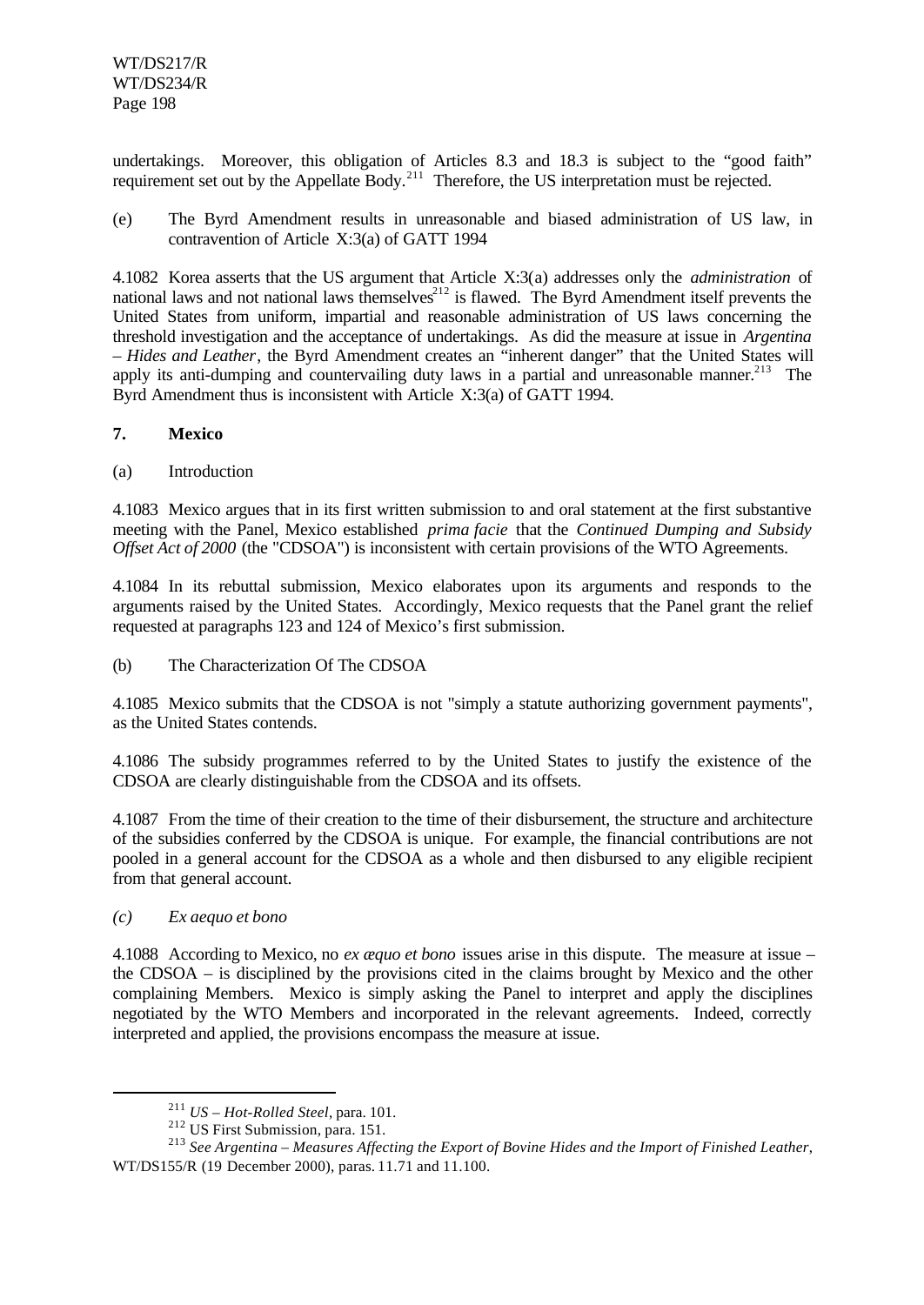WT/DS217/R WT/DS234/R Page 198

undertakings. Moreover, this obligation of Articles 8.3 and 18.3 is subject to the "good faith" requirement set out by the Appellate Body.<sup>211</sup> Therefore, the US interpretation must be rejected.

(e) The Byrd Amendment results in unreasonable and biased administration of US law, in contravention of Article X:3(a) of GATT 1994

4.1082 Korea asserts that the US argument that Article X:3(a) addresses only the *administration* of national laws and not national laws themselves<sup>212</sup> is flawed. The Byrd Amendment itself prevents the United States from uniform, impartial and reasonable administration of US laws concerning the threshold investigation and the acceptance of undertakings. As did the measure at issue in *Argentina – Hides and Leather*, the Byrd Amendment creates an "inherent danger" that the United States will apply its anti-dumping and countervailing duty laws in a partial and unreasonable manner. $^{213}$  The Byrd Amendment thus is inconsistent with Article X:3(a) of GATT 1994.

# **7. Mexico**

(a) Introduction

4.1083 Mexico argues that in its first written submission to and oral statement at the first substantive meeting with the Panel, Mexico established *prima facie* that the *Continued Dumping and Subsidy Offset Act of 2000* (the "CDSOA") is inconsistent with certain provisions of the WTO Agreements.

4.1084 In its rebuttal submission, Mexico elaborates upon its arguments and responds to the arguments raised by the United States. Accordingly, Mexico requests that the Panel grant the relief requested at paragraphs 123 and 124 of Mexico's first submission.

(b) The Characterization Of The CDSOA

4.1085 Mexico submits that the CDSOA is not "simply a statute authorizing government payments", as the United States contends.

4.1086 The subsidy programmes referred to by the United States to justify the existence of the CDSOA are clearly distinguishable from the CDSOA and its offsets.

4.1087 From the time of their creation to the time of their disbursement, the structure and architecture of the subsidies conferred by the CDSOA is unique. For example, the financial contributions are not pooled in a general account for the CDSOA as a whole and then disbursed to any eligible recipient from that general account.

*(c) Ex aequo et bono*

l

4.1088 According to Mexico, no *ex æquo et bono* issues arise in this dispute. The measure at issue – the CDSOA – is disciplined by the provisions cited in the claims brought by Mexico and the other complaining Members. Mexico is simply asking the Panel to interpret and apply the disciplines negotiated by the WTO Members and incorporated in the relevant agreements. Indeed, correctly interpreted and applied, the provisions encompass the measure at issue.

<sup>211</sup> *US – Hot-Rolled Steel*, para. 101.

<sup>212</sup> US First Submission, para. 151.

<sup>213</sup> *See Argentina – Measures Affecting the Export of Bovine Hides and the Import of Finished Leather*, WT/DS155/R (19 December 2000), paras. 11.71 and 11.100.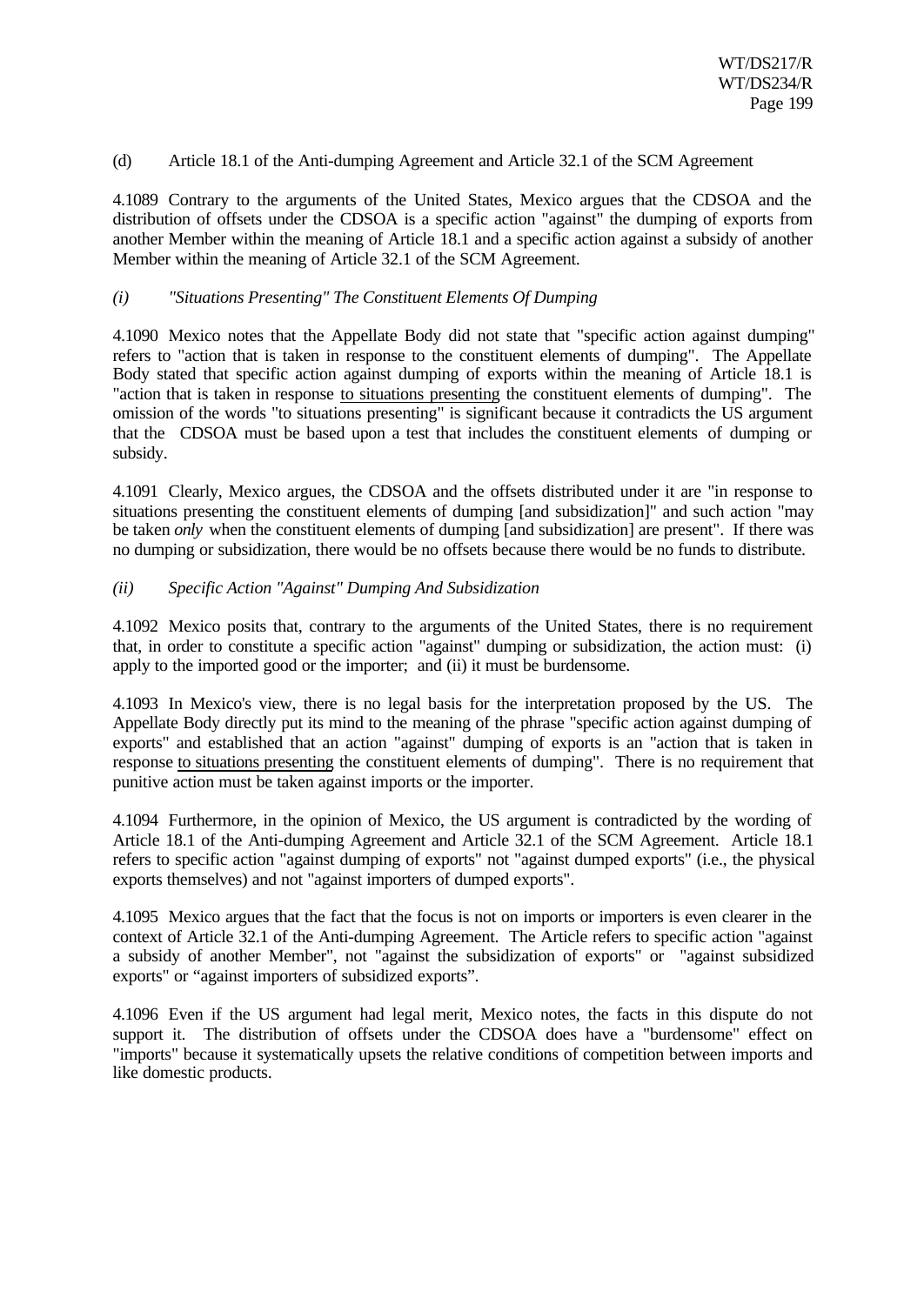#### (d) Article 18.1 of the Anti-dumping Agreement and Article 32.1 of the SCM Agreement

4.1089 Contrary to the arguments of the United States, Mexico argues that the CDSOA and the distribution of offsets under the CDSOA is a specific action "against" the dumping of exports from another Member within the meaning of Article 18.1 and a specific action against a subsidy of another Member within the meaning of Article 32.1 of the SCM Agreement.

# *(i) "Situations Presenting" The Constituent Elements Of Dumping*

4.1090 Mexico notes that the Appellate Body did not state that "specific action against dumping" refers to "action that is taken in response to the constituent elements of dumping". The Appellate Body stated that specific action against dumping of exports within the meaning of Article 18.1 is "action that is taken in response to situations presenting the constituent elements of dumping". The omission of the words "to situations presenting" is significant because it contradicts the US argument that the CDSOA must be based upon a test that includes the constituent elements of dumping or subsidy.

4.1091 Clearly, Mexico argues, the CDSOA and the offsets distributed under it are "in response to situations presenting the constituent elements of dumping [and subsidization]" and such action "may be taken *only* when the constituent elements of dumping [and subsidization] are present". If there was no dumping or subsidization, there would be no offsets because there would be no funds to distribute.

# *(ii) Specific Action "Against" Dumping And Subsidization*

4.1092 Mexico posits that, contrary to the arguments of the United States, there is no requirement that, in order to constitute a specific action "against" dumping or subsidization, the action must: (i) apply to the imported good or the importer; and (ii) it must be burdensome.

4.1093 In Mexico's view, there is no legal basis for the interpretation proposed by the US. The Appellate Body directly put its mind to the meaning of the phrase "specific action against dumping of exports" and established that an action "against" dumping of exports is an "action that is taken in response to situations presenting the constituent elements of dumping". There is no requirement that punitive action must be taken against imports or the importer.

4.1094 Furthermore, in the opinion of Mexico, the US argument is contradicted by the wording of Article 18.1 of the Anti-dumping Agreement and Article 32.1 of the SCM Agreement. Article 18.1 refers to specific action "against dumping of exports" not "against dumped exports" (i.e., the physical exports themselves) and not "against importers of dumped exports".

4.1095 Mexico argues that the fact that the focus is not on imports or importers is even clearer in the context of Article 32.1 of the Anti-dumping Agreement. The Article refers to specific action "against a subsidy of another Member", not "against the subsidization of exports" or "against subsidized exports" or "against importers of subsidized exports".

4.1096 Even if the US argument had legal merit, Mexico notes, the facts in this dispute do not support it. The distribution of offsets under the CDSOA does have a "burdensome" effect on "imports" because it systematically upsets the relative conditions of competition between imports and like domestic products.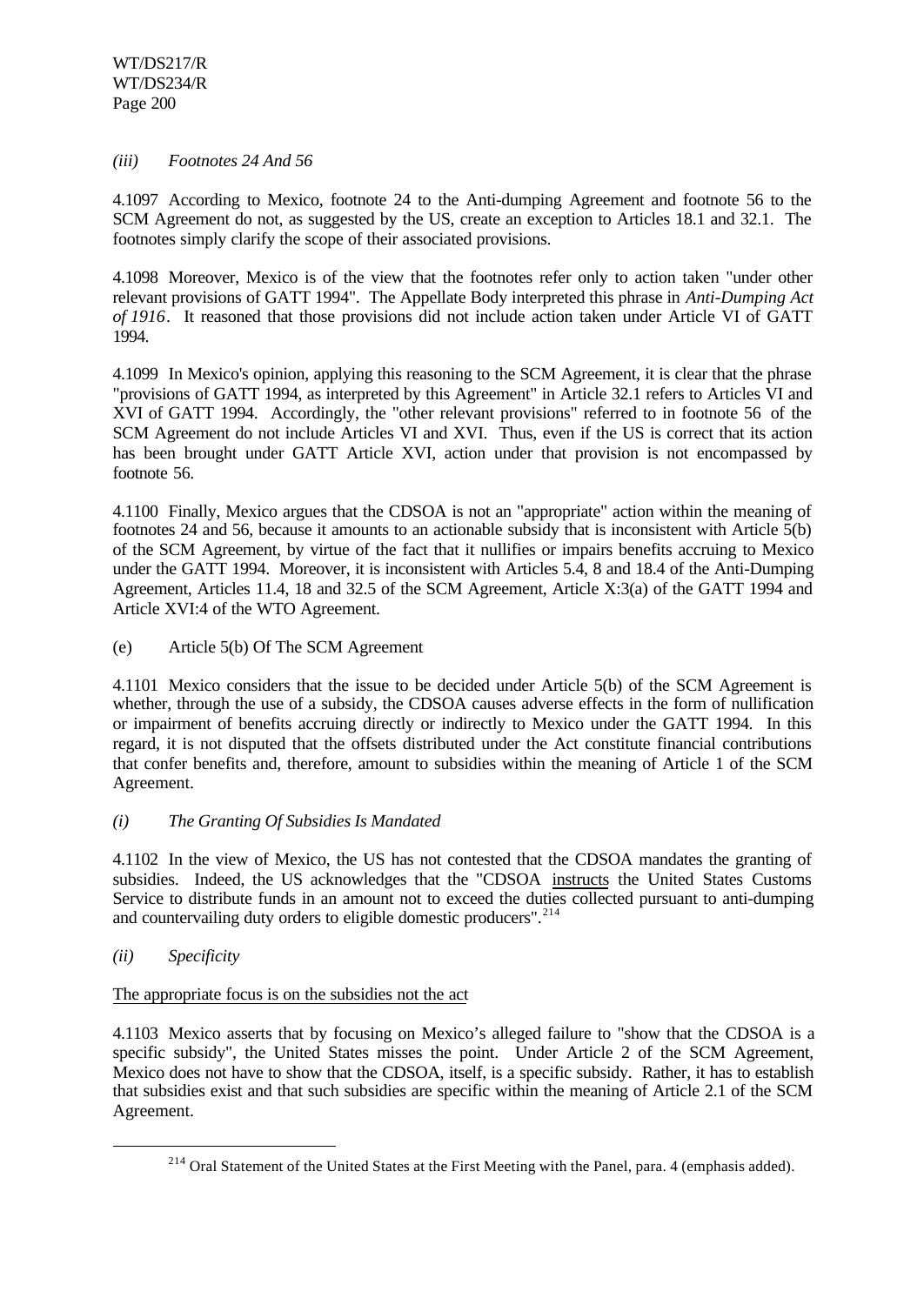# *(iii) Footnotes 24 And 56*

4.1097 According to Mexico, footnote 24 to the Anti-dumping Agreement and footnote 56 to the SCM Agreement do not, as suggested by the US, create an exception to Articles 18.1 and 32.1. The footnotes simply clarify the scope of their associated provisions.

4.1098 Moreover, Mexico is of the view that the footnotes refer only to action taken "under other relevant provisions of GATT 1994". The Appellate Body interpreted this phrase in *Anti-Dumping Act of 1916*. It reasoned that those provisions did not include action taken under Article VI of GATT 1994.

4.1099 In Mexico's opinion, applying this reasoning to the SCM Agreement, it is clear that the phrase "provisions of GATT 1994, as interpreted by this Agreement" in Article 32.1 refers to Articles VI and XVI of GATT 1994. Accordingly, the "other relevant provisions" referred to in footnote 56 of the SCM Agreement do not include Articles VI and XVI. Thus, even if the US is correct that its action has been brought under GATT Article XVI, action under that provision is not encompassed by footnote 56.

4.1100 Finally, Mexico argues that the CDSOA is not an "appropriate" action within the meaning of footnotes 24 and 56, because it amounts to an actionable subsidy that is inconsistent with Article 5(b) of the SCM Agreement, by virtue of the fact that it nullifies or impairs benefits accruing to Mexico under the GATT 1994. Moreover, it is inconsistent with Articles 5.4, 8 and 18.4 of the Anti-Dumping Agreement, Articles 11.4, 18 and 32.5 of the SCM Agreement, Article X:3(a) of the GATT 1994 and Article XVI:4 of the WTO Agreement.

(e) Article 5(b) Of The SCM Agreement

4.1101 Mexico considers that the issue to be decided under Article 5(b) of the SCM Agreement is whether, through the use of a subsidy, the CDSOA causes adverse effects in the form of nullification or impairment of benefits accruing directly or indirectly to Mexico under the GATT 1994. In this regard, it is not disputed that the offsets distributed under the Act constitute financial contributions that confer benefits and, therefore, amount to subsidies within the meaning of Article 1 of the SCM Agreement.

# *(i) The Granting Of Subsidies Is Mandated*

4.1102 In the view of Mexico, the US has not contested that the CDSOA mandates the granting of subsidies. Indeed, the US acknowledges that the "CDSOA instructs the United States Customs Service to distribute funds in an amount not to exceed the duties collected pursuant to anti-dumping and countervailing duty orders to eligible domestic producers".  $2^{14}$ 

*(ii) Specificity*

l

# The appropriate focus is on the subsidies not the act

4.1103 Mexico asserts that by focusing on Mexico's alleged failure to "show that the CDSOA is a specific subsidy", the United States misses the point. Under Article 2 of the SCM Agreement, Mexico does not have to show that the CDSOA, itself, is a specific subsidy. Rather, it has to establish that subsidies exist and that such subsidies are specific within the meaning of Article 2.1 of the SCM Agreement.

<sup>&</sup>lt;sup>214</sup> Oral Statement of the United States at the First Meeting with the Panel, para. 4 (emphasis added).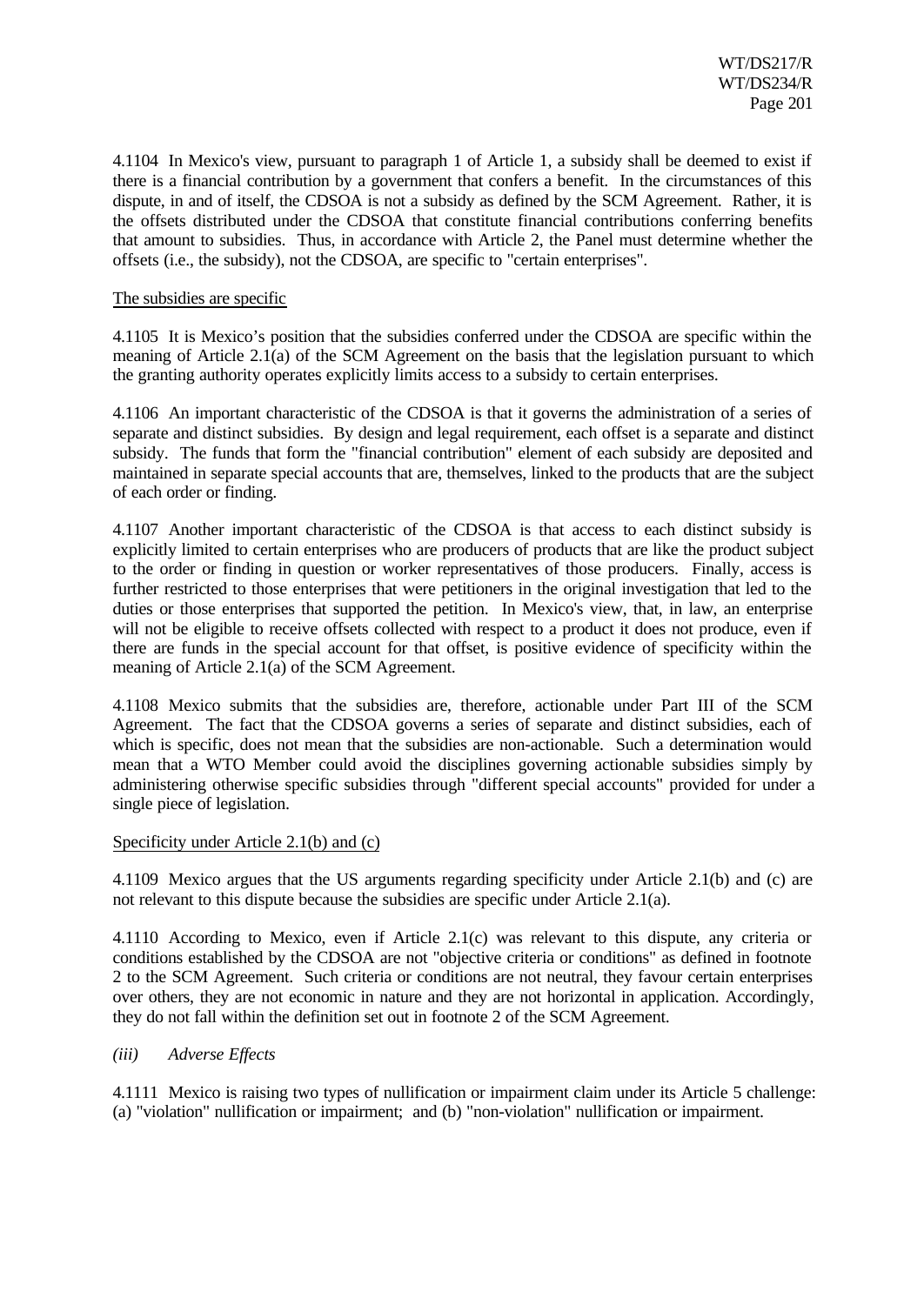4.1104 In Mexico's view, pursuant to paragraph 1 of Article 1, a subsidy shall be deemed to exist if there is a financial contribution by a government that confers a benefit. In the circumstances of this dispute, in and of itself, the CDSOA is not a subsidy as defined by the SCM Agreement. Rather, it is the offsets distributed under the CDSOA that constitute financial contributions conferring benefits that amount to subsidies. Thus, in accordance with Article 2, the Panel must determine whether the offsets (i.e., the subsidy), not the CDSOA, are specific to "certain enterprises".

# The subsidies are specific

4.1105 It is Mexico's position that the subsidies conferred under the CDSOA are specific within the meaning of Article 2.1(a) of the SCM Agreement on the basis that the legislation pursuant to which the granting authority operates explicitly limits access to a subsidy to certain enterprises.

4.1106 An important characteristic of the CDSOA is that it governs the administration of a series of separate and distinct subsidies. By design and legal requirement, each offset is a separate and distinct subsidy. The funds that form the "financial contribution" element of each subsidy are deposited and maintained in separate special accounts that are, themselves, linked to the products that are the subject of each order or finding.

4.1107 Another important characteristic of the CDSOA is that access to each distinct subsidy is explicitly limited to certain enterprises who are producers of products that are like the product subject to the order or finding in question or worker representatives of those producers. Finally, access is further restricted to those enterprises that were petitioners in the original investigation that led to the duties or those enterprises that supported the petition. In Mexico's view, that, in law, an enterprise will not be eligible to receive offsets collected with respect to a product it does not produce, even if there are funds in the special account for that offset, is positive evidence of specificity within the meaning of Article 2.1(a) of the SCM Agreement.

4.1108 Mexico submits that the subsidies are, therefore, actionable under Part III of the SCM Agreement. The fact that the CDSOA governs a series of separate and distinct subsidies, each of which is specific, does not mean that the subsidies are non-actionable. Such a determination would mean that a WTO Member could avoid the disciplines governing actionable subsidies simply by administering otherwise specific subsidies through "different special accounts" provided for under a single piece of legislation.

# Specificity under Article 2.1(b) and (c)

4.1109 Mexico argues that the US arguments regarding specificity under Article 2.1(b) and (c) are not relevant to this dispute because the subsidies are specific under Article 2.1(a).

4.1110 According to Mexico, even if Article 2.1(c) was relevant to this dispute, any criteria or conditions established by the CDSOA are not "objective criteria or conditions" as defined in footnote 2 to the SCM Agreement. Such criteria or conditions are not neutral, they favour certain enterprises over others, they are not economic in nature and they are not horizontal in application. Accordingly, they do not fall within the definition set out in footnote 2 of the SCM Agreement.

# *(iii) Adverse Effects*

4.1111 Mexico is raising two types of nullification or impairment claim under its Article 5 challenge: (a) "violation" nullification or impairment; and (b) "non-violation" nullification or impairment.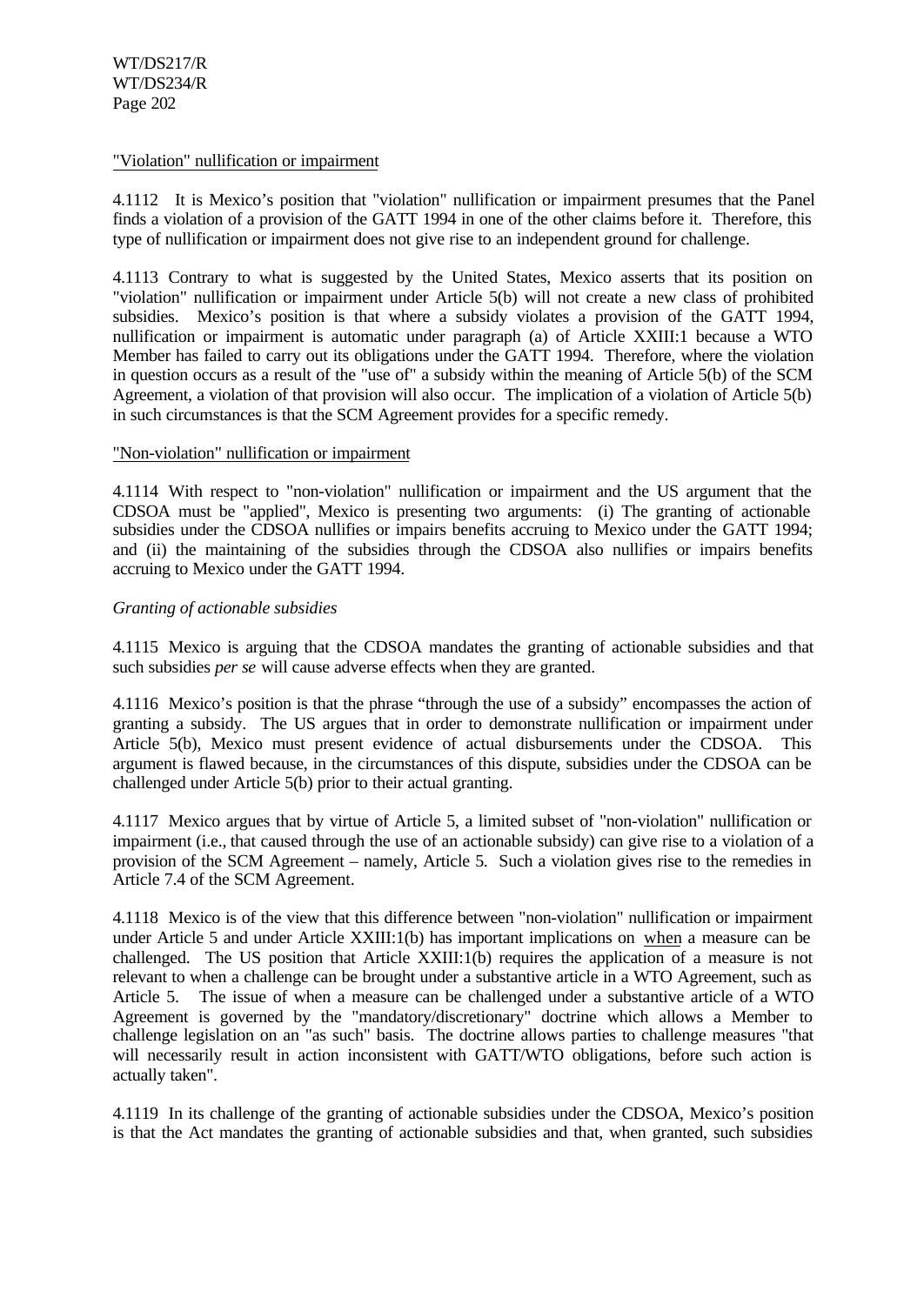#### "Violation" nullification or impairment

4.1112 It is Mexico's position that "violation" nullification or impairment presumes that the Panel finds a violation of a provision of the GATT 1994 in one of the other claims before it. Therefore, this type of nullification or impairment does not give rise to an independent ground for challenge.

4.1113 Contrary to what is suggested by the United States, Mexico asserts that its position on "violation" nullification or impairment under Article 5(b) will not create a new class of prohibited subsidies. Mexico's position is that where a subsidy violates a provision of the GATT 1994, nullification or impairment is automatic under paragraph (a) of Article XXIII:1 because a WTO Member has failed to carry out its obligations under the GATT 1994. Therefore, where the violation in question occurs as a result of the "use of" a subsidy within the meaning of Article 5(b) of the SCM Agreement, a violation of that provision will also occur. The implication of a violation of Article 5(b) in such circumstances is that the SCM Agreement provides for a specific remedy.

#### "Non-violation" nullification or impairment

4.1114 With respect to "non-violation" nullification or impairment and the US argument that the CDSOA must be "applied", Mexico is presenting two arguments: (i) The granting of actionable subsidies under the CDSOA nullifies or impairs benefits accruing to Mexico under the GATT 1994; and (ii) the maintaining of the subsidies through the CDSOA also nullifies or impairs benefits accruing to Mexico under the GATT 1994.

#### *Granting of actionable subsidies*

4.1115 Mexico is arguing that the CDSOA mandates the granting of actionable subsidies and that such subsidies *per se* will cause adverse effects when they are granted.

4.1116 Mexico's position is that the phrase "through the use of a subsidy" encompasses the action of granting a subsidy. The US argues that in order to demonstrate nullification or impairment under Article 5(b), Mexico must present evidence of actual disbursements under the CDSOA. This argument is flawed because, in the circumstances of this dispute, subsidies under the CDSOA can be challenged under Article 5(b) prior to their actual granting.

4.1117 Mexico argues that by virtue of Article 5, a limited subset of "non-violation" nullification or impairment (i.e., that caused through the use of an actionable subsidy) can give rise to a violation of a provision of the SCM Agreement – namely, Article 5. Such a violation gives rise to the remedies in Article 7.4 of the SCM Agreement.

4.1118 Mexico is of the view that this difference between "non-violation" nullification or impairment under Article 5 and under Article XXIII:1(b) has important implications on when a measure can be challenged. The US position that Article XXIII:1(b) requires the application of a measure is not relevant to when a challenge can be brought under a substantive article in a WTO Agreement, such as Article 5. The issue of when a measure can be challenged under a substantive article of a WTO Agreement is governed by the "mandatory/discretionary" doctrine which allows a Member to challenge legislation on an "as such" basis. The doctrine allows parties to challenge measures "that will necessarily result in action inconsistent with GATT/WTO obligations, before such action is actually taken".

4.1119 In its challenge of the granting of actionable subsidies under the CDSOA, Mexico's position is that the Act mandates the granting of actionable subsidies and that, when granted, such subsidies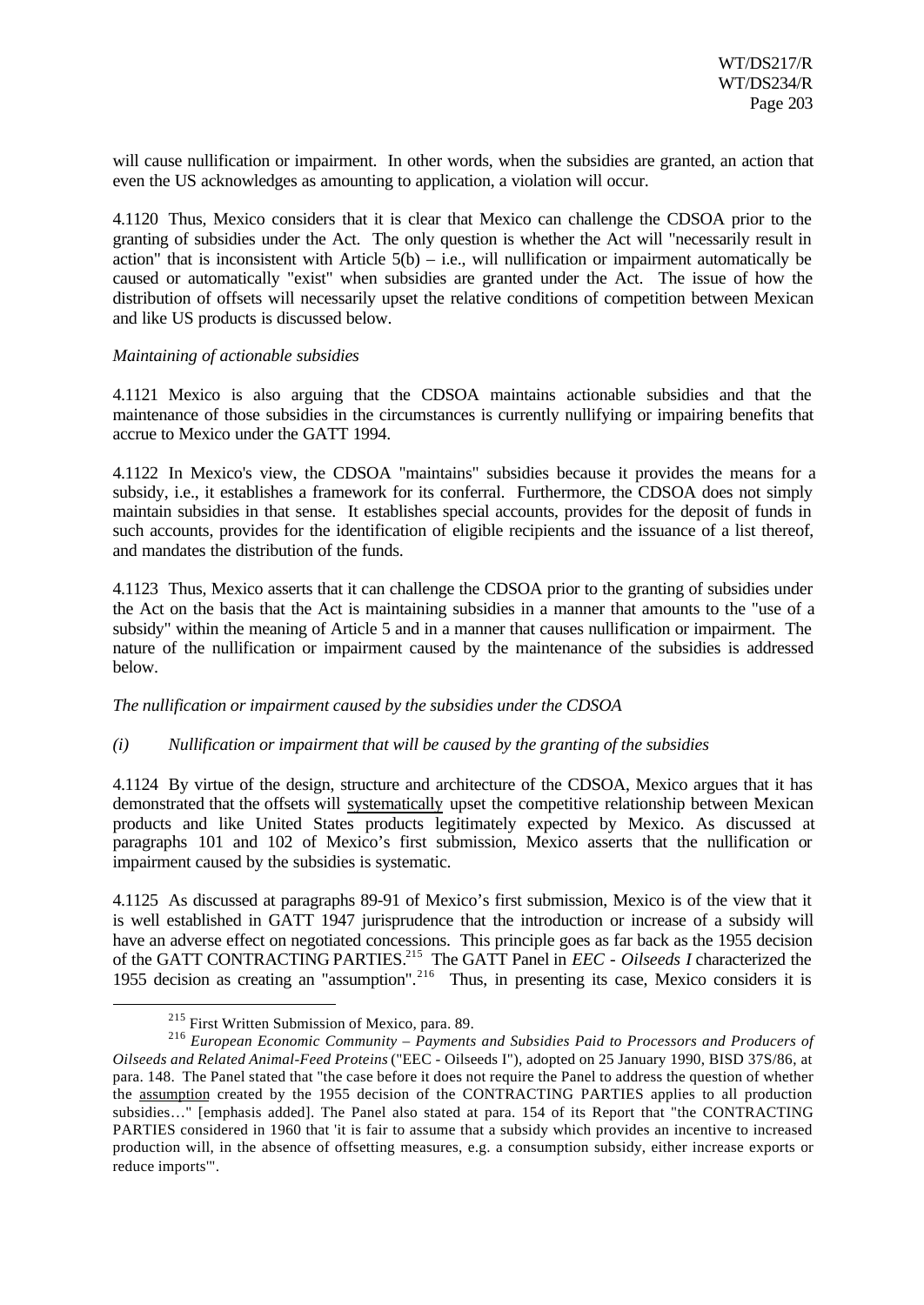will cause nullification or impairment. In other words, when the subsidies are granted, an action that even the US acknowledges as amounting to application, a violation will occur.

4.1120 Thus, Mexico considers that it is clear that Mexico can challenge the CDSOA prior to the granting of subsidies under the Act. The only question is whether the Act will "necessarily result in action" that is inconsistent with Article  $5(b) - i.e.,$  will nullification or impairment automatically be caused or automatically "exist" when subsidies are granted under the Act. The issue of how the distribution of offsets will necessarily upset the relative conditions of competition between Mexican and like US products is discussed below.

# *Maintaining of actionable subsidies*

4.1121 Mexico is also arguing that the CDSOA maintains actionable subsidies and that the maintenance of those subsidies in the circumstances is currently nullifying or impairing benefits that accrue to Mexico under the GATT 1994.

4.1122 In Mexico's view, the CDSOA "maintains" subsidies because it provides the means for a subsidy, i.e., it establishes a framework for its conferral. Furthermore, the CDSOA does not simply maintain subsidies in that sense. It establishes special accounts, provides for the deposit of funds in such accounts, provides for the identification of eligible recipients and the issuance of a list thereof, and mandates the distribution of the funds.

4.1123 Thus, Mexico asserts that it can challenge the CDSOA prior to the granting of subsidies under the Act on the basis that the Act is maintaining subsidies in a manner that amounts to the "use of a subsidy" within the meaning of Article 5 and in a manner that causes nullification or impairment. The nature of the nullification or impairment caused by the maintenance of the subsidies is addressed below.

# *The nullification or impairment caused by the subsidies under the CDSOA*

# *(i) Nullification or impairment that will be caused by the granting of the subsidies*

4.1124 By virtue of the design, structure and architecture of the CDSOA, Mexico argues that it has demonstrated that the offsets will systematically upset the competitive relationship between Mexican products and like United States products legitimately expected by Mexico. As discussed at paragraphs 101 and 102 of Mexico's first submission, Mexico asserts that the nullification or impairment caused by the subsidies is systematic.

4.1125 As discussed at paragraphs 89-91 of Mexico's first submission, Mexico is of the view that it is well established in GATT 1947 jurisprudence that the introduction or increase of a subsidy will have an adverse effect on negotiated concessions. This principle goes as far back as the 1955 decision of the GATT CONTRACTING PARTIES. <sup>215</sup> The GATT Panel in *EEC - Oilseeds I* characterized the 1955 decision as creating an "assumption".<sup>216</sup> Thus, in presenting its case, Mexico considers it is

<sup>&</sup>lt;sup>215</sup> First Written Submission of Mexico, para. 89.

<sup>216</sup> *European Economic Community – Payments and Subsidies Paid to Processors and Producers of Oilseeds and Related Animal-Feed Proteins* ("EEC - Oilseeds I"), adopted on 25 January 1990, BISD 37S/86, at para. 148. The Panel stated that "the case before it does not require the Panel to address the question of whether the assumption created by the 1955 decision of the CONTRACTING PARTIES applies to all production subsidies…" [emphasis added]. The Panel also stated at para. 154 of its Report that "the CONTRACTING PARTIES considered in 1960 that 'it is fair to assume that a subsidy which provides an incentive to increased production will, in the absence of offsetting measures, e.g. a consumption subsidy, either increase exports or reduce imports'".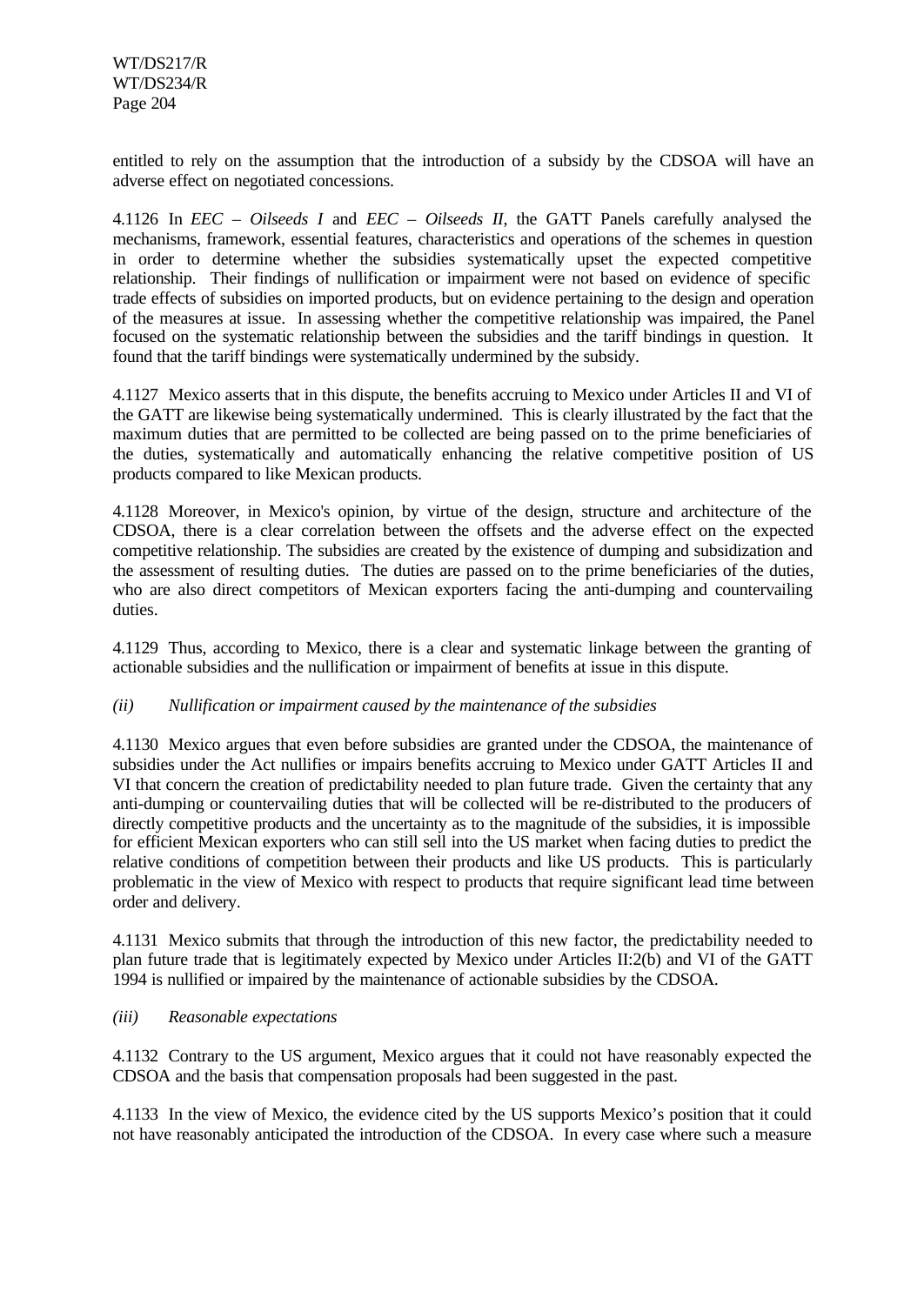entitled to rely on the assumption that the introduction of a subsidy by the CDSOA will have an adverse effect on negotiated concessions.

4.1126 In *EEC – Oilseeds I* and *EEC – Oilseeds II*, the GATT Panels carefully analysed the mechanisms, framework, essential features, characteristics and operations of the schemes in question in order to determine whether the subsidies systematically upset the expected competitive relationship. Their findings of nullification or impairment were not based on evidence of specific trade effects of subsidies on imported products, but on evidence pertaining to the design and operation of the measures at issue. In assessing whether the competitive relationship was impaired, the Panel focused on the systematic relationship between the subsidies and the tariff bindings in question. It found that the tariff bindings were systematically undermined by the subsidy.

4.1127 Mexico asserts that in this dispute, the benefits accruing to Mexico under Articles II and VI of the GATT are likewise being systematically undermined. This is clearly illustrated by the fact that the maximum duties that are permitted to be collected are being passed on to the prime beneficiaries of the duties, systematically and automatically enhancing the relative competitive position of US products compared to like Mexican products.

4.1128 Moreover, in Mexico's opinion, by virtue of the design, structure and architecture of the CDSOA, there is a clear correlation between the offsets and the adverse effect on the expected competitive relationship. The subsidies are created by the existence of dumping and subsidization and the assessment of resulting duties. The duties are passed on to the prime beneficiaries of the duties, who are also direct competitors of Mexican exporters facing the anti-dumping and countervailing duties.

4.1129 Thus, according to Mexico, there is a clear and systematic linkage between the granting of actionable subsidies and the nullification or impairment of benefits at issue in this dispute.

# *(ii) Nullification or impairment caused by the maintenance of the subsidies*

4.1130 Mexico argues that even before subsidies are granted under the CDSOA, the maintenance of subsidies under the Act nullifies or impairs benefits accruing to Mexico under GATT Articles II and VI that concern the creation of predictability needed to plan future trade. Given the certainty that any anti-dumping or countervailing duties that will be collected will be re-distributed to the producers of directly competitive products and the uncertainty as to the magnitude of the subsidies, it is impossible for efficient Mexican exporters who can still sell into the US market when facing duties to predict the relative conditions of competition between their products and like US products. This is particularly problematic in the view of Mexico with respect to products that require significant lead time between order and delivery.

4.1131 Mexico submits that through the introduction of this new factor, the predictability needed to plan future trade that is legitimately expected by Mexico under Articles II:2(b) and VI of the GATT 1994 is nullified or impaired by the maintenance of actionable subsidies by the CDSOA.

# *(iii) Reasonable expectations*

4.1132 Contrary to the US argument, Mexico argues that it could not have reasonably expected the CDSOA and the basis that compensation proposals had been suggested in the past.

4.1133 In the view of Mexico, the evidence cited by the US supports Mexico's position that it could not have reasonably anticipated the introduction of the CDSOA. In every case where such a measure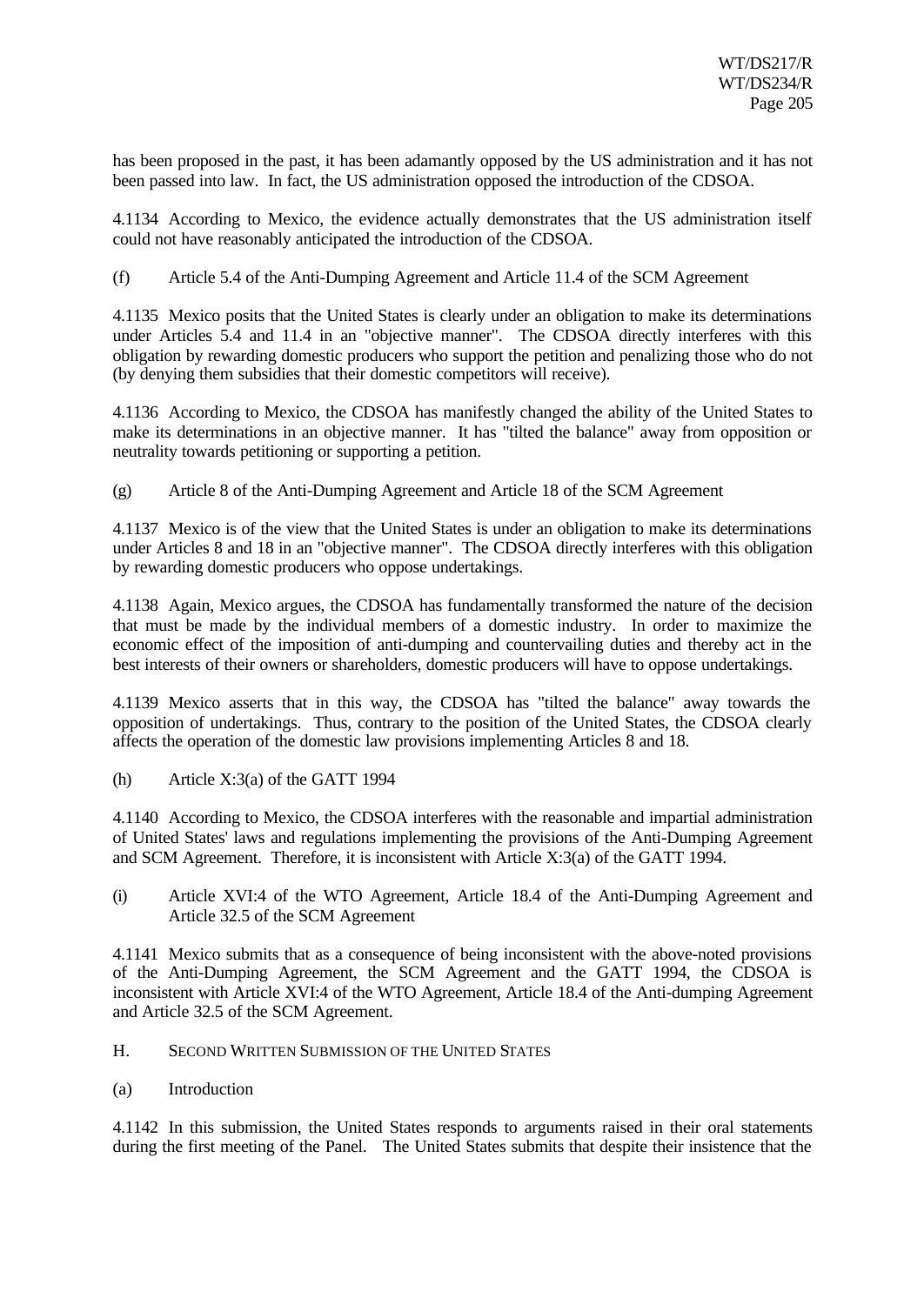has been proposed in the past, it has been adamantly opposed by the US administration and it has not been passed into law. In fact, the US administration opposed the introduction of the CDSOA.

4.1134 According to Mexico, the evidence actually demonstrates that the US administration itself could not have reasonably anticipated the introduction of the CDSOA.

(f) Article 5.4 of the Anti-Dumping Agreement and Article 11.4 of the SCM Agreement

4.1135 Mexico posits that the United States is clearly under an obligation to make its determinations under Articles 5.4 and 11.4 in an "objective manner". The CDSOA directly interferes with this obligation by rewarding domestic producers who support the petition and penalizing those who do not (by denying them subsidies that their domestic competitors will receive).

4.1136 According to Mexico, the CDSOA has manifestly changed the ability of the United States to make its determinations in an objective manner. It has "tilted the balance" away from opposition or neutrality towards petitioning or supporting a petition.

(g) Article 8 of the Anti-Dumping Agreement and Article 18 of the SCM Agreement

4.1137 Mexico is of the view that the United States is under an obligation to make its determinations under Articles 8 and 18 in an "objective manner". The CDSOA directly interferes with this obligation by rewarding domestic producers who oppose undertakings.

4.1138 Again, Mexico argues, the CDSOA has fundamentally transformed the nature of the decision that must be made by the individual members of a domestic industry. In order to maximize the economic effect of the imposition of anti-dumping and countervailing duties and thereby act in the best interests of their owners or shareholders, domestic producers will have to oppose undertakings.

4.1139 Mexico asserts that in this way, the CDSOA has "tilted the balance" away towards the opposition of undertakings. Thus, contrary to the position of the United States, the CDSOA clearly affects the operation of the domestic law provisions implementing Articles 8 and 18.

(h) Article X:3(a) of the GATT 1994

4.1140 According to Mexico, the CDSOA interferes with the reasonable and impartial administration of United States' laws and regulations implementing the provisions of the Anti-Dumping Agreement and SCM Agreement. Therefore, it is inconsistent with Article X:3(a) of the GATT 1994.

(i) Article XVI:4 of the WTO Agreement, Article 18.4 of the Anti-Dumping Agreement and Article 32.5 of the SCM Agreement

4.1141 Mexico submits that as a consequence of being inconsistent with the above-noted provisions of the Anti-Dumping Agreement, the SCM Agreement and the GATT 1994, the CDSOA is inconsistent with Article XVI:4 of the WTO Agreement, Article 18.4 of the Anti-dumping Agreement and Article 32.5 of the SCM Agreement.

- H. SECOND WRITTEN SUBMISSION OF THE UNITED STATES
- (a) Introduction

4.1142 In this submission, the United States responds to arguments raised in their oral statements during the first meeting of the Panel. The United States submits that despite their insistence that the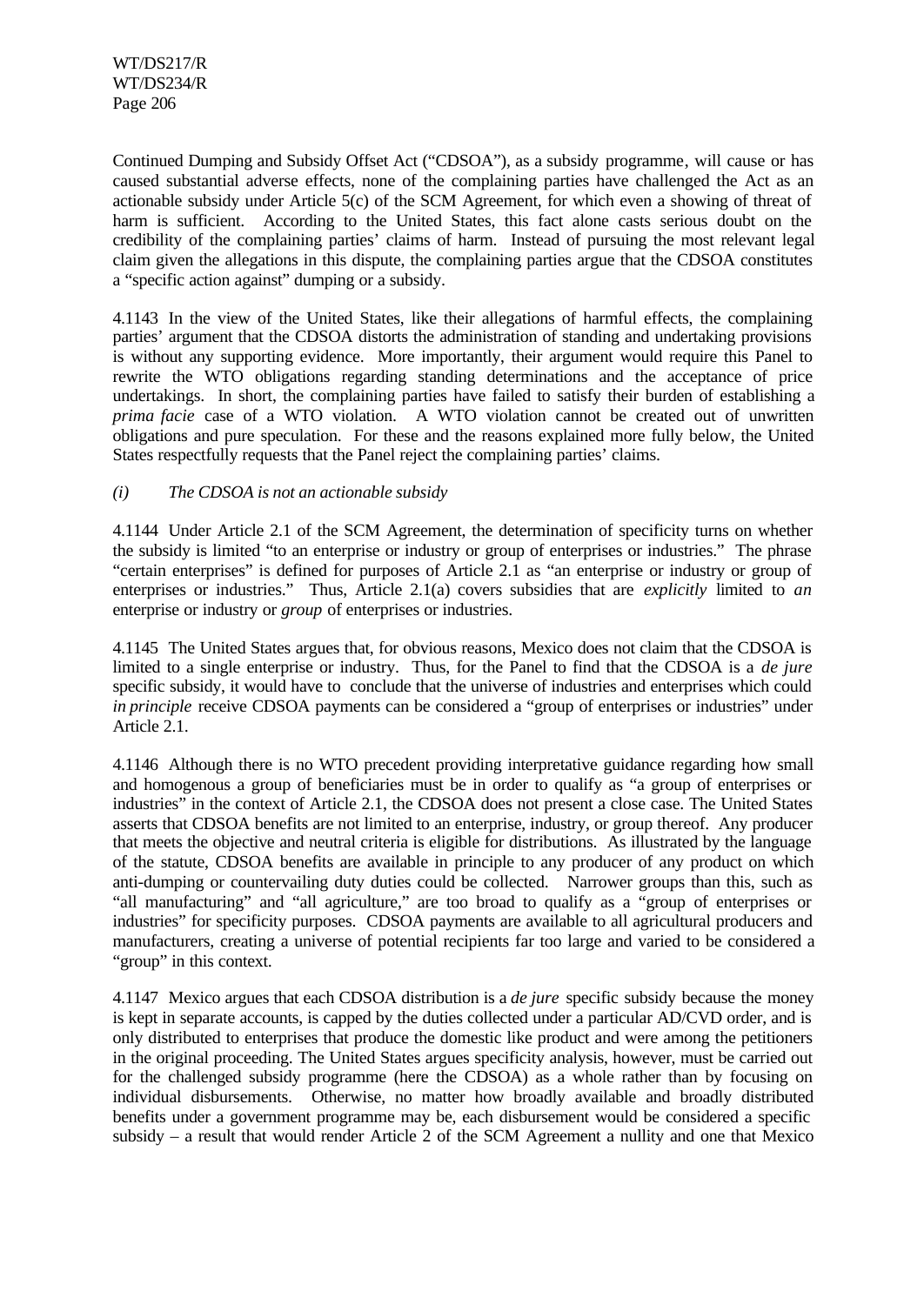Continued Dumping and Subsidy Offset Act ("CDSOA"), as a subsidy programme, will cause or has caused substantial adverse effects, none of the complaining parties have challenged the Act as an actionable subsidy under Article 5(c) of the SCM Agreement, for which even a showing of threat of harm is sufficient. According to the United States, this fact alone casts serious doubt on the credibility of the complaining parties' claims of harm. Instead of pursuing the most relevant legal claim given the allegations in this dispute, the complaining parties argue that the CDSOA constitutes a "specific action against" dumping or a subsidy.

4.1143 In the view of the United States, like their allegations of harmful effects, the complaining parties' argument that the CDSOA distorts the administration of standing and undertaking provisions is without any supporting evidence. More importantly, their argument would require this Panel to rewrite the WTO obligations regarding standing determinations and the acceptance of price undertakings. In short, the complaining parties have failed to satisfy their burden of establishing a *prima facie* case of a WTO violation. A WTO violation cannot be created out of unwritten obligations and pure speculation. For these and the reasons explained more fully below, the United States respectfully requests that the Panel reject the complaining parties' claims.

# *(i) The CDSOA is not an actionable subsidy*

4.1144 Under Article 2.1 of the SCM Agreement, the determination of specificity turns on whether the subsidy is limited "to an enterprise or industry or group of enterprises or industries." The phrase "certain enterprises" is defined for purposes of Article 2.1 as "an enterprise or industry or group of enterprises or industries." Thus, Article 2.1(a) covers subsidies that are *explicitly* limited to *an* enterprise or industry or *group* of enterprises or industries.

4.1145 The United States argues that, for obvious reasons, Mexico does not claim that the CDSOA is limited to a single enterprise or industry. Thus, for the Panel to find that the CDSOA is a *de jure* specific subsidy, it would have to conclude that the universe of industries and enterprises which could *in principle* receive CDSOA payments can be considered a "group of enterprises or industries" under Article 2.1.

4.1146 Although there is no WTO precedent providing interpretative guidance regarding how small and homogenous a group of beneficiaries must be in order to qualify as "a group of enterprises or industries" in the context of Article 2.1, the CDSOA does not present a close case. The United States asserts that CDSOA benefits are not limited to an enterprise, industry, or group thereof. Any producer that meets the objective and neutral criteria is eligible for distributions. As illustrated by the language of the statute, CDSOA benefits are available in principle to any producer of any product on which anti-dumping or countervailing duty duties could be collected. Narrower groups than this, such as "all manufacturing" and "all agriculture," are too broad to qualify as a "group of enterprises or industries" for specificity purposes. CDSOA payments are available to all agricultural producers and manufacturers, creating a universe of potential recipients far too large and varied to be considered a "group" in this context.

4.1147 Mexico argues that each CDSOA distribution is a *de jure* specific subsidy because the money is kept in separate accounts, is capped by the duties collected under a particular AD/CVD order, and is only distributed to enterprises that produce the domestic like product and were among the petitioners in the original proceeding. The United States argues specificity analysis, however, must be carried out for the challenged subsidy programme (here the CDSOA) as a whole rather than by focusing on individual disbursements. Otherwise, no matter how broadly available and broadly distributed benefits under a government programme may be, each disbursement would be considered a specific subsidy – a result that would render Article 2 of the SCM Agreement a nullity and one that Mexico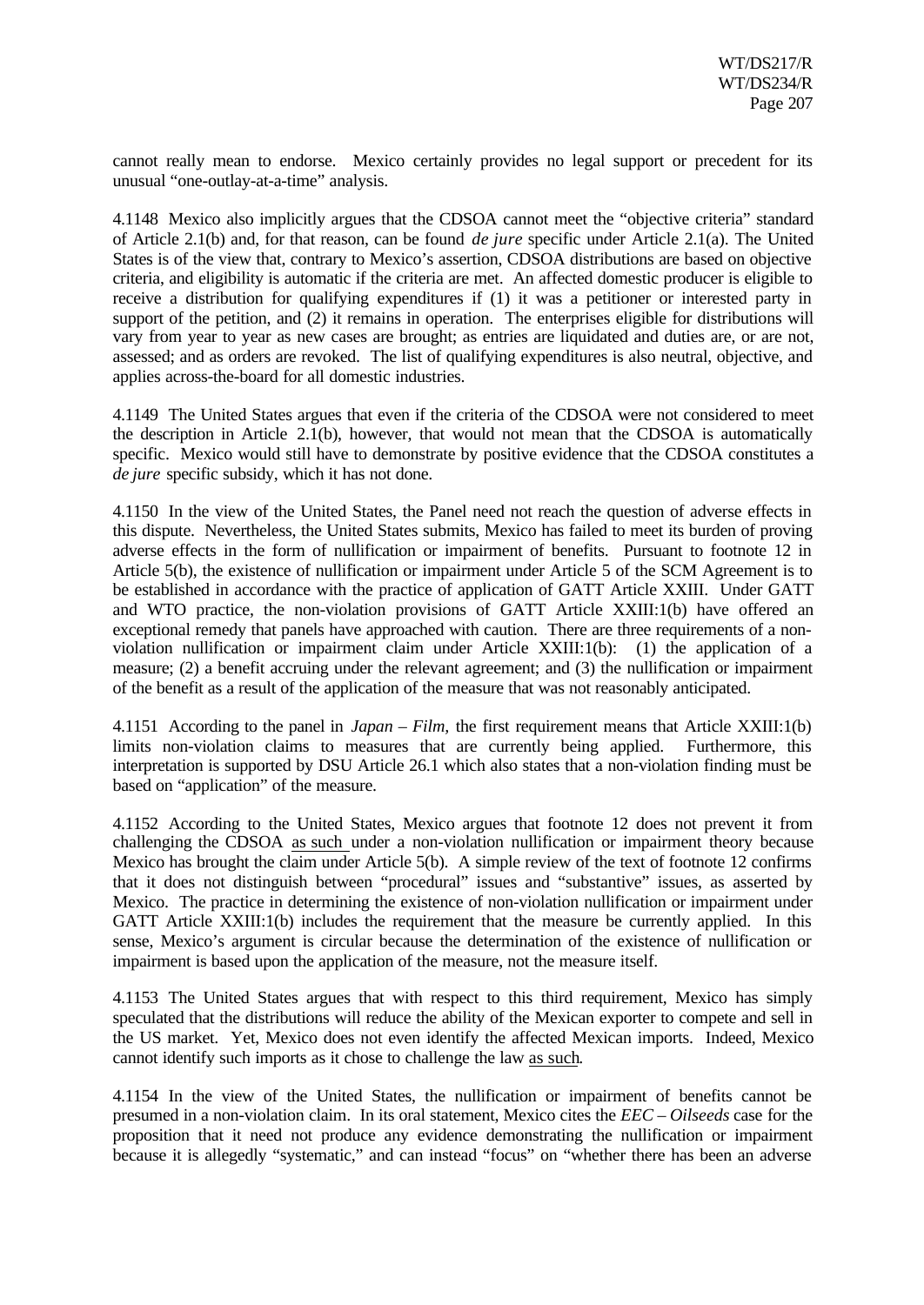cannot really mean to endorse. Mexico certainly provides no legal support or precedent for its unusual "one-outlay-at-a-time" analysis.

4.1148 Mexico also implicitly argues that the CDSOA cannot meet the "objective criteria" standard of Article 2.1(b) and, for that reason, can be found *de jure* specific under Article 2.1(a). The United States is of the view that, contrary to Mexico's assertion, CDSOA distributions are based on objective criteria, and eligibility is automatic if the criteria are met. An affected domestic producer is eligible to receive a distribution for qualifying expenditures if (1) it was a petitioner or interested party in support of the petition, and (2) it remains in operation. The enterprises eligible for distributions will vary from year to year as new cases are brought; as entries are liquidated and duties are, or are not, assessed; and as orders are revoked. The list of qualifying expenditures is also neutral, objective, and applies across-the-board for all domestic industries.

4.1149 The United States argues that even if the criteria of the CDSOA were not considered to meet the description in Article 2.1(b), however, that would not mean that the CDSOA is automatically specific. Mexico would still have to demonstrate by positive evidence that the CDSOA constitutes a *de jure* specific subsidy, which it has not done.

4.1150 In the view of the United States, the Panel need not reach the question of adverse effects in this dispute. Nevertheless, the United States submits, Mexico has failed to meet its burden of proving adverse effects in the form of nullification or impairment of benefits. Pursuant to footnote 12 in Article 5(b), the existence of nullification or impairment under Article 5 of the SCM Agreement is to be established in accordance with the practice of application of GATT Article XXIII. Under GATT and WTO practice, the non-violation provisions of GATT Article XXIII:1(b) have offered an exceptional remedy that panels have approached with caution. There are three requirements of a nonviolation nullification or impairment claim under Article XXIII:1(b): (1) the application of a measure; (2) a benefit accruing under the relevant agreement; and (3) the nullification or impairment of the benefit as a result of the application of the measure that was not reasonably anticipated.

4.1151 According to the panel in *Japan – Film,* the first requirement means that Article XXIII:1(b) limits non-violation claims to measures that are currently being applied. Furthermore, this interpretation is supported by DSU Article 26.1 which also states that a non-violation finding must be based on "application" of the measure.

4.1152 According to the United States, Mexico argues that footnote 12 does not prevent it from challenging the CDSOA as such under a non-violation nullification or impairment theory because Mexico has brought the claim under Article 5(b). A simple review of the text of footnote 12 confirms that it does not distinguish between "procedural" issues and "substantive" issues, as asserted by Mexico. The practice in determining the existence of non-violation nullification or impairment under GATT Article XXIII:1(b) includes the requirement that the measure be currently applied. In this sense, Mexico's argument is circular because the determination of the existence of nullification or impairment is based upon the application of the measure, not the measure itself.

4.1153 The United States argues that with respect to this third requirement, Mexico has simply speculated that the distributions will reduce the ability of the Mexican exporter to compete and sell in the US market. Yet, Mexico does not even identify the affected Mexican imports. Indeed, Mexico cannot identify such imports as it chose to challenge the law as such.

4.1154 In the view of the United States, the nullification or impairment of benefits cannot be presumed in a non-violation claim. In its oral statement, Mexico cites the *EEC – Oilseeds* case for the proposition that it need not produce any evidence demonstrating the nullification or impairment because it is allegedly "systematic," and can instead "focus" on "whether there has been an adverse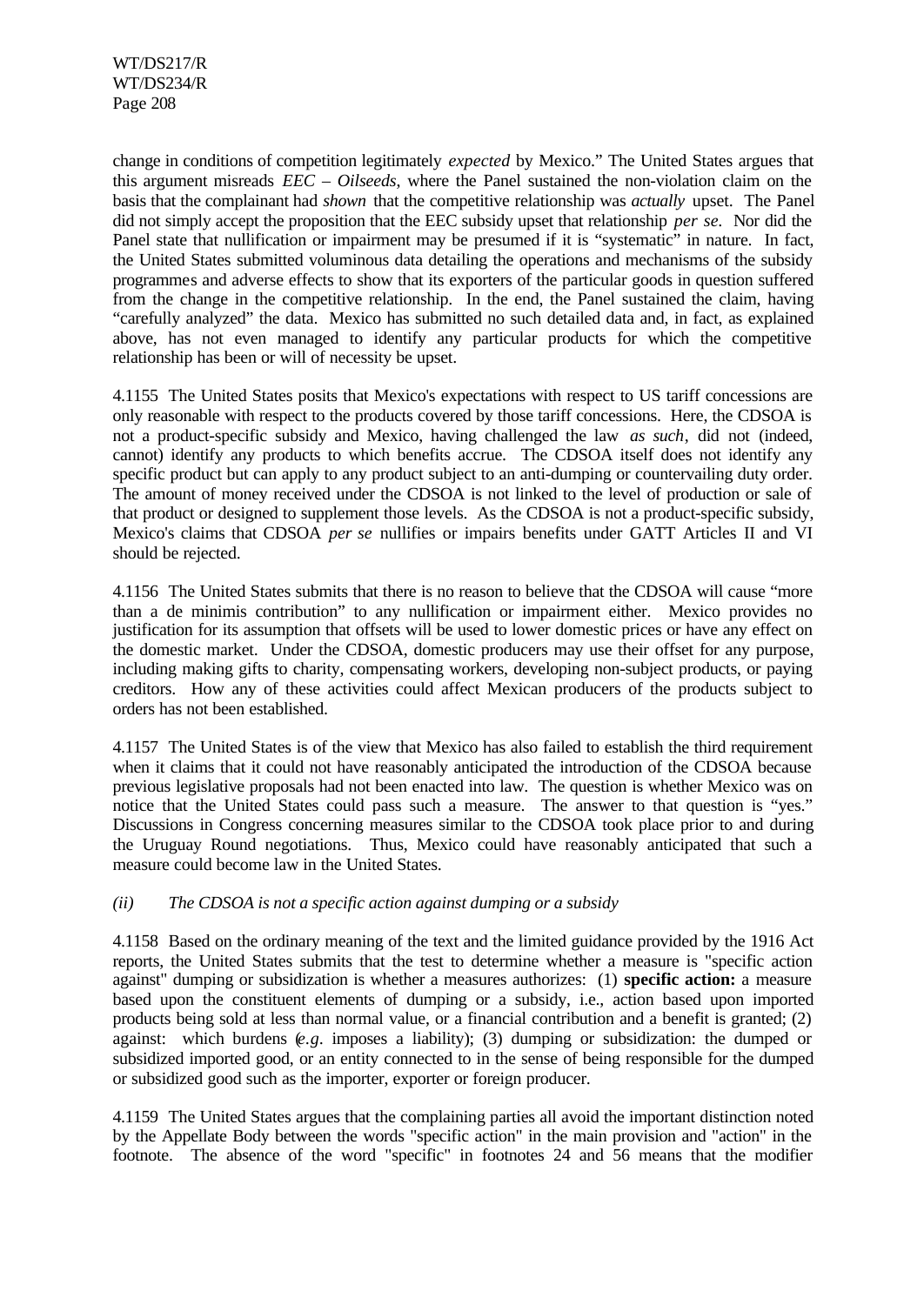WT/DS217/R WT/DS234/R Page 208

change in conditions of competition legitimately *expected* by Mexico." The United States argues that this argument misreads *EEC – Oilseeds*, where the Panel sustained the non-violation claim on the basis that the complainant had *shown* that the competitive relationship was *actually* upset. The Panel did not simply accept the proposition that the EEC subsidy upset that relationship *per se.* Nor did the Panel state that nullification or impairment may be presumed if it is "systematic" in nature. In fact, the United States submitted voluminous data detailing the operations and mechanisms of the subsidy programmes and adverse effects to show that its exporters of the particular goods in question suffered from the change in the competitive relationship. In the end, the Panel sustained the claim, having "carefully analyzed" the data. Mexico has submitted no such detailed data and, in fact, as explained above, has not even managed to identify any particular products for which the competitive relationship has been or will of necessity be upset.

4.1155 The United States posits that Mexico's expectations with respect to US tariff concessions are only reasonable with respect to the products covered by those tariff concessions. Here, the CDSOA is not a product-specific subsidy and Mexico, having challenged the law *as such*, did not (indeed, cannot) identify any products to which benefits accrue. The CDSOA itself does not identify any specific product but can apply to any product subject to an anti-dumping or countervailing duty order. The amount of money received under the CDSOA is not linked to the level of production or sale of that product or designed to supplement those levels. As the CDSOA is not a product-specific subsidy, Mexico's claims that CDSOA *per se* nullifies or impairs benefits under GATT Articles II and VI should be rejected.

4.1156 The United States submits that there is no reason to believe that the CDSOA will cause "more than a de minimis contribution" to any nullification or impairment either. Mexico provides no justification for its assumption that offsets will be used to lower domestic prices or have any effect on the domestic market. Under the CDSOA, domestic producers may use their offset for any purpose, including making gifts to charity, compensating workers, developing non-subject products, or paying creditors. How any of these activities could affect Mexican producers of the products subject to orders has not been established.

4.1157 The United States is of the view that Mexico has also failed to establish the third requirement when it claims that it could not have reasonably anticipated the introduction of the CDSOA because previous legislative proposals had not been enacted into law. The question is whether Mexico was on notice that the United States could pass such a measure. The answer to that question is "yes." Discussions in Congress concerning measures similar to the CDSOA took place prior to and during the Uruguay Round negotiations. Thus, Mexico could have reasonably anticipated that such a measure could become law in the United States.

# *(ii) The CDSOA is not a specific action against dumping or a subsidy*

4.1158 Based on the ordinary meaning of the text and the limited guidance provided by the 1916 Act reports, the United States submits that the test to determine whether a measure is "specific action against" dumping or subsidization is whether a measures authorizes: (1) **specific action:** a measure based upon the constituent elements of dumping or a subsidy, i.e., action based upon imported products being sold at less than normal value, or a financial contribution and a benefit is granted; (2) against: which burdens  $(e, g)$  imposes a liability); (3) dumping or subsidization: the dumped or subsidized imported good, or an entity connected to in the sense of being responsible for the dumped or subsidized good such as the importer, exporter or foreign producer.

4.1159 The United States argues that the complaining parties all avoid the important distinction noted by the Appellate Body between the words "specific action" in the main provision and "action" in the footnote. The absence of the word "specific" in footnotes 24 and 56 means that the modifier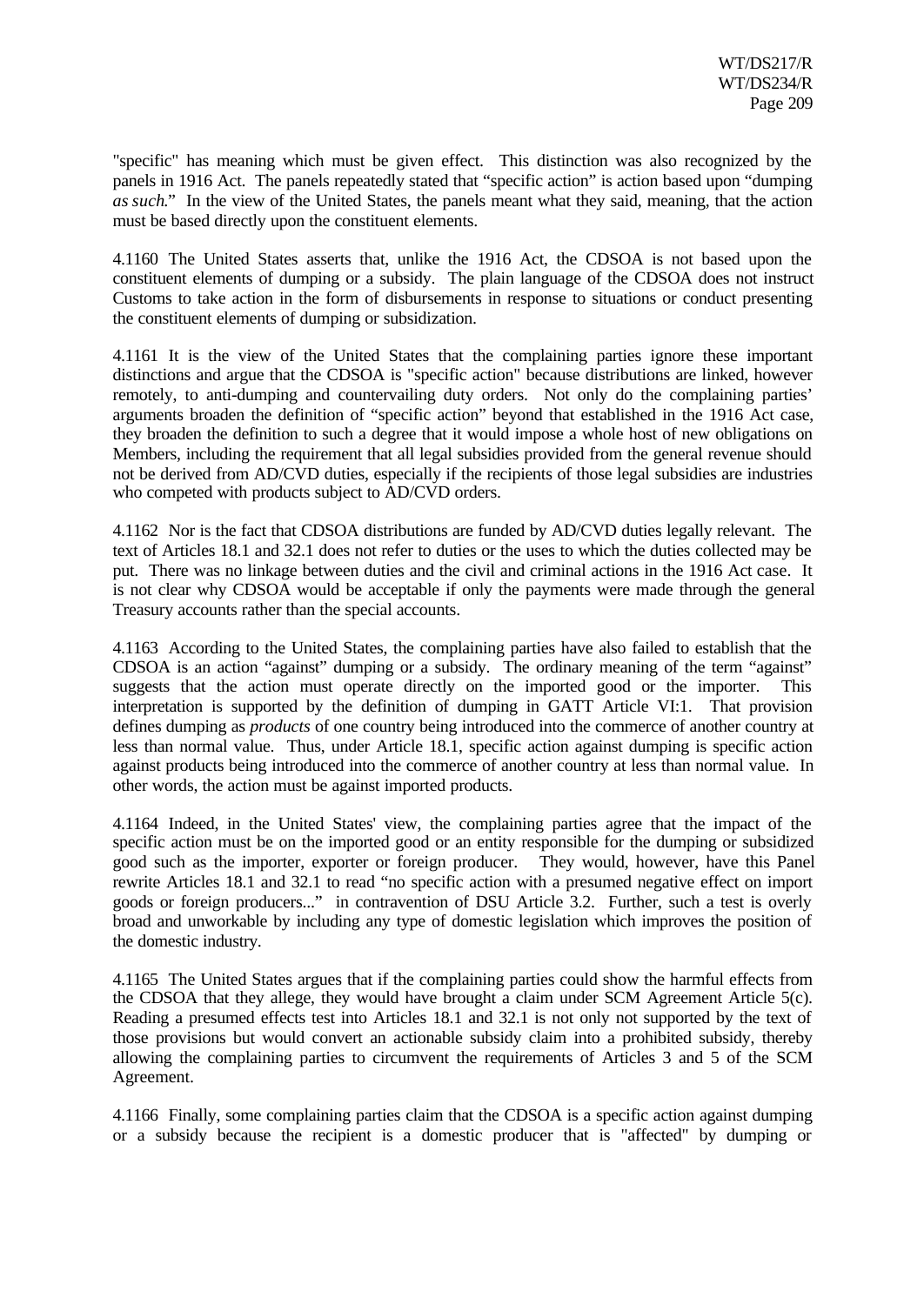"specific" has meaning which must be given effect. This distinction was also recognized by the panels in 1916 Act. The panels repeatedly stated that "specific action" is action based upon "dumping *as such*." In the view of the United States, the panels meant what they said, meaning, that the action must be based directly upon the constituent elements.

4.1160 The United States asserts that, unlike the 1916 Act, the CDSOA is not based upon the constituent elements of dumping or a subsidy. The plain language of the CDSOA does not instruct Customs to take action in the form of disbursements in response to situations or conduct presenting the constituent elements of dumping or subsidization.

4.1161 It is the view of the United States that the complaining parties ignore these important distinctions and argue that the CDSOA is "specific action" because distributions are linked, however remotely, to anti-dumping and countervailing duty orders. Not only do the complaining parties' arguments broaden the definition of "specific action" beyond that established in the 1916 Act case, they broaden the definition to such a degree that it would impose a whole host of new obligations on Members, including the requirement that all legal subsidies provided from the general revenue should not be derived from AD/CVD duties, especially if the recipients of those legal subsidies are industries who competed with products subject to AD/CVD orders.

4.1162 Nor is the fact that CDSOA distributions are funded by AD/CVD duties legally relevant. The text of Articles 18.1 and 32.1 does not refer to duties or the uses to which the duties collected may be put. There was no linkage between duties and the civil and criminal actions in the 1916 Act case. It is not clear why CDSOA would be acceptable if only the payments were made through the general Treasury accounts rather than the special accounts.

4.1163 According to the United States, the complaining parties have also failed to establish that the CDSOA is an action "against" dumping or a subsidy. The ordinary meaning of the term "against" suggests that the action must operate directly on the imported good or the importer. This interpretation is supported by the definition of dumping in GATT Article VI:1. That provision defines dumping as *products* of one country being introduced into the commerce of another country at less than normal value. Thus, under Article 18.1, specific action against dumping is specific action against products being introduced into the commerce of another country at less than normal value. In other words, the action must be against imported products.

4.1164 Indeed, in the United States' view, the complaining parties agree that the impact of the specific action must be on the imported good or an entity responsible for the dumping or subsidized good such as the importer, exporter or foreign producer. They would, however, have this Panel rewrite Articles 18.1 and 32.1 to read "no specific action with a presumed negative effect on import goods or foreign producers..." in contravention of DSU Article 3.2. Further, such a test is overly broad and unworkable by including any type of domestic legislation which improves the position of the domestic industry.

4.1165 The United States argues that if the complaining parties could show the harmful effects from the CDSOA that they allege, they would have brought a claim under SCM Agreement Article 5(c). Reading a presumed effects test into Articles 18.1 and 32.1 is not only not supported by the text of those provisions but would convert an actionable subsidy claim into a prohibited subsidy, thereby allowing the complaining parties to circumvent the requirements of Articles 3 and 5 of the SCM Agreement.

4.1166 Finally, some complaining parties claim that the CDSOA is a specific action against dumping or a subsidy because the recipient is a domestic producer that is "affected" by dumping or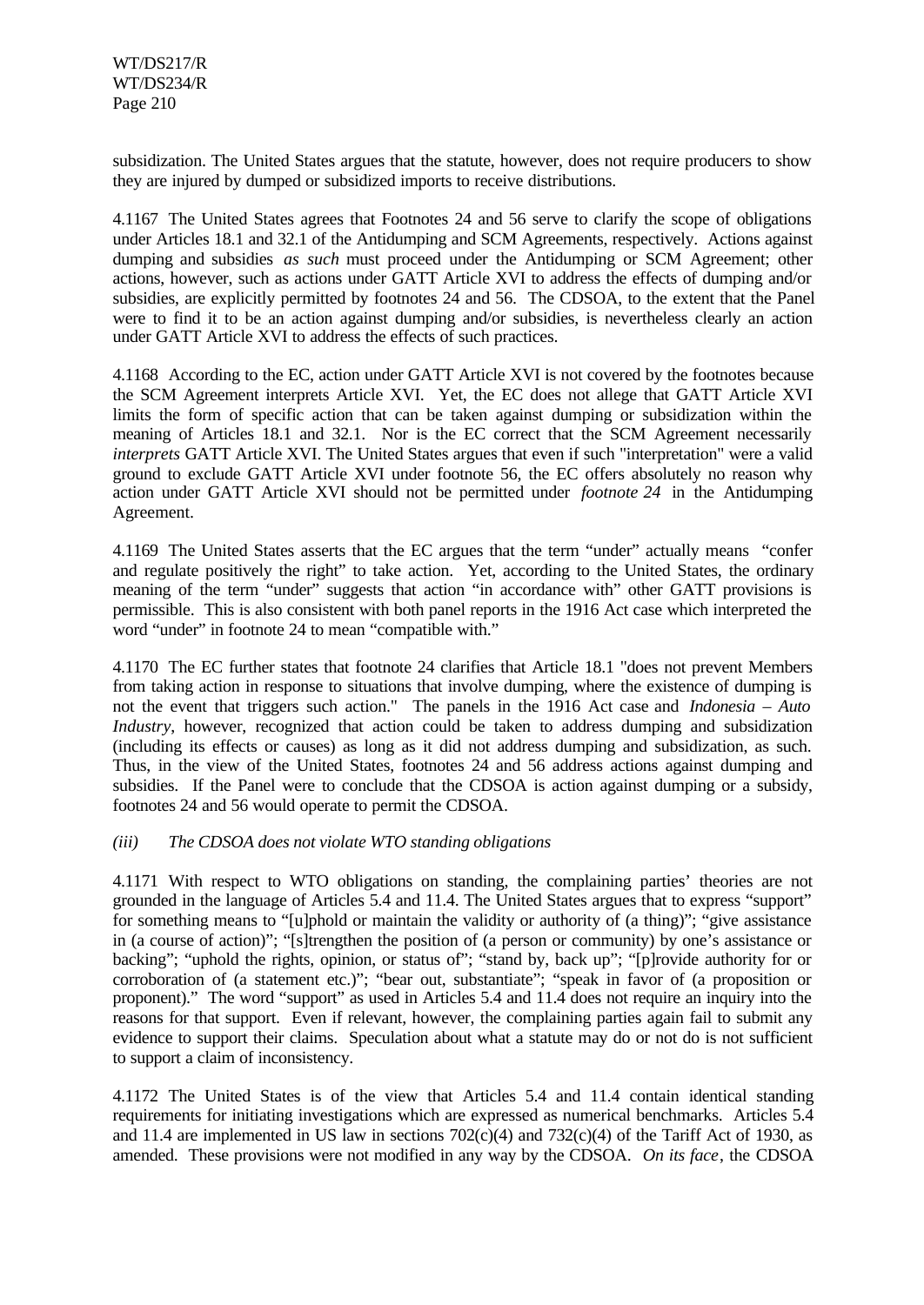subsidization. The United States argues that the statute, however, does not require producers to show they are injured by dumped or subsidized imports to receive distributions.

4.1167 The United States agrees that Footnotes 24 and 56 serve to clarify the scope of obligations under Articles 18.1 and 32.1 of the Antidumping and SCM Agreements, respectively. Actions against dumping and subsidies *as such* must proceed under the Antidumping or SCM Agreement; other actions, however, such as actions under GATT Article XVI to address the effects of dumping and/or subsidies, are explicitly permitted by footnotes 24 and 56. The CDSOA, to the extent that the Panel were to find it to be an action against dumping and/or subsidies, is nevertheless clearly an action under GATT Article XVI to address the effects of such practices.

4.1168 According to the EC, action under GATT Article XVI is not covered by the footnotes because the SCM Agreement interprets Article XVI. Yet, the EC does not allege that GATT Article XVI limits the form of specific action that can be taken against dumping or subsidization within the meaning of Articles 18.1 and 32.1. Nor is the EC correct that the SCM Agreement necessarily *interprets* GATT Article XVI. The United States argues that even if such "interpretation" were a valid ground to exclude GATT Article XVI under footnote 56, the EC offers absolutely no reason why action under GATT Article XVI should not be permitted under *footnote 24* in the Antidumping Agreement.

4.1169 The United States asserts that the EC argues that the term "under" actually means "confer and regulate positively the right" to take action. Yet, according to the United States, the ordinary meaning of the term "under" suggests that action "in accordance with" other GATT provisions is permissible. This is also consistent with both panel reports in the 1916 Act case which interpreted the word "under" in footnote 24 to mean "compatible with."

4.1170 The EC further states that footnote 24 clarifies that Article 18.1 "does not prevent Members from taking action in response to situations that involve dumping, where the existence of dumping is not the event that triggers such action." The panels in the 1916 Act case and *Indonesia – Auto Industry*, however, recognized that action could be taken to address dumping and subsidization (including its effects or causes) as long as it did not address dumping and subsidization, as such. Thus, in the view of the United States, footnotes 24 and 56 address actions against dumping and subsidies. If the Panel were to conclude that the CDSOA is action against dumping or a subsidy, footnotes 24 and 56 would operate to permit the CDSOA.

### *(iii) The CDSOA does not violate WTO standing obligations*

4.1171 With respect to WTO obligations on standing, the complaining parties' theories are not grounded in the language of Articles 5.4 and 11.4. The United States argues that to express "support" for something means to "[u]phold or maintain the validity or authority of (a thing)"; "give assistance in (a course of action)"; "[s]trengthen the position of (a person or community) by one's assistance or backing"; "uphold the rights, opinion, or status of"; "stand by, back up"; "[p]rovide authority for or corroboration of (a statement etc.)"; "bear out, substantiate"; "speak in favor of (a proposition or proponent)." The word "support" as used in Articles 5.4 and 11.4 does not require an inquiry into the reasons for that support. Even if relevant, however, the complaining parties again fail to submit any evidence to support their claims. Speculation about what a statute may do or not do is not sufficient to support a claim of inconsistency.

4.1172 The United States is of the view that Articles 5.4 and 11.4 contain identical standing requirements for initiating investigations which are expressed as numerical benchmarks. Articles 5.4 and 11.4 are implemented in US law in sections  $702(c)(4)$  and  $732(c)(4)$  of the Tariff Act of 1930, as amended. These provisions were not modified in any way by the CDSOA. *On its face*, the CDSOA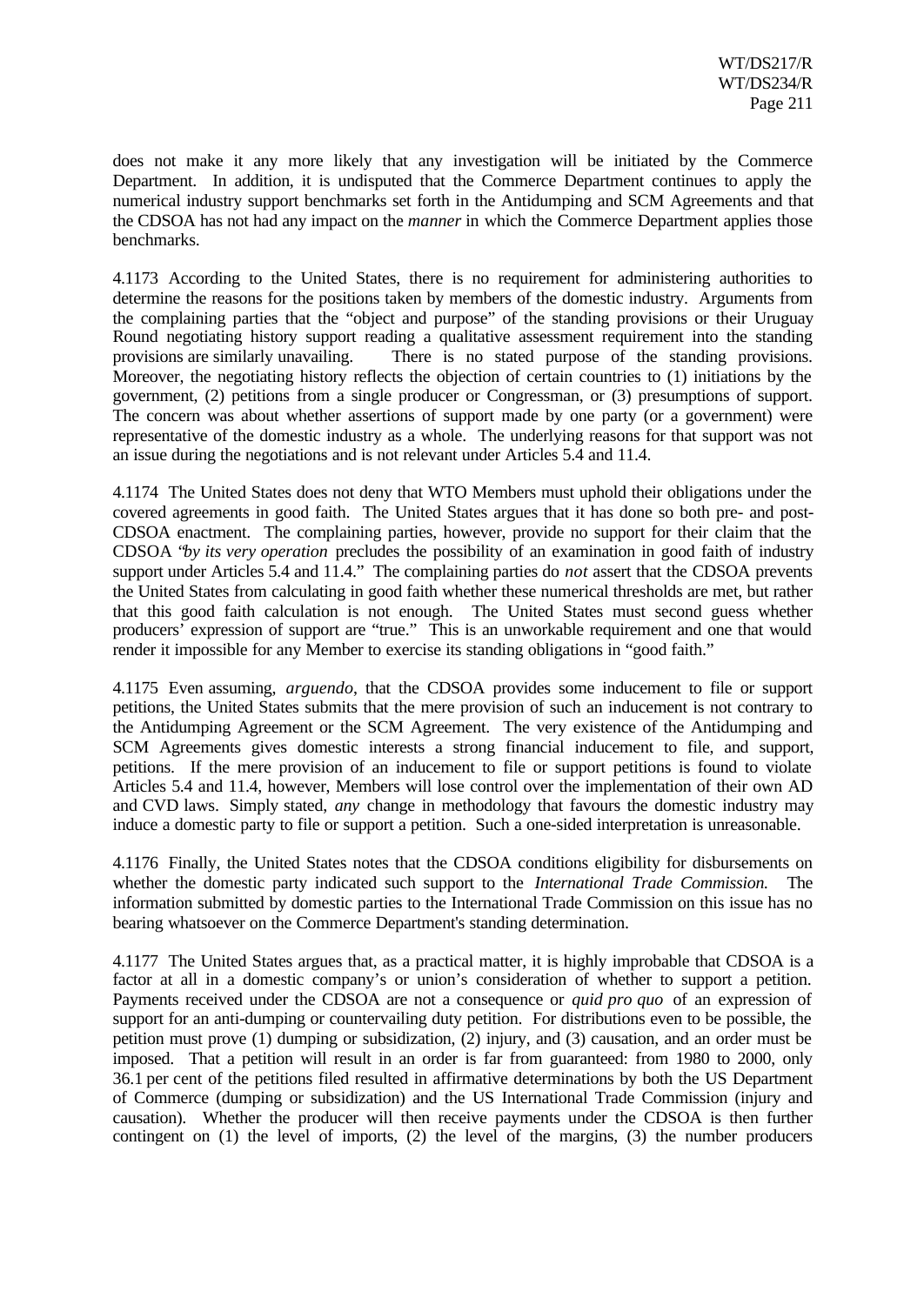does not make it any more likely that any investigation will be initiated by the Commerce Department. In addition, it is undisputed that the Commerce Department continues to apply the numerical industry support benchmarks set forth in the Antidumping and SCM Agreements and that the CDSOA has not had any impact on the *manner* in which the Commerce Department applies those benchmarks.

4.1173 According to the United States, there is no requirement for administering authorities to determine the reasons for the positions taken by members of the domestic industry. Arguments from the complaining parties that the "object and purpose" of the standing provisions or their Uruguay Round negotiating history support reading a qualitative assessment requirement into the standing provisions are similarly unavailing. There is no stated purpose of the standing provisions. Moreover, the negotiating history reflects the objection of certain countries to (1) initiations by the government, (2) petitions from a single producer or Congressman, or (3) presumptions of support. The concern was about whether assertions of support made by one party (or a government) were representative of the domestic industry as a whole. The underlying reasons for that support was not an issue during the negotiations and is not relevant under Articles 5.4 and 11.4.

4.1174 The United States does not deny that WTO Members must uphold their obligations under the covered agreements in good faith. The United States argues that it has done so both pre- and post-CDSOA enactment. The complaining parties, however, provide no support for their claim that the CDSOA "*by its very operation* precludes the possibility of an examination in good faith of industry support under Articles 5.4 and 11.4." The complaining parties do *not* assert that the CDSOA prevents the United States from calculating in good faith whether these numerical thresholds are met, but rather that this good faith calculation is not enough. The United States must second guess whether producers' expression of support are "true." This is an unworkable requirement and one that would render it impossible for any Member to exercise its standing obligations in "good faith."

4.1175 Even assuming, *arguendo*, that the CDSOA provides some inducement to file or support petitions, the United States submits that the mere provision of such an inducement is not contrary to the Antidumping Agreement or the SCM Agreement. The very existence of the Antidumping and SCM Agreements gives domestic interests a strong financial inducement to file, and support, petitions. If the mere provision of an inducement to file or support petitions is found to violate Articles 5.4 and 11.4, however, Members will lose control over the implementation of their own AD and CVD laws. Simply stated, *any* change in methodology that favours the domestic industry may induce a domestic party to file or support a petition. Such a one-sided interpretation is unreasonable.

4.1176 Finally, the United States notes that the CDSOA conditions eligibility for disbursements on whether the domestic party indicated such support to the *International Trade Commission.* The information submitted by domestic parties to the International Trade Commission on this issue has no bearing whatsoever on the Commerce Department's standing determination.

4.1177 The United States argues that, as a practical matter, it is highly improbable that CDSOA is a factor at all in a domestic company's or union's consideration of whether to support a petition. Payments received under the CDSOA are not a consequence or *quid pro quo* of an expression of support for an anti-dumping or countervailing duty petition. For distributions even to be possible, the petition must prove (1) dumping or subsidization, (2) injury, and (3) causation, and an order must be imposed. That a petition will result in an order is far from guaranteed: from 1980 to 2000, only 36.1 per cent of the petitions filed resulted in affirmative determinations by both the US Department of Commerce (dumping or subsidization) and the US International Trade Commission (injury and causation). Whether the producer will then receive payments under the CDSOA is then further contingent on (1) the level of imports, (2) the level of the margins, (3) the number producers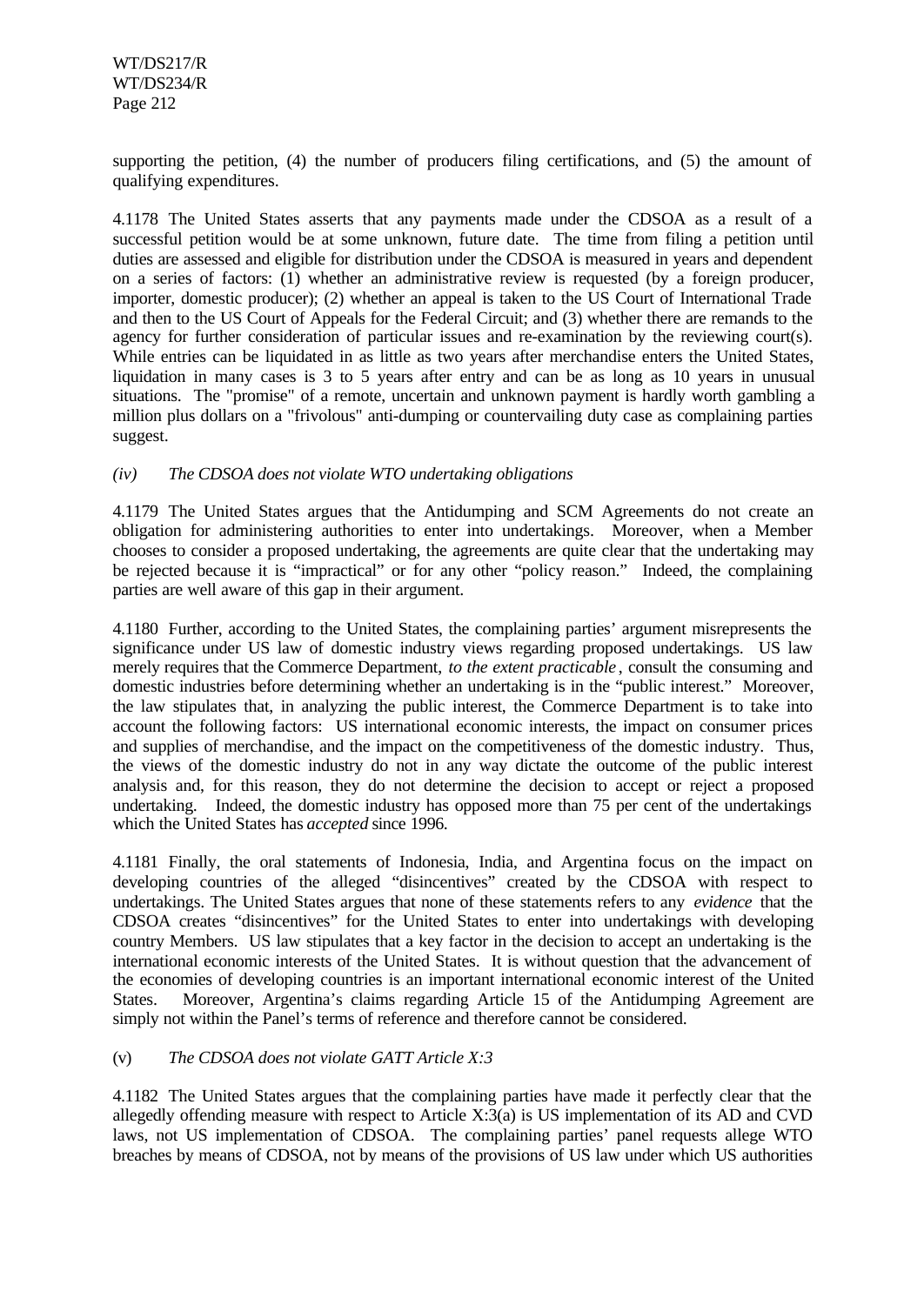supporting the petition, (4) the number of producers filing certifications, and (5) the amount of qualifying expenditures.

4.1178 The United States asserts that any payments made under the CDSOA as a result of a successful petition would be at some unknown, future date. The time from filing a petition until duties are assessed and eligible for distribution under the CDSOA is measured in years and dependent on a series of factors: (1) whether an administrative review is requested (by a foreign producer, importer, domestic producer); (2) whether an appeal is taken to the US Court of International Trade and then to the US Court of Appeals for the Federal Circuit; and (3) whether there are remands to the agency for further consideration of particular issues and re-examination by the reviewing court(s). While entries can be liquidated in as little as two years after merchandise enters the United States, liquidation in many cases is 3 to 5 years after entry and can be as long as 10 years in unusual situations. The "promise" of a remote, uncertain and unknown payment is hardly worth gambling a million plus dollars on a "frivolous" anti-dumping or countervailing duty case as complaining parties suggest.

## *(iv) The CDSOA does not violate WTO undertaking obligations*

4.1179 The United States argues that the Antidumping and SCM Agreements do not create an obligation for administering authorities to enter into undertakings. Moreover, when a Member chooses to consider a proposed undertaking, the agreements are quite clear that the undertaking may be rejected because it is "impractical" or for any other "policy reason." Indeed, the complaining parties are well aware of this gap in their argument.

4.1180 Further, according to the United States, the complaining parties' argument misrepresents the significance under US law of domestic industry views regarding proposed undertakings. US law merely requires that the Commerce Department, *to the extent practicable* , consult the consuming and domestic industries before determining whether an undertaking is in the "public interest." Moreover, the law stipulates that, in analyzing the public interest, the Commerce Department is to take into account the following factors: US international economic interests, the impact on consumer prices and supplies of merchandise, and the impact on the competitiveness of the domestic industry. Thus, the views of the domestic industry do not in any way dictate the outcome of the public interest analysis and, for this reason, they do not determine the decision to accept or reject a proposed undertaking. Indeed, the domestic industry has opposed more than 75 per cent of the undertakings which the United States has *accepted* since 1996.

4.1181 Finally, the oral statements of Indonesia, India, and Argentina focus on the impact on developing countries of the alleged "disincentives" created by the CDSOA with respect to undertakings. The United States argues that none of these statements refers to any *evidence* that the CDSOA creates "disincentives" for the United States to enter into undertakings with developing country Members. US law stipulates that a key factor in the decision to accept an undertaking is the international economic interests of the United States. It is without question that the advancement of the economies of developing countries is an important international economic interest of the United States. Moreover, Argentina's claims regarding Article 15 of the Antidumping Agreement are simply not within the Panel's terms of reference and therefore cannot be considered.

# (v) *The CDSOA does not violate GATT Article X:3*

4.1182 The United States argues that the complaining parties have made it perfectly clear that the allegedly offending measure with respect to Article X:3(a) is US implementation of its AD and CVD laws, not US implementation of CDSOA. The complaining parties' panel requests allege WTO breaches by means of CDSOA, not by means of the provisions of US law under which US authorities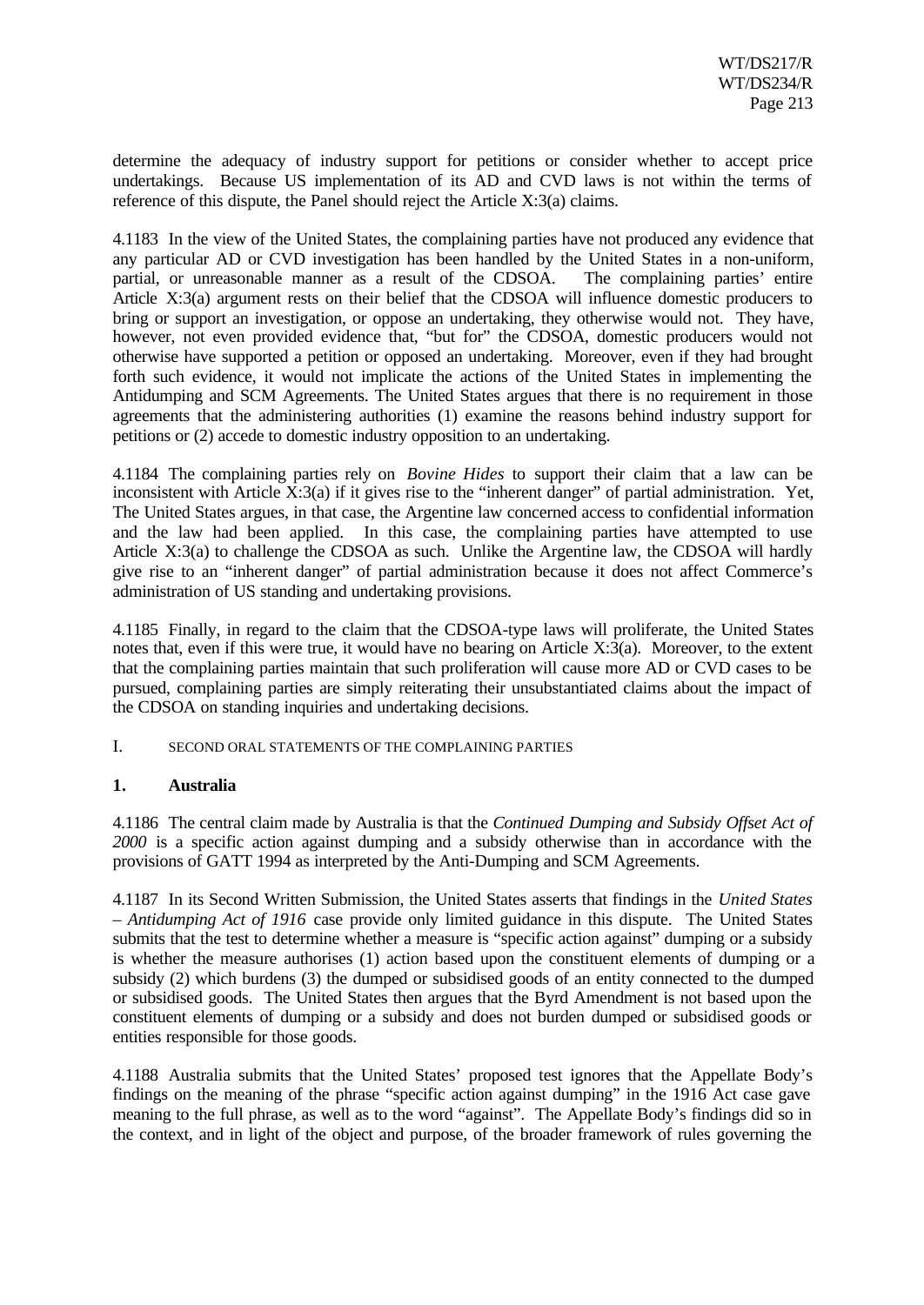determine the adequacy of industry support for petitions or consider whether to accept price undertakings. Because US implementation of its AD and CVD laws is not within the terms of reference of this dispute, the Panel should reject the Article X:3(a) claims.

4.1183 In the view of the United States, the complaining parties have not produced any evidence that any particular AD or CVD investigation has been handled by the United States in a non-uniform, partial, or unreasonable manner as a result of the CDSOA. The complaining parties' entire Article X:3(a) argument rests on their belief that the CDSOA will influence domestic producers to bring or support an investigation, or oppose an undertaking, they otherwise would not. They have, however, not even provided evidence that, "but for" the CDSOA, domestic producers would not otherwise have supported a petition or opposed an undertaking. Moreover, even if they had brought forth such evidence, it would not implicate the actions of the United States in implementing the Antidumping and SCM Agreements. The United States argues that there is no requirement in those agreements that the administering authorities (1) examine the reasons behind industry support for petitions or (2) accede to domestic industry opposition to an undertaking.

4.1184 The complaining parties rely on *Bovine Hides* to support their claim that a law can be inconsistent with Article  $\hat{X}$ :3(a) if it gives rise to the "inherent danger" of partial administration. Yet, The United States argues, in that case, the Argentine law concerned access to confidential information and the law had been applied. In this case, the complaining parties have attempted to use Article X:3(a) to challenge the CDSOA as such. Unlike the Argentine law, the CDSOA will hardly give rise to an "inherent danger" of partial administration because it does not affect Commerce's administration of US standing and undertaking provisions.

4.1185 Finally, in regard to the claim that the CDSOA-type laws will proliferate, the United States notes that, even if this were true, it would have no bearing on Article X:3(a). Moreover, to the extent that the complaining parties maintain that such proliferation will cause more AD or CVD cases to be pursued, complaining parties are simply reiterating their unsubstantiated claims about the impact of the CDSOA on standing inquiries and undertaking decisions.

### I. SECOND ORAL STATEMENTS OF THE COMPLAINING PARTIES

### **1. Australia**

4.1186 The central claim made by Australia is that the *Continued Dumping and Subsidy Offset Act of 2000* is a specific action against dumping and a subsidy otherwise than in accordance with the provisions of GATT 1994 as interpreted by the Anti-Dumping and SCM Agreements.

4.1187 In its Second Written Submission, the United States asserts that findings in the *United States – Antidumping Act of 1916* case provide only limited guidance in this dispute. The United States submits that the test to determine whether a measure is "specific action against" dumping or a subsidy is whether the measure authorises (1) action based upon the constituent elements of dumping or a subsidy (2) which burdens (3) the dumped or subsidised goods of an entity connected to the dumped or subsidised goods. The United States then argues that the Byrd Amendment is not based upon the constituent elements of dumping or a subsidy and does not burden dumped or subsidised goods or entities responsible for those goods.

4.1188 Australia submits that the United States' proposed test ignores that the Appellate Body's findings on the meaning of the phrase "specific action against dumping" in the 1916 Act case gave meaning to the full phrase, as well as to the word "against". The Appellate Body's findings did so in the context, and in light of the object and purpose, of the broader framework of rules governing the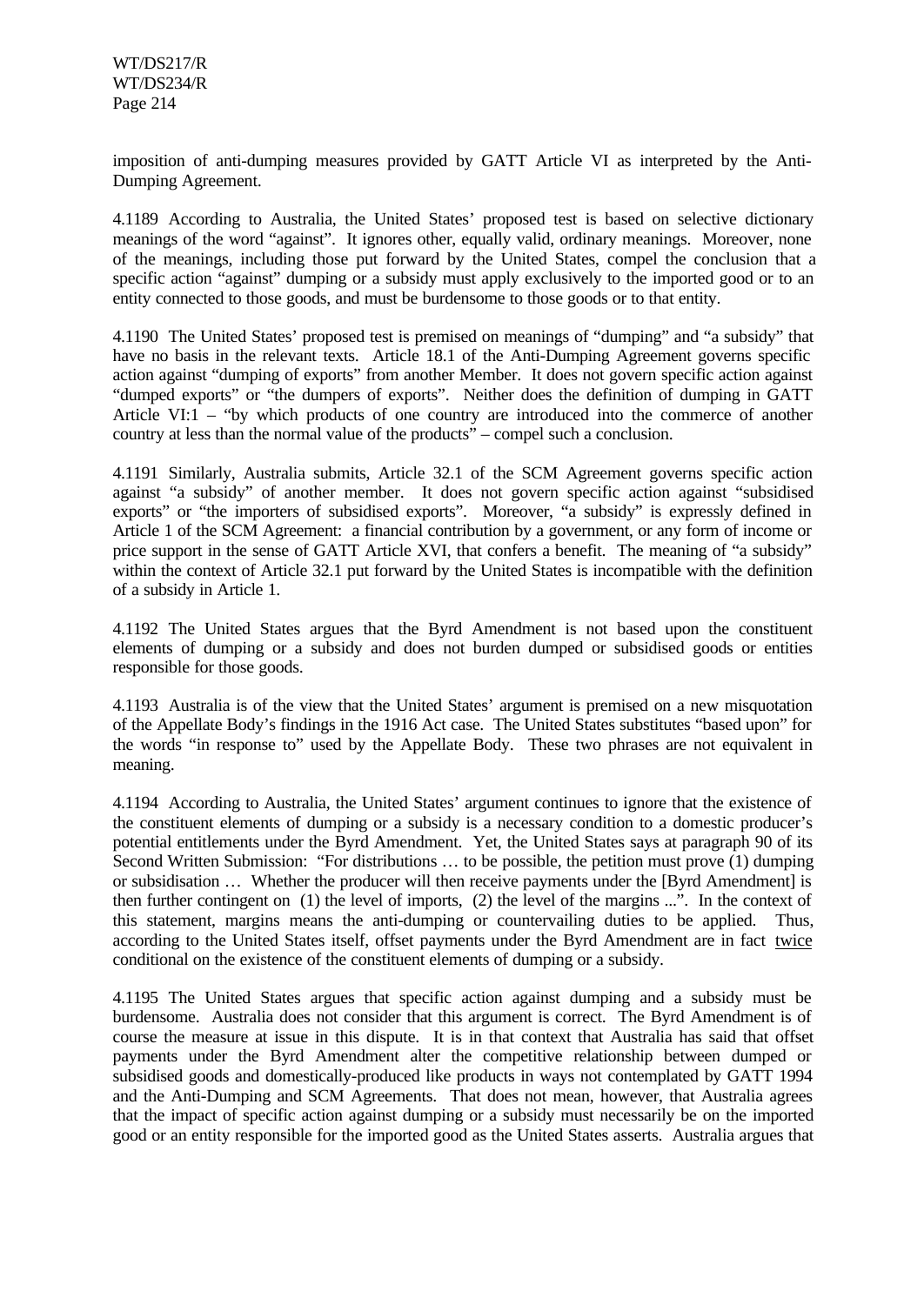imposition of anti-dumping measures provided by GATT Article VI as interpreted by the Anti-Dumping Agreement.

4.1189 According to Australia, the United States' proposed test is based on selective dictionary meanings of the word "against". It ignores other, equally valid, ordinary meanings. Moreover, none of the meanings, including those put forward by the United States, compel the conclusion that a specific action "against" dumping or a subsidy must apply exclusively to the imported good or to an entity connected to those goods, and must be burdensome to those goods or to that entity.

4.1190 The United States' proposed test is premised on meanings of "dumping" and "a subsidy" that have no basis in the relevant texts. Article 18.1 of the Anti-Dumping Agreement governs specific action against "dumping of exports" from another Member. It does not govern specific action against "dumped exports" or "the dumpers of exports". Neither does the definition of dumping in GATT Article VI:1 – "by which products of one country are introduced into the commerce of another country at less than the normal value of the products" – compel such a conclusion.

4.1191 Similarly, Australia submits, Article 32.1 of the SCM Agreement governs specific action against "a subsidy" of another member. It does not govern specific action against "subsidised exports" or "the importers of subsidised exports". Moreover, "a subsidy" is expressly defined in Article 1 of the SCM Agreement: a financial contribution by a government, or any form of income or price support in the sense of GATT Article XVI, that confers a benefit. The meaning of "a subsidy" within the context of Article 32.1 put forward by the United States is incompatible with the definition of a subsidy in Article 1.

4.1192 The United States argues that the Byrd Amendment is not based upon the constituent elements of dumping or a subsidy and does not burden dumped or subsidised goods or entities responsible for those goods.

4.1193 Australia is of the view that the United States' argument is premised on a new misquotation of the Appellate Body's findings in the 1916 Act case. The United States substitutes "based upon" for the words "in response to" used by the Appellate Body. These two phrases are not equivalent in meaning.

4.1194 According to Australia, the United States' argument continues to ignore that the existence of the constituent elements of dumping or a subsidy is a necessary condition to a domestic producer's potential entitlements under the Byrd Amendment. Yet, the United States says at paragraph 90 of its Second Written Submission: "For distributions … to be possible, the petition must prove (1) dumping or subsidisation … Whether the producer will then receive payments under the [Byrd Amendment] is then further contingent on (1) the level of imports, (2) the level of the margins ...". In the context of this statement, margins means the anti-dumping or countervailing duties to be applied. Thus, according to the United States itself, offset payments under the Byrd Amendment are in fact twice conditional on the existence of the constituent elements of dumping or a subsidy.

4.1195 The United States argues that specific action against dumping and a subsidy must be burdensome. Australia does not consider that this argument is correct. The Byrd Amendment is of course the measure at issue in this dispute. It is in that context that Australia has said that offset payments under the Byrd Amendment alter the competitive relationship between dumped or subsidised goods and domestically-produced like products in ways not contemplated by GATT 1994 and the Anti-Dumping and SCM Agreements. That does not mean, however, that Australia agrees that the impact of specific action against dumping or a subsidy must necessarily be on the imported good or an entity responsible for the imported good as the United States asserts. Australia argues that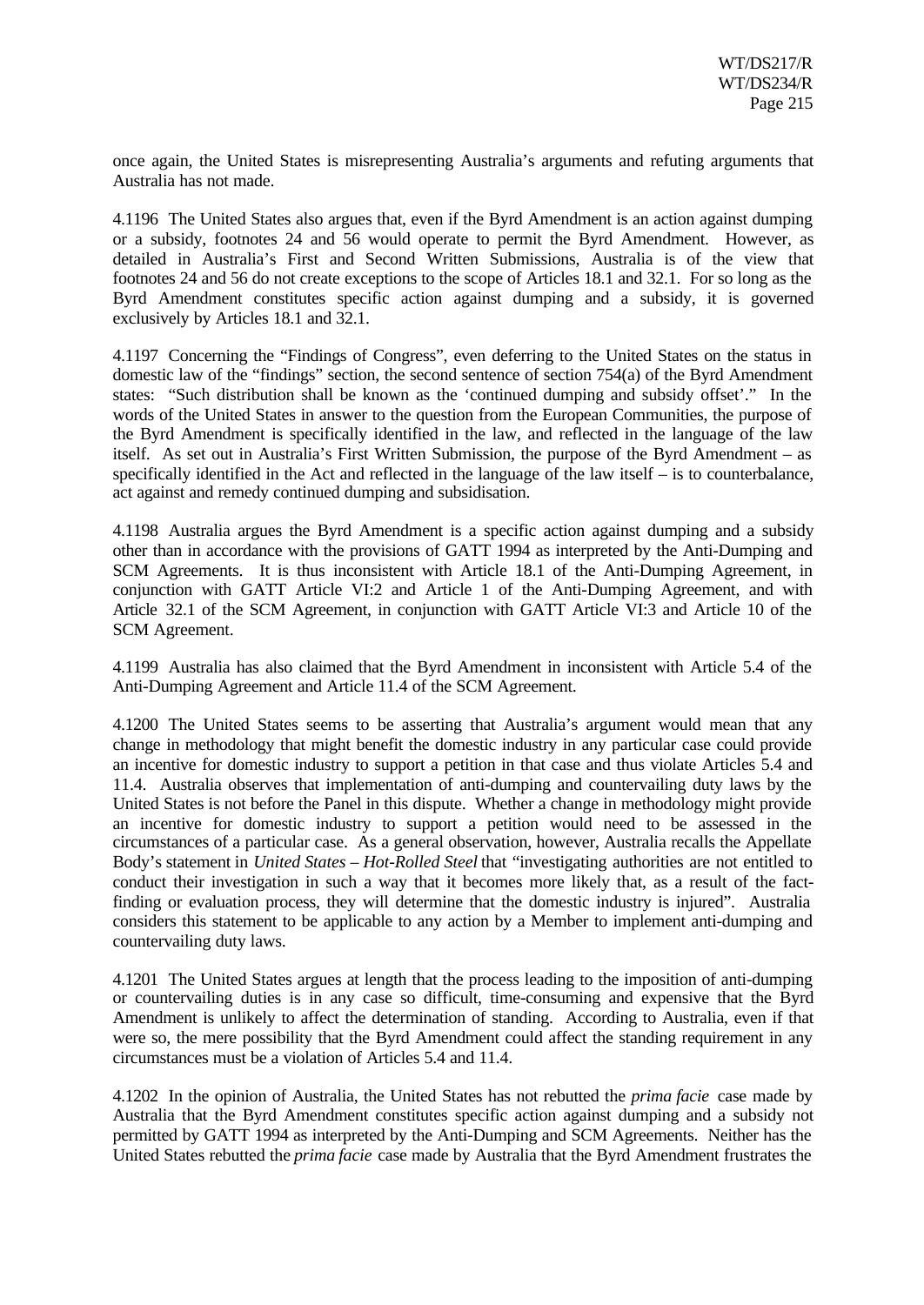once again, the United States is misrepresenting Australia's arguments and refuting arguments that Australia has not made.

4.1196 The United States also argues that, even if the Byrd Amendment is an action against dumping or a subsidy, footnotes 24 and 56 would operate to permit the Byrd Amendment. However, as detailed in Australia's First and Second Written Submissions, Australia is of the view that footnotes 24 and 56 do not create exceptions to the scope of Articles 18.1 and 32.1. For so long as the Byrd Amendment constitutes specific action against dumping and a subsidy, it is governed exclusively by Articles 18.1 and 32.1.

4.1197 Concerning the "Findings of Congress", even deferring to the United States on the status in domestic law of the "findings" section, the second sentence of section 754(a) of the Byrd Amendment states: "Such distribution shall be known as the 'continued dumping and subsidy offset'." In the words of the United States in answer to the question from the European Communities, the purpose of the Byrd Amendment is specifically identified in the law, and reflected in the language of the law itself. As set out in Australia's First Written Submission, the purpose of the Byrd Amendment – as specifically identified in the Act and reflected in the language of the law itself – is to counterbalance, act against and remedy continued dumping and subsidisation.

4.1198 Australia argues the Byrd Amendment is a specific action against dumping and a subsidy other than in accordance with the provisions of GATT 1994 as interpreted by the Anti-Dumping and SCM Agreements. It is thus inconsistent with Article 18.1 of the Anti-Dumping Agreement, in conjunction with GATT Article VI:2 and Article 1 of the Anti-Dumping Agreement, and with Article 32.1 of the SCM Agreement, in conjunction with GATT Article VI:3 and Article 10 of the SCM Agreement.

4.1199 Australia has also claimed that the Byrd Amendment in inconsistent with Article 5.4 of the Anti-Dumping Agreement and Article 11.4 of the SCM Agreement.

4.1200 The United States seems to be asserting that Australia's argument would mean that any change in methodology that might benefit the domestic industry in any particular case could provide an incentive for domestic industry to support a petition in that case and thus violate Articles 5.4 and 11.4. Australia observes that implementation of anti-dumping and countervailing duty laws by the United States is not before the Panel in this dispute. Whether a change in methodology might provide an incentive for domestic industry to support a petition would need to be assessed in the circumstances of a particular case. As a general observation, however, Australia recalls the Appellate Body's statement in *United States – Hot-Rolled Steel* that "investigating authorities are not entitled to conduct their investigation in such a way that it becomes more likely that, as a result of the factfinding or evaluation process, they will determine that the domestic industry is injured". Australia considers this statement to be applicable to any action by a Member to implement anti-dumping and countervailing duty laws.

4.1201 The United States argues at length that the process leading to the imposition of anti-dumping or countervailing duties is in any case so difficult, time-consuming and expensive that the Byrd Amendment is unlikely to affect the determination of standing. According to Australia, even if that were so, the mere possibility that the Byrd Amendment could affect the standing requirement in any circumstances must be a violation of Articles 5.4 and 11.4.

4.1202 In the opinion of Australia, the United States has not rebutted the *prima facie* case made by Australia that the Byrd Amendment constitutes specific action against dumping and a subsidy not permitted by GATT 1994 as interpreted by the Anti-Dumping and SCM Agreements. Neither has the United States rebutted the *prima facie* case made by Australia that the Byrd Amendment frustrates the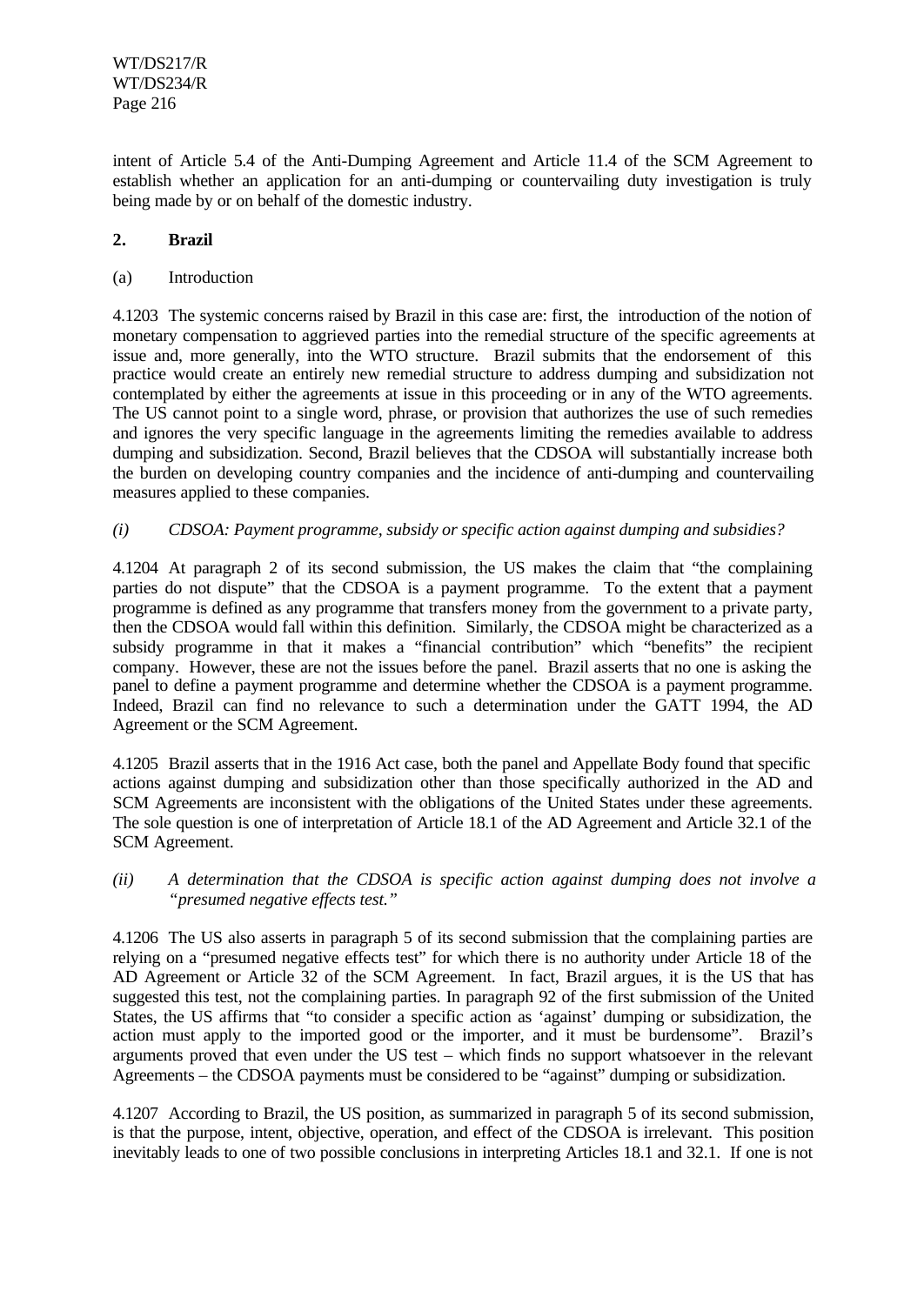WT/DS217/R WT/DS234/R Page 216

intent of Article 5.4 of the Anti-Dumping Agreement and Article 11.4 of the SCM Agreement to establish whether an application for an anti-dumping or countervailing duty investigation is truly being made by or on behalf of the domestic industry.

## **2. Brazil**

### (a) Introduction

4.1203 The systemic concerns raised by Brazil in this case are: first, the introduction of the notion of monetary compensation to aggrieved parties into the remedial structure of the specific agreements at issue and, more generally, into the WTO structure. Brazil submits that the endorsement of this practice would create an entirely new remedial structure to address dumping and subsidization not contemplated by either the agreements at issue in this proceeding or in any of the WTO agreements. The US cannot point to a single word, phrase, or provision that authorizes the use of such remedies and ignores the very specific language in the agreements limiting the remedies available to address dumping and subsidization. Second, Brazil believes that the CDSOA will substantially increase both the burden on developing country companies and the incidence of anti-dumping and countervailing measures applied to these companies.

### *(i) CDSOA: Payment programme, subsidy or specific action against dumping and subsidies?*

4.1204 At paragraph 2 of its second submission, the US makes the claim that "the complaining parties do not dispute" that the CDSOA is a payment programme. To the extent that a payment programme is defined as any programme that transfers money from the government to a private party, then the CDSOA would fall within this definition. Similarly, the CDSOA might be characterized as a subsidy programme in that it makes a "financial contribution" which "benefits" the recipient company. However, these are not the issues before the panel. Brazil asserts that no one is asking the panel to define a payment programme and determine whether the CDSOA is a payment programme. Indeed, Brazil can find no relevance to such a determination under the GATT 1994, the AD Agreement or the SCM Agreement.

4.1205 Brazil asserts that in the 1916 Act case, both the panel and Appellate Body found that specific actions against dumping and subsidization other than those specifically authorized in the AD and SCM Agreements are inconsistent with the obligations of the United States under these agreements. The sole question is one of interpretation of Article 18.1 of the AD Agreement and Article 32.1 of the SCM Agreement.

*(ii) A determination that the CDSOA is specific action against dumping does not involve a "presumed negative effects test."*

4.1206 The US also asserts in paragraph 5 of its second submission that the complaining parties are relying on a "presumed negative effects test" for which there is no authority under Article 18 of the AD Agreement or Article 32 of the SCM Agreement. In fact, Brazil argues, it is the US that has suggested this test, not the complaining parties. In paragraph 92 of the first submission of the United States, the US affirms that "to consider a specific action as 'against' dumping or subsidization, the action must apply to the imported good or the importer, and it must be burdensome". Brazil's arguments proved that even under the US test – which finds no support whatsoever in the relevant Agreements – the CDSOA payments must be considered to be "against" dumping or subsidization.

4.1207 According to Brazil, the US position, as summarized in paragraph 5 of its second submission, is that the purpose, intent, objective, operation, and effect of the CDSOA is irrelevant. This position inevitably leads to one of two possible conclusions in interpreting Articles 18.1 and 32.1. If one is not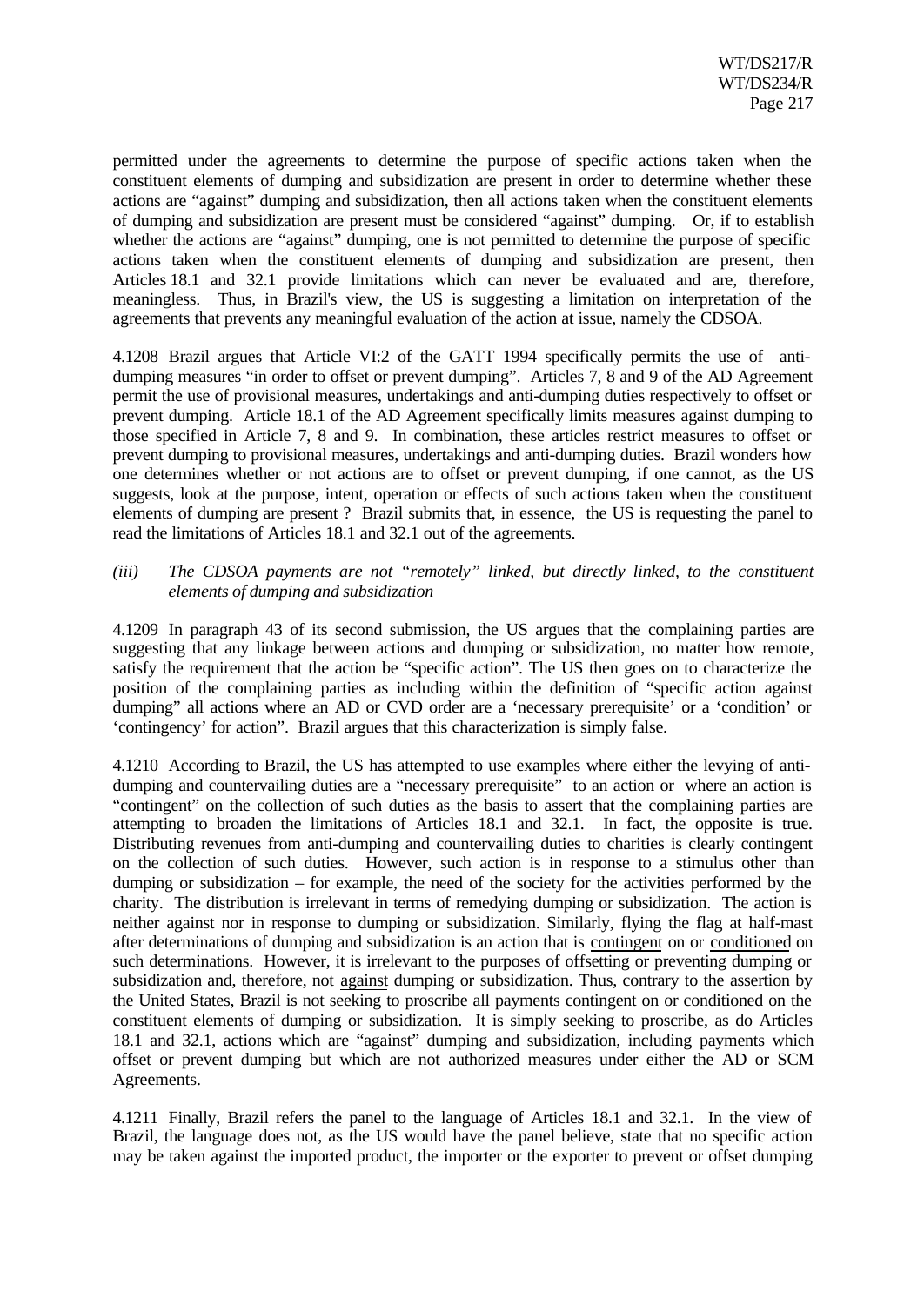permitted under the agreements to determine the purpose of specific actions taken when the constituent elements of dumping and subsidization are present in order to determine whether these actions are "against" dumping and subsidization, then all actions taken when the constituent elements of dumping and subsidization are present must be considered "against" dumping. Or, if to establish whether the actions are "against" dumping, one is not permitted to determine the purpose of specific actions taken when the constituent elements of dumping and subsidization are present, then Articles 18.1 and 32.1 provide limitations which can never be evaluated and are, therefore, meaningless. Thus, in Brazil's view, the US is suggesting a limitation on interpretation of the agreements that prevents any meaningful evaluation of the action at issue, namely the CDSOA.

4.1208 Brazil argues that Article VI:2 of the GATT 1994 specifically permits the use of antidumping measures "in order to offset or prevent dumping". Articles 7, 8 and 9 of the AD Agreement permit the use of provisional measures, undertakings and anti-dumping duties respectively to offset or prevent dumping. Article 18.1 of the AD Agreement specifically limits measures against dumping to those specified in Article 7, 8 and 9. In combination, these articles restrict measures to offset or prevent dumping to provisional measures, undertakings and anti-dumping duties. Brazil wonders how one determines whether or not actions are to offset or prevent dumping, if one cannot, as the US suggests, look at the purpose, intent, operation or effects of such actions taken when the constituent elements of dumping are present ? Brazil submits that, in essence, the US is requesting the panel to read the limitations of Articles 18.1 and 32.1 out of the agreements.

# *(iii) The CDSOA payments are not "remotely" linked, but directly linked, to the constituent elements of dumping and subsidization*

4.1209 In paragraph 43 of its second submission, the US argues that the complaining parties are suggesting that any linkage between actions and dumping or subsidization, no matter how remote, satisfy the requirement that the action be "specific action". The US then goes on to characterize the position of the complaining parties as including within the definition of "specific action against dumping" all actions where an AD or CVD order are a 'necessary prerequisite' or a 'condition' or 'contingency' for action". Brazil argues that this characterization is simply false.

4.1210 According to Brazil, the US has attempted to use examples where either the levying of antidumping and countervailing duties are a "necessary prerequisite" to an action or where an action is "contingent" on the collection of such duties as the basis to assert that the complaining parties are attempting to broaden the limitations of Articles 18.1 and 32.1. In fact, the opposite is true. Distributing revenues from anti-dumping and countervailing duties to charities is clearly contingent on the collection of such duties. However, such action is in response to a stimulus other than dumping or subsidization – for example, the need of the society for the activities performed by the charity. The distribution is irrelevant in terms of remedying dumping or subsidization. The action is neither against nor in response to dumping or subsidization. Similarly, flying the flag at half-mast after determinations of dumping and subsidization is an action that is contingent on or conditioned on such determinations. However, it is irrelevant to the purposes of offsetting or preventing dumping or subsidization and, therefore, not against dumping or subsidization. Thus, contrary to the assertion by the United States, Brazil is not seeking to proscribe all payments contingent on or conditioned on the constituent elements of dumping or subsidization. It is simply seeking to proscribe, as do Articles 18.1 and 32.1, actions which are "against" dumping and subsidization, including payments which offset or prevent dumping but which are not authorized measures under either the AD or SCM Agreements.

4.1211 Finally, Brazil refers the panel to the language of Articles 18.1 and 32.1. In the view of Brazil, the language does not, as the US would have the panel believe, state that no specific action may be taken against the imported product, the importer or the exporter to prevent or offset dumping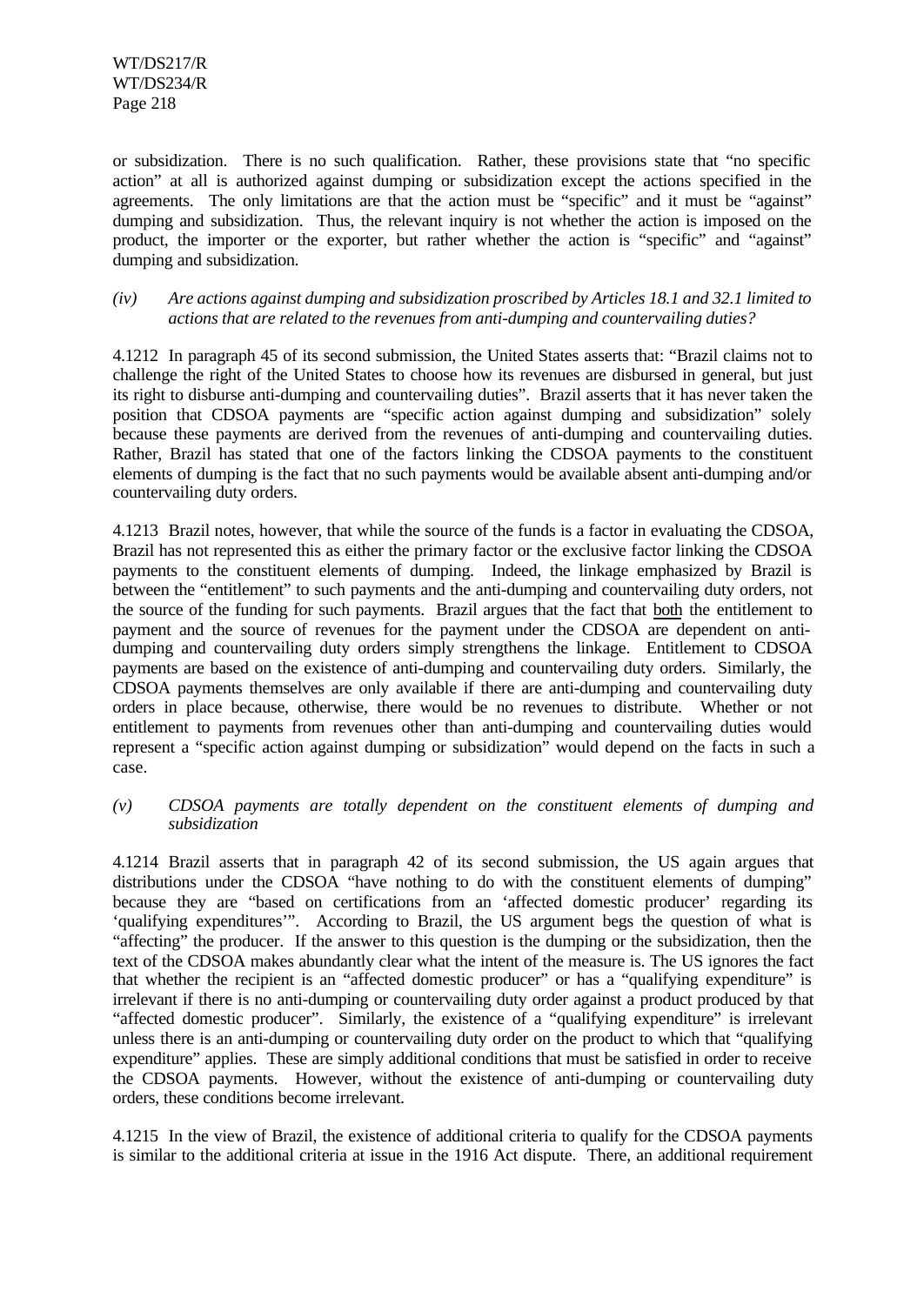WT/DS217/R WT/DS234/R Page 218

or subsidization. There is no such qualification. Rather, these provisions state that "no specific action" at all is authorized against dumping or subsidization except the actions specified in the agreements. The only limitations are that the action must be "specific" and it must be "against" dumping and subsidization. Thus, the relevant inquiry is not whether the action is imposed on the product, the importer or the exporter, but rather whether the action is "specific" and "against" dumping and subsidization.

### *(iv) Are actions against dumping and subsidization proscribed by Articles 18.1 and 32.1 limited to actions that are related to the revenues from anti-dumping and countervailing duties?*

4.1212 In paragraph 45 of its second submission, the United States asserts that: "Brazil claims not to challenge the right of the United States to choose how its revenues are disbursed in general, but just its right to disburse anti-dumping and countervailing duties". Brazil asserts that it has never taken the position that CDSOA payments are "specific action against dumping and subsidization" solely because these payments are derived from the revenues of anti-dumping and countervailing duties. Rather, Brazil has stated that one of the factors linking the CDSOA payments to the constituent elements of dumping is the fact that no such payments would be available absent anti-dumping and/or countervailing duty orders.

4.1213 Brazil notes, however, that while the source of the funds is a factor in evaluating the CDSOA, Brazil has not represented this as either the primary factor or the exclusive factor linking the CDSOA payments to the constituent elements of dumping. Indeed, the linkage emphasized by Brazil is between the "entitlement" to such payments and the anti-dumping and countervailing duty orders, not the source of the funding for such payments. Brazil argues that the fact that both the entitlement to payment and the source of revenues for the payment under the CDSOA are dependent on antidumping and countervailing duty orders simply strengthens the linkage. Entitlement to CDSOA payments are based on the existence of anti-dumping and countervailing duty orders. Similarly, the CDSOA payments themselves are only available if there are anti-dumping and countervailing duty orders in place because, otherwise, there would be no revenues to distribute. Whether or not entitlement to payments from revenues other than anti-dumping and countervailing duties would represent a "specific action against dumping or subsidization" would depend on the facts in such a case.

### *(v) CDSOA payments are totally dependent on the constituent elements of dumping and subsidization*

4.1214 Brazil asserts that in paragraph 42 of its second submission, the US again argues that distributions under the CDSOA "have nothing to do with the constituent elements of dumping" because they are "based on certifications from an 'affected domestic producer' regarding its 'qualifying expenditures'". According to Brazil, the US argument begs the question of what is "affecting" the producer. If the answer to this question is the dumping or the subsidization, then the text of the CDSOA makes abundantly clear what the intent of the measure is. The US ignores the fact that whether the recipient is an "affected domestic producer" or has a "qualifying expenditure" is irrelevant if there is no anti-dumping or countervailing duty order against a product produced by that "affected domestic producer". Similarly, the existence of a "qualifying expenditure" is irrelevant unless there is an anti-dumping or countervailing duty order on the product to which that "qualifying expenditure" applies. These are simply additional conditions that must be satisfied in order to receive the CDSOA payments. However, without the existence of anti-dumping or countervailing duty orders, these conditions become irrelevant.

4.1215 In the view of Brazil, the existence of additional criteria to qualify for the CDSOA payments is similar to the additional criteria at issue in the 1916 Act dispute. There, an additional requirement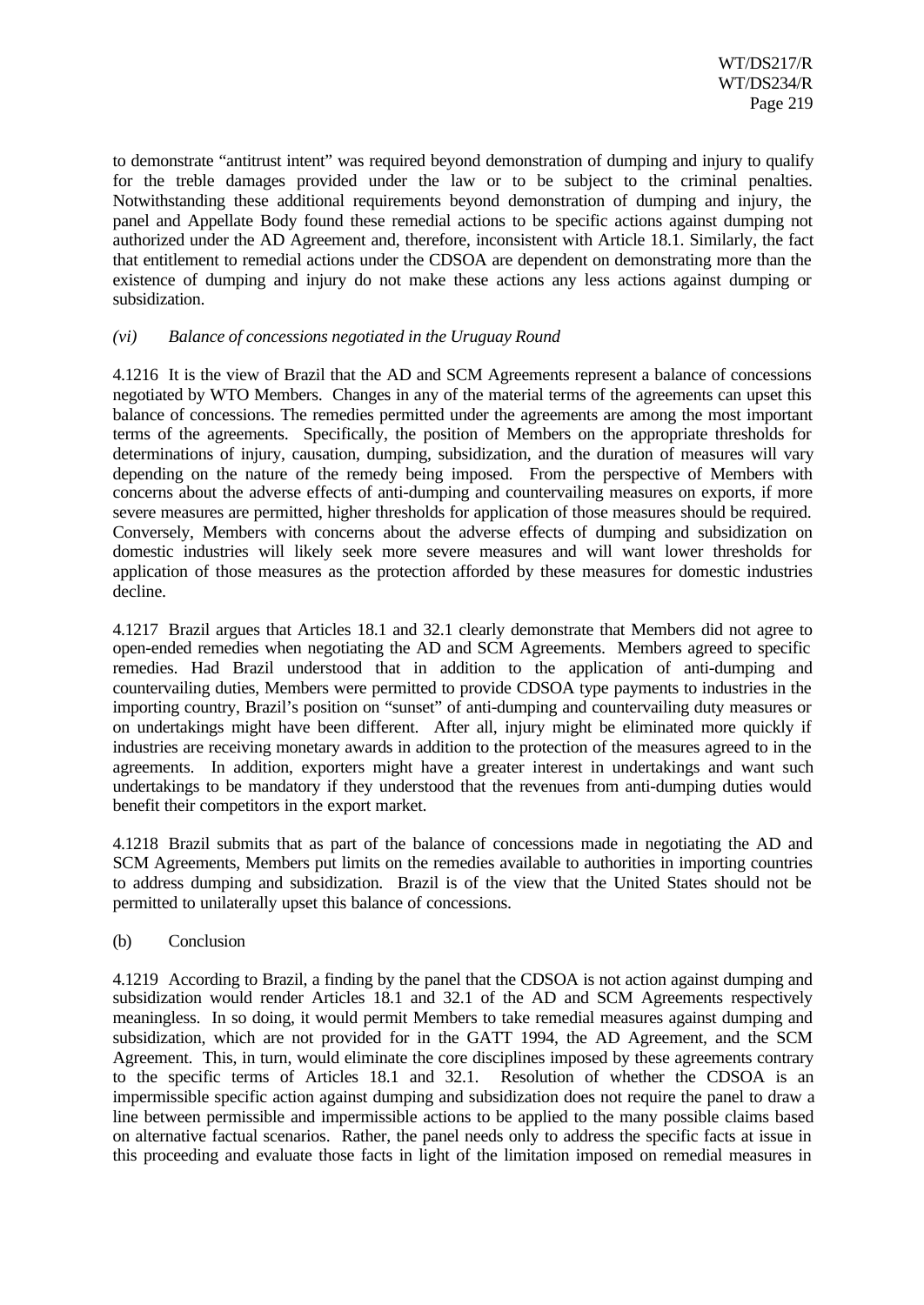to demonstrate "antitrust intent" was required beyond demonstration of dumping and injury to qualify for the treble damages provided under the law or to be subject to the criminal penalties. Notwithstanding these additional requirements beyond demonstration of dumping and injury, the panel and Appellate Body found these remedial actions to be specific actions against dumping not authorized under the AD Agreement and, therefore, inconsistent with Article 18.1. Similarly, the fact that entitlement to remedial actions under the CDSOA are dependent on demonstrating more than the existence of dumping and injury do not make these actions any less actions against dumping or subsidization.

# *(vi) Balance of concessions negotiated in the Uruguay Round*

4.1216 It is the view of Brazil that the AD and SCM Agreements represent a balance of concessions negotiated by WTO Members. Changes in any of the material terms of the agreements can upset this balance of concessions. The remedies permitted under the agreements are among the most important terms of the agreements. Specifically, the position of Members on the appropriate thresholds for determinations of injury, causation, dumping, subsidization, and the duration of measures will vary depending on the nature of the remedy being imposed. From the perspective of Members with concerns about the adverse effects of anti-dumping and countervailing measures on exports, if more severe measures are permitted, higher thresholds for application of those measures should be required. Conversely, Members with concerns about the adverse effects of dumping and subsidization on domestic industries will likely seek more severe measures and will want lower thresholds for application of those measures as the protection afforded by these measures for domestic industries decline.

4.1217 Brazil argues that Articles 18.1 and 32.1 clearly demonstrate that Members did not agree to open-ended remedies when negotiating the AD and SCM Agreements. Members agreed to specific remedies. Had Brazil understood that in addition to the application of anti-dumping and countervailing duties, Members were permitted to provide CDSOA type payments to industries in the importing country, Brazil's position on "sunset" of anti-dumping and countervailing duty measures or on undertakings might have been different. After all, injury might be eliminated more quickly if industries are receiving monetary awards in addition to the protection of the measures agreed to in the agreements. In addition, exporters might have a greater interest in undertakings and want such undertakings to be mandatory if they understood that the revenues from anti-dumping duties would benefit their competitors in the export market.

4.1218 Brazil submits that as part of the balance of concessions made in negotiating the AD and SCM Agreements, Members put limits on the remedies available to authorities in importing countries to address dumping and subsidization. Brazil is of the view that the United States should not be permitted to unilaterally upset this balance of concessions.

### (b) Conclusion

4.1219 According to Brazil, a finding by the panel that the CDSOA is not action against dumping and subsidization would render Articles 18.1 and 32.1 of the AD and SCM Agreements respectively meaningless. In so doing, it would permit Members to take remedial measures against dumping and subsidization, which are not provided for in the GATT 1994, the AD Agreement, and the SCM Agreement. This, in turn, would eliminate the core disciplines imposed by these agreements contrary to the specific terms of Articles 18.1 and 32.1. Resolution of whether the CDSOA is an impermissible specific action against dumping and subsidization does not require the panel to draw a line between permissible and impermissible actions to be applied to the many possible claims based on alternative factual scenarios. Rather, the panel needs only to address the specific facts at issue in this proceeding and evaluate those facts in light of the limitation imposed on remedial measures in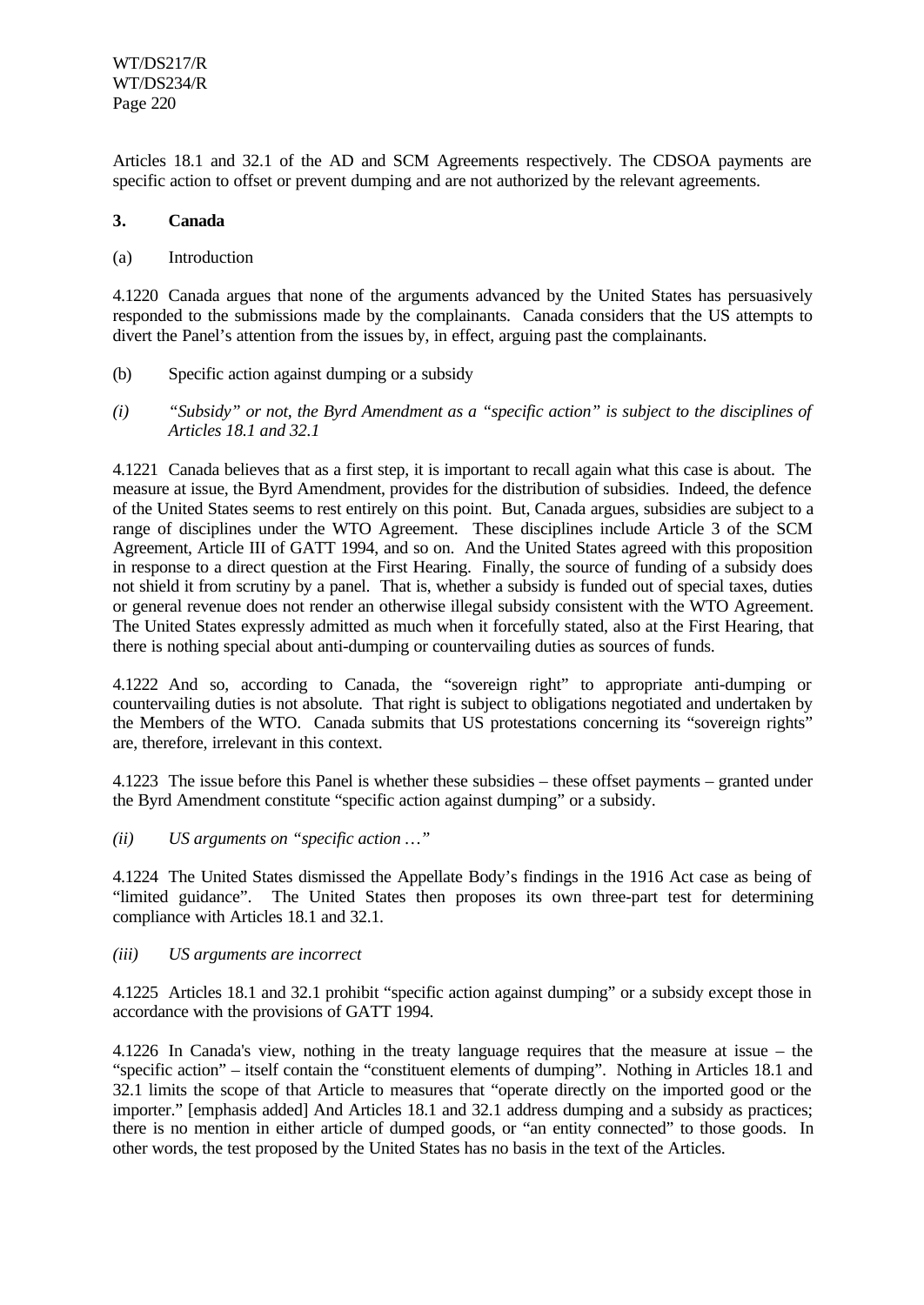Articles 18.1 and 32.1 of the AD and SCM Agreements respectively. The CDSOA payments are specific action to offset or prevent dumping and are not authorized by the relevant agreements.

### **3. Canada**

#### (a) Introduction

4.1220 Canada argues that none of the arguments advanced by the United States has persuasively responded to the submissions made by the complainants. Canada considers that the US attempts to divert the Panel's attention from the issues by, in effect, arguing past the complainants.

- (b) Specific action against dumping or a subsidy
- *(i) "Subsidy" or not, the Byrd Amendment as a "specific action" is subject to the disciplines of Articles 18.1 and 32.1*

4.1221 Canada believes that as a first step, it is important to recall again what this case is about. The measure at issue, the Byrd Amendment, provides for the distribution of subsidies. Indeed, the defence of the United States seems to rest entirely on this point. But, Canada argues, subsidies are subject to a range of disciplines under the WTO Agreement. These disciplines include Article 3 of the SCM Agreement, Article III of GATT 1994, and so on. And the United States agreed with this proposition in response to a direct question at the First Hearing. Finally, the source of funding of a subsidy does not shield it from scrutiny by a panel. That is, whether a subsidy is funded out of special taxes, duties or general revenue does not render an otherwise illegal subsidy consistent with the WTO Agreement. The United States expressly admitted as much when it forcefully stated, also at the First Hearing, that there is nothing special about anti-dumping or countervailing duties as sources of funds.

4.1222 And so, according to Canada, the "sovereign right" to appropriate anti-dumping or countervailing duties is not absolute. That right is subject to obligations negotiated and undertaken by the Members of the WTO. Canada submits that US protestations concerning its "sovereign rights" are, therefore, irrelevant in this context.

4.1223 The issue before this Panel is whether these subsidies – these offset payments – granted under the Byrd Amendment constitute "specific action against dumping" or a subsidy.

*(ii) US arguments on "specific action …"*

4.1224 The United States dismissed the Appellate Body's findings in the 1916 Act case as being of "limited guidance". The United States then proposes its own three-part test for determining compliance with Articles 18.1 and 32.1.

### *(iii) US arguments are incorrect*

4.1225 Articles 18.1 and 32.1 prohibit "specific action against dumping" or a subsidy except those in accordance with the provisions of GATT 1994.

4.1226 In Canada's view, nothing in the treaty language requires that the measure at issue – the "specific action" – itself contain the "constituent elements of dumping". Nothing in Articles 18.1 and 32.1 limits the scope of that Article to measures that "operate directly on the imported good or the importer." [emphasis added] And Articles 18.1 and 32.1 address dumping and a subsidy as practices; there is no mention in either article of dumped goods, or "an entity connected" to those goods. In other words, the test proposed by the United States has no basis in the text of the Articles.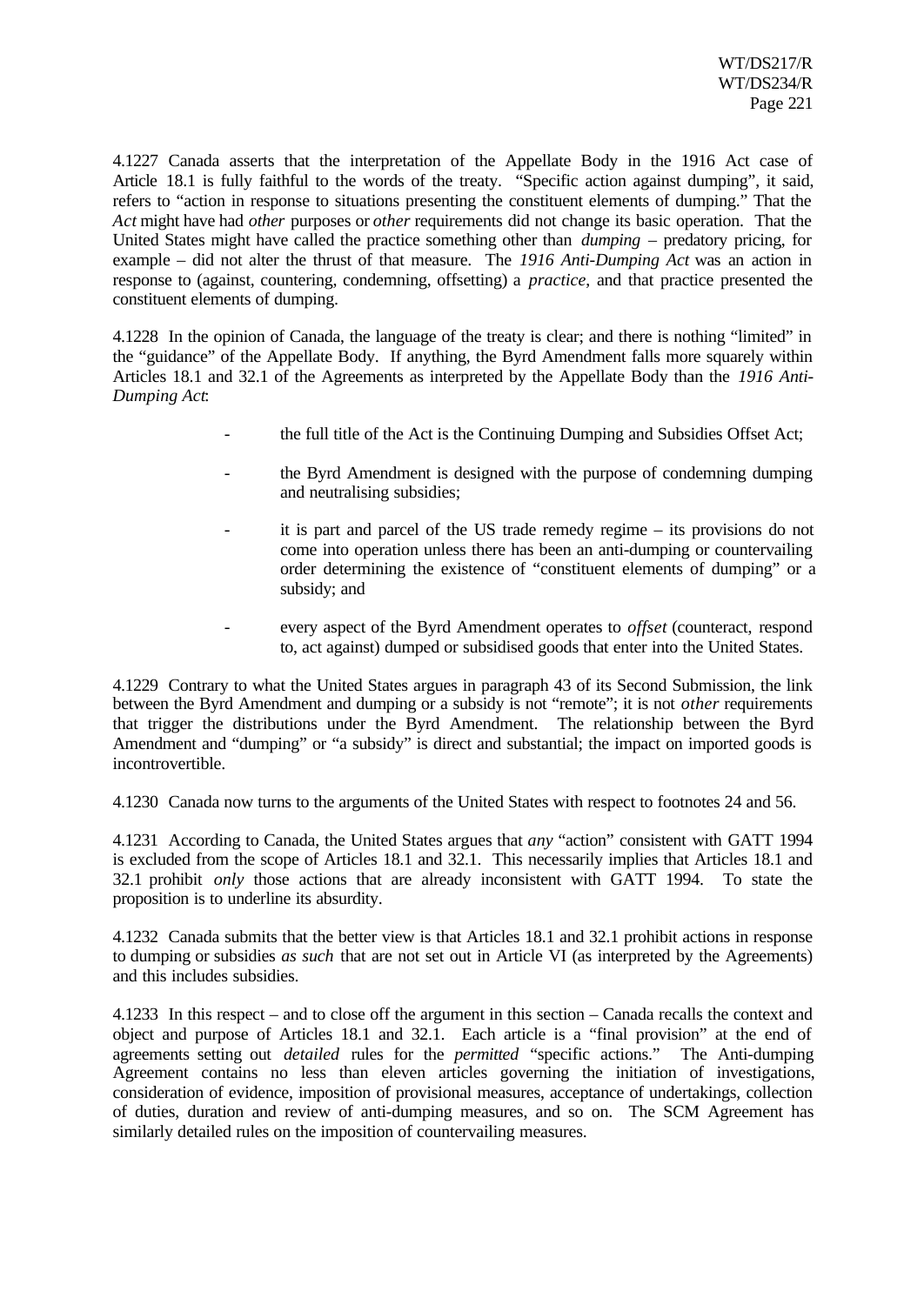4.1227 Canada asserts that the interpretation of the Appellate Body in the 1916 Act case of Article 18.1 is fully faithful to the words of the treaty. "Specific action against dumping", it said, refers to "action in response to situations presenting the constituent elements of dumping." That the *Act* might have had *other* purposes or *other* requirements did not change its basic operation. That the United States might have called the practice something other than *dumping* – predatory pricing, for example – did not alter the thrust of that measure. The *1916 Anti-Dumping Act* was an action in response to (against, countering, condemning, offsetting) a *practice*, and that practice presented the constituent elements of dumping.

4.1228 In the opinion of Canada, the language of the treaty is clear; and there is nothing "limited" in the "guidance" of the Appellate Body. If anything, the Byrd Amendment falls more squarely within Articles 18.1 and 32.1 of the Agreements as interpreted by the Appellate Body than the *1916 Anti-Dumping Act*:

- the full title of the Act is the Continuing Dumping and Subsidies Offset Act;
- the Byrd Amendment is designed with the purpose of condemning dumping and neutralising subsidies;
- it is part and parcel of the US trade remedy regime its provisions do not come into operation unless there has been an anti-dumping or countervailing order determining the existence of "constituent elements of dumping" or a subsidy; and
	- every aspect of the Byrd Amendment operates to *offset* (counteract, respond to, act against) dumped or subsidised goods that enter into the United States.

4.1229 Contrary to what the United States argues in paragraph 43 of its Second Submission, the link between the Byrd Amendment and dumping or a subsidy is not "remote"; it is not *other* requirements that trigger the distributions under the Byrd Amendment. The relationship between the Byrd Amendment and "dumping" or "a subsidy" is direct and substantial; the impact on imported goods is incontrovertible.

4.1230 Canada now turns to the arguments of the United States with respect to footnotes 24 and 56.

4.1231 According to Canada, the United States argues that *any* "action" consistent with GATT 1994 is excluded from the scope of Articles 18.1 and 32.1. This necessarily implies that Articles 18.1 and 32.1 prohibit *only* those actions that are already inconsistent with GATT 1994. To state the proposition is to underline its absurdity.

4.1232 Canada submits that the better view is that Articles 18.1 and 32.1 prohibit actions in response to dumping or subsidies *as such* that are not set out in Article VI (as interpreted by the Agreements) and this includes subsidies.

4.1233 In this respect – and to close off the argument in this section – Canada recalls the context and object and purpose of Articles 18.1 and 32.1. Each article is a "final provision" at the end of agreements setting out *detailed* rules for the *permitted* "specific actions." The Anti-dumping Agreement contains no less than eleven articles governing the initiation of investigations, consideration of evidence, imposition of provisional measures, acceptance of undertakings, collection of duties, duration and review of anti-dumping measures, and so on. The SCM Agreement has similarly detailed rules on the imposition of countervailing measures.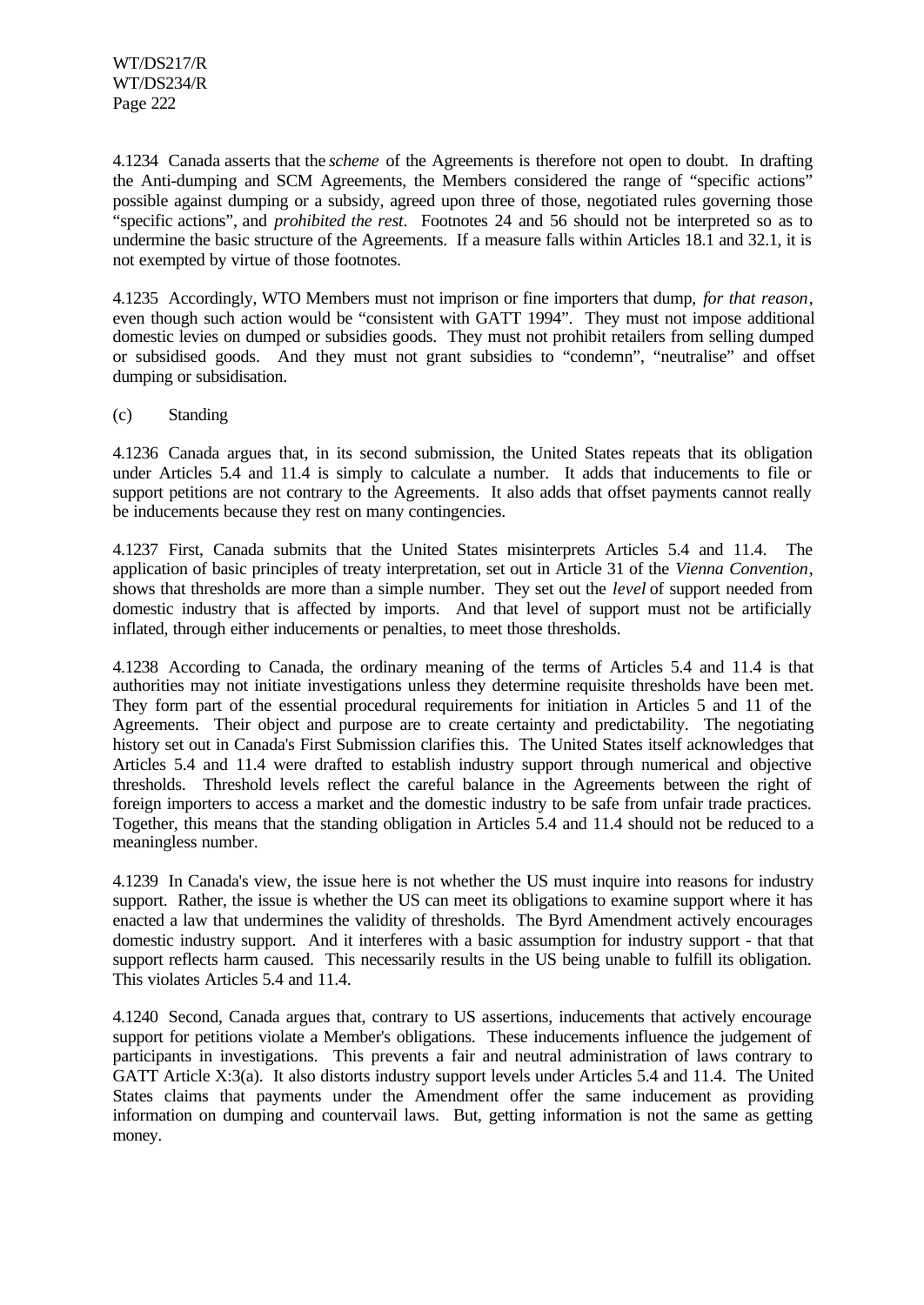4.1234 Canada asserts that the *scheme* of the Agreements is therefore not open to doubt. In drafting the Anti-dumping and SCM Agreements, the Members considered the range of "specific actions" possible against dumping or a subsidy, agreed upon three of those, negotiated rules governing those "specific actions", and *prohibited the rest*. Footnotes 24 and 56 should not be interpreted so as to undermine the basic structure of the Agreements. If a measure falls within Articles 18.1 and 32.1, it is not exempted by virtue of those footnotes.

4.1235 Accordingly, WTO Members must not imprison or fine importers that dump, *for that reason*, even though such action would be "consistent with GATT 1994". They must not impose additional domestic levies on dumped or subsidies goods. They must not prohibit retailers from selling dumped or subsidised goods. And they must not grant subsidies to "condemn", "neutralise" and offset dumping or subsidisation.

(c) Standing

4.1236 Canada argues that, in its second submission, the United States repeats that its obligation under Articles 5.4 and 11.4 is simply to calculate a number. It adds that inducements to file or support petitions are not contrary to the Agreements. It also adds that offset payments cannot really be inducements because they rest on many contingencies.

4.1237 First, Canada submits that the United States misinterprets Articles 5.4 and 11.4. The application of basic principles of treaty interpretation, set out in Article 31 of the *Vienna Convention*, shows that thresholds are more than a simple number. They set out the *level* of support needed from domestic industry that is affected by imports. And that level of support must not be artificially inflated, through either inducements or penalties, to meet those thresholds.

4.1238 According to Canada, the ordinary meaning of the terms of Articles 5.4 and 11.4 is that authorities may not initiate investigations unless they determine requisite thresholds have been met. They form part of the essential procedural requirements for initiation in Articles 5 and 11 of the Agreements. Their object and purpose are to create certainty and predictability. The negotiating history set out in Canada's First Submission clarifies this. The United States itself acknowledges that Articles 5.4 and 11.4 were drafted to establish industry support through numerical and objective thresholds. Threshold levels reflect the careful balance in the Agreements between the right of foreign importers to access a market and the domestic industry to be safe from unfair trade practices. Together, this means that the standing obligation in Articles 5.4 and 11.4 should not be reduced to a meaningless number.

4.1239 In Canada's view, the issue here is not whether the US must inquire into reasons for industry support. Rather, the issue is whether the US can meet its obligations to examine support where it has enacted a law that undermines the validity of thresholds. The Byrd Amendment actively encourages domestic industry support. And it interferes with a basic assumption for industry support - that that support reflects harm caused. This necessarily results in the US being unable to fulfill its obligation. This violates Articles 5.4 and 11.4.

4.1240 Second, Canada argues that, contrary to US assertions, inducements that actively encourage support for petitions violate a Member's obligations. These inducements influence the judgement of participants in investigations. This prevents a fair and neutral administration of laws contrary to GATT Article X:3(a). It also distorts industry support levels under Articles 5.4 and 11.4. The United States claims that payments under the Amendment offer the same inducement as providing information on dumping and countervail laws. But, getting information is not the same as getting money.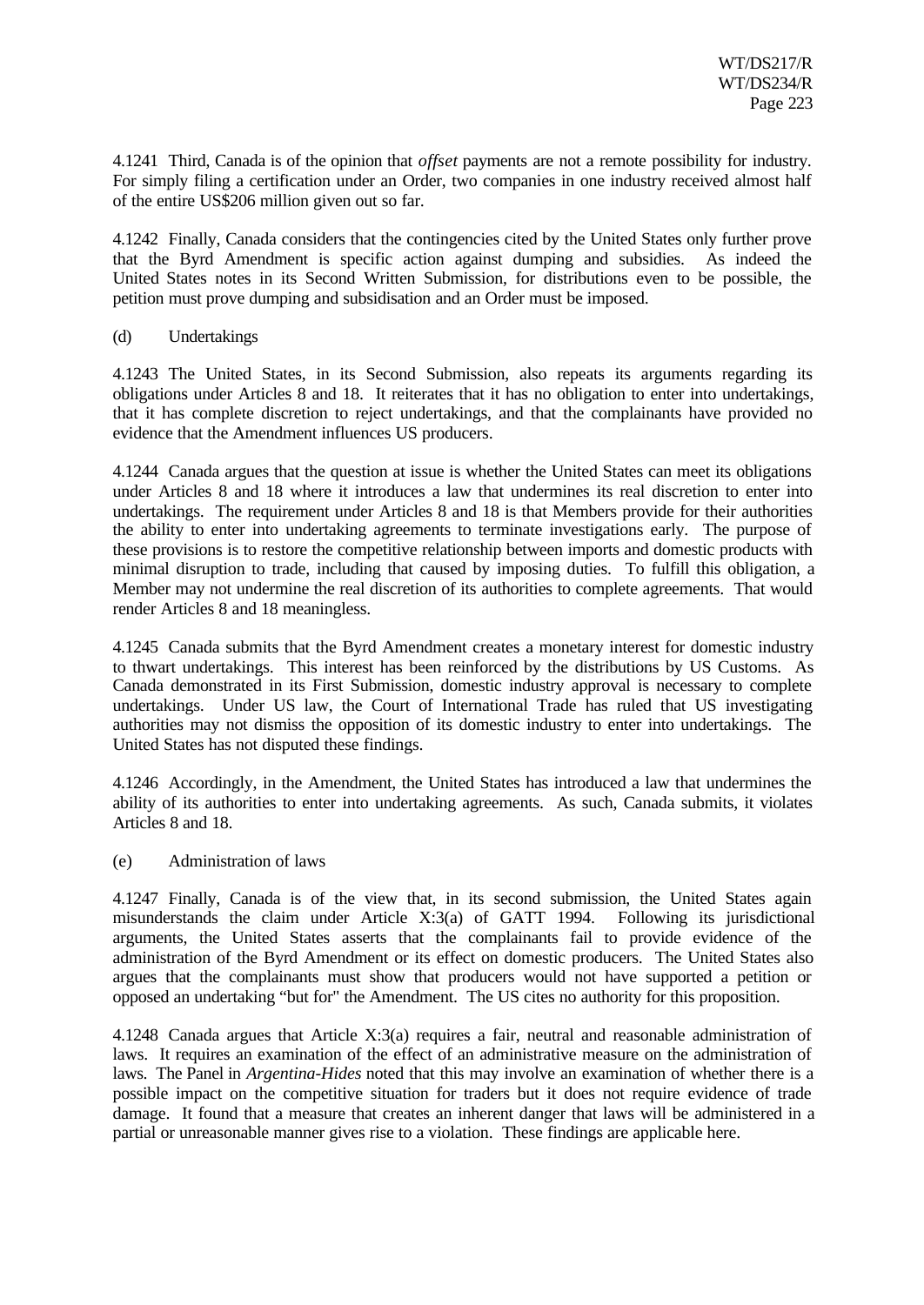4.1241 Third, Canada is of the opinion that *offset* payments are not a remote possibility for industry. For simply filing a certification under an Order, two companies in one industry received almost half of the entire US\$206 million given out so far.

4.1242 Finally, Canada considers that the contingencies cited by the United States only further prove that the Byrd Amendment is specific action against dumping and subsidies. As indeed the United States notes in its Second Written Submission, for distributions even to be possible, the petition must prove dumping and subsidisation and an Order must be imposed.

#### (d) Undertakings

4.1243 The United States, in its Second Submission, also repeats its arguments regarding its obligations under Articles 8 and 18. It reiterates that it has no obligation to enter into undertakings, that it has complete discretion to reject undertakings, and that the complainants have provided no evidence that the Amendment influences US producers.

4.1244 Canada argues that the question at issue is whether the United States can meet its obligations under Articles 8 and 18 where it introduces a law that undermines its real discretion to enter into undertakings. The requirement under Articles 8 and 18 is that Members provide for their authorities the ability to enter into undertaking agreements to terminate investigations early. The purpose of these provisions is to restore the competitive relationship between imports and domestic products with minimal disruption to trade, including that caused by imposing duties. To fulfill this obligation, a Member may not undermine the real discretion of its authorities to complete agreements. That would render Articles 8 and 18 meaningless.

4.1245 Canada submits that the Byrd Amendment creates a monetary interest for domestic industry to thwart undertakings. This interest has been reinforced by the distributions by US Customs. As Canada demonstrated in its First Submission, domestic industry approval is necessary to complete undertakings. Under US law, the Court of International Trade has ruled that US investigating authorities may not dismiss the opposition of its domestic industry to enter into undertakings. The United States has not disputed these findings.

4.1246 Accordingly, in the Amendment, the United States has introduced a law that undermines the ability of its authorities to enter into undertaking agreements. As such, Canada submits, it violates Articles 8 and 18.

#### (e) Administration of laws

4.1247 Finally, Canada is of the view that, in its second submission, the United States again misunderstands the claim under Article X:3(a) of GATT 1994. Following its jurisdictional arguments, the United States asserts that the complainants fail to provide evidence of the administration of the Byrd Amendment or its effect on domestic producers. The United States also argues that the complainants must show that producers would not have supported a petition or opposed an undertaking "but for" the Amendment. The US cites no authority for this proposition.

4.1248 Canada argues that Article X:3(a) requires a fair, neutral and reasonable administration of laws. It requires an examination of the effect of an administrative measure on the administration of laws. The Panel in *Argentina-Hides* noted that this may involve an examination of whether there is a possible impact on the competitive situation for traders but it does not require evidence of trade damage. It found that a measure that creates an inherent danger that laws will be administered in a partial or unreasonable manner gives rise to a violation. These findings are applicable here.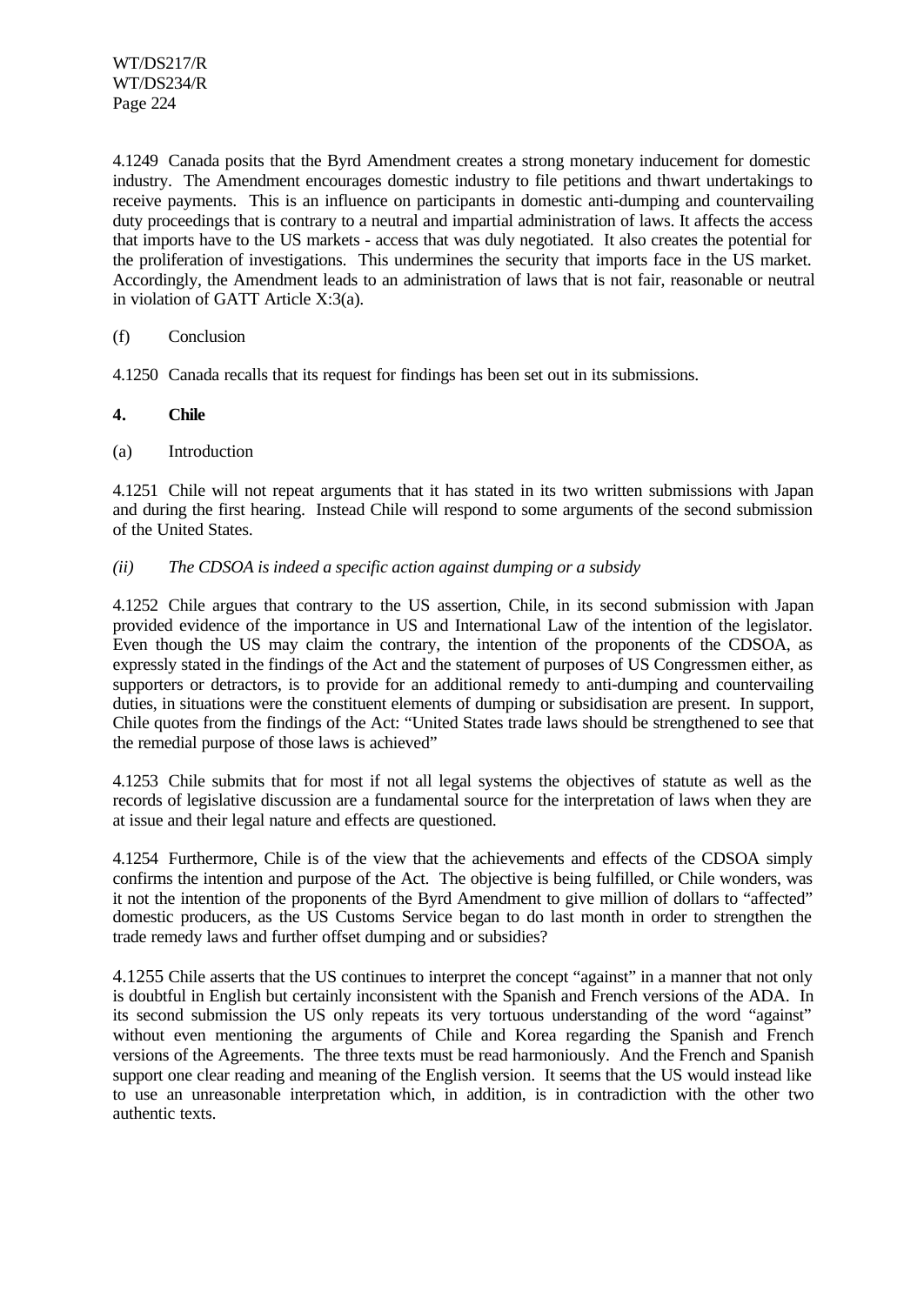4.1249 Canada posits that the Byrd Amendment creates a strong monetary inducement for domestic industry. The Amendment encourages domestic industry to file petitions and thwart undertakings to receive payments. This is an influence on participants in domestic anti-dumping and countervailing duty proceedings that is contrary to a neutral and impartial administration of laws. It affects the access that imports have to the US markets - access that was duly negotiated. It also creates the potential for the proliferation of investigations. This undermines the security that imports face in the US market. Accordingly, the Amendment leads to an administration of laws that is not fair, reasonable or neutral in violation of GATT Article X:3(a).

### (f) Conclusion

4.1250 Canada recalls that its request for findings has been set out in its submissions.

## **4. Chile**

### (a) Introduction

4.1251 Chile will not repeat arguments that it has stated in its two written submissions with Japan and during the first hearing. Instead Chile will respond to some arguments of the second submission of the United States.

## *(ii) The CDSOA is indeed a specific action against dumping or a subsidy*

4.1252 Chile argues that contrary to the US assertion, Chile, in its second submission with Japan provided evidence of the importance in US and International Law of the intention of the legislator. Even though the US may claim the contrary, the intention of the proponents of the CDSOA, as expressly stated in the findings of the Act and the statement of purposes of US Congressmen either, as supporters or detractors, is to provide for an additional remedy to anti-dumping and countervailing duties, in situations were the constituent elements of dumping or subsidisation are present. In support, Chile quotes from the findings of the Act: "United States trade laws should be strengthened to see that the remedial purpose of those laws is achieved"

4.1253 Chile submits that for most if not all legal systems the objectives of statute as well as the records of legislative discussion are a fundamental source for the interpretation of laws when they are at issue and their legal nature and effects are questioned.

4.1254 Furthermore, Chile is of the view that the achievements and effects of the CDSOA simply confirms the intention and purpose of the Act. The objective is being fulfilled, or Chile wonders, was it not the intention of the proponents of the Byrd Amendment to give million of dollars to "affected" domestic producers, as the US Customs Service began to do last month in order to strengthen the trade remedy laws and further offset dumping and or subsidies?

4.1255 Chile asserts that the US continues to interpret the concept "against" in a manner that not only is doubtful in English but certainly inconsistent with the Spanish and French versions of the ADA. In its second submission the US only repeats its very tortuous understanding of the word "against" without even mentioning the arguments of Chile and Korea regarding the Spanish and French versions of the Agreements. The three texts must be read harmoniously. And the French and Spanish support one clear reading and meaning of the English version. It seems that the US would instead like to use an unreasonable interpretation which, in addition, is in contradiction with the other two authentic texts.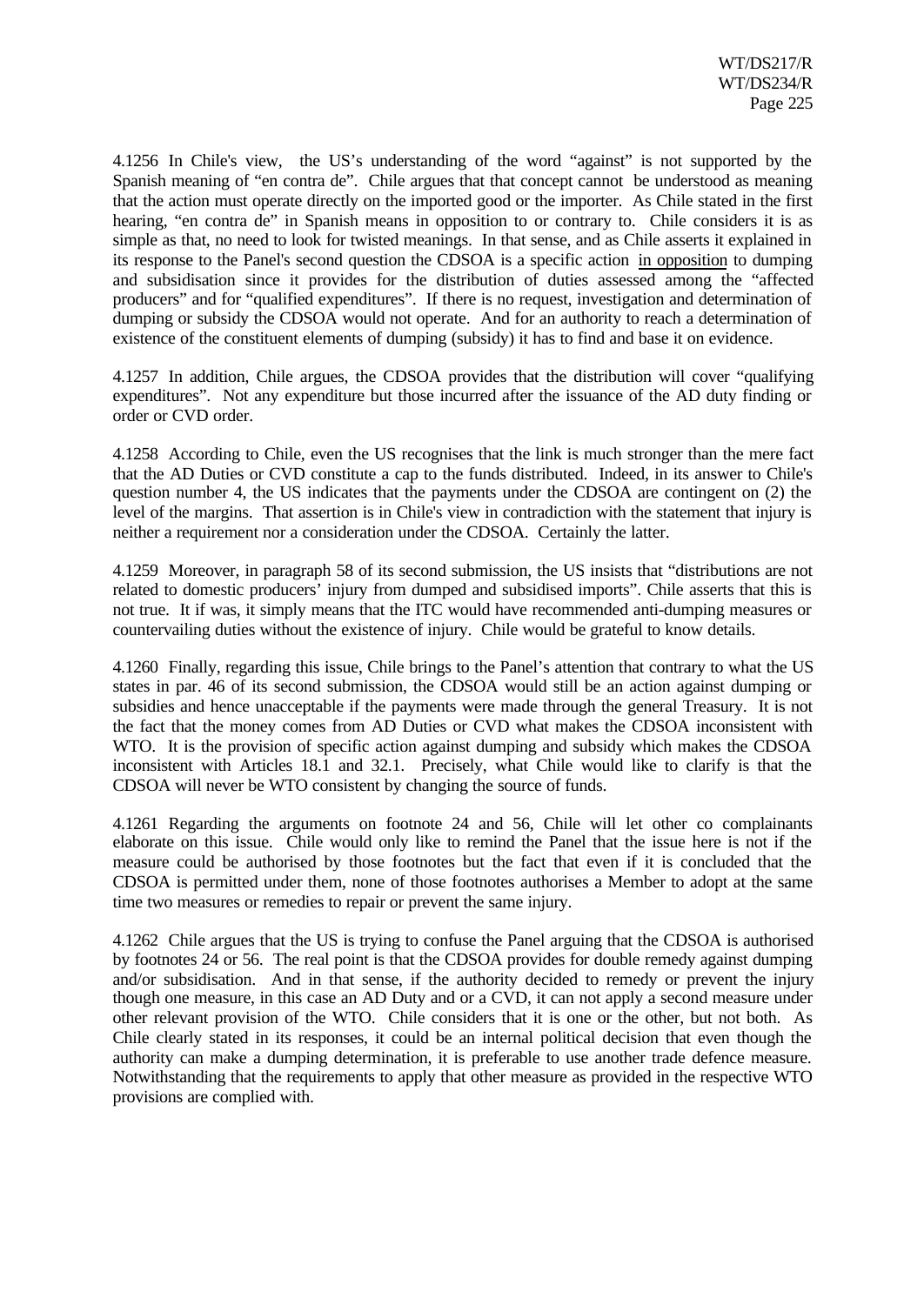4.1256 In Chile's view, the US's understanding of the word "against" is not supported by the Spanish meaning of "en contra de". Chile argues that that concept cannot be understood as meaning that the action must operate directly on the imported good or the importer. As Chile stated in the first hearing, "en contra de" in Spanish means in opposition to or contrary to. Chile considers it is as simple as that, no need to look for twisted meanings. In that sense, and as Chile asserts it explained in its response to the Panel's second question the CDSOA is a specific action in opposition to dumping and subsidisation since it provides for the distribution of duties assessed among the "affected producers" and for "qualified expenditures". If there is no request, investigation and determination of dumping or subsidy the CDSOA would not operate. And for an authority to reach a determination of existence of the constituent elements of dumping (subsidy) it has to find and base it on evidence.

4.1257 In addition, Chile argues, the CDSOA provides that the distribution will cover "qualifying expenditures". Not any expenditure but those incurred after the issuance of the AD duty finding or order or CVD order.

4.1258 According to Chile, even the US recognises that the link is much stronger than the mere fact that the AD Duties or CVD constitute a cap to the funds distributed. Indeed, in its answer to Chile's question number 4, the US indicates that the payments under the CDSOA are contingent on (2) the level of the margins. That assertion is in Chile's view in contradiction with the statement that injury is neither a requirement nor a consideration under the CDSOA. Certainly the latter.

4.1259 Moreover, in paragraph 58 of its second submission, the US insists that "distributions are not related to domestic producers' injury from dumped and subsidised imports". Chile asserts that this is not true. It if was, it simply means that the ITC would have recommended anti-dumping measures or countervailing duties without the existence of injury. Chile would be grateful to know details.

4.1260 Finally, regarding this issue, Chile brings to the Panel's attention that contrary to what the US states in par. 46 of its second submission, the CDSOA would still be an action against dumping or subsidies and hence unacceptable if the payments were made through the general Treasury. It is not the fact that the money comes from AD Duties or CVD what makes the CDSOA inconsistent with WTO. It is the provision of specific action against dumping and subsidy which makes the CDSOA inconsistent with Articles 18.1 and 32.1. Precisely, what Chile would like to clarify is that the CDSOA will never be WTO consistent by changing the source of funds.

4.1261 Regarding the arguments on footnote 24 and 56, Chile will let other co complainants elaborate on this issue. Chile would only like to remind the Panel that the issue here is not if the measure could be authorised by those footnotes but the fact that even if it is concluded that the CDSOA is permitted under them, none of those footnotes authorises a Member to adopt at the same time two measures or remedies to repair or prevent the same injury.

4.1262 Chile argues that the US is trying to confuse the Panel arguing that the CDSOA is authorised by footnotes 24 or 56. The real point is that the CDSOA provides for double remedy against dumping and/or subsidisation. And in that sense, if the authority decided to remedy or prevent the injury though one measure, in this case an AD Duty and or a CVD, it can not apply a second measure under other relevant provision of the WTO. Chile considers that it is one or the other, but not both. As Chile clearly stated in its responses, it could be an internal political decision that even though the authority can make a dumping determination, it is preferable to use another trade defence measure. Notwithstanding that the requirements to apply that other measure as provided in the respective WTO provisions are complied with.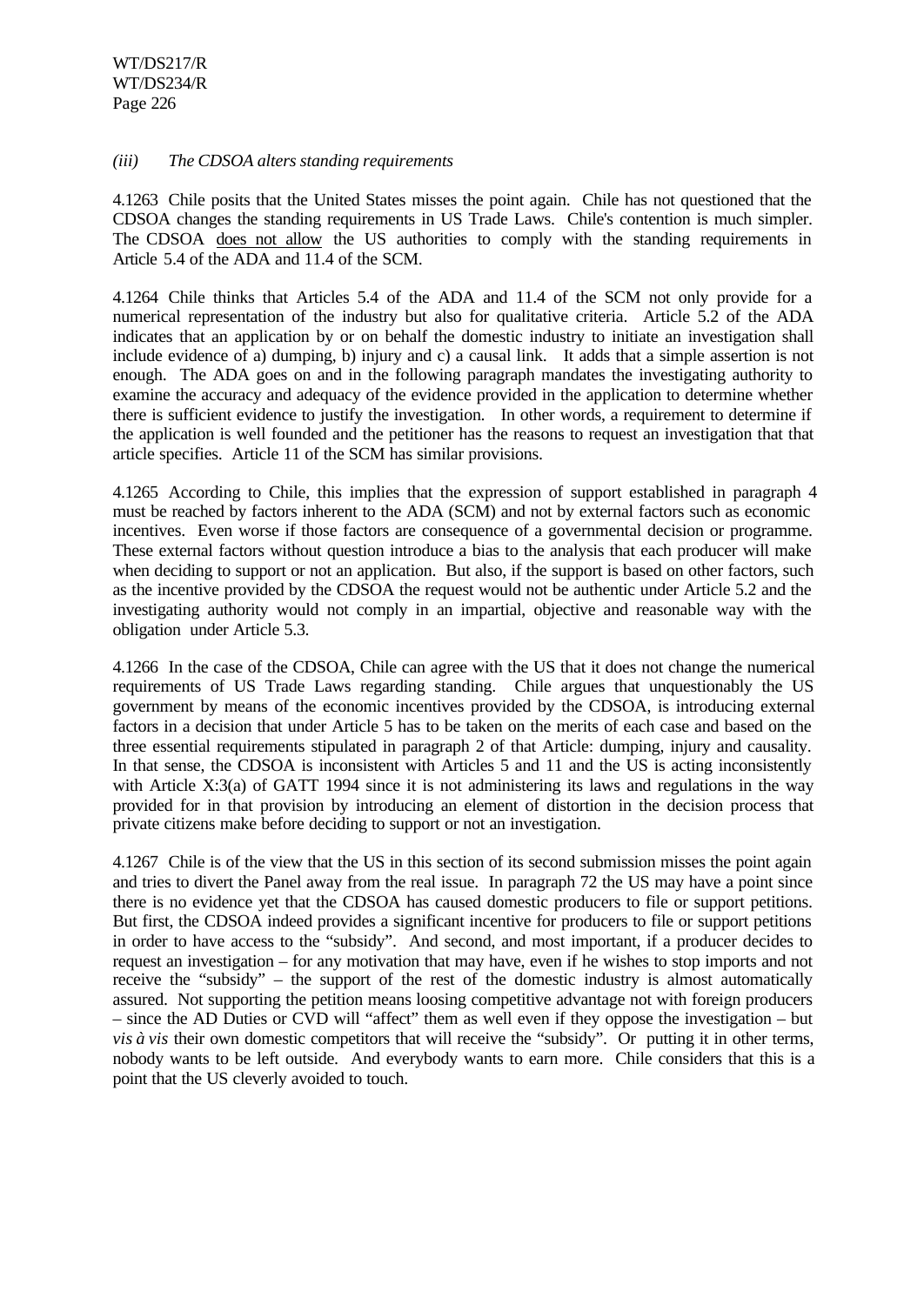#### *(iii) The CDSOA alters standing requirements*

4.1263 Chile posits that the United States misses the point again. Chile has not questioned that the CDSOA changes the standing requirements in US Trade Laws. Chile's contention is much simpler. The CDSOA does not allow the US authorities to comply with the standing requirements in Article 5.4 of the ADA and 11.4 of the SCM.

4.1264 Chile thinks that Articles 5.4 of the ADA and 11.4 of the SCM not only provide for a numerical representation of the industry but also for qualitative criteria. Article 5.2 of the ADA indicates that an application by or on behalf the domestic industry to initiate an investigation shall include evidence of a) dumping, b) injury and c) a causal link. It adds that a simple assertion is not enough. The ADA goes on and in the following paragraph mandates the investigating authority to examine the accuracy and adequacy of the evidence provided in the application to determine whether there is sufficient evidence to justify the investigation. In other words, a requirement to determine if the application is well founded and the petitioner has the reasons to request an investigation that that article specifies. Article 11 of the SCM has similar provisions.

4.1265 According to Chile, this implies that the expression of support established in paragraph 4 must be reached by factors inherent to the ADA (SCM) and not by external factors such as economic incentives. Even worse if those factors are consequence of a governmental decision or programme. These external factors without question introduce a bias to the analysis that each producer will make when deciding to support or not an application. But also, if the support is based on other factors, such as the incentive provided by the CDSOA the request would not be authentic under Article 5.2 and the investigating authority would not comply in an impartial, objective and reasonable way with the obligation under Article 5.3.

4.1266 In the case of the CDSOA, Chile can agree with the US that it does not change the numerical requirements of US Trade Laws regarding standing. Chile argues that unquestionably the US government by means of the economic incentives provided by the CDSOA, is introducing external factors in a decision that under Article 5 has to be taken on the merits of each case and based on the three essential requirements stipulated in paragraph 2 of that Article: dumping, injury and causality. In that sense, the CDSOA is inconsistent with Articles 5 and 11 and the US is acting inconsistently with Article  $X:3(a)$  of GATT 1994 since it is not administering its laws and regulations in the way provided for in that provision by introducing an element of distortion in the decision process that private citizens make before deciding to support or not an investigation.

4.1267 Chile is of the view that the US in this section of its second submission misses the point again and tries to divert the Panel away from the real issue. In paragraph 72 the US may have a point since there is no evidence yet that the CDSOA has caused domestic producers to file or support petitions. But first, the CDSOA indeed provides a significant incentive for producers to file or support petitions in order to have access to the "subsidy". And second, and most important, if a producer decides to request an investigation – for any motivation that may have, even if he wishes to stop imports and not receive the "subsidy" – the support of the rest of the domestic industry is almost automatically assured. Not supporting the petition means loosing competitive advantage not with foreign producers – since the AD Duties or CVD will "affect" them as well even if they oppose the investigation – but *vis à vis* their own domestic competitors that will receive the "subsidy". Or putting it in other terms, nobody wants to be left outside. And everybody wants to earn more. Chile considers that this is a point that the US cleverly avoided to touch.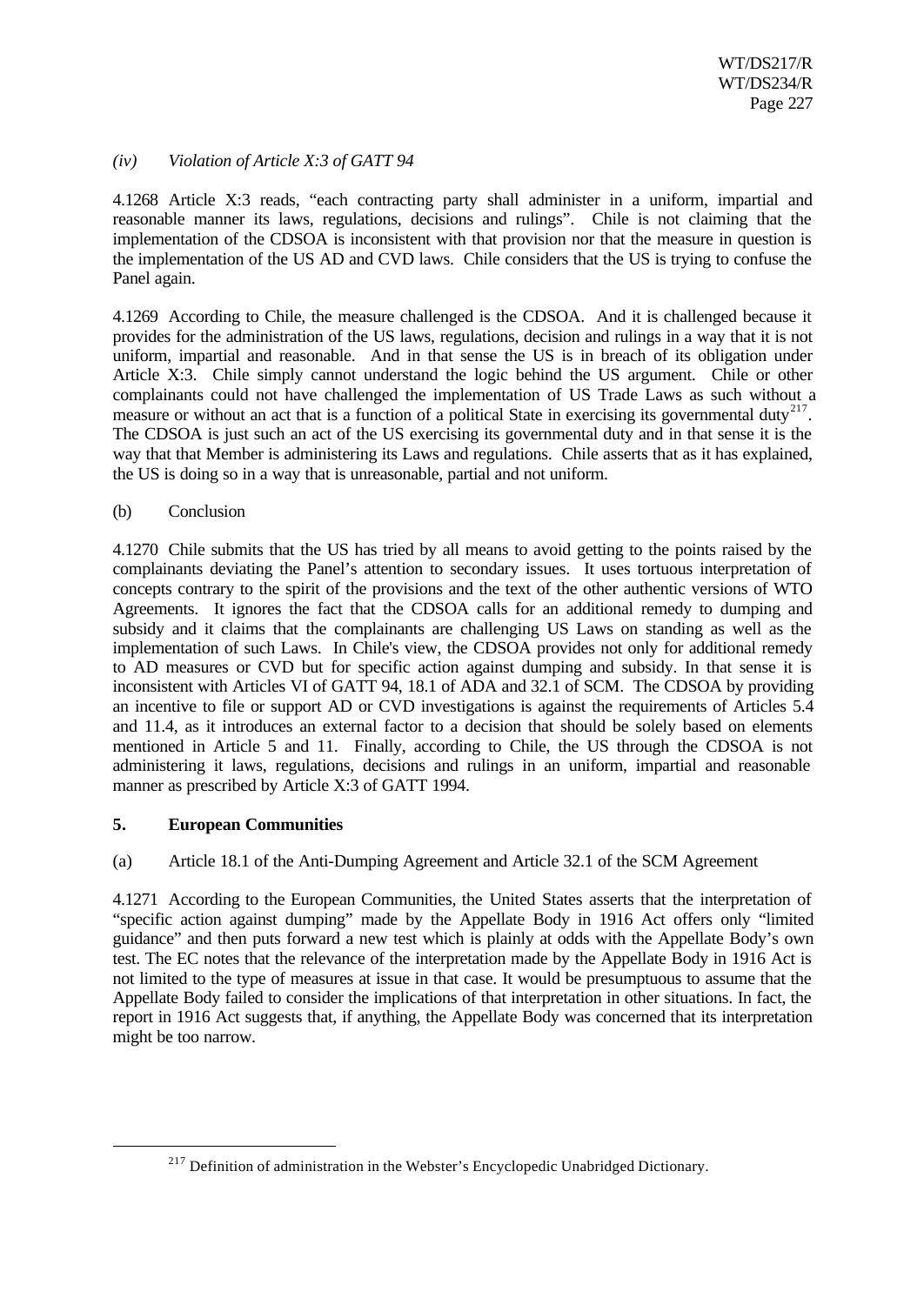# *(iv) Violation of Article X:3 of GATT 94*

4.1268 Article X:3 reads, "each contracting party shall administer in a uniform, impartial and reasonable manner its laws, regulations, decisions and rulings". Chile is not claiming that the implementation of the CDSOA is inconsistent with that provision nor that the measure in question is the implementation of the US AD and CVD laws. Chile considers that the US is trying to confuse the Panel again.

4.1269 According to Chile, the measure challenged is the CDSOA. And it is challenged because it provides for the administration of the US laws, regulations, decision and rulings in a way that it is not uniform, impartial and reasonable. And in that sense the US is in breach of its obligation under Article X:3. Chile simply cannot understand the logic behind the US argument. Chile or other complainants could not have challenged the implementation of US Trade Laws as such without a measure or without an act that is a function of a political State in exercising its governmental duty<sup>217</sup>. The CDSOA is just such an act of the US exercising its governmental duty and in that sense it is the way that that Member is administering its Laws and regulations. Chile asserts that as it has explained, the US is doing so in a way that is unreasonable, partial and not uniform.

### (b) Conclusion

4.1270 Chile submits that the US has tried by all means to avoid getting to the points raised by the complainants deviating the Panel's attention to secondary issues. It uses tortuous interpretation of concepts contrary to the spirit of the provisions and the text of the other authentic versions of WTO Agreements. It ignores the fact that the CDSOA calls for an additional remedy to dumping and subsidy and it claims that the complainants are challenging US Laws on standing as well as the implementation of such Laws. In Chile's view, the CDSOA provides not only for additional remedy to AD measures or CVD but for specific action against dumping and subsidy. In that sense it is inconsistent with Articles VI of GATT 94, 18.1 of ADA and 32.1 of SCM. The CDSOA by providing an incentive to file or support AD or CVD investigations is against the requirements of Articles 5.4 and 11.4, as it introduces an external factor to a decision that should be solely based on elements mentioned in Article 5 and 11. Finally, according to Chile, the US through the CDSOA is not administering it laws, regulations, decisions and rulings in an uniform, impartial and reasonable manner as prescribed by Article X:3 of GATT 1994.

### **5. European Communities**

l

(a) Article 18.1 of the Anti-Dumping Agreement and Article 32.1 of the SCM Agreement

4.1271 According to the European Communities, the United States asserts that the interpretation of "specific action against dumping" made by the Appellate Body in 1916 Act offers only "limited guidance" and then puts forward a new test which is plainly at odds with the Appellate Body's own test. The EC notes that the relevance of the interpretation made by the Appellate Body in 1916 Act is not limited to the type of measures at issue in that case. It would be presumptuous to assume that the Appellate Body failed to consider the implications of that interpretation in other situations. In fact, the report in 1916 Act suggests that, if anything, the Appellate Body was concerned that its interpretation might be too narrow.

<sup>&</sup>lt;sup>217</sup> Definition of administration in the Webster's Encyclopedic Unabridged Dictionary.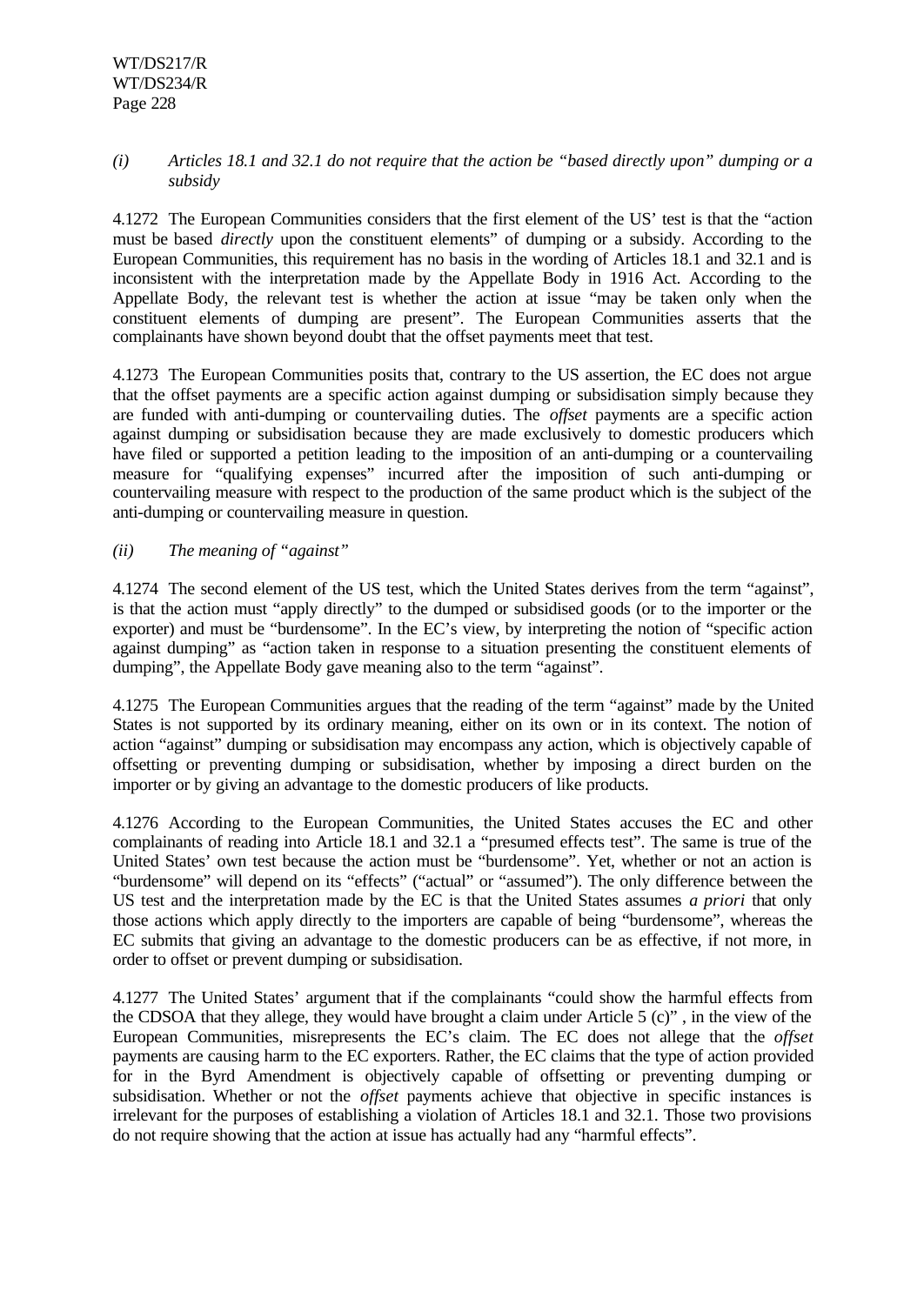### *(i) Articles 18.1 and 32.1 do not require that the action be "based directly upon" dumping or a subsidy*

4.1272 The European Communities considers that the first element of the US' test is that the "action must be based *directly* upon the constituent elements" of dumping or a subsidy. According to the European Communities, this requirement has no basis in the wording of Articles 18.1 and 32.1 and is inconsistent with the interpretation made by the Appellate Body in 1916 Act. According to the Appellate Body, the relevant test is whether the action at issue "may be taken only when the constituent elements of dumping are present". The European Communities asserts that the complainants have shown beyond doubt that the offset payments meet that test.

4.1273 The European Communities posits that, contrary to the US assertion, the EC does not argue that the offset payments are a specific action against dumping or subsidisation simply because they are funded with anti-dumping or countervailing duties. The *offset* payments are a specific action against dumping or subsidisation because they are made exclusively to domestic producers which have filed or supported a petition leading to the imposition of an anti-dumping or a countervailing measure for "qualifying expenses" incurred after the imposition of such anti-dumping or countervailing measure with respect to the production of the same product which is the subject of the anti-dumping or countervailing measure in question.

### *(ii) The meaning of "against"*

4.1274 The second element of the US test, which the United States derives from the term "against", is that the action must "apply directly" to the dumped or subsidised goods (or to the importer or the exporter) and must be "burdensome". In the EC's view, by interpreting the notion of "specific action against dumping" as "action taken in response to a situation presenting the constituent elements of dumping", the Appellate Body gave meaning also to the term "against".

4.1275 The European Communities argues that the reading of the term "against" made by the United States is not supported by its ordinary meaning, either on its own or in its context. The notion of action "against" dumping or subsidisation may encompass any action, which is objectively capable of offsetting or preventing dumping or subsidisation, whether by imposing a direct burden on the importer or by giving an advantage to the domestic producers of like products.

4.1276 According to the European Communities, the United States accuses the EC and other complainants of reading into Article 18.1 and 32.1 a "presumed effects test". The same is true of the United States' own test because the action must be "burdensome". Yet, whether or not an action is "burdensome" will depend on its "effects" ("actual" or "assumed"). The only difference between the US test and the interpretation made by the EC is that the United States assumes *a priori* that only those actions which apply directly to the importers are capable of being "burdensome", whereas the EC submits that giving an advantage to the domestic producers can be as effective, if not more, in order to offset or prevent dumping or subsidisation.

4.1277 The United States' argument that if the complainants "could show the harmful effects from the CDSOA that they allege, they would have brought a claim under Article 5 (c)" , in the view of the European Communities, misrepresents the EC's claim. The EC does not allege that the *offset* payments are causing harm to the EC exporters. Rather, the EC claims that the type of action provided for in the Byrd Amendment is objectively capable of offsetting or preventing dumping or subsidisation. Whether or not the *offset* payments achieve that objective in specific instances is irrelevant for the purposes of establishing a violation of Articles 18.1 and 32.1. Those two provisions do not require showing that the action at issue has actually had any "harmful effects".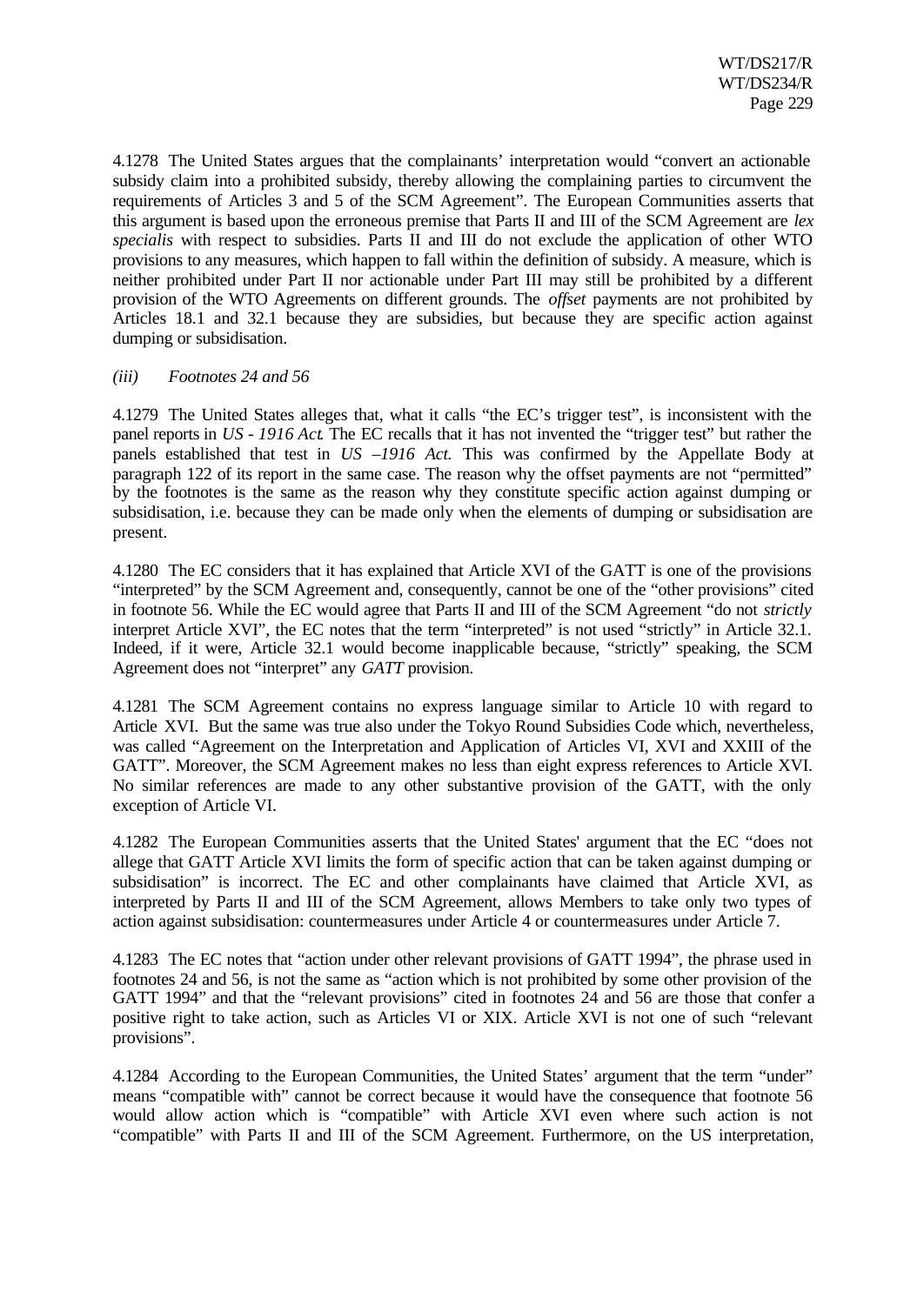4.1278 The United States argues that the complainants' interpretation would "convert an actionable subsidy claim into a prohibited subsidy, thereby allowing the complaining parties to circumvent the requirements of Articles 3 and 5 of the SCM Agreement". The European Communities asserts that this argument is based upon the erroneous premise that Parts II and III of the SCM Agreement are *lex specialis* with respect to subsidies. Parts II and III do not exclude the application of other WTO provisions to any measures, which happen to fall within the definition of subsidy. A measure, which is neither prohibited under Part II nor actionable under Part III may still be prohibited by a different provision of the WTO Agreements on different grounds. The *offset* payments are not prohibited by Articles 18.1 and 32.1 because they are subsidies, but because they are specific action against dumping or subsidisation.

### *(iii) Footnotes 24 and 56*

4.1279 The United States alleges that, what it calls "the EC's trigger test", is inconsistent with the panel reports in *US - 1916 Act*. The EC recalls that it has not invented the "trigger test" but rather the panels established that test in *US –1916 Act.* This was confirmed by the Appellate Body at paragraph 122 of its report in the same case. The reason why the offset payments are not "permitted" by the footnotes is the same as the reason why they constitute specific action against dumping or subsidisation, i.e. because they can be made only when the elements of dumping or subsidisation are present.

4.1280 The EC considers that it has explained that Article XVI of the GATT is one of the provisions "interpreted" by the SCM Agreement and, consequently, cannot be one of the "other provisions" cited in footnote 56. While the EC would agree that Parts II and III of the SCM Agreement "do not *strictly* interpret Article XVI", the EC notes that the term "interpreted" is not used "strictly" in Article 32.1. Indeed, if it were, Article 32.1 would become inapplicable because, "strictly" speaking, the SCM Agreement does not "interpret" any *GATT* provision.

4.1281 The SCM Agreement contains no express language similar to Article 10 with regard to Article XVI. But the same was true also under the Tokyo Round Subsidies Code which, nevertheless, was called "Agreement on the Interpretation and Application of Articles VI, XVI and XXIII of the GATT". Moreover, the SCM Agreement makes no less than eight express references to Article XVI. No similar references are made to any other substantive provision of the GATT, with the only exception of Article VI.

4.1282 The European Communities asserts that the United States' argument that the EC "does not allege that GATT Article XVI limits the form of specific action that can be taken against dumping or subsidisation" is incorrect. The EC and other complainants have claimed that Article XVI, as interpreted by Parts II and III of the SCM Agreement, allows Members to take only two types of action against subsidisation: countermeasures under Article 4 or countermeasures under Article 7.

4.1283 The EC notes that "action under other relevant provisions of GATT 1994", the phrase used in footnotes 24 and 56, is not the same as "action which is not prohibited by some other provision of the GATT 1994" and that the "relevant provisions" cited in footnotes 24 and 56 are those that confer a positive right to take action, such as Articles VI or XIX. Article XVI is not one of such "relevant provisions".

4.1284 According to the European Communities, the United States' argument that the term "under" means "compatible with" cannot be correct because it would have the consequence that footnote 56 would allow action which is "compatible" with Article XVI even where such action is not "compatible" with Parts II and III of the SCM Agreement. Furthermore, on the US interpretation,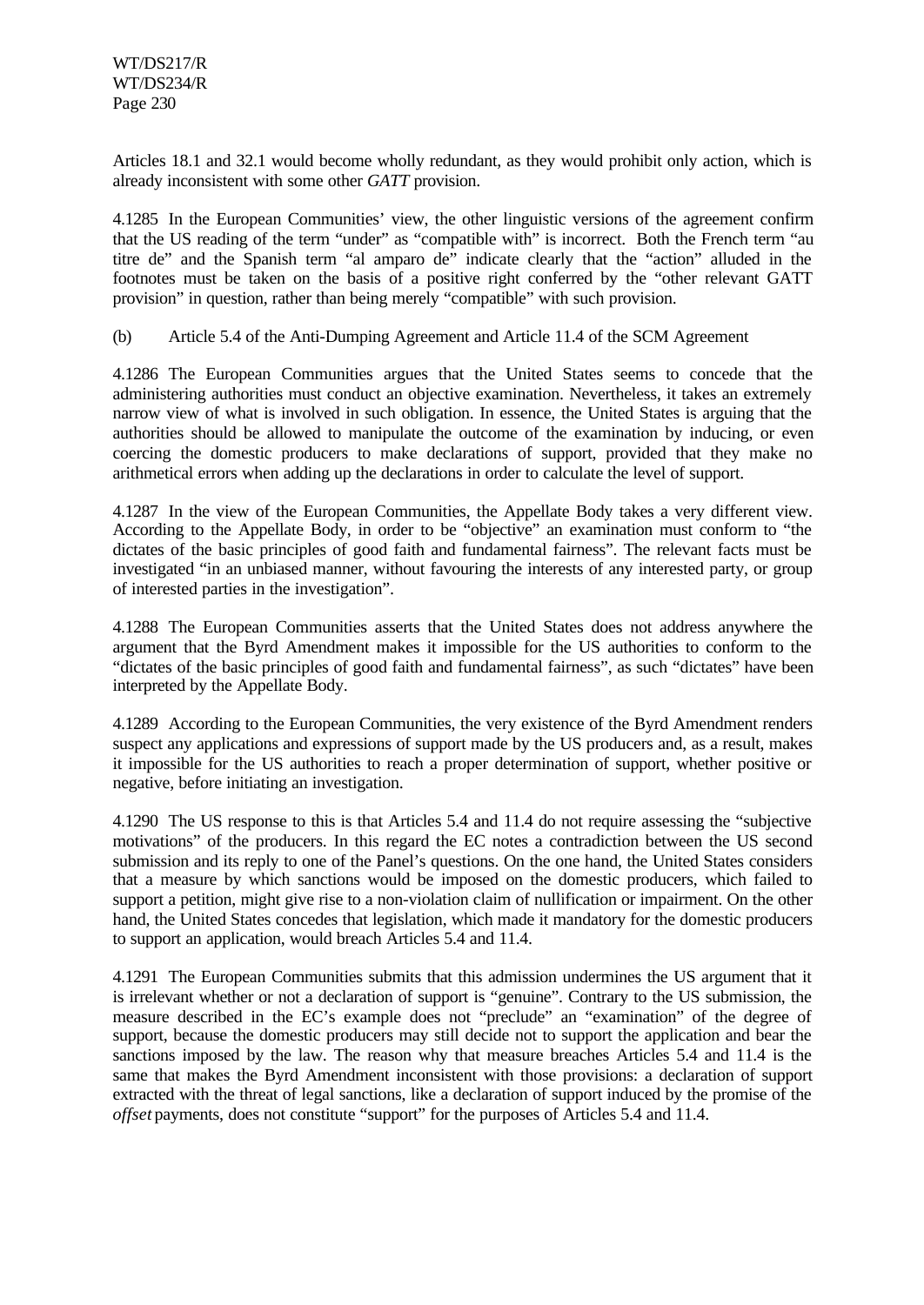Articles 18.1 and 32.1 would become wholly redundant, as they would prohibit only action, which is already inconsistent with some other *GATT* provision.

4.1285 In the European Communities' view, the other linguistic versions of the agreement confirm that the US reading of the term "under" as "compatible with" is incorrect. Both the French term "au titre de" and the Spanish term "al amparo de" indicate clearly that the "action" alluded in the footnotes must be taken on the basis of a positive right conferred by the "other relevant GATT provision" in question, rather than being merely "compatible" with such provision.

(b) Article 5.4 of the Anti-Dumping Agreement and Article 11.4 of the SCM Agreement

4.1286 The European Communities argues that the United States seems to concede that the administering authorities must conduct an objective examination. Nevertheless, it takes an extremely narrow view of what is involved in such obligation. In essence, the United States is arguing that the authorities should be allowed to manipulate the outcome of the examination by inducing, or even coercing the domestic producers to make declarations of support, provided that they make no arithmetical errors when adding up the declarations in order to calculate the level of support.

4.1287 In the view of the European Communities, the Appellate Body takes a very different view. According to the Appellate Body, in order to be "objective" an examination must conform to "the dictates of the basic principles of good faith and fundamental fairness". The relevant facts must be investigated "in an unbiased manner, without favouring the interests of any interested party, or group of interested parties in the investigation".

4.1288 The European Communities asserts that the United States does not address anywhere the argument that the Byrd Amendment makes it impossible for the US authorities to conform to the "dictates of the basic principles of good faith and fundamental fairness", as such "dictates" have been interpreted by the Appellate Body.

4.1289 According to the European Communities, the very existence of the Byrd Amendment renders suspect any applications and expressions of support made by the US producers and, as a result, makes it impossible for the US authorities to reach a proper determination of support, whether positive or negative, before initiating an investigation.

4.1290 The US response to this is that Articles 5.4 and 11.4 do not require assessing the "subjective motivations" of the producers. In this regard the EC notes a contradiction between the US second submission and its reply to one of the Panel's questions. On the one hand, the United States considers that a measure by which sanctions would be imposed on the domestic producers, which failed to support a petition, might give rise to a non-violation claim of nullification or impairment. On the other hand, the United States concedes that legislation, which made it mandatory for the domestic producers to support an application, would breach Articles 5.4 and 11.4.

4.1291 The European Communities submits that this admission undermines the US argument that it is irrelevant whether or not a declaration of support is "genuine". Contrary to the US submission, the measure described in the EC's example does not "preclude" an "examination" of the degree of support, because the domestic producers may still decide not to support the application and bear the sanctions imposed by the law. The reason why that measure breaches Articles 5.4 and 11.4 is the same that makes the Byrd Amendment inconsistent with those provisions: a declaration of support extracted with the threat of legal sanctions, like a declaration of support induced by the promise of the *offset* payments, does not constitute "support" for the purposes of Articles 5.4 and 11.4.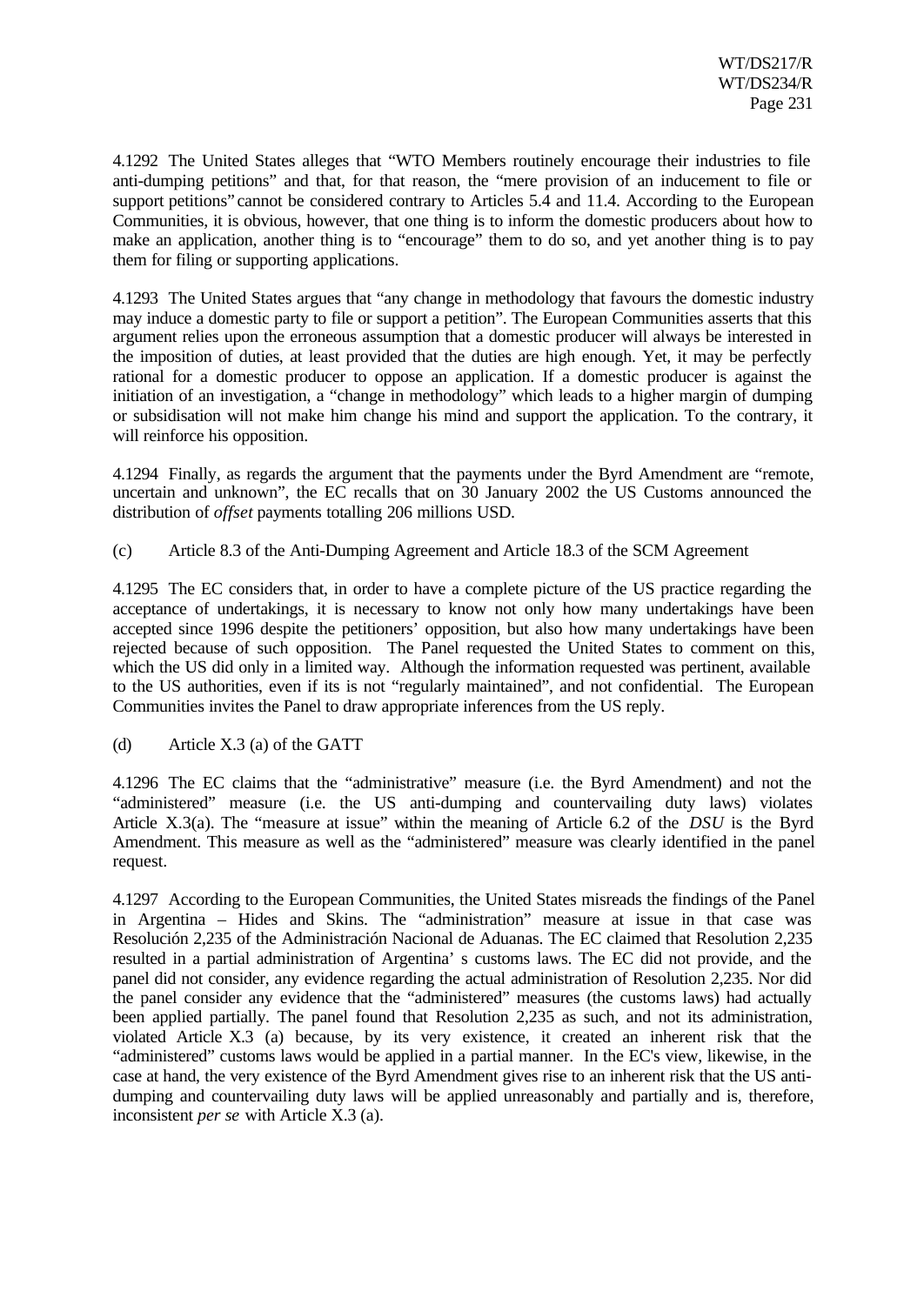4.1292 The United States alleges that "WTO Members routinely encourage their industries to file anti-dumping petitions" and that, for that reason, the "mere provision of an inducement to file or support petitions" cannot be considered contrary to Articles 5.4 and 11.4. According to the European Communities, it is obvious, however, that one thing is to inform the domestic producers about how to make an application, another thing is to "encourage" them to do so, and yet another thing is to pay them for filing or supporting applications.

4.1293 The United States argues that "any change in methodology that favours the domestic industry may induce a domestic party to file or support a petition". The European Communities asserts that this argument relies upon the erroneous assumption that a domestic producer will always be interested in the imposition of duties, at least provided that the duties are high enough. Yet, it may be perfectly rational for a domestic producer to oppose an application. If a domestic producer is against the initiation of an investigation, a "change in methodology" which leads to a higher margin of dumping or subsidisation will not make him change his mind and support the application. To the contrary, it will reinforce his opposition.

4.1294 Finally, as regards the argument that the payments under the Byrd Amendment are "remote, uncertain and unknown", the EC recalls that on 30 January 2002 the US Customs announced the distribution of *offset* payments totalling 206 millions USD.

(c) Article 8.3 of the Anti-Dumping Agreement and Article 18.3 of the SCM Agreement

4.1295 The EC considers that, in order to have a complete picture of the US practice regarding the acceptance of undertakings, it is necessary to know not only how many undertakings have been accepted since 1996 despite the petitioners' opposition, but also how many undertakings have been rejected because of such opposition. The Panel requested the United States to comment on this, which the US did only in a limited way. Although the information requested was pertinent, available to the US authorities, even if its is not "regularly maintained", and not confidential. The European Communities invites the Panel to draw appropriate inferences from the US reply.

(d) Article X.3 (a) of the GATT

4.1296 The EC claims that the "administrative" measure (i.e. the Byrd Amendment) and not the "administered" measure (i.e. the US anti-dumping and countervailing duty laws) violates Article X.3(a). The "measure at issue" within the meaning of Article 6.2 of the *DSU* is the Byrd Amendment. This measure as well as the "administered" measure was clearly identified in the panel request.

4.1297 According to the European Communities, the United States misreads the findings of the Panel in Argentina – Hides and Skins. The "administration" measure at issue in that case was Resolución 2,235 of the Administración Nacional de Aduanas. The EC claimed that Resolution 2,235 resulted in a partial administration of Argentina' s customs laws. The EC did not provide, and the panel did not consider, any evidence regarding the actual administration of Resolution 2,235. Nor did the panel consider any evidence that the "administered" measures (the customs laws) had actually been applied partially. The panel found that Resolution 2,235 as such, and not its administration, violated Article X.3 (a) because, by its very existence, it created an inherent risk that the "administered" customs laws would be applied in a partial manner. In the EC's view, likewise, in the case at hand, the very existence of the Byrd Amendment gives rise to an inherent risk that the US antidumping and countervailing duty laws will be applied unreasonably and partially and is, therefore, inconsistent *per se* with Article X.3 (a).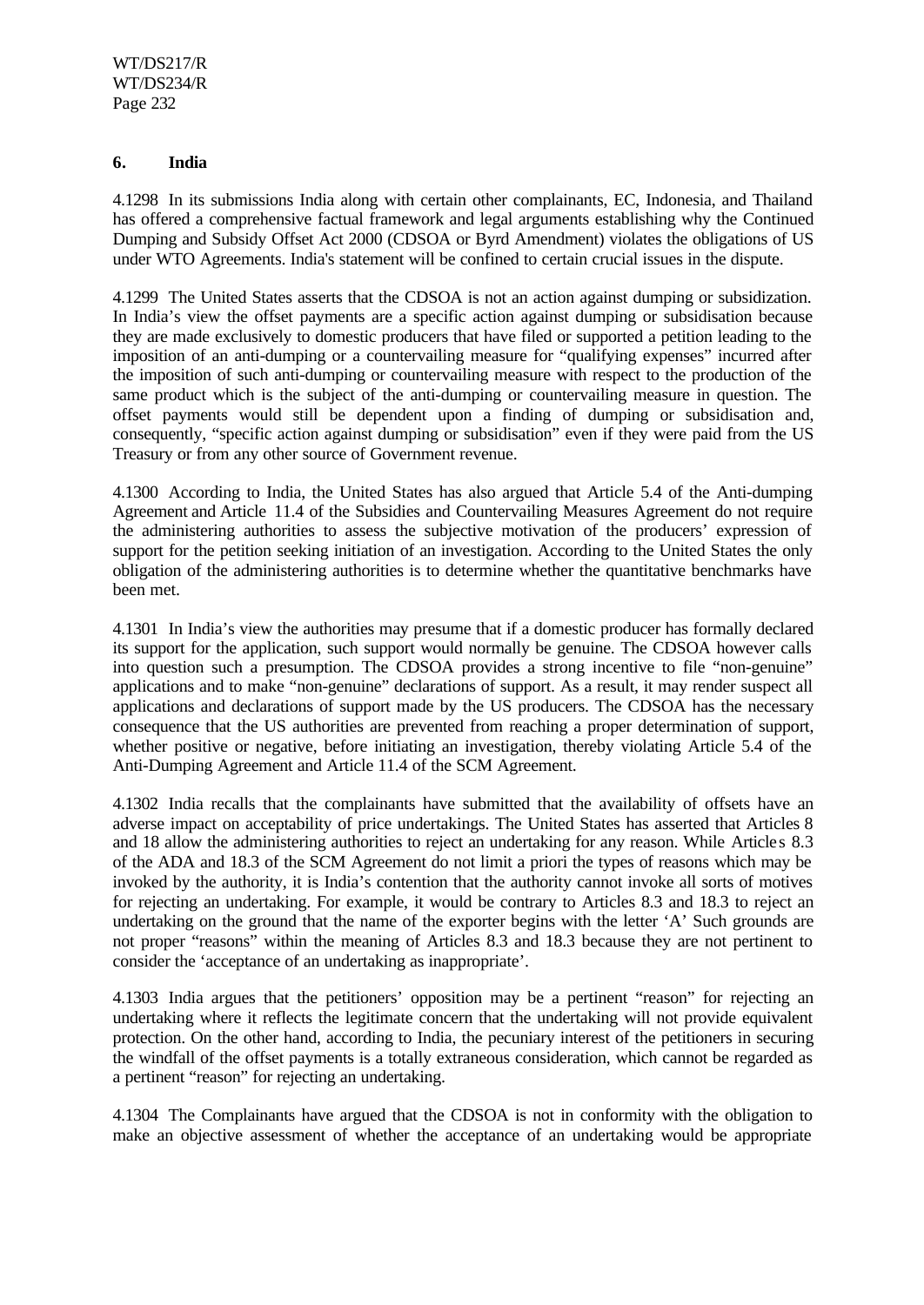# **6. India**

4.1298 In its submissions India along with certain other complainants, EC, Indonesia, and Thailand has offered a comprehensive factual framework and legal arguments establishing why the Continued Dumping and Subsidy Offset Act 2000 (CDSOA or Byrd Amendment) violates the obligations of US under WTO Agreements. India's statement will be confined to certain crucial issues in the dispute.

4.1299 The United States asserts that the CDSOA is not an action against dumping or subsidization. In India's view the offset payments are a specific action against dumping or subsidisation because they are made exclusively to domestic producers that have filed or supported a petition leading to the imposition of an anti-dumping or a countervailing measure for "qualifying expenses" incurred after the imposition of such anti-dumping or countervailing measure with respect to the production of the same product which is the subject of the anti-dumping or countervailing measure in question. The offset payments would still be dependent upon a finding of dumping or subsidisation and, consequently, "specific action against dumping or subsidisation" even if they were paid from the US Treasury or from any other source of Government revenue.

4.1300 According to India, the United States has also argued that Article 5.4 of the Anti-dumping Agreement and Article 11.4 of the Subsidies and Countervailing Measures Agreement do not require the administering authorities to assess the subjective motivation of the producers' expression of support for the petition seeking initiation of an investigation. According to the United States the only obligation of the administering authorities is to determine whether the quantitative benchmarks have been met.

4.1301 In India's view the authorities may presume that if a domestic producer has formally declared its support for the application, such support would normally be genuine. The CDSOA however calls into question such a presumption. The CDSOA provides a strong incentive to file "non-genuine" applications and to make "non-genuine" declarations of support. As a result, it may render suspect all applications and declarations of support made by the US producers. The CDSOA has the necessary consequence that the US authorities are prevented from reaching a proper determination of support, whether positive or negative, before initiating an investigation, thereby violating Article 5.4 of the Anti-Dumping Agreement and Article 11.4 of the SCM Agreement.

4.1302 India recalls that the complainants have submitted that the availability of offsets have an adverse impact on acceptability of price undertakings. The United States has asserted that Articles 8 and 18 allow the administering authorities to reject an undertaking for any reason. While Articles 8.3 of the ADA and 18.3 of the SCM Agreement do not limit a priori the types of reasons which may be invoked by the authority, it is India's contention that the authority cannot invoke all sorts of motives for rejecting an undertaking. For example, it would be contrary to Articles 8.3 and 18.3 to reject an undertaking on the ground that the name of the exporter begins with the letter 'A' Such grounds are not proper "reasons" within the meaning of Articles 8.3 and 18.3 because they are not pertinent to consider the 'acceptance of an undertaking as inappropriate'.

4.1303 India argues that the petitioners' opposition may be a pertinent "reason" for rejecting an undertaking where it reflects the legitimate concern that the undertaking will not provide equivalent protection. On the other hand, according to India, the pecuniary interest of the petitioners in securing the windfall of the offset payments is a totally extraneous consideration, which cannot be regarded as a pertinent "reason" for rejecting an undertaking.

4.1304 The Complainants have argued that the CDSOA is not in conformity with the obligation to make an objective assessment of whether the acceptance of an undertaking would be appropriate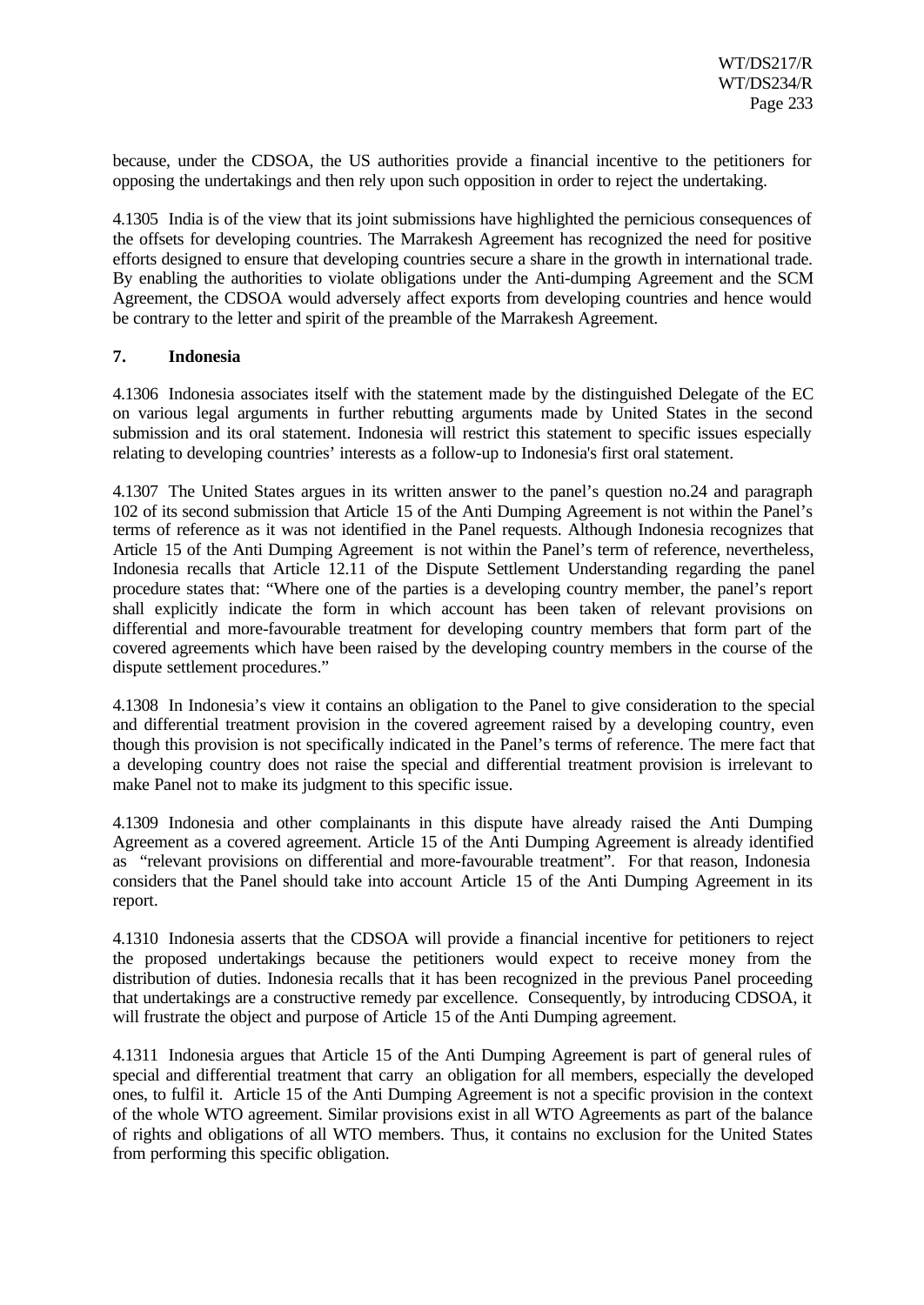because, under the CDSOA, the US authorities provide a financial incentive to the petitioners for opposing the undertakings and then rely upon such opposition in order to reject the undertaking.

4.1305 India is of the view that its joint submissions have highlighted the pernicious consequences of the offsets for developing countries. The Marrakesh Agreement has recognized the need for positive efforts designed to ensure that developing countries secure a share in the growth in international trade. By enabling the authorities to violate obligations under the Anti-dumping Agreement and the SCM Agreement, the CDSOA would adversely affect exports from developing countries and hence would be contrary to the letter and spirit of the preamble of the Marrakesh Agreement.

# **7. Indonesia**

4.1306 Indonesia associates itself with the statement made by the distinguished Delegate of the EC on various legal arguments in further rebutting arguments made by United States in the second submission and its oral statement. Indonesia will restrict this statement to specific issues especially relating to developing countries' interests as a follow-up to Indonesia's first oral statement.

4.1307 The United States argues in its written answer to the panel's question no.24 and paragraph 102 of its second submission that Article 15 of the Anti Dumping Agreement is not within the Panel's terms of reference as it was not identified in the Panel requests. Although Indonesia recognizes that Article 15 of the Anti Dumping Agreement is not within the Panel's term of reference, nevertheless, Indonesia recalls that Article 12.11 of the Dispute Settlement Understanding regarding the panel procedure states that: "Where one of the parties is a developing country member, the panel's report shall explicitly indicate the form in which account has been taken of relevant provisions on differential and more-favourable treatment for developing country members that form part of the covered agreements which have been raised by the developing country members in the course of the dispute settlement procedures."

4.1308 In Indonesia's view it contains an obligation to the Panel to give consideration to the special and differential treatment provision in the covered agreement raised by a developing country, even though this provision is not specifically indicated in the Panel's terms of reference. The mere fact that a developing country does not raise the special and differential treatment provision is irrelevant to make Panel not to make its judgment to this specific issue.

4.1309 Indonesia and other complainants in this dispute have already raised the Anti Dumping Agreement as a covered agreement. Article 15 of the Anti Dumping Agreement is already identified as "relevant provisions on differential and more-favourable treatment". For that reason, Indonesia considers that the Panel should take into account Article 15 of the Anti Dumping Agreement in its report.

4.1310 Indonesia asserts that the CDSOA will provide a financial incentive for petitioners to reject the proposed undertakings because the petitioners would expect to receive money from the distribution of duties. Indonesia recalls that it has been recognized in the previous Panel proceeding that undertakings are a constructive remedy par excellence. Consequently, by introducing CDSOA, it will frustrate the object and purpose of Article 15 of the Anti Dumping agreement.

4.1311 Indonesia argues that Article 15 of the Anti Dumping Agreement is part of general rules of special and differential treatment that carry an obligation for all members, especially the developed ones, to fulfil it. Article 15 of the Anti Dumping Agreement is not a specific provision in the context of the whole WTO agreement. Similar provisions exist in all WTO Agreements as part of the balance of rights and obligations of all WTO members. Thus, it contains no exclusion for the United States from performing this specific obligation.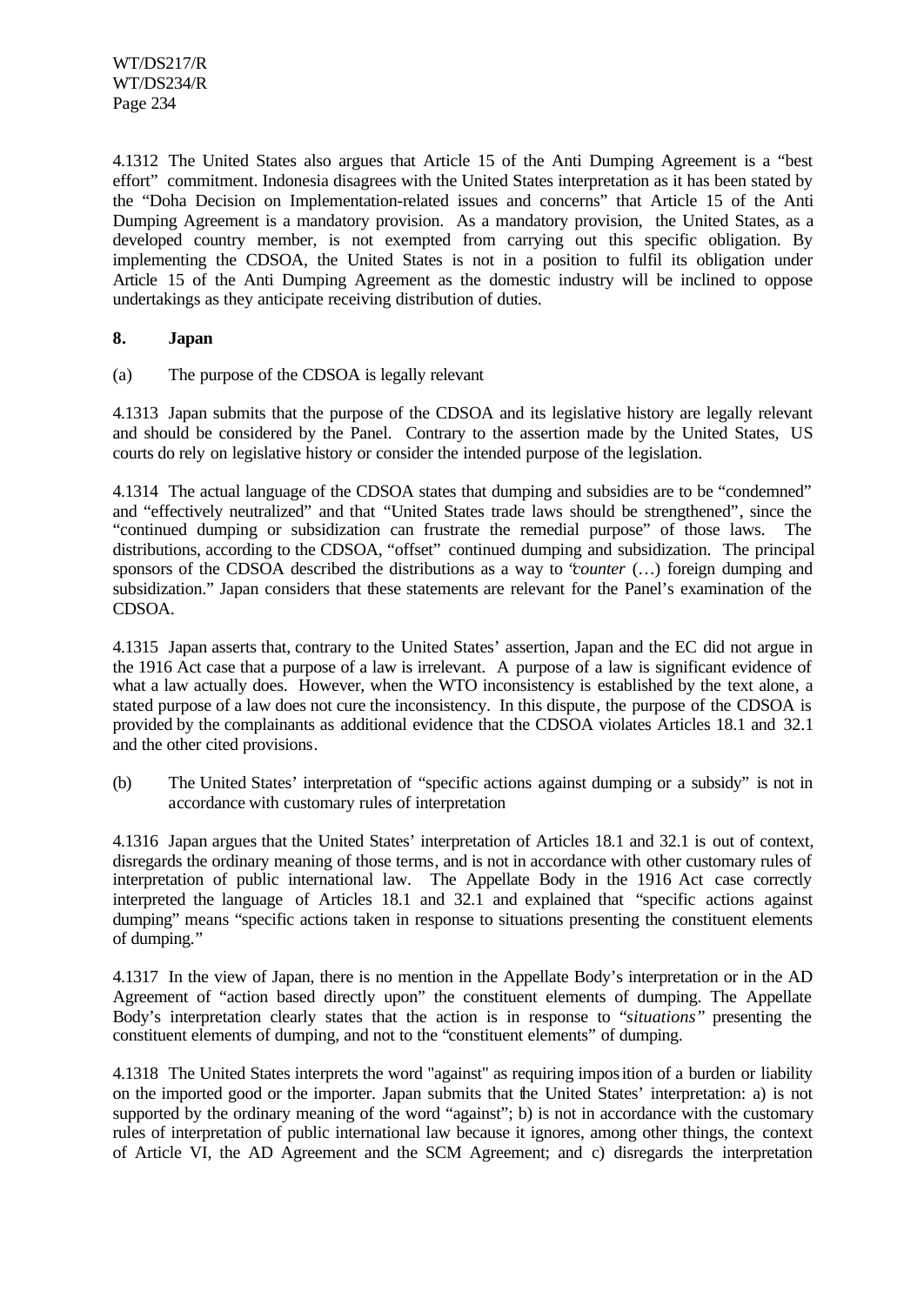4.1312 The United States also argues that Article 15 of the Anti Dumping Agreement is a "best effort" commitment. Indonesia disagrees with the United States interpretation as it has been stated by the "Doha Decision on Implementation-related issues and concerns" that Article 15 of the Anti Dumping Agreement is a mandatory provision. As a mandatory provision, the United States, as a developed country member, is not exempted from carrying out this specific obligation. By implementing the CDSOA, the United States is not in a position to fulfil its obligation under Article 15 of the Anti Dumping Agreement as the domestic industry will be inclined to oppose undertakings as they anticipate receiving distribution of duties.

## **8. Japan**

(a) The purpose of the CDSOA is legally relevant

4.1313 Japan submits that the purpose of the CDSOA and its legislative history are legally relevant and should be considered by the Panel. Contrary to the assertion made by the United States, US courts do rely on legislative history or consider the intended purpose of the legislation.

4.1314 The actual language of the CDSOA states that dumping and subsidies are to be "condemned" and "effectively neutralized" and that "United States trade laws should be strengthened", since the "continued dumping or subsidization can frustrate the remedial purpose" of those laws. The distributions, according to the CDSOA, "offset" continued dumping and subsidization. The principal sponsors of the CDSOA described the distributions as a way to "*counter* (…) foreign dumping and subsidization." Japan considers that these statements are relevant for the Panel's examination of the CDSOA.

4.1315 Japan asserts that, contrary to the United States' assertion, Japan and the EC did not argue in the 1916 Act case that a purpose of a law is irrelevant. A purpose of a law is significant evidence of what a law actually does. However, when the WTO inconsistency is established by the text alone, a stated purpose of a law does not cure the inconsistency. In this dispute, the purpose of the CDSOA is provided by the complainants as additional evidence that the CDSOA violates Articles 18.1 and 32.1 and the other cited provisions.

(b) The United States' interpretation of "specific actions against dumping or a subsidy" is not in accordance with customary rules of interpretation

4.1316 Japan argues that the United States' interpretation of Articles 18.1 and 32.1 is out of context, disregards the ordinary meaning of those terms, and is not in accordance with other customary rules of interpretation of public international law. The Appellate Body in the 1916 Act case correctly interpreted the language of Articles 18.1 and 32.1 and explained that "specific actions against dumping" means "specific actions taken in response to situations presenting the constituent elements of dumping."

4.1317 In the view of Japan, there is no mention in the Appellate Body's interpretation or in the AD Agreement of "action based directly upon" the constituent elements of dumping. The Appellate Body's interpretation clearly states that the action is in response to "*situations"* presenting the constituent elements of dumping, and not to the "constituent elements" of dumping.

4.1318 The United States interprets the word "against" as requiring imposition of a burden or liability on the imported good or the importer. Japan submits that the United States' interpretation: a) is not supported by the ordinary meaning of the word "against"; b) is not in accordance with the customary rules of interpretation of public international law because it ignores, among other things, the context of Article VI, the AD Agreement and the SCM Agreement; and c) disregards the interpretation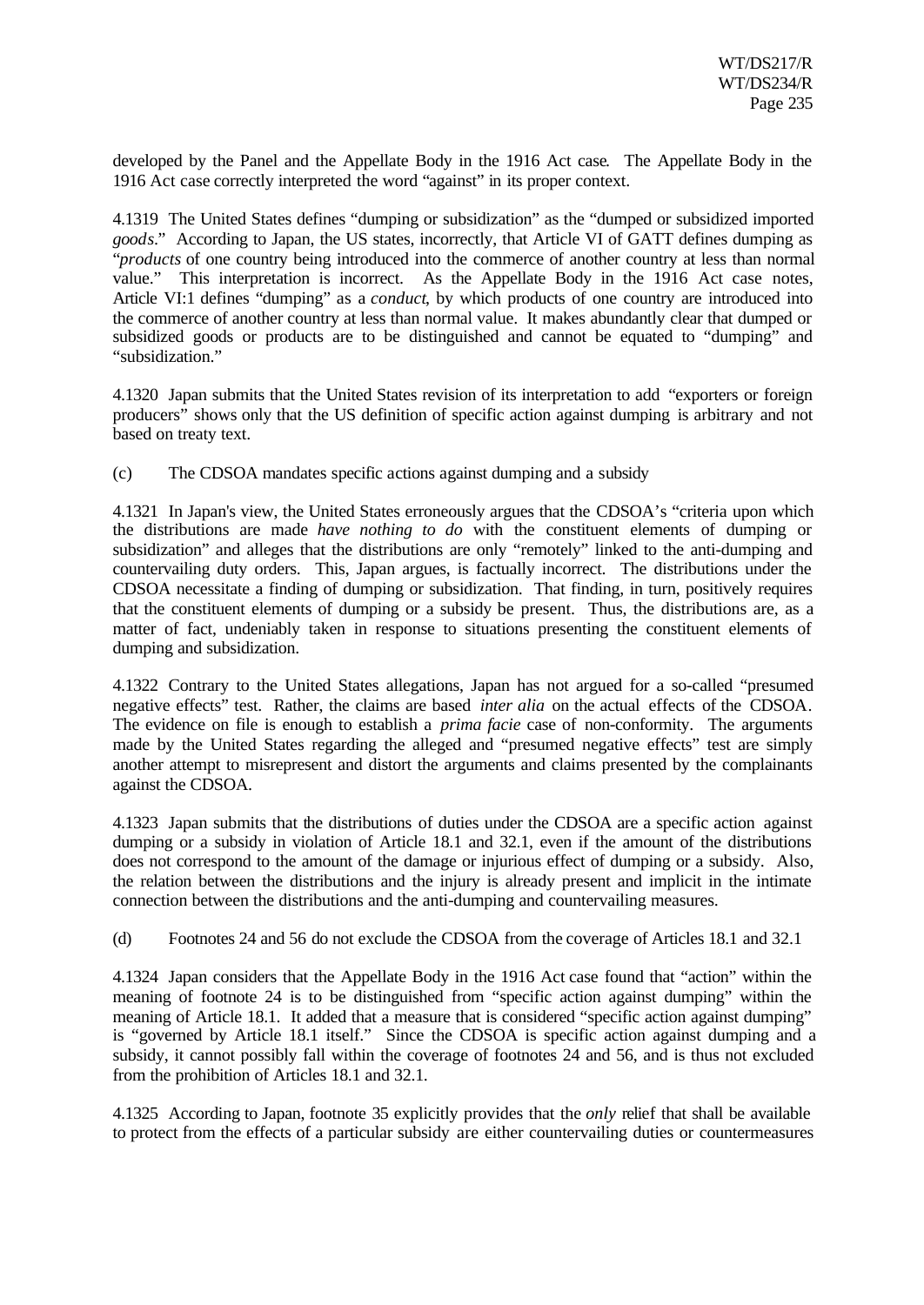developed by the Panel and the Appellate Body in the 1916 Act case. The Appellate Body in the 1916 Act case correctly interpreted the word "against" in its proper context.

4.1319 The United States defines "dumping or subsidization" as the "dumped or subsidized imported *goods.*" According to Japan, the US states, incorrectly, that Article VI of GATT defines dumping as "*products* of one country being introduced into the commerce of another country at less than normal value." This interpretation is incorrect. As the Appellate Body in the 1916 Act case notes, Article VI:1 defines "dumping" as a *conduct*, by which products of one country are introduced into the commerce of another country at less than normal value. It makes abundantly clear that dumped or subsidized goods or products are to be distinguished and cannot be equated to "dumping" and "subsidization."

4.1320 Japan submits that the United States revision of its interpretation to add "exporters or foreign producers" shows only that the US definition of specific action against dumping is arbitrary and not based on treaty text.

(c) The CDSOA mandates specific actions against dumping and a subsidy

4.1321 In Japan's view, the United States erroneously argues that the CDSOA's "criteria upon which the distributions are made *have nothing to do* with the constituent elements of dumping or subsidization" and alleges that the distributions are only "remotely" linked to the anti-dumping and countervailing duty orders. This, Japan argues, is factually incorrect. The distributions under the CDSOA necessitate a finding of dumping or subsidization. That finding, in turn, positively requires that the constituent elements of dumping or a subsidy be present. Thus, the distributions are, as a matter of fact, undeniably taken in response to situations presenting the constituent elements of dumping and subsidization.

4.1322 Contrary to the United States allegations, Japan has not argued for a so-called "presumed negative effects" test. Rather, the claims are based *inter alia* on the actual effects of the CDSOA. The evidence on file is enough to establish a *prima facie* case of non-conformity. The arguments made by the United States regarding the alleged and "presumed negative effects" test are simply another attempt to misrepresent and distort the arguments and claims presented by the complainants against the CDSOA.

4.1323 Japan submits that the distributions of duties under the CDSOA are a specific action against dumping or a subsidy in violation of Article 18.1 and 32.1, even if the amount of the distributions does not correspond to the amount of the damage or injurious effect of dumping or a subsidy. Also, the relation between the distributions and the injury is already present and implicit in the intimate connection between the distributions and the anti-dumping and countervailing measures.

(d) Footnotes 24 and 56 do not exclude the CDSOA from the coverage of Articles 18.1 and 32.1

4.1324 Japan considers that the Appellate Body in the 1916 Act case found that "action" within the meaning of footnote 24 is to be distinguished from "specific action against dumping" within the meaning of Article 18.1. It added that a measure that is considered "specific action against dumping" is "governed by Article 18.1 itself." Since the CDSOA is specific action against dumping and a subsidy, it cannot possibly fall within the coverage of footnotes 24 and 56, and is thus not excluded from the prohibition of Articles 18.1 and 32.1.

4.1325 According to Japan, footnote 35 explicitly provides that the *only* relief that shall be available to protect from the effects of a particular subsidy are either countervailing duties or countermeasures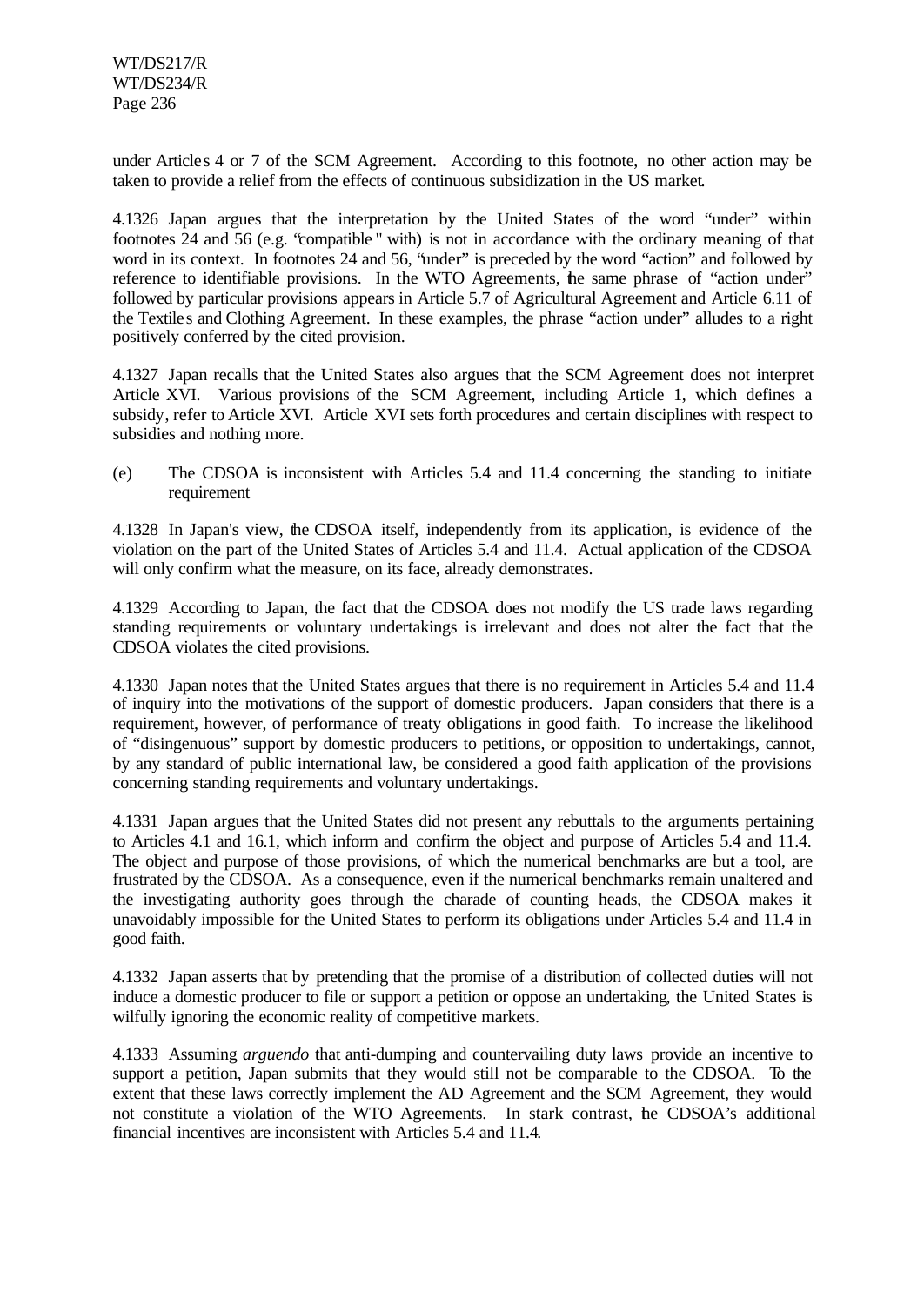under Articles 4 or 7 of the SCM Agreement. According to this footnote, no other action may be taken to provide a relief from the effects of continuous subsidization in the US market.

4.1326 Japan argues that the interpretation by the United States of the word "under" within footnotes 24 and 56 (e.g. "compatible " with) is not in accordance with the ordinary meaning of that word in its context. In footnotes 24 and 56, "under" is preceded by the word "action" and followed by reference to identifiable provisions. In the WTO Agreements, he same phrase of "action under" followed by particular provisions appears in Article 5.7 of Agricultural Agreement and Article 6.11 of the Textiles and Clothing Agreement. In these examples, the phrase "action under" alludes to a right positively conferred by the cited provision.

4.1327 Japan recalls that the United States also argues that the SCM Agreement does not interpret Article XVI. Various provisions of the SCM Agreement, including Article 1, which defines a subsidy, refer to Article XVI. Article XVI sets forth procedures and certain disciplines with respect to subsidies and nothing more.

(e) The CDSOA is inconsistent with Articles 5.4 and 11.4 concerning the standing to initiate requirement

4.1328 In Japan's view, the CDSOA itself, independently from its application, is evidence of the violation on the part of the United States of Articles 5.4 and 11.4. Actual application of the CDSOA will only confirm what the measure, on its face, already demonstrates.

4.1329 According to Japan, the fact that the CDSOA does not modify the US trade laws regarding standing requirements or voluntary undertakings is irrelevant and does not alter the fact that the CDSOA violates the cited provisions.

4.1330 Japan notes that the United States argues that there is no requirement in Articles 5.4 and 11.4 of inquiry into the motivations of the support of domestic producers. Japan considers that there is a requirement, however, of performance of treaty obligations in good faith. To increase the likelihood of "disingenuous" support by domestic producers to petitions, or opposition to undertakings, cannot, by any standard of public international law, be considered a good faith application of the provisions concerning standing requirements and voluntary undertakings.

4.1331 Japan argues that the United States did not present any rebuttals to the arguments pertaining to Articles 4.1 and 16.1, which inform and confirm the object and purpose of Articles 5.4 and 11.4. The object and purpose of those provisions, of which the numerical benchmarks are but a tool, are frustrated by the CDSOA. As a consequence, even if the numerical benchmarks remain unaltered and the investigating authority goes through the charade of counting heads, the CDSOA makes it unavoidably impossible for the United States to perform its obligations under Articles 5.4 and 11.4 in good faith.

4.1332 Japan asserts that by pretending that the promise of a distribution of collected duties will not induce a domestic producer to file or support a petition or oppose an undertaking, the United States is wilfully ignoring the economic reality of competitive markets.

4.1333 Assuming *arguendo* that anti-dumping and countervailing duty laws provide an incentive to support a petition, Japan submits that they would still not be comparable to the CDSOA. To the extent that these laws correctly implement the AD Agreement and the SCM Agreement, they would not constitute a violation of the WTO Agreements. In stark contrast, the CDSOA's additional financial incentives are inconsistent with Articles 5.4 and 11.4.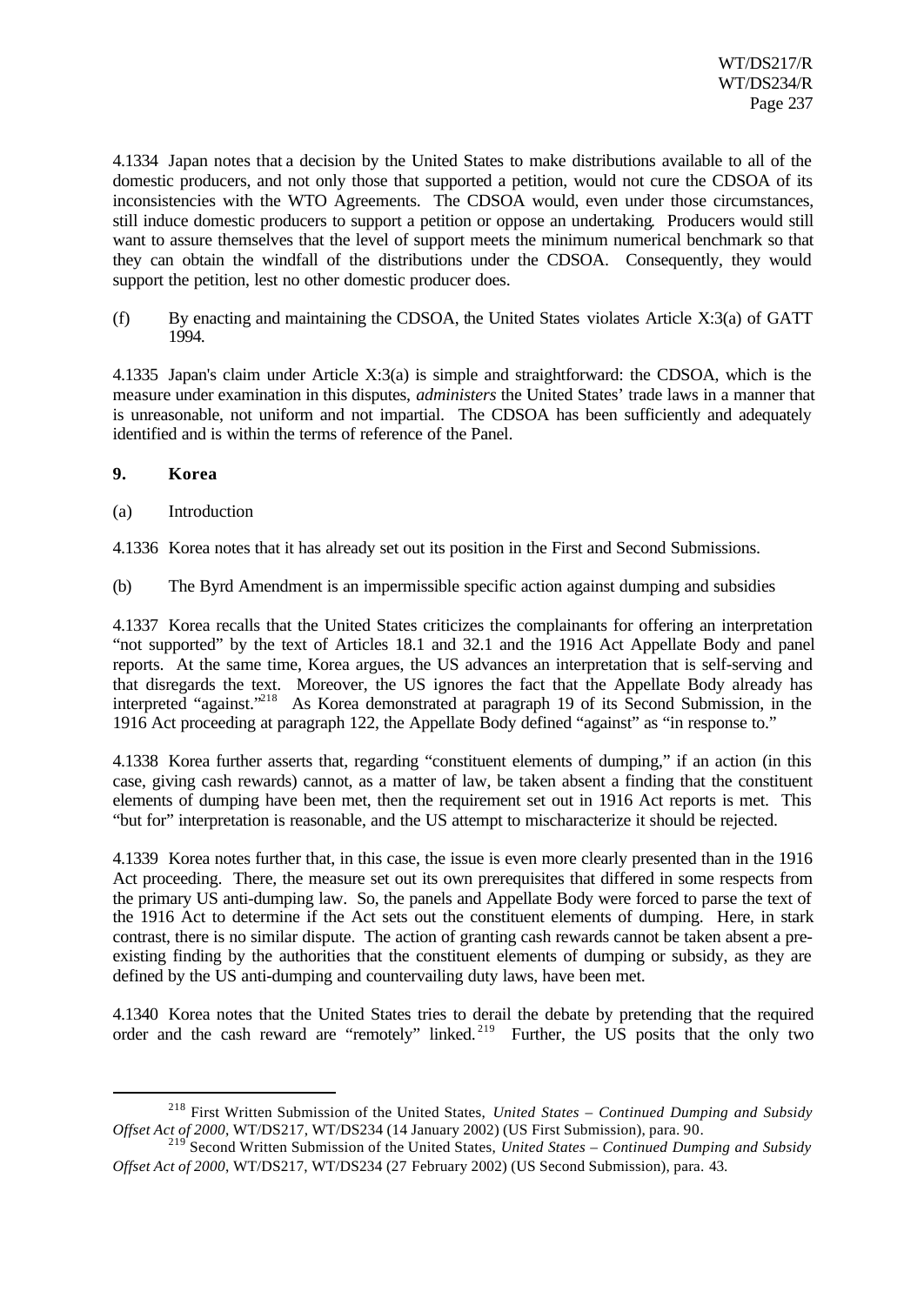4.1334 Japan notes that a decision by the United States to make distributions available to all of the domestic producers, and not only those that supported a petition, would not cure the CDSOA of its inconsistencies with the WTO Agreements. The CDSOA would, even under those circumstances, still induce domestic producers to support a petition or oppose an undertaking. Producers would still want to assure themselves that the level of support meets the minimum numerical benchmark so that they can obtain the windfall of the distributions under the CDSOA. Consequently, they would support the petition, lest no other domestic producer does.

(f) By enacting and maintaining the CDSOA, the United States violates Article X:3(a) of GATT 1994.

4.1335 Japan's claim under Article X:3(a) is simple and straightforward: the CDSOA, which is the measure under examination in this disputes, *administers* the United States' trade laws in a manner that is unreasonable, not uniform and not impartial. The CDSOA has been sufficiently and adequately identified and is within the terms of reference of the Panel.

# **9. Korea**

l

(a) Introduction

4.1336 Korea notes that it has already set out its position in the First and Second Submissions.

(b) The Byrd Amendment is an impermissible specific action against dumping and subsidies

4.1337 Korea recalls that the United States criticizes the complainants for offering an interpretation "not supported" by the text of Articles 18.1 and 32.1 and the 1916 Act Appellate Body and panel reports. At the same time, Korea argues, the US advances an interpretation that is self-serving and that disregards the text. Moreover, the US ignores the fact that the Appellate Body already has interpreted "against."<sup>218</sup> As Korea demonstrated at paragraph 19 of its Second Submission, in the 1916 Act proceeding at paragraph 122, the Appellate Body defined "against" as "in response to."

4.1338 Korea further asserts that, regarding "constituent elements of dumping," if an action (in this case, giving cash rewards) cannot, as a matter of law, be taken absent a finding that the constituent elements of dumping have been met, then the requirement set out in 1916 Act reports is met. This "but for" interpretation is reasonable, and the US attempt to mischaracterize it should be rejected.

4.1339 Korea notes further that, in this case, the issue is even more clearly presented than in the 1916 Act proceeding. There, the measure set out its own prerequisites that differed in some respects from the primary US anti-dumping law. So, the panels and Appellate Body were forced to parse the text of the 1916 Act to determine if the Act sets out the constituent elements of dumping. Here, in stark contrast, there is no similar dispute. The action of granting cash rewards cannot be taken absent a preexisting finding by the authorities that the constituent elements of dumping or subsidy, as they are defined by the US anti-dumping and countervailing duty laws, have been met.

4.1340 Korea notes that the United States tries to derail the debate by pretending that the required order and the cash reward are "remotely" linked.<sup>219</sup> Further, the US posits that the only two

<sup>218</sup> First Written Submission of the United States, *United States – Continued Dumping and Subsidy Offset Act of 2000*, WT/DS217, WT/DS234 (14 January 2002) (US First Submission), para. 90.

<sup>219</sup> Second Written Submission of the United States, *United States – Continued Dumping and Subsidy Offset Act of 2000*, WT/DS217, WT/DS234 (27 February 2002) (US Second Submission), para. 43.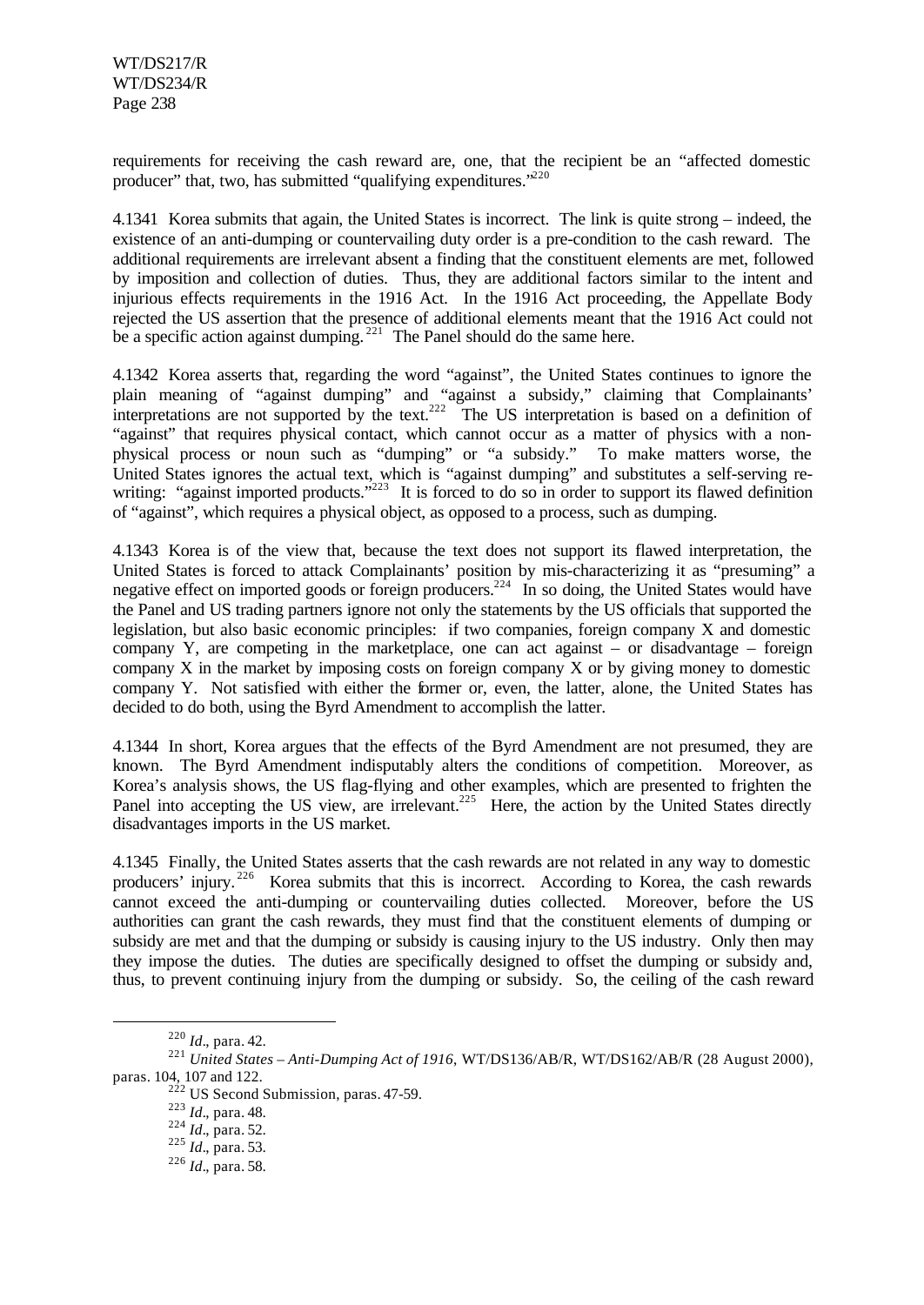requirements for receiving the cash reward are, one, that the recipient be an "affected domestic producer" that, two, has submitted "qualifying expenditures." $^{220}$ 

4.1341 Korea submits that again, the United States is incorrect. The link is quite strong – indeed, the existence of an anti-dumping or countervailing duty order is a pre-condition to the cash reward. The additional requirements are irrelevant absent a finding that the constituent elements are met, followed by imposition and collection of duties. Thus, they are additional factors similar to the intent and injurious effects requirements in the 1916 Act. In the 1916 Act proceeding, the Appellate Body rejected the US assertion that the presence of additional elements meant that the 1916 Act could not be a specific action against dumping.  $221$  The Panel should do the same here.

4.1342 Korea asserts that, regarding the word "against", the United States continues to ignore the plain meaning of "against dumping" and "against a subsidy," claiming that Complainants' interpretations are not supported by the text.<sup>222</sup> The US interpretation is based on a definition of "against" that requires physical contact, which cannot occur as a matter of physics with a nonphysical process or noun such as "dumping" or "a subsidy." To make matters worse, the United States ignores the actual text, which is "against dumping" and substitutes a self-serving rewriting: "against imported products."<sup>223</sup> It is forced to do so in order to support its flawed definition of "against", which requires a physical object, as opposed to a process, such as dumping.

4.1343 Korea is of the view that, because the text does not support its flawed interpretation, the United States is forced to attack Complainants' position by mis-characterizing it as "presuming" a negative effect on imported goods or foreign producers.<sup>224</sup> In so doing, the United States would have the Panel and US trading partners ignore not only the statements by the US officials that supported the legislation, but also basic economic principles: if two companies, foreign company X and domestic company Y, are competing in the marketplace, one can act against  $-$  or disadvantage  $-$  foreign company X in the market by imposing costs on foreign company X or by giving money to domestic company Y. Not satisfied with either the former or, even, the latter, alone, the United States has decided to do both, using the Byrd Amendment to accomplish the latter.

4.1344 In short, Korea argues that the effects of the Byrd Amendment are not presumed, they are known. The Byrd Amendment indisputably alters the conditions of competition. Moreover, as Korea's analysis shows, the US flag-flying and other examples, which are presented to frighten the Panel into accepting the US view, are irrelevant.<sup>225</sup> Here, the action by the United States directly disadvantages imports in the US market.

4.1345 Finally, the United States asserts that the cash rewards are not related in any way to domestic producers' injury.<sup>226</sup> Korea submits that this is incorrect. According to Korea, the cash rewards cannot exceed the anti-dumping or countervailing duties collected. Moreover, before the US authorities can grant the cash rewards, they must find that the constituent elements of dumping or subsidy are met and that the dumping or subsidy is causing injury to the US industry. Only then may they impose the duties. The duties are specifically designed to offset the dumping or subsidy and, thus, to prevent continuing injury from the dumping or subsidy. So, the ceiling of the cash reward

l

<sup>220</sup> *Id.*, para. 42.

<sup>221</sup> *United States – Anti-Dumping Act of 1916*, WT/DS136/AB/R, WT/DS162/AB/R (28 August 2000), paras. 104, 107 and 122.

<sup>&</sup>lt;sup>222</sup> US Second Submission, paras. 47-59.

<sup>223</sup> *Id.*, para. 48.

<sup>224</sup> *Id.*, para. 52.

<sup>225</sup> *Id.*, para. 53.

<sup>226</sup> *Id.*, para. 58.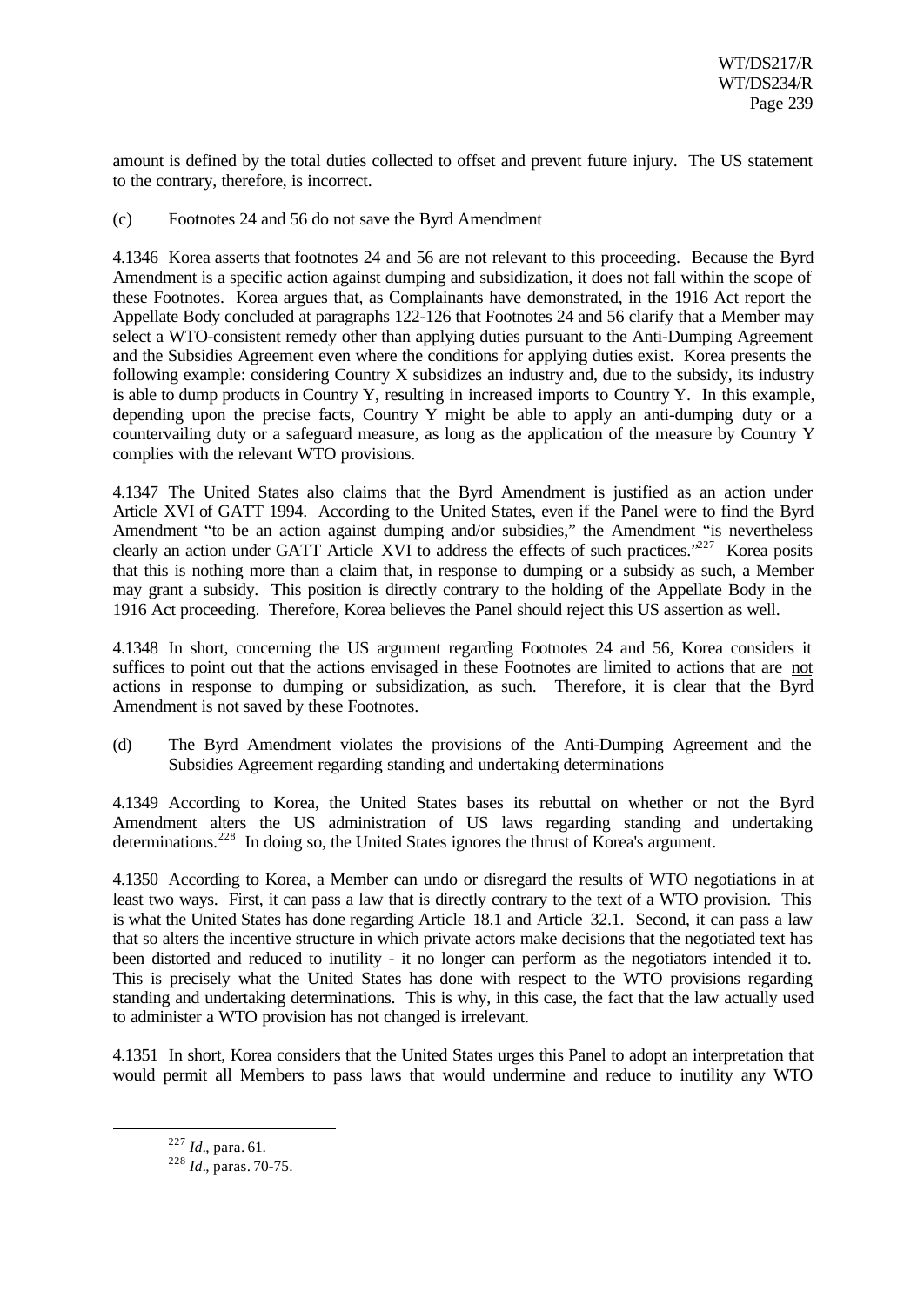amount is defined by the total duties collected to offset and prevent future injury. The US statement to the contrary, therefore, is incorrect.

(c) Footnotes 24 and 56 do not save the Byrd Amendment

4.1346 Korea asserts that footnotes 24 and 56 are not relevant to this proceeding. Because the Byrd Amendment is a specific action against dumping and subsidization, it does not fall within the scope of these Footnotes. Korea argues that, as Complainants have demonstrated, in the 1916 Act report the Appellate Body concluded at paragraphs 122-126 that Footnotes 24 and 56 clarify that a Member may select a WTO-consistent remedy other than applying duties pursuant to the Anti-Dumping Agreement and the Subsidies Agreement even where the conditions for applying duties exist. Korea presents the following example: considering Country X subsidizes an industry and, due to the subsidy, its industry is able to dump products in Country Y, resulting in increased imports to Country Y. In this example, depending upon the precise facts, Country Y might be able to apply an anti-dumping duty or a countervailing duty or a safeguard measure, as long as the application of the measure by Country Y complies with the relevant WTO provisions.

4.1347 The United States also claims that the Byrd Amendment is justified as an action under Article XVI of GATT 1994. According to the United States, even if the Panel were to find the Byrd Amendment "to be an action against dumping and/or subsidies," the Amendment "is nevertheless clearly an action under GATT Article XVI to address the effects of such practices."<sup>227</sup> Korea posits that this is nothing more than a claim that, in response to dumping or a subsidy as such, a Member may grant a subsidy. This position is directly contrary to the holding of the Appellate Body in the 1916 Act proceeding. Therefore, Korea believes the Panel should reject this US assertion as well.

4.1348 In short, concerning the US argument regarding Footnotes 24 and 56, Korea considers it suffices to point out that the actions envisaged in these Footnotes are limited to actions that are not actions in response to dumping or subsidization, as such. Therefore, it is clear that the Byrd Amendment is not saved by these Footnotes.

(d) The Byrd Amendment violates the provisions of the Anti-Dumping Agreement and the Subsidies Agreement regarding standing and undertaking determinations

4.1349 According to Korea, the United States bases its rebuttal on whether or not the Byrd Amendment alters the US administration of US laws regarding standing and undertaking determinations.<sup>228</sup> In doing so, the United States ignores the thrust of Korea's argument.

4.1350 According to Korea, a Member can undo or disregard the results of WTO negotiations in at least two ways. First, it can pass a law that is directly contrary to the text of a WTO provision. This is what the United States has done regarding Article 18.1 and Article 32.1. Second, it can pass a law that so alters the incentive structure in which private actors make decisions that the negotiated text has been distorted and reduced to inutility - it no longer can perform as the negotiators intended it to. This is precisely what the United States has done with respect to the WTO provisions regarding standing and undertaking determinations. This is why, in this case, the fact that the law actually used to administer a WTO provision has not changed is irrelevant.

4.1351 In short, Korea considers that the United States urges this Panel to adopt an interpretation that would permit all Members to pass laws that would undermine and reduce to inutility any WTO

l

<sup>227</sup> *Id.*, para. 61.

<sup>228</sup> *Id.*, paras. 70-75.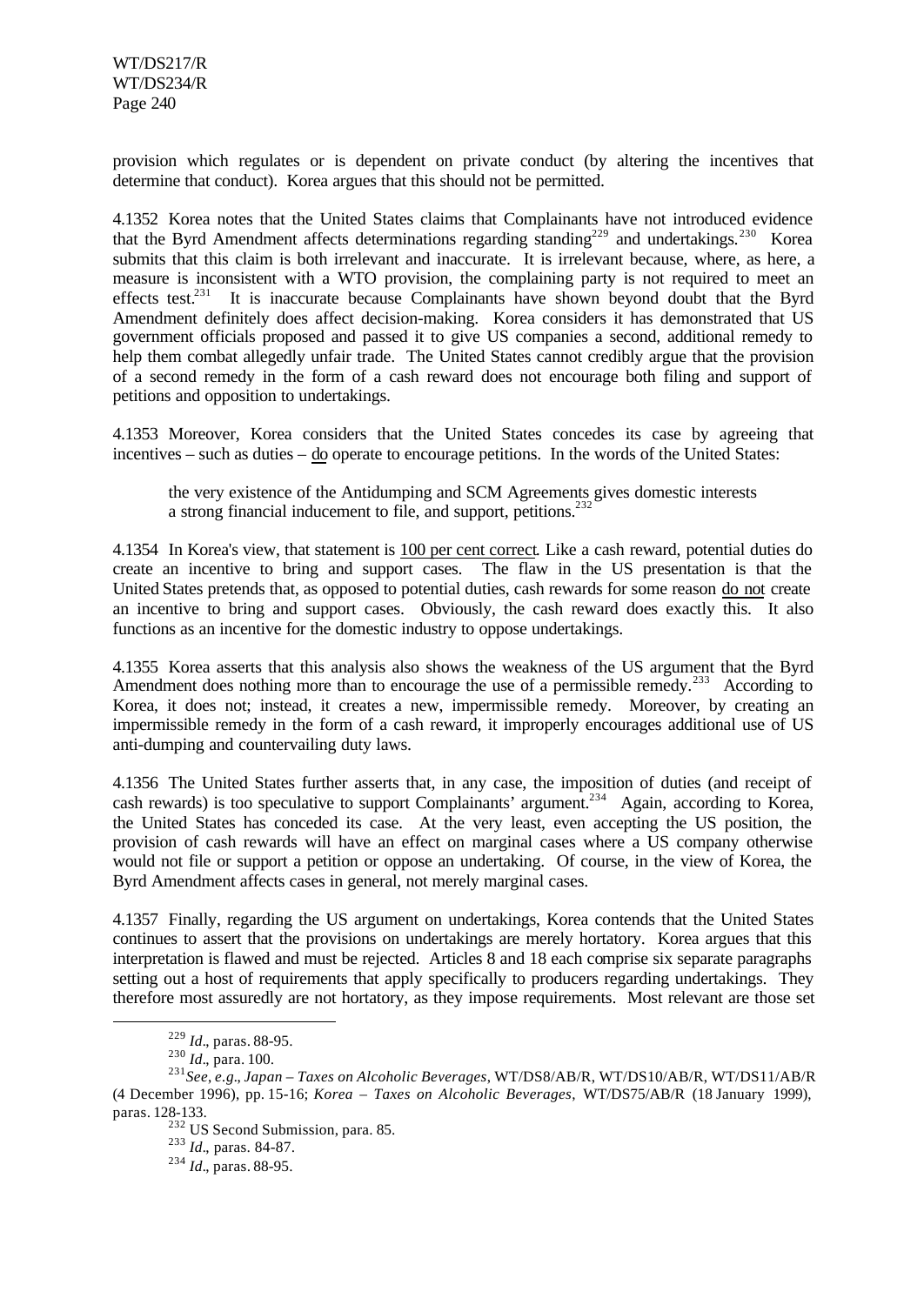provision which regulates or is dependent on private conduct (by altering the incentives that determine that conduct). Korea argues that this should not be permitted.

4.1352 Korea notes that the United States claims that Complainants have not introduced evidence that the Byrd Amendment affects determinations regarding standing<sup>229</sup> and undertakings.<sup>230</sup> Korea submits that this claim is both irrelevant and inaccurate. It is irrelevant because, where, as here, a measure is inconsistent with a WTO provision, the complaining party is not required to meet an effects test.<sup>231</sup> It is inaccurate because Complainants have shown beyond doubt that the Byrd It is inaccurate because Complainants have shown beyond doubt that the Byrd Amendment definitely does affect decision-making. Korea considers it has demonstrated that US government officials proposed and passed it to give US companies a second, additional remedy to help them combat allegedly unfair trade. The United States cannot credibly argue that the provision of a second remedy in the form of a cash reward does not encourage both filing and support of petitions and opposition to undertakings.

4.1353 Moreover, Korea considers that the United States concedes its case by agreeing that incentives – such as duties – do operate to encourage petitions. In the words of the United States:

the very existence of the Antidumping and SCM Agreements gives domestic interests a strong financial inducement to file, and support, petitions.<sup>23</sup>

4.1354 In Korea's view, that statement is 100 per cent correct. Like a cash reward, potential duties do create an incentive to bring and support cases. The flaw in the US presentation is that the United States pretends that, as opposed to potential duties, cash rewards for some reason do not create an incentive to bring and support cases. Obviously, the cash reward does exactly this. It also functions as an incentive for the domestic industry to oppose undertakings.

4.1355 Korea asserts that this analysis also shows the weakness of the US argument that the Byrd Amendment does nothing more than to encourage the use of a permissible remedy.<sup>233</sup> According to Korea, it does not; instead, it creates a new, impermissible remedy. Moreover, by creating an impermissible remedy in the form of a cash reward, it improperly encourages additional use of US anti-dumping and countervailing duty laws.

4.1356 The United States further asserts that, in any case, the imposition of duties (and receipt of cash rewards) is too speculative to support Complainants' argument.<sup>234</sup> Again, according to Korea, the United States has conceded its case. At the very least, even accepting the US position, the provision of cash rewards will have an effect on marginal cases where a US company otherwise would not file or support a petition or oppose an undertaking. Of course, in the view of Korea, the Byrd Amendment affects cases in general, not merely marginal cases.

4.1357 Finally, regarding the US argument on undertakings, Korea contends that the United States continues to assert that the provisions on undertakings are merely hortatory. Korea argues that this interpretation is flawed and must be rejected. Articles 8 and 18 each comprise six separate paragraphs setting out a host of requirements that apply specifically to producers regarding undertakings. They therefore most assuredly are not hortatory, as they impose requirements. Most relevant are those set

l

<sup>229</sup> *Id.*, paras. 88-95.

<sup>230</sup> *Id.*, para. 100.

<sup>231</sup>*See*, *e.g.*, *Japan – Taxes on Alcoholic Beverages*, WT/DS8/AB/R, WT/DS10/AB/R, WT/DS11/AB/R (4 December 1996), pp. 15-16; *Korea – Taxes on Alcoholic Beverages*, WT/DS75/AB/R (18 January 1999), paras. 128-133.

<sup>&</sup>lt;sup>232</sup> US Second Submission, para. 85.

<sup>233</sup> *Id.*, paras. 84-87.

<sup>234</sup> *Id.*, paras. 88-95.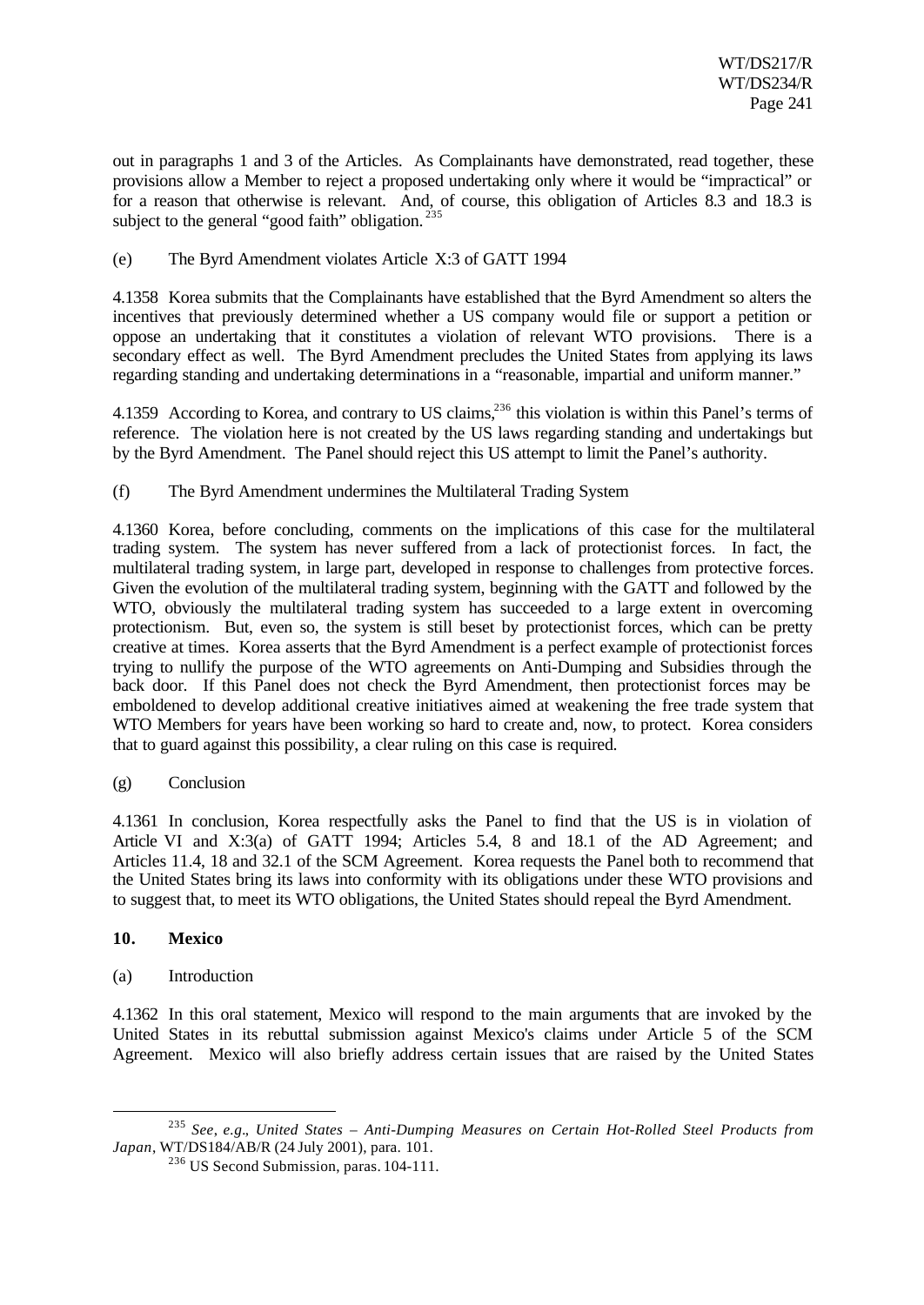out in paragraphs 1 and 3 of the Articles. As Complainants have demonstrated, read together, these provisions allow a Member to reject a proposed undertaking only where it would be "impractical" or for a reason that otherwise is relevant. And, of course, this obligation of Articles 8.3 and 18.3 is subject to the general "good faith" obligation. $^{235}$ 

# (e) The Byrd Amendment violates Article X:3 of GATT 1994

4.1358 Korea submits that the Complainants have established that the Byrd Amendment so alters the incentives that previously determined whether a US company would file or support a petition or oppose an undertaking that it constitutes a violation of relevant WTO provisions. There is a secondary effect as well. The Byrd Amendment precludes the United States from applying its laws regarding standing and undertaking determinations in a "reasonable, impartial and uniform manner."

4.1359 According to Korea, and contrary to US claims,<sup>236</sup> this violation is within this Panel's terms of reference. The violation here is not created by the US laws regarding standing and undertakings but by the Byrd Amendment. The Panel should reject this US attempt to limit the Panel's authority.

(f) The Byrd Amendment undermines the Multilateral Trading System

4.1360 Korea, before concluding, comments on the implications of this case for the multilateral trading system. The system has never suffered from a lack of protectionist forces. In fact, the multilateral trading system, in large part, developed in response to challenges from protective forces. Given the evolution of the multilateral trading system, beginning with the GATT and followed by the WTO, obviously the multilateral trading system has succeeded to a large extent in overcoming protectionism. But, even so, the system is still beset by protectionist forces, which can be pretty creative at times. Korea asserts that the Byrd Amendment is a perfect example of protectionist forces trying to nullify the purpose of the WTO agreements on Anti-Dumping and Subsidies through the back door. If this Panel does not check the Byrd Amendment, then protectionist forces may be emboldened to develop additional creative initiatives aimed at weakening the free trade system that WTO Members for years have been working so hard to create and, now, to protect. Korea considers that to guard against this possibility, a clear ruling on this case is required.

### (g) Conclusion

4.1361 In conclusion, Korea respectfully asks the Panel to find that the US is in violation of Article VI and X:3(a) of GATT 1994; Articles 5.4, 8 and 18.1 of the AD Agreement; and Articles 11.4, 18 and 32.1 of the SCM Agreement. Korea requests the Panel both to recommend that the United States bring its laws into conformity with its obligations under these WTO provisions and to suggest that, to meet its WTO obligations, the United States should repeal the Byrd Amendment.

### **10. Mexico**

l

### (a) Introduction

4.1362 In this oral statement, Mexico will respond to the main arguments that are invoked by the United States in its rebuttal submission against Mexico's claims under Article 5 of the SCM Agreement. Mexico will also briefly address certain issues that are raised by the United States

<sup>235</sup> *See*, *e.g.*, *United States – Anti-Dumping Measures on Certain Hot-Rolled Steel Products from Japan*, WT/DS184/AB/R (24 July 2001), para. 101.

<sup>236</sup> US Second Submission, paras. 104-111.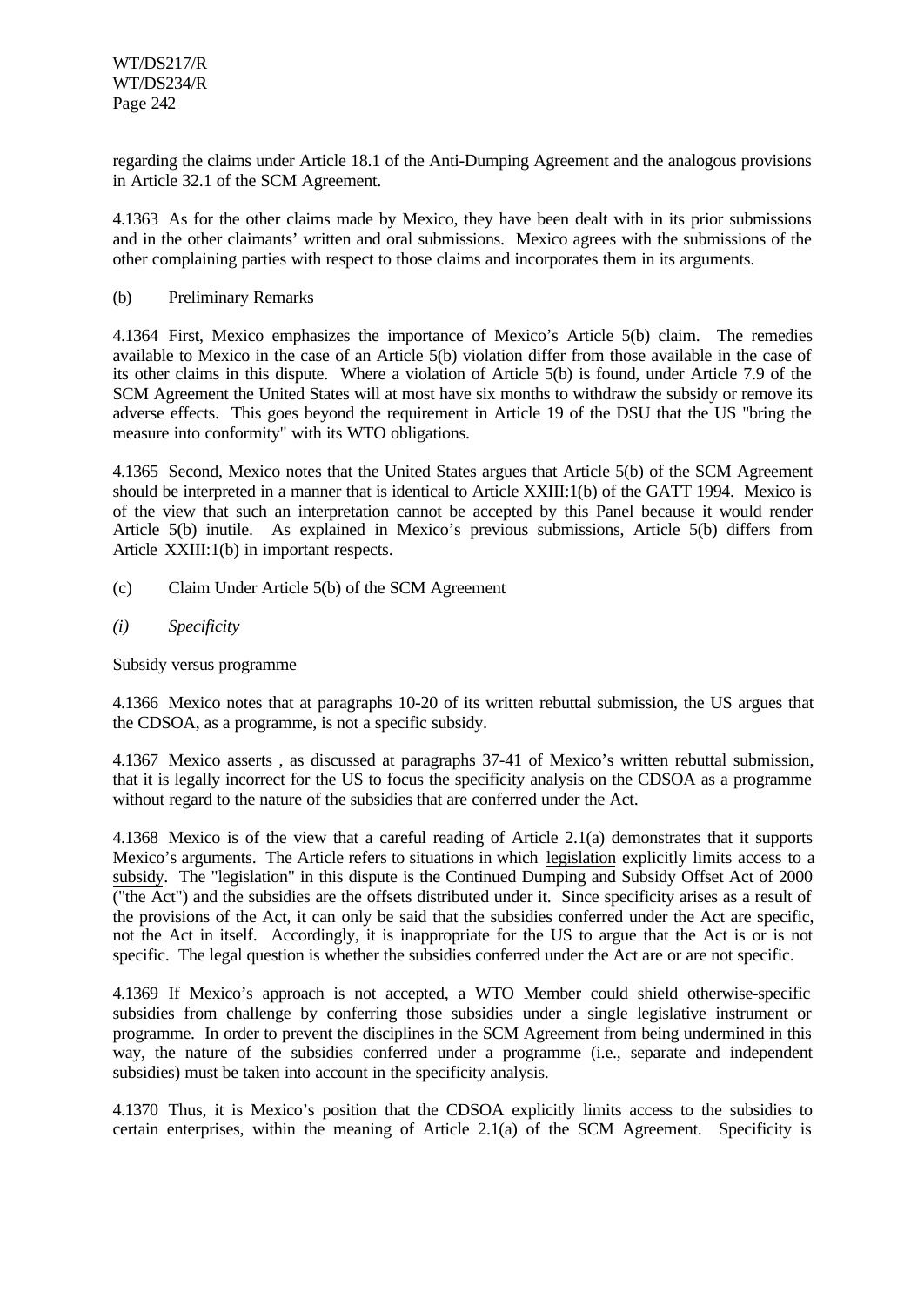regarding the claims under Article 18.1 of the Anti-Dumping Agreement and the analogous provisions in Article 32.1 of the SCM Agreement.

4.1363 As for the other claims made by Mexico, they have been dealt with in its prior submissions and in the other claimants' written and oral submissions. Mexico agrees with the submissions of the other complaining parties with respect to those claims and incorporates them in its arguments.

(b) Preliminary Remarks

4.1364 First, Mexico emphasizes the importance of Mexico's Article 5(b) claim. The remedies available to Mexico in the case of an Article 5(b) violation differ from those available in the case of its other claims in this dispute. Where a violation of Article 5(b) is found, under Article 7.9 of the SCM Agreement the United States will at most have six months to withdraw the subsidy or remove its adverse effects. This goes beyond the requirement in Article 19 of the DSU that the US "bring the measure into conformity" with its WTO obligations.

4.1365 Second, Mexico notes that the United States argues that Article 5(b) of the SCM Agreement should be interpreted in a manner that is identical to Article XXIII:1(b) of the GATT 1994. Mexico is of the view that such an interpretation cannot be accepted by this Panel because it would render Article 5(b) inutile. As explained in Mexico's previous submissions, Article 5(b) differs from Article XXIII:1(b) in important respects.

- (c) Claim Under Article 5(b) of the SCM Agreement
- *(i) Specificity*

#### Subsidy versus programme

4.1366 Mexico notes that at paragraphs 10-20 of its written rebuttal submission, the US argues that the CDSOA, as a programme, is not a specific subsidy.

4.1367 Mexico asserts , as discussed at paragraphs 37-41 of Mexico's written rebuttal submission, that it is legally incorrect for the US to focus the specificity analysis on the CDSOA as a programme without regard to the nature of the subsidies that are conferred under the Act.

4.1368 Mexico is of the view that a careful reading of Article 2.1(a) demonstrates that it supports Mexico's arguments. The Article refers to situations in which legislation explicitly limits access to a subsidy. The "legislation" in this dispute is the Continued Dumping and Subsidy Offset Act of 2000 ("the Act") and the subsidies are the offsets distributed under it. Since specificity arises as a result of the provisions of the Act, it can only be said that the subsidies conferred under the Act are specific, not the Act in itself. Accordingly, it is inappropriate for the US to argue that the Act is or is not specific. The legal question is whether the subsidies conferred under the Act are or are not specific.

4.1369 If Mexico's approach is not accepted, a WTO Member could shield otherwise-specific subsidies from challenge by conferring those subsidies under a single legislative instrument or programme. In order to prevent the disciplines in the SCM Agreement from being undermined in this way, the nature of the subsidies conferred under a programme (i.e., separate and independent subsidies) must be taken into account in the specificity analysis.

4.1370 Thus, it is Mexico's position that the CDSOA explicitly limits access to the subsidies to certain enterprises, within the meaning of Article 2.1(a) of the SCM Agreement. Specificity is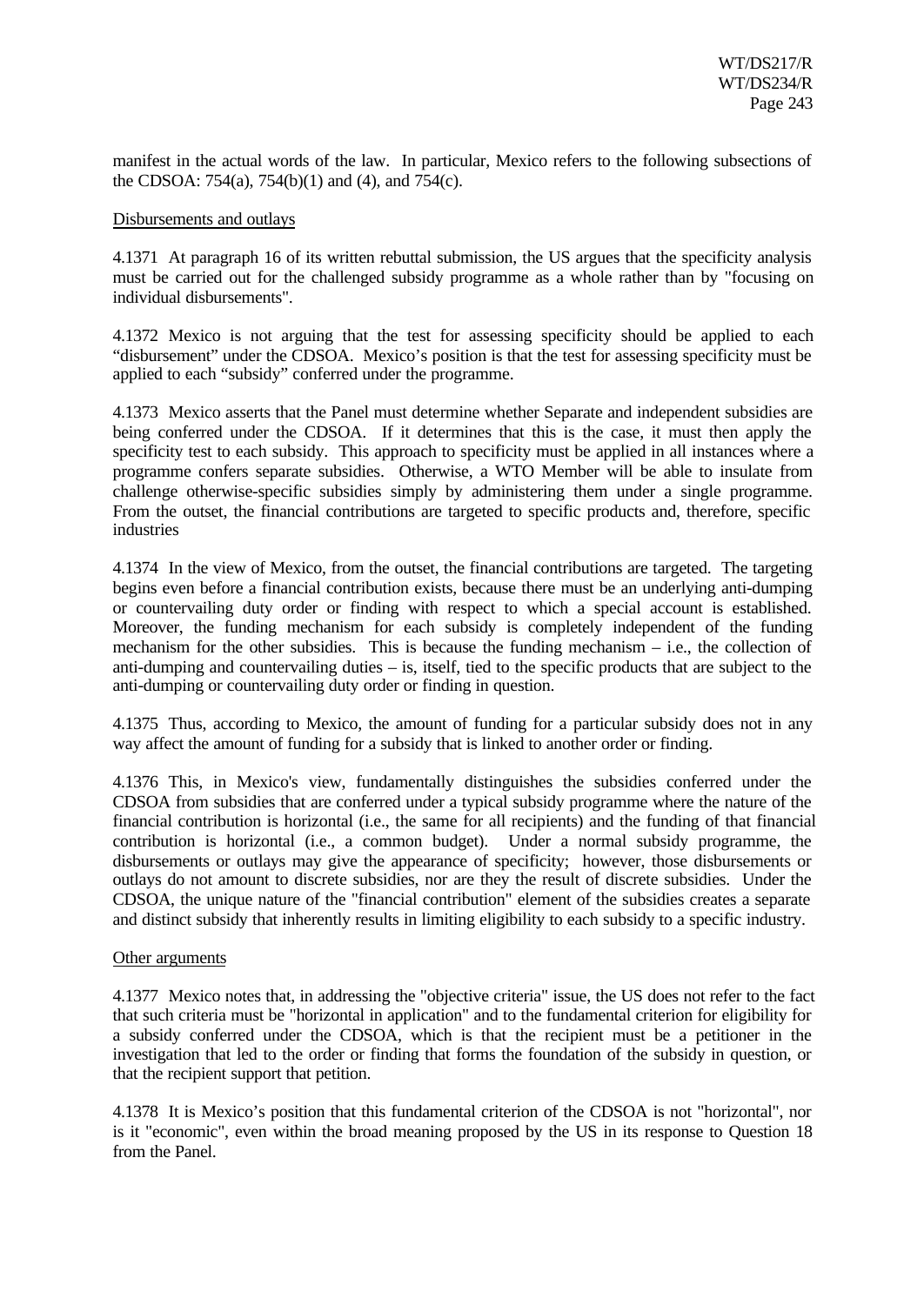manifest in the actual words of the law. In particular, Mexico refers to the following subsections of the CDSOA: 754(a), 754(b)(1) and (4), and 754(c).

#### Disbursements and outlays

4.1371 At paragraph 16 of its written rebuttal submission, the US argues that the specificity analysis must be carried out for the challenged subsidy programme as a whole rather than by "focusing on individual disbursements".

4.1372 Mexico is not arguing that the test for assessing specificity should be applied to each "disbursement" under the CDSOA. Mexico's position is that the test for assessing specificity must be applied to each "subsidy" conferred under the programme.

4.1373 Mexico asserts that the Panel must determine whether Separate and independent subsidies are being conferred under the CDSOA. If it determines that this is the case, it must then apply the specificity test to each subsidy. This approach to specificity must be applied in all instances where a programme confers separate subsidies. Otherwise, a WTO Member will be able to insulate from challenge otherwise-specific subsidies simply by administering them under a single programme. From the outset, the financial contributions are targeted to specific products and, therefore, specific industries

4.1374 In the view of Mexico, from the outset, the financial contributions are targeted. The targeting begins even before a financial contribution exists, because there must be an underlying anti-dumping or countervailing duty order or finding with respect to which a special account is established. Moreover, the funding mechanism for each subsidy is completely independent of the funding mechanism for the other subsidies. This is because the funding mechanism  $-$  i.e., the collection of anti-dumping and countervailing duties – is, itself, tied to the specific products that are subject to the anti-dumping or countervailing duty order or finding in question.

4.1375 Thus, according to Mexico, the amount of funding for a particular subsidy does not in any way affect the amount of funding for a subsidy that is linked to another order or finding.

4.1376 This, in Mexico's view, fundamentally distinguishes the subsidies conferred under the CDSOA from subsidies that are conferred under a typical subsidy programme where the nature of the financial contribution is horizontal (i.e., the same for all recipients) and the funding of that financial contribution is horizontal (i.e., a common budget). Under a normal subsidy programme, the disbursements or outlays may give the appearance of specificity; however, those disbursements or outlays do not amount to discrete subsidies, nor are they the result of discrete subsidies. Under the CDSOA, the unique nature of the "financial contribution" element of the subsidies creates a separate and distinct subsidy that inherently results in limiting eligibility to each subsidy to a specific industry.

#### Other arguments

4.1377 Mexico notes that, in addressing the "objective criteria" issue, the US does not refer to the fact that such criteria must be "horizontal in application" and to the fundamental criterion for eligibility for a subsidy conferred under the CDSOA, which is that the recipient must be a petitioner in the investigation that led to the order or finding that forms the foundation of the subsidy in question, or that the recipient support that petition.

4.1378 It is Mexico's position that this fundamental criterion of the CDSOA is not "horizontal", nor is it "economic", even within the broad meaning proposed by the US in its response to Question 18 from the Panel.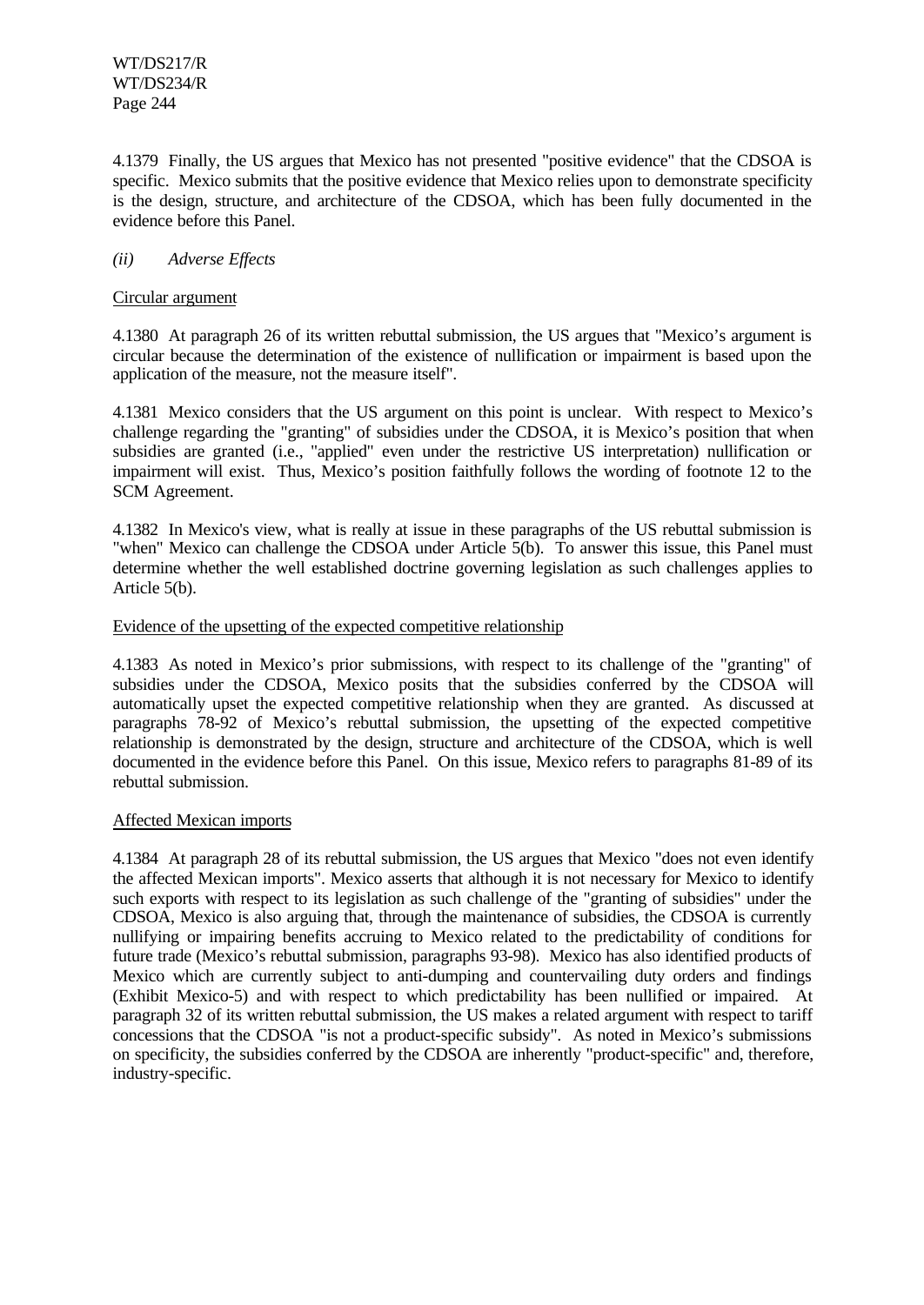WT/DS217/R WT/DS234/R Page 244

4.1379 Finally, the US argues that Mexico has not presented "positive evidence" that the CDSOA is specific. Mexico submits that the positive evidence that Mexico relies upon to demonstrate specificity is the design, structure, and architecture of the CDSOA, which has been fully documented in the evidence before this Panel.

### *(ii) Adverse Effects*

#### Circular argument

4.1380 At paragraph 26 of its written rebuttal submission, the US argues that "Mexico's argument is circular because the determination of the existence of nullification or impairment is based upon the application of the measure, not the measure itself".

4.1381 Mexico considers that the US argument on this point is unclear. With respect to Mexico's challenge regarding the "granting" of subsidies under the CDSOA, it is Mexico's position that when subsidies are granted (i.e., "applied" even under the restrictive US interpretation) nullification or impairment will exist. Thus, Mexico's position faithfully follows the wording of footnote 12 to the SCM Agreement.

4.1382 In Mexico's view, what is really at issue in these paragraphs of the US rebuttal submission is "when" Mexico can challenge the CDSOA under Article 5(b). To answer this issue, this Panel must determine whether the well established doctrine governing legislation as such challenges applies to Article 5(b).

#### Evidence of the upsetting of the expected competitive relationship

4.1383 As noted in Mexico's prior submissions, with respect to its challenge of the "granting" of subsidies under the CDSOA, Mexico posits that the subsidies conferred by the CDSOA will automatically upset the expected competitive relationship when they are granted. As discussed at paragraphs 78-92 of Mexico's rebuttal submission, the upsetting of the expected competitive relationship is demonstrated by the design, structure and architecture of the CDSOA, which is well documented in the evidence before this Panel. On this issue, Mexico refers to paragraphs 81-89 of its rebuttal submission.

### Affected Mexican imports

4.1384 At paragraph 28 of its rebuttal submission, the US argues that Mexico "does not even identify the affected Mexican imports". Mexico asserts that although it is not necessary for Mexico to identify such exports with respect to its legislation as such challenge of the "granting of subsidies" under the CDSOA, Mexico is also arguing that, through the maintenance of subsidies, the CDSOA is currently nullifying or impairing benefits accruing to Mexico related to the predictability of conditions for future trade (Mexico's rebuttal submission, paragraphs 93-98). Mexico has also identified products of Mexico which are currently subject to anti-dumping and countervailing duty orders and findings (Exhibit Mexico-5) and with respect to which predictability has been nullified or impaired. At paragraph 32 of its written rebuttal submission, the US makes a related argument with respect to tariff concessions that the CDSOA "is not a product-specific subsidy". As noted in Mexico's submissions on specificity, the subsidies conferred by the CDSOA are inherently "product-specific" and, therefore, industry-specific.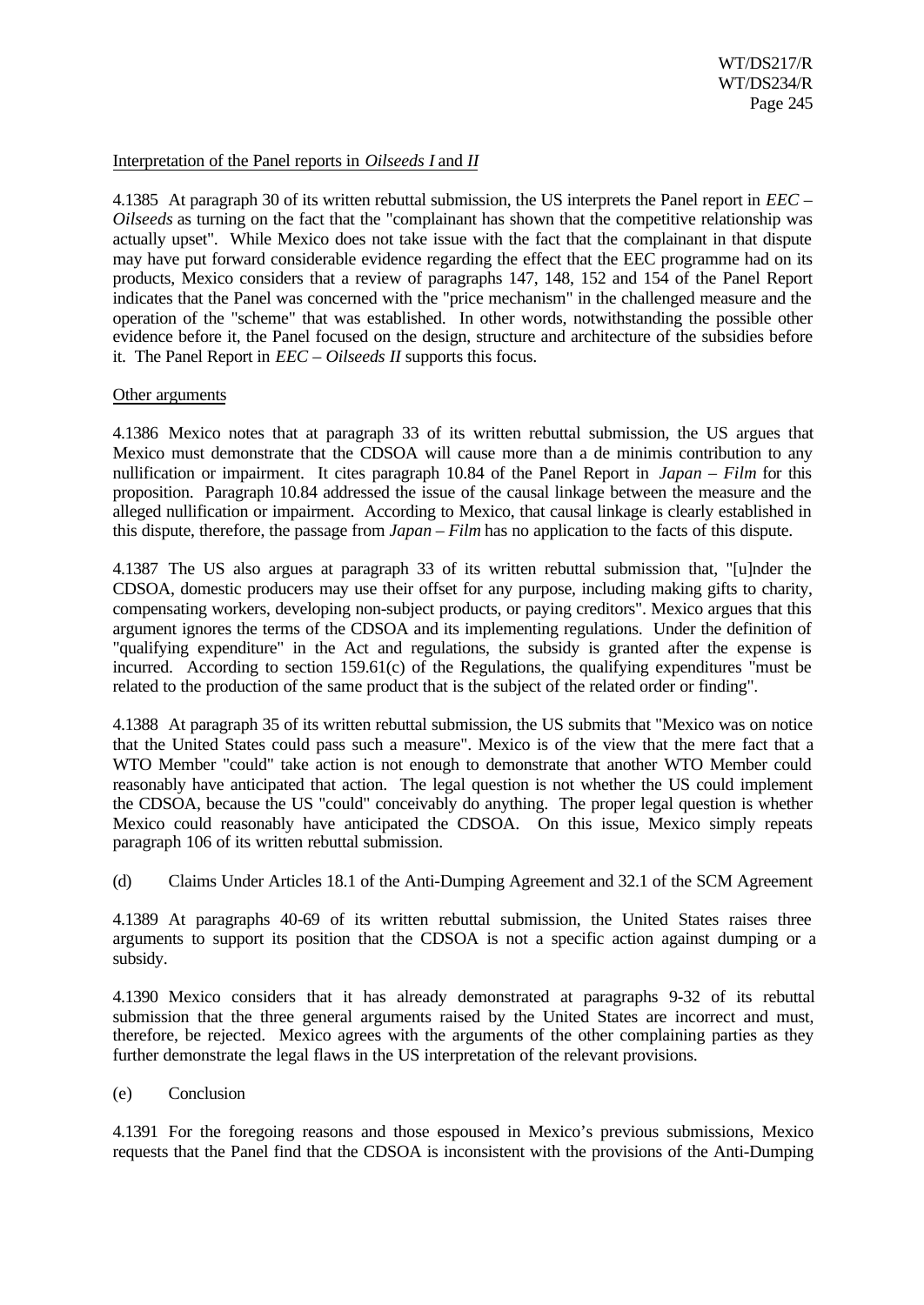#### Interpretation of the Panel reports in *Oilseeds I* and *II*

4.1385 At paragraph 30 of its written rebuttal submission, the US interprets the Panel report in *EEC – Oilseeds* as turning on the fact that the "complainant has shown that the competitive relationship was actually upset". While Mexico does not take issue with the fact that the complainant in that dispute may have put forward considerable evidence regarding the effect that the EEC programme had on its products, Mexico considers that a review of paragraphs 147, 148, 152 and 154 of the Panel Report indicates that the Panel was concerned with the "price mechanism" in the challenged measure and the operation of the "scheme" that was established. In other words, notwithstanding the possible other evidence before it, the Panel focused on the design, structure and architecture of the subsidies before it. The Panel Report in *EEC – Oilseeds II* supports this focus.

#### Other arguments

4.1386 Mexico notes that at paragraph 33 of its written rebuttal submission, the US argues that Mexico must demonstrate that the CDSOA will cause more than a de minimis contribution to any nullification or impairment. It cites paragraph 10.84 of the Panel Report in *Japan – Film* for this proposition. Paragraph 10.84 addressed the issue of the causal linkage between the measure and the alleged nullification or impairment. According to Mexico, that causal linkage is clearly established in this dispute, therefore, the passage from *Japan – Film* has no application to the facts of this dispute.

4.1387 The US also argues at paragraph 33 of its written rebuttal submission that, "[u]nder the CDSOA, domestic producers may use their offset for any purpose, including making gifts to charity, compensating workers, developing non-subject products, or paying creditors". Mexico argues that this argument ignores the terms of the CDSOA and its implementing regulations. Under the definition of "qualifying expenditure" in the Act and regulations, the subsidy is granted after the expense is incurred. According to section 159.61(c) of the Regulations, the qualifying expenditures "must be related to the production of the same product that is the subject of the related order or finding".

4.1388 At paragraph 35 of its written rebuttal submission, the US submits that "Mexico was on notice that the United States could pass such a measure". Mexico is of the view that the mere fact that a WTO Member "could" take action is not enough to demonstrate that another WTO Member could reasonably have anticipated that action. The legal question is not whether the US could implement the CDSOA, because the US "could" conceivably do anything. The proper legal question is whether Mexico could reasonably have anticipated the CDSOA. On this issue, Mexico simply repeats paragraph 106 of its written rebuttal submission.

(d) Claims Under Articles 18.1 of the Anti-Dumping Agreement and 32.1 of the SCM Agreement

4.1389 At paragraphs 40-69 of its written rebuttal submission, the United States raises three arguments to support its position that the CDSOA is not a specific action against dumping or a subsidy.

4.1390 Mexico considers that it has already demonstrated at paragraphs 9-32 of its rebuttal submission that the three general arguments raised by the United States are incorrect and must, therefore, be rejected. Mexico agrees with the arguments of the other complaining parties as they further demonstrate the legal flaws in the US interpretation of the relevant provisions.

(e) Conclusion

4.1391 For the foregoing reasons and those espoused in Mexico's previous submissions, Mexico requests that the Panel find that the CDSOA is inconsistent with the provisions of the Anti-Dumping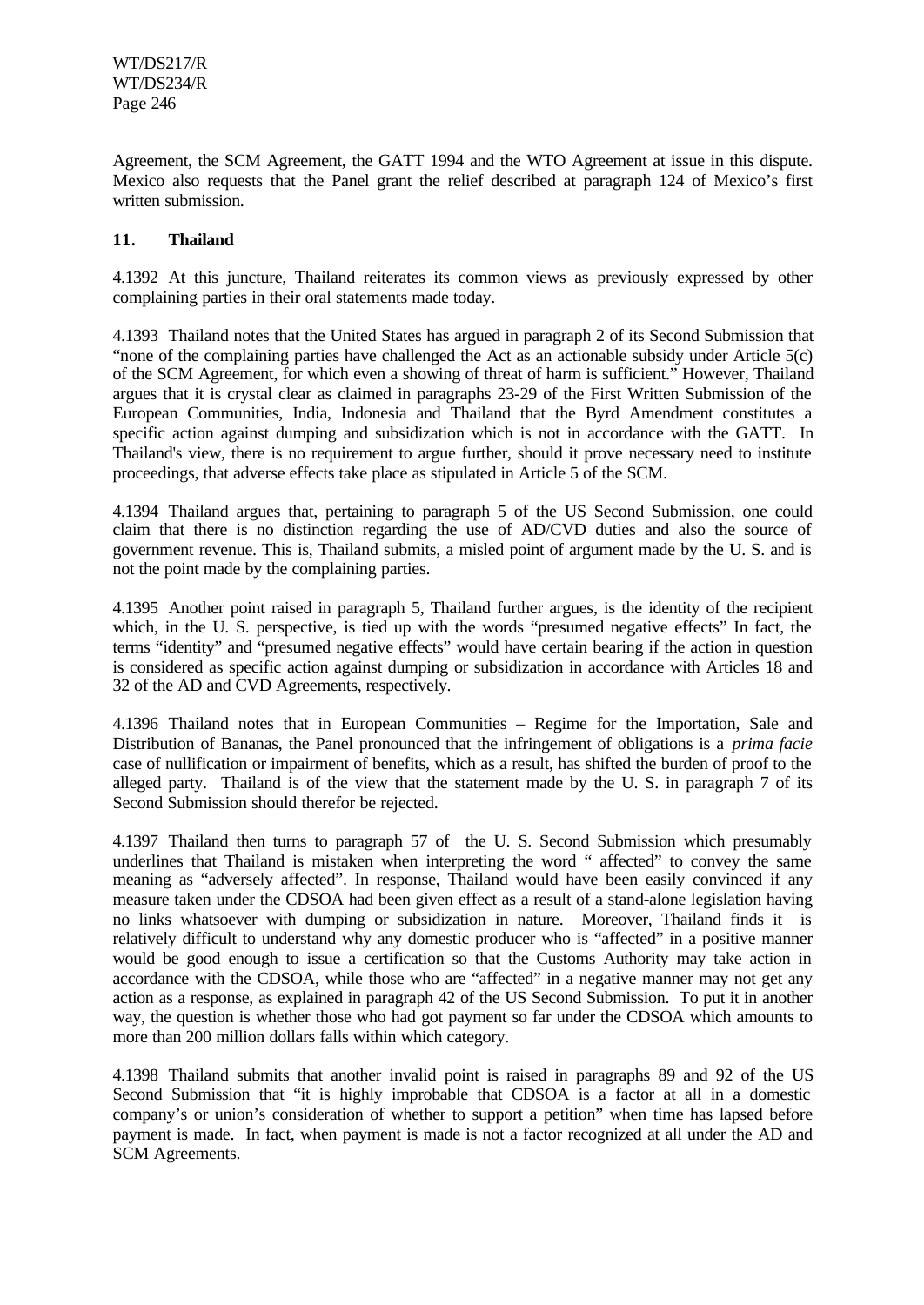Agreement, the SCM Agreement, the GATT 1994 and the WTO Agreement at issue in this dispute. Mexico also requests that the Panel grant the relief described at paragraph 124 of Mexico's first written submission.

## **11. Thailand**

4.1392 At this juncture, Thailand reiterates its common views as previously expressed by other complaining parties in their oral statements made today.

4.1393 Thailand notes that the United States has argued in paragraph 2 of its Second Submission that "none of the complaining parties have challenged the Act as an actionable subsidy under Article 5(c) of the SCM Agreement, for which even a showing of threat of harm is sufficient." However, Thailand argues that it is crystal clear as claimed in paragraphs 23-29 of the First Written Submission of the European Communities, India, Indonesia and Thailand that the Byrd Amendment constitutes a specific action against dumping and subsidization which is not in accordance with the GATT. In Thailand's view, there is no requirement to argue further, should it prove necessary need to institute proceedings, that adverse effects take place as stipulated in Article 5 of the SCM.

4.1394 Thailand argues that, pertaining to paragraph 5 of the US Second Submission, one could claim that there is no distinction regarding the use of AD/CVD duties and also the source of government revenue. This is, Thailand submits, a misled point of argument made by the U. S. and is not the point made by the complaining parties.

4.1395 Another point raised in paragraph 5, Thailand further argues, is the identity of the recipient which, in the U. S. perspective, is tied up with the words "presumed negative effects" In fact, the terms "identity" and "presumed negative effects" would have certain bearing if the action in question is considered as specific action against dumping or subsidization in accordance with Articles 18 and 32 of the AD and CVD Agreements, respectively.

4.1396 Thailand notes that in European Communities – Regime for the Importation, Sale and Distribution of Bananas, the Panel pronounced that the infringement of obligations is a *prima facie* case of nullification or impairment of benefits, which as a result, has shifted the burden of proof to the alleged party. Thailand is of the view that the statement made by the U. S. in paragraph 7 of its Second Submission should therefor be rejected.

4.1397 Thailand then turns to paragraph 57 of the U. S. Second Submission which presumably underlines that Thailand is mistaken when interpreting the word " affected" to convey the same meaning as "adversely affected". In response, Thailand would have been easily convinced if any measure taken under the CDSOA had been given effect as a result of a stand-alone legislation having no links whatsoever with dumping or subsidization in nature. Moreover, Thailand finds it is relatively difficult to understand why any domestic producer who is "affected" in a positive manner would be good enough to issue a certification so that the Customs Authority may take action in accordance with the CDSOA, while those who are "affected" in a negative manner may not get any action as a response, as explained in paragraph 42 of the US Second Submission. To put it in another way, the question is whether those who had got payment so far under the CDSOA which amounts to more than 200 million dollars falls within which category.

4.1398 Thailand submits that another invalid point is raised in paragraphs 89 and 92 of the US Second Submission that "it is highly improbable that CDSOA is a factor at all in a domestic company's or union's consideration of whether to support a petition" when time has lapsed before payment is made. In fact, when payment is made is not a factor recognized at all under the AD and SCM Agreements.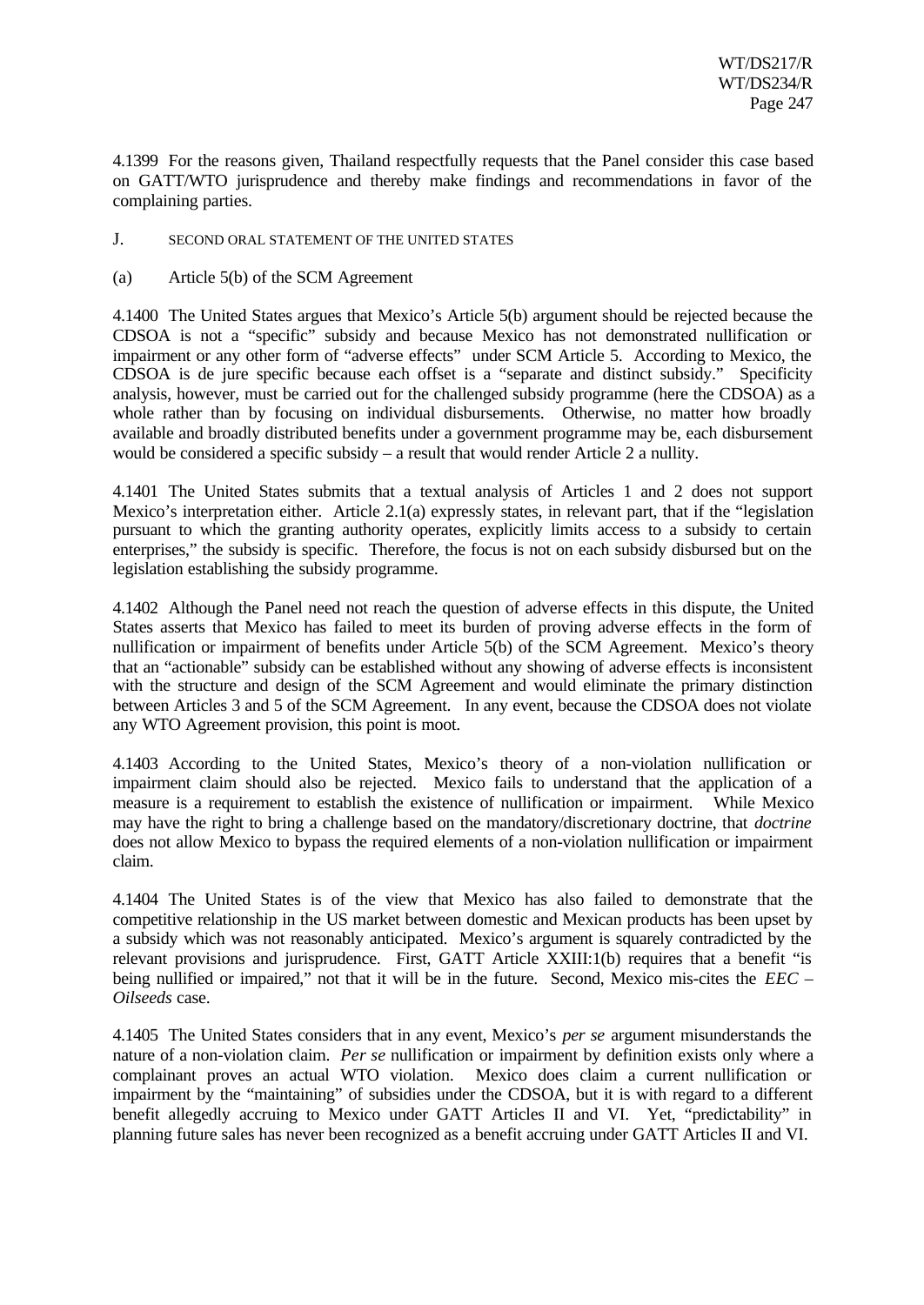4.1399 For the reasons given, Thailand respectfully requests that the Panel consider this case based on GATT/WTO jurisprudence and thereby make findings and recommendations in favor of the complaining parties.

#### J. SECOND ORAL STATEMENT OF THE UNITED STATES

#### (a) Article 5(b) of the SCM Agreement

4.1400 The United States argues that Mexico's Article 5(b) argument should be rejected because the CDSOA is not a "specific" subsidy and because Mexico has not demonstrated nullification or impairment or any other form of "adverse effects" under SCM Article 5. According to Mexico, the CDSOA is de jure specific because each offset is a "separate and distinct subsidy." Specificity analysis, however, must be carried out for the challenged subsidy programme (here the CDSOA) as a whole rather than by focusing on individual disbursements. Otherwise, no matter how broadly available and broadly distributed benefits under a government programme may be, each disbursement would be considered a specific subsidy – a result that would render Article 2 a nullity.

4.1401 The United States submits that a textual analysis of Articles 1 and 2 does not support Mexico's interpretation either. Article 2.1(a) expressly states, in relevant part, that if the "legislation pursuant to which the granting authority operates, explicitly limits access to a subsidy to certain enterprises," the subsidy is specific. Therefore, the focus is not on each subsidy disbursed but on the legislation establishing the subsidy programme.

4.1402 Although the Panel need not reach the question of adverse effects in this dispute, the United States asserts that Mexico has failed to meet its burden of proving adverse effects in the form of nullification or impairment of benefits under Article 5(b) of the SCM Agreement. Mexico's theory that an "actionable" subsidy can be established without any showing of adverse effects is inconsistent with the structure and design of the SCM Agreement and would eliminate the primary distinction between Articles 3 and 5 of the SCM Agreement. In any event, because the CDSOA does not violate any WTO Agreement provision, this point is moot.

4.1403 According to the United States, Mexico's theory of a non-violation nullification or impairment claim should also be rejected. Mexico fails to understand that the application of a measure is a requirement to establish the existence of nullification or impairment. While Mexico may have the right to bring a challenge based on the mandatory/discretionary doctrine, that *doctrine* does not allow Mexico to bypass the required elements of a non-violation nullification or impairment claim.

4.1404 The United States is of the view that Mexico has also failed to demonstrate that the competitive relationship in the US market between domestic and Mexican products has been upset by a subsidy which was not reasonably anticipated. Mexico's argument is squarely contradicted by the relevant provisions and jurisprudence. First, GATT Article XXIII:1(b) requires that a benefit "is being nullified or impaired," not that it will be in the future. Second, Mexico mis-cites the *EEC – Oilseeds* case.

4.1405 The United States considers that in any event, Mexico's *per se* argument misunderstands the nature of a non-violation claim. *Per se* nullification or impairment by definition exists only where a complainant proves an actual WTO violation. Mexico does claim a current nullification or impairment by the "maintaining" of subsidies under the CDSOA, but it is with regard to a different benefit allegedly accruing to Mexico under GATT Articles II and VI. Yet, "predictability" in planning future sales has never been recognized as a benefit accruing under GATT Articles II and VI.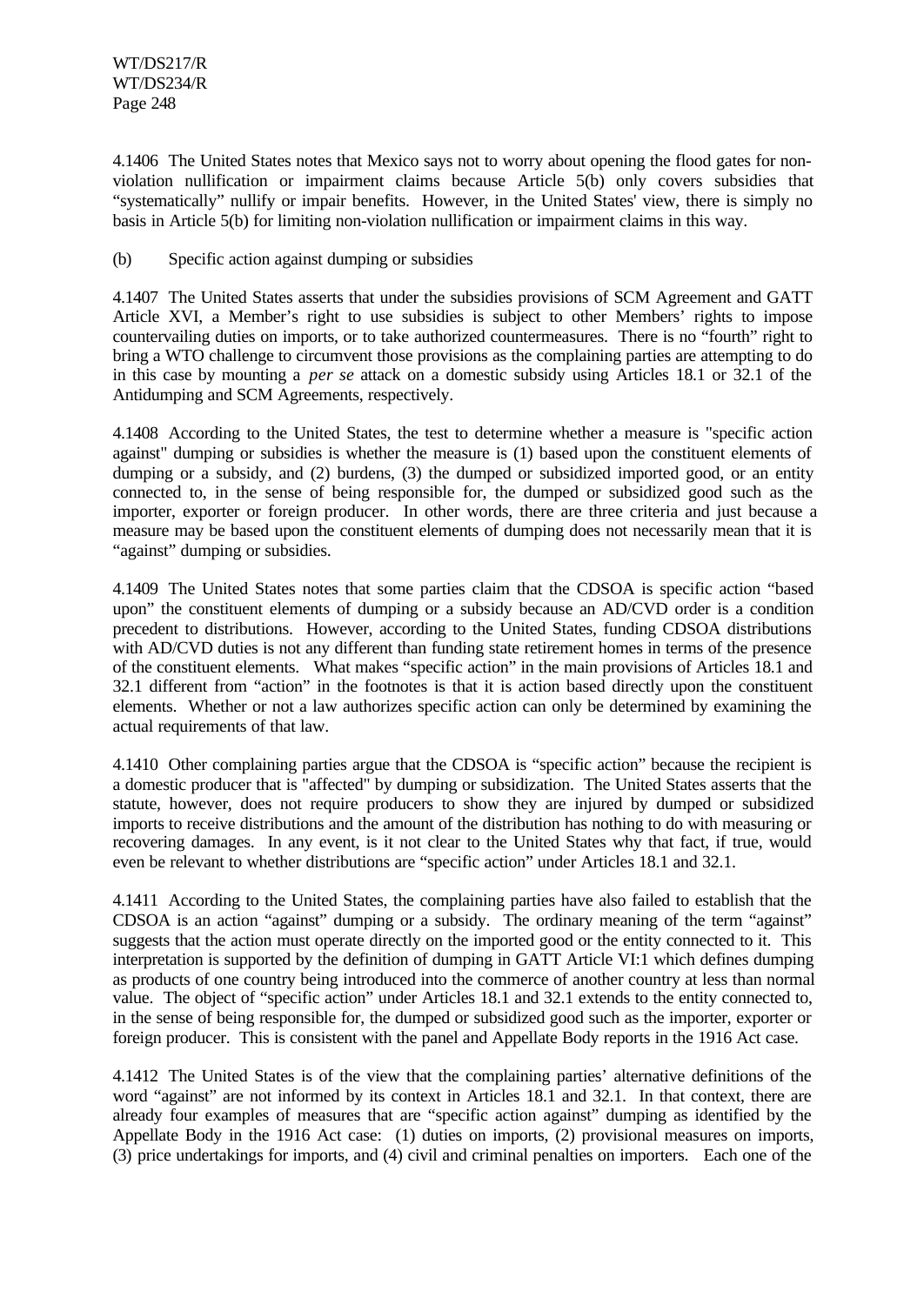4.1406 The United States notes that Mexico says not to worry about opening the flood gates for nonviolation nullification or impairment claims because Article 5(b) only covers subsidies that "systematically" nullify or impair benefits. However, in the United States' view, there is simply no basis in Article 5(b) for limiting non-violation nullification or impairment claims in this way.

(b) Specific action against dumping or subsidies

4.1407 The United States asserts that under the subsidies provisions of SCM Agreement and GATT Article XVI, a Member's right to use subsidies is subject to other Members' rights to impose countervailing duties on imports, or to take authorized countermeasures. There is no "fourth" right to bring a WTO challenge to circumvent those provisions as the complaining parties are attempting to do in this case by mounting a *per se* attack on a domestic subsidy using Articles 18.1 or 32.1 of the Antidumping and SCM Agreements, respectively.

4.1408 According to the United States, the test to determine whether a measure is "specific action against" dumping or subsidies is whether the measure is (1) based upon the constituent elements of dumping or a subsidy, and (2) burdens, (3) the dumped or subsidized imported good, or an entity connected to, in the sense of being responsible for, the dumped or subsidized good such as the importer, exporter or foreign producer. In other words, there are three criteria and just because a measure may be based upon the constituent elements of dumping does not necessarily mean that it is "against" dumping or subsidies.

4.1409 The United States notes that some parties claim that the CDSOA is specific action "based upon" the constituent elements of dumping or a subsidy because an AD/CVD order is a condition precedent to distributions. However, according to the United States, funding CDSOA distributions with AD/CVD duties is not any different than funding state retirement homes in terms of the presence of the constituent elements. What makes "specific action" in the main provisions of Articles 18.1 and 32.1 different from "action" in the footnotes is that it is action based directly upon the constituent elements. Whether or not a law authorizes specific action can only be determined by examining the actual requirements of that law.

4.1410 Other complaining parties argue that the CDSOA is "specific action" because the recipient is a domestic producer that is "affected" by dumping or subsidization. The United States asserts that the statute, however, does not require producers to show they are injured by dumped or subsidized imports to receive distributions and the amount of the distribution has nothing to do with measuring or recovering damages. In any event, is it not clear to the United States why that fact, if true, would even be relevant to whether distributions are "specific action" under Articles 18.1 and 32.1.

4.1411 According to the United States, the complaining parties have also failed to establish that the CDSOA is an action "against" dumping or a subsidy. The ordinary meaning of the term "against" suggests that the action must operate directly on the imported good or the entity connected to it. This interpretation is supported by the definition of dumping in GATT Article VI:1 which defines dumping as products of one country being introduced into the commerce of another country at less than normal value. The object of "specific action" under Articles 18.1 and 32.1 extends to the entity connected to, in the sense of being responsible for, the dumped or subsidized good such as the importer, exporter or foreign producer. This is consistent with the panel and Appellate Body reports in the 1916 Act case.

4.1412 The United States is of the view that the complaining parties' alternative definitions of the word "against" are not informed by its context in Articles 18.1 and 32.1. In that context, there are already four examples of measures that are "specific action against" dumping as identified by the Appellate Body in the 1916 Act case: (1) duties on imports, (2) provisional measures on imports, (3) price undertakings for imports, and (4) civil and criminal penalties on importers. Each one of the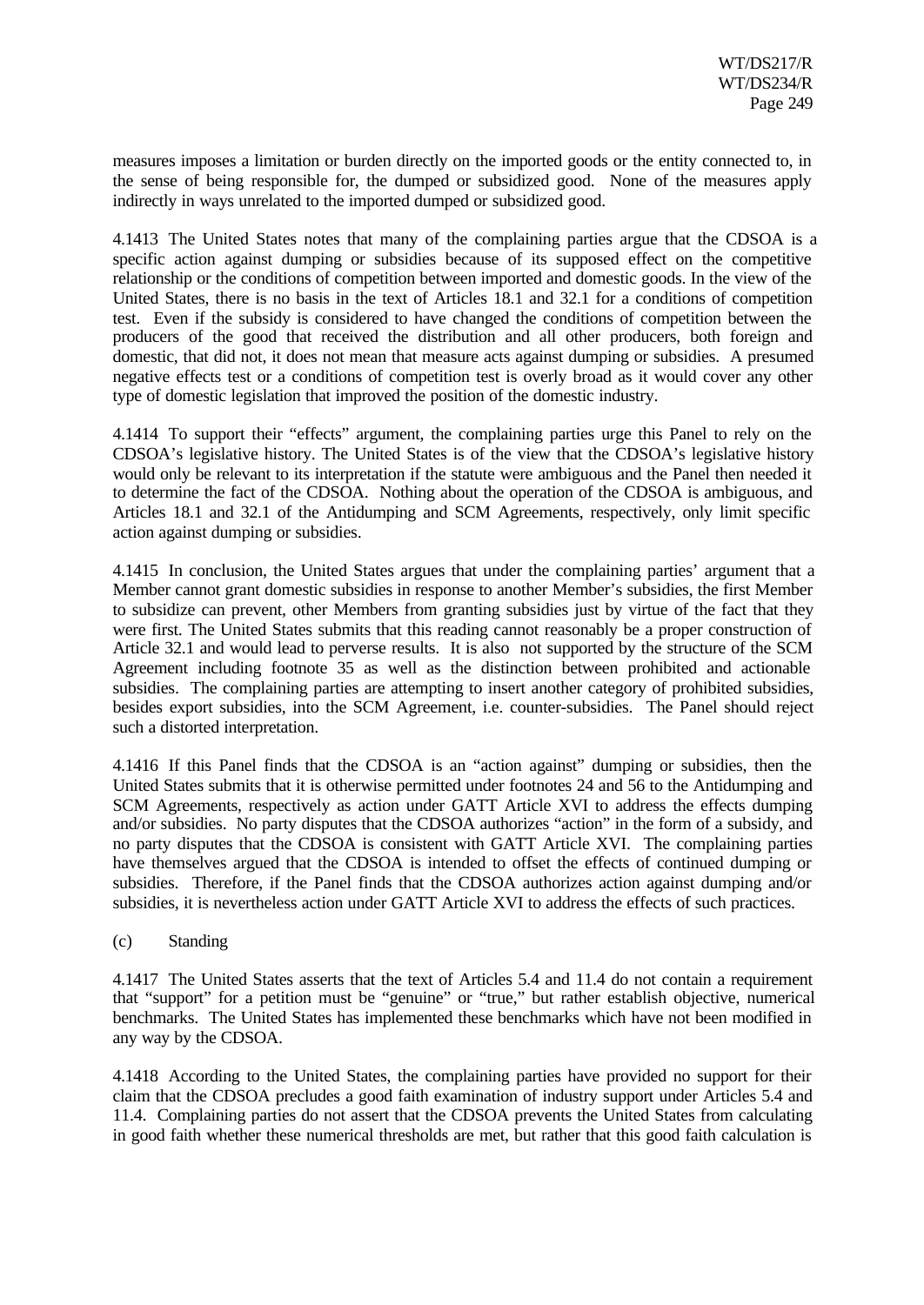measures imposes a limitation or burden directly on the imported goods or the entity connected to, in the sense of being responsible for, the dumped or subsidized good. None of the measures apply indirectly in ways unrelated to the imported dumped or subsidized good.

4.1413 The United States notes that many of the complaining parties argue that the CDSOA is a specific action against dumping or subsidies because of its supposed effect on the competitive relationship or the conditions of competition between imported and domestic goods. In the view of the United States, there is no basis in the text of Articles 18.1 and 32.1 for a conditions of competition test. Even if the subsidy is considered to have changed the conditions of competition between the producers of the good that received the distribution and all other producers, both foreign and domestic, that did not, it does not mean that measure acts against dumping or subsidies. A presumed negative effects test or a conditions of competition test is overly broad as it would cover any other type of domestic legislation that improved the position of the domestic industry.

4.1414 To support their "effects" argument, the complaining parties urge this Panel to rely on the CDSOA's legislative history. The United States is of the view that the CDSOA's legislative history would only be relevant to its interpretation if the statute were ambiguous and the Panel then needed it to determine the fact of the CDSOA. Nothing about the operation of the CDSOA is ambiguous, and Articles 18.1 and 32.1 of the Antidumping and SCM Agreements, respectively, only limit specific action against dumping or subsidies.

4.1415 In conclusion, the United States argues that under the complaining parties' argument that a Member cannot grant domestic subsidies in response to another Member's subsidies, the first Member to subsidize can prevent, other Members from granting subsidies just by virtue of the fact that they were first. The United States submits that this reading cannot reasonably be a proper construction of Article 32.1 and would lead to perverse results. It is also not supported by the structure of the SCM Agreement including footnote 35 as well as the distinction between prohibited and actionable subsidies. The complaining parties are attempting to insert another category of prohibited subsidies, besides export subsidies, into the SCM Agreement, i.e. counter-subsidies. The Panel should reject such a distorted interpretation.

4.1416 If this Panel finds that the CDSOA is an "action against" dumping or subsidies, then the United States submits that it is otherwise permitted under footnotes 24 and 56 to the Antidumping and SCM Agreements, respectively as action under GATT Article XVI to address the effects dumping and/or subsidies. No party disputes that the CDSOA authorizes "action" in the form of a subsidy, and no party disputes that the CDSOA is consistent with GATT Article XVI. The complaining parties have themselves argued that the CDSOA is intended to offset the effects of continued dumping or subsidies. Therefore, if the Panel finds that the CDSOA authorizes action against dumping and/or subsidies, it is nevertheless action under GATT Article XVI to address the effects of such practices.

## (c) Standing

4.1417 The United States asserts that the text of Articles 5.4 and 11.4 do not contain a requirement that "support" for a petition must be "genuine" or "true," but rather establish objective, numerical benchmarks. The United States has implemented these benchmarks which have not been modified in any way by the CDSOA.

4.1418 According to the United States, the complaining parties have provided no support for their claim that the CDSOA precludes a good faith examination of industry support under Articles 5.4 and 11.4. Complaining parties do not assert that the CDSOA prevents the United States from calculating in good faith whether these numerical thresholds are met, but rather that this good faith calculation is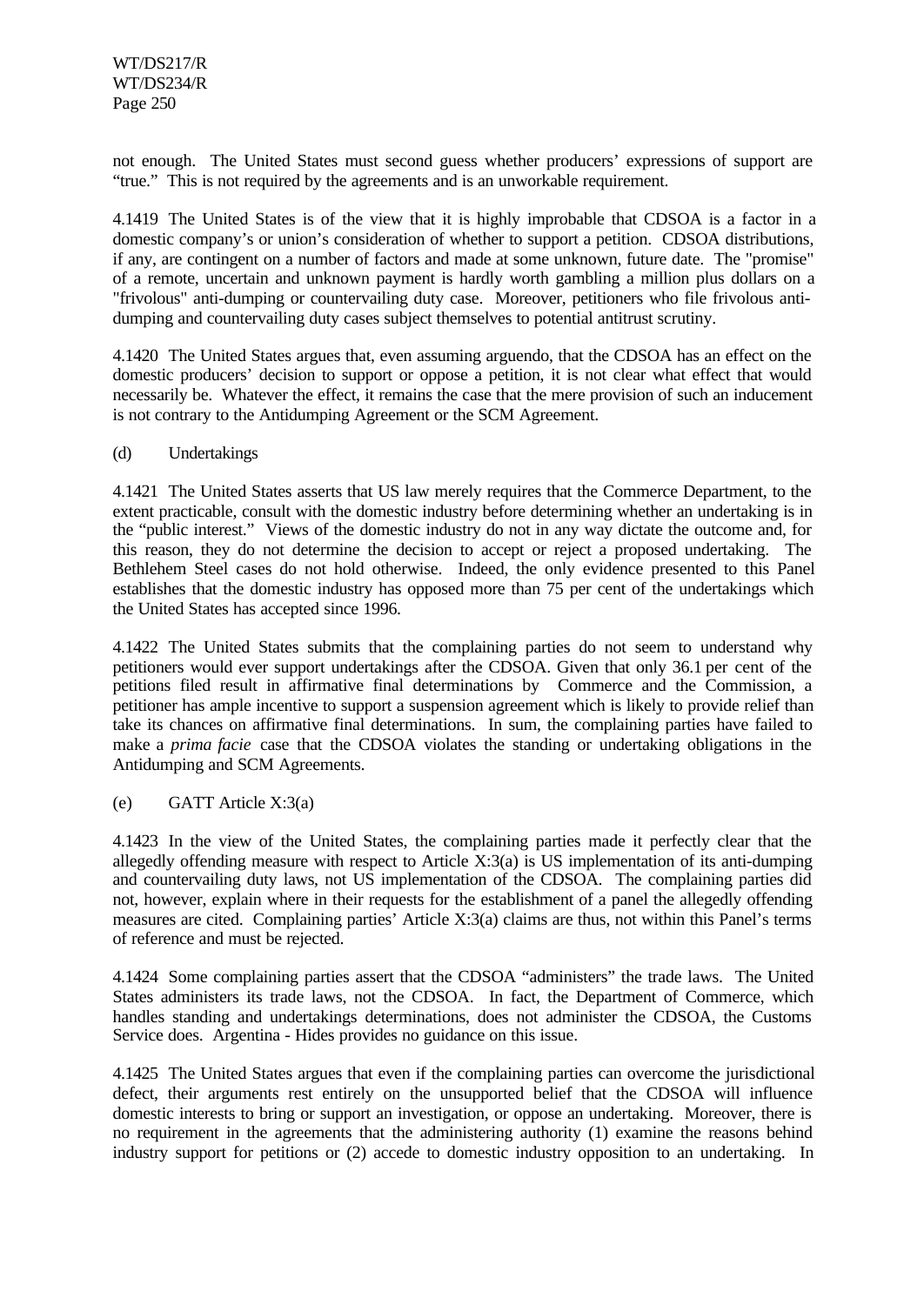not enough. The United States must second guess whether producers' expressions of support are "true." This is not required by the agreements and is an unworkable requirement.

4.1419 The United States is of the view that it is highly improbable that CDSOA is a factor in a domestic company's or union's consideration of whether to support a petition. CDSOA distributions, if any, are contingent on a number of factors and made at some unknown, future date. The "promise" of a remote, uncertain and unknown payment is hardly worth gambling a million plus dollars on a "frivolous" anti-dumping or countervailing duty case. Moreover, petitioners who file frivolous antidumping and countervailing duty cases subject themselves to potential antitrust scrutiny.

4.1420 The United States argues that, even assuming arguendo, that the CDSOA has an effect on the domestic producers' decision to support or oppose a petition, it is not clear what effect that would necessarily be. Whatever the effect, it remains the case that the mere provision of such an inducement is not contrary to the Antidumping Agreement or the SCM Agreement.

#### (d) Undertakings

4.1421 The United States asserts that US law merely requires that the Commerce Department, to the extent practicable, consult with the domestic industry before determining whether an undertaking is in the "public interest." Views of the domestic industry do not in any way dictate the outcome and, for this reason, they do not determine the decision to accept or reject a proposed undertaking. The Bethlehem Steel cases do not hold otherwise. Indeed, the only evidence presented to this Panel establishes that the domestic industry has opposed more than 75 per cent of the undertakings which the United States has accepted since 1996.

4.1422 The United States submits that the complaining parties do not seem to understand why petitioners would ever support undertakings after the CDSOA. Given that only 36.1 per cent of the petitions filed result in affirmative final determinations by Commerce and the Commission, a petitioner has ample incentive to support a suspension agreement which is likely to provide relief than take its chances on affirmative final determinations. In sum, the complaining parties have failed to make a *prima facie* case that the CDSOA violates the standing or undertaking obligations in the Antidumping and SCM Agreements.

#### (e) GATT Article X:3(a)

4.1423 In the view of the United States, the complaining parties made it perfectly clear that the allegedly offending measure with respect to Article X:3(a) is US implementation of its anti-dumping and countervailing duty laws, not US implementation of the CDSOA. The complaining parties did not, however, explain where in their requests for the establishment of a panel the allegedly offending measures are cited. Complaining parties' Article X:3(a) claims are thus, not within this Panel's terms of reference and must be rejected.

4.1424 Some complaining parties assert that the CDSOA "administers" the trade laws. The United States administers its trade laws, not the CDSOA. In fact, the Department of Commerce, which handles standing and undertakings determinations, does not administer the CDSOA, the Customs Service does. Argentina - Hides provides no guidance on this issue.

4.1425 The United States argues that even if the complaining parties can overcome the jurisdictional defect, their arguments rest entirely on the unsupported belief that the CDSOA will influence domestic interests to bring or support an investigation, or oppose an undertaking. Moreover, there is no requirement in the agreements that the administering authority (1) examine the reasons behind industry support for petitions or (2) accede to domestic industry opposition to an undertaking. In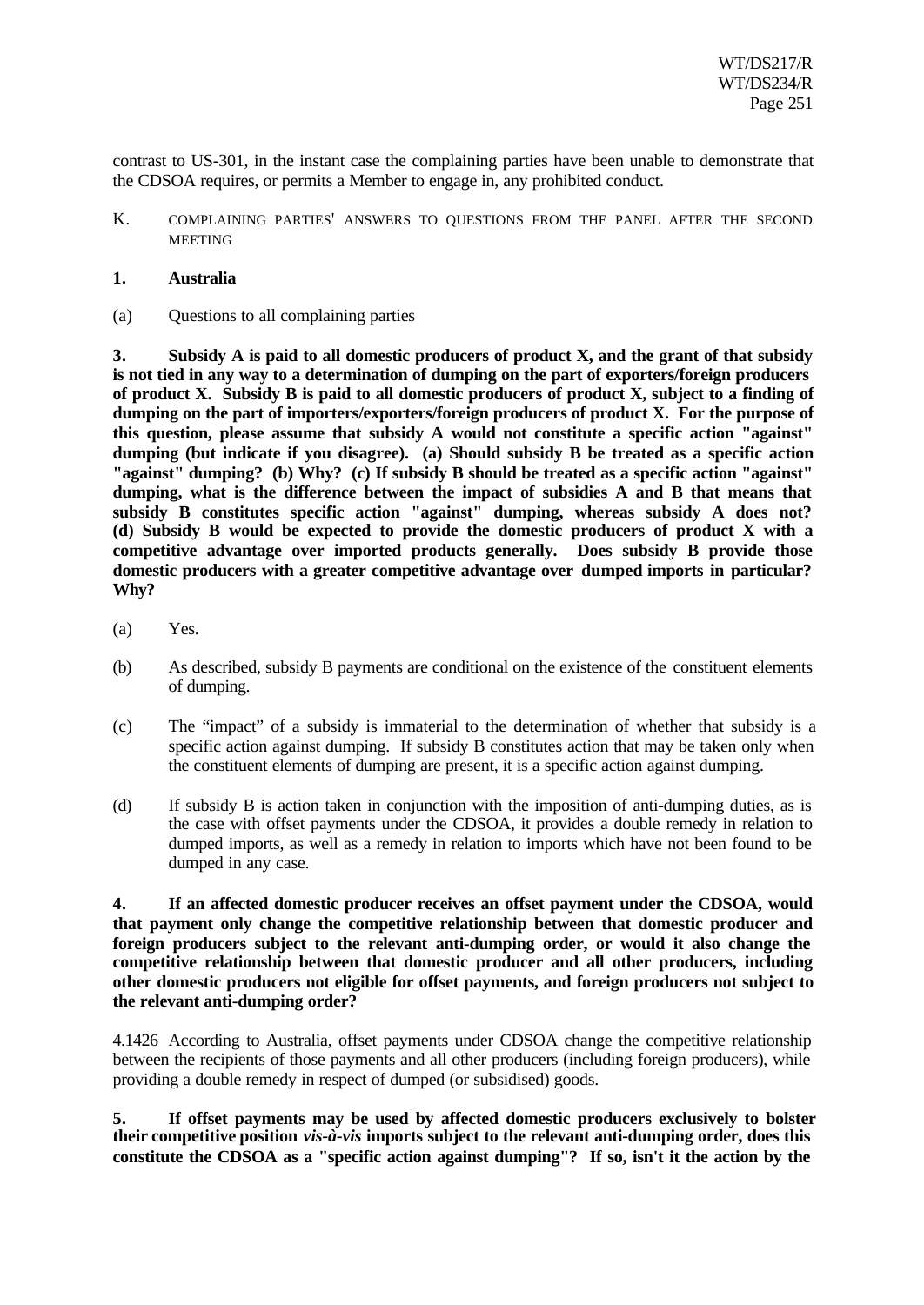contrast to US-301, in the instant case the complaining parties have been unable to demonstrate that the CDSOA requires, or permits a Member to engage in, any prohibited conduct.

K. COMPLAINING PARTIES' ANSWERS TO QUESTIONS FROM THE PANEL AFTER THE SECOND MEETING

#### **1. Australia**

(a) Questions to all complaining parties

**3. Subsidy A is paid to all domestic producers of product X, and the grant of that subsidy is not tied in any way to a determination of dumping on the part of exporters/foreign producers of product X. Subsidy B is paid to all domestic producers of product X, subject to a finding of dumping on the part of importers/exporters/foreign producers of product X. For the purpose of this question, please assume that subsidy A would not constitute a specific action "against" dumping (but indicate if you disagree). (a) Should subsidy B be treated as a specific action "against" dumping? (b) Why? (c) If subsidy B should be treated as a specific action "against" dumping, what is the difference between the impact of subsidies A and B that means that subsidy B constitutes specific action "against" dumping, whereas subsidy A does not? (d) Subsidy B would be expected to provide the domestic producers of product X with a competitive advantage over imported products generally. Does subsidy B provide those domestic producers with a greater competitive advantage over dumped imports in particular? Why?**

- (a) Yes.
- (b) As described, subsidy B payments are conditional on the existence of the constituent elements of dumping.
- (c) The "impact" of a subsidy is immaterial to the determination of whether that subsidy is a specific action against dumping. If subsidy B constitutes action that may be taken only when the constituent elements of dumping are present, it is a specific action against dumping.
- (d) If subsidy B is action taken in conjunction with the imposition of anti-dumping duties, as is the case with offset payments under the CDSOA, it provides a double remedy in relation to dumped imports, as well as a remedy in relation to imports which have not been found to be dumped in any case.

**4. If an affected domestic producer receives an offset payment under the CDSOA, would that payment only change the competitive relationship between that domestic producer and foreign producers subject to the relevant anti-dumping order, or would it also change the competitive relationship between that domestic producer and all other producers, including other domestic producers not eligible for offset payments, and foreign producers not subject to the relevant anti-dumping order?**

4.1426 According to Australia, offset payments under CDSOA change the competitive relationship between the recipients of those payments and all other producers (including foreign producers), while providing a double remedy in respect of dumped (or subsidised) goods.

**5. If offset payments may be used by affected domestic producers exclusively to bolster their competitive position** *vis-à-vis* **imports subject to the relevant anti-dumping order, does this constitute the CDSOA as a "specific action against dumping"? If so, isn't it the action by the**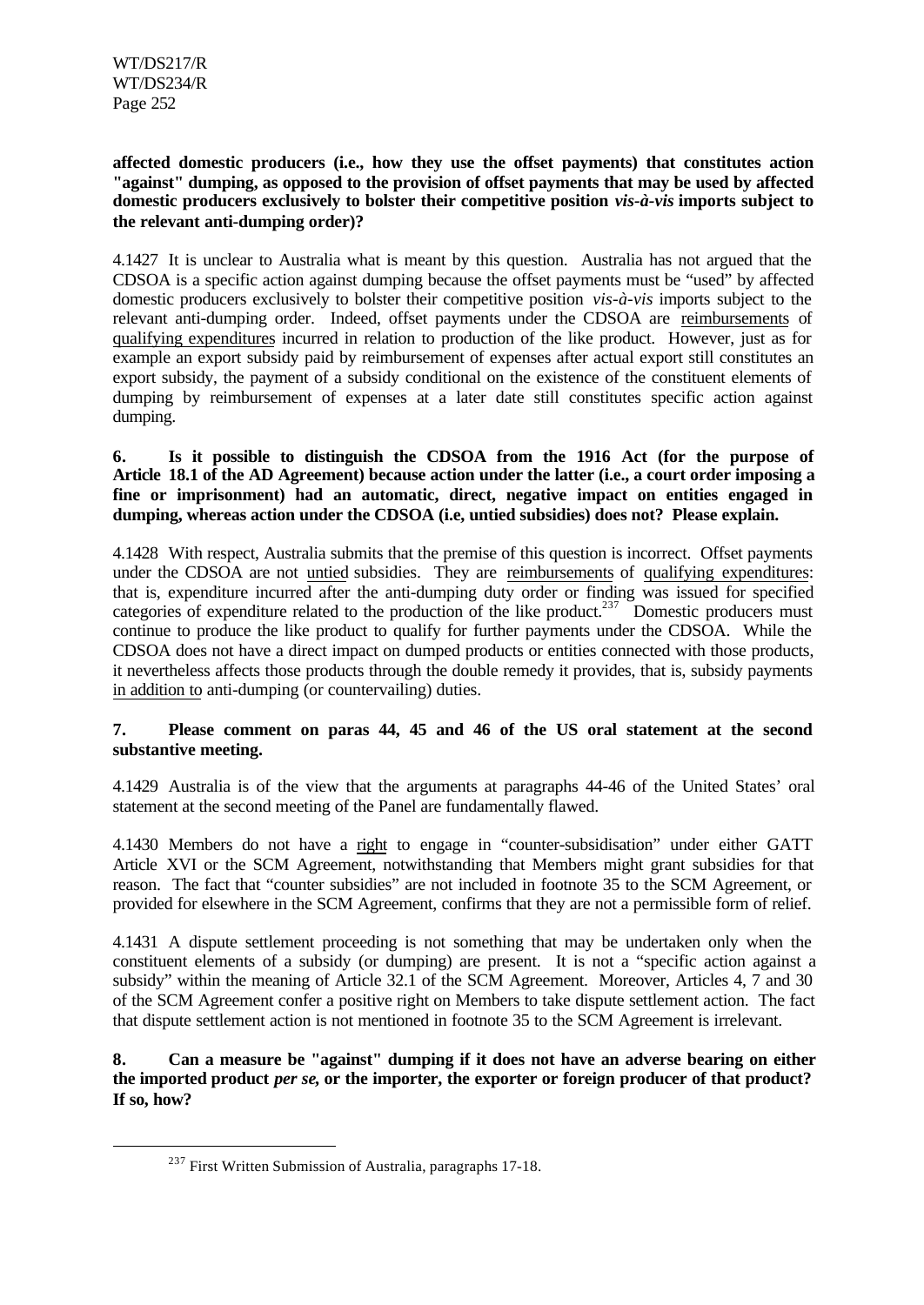## **affected domestic producers (i.e., how they use the offset payments) that constitutes action "against" dumping, as opposed to the provision of offset payments that may be used by affected domestic producers exclusively to bolster their competitive position** *vis-à-vis* **imports subject to the relevant anti-dumping order)?**

4.1427 It is unclear to Australia what is meant by this question. Australia has not argued that the CDSOA is a specific action against dumping because the offset payments must be "used" by affected domestic producers exclusively to bolster their competitive position *vis-à-vis* imports subject to the relevant anti-dumping order. Indeed, offset payments under the CDSOA are reimbursements of qualifying expenditures incurred in relation to production of the like product. However, just as for example an export subsidy paid by reimbursement of expenses after actual export still constitutes an export subsidy, the payment of a subsidy conditional on the existence of the constituent elements of dumping by reimbursement of expenses at a later date still constitutes specific action against dumping.

## **6. Is it possible to distinguish the CDSOA from the 1916 Act (for the purpose of Article 18.1 of the AD Agreement) because action under the latter (i.e., a court order imposing a fine or imprisonment) had an automatic, direct, negative impact on entities engaged in dumping, whereas action under the CDSOA (i.e, untied subsidies) does not? Please explain.**

4.1428 With respect, Australia submits that the premise of this question is incorrect. Offset payments under the CDSOA are not untied subsidies. They are reimbursements of qualifying expenditures: that is, expenditure incurred after the anti-dumping duty order or finding was issued for specified categories of expenditure related to the production of the like product.<sup>237</sup> Domestic producers must continue to produce the like product to qualify for further payments under the CDSOA. While the CDSOA does not have a direct impact on dumped products or entities connected with those products, it nevertheless affects those products through the double remedy it provides, that is, subsidy payments in addition to anti-dumping (or countervailing) duties.

# **7. Please comment on paras 44, 45 and 46 of the US oral statement at the second substantive meeting.**

4.1429 Australia is of the view that the arguments at paragraphs 44-46 of the United States' oral statement at the second meeting of the Panel are fundamentally flawed.

4.1430 Members do not have a right to engage in "counter-subsidisation" under either GATT Article XVI or the SCM Agreement, notwithstanding that Members might grant subsidies for that reason. The fact that "counter subsidies" are not included in footnote 35 to the SCM Agreement, or provided for elsewhere in the SCM Agreement, confirms that they are not a permissible form of relief.

4.1431 A dispute settlement proceeding is not something that may be undertaken only when the constituent elements of a subsidy (or dumping) are present. It is not a "specific action against a subsidy" within the meaning of Article 32.1 of the SCM Agreement. Moreover, Articles 4, 7 and 30 of the SCM Agreement confer a positive right on Members to take dispute settlement action. The fact that dispute settlement action is not mentioned in footnote 35 to the SCM Agreement is irrelevant.

## **8. Can a measure be "against" dumping if it does not have an adverse bearing on either the imported product** *per se***, or the importer, the exporter or foreign producer of that product? If so, how?**

l

<sup>&</sup>lt;sup>237</sup> First Written Submission of Australia, paragraphs 17-18.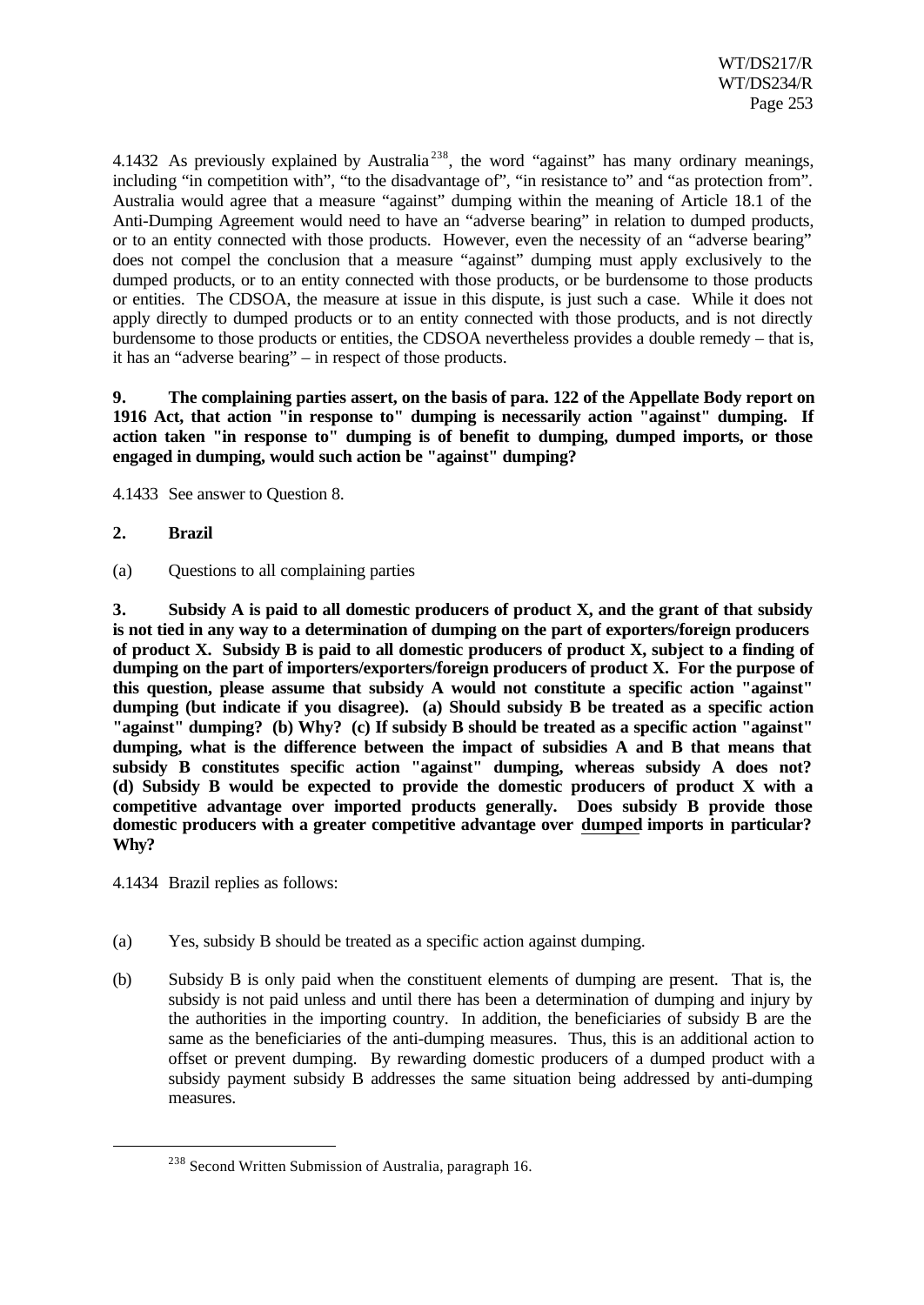4.1432 As previously explained by Australia<sup>238</sup>, the word "against" has many ordinary meanings, including "in competition with", "to the disadvantage of", "in resistance to" and "as protection from". Australia would agree that a measure "against" dumping within the meaning of Article 18.1 of the Anti-Dumping Agreement would need to have an "adverse bearing" in relation to dumped products, or to an entity connected with those products. However, even the necessity of an "adverse bearing" does not compel the conclusion that a measure "against" dumping must apply exclusively to the dumped products, or to an entity connected with those products, or be burdensome to those products or entities. The CDSOA, the measure at issue in this dispute, is just such a case. While it does not apply directly to dumped products or to an entity connected with those products, and is not directly burdensome to those products or entities, the CDSOA nevertheless provides a double remedy – that is, it has an "adverse bearing" – in respect of those products.

**9. The complaining parties assert, on the basis of para. 122 of the Appellate Body report on 1916 Act, that action "in response to" dumping is necessarily action "against" dumping. If action taken "in response to" dumping is of benefit to dumping, dumped imports, or those engaged in dumping, would such action be "against" dumping?**

4.1433 See answer to Question 8.

## **2. Brazil**

(a) Questions to all complaining parties

**3. Subsidy A is paid to all domestic producers of product X, and the grant of that subsidy is not tied in any way to a determination of dumping on the part of exporters/foreign producers of product X. Subsidy B is paid to all domestic producers of product X, subject to a finding of dumping on the part of importers/exporters/foreign producers of product X. For the purpose of this question, please assume that subsidy A would not constitute a specific action "against" dumping (but indicate if you disagree). (a) Should subsidy B be treated as a specific action "against" dumping? (b) Why? (c) If subsidy B should be treated as a specific action "against" dumping, what is the difference between the impact of subsidies A and B that means that subsidy B constitutes specific action "against" dumping, whereas subsidy A does not? (d) Subsidy B would be expected to provide the domestic producers of product X with a competitive advantage over imported products generally. Does subsidy B provide those domestic producers with a greater competitive advantage over dumped imports in particular? Why?**

4.1434 Brazil replies as follows:

l

- (a) Yes, subsidy B should be treated as a specific action against dumping.
- (b) Subsidy B is only paid when the constituent elements of dumping are present. That is, the subsidy is not paid unless and until there has been a determination of dumping and injury by the authorities in the importing country. In addition, the beneficiaries of subsidy B are the same as the beneficiaries of the anti-dumping measures. Thus, this is an additional action to offset or prevent dumping. By rewarding domestic producers of a dumped product with a subsidy payment subsidy B addresses the same situation being addressed by anti-dumping measures.

<sup>238</sup> Second Written Submission of Australia, paragraph 16.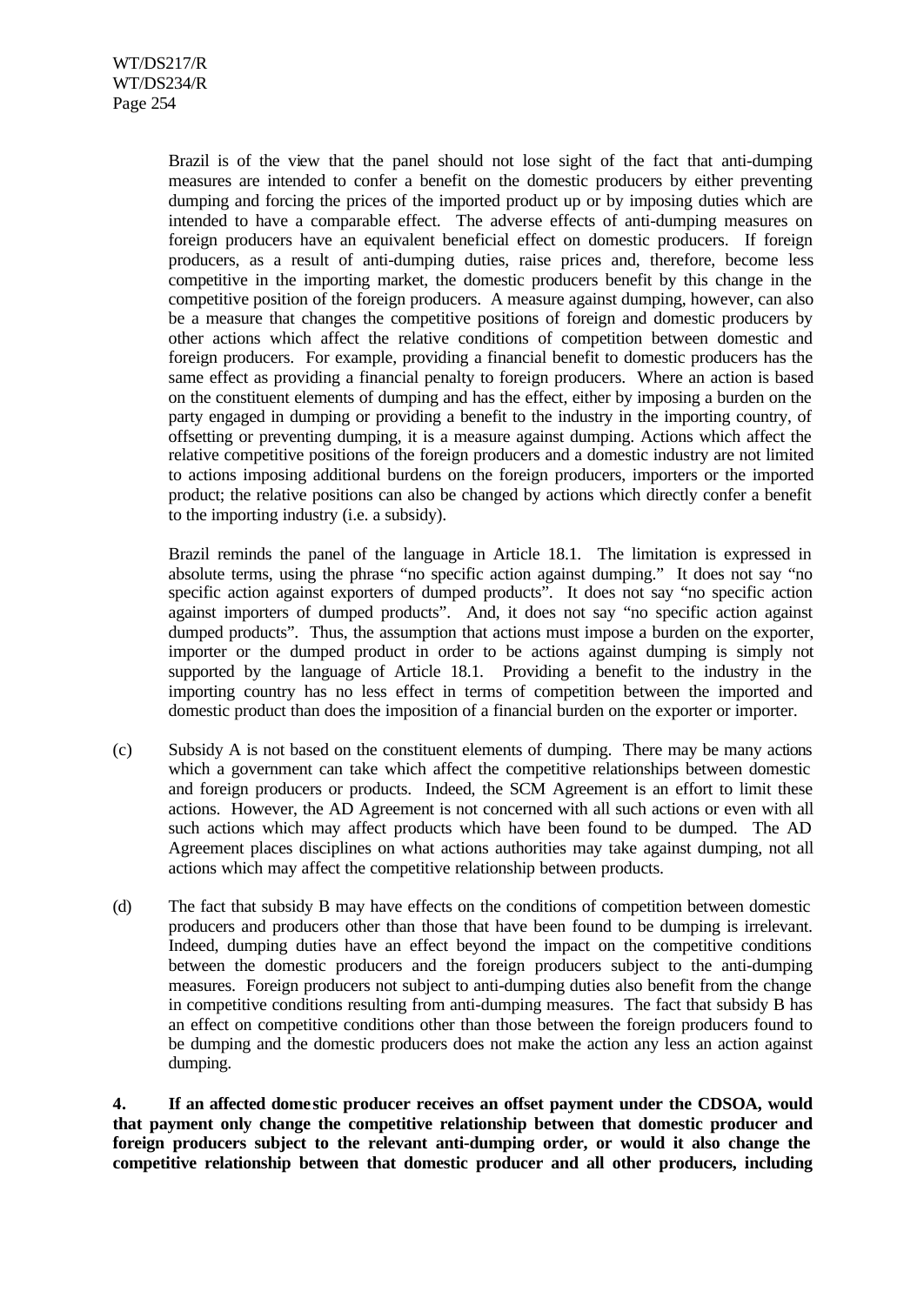Brazil is of the view that the panel should not lose sight of the fact that anti-dumping measures are intended to confer a benefit on the domestic producers by either preventing dumping and forcing the prices of the imported product up or by imposing duties which are intended to have a comparable effect. The adverse effects of anti-dumping measures on foreign producers have an equivalent beneficial effect on domestic producers. If foreign producers, as a result of anti-dumping duties, raise prices and, therefore, become less competitive in the importing market, the domestic producers benefit by this change in the competitive position of the foreign producers. A measure against dumping, however, can also be a measure that changes the competitive positions of foreign and domestic producers by other actions which affect the relative conditions of competition between domestic and foreign producers. For example, providing a financial benefit to domestic producers has the same effect as providing a financial penalty to foreign producers. Where an action is based on the constituent elements of dumping and has the effect, either by imposing a burden on the party engaged in dumping or providing a benefit to the industry in the importing country, of offsetting or preventing dumping, it is a measure against dumping. Actions which affect the relative competitive positions of the foreign producers and a domestic industry are not limited to actions imposing additional burdens on the foreign producers, importers or the imported product; the relative positions can also be changed by actions which directly confer a benefit to the importing industry (i.e. a subsidy).

Brazil reminds the panel of the language in Article 18.1. The limitation is expressed in absolute terms, using the phrase "no specific action against dumping." It does not say "no specific action against exporters of dumped products". It does not say "no specific action against importers of dumped products". And, it does not say "no specific action against dumped products". Thus, the assumption that actions must impose a burden on the exporter, importer or the dumped product in order to be actions against dumping is simply not supported by the language of Article 18.1. Providing a benefit to the industry in the importing country has no less effect in terms of competition between the imported and domestic product than does the imposition of a financial burden on the exporter or importer.

- (c) Subsidy A is not based on the constituent elements of dumping. There may be many actions which a government can take which affect the competitive relationships between domestic and foreign producers or products. Indeed, the SCM Agreement is an effort to limit these actions. However, the AD Agreement is not concerned with all such actions or even with all such actions which may affect products which have been found to be dumped. The AD Agreement places disciplines on what actions authorities may take against dumping, not all actions which may affect the competitive relationship between products.
- (d) The fact that subsidy B may have effects on the conditions of competition between domestic producers and producers other than those that have been found to be dumping is irrelevant. Indeed, dumping duties have an effect beyond the impact on the competitive conditions between the domestic producers and the foreign producers subject to the anti-dumping measures. Foreign producers not subject to anti-dumping duties also benefit from the change in competitive conditions resulting from anti-dumping measures. The fact that subsidy B has an effect on competitive conditions other than those between the foreign producers found to be dumping and the domestic producers does not make the action any less an action against dumping.

**4. If an affected domestic producer receives an offset payment under the CDSOA, would that payment only change the competitive relationship between that domestic producer and foreign producers subject to the relevant anti-dumping order, or would it also change the competitive relationship between that domestic producer and all other producers, including**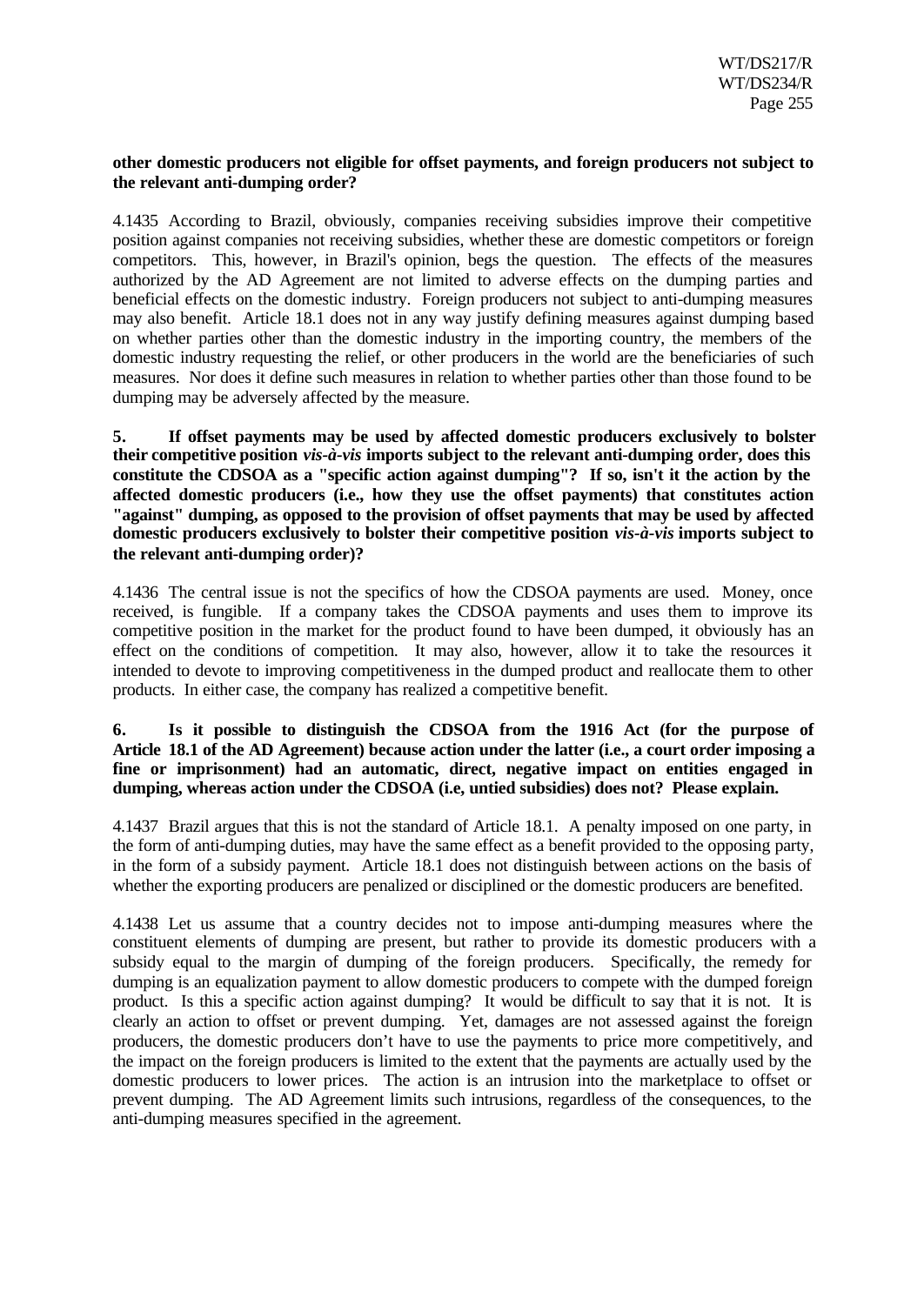### **other domestic producers not eligible for offset payments, and foreign producers not subject to the relevant anti-dumping order?**

4.1435 According to Brazil, obviously, companies receiving subsidies improve their competitive position against companies not receiving subsidies, whether these are domestic competitors or foreign competitors. This, however, in Brazil's opinion, begs the question. The effects of the measures authorized by the AD Agreement are not limited to adverse effects on the dumping parties and beneficial effects on the domestic industry. Foreign producers not subject to anti-dumping measures may also benefit. Article 18.1 does not in any way justify defining measures against dumping based on whether parties other than the domestic industry in the importing country, the members of the domestic industry requesting the relief, or other producers in the world are the beneficiaries of such measures. Nor does it define such measures in relation to whether parties other than those found to be dumping may be adversely affected by the measure.

**5. If offset payments may be used by affected domestic producers exclusively to bolster their competitive position** *vis-à-vis* **imports subject to the relevant anti-dumping order, does this constitute the CDSOA as a "specific action against dumping"? If so, isn't it the action by the affected domestic producers (i.e., how they use the offset payments) that constitutes action "against" dumping, as opposed to the provision of offset payments that may be used by affected domestic producers exclusively to bolster their competitive position** *vis-à-vis* **imports subject to the relevant anti-dumping order)?**

4.1436 The central issue is not the specifics of how the CDSOA payments are used. Money, once received, is fungible. If a company takes the CDSOA payments and uses them to improve its competitive position in the market for the product found to have been dumped, it obviously has an effect on the conditions of competition. It may also, however, allow it to take the resources it intended to devote to improving competitiveness in the dumped product and reallocate them to other products. In either case, the company has realized a competitive benefit.

### **6. Is it possible to distinguish the CDSOA from the 1916 Act (for the purpose of Article 18.1 of the AD Agreement) because action under the latter (i.e., a court order imposing a fine or imprisonment) had an automatic, direct, negative impact on entities engaged in dumping, whereas action under the CDSOA (i.e, untied subsidies) does not? Please explain.**

4.1437 Brazil argues that this is not the standard of Article 18.1. A penalty imposed on one party, in the form of anti-dumping duties, may have the same effect as a benefit provided to the opposing party, in the form of a subsidy payment. Article 18.1 does not distinguish between actions on the basis of whether the exporting producers are penalized or disciplined or the domestic producers are benefited.

4.1438 Let us assume that a country decides not to impose anti-dumping measures where the constituent elements of dumping are present, but rather to provide its domestic producers with a subsidy equal to the margin of dumping of the foreign producers. Specifically, the remedy for dumping is an equalization payment to allow domestic producers to compete with the dumped foreign product. Is this a specific action against dumping? It would be difficult to say that it is not. It is clearly an action to offset or prevent dumping. Yet, damages are not assessed against the foreign producers, the domestic producers don't have to use the payments to price more competitively, and the impact on the foreign producers is limited to the extent that the payments are actually used by the domestic producers to lower prices. The action is an intrusion into the marketplace to offset or prevent dumping. The AD Agreement limits such intrusions, regardless of the consequences, to the anti-dumping measures specified in the agreement.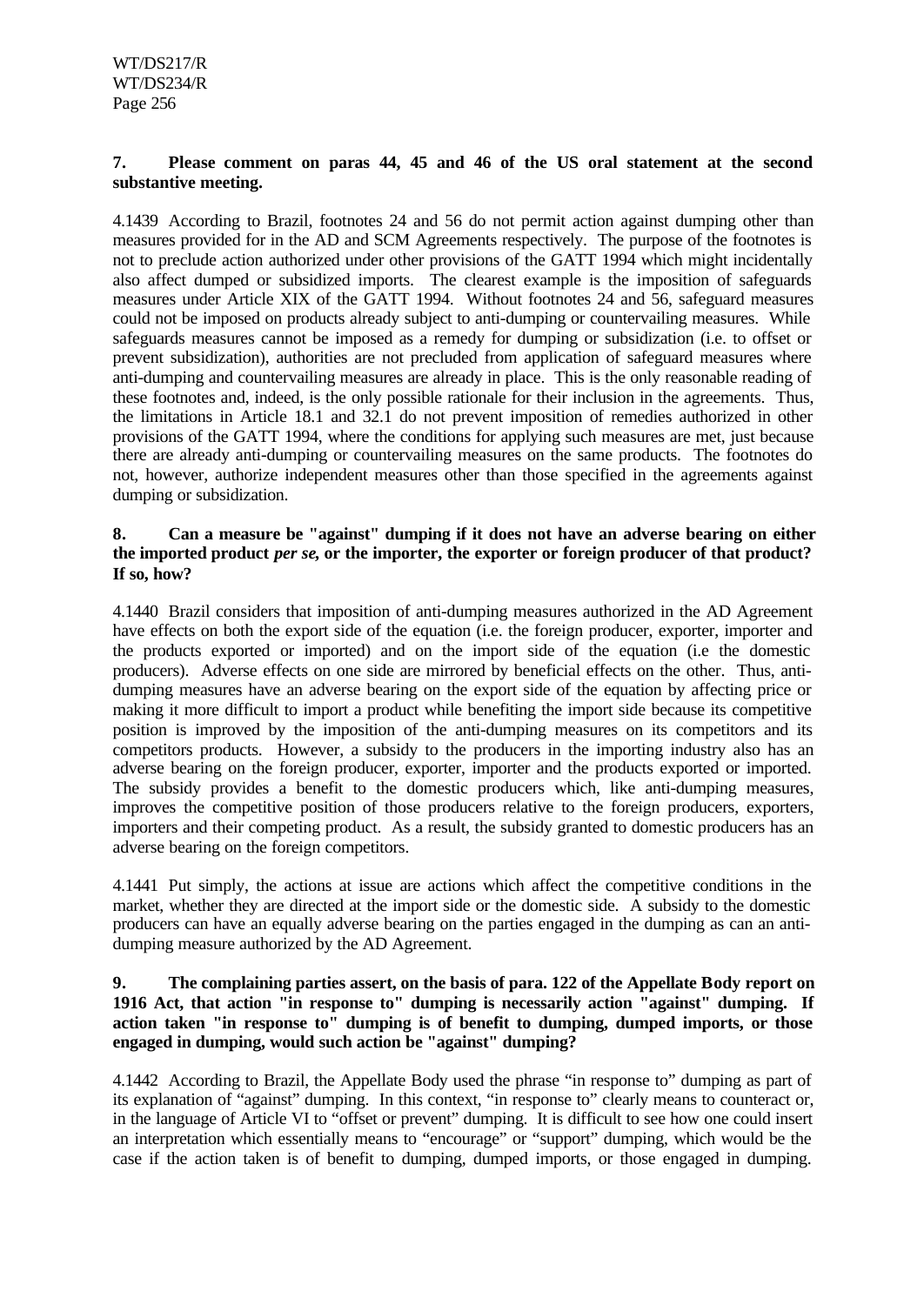## **7. Please comment on paras 44, 45 and 46 of the US oral statement at the second substantive meeting.**

4.1439 According to Brazil, footnotes 24 and 56 do not permit action against dumping other than measures provided for in the AD and SCM Agreements respectively. The purpose of the footnotes is not to preclude action authorized under other provisions of the GATT 1994 which might incidentally also affect dumped or subsidized imports. The clearest example is the imposition of safeguards measures under Article XIX of the GATT 1994. Without footnotes 24 and 56, safeguard measures could not be imposed on products already subject to anti-dumping or countervailing measures. While safeguards measures cannot be imposed as a remedy for dumping or subsidization (i.e. to offset or prevent subsidization), authorities are not precluded from application of safeguard measures where anti-dumping and countervailing measures are already in place. This is the only reasonable reading of these footnotes and, indeed, is the only possible rationale for their inclusion in the agreements. Thus, the limitations in Article 18.1 and 32.1 do not prevent imposition of remedies authorized in other provisions of the GATT 1994, where the conditions for applying such measures are met, just because there are already anti-dumping or countervailing measures on the same products. The footnotes do not, however, authorize independent measures other than those specified in the agreements against dumping or subsidization.

## **8. Can a measure be "against" dumping if it does not have an adverse bearing on either the imported product** *per se***, or the importer, the exporter or foreign producer of that product? If so, how?**

4.1440 Brazil considers that imposition of anti-dumping measures authorized in the AD Agreement have effects on both the export side of the equation (i.e. the foreign producer, exporter, importer and the products exported or imported) and on the import side of the equation (i.e the domestic producers). Adverse effects on one side are mirrored by beneficial effects on the other. Thus, antidumping measures have an adverse bearing on the export side of the equation by affecting price or making it more difficult to import a product while benefiting the import side because its competitive position is improved by the imposition of the anti-dumping measures on its competitors and its competitors products. However, a subsidy to the producers in the importing industry also has an adverse bearing on the foreign producer, exporter, importer and the products exported or imported. The subsidy provides a benefit to the domestic producers which, like anti-dumping measures, improves the competitive position of those producers relative to the foreign producers, exporters, importers and their competing product. As a result, the subsidy granted to domestic producers has an adverse bearing on the foreign competitors.

4.1441 Put simply, the actions at issue are actions which affect the competitive conditions in the market, whether they are directed at the import side or the domestic side. A subsidy to the domestic producers can have an equally adverse bearing on the parties engaged in the dumping as can an antidumping measure authorized by the AD Agreement.

## **9. The complaining parties assert, on the basis of para. 122 of the Appellate Body report on 1916 Act, that action "in response to" dumping is necessarily action "against" dumping. If action taken "in response to" dumping is of benefit to dumping, dumped imports, or those engaged in dumping, would such action be "against" dumping?**

4.1442 According to Brazil, the Appellate Body used the phrase "in response to" dumping as part of its explanation of "against" dumping. In this context, "in response to" clearly means to counteract or, in the language of Article VI to "offset or prevent" dumping. It is difficult to see how one could insert an interpretation which essentially means to "encourage" or "support" dumping, which would be the case if the action taken is of benefit to dumping, dumped imports, or those engaged in dumping.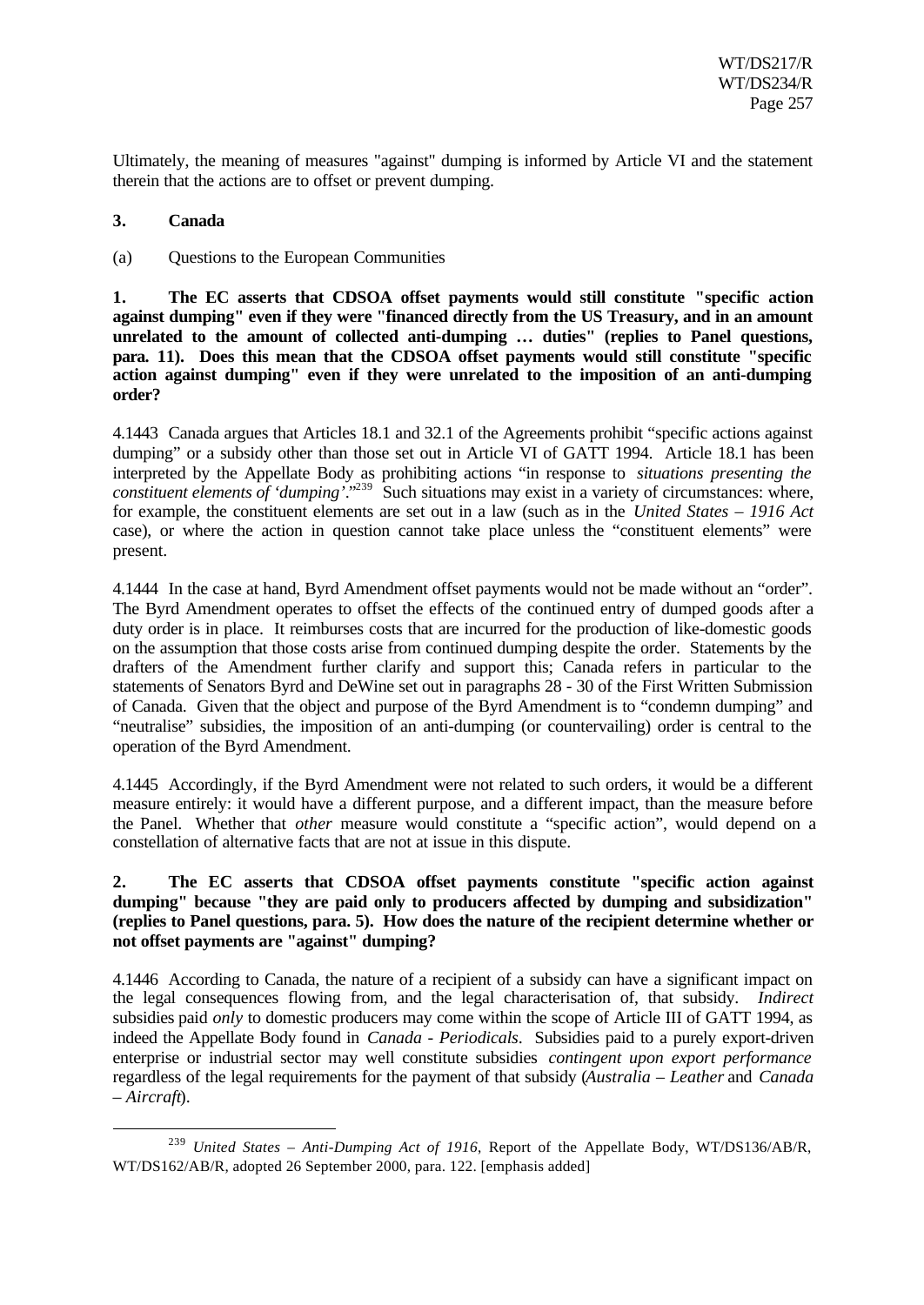Ultimately, the meaning of measures "against" dumping is informed by Article VI and the statement therein that the actions are to offset or prevent dumping.

#### **3. Canada**

l

(a) Questions to the European Communities

**1. The EC asserts that CDSOA offset payments would still constitute "specific action against dumping" even if they were "financed directly from the US Treasury, and in an amount unrelated to the amount of collected anti-dumping … duties" (replies to Panel questions, para. 11). Does this mean that the CDSOA offset payments would still constitute "specific action against dumping" even if they were unrelated to the imposition of an anti-dumping order?**

4.1443 Canada argues that Articles 18.1 and 32.1 of the Agreements prohibit "specific actions against dumping" or a subsidy other than those set out in Article VI of GATT 1994. Article 18.1 has been interpreted by the Appellate Body as prohibiting actions "in response to *situations presenting the constituent elements of 'dumping'*."<sup>239</sup> Such situations may exist in a variety of circumstances: where, for example, the constituent elements are set out in a law (such as in the *United States – 1916 Act* case), or where the action in question cannot take place unless the "constituent elements" were present.

4.1444 In the case at hand, Byrd Amendment offset payments would not be made without an "order". The Byrd Amendment operates to offset the effects of the continued entry of dumped goods after a duty order is in place. It reimburses costs that are incurred for the production of like-domestic goods on the assumption that those costs arise from continued dumping despite the order. Statements by the drafters of the Amendment further clarify and support this; Canada refers in particular to the statements of Senators Byrd and DeWine set out in paragraphs 28 - 30 of the First Written Submission of Canada. Given that the object and purpose of the Byrd Amendment is to "condemn dumping" and "neutralise" subsidies, the imposition of an anti-dumping (or countervailing) order is central to the operation of the Byrd Amendment.

4.1445 Accordingly, if the Byrd Amendment were not related to such orders, it would be a different measure entirely: it would have a different purpose, and a different impact, than the measure before the Panel. Whether that *other* measure would constitute a "specific action", would depend on a constellation of alternative facts that are not at issue in this dispute.

## **2. The EC asserts that CDSOA offset payments constitute "specific action against dumping" because "they are paid only to producers affected by dumping and subsidization" (replies to Panel questions, para. 5). How does the nature of the recipient determine whether or not offset payments are "against" dumping?**

4.1446 According to Canada, the nature of a recipient of a subsidy can have a significant impact on the legal consequences flowing from, and the legal characterisation of, that subsidy. *Indirect* subsidies paid *only* to domestic producers may come within the scope of Article III of GATT 1994, as indeed the Appellate Body found in *Canada - Periodicals*. Subsidies paid to a purely export-driven enterprise or industrial sector may well constitute subsidies *contingent upon export performance* regardless of the legal requirements for the payment of that subsidy (*Australia – Leather* and *Canada – Aircraft*).

<sup>239</sup> *United States – Anti-Dumping Act of 1916*, Report of the Appellate Body, WT/DS136/AB/R, WT/DS162/AB/R, adopted 26 September 2000, para. 122. [emphasis added]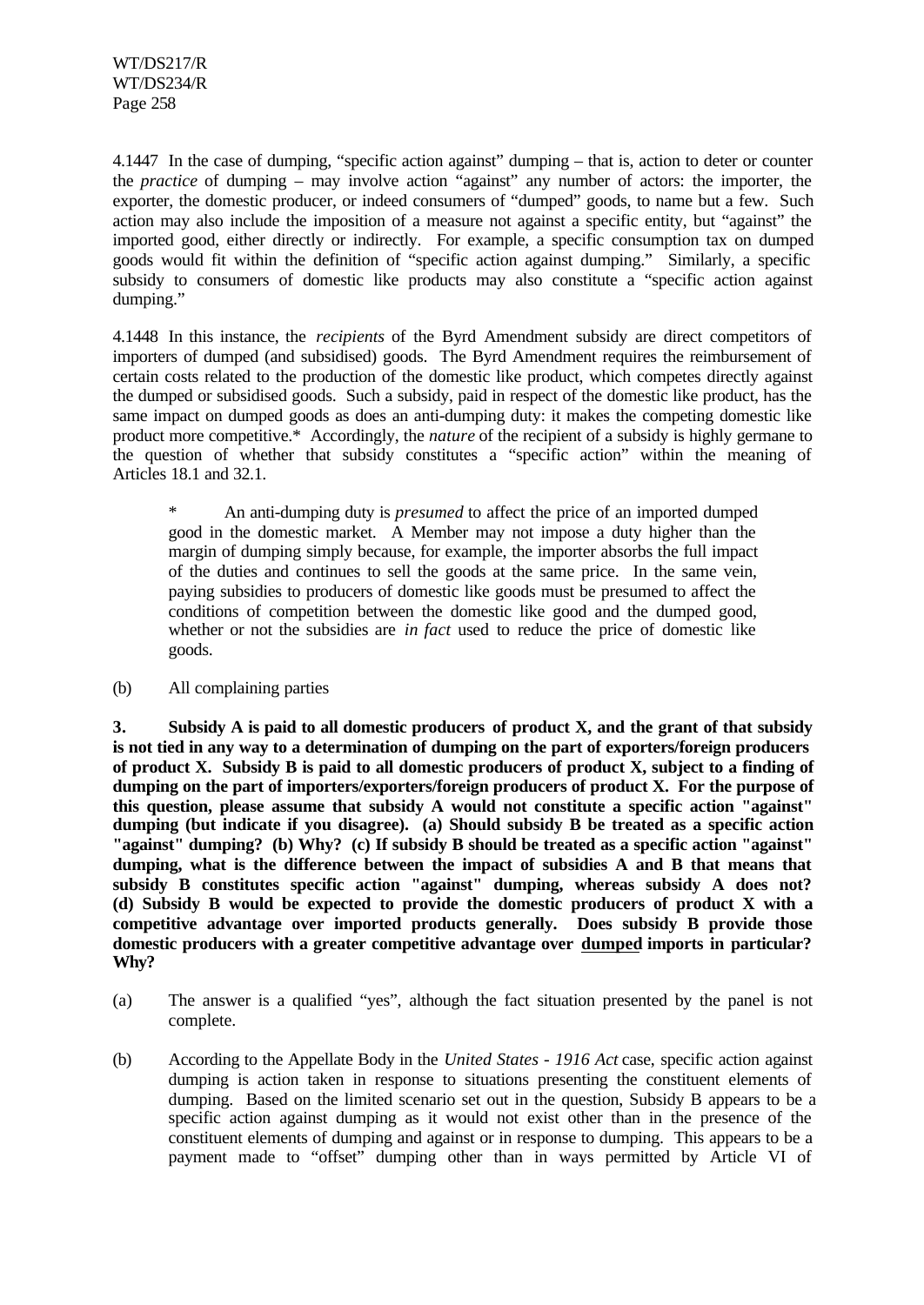4.1447 In the case of dumping, "specific action against" dumping – that is, action to deter or counter the *practice* of dumping – may involve action "against" any number of actors: the importer, the exporter, the domestic producer, or indeed consumers of "dumped" goods, to name but a few. Such action may also include the imposition of a measure not against a specific entity, but "against" the imported good, either directly or indirectly. For example, a specific consumption tax on dumped goods would fit within the definition of "specific action against dumping." Similarly, a specific subsidy to consumers of domestic like products may also constitute a "specific action against dumping."

4.1448 In this instance, the *recipients* of the Byrd Amendment subsidy are direct competitors of importers of dumped (and subsidised) goods. The Byrd Amendment requires the reimbursement of certain costs related to the production of the domestic like product, which competes directly against the dumped or subsidised goods. Such a subsidy, paid in respect of the domestic like product, has the same impact on dumped goods as does an anti-dumping duty: it makes the competing domestic like product more competitive.\* Accordingly, the *nature* of the recipient of a subsidy is highly germane to the question of whether that subsidy constitutes a "specific action" within the meaning of Articles 18.1 and 32.1.

An anti-dumping duty is *presumed* to affect the price of an imported dumped good in the domestic market. A Member may not impose a duty higher than the margin of dumping simply because, for example, the importer absorbs the full impact of the duties and continues to sell the goods at the same price. In the same vein, paying subsidies to producers of domestic like goods must be presumed to affect the conditions of competition between the domestic like good and the dumped good, whether or not the subsidies are *in fact* used to reduce the price of domestic like goods.

(b) All complaining parties

**3. Subsidy A is paid to all domestic producers of product X, and the grant of that subsidy is not tied in any way to a determination of dumping on the part of exporters/foreign producers of product X. Subsidy B is paid to all domestic producers of product X, subject to a finding of dumping on the part of importers/exporters/foreign producers of product X. For the purpose of this question, please assume that subsidy A would not constitute a specific action "against" dumping (but indicate if you disagree). (a) Should subsidy B be treated as a specific action "against" dumping? (b) Why? (c) If subsidy B should be treated as a specific action "against" dumping, what is the difference between the impact of subsidies A and B that means that subsidy B constitutes specific action "against" dumping, whereas subsidy A does not? (d) Subsidy B would be expected to provide the domestic producers of product X with a competitive advantage over imported products generally. Does subsidy B provide those domestic producers with a greater competitive advantage over dumped imports in particular? Why?**

- (a) The answer is a qualified "yes", although the fact situation presented by the panel is not complete.
- (b) According to the Appellate Body in the *United States 1916 Act* case, specific action against dumping is action taken in response to situations presenting the constituent elements of dumping. Based on the limited scenario set out in the question, Subsidy B appears to be a specific action against dumping as it would not exist other than in the presence of the constituent elements of dumping and against or in response to dumping. This appears to be a payment made to "offset" dumping other than in ways permitted by Article VI of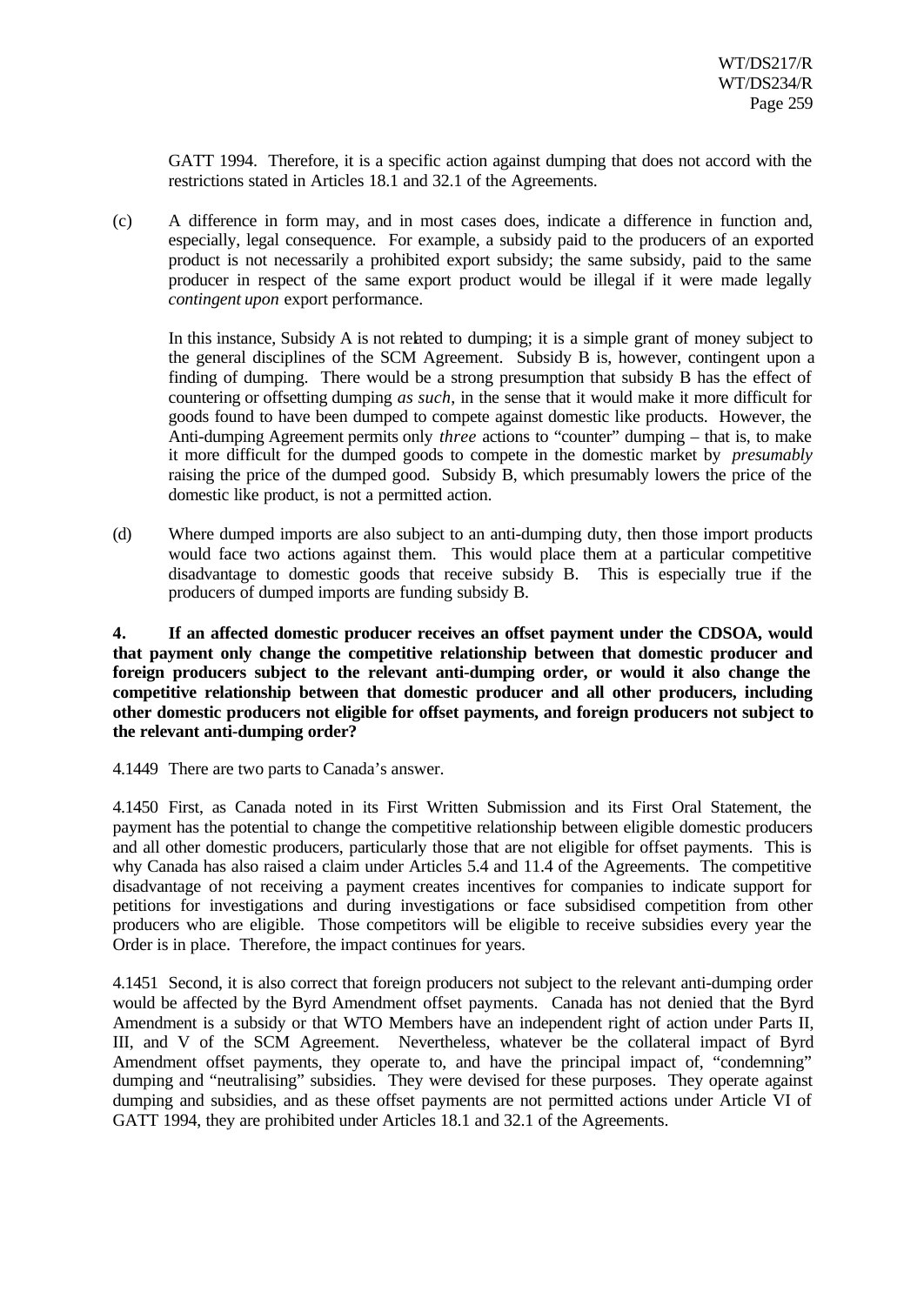GATT 1994. Therefore, it is a specific action against dumping that does not accord with the restrictions stated in Articles 18.1 and 32.1 of the Agreements.

(c) A difference in form may, and in most cases does, indicate a difference in function and, especially, legal consequence. For example, a subsidy paid to the producers of an exported product is not necessarily a prohibited export subsidy; the same subsidy, paid to the same producer in respect of the same export product would be illegal if it were made legally *contingent upon* export performance.

In this instance, Subsidy A is not related to dumping; it is a simple grant of money subject to the general disciplines of the SCM Agreement. Subsidy B is, however, contingent upon a finding of dumping. There would be a strong presumption that subsidy B has the effect of countering or offsetting dumping *as such*, in the sense that it would make it more difficult for goods found to have been dumped to compete against domestic like products. However, the Anti-dumping Agreement permits only *three* actions to "counter" dumping – that is, to make it more difficult for the dumped goods to compete in the domestic market by *presumably* raising the price of the dumped good. Subsidy B, which presumably lowers the price of the domestic like product, is not a permitted action.

(d) Where dumped imports are also subject to an anti-dumping duty, then those import products would face two actions against them. This would place them at a particular competitive disadvantage to domestic goods that receive subsidy B. This is especially true if the producers of dumped imports are funding subsidy B.

**4. If an affected domestic producer receives an offset payment under the CDSOA, would that payment only change the competitive relationship between that domestic producer and foreign producers subject to the relevant anti-dumping order, or would it also change the competitive relationship between that domestic producer and all other producers, including other domestic producers not eligible for offset payments, and foreign producers not subject to the relevant anti-dumping order?**

4.1449 There are two parts to Canada's answer.

4.1450 First, as Canada noted in its First Written Submission and its First Oral Statement, the payment has the potential to change the competitive relationship between eligible domestic producers and all other domestic producers, particularly those that are not eligible for offset payments. This is why Canada has also raised a claim under Articles 5.4 and 11.4 of the Agreements. The competitive disadvantage of not receiving a payment creates incentives for companies to indicate support for petitions for investigations and during investigations or face subsidised competition from other producers who are eligible. Those competitors will be eligible to receive subsidies every year the Order is in place. Therefore, the impact continues for years.

4.1451 Second, it is also correct that foreign producers not subject to the relevant anti-dumping order would be affected by the Byrd Amendment offset payments. Canada has not denied that the Byrd Amendment is a subsidy or that WTO Members have an independent right of action under Parts II, III, and V of the SCM Agreement. Nevertheless, whatever be the collateral impact of Byrd Amendment offset payments, they operate to, and have the principal impact of, "condemning" dumping and "neutralising" subsidies. They were devised for these purposes. They operate against dumping and subsidies, and as these offset payments are not permitted actions under Article VI of GATT 1994, they are prohibited under Articles 18.1 and 32.1 of the Agreements.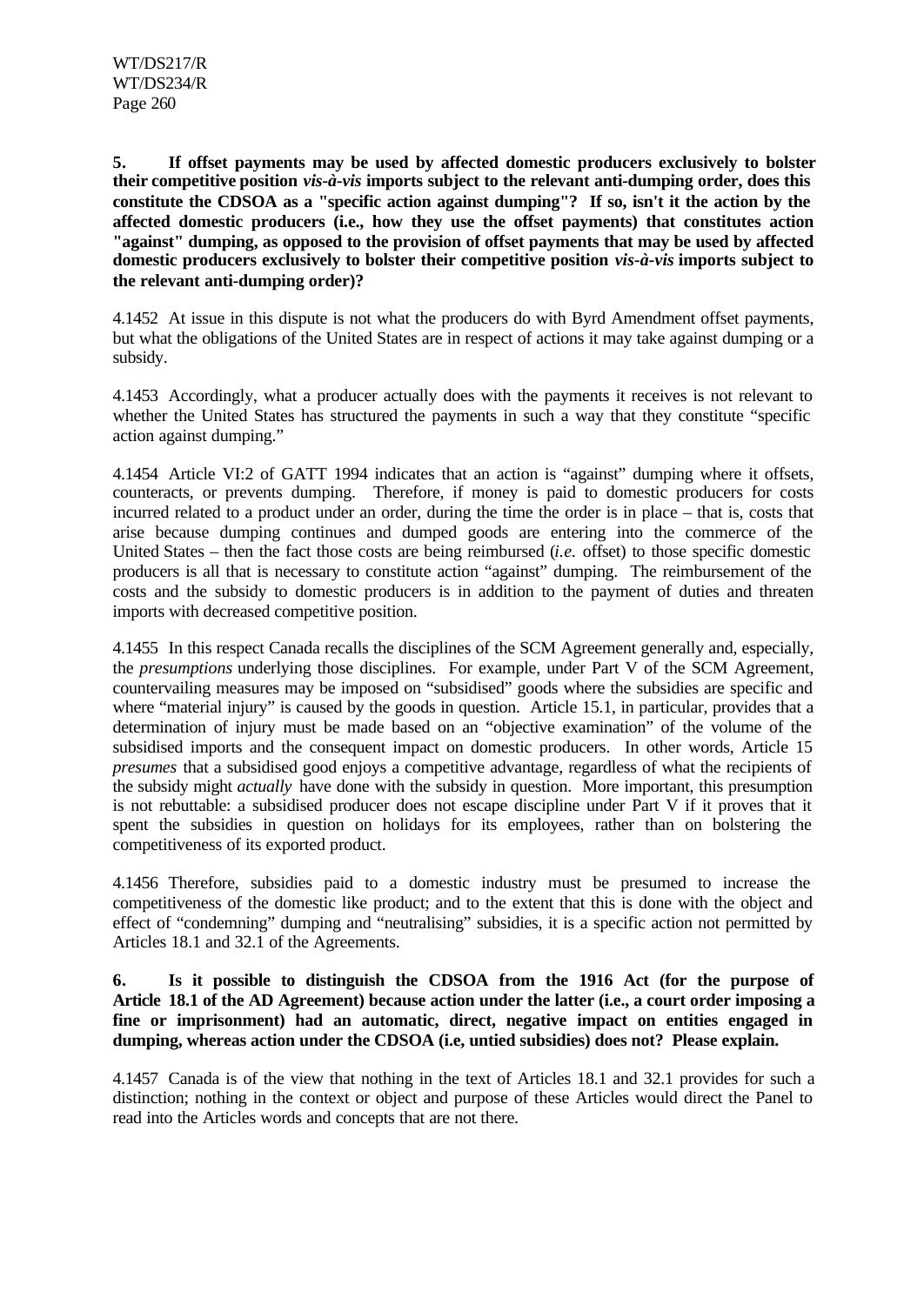**5. If offset payments may be used by affected domestic producers exclusively to bolster their competitive position** *vis-à-vis* **imports subject to the relevant anti-dumping order, does this constitute the CDSOA as a "specific action against dumping"? If so, isn't it the action by the affected domestic producers (i.e., how they use the offset payments) that constitutes action "against" dumping, as opposed to the provision of offset payments that may be used by affected domestic producers exclusively to bolster their competitive position** *vis-à-vis* **imports subject to the relevant anti-dumping order)?**

4.1452 At issue in this dispute is not what the producers do with Byrd Amendment offset payments, but what the obligations of the United States are in respect of actions it may take against dumping or a subsidy.

4.1453 Accordingly, what a producer actually does with the payments it receives is not relevant to whether the United States has structured the payments in such a way that they constitute "specific action against dumping."

4.1454 Article VI:2 of GATT 1994 indicates that an action is "against" dumping where it offsets, counteracts, or prevents dumping. Therefore, if money is paid to domestic producers for costs incurred related to a product under an order, during the time the order is in place – that is, costs that arise because dumping continues and dumped goods are entering into the commerce of the United States – then the fact those costs are being reimbursed (*i.e.* offset) to those specific domestic producers is all that is necessary to constitute action "against" dumping. The reimbursement of the costs and the subsidy to domestic producers is in addition to the payment of duties and threaten imports with decreased competitive position.

4.1455 In this respect Canada recalls the disciplines of the SCM Agreement generally and, especially, the *presumptions* underlying those disciplines. For example, under Part V of the SCM Agreement, countervailing measures may be imposed on "subsidised" goods where the subsidies are specific and where "material injury" is caused by the goods in question. Article 15.1, in particular, provides that a determination of injury must be made based on an "objective examination" of the volume of the subsidised imports and the consequent impact on domestic producers. In other words, Article 15 *presumes* that a subsidised good enjoys a competitive advantage, regardless of what the recipients of the subsidy might *actually* have done with the subsidy in question. More important, this presumption is not rebuttable: a subsidised producer does not escape discipline under Part V if it proves that it spent the subsidies in question on holidays for its employees, rather than on bolstering the competitiveness of its exported product.

4.1456 Therefore, subsidies paid to a domestic industry must be presumed to increase the competitiveness of the domestic like product; and to the extent that this is done with the object and effect of "condemning" dumping and "neutralising" subsidies, it is a specific action not permitted by Articles 18.1 and 32.1 of the Agreements.

## **6. Is it possible to distinguish the CDSOA from the 1916 Act (for the purpose of Article 18.1 of the AD Agreement) because action under the latter (i.e., a court order imposing a fine or imprisonment) had an automatic, direct, negative impact on entities engaged in dumping, whereas action under the CDSOA (i.e, untied subsidies) does not? Please explain.**

4.1457 Canada is of the view that nothing in the text of Articles 18.1 and 32.1 provides for such a distinction; nothing in the context or object and purpose of these Articles would direct the Panel to read into the Articles words and concepts that are not there.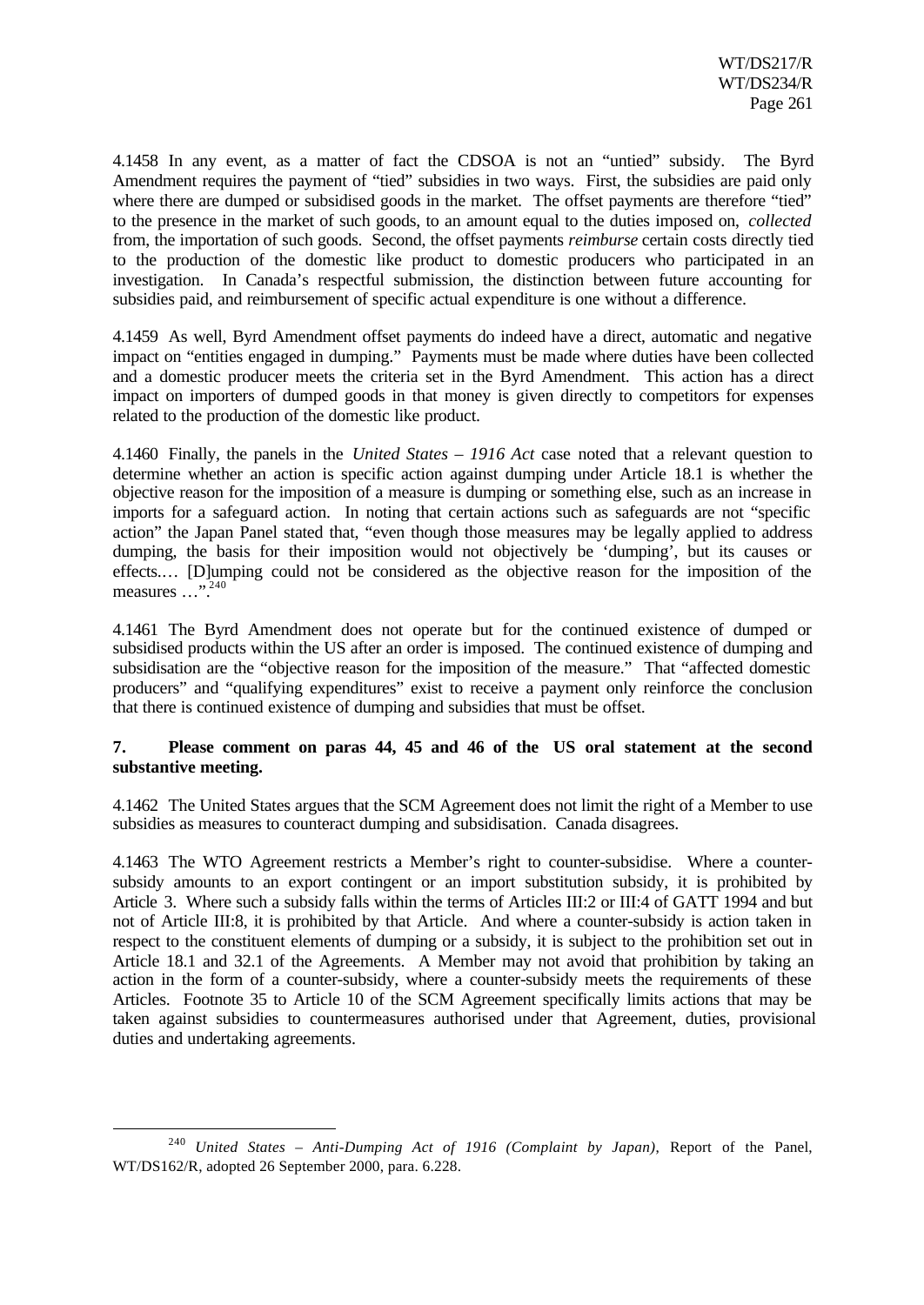4.1458 In any event, as a matter of fact the CDSOA is not an "untied" subsidy. The Byrd Amendment requires the payment of "tied" subsidies in two ways. First, the subsidies are paid only where there are dumped or subsidised goods in the market. The offset payments are therefore "tied" to the presence in the market of such goods, to an amount equal to the duties imposed on, *collected* from, the importation of such goods. Second, the offset payments *reimburse* certain costs directly tied to the production of the domestic like product to domestic producers who participated in an investigation. In Canada's respectful submission, the distinction between future accounting for subsidies paid, and reimbursement of specific actual expenditure is one without a difference.

4.1459 As well, Byrd Amendment offset payments do indeed have a direct, automatic and negative impact on "entities engaged in dumping." Payments must be made where duties have been collected and a domestic producer meets the criteria set in the Byrd Amendment. This action has a direct impact on importers of dumped goods in that money is given directly to competitors for expenses related to the production of the domestic like product.

4.1460 Finally, the panels in the *United States – 1916 Act* case noted that a relevant question to determine whether an action is specific action against dumping under Article 18.1 is whether the objective reason for the imposition of a measure is dumping or something else, such as an increase in imports for a safeguard action. In noting that certain actions such as safeguards are not "specific action" the Japan Panel stated that, "even though those measures may be legally applied to address dumping, the basis for their imposition would not objectively be 'dumping', but its causes or effects.… [D]umping could not be considered as the objective reason for the imposition of the measures ...".<sup>240</sup>

4.1461 The Byrd Amendment does not operate but for the continued existence of dumped or subsidised products within the US after an order is imposed. The continued existence of dumping and subsidisation are the "objective reason for the imposition of the measure." That "affected domestic producers" and "qualifying expenditures" exist to receive a payment only reinforce the conclusion that there is continued existence of dumping and subsidies that must be offset.

#### **7. Please comment on paras 44, 45 and 46 of the US oral statement at the second substantive meeting.**

4.1462 The United States argues that the SCM Agreement does not limit the right of a Member to use subsidies as measures to counteract dumping and subsidisation. Canada disagrees.

4.1463 The WTO Agreement restricts a Member's right to counter-subsidise. Where a countersubsidy amounts to an export contingent or an import substitution subsidy, it is prohibited by Article 3. Where such a subsidy falls within the terms of Articles III:2 or III:4 of GATT 1994 and but not of Article III:8, it is prohibited by that Article. And where a counter-subsidy is action taken in respect to the constituent elements of dumping or a subsidy, it is subject to the prohibition set out in Article 18.1 and 32.1 of the Agreements. A Member may not avoid that prohibition by taking an action in the form of a counter-subsidy, where a counter-subsidy meets the requirements of these Articles. Footnote 35 to Article 10 of the SCM Agreement specifically limits actions that may be taken against subsidies to countermeasures authorised under that Agreement, duties, provisional duties and undertaking agreements.

l

<sup>240</sup> *United States – Anti-Dumping Act of 1916 (Complaint by Japan)*, Report of the Panel, WT/DS162/R, adopted 26 September 2000, para. 6.228.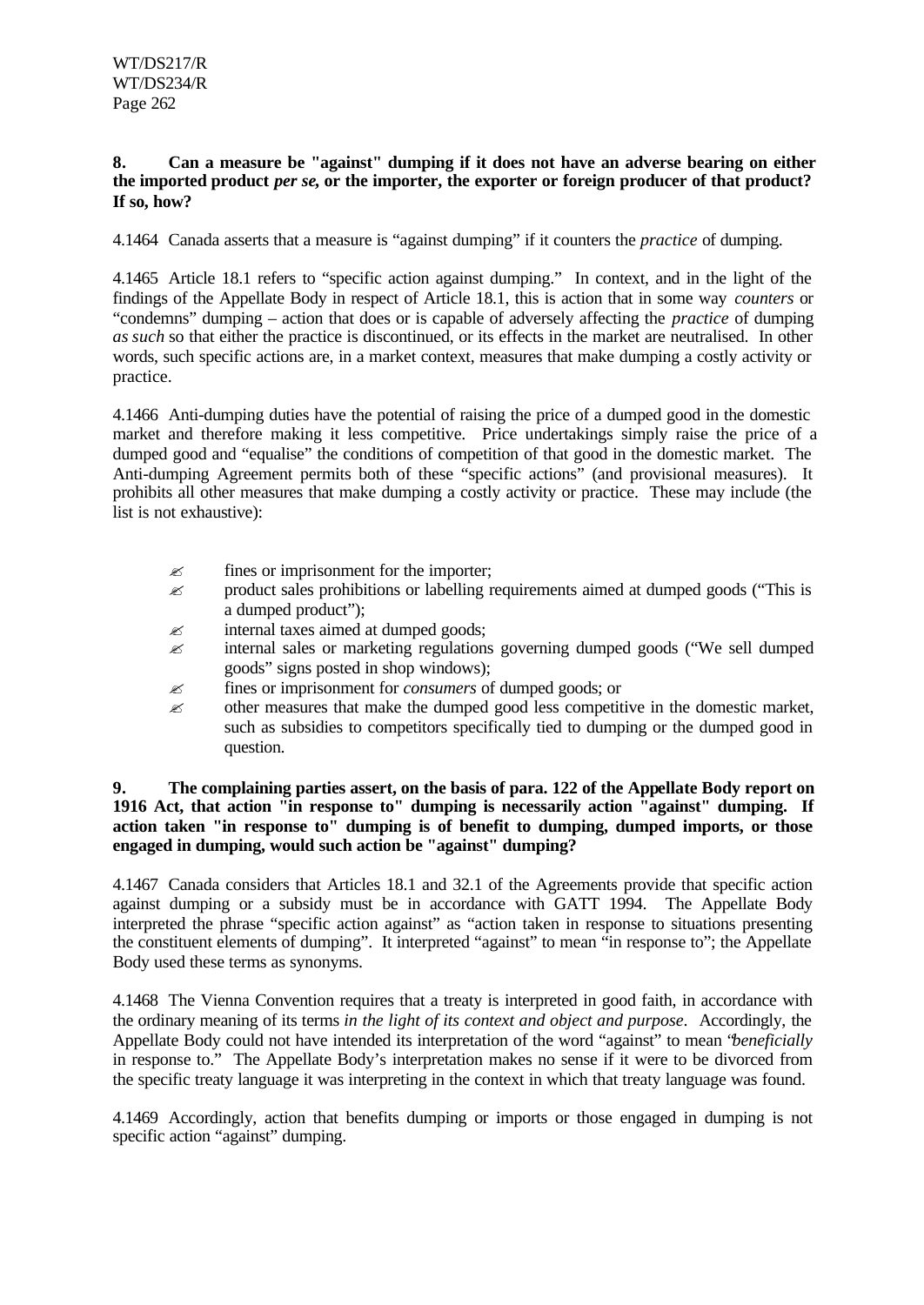## **8. Can a measure be "against" dumping if it does not have an adverse bearing on either the imported product** *per se***, or the importer, the exporter or foreign producer of that product? If so, how?**

4.1464 Canada asserts that a measure is "against dumping" if it counters the *practice* of dumping.

4.1465 Article 18.1 refers to "specific action against dumping." In context, and in the light of the findings of the Appellate Body in respect of Article 18.1, this is action that in some way *counters* or "condemns" dumping – action that does or is capable of adversely affecting the *practice* of dumping *as such* so that either the practice is discontinued, or its effects in the market are neutralised. In other words, such specific actions are, in a market context, measures that make dumping a costly activity or practice.

4.1466 Anti-dumping duties have the potential of raising the price of a dumped good in the domestic market and therefore making it less competitive. Price undertakings simply raise the price of a dumped good and "equalise" the conditions of competition of that good in the domestic market. The Anti-dumping Agreement permits both of these "specific actions" (and provisional measures). It prohibits all other measures that make dumping a costly activity or practice. These may include (the list is not exhaustive):

- $\approx$  fines or imprisonment for the importer;
- $\approx$  product sales prohibitions or labelling requirements aimed at dumped goods ("This is a dumped product");
- $\approx$  internal taxes aimed at dumped goods;
- $\mathscr{L}$  internal sales or marketing regulations governing dumped goods ("We sell dumped goods" signs posted in shop windows);
- ? fines or imprisonment for *consumers* of dumped goods; or
- $\approx$  other measures that make the dumped good less competitive in the domestic market, such as subsidies to competitors specifically tied to dumping or the dumped good in question.

**9. The complaining parties assert, on the basis of para. 122 of the Appellate Body report on 1916 Act, that action "in response to" dumping is necessarily action "against" dumping. If action taken "in response to" dumping is of benefit to dumping, dumped imports, or those engaged in dumping, would such action be "against" dumping?**

4.1467 Canada considers that Articles 18.1 and 32.1 of the Agreements provide that specific action against dumping or a subsidy must be in accordance with GATT 1994. The Appellate Body interpreted the phrase "specific action against" as "action taken in response to situations presenting the constituent elements of dumping". It interpreted "against" to mean "in response to"; the Appellate Body used these terms as synonyms.

4.1468 The Vienna Convention requires that a treaty is interpreted in good faith, in accordance with the ordinary meaning of its terms *in the light of its context and object and purpose*. Accordingly, the Appellate Body could not have intended its interpretation of the word "against" to mean "*beneficially* in response to." The Appellate Body's interpretation makes no sense if it were to be divorced from the specific treaty language it was interpreting in the context in which that treaty language was found.

4.1469 Accordingly, action that benefits dumping or imports or those engaged in dumping is not specific action "against" dumping.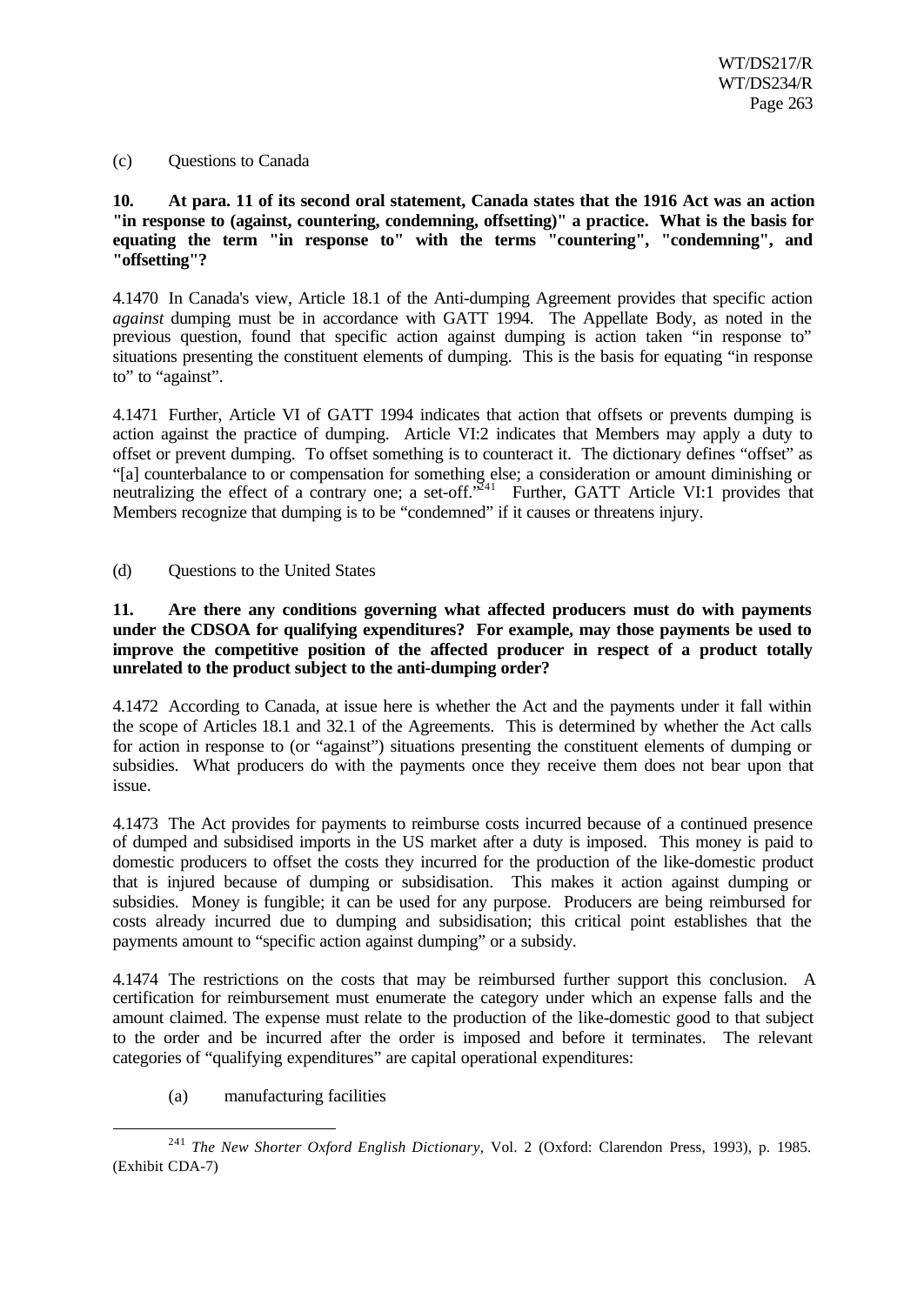## (c) Questions to Canada

## **10. At para. 11 of its second oral statement, Canada states that the 1916 Act was an action "in response to (against, countering, condemning, offsetting)" a practice. What is the basis for equating the term "in response to" with the terms "countering", "condemning", and "offsetting"?**

4.1470 In Canada's view, Article 18.1 of the Anti-dumping Agreement provides that specific action *against* dumping must be in accordance with GATT 1994. The Appellate Body, as noted in the previous question, found that specific action against dumping is action taken "in response to" situations presenting the constituent elements of dumping. This is the basis for equating "in response to" to "against".

4.1471 Further, Article VI of GATT 1994 indicates that action that offsets or prevents dumping is action against the practice of dumping. Article VI:2 indicates that Members may apply a duty to offset or prevent dumping. To offset something is to counteract it. The dictionary defines "offset" as "[a] counterbalance to or compensation for something else; a consideration or amount diminishing or neutralizing the effect of a contrary one; a set-off.<sup>241</sup> Further, GATT Article VI:1 provides that Members recognize that dumping is to be "condemned" if it causes or threatens injury.

## (d) Ouestions to the United States

## **11. Are there any conditions governing what affected producers must do with payments under the CDSOA for qualifying expenditures? For example, may those payments be used to improve the competitive position of the affected producer in respect of a product totally unrelated to the product subject to the anti-dumping order?**

4.1472 According to Canada, at issue here is whether the Act and the payments under it fall within the scope of Articles 18.1 and 32.1 of the Agreements. This is determined by whether the Act calls for action in response to (or "against") situations presenting the constituent elements of dumping or subsidies. What producers do with the payments once they receive them does not bear upon that issue.

4.1473 The Act provides for payments to reimburse costs incurred because of a continued presence of dumped and subsidised imports in the US market after a duty is imposed. This money is paid to domestic producers to offset the costs they incurred for the production of the like-domestic product that is injured because of dumping or subsidisation. This makes it action against dumping or subsidies. Money is fungible; it can be used for any purpose. Producers are being reimbursed for costs already incurred due to dumping and subsidisation; this critical point establishes that the payments amount to "specific action against dumping" or a subsidy.

4.1474 The restrictions on the costs that may be reimbursed further support this conclusion. A certification for reimbursement must enumerate the category under which an expense falls and the amount claimed. The expense must relate to the production of the like-domestic good to that subject to the order and be incurred after the order is imposed and before it terminates. The relevant categories of "qualifying expenditures" are capital operational expenditures:

(a) manufacturing facilities

l <sup>241</sup> *The New Shorter Oxford English Dictionary*, Vol. 2 (Oxford: Clarendon Press, 1993), p. 1985. (Exhibit CDA-7)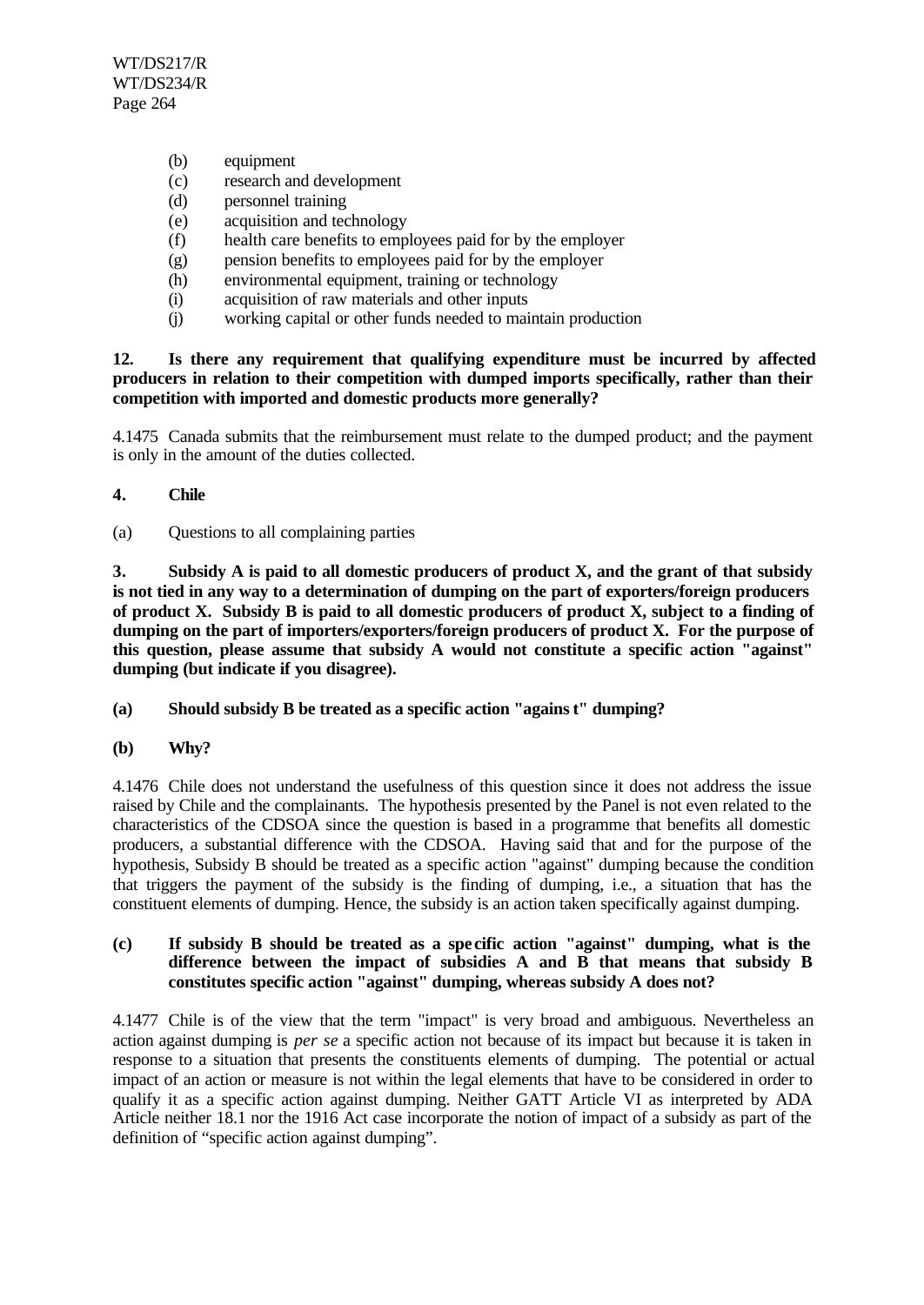- (b) equipment
- (c) research and development
- (d) personnel training
- (e) acquisition and technology
- (f) health care benefits to employees paid for by the employer
- (g) pension benefits to employees paid for by the employer
- (h) environmental equipment, training or technology
- (i) acquisition of raw materials and other inputs
- (j) working capital or other funds needed to maintain production

## **12. Is there any requirement that qualifying expenditure must be incurred by affected producers in relation to their competition with dumped imports specifically, rather than their competition with imported and domestic products more generally?**

4.1475 Canada submits that the reimbursement must relate to the dumped product; and the payment is only in the amount of the duties collected.

#### **4. Chile**

(a) Questions to all complaining parties

**3. Subsidy A is paid to all domestic producers of product X, and the grant of that subsidy is not tied in any way to a determination of dumping on the part of exporters/foreign producers of product X. Subsidy B is paid to all domestic producers of product X, subject to a finding of dumping on the part of importers/exporters/foreign producers of product X. For the purpose of this question, please assume that subsidy A would not constitute a specific action "against" dumping (but indicate if you disagree).**

### **(a) Should subsidy B be treated as a specific action "against" dumping?**

#### **(b) Why?**

4.1476 Chile does not understand the usefulness of this question since it does not address the issue raised by Chile and the complainants. The hypothesis presented by the Panel is not even related to the characteristics of the CDSOA since the question is based in a programme that benefits all domestic producers, a substantial difference with the CDSOA. Having said that and for the purpose of the hypothesis, Subsidy B should be treated as a specific action "against" dumping because the condition that triggers the payment of the subsidy is the finding of dumping, i.e., a situation that has the constituent elements of dumping. Hence, the subsidy is an action taken specifically against dumping.

## **(c) If subsidy B should be treated as a spe cific action "against" dumping, what is the difference between the impact of subsidies A and B that means that subsidy B constitutes specific action "against" dumping, whereas subsidy A does not?**

4.1477 Chile is of the view that the term "impact" is very broad and ambiguous. Nevertheless an action against dumping is *per se* a specific action not because of its impact but because it is taken in response to a situation that presents the constituents elements of dumping. The potential or actual impact of an action or measure is not within the legal elements that have to be considered in order to qualify it as a specific action against dumping. Neither GATT Article VI as interpreted by ADA Article neither 18.1 nor the 1916 Act case incorporate the notion of impact of a subsidy as part of the definition of "specific action against dumping".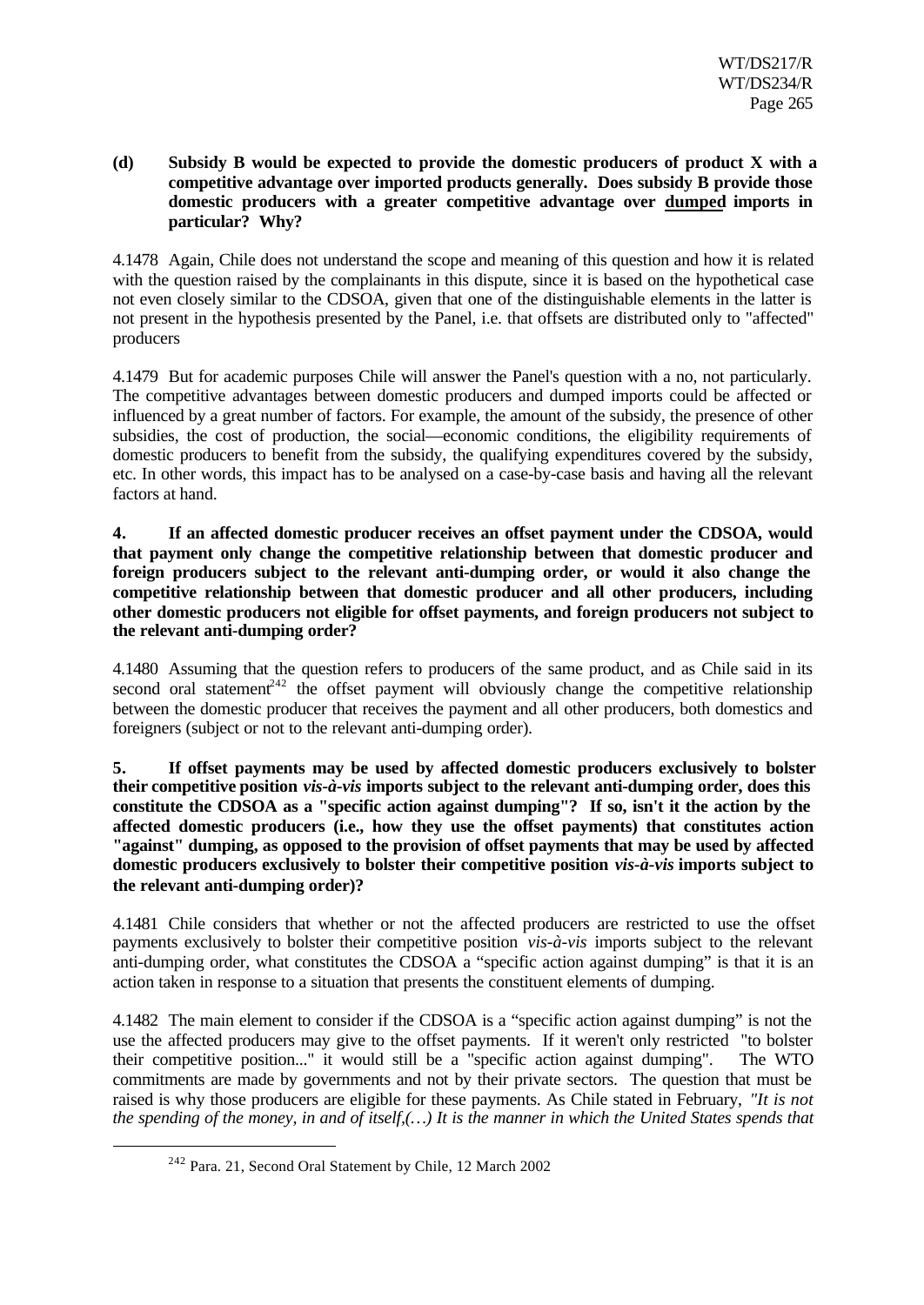## **(d) Subsidy B would be expected to provide the domestic producers of product X with a competitive advantage over imported products generally. Does subsidy B provide those domestic producers with a greater competitive advantage over dumped imports in particular? Why?**

4.1478 Again, Chile does not understand the scope and meaning of this question and how it is related with the question raised by the complainants in this dispute, since it is based on the hypothetical case not even closely similar to the CDSOA, given that one of the distinguishable elements in the latter is not present in the hypothesis presented by the Panel, i.e. that offsets are distributed only to "affected" producers

4.1479 But for academic purposes Chile will answer the Panel's question with a no, not particularly. The competitive advantages between domestic producers and dumped imports could be affected or influenced by a great number of factors. For example, the amount of the subsidy, the presence of other subsidies, the cost of production, the social—economic conditions, the eligibility requirements of domestic producers to benefit from the subsidy, the qualifying expenditures covered by the subsidy, etc. In other words, this impact has to be analysed on a case-by-case basis and having all the relevant factors at hand.

## **4. If an affected domestic producer receives an offset payment under the CDSOA, would that payment only change the competitive relationship between that domestic producer and foreign producers subject to the relevant anti-dumping order, or would it also change the competitive relationship between that domestic producer and all other producers, including other domestic producers not eligible for offset payments, and foreign producers not subject to the relevant anti-dumping order?**

4.1480 Assuming that the question refers to producers of the same product, and as Chile said in its second oral statement<sup>242</sup> the offset payment will obviously change the competitive relationship between the domestic producer that receives the payment and all other producers, both domestics and foreigners (subject or not to the relevant anti-dumping order).

**5. If offset payments may be used by affected domestic producers exclusively to bolster their competitive position** *vis-à-vis* **imports subject to the relevant anti-dumping order, does this constitute the CDSOA as a "specific action against dumping"? If so, isn't it the action by the affected domestic producers (i.e., how they use the offset payments) that constitutes action "against" dumping, as opposed to the provision of offset payments that may be used by affected domestic producers exclusively to bolster their competitive position** *vis-à-vis* **imports subject to the relevant anti-dumping order)?**

4.1481 Chile considers that whether or not the affected producers are restricted to use the offset payments exclusively to bolster their competitive position *vis-à-vis* imports subject to the relevant anti-dumping order, what constitutes the CDSOA a "specific action against dumping" is that it is an action taken in response to a situation that presents the constituent elements of dumping.

4.1482 The main element to consider if the CDSOA is a "specific action against dumping" is not the use the affected producers may give to the offset payments. If it weren't only restricted "to bolster their competitive position..." it would still be a "specific action against dumping". The WTO commitments are made by governments and not by their private sectors. The question that must be raised is why those producers are eligible for these payments. As Chile stated in February, *"It is not the spending of the money, in and of itself,(…) It is the manner in which the United States spends that*

l

<sup>242</sup> Para. 21, Second Oral Statement by Chile, 12 March 2002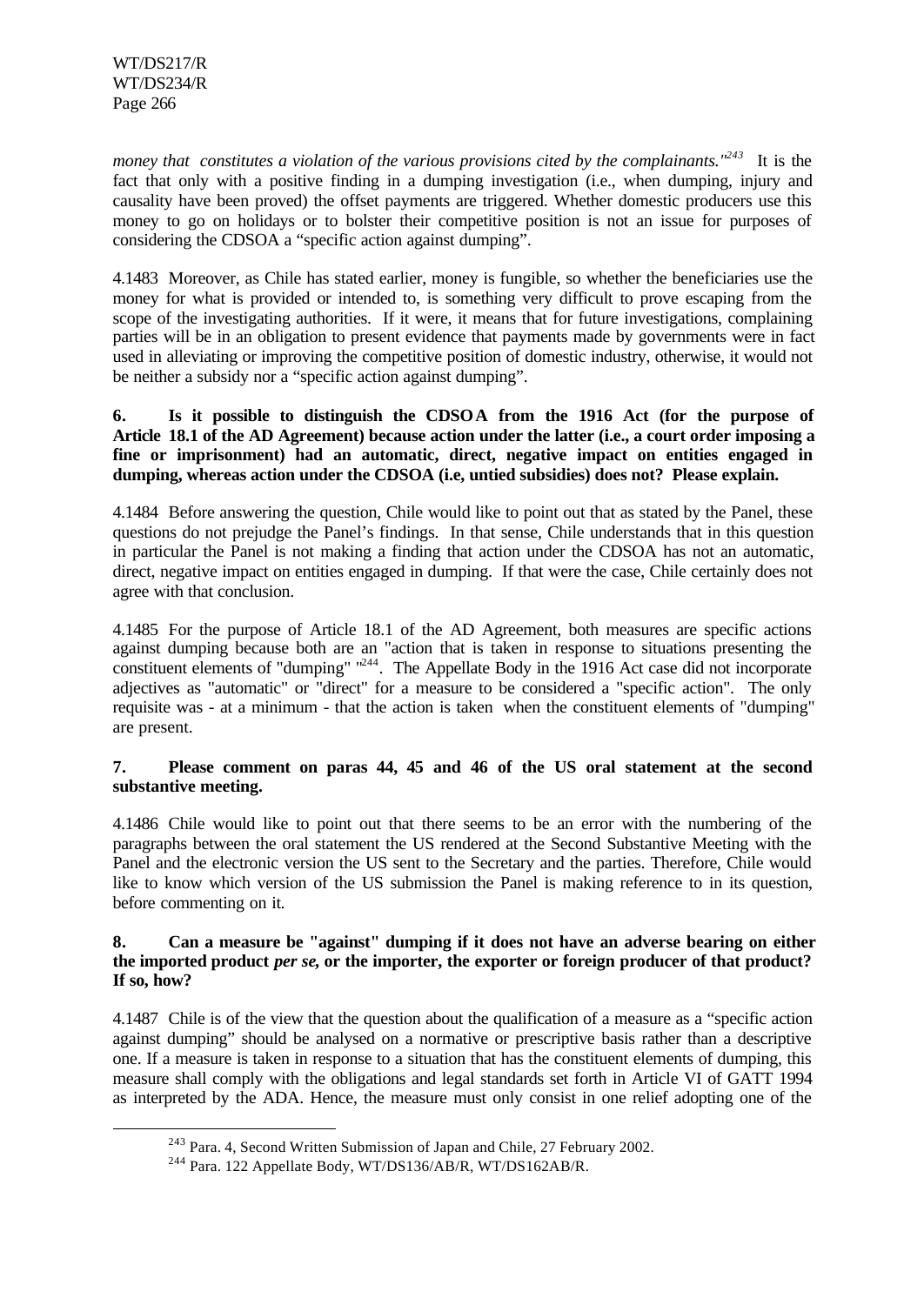l

*money that constitutes a violation of the various provisions cited by the complainants."<sup>243</sup> It is the* fact that only with a positive finding in a dumping investigation (i.e., when dumping, injury and causality have been proved) the offset payments are triggered. Whether domestic producers use this money to go on holidays or to bolster their competitive position is not an issue for purposes of considering the CDSOA a "specific action against dumping".

4.1483 Moreover, as Chile has stated earlier, money is fungible, so whether the beneficiaries use the money for what is provided or intended to, is something very difficult to prove escaping from the scope of the investigating authorities. If it were, it means that for future investigations, complaining parties will be in an obligation to present evidence that payments made by governments were in fact used in alleviating or improving the competitive position of domestic industry, otherwise, it would not be neither a subsidy nor a "specific action against dumping".

## **6. Is it possible to distinguish the CDSOA from the 1916 Act (for the purpose of Article 18.1 of the AD Agreement) because action under the latter (i.e., a court order imposing a fine or imprisonment) had an automatic, direct, negative impact on entities engaged in dumping, whereas action under the CDSOA (i.e, untied subsidies) does not? Please explain.**

4.1484 Before answering the question, Chile would like to point out that as stated by the Panel, these questions do not prejudge the Panel's findings. In that sense, Chile understands that in this question in particular the Panel is not making a finding that action under the CDSOA has not an automatic, direct, negative impact on entities engaged in dumping. If that were the case, Chile certainly does not agree with that conclusion.

4.1485 For the purpose of Article 18.1 of the AD Agreement, both measures are specific actions against dumping because both are an "action that is taken in response to situations presenting the constituent elements of "dumping" "<sup>244</sup>. The Appellate Body in the 1916 Act case did not incorporate adjectives as "automatic" or "direct" for a measure to be considered a "specific action". The only requisite was - at a minimum - that the action is taken when the constituent elements of "dumping" are present.

## **7. Please comment on paras 44, 45 and 46 of the US oral statement at the second substantive meeting.**

4.1486 Chile would like to point out that there seems to be an error with the numbering of the paragraphs between the oral statement the US rendered at the Second Substantive Meeting with the Panel and the electronic version the US sent to the Secretary and the parties. Therefore, Chile would like to know which version of the US submission the Panel is making reference to in its question, before commenting on it.

### **8. Can a measure be "against" dumping if it does not have an adverse bearing on either the imported product** *per se***, or the importer, the exporter or foreign producer of that product? If so, how?**

4.1487 Chile is of the view that the question about the qualification of a measure as a "specific action against dumping" should be analysed on a normative or prescriptive basis rather than a descriptive one. If a measure is taken in response to a situation that has the constituent elements of dumping, this measure shall comply with the obligations and legal standards set forth in Article VI of GATT 1994 as interpreted by the ADA. Hence, the measure must only consist in one relief adopting one of the

<sup>243</sup> Para. 4, Second Written Submission of Japan and Chile, 27 February 2002.

<sup>244</sup> Para. 122 Appellate Body, WT/DS136/AB/R, WT/DS162AB/R.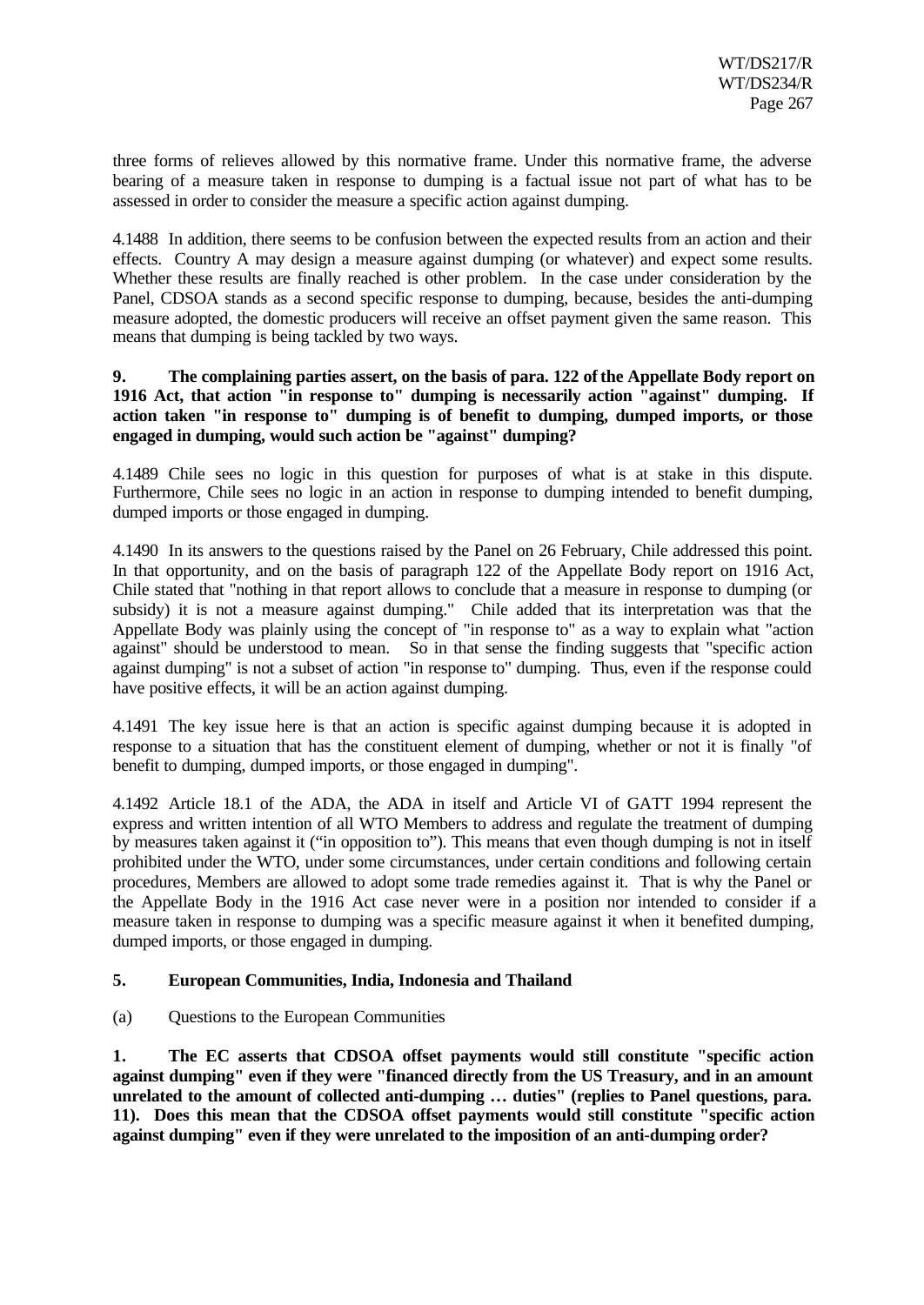three forms of relieves allowed by this normative frame. Under this normative frame, the adverse bearing of a measure taken in response to dumping is a factual issue not part of what has to be assessed in order to consider the measure a specific action against dumping.

4.1488 In addition, there seems to be confusion between the expected results from an action and their effects. Country A may design a measure against dumping (or whatever) and expect some results. Whether these results are finally reached is other problem. In the case under consideration by the Panel, CDSOA stands as a second specific response to dumping, because, besides the anti-dumping measure adopted, the domestic producers will receive an offset payment given the same reason. This means that dumping is being tackled by two ways.

## **9. The complaining parties assert, on the basis of para. 122 of the Appellate Body report on 1916 Act, that action "in response to" dumping is necessarily action "against" dumping. If action taken "in response to" dumping is of benefit to dumping, dumped imports, or those engaged in dumping, would such action be "against" dumping?**

4.1489 Chile sees no logic in this question for purposes of what is at stake in this dispute. Furthermore, Chile sees no logic in an action in response to dumping intended to benefit dumping, dumped imports or those engaged in dumping.

4.1490 In its answers to the questions raised by the Panel on 26 February, Chile addressed this point. In that opportunity, and on the basis of paragraph 122 of the Appellate Body report on 1916 Act, Chile stated that "nothing in that report allows to conclude that a measure in response to dumping (or subsidy) it is not a measure against dumping." Chile added that its interpretation was that the Appellate Body was plainly using the concept of "in response to" as a way to explain what "action against" should be understood to mean. So in that sense the finding suggests that "specific action against dumping" is not a subset of action "in response to" dumping. Thus, even if the response could have positive effects, it will be an action against dumping.

4.1491 The key issue here is that an action is specific against dumping because it is adopted in response to a situation that has the constituent element of dumping, whether or not it is finally "of benefit to dumping, dumped imports, or those engaged in dumping".

4.1492 Article 18.1 of the ADA, the ADA in itself and Article VI of GATT 1994 represent the express and written intention of all WTO Members to address and regulate the treatment of dumping by measures taken against it ("in opposition to"). This means that even though dumping is not in itself prohibited under the WTO, under some circumstances, under certain conditions and following certain procedures, Members are allowed to adopt some trade remedies against it. That is why the Panel or the Appellate Body in the 1916 Act case never were in a position nor intended to consider if a measure taken in response to dumping was a specific measure against it when it benefited dumping, dumped imports, or those engaged in dumping.

# **5. European Communities, India, Indonesia and Thailand**

(a) Questions to the European Communities

**1. The EC asserts that CDSOA offset payments would still constitute "specific action against dumping" even if they were "financed directly from the US Treasury, and in an amount unrelated to the amount of collected anti-dumping … duties" (replies to Panel questions, para. 11). Does this mean that the CDSOA offset payments would still constitute "specific action against dumping" even if they were unrelated to the imposition of an anti-dumping order?**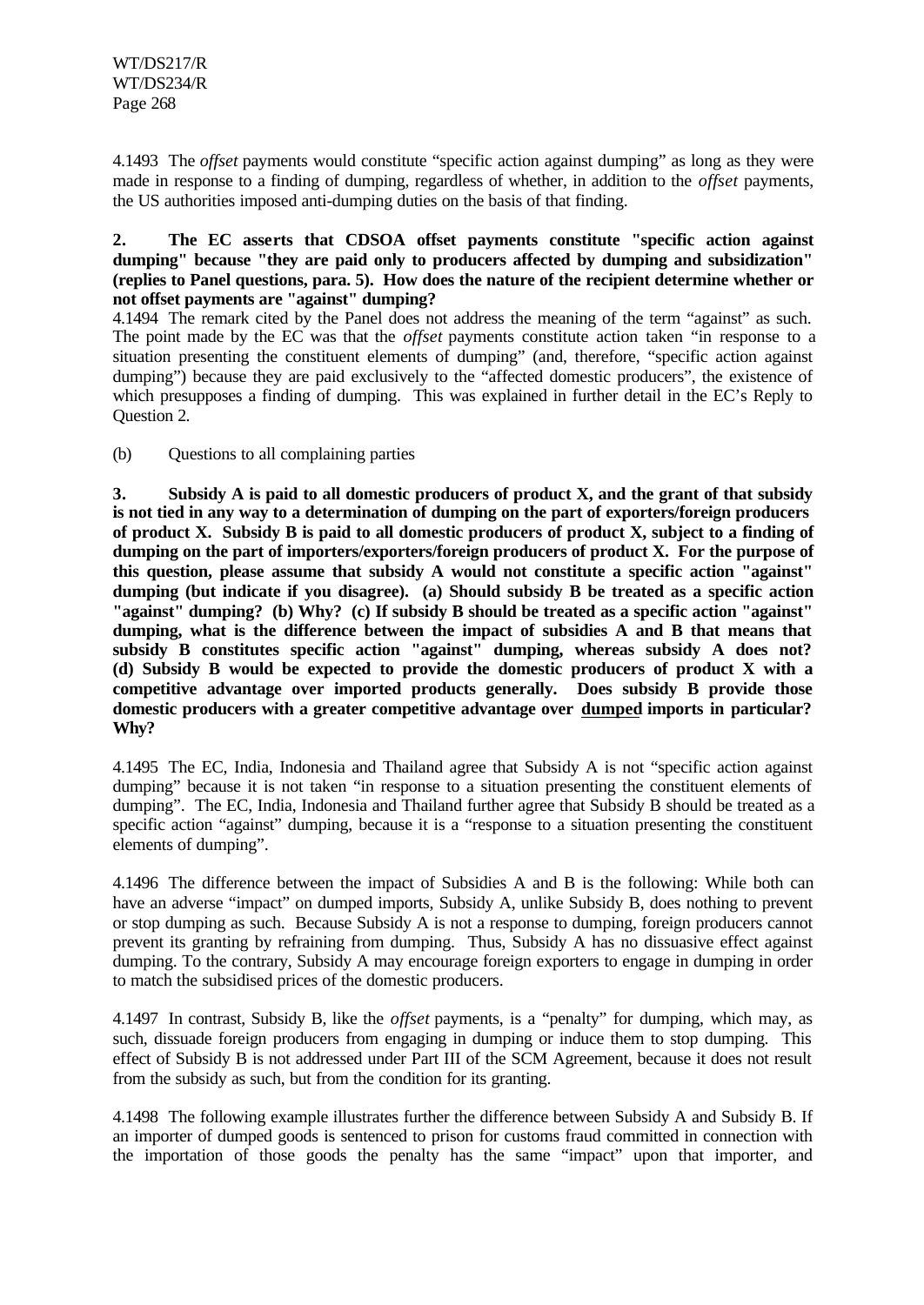4.1493 The *offset* payments would constitute "specific action against dumping" as long as they were made in response to a finding of dumping, regardless of whether, in addition to the *offset* payments, the US authorities imposed anti-dumping duties on the basis of that finding.

## **2. The EC asserts that CDSOA offset payments constitute "specific action against dumping" because "they are paid only to producers affected by dumping and subsidization" (replies to Panel questions, para. 5). How does the nature of the recipient determine whether or not offset payments are "against" dumping?**

4.1494 The remark cited by the Panel does not address the meaning of the term "against" as such. The point made by the EC was that the *offset* payments constitute action taken "in response to a situation presenting the constituent elements of dumping" (and, therefore, "specific action against dumping") because they are paid exclusively to the "affected domestic producers", the existence of which presupposes a finding of dumping. This was explained in further detail in the EC's Reply to Question 2.

(b) Questions to all complaining parties

**3. Subsidy A is paid to all domestic producers of product X, and the grant of that subsidy is not tied in any way to a determination of dumping on the part of exporters/foreign producers of product X. Subsidy B is paid to all domestic producers of product X, subject to a finding of dumping on the part of importers/exporters/foreign producers of product X. For the purpose of this question, please assume that subsidy A would not constitute a specific action "against" dumping (but indicate if you disagree). (a) Should subsidy B be treated as a specific action "against" dumping? (b) Why? (c) If subsidy B should be treated as a specific action "against" dumping, what is the difference between the impact of subsidies A and B that means that subsidy B constitutes specific action "against" dumping, whereas subsidy A does not? (d) Subsidy B would be expected to provide the domestic producers of product X with a competitive advantage over imported products generally. Does subsidy B provide those domestic producers with a greater competitive advantage over dumped imports in particular? Why?**

4.1495 The EC, India, Indonesia and Thailand agree that Subsidy A is not "specific action against dumping" because it is not taken "in response to a situation presenting the constituent elements of dumping". The EC, India, Indonesia and Thailand further agree that Subsidy B should be treated as a specific action "against" dumping, because it is a "response to a situation presenting the constituent elements of dumping".

4.1496 The difference between the impact of Subsidies A and B is the following: While both can have an adverse "impact" on dumped imports, Subsidy A, unlike Subsidy B, does nothing to prevent or stop dumping as such. Because Subsidy A is not a response to dumping, foreign producers cannot prevent its granting by refraining from dumping. Thus, Subsidy A has no dissuasive effect against dumping. To the contrary, Subsidy A may encourage foreign exporters to engage in dumping in order to match the subsidised prices of the domestic producers.

4.1497 In contrast, Subsidy B, like the *offset* payments, is a "penalty" for dumping, which may, as such, dissuade foreign producers from engaging in dumping or induce them to stop dumping. This effect of Subsidy B is not addressed under Part III of the SCM Agreement, because it does not result from the subsidy as such, but from the condition for its granting.

4.1498 The following example illustrates further the difference between Subsidy A and Subsidy B. If an importer of dumped goods is sentenced to prison for customs fraud committed in connection with the importation of those goods the penalty has the same "impact" upon that importer, and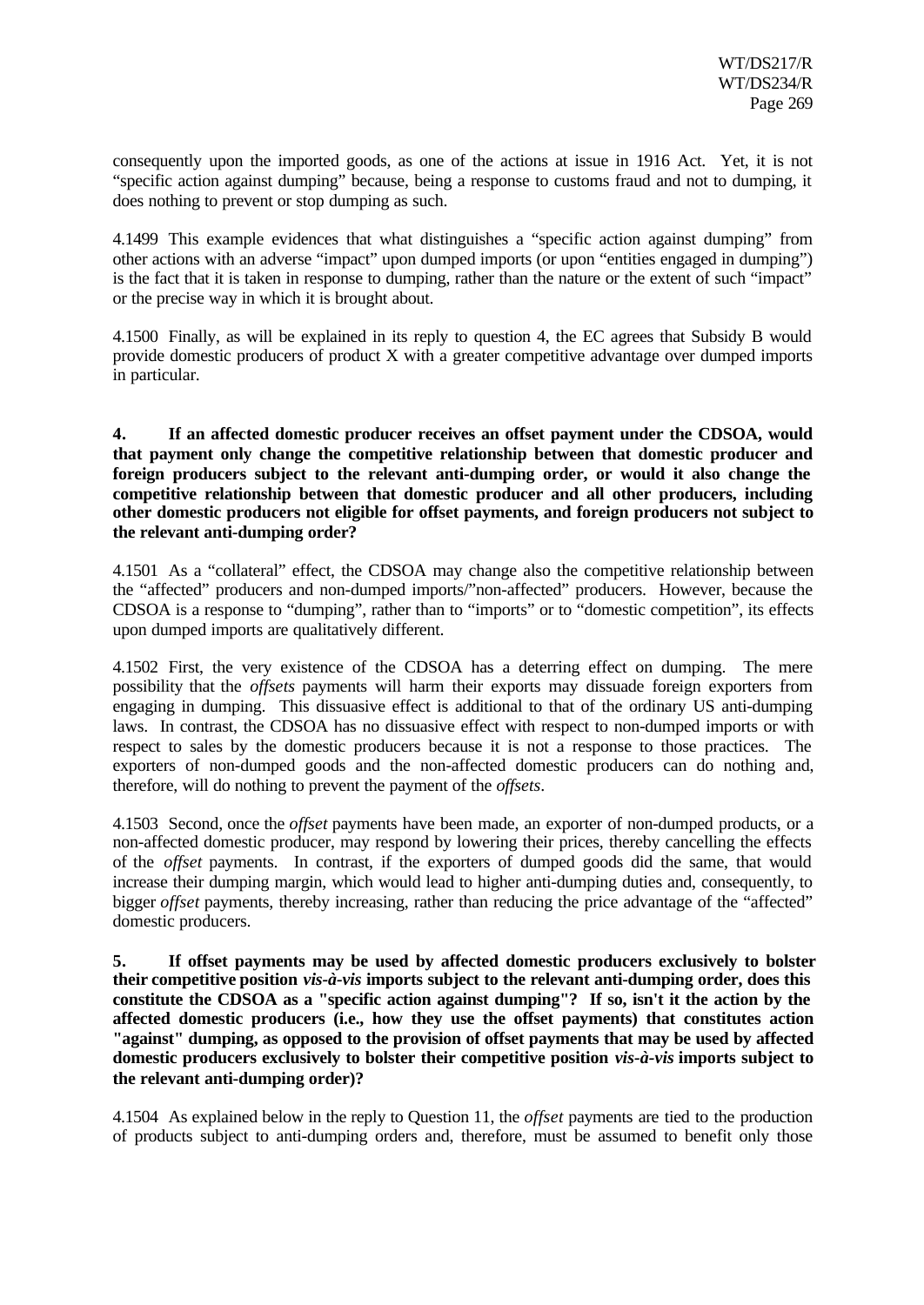consequently upon the imported goods, as one of the actions at issue in 1916 Act. Yet, it is not "specific action against dumping" because, being a response to customs fraud and not to dumping, it does nothing to prevent or stop dumping as such.

4.1499 This example evidences that what distinguishes a "specific action against dumping" from other actions with an adverse "impact" upon dumped imports (or upon "entities engaged in dumping") is the fact that it is taken in response to dumping, rather than the nature or the extent of such "impact" or the precise way in which it is brought about.

4.1500 Finally, as will be explained in its reply to question 4, the EC agrees that Subsidy B would provide domestic producers of product X with a greater competitive advantage over dumped imports in particular.

## **4. If an affected domestic producer receives an offset payment under the CDSOA, would that payment only change the competitive relationship between that domestic producer and foreign producers subject to the relevant anti-dumping order, or would it also change the competitive relationship between that domestic producer and all other producers, including other domestic producers not eligible for offset payments, and foreign producers not subject to the relevant anti-dumping order?**

4.1501 As a "collateral" effect, the CDSOA may change also the competitive relationship between the "affected" producers and non-dumped imports/"non-affected" producers. However, because the CDSOA is a response to "dumping", rather than to "imports" or to "domestic competition", its effects upon dumped imports are qualitatively different.

4.1502 First, the very existence of the CDSOA has a deterring effect on dumping. The mere possibility that the *offsets* payments will harm their exports may dissuade foreign exporters from engaging in dumping. This dissuasive effect is additional to that of the ordinary US anti-dumping laws. In contrast, the CDSOA has no dissuasive effect with respect to non-dumped imports or with respect to sales by the domestic producers because it is not a response to those practices. The exporters of non-dumped goods and the non-affected domestic producers can do nothing and, therefore, will do nothing to prevent the payment of the *offsets*.

4.1503 Second, once the *offset* payments have been made, an exporter of non-dumped products, or a non-affected domestic producer, may respond by lowering their prices, thereby cancelling the effects of the *offset* payments. In contrast, if the exporters of dumped goods did the same, that would increase their dumping margin, which would lead to higher anti-dumping duties and, consequently, to bigger *offset* payments, thereby increasing, rather than reducing the price advantage of the "affected" domestic producers.

**5. If offset payments may be used by affected domestic producers exclusively to bolster their competitive position** *vis-à-vis* **imports subject to the relevant anti-dumping order, does this constitute the CDSOA as a "specific action against dumping"? If so, isn't it the action by the affected domestic producers (i.e., how they use the offset payments) that constitutes action "against" dumping, as opposed to the provision of offset payments that may be used by affected domestic producers exclusively to bolster their competitive position** *vis-à-vis* **imports subject to the relevant anti-dumping order)?**

4.1504 As explained below in the reply to Question 11, the *offset* payments are tied to the production of products subject to anti-dumping orders and, therefore, must be assumed to benefit only those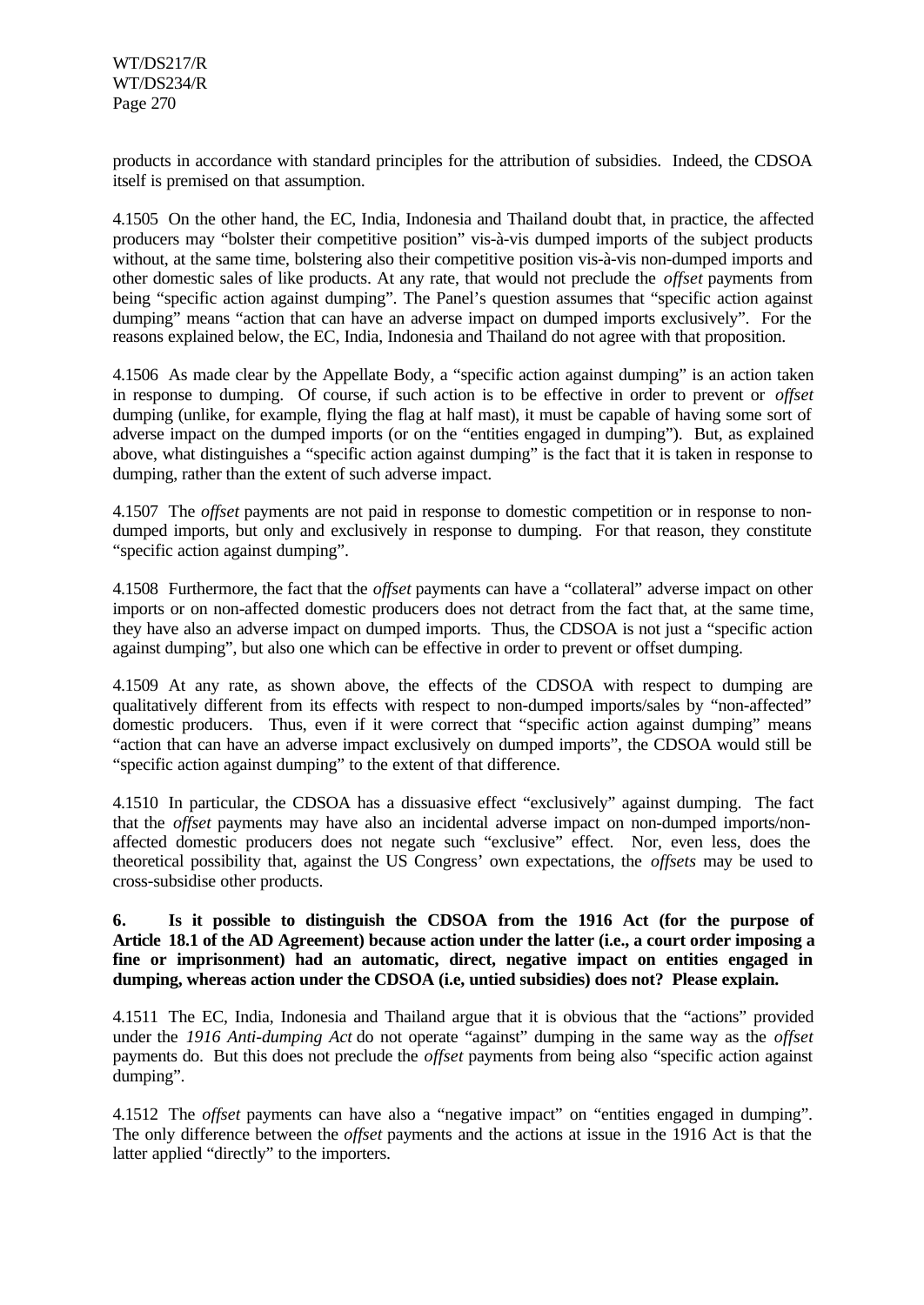products in accordance with standard principles for the attribution of subsidies. Indeed, the CDSOA itself is premised on that assumption.

4.1505 On the other hand, the EC, India, Indonesia and Thailand doubt that, in practice, the affected producers may "bolster their competitive position" vis-à-vis dumped imports of the subject products without, at the same time, bolstering also their competitive position vis-à-vis non-dumped imports and other domestic sales of like products. At any rate, that would not preclude the *offset* payments from being "specific action against dumping". The Panel's question assumes that "specific action against dumping" means "action that can have an adverse impact on dumped imports exclusively". For the reasons explained below, the EC, India, Indonesia and Thailand do not agree with that proposition.

4.1506 As made clear by the Appellate Body, a "specific action against dumping" is an action taken in response to dumping. Of course, if such action is to be effective in order to prevent or *offset* dumping (unlike, for example, flying the flag at half mast), it must be capable of having some sort of adverse impact on the dumped imports (or on the "entities engaged in dumping"). But, as explained above, what distinguishes a "specific action against dumping" is the fact that it is taken in response to dumping, rather than the extent of such adverse impact.

4.1507 The *offset* payments are not paid in response to domestic competition or in response to nondumped imports, but only and exclusively in response to dumping. For that reason, they constitute "specific action against dumping".

4.1508 Furthermore, the fact that the *offset* payments can have a "collateral" adverse impact on other imports or on non-affected domestic producers does not detract from the fact that, at the same time, they have also an adverse impact on dumped imports. Thus, the CDSOA is not just a "specific action against dumping", but also one which can be effective in order to prevent or offset dumping.

4.1509 At any rate, as shown above, the effects of the CDSOA with respect to dumping are qualitatively different from its effects with respect to non-dumped imports/sales by "non-affected" domestic producers. Thus, even if it were correct that "specific action against dumping" means "action that can have an adverse impact exclusively on dumped imports", the CDSOA would still be "specific action against dumping" to the extent of that difference.

4.1510 In particular, the CDSOA has a dissuasive effect "exclusively" against dumping. The fact that the *offset* payments may have also an incidental adverse impact on non-dumped imports/nonaffected domestic producers does not negate such "exclusive" effect. Nor, even less, does the theoretical possibility that, against the US Congress' own expectations, the *offsets* may be used to cross-subsidise other products.

## **6. Is it possible to distinguish the CDSOA from the 1916 Act (for the purpose of Article 18.1 of the AD Agreement) because action under the latter (i.e., a court order imposing a fine or imprisonment) had an automatic, direct, negative impact on entities engaged in dumping, whereas action under the CDSOA (i.e, untied subsidies) does not? Please explain.**

4.1511 The EC, India, Indonesia and Thailand argue that it is obvious that the "actions" provided under the *1916 Anti-dumping Act* do not operate "against" dumping in the same way as the *offset* payments do. But this does not preclude the *offset* payments from being also "specific action against dumping".

4.1512 The *offset* payments can have also a "negative impact" on "entities engaged in dumping". The only difference between the *offset* payments and the actions at issue in the 1916 Act is that the latter applied "directly" to the importers.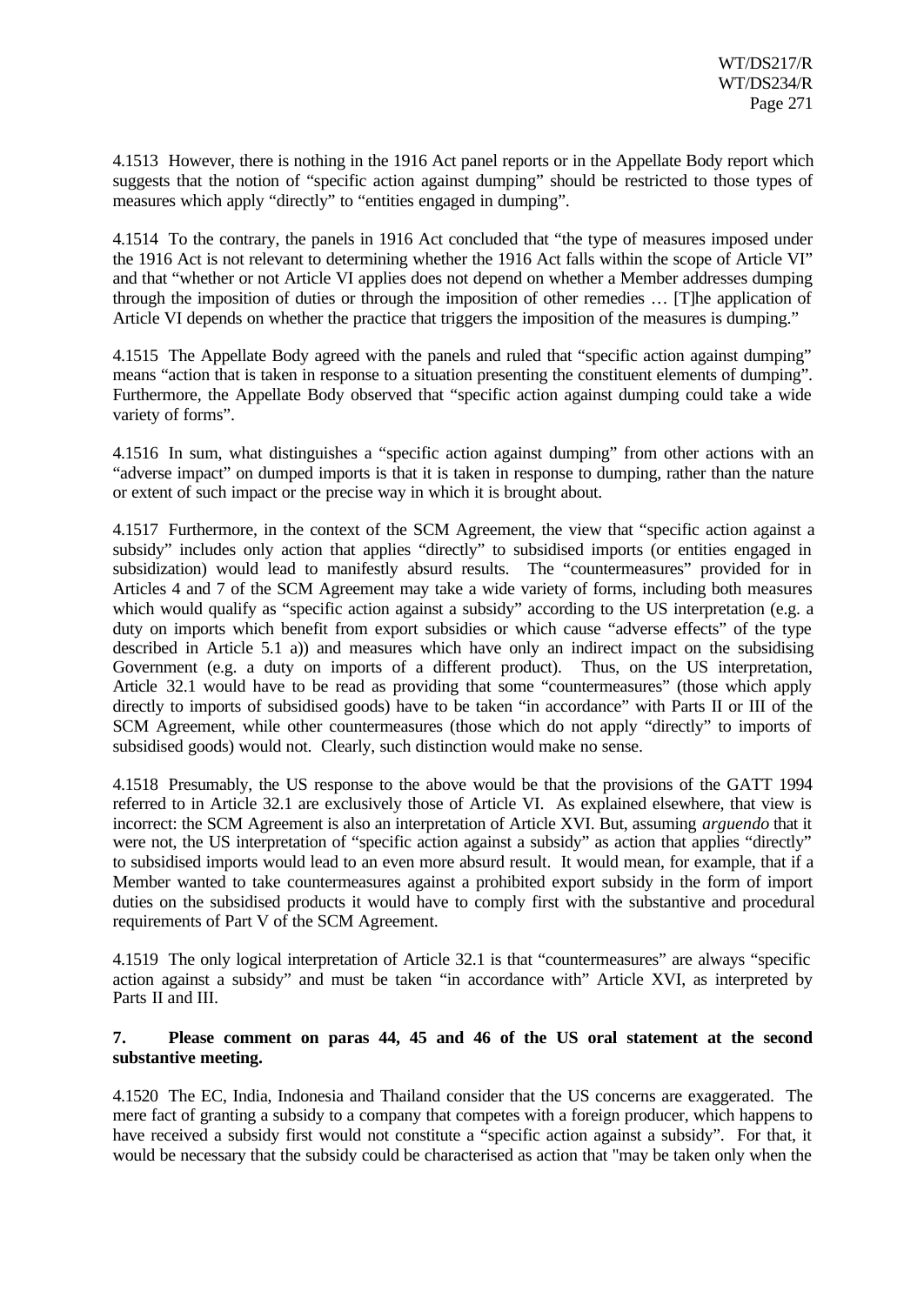4.1513 However, there is nothing in the 1916 Act panel reports or in the Appellate Body report which suggests that the notion of "specific action against dumping" should be restricted to those types of measures which apply "directly" to "entities engaged in dumping".

4.1514 To the contrary, the panels in 1916 Act concluded that "the type of measures imposed under the 1916 Act is not relevant to determining whether the 1916 Act falls within the scope of Article VI" and that "whether or not Article VI applies does not depend on whether a Member addresses dumping through the imposition of duties or through the imposition of other remedies … [T]he application of Article VI depends on whether the practice that triggers the imposition of the measures is dumping."

4.1515 The Appellate Body agreed with the panels and ruled that "specific action against dumping" means "action that is taken in response to a situation presenting the constituent elements of dumping". Furthermore, the Appellate Body observed that "specific action against dumping could take a wide variety of forms".

4.1516 In sum, what distinguishes a "specific action against dumping" from other actions with an "adverse impact" on dumped imports is that it is taken in response to dumping, rather than the nature or extent of such impact or the precise way in which it is brought about.

4.1517 Furthermore, in the context of the SCM Agreement, the view that "specific action against a subsidy" includes only action that applies "directly" to subsidised imports (or entities engaged in subsidization) would lead to manifestly absurd results. The "countermeasures" provided for in Articles 4 and 7 of the SCM Agreement may take a wide variety of forms, including both measures which would qualify as "specific action against a subsidy" according to the US interpretation (e.g. a duty on imports which benefit from export subsidies or which cause "adverse effects" of the type described in Article 5.1 a)) and measures which have only an indirect impact on the subsidising Government (e.g. a duty on imports of a different product). Thus, on the US interpretation, Article 32.1 would have to be read as providing that some "countermeasures" (those which apply directly to imports of subsidised goods) have to be taken "in accordance" with Parts II or III of the SCM Agreement, while other countermeasures (those which do not apply "directly" to imports of subsidised goods) would not. Clearly, such distinction would make no sense.

4.1518 Presumably, the US response to the above would be that the provisions of the GATT 1994 referred to in Article 32.1 are exclusively those of Article VI. As explained elsewhere, that view is incorrect: the SCM Agreement is also an interpretation of Article XVI. But, assuming *arguendo* that it were not, the US interpretation of "specific action against a subsidy" as action that applies "directly" to subsidised imports would lead to an even more absurd result. It would mean, for example, that if a Member wanted to take countermeasures against a prohibited export subsidy in the form of import duties on the subsidised products it would have to comply first with the substantive and procedural requirements of Part V of the SCM Agreement.

4.1519 The only logical interpretation of Article 32.1 is that "countermeasures" are always "specific action against a subsidy" and must be taken "in accordance with" Article XVI, as interpreted by Parts II and III.

## **7. Please comment on paras 44, 45 and 46 of the US oral statement at the second substantive meeting.**

4.1520 The EC, India, Indonesia and Thailand consider that the US concerns are exaggerated. The mere fact of granting a subsidy to a company that competes with a foreign producer, which happens to have received a subsidy first would not constitute a "specific action against a subsidy". For that, it would be necessary that the subsidy could be characterised as action that "may be taken only when the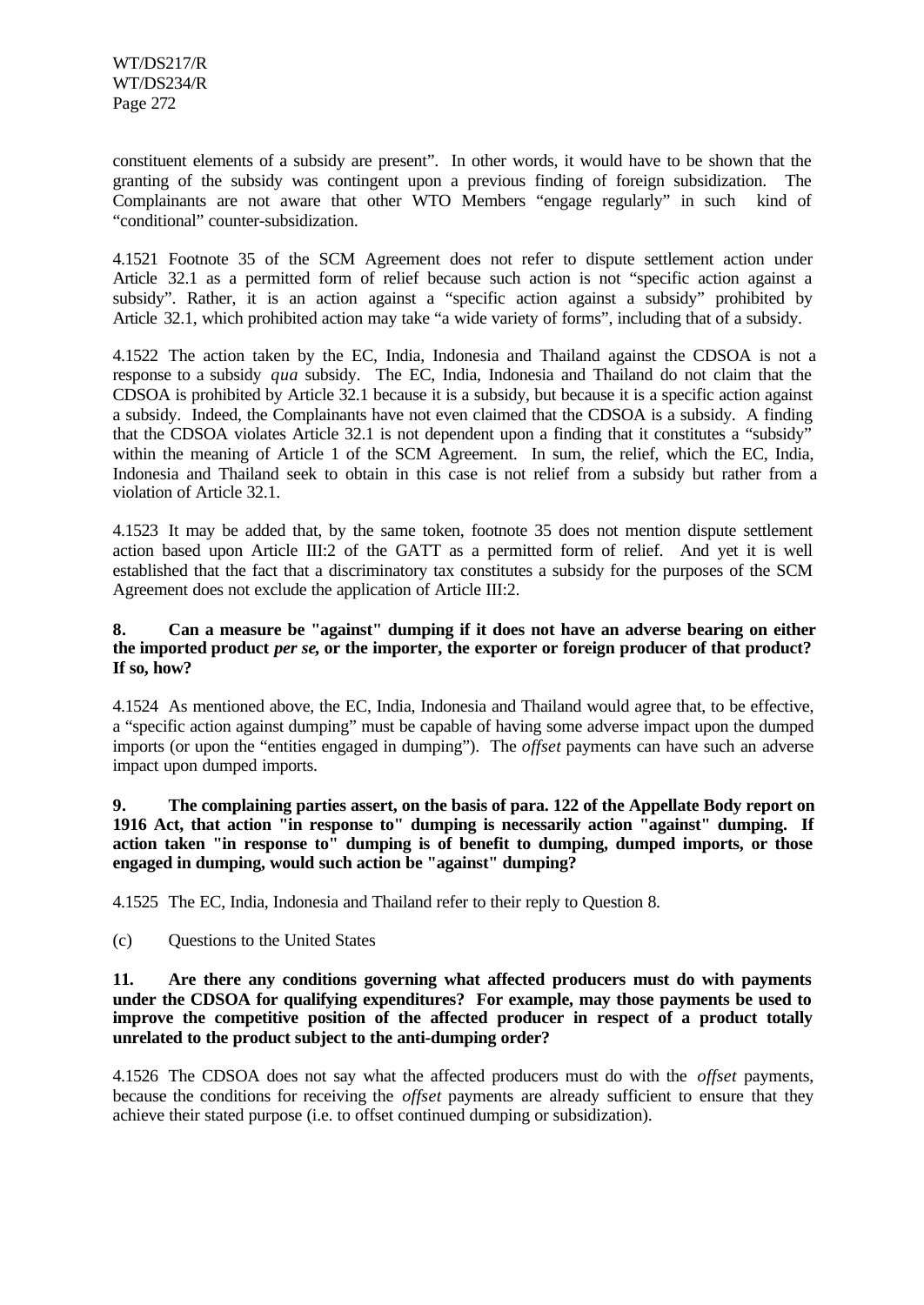constituent elements of a subsidy are present". In other words, it would have to be shown that the granting of the subsidy was contingent upon a previous finding of foreign subsidization. The Complainants are not aware that other WTO Members "engage regularly" in such kind of "conditional" counter-subsidization.

4.1521 Footnote 35 of the SCM Agreement does not refer to dispute settlement action under Article 32.1 as a permitted form of relief because such action is not "specific action against a subsidy". Rather, it is an action against a "specific action against a subsidy" prohibited by Article 32.1, which prohibited action may take "a wide variety of forms", including that of a subsidy.

4.1522 The action taken by the EC, India, Indonesia and Thailand against the CDSOA is not a response to a subsidy *qua* subsidy. The EC, India, Indonesia and Thailand do not claim that the CDSOA is prohibited by Article 32.1 because it is a subsidy, but because it is a specific action against a subsidy. Indeed, the Complainants have not even claimed that the CDSOA is a subsidy. A finding that the CDSOA violates Article 32.1 is not dependent upon a finding that it constitutes a "subsidy" within the meaning of Article 1 of the SCM Agreement. In sum, the relief, which the EC, India, Indonesia and Thailand seek to obtain in this case is not relief from a subsidy but rather from a violation of Article 32.1.

4.1523 It may be added that, by the same token, footnote 35 does not mention dispute settlement action based upon Article III:2 of the GATT as a permitted form of relief. And yet it is well established that the fact that a discriminatory tax constitutes a subsidy for the purposes of the SCM Agreement does not exclude the application of Article III:2.

## **8. Can a measure be "against" dumping if it does not have an adverse bearing on either the imported product** *per se***, or the importer, the exporter or foreign producer of that product? If so, how?**

4.1524 As mentioned above, the EC, India, Indonesia and Thailand would agree that, to be effective, a "specific action against dumping" must be capable of having some adverse impact upon the dumped imports (or upon the "entities engaged in dumping"). The *offset* payments can have such an adverse impact upon dumped imports.

## **9. The complaining parties assert, on the basis of para. 122 of the Appellate Body report on 1916 Act, that action "in response to" dumping is necessarily action "against" dumping. If action taken "in response to" dumping is of benefit to dumping, dumped imports, or those engaged in dumping, would such action be "against" dumping?**

4.1525 The EC, India, Indonesia and Thailand refer to their reply to Question 8.

(c) Questions to the United States

## **11. Are there any conditions governing what affected producers must do with payments under the CDSOA for qualifying expenditures? For example, may those payments be used to improve the competitive position of the affected producer in respect of a product totally unrelated to the product subject to the anti-dumping order?**

4.1526 The CDSOA does not say what the affected producers must do with the *offset* payments, because the conditions for receiving the *offset* payments are already sufficient to ensure that they achieve their stated purpose (i.e. to offset continued dumping or subsidization).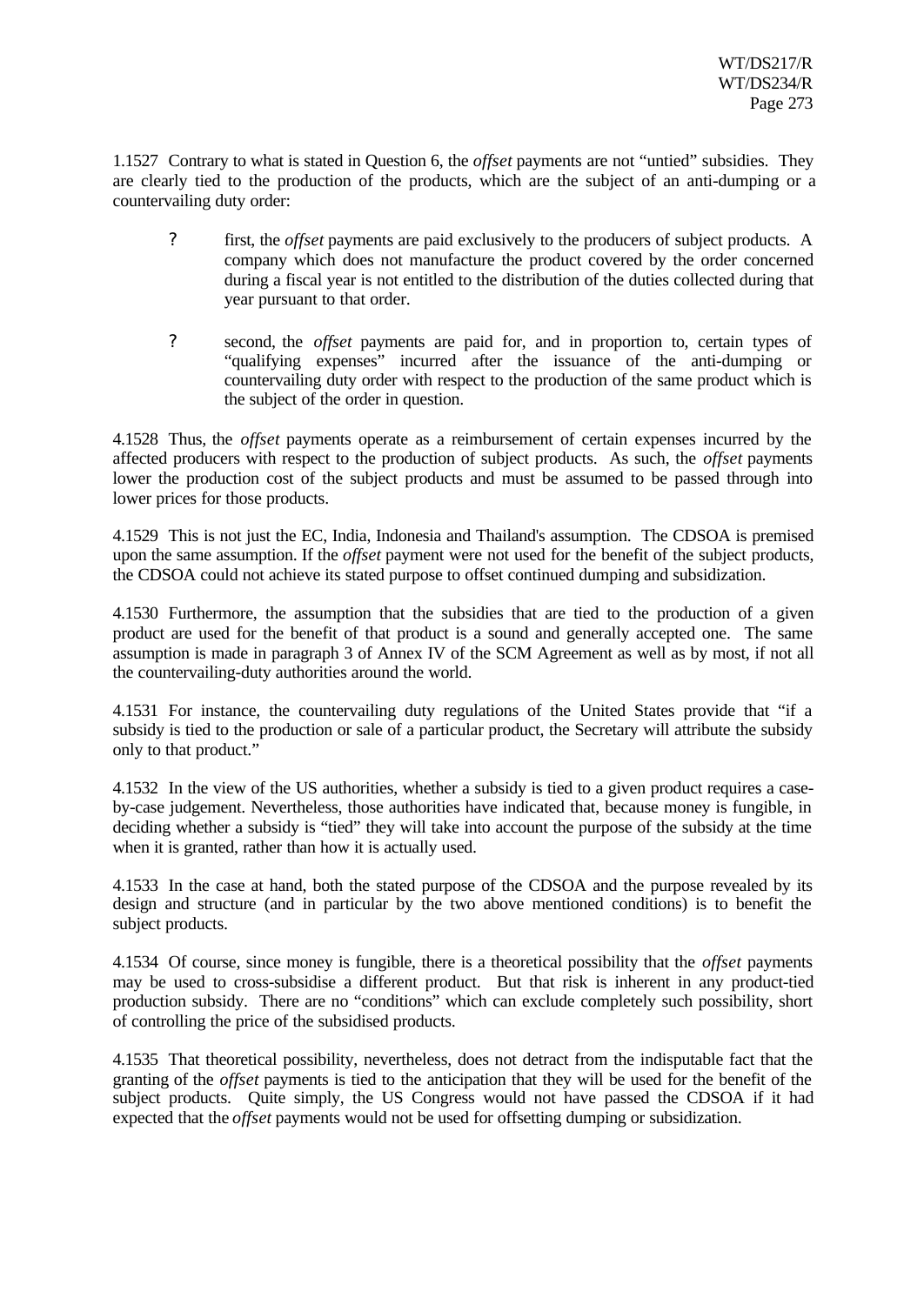1.1527 Contrary to what is stated in Question 6, the *offset* payments are not "untied" subsidies. They are clearly tied to the production of the products, which are the subject of an anti-dumping or a countervailing duty order:

- ? first, the *offset* payments are paid exclusively to the producers of subject products. A company which does not manufacture the product covered by the order concerned during a fiscal year is not entitled to the distribution of the duties collected during that year pursuant to that order.
- ? second, the *offset* payments are paid for, and in proportion to, certain types of "qualifying expenses" incurred after the issuance of the anti-dumping or countervailing duty order with respect to the production of the same product which is the subject of the order in question.

4.1528 Thus, the *offset* payments operate as a reimbursement of certain expenses incurred by the affected producers with respect to the production of subject products. As such, the *offset* payments lower the production cost of the subject products and must be assumed to be passed through into lower prices for those products.

4.1529 This is not just the EC, India, Indonesia and Thailand's assumption. The CDSOA is premised upon the same assumption. If the *offset* payment were not used for the benefit of the subject products, the CDSOA could not achieve its stated purpose to offset continued dumping and subsidization.

4.1530 Furthermore, the assumption that the subsidies that are tied to the production of a given product are used for the benefit of that product is a sound and generally accepted one. The same assumption is made in paragraph 3 of Annex IV of the SCM Agreement as well as by most, if not all the countervailing-duty authorities around the world.

4.1531 For instance, the countervailing duty regulations of the United States provide that "if a subsidy is tied to the production or sale of a particular product, the Secretary will attribute the subsidy only to that product."

4.1532 In the view of the US authorities, whether a subsidy is tied to a given product requires a caseby-case judgement. Nevertheless, those authorities have indicated that, because money is fungible, in deciding whether a subsidy is "tied" they will take into account the purpose of the subsidy at the time when it is granted, rather than how it is actually used.

4.1533 In the case at hand, both the stated purpose of the CDSOA and the purpose revealed by its design and structure (and in particular by the two above mentioned conditions) is to benefit the subject products.

4.1534 Of course, since money is fungible, there is a theoretical possibility that the *offset* payments may be used to cross-subsidise a different product. But that risk is inherent in any product-tied production subsidy. There are no "conditions" which can exclude completely such possibility, short of controlling the price of the subsidised products.

4.1535 That theoretical possibility, nevertheless, does not detract from the indisputable fact that the granting of the *offset* payments is tied to the anticipation that they will be used for the benefit of the subject products. Quite simply, the US Congress would not have passed the CDSOA if it had expected that the *offset* payments would not be used for offsetting dumping or subsidization.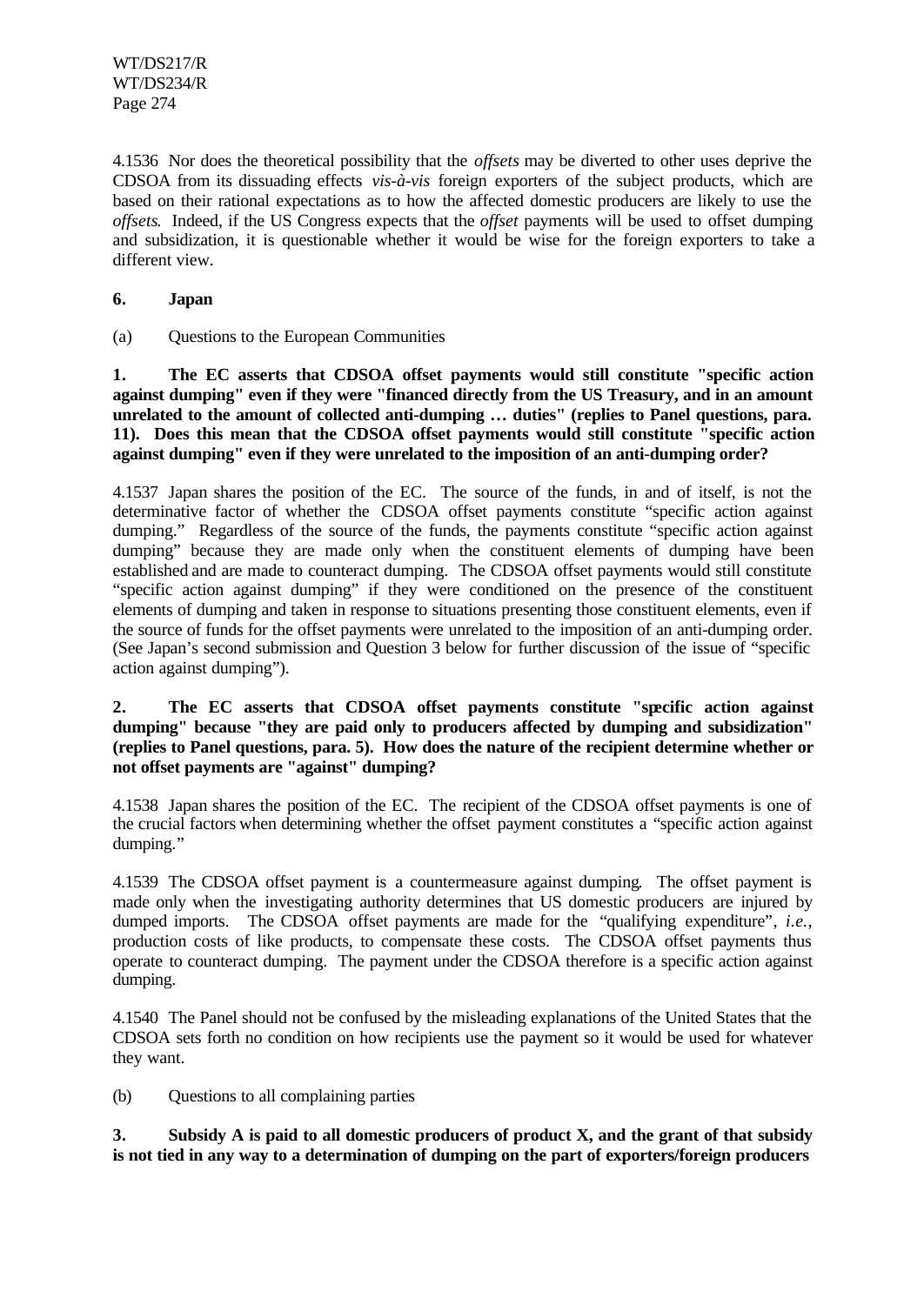4.1536 Nor does the theoretical possibility that the *offsets* may be diverted to other uses deprive the CDSOA from its dissuading effects *vis-à-vis* foreign exporters of the subject products, which are based on their rational expectations as to how the affected domestic producers are likely to use the *offsets*. Indeed, if the US Congress expects that the *offset* payments will be used to offset dumping and subsidization, it is questionable whether it would be wise for the foreign exporters to take a different view.

## **6. Japan**

(a) Questions to the European Communities

**1. The EC asserts that CDSOA offset payments would still constitute "specific action against dumping" even if they were "financed directly from the US Treasury, and in an amount unrelated to the amount of collected anti-dumping … duties" (replies to Panel questions, para. 11). Does this mean that the CDSOA offset payments would still constitute "specific action against dumping" even if they were unrelated to the imposition of an anti-dumping order?**

4.1537 Japan shares the position of the EC. The source of the funds, in and of itself, is not the determinative factor of whether the CDSOA offset payments constitute "specific action against dumping." Regardless of the source of the funds, the payments constitute "specific action against dumping" because they are made only when the constituent elements of dumping have been established and are made to counteract dumping. The CDSOA offset payments would still constitute "specific action against dumping" if they were conditioned on the presence of the constituent elements of dumping and taken in response to situations presenting those constituent elements, even if the source of funds for the offset payments were unrelated to the imposition of an anti-dumping order. (See Japan's second submission and Question 3 below for further discussion of the issue of "specific action against dumping").

## **2. The EC asserts that CDSOA offset payments constitute "specific action against dumping" because "they are paid only to producers affected by dumping and subsidization" (replies to Panel questions, para. 5). How does the nature of the recipient determine whether or not offset payments are "against" dumping?**

4.1538 Japan shares the position of the EC. The recipient of the CDSOA offset payments is one of the crucial factors when determining whether the offset payment constitutes a "specific action against dumping."

4.1539 The CDSOA offset payment is a countermeasure against dumping. The offset payment is made only when the investigating authority determines that US domestic producers are injured by dumped imports. The CDSOA offset payments are made for the "qualifying expenditure", *i.e.,* production costs of like products, to compensate these costs. The CDSOA offset payments thus operate to counteract dumping. The payment under the CDSOA therefore is a specific action against dumping.

4.1540 The Panel should not be confused by the misleading explanations of the United States that the CDSOA sets forth no condition on how recipients use the payment so it would be used for whatever they want.

(b) Questions to all complaining parties

**3. Subsidy A is paid to all domestic producers of product X, and the grant of that subsidy is not tied in any way to a determination of dumping on the part of exporters/foreign producers**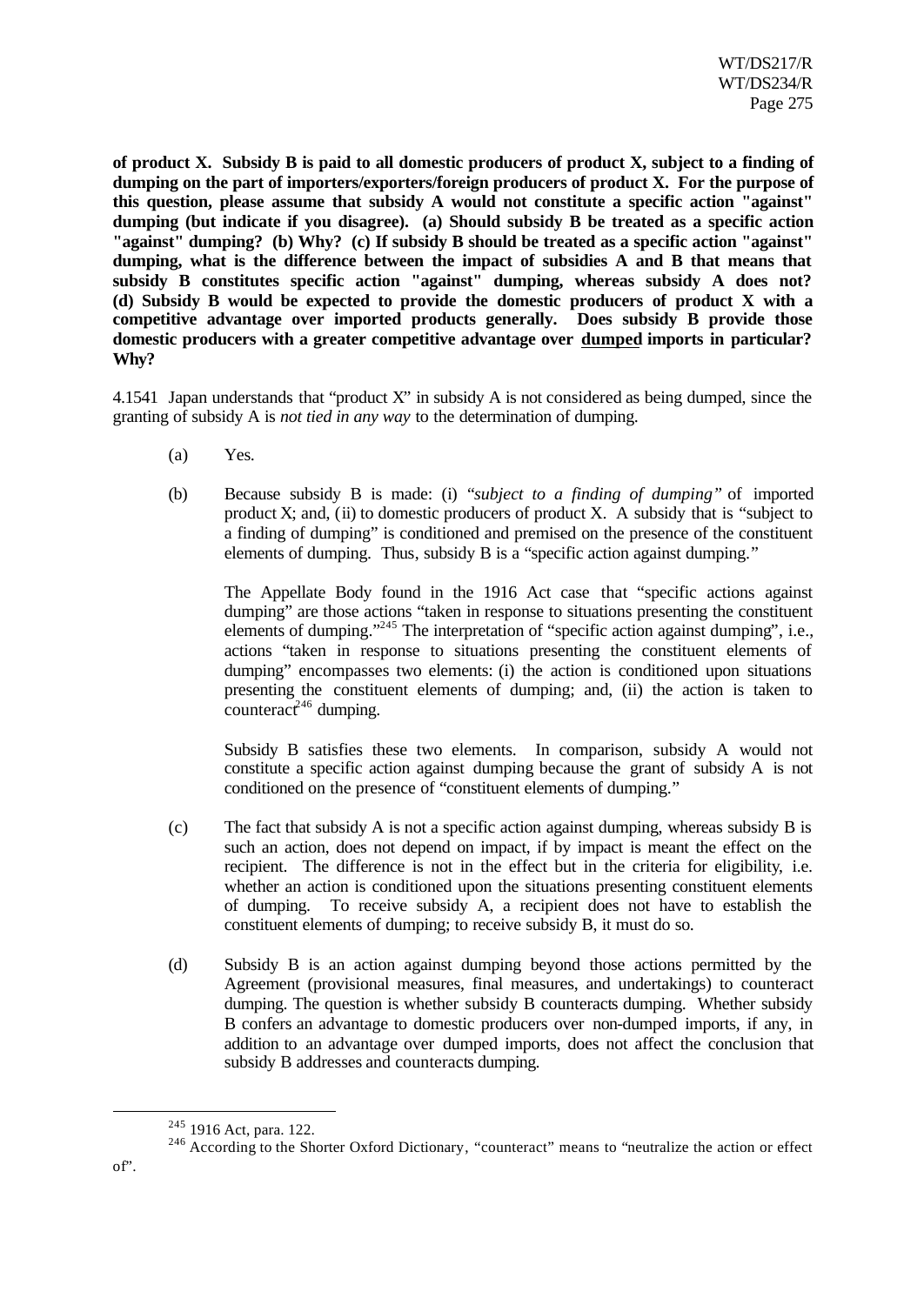**of product X. Subsidy B is paid to all domestic producers of product X, subject to a finding of dumping on the part of importers/exporters/foreign producers of product X. For the purpose of this question, please assume that subsidy A would not constitute a specific action "against" dumping (but indicate if you disagree). (a) Should subsidy B be treated as a specific action "against" dumping? (b) Why? (c) If subsidy B should be treated as a specific action "against" dumping, what is the difference between the impact of subsidies A and B that means that subsidy B constitutes specific action "against" dumping, whereas subsidy A does not? (d) Subsidy B would be expected to provide the domestic producers of product X with a competitive advantage over imported products generally. Does subsidy B provide those domestic producers with a greater competitive advantage over dumped imports in particular? Why?**

4.1541 Japan understands that "product X" in subsidy A is not considered as being dumped, since the granting of subsidy A is *not tied in any way* to the determination of dumping.

- (a) Yes.
- (b) Because subsidy B is made: (i) "*subject to a finding of dumping"* of imported product  $X$ ; and, (ii) to domestic producers of product  $X$ . A subsidy that is "subject to a finding of dumping" is conditioned and premised on the presence of the constituent elements of dumping. Thus, subsidy B is a "specific action against dumping."

The Appellate Body found in the 1916 Act case that "specific actions against dumping" are those actions "taken in response to situations presenting the constituent elements of dumping."<sup>245</sup> The interpretation of "specific action against dumping", i.e., actions "taken in response to situations presenting the constituent elements of dumping" encompasses two elements: (i) the action is conditioned upon situations presenting the constituent elements of dumping; and, (ii) the action is taken to counteract<sup>246</sup> dumping.

Subsidy B satisfies these two elements. In comparison, subsidy A would not constitute a specific action against dumping because the grant of subsidy A is not conditioned on the presence of "constituent elements of dumping."

- (c) The fact that subsidy A is not a specific action against dumping, whereas subsidy B is such an action, does not depend on impact, if by impact is meant the effect on the recipient. The difference is not in the effect but in the criteria for eligibility, i.e. whether an action is conditioned upon the situations presenting constituent elements of dumping. To receive subsidy A, a recipient does not have to establish the constituent elements of dumping; to receive subsidy B, it must do so.
- (d) Subsidy B is an action against dumping beyond those actions permitted by the Agreement (provisional measures, final measures, and undertakings) to counteract dumping. The question is whether subsidy B counteracts dumping. Whether subsidy B confers an advantage to domestic producers over non-dumped imports, if any, in addition to an advantage over dumped imports, does not affect the conclusion that subsidy B addresses and counteracts dumping.

l

<sup>245</sup> 1916 Act, para. 122.

<sup>&</sup>lt;sup>246</sup> According to the Shorter Oxford Dictionary, "counteract" means to "neutralize the action or effect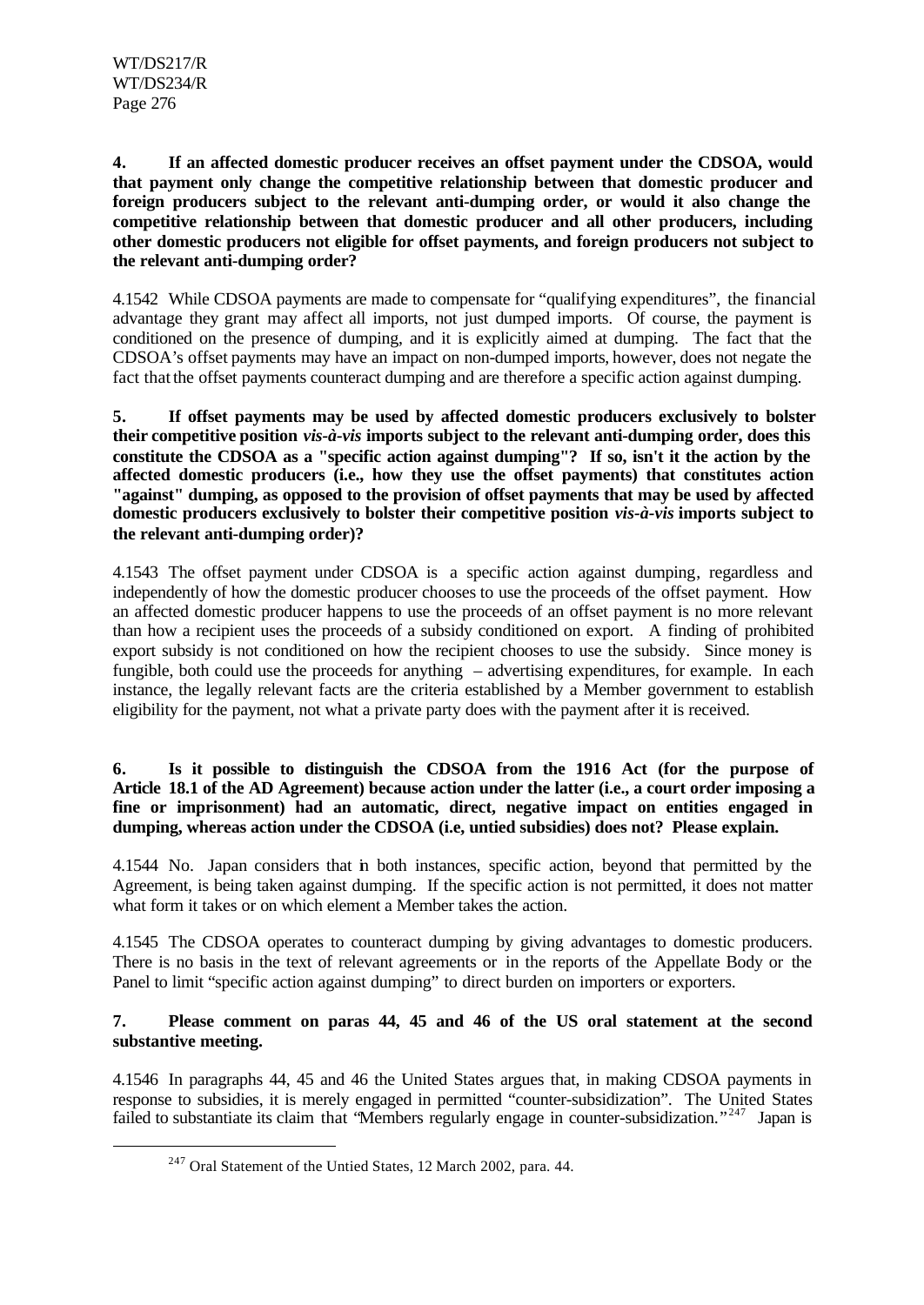l

**4. If an affected domestic producer receives an offset payment under the CDSOA, would that payment only change the competitive relationship between that domestic producer and foreign producers subject to the relevant anti-dumping order, or would it also change the competitive relationship between that domestic producer and all other producers, including other domestic producers not eligible for offset payments, and foreign producers not subject to the relevant anti-dumping order?**

4.1542 While CDSOA payments are made to compensate for "qualifying expenditures", the financial advantage they grant may affect all imports, not just dumped imports. Of course, the payment is conditioned on the presence of dumping, and it is explicitly aimed at dumping. The fact that the CDSOA's offset payments may have an impact on non-dumped imports, however, does not negate the fact that the offset payments counteract dumping and are therefore a specific action against dumping.

**5. If offset payments may be used by affected domestic producers exclusively to bolster their competitive position** *vis-à-vis* **imports subject to the relevant anti-dumping order, does this constitute the CDSOA as a "specific action against dumping"? If so, isn't it the action by the affected domestic producers (i.e., how they use the offset payments) that constitutes action "against" dumping, as opposed to the provision of offset payments that may be used by affected domestic producers exclusively to bolster their competitive position** *vis-à-vis* **imports subject to the relevant anti-dumping order)?**

4.1543 The offset payment under CDSOA is a specific action against dumping, regardless and independently of how the domestic producer chooses to use the proceeds of the offset payment. How an affected domestic producer happens to use the proceeds of an offset payment is no more relevant than how a recipient uses the proceeds of a subsidy conditioned on export. A finding of prohibited export subsidy is not conditioned on how the recipient chooses to use the subsidy. Since money is fungible, both could use the proceeds for anything – advertising expenditures, for example. In each instance, the legally relevant facts are the criteria established by a Member government to establish eligibility for the payment, not what a private party does with the payment after it is received.

## **6. Is it possible to distinguish the CDSOA from the 1916 Act (for the purpose of Article 18.1 of the AD Agreement) because action under the latter (i.e., a court order imposing a fine or imprisonment) had an automatic, direct, negative impact on entities engaged in dumping, whereas action under the CDSOA (i.e, untied subsidies) does not? Please explain.**

4.1544 No. Japan considers that in both instances, specific action, beyond that permitted by the Agreement, is being taken against dumping. If the specific action is not permitted, it does not matter what form it takes or on which element a Member takes the action.

4.1545 The CDSOA operates to counteract dumping by giving advantages to domestic producers. There is no basis in the text of relevant agreements or in the reports of the Appellate Body or the Panel to limit "specific action against dumping" to direct burden on importers or exporters.

## **7. Please comment on paras 44, 45 and 46 of the US oral statement at the second substantive meeting.**

4.1546 In paragraphs 44, 45 and 46 the United States argues that, in making CDSOA payments in response to subsidies, it is merely engaged in permitted "counter-subsidization". The United States failed to substantiate its claim that 'Members regularly engage in counter-subsidization."<sup>247</sup> Japan is

 $247$  Oral Statement of the Untied States, 12 March 2002, para. 44.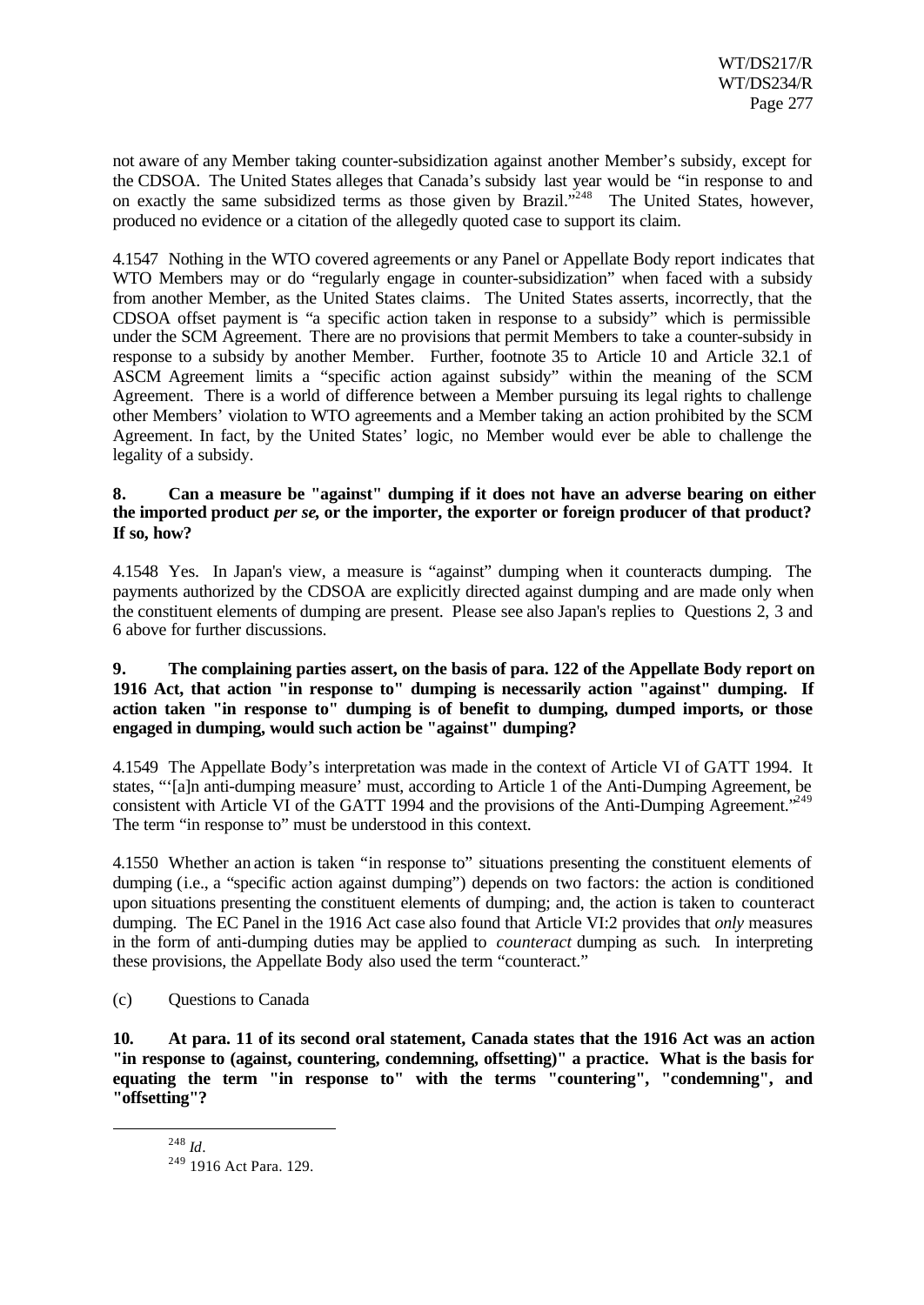not aware of any Member taking counter-subsidization against another Member's subsidy, except for the CDSOA. The United States alleges that Canada's subsidy last year would be "in response to and on exactly the same subsidized terms as those given by Brazil."<sup>248</sup> The United States, however, produced no evidence or a citation of the allegedly quoted case to support its claim.

4.1547 Nothing in the WTO covered agreements or any Panel or Appellate Body report indicates that WTO Members may or do "regularly engage in counter-subsidization" when faced with a subsidy from another Member, as the United States claims. The United States asserts, incorrectly, that the CDSOA offset payment is "a specific action taken in response to a subsidy" which is permissible under the SCM Agreement. There are no provisions that permit Members to take a counter-subsidy in response to a subsidy by another Member. Further, footnote 35 to Article 10 and Article 32.1 of ASCM Agreement limits a "specific action against subsidy" within the meaning of the SCM Agreement. There is a world of difference between a Member pursuing its legal rights to challenge other Members' violation to WTO agreements and a Member taking an action prohibited by the SCM Agreement. In fact, by the United States' logic, no Member would ever be able to challenge the legality of a subsidy.

## **8. Can a measure be "against" dumping if it does not have an adverse bearing on either the imported product** *per se***, or the importer, the exporter or foreign producer of that product? If so, how?**

4.1548 Yes. In Japan's view, a measure is "against" dumping when it counteracts dumping. The payments authorized by the CDSOA are explicitly directed against dumping and are made only when the constituent elements of dumping are present. Please see also Japan's replies to Questions 2, 3 and 6 above for further discussions.

## **9. The complaining parties assert, on the basis of para. 122 of the Appellate Body report on 1916 Act, that action "in response to" dumping is necessarily action "against" dumping. If action taken "in response to" dumping is of benefit to dumping, dumped imports, or those engaged in dumping, would such action be "against" dumping?**

4.1549 The Appellate Body's interpretation was made in the context of Article VI of GATT 1994. It states, "'[a]n anti-dumping measure' must, according to Article 1 of the Anti-Dumping Agreement, be consistent with Article VI of the GATT 1994 and the provisions of the Anti-Dumping Agreement.<sup>249</sup> The term "in response to" must be understood in this context.

4.1550 Whether an action is taken "in response to" situations presenting the constituent elements of dumping (i.e., a "specific action against dumping") depends on two factors: the action is conditioned upon situations presenting the constituent elements of dumping; and, the action is taken to counteract dumping. The EC Panel in the 1916 Act case also found that Article VI:2 provides that *only* measures in the form of anti-dumping duties may be applied to *counteract* dumping as such. In interpreting these provisions, the Appellate Body also used the term "counteract."

(c) Questions to Canada

**10. At para. 11 of its second oral statement, Canada states that the 1916 Act was an action "in response to (against, countering, condemning, offsetting)" a practice. What is the basis for equating the term "in response to" with the terms "countering", "condemning", and "offsetting"?**

l

<sup>248</sup> *Id*.

<sup>249</sup> 1916 Act Para. 129.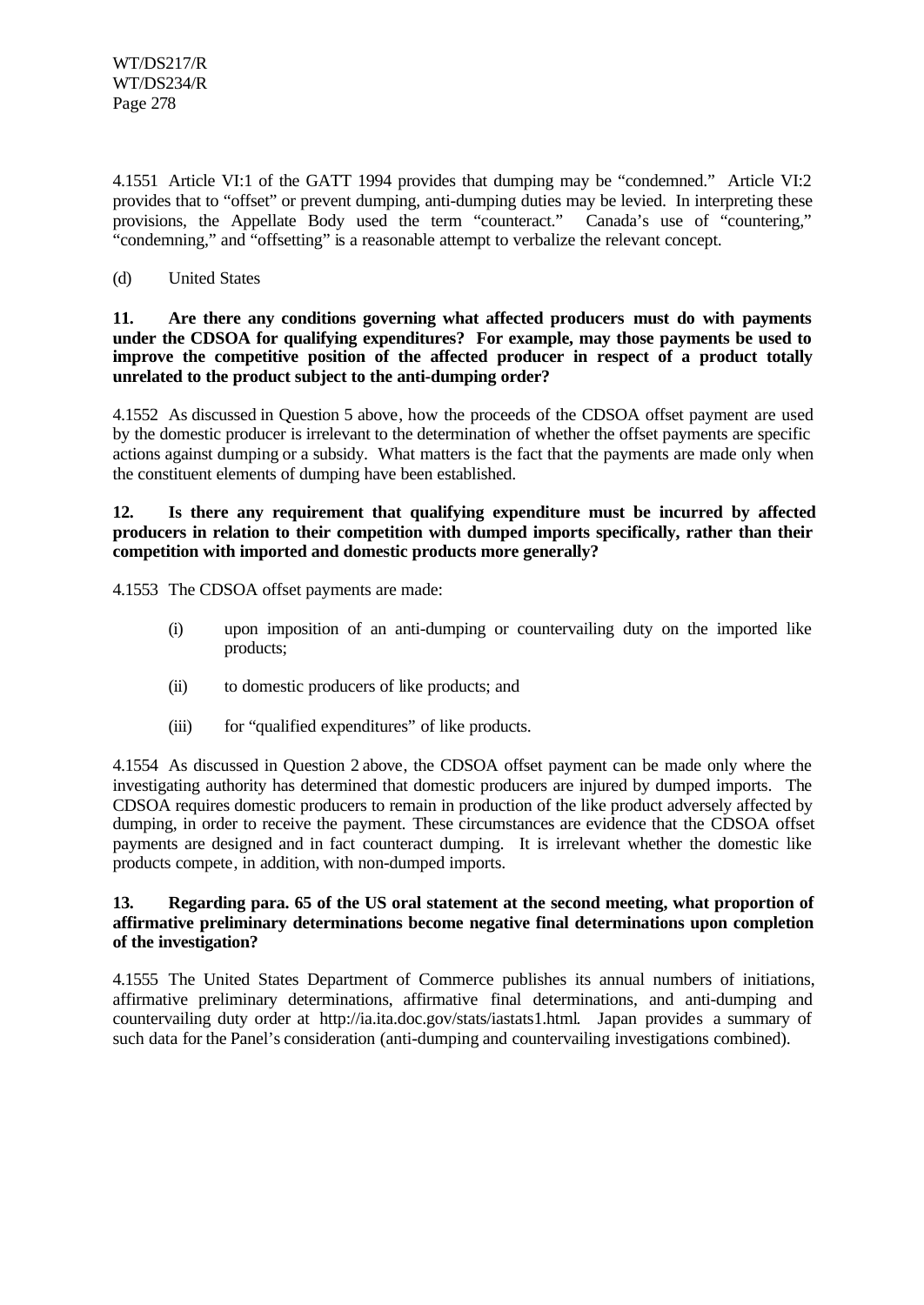4.1551 Article VI:1 of the GATT 1994 provides that dumping may be "condemned." Article VI:2 provides that to "offset" or prevent dumping, anti-dumping duties may be levied. In interpreting these provisions, the Appellate Body used the term "counteract." Canada's use of "countering," "condemning," and "offsetting" is a reasonable attempt to verbalize the relevant concept.

## (d) United States

**11. Are there any conditions governing what affected producers must do with payments under the CDSOA for qualifying expenditures? For example, may those payments be used to improve the competitive position of the affected producer in respect of a product totally unrelated to the product subject to the anti-dumping order?**

4.1552 As discussed in Question 5 above, how the proceeds of the CDSOA offset payment are used by the domestic producer is irrelevant to the determination of whether the offset payments are specific actions against dumping or a subsidy. What matters is the fact that the payments are made only when the constituent elements of dumping have been established.

### **12. Is there any requirement that qualifying expenditure must be incurred by affected producers in relation to their competition with dumped imports specifically, rather than their competition with imported and domestic products more generally?**

4.1553 The CDSOA offset payments are made:

- (i) upon imposition of an anti-dumping or countervailing duty on the imported like products;
- (ii) to domestic producers of like products; and
- (iii) for "qualified expenditures" of like products.

4.1554 As discussed in Question 2 above, the CDSOA offset payment can be made only where the investigating authority has determined that domestic producers are injured by dumped imports. The CDSOA requires domestic producers to remain in production of the like product adversely affected by dumping, in order to receive the payment. These circumstances are evidence that the CDSOA offset payments are designed and in fact counteract dumping. It is irrelevant whether the domestic like products compete, in addition, with non-dumped imports.

#### **13. Regarding para. 65 of the US oral statement at the second meeting, what proportion of affirmative preliminary determinations become negative final determinations upon completion of the investigation?**

4.1555 The United States Department of Commerce publishes its annual numbers of initiations, affirmative preliminary determinations, affirmative final determinations, and anti-dumping and countervailing duty order at http://ia.ita.doc.gov/stats/iastats1.html. Japan provides a summary of such data for the Panel's consideration (anti-dumping and countervailing investigations combined).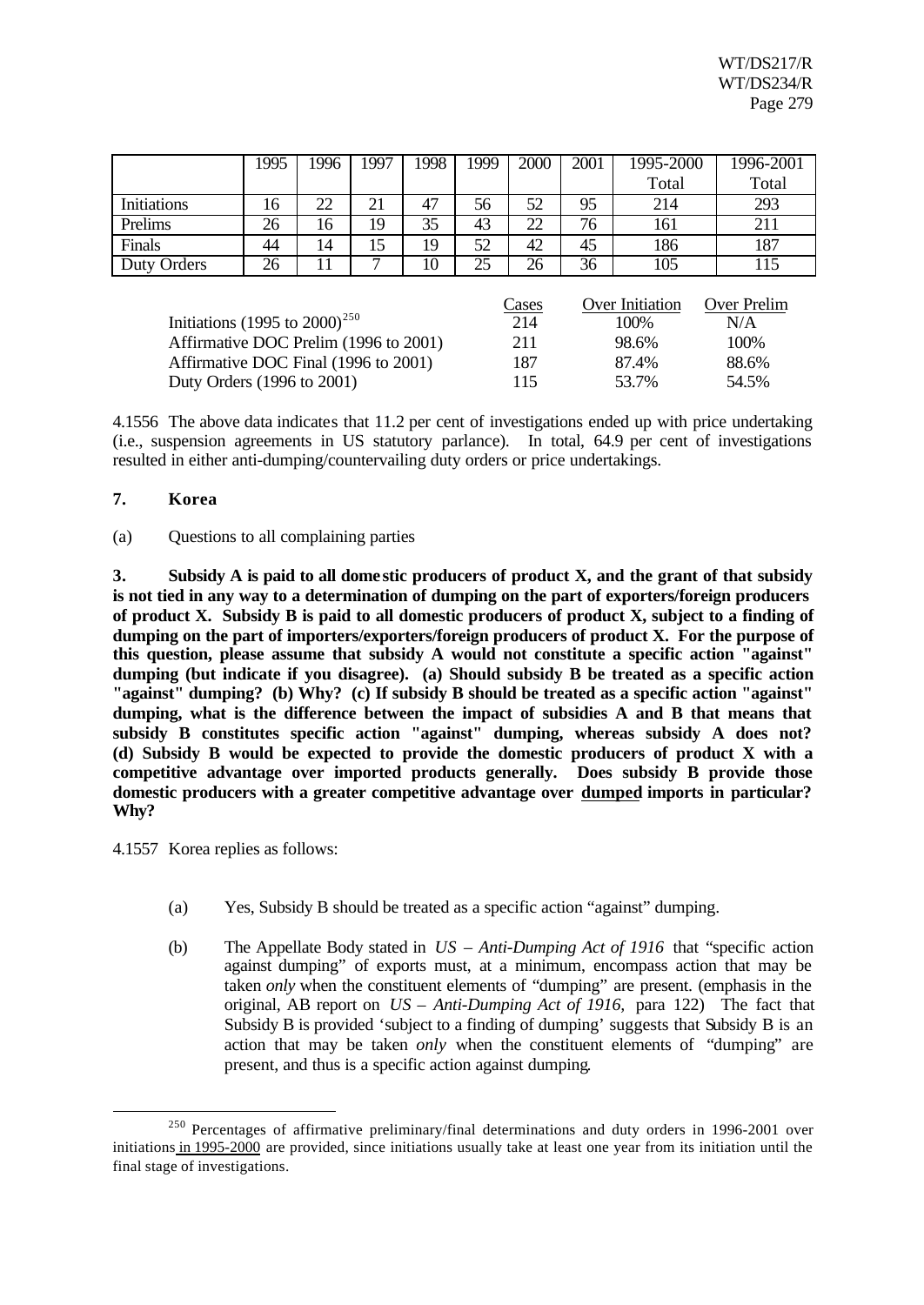|                    | 1995 | 1996 | 1997 | 1998 | 1999 | 2000 | 2001 | 1995-2000 | 1996-2001 |
|--------------------|------|------|------|------|------|------|------|-----------|-----------|
|                    |      |      |      |      |      |      |      | Total     | Total     |
| <b>Initiations</b> | 16   | 22   | 21   | 47   | 56   | 52   | 95   | 214       | 293       |
| Prelims            | 26   | 16   | 19   | 35   | 43   | 22   | 76   | 161       | 211       |
| Finals             | 44   | 14   | 15   | 19   | 52   | 42   | 45   | 186       | 187       |
| Duty Orders        | 26   |      |      | 10   | 25   | 26   | 36   | 105       | 115       |
|                    |      |      |      |      |      |      |      |           |           |

Cases Over Initiation Over Prelim Initiations (1995 to 2000)<sup>250</sup>  $\overline{214}$  100% N/A Affirmative DOC Prelim (1996 to 2001) 211 98.6% 100% Affirmative DOC Final (1996 to 2001) 187 87.4% 88.6% Duty Orders (1996 to 2001) 115 53.7% 54.5%

4.1556 The above data indicates that 11.2 per cent of investigations ended up with price undertaking (i.e., suspension agreements in US statutory parlance). In total, 64.9 per cent of investigations resulted in either anti-dumping/countervailing duty orders or price undertakings.

# **7. Korea**

(a) Questions to all complaining parties

**3. Subsidy A is paid to all dome stic producers of product X, and the grant of that subsidy is not tied in any way to a determination of dumping on the part of exporters/foreign producers of product X. Subsidy B is paid to all domestic producers of product X, subject to a finding of dumping on the part of importers/exporters/foreign producers of product X. For the purpose of this question, please assume that subsidy A would not constitute a specific action "against" dumping (but indicate if you disagree). (a) Should subsidy B be treated as a specific action "against" dumping? (b) Why? (c) If subsidy B should be treated as a specific action "against" dumping, what is the difference between the impact of subsidies A and B that means that subsidy B constitutes specific action "against" dumping, whereas subsidy A does not? (d) Subsidy B would be expected to provide the domestic producers of product X with a competitive advantage over imported products generally. Does subsidy B provide those domestic producers with a greater competitive advantage over dumped imports in particular? Why?**

4.1557 Korea replies as follows:

l

- (a) Yes, Subsidy B should be treated as a specific action "against" dumping.
- (b) The Appellate Body stated in *US Anti-Dumping Act of 1916* that "specific action against dumping" of exports must, at a minimum, encompass action that may be taken *only* when the constituent elements of "dumping" are present. (emphasis in the original, AB report on *US – Anti-Dumping Act of 1916,* para 122) The fact that Subsidy B is provided 'subject to a finding of dumping' suggests that Subsidy B is an action that may be taken *only* when the constituent elements of "dumping" are present, and thus is a specific action against dumping.

<sup>250</sup> Percentages of affirmative preliminary/final determinations and duty orders in 1996-2001 over initiations in 1995-2000 are provided, since initiations usually take at least one year from its initiation until the final stage of investigations.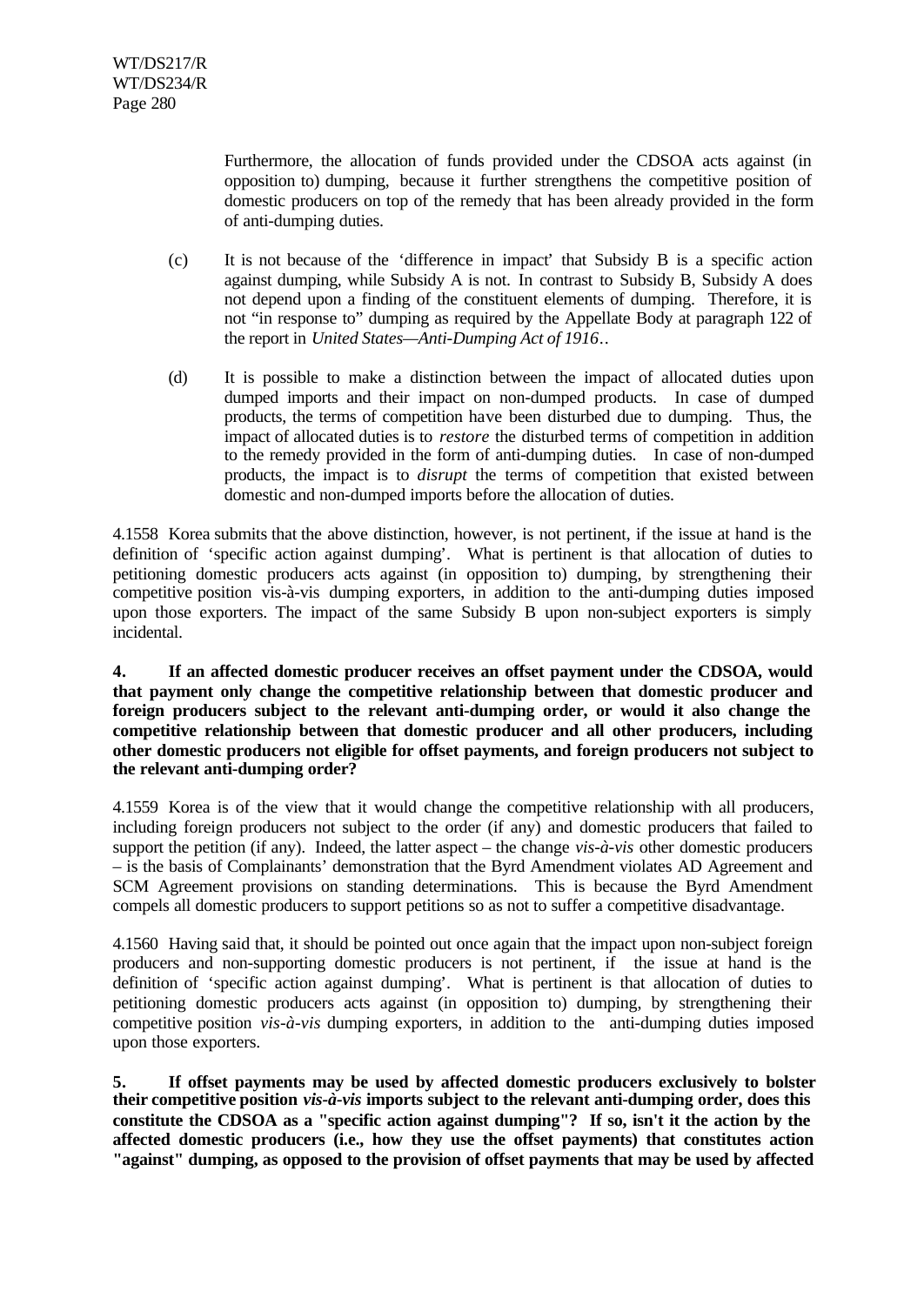Furthermore, the allocation of funds provided under the CDSOA acts against (in opposition to) dumping, because it further strengthens the competitive position of domestic producers on top of the remedy that has been already provided in the form of anti-dumping duties.

- (c) It is not because of the 'difference in impact' that Subsidy B is a specific action against dumping, while Subsidy A is not. In contrast to Subsidy B, Subsidy A does not depend upon a finding of the constituent elements of dumping. Therefore, it is not "in response to" dumping as required by the Appellate Body at paragraph 122 of the report in *United States—Anti-Dumping Act of 1916.*.
- (d) It is possible to make a distinction between the impact of allocated duties upon dumped imports and their impact on non-dumped products. In case of dumped products, the terms of competition have been disturbed due to dumping. Thus, the impact of allocated duties is to *restore* the disturbed terms of competition in addition to the remedy provided in the form of anti-dumping duties. In case of non-dumped products, the impact is to *disrupt* the terms of competition that existed between domestic and non-dumped imports before the allocation of duties.

4.1558 Korea submits that the above distinction, however, is not pertinent, if the issue at hand is the definition of 'specific action against dumping'. What is pertinent is that allocation of duties to petitioning domestic producers acts against (in opposition to) dumping, by strengthening their competitive position vis-à-vis dumping exporters, in addition to the anti-dumping duties imposed upon those exporters. The impact of the same Subsidy B upon non-subject exporters is simply incidental.

**4. If an affected domestic producer receives an offset payment under the CDSOA, would that payment only change the competitive relationship between that domestic producer and foreign producers subject to the relevant anti-dumping order, or would it also change the competitive relationship between that domestic producer and all other producers, including other domestic producers not eligible for offset payments, and foreign producers not subject to the relevant anti-dumping order?**

4.1559 Korea is of the view that it would change the competitive relationship with all producers, including foreign producers not subject to the order (if any) and domestic producers that failed to support the petition (if any). Indeed, the latter aspect – the change *vis-à-vis* other domestic producers – is the basis of Complainants' demonstration that the Byrd Amendment violates AD Agreement and SCM Agreement provisions on standing determinations. This is because the Byrd Amendment compels all domestic producers to support petitions so as not to suffer a competitive disadvantage.

4.1560 Having said that, it should be pointed out once again that the impact upon non-subject foreign producers and non-supporting domestic producers is not pertinent, if the issue at hand is the definition of 'specific action against dumping'. What is pertinent is that allocation of duties to petitioning domestic producers acts against (in opposition to) dumping, by strengthening their competitive position *vis-à-vis* dumping exporters, in addition to the anti-dumping duties imposed upon those exporters.

**5. If offset payments may be used by affected domestic producers exclusively to bolster their competitive position** *vis-à-vis* **imports subject to the relevant anti-dumping order, does this constitute the CDSOA as a "specific action against dumping"? If so, isn't it the action by the affected domestic producers (i.e., how they use the offset payments) that constitutes action "against" dumping, as opposed to the provision of offset payments that may be used by affected**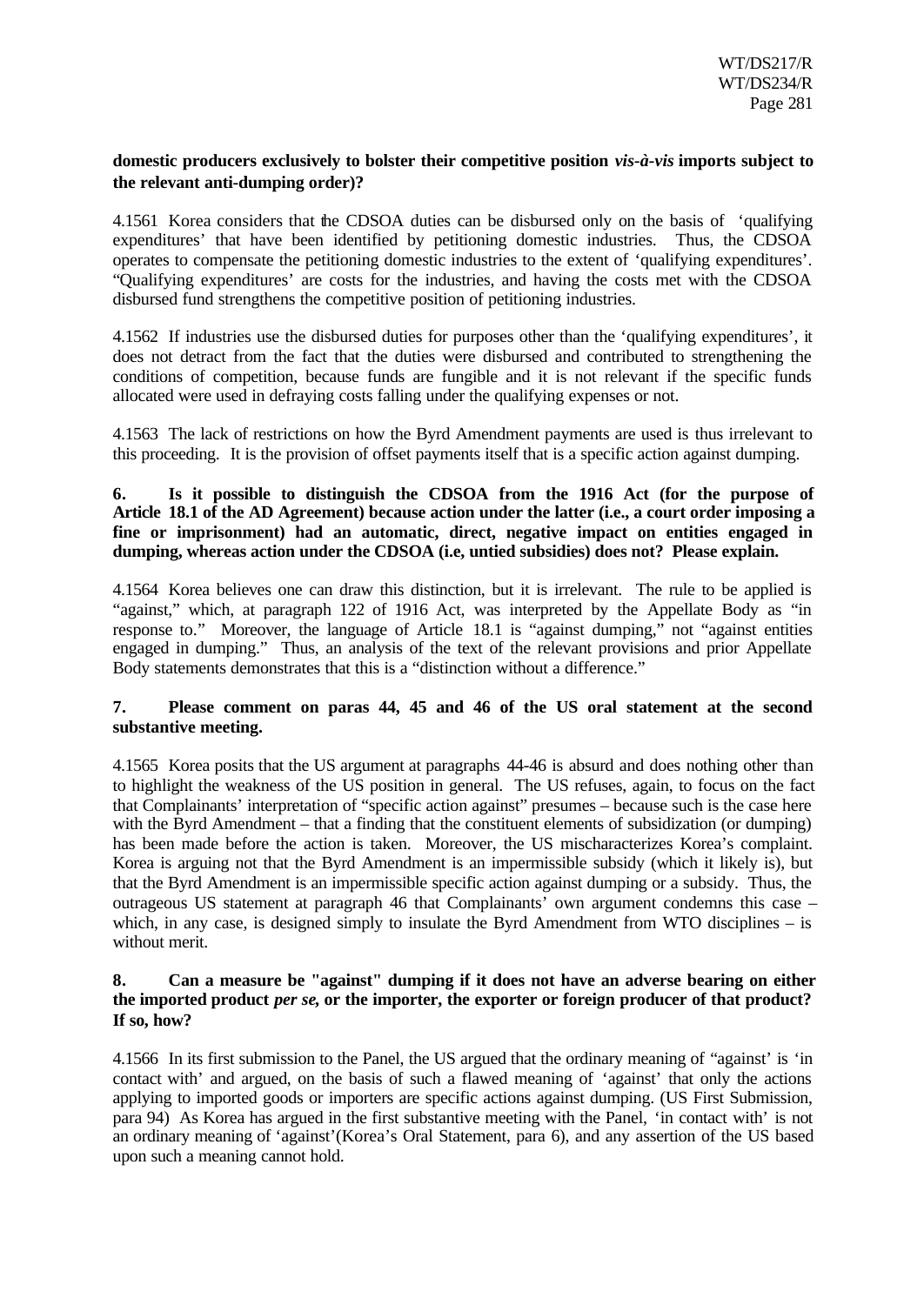## **domestic producers exclusively to bolster their competitive position** *vis-à-vis* **imports subject to the relevant anti-dumping order)?**

4.1561 Korea considers that the CDSOA duties can be disbursed only on the basis of 'qualifying expenditures' that have been identified by petitioning domestic industries. Thus, the CDSOA operates to compensate the petitioning domestic industries to the extent of 'qualifying expenditures'. "Qualifying expenditures' are costs for the industries, and having the costs met with the CDSOA disbursed fund strengthens the competitive position of petitioning industries.

4.1562 If industries use the disbursed duties for purposes other than the 'qualifying expenditures', it does not detract from the fact that the duties were disbursed and contributed to strengthening the conditions of competition, because funds are fungible and it is not relevant if the specific funds allocated were used in defraying costs falling under the qualifying expenses or not.

4.1563 The lack of restrictions on how the Byrd Amendment payments are used is thus irrelevant to this proceeding. It is the provision of offset payments itself that is a specific action against dumping.

### **6. Is it possible to distinguish the CDSOA from the 1916 Act (for the purpose of Article 18.1 of the AD Agreement) because action under the latter (i.e., a court order imposing a fine or imprisonment) had an automatic, direct, negative impact on entities engaged in dumping, whereas action under the CDSOA (i.e, untied subsidies) does not? Please explain.**

4.1564 Korea believes one can draw this distinction, but it is irrelevant. The rule to be applied is "against," which, at paragraph 122 of 1916 Act, was interpreted by the Appellate Body as "in response to." Moreover, the language of Article 18.1 is "against dumping," not "against entities engaged in dumping." Thus, an analysis of the text of the relevant provisions and prior Appellate Body statements demonstrates that this is a "distinction without a difference."

# **7. Please comment on paras 44, 45 and 46 of the US oral statement at the second substantive meeting.**

4.1565 Korea posits that the US argument at paragraphs 44-46 is absurd and does nothing other than to highlight the weakness of the US position in general. The US refuses, again, to focus on the fact that Complainants' interpretation of "specific action against" presumes – because such is the case here with the Byrd Amendment – that a finding that the constituent elements of subsidization (or dumping) has been made before the action is taken. Moreover, the US mischaracterizes Korea's complaint. Korea is arguing not that the Byrd Amendment is an impermissible subsidy (which it likely is), but that the Byrd Amendment is an impermissible specific action against dumping or a subsidy. Thus, the outrageous US statement at paragraph 46 that Complainants' own argument condemns this case – which, in any case, is designed simply to insulate the Byrd Amendment from WTO disciplines – is without merit.

#### **8. Can a measure be "against" dumping if it does not have an adverse bearing on either the imported product** *per se***, or the importer, the exporter or foreign producer of that product? If so, how?**

4.1566 In its first submission to the Panel, the US argued that the ordinary meaning of "against' is 'in contact with' and argued, on the basis of such a flawed meaning of 'against' that only the actions applying to imported goods or importers are specific actions against dumping. (US First Submission, para 94) As Korea has argued in the first substantive meeting with the Panel, 'in contact with' is not an ordinary meaning of 'against'(Korea's Oral Statement, para 6), and any assertion of the US based upon such a meaning cannot hold.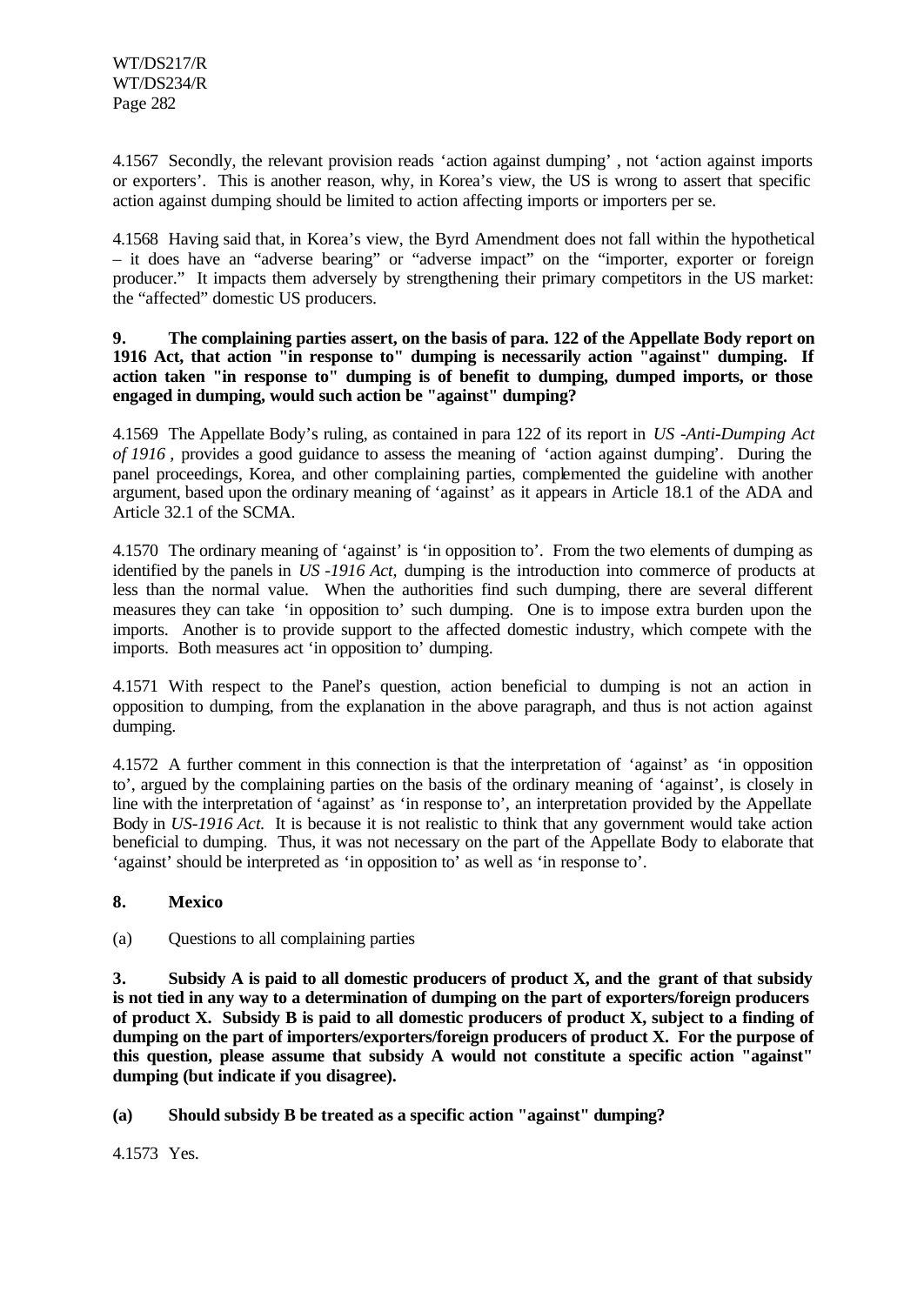4.1567 Secondly, the relevant provision reads 'action against dumping' , not 'action against imports or exporters'. This is another reason, why, in Korea's view, the US is wrong to assert that specific action against dumping should be limited to action affecting imports or importers per se.

4.1568 Having said that, in Korea's view, the Byrd Amendment does not fall within the hypothetical – it does have an "adverse bearing" or "adverse impact" on the "importer, exporter or foreign producer." It impacts them adversely by strengthening their primary competitors in the US market: the "affected" domestic US producers.

#### **9. The complaining parties assert, on the basis of para. 122 of the Appellate Body report on 1916 Act, that action "in response to" dumping is necessarily action "against" dumping. If action taken "in response to" dumping is of benefit to dumping, dumped imports, or those engaged in dumping, would such action be "against" dumping?**

4.1569 The Appellate Body's ruling, as contained in para 122 of its report in *US -Anti-Dumping Act of 1916 ,* provides a good guidance to assess the meaning of 'action against dumping'. During the panel proceedings, Korea, and other complaining parties, complemented the guideline with another argument, based upon the ordinary meaning of 'against' as it appears in Article 18.1 of the ADA and Article 32.1 of the SCMA.

4.1570 The ordinary meaning of 'against' is 'in opposition to'. From the two elements of dumping as identified by the panels in *US -1916 Act,* dumping is the introduction into commerce of products at less than the normal value. When the authorities find such dumping, there are several different measures they can take 'in opposition to' such dumping. One is to impose extra burden upon the imports. Another is to provide support to the affected domestic industry, which compete with the imports. Both measures act 'in opposition to' dumping.

4.1571 With respect to the Panel's question, action beneficial to dumping is not an action in opposition to dumping, from the explanation in the above paragraph, and thus is not action against dumping.

4.1572 A further comment in this connection is that the interpretation of 'against' as 'in opposition to', argued by the complaining parties on the basis of the ordinary meaning of 'against', is closely in line with the interpretation of 'against' as 'in response to', an interpretation provided by the Appellate Body in *US-1916 Act.* It is because it is not realistic to think that any government would take action beneficial to dumping. Thus, it was not necessary on the part of the Appellate Body to elaborate that 'against' should be interpreted as 'in opposition to' as well as 'in response to'.

# **8. Mexico**

(a) Questions to all complaining parties

**3. Subsidy A is paid to all domestic producers of product X, and the grant of that subsidy is not tied in any way to a determination of dumping on the part of exporters/foreign producers of product X. Subsidy B is paid to all domestic producers of product X, subject to a finding of dumping on the part of importers/exporters/foreign producers of product X. For the purpose of this question, please assume that subsidy A would not constitute a specific action "against" dumping (but indicate if you disagree).**

# **(a) Should subsidy B be treated as a specific action "against" dumping?**

4.1573 Yes.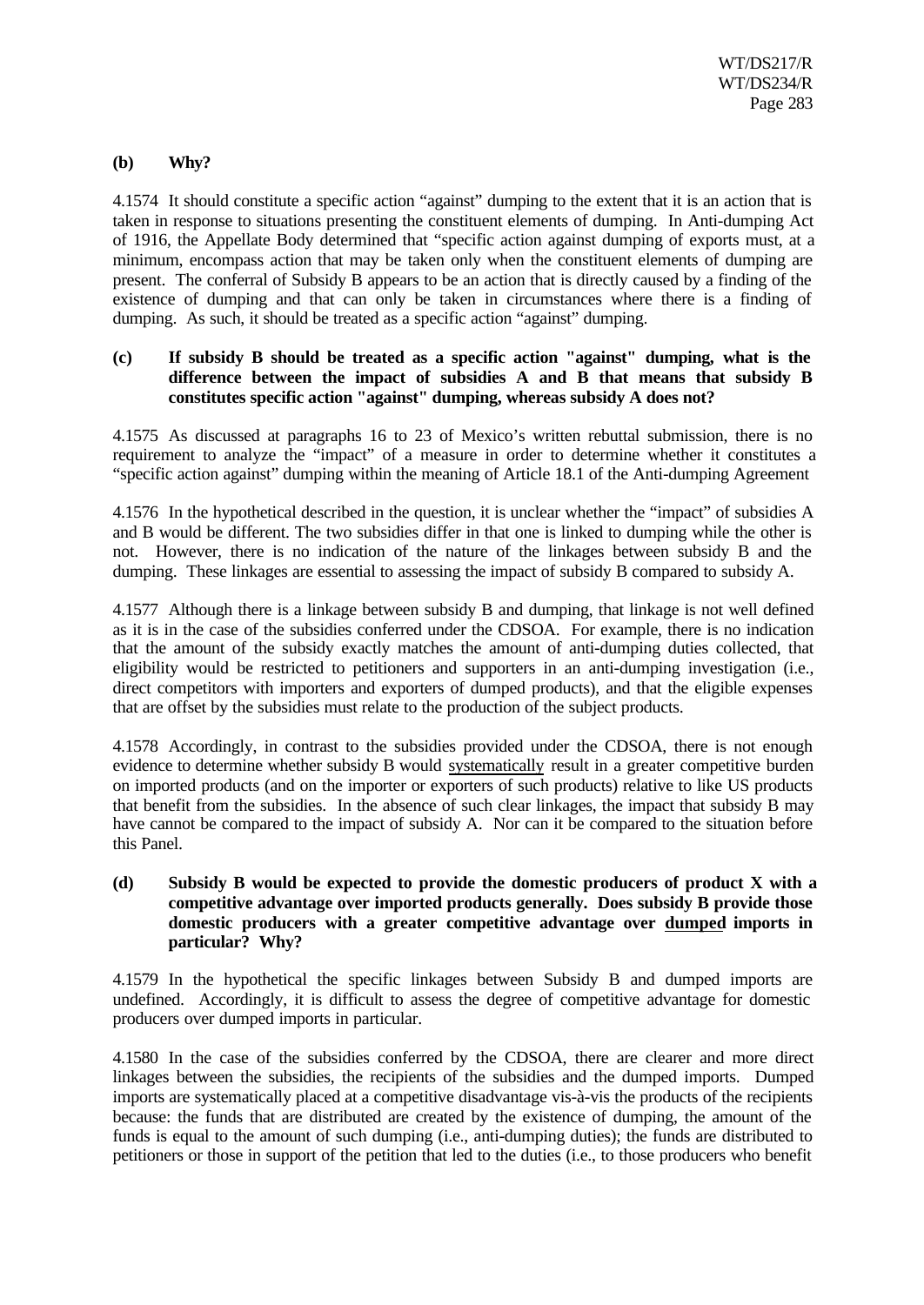### **(b) Why?**

4.1574 It should constitute a specific action "against" dumping to the extent that it is an action that is taken in response to situations presenting the constituent elements of dumping. In Anti-dumping Act of 1916, the Appellate Body determined that "specific action against dumping of exports must, at a minimum, encompass action that may be taken only when the constituent elements of dumping are present. The conferral of Subsidy B appears to be an action that is directly caused by a finding of the existence of dumping and that can only be taken in circumstances where there is a finding of dumping. As such, it should be treated as a specific action "against" dumping.

### **(c) If subsidy B should be treated as a specific action "against" dumping, what is the difference between the impact of subsidies A and B that means that subsidy B constitutes specific action "against" dumping, whereas subsidy A does not?**

4.1575 As discussed at paragraphs 16 to 23 of Mexico's written rebuttal submission, there is no requirement to analyze the "impact" of a measure in order to determine whether it constitutes a "specific action against" dumping within the meaning of Article 18.1 of the Anti-dumping Agreement

4.1576 In the hypothetical described in the question, it is unclear whether the "impact" of subsidies A and B would be different. The two subsidies differ in that one is linked to dumping while the other is not. However, there is no indication of the nature of the linkages between subsidy B and the dumping. These linkages are essential to assessing the impact of subsidy B compared to subsidy A.

4.1577 Although there is a linkage between subsidy B and dumping, that linkage is not well defined as it is in the case of the subsidies conferred under the CDSOA. For example, there is no indication that the amount of the subsidy exactly matches the amount of anti-dumping duties collected, that eligibility would be restricted to petitioners and supporters in an anti-dumping investigation (i.e., direct competitors with importers and exporters of dumped products), and that the eligible expenses that are offset by the subsidies must relate to the production of the subject products.

4.1578 Accordingly, in contrast to the subsidies provided under the CDSOA, there is not enough evidence to determine whether subsidy B would systematically result in a greater competitive burden on imported products (and on the importer or exporters of such products) relative to like US products that benefit from the subsidies. In the absence of such clear linkages, the impact that subsidy B may have cannot be compared to the impact of subsidy A. Nor can it be compared to the situation before this Panel.

#### **(d) Subsidy B would be expected to provide the domestic producers of product X with a competitive advantage over imported products generally. Does subsidy B provide those domestic producers with a greater competitive advantage over dumped imports in particular? Why?**

4.1579 In the hypothetical the specific linkages between Subsidy B and dumped imports are undefined. Accordingly, it is difficult to assess the degree of competitive advantage for domestic producers over dumped imports in particular.

4.1580 In the case of the subsidies conferred by the CDSOA, there are clearer and more direct linkages between the subsidies, the recipients of the subsidies and the dumped imports. Dumped imports are systematically placed at a competitive disadvantage vis-à-vis the products of the recipients because: the funds that are distributed are created by the existence of dumping, the amount of the funds is equal to the amount of such dumping (i.e., anti-dumping duties); the funds are distributed to petitioners or those in support of the petition that led to the duties (i.e., to those producers who benefit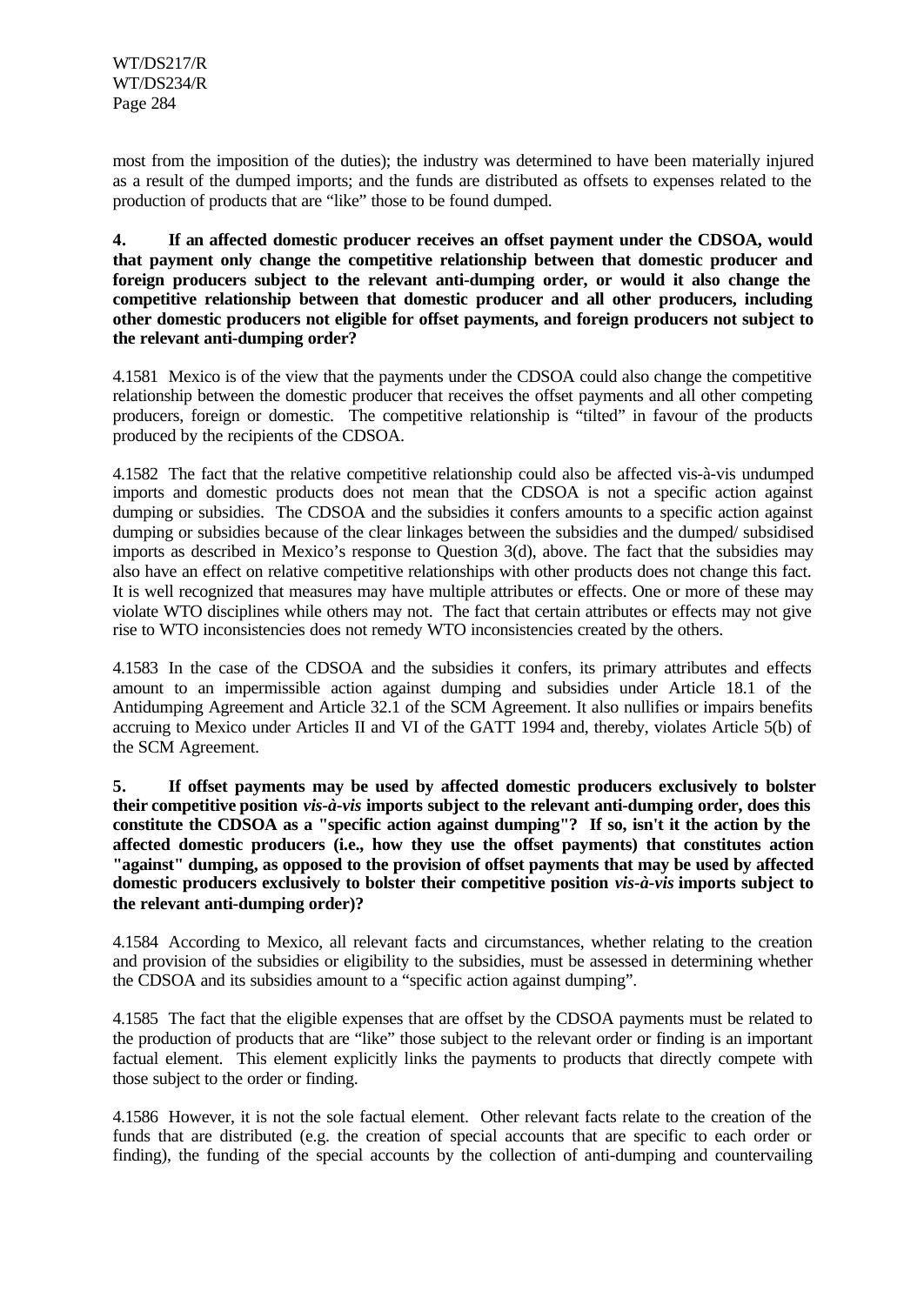most from the imposition of the duties); the industry was determined to have been materially injured as a result of the dumped imports; and the funds are distributed as offsets to expenses related to the production of products that are "like" those to be found dumped.

**4. If an affected domestic producer receives an offset payment under the CDSOA, would that payment only change the competitive relationship between that domestic producer and foreign producers subject to the relevant anti-dumping order, or would it also change the competitive relationship between that domestic producer and all other producers, including other domestic producers not eligible for offset payments, and foreign producers not subject to the relevant anti-dumping order?**

4.1581 Mexico is of the view that the payments under the CDSOA could also change the competitive relationship between the domestic producer that receives the offset payments and all other competing producers, foreign or domestic. The competitive relationship is "tilted" in favour of the products produced by the recipients of the CDSOA.

4.1582 The fact that the relative competitive relationship could also be affected vis-à-vis undumped imports and domestic products does not mean that the CDSOA is not a specific action against dumping or subsidies. The CDSOA and the subsidies it confers amounts to a specific action against dumping or subsidies because of the clear linkages between the subsidies and the dumped/ subsidised imports as described in Mexico's response to Question 3(d), above. The fact that the subsidies may also have an effect on relative competitive relationships with other products does not change this fact. It is well recognized that measures may have multiple attributes or effects. One or more of these may violate WTO disciplines while others may not. The fact that certain attributes or effects may not give rise to WTO inconsistencies does not remedy WTO inconsistencies created by the others.

4.1583 In the case of the CDSOA and the subsidies it confers, its primary attributes and effects amount to an impermissible action against dumping and subsidies under Article 18.1 of the Antidumping Agreement and Article 32.1 of the SCM Agreement. It also nullifies or impairs benefits accruing to Mexico under Articles II and VI of the GATT 1994 and, thereby, violates Article 5(b) of the SCM Agreement.

**5. If offset payments may be used by affected domestic producers exclusively to bolster their competitive position** *vis-à-vis* **imports subject to the relevant anti-dumping order, does this constitute the CDSOA as a "specific action against dumping"? If so, isn't it the action by the affected domestic producers (i.e., how they use the offset payments) that constitutes action "against" dumping, as opposed to the provision of offset payments that may be used by affected domestic producers exclusively to bolster their competitive position** *vis-à-vis* **imports subject to the relevant anti-dumping order)?**

4.1584 According to Mexico, all relevant facts and circumstances, whether relating to the creation and provision of the subsidies or eligibility to the subsidies, must be assessed in determining whether the CDSOA and its subsidies amount to a "specific action against dumping".

4.1585 The fact that the eligible expenses that are offset by the CDSOA payments must be related to the production of products that are "like" those subject to the relevant order or finding is an important factual element. This element explicitly links the payments to products that directly compete with those subject to the order or finding.

4.1586 However, it is not the sole factual element. Other relevant facts relate to the creation of the funds that are distributed (e.g. the creation of special accounts that are specific to each order or finding), the funding of the special accounts by the collection of anti-dumping and countervailing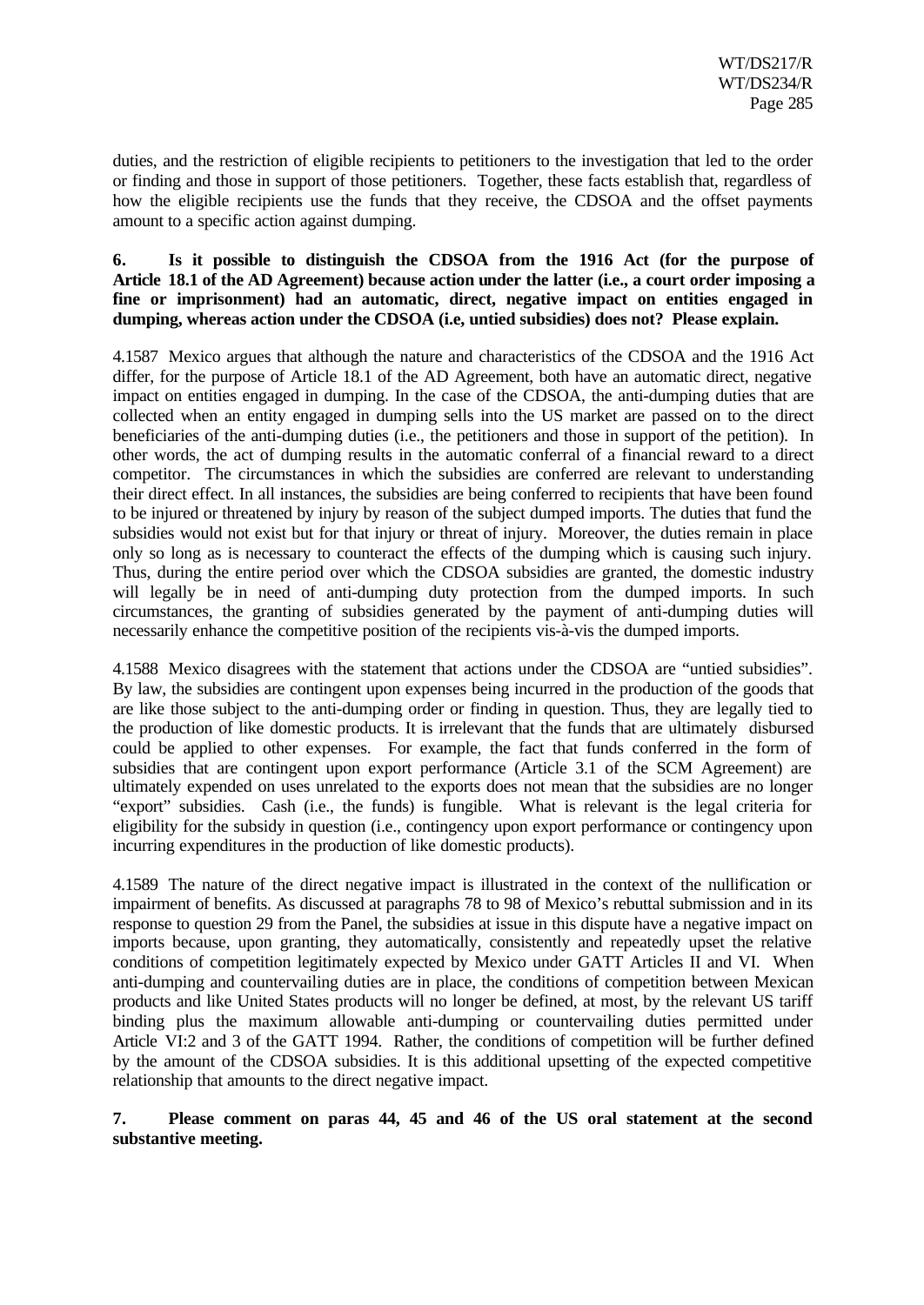duties, and the restriction of eligible recipients to petitioners to the investigation that led to the order or finding and those in support of those petitioners. Together, these facts establish that, regardless of how the eligible recipients use the funds that they receive, the CDSOA and the offset payments amount to a specific action against dumping.

#### **6. Is it possible to distinguish the CDSOA from the 1916 Act (for the purpose of Article 18.1 of the AD Agreement) because action under the latter (i.e., a court order imposing a fine or imprisonment) had an automatic, direct, negative impact on entities engaged in dumping, whereas action under the CDSOA (i.e, untied subsidies) does not? Please explain.**

4.1587 Mexico argues that although the nature and characteristics of the CDSOA and the 1916 Act differ, for the purpose of Article 18.1 of the AD Agreement, both have an automatic direct, negative impact on entities engaged in dumping. In the case of the CDSOA, the anti-dumping duties that are collected when an entity engaged in dumping sells into the US market are passed on to the direct beneficiaries of the anti-dumping duties (i.e., the petitioners and those in support of the petition). In other words, the act of dumping results in the automatic conferral of a financial reward to a direct competitor. The circumstances in which the subsidies are conferred are relevant to understanding their direct effect. In all instances, the subsidies are being conferred to recipients that have been found to be injured or threatened by injury by reason of the subject dumped imports. The duties that fund the subsidies would not exist but for that injury or threat of injury. Moreover, the duties remain in place only so long as is necessary to counteract the effects of the dumping which is causing such injury. Thus, during the entire period over which the CDSOA subsidies are granted, the domestic industry will legally be in need of anti-dumping duty protection from the dumped imports. In such circumstances, the granting of subsidies generated by the payment of anti-dumping duties will necessarily enhance the competitive position of the recipients vis-à-vis the dumped imports.

4.1588 Mexico disagrees with the statement that actions under the CDSOA are "untied subsidies". By law, the subsidies are contingent upon expenses being incurred in the production of the goods that are like those subject to the anti-dumping order or finding in question. Thus, they are legally tied to the production of like domestic products. It is irrelevant that the funds that are ultimately disbursed could be applied to other expenses. For example, the fact that funds conferred in the form of subsidies that are contingent upon export performance (Article 3.1 of the SCM Agreement) are ultimately expended on uses unrelated to the exports does not mean that the subsidies are no longer "export" subsidies. Cash (i.e., the funds) is fungible. What is relevant is the legal criteria for eligibility for the subsidy in question (i.e., contingency upon export performance or contingency upon incurring expenditures in the production of like domestic products).

4.1589 The nature of the direct negative impact is illustrated in the context of the nullification or impairment of benefits. As discussed at paragraphs 78 to 98 of Mexico's rebuttal submission and in its response to question 29 from the Panel, the subsidies at issue in this dispute have a negative impact on imports because, upon granting, they automatically, consistently and repeatedly upset the relative conditions of competition legitimately expected by Mexico under GATT Articles II and VI. When anti-dumping and countervailing duties are in place, the conditions of competition between Mexican products and like United States products will no longer be defined, at most, by the relevant US tariff binding plus the maximum allowable anti-dumping or countervailing duties permitted under Article VI:2 and 3 of the GATT 1994. Rather, the conditions of competition will be further defined by the amount of the CDSOA subsidies. It is this additional upsetting of the expected competitive relationship that amounts to the direct negative impact.

### **7. Please comment on paras 44, 45 and 46 of the US oral statement at the second substantive meeting.**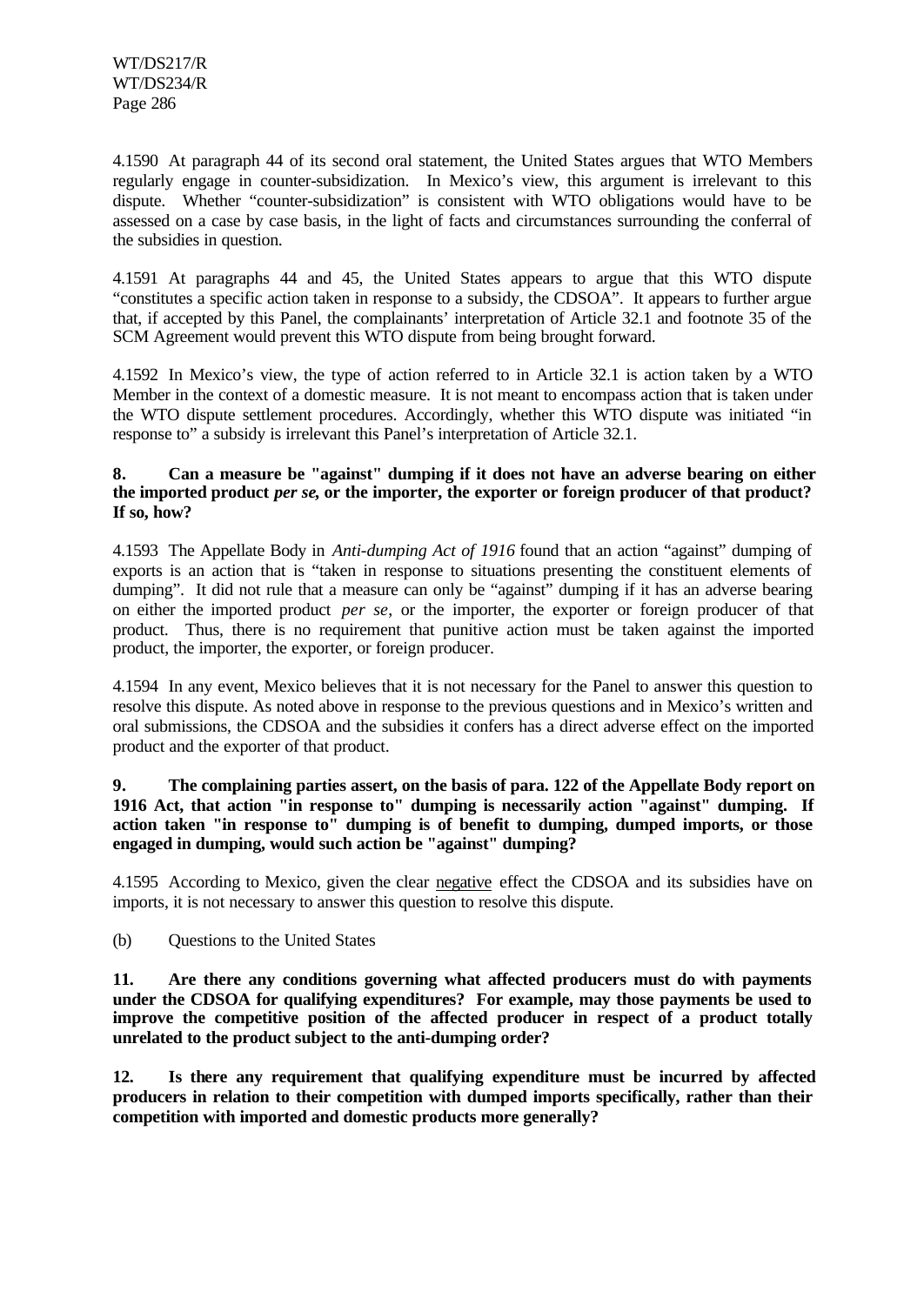4.1590 At paragraph 44 of its second oral statement, the United States argues that WTO Members regularly engage in counter-subsidization. In Mexico's view, this argument is irrelevant to this dispute. Whether "counter-subsidization" is consistent with WTO obligations would have to be assessed on a case by case basis, in the light of facts and circumstances surrounding the conferral of the subsidies in question.

4.1591 At paragraphs 44 and 45, the United States appears to argue that this WTO dispute "constitutes a specific action taken in response to a subsidy, the CDSOA". It appears to further argue that, if accepted by this Panel, the complainants' interpretation of Article 32.1 and footnote 35 of the SCM Agreement would prevent this WTO dispute from being brought forward.

4.1592 In Mexico's view, the type of action referred to in Article 32.1 is action taken by a WTO Member in the context of a domestic measure. It is not meant to encompass action that is taken under the WTO dispute settlement procedures. Accordingly, whether this WTO dispute was initiated "in response to" a subsidy is irrelevant this Panel's interpretation of Article 32.1.

### **8. Can a measure be "against" dumping if it does not have an adverse bearing on either the imported product** *per se***, or the importer, the exporter or foreign producer of that product? If so, how?**

4.1593 The Appellate Body in *Anti-dumping Act of 1916* found that an action "against" dumping of exports is an action that is "taken in response to situations presenting the constituent elements of dumping". It did not rule that a measure can only be "against" dumping if it has an adverse bearing on either the imported product *per se*, or the importer, the exporter or foreign producer of that product. Thus, there is no requirement that punitive action must be taken against the imported product, the importer, the exporter, or foreign producer.

4.1594 In any event, Mexico believes that it is not necessary for the Panel to answer this question to resolve this dispute. As noted above in response to the previous questions and in Mexico's written and oral submissions, the CDSOA and the subsidies it confers has a direct adverse effect on the imported product and the exporter of that product.

### **9. The complaining parties assert, on the basis of para. 122 of the Appellate Body report on 1916 Act, that action "in response to" dumping is necessarily action "against" dumping. If action taken "in response to" dumping is of benefit to dumping, dumped imports, or those engaged in dumping, would such action be "against" dumping?**

4.1595 According to Mexico, given the clear negative effect the CDSOA and its subsidies have on imports, it is not necessary to answer this question to resolve this dispute.

(b) Questions to the United States

**11. Are there any conditions governing what affected producers must do with payments under the CDSOA for qualifying expenditures? For example, may those payments be used to improve the competitive position of the affected producer in respect of a product totally unrelated to the product subject to the anti-dumping order?**

**12. Is there any requirement that qualifying expenditure must be incurred by affected producers in relation to their competition with dumped imports specifically, rather than their competition with imported and domestic products more generally?**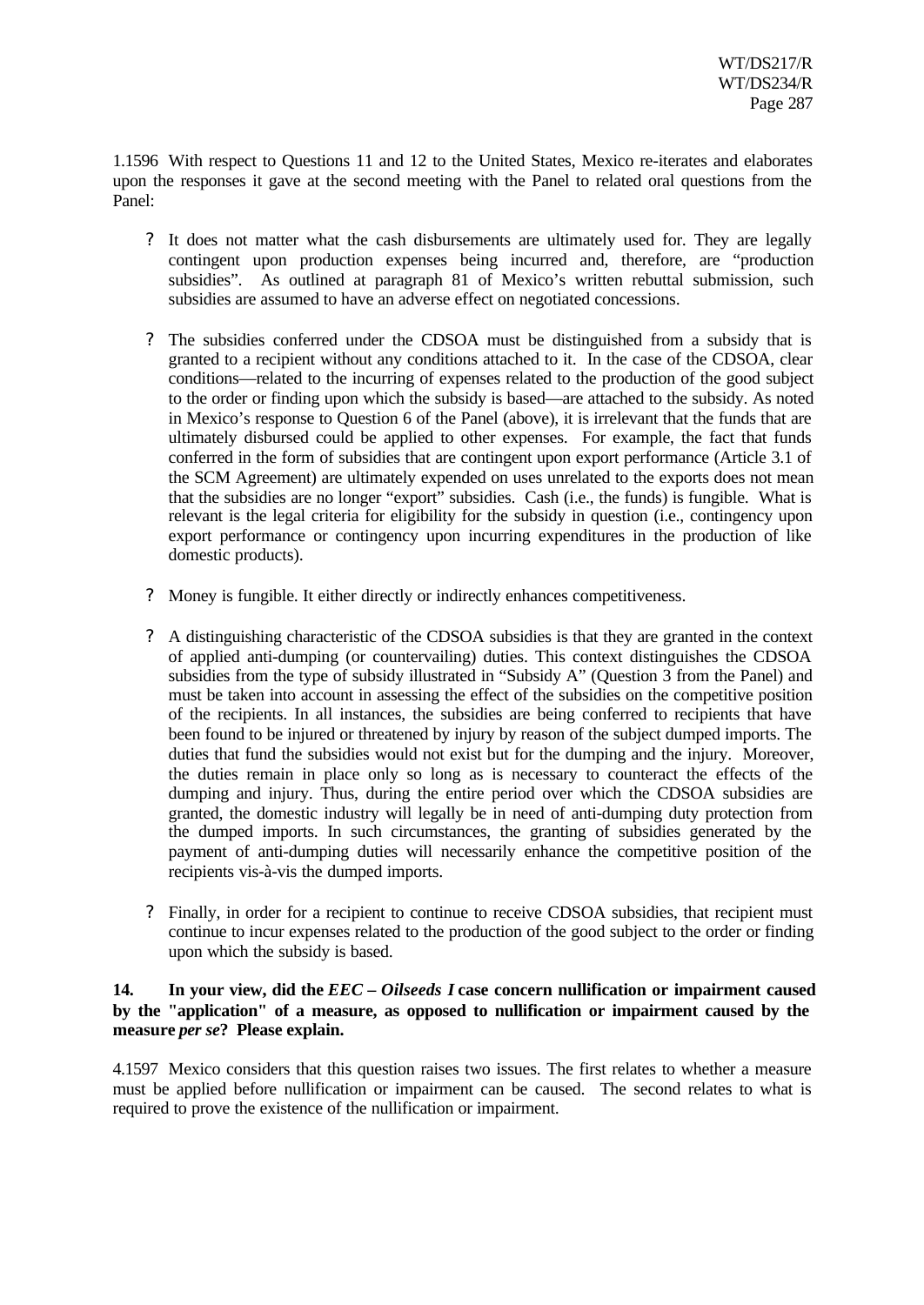1.1596 With respect to Questions 11 and 12 to the United States, Mexico re-iterates and elaborates upon the responses it gave at the second meeting with the Panel to related oral questions from the Panel:

- ? It does not matter what the cash disbursements are ultimately used for. They are legally contingent upon production expenses being incurred and, therefore, are "production subsidies". As outlined at paragraph 81 of Mexico's written rebuttal submission, such subsidies are assumed to have an adverse effect on negotiated concessions.
- ? The subsidies conferred under the CDSOA must be distinguished from a subsidy that is granted to a recipient without any conditions attached to it. In the case of the CDSOA, clear conditions—related to the incurring of expenses related to the production of the good subject to the order or finding upon which the subsidy is based—are attached to the subsidy. As noted in Mexico's response to Question 6 of the Panel (above), it is irrelevant that the funds that are ultimately disbursed could be applied to other expenses. For example, the fact that funds conferred in the form of subsidies that are contingent upon export performance (Article 3.1 of the SCM Agreement) are ultimately expended on uses unrelated to the exports does not mean that the subsidies are no longer "export" subsidies. Cash (i.e., the funds) is fungible. What is relevant is the legal criteria for eligibility for the subsidy in question (i.e., contingency upon export performance or contingency upon incurring expenditures in the production of like domestic products).
- ? Money is fungible. It either directly or indirectly enhances competitiveness.
- ? A distinguishing characteristic of the CDSOA subsidies is that they are granted in the context of applied anti-dumping (or countervailing) duties. This context distinguishes the CDSOA subsidies from the type of subsidy illustrated in "Subsidy A" (Question 3 from the Panel) and must be taken into account in assessing the effect of the subsidies on the competitive position of the recipients. In all instances, the subsidies are being conferred to recipients that have been found to be injured or threatened by injury by reason of the subject dumped imports. The duties that fund the subsidies would not exist but for the dumping and the injury. Moreover, the duties remain in place only so long as is necessary to counteract the effects of the dumping and injury. Thus, during the entire period over which the CDSOA subsidies are granted, the domestic industry will legally be in need of anti-dumping duty protection from the dumped imports. In such circumstances, the granting of subsidies generated by the payment of anti-dumping duties will necessarily enhance the competitive position of the recipients vis-à-vis the dumped imports.
- Finally, in order for a recipient to continue to receive CDSOA subsidies, that recipient must continue to incur expenses related to the production of the good subject to the order or finding upon which the subsidy is based.

## **14. In your view, did the** *EEC – Oilseeds I* **case concern nullification or impairment caused by the "application" of a measure, as opposed to nullification or impairment caused by the measure** *per se***? Please explain.**

4.1597 Mexico considers that this question raises two issues. The first relates to whether a measure must be applied before nullification or impairment can be caused. The second relates to what is required to prove the existence of the nullification or impairment.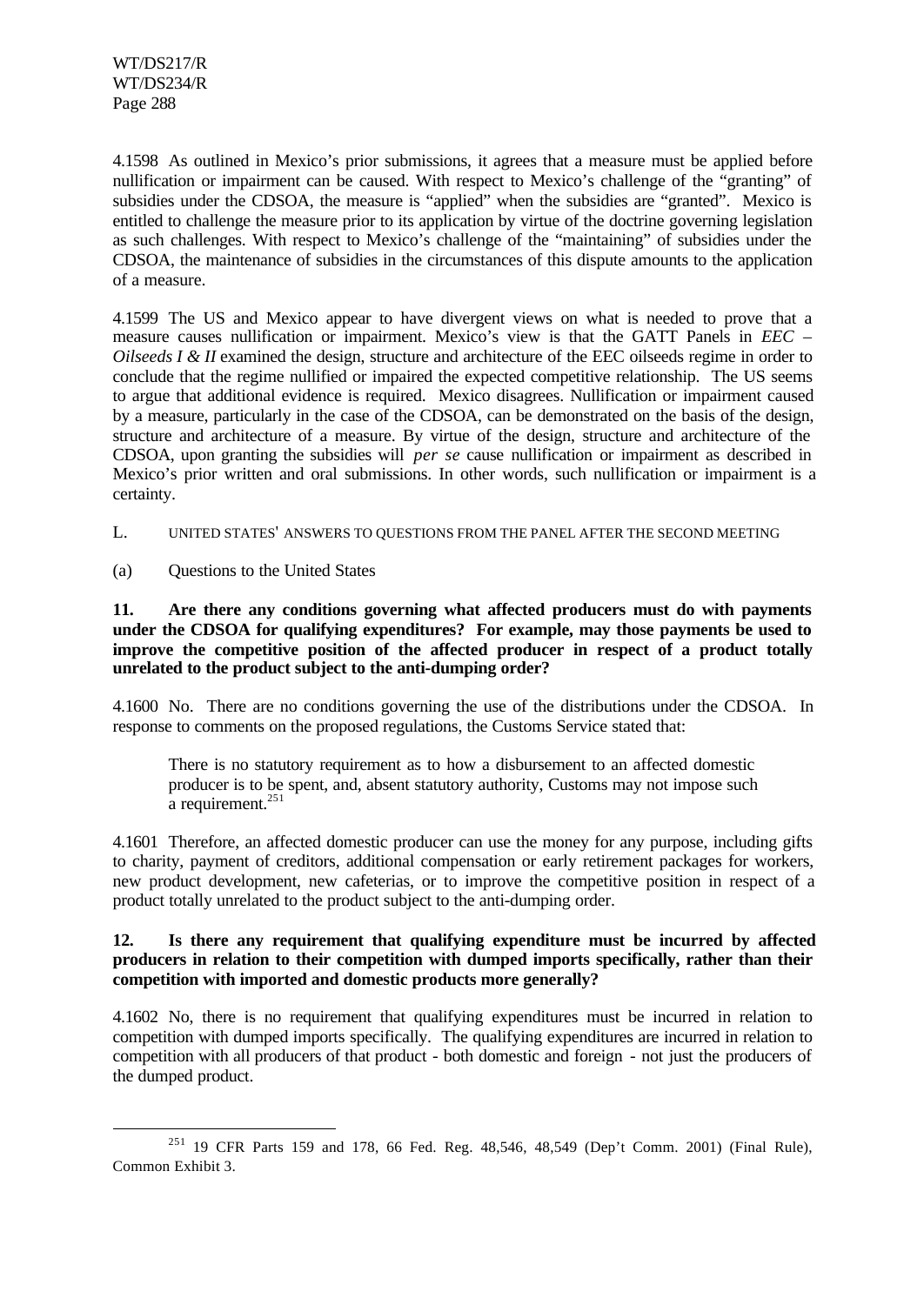4.1598 As outlined in Mexico's prior submissions, it agrees that a measure must be applied before nullification or impairment can be caused. With respect to Mexico's challenge of the "granting" of subsidies under the CDSOA, the measure is "applied" when the subsidies are "granted". Mexico is entitled to challenge the measure prior to its application by virtue of the doctrine governing legislation as such challenges. With respect to Mexico's challenge of the "maintaining" of subsidies under the CDSOA, the maintenance of subsidies in the circumstances of this dispute amounts to the application of a measure.

4.1599 The US and Mexico appear to have divergent views on what is needed to prove that a measure causes nullification or impairment. Mexico's view is that the GATT Panels in *EEC – Oilseeds I & II* examined the design, structure and architecture of the EEC oilseeds regime in order to conclude that the regime nullified or impaired the expected competitive relationship. The US seems to argue that additional evidence is required. Mexico disagrees. Nullification or impairment caused by a measure, particularly in the case of the CDSOA, can be demonstrated on the basis of the design, structure and architecture of a measure. By virtue of the design, structure and architecture of the CDSOA, upon granting the subsidies will *per se* cause nullification or impairment as described in Mexico's prior written and oral submissions. In other words, such nullification or impairment is a certainty.

- L. UNITED STATES' ANSWERS TO QUESTIONS FROM THE PANEL AFTER THE SECOND MEETING
- (a) Questions to the United States

l

**11. Are there any conditions governing what affected producers must do with payments under the CDSOA for qualifying expenditures? For example, may those payments be used to improve the competitive position of the affected producer in respect of a product totally unrelated to the product subject to the anti-dumping order?**

4.1600 No. There are no conditions governing the use of the distributions under the CDSOA. In response to comments on the proposed regulations, the Customs Service stated that:

There is no statutory requirement as to how a disbursement to an affected domestic producer is to be spent, and, absent statutory authority, Customs may not impose such a requirement.<sup>251</sup>

4.1601 Therefore, an affected domestic producer can use the money for any purpose, including gifts to charity, payment of creditors, additional compensation or early retirement packages for workers, new product development, new cafeterias, or to improve the competitive position in respect of a product totally unrelated to the product subject to the anti-dumping order.

#### **12. Is there any requirement that qualifying expenditure must be incurred by affected producers in relation to their competition with dumped imports specifically, rather than their competition with imported and domestic products more generally?**

4.1602 No, there is no requirement that qualifying expenditures must be incurred in relation to competition with dumped imports specifically. The qualifying expenditures are incurred in relation to competition with all producers of that product - both domestic and foreign - not just the producers of the dumped product.

<sup>251</sup> 19 CFR Parts 159 and 178, 66 Fed. Reg. 48,546, 48,549 (Dep't Comm. 2001) (Final Rule), Common Exhibit 3.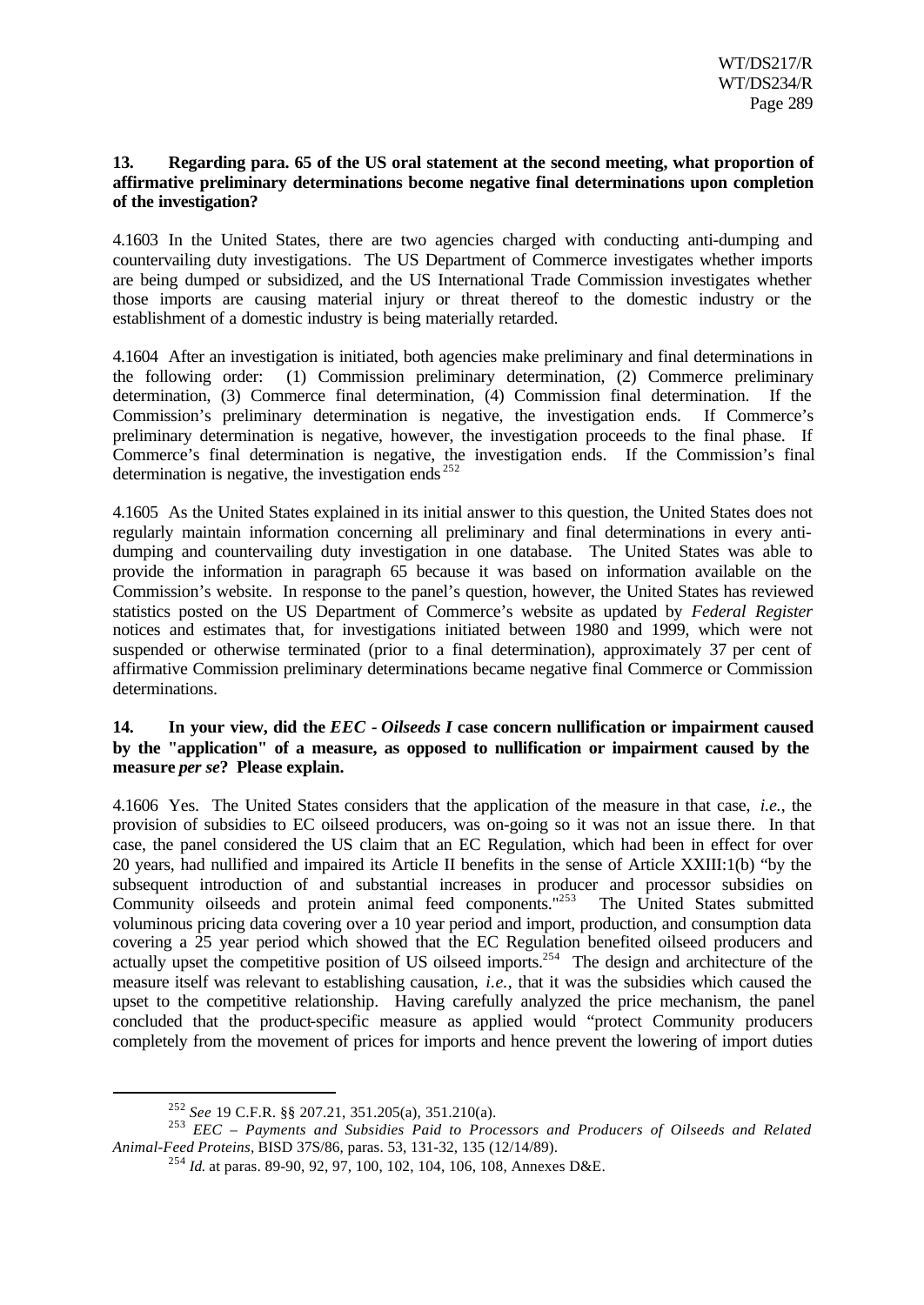### **13. Regarding para. 65 of the US oral statement at the second meeting, what proportion of affirmative preliminary determinations become negative final determinations upon completion of the investigation?**

4.1603 In the United States, there are two agencies charged with conducting anti-dumping and countervailing duty investigations. The US Department of Commerce investigates whether imports are being dumped or subsidized, and the US International Trade Commission investigates whether those imports are causing material injury or threat thereof to the domestic industry or the establishment of a domestic industry is being materially retarded.

4.1604 After an investigation is initiated, both agencies make preliminary and final determinations in the following order: (1) Commission preliminary determination, (2) Commerce preliminary determination, (3) Commerce final determination, (4) Commission final determination. If the Commission's preliminary determination is negative, the investigation ends. If Commerce's preliminary determination is negative, however, the investigation proceeds to the final phase. If Commerce's final determination is negative, the investigation ends. If the Commission's final determination is negative, the investigation ends  $252$ 

4.1605 As the United States explained in its initial answer to this question, the United States does not regularly maintain information concerning all preliminary and final determinations in every antidumping and countervailing duty investigation in one database. The United States was able to provide the information in paragraph 65 because it was based on information available on the Commission's website. In response to the panel's question, however, the United States has reviewed statistics posted on the US Department of Commerce's website as updated by *Federal Register* notices and estimates that, for investigations initiated between 1980 and 1999, which were not suspended or otherwise terminated (prior to a final determination), approximately 37 per cent of affirmative Commission preliminary determinations became negative final Commerce or Commission determinations.

### **14. In your view, did the** *EEC - Oilseeds I* **case concern nullification or impairment caused by the "application" of a measure, as opposed to nullification or impairment caused by the measure** *per se***? Please explain.**

4.1606 Yes. The United States considers that the application of the measure in that case, *i.e.*, the provision of subsidies to EC oilseed producers, was on-going so it was not an issue there. In that case, the panel considered the US claim that an EC Regulation, which had been in effect for over 20 years, had nullified and impaired its Article II benefits in the sense of Article XXIII:1(b) "by the subsequent introduction of and substantial increases in producer and processor subsidies on Community oilseeds and protein animal feed components."<sup>253</sup> The United States submitted voluminous pricing data covering over a 10 year period and import, production, and consumption data covering a 25 year period which showed that the EC Regulation benefited oilseed producers and actually upset the competitive position of US oilseed imports.<sup>254</sup> The design and architecture of the measure itself was relevant to establishing causation, *i.e.*, that it was the subsidies which caused the upset to the competitive relationship. Having carefully analyzed the price mechanism, the panel concluded that the product-specific measure as applied would "protect Community producers completely from the movement of prices for imports and hence prevent the lowering of import duties

<sup>252</sup> *See* 19 C.F.R. §§ 207.21, 351.205(a), 351.210(a).

<sup>253</sup> *EEC – Payments and Subsidies Paid to Processors and Producers of Oilseeds and Related Animal-Feed Proteins,* BISD 37S/86, paras. 53, 131-32, 135 (12/14/89).

<sup>254</sup> *Id.* at paras. 89-90, 92, 97, 100, 102, 104, 106, 108, Annexes D&E.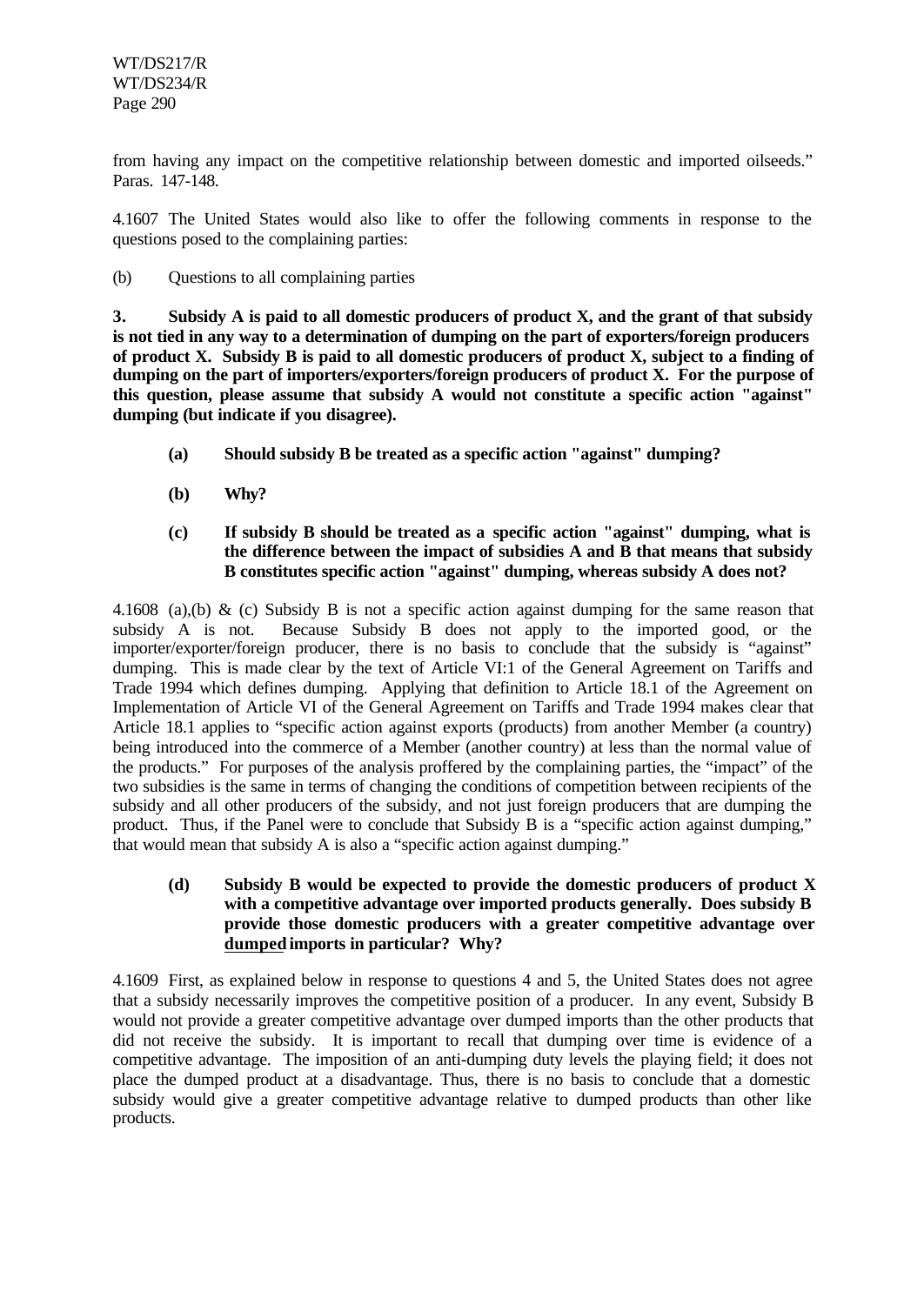from having any impact on the competitive relationship between domestic and imported oilseeds." Paras. 147-148.

4.1607 The United States would also like to offer the following comments in response to the questions posed to the complaining parties:

(b) Questions to all complaining parties

**3. Subsidy A is paid to all domestic producers of product X, and the grant of that subsidy is not tied in any way to a determination of dumping on the part of exporters/foreign producers of product X. Subsidy B is paid to all domestic producers of product X, subject to a finding of dumping on the part of importers/exporters/foreign producers of product X. For the purpose of this question, please assume that subsidy A would not constitute a specific action "against" dumping (but indicate if you disagree).**

- **(a) Should subsidy B be treated as a specific action "against" dumping?**
- **(b) Why?**
- **(c) If subsidy B should be treated as a specific action "against" dumping, what is the difference between the impact of subsidies A and B that means that subsidy B constitutes specific action "against" dumping, whereas subsidy A does not?**

4.1608 (a),(b) & (c) Subsidy B is not a specific action against dumping for the same reason that subsidy A is not. Because Subsidy B does not apply to the imported good, or the importer/exporter/foreign producer, there is no basis to conclude that the subsidy is "against" dumping. This is made clear by the text of Article VI:1 of the General Agreement on Tariffs and Trade 1994 which defines dumping. Applying that definition to Article 18.1 of the Agreement on Implementation of Article VI of the General Agreement on Tariffs and Trade 1994 makes clear that Article 18.1 applies to "specific action against exports (products) from another Member (a country) being introduced into the commerce of a Member (another country) at less than the normal value of the products." For purposes of the analysis proffered by the complaining parties, the "impact" of the two subsidies is the same in terms of changing the conditions of competition between recipients of the subsidy and all other producers of the subsidy, and not just foreign producers that are dumping the product. Thus, if the Panel were to conclude that Subsidy B is a "specific action against dumping," that would mean that subsidy A is also a "specific action against dumping."

#### **(d) Subsidy B would be expected to provide the domestic producers of product X with a competitive advantage over imported products generally. Does subsidy B provide those domestic producers with a greater competitive advantage over dumped imports in particular? Why?**

4.1609 First, as explained below in response to questions 4 and 5, the United States does not agree that a subsidy necessarily improves the competitive position of a producer. In any event, Subsidy B would not provide a greater competitive advantage over dumped imports than the other products that did not receive the subsidy. It is important to recall that dumping over time is evidence of a competitive advantage. The imposition of an anti-dumping duty levels the playing field; it does not place the dumped product at a disadvantage. Thus, there is no basis to conclude that a domestic subsidy would give a greater competitive advantage relative to dumped products than other like products.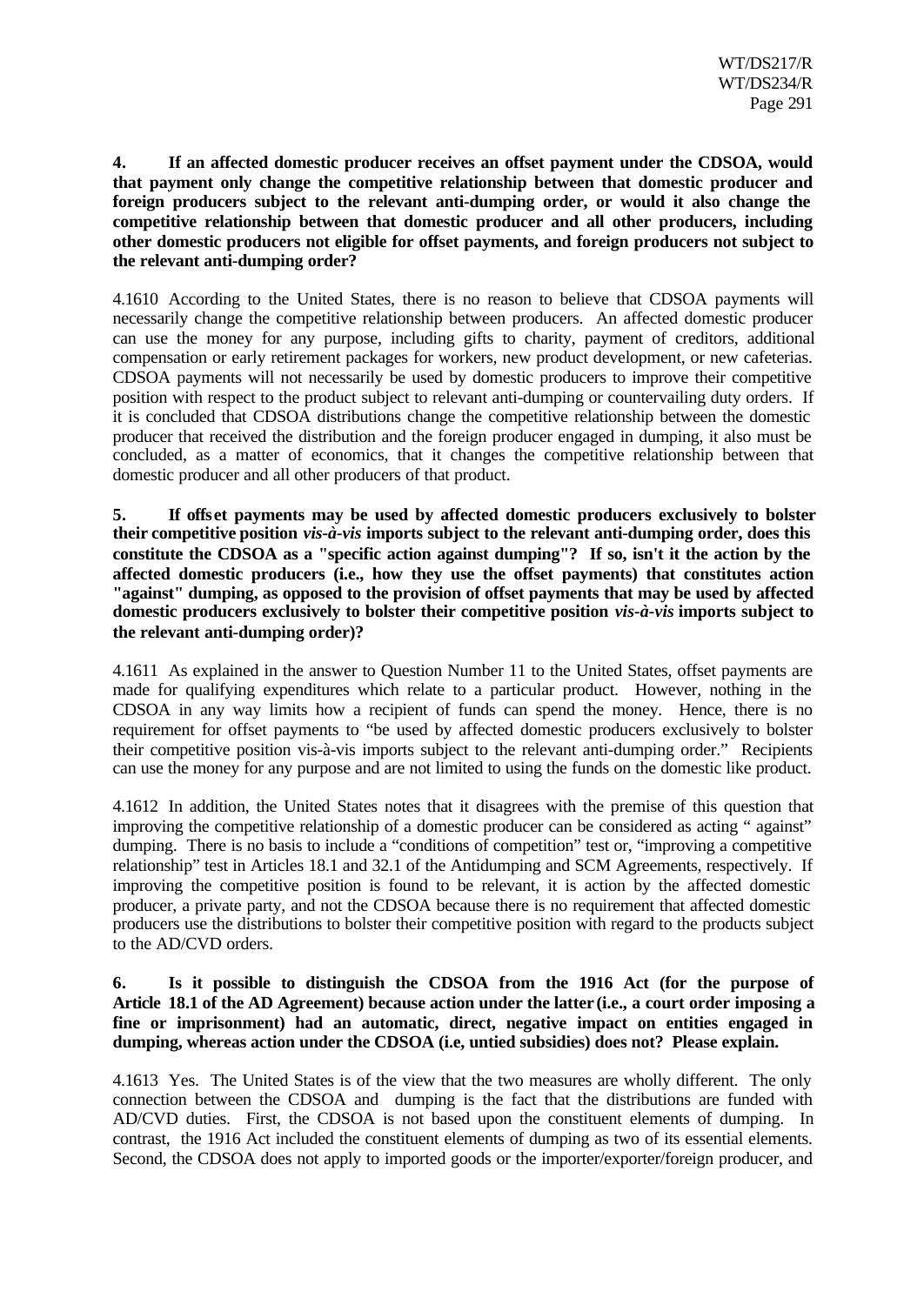**4. If an affected domestic producer receives an offset payment under the CDSOA, would that payment only change the competitive relationship between that domestic producer and foreign producers subject to the relevant anti-dumping order, or would it also change the competitive relationship between that domestic producer and all other producers, including other domestic producers not eligible for offset payments, and foreign producers not subject to the relevant anti-dumping order?**

4.1610 According to the United States, there is no reason to believe that CDSOA payments will necessarily change the competitive relationship between producers. An affected domestic producer can use the money for any purpose, including gifts to charity, payment of creditors, additional compensation or early retirement packages for workers, new product development, or new cafeterias. CDSOA payments will not necessarily be used by domestic producers to improve their competitive position with respect to the product subject to relevant anti-dumping or countervailing duty orders. If it is concluded that CDSOA distributions change the competitive relationship between the domestic producer that received the distribution and the foreign producer engaged in dumping, it also must be concluded, as a matter of economics, that it changes the competitive relationship between that domestic producer and all other producers of that product.

**5. If offset payments may be used by affected domestic producers exclusively to bolster their competitive position** *vis-à-vis* **imports subject to the relevant anti-dumping order, does this constitute the CDSOA as a "specific action against dumping"? If so, isn't it the action by the affected domestic producers (i.e., how they use the offset payments) that constitutes action "against" dumping, as opposed to the provision of offset payments that may be used by affected domestic producers exclusively to bolster their competitive position** *vis-à-vis* **imports subject to the relevant anti-dumping order)?**

4.1611 As explained in the answer to Question Number 11 to the United States, offset payments are made for qualifying expenditures which relate to a particular product. However, nothing in the CDSOA in any way limits how a recipient of funds can spend the money. Hence, there is no requirement for offset payments to "be used by affected domestic producers exclusively to bolster their competitive position vis-à-vis imports subject to the relevant anti-dumping order." Recipients can use the money for any purpose and are not limited to using the funds on the domestic like product.

4.1612 In addition, the United States notes that it disagrees with the premise of this question that improving the competitive relationship of a domestic producer can be considered as acting " against" dumping. There is no basis to include a "conditions of competition" test or, "improving a competitive relationship" test in Articles 18.1 and 32.1 of the Antidumping and SCM Agreements, respectively. If improving the competitive position is found to be relevant, it is action by the affected domestic producer, a private party, and not the CDSOA because there is no requirement that affected domestic producers use the distributions to bolster their competitive position with regard to the products subject to the AD/CVD orders.

#### **6. Is it possible to distinguish the CDSOA from the 1916 Act (for the purpose of Article 18.1 of the AD Agreement) because action under the latter (i.e., a court order imposing a fine or imprisonment) had an automatic, direct, negative impact on entities engaged in dumping, whereas action under the CDSOA (i.e, untied subsidies) does not? Please explain.**

4.1613 Yes. The United States is of the view that the two measures are wholly different. The only connection between the CDSOA and dumping is the fact that the distributions are funded with AD/CVD duties. First, the CDSOA is not based upon the constituent elements of dumping. In contrast, the 1916 Act included the constituent elements of dumping as two of its essential elements. Second, the CDSOA does not apply to imported goods or the importer/exporter/foreign producer, and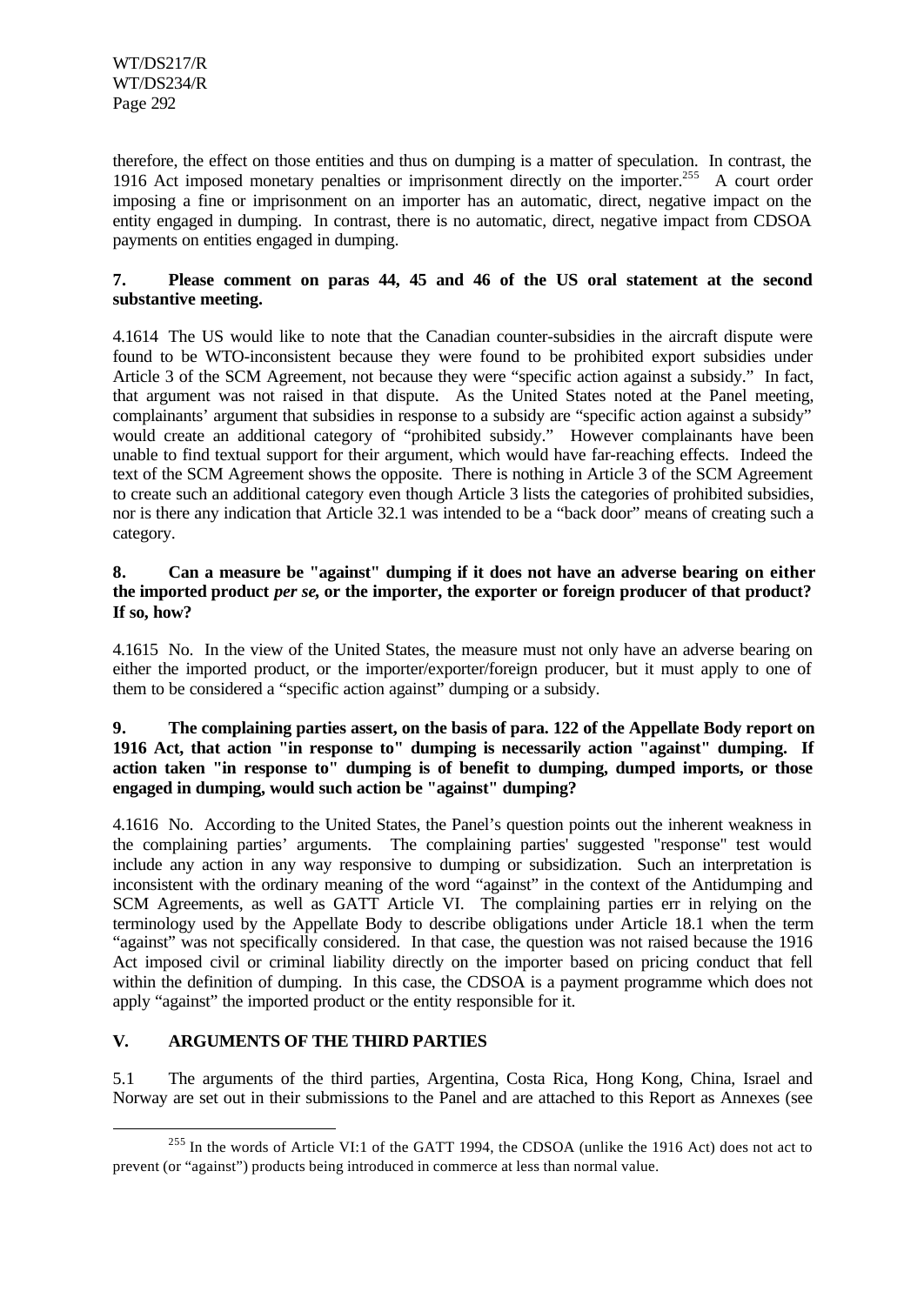therefore, the effect on those entities and thus on dumping is a matter of speculation. In contrast, the 1916 Act imposed monetary penalties or imprisonment directly on the importer.<sup>255</sup> A court order imposing a fine or imprisonment on an importer has an automatic, direct, negative impact on the entity engaged in dumping. In contrast, there is no automatic, direct, negative impact from CDSOA payments on entities engaged in dumping.

## **7. Please comment on paras 44, 45 and 46 of the US oral statement at the second substantive meeting.**

4.1614 The US would like to note that the Canadian counter-subsidies in the aircraft dispute were found to be WTO-inconsistent because they were found to be prohibited export subsidies under Article 3 of the SCM Agreement, not because they were "specific action against a subsidy." In fact, that argument was not raised in that dispute. As the United States noted at the Panel meeting, complainants' argument that subsidies in response to a subsidy are "specific action against a subsidy" would create an additional category of "prohibited subsidy." However complainants have been unable to find textual support for their argument, which would have far-reaching effects. Indeed the text of the SCM Agreement shows the opposite. There is nothing in Article 3 of the SCM Agreement to create such an additional category even though Article 3 lists the categories of prohibited subsidies, nor is there any indication that Article 32.1 was intended to be a "back door" means of creating such a category.

#### **8. Can a measure be "against" dumping if it does not have an adverse bearing on either the imported product** *per se***, or the importer, the exporter or foreign producer of that product? If so, how?**

4.1615 No. In the view of the United States, the measure must not only have an adverse bearing on either the imported product, or the importer/exporter/foreign producer, but it must apply to one of them to be considered a "specific action against" dumping or a subsidy.

## **9. The complaining parties assert, on the basis of para. 122 of the Appellate Body report on 1916 Act, that action "in response to" dumping is necessarily action "against" dumping. If action taken "in response to" dumping is of benefit to dumping, dumped imports, or those engaged in dumping, would such action be "against" dumping?**

4.1616 No. According to the United States, the Panel's question points out the inherent weakness in the complaining parties' arguments. The complaining parties' suggested "response" test would include any action in any way responsive to dumping or subsidization. Such an interpretation is inconsistent with the ordinary meaning of the word "against" in the context of the Antidumping and SCM Agreements, as well as GATT Article VI. The complaining parties err in relying on the terminology used by the Appellate Body to describe obligations under Article 18.1 when the term "against" was not specifically considered. In that case, the question was not raised because the 1916 Act imposed civil or criminal liability directly on the importer based on pricing conduct that fell within the definition of dumping. In this case, the CDSOA is a payment programme which does not apply "against" the imported product or the entity responsible for it.

# **V. ARGUMENTS OF THE THIRD PARTIES**

l

5.1 The arguments of the third parties, Argentina, Costa Rica, Hong Kong, China, Israel and Norway are set out in their submissions to the Panel and are attached to this Report as Annexes (see

<sup>&</sup>lt;sup>255</sup> In the words of Article VI:1 of the GATT 1994, the CDSOA (unlike the 1916 Act) does not act to prevent (or "against") products being introduced in commerce at less than normal value.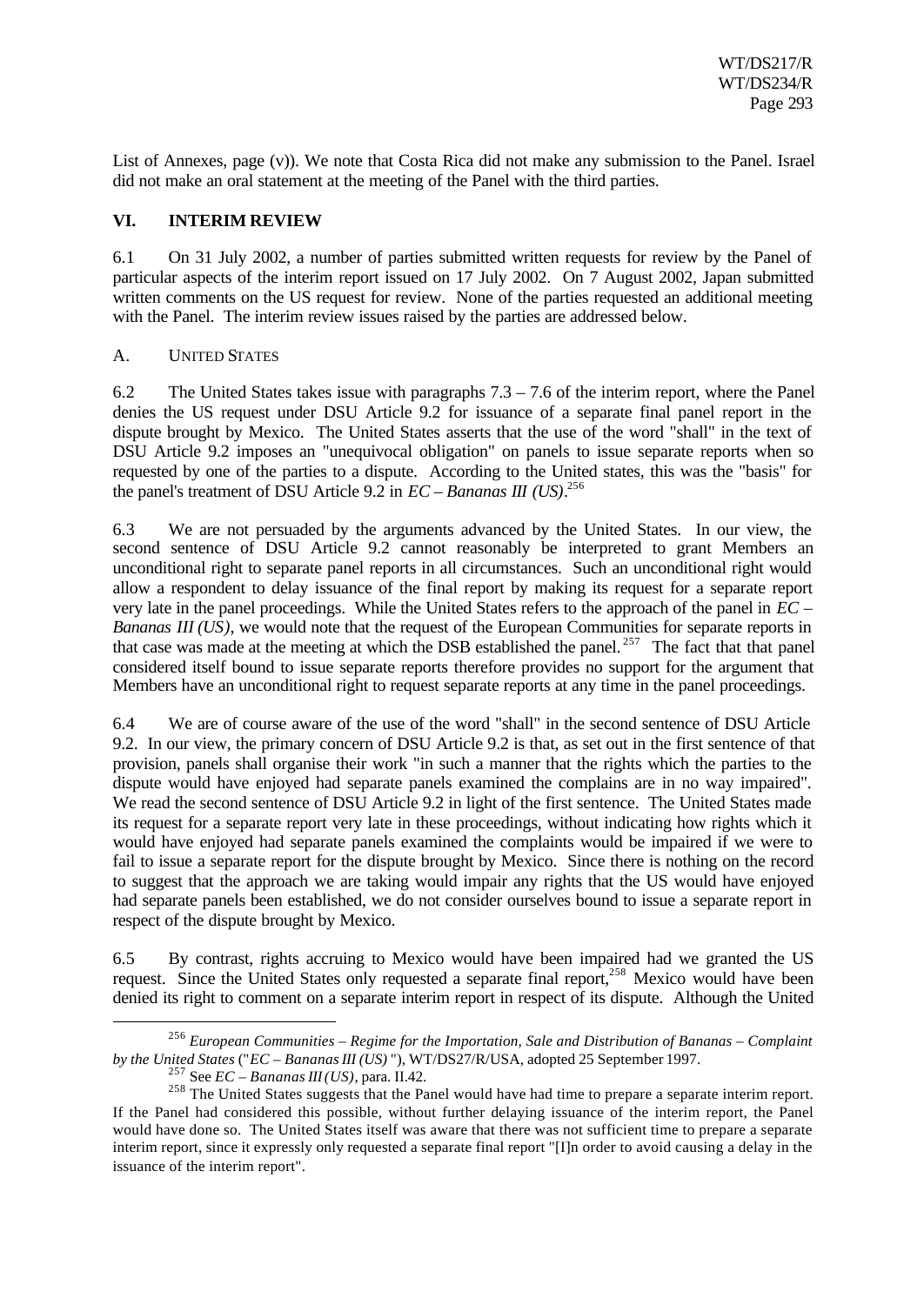List of Annexes, page (v)). We note that Costa Rica did not make any submission to the Panel. Israel did not make an oral statement at the meeting of the Panel with the third parties.

#### **VI. INTERIM REVIEW**

6.1 On 31 July 2002, a number of parties submitted written requests for review by the Panel of particular aspects of the interim report issued on 17 July 2002. On 7 August 2002, Japan submitted written comments on the US request for review. None of the parties requested an additional meeting with the Panel. The interim review issues raised by the parties are addressed below.

### A. UNITED STATES

6.2 The United States takes issue with paragraphs  $7.3 - 7.6$  of the interim report, where the Panel denies the US request under DSU Article 9.2 for issuance of a separate final panel report in the dispute brought by Mexico. The United States asserts that the use of the word "shall" in the text of DSU Article 9.2 imposes an "unequivocal obligation" on panels to issue separate reports when so requested by one of the parties to a dispute. According to the United states, this was the "basis" for the panel's treatment of DSU Article 9.2 in *EC – Bananas III (US)*. 256

6.3 We are not persuaded by the arguments advanced by the United States. In our view, the second sentence of DSU Article 9.2 cannot reasonably be interpreted to grant Members an unconditional right to separate panel reports in all circumstances. Such an unconditional right would allow a respondent to delay issuance of the final report by making its request for a separate report very late in the panel proceedings. While the United States refers to the approach of the panel in *EC – Bananas III (US)*, we would note that the request of the European Communities for separate reports in that case was made at the meeting at which the DSB established the panel.<sup>257</sup> The fact that that panel considered itself bound to issue separate reports therefore provides no support for the argument that Members have an unconditional right to request separate reports at any time in the panel proceedings.

6.4 We are of course aware of the use of the word "shall" in the second sentence of DSU Article 9.2. In our view, the primary concern of DSU Article 9.2 is that, as set out in the first sentence of that provision, panels shall organise their work "in such a manner that the rights which the parties to the dispute would have enjoyed had separate panels examined the complains are in no way impaired". We read the second sentence of DSU Article 9.2 in light of the first sentence. The United States made its request for a separate report very late in these proceedings, without indicating how rights which it would have enjoyed had separate panels examined the complaints would be impaired if we were to fail to issue a separate report for the dispute brought by Mexico. Since there is nothing on the record to suggest that the approach we are taking would impair any rights that the US would have enjoyed had separate panels been established, we do not consider ourselves bound to issue a separate report in respect of the dispute brought by Mexico.

6.5 By contrast, rights accruing to Mexico would have been impaired had we granted the US request. Since the United States only requested a separate final report,<sup>258</sup> Mexico would have been denied its right to comment on a separate interim report in respect of its dispute. Although the United

<sup>256</sup> *European Communities – Regime for the Importation, Sale and Distribution of Bananas – Complaint by the United States* ("*EC – Bananas III (US)* "), WT/DS27/R/USA, adopted 25 September 1997.

<sup>257</sup> See *EC – Bananas III (US)*, para. II.42.

<sup>&</sup>lt;sup>258</sup> The United States suggests that the Panel would have had time to prepare a separate interim report. If the Panel had considered this possible, without further delaying issuance of the interim report, the Panel would have done so. The United States itself was aware that there was not sufficient time to prepare a separate interim report, since it expressly only requested a separate final report "[I]n order to avoid causing a delay in the issuance of the interim report".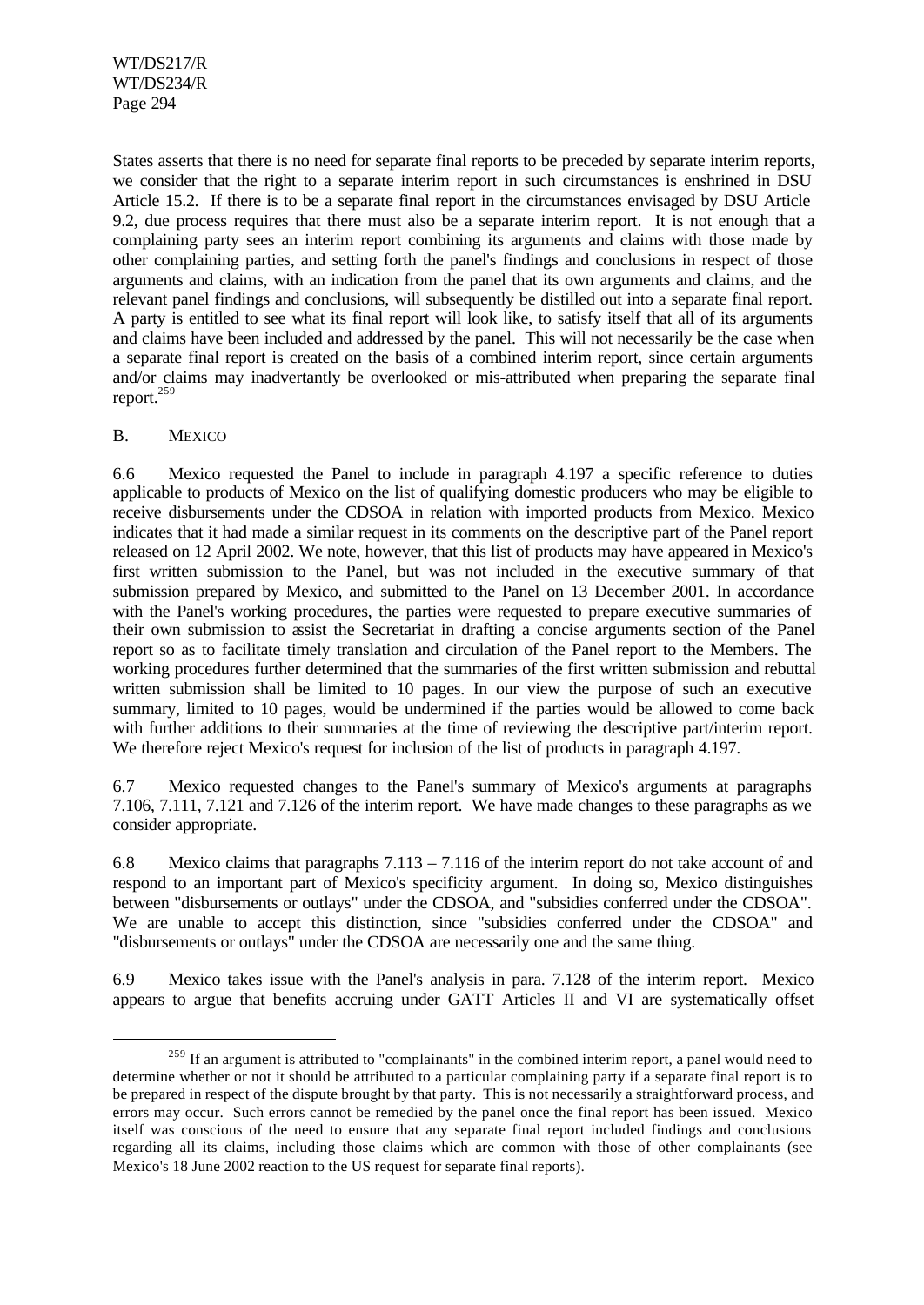WT/DS217/R WT/DS234/R Page 294

States asserts that there is no need for separate final reports to be preceded by separate interim reports, we consider that the right to a separate interim report in such circumstances is enshrined in DSU Article 15.2. If there is to be a separate final report in the circumstances envisaged by DSU Article 9.2, due process requires that there must also be a separate interim report. It is not enough that a complaining party sees an interim report combining its arguments and claims with those made by other complaining parties, and setting forth the panel's findings and conclusions in respect of those arguments and claims, with an indication from the panel that its own arguments and claims, and the relevant panel findings and conclusions, will subsequently be distilled out into a separate final report. A party is entitled to see what its final report will look like, to satisfy itself that all of its arguments and claims have been included and addressed by the panel. This will not necessarily be the case when a separate final report is created on the basis of a combined interim report, since certain arguments and/or claims may inadvertantly be overlooked or mis-attributed when preparing the separate final report.<sup>259</sup>

### B. MEXICO

l

6.6 Mexico requested the Panel to include in paragraph 4.197 a specific reference to duties applicable to products of Mexico on the list of qualifying domestic producers who may be eligible to receive disbursements under the CDSOA in relation with imported products from Mexico. Mexico indicates that it had made a similar request in its comments on the descriptive part of the Panel report released on 12 April 2002. We note, however, that this list of products may have appeared in Mexico's first written submission to the Panel, but was not included in the executive summary of that submission prepared by Mexico, and submitted to the Panel on 13 December 2001. In accordance with the Panel's working procedures, the parties were requested to prepare executive summaries of their own submission to assist the Secretariat in drafting a concise arguments section of the Panel report so as to facilitate timely translation and circulation of the Panel report to the Members. The working procedures further determined that the summaries of the first written submission and rebuttal written submission shall be limited to 10 pages. In our view the purpose of such an executive summary, limited to 10 pages, would be undermined if the parties would be allowed to come back with further additions to their summaries at the time of reviewing the descriptive part/interim report. We therefore reject Mexico's request for inclusion of the list of products in paragraph 4.197.

6.7 Mexico requested changes to the Panel's summary of Mexico's arguments at paragraphs 7.106, 7.111, 7.121 and 7.126 of the interim report. We have made changes to these paragraphs as we consider appropriate.

6.8 Mexico claims that paragraphs 7.113 – 7.116 of the interim report do not take account of and respond to an important part of Mexico's specificity argument. In doing so, Mexico distinguishes between "disbursements or outlays" under the CDSOA, and "subsidies conferred under the CDSOA". We are unable to accept this distinction, since "subsidies conferred under the CDSOA" and "disbursements or outlays" under the CDSOA are necessarily one and the same thing.

6.9 Mexico takes issue with the Panel's analysis in para. 7.128 of the interim report. Mexico appears to argue that benefits accruing under GATT Articles II and VI are systematically offset

<sup>&</sup>lt;sup>259</sup> If an argument is attributed to "complainants" in the combined interim report, a panel would need to determine whether or not it should be attributed to a particular complaining party if a separate final report is to be prepared in respect of the dispute brought by that party. This is not necessarily a straightforward process, and errors may occur. Such errors cannot be remedied by the panel once the final report has been issued. Mexico itself was conscious of the need to ensure that any separate final report included findings and conclusions regarding all its claims, including those claims which are common with those of other complainants (see Mexico's 18 June 2002 reaction to the US request for separate final reports).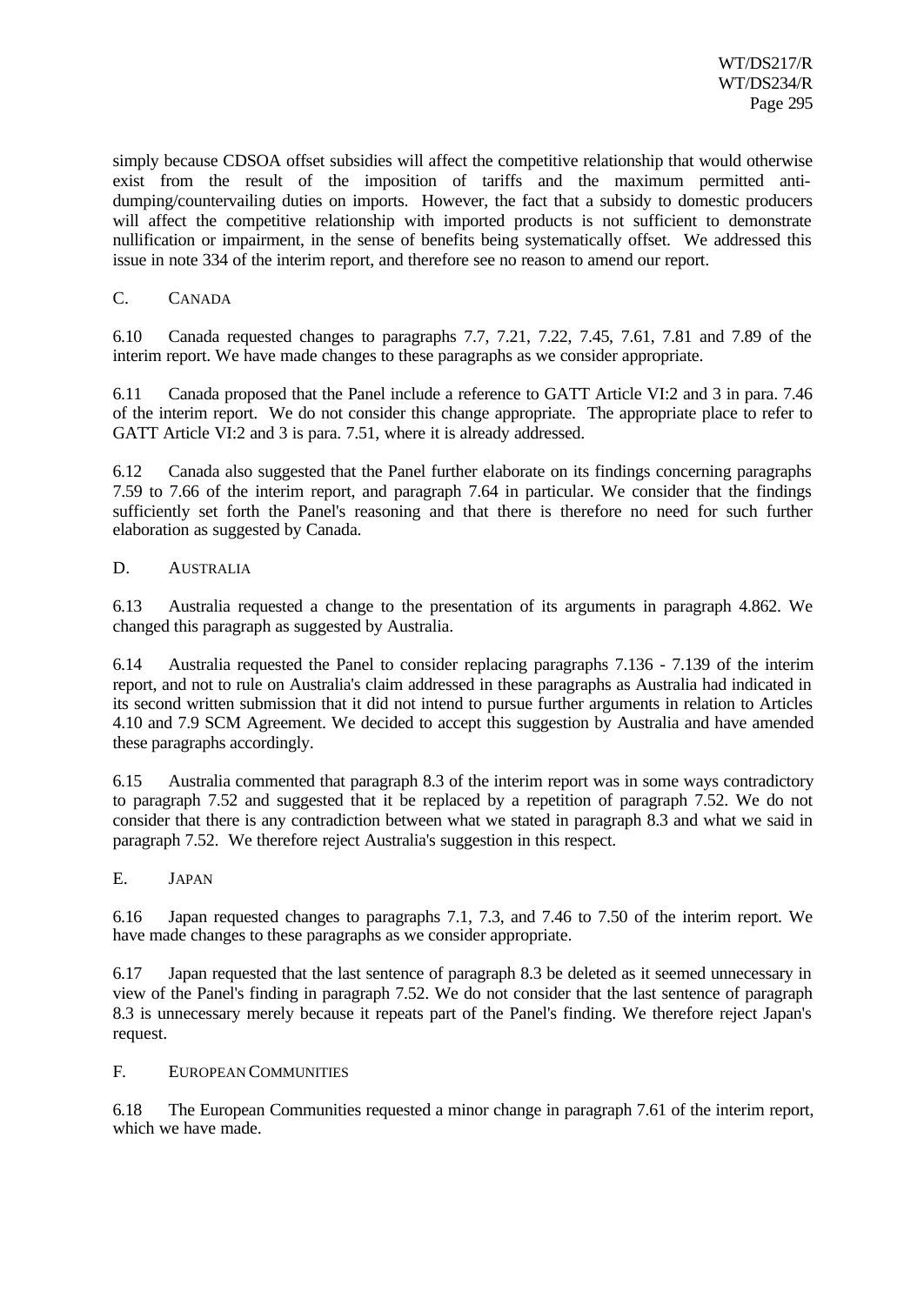simply because CDSOA offset subsidies will affect the competitive relationship that would otherwise exist from the result of the imposition of tariffs and the maximum permitted antidumping/countervailing duties on imports. However, the fact that a subsidy to domestic producers will affect the competitive relationship with imported products is not sufficient to demonstrate nullification or impairment, in the sense of benefits being systematically offset. We addressed this issue in note 334 of the interim report, and therefore see no reason to amend our report.

## C. CANADA

6.10 Canada requested changes to paragraphs 7.7, 7.21, 7.22, 7.45, 7.61, 7.81 and 7.89 of the interim report. We have made changes to these paragraphs as we consider appropriate.

6.11 Canada proposed that the Panel include a reference to GATT Article VI:2 and 3 in para. 7.46 of the interim report. We do not consider this change appropriate. The appropriate place to refer to GATT Article VI:2 and 3 is para. 7.51, where it is already addressed.

6.12 Canada also suggested that the Panel further elaborate on its findings concerning paragraphs 7.59 to 7.66 of the interim report, and paragraph 7.64 in particular. We consider that the findings sufficiently set forth the Panel's reasoning and that there is therefore no need for such further elaboration as suggested by Canada.

### D. AUSTRALIA

6.13 Australia requested a change to the presentation of its arguments in paragraph 4.862. We changed this paragraph as suggested by Australia.

6.14 Australia requested the Panel to consider replacing paragraphs 7.136 - 7.139 of the interim report, and not to rule on Australia's claim addressed in these paragraphs as Australia had indicated in its second written submission that it did not intend to pursue further arguments in relation to Articles 4.10 and 7.9 SCM Agreement. We decided to accept this suggestion by Australia and have amended these paragraphs accordingly.

6.15 Australia commented that paragraph 8.3 of the interim report was in some ways contradictory to paragraph 7.52 and suggested that it be replaced by a repetition of paragraph 7.52. We do not consider that there is any contradiction between what we stated in paragraph 8.3 and what we said in paragraph 7.52. We therefore reject Australia's suggestion in this respect.

E. JAPAN

6.16 Japan requested changes to paragraphs 7.1, 7.3, and 7.46 to 7.50 of the interim report. We have made changes to these paragraphs as we consider appropriate.

6.17 Japan requested that the last sentence of paragraph 8.3 be deleted as it seemed unnecessary in view of the Panel's finding in paragraph 7.52. We do not consider that the last sentence of paragraph 8.3 is unnecessary merely because it repeats part of the Panel's finding. We therefore reject Japan's request.

#### F. EUROPEAN COMMUNITIES

6.18 The European Communities requested a minor change in paragraph 7.61 of the interim report, which we have made.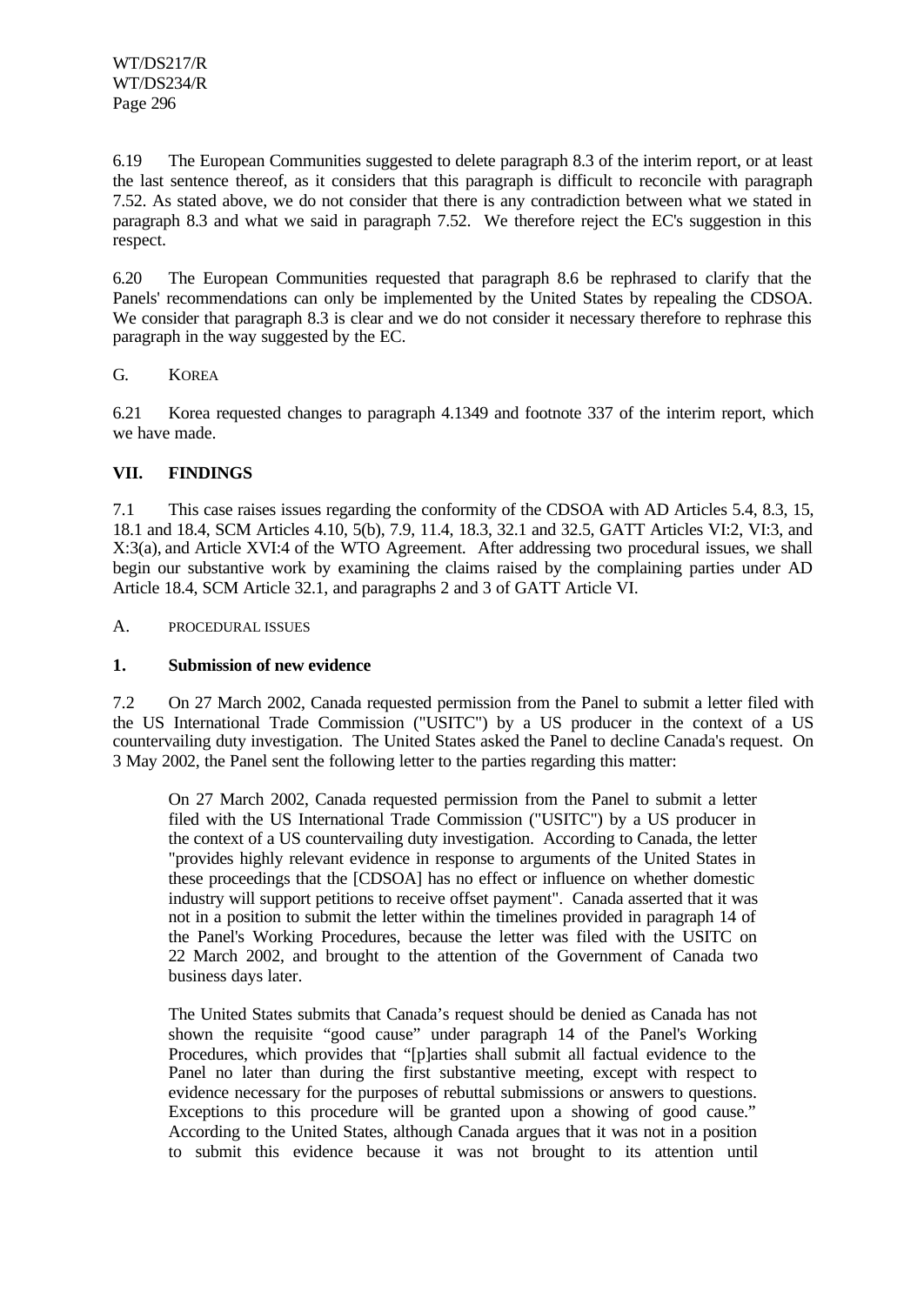6.19 The European Communities suggested to delete paragraph 8.3 of the interim report, or at least the last sentence thereof, as it considers that this paragraph is difficult to reconcile with paragraph 7.52. As stated above, we do not consider that there is any contradiction between what we stated in paragraph 8.3 and what we said in paragraph 7.52. We therefore reject the EC's suggestion in this respect.

6.20 The European Communities requested that paragraph 8.6 be rephrased to clarify that the Panels' recommendations can only be implemented by the United States by repealing the CDSOA. We consider that paragraph 8.3 is clear and we do not consider it necessary therefore to rephrase this paragraph in the way suggested by the EC.

### G. KOREA

6.21 Korea requested changes to paragraph 4.1349 and footnote 337 of the interim report, which we have made.

### **VII. FINDINGS**

7.1 This case raises issues regarding the conformity of the CDSOA with AD Articles 5.4, 8.3, 15, 18.1 and 18.4, SCM Articles 4.10, 5(b), 7.9, 11.4, 18.3, 32.1 and 32.5, GATT Articles VI:2, VI:3, and X:3(a), and Article XVI:4 of the WTO Agreement. After addressing two procedural issues, we shall begin our substantive work by examining the claims raised by the complaining parties under AD Article 18.4, SCM Article 32.1, and paragraphs 2 and 3 of GATT Article VI.

A. PROCEDURAL ISSUES

#### **1. Submission of new evidence**

7.2 On 27 March 2002, Canada requested permission from the Panel to submit a letter filed with the US International Trade Commission ("USITC") by a US producer in the context of a US countervailing duty investigation. The United States asked the Panel to decline Canada's request. On 3 May 2002, the Panel sent the following letter to the parties regarding this matter:

On 27 March 2002, Canada requested permission from the Panel to submit a letter filed with the US International Trade Commission ("USITC") by a US producer in the context of a US countervailing duty investigation. According to Canada, the letter "provides highly relevant evidence in response to arguments of the United States in these proceedings that the [CDSOA] has no effect or influence on whether domestic industry will support petitions to receive offset payment". Canada asserted that it was not in a position to submit the letter within the timelines provided in paragraph 14 of the Panel's Working Procedures, because the letter was filed with the USITC on 22 March 2002, and brought to the attention of the Government of Canada two business days later.

The United States submits that Canada's request should be denied as Canada has not shown the requisite "good cause" under paragraph 14 of the Panel's Working Procedures, which provides that "[p]arties shall submit all factual evidence to the Panel no later than during the first substantive meeting, except with respect to evidence necessary for the purposes of rebuttal submissions or answers to questions. Exceptions to this procedure will be granted upon a showing of good cause." According to the United States, although Canada argues that it was not in a position to submit this evidence because it was not brought to its attention until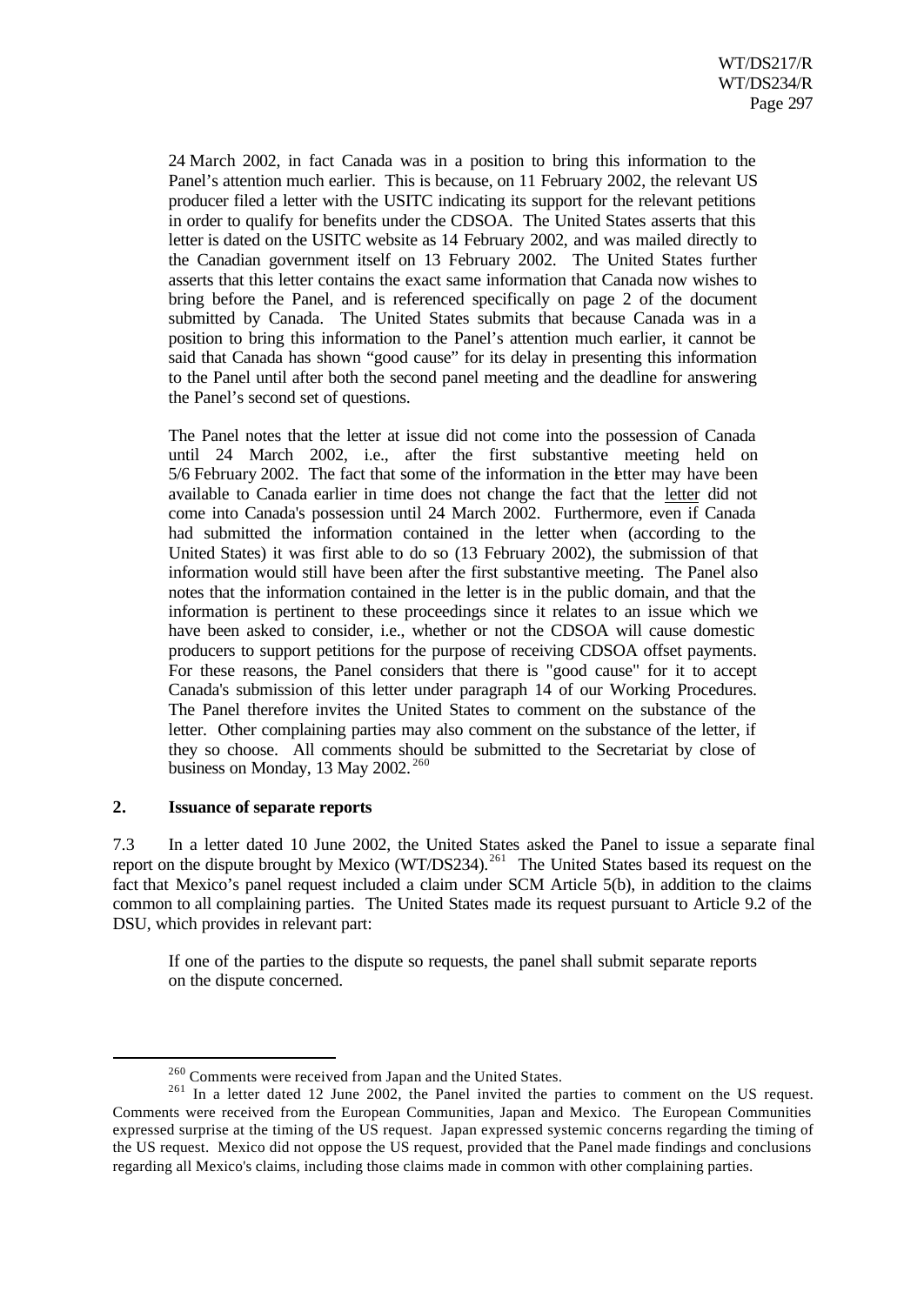24 March 2002, in fact Canada was in a position to bring this information to the Panel's attention much earlier. This is because, on 11 February 2002, the relevant US producer filed a letter with the USITC indicating its support for the relevant petitions in order to qualify for benefits under the CDSOA. The United States asserts that this letter is dated on the USITC website as 14 February 2002, and was mailed directly to the Canadian government itself on 13 February 2002. The United States further asserts that this letter contains the exact same information that Canada now wishes to bring before the Panel, and is referenced specifically on page 2 of the document submitted by Canada. The United States submits that because Canada was in a position to bring this information to the Panel's attention much earlier, it cannot be said that Canada has shown "good cause" for its delay in presenting this information to the Panel until after both the second panel meeting and the deadline for answering the Panel's second set of questions.

The Panel notes that the letter at issue did not come into the possession of Canada until 24 March 2002, i.e., after the first substantive meeting held on 5/6 February 2002. The fact that some of the information in the letter may have been available to Canada earlier in time does not change the fact that the letter did not come into Canada's possession until 24 March 2002. Furthermore, even if Canada had submitted the information contained in the letter when (according to the United States) it was first able to do so (13 February 2002), the submission of that information would still have been after the first substantive meeting. The Panel also notes that the information contained in the letter is in the public domain, and that the information is pertinent to these proceedings since it relates to an issue which we have been asked to consider, i.e., whether or not the CDSOA will cause domestic producers to support petitions for the purpose of receiving CDSOA offset payments. For these reasons, the Panel considers that there is "good cause" for it to accept Canada's submission of this letter under paragraph 14 of our Working Procedures. The Panel therefore invites the United States to comment on the substance of the letter. Other complaining parties may also comment on the substance of the letter, if they so choose. All comments should be submitted to the Secretariat by close of business on Monday, 13 May 2002.<sup>260</sup>

# **2. Issuance of separate reports**

l

7.3 In a letter dated 10 June 2002, the United States asked the Panel to issue a separate final report on the dispute brought by Mexico (WT/DS234).<sup>261</sup> The United States based its request on the fact that Mexico's panel request included a claim under SCM Article 5(b), in addition to the claims common to all complaining parties. The United States made its request pursuant to Article 9.2 of the DSU, which provides in relevant part:

If one of the parties to the dispute so requests, the panel shall submit separate reports on the dispute concerned.

<sup>260</sup> Comments were received from Japan and the United States.

<sup>&</sup>lt;sup>261</sup> In a letter dated 12 June 2002, the Panel invited the parties to comment on the US request. Comments were received from the European Communities, Japan and Mexico. The European Communities expressed surprise at the timing of the US request. Japan expressed systemic concerns regarding the timing of the US request. Mexico did not oppose the US request, provided that the Panel made findings and conclusions regarding all Mexico's claims, including those claims made in common with other complaining parties.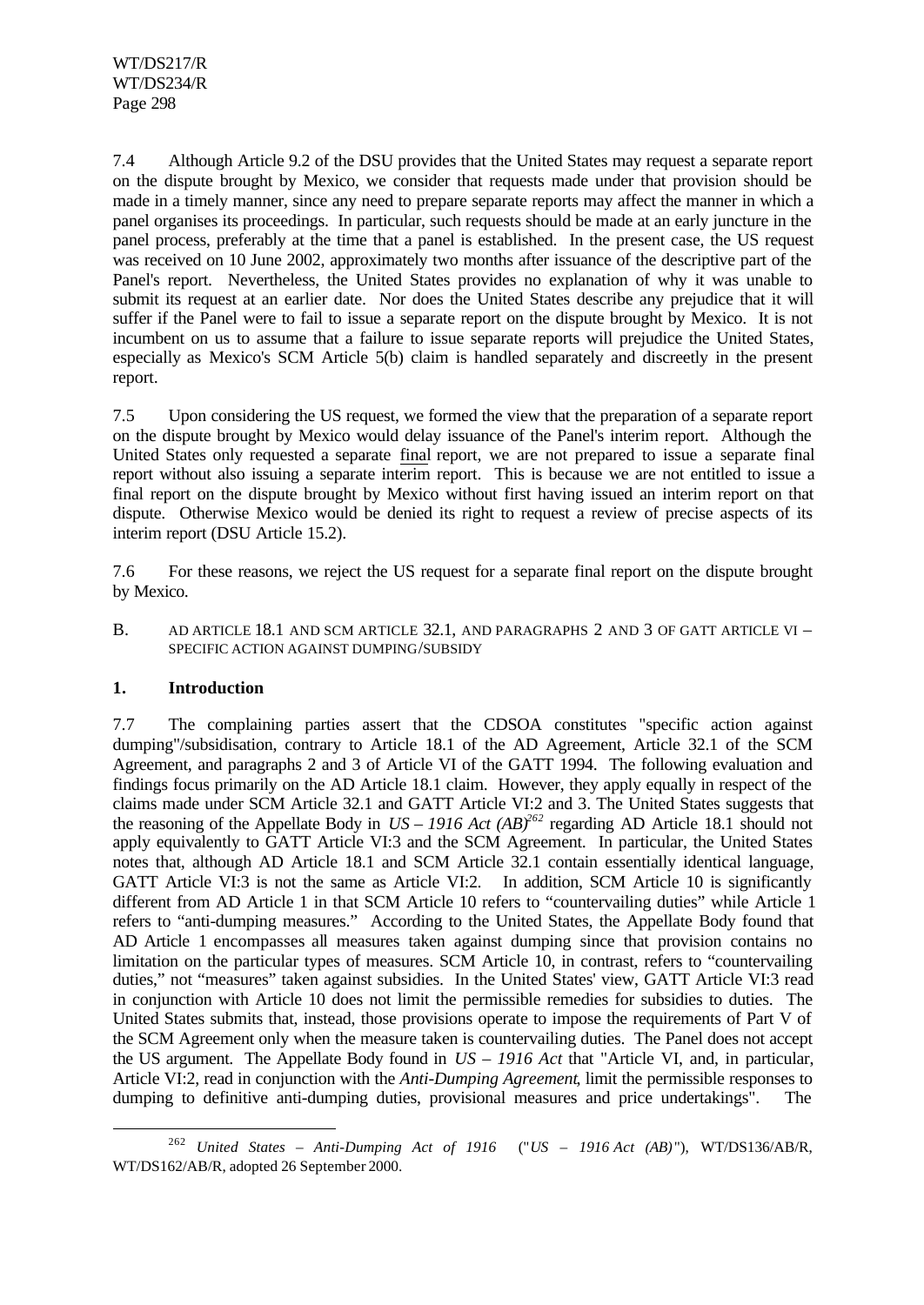7.4 Although Article 9.2 of the DSU provides that the United States may request a separate report on the dispute brought by Mexico, we consider that requests made under that provision should be made in a timely manner, since any need to prepare separate reports may affect the manner in which a panel organises its proceedings. In particular, such requests should be made at an early juncture in the panel process, preferably at the time that a panel is established. In the present case, the US request was received on 10 June 2002, approximately two months after issuance of the descriptive part of the Panel's report. Nevertheless, the United States provides no explanation of why it was unable to submit its request at an earlier date. Nor does the United States describe any prejudice that it will suffer if the Panel were to fail to issue a separate report on the dispute brought by Mexico. It is not incumbent on us to assume that a failure to issue separate reports will prejudice the United States, especially as Mexico's SCM Article 5(b) claim is handled separately and discreetly in the present report.

7.5 Upon considering the US request, we formed the view that the preparation of a separate report on the dispute brought by Mexico would delay issuance of the Panel's interim report. Although the United States only requested a separate final report, we are not prepared to issue a separate final report without also issuing a separate interim report. This is because we are not entitled to issue a final report on the dispute brought by Mexico without first having issued an interim report on that dispute. Otherwise Mexico would be denied its right to request a review of precise aspects of its interim report (DSU Article 15.2).

7.6 For these reasons, we reject the US request for a separate final report on the dispute brought by Mexico.

B. AD ARTICLE 18.1 AND SCM ARTICLE 32.1, AND PARAGRAPHS 2 AND 3 OF GATT ARTICLE VI – SPECIFIC ACTION AGAINST DUMPING/SUBSIDY

# **1. Introduction**

7.7 The complaining parties assert that the CDSOA constitutes "specific action against dumping"/subsidisation, contrary to Article 18.1 of the AD Agreement, Article 32.1 of the SCM Agreement, and paragraphs 2 and 3 of Article VI of the GATT 1994. The following evaluation and findings focus primarily on the AD Article 18.1 claim. However, they apply equally in respect of the claims made under SCM Article 32.1 and GATT Article VI:2 and 3. The United States suggests that the reasoning of the Appellate Body in  $US - 1916$  Act  $(AB)^{262}$  regarding AD Article 18.1 should not apply equivalently to GATT Article VI:3 and the SCM Agreement. In particular, the United States notes that, although AD Article 18.1 and SCM Article 32.1 contain essentially identical language, GATT Article VI:3 is not the same as Article VI:2. In addition, SCM Article 10 is significantly different from AD Article 1 in that SCM Article 10 refers to "countervailing duties" while Article 1 refers to "anti-dumping measures." According to the United States, the Appellate Body found that AD Article 1 encompasses all measures taken against dumping since that provision contains no limitation on the particular types of measures. SCM Article 10, in contrast, refers to "countervailing duties," not "measures" taken against subsidies. In the United States' view, GATT Article VI:3 read in conjunction with Article 10 does not limit the permissible remedies for subsidies to duties. The United States submits that, instead, those provisions operate to impose the requirements of Part V of the SCM Agreement only when the measure taken is countervailing duties. The Panel does not accept the US argument. The Appellate Body found in *US – 1916 Act* that "Article VI, and, in particular, Article VI:2, read in conjunction with the *Anti-Dumping Agreement*, limit the permissible responses to dumping to definitive anti-dumping duties, provisional measures and price undertakings". The

l <sup>262</sup> *United States – Anti-Dumping Act of 1916* ("*US – 1916 Act (AB)* "), WT/DS136/AB/R, WT/DS162/AB/R, adopted 26 September 2000.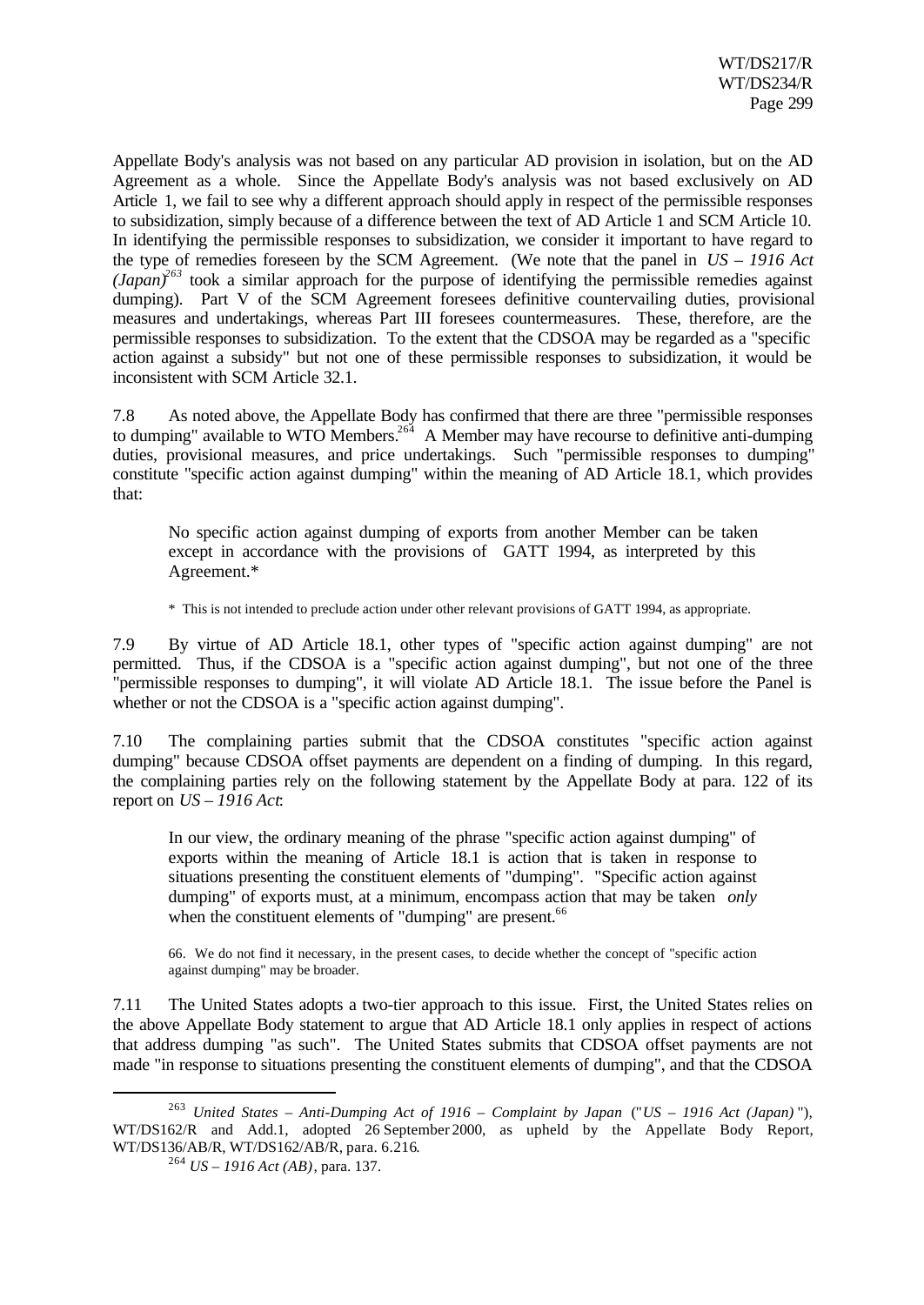Appellate Body's analysis was not based on any particular AD provision in isolation, but on the AD Agreement as a whole. Since the Appellate Body's analysis was not based exclusively on AD Article 1, we fail to see why a different approach should apply in respect of the permissible responses to subsidization, simply because of a difference between the text of AD Article 1 and SCM Article 10. In identifying the permissible responses to subsidization, we consider it important to have regard to the type of remedies foreseen by the SCM Agreement. (We note that the panel in *US – 1916 Act*  $(Japan)^{263}$  took a similar approach for the purpose of identifying the permissible remedies against dumping). Part V of the SCM Agreement foresees definitive countervailing duties, provisional measures and undertakings, whereas Part III foresees countermeasures. These, therefore, are the permissible responses to subsidization. To the extent that the CDSOA may be regarded as a "specific action against a subsidy" but not one of these permissible responses to subsidization, it would be inconsistent with SCM Article 32.1.

7.8 As noted above, the Appellate Body has confirmed that there are three "permissible responses to dumping" available to WTO Members.<sup>264</sup> A Member may have recourse to definitive anti-dumping duties, provisional measures, and price undertakings. Such "permissible responses to dumping" constitute "specific action against dumping" within the meaning of AD Article 18.1, which provides that:

No specific action against dumping of exports from another Member can be taken except in accordance with the provisions of GATT 1994, as interpreted by this Agreement.\*

\* This is not intended to preclude action under other relevant provisions of GATT 1994, as appropriate.

7.9 By virtue of AD Article 18.1, other types of "specific action against dumping" are not permitted. Thus, if the CDSOA is a "specific action against dumping", but not one of the three "permissible responses to dumping", it will violate AD Article 18.1. The issue before the Panel is whether or not the CDSOA is a "specific action against dumping".

7.10 The complaining parties submit that the CDSOA constitutes "specific action against dumping" because CDSOA offset payments are dependent on a finding of dumping. In this regard, the complaining parties rely on the following statement by the Appellate Body at para. 122 of its report on *US – 1916 Act*:

In our view, the ordinary meaning of the phrase "specific action against dumping" of exports within the meaning of Article 18.1 is action that is taken in response to situations presenting the constituent elements of "dumping". "Specific action against dumping" of exports must, at a minimum, encompass action that may be taken *only* when the constituent elements of "dumping" are present.<sup>66</sup>

66. We do not find it necessary, in the present cases, to decide whether the concept of "specific action against dumping" may be broader.

7.11 The United States adopts a two-tier approach to this issue. First, the United States relies on the above Appellate Body statement to argue that AD Article 18.1 only applies in respect of actions that address dumping "as such". The United States submits that CDSOA offset payments are not made "in response to situations presenting the constituent elements of dumping", and that the CDSOA

<sup>263</sup> *United States – Anti-Dumping Act of 1916 – Complaint by Japan* ("*US – 1916 Act (Japan)* "), WT/DS162/R and Add.1, adopted 26 September 2000, as upheld by the Appellate Body Report, WT/DS136/AB/R, WT/DS162/AB/R, para. 6.216.

<sup>264</sup> *US – 1916 Act (AB)*, para. 137.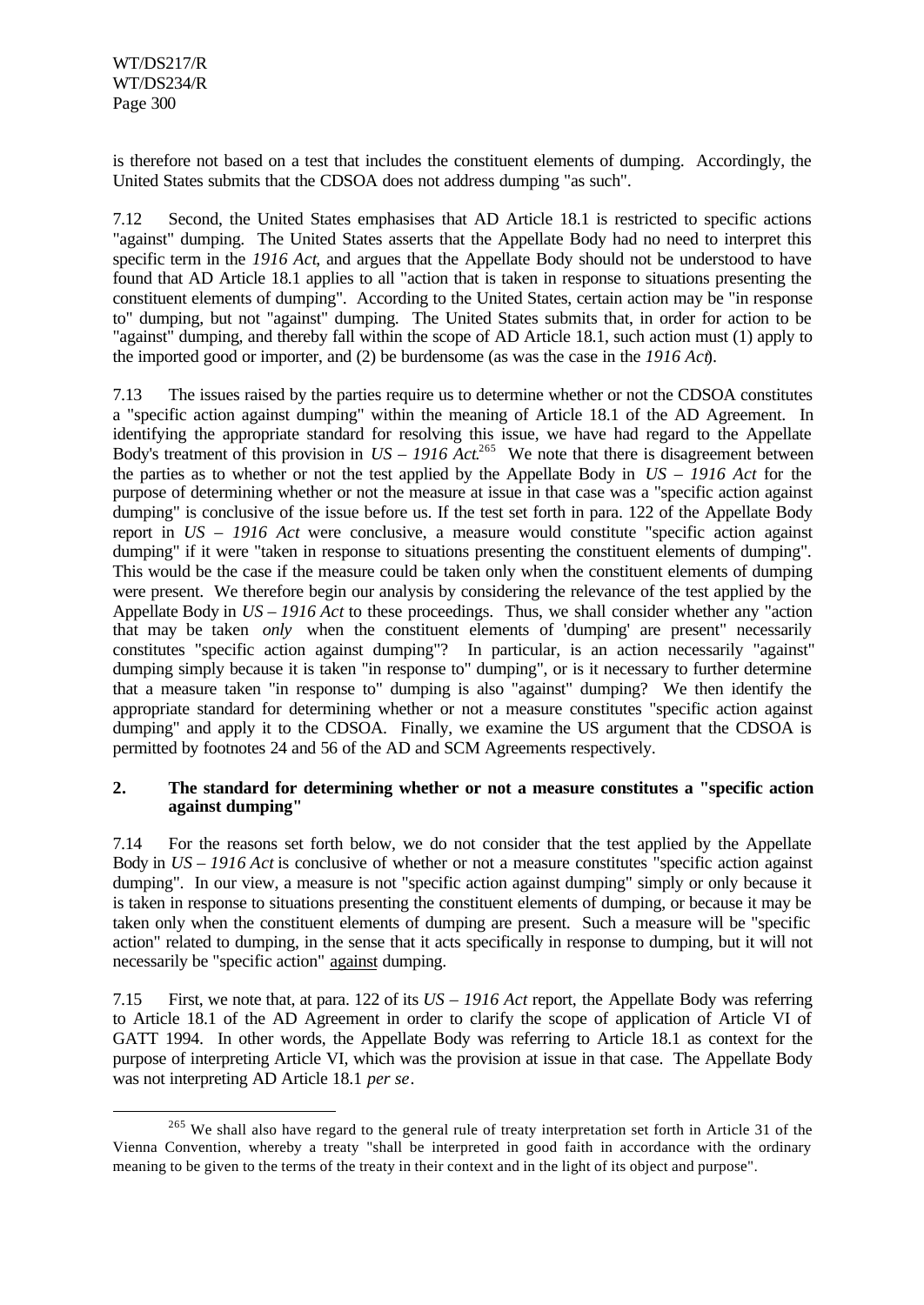l

is therefore not based on a test that includes the constituent elements of dumping. Accordingly, the United States submits that the CDSOA does not address dumping "as such".

7.12 Second, the United States emphasises that AD Article 18.1 is restricted to specific actions "against" dumping. The United States asserts that the Appellate Body had no need to interpret this specific term in the *1916 Act*, and argues that the Appellate Body should not be understood to have found that AD Article 18.1 applies to all "action that is taken in response to situations presenting the constituent elements of dumping". According to the United States, certain action may be "in response to" dumping, but not "against" dumping. The United States submits that, in order for action to be "against" dumping, and thereby fall within the scope of AD Article 18.1, such action must (1) apply to the imported good or importer, and (2) be burdensome (as was the case in the *1916 Act*).

7.13 The issues raised by the parties require us to determine whether or not the CDSOA constitutes a "specific action against dumping" within the meaning of Article 18.1 of the AD Agreement. In identifying the appropriate standard for resolving this issue, we have had regard to the Appellate Body's treatment of this provision in  $US - 1916$   $Act.^{265}$  We note that there is disagreement between the parties as to whether or not the test applied by the Appellate Body in *US – 1916 Act* for the purpose of determining whether or not the measure at issue in that case was a "specific action against dumping" is conclusive of the issue before us. If the test set forth in para. 122 of the Appellate Body report in *US – 1916 Act* were conclusive, a measure would constitute "specific action against dumping" if it were "taken in response to situations presenting the constituent elements of dumping". This would be the case if the measure could be taken only when the constituent elements of dumping were present. We therefore begin our analysis by considering the relevance of the test applied by the Appellate Body in *US – 1916 Act* to these proceedings. Thus, we shall consider whether any "action that may be taken *only* when the constituent elements of 'dumping' are present" necessarily constitutes "specific action against dumping"? In particular, is an action necessarily "against" dumping simply because it is taken "in response to" dumping", or is it necessary to further determine that a measure taken "in response to" dumping is also "against" dumping? We then identify the appropriate standard for determining whether or not a measure constitutes "specific action against dumping" and apply it to the CDSOA. Finally, we examine the US argument that the CDSOA is permitted by footnotes 24 and 56 of the AD and SCM Agreements respectively.

#### **2. The standard for determining whether or not a measure constitutes a "specific action against dumping"**

7.14 For the reasons set forth below, we do not consider that the test applied by the Appellate Body in *US – 1916 Act* is conclusive of whether or not a measure constitutes "specific action against dumping". In our view, a measure is not "specific action against dumping" simply or only because it is taken in response to situations presenting the constituent elements of dumping, or because it may be taken only when the constituent elements of dumping are present. Such a measure will be "specific action" related to dumping, in the sense that it acts specifically in response to dumping, but it will not necessarily be "specific action" against dumping.

7.15 First, we note that, at para. 122 of its *US – 1916 Act* report, the Appellate Body was referring to Article 18.1 of the AD Agreement in order to clarify the scope of application of Article VI of GATT 1994. In other words, the Appellate Body was referring to Article 18.1 as context for the purpose of interpreting Article VI, which was the provision at issue in that case. The Appellate Body was not interpreting AD Article 18.1 *per se*.

 $265$  We shall also have regard to the general rule of treaty interpretation set forth in Article 31 of the Vienna Convention, whereby a treaty "shall be interpreted in good faith in accordance with the ordinary meaning to be given to the terms of the treaty in their context and in the light of its object and purpose".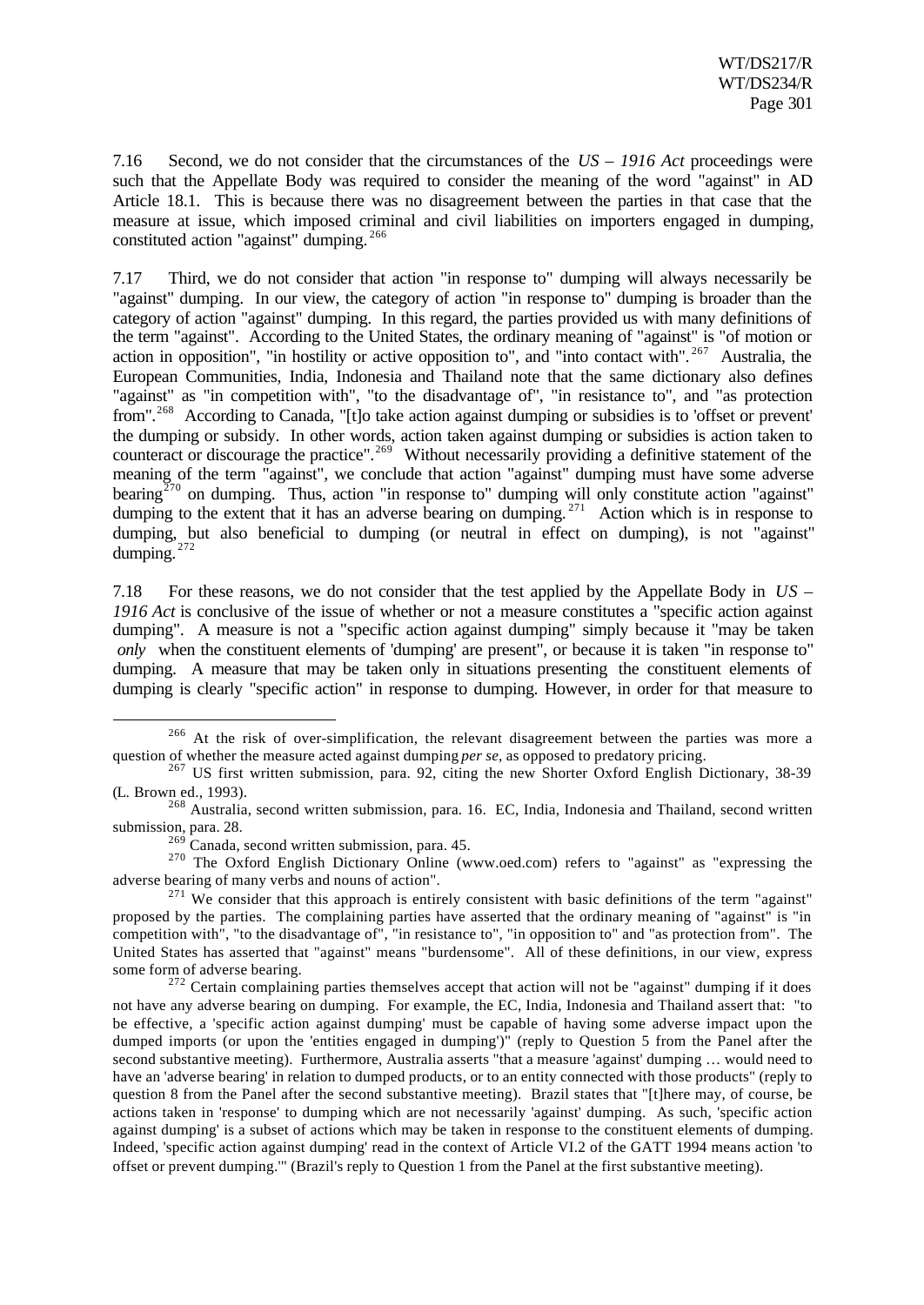7.16 Second, we do not consider that the circumstances of the *US – 1916 Act* proceedings were such that the Appellate Body was required to consider the meaning of the word "against" in AD Article 18.1. This is because there was no disagreement between the parties in that case that the measure at issue, which imposed criminal and civil liabilities on importers engaged in dumping, constituted action "against" dumping. <sup>266</sup>

7.17 Third, we do not consider that action "in response to" dumping will always necessarily be "against" dumping. In our view, the category of action "in response to" dumping is broader than the category of action "against" dumping. In this regard, the parties provided us with many definitions of the term "against". According to the United States, the ordinary meaning of "against" is "of motion or action in opposition", "in hostility or active opposition to", and "into contact with". <sup>267</sup> Australia, the European Communities, India, Indonesia and Thailand note that the same dictionary also defines "against" as "in competition with", "to the disadvantage of", "in resistance to", and "as protection from".<sup>268</sup> According to Canada, "[t]o take action against dumping or subsidies is to 'offset or prevent' the dumping or subsidy. In other words, action taken against dumping or subsidies is action taken to counteract or discourage the practice".<sup>269</sup> Without necessarily providing a definitive statement of the meaning of the term "against", we conclude that action "against" dumping must have some adverse bearing<sup> $270$ </sup> on dumping. Thus, action "in response to" dumping will only constitute action "against" dumping to the extent that it has an adverse bearing on dumping.<sup>271</sup> Action which is in response to dumping, but also beneficial to dumping (or neutral in effect on dumping), is not "against" dumping.  $272$ 

7.18 For these reasons, we do not consider that the test applied by the Appellate Body in *US – 1916 Act* is conclusive of the issue of whether or not a measure constitutes a "specific action against dumping". A measure is not a "specific action against dumping" simply because it "may be taken *only* when the constituent elements of 'dumping' are present", or because it is taken "in response to" dumping. A measure that may be taken only in situations presenting the constituent elements of dumping is clearly "specific action" in response to dumping. However, in order for that measure to

<sup>&</sup>lt;sup>266</sup> At the risk of over-simplification, the relevant disagreement between the parties was more a question of whether the measure acted against dumping *per se*, as opposed to predatory pricing.

<sup>&</sup>lt;sup>267</sup> US first written submission, para. 92, citing the new Shorter Oxford English Dictionary, 38-39 (L. Brown ed., 1993).

<sup>&</sup>lt;sup>268</sup> Australia, second written submission, para. 16. EC, India, Indonesia and Thailand, second written submission, para. 28.

 $^{269}$  Canada, second written submission, para. 45.

<sup>&</sup>lt;sup>270</sup> The Oxford English Dictionary Online (www.oed.com) refers to "against" as "expressing the adverse bearing of many verbs and nouns of action".

 $271$  We consider that this approach is entirely consistent with basic definitions of the term "against" proposed by the parties. The complaining parties have asserted that the ordinary meaning of "against" is "in competition with", "to the disadvantage of", "in resistance to", "in opposition to" and "as protection from". The United States has asserted that "against" means "burdensome". All of these definitions, in our view, express some form of adverse bearing.

<sup>&</sup>lt;sup>272</sup> Certain complaining parties themselves accept that action will not be "against" dumping if it does not have any adverse bearing on dumping. For example, the EC, India, Indonesia and Thailand assert that: "to be effective, a 'specific action against dumping' must be capable of having some adverse impact upon the dumped imports (or upon the 'entities engaged in dumping')" (reply to Question 5 from the Panel after the second substantive meeting). Furthermore, Australia asserts "that a measure 'against' dumping … would need to have an 'adverse bearing' in relation to dumped products, or to an entity connected with those products" (reply to question 8 from the Panel after the second substantive meeting). Brazil states that "[t]here may, of course, be actions taken in 'response' to dumping which are not necessarily 'against' dumping. As such, 'specific action against dumping' is a subset of actions which may be taken in response to the constituent elements of dumping. Indeed, 'specific action against dumping' read in the context of Article VI.2 of the GATT 1994 means action 'to offset or prevent dumping.'" (Brazil's reply to Question 1 from the Panel at the first substantive meeting).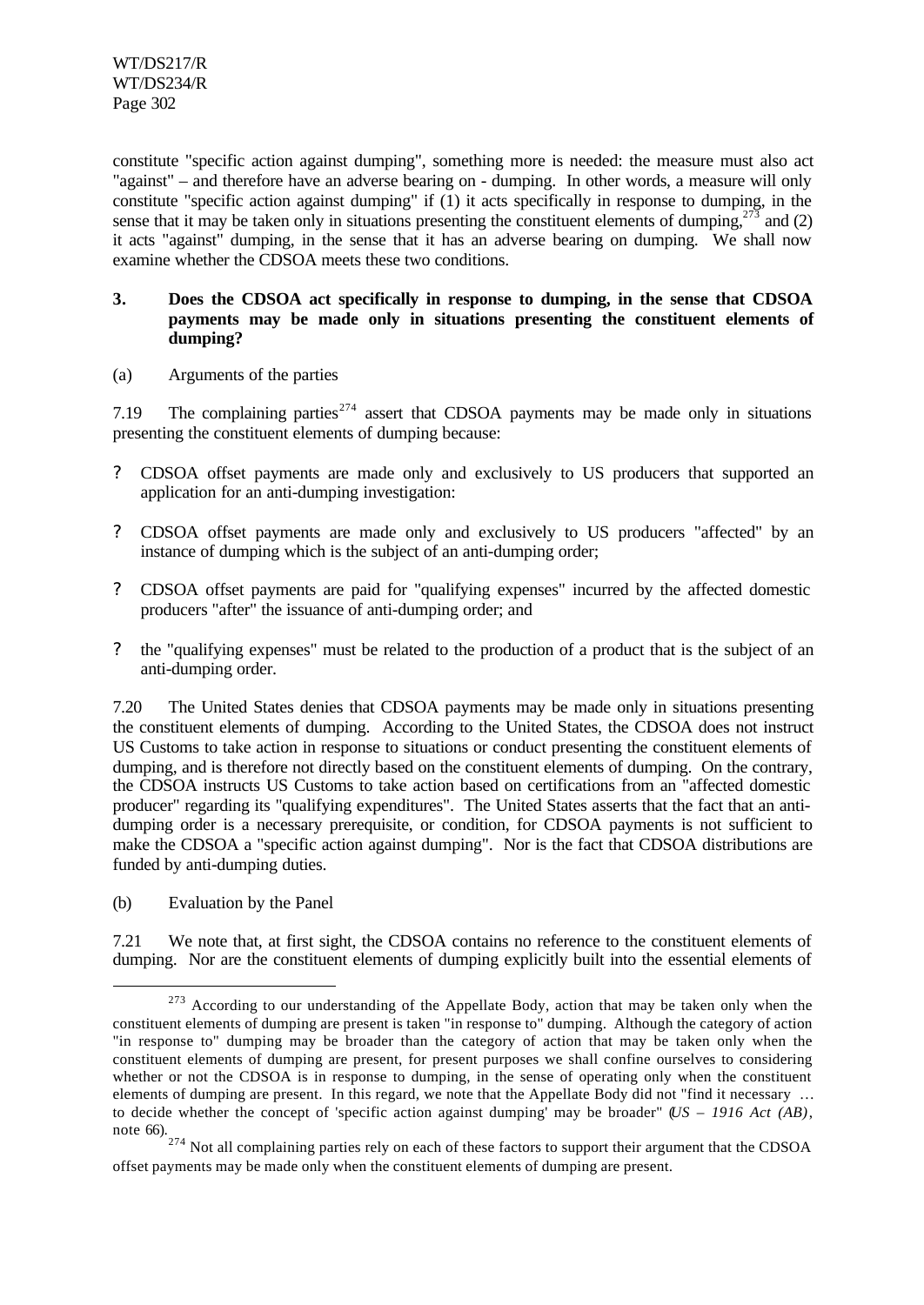constitute "specific action against dumping", something more is needed: the measure must also act "against" – and therefore have an adverse bearing on - dumping. In other words, a measure will only constitute "specific action against dumping" if (1) it acts specifically in response to dumping, in the sense that it may be taken only in situations presenting the constituent elements of dumping,  $273$  and (2) it acts "against" dumping, in the sense that it has an adverse bearing on dumping. We shall now examine whether the CDSOA meets these two conditions.

#### **3. Does the CDSOA act specifically in response to dumping, in the sense that CDSOA payments may be made only in situations presenting the constituent elements of dumping?**

(a) Arguments of the parties

7.19 The complaining parties<sup>274</sup> assert that CDSOA payments may be made only in situations presenting the constituent elements of dumping because:

- ? CDSOA offset payments are made only and exclusively to US producers that supported an application for an anti-dumping investigation:
- ? CDSOA offset payments are made only and exclusively to US producers "affected" by an instance of dumping which is the subject of an anti-dumping order;
- ? CDSOA offset payments are paid for "qualifying expenses" incurred by the affected domestic producers "after" the issuance of anti-dumping order; and
- ? the "qualifying expenses" must be related to the production of a product that is the subject of an anti-dumping order.

7.20 The United States denies that CDSOA payments may be made only in situations presenting the constituent elements of dumping. According to the United States, the CDSOA does not instruct US Customs to take action in response to situations or conduct presenting the constituent elements of dumping, and is therefore not directly based on the constituent elements of dumping. On the contrary, the CDSOA instructs US Customs to take action based on certifications from an "affected domestic producer" regarding its "qualifying expenditures". The United States asserts that the fact that an antidumping order is a necessary prerequisite, or condition, for CDSOA payments is not sufficient to make the CDSOA a "specific action against dumping". Nor is the fact that CDSOA distributions are funded by anti-dumping duties.

(b) Evaluation by the Panel

l

7.21 We note that, at first sight, the CDSOA contains no reference to the constituent elements of dumping. Nor are the constituent elements of dumping explicitly built into the essential elements of

<sup>&</sup>lt;sup>273</sup> According to our understanding of the Appellate Body, action that may be taken only when the constituent elements of dumping are present is taken "in response to" dumping. Although the category of action "in response to" dumping may be broader than the category of action that may be taken only when the constituent elements of dumping are present, for present purposes we shall confine ourselves to considering whether or not the CDSOA is in response to dumping, in the sense of operating only when the constituent elements of dumping are present. In this regard, we note that the Appellate Body did not "find it necessary … to decide whether the concept of 'specific action against dumping' may be broader" (*US – 1916 Act (AB)*, note 66).

 $274$  Not all complaining parties rely on each of these factors to support their argument that the CDSOA offset payments may be made only when the constituent elements of dumping are present.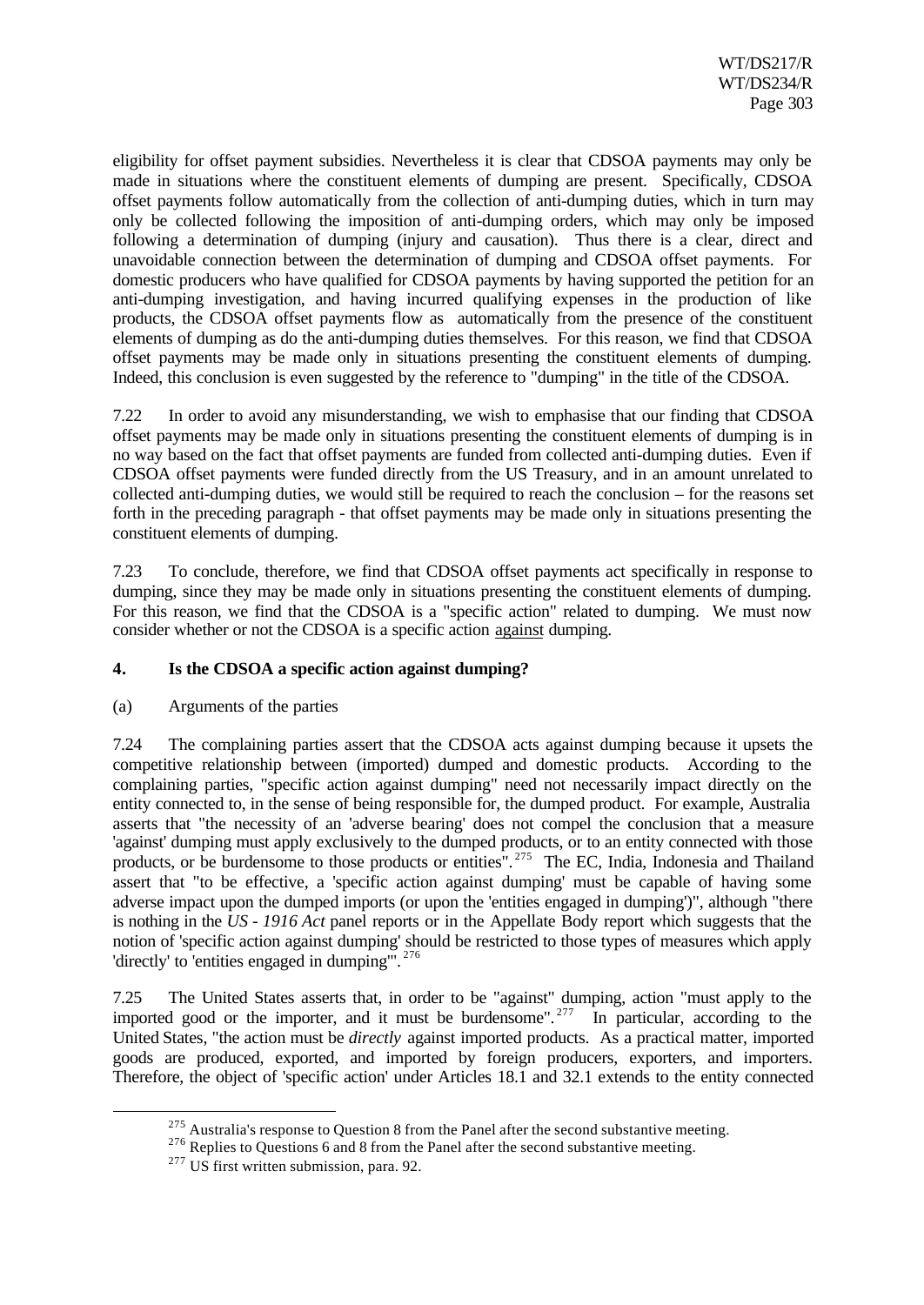eligibility for offset payment subsidies. Nevertheless it is clear that CDSOA payments may only be made in situations where the constituent elements of dumping are present. Specifically, CDSOA offset payments follow automatically from the collection of anti-dumping duties, which in turn may only be collected following the imposition of anti-dumping orders, which may only be imposed following a determination of dumping (injury and causation). Thus there is a clear, direct and unavoidable connection between the determination of dumping and CDSOA offset payments. For domestic producers who have qualified for CDSOA payments by having supported the petition for an anti-dumping investigation, and having incurred qualifying expenses in the production of like products, the CDSOA offset payments flow as automatically from the presence of the constituent elements of dumping as do the anti-dumping duties themselves. For this reason, we find that CDSOA offset payments may be made only in situations presenting the constituent elements of dumping. Indeed, this conclusion is even suggested by the reference to "dumping" in the title of the CDSOA.

7.22 In order to avoid any misunderstanding, we wish to emphasise that our finding that CDSOA offset payments may be made only in situations presenting the constituent elements of dumping is in no way based on the fact that offset payments are funded from collected anti-dumping duties. Even if CDSOA offset payments were funded directly from the US Treasury, and in an amount unrelated to collected anti-dumping duties, we would still be required to reach the conclusion – for the reasons set forth in the preceding paragraph - that offset payments may be made only in situations presenting the constituent elements of dumping.

7.23 To conclude, therefore, we find that CDSOA offset payments act specifically in response to dumping, since they may be made only in situations presenting the constituent elements of dumping. For this reason, we find that the CDSOA is a "specific action" related to dumping. We must now consider whether or not the CDSOA is a specific action against dumping.

# **4. Is the CDSOA a specific action against dumping?**

#### (a) Arguments of the parties

7.24 The complaining parties assert that the CDSOA acts against dumping because it upsets the competitive relationship between (imported) dumped and domestic products. According to the complaining parties, "specific action against dumping" need not necessarily impact directly on the entity connected to, in the sense of being responsible for, the dumped product. For example, Australia asserts that "the necessity of an 'adverse bearing' does not compel the conclusion that a measure 'against' dumping must apply exclusively to the dumped products, or to an entity connected with those products, or be burdensome to those products or entities".<sup>275</sup> The EC, India, Indonesia and Thailand assert that "to be effective, a 'specific action against dumping' must be capable of having some adverse impact upon the dumped imports (or upon the 'entities engaged in dumping')", although "there is nothing in the *US - 1916 Act* panel reports or in the Appellate Body report which suggests that the notion of 'specific action against dumping' should be restricted to those types of measures which apply 'directly' to 'entities engaged in dumping"<sup>276</sup>

7.25 The United States asserts that, in order to be "against" dumping, action "must apply to the imported good or the importer, and it must be burdensome".<sup>277</sup> In particular, according to the United States, "the action must be *directly* against imported products. As a practical matter, imported goods are produced, exported, and imported by foreign producers, exporters, and importers. Therefore, the object of 'specific action' under Articles 18.1 and 32.1 extends to the entity connected

 $275$  Australia's response to Question 8 from the Panel after the second substantive meeting.

<sup>&</sup>lt;sup>276</sup> Replies to Questions 6 and 8 from the Panel after the second substantive meeting.

 $277$  US first written submission, para. 92.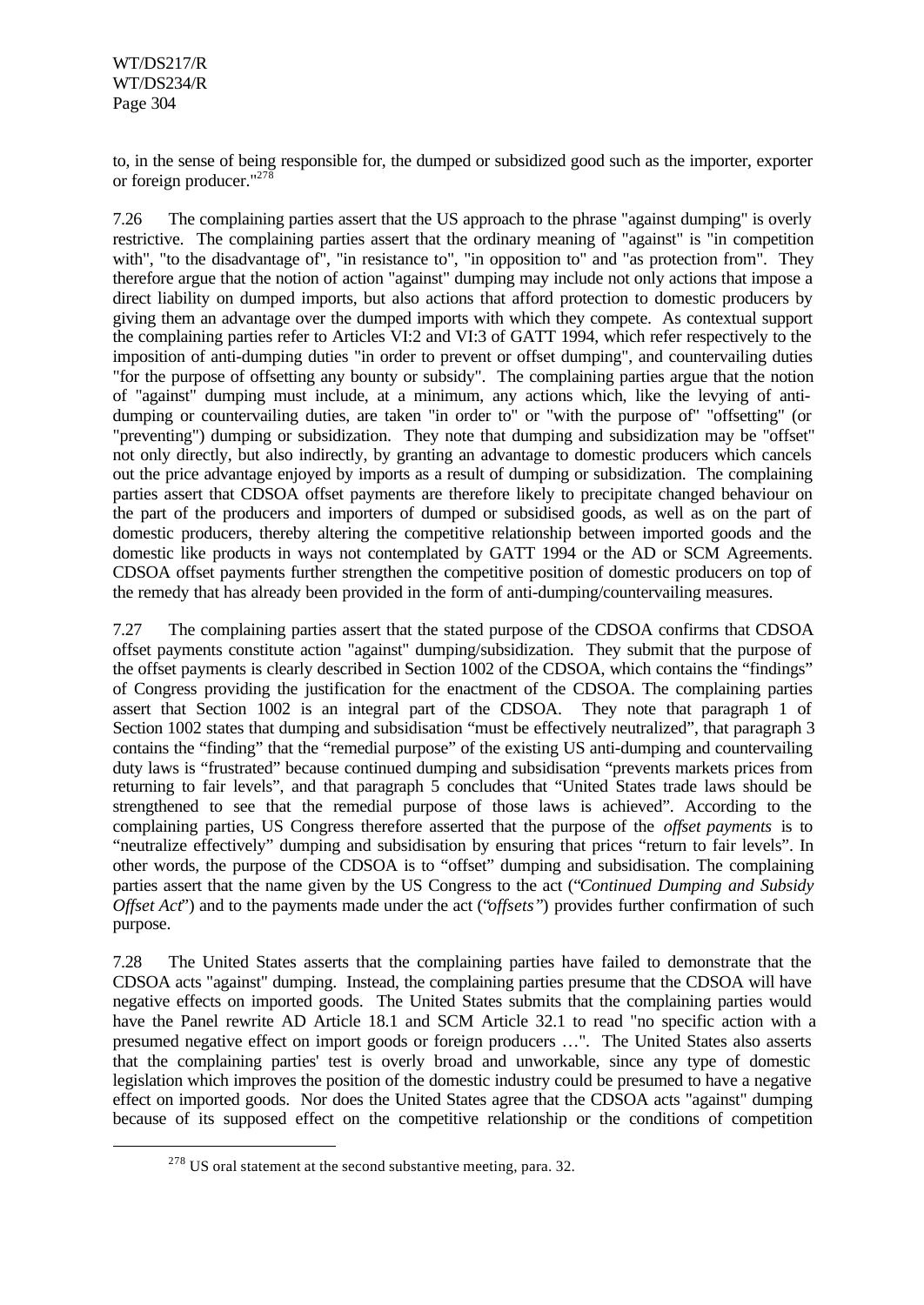l

to, in the sense of being responsible for, the dumped or subsidized good such as the importer, exporter or foreign producer."<sup>278</sup>

7.26 The complaining parties assert that the US approach to the phrase "against dumping" is overly restrictive. The complaining parties assert that the ordinary meaning of "against" is "in competition with", "to the disadvantage of", "in resistance to", "in opposition to" and "as protection from". They therefore argue that the notion of action "against" dumping may include not only actions that impose a direct liability on dumped imports, but also actions that afford protection to domestic producers by giving them an advantage over the dumped imports with which they compete. As contextual support the complaining parties refer to Articles VI:2 and VI:3 of GATT 1994, which refer respectively to the imposition of anti-dumping duties "in order to prevent or offset dumping", and countervailing duties "for the purpose of offsetting any bounty or subsidy". The complaining parties argue that the notion of "against" dumping must include, at a minimum, any actions which, like the levying of antidumping or countervailing duties, are taken "in order to" or "with the purpose of" "offsetting" (or "preventing") dumping or subsidization. They note that dumping and subsidization may be "offset" not only directly, but also indirectly, by granting an advantage to domestic producers which cancels out the price advantage enjoyed by imports as a result of dumping or subsidization. The complaining parties assert that CDSOA offset payments are therefore likely to precipitate changed behaviour on the part of the producers and importers of dumped or subsidised goods, as well as on the part of domestic producers, thereby altering the competitive relationship between imported goods and the domestic like products in ways not contemplated by GATT 1994 or the AD or SCM Agreements. CDSOA offset payments further strengthen the competitive position of domestic producers on top of the remedy that has already been provided in the form of anti-dumping/countervailing measures.

7.27 The complaining parties assert that the stated purpose of the CDSOA confirms that CDSOA offset payments constitute action "against" dumping/subsidization. They submit that the purpose of the offset payments is clearly described in Section 1002 of the CDSOA, which contains the "findings" of Congress providing the justification for the enactment of the CDSOA. The complaining parties assert that Section 1002 is an integral part of the CDSOA. They note that paragraph 1 of Section 1002 states that dumping and subsidisation "must be effectively neutralized", that paragraph 3 contains the "finding" that the "remedial purpose" of the existing US anti-dumping and countervailing duty laws is "frustrated" because continued dumping and subsidisation "prevents markets prices from returning to fair levels", and that paragraph 5 concludes that "United States trade laws should be strengthened to see that the remedial purpose of those laws is achieved". According to the complaining parties, US Congress therefore asserted that the purpose of the *offset payments* is to "neutralize effectively" dumping and subsidisation by ensuring that prices "return to fair levels". In other words, the purpose of the CDSOA is to "offset" dumping and subsidisation. The complaining parties assert that the name given by the US Congress to the act ("*Continued Dumping and Subsidy Offset Act*") and to the payments made under the act ("*offsets*") provides further confirmation of such purpose.

7.28 The United States asserts that the complaining parties have failed to demonstrate that the CDSOA acts "against" dumping. Instead, the complaining parties presume that the CDSOA will have negative effects on imported goods. The United States submits that the complaining parties would have the Panel rewrite AD Article 18.1 and SCM Article 32.1 to read "no specific action with a presumed negative effect on import goods or foreign producers …". The United States also asserts that the complaining parties' test is overly broad and unworkable, since any type of domestic legislation which improves the position of the domestic industry could be presumed to have a negative effect on imported goods. Nor does the United States agree that the CDSOA acts "against" dumping because of its supposed effect on the competitive relationship or the conditions of competition

 $278$  US oral statement at the second substantive meeting, para. 32.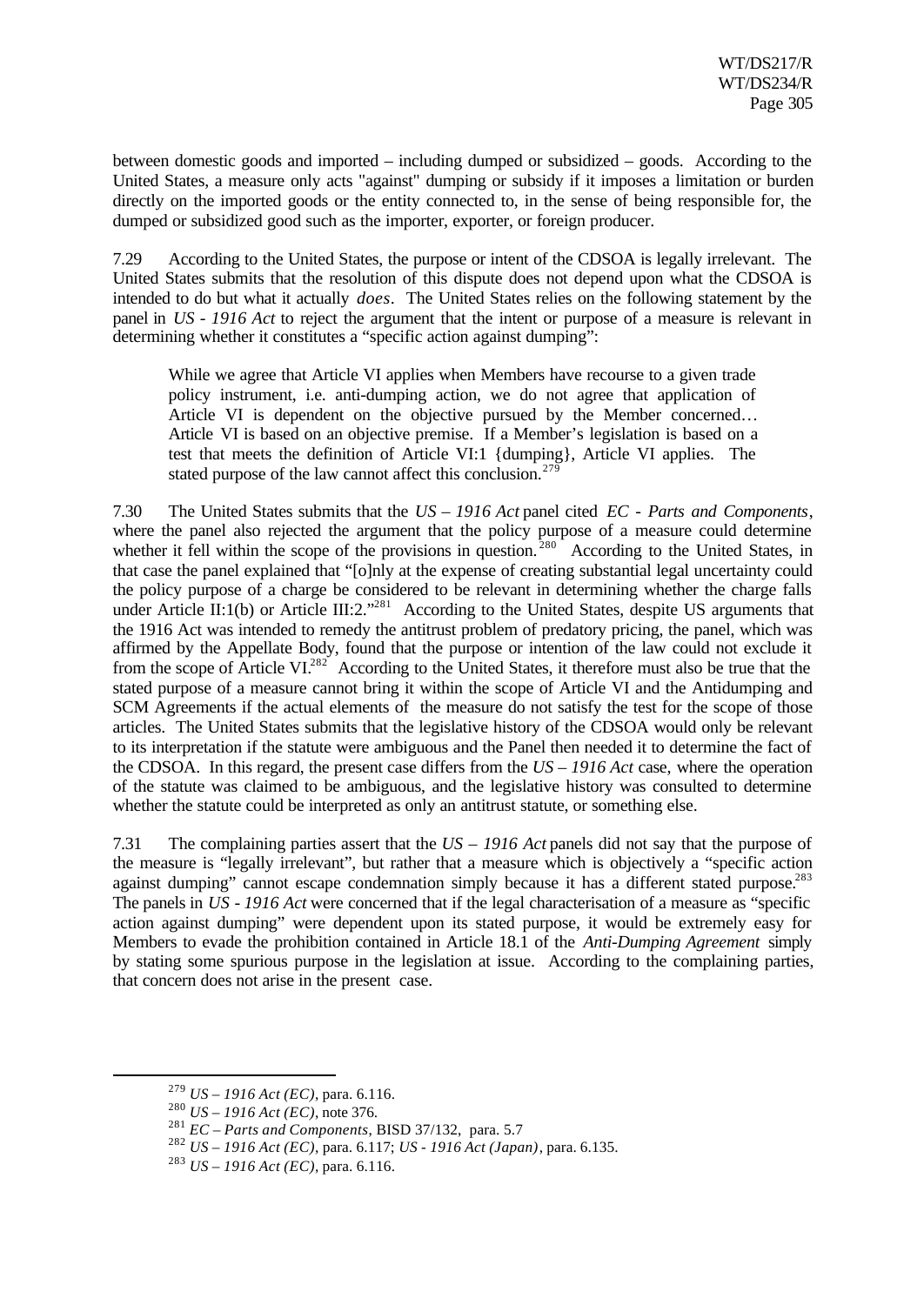between domestic goods and imported – including dumped or subsidized – goods. According to the United States, a measure only acts "against" dumping or subsidy if it imposes a limitation or burden directly on the imported goods or the entity connected to, in the sense of being responsible for, the dumped or subsidized good such as the importer, exporter, or foreign producer.

7.29 According to the United States, the purpose or intent of the CDSOA is legally irrelevant. The United States submits that the resolution of this dispute does not depend upon what the CDSOA is intended to do but what it actually *does*. The United States relies on the following statement by the panel in *US - 1916 Act* to reject the argument that the intent or purpose of a measure is relevant in determining whether it constitutes a "specific action against dumping":

While we agree that Article VI applies when Members have recourse to a given trade policy instrument, i.e. anti-dumping action, we do not agree that application of Article VI is dependent on the objective pursued by the Member concerned… Article VI is based on an objective premise. If a Member's legislation is based on a test that meets the definition of Article VI:1 {dumping}, Article VI applies. The stated purpose of the law cannot affect this conclusion.<sup>27</sup>

7.30 The United States submits that the *US – 1916 Act* panel cited *EC - Parts and Components*, where the panel also rejected the argument that the policy purpose of a measure could determine whether it fell within the scope of the provisions in question.<sup>280</sup> According to the United States, in that case the panel explained that "[o]nly at the expense of creating substantial legal uncertainty could the policy purpose of a charge be considered to be relevant in determining whether the charge falls under Article II:1(b) or Article III:2."<sup>281</sup> According to the United States, despite US arguments that the 1916 Act was intended to remedy the antitrust problem of predatory pricing, the panel, which was affirmed by the Appellate Body, found that the purpose or intention of the law could not exclude it from the scope of Article VI.<sup>282</sup> According to the United States, it therefore must also be true that the stated purpose of a measure cannot bring it within the scope of Article VI and the Antidumping and SCM Agreements if the actual elements of the measure do not satisfy the test for the scope of those articles. The United States submits that the legislative history of the CDSOA would only be relevant to its interpretation if the statute were ambiguous and the Panel then needed it to determine the fact of the CDSOA. In this regard, the present case differs from the *US – 1916 Act* case, where the operation of the statute was claimed to be ambiguous, and the legislative history was consulted to determine whether the statute could be interpreted as only an antitrust statute, or something else.

7.31 The complaining parties assert that the *US – 1916 Act* panels did not say that the purpose of the measure is "legally irrelevant", but rather that a measure which is objectively a "specific action against dumping" cannot escape condemnation simply because it has a different stated purpose.<sup>283</sup> The panels in *US - 1916 Act* were concerned that if the legal characterisation of a measure as "specific action against dumping" were dependent upon its stated purpose, it would be extremely easy for Members to evade the prohibition contained in Article 18.1 of the *Anti-Dumping Agreement* simply by stating some spurious purpose in the legislation at issue. According to the complaining parties, that concern does not arise in the present case.

<sup>279</sup> *US – 1916 Act (EC)*, para. 6.116.

<sup>280</sup> *US – 1916 Act (EC)*, note 376.

<sup>281</sup> *EC – Parts and Components*, BISD 37/132, para. 5.7

<sup>282</sup> *US – 1916 Act (EC)*, para. 6.117; *US - 1916 Act (Japan)*, para. 6.135.

<sup>283</sup> *US – 1916 Act (EC)*, para. 6.116.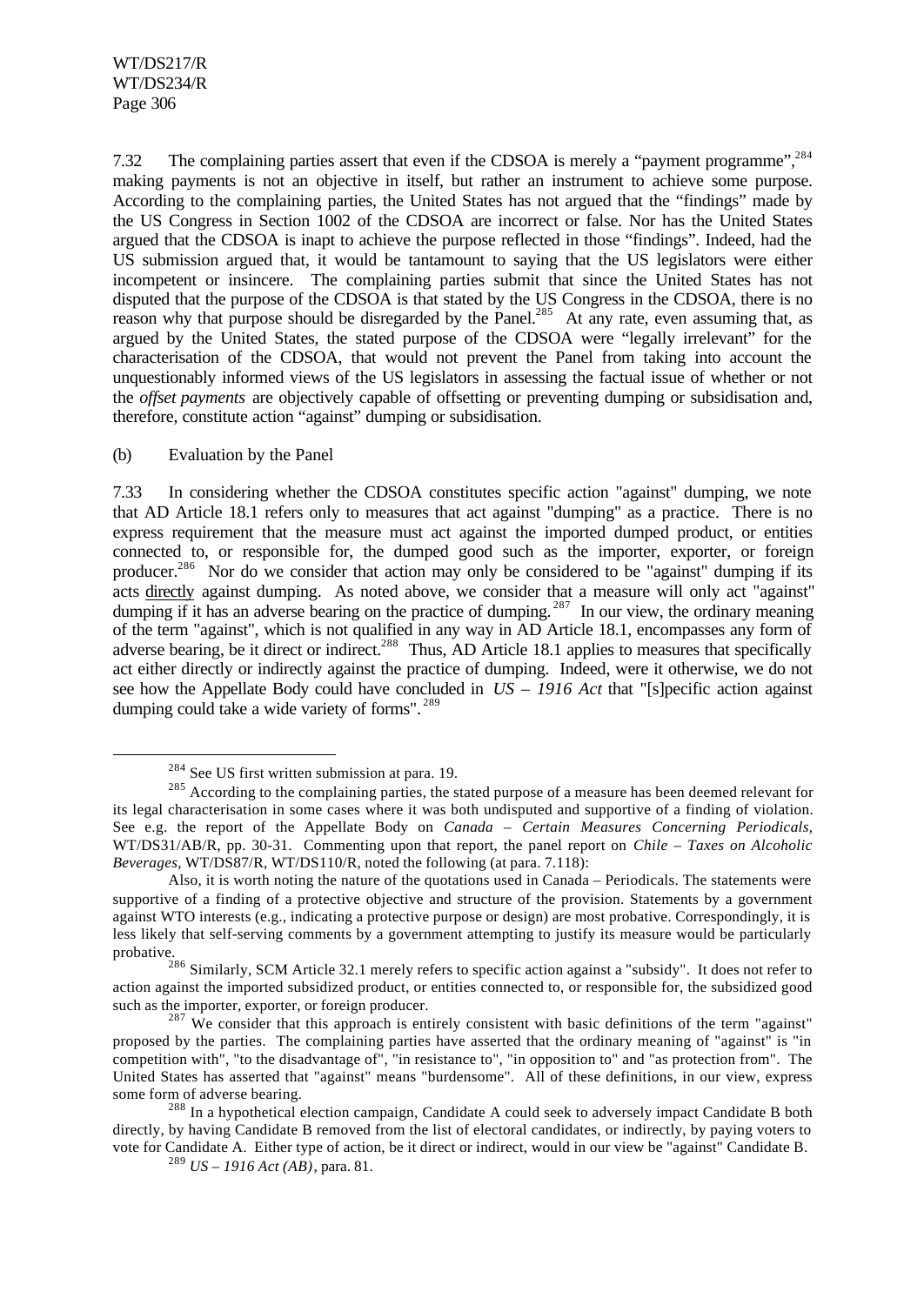7.32 The complaining parties assert that even if the CDSOA is merely a "payment programme",<sup>284</sup> making payments is not an objective in itself, but rather an instrument to achieve some purpose. According to the complaining parties, the United States has not argued that the "findings" made by the US Congress in Section 1002 of the CDSOA are incorrect or false. Nor has the United States argued that the CDSOA is inapt to achieve the purpose reflected in those "findings". Indeed, had the US submission argued that, it would be tantamount to saying that the US legislators were either incompetent or insincere. The complaining parties submit that since the United States has not disputed that the purpose of the CDSOA is that stated by the US Congress in the CDSOA, there is no reason why that purpose should be disregarded by the Panel.<sup>285</sup> At any rate, even assuming that, as argued by the United States, the stated purpose of the CDSOA were "legally irrelevant" for the characterisation of the CDSOA, that would not prevent the Panel from taking into account the unquestionably informed views of the US legislators in assessing the factual issue of whether or not the *offset payments* are objectively capable of offsetting or preventing dumping or subsidisation and, therefore, constitute action "against" dumping or subsidisation.

#### (b) Evaluation by the Panel

l

7.33 In considering whether the CDSOA constitutes specific action "against" dumping, we note that AD Article 18.1 refers only to measures that act against "dumping" as a practice. There is no express requirement that the measure must act against the imported dumped product, or entities connected to, or responsible for, the dumped good such as the importer, exporter, or foreign producer.<sup>286</sup> Nor do we consider that action may only be considered to be "against" dumping if its acts directly against dumping. As noted above, we consider that a measure will only act "against" dumping if it has an adverse bearing on the practice of dumping.<sup>287</sup> In our view, the ordinary meaning of the term "against", which is not qualified in any way in AD Article 18.1, encompasses any form of adverse bearing, be it direct or indirect.<sup>288</sup> Thus, AD Article 18.1 applies to measures that specifically act either directly or indirectly against the practice of dumping. Indeed, were it otherwise, we do not see how the Appellate Body could have concluded in *US – 1916 Act* that "[s]pecific action against dumping could take a wide variety of forms". <sup>289</sup>

<sup>&</sup>lt;sup>284</sup> See US first written submission at para. 19.

<sup>&</sup>lt;sup>285</sup> According to the complaining parties, the stated purpose of a measure has been deemed relevant for its legal characterisation in some cases where it was both undisputed and supportive of a finding of violation. See e.g. the report of the Appellate Body on *Canada – Certain Measures Concerning Periodicals*, WT/DS31/AB/R, pp. 30-31. Commenting upon that report, the panel report on *Chile – Taxes on Alcoholic Beverages*, WT/DS87/R, WT/DS110/R, noted the following (at para. 7.118):

Also, it is worth noting the nature of the quotations used in Canada – Periodicals. The statements were supportive of a finding of a protective objective and structure of the provision. Statements by a government against WTO interests (e.g., indicating a protective purpose or design) are most probative. Correspondingly, it is less likely that self-serving comments by a government attempting to justify its measure would be particularly probative.

 $^{286}$  Similarly, SCM Article 32.1 merely refers to specific action against a "subsidy". It does not refer to action against the imported subsidized product, or entities connected to, or responsible for, the subsidized good such as the importer, exporter, or foreign producer.

 $287$  We consider that this approach is entirely consistent with basic definitions of the term "against" proposed by the parties. The complaining parties have asserted that the ordinary meaning of "against" is "in competition with", "to the disadvantage of", "in resistance to", "in opposition to" and "as protection from". The United States has asserted that "against" means "burdensome". All of these definitions, in our view, express some form of adverse bearing.

<sup>&</sup>lt;sup>288</sup> In a hypothetical election campaign, Candidate A could seek to adversely impact Candidate B both directly, by having Candidate B removed from the list of electoral candidates, or indirectly, by paying voters to vote for Candidate A. Either type of action, be it direct or indirect, would in our view be "against" Candidate B.

<sup>289</sup> *US – 1916 Act (AB)*, para. 81.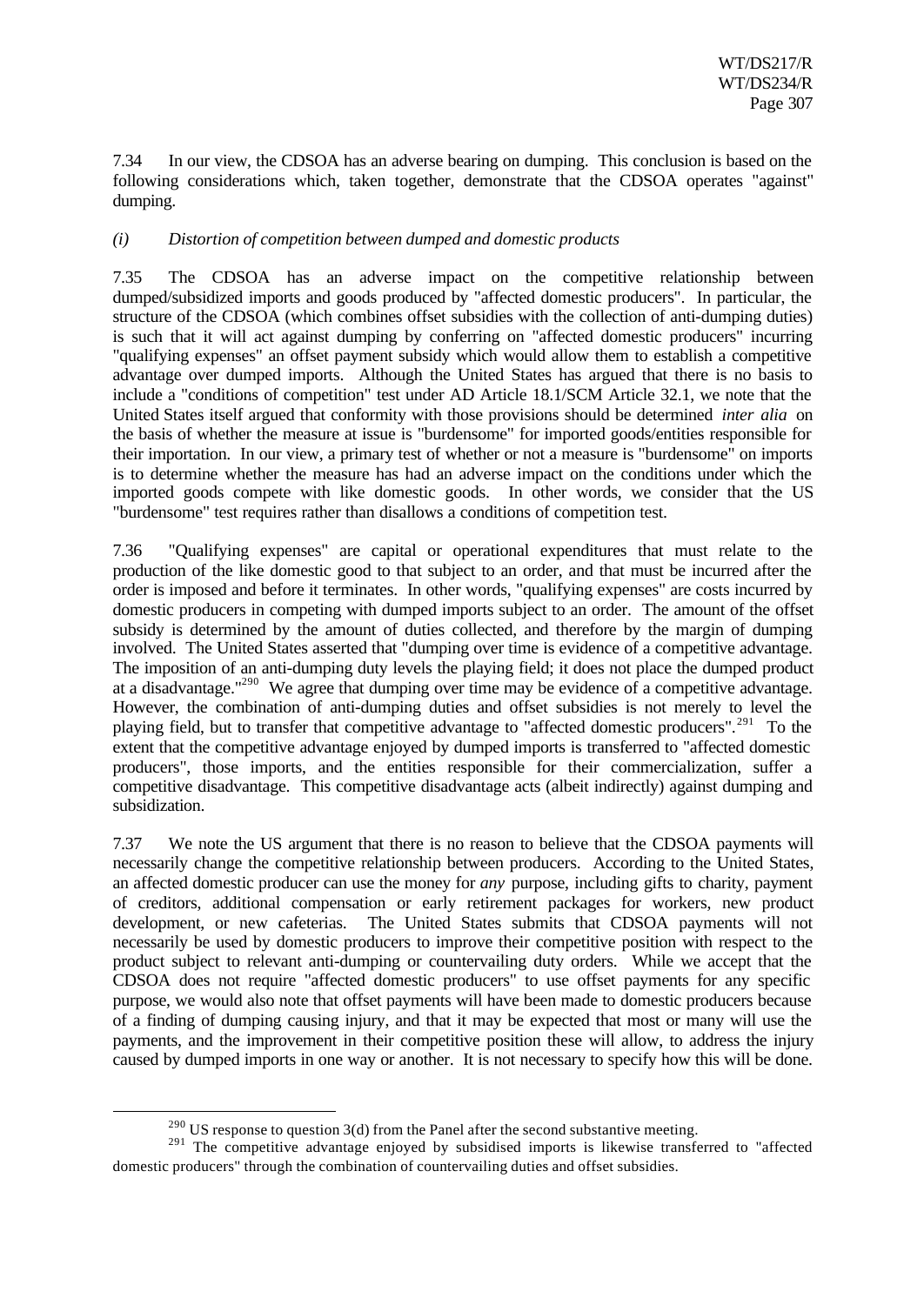7.34 In our view, the CDSOA has an adverse bearing on dumping. This conclusion is based on the following considerations which, taken together, demonstrate that the CDSOA operates "against" dumping.

# *(i) Distortion of competition between dumped and domestic products*

7.35 The CDSOA has an adverse impact on the competitive relationship between dumped/subsidized imports and goods produced by "affected domestic producers". In particular, the structure of the CDSOA (which combines offset subsidies with the collection of anti-dumping duties) is such that it will act against dumping by conferring on "affected domestic producers" incurring "qualifying expenses" an offset payment subsidy which would allow them to establish a competitive advantage over dumped imports. Although the United States has argued that there is no basis to include a "conditions of competition" test under AD Article 18.1/SCM Article 32.1, we note that the United States itself argued that conformity with those provisions should be determined *inter alia* on the basis of whether the measure at issue is "burdensome" for imported goods/entities responsible for their importation. In our view, a primary test of whether or not a measure is "burdensome" on imports is to determine whether the measure has had an adverse impact on the conditions under which the imported goods compete with like domestic goods. In other words, we consider that the US "burdensome" test requires rather than disallows a conditions of competition test.

7.36 "Qualifying expenses" are capital or operational expenditures that must relate to the production of the like domestic good to that subject to an order, and that must be incurred after the order is imposed and before it terminates. In other words, "qualifying expenses" are costs incurred by domestic producers in competing with dumped imports subject to an order. The amount of the offset subsidy is determined by the amount of duties collected, and therefore by the margin of dumping involved. The United States asserted that "dumping over time is evidence of a competitive advantage. The imposition of an anti-dumping duty levels the playing field; it does not place the dumped product at a disadvantage."<sup>290</sup> We agree that dumping over time may be evidence of a competitive advantage. However, the combination of anti-dumping duties and offset subsidies is not merely to level the playing field, but to transfer that competitive advantage to "affected domestic producers".<sup>291</sup> To the extent that the competitive advantage enjoyed by dumped imports is transferred to "affected domestic producers", those imports, and the entities responsible for their commercialization, suffer a competitive disadvantage. This competitive disadvantage acts (albeit indirectly) against dumping and subsidization.

7.37 We note the US argument that there is no reason to believe that the CDSOA payments will necessarily change the competitive relationship between producers. According to the United States, an affected domestic producer can use the money for *any* purpose, including gifts to charity, payment of creditors, additional compensation or early retirement packages for workers, new product development, or new cafeterias. The United States submits that CDSOA payments will not necessarily be used by domestic producers to improve their competitive position with respect to the product subject to relevant anti-dumping or countervailing duty orders. While we accept that the CDSOA does not require "affected domestic producers" to use offset payments for any specific purpose, we would also note that offset payments will have been made to domestic producers because of a finding of dumping causing injury, and that it may be expected that most or many will use the payments, and the improvement in their competitive position these will allow, to address the injury caused by dumped imports in one way or another. It is not necessary to specify how this will be done.

<sup>&</sup>lt;sup>290</sup> US response to question  $3(d)$  from the Panel after the second substantive meeting.

<sup>&</sup>lt;sup>291</sup> The competitive advantage enjoyed by subsidised imports is likewise transferred to "affected domestic producers" through the combination of countervailing duties and offset subsidies.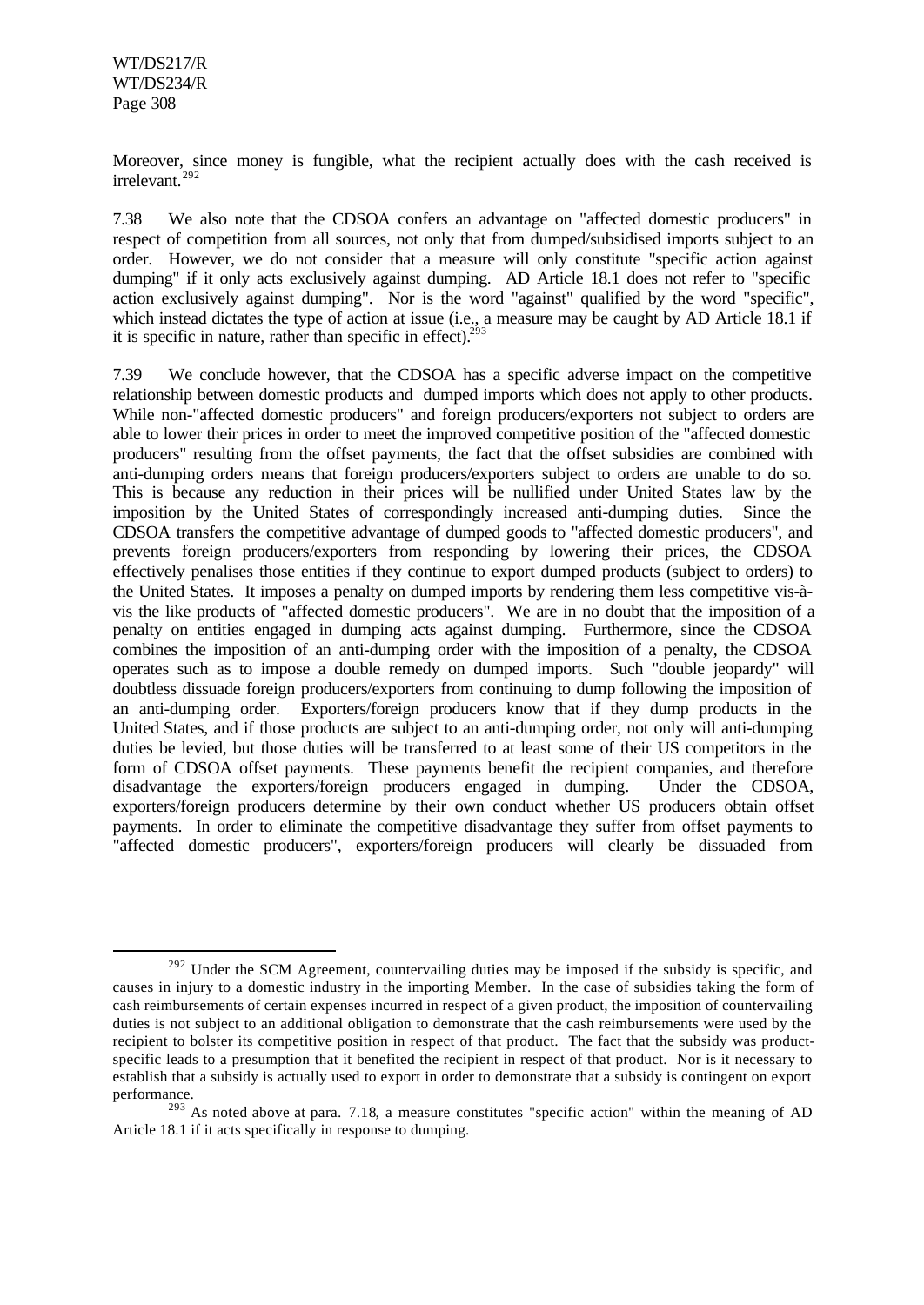l

Moreover, since money is fungible, what the recipient actually does with the cash received is irrelevant.<sup>292</sup>

7.38 We also note that the CDSOA confers an advantage on "affected domestic producers" in respect of competition from all sources, not only that from dumped/subsidised imports subject to an order. However, we do not consider that a measure will only constitute "specific action against dumping" if it only acts exclusively against dumping. AD Article 18.1 does not refer to "specific action exclusively against dumping". Nor is the word "against" qualified by the word "specific", which instead dictates the type of action at issue (i.e., a measure may be caught by AD Article 18.1 if it is specific in nature, rather than specific in effect). $29$ <sup>39</sup>

7.39 We conclude however, that the CDSOA has a specific adverse impact on the competitive relationship between domestic products and dumped imports which does not apply to other products. While non-"affected domestic producers" and foreign producers/exporters not subject to orders are able to lower their prices in order to meet the improved competitive position of the "affected domestic producers" resulting from the offset payments, the fact that the offset subsidies are combined with anti-dumping orders means that foreign producers/exporters subject to orders are unable to do so. This is because any reduction in their prices will be nullified under United States law by the imposition by the United States of correspondingly increased anti-dumping duties. Since the CDSOA transfers the competitive advantage of dumped goods to "affected domestic producers", and prevents foreign producers/exporters from responding by lowering their prices, the CDSOA effectively penalises those entities if they continue to export dumped products (subject to orders) to the United States. It imposes a penalty on dumped imports by rendering them less competitive vis-àvis the like products of "affected domestic producers". We are in no doubt that the imposition of a penalty on entities engaged in dumping acts against dumping. Furthermore, since the CDSOA combines the imposition of an anti-dumping order with the imposition of a penalty, the CDSOA operates such as to impose a double remedy on dumped imports. Such "double jeopardy" will doubtless dissuade foreign producers/exporters from continuing to dump following the imposition of an anti-dumping order. Exporters/foreign producers know that if they dump products in the United States, and if those products are subject to an anti-dumping order, not only will anti-dumping duties be levied, but those duties will be transferred to at least some of their US competitors in the form of CDSOA offset payments. These payments benefit the recipient companies, and therefore disadvantage the exporters/foreign producers engaged in dumping. Under the CDSOA, exporters/foreign producers determine by their own conduct whether US producers obtain offset payments. In order to eliminate the competitive disadvantage they suffer from offset payments to "affected domestic producers", exporters/foreign producers will clearly be dissuaded from

<sup>&</sup>lt;sup>292</sup> Under the SCM Agreement, countervailing duties may be imposed if the subsidy is specific, and causes in injury to a domestic industry in the importing Member. In the case of subsidies taking the form of cash reimbursements of certain expenses incurred in respect of a given product, the imposition of countervailing duties is not subject to an additional obligation to demonstrate that the cash reimbursements were used by the recipient to bolster its competitive position in respect of that product. The fact that the subsidy was productspecific leads to a presumption that it benefited the recipient in respect of that product. Nor is it necessary to establish that a subsidy is actually used to export in order to demonstrate that a subsidy is contingent on export performance.

 $293$  As noted above at para. 7.18, a measure constitutes "specific action" within the meaning of AD Article 18.1 if it acts specifically in response to dumping.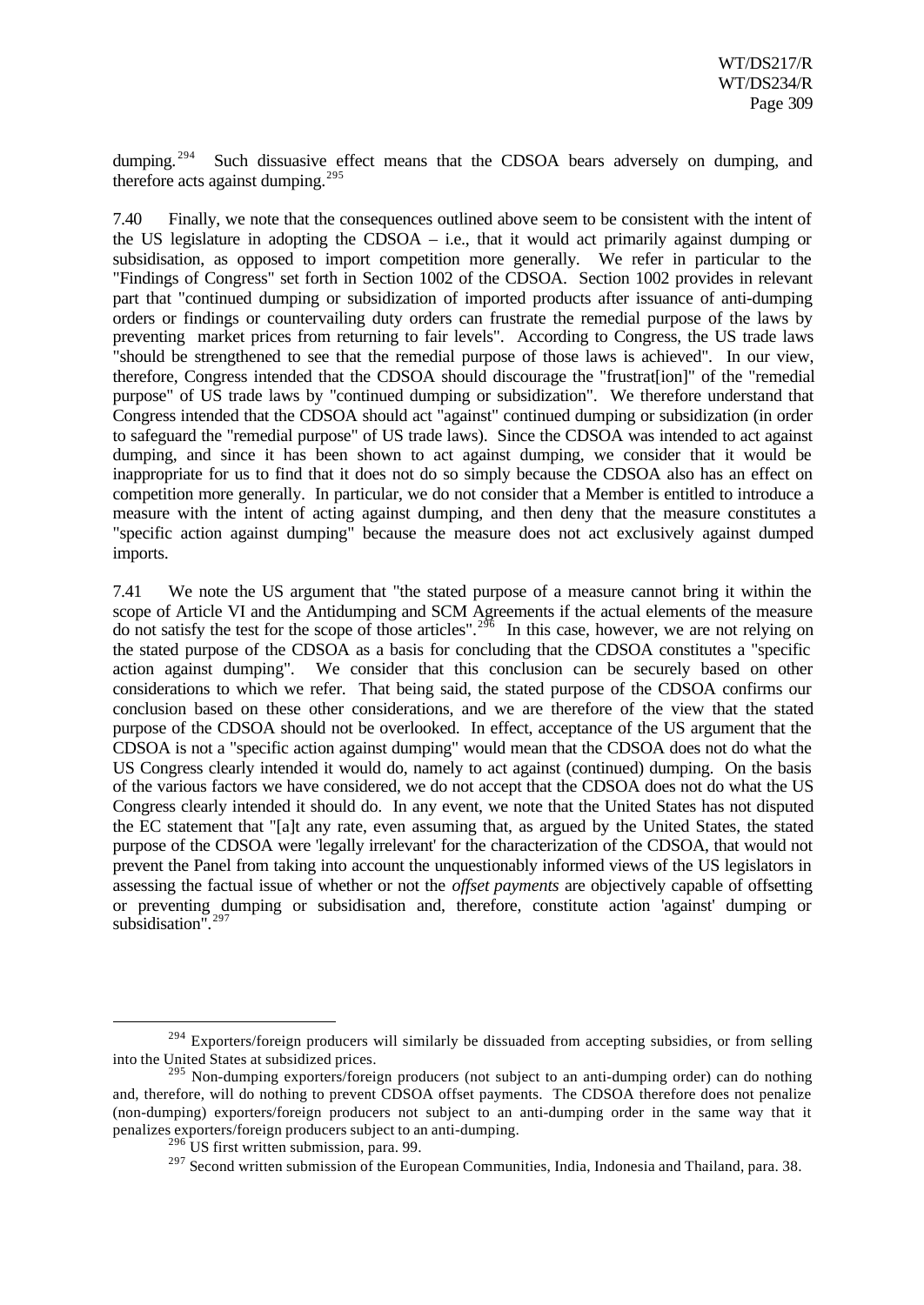dumping.<sup>294</sup> Such dissuasive effect means that the CDSOA bears adversely on dumping, and therefore acts against dumping.<sup>295</sup>

7.40 Finally, we note that the consequences outlined above seem to be consistent with the intent of the US legislature in adopting the CDSOA – i.e., that it would act primarily against dumping or subsidisation, as opposed to import competition more generally. We refer in particular to the "Findings of Congress" set forth in Section 1002 of the CDSOA. Section 1002 provides in relevant part that "continued dumping or subsidization of imported products after issuance of anti-dumping orders or findings or countervailing duty orders can frustrate the remedial purpose of the laws by preventing market prices from returning to fair levels". According to Congress, the US trade laws "should be strengthened to see that the remedial purpose of those laws is achieved". In our view, therefore, Congress intended that the CDSOA should discourage the "frustrat[ion]" of the "remedial purpose" of US trade laws by "continued dumping or subsidization". We therefore understand that Congress intended that the CDSOA should act "against" continued dumping or subsidization (in order to safeguard the "remedial purpose" of US trade laws). Since the CDSOA was intended to act against dumping, and since it has been shown to act against dumping, we consider that it would be inappropriate for us to find that it does not do so simply because the CDSOA also has an effect on competition more generally. In particular, we do not consider that a Member is entitled to introduce a measure with the intent of acting against dumping, and then deny that the measure constitutes a "specific action against dumping" because the measure does not act exclusively against dumped imports.

7.41 We note the US argument that "the stated purpose of a measure cannot bring it within the scope of Article VI and the Antidumping and SCM Agreements if the actual elements of the measure do not satisfy the test for the scope of those articles".<sup>296</sup> In this case, however, we are not relying on the stated purpose of the CDSOA as a basis for concluding that the CDSOA constitutes a "specific action against dumping". We consider that this conclusion can be securely based on other considerations to which we refer. That being said, the stated purpose of the CDSOA confirms our conclusion based on these other considerations, and we are therefore of the view that the stated purpose of the CDSOA should not be overlooked. In effect, acceptance of the US argument that the CDSOA is not a "specific action against dumping" would mean that the CDSOA does not do what the US Congress clearly intended it would do, namely to act against (continued) dumping. On the basis of the various factors we have considered, we do not accept that the CDSOA does not do what the US Congress clearly intended it should do. In any event, we note that the United States has not disputed the EC statement that "[a]t any rate, even assuming that, as argued by the United States, the stated purpose of the CDSOA were 'legally irrelevant' for the characterization of the CDSOA, that would not prevent the Panel from taking into account the unquestionably informed views of the US legislators in assessing the factual issue of whether or not the *offset payments* are objectively capable of offsetting or preventing dumping or subsidisation and, therefore, constitute action 'against' dumping or subsidisation".

<sup>&</sup>lt;sup>294</sup> Exporters/foreign producers will similarly be dissuaded from accepting subsidies, or from selling into the United States at subsidized prices.

 $^{295}$  Non-dumping exporters/foreign producers (not subject to an anti-dumping order) can do nothing and, therefore, will do nothing to prevent CDSOA offset payments. The CDSOA therefore does not penalize (non-dumping) exporters/foreign producers not subject to an anti-dumping order in the same way that it penalizes exporters/foreign producers subject to an anti-dumping.

 $^{296}$  US first written submission, para. 99.

<sup>&</sup>lt;sup>297</sup> Second written submission of the European Communities, India, Indonesia and Thailand, para. 38.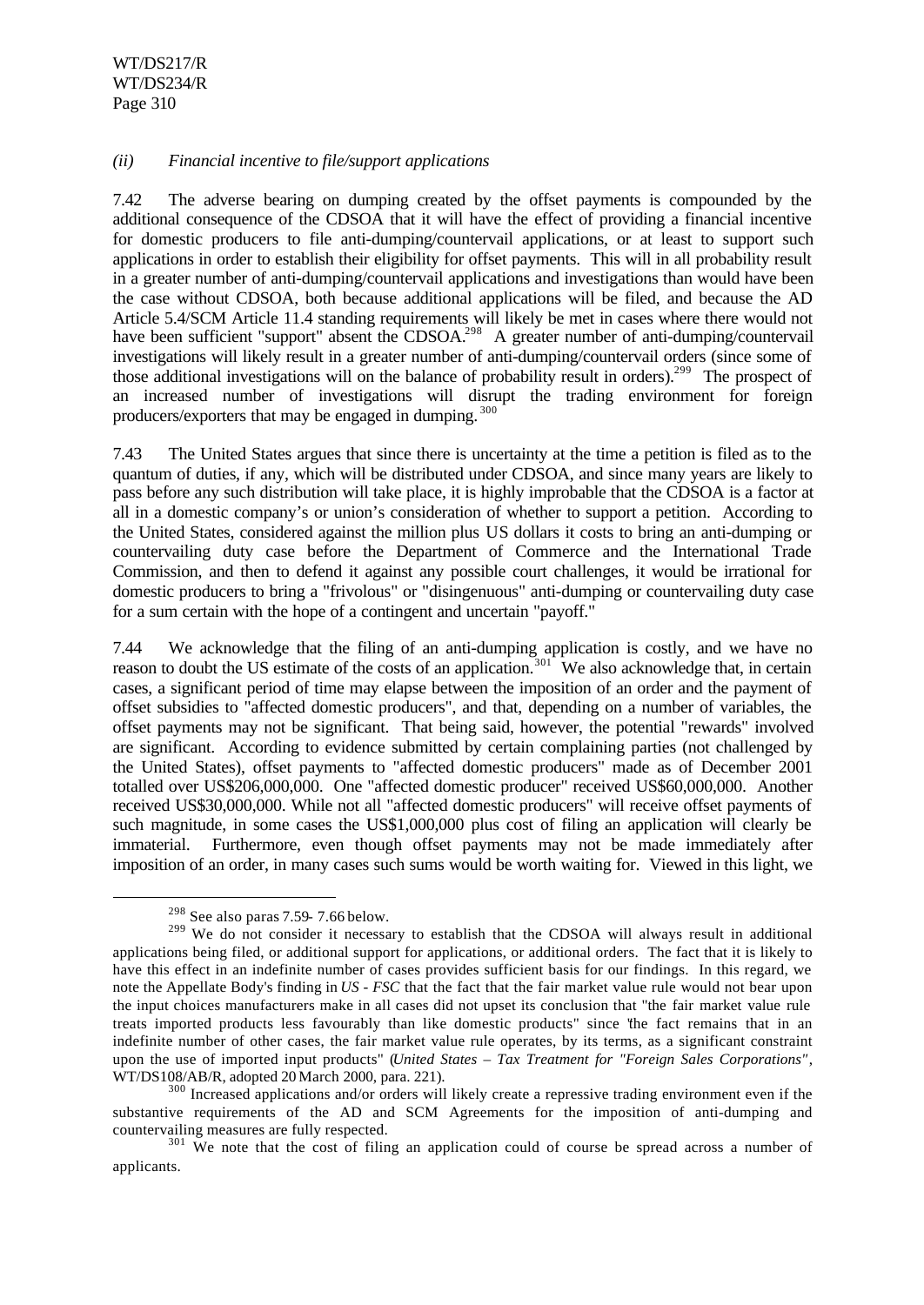### *(ii) Financial incentive to file/support applications*

7.42 The adverse bearing on dumping created by the offset payments is compounded by the additional consequence of the CDSOA that it will have the effect of providing a financial incentive for domestic producers to file anti-dumping/countervail applications, or at least to support such applications in order to establish their eligibility for offset payments. This will in all probability result in a greater number of anti-dumping/countervail applications and investigations than would have been the case without CDSOA, both because additional applications will be filed, and because the AD Article 5.4/SCM Article 11.4 standing requirements will likely be met in cases where there would not have been sufficient "support" absent the CDSOA.<sup>298</sup> A greater number of anti-dumping/countervail investigations will likely result in a greater number of anti-dumping/countervail orders (since some of those additional investigations will on the balance of probability result in orders).<sup>299</sup> The prospect of an increased number of investigations will disrupt the trading environment for foreign producers/exporters that may be engaged in dumping. <sup>300</sup>

7.43 The United States argues that since there is uncertainty at the time a petition is filed as to the quantum of duties, if any, which will be distributed under CDSOA, and since many years are likely to pass before any such distribution will take place, it is highly improbable that the CDSOA is a factor at all in a domestic company's or union's consideration of whether to support a petition. According to the United States, considered against the million plus US dollars it costs to bring an anti-dumping or countervailing duty case before the Department of Commerce and the International Trade Commission, and then to defend it against any possible court challenges, it would be irrational for domestic producers to bring a "frivolous" or "disingenuous" anti-dumping or countervailing duty case for a sum certain with the hope of a contingent and uncertain "payoff."

7.44 We acknowledge that the filing of an anti-dumping application is costly, and we have no reason to doubt the US estimate of the costs of an application.<sup>301</sup> We also acknowledge that, in certain cases, a significant period of time may elapse between the imposition of an order and the payment of offset subsidies to "affected domestic producers", and that, depending on a number of variables, the offset payments may not be significant. That being said, however, the potential "rewards" involved are significant. According to evidence submitted by certain complaining parties (not challenged by the United States), offset payments to "affected domestic producers" made as of December 2001 totalled over US\$206,000,000. One "affected domestic producer" received US\$60,000,000. Another received US\$30,000,000. While not all "affected domestic producers" will receive offset payments of such magnitude, in some cases the US\$1,000,000 plus cost of filing an application will clearly be immaterial. Furthermore, even though offset payments may not be made immediately after imposition of an order, in many cases such sums would be worth waiting for. Viewed in this light, we

 $298$  See also paras 7.59- 7.66 below.

 $299$  We do not consider it necessary to establish that the CDSOA will always result in additional applications being filed, or additional support for applications, or additional orders. The fact that it is likely to have this effect in an indefinite number of cases provides sufficient basis for our findings. In this regard, we note the Appellate Body's finding in *US - FSC* that the fact that the fair market value rule would not bear upon the input choices manufacturers make in all cases did not upset its conclusion that "the fair market value rule treats imported products less favourably than like domestic products" since "the fact remains that in an indefinite number of other cases, the fair market value rule operates, by its terms, as a significant constraint upon the use of imported input products" (*United States – Tax Treatment for "Foreign Sales Corporations"*, WT/DS108/AB/R, adopted 20 March 2000, para. 221).

<sup>&</sup>lt;sup>300</sup> Increased applications and/or orders will likely create a repressive trading environment even if the substantive requirements of the AD and SCM Agreements for the imposition of anti-dumping and countervailing measures are fully respected.

<sup>&</sup>lt;sup>301</sup> We note that the cost of filing an application could of course be spread across a number of applicants.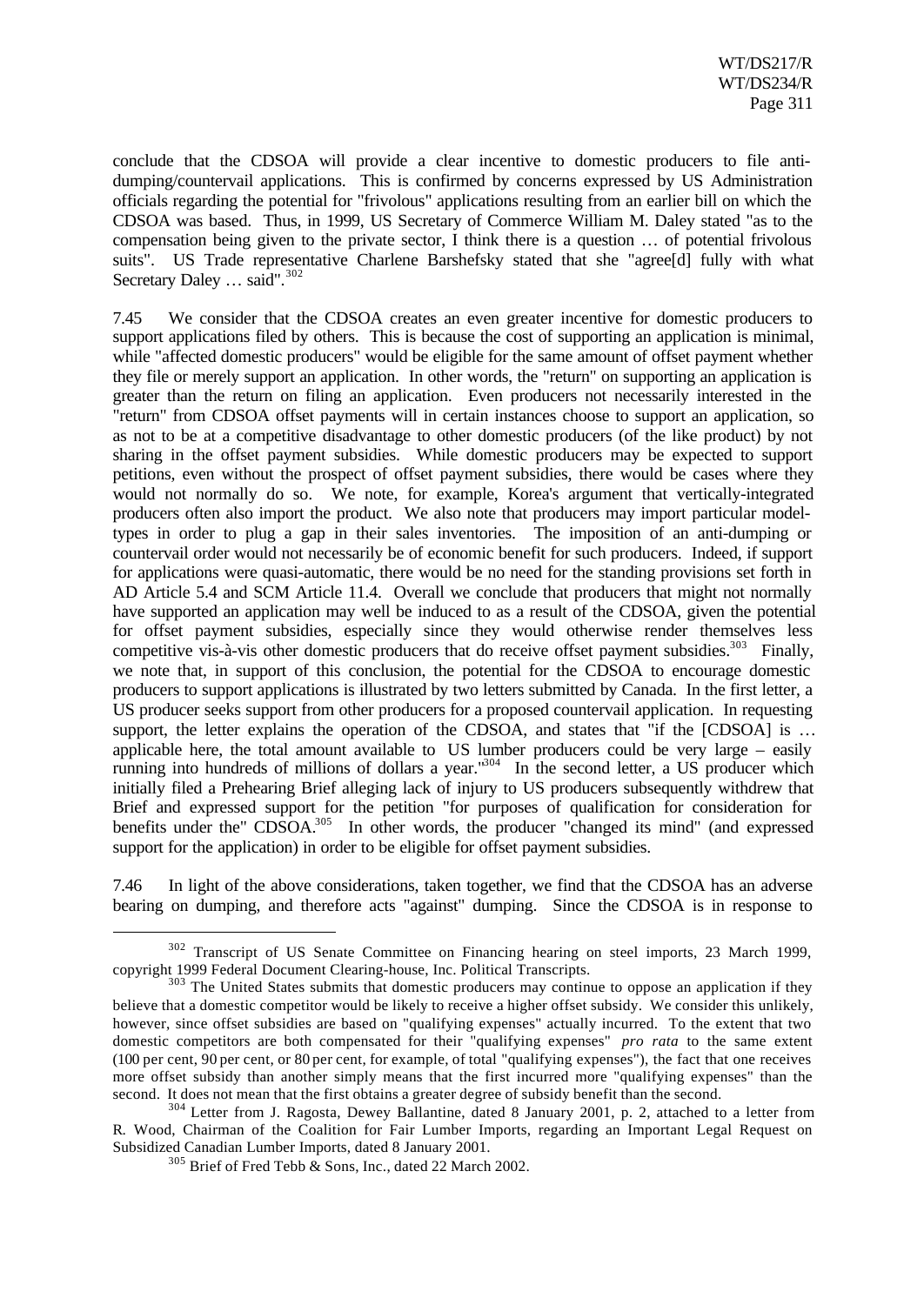conclude that the CDSOA will provide a clear incentive to domestic producers to file antidumping/countervail applications. This is confirmed by concerns expressed by US Administration officials regarding the potential for "frivolous" applications resulting from an earlier bill on which the CDSOA was based. Thus, in 1999, US Secretary of Commerce William M. Daley stated "as to the compensation being given to the private sector, I think there is a question … of potential frivolous suits". US Trade representative Charlene Barshefsky stated that she "agree[d] fully with what Secretary Daley ... said".<sup>302</sup>

7.45 We consider that the CDSOA creates an even greater incentive for domestic producers to support applications filed by others. This is because the cost of supporting an application is minimal, while "affected domestic producers" would be eligible for the same amount of offset payment whether they file or merely support an application. In other words, the "return" on supporting an application is greater than the return on filing an application. Even producers not necessarily interested in the "return" from CDSOA offset payments will in certain instances choose to support an application, so as not to be at a competitive disadvantage to other domestic producers (of the like product) by not sharing in the offset payment subsidies. While domestic producers may be expected to support petitions, even without the prospect of offset payment subsidies, there would be cases where they would not normally do so. We note, for example, Korea's argument that vertically-integrated producers often also import the product. We also note that producers may import particular modeltypes in order to plug a gap in their sales inventories. The imposition of an anti-dumping or countervail order would not necessarily be of economic benefit for such producers. Indeed, if support for applications were quasi-automatic, there would be no need for the standing provisions set forth in AD Article 5.4 and SCM Article 11.4. Overall we conclude that producers that might not normally have supported an application may well be induced to as a result of the CDSOA, given the potential for offset payment subsidies, especially since they would otherwise render themselves less competitive vis-à-vis other domestic producers that do receive offset payment subsidies.<sup>303</sup> Finally, we note that, in support of this conclusion, the potential for the CDSOA to encourage domestic producers to support applications is illustrated by two letters submitted by Canada. In the first letter, a US producer seeks support from other producers for a proposed countervail application. In requesting support, the letter explains the operation of the CDSOA, and states that "if the [CDSOA] is ... applicable here, the total amount available to US lumber producers could be very large  $-$  easily running into hundreds of millions of dollars a year."<sup>304</sup> In the second letter, a US producer which initially filed a Prehearing Brief alleging lack of injury to US producers subsequently withdrew that Brief and expressed support for the petition "for purposes of qualification for consideration for benefits under the" CDSOA.<sup>305</sup> In other words, the producer "changed its mind" (and expressed support for the application) in order to be eligible for offset payment subsidies.

7.46 In light of the above considerations, taken together, we find that the CDSOA has an adverse bearing on dumping, and therefore acts "against" dumping. Since the CDSOA is in response to

<sup>302</sup> Transcript of US Senate Committee on Financing hearing on steel imports, 23 March 1999, copyright 1999 Federal Document Clearing-house, Inc. Political Transcripts.

<sup>&</sup>lt;sup>303</sup> The United States submits that domestic producers may continue to oppose an application if they believe that a domestic competitor would be likely to receive a higher offset subsidy. We consider this unlikely, however, since offset subsidies are based on "qualifying expenses" actually incurred. To the extent that two domestic competitors are both compensated for their "qualifying expenses" *pro rata* to the same extent (100 per cent, 90 per cent, or 80 per cent, for example, of total "qualifying expenses"), the fact that one receives more offset subsidy than another simply means that the first incurred more "qualifying expenses" than the second. It does not mean that the first obtains a greater degree of subsidy benefit than the second.

<sup>&</sup>lt;sup>304</sup> Letter from J. Ragosta, Dewey Ballantine, dated 8 January 2001, p. 2, attached to a letter from R. Wood, Chairman of the Coalition for Fair Lumber Imports, regarding an Important Legal Request on Subsidized Canadian Lumber Imports, dated 8 January 2001.

 $305$  Brief of Fred Tebb  $\&$  Sons, Inc., dated 22 March 2002.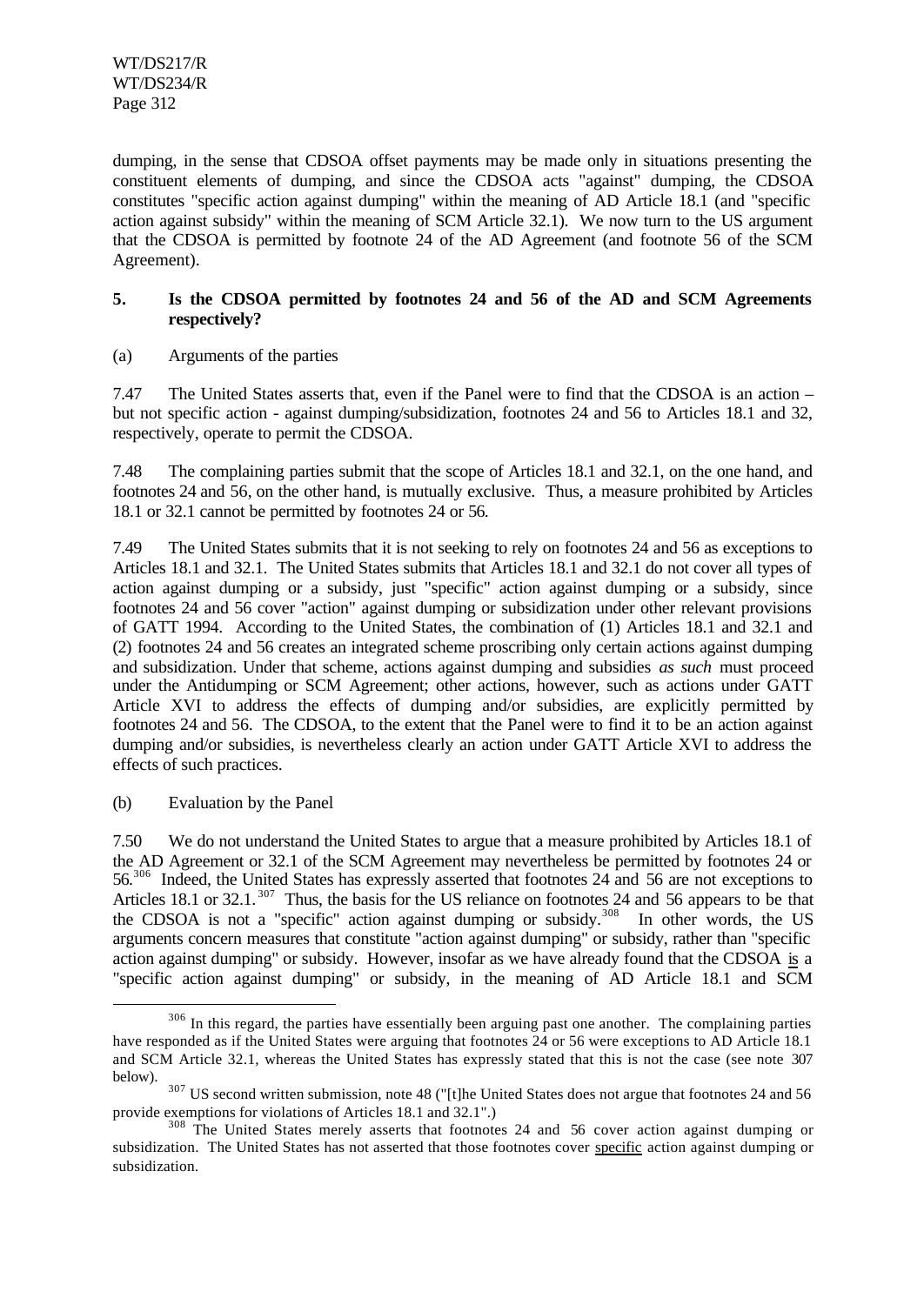WT/DS217/R WT/DS234/R Page 312

dumping, in the sense that CDSOA offset payments may be made only in situations presenting the constituent elements of dumping, and since the CDSOA acts "against" dumping, the CDSOA constitutes "specific action against dumping" within the meaning of AD Article 18.1 (and "specific action against subsidy" within the meaning of SCM Article 32.1). We now turn to the US argument that the CDSOA is permitted by footnote 24 of the AD Agreement (and footnote 56 of the SCM Agreement).

## **5. Is the CDSOA permitted by footnotes 24 and 56 of the AD and SCM Agreements respectively?**

(a) Arguments of the parties

7.47 The United States asserts that, even if the Panel were to find that the CDSOA is an action – but not specific action - against dumping/subsidization, footnotes 24 and 56 to Articles 18.1 and 32, respectively, operate to permit the CDSOA.

7.48 The complaining parties submit that the scope of Articles 18.1 and 32.1, on the one hand, and footnotes 24 and 56, on the other hand, is mutually exclusive. Thus, a measure prohibited by Articles 18.1 or 32.1 cannot be permitted by footnotes 24 or 56.

7.49 The United States submits that it is not seeking to rely on footnotes 24 and 56 as exceptions to Articles 18.1 and 32.1. The United States submits that Articles 18.1 and 32.1 do not cover all types of action against dumping or a subsidy, just "specific" action against dumping or a subsidy, since footnotes 24 and 56 cover "action" against dumping or subsidization under other relevant provisions of GATT 1994. According to the United States, the combination of (1) Articles 18.1 and 32.1 and (2) footnotes 24 and 56 creates an integrated scheme proscribing only certain actions against dumping and subsidization. Under that scheme, actions against dumping and subsidies *as such* must proceed under the Antidumping or SCM Agreement; other actions, however, such as actions under GATT Article XVI to address the effects of dumping and/or subsidies, are explicitly permitted by footnotes 24 and 56. The CDSOA, to the extent that the Panel were to find it to be an action against dumping and/or subsidies, is nevertheless clearly an action under GATT Article XVI to address the effects of such practices.

(b) Evaluation by the Panel

l

7.50 We do not understand the United States to argue that a measure prohibited by Articles 18.1 of the AD Agreement or 32.1 of the SCM Agreement may nevertheless be permitted by footnotes 24 or 56.<sup>306</sup> Indeed, the United States has expressly asserted that footnotes 24 and 56 are not exceptions to Articles 18.1 or 32.1.<sup>307</sup> Thus, the basis for the US reliance on footnotes 24 and 56 appears to be that the CDSOA is not a "specific" action against dumping or subsidy.<sup>308</sup> In other words, the US arguments concern measures that constitute "action against dumping" or subsidy, rather than "specific action against dumping" or subsidy. However, insofar as we have already found that the CDSOA is a "specific action against dumping" or subsidy, in the meaning of AD Article 18.1 and SCM

<sup>&</sup>lt;sup>306</sup> In this regard, the parties have essentially been arguing past one another. The complaining parties have responded as if the United States were arguing that footnotes 24 or 56 were exceptions to AD Article 18.1 and SCM Article 32.1, whereas the United States has expressly stated that this is not the case (see note 307 below).

<sup>307</sup> US second written submission, note 48 ("[t]he United States does not argue that footnotes 24 and 56 provide exemptions for violations of Articles 18.1 and 32.1".)

 $308$  The United States merely asserts that footnotes 24 and 56 cover action against dumping or subsidization. The United States has not asserted that those footnotes cover specific action against dumping or subsidization.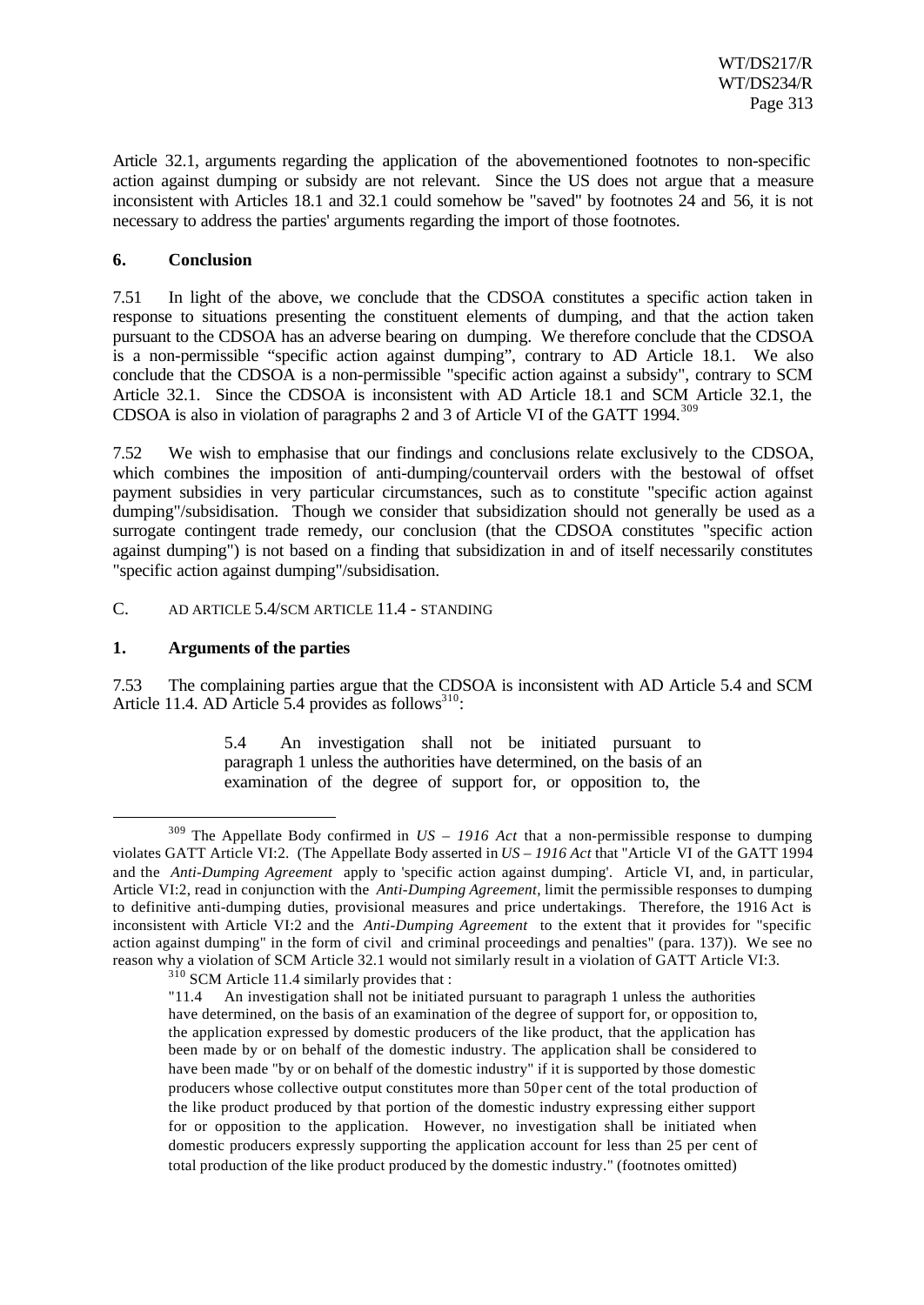Article 32.1, arguments regarding the application of the abovementioned footnotes to non-specific action against dumping or subsidy are not relevant. Since the US does not argue that a measure inconsistent with Articles 18.1 and 32.1 could somehow be "saved" by footnotes 24 and 56, it is not necessary to address the parties' arguments regarding the import of those footnotes.

#### **6. Conclusion**

7.51 In light of the above, we conclude that the CDSOA constitutes a specific action taken in response to situations presenting the constituent elements of dumping, and that the action taken pursuant to the CDSOA has an adverse bearing on dumping. We therefore conclude that the CDSOA is a non-permissible "specific action against dumping", contrary to AD Article 18.1. We also conclude that the CDSOA is a non-permissible "specific action against a subsidy", contrary to SCM Article 32.1. Since the CDSOA is inconsistent with AD Article 18.1 and SCM Article 32.1, the CDSOA is also in violation of paragraphs 2 and 3 of Article VI of the GATT 1994.<sup>309</sup>

7.52 We wish to emphasise that our findings and conclusions relate exclusively to the CDSOA, which combines the imposition of anti-dumping/countervail orders with the bestowal of offset payment subsidies in very particular circumstances, such as to constitute "specific action against dumping"/subsidisation. Though we consider that subsidization should not generally be used as a surrogate contingent trade remedy, our conclusion (that the CDSOA constitutes "specific action against dumping") is not based on a finding that subsidization in and of itself necessarily constitutes "specific action against dumping"/subsidisation.

### C. AD ARTICLE 5.4/SCM ARTICLE 11.4 - STANDING

#### **1. Arguments of the parties**

l

7.53 The complaining parties argue that the CDSOA is inconsistent with AD Article 5.4 and SCM Article 11.4. AD Article 5.4 provides as follows<sup>310</sup>:

> 5.4 An investigation shall not be initiated pursuant to paragraph 1 unless the authorities have determined, on the basis of an examination of the degree of support for, or opposition to, the

<sup>309</sup> The Appellate Body confirmed in *US – 1916 Act* that a non-permissible response to dumping violates GATT Article VI:2. (The Appellate Body asserted in *US – 1916 Act* that "Article VI of the GATT 1994 and the *Anti-Dumping Agreement* apply to 'specific action against dumping'. Article VI, and, in particular, Article VI:2, read in conjunction with the *Anti-Dumping Agreement*, limit the permissible responses to dumping to definitive anti-dumping duties, provisional measures and price undertakings. Therefore, the 1916 Act is inconsistent with Article VI:2 and the *Anti-Dumping Agreement* to the extent that it provides for "specific action against dumping" in the form of civil and criminal proceedings and penalties" (para. 137)). We see no reason why a violation of SCM Article 32.1 would not similarly result in a violation of GATT Article VI:3.

 $3^{10}$  SCM Article 11.4 similarly provides that :

<sup>&</sup>quot;11.4 An investigation shall not be initiated pursuant to paragraph 1 unless the authorities have determined, on the basis of an examination of the degree of support for, or opposition to, the application expressed by domestic producers of the like product, that the application has been made by or on behalf of the domestic industry. The application shall be considered to have been made "by or on behalf of the domestic industry" if it is supported by those domestic producers whose collective output constitutes more than 50 per cent of the total production of the like product produced by that portion of the domestic industry expressing either support for or opposition to the application. However, no investigation shall be initiated when domestic producers expressly supporting the application account for less than 25 per cent of total production of the like product produced by the domestic industry." (footnotes omitted)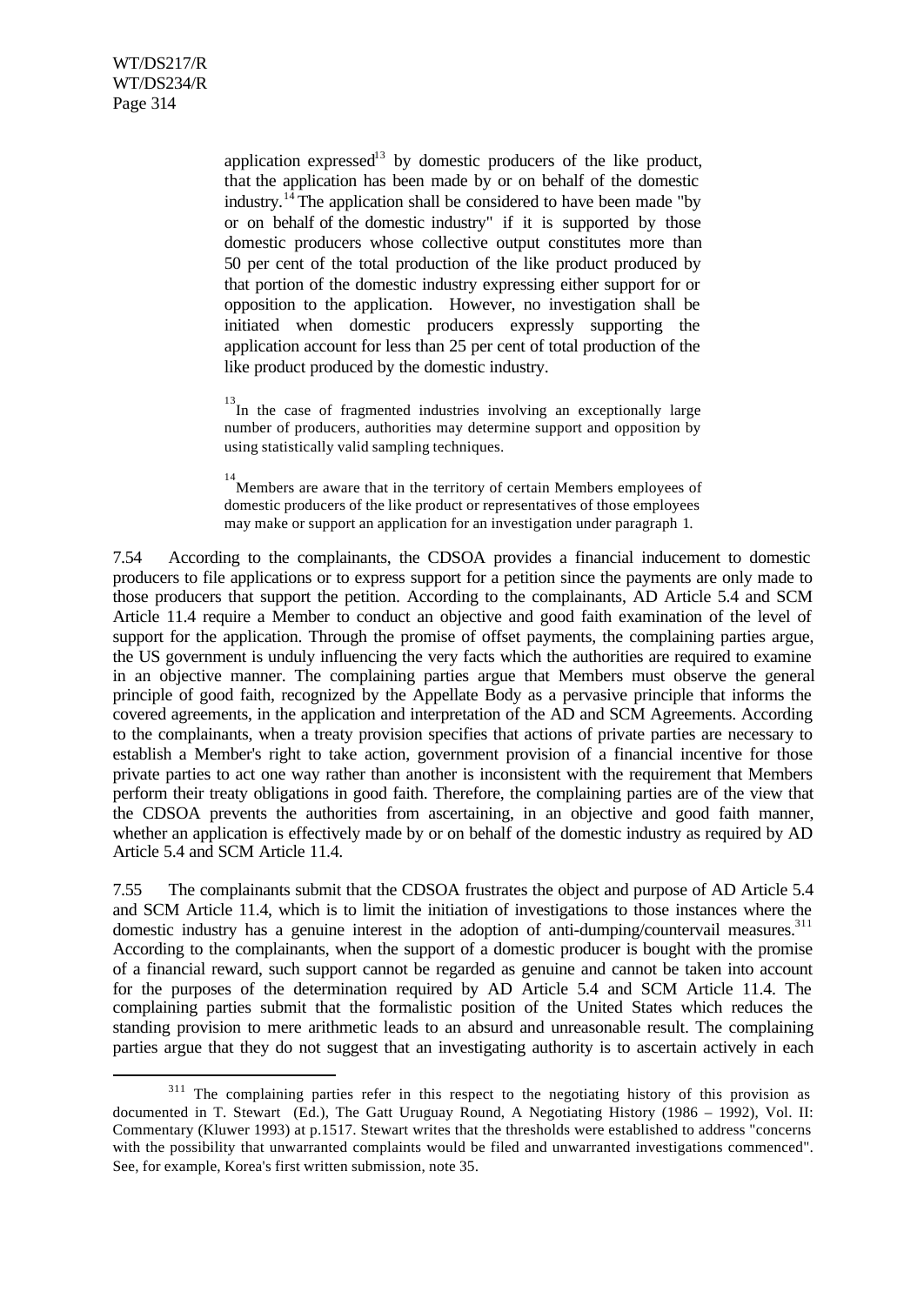l

application expressed<sup>13</sup> by domestic producers of the like product, that the application has been made by or on behalf of the domestic industry.<sup>14</sup> The application shall be considered to have been made "by or on behalf of the domestic industry" if it is supported by those domestic producers whose collective output constitutes more than 50 per cent of the total production of the like product produced by that portion of the domestic industry expressing either support for or opposition to the application. However, no investigation shall be initiated when domestic producers expressly supporting the application account for less than 25 per cent of total production of the like product produced by the domestic industry.

<sup>13</sup><br>In the case of fragmented industries involving an exceptionally large number of producers, authorities may determine support and opposition by using statistically valid sampling techniques.

<sup>14</sup> Members are aware that in the territory of certain Members employees of domestic producers of the like product or representatives of those employees may make or support an application for an investigation under paragraph 1.

7.54 According to the complainants, the CDSOA provides a financial inducement to domestic producers to file applications or to express support for a petition since the payments are only made to those producers that support the petition. According to the complainants, AD Article 5.4 and SCM Article 11.4 require a Member to conduct an objective and good faith examination of the level of support for the application. Through the promise of offset payments, the complaining parties argue, the US government is unduly influencing the very facts which the authorities are required to examine in an objective manner. The complaining parties argue that Members must observe the general principle of good faith, recognized by the Appellate Body as a pervasive principle that informs the covered agreements, in the application and interpretation of the AD and SCM Agreements. According to the complainants, when a treaty provision specifies that actions of private parties are necessary to establish a Member's right to take action, government provision of a financial incentive for those private parties to act one way rather than another is inconsistent with the requirement that Members perform their treaty obligations in good faith. Therefore, the complaining parties are of the view that the CDSOA prevents the authorities from ascertaining, in an objective and good faith manner, whether an application is effectively made by or on behalf of the domestic industry as required by AD Article 5.4 and SCM Article 11.4.

7.55 The complainants submit that the CDSOA frustrates the object and purpose of AD Article 5.4 and SCM Article 11.4, which is to limit the initiation of investigations to those instances where the domestic industry has a genuine interest in the adoption of anti-dumping/countervail measures. $311$ According to the complainants, when the support of a domestic producer is bought with the promise of a financial reward, such support cannot be regarded as genuine and cannot be taken into account for the purposes of the determination required by AD Article 5.4 and SCM Article 11.4. The complaining parties submit that the formalistic position of the United States which reduces the standing provision to mere arithmetic leads to an absurd and unreasonable result. The complaining parties argue that they do not suggest that an investigating authority is to ascertain actively in each

<sup>&</sup>lt;sup>311</sup> The complaining parties refer in this respect to the negotiating history of this provision as documented in T. Stewart (Ed.), The Gatt Uruguay Round, A Negotiating History (1986 – 1992), Vol. II: Commentary (Kluwer 1993) at p.1517. Stewart writes that the thresholds were established to address "concerns with the possibility that unwarranted complaints would be filed and unwarranted investigations commenced". See, for example, Korea's first written submission, note 35.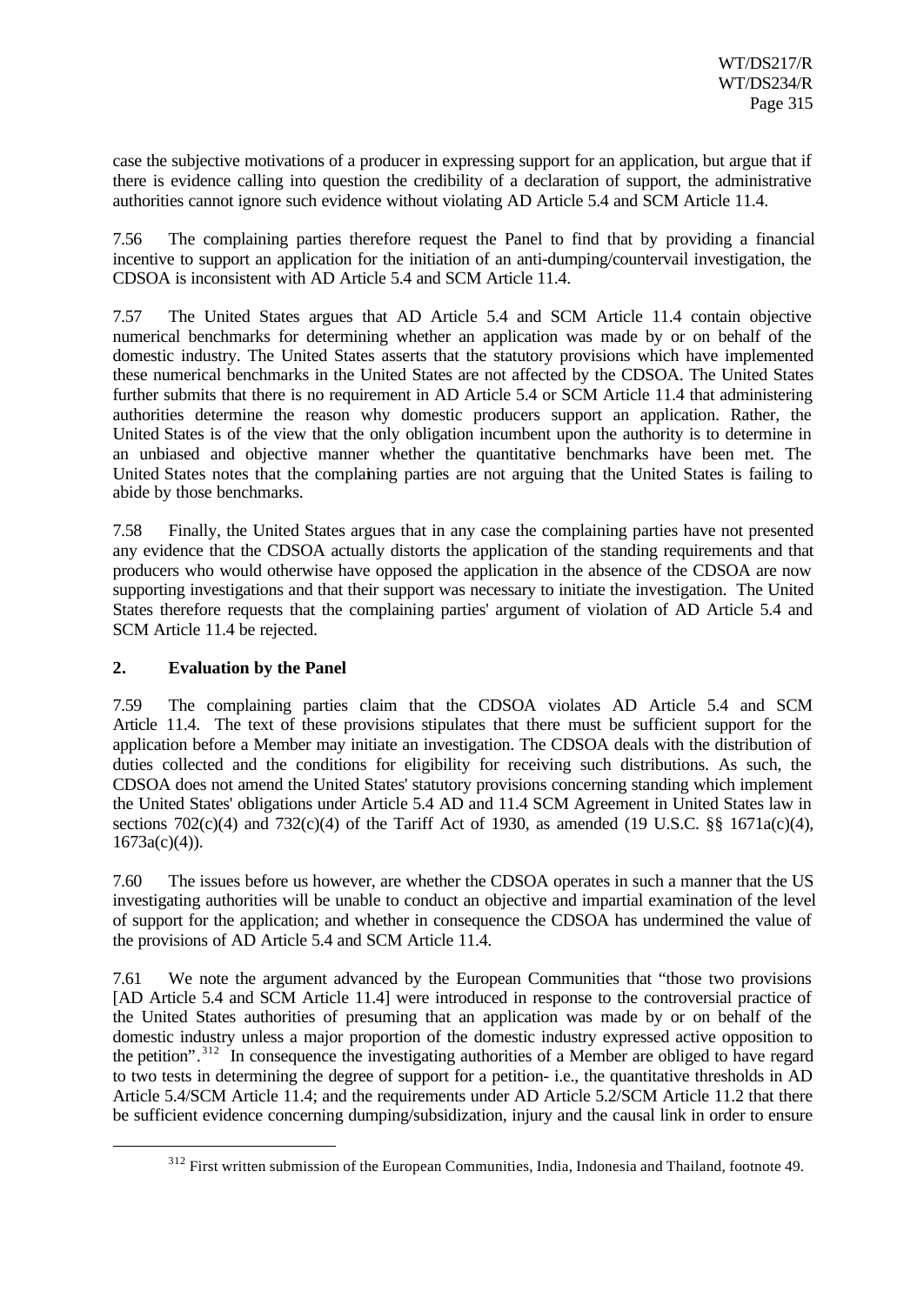case the subjective motivations of a producer in expressing support for an application, but argue that if there is evidence calling into question the credibility of a declaration of support, the administrative authorities cannot ignore such evidence without violating AD Article 5.4 and SCM Article 11.4.

7.56 The complaining parties therefore request the Panel to find that by providing a financial incentive to support an application for the initiation of an anti-dumping/countervail investigation, the CDSOA is inconsistent with AD Article 5.4 and SCM Article 11.4.

7.57 The United States argues that AD Article 5.4 and SCM Article 11.4 contain objective numerical benchmarks for determining whether an application was made by or on behalf of the domestic industry. The United States asserts that the statutory provisions which have implemented these numerical benchmarks in the United States are not affected by the CDSOA. The United States further submits that there is no requirement in AD Article 5.4 or SCM Article 11.4 that administering authorities determine the reason why domestic producers support an application. Rather, the United States is of the view that the only obligation incumbent upon the authority is to determine in an unbiased and objective manner whether the quantitative benchmarks have been met. The United States notes that the complaining parties are not arguing that the United States is failing to abide by those benchmarks.

7.58 Finally, the United States argues that in any case the complaining parties have not presented any evidence that the CDSOA actually distorts the application of the standing requirements and that producers who would otherwise have opposed the application in the absence of the CDSOA are now supporting investigations and that their support was necessary to initiate the investigation. The United States therefore requests that the complaining parties' argument of violation of AD Article 5.4 and SCM Article 11.4 be rejected.

# **2. Evaluation by the Panel**

l

7.59 The complaining parties claim that the CDSOA violates AD Article 5.4 and SCM Article 11.4. The text of these provisions stipulates that there must be sufficient support for the application before a Member may initiate an investigation. The CDSOA deals with the distribution of duties collected and the conditions for eligibility for receiving such distributions. As such, the CDSOA does not amend the United States' statutory provisions concerning standing which implement the United States' obligations under Article 5.4 AD and 11.4 SCM Agreement in United States law in sections  $702(c)(4)$  and  $732(c)(4)$  of the Tariff Act of 1930, as amended (19 U.S.C. §§ 1671a(c)(4),  $1673a(c)(4)$ ).

7.60 The issues before us however, are whether the CDSOA operates in such a manner that the US investigating authorities will be unable to conduct an objective and impartial examination of the level of support for the application; and whether in consequence the CDSOA has undermined the value of the provisions of AD Article 5.4 and SCM Article 11.4.

7.61 We note the argument advanced by the European Communities that "those two provisions [AD Article 5.4 and SCM Article 11.4] were introduced in response to the controversial practice of the United States authorities of presuming that an application was made by or on behalf of the domestic industry unless a major proportion of the domestic industry expressed active opposition to the petition".<sup>312</sup> In consequence the investigating authorities of a Member are obliged to have regard to two tests in determining the degree of support for a petition- i.e., the quantitative thresholds in AD Article 5.4/SCM Article 11.4; and the requirements under AD Article 5.2/SCM Article 11.2 that there be sufficient evidence concerning dumping/subsidization, injury and the causal link in order to ensure

<sup>312</sup> First written submission of the European Communities, India, Indonesia and Thailand, footnote 49.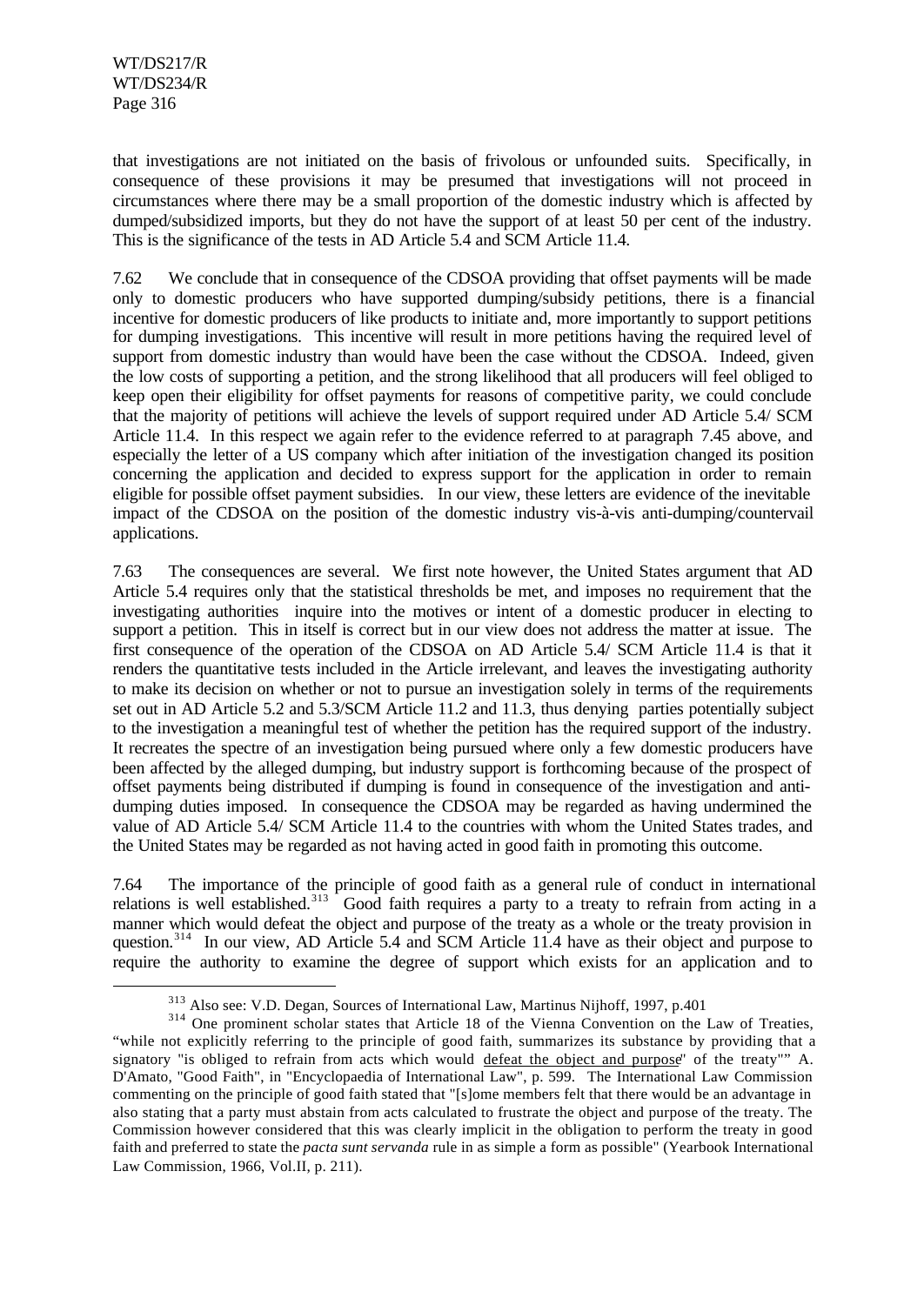l

that investigations are not initiated on the basis of frivolous or unfounded suits. Specifically, in consequence of these provisions it may be presumed that investigations will not proceed in circumstances where there may be a small proportion of the domestic industry which is affected by dumped/subsidized imports, but they do not have the support of at least 50 per cent of the industry. This is the significance of the tests in AD Article 5.4 and SCM Article 11.4.

7.62 We conclude that in consequence of the CDSOA providing that offset payments will be made only to domestic producers who have supported dumping/subsidy petitions, there is a financial incentive for domestic producers of like products to initiate and, more importantly to support petitions for dumping investigations. This incentive will result in more petitions having the required level of support from domestic industry than would have been the case without the CDSOA. Indeed, given the low costs of supporting a petition, and the strong likelihood that all producers will feel obliged to keep open their eligibility for offset payments for reasons of competitive parity, we could conclude that the majority of petitions will achieve the levels of support required under AD Article 5.4/ SCM Article 11.4. In this respect we again refer to the evidence referred to at paragraph 7.45 above, and especially the letter of a US company which after initiation of the investigation changed its position concerning the application and decided to express support for the application in order to remain eligible for possible offset payment subsidies. In our view, these letters are evidence of the inevitable impact of the CDSOA on the position of the domestic industry vis-à-vis anti-dumping/countervail applications.

7.63 The consequences are several. We first note however, the United States argument that AD Article 5.4 requires only that the statistical thresholds be met, and imposes no requirement that the investigating authorities inquire into the motives or intent of a domestic producer in electing to support a petition. This in itself is correct but in our view does not address the matter at issue. The first consequence of the operation of the CDSOA on AD Article 5.4/ SCM Article 11.4 is that it renders the quantitative tests included in the Article irrelevant, and leaves the investigating authority to make its decision on whether or not to pursue an investigation solely in terms of the requirements set out in AD Article 5.2 and 5.3/SCM Article 11.2 and 11.3, thus denying parties potentially subject to the investigation a meaningful test of whether the petition has the required support of the industry. It recreates the spectre of an investigation being pursued where only a few domestic producers have been affected by the alleged dumping, but industry support is forthcoming because of the prospect of offset payments being distributed if dumping is found in consequence of the investigation and antidumping duties imposed. In consequence the CDSOA may be regarded as having undermined the value of AD Article 5.4/ SCM Article 11.4 to the countries with whom the United States trades, and the United States may be regarded as not having acted in good faith in promoting this outcome.

7.64 The importance of the principle of good faith as a general rule of conduct in international relations is well established.<sup>313</sup> Good faith requires a party to a treaty to refrain from acting in a manner which would defeat the object and purpose of the treaty as a whole or the treaty provision in question.<sup>314</sup> In our view, AD Article 5.4 and SCM Article 11.4 have as their object and purpose to require the authority to examine the degree of support which exists for an application and to

<sup>313</sup> Also see: V.D. Degan, Sources of International Law, Martinus Nijhoff, 1997, p.401

<sup>&</sup>lt;sup>314</sup> One prominent scholar states that Article 18 of the Vienna Convention on the Law of Treaties, "while not explicitly referring to the principle of good faith, summarizes its substance by providing that a signatory "is obliged to refrain from acts which would defeat the object and purpose" of the treaty"" A. D'Amato, "Good Faith", in "Encyclopaedia of International Law", p. 599. The International Law Commission commenting on the principle of good faith stated that "[s]ome members felt that there would be an advantage in also stating that a party must abstain from acts calculated to frustrate the object and purpose of the treaty. The Commission however considered that this was clearly implicit in the obligation to perform the treaty in good faith and preferred to state the *pacta sunt servanda* rule in as simple a form as possible" (Yearbook International Law Commission, 1966, Vol.II, p. 211).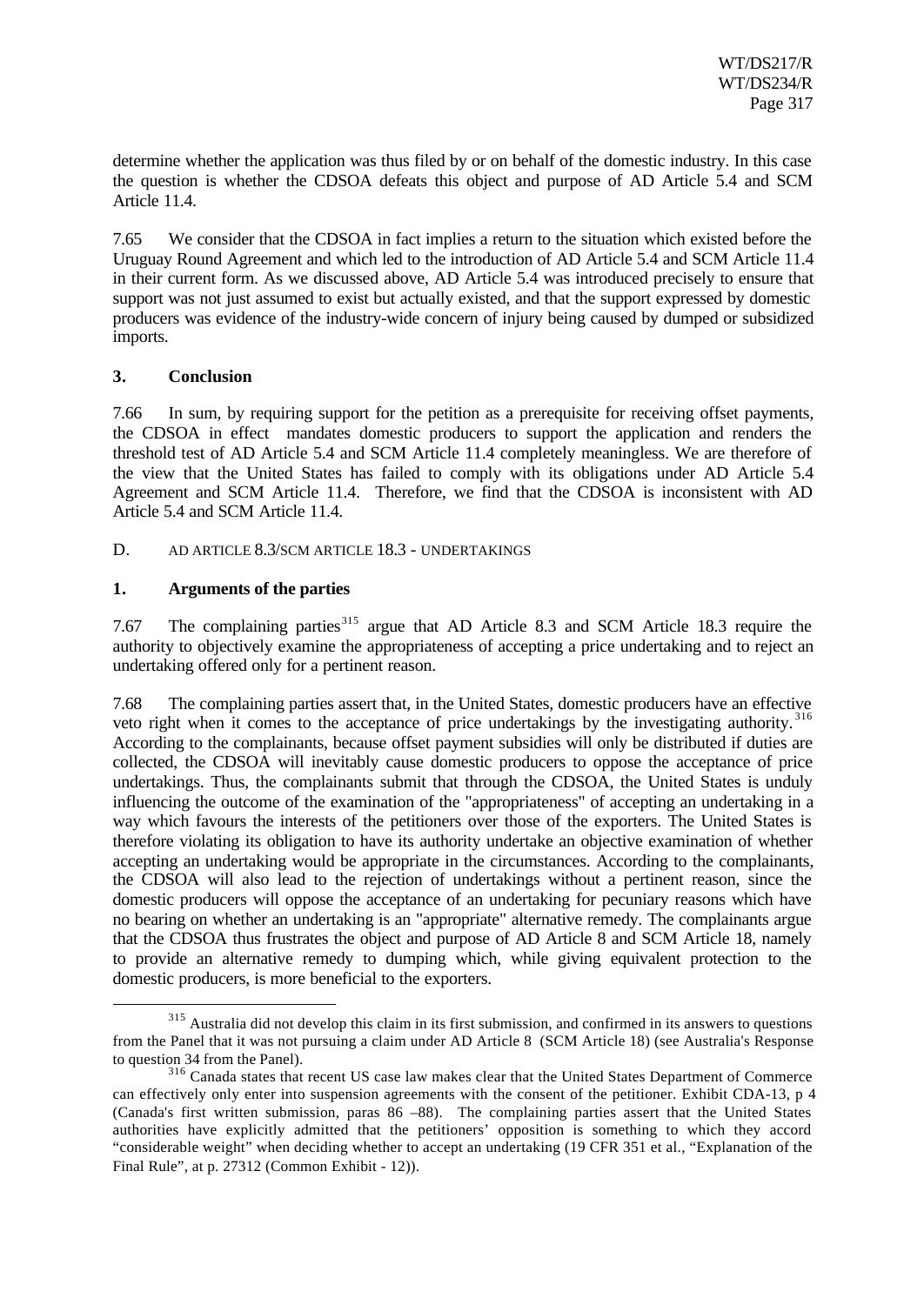determine whether the application was thus filed by or on behalf of the domestic industry. In this case the question is whether the CDSOA defeats this object and purpose of AD Article 5.4 and SCM Article 11.4.

7.65 We consider that the CDSOA in fact implies a return to the situation which existed before the Uruguay Round Agreement and which led to the introduction of AD Article 5.4 and SCM Article 11.4 in their current form. As we discussed above, AD Article 5.4 was introduced precisely to ensure that support was not just assumed to exist but actually existed, and that the support expressed by domestic producers was evidence of the industry-wide concern of injury being caused by dumped or subsidized imports.

# **3. Conclusion**

l

7.66 In sum, by requiring support for the petition as a prerequisite for receiving offset payments, the CDSOA in effect mandates domestic producers to support the application and renders the threshold test of AD Article 5.4 and SCM Article 11.4 completely meaningless. We are therefore of the view that the United States has failed to comply with its obligations under AD Article 5.4 Agreement and SCM Article 11.4. Therefore, we find that the CDSOA is inconsistent with AD Article 5.4 and SCM Article 11.4.

D. AD ARTICLE 8.3/SCM ARTICLE 18.3 - UNDERTAKINGS

# **1. Arguments of the parties**

7.67 The complaining parties<sup>315</sup> argue that AD Article 8.3 and SCM Article 18.3 require the authority to objectively examine the appropriateness of accepting a price undertaking and to reject an undertaking offered only for a pertinent reason.

7.68 The complaining parties assert that, in the United States, domestic producers have an effective veto right when it comes to the acceptance of price undertakings by the investigating authority. <sup>316</sup> According to the complainants, because offset payment subsidies will only be distributed if duties are collected, the CDSOA will inevitably cause domestic producers to oppose the acceptance of price undertakings. Thus, the complainants submit that through the CDSOA, the United States is unduly influencing the outcome of the examination of the "appropriateness" of accepting an undertaking in a way which favours the interests of the petitioners over those of the exporters. The United States is therefore violating its obligation to have its authority undertake an objective examination of whether accepting an undertaking would be appropriate in the circumstances. According to the complainants, the CDSOA will also lead to the rejection of undertakings without a pertinent reason, since the domestic producers will oppose the acceptance of an undertaking for pecuniary reasons which have no bearing on whether an undertaking is an "appropriate" alternative remedy. The complainants argue that the CDSOA thus frustrates the object and purpose of AD Article 8 and SCM Article 18, namely to provide an alternative remedy to dumping which, while giving equivalent protection to the domestic producers, is more beneficial to the exporters.

<sup>&</sup>lt;sup>315</sup> Australia did not develop this claim in its first submission, and confirmed in its answers to questions from the Panel that it was not pursuing a claim under AD Article 8 (SCM Article 18) (see Australia's Response to question 34 from the Panel).

<sup>&</sup>lt;sup>316</sup> Canada states that recent US case law makes clear that the United States Department of Commerce can effectively only enter into suspension agreements with the consent of the petitioner. Exhibit CDA-13, p 4 (Canada's first written submission, paras 86 –88). The complaining parties assert that the United States authorities have explicitly admitted that the petitioners' opposition is something to which they accord "considerable weight" when deciding whether to accept an undertaking (19 CFR 351 et al., "Explanation of the Final Rule", at p. 27312 (Common Exhibit - 12)).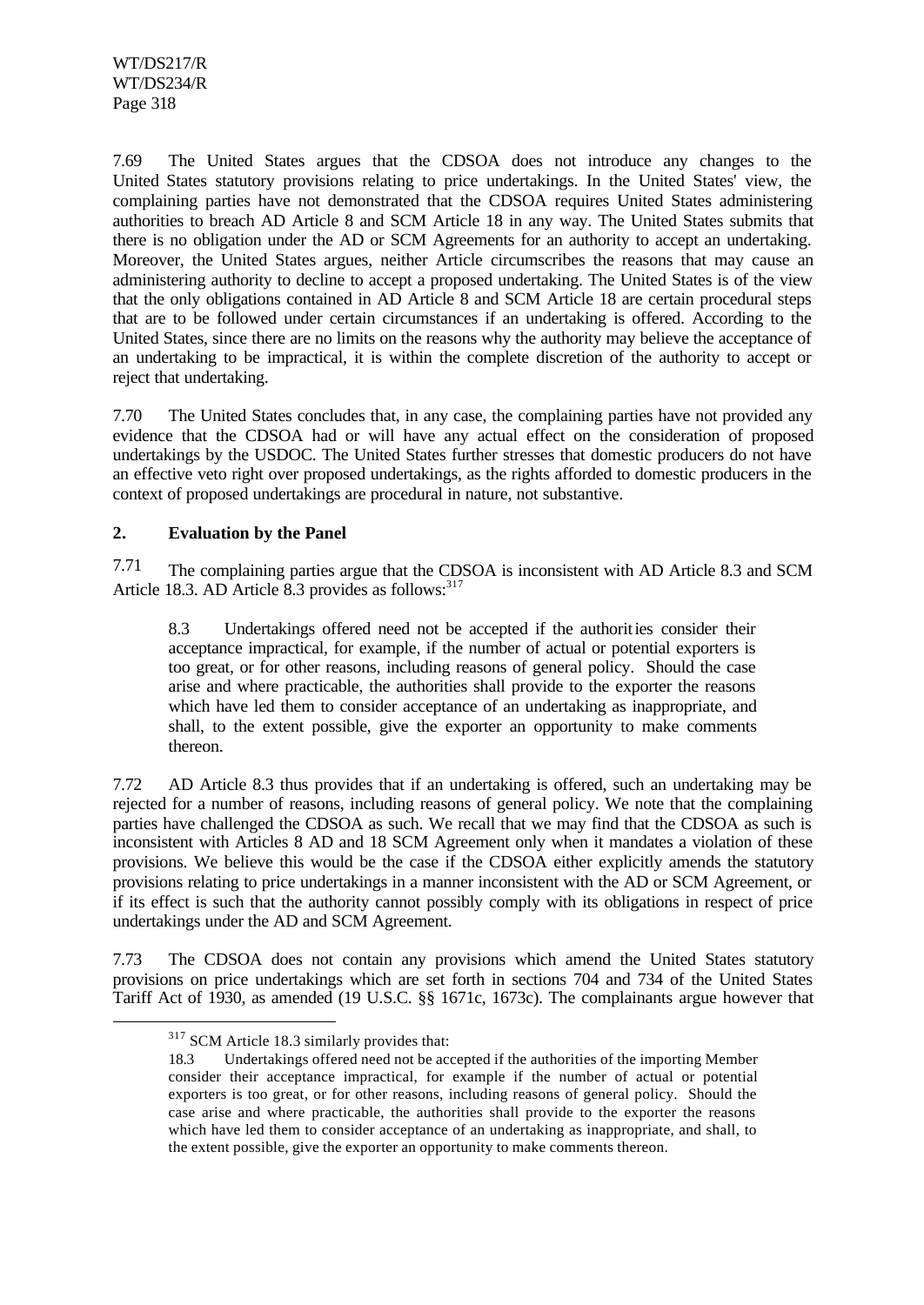7.69 The United States argues that the CDSOA does not introduce any changes to the United States statutory provisions relating to price undertakings. In the United States' view, the complaining parties have not demonstrated that the CDSOA requires United States administering authorities to breach AD Article 8 and SCM Article 18 in any way. The United States submits that there is no obligation under the AD or SCM Agreements for an authority to accept an undertaking. Moreover, the United States argues, neither Article circumscribes the reasons that may cause an administering authority to decline to accept a proposed undertaking. The United States is of the view that the only obligations contained in AD Article 8 and SCM Article 18 are certain procedural steps that are to be followed under certain circumstances if an undertaking is offered. According to the United States, since there are no limits on the reasons why the authority may believe the acceptance of an undertaking to be impractical, it is within the complete discretion of the authority to accept or reject that undertaking.

7.70 The United States concludes that, in any case, the complaining parties have not provided any evidence that the CDSOA had or will have any actual effect on the consideration of proposed undertakings by the USDOC. The United States further stresses that domestic producers do not have an effective veto right over proposed undertakings, as the rights afforded to domestic producers in the context of proposed undertakings are procedural in nature, not substantive.

# **2. Evaluation by the Panel**

7.71 The complaining parties argue that the CDSOA is inconsistent with AD Article 8.3 and SCM Article 18.3. AD Article 8.3 provides as follows:  $317$ 

8.3 Undertakings offered need not be accepted if the authorities consider their acceptance impractical, for example, if the number of actual or potential exporters is too great, or for other reasons, including reasons of general policy. Should the case arise and where practicable, the authorities shall provide to the exporter the reasons which have led them to consider acceptance of an undertaking as inappropriate, and shall, to the extent possible, give the exporter an opportunity to make comments thereon.

7.72 AD Article 8.3 thus provides that if an undertaking is offered, such an undertaking may be rejected for a number of reasons, including reasons of general policy. We note that the complaining parties have challenged the CDSOA as such. We recall that we may find that the CDSOA as such is inconsistent with Articles 8 AD and 18 SCM Agreement only when it mandates a violation of these provisions. We believe this would be the case if the CDSOA either explicitly amends the statutory provisions relating to price undertakings in a manner inconsistent with the AD or SCM Agreement, or if its effect is such that the authority cannot possibly comply with its obligations in respect of price undertakings under the AD and SCM Agreement.

7.73 The CDSOA does not contain any provisions which amend the United States statutory provisions on price undertakings which are set forth in sections 704 and 734 of the United States Tariff Act of 1930, as amended (19 U.S.C. §§ 1671c, 1673c). The complainants argue however that

<sup>&</sup>lt;sup>317</sup> SCM Article 18.3 similarly provides that:

<sup>18.3</sup> Undertakings offered need not be accepted if the authorities of the importing Member consider their acceptance impractical, for example if the number of actual or potential exporters is too great, or for other reasons, including reasons of general policy. Should the case arise and where practicable, the authorities shall provide to the exporter the reasons which have led them to consider acceptance of an undertaking as inappropriate, and shall, to the extent possible, give the exporter an opportunity to make comments thereon.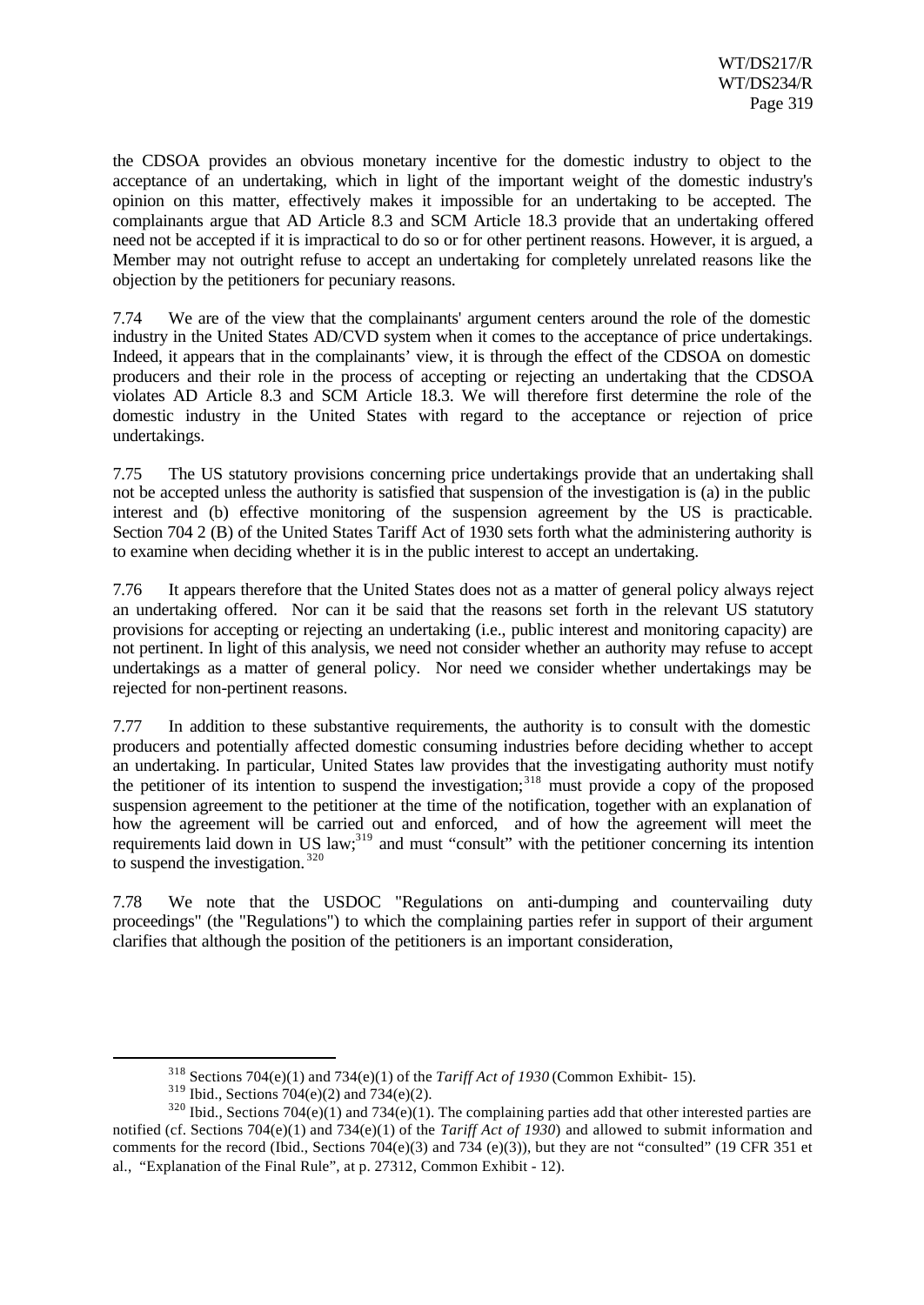the CDSOA provides an obvious monetary incentive for the domestic industry to object to the acceptance of an undertaking, which in light of the important weight of the domestic industry's opinion on this matter, effectively makes it impossible for an undertaking to be accepted. The complainants argue that AD Article 8.3 and SCM Article 18.3 provide that an undertaking offered need not be accepted if it is impractical to do so or for other pertinent reasons. However, it is argued, a Member may not outright refuse to accept an undertaking for completely unrelated reasons like the objection by the petitioners for pecuniary reasons.

7.74 We are of the view that the complainants' argument centers around the role of the domestic industry in the United States AD/CVD system when it comes to the acceptance of price undertakings. Indeed, it appears that in the complainants' view, it is through the effect of the CDSOA on domestic producers and their role in the process of accepting or rejecting an undertaking that the CDSOA violates AD Article 8.3 and SCM Article 18.3. We will therefore first determine the role of the domestic industry in the United States with regard to the acceptance or rejection of price undertakings.

7.75 The US statutory provisions concerning price undertakings provide that an undertaking shall not be accepted unless the authority is satisfied that suspension of the investigation is (a) in the public interest and (b) effective monitoring of the suspension agreement by the US is practicable. Section 704 2 (B) of the United States Tariff Act of 1930 sets forth what the administering authority is to examine when deciding whether it is in the public interest to accept an undertaking.

7.76 It appears therefore that the United States does not as a matter of general policy always reject an undertaking offered. Nor can it be said that the reasons set forth in the relevant US statutory provisions for accepting or rejecting an undertaking (i.e., public interest and monitoring capacity) are not pertinent. In light of this analysis, we need not consider whether an authority may refuse to accept undertakings as a matter of general policy. Nor need we consider whether undertakings may be rejected for non-pertinent reasons.

7.77 In addition to these substantive requirements, the authority is to consult with the domestic producers and potentially affected domestic consuming industries before deciding whether to accept an undertaking. In particular, United States law provides that the investigating authority must notify the petitioner of its intention to suspend the investigation;<sup>318</sup> must provide a copy of the proposed suspension agreement to the petitioner at the time of the notification, together with an explanation of how the agreement will be carried out and enforced, and of how the agreement will meet the requirements laid down in US law;<sup>319</sup> and must "consult" with the petitioner concerning its intention to suspend the investigation.  $320$ 

7.78 We note that the USDOC "Regulations on anti-dumping and countervailing duty proceedings" (the "Regulations") to which the complaining parties refer in support of their argument clarifies that although the position of the petitioners is an important consideration,

<sup>318</sup> Sections 704(e)(1) and 734(e)(1) of the *Tariff Act of 1930* (Common Exhibit- 15).

 $319$  Ibid., Sections  $704(e)(2)$  and  $734(e)(2)$ .

<sup>&</sup>lt;sup>320</sup> Ibid., Sections 704(e)(1) and 734(e)(1). The complaining parties add that other interested parties are notified (cf. Sections 704(e)(1) and 734(e)(1) of the *Tariff Act of 1930*) and allowed to submit information and comments for the record (Ibid., Sections 704(e)(3) and 734 (e)(3)), but they are not "consulted" (19 CFR 351 et al., "Explanation of the Final Rule", at p. 27312, Common Exhibit - 12).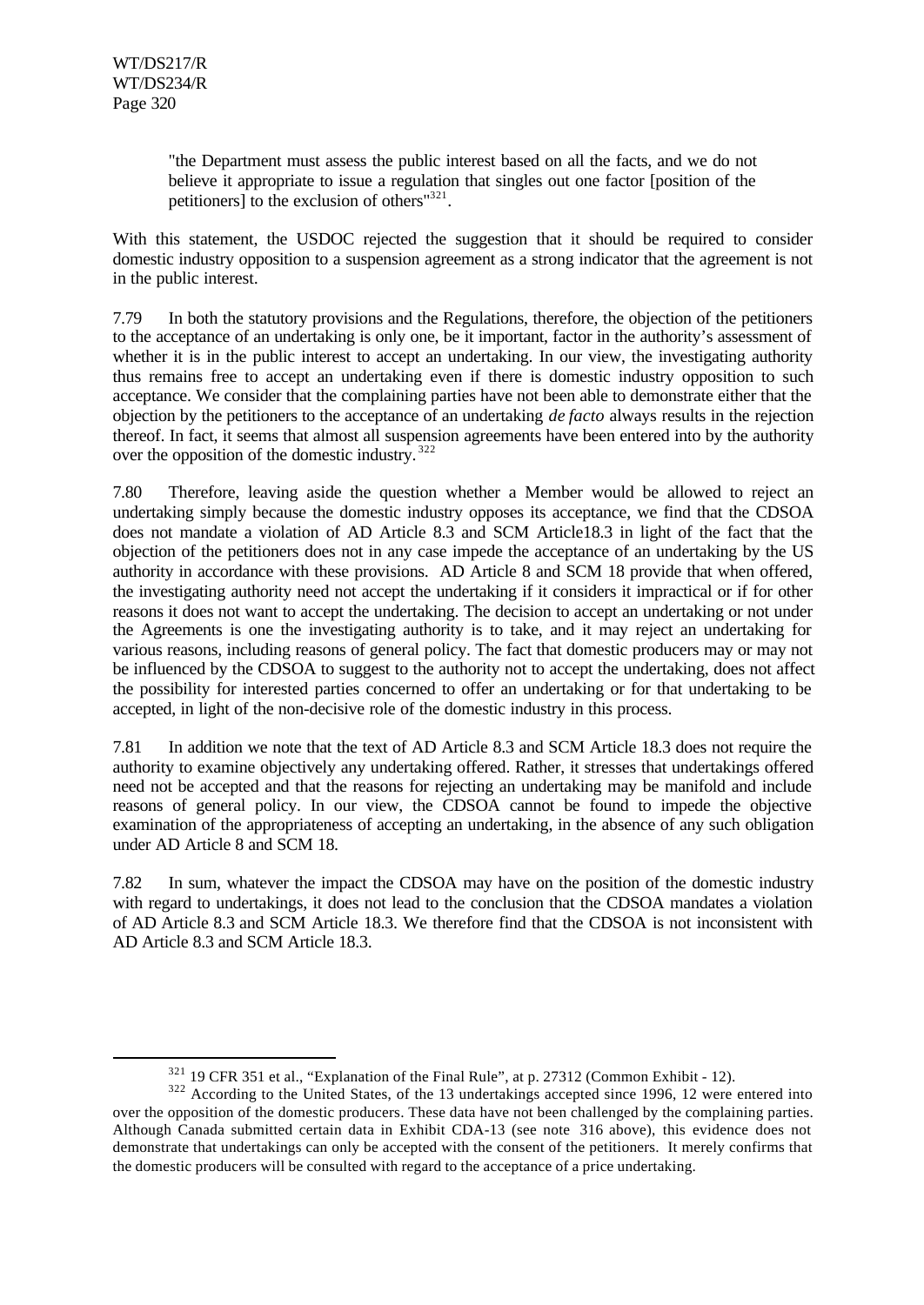l

"the Department must assess the public interest based on all the facts, and we do not believe it appropriate to issue a regulation that singles out one factor [position of the petitioners] to the exclusion of others"<sup>321</sup>.

With this statement, the USDOC rejected the suggestion that it should be required to consider domestic industry opposition to a suspension agreement as a strong indicator that the agreement is not in the public interest.

7.79 In both the statutory provisions and the Regulations, therefore, the objection of the petitioners to the acceptance of an undertaking is only one, be it important, factor in the authority's assessment of whether it is in the public interest to accept an undertaking. In our view, the investigating authority thus remains free to accept an undertaking even if there is domestic industry opposition to such acceptance. We consider that the complaining parties have not been able to demonstrate either that the objection by the petitioners to the acceptance of an undertaking *de facto* always results in the rejection thereof. In fact, it seems that almost all suspension agreements have been entered into by the authority over the opposition of the domestic industry. <sup>322</sup>

7.80 Therefore, leaving aside the question whether a Member would be allowed to reject an undertaking simply because the domestic industry opposes its acceptance, we find that the CDSOA does not mandate a violation of AD Article 8.3 and SCM Article18.3 in light of the fact that the objection of the petitioners does not in any case impede the acceptance of an undertaking by the US authority in accordance with these provisions. AD Article 8 and SCM 18 provide that when offered, the investigating authority need not accept the undertaking if it considers it impractical or if for other reasons it does not want to accept the undertaking. The decision to accept an undertaking or not under the Agreements is one the investigating authority is to take, and it may reject an undertaking for various reasons, including reasons of general policy. The fact that domestic producers may or may not be influenced by the CDSOA to suggest to the authority not to accept the undertaking, does not affect the possibility for interested parties concerned to offer an undertaking or for that undertaking to be accepted, in light of the non-decisive role of the domestic industry in this process.

7.81 In addition we note that the text of AD Article 8.3 and SCM Article 18.3 does not require the authority to examine objectively any undertaking offered. Rather, it stresses that undertakings offered need not be accepted and that the reasons for rejecting an undertaking may be manifold and include reasons of general policy. In our view, the CDSOA cannot be found to impede the objective examination of the appropriateness of accepting an undertaking, in the absence of any such obligation under AD Article 8 and SCM 18.

7.82 In sum, whatever the impact the CDSOA may have on the position of the domestic industry with regard to undertakings, it does not lead to the conclusion that the CDSOA mandates a violation of AD Article 8.3 and SCM Article 18.3. We therefore find that the CDSOA is not inconsistent with AD Article 8.3 and SCM Article 18.3.

<sup>&</sup>lt;sup>321</sup> 19 CFR 351 et al., "Explanation of the Final Rule", at p. 27312 (Common Exhibit - 12).

<sup>&</sup>lt;sup>322</sup> According to the United States, of the 13 undertakings accepted since 1996, 12 were entered into over the opposition of the domestic producers. These data have not been challenged by the complaining parties. Although Canada submitted certain data in Exhibit CDA-13 (see note 316 above), this evidence does not demonstrate that undertakings can only be accepted with the consent of the petitioners. It merely confirms that the domestic producers will be consulted with regard to the acceptance of a price undertaking.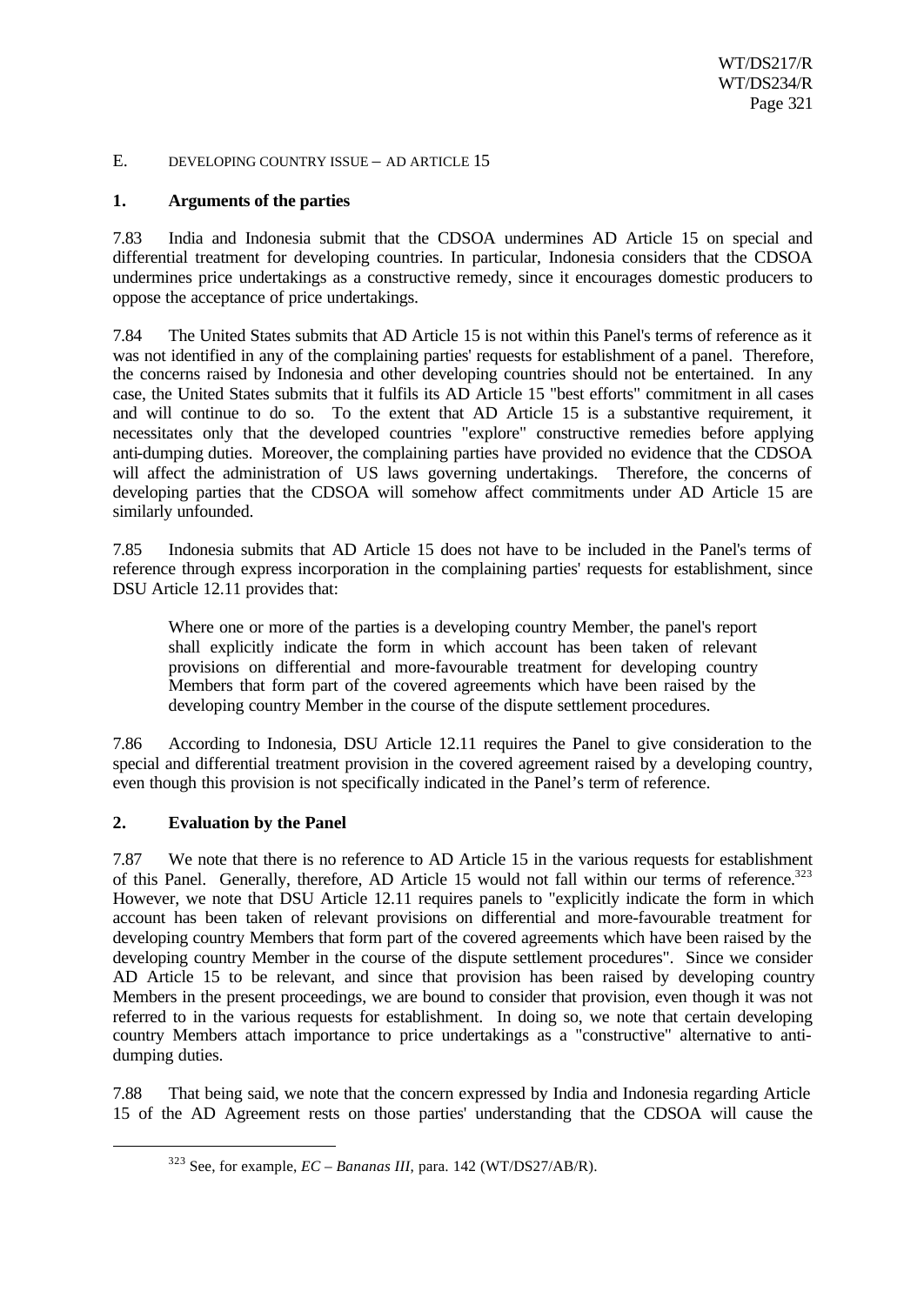#### E. DEVELOPING COUNTRY ISSUE – AD ARTICLE 15

#### **1. Arguments of the parties**

7.83 India and Indonesia submit that the CDSOA undermines AD Article 15 on special and differential treatment for developing countries. In particular, Indonesia considers that the CDSOA undermines price undertakings as a constructive remedy, since it encourages domestic producers to oppose the acceptance of price undertakings.

7.84 The United States submits that AD Article 15 is not within this Panel's terms of reference as it was not identified in any of the complaining parties' requests for establishment of a panel. Therefore, the concerns raised by Indonesia and other developing countries should not be entertained. In any case, the United States submits that it fulfils its AD Article 15 "best efforts" commitment in all cases and will continue to do so. To the extent that AD Article 15 is a substantive requirement, it necessitates only that the developed countries "explore" constructive remedies before applying anti-dumping duties. Moreover, the complaining parties have provided no evidence that the CDSOA will affect the administration of US laws governing undertakings. Therefore, the concerns of developing parties that the CDSOA will somehow affect commitments under AD Article 15 are similarly unfounded.

7.85 Indonesia submits that AD Article 15 does not have to be included in the Panel's terms of reference through express incorporation in the complaining parties' requests for establishment, since DSU Article 12.11 provides that:

Where one or more of the parties is a developing country Member, the panel's report shall explicitly indicate the form in which account has been taken of relevant provisions on differential and more-favourable treatment for developing country Members that form part of the covered agreements which have been raised by the developing country Member in the course of the dispute settlement procedures.

7.86 According to Indonesia, DSU Article 12.11 requires the Panel to give consideration to the special and differential treatment provision in the covered agreement raised by a developing country, even though this provision is not specifically indicated in the Panel's term of reference.

#### **2. Evaluation by the Panel**

l

7.87 We note that there is no reference to AD Article 15 in the various requests for establishment of this Panel. Generally, therefore, AD Article 15 would not fall within our terms of reference.<sup>323</sup> However, we note that DSU Article 12.11 requires panels to "explicitly indicate the form in which account has been taken of relevant provisions on differential and more-favourable treatment for developing country Members that form part of the covered agreements which have been raised by the developing country Member in the course of the dispute settlement procedures". Since we consider AD Article 15 to be relevant, and since that provision has been raised by developing country Members in the present proceedings, we are bound to consider that provision, even though it was not referred to in the various requests for establishment. In doing so, we note that certain developing country Members attach importance to price undertakings as a "constructive" alternative to antidumping duties.

7.88 That being said, we note that the concern expressed by India and Indonesia regarding Article 15 of the AD Agreement rests on those parties' understanding that the CDSOA will cause the

<sup>323</sup> See, for example, *EC – Bananas III*, para. 142 (WT/DS27/AB/R).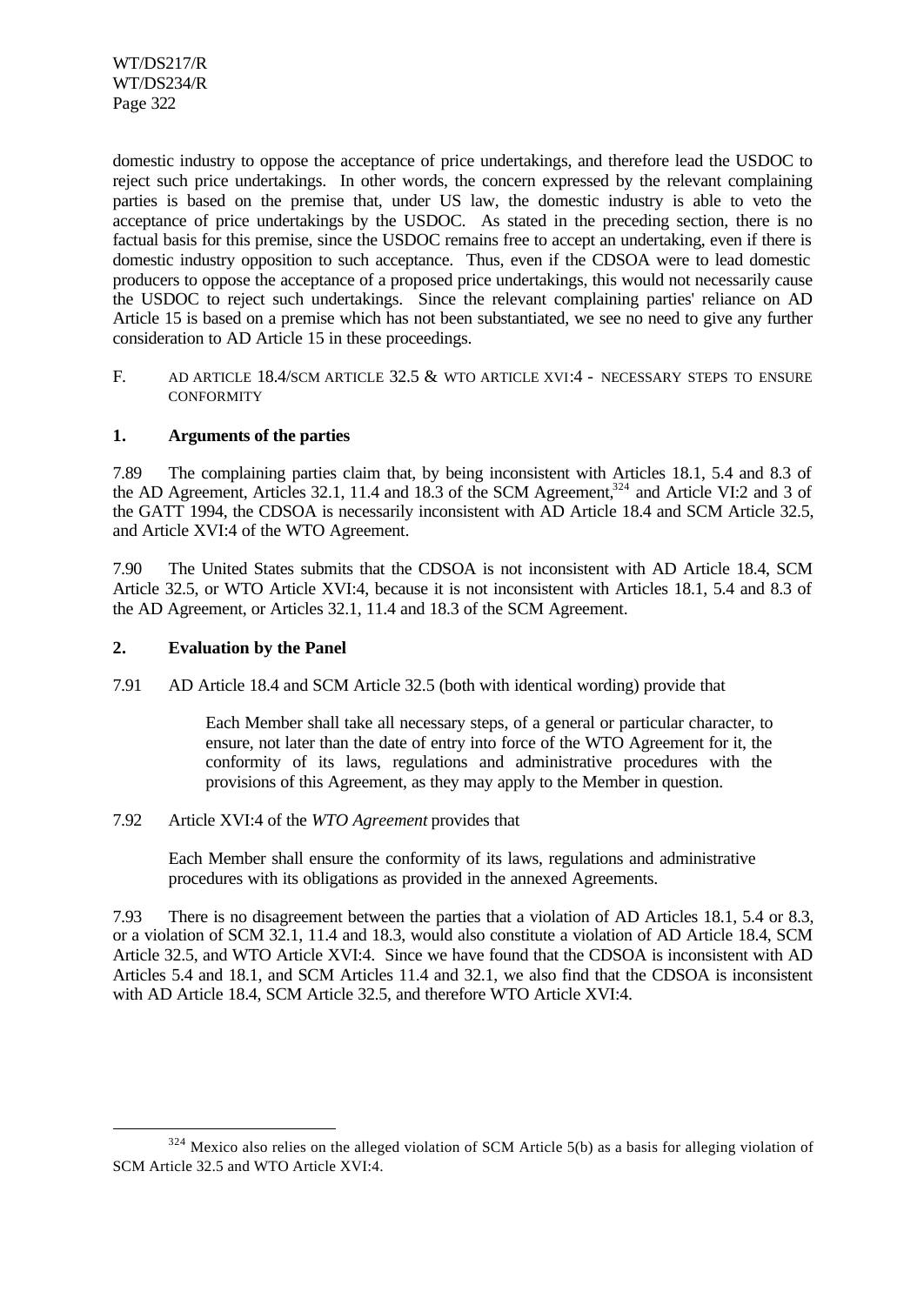domestic industry to oppose the acceptance of price undertakings, and therefore lead the USDOC to reject such price undertakings. In other words, the concern expressed by the relevant complaining parties is based on the premise that, under US law, the domestic industry is able to veto the acceptance of price undertakings by the USDOC. As stated in the preceding section, there is no factual basis for this premise, since the USDOC remains free to accept an undertaking, even if there is domestic industry opposition to such acceptance. Thus, even if the CDSOA were to lead domestic producers to oppose the acceptance of a proposed price undertakings, this would not necessarily cause the USDOC to reject such undertakings. Since the relevant complaining parties' reliance on AD Article 15 is based on a premise which has not been substantiated, we see no need to give any further consideration to AD Article 15 in these proceedings.

F. AD ARTICLE 18.4/SCM ARTICLE 32.5 & WTO ARTICLE XVI:4 - NECESSARY STEPS TO ENSURE **CONFORMITY** 

## **1. Arguments of the parties**

7.89 The complaining parties claim that, by being inconsistent with Articles 18.1, 5.4 and 8.3 of the AD Agreement, Articles  $32.1$ , 11.4 and 18.3 of the SCM Agreement, $324$  and Article VI:2 and 3 of the GATT 1994, the CDSOA is necessarily inconsistent with AD Article 18.4 and SCM Article 32.5, and Article XVI:4 of the WTO Agreement.

7.90 The United States submits that the CDSOA is not inconsistent with AD Article 18.4, SCM Article 32.5, or WTO Article XVI:4, because it is not inconsistent with Articles 18.1, 5.4 and 8.3 of the AD Agreement, or Articles 32.1, 11.4 and 18.3 of the SCM Agreement.

## **2. Evaluation by the Panel**

l

7.91 AD Article 18.4 and SCM Article 32.5 (both with identical wording) provide that

Each Member shall take all necessary steps, of a general or particular character, to ensure, not later than the date of entry into force of the WTO Agreement for it, the conformity of its laws, regulations and administrative procedures with the provisions of this Agreement, as they may apply to the Member in question.

7.92 Article XVI:4 of the *WTO Agreement* provides that

Each Member shall ensure the conformity of its laws, regulations and administrative procedures with its obligations as provided in the annexed Agreements.

7.93 There is no disagreement between the parties that a violation of AD Articles 18.1, 5.4 or 8.3, or a violation of SCM 32.1, 11.4 and 18.3, would also constitute a violation of AD Article 18.4, SCM Article 32.5, and WTO Article XVI:4. Since we have found that the CDSOA is inconsistent with AD Articles 5.4 and 18.1, and SCM Articles 11.4 and 32.1, we also find that the CDSOA is inconsistent with AD Article 18.4, SCM Article 32.5, and therefore WTO Article XVI:4.

<sup>&</sup>lt;sup>324</sup> Mexico also relies on the alleged violation of SCM Article 5(b) as a basis for alleging violation of SCM Article 32.5 and WTO Article XVI:4.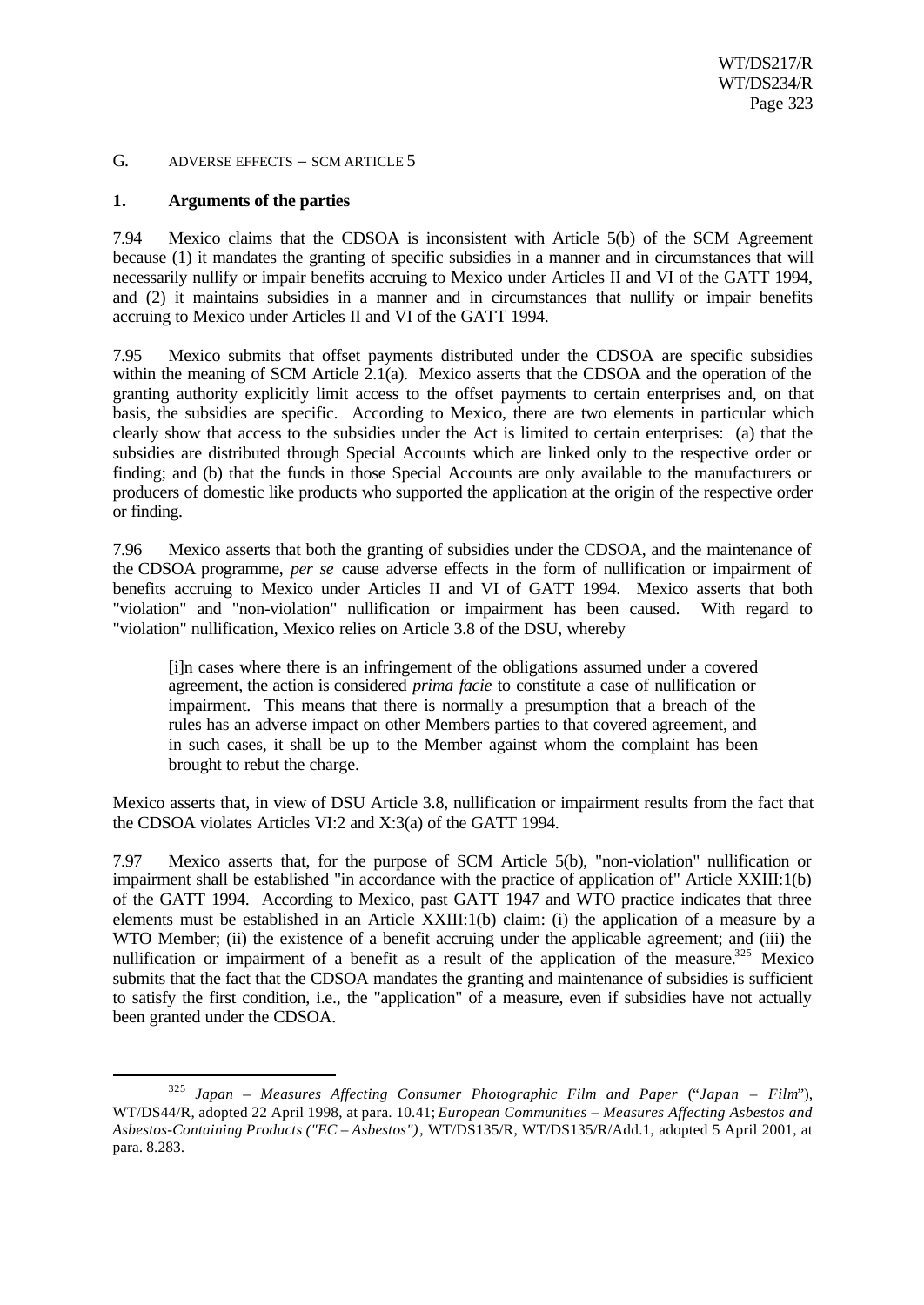#### G. ADVERSE EFFECTS – SCM ARTICLE 5

#### **1. Arguments of the parties**

l

7.94 Mexico claims that the CDSOA is inconsistent with Article 5(b) of the SCM Agreement because (1) it mandates the granting of specific subsidies in a manner and in circumstances that will necessarily nullify or impair benefits accruing to Mexico under Articles II and VI of the GATT 1994, and (2) it maintains subsidies in a manner and in circumstances that nullify or impair benefits accruing to Mexico under Articles II and VI of the GATT 1994.

7.95 Mexico submits that offset payments distributed under the CDSOA are specific subsidies within the meaning of SCM Article 2.1(a). Mexico asserts that the CDSOA and the operation of the granting authority explicitly limit access to the offset payments to certain enterprises and, on that basis, the subsidies are specific. According to Mexico, there are two elements in particular which clearly show that access to the subsidies under the Act is limited to certain enterprises: (a) that the subsidies are distributed through Special Accounts which are linked only to the respective order or finding; and (b) that the funds in those Special Accounts are only available to the manufacturers or producers of domestic like products who supported the application at the origin of the respective order or finding.

7.96 Mexico asserts that both the granting of subsidies under the CDSOA, and the maintenance of the CDSOA programme, *per se* cause adverse effects in the form of nullification or impairment of benefits accruing to Mexico under Articles II and VI of GATT 1994. Mexico asserts that both "violation" and "non-violation" nullification or impairment has been caused. With regard to "violation" nullification, Mexico relies on Article 3.8 of the DSU, whereby

[i]n cases where there is an infringement of the obligations assumed under a covered agreement, the action is considered *prima facie* to constitute a case of nullification or impairment. This means that there is normally a presumption that a breach of the rules has an adverse impact on other Members parties to that covered agreement, and in such cases, it shall be up to the Member against whom the complaint has been brought to rebut the charge.

Mexico asserts that, in view of DSU Article 3.8, nullification or impairment results from the fact that the CDSOA violates Articles VI:2 and X:3(a) of the GATT 1994.

7.97 Mexico asserts that, for the purpose of SCM Article 5(b), "non-violation" nullification or impairment shall be established "in accordance with the practice of application of" Article XXIII:1(b) of the GATT 1994. According to Mexico, past GATT 1947 and WTO practice indicates that three elements must be established in an Article XXIII:1(b) claim: (i) the application of a measure by a WTO Member; (ii) the existence of a benefit accruing under the applicable agreement; and (iii) the nullification or impairment of a benefit as a result of the application of the measure.<sup>325</sup> Mexico submits that the fact that the CDSOA mandates the granting and maintenance of subsidies is sufficient to satisfy the first condition, i.e., the "application" of a measure, even if subsidies have not actually been granted under the CDSOA.

<sup>325</sup> *Japan – Measures Affecting Consumer Photographic Film and Paper* ("*Japan – Film*"), WT/DS44/R, adopted 22 April 1998, at para. 10.41; *European Communities – Measures Affecting Asbestos and Asbestos-Containing Products ("EC – Asbestos")*, WT/DS135/R, WT/DS135/R/Add.1, adopted 5 April 2001, at para. 8.283.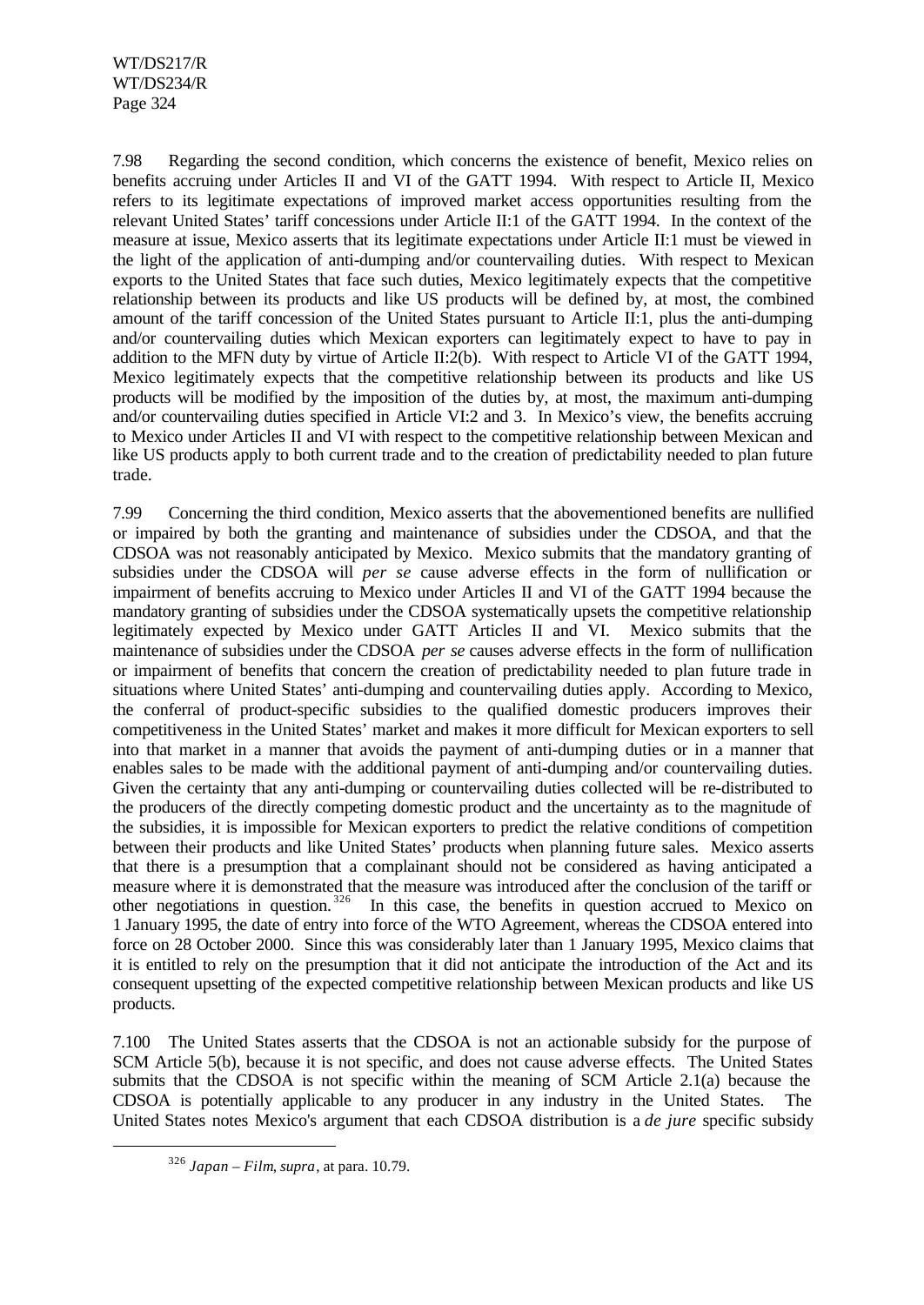7.98 Regarding the second condition, which concerns the existence of benefit, Mexico relies on benefits accruing under Articles II and VI of the GATT 1994. With respect to Article II, Mexico refers to its legitimate expectations of improved market access opportunities resulting from the relevant United States' tariff concessions under Article II:1 of the GATT 1994. In the context of the measure at issue, Mexico asserts that its legitimate expectations under Article II:1 must be viewed in the light of the application of anti-dumping and/or countervailing duties. With respect to Mexican exports to the United States that face such duties, Mexico legitimately expects that the competitive relationship between its products and like US products will be defined by, at most, the combined amount of the tariff concession of the United States pursuant to Article II:1, plus the anti-dumping and/or countervailing duties which Mexican exporters can legitimately expect to have to pay in addition to the MFN duty by virtue of Article II:2(b). With respect to Article VI of the GATT 1994, Mexico legitimately expects that the competitive relationship between its products and like US products will be modified by the imposition of the duties by, at most, the maximum anti-dumping and/or countervailing duties specified in Article VI:2 and 3. In Mexico's view, the benefits accruing to Mexico under Articles II and VI with respect to the competitive relationship between Mexican and like US products apply to both current trade and to the creation of predictability needed to plan future trade.

7.99 Concerning the third condition, Mexico asserts that the abovementioned benefits are nullified or impaired by both the granting and maintenance of subsidies under the CDSOA, and that the CDSOA was not reasonably anticipated by Mexico. Mexico submits that the mandatory granting of subsidies under the CDSOA will *per se* cause adverse effects in the form of nullification or impairment of benefits accruing to Mexico under Articles II and VI of the GATT 1994 because the mandatory granting of subsidies under the CDSOA systematically upsets the competitive relationship legitimately expected by Mexico under GATT Articles II and VI. Mexico submits that the maintenance of subsidies under the CDSOA *per se* causes adverse effects in the form of nullification or impairment of benefits that concern the creation of predictability needed to plan future trade in situations where United States' anti-dumping and countervailing duties apply. According to Mexico, the conferral of product-specific subsidies to the qualified domestic producers improves their competitiveness in the United States' market and makes it more difficult for Mexican exporters to sell into that market in a manner that avoids the payment of anti-dumping duties or in a manner that enables sales to be made with the additional payment of anti-dumping and/or countervailing duties. Given the certainty that any anti-dumping or countervailing duties collected will be re-distributed to the producers of the directly competing domestic product and the uncertainty as to the magnitude of the subsidies, it is impossible for Mexican exporters to predict the relative conditions of competition between their products and like United States' products when planning future sales. Mexico asserts that there is a presumption that a complainant should not be considered as having anticipated a measure where it is demonstrated that the measure was introduced after the conclusion of the tariff or other negotiations in question.<sup>326</sup> In this case, the benefits in question accrued to Mexico on 1 January 1995, the date of entry into force of the WTO Agreement, whereas the CDSOA entered into force on 28 October 2000. Since this was considerably later than 1 January 1995, Mexico claims that it is entitled to rely on the presumption that it did not anticipate the introduction of the Act and its consequent upsetting of the expected competitive relationship between Mexican products and like US products.

7.100 The United States asserts that the CDSOA is not an actionable subsidy for the purpose of SCM Article 5(b), because it is not specific, and does not cause adverse effects. The United States submits that the CDSOA is not specific within the meaning of SCM Article 2.1(a) because the CDSOA is potentially applicable to any producer in any industry in the United States. United States notes Mexico's argument that each CDSOA distribution is a *de jure* specific subsidy

<sup>326</sup> *Japan – Film*, *supra*, at para. 10.79.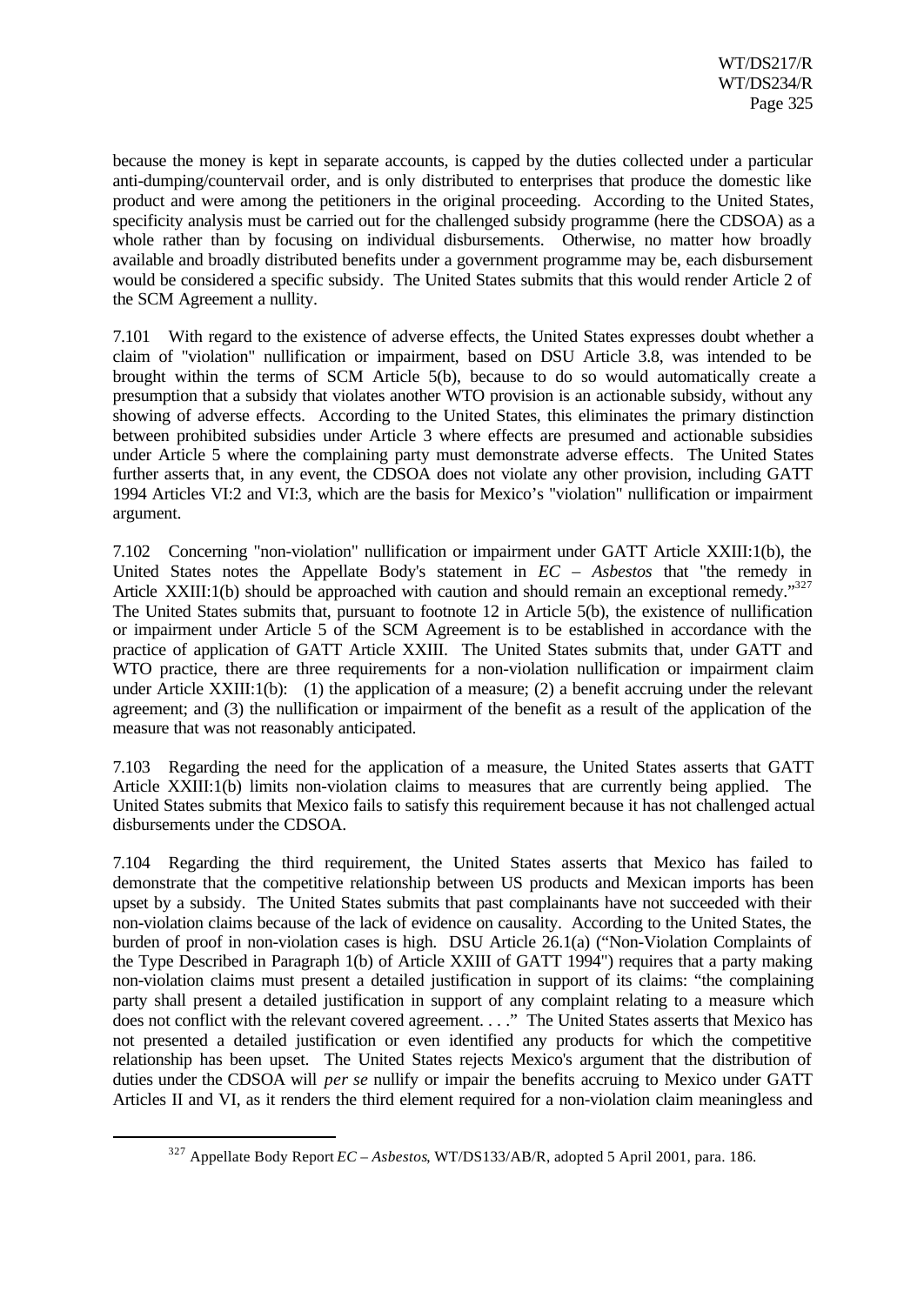because the money is kept in separate accounts, is capped by the duties collected under a particular anti-dumping/countervail order, and is only distributed to enterprises that produce the domestic like product and were among the petitioners in the original proceeding. According to the United States, specificity analysis must be carried out for the challenged subsidy programme (here the CDSOA) as a whole rather than by focusing on individual disbursements. Otherwise, no matter how broadly available and broadly distributed benefits under a government programme may be, each disbursement would be considered a specific subsidy. The United States submits that this would render Article 2 of the SCM Agreement a nullity.

7.101 With regard to the existence of adverse effects, the United States expresses doubt whether a claim of "violation" nullification or impairment, based on DSU Article 3.8, was intended to be brought within the terms of SCM Article 5(b), because to do so would automatically create a presumption that a subsidy that violates another WTO provision is an actionable subsidy, without any showing of adverse effects. According to the United States, this eliminates the primary distinction between prohibited subsidies under Article 3 where effects are presumed and actionable subsidies under Article 5 where the complaining party must demonstrate adverse effects. The United States further asserts that, in any event, the CDSOA does not violate any other provision, including GATT 1994 Articles VI:2 and VI:3, which are the basis for Mexico's "violation" nullification or impairment argument.

7.102 Concerning "non-violation" nullification or impairment under GATT Article XXIII:1(b), the United States notes the Appellate Body's statement in *EC – Asbestos* that "the remedy in Article XXIII:1(b) should be approached with caution and should remain an exceptional remedy."<sup>327</sup> The United States submits that, pursuant to footnote 12 in Article 5(b), the existence of nullification or impairment under Article 5 of the SCM Agreement is to be established in accordance with the practice of application of GATT Article XXIII. The United States submits that, under GATT and WTO practice, there are three requirements for a non-violation nullification or impairment claim under Article XXIII:1(b): (1) the application of a measure; (2) a benefit accruing under the relevant agreement; and (3) the nullification or impairment of the benefit as a result of the application of the measure that was not reasonably anticipated.

7.103 Regarding the need for the application of a measure, the United States asserts that GATT Article XXIII:1(b) limits non-violation claims to measures that are currently being applied. The United States submits that Mexico fails to satisfy this requirement because it has not challenged actual disbursements under the CDSOA.

7.104 Regarding the third requirement, the United States asserts that Mexico has failed to demonstrate that the competitive relationship between US products and Mexican imports has been upset by a subsidy. The United States submits that past complainants have not succeeded with their non-violation claims because of the lack of evidence on causality. According to the United States, the burden of proof in non-violation cases is high. DSU Article 26.1(a) ("Non-Violation Complaints of the Type Described in Paragraph 1(b) of Article XXIII of GATT 1994") requires that a party making non-violation claims must present a detailed justification in support of its claims: "the complaining party shall present a detailed justification in support of any complaint relating to a measure which does not conflict with the relevant covered agreement. . . ." The United States asserts that Mexico has not presented a detailed justification or even identified any products for which the competitive relationship has been upset. The United States rejects Mexico's argument that the distribution of duties under the CDSOA will *per se* nullify or impair the benefits accruing to Mexico under GATT Articles II and VI, as it renders the third element required for a non-violation claim meaningless and

<sup>327</sup> Appellate Body Report *EC – Asbestos*, WT/DS133/AB/R, adopted 5 April 2001, para. 186.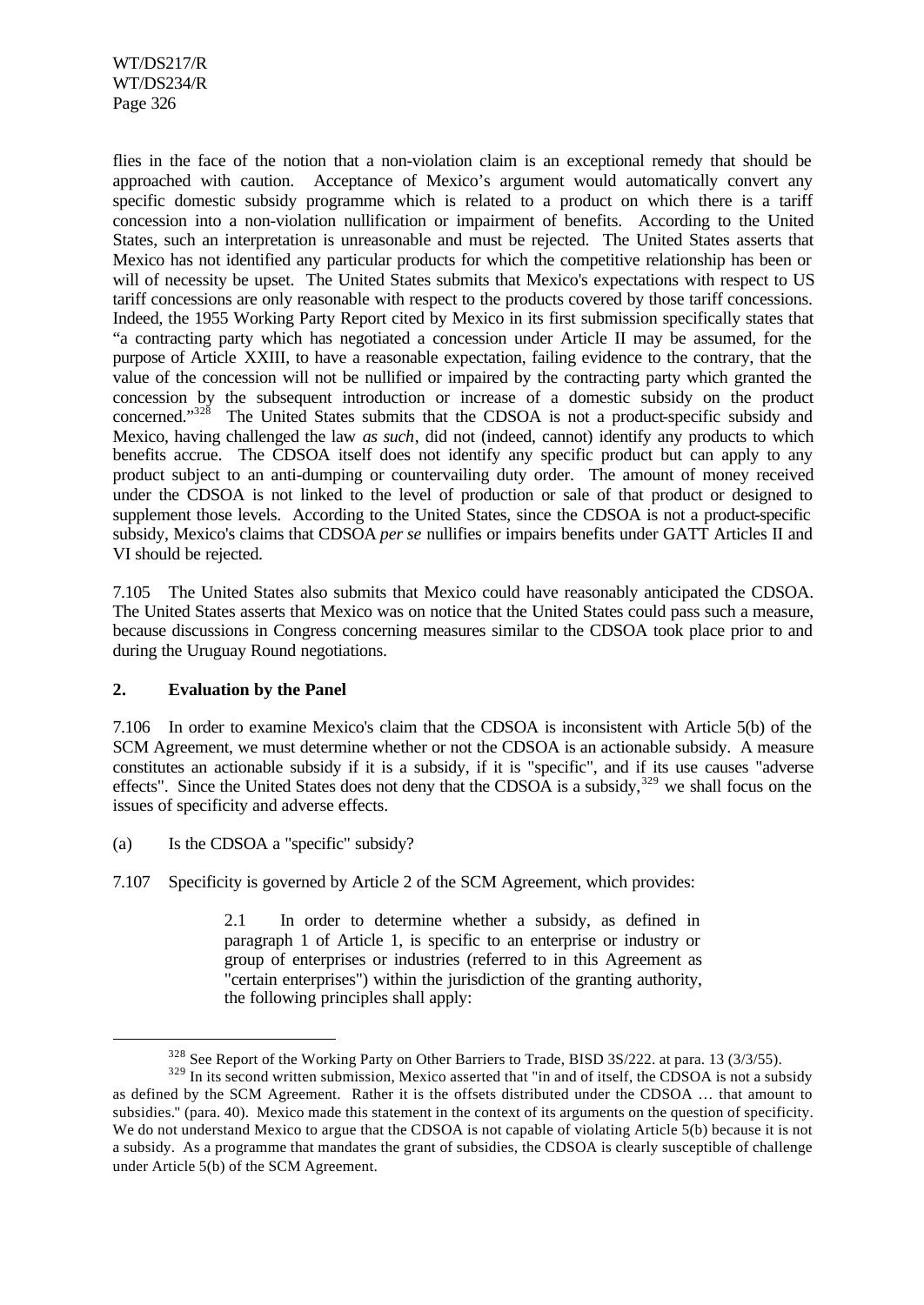WT/DS217/R WT/DS234/R Page 326

flies in the face of the notion that a non-violation claim is an exceptional remedy that should be approached with caution. Acceptance of Mexico's argument would automatically convert any specific domestic subsidy programme which is related to a product on which there is a tariff concession into a non-violation nullification or impairment of benefits. According to the United States, such an interpretation is unreasonable and must be rejected. The United States asserts that Mexico has not identified any particular products for which the competitive relationship has been or will of necessity be upset. The United States submits that Mexico's expectations with respect to US tariff concessions are only reasonable with respect to the products covered by those tariff concessions. Indeed, the 1955 Working Party Report cited by Mexico in its first submission specifically states that "a contracting party which has negotiated a concession under Article II may be assumed, for the purpose of Article XXIII, to have a reasonable expectation, failing evidence to the contrary, that the value of the concession will not be nullified or impaired by the contracting party which granted the concession by the subsequent introduction or increase of a domestic subsidy on the product concerned."<sup>328</sup> The United States submits that the CDSOA is not a product-specific subsidy and Mexico, having challenged the law *as such*, did not (indeed, cannot) identify any products to which benefits accrue. The CDSOA itself does not identify any specific product but can apply to any product subject to an anti-dumping or countervailing duty order. The amount of money received under the CDSOA is not linked to the level of production or sale of that product or designed to supplement those levels. According to the United States, since the CDSOA is not a product-specific subsidy, Mexico's claims that CDSOA *per se* nullifies or impairs benefits under GATT Articles II and VI should be rejected.

7.105 The United States also submits that Mexico could have reasonably anticipated the CDSOA. The United States asserts that Mexico was on notice that the United States could pass such a measure, because discussions in Congress concerning measures similar to the CDSOA took place prior to and during the Uruguay Round negotiations.

#### **2. Evaluation by the Panel**

l

7.106 In order to examine Mexico's claim that the CDSOA is inconsistent with Article 5(b) of the SCM Agreement, we must determine whether or not the CDSOA is an actionable subsidy. A measure constitutes an actionable subsidy if it is a subsidy, if it is "specific", and if its use causes "adverse effects". Since the United States does not deny that the CDSOA is a subsidy,  $329$  we shall focus on the issues of specificity and adverse effects.

(a) Is the CDSOA a "specific" subsidy?

7.107 Specificity is governed by Article 2 of the SCM Agreement, which provides:

2.1 In order to determine whether a subsidy, as defined in paragraph 1 of Article 1, is specific to an enterprise or industry or group of enterprises or industries (referred to in this Agreement as "certain enterprises") within the jurisdiction of the granting authority, the following principles shall apply:

<sup>&</sup>lt;sup>328</sup> See Report of the Working Party on Other Barriers to Trade, BISD 3S/222. at para. 13 (3/3/55).

<sup>&</sup>lt;sup>329</sup> In its second written submission, Mexico asserted that "in and of itself, the CDSOA is not a subsidy as defined by the SCM Agreement. Rather it is the offsets distributed under the CDSOA … that amount to subsidies." (para. 40). Mexico made this statement in the context of its arguments on the question of specificity. We do not understand Mexico to argue that the CDSOA is not capable of violating Article 5(b) because it is not a subsidy. As a programme that mandates the grant of subsidies, the CDSOA is clearly susceptible of challenge under Article 5(b) of the SCM Agreement.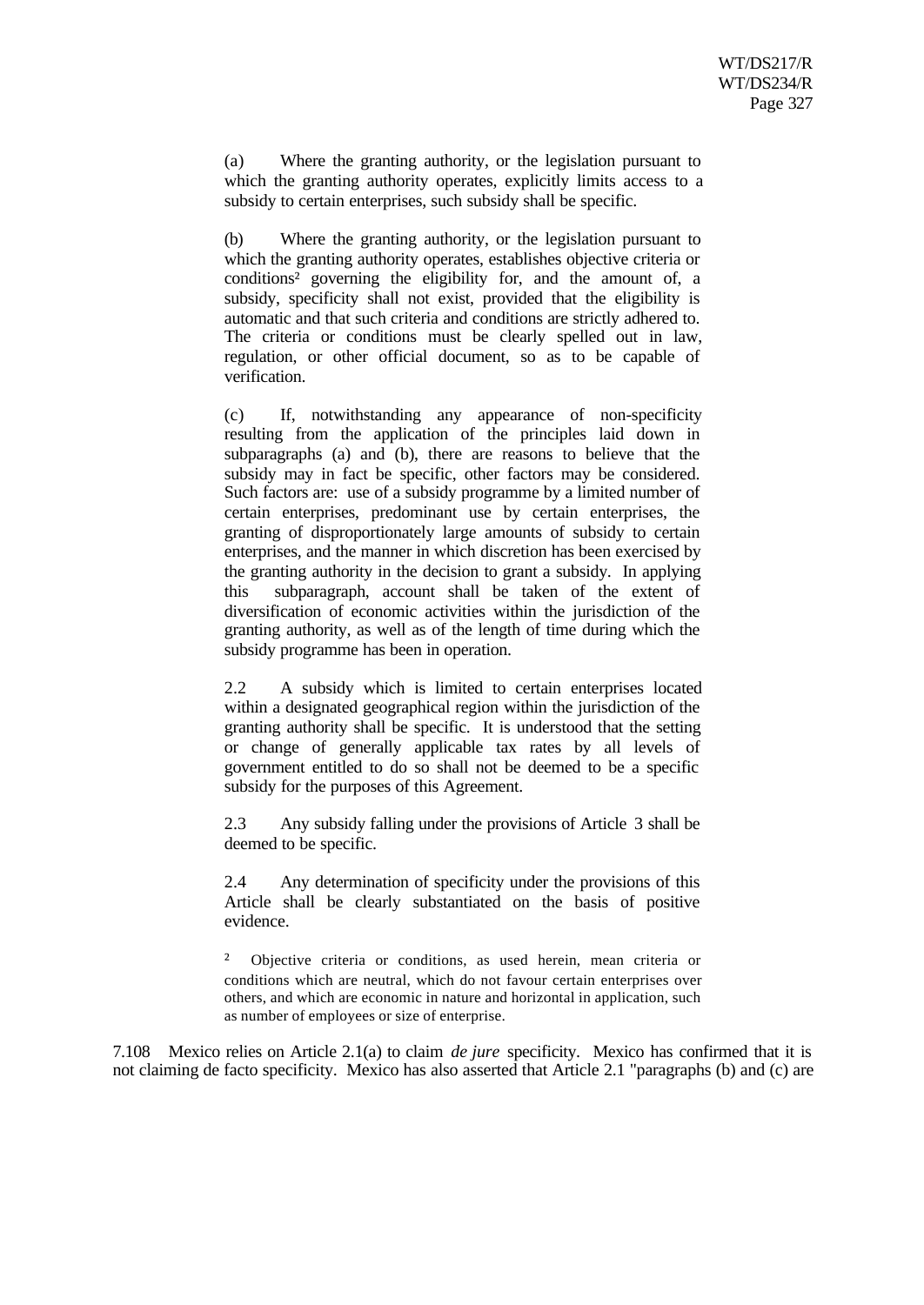(a) Where the granting authority, or the legislation pursuant to which the granting authority operates, explicitly limits access to a subsidy to certain enterprises, such subsidy shall be specific.

(b) Where the granting authority, or the legislation pursuant to which the granting authority operates, establishes objective criteria or conditions² governing the eligibility for, and the amount of, a subsidy, specificity shall not exist, provided that the eligibility is automatic and that such criteria and conditions are strictly adhered to. The criteria or conditions must be clearly spelled out in law, regulation, or other official document, so as to be capable of verification.

(c) If, notwithstanding any appearance of non-specificity resulting from the application of the principles laid down in subparagraphs (a) and (b), there are reasons to believe that the subsidy may in fact be specific, other factors may be considered. Such factors are: use of a subsidy programme by a limited number of certain enterprises, predominant use by certain enterprises, the granting of disproportionately large amounts of subsidy to certain enterprises, and the manner in which discretion has been exercised by the granting authority in the decision to grant a subsidy. In applying this subparagraph, account shall be taken of the extent of diversification of economic activities within the jurisdiction of the granting authority, as well as of the length of time during which the subsidy programme has been in operation.

2.2 A subsidy which is limited to certain enterprises located within a designated geographical region within the jurisdiction of the granting authority shall be specific. It is understood that the setting or change of generally applicable tax rates by all levels of government entitled to do so shall not be deemed to be a specific subsidy for the purposes of this Agreement.

2.3 Any subsidy falling under the provisions of Article 3 shall be deemed to be specific.

2.4 Any determination of specificity under the provisions of this Article shall be clearly substantiated on the basis of positive evidence.

<sup>2</sup> Objective criteria or conditions, as used herein, mean criteria or conditions which are neutral, which do not favour certain enterprises over others, and which are economic in nature and horizontal in application, such as number of employees or size of enterprise.

7.108 Mexico relies on Article 2.1(a) to claim *de jure* specificity. Mexico has confirmed that it is not claiming de facto specificity. Mexico has also asserted that Article 2.1 "paragraphs (b) and (c) are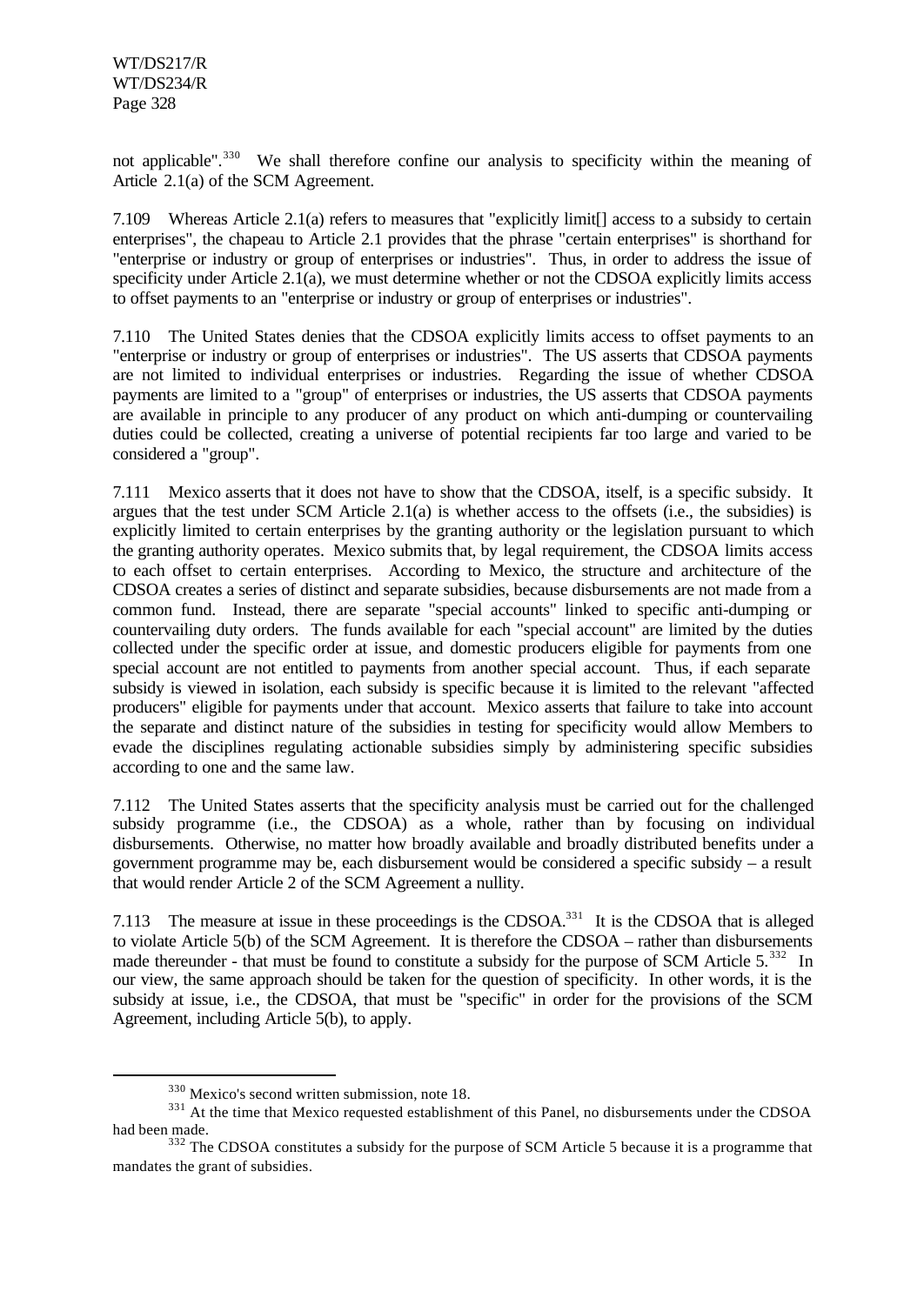not applicable".<sup>330</sup> We shall therefore confine our analysis to specificity within the meaning of Article 2.1(a) of the SCM Agreement.

7.109 Whereas Article 2.1(a) refers to measures that "explicitly limit[] access to a subsidy to certain enterprises", the chapeau to Article 2.1 provides that the phrase "certain enterprises" is shorthand for "enterprise or industry or group of enterprises or industries". Thus, in order to address the issue of specificity under Article 2.1(a), we must determine whether or not the CDSOA explicitly limits access to offset payments to an "enterprise or industry or group of enterprises or industries".

7.110 The United States denies that the CDSOA explicitly limits access to offset payments to an "enterprise or industry or group of enterprises or industries". The US asserts that CDSOA payments are not limited to individual enterprises or industries. Regarding the issue of whether CDSOA payments are limited to a "group" of enterprises or industries, the US asserts that CDSOA payments are available in principle to any producer of any product on which anti-dumping or countervailing duties could be collected, creating a universe of potential recipients far too large and varied to be considered a "group".

7.111 Mexico asserts that it does not have to show that the CDSOA, itself, is a specific subsidy. It argues that the test under SCM Article  $2.1(a)$  is whether access to the offsets (i.e., the subsidies) is explicitly limited to certain enterprises by the granting authority or the legislation pursuant to which the granting authority operates. Mexico submits that, by legal requirement, the CDSOA limits access to each offset to certain enterprises. According to Mexico, the structure and architecture of the CDSOA creates a series of distinct and separate subsidies, because disbursements are not made from a common fund. Instead, there are separate "special accounts" linked to specific anti-dumping or countervailing duty orders. The funds available for each "special account" are limited by the duties collected under the specific order at issue, and domestic producers eligible for payments from one special account are not entitled to payments from another special account. Thus, if each separate subsidy is viewed in isolation, each subsidy is specific because it is limited to the relevant "affected producers" eligible for payments under that account. Mexico asserts that failure to take into account the separate and distinct nature of the subsidies in testing for specificity would allow Members to evade the disciplines regulating actionable subsidies simply by administering specific subsidies according to one and the same law.

7.112 The United States asserts that the specificity analysis must be carried out for the challenged subsidy programme (i.e., the CDSOA) as a whole, rather than by focusing on individual disbursements. Otherwise, no matter how broadly available and broadly distributed benefits under a government programme may be, each disbursement would be considered a specific subsidy – a result that would render Article 2 of the SCM Agreement a nullity.

7.113 The measure at issue in these proceedings is the CDSOA.<sup>331</sup> It is the CDSOA that is alleged to violate Article 5(b) of the SCM Agreement. It is therefore the CDSOA – rather than disbursements made thereunder - that must be found to constitute a subsidy for the purpose of SCM Article  $5^{332}$  In our view, the same approach should be taken for the question of specificity. In other words, it is the subsidy at issue, i.e., the CDSOA, that must be "specific" in order for the provisions of the SCM Agreement, including Article 5(b), to apply.

<sup>330</sup> Mexico's second written submission, note 18.

<sup>&</sup>lt;sup>331</sup> At the time that Mexico requested establishment of this Panel, no disbursements under the CDSOA had been made.

<sup>&</sup>lt;sup>332</sup> The CDSOA constitutes a subsidy for the purpose of SCM Article 5 because it is a programme that mandates the grant of subsidies.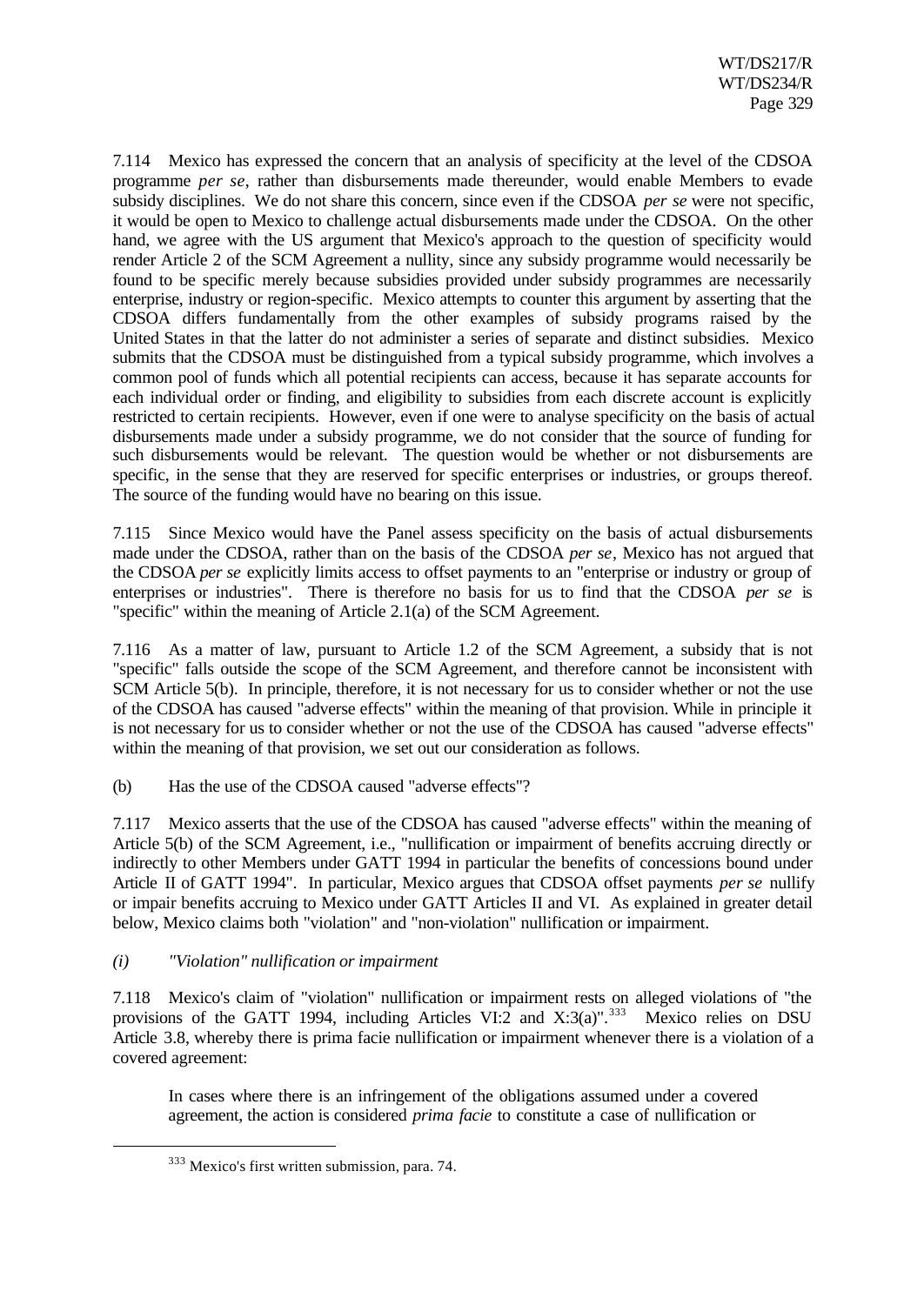7.114 Mexico has expressed the concern that an analysis of specificity at the level of the CDSOA programme *per se*, rather than disbursements made thereunder, would enable Members to evade subsidy disciplines. We do not share this concern, since even if the CDSOA *per se* were not specific, it would be open to Mexico to challenge actual disbursements made under the CDSOA. On the other hand, we agree with the US argument that Mexico's approach to the question of specificity would render Article 2 of the SCM Agreement a nullity, since any subsidy programme would necessarily be found to be specific merely because subsidies provided under subsidy programmes are necessarily enterprise, industry or region-specific. Mexico attempts to counter this argument by asserting that the CDSOA differs fundamentally from the other examples of subsidy programs raised by the United States in that the latter do not administer a series of separate and distinct subsidies. Mexico submits that the CDSOA must be distinguished from a typical subsidy programme, which involves a common pool of funds which all potential recipients can access, because it has separate accounts for each individual order or finding, and eligibility to subsidies from each discrete account is explicitly restricted to certain recipients. However, even if one were to analyse specificity on the basis of actual disbursements made under a subsidy programme, we do not consider that the source of funding for such disbursements would be relevant. The question would be whether or not disbursements are specific, in the sense that they are reserved for specific enterprises or industries, or groups thereof. The source of the funding would have no bearing on this issue.

7.115 Since Mexico would have the Panel assess specificity on the basis of actual disbursements made under the CDSOA, rather than on the basis of the CDSOA *per se*, Mexico has not argued that the CDSOA *per se* explicitly limits access to offset payments to an "enterprise or industry or group of enterprises or industries". There is therefore no basis for us to find that the CDSOA *per se* is "specific" within the meaning of Article 2.1(a) of the SCM Agreement.

7.116 As a matter of law, pursuant to Article 1.2 of the SCM Agreement, a subsidy that is not "specific" falls outside the scope of the SCM Agreement, and therefore cannot be inconsistent with SCM Article 5(b). In principle, therefore, it is not necessary for us to consider whether or not the use of the CDSOA has caused "adverse effects" within the meaning of that provision. While in principle it is not necessary for us to consider whether or not the use of the CDSOA has caused "adverse effects" within the meaning of that provision, we set out our consideration as follows.

(b) Has the use of the CDSOA caused "adverse effects"?

7.117 Mexico asserts that the use of the CDSOA has caused "adverse effects" within the meaning of Article 5(b) of the SCM Agreement, i.e., "nullification or impairment of benefits accruing directly or indirectly to other Members under GATT 1994 in particular the benefits of concessions bound under Article II of GATT 1994". In particular, Mexico argues that CDSOA offset payments *per se* nullify or impair benefits accruing to Mexico under GATT Articles II and VI. As explained in greater detail below, Mexico claims both "violation" and "non-violation" nullification or impairment.

# *(i) "Violation" nullification or impairment*

l

7.118 Mexico's claim of "violation" nullification or impairment rests on alleged violations of "the provisions of the GATT 1994, including Articles VI:2 and X:3(a)".<sup>333</sup> Mexico relies on DSU Article 3.8, whereby there is prima facie nullification or impairment whenever there is a violation of a covered agreement:

In cases where there is an infringement of the obligations assumed under a covered agreement, the action is considered *prima facie* to constitute a case of nullification or

<sup>333</sup> Mexico's first written submission, para. 74.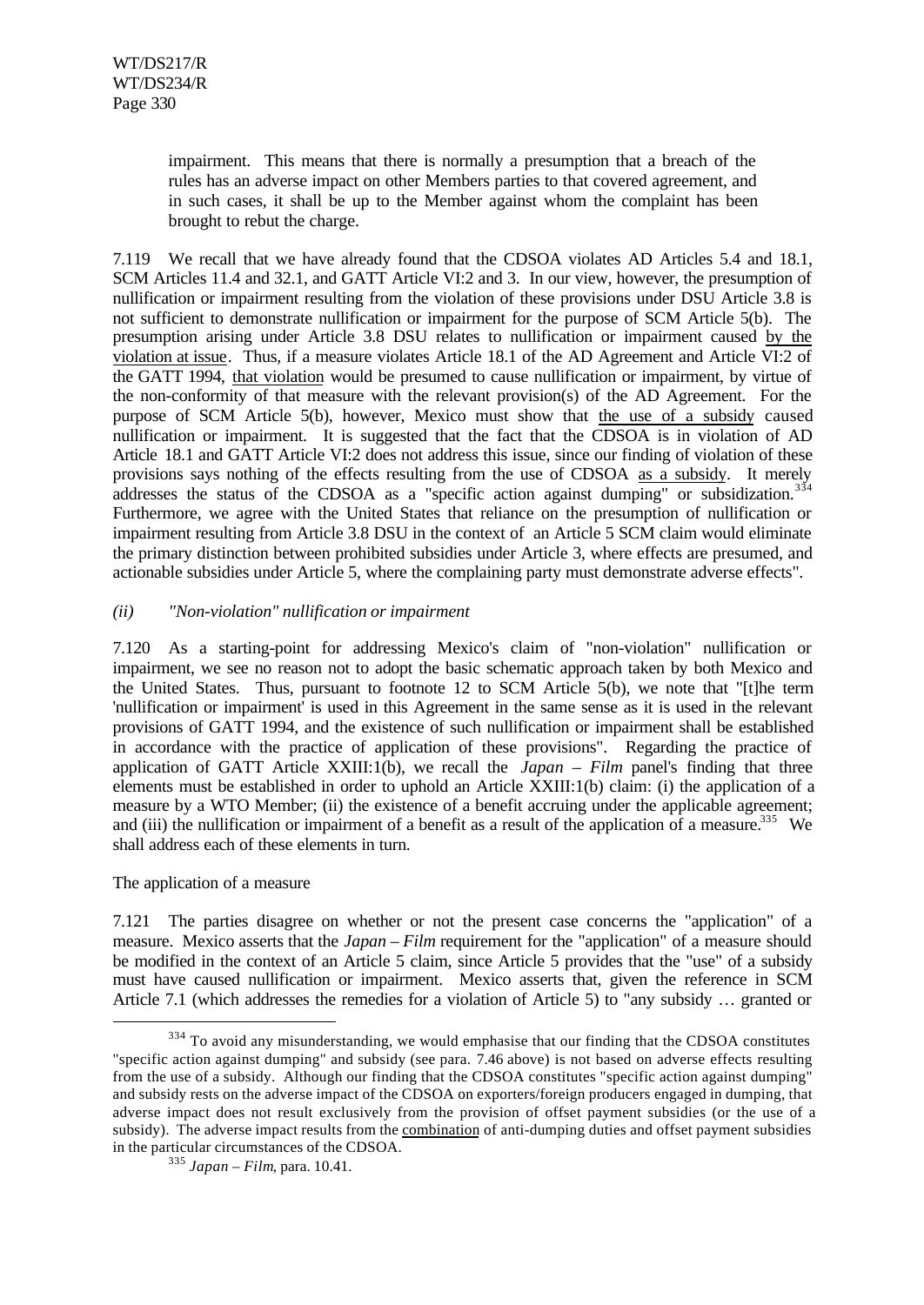impairment. This means that there is normally a presumption that a breach of the rules has an adverse impact on other Members parties to that covered agreement, and in such cases, it shall be up to the Member against whom the complaint has been brought to rebut the charge.

7.119 We recall that we have already found that the CDSOA violates AD Articles 5.4 and 18.1, SCM Articles 11.4 and 32.1, and GATT Article VI:2 and 3. In our view, however, the presumption of nullification or impairment resulting from the violation of these provisions under DSU Article 3.8 is not sufficient to demonstrate nullification or impairment for the purpose of SCM Article 5(b). The presumption arising under Article 3.8 DSU relates to nullification or impairment caused by the violation at issue. Thus, if a measure violates Article 18.1 of the AD Agreement and Article VI:2 of the GATT 1994, that violation would be presumed to cause nullification or impairment, by virtue of the non-conformity of that measure with the relevant provision(s) of the AD Agreement. For the purpose of SCM Article 5(b), however, Mexico must show that the use of a subsidy caused nullification or impairment. It is suggested that the fact that the CDSOA is in violation of AD Article 18.1 and GATT Article VI:2 does not address this issue, since our finding of violation of these provisions says nothing of the effects resulting from the use of CDSOA as a subsidy. It merely addresses the status of the CDSOA as a "specific action against dumping" or subsidization. $334$ Furthermore, we agree with the United States that reliance on the presumption of nullification or impairment resulting from Article 3.8 DSU in the context of an Article 5 SCM claim would eliminate the primary distinction between prohibited subsidies under Article 3, where effects are presumed, and actionable subsidies under Article 5, where the complaining party must demonstrate adverse effects".

#### *(ii) "Non-violation" nullification or impairment*

7.120 As a starting-point for addressing Mexico's claim of "non-violation" nullification or impairment, we see no reason not to adopt the basic schematic approach taken by both Mexico and the United States. Thus, pursuant to footnote 12 to SCM Article 5(b), we note that "[t]he term 'nullification or impairment' is used in this Agreement in the same sense as it is used in the relevant provisions of GATT 1994, and the existence of such nullification or impairment shall be established in accordance with the practice of application of these provisions". Regarding the practice of application of GATT Article XXIII:1(b), we recall the *Japan – Film* panel's finding that three elements must be established in order to uphold an Article XXIII:1(b) claim: (i) the application of a measure by a WTO Member; (ii) the existence of a benefit accruing under the applicable agreement; and (iii) the nullification or impairment of a benefit as a result of the application of a measure.<sup>335</sup> We shall address each of these elements in turn.

The application of a measure

l

7.121 The parties disagree on whether or not the present case concerns the "application" of a measure. Mexico asserts that the *Japan – Film* requirement for the "application" of a measure should be modified in the context of an Article 5 claim, since Article 5 provides that the "use" of a subsidy must have caused nullification or impairment. Mexico asserts that, given the reference in SCM Article 7.1 (which addresses the remedies for a violation of Article 5) to "any subsidy … granted or

<sup>&</sup>lt;sup>334</sup> To avoid any misunderstanding, we would emphasise that our finding that the CDSOA constitutes "specific action against dumping" and subsidy (see para. 7.46 above) is not based on adverse effects resulting from the use of a subsidy. Although our finding that the CDSOA constitutes "specific action against dumping" and subsidy rests on the adverse impact of the CDSOA on exporters/foreign producers engaged in dumping, that adverse impact does not result exclusively from the provision of offset payment subsidies (or the use of a subsidy). The adverse impact results from the combination of anti-dumping duties and offset payment subsidies in the particular circumstances of the CDSOA.

<sup>335</sup> *Japan – Film*, para. 10.41.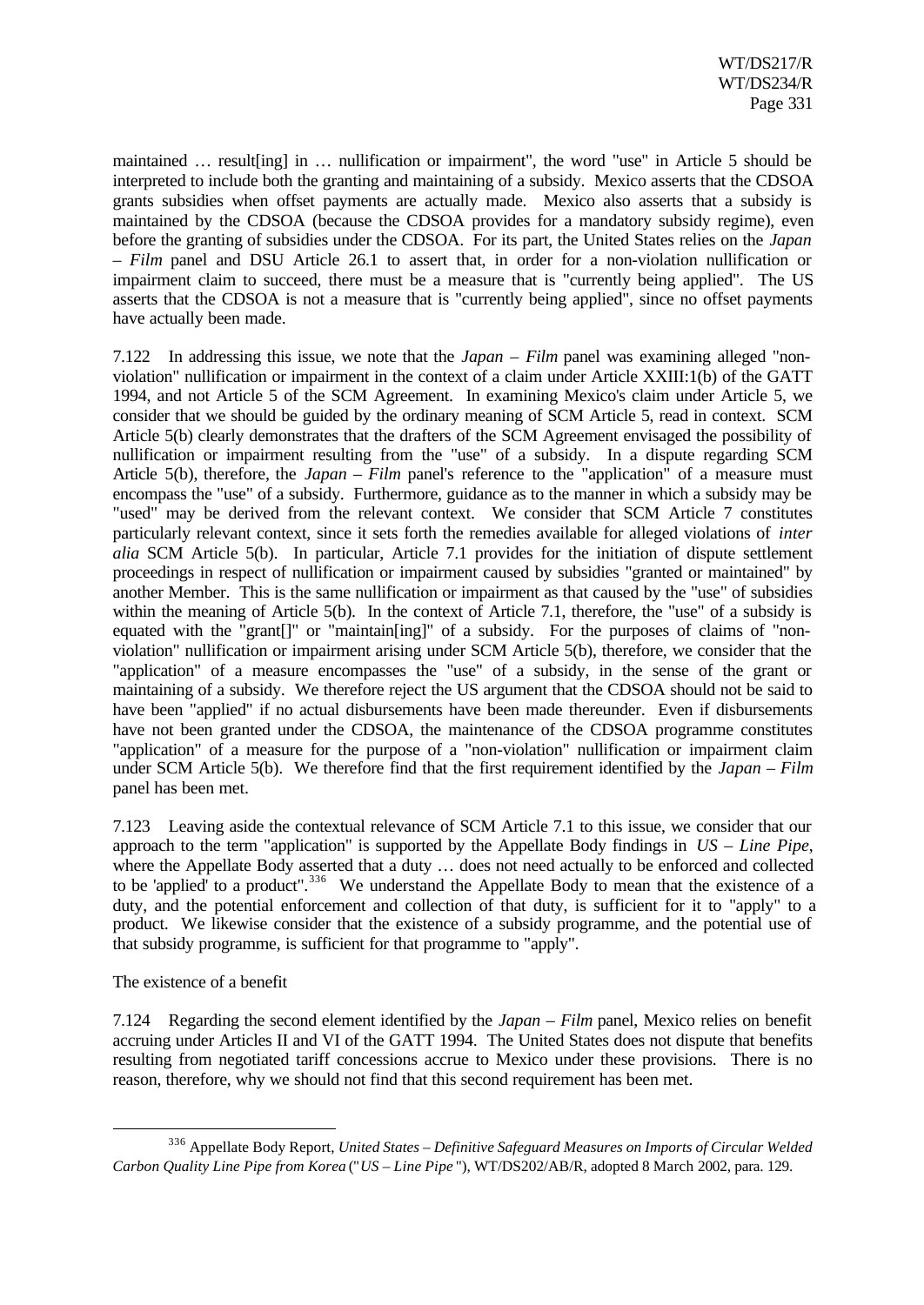maintained … result[ing] in … nullification or impairment", the word "use" in Article 5 should be interpreted to include both the granting and maintaining of a subsidy. Mexico asserts that the CDSOA grants subsidies when offset payments are actually made. Mexico also asserts that a subsidy is maintained by the CDSOA (because the CDSOA provides for a mandatory subsidy regime), even before the granting of subsidies under the CDSOA. For its part, the United States relies on the *Japan – Film* panel and DSU Article 26.1 to assert that, in order for a non-violation nullification or impairment claim to succeed, there must be a measure that is "currently being applied". The US asserts that the CDSOA is not a measure that is "currently being applied", since no offset payments have actually been made.

7.122 In addressing this issue, we note that the *Japan – Film* panel was examining alleged "nonviolation" nullification or impairment in the context of a claim under Article XXIII:1(b) of the GATT 1994, and not Article 5 of the SCM Agreement. In examining Mexico's claim under Article 5, we consider that we should be guided by the ordinary meaning of SCM Article 5, read in context. SCM Article 5(b) clearly demonstrates that the drafters of the SCM Agreement envisaged the possibility of nullification or impairment resulting from the "use" of a subsidy. In a dispute regarding SCM Article 5(b), therefore, the *Japan – Film* panel's reference to the "application" of a measure must encompass the "use" of a subsidy. Furthermore, guidance as to the manner in which a subsidy may be "used" may be derived from the relevant context. We consider that SCM Article 7 constitutes particularly relevant context, since it sets forth the remedies available for alleged violations of *inter alia* SCM Article 5(b). In particular, Article 7.1 provides for the initiation of dispute settlement proceedings in respect of nullification or impairment caused by subsidies "granted or maintained" by another Member. This is the same nullification or impairment as that caused by the "use" of subsidies within the meaning of Article 5(b). In the context of Article 7.1, therefore, the "use" of a subsidy is equated with the "grant[]" or "maintain[ing]" of a subsidy. For the purposes of claims of "nonviolation" nullification or impairment arising under SCM Article 5(b), therefore, we consider that the "application" of a measure encompasses the "use" of a subsidy, in the sense of the grant or maintaining of a subsidy. We therefore reject the US argument that the CDSOA should not be said to have been "applied" if no actual disbursements have been made thereunder. Even if disbursements have not been granted under the CDSOA, the maintenance of the CDSOA programme constitutes "application" of a measure for the purpose of a "non-violation" nullification or impairment claim under SCM Article 5(b). We therefore find that the first requirement identified by the *Japan – Film* panel has been met.

7.123 Leaving aside the contextual relevance of SCM Article 7.1 to this issue, we consider that our approach to the term "application" is supported by the Appellate Body findings in *US – Line Pipe*, where the Appellate Body asserted that a duty ... does not need actually to be enforced and collected to be 'applied' to a product".<sup>336</sup> We understand the Appellate Body to mean that the existence of a duty, and the potential enforcement and collection of that duty, is sufficient for it to "apply" to a product. We likewise consider that the existence of a subsidy programme, and the potential use of that subsidy programme, is sufficient for that programme to "apply".

The existence of a benefit

l

7.124 Regarding the second element identified by the *Japan – Film* panel, Mexico relies on benefit accruing under Articles II and VI of the GATT 1994. The United States does not dispute that benefits resulting from negotiated tariff concessions accrue to Mexico under these provisions. There is no reason, therefore, why we should not find that this second requirement has been met.

<sup>336</sup> Appellate Body Report, *United States – Definitive Safeguard Measures on Imports of Circular Welded Carbon Quality Line Pipe from Korea* ("*US – Line Pipe* "), WT/DS202/AB/R, adopted 8 March 2002, para. 129.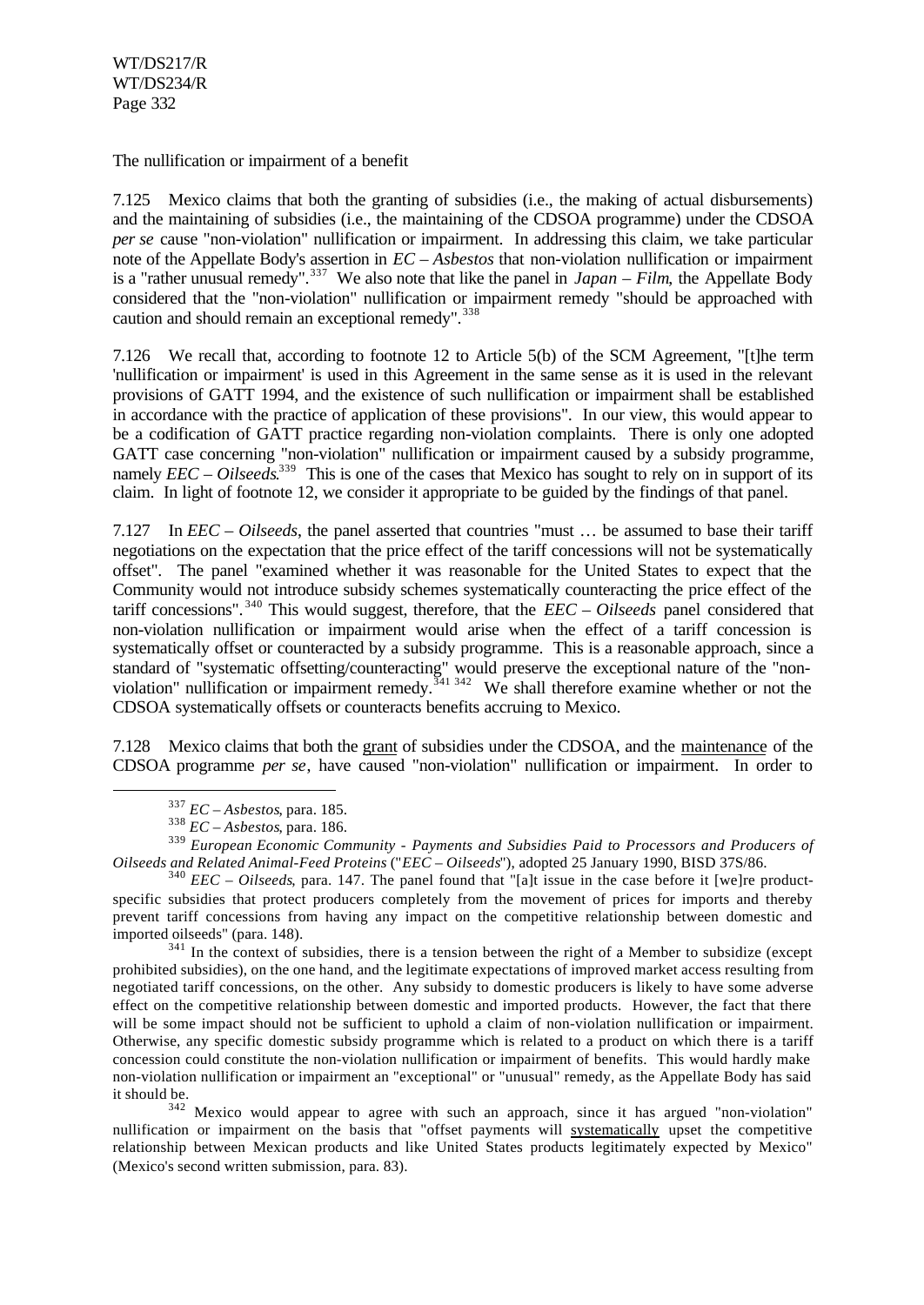The nullification or impairment of a benefit

7.125 Mexico claims that both the granting of subsidies (i.e., the making of actual disbursements) and the maintaining of subsidies (i.e., the maintaining of the CDSOA programme) under the CDSOA *per se* cause "non-violation" nullification or impairment. In addressing this claim, we take particular note of the Appellate Body's assertion in *EC – Asbestos* that non-violation nullification or impairment is a "rather unusual remedy".<sup>337</sup> We also note that like the panel in *Japan – Film*, the Appellate Body considered that the "non-violation" nullification or impairment remedy "should be approached with caution and should remain an exceptional remedy".<sup>338</sup>

7.126 We recall that, according to footnote 12 to Article 5(b) of the SCM Agreement, "[t]he term 'nullification or impairment' is used in this Agreement in the same sense as it is used in the relevant provisions of GATT 1994, and the existence of such nullification or impairment shall be established in accordance with the practice of application of these provisions". In our view, this would appear to be a codification of GATT practice regarding non-violation complaints. There is only one adopted GATT case concerning "non-violation" nullification or impairment caused by a subsidy programme, namely *EEC – Oilseeds*.<sup>339</sup> This is one of the cases that Mexico has sought to rely on in support of its claim. In light of footnote 12, we consider it appropriate to be guided by the findings of that panel.

7.127 In *EEC – Oilseeds*, the panel asserted that countries "must … be assumed to base their tariff negotiations on the expectation that the price effect of the tariff concessions will not be systematically offset". The panel "examined whether it was reasonable for the United States to expect that the Community would not introduce subsidy schemes systematically counteracting the price effect of the tariff concessions". <sup>340</sup> This would suggest, therefore, that the *EEC – Oilseeds* panel considered that non-violation nullification or impairment would arise when the effect of a tariff concession is systematically offset or counteracted by a subsidy programme. This is a reasonable approach, since a standard of "systematic offsetting/counteracting" would preserve the exceptional nature of the "nonviolation" nullification or impairment remedy.<sup>341 342</sup> We shall therefore examine whether or not the CDSOA systematically offsets or counteracts benefits accruing to Mexico.

7.128 Mexico claims that both the grant of subsidies under the CDSOA, and the maintenance of the CDSOA programme *per se*, have caused "non-violation" nullification or impairment. In order to

l

<sup>339</sup> *European Economic Community - Payments and Subsidies Paid to Processors and Producers of Oilseeds and Related Animal-Feed Proteins* ("*EEC – Oilseeds*"), adopted 25 January 1990, BISD 37S/86.

 $340$  *EEC – Oilseeds*, para. 147. The panel found that "[a]t issue in the case before it [we]re productspecific subsidies that protect producers completely from the movement of prices for imports and thereby prevent tariff concessions from having any impact on the competitive relationship between domestic and imported oilseeds" (para. 148).

<sup>341</sup> In the context of subsidies, there is a tension between the right of a Member to subsidize (except prohibited subsidies), on the one hand, and the legitimate expectations of improved market access resulting from negotiated tariff concessions, on the other. Any subsidy to domestic producers is likely to have some adverse effect on the competitive relationship between domestic and imported products. However, the fact that there will be some impact should not be sufficient to uphold a claim of non-violation nullification or impairment. Otherwise, any specific domestic subsidy programme which is related to a product on which there is a tariff concession could constitute the non-violation nullification or impairment of benefits. This would hardly make non-violation nullification or impairment an "exceptional" or "unusual" remedy, as the Appellate Body has said it should be.

<sup>342</sup> Mexico would appear to agree with such an approach, since it has argued "non-violation" nullification or impairment on the basis that "offset payments will systematically upset the competitive relationship between Mexican products and like United States products legitimately expected by Mexico" (Mexico's second written submission, para. 83).

<sup>337</sup> *EC – Asbestos*, para. 185.

<sup>338</sup> *EC – Asbestos*, para. 186.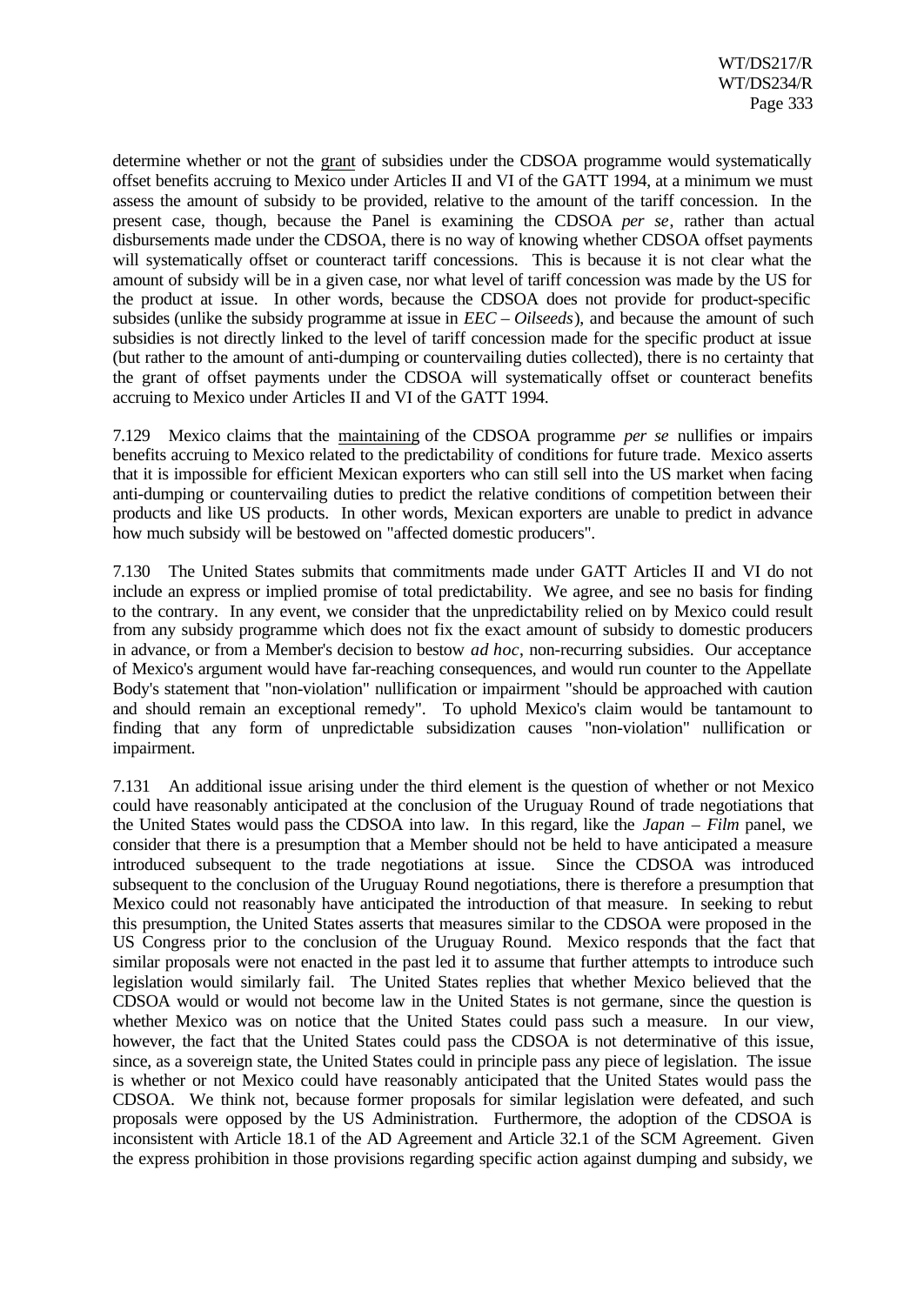determine whether or not the grant of subsidies under the CDSOA programme would systematically offset benefits accruing to Mexico under Articles II and VI of the GATT 1994, at a minimum we must assess the amount of subsidy to be provided, relative to the amount of the tariff concession. In the present case, though, because the Panel is examining the CDSOA *per se*, rather than actual disbursements made under the CDSOA, there is no way of knowing whether CDSOA offset payments will systematically offset or counteract tariff concessions. This is because it is not clear what the amount of subsidy will be in a given case, nor what level of tariff concession was made by the US for the product at issue. In other words, because the CDSOA does not provide for product-specific subsides (unlike the subsidy programme at issue in *EEC – Oilseeds*), and because the amount of such subsidies is not directly linked to the level of tariff concession made for the specific product at issue (but rather to the amount of anti-dumping or countervailing duties collected), there is no certainty that the grant of offset payments under the CDSOA will systematically offset or counteract benefits accruing to Mexico under Articles II and VI of the GATT 1994.

7.129 Mexico claims that the maintaining of the CDSOA programme *per se* nullifies or impairs benefits accruing to Mexico related to the predictability of conditions for future trade. Mexico asserts that it is impossible for efficient Mexican exporters who can still sell into the US market when facing anti-dumping or countervailing duties to predict the relative conditions of competition between their products and like US products. In other words, Mexican exporters are unable to predict in advance how much subsidy will be bestowed on "affected domestic producers".

7.130 The United States submits that commitments made under GATT Articles II and VI do not include an express or implied promise of total predictability. We agree, and see no basis for finding to the contrary. In any event, we consider that the unpredictability relied on by Mexico could result from any subsidy programme which does not fix the exact amount of subsidy to domestic producers in advance, or from a Member's decision to bestow *ad hoc*, non-recurring subsidies. Our acceptance of Mexico's argument would have far-reaching consequences, and would run counter to the Appellate Body's statement that "non-violation" nullification or impairment "should be approached with caution and should remain an exceptional remedy". To uphold Mexico's claim would be tantamount to finding that any form of unpredictable subsidization causes "non-violation" nullification or impairment.

7.131 An additional issue arising under the third element is the question of whether or not Mexico could have reasonably anticipated at the conclusion of the Uruguay Round of trade negotiations that the United States would pass the CDSOA into law. In this regard, like the *Japan – Film* panel, we consider that there is a presumption that a Member should not be held to have anticipated a measure introduced subsequent to the trade negotiations at issue. Since the CDSOA was introduced subsequent to the conclusion of the Uruguay Round negotiations, there is therefore a presumption that Mexico could not reasonably have anticipated the introduction of that measure. In seeking to rebut this presumption, the United States asserts that measures similar to the CDSOA were proposed in the US Congress prior to the conclusion of the Uruguay Round. Mexico responds that the fact that similar proposals were not enacted in the past led it to assume that further attempts to introduce such legislation would similarly fail. The United States replies that whether Mexico believed that the CDSOA would or would not become law in the United States is not germane, since the question is whether Mexico was on notice that the United States could pass such a measure. In our view, however, the fact that the United States could pass the CDSOA is not determinative of this issue, since, as a sovereign state, the United States could in principle pass any piece of legislation. The issue is whether or not Mexico could have reasonably anticipated that the United States would pass the CDSOA. We think not, because former proposals for similar legislation were defeated, and such proposals were opposed by the US Administration. Furthermore, the adoption of the CDSOA is inconsistent with Article 18.1 of the AD Agreement and Article 32.1 of the SCM Agreement. Given the express prohibition in those provisions regarding specific action against dumping and subsidy, we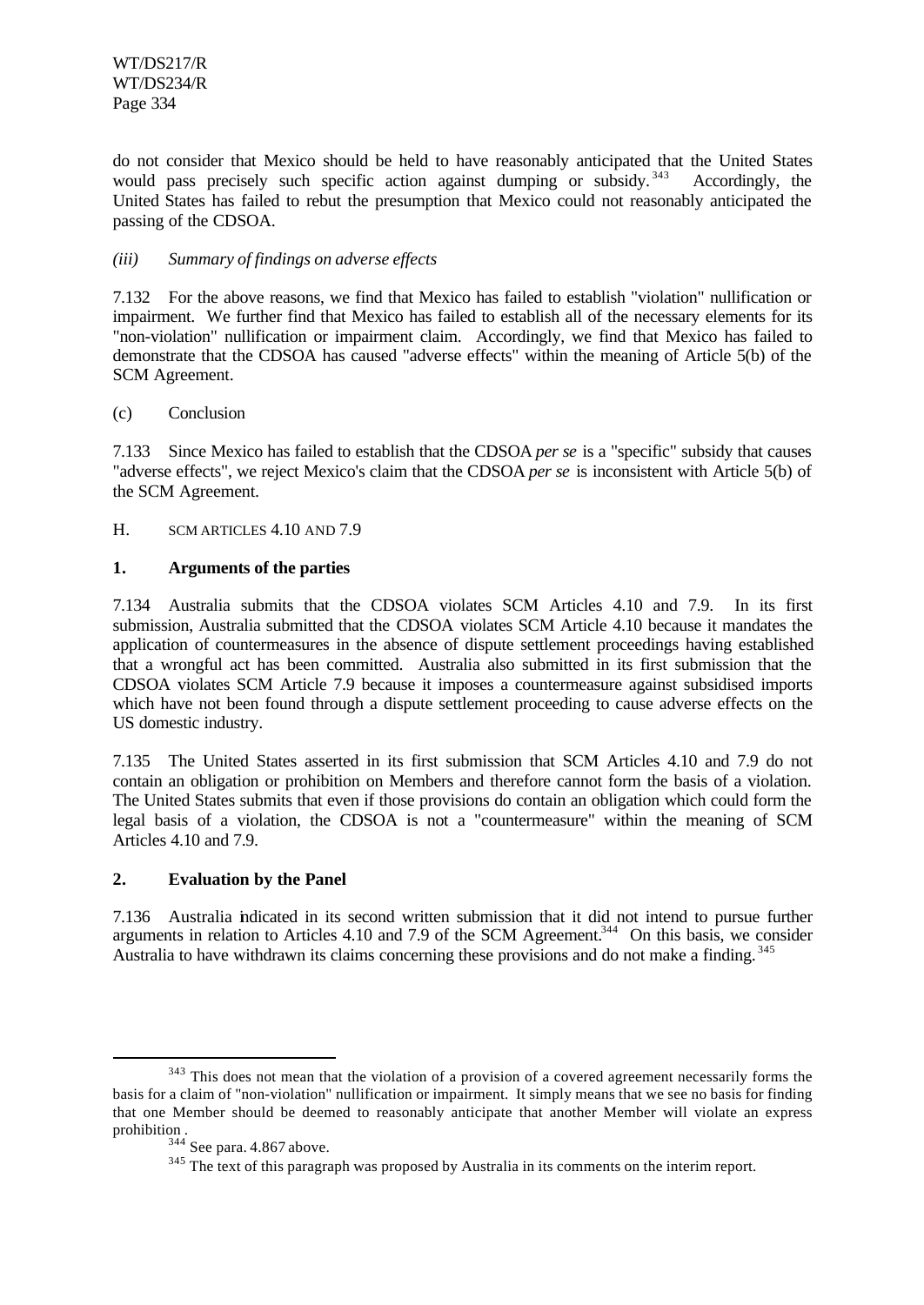WT/DS217/R WT/DS234/R Page 334

do not consider that Mexico should be held to have reasonably anticipated that the United States would pass precisely such specific action against dumping or subsidy.<sup>343</sup> Accordingly, the United States has failed to rebut the presumption that Mexico could not reasonably anticipated the passing of the CDSOA.

## *(iii) Summary of findings on adverse effects*

7.132 For the above reasons, we find that Mexico has failed to establish "violation" nullification or impairment. We further find that Mexico has failed to establish all of the necessary elements for its "non-violation" nullification or impairment claim. Accordingly, we find that Mexico has failed to demonstrate that the CDSOA has caused "adverse effects" within the meaning of Article 5(b) of the SCM Agreement.

#### (c) Conclusion

7.133 Since Mexico has failed to establish that the CDSOA *per se* is a "specific" subsidy that causes "adverse effects", we reject Mexico's claim that the CDSOA *per se* is inconsistent with Article 5(b) of the SCM Agreement.

#### H. SCM ARTICLES 4.10 AND 7.9

## **1. Arguments of the parties**

7.134 Australia submits that the CDSOA violates SCM Articles 4.10 and 7.9. In its first submission, Australia submitted that the CDSOA violates SCM Article 4.10 because it mandates the application of countermeasures in the absence of dispute settlement proceedings having established that a wrongful act has been committed. Australia also submitted in its first submission that the CDSOA violates SCM Article 7.9 because it imposes a countermeasure against subsidised imports which have not been found through a dispute settlement proceeding to cause adverse effects on the US domestic industry.

7.135 The United States asserted in its first submission that SCM Articles 4.10 and 7.9 do not contain an obligation or prohibition on Members and therefore cannot form the basis of a violation. The United States submits that even if those provisions do contain an obligation which could form the legal basis of a violation, the CDSOA is not a "countermeasure" within the meaning of SCM Articles 4.10 and 7.9.

#### **2. Evaluation by the Panel**

7.136 Australia indicated in its second written submission that it did not intend to pursue further arguments in relation to Articles 4.10 and 7.9 of the SCM Agreement.<sup>344</sup> On this basis, we consider Australia to have withdrawn its claims concerning these provisions and do not make a finding.<sup>345</sup>

<sup>&</sup>lt;sup>343</sup> This does not mean that the violation of a provision of a covered agreement necessarily forms the basis for a claim of "non-violation" nullification or impairment. It simply means that we see no basis for finding that one Member should be deemed to reasonably anticipate that another Member will violate an express prohibition .

 $344$  See para. 4.867 above.

<sup>&</sup>lt;sup>345</sup> The text of this paragraph was proposed by Australia in its comments on the interim report.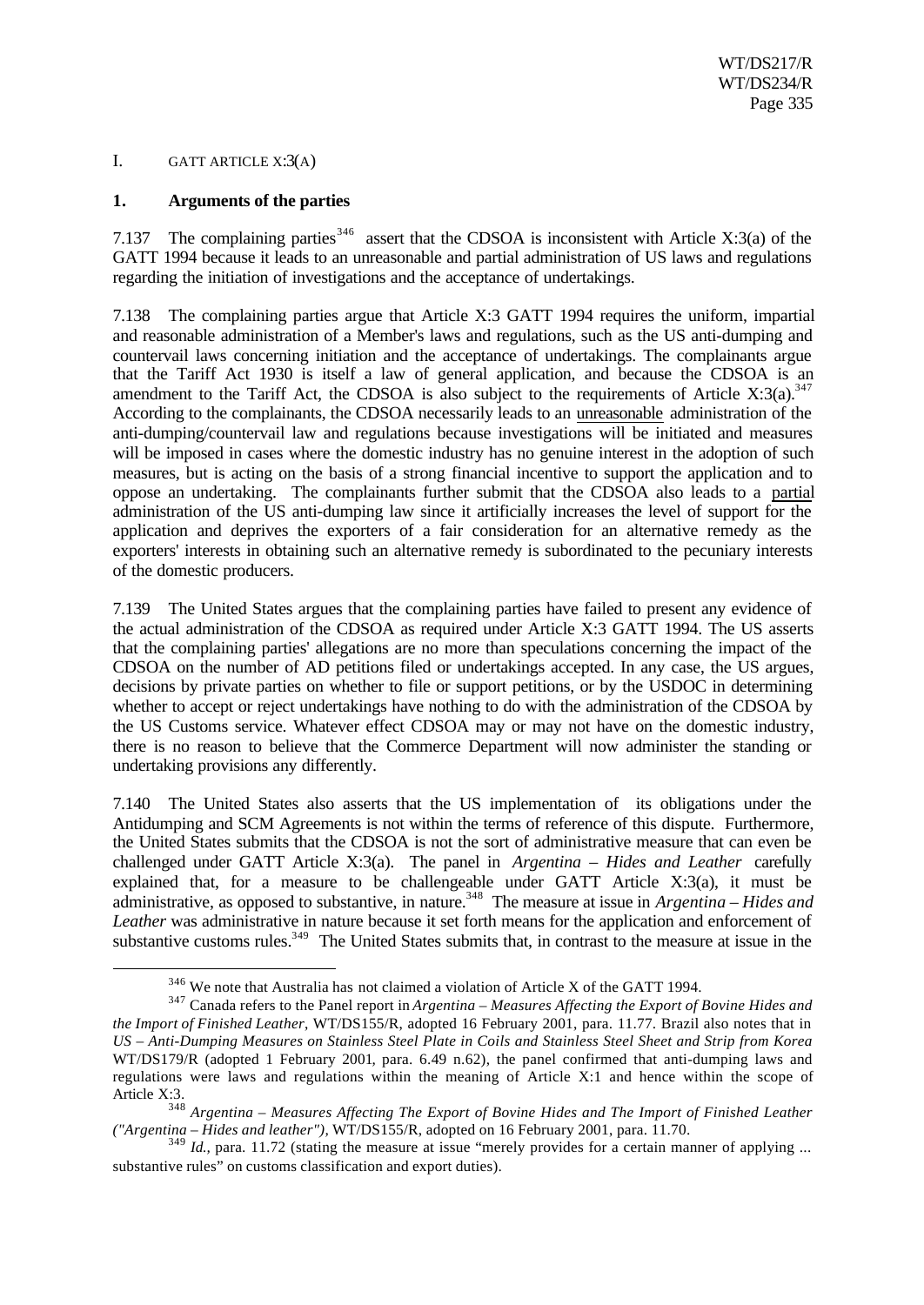## I. GATT ARTICLE  $X:3(A)$

l

## **1. Arguments of the parties**

7.137 The complaining parties<sup>346</sup> assert that the CDSOA is inconsistent with Article X:3(a) of the GATT 1994 because it leads to an unreasonable and partial administration of US laws and regulations regarding the initiation of investigations and the acceptance of undertakings.

7.138 The complaining parties argue that Article X:3 GATT 1994 requires the uniform, impartial and reasonable administration of a Member's laws and regulations, such as the US anti-dumping and countervail laws concerning initiation and the acceptance of undertakings. The complainants argue that the Tariff Act 1930 is itself a law of general application, and because the CDSOA is an amendment to the Tariff Act, the CDSOA is also subject to the requirements of Article  $X:3(a).^{347}$ According to the complainants, the CDSOA necessarily leads to an unreasonable administration of the anti-dumping/countervail law and regulations because investigations will be initiated and measures will be imposed in cases where the domestic industry has no genuine interest in the adoption of such measures, but is acting on the basis of a strong financial incentive to support the application and to oppose an undertaking. The complainants further submit that the CDSOA also leads to a partial administration of the US anti-dumping law since it artificially increases the level of support for the application and deprives the exporters of a fair consideration for an alternative remedy as the exporters' interests in obtaining such an alternative remedy is subordinated to the pecuniary interests of the domestic producers.

7.139 The United States argues that the complaining parties have failed to present any evidence of the actual administration of the CDSOA as required under Article X:3 GATT 1994. The US asserts that the complaining parties' allegations are no more than speculations concerning the impact of the CDSOA on the number of AD petitions filed or undertakings accepted. In any case, the US argues, decisions by private parties on whether to file or support petitions, or by the USDOC in determining whether to accept or reject undertakings have nothing to do with the administration of the CDSOA by the US Customs service. Whatever effect CDSOA may or may not have on the domestic industry, there is no reason to believe that the Commerce Department will now administer the standing or undertaking provisions any differently.

7.140 The United States also asserts that the US implementation of its obligations under the Antidumping and SCM Agreements is not within the terms of reference of this dispute. Furthermore, the United States submits that the CDSOA is not the sort of administrative measure that can even be challenged under GATT Article X:3(a). The panel in *Argentina – Hides and Leather* carefully explained that, for a measure to be challengeable under GATT Article X:3(a), it must be administrative, as opposed to substantive, in nature.<sup>348</sup> The measure at issue in *Argentina – Hides and Leather* was administrative in nature because it set forth means for the application and enforcement of substantive customs rules.<sup>349</sup> The United States submits that, in contrast to the measure at issue in the

<sup>346</sup> We note that Australia has not claimed a violation of Article X of the GATT 1994.

<sup>347</sup> Canada refers to the Panel report in *Argentina – Measures Affecting the Export of Bovine Hides and the Import of Finished Leather*, WT/DS155/R, adopted 16 February 2001, para. 11.77. Brazil also notes that in *US – Anti-Dumping Measures on Stainless Steel Plate in Coils and Stainless Steel Sheet and Strip from Korea* WT/DS179/R (adopted 1 February 2001*,* para. 6.49 n.62), the panel confirmed that anti-dumping laws and regulations were laws and regulations within the meaning of Article X:1 and hence within the scope of Article X:3.

<sup>348</sup> *Argentina – Measures Affecting The Export of Bovine Hides and The Import of Finished Leather ("Argentina – Hides and leather"),* WT/DS155/R, adopted on 16 February 2001, para. 11.70.

<sup>&</sup>lt;sup>349</sup> *Id.*, para. 11.72 (stating the measure at issue "merely provides for a certain manner of applying ... substantive rules" on customs classification and export duties).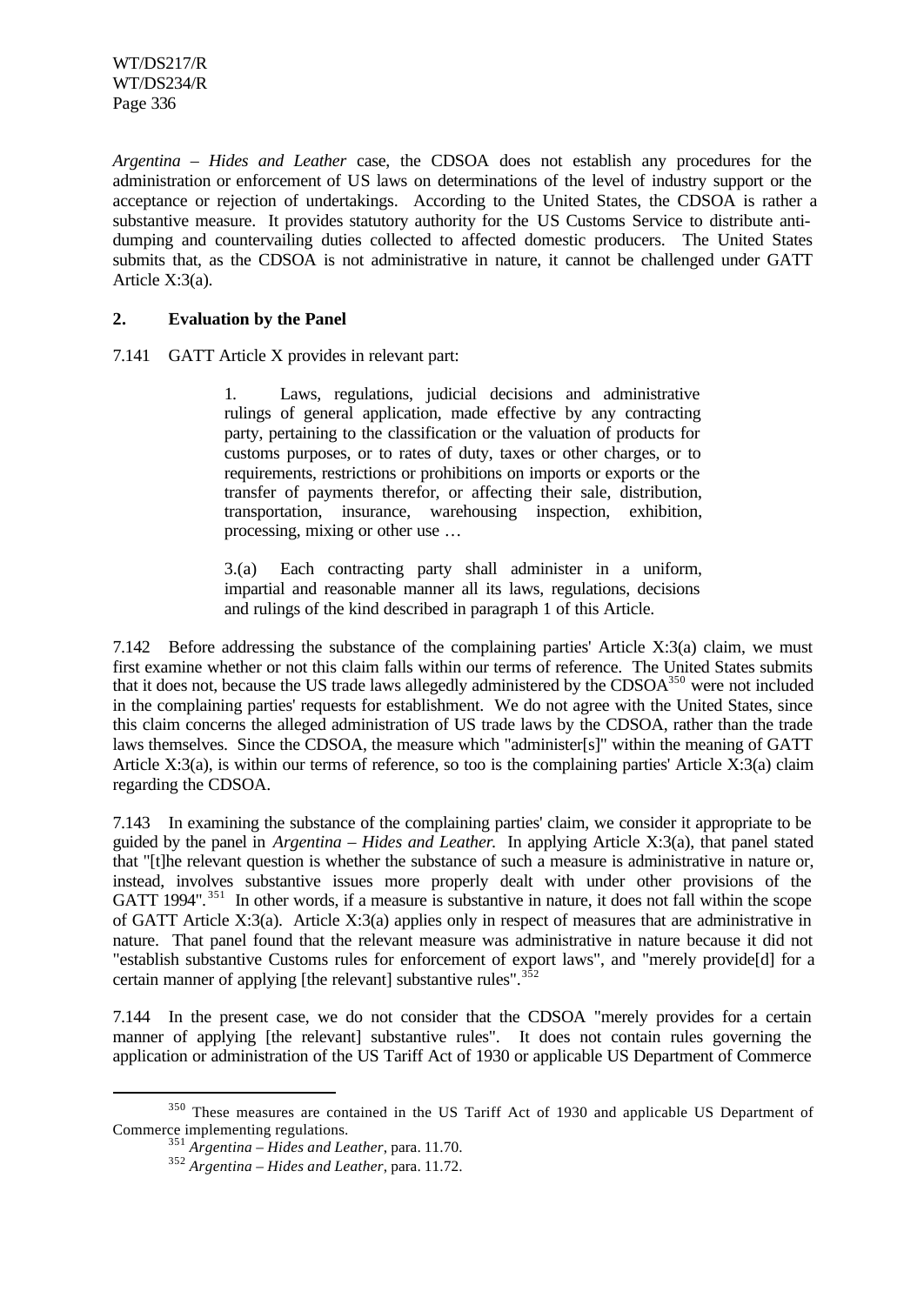WT/DS217/R WT/DS234/R Page 336

*Argentina – Hides and Leather* case, the CDSOA does not establish any procedures for the administration or enforcement of US laws on determinations of the level of industry support or the acceptance or rejection of undertakings. According to the United States, the CDSOA is rather a substantive measure. It provides statutory authority for the US Customs Service to distribute antidumping and countervailing duties collected to affected domestic producers. The United States submits that, as the CDSOA is not administrative in nature, it cannot be challenged under GATT Article X:3(a).

#### **2. Evaluation by the Panel**

7.141 GATT Article X provides in relevant part:

1. Laws, regulations, judicial decisions and administrative rulings of general application, made effective by any contracting party, pertaining to the classification or the valuation of products for customs purposes, or to rates of duty, taxes or other charges, or to requirements, restrictions or prohibitions on imports or exports or the transfer of payments therefor, or affecting their sale, distribution, transportation, insurance, warehousing inspection, exhibition, processing, mixing or other use …

3.(a) Each contracting party shall administer in a uniform, impartial and reasonable manner all its laws, regulations, decisions and rulings of the kind described in paragraph 1 of this Article.

7.142 Before addressing the substance of the complaining parties' Article X:3(a) claim, we must first examine whether or not this claim falls within our terms of reference. The United States submits that it does not, because the US trade laws allegedly administered by the CDSOA<sup>350</sup> were not included in the complaining parties' requests for establishment. We do not agree with the United States, since this claim concerns the alleged administration of US trade laws by the CDSOA, rather than the trade laws themselves. Since the CDSOA, the measure which "administer[s]" within the meaning of GATT Article X:3(a), is within our terms of reference, so too is the complaining parties' Article X:3(a) claim regarding the CDSOA.

7.143 In examining the substance of the complaining parties' claim, we consider it appropriate to be guided by the panel in *Argentina – Hides and Leather*. In applying Article X:3(a), that panel stated that "[t]he relevant question is whether the substance of such a measure is administrative in nature or, instead, involves substantive issues more properly dealt with under other provisions of the GATT 1994".<sup>351</sup> In other words, if a measure is substantive in nature, it does not fall within the scope of GATT Article X:3(a). Article X:3(a) applies only in respect of measures that are administrative in nature. That panel found that the relevant measure was administrative in nature because it did not "establish substantive Customs rules for enforcement of export laws", and "merely provide[d] for a certain manner of applying [the relevant] substantive rules".  $352$ 

7.144 In the present case, we do not consider that the CDSOA "merely provides for a certain manner of applying [the relevant] substantive rules". It does not contain rules governing the application or administration of the US Tariff Act of 1930 or applicable US Department of Commerce

<sup>&</sup>lt;sup>350</sup> These measures are contained in the US Tariff Act of 1930 and applicable US Department of Commerce implementing regulations.

<sup>351</sup> *Argentina – Hides and Leather*, para. 11.70.

<sup>352</sup> *Argentina – Hides and Leather*, para. 11.72.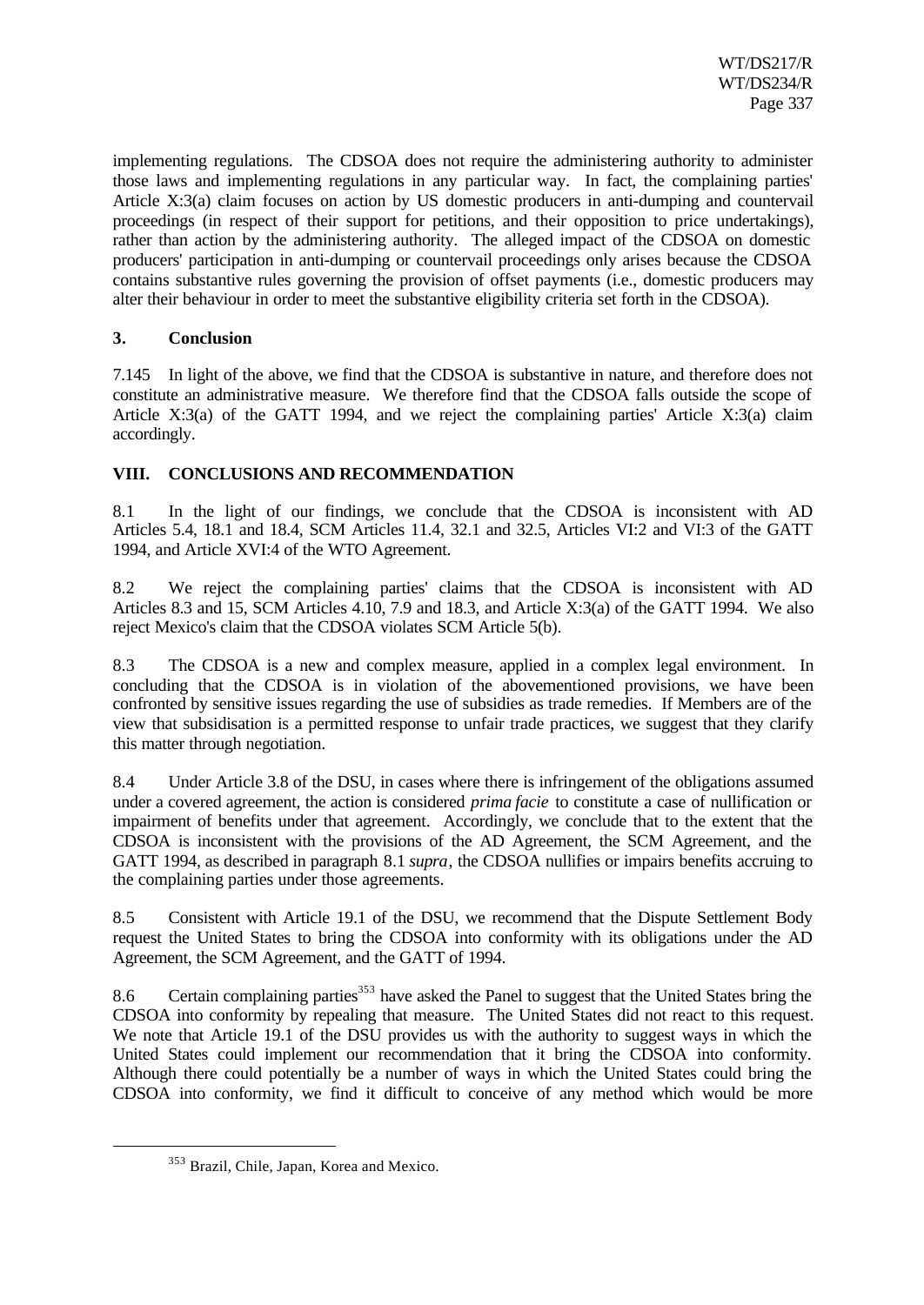implementing regulations. The CDSOA does not require the administering authority to administer those laws and implementing regulations in any particular way. In fact, the complaining parties' Article X:3(a) claim focuses on action by US domestic producers in anti-dumping and countervail proceedings (in respect of their support for petitions, and their opposition to price undertakings), rather than action by the administering authority. The alleged impact of the CDSOA on domestic producers' participation in anti-dumping or countervail proceedings only arises because the CDSOA contains substantive rules governing the provision of offset payments (i.e., domestic producers may alter their behaviour in order to meet the substantive eligibility criteria set forth in the CDSOA).

# **3. Conclusion**

7.145 In light of the above, we find that the CDSOA is substantive in nature, and therefore does not constitute an administrative measure. We therefore find that the CDSOA falls outside the scope of Article X:3(a) of the GATT 1994, and we reject the complaining parties' Article X:3(a) claim accordingly.

# **VIII. CONCLUSIONS AND RECOMMENDATION**

8.1 In the light of our findings, we conclude that the CDSOA is inconsistent with AD Articles 5.4, 18.1 and 18.4, SCM Articles 11.4, 32.1 and 32.5, Articles VI:2 and VI:3 of the GATT 1994, and Article XVI:4 of the WTO Agreement.

8.2 We reject the complaining parties' claims that the CDSOA is inconsistent with AD Articles 8.3 and 15, SCM Articles 4.10, 7.9 and 18.3, and Article X:3(a) of the GATT 1994. We also reject Mexico's claim that the CDSOA violates SCM Article 5(b).

8.3 The CDSOA is a new and complex measure, applied in a complex legal environment. In concluding that the CDSOA is in violation of the abovementioned provisions, we have been confronted by sensitive issues regarding the use of subsidies as trade remedies. If Members are of the view that subsidisation is a permitted response to unfair trade practices, we suggest that they clarify this matter through negotiation.

8.4 Under Article 3.8 of the DSU, in cases where there is infringement of the obligations assumed under a covered agreement, the action is considered *prima facie* to constitute a case of nullification or impairment of benefits under that agreement. Accordingly, we conclude that to the extent that the CDSOA is inconsistent with the provisions of the AD Agreement, the SCM Agreement, and the GATT 1994, as described in paragraph 8.1 *supra*, the CDSOA nullifies or impairs benefits accruing to the complaining parties under those agreements.

8.5 Consistent with Article 19.1 of the DSU, we recommend that the Dispute Settlement Body request the United States to bring the CDSOA into conformity with its obligations under the AD Agreement, the SCM Agreement, and the GATT of 1994.

8.6 Certain complaining parties<sup>353</sup> have asked the Panel to suggest that the United States bring the CDSOA into conformity by repealing that measure. The United States did not react to this request. We note that Article 19.1 of the DSU provides us with the authority to suggest ways in which the United States could implement our recommendation that it bring the CDSOA into conformity. Although there could potentially be a number of ways in which the United States could bring the CDSOA into conformity, we find it difficult to conceive of any method which would be more

<sup>353</sup> Brazil, Chile, Japan, Korea and Mexico.